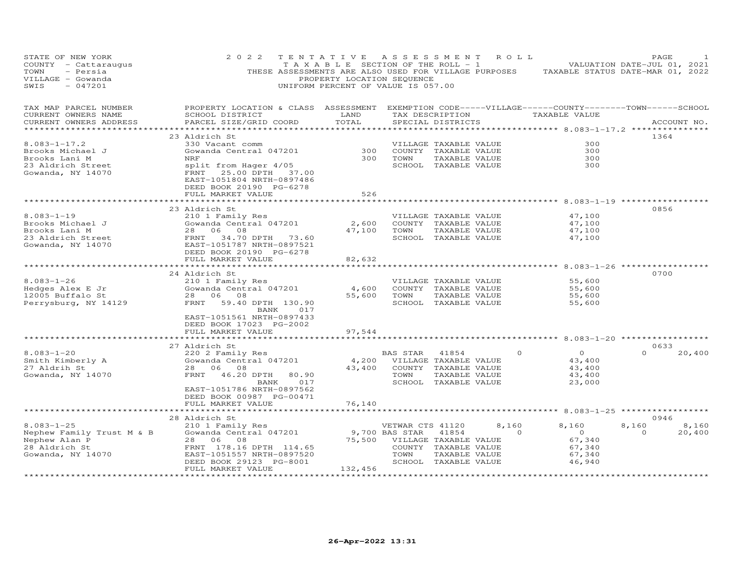| STATE OF NEW YORK<br>COUNTY - Cattaraugus<br>TOWN<br>- Persia<br>VILLAGE - Gowanda<br>$-047201$<br>SWIS | 2 0 2 2                                                                                                                                                                        | TENTATIVE<br>T A X A B L E SECTION OF THE ROLL - 1<br>PROPERTY LOCATION SEQUENCE<br>UNIFORM PERCENT OF VALUE IS 057.00 | A S S E S S M E N T    |                                                                                                 | R O L L         | THESE ASSESSMENTS ARE ALSO USED FOR VILLAGE PURPOSES TAXABLE STATUS DATE-MAR 01, 2022 | PAGE<br>VALUATION DATE-JUL 01, 2021 |             |
|---------------------------------------------------------------------------------------------------------|--------------------------------------------------------------------------------------------------------------------------------------------------------------------------------|------------------------------------------------------------------------------------------------------------------------|------------------------|-------------------------------------------------------------------------------------------------|-----------------|---------------------------------------------------------------------------------------|-------------------------------------|-------------|
| TAX MAP PARCEL NUMBER<br>CURRENT OWNERS NAME<br>CURRENT OWNERS ADDRESS<br>***********************       | PROPERTY LOCATION & CLASS ASSESSMENT EXEMPTION CODE-----VILLAGE------COUNTY-------TOWN------SCHOOL<br>SCHOOL DISTRICT<br>PARCEL SIZE/GRID COORD                                | LAND<br>TOTAL                                                                                                          |                        | SPECIAL DISTRICTS                                                                               | TAX DESCRIPTION | TAXABLE VALUE                                                                         |                                     | ACCOUNT NO. |
| $8.083 - 1 - 17.2$<br>Brooks Michael J<br>Brooks Lani M<br>23 Aldrich Street<br>Gowanda, NY 14070       | 23 Aldrich St<br>330 Vacant comm<br>Gowanda Central 047201<br>NRF<br>split from Hager 4/05<br>FRNT<br>25.00 DPTH 37.00<br>EAST-1051804 NRTH-0897486<br>DEED BOOK 20190 PG-6278 | 300<br>300                                                                                                             | TOWN                   | VILLAGE TAXABLE VALUE<br>COUNTY TAXABLE VALUE<br>TAXABLE VALUE<br>SCHOOL TAXABLE VALUE          |                 | 300<br>300<br>300<br>300                                                              | 1364                                |             |
|                                                                                                         | FULL MARKET VALUE<br>**********************                                                                                                                                    | 526                                                                                                                    |                        |                                                                                                 |                 |                                                                                       |                                     |             |
| $8.083 - 1 - 19$<br>Brooks Michael J<br>Brooks Lani M                                                   | 23 Aldrich St<br>210 1 Family Res<br>Gowanda Central 047201<br>28 06<br>08                                                                                                     | 2,600<br>47,100                                                                                                        | TOWN                   | VILLAGE TAXABLE VALUE<br>COUNTY TAXABLE VALUE<br>TAXABLE VALUE                                  |                 | 47,100<br>47,100<br>47,100                                                            | 0856                                |             |
| 23 Aldrich Street<br>Gowanda, NY 14070                                                                  | FRNT 34.70 DPTH 73.60<br>EAST-1051787 NRTH-0897521<br>DEED BOOK 20190 PG-6278<br>FULL MARKET VALUE                                                                             | 82,632                                                                                                                 |                        | SCHOOL TAXABLE VALUE                                                                            |                 | 47,100                                                                                |                                     |             |
|                                                                                                         | ********************                                                                                                                                                           |                                                                                                                        |                        |                                                                                                 |                 | ****************** 8.083-1-26 *****                                                   | 0700                                |             |
| 8.083-1-26<br>Hedges Alex E Jr<br>12005 Buffalo St<br>Perrysburg, NY 14129                              | 24 Aldrich St<br>210 1 Family Res<br>Gowanda Central 047201<br>28 06 08<br>FRNT<br>59.40 DPTH 130.90<br>BANK<br>017<br>EAST-1051561 NRTH-0897433<br>DEED BOOK 17023 PG-2002    | 4,600<br>55,600                                                                                                        | TOWN                   | VILLAGE TAXABLE VALUE<br>COUNTY TAXABLE VALUE<br>TAXABLE VALUE<br>SCHOOL TAXABLE VALUE          |                 | 55,600<br>55,600<br>55,600<br>55,600                                                  |                                     |             |
|                                                                                                         | FULL MARKET VALUE                                                                                                                                                              | 97,544                                                                                                                 |                        |                                                                                                 |                 | ********** 8.083-1-20 **********                                                      |                                     |             |
| $8.083 - 1 - 20$<br>Smith Kimberly A<br>27 Aldrih St                                                    | 27 Aldrich St<br>220 2 Family Res<br>Gowanda Central 047201<br>28 06<br>08                                                                                                     | 4,200<br>43,400                                                                                                        | BAS STAR               | 41854<br>VILLAGE TAXABLE VALUE<br>COUNTY TAXABLE VALUE                                          | $\Omega$        | $\circ$<br>43,400<br>43,400                                                           | 0633<br>$\Omega$                    | 20,400      |
| Gowanda, NY 14070                                                                                       | FRNT<br>46.20 DPTH<br>80.90<br>017<br>BANK<br>EAST-1051786 NRTH-0897562<br>DEED BOOK 00987 PG-00471<br>FULL MARKET VALUE                                                       | 76,140                                                                                                                 | TOWN                   | TAXABLE VALUE<br>SCHOOL TAXABLE VALUE                                                           |                 | 43,400<br>23,000                                                                      |                                     |             |
|                                                                                                         |                                                                                                                                                                                |                                                                                                                        |                        |                                                                                                 |                 | ********** 8.083-1-25 *************                                                   |                                     |             |
| $8.083 - 1 - 25$                                                                                        | 28 Aldrich St<br>210 1 Family Res                                                                                                                                              |                                                                                                                        | VETWAR CTS 41120       |                                                                                                 | 8,160           | 8,160                                                                                 | 0946<br>8,160                       | 8,160       |
| Nephew Family Trust M & B<br>Nephew Alan P<br>28 Aldrich St<br>Gowanda, NY 14070                        | Gowanda Central 047201<br>28<br>06<br>08<br>FRNT 178.16 DPTH 114.65<br>EAST-1051557 NRTH-0897520<br>DEED BOOK 29123 PG-8001<br>FULL MARKET VALUE                               | 75,500<br>132,456                                                                                                      | 9,700 BAS STAR<br>TOWN | 41854<br>VILLAGE TAXABLE VALUE<br>COUNTY TAXABLE VALUE<br>TAXABLE VALUE<br>SCHOOL TAXABLE VALUE | $\Omega$        | $\overline{O}$<br>67,340<br>67,340<br>67,340<br>46,940                                | $\Omega$                            | 20,400      |
|                                                                                                         | .                                                                                                                                                                              |                                                                                                                        |                        |                                                                                                 |                 |                                                                                       |                                     |             |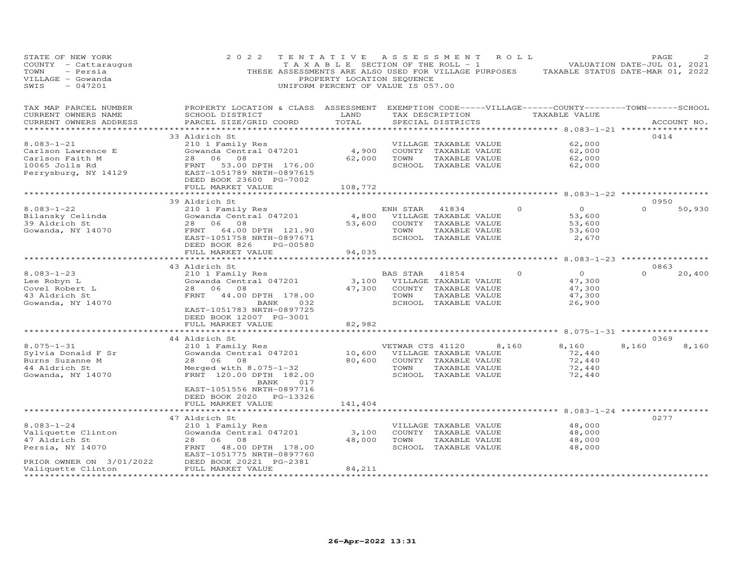| STATE OF NEW YORK<br>COUNTY - Cattaraugus<br>TOWN<br>- Persia<br>VILLAGE - Gowanda<br>$-047201$<br>SWIS | 2 0 2 2<br>THESE ASSESSMENTS ARE ALSO USED FOR VILLAGE PURPOSES                                                                                                                  | TENTATIVE<br>T A X A B L E SECTION OF THE ROLL - 1<br>PROPERTY LOCATION SEQUENCE<br>UNIFORM PERCENT OF VALUE IS 057.00 | ASSESSMENT       |                                               | R O L L | TAXABLE STATUS DATE-MAR 01, 2022                                    | PAGE<br>VALUATION DATE-JUL 01, 2021 |             |
|---------------------------------------------------------------------------------------------------------|----------------------------------------------------------------------------------------------------------------------------------------------------------------------------------|------------------------------------------------------------------------------------------------------------------------|------------------|-----------------------------------------------|---------|---------------------------------------------------------------------|-------------------------------------|-------------|
| TAX MAP PARCEL NUMBER<br>CURRENT OWNERS NAME<br>CURRENT OWNERS ADDRESS                                  | PROPERTY LOCATION & CLASS ASSESSMENT EXEMPTION CODE-----VILLAGE------COUNTY-------TOWN------SCHOOL<br>SCHOOL DISTRICT<br>PARCEL SIZE/GRID COORD<br>***************************** | LAND<br>TOTAL                                                                                                          |                  | TAX DESCRIPTION<br>SPECIAL DISTRICTS          |         | TAXABLE VALUE                                                       |                                     | ACCOUNT NO. |
|                                                                                                         | 33 Aldrich St                                                                                                                                                                    |                                                                                                                        |                  |                                               |         |                                                                     | 0414                                |             |
| $8.083 - 1 - 21$                                                                                        | 210 1 Family Res                                                                                                                                                                 |                                                                                                                        |                  | VILLAGE TAXABLE VALUE                         |         | 62,000                                                              |                                     |             |
| Carlson Lawrence E                                                                                      | Gowanda Central 047201                                                                                                                                                           | 4,900                                                                                                                  |                  | COUNTY TAXABLE VALUE                          |         | 62,000                                                              |                                     |             |
| Carlson Faith M                                                                                         | 28 06<br>08                                                                                                                                                                      | 62,000                                                                                                                 | TOWN             | TAXABLE VALUE                                 |         | 62,000                                                              |                                     |             |
| 10065 Jolls Rd                                                                                          | FRNT<br>53.00 DPTH 176.00                                                                                                                                                        |                                                                                                                        |                  | SCHOOL TAXABLE VALUE                          |         | 62,000                                                              |                                     |             |
| Perrysburg, NY 14129                                                                                    | EAST-1051789 NRTH-0897615                                                                                                                                                        |                                                                                                                        |                  |                                               |         |                                                                     |                                     |             |
|                                                                                                         | DEED BOOK 23600 PG-7002                                                                                                                                                          |                                                                                                                        |                  |                                               |         |                                                                     |                                     |             |
|                                                                                                         | FULL MARKET VALUE                                                                                                                                                                | 108,772                                                                                                                |                  |                                               |         | ********* 8.083-1-22 ***************                                |                                     |             |
|                                                                                                         | 39 Aldrich St                                                                                                                                                                    |                                                                                                                        |                  |                                               |         |                                                                     | 0950                                |             |
| $8.083 - 1 - 22$                                                                                        | 210 1 Family Res                                                                                                                                                                 |                                                                                                                        | ENH STAR         | 41834                                         |         | $\circ$<br>$\Omega$                                                 | $\Omega$                            | 50,930      |
| Bilansky Celinda                                                                                        | Gowanda Central 047201                                                                                                                                                           | 4,800                                                                                                                  |                  | VILLAGE TAXABLE VALUE                         |         | 53,600                                                              |                                     |             |
| 39 Aldrich St                                                                                           | 28 06<br>08                                                                                                                                                                      | 53,600                                                                                                                 |                  | COUNTY TAXABLE VALUE                          |         | 53,600                                                              |                                     |             |
| Gowanda, NY 14070                                                                                       | 64.00 DPTH 121.90<br>FRNT                                                                                                                                                        |                                                                                                                        | TOWN             | TAXABLE VALUE                                 |         | 53,600                                                              |                                     |             |
|                                                                                                         | EAST-1051758 NRTH-0897671                                                                                                                                                        |                                                                                                                        |                  | SCHOOL TAXABLE VALUE                          |         | 2,670                                                               |                                     |             |
|                                                                                                         | DEED BOOK 826<br>PG-00580                                                                                                                                                        |                                                                                                                        |                  |                                               |         |                                                                     |                                     |             |
|                                                                                                         | FULL MARKET VALUE<br>************************                                                                                                                                    | 94,035<br>************                                                                                                 |                  |                                               |         |                                                                     |                                     |             |
|                                                                                                         |                                                                                                                                                                                  |                                                                                                                        |                  |                                               |         | ********* 8.083-1-23 ************                                   |                                     |             |
| $8.083 - 1 - 23$                                                                                        | 43 Aldrich St                                                                                                                                                                    |                                                                                                                        |                  |                                               |         | $\Omega$<br>$\Omega$                                                | 0863<br>$\Omega$                    | 20,400      |
| Lee Robyn L                                                                                             | 210 1 Family Res<br>Gowanda Central 047201                                                                                                                                       | 3,100                                                                                                                  | BAS STAR         | 41854<br>VILLAGE TAXABLE VALUE                |         | 47,300                                                              |                                     |             |
| Covel Robert L                                                                                          | 28 06<br>08                                                                                                                                                                      | 47,300                                                                                                                 |                  | COUNTY TAXABLE VALUE                          |         | 47,300                                                              |                                     |             |
| 43 Aldrich St                                                                                           | 44.00 DPTH 178.00<br>FRNT                                                                                                                                                        |                                                                                                                        | TOWN             | TAXABLE VALUE                                 |         | 47,300                                                              |                                     |             |
| Gowanda, NY 14070                                                                                       | 032<br>BANK                                                                                                                                                                      |                                                                                                                        |                  | SCHOOL TAXABLE VALUE                          |         | 26,900                                                              |                                     |             |
|                                                                                                         | EAST-1051783 NRTH-0897725                                                                                                                                                        |                                                                                                                        |                  |                                               |         |                                                                     |                                     |             |
|                                                                                                         | DEED BOOK 12007 PG-3001                                                                                                                                                          |                                                                                                                        |                  |                                               |         |                                                                     |                                     |             |
|                                                                                                         | FULL MARKET VALUE                                                                                                                                                                | 82,982                                                                                                                 |                  |                                               |         |                                                                     |                                     |             |
|                                                                                                         | ********************                                                                                                                                                             | ***********                                                                                                            |                  |                                               |         | ************************************* 8.075–1–31 ****************** |                                     |             |
|                                                                                                         | 44 Aldrich St                                                                                                                                                                    |                                                                                                                        |                  |                                               |         |                                                                     | 0369                                |             |
| $8.075 - 1 - 31$                                                                                        | 210 1 Family Res                                                                                                                                                                 | 10,600                                                                                                                 | VETWAR CTS 41120 |                                               | 8,160   | 8,160<br>72,440                                                     | 8,160                               | 8,160       |
| Sylvia Donald F Sr<br>Burns Suzanne M                                                                   | Gowanda Central 047201<br>28 06<br>08                                                                                                                                            | 80,600                                                                                                                 |                  | VILLAGE TAXABLE VALUE<br>COUNTY TAXABLE VALUE |         | 72,440                                                              |                                     |             |
| 44 Aldrich St                                                                                           | Merged with $8.075-1-32$                                                                                                                                                         |                                                                                                                        | TOWN             | TAXABLE VALUE                                 |         | 72,440                                                              |                                     |             |
| Gowanda, NY 14070                                                                                       | FRNT 120.00 DPTH 182.00                                                                                                                                                          |                                                                                                                        |                  | SCHOOL TAXABLE VALUE                          |         | 72,440                                                              |                                     |             |
|                                                                                                         | BANK<br>017                                                                                                                                                                      |                                                                                                                        |                  |                                               |         |                                                                     |                                     |             |
|                                                                                                         | EAST-1051556 NRTH-0897716                                                                                                                                                        |                                                                                                                        |                  |                                               |         |                                                                     |                                     |             |
|                                                                                                         | DEED BOOK 2020 PG-13326                                                                                                                                                          |                                                                                                                        |                  |                                               |         |                                                                     |                                     |             |
|                                                                                                         | FULL MARKET VALUE                                                                                                                                                                | 141,404                                                                                                                |                  |                                               |         |                                                                     |                                     |             |
|                                                                                                         |                                                                                                                                                                                  |                                                                                                                        |                  |                                               |         | **** 8.083-1-24 **********                                          |                                     |             |
|                                                                                                         | 47 Aldrich St                                                                                                                                                                    |                                                                                                                        |                  |                                               |         |                                                                     | 0277                                |             |
| $8.083 - 1 - 24$                                                                                        | 210 1 Family Res<br>Gowanda Central 047201                                                                                                                                       | 3,100                                                                                                                  |                  | VILLAGE TAXABLE VALUE                         |         | 48,000<br>48,000                                                    |                                     |             |
| Valiquette Clinton<br>47 Aldrich St                                                                     | 28<br>06<br>08                                                                                                                                                                   | 48,000                                                                                                                 | TOWN             | COUNTY TAXABLE VALUE<br>TAXABLE VALUE         |         | 48,000                                                              |                                     |             |
| Persia, NY 14070                                                                                        | FRNT<br>48.00 DPTH 178.00                                                                                                                                                        |                                                                                                                        |                  | SCHOOL TAXABLE VALUE                          |         | 48,000                                                              |                                     |             |
|                                                                                                         | EAST-1051775 NRTH-0897760                                                                                                                                                        |                                                                                                                        |                  |                                               |         |                                                                     |                                     |             |
| PRIOR OWNER ON 3/01/2022                                                                                | DEED BOOK 20221 PG-2381                                                                                                                                                          |                                                                                                                        |                  |                                               |         |                                                                     |                                     |             |
| Valiquette Clinton                                                                                      | FULL MARKET VALUE                                                                                                                                                                | 84,211                                                                                                                 |                  |                                               |         |                                                                     |                                     |             |
|                                                                                                         |                                                                                                                                                                                  | *************                                                                                                          |                  |                                               |         |                                                                     |                                     |             |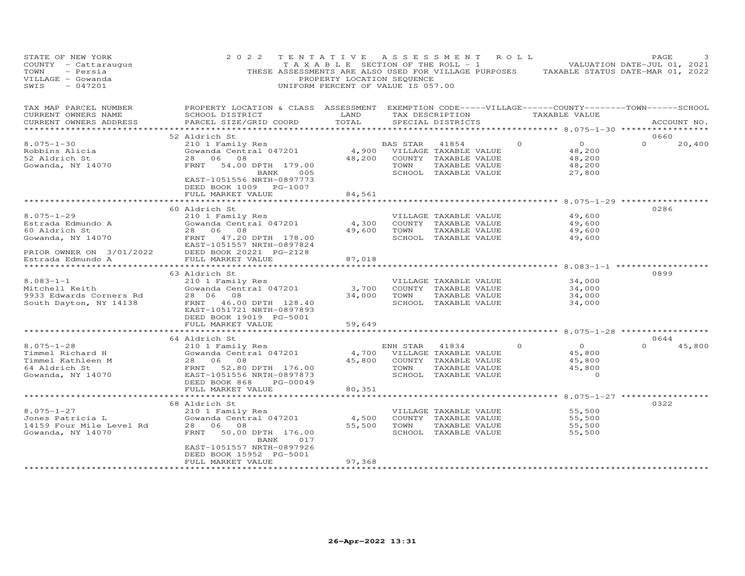| STATE OF NEW YORK<br>COUNTY - Cattaraugus<br>TOWN<br>- Persia<br>VILLAGE - Gowanda<br>SWIS<br>$-047201$ | 2 0 2 2<br>THESE ASSESSMENTS ARE ALSO USED FOR VILLAGE PURPOSES                                                                                                             | TENTATIVE<br>TAXABLE SECTION OF THE ROLL - 1<br>PROPERTY LOCATION SEQUENCE<br>UNIFORM PERCENT OF VALUE IS 057.00 | A S S E S S M E N T |                                                                                                 | ROLL            |                                                                                | PAGE<br>VALUATION DATE-JUL 01, 2021<br>TAXABLE STATUS DATE-MAR 01, 2022 |
|---------------------------------------------------------------------------------------------------------|-----------------------------------------------------------------------------------------------------------------------------------------------------------------------------|------------------------------------------------------------------------------------------------------------------|---------------------|-------------------------------------------------------------------------------------------------|-----------------|--------------------------------------------------------------------------------|-------------------------------------------------------------------------|
| TAX MAP PARCEL NUMBER<br>CURRENT OWNERS NAME<br>CURRENT OWNERS ADDRESS<br>******************            | PROPERTY LOCATION & CLASS ASSESSMENT<br>SCHOOL DISTRICT<br>PARCEL SIZE/GRID COORD                                                                                           | LAND<br>TOTAL                                                                                                    |                     | SPECIAL DISTRICTS                                                                               | TAX DESCRIPTION | EXEMPTION CODE-----VILLAGE------COUNTY-------TOWN------SCHOOL<br>TAXABLE VALUE | ACCOUNT NO.                                                             |
|                                                                                                         | 52 Aldrich St                                                                                                                                                               |                                                                                                                  |                     |                                                                                                 |                 |                                                                                | 0660                                                                    |
| $8.075 - 1 - 30$<br>Robbins Alicia<br>52 Aldrich St<br>Gowanda, NY 14070                                | 210 1 Family Res<br>Gowanda Central 047201<br>28 06 08<br>FRNT<br>54.00 DPTH 179.00<br>BANK<br>005<br>EAST-1051556 NRTH-0897773                                             | 4,900<br>48,200                                                                                                  | BAS STAR<br>TOWN    | 41854<br>VILLAGE TAXABLE VALUE<br>COUNTY TAXABLE VALUE<br>TAXABLE VALUE<br>SCHOOL TAXABLE VALUE | $\Omega$        | $\circ$<br>48,200<br>48,200<br>48,200<br>27,800                                | $\Omega$<br>20,400                                                      |
|                                                                                                         | DEED BOOK 1009 PG-1007                                                                                                                                                      |                                                                                                                  |                     |                                                                                                 |                 |                                                                                |                                                                         |
|                                                                                                         | FULL MARKET VALUE                                                                                                                                                           | 84,561<br>* * * * * * * * * *                                                                                    |                     |                                                                                                 |                 | *********** 8.075-1-29 ************                                            |                                                                         |
| $8.075 - 1 - 29$<br>Estrada Edmundo A<br>60 Aldrich St<br>Gowanda, NY 14070                             | 60 Aldrich St<br>210 1 Family Res<br>Gowanda Central 047201<br>28 06<br>08<br>FRNT<br>47.20 DPTH 178.00<br>EAST-1051557 NRTH-0897824                                        | 4,300<br>49,600                                                                                                  | TOWN                | VILLAGE TAXABLE VALUE<br>COUNTY TAXABLE VALUE<br>TAXABLE VALUE<br>SCHOOL TAXABLE VALUE          |                 | 49,600<br>49,600<br>49,600<br>49,600                                           | 0286                                                                    |
| PRIOR OWNER ON 3/01/2022                                                                                | DEED BOOK 20221 PG-2128                                                                                                                                                     |                                                                                                                  |                     |                                                                                                 |                 |                                                                                |                                                                         |
| Estrada Edmundo A<br>*****************                                                                  | FULL MARKET VALUE                                                                                                                                                           | 87,018                                                                                                           |                     |                                                                                                 |                 | ************* 8.083-1-1 ************                                           |                                                                         |
| $8.083 - 1 - 1$<br>Mitchell Keith<br>9933 Edwards Corners Rd<br>South Dayton, NY 14138                  | 63 Aldrich St<br>210 1 Family Res<br>Gowanda Central 047201<br>28 06<br>08<br>FRNT 46.00 DPTH 128.40<br>EAST-1051721 NRTH-0897893<br>DEED BOOK 19019 PG-5001                | 3,700<br>34,000                                                                                                  | TOWN                | VILLAGE TAXABLE VALUE<br>COUNTY TAXABLE VALUE<br>TAXABLE VALUE<br>SCHOOL TAXABLE VALUE          |                 | 34,000<br>34,000<br>34,000<br>34,000                                           | 0899                                                                    |
|                                                                                                         | FULL MARKET VALUE                                                                                                                                                           | 59,649                                                                                                           |                     |                                                                                                 |                 |                                                                                |                                                                         |
|                                                                                                         | 64 Aldrich St                                                                                                                                                               |                                                                                                                  |                     |                                                                                                 |                 |                                                                                | 0644                                                                    |
| $8.075 - 1 - 28$<br>Timmel Richard H<br>Timmel Kathleen M<br>64 Aldrich St<br>Gowanda, NY 14070         | 210 1 Family Res<br>Gowanda Central 047201<br>28 06<br>08<br>52.80 DPTH 176.00<br>FRNT<br>EAST-1051556 NRTH-0897873<br>DEED BOOK 868<br>PG-00049<br>FULL MARKET VALUE       | 4,700<br>45,800<br>80,351                                                                                        | ENH STAR<br>TOWN    | 41834<br>VILLAGE TAXABLE VALUE<br>COUNTY TAXABLE VALUE<br>TAXABLE VALUE<br>SCHOOL TAXABLE VALUE | $\Omega$        | $\Omega$<br>45,800<br>45,800<br>45,800<br>$\circ$                              | 45,800<br>$\Omega$                                                      |
|                                                                                                         | **************************                                                                                                                                                  |                                                                                                                  |                     |                                                                                                 |                 | ***************** 8.075-1-27 *****************                                 |                                                                         |
| $8.075 - 1 - 27$<br>Jones Patricia L<br>14159 Four Mile Level Rd<br>Gowanda, NY 14070                   | 68 Aldrich St<br>210 1 Family Res<br>Gowanda Central 047201<br>28 06 08<br>50.00 DPTH 176.00<br>FRNT<br>017<br>BANK<br>EAST-1051557 NRTH-0897926<br>DEED BOOK 15952 PG-5001 | 4,500<br>55,500                                                                                                  | TOWN                | VILLAGE TAXABLE VALUE<br>COUNTY TAXABLE VALUE<br>TAXABLE VALUE<br>SCHOOL TAXABLE VALUE          |                 | 55,500<br>55,500<br>55,500<br>55,500                                           | 0322                                                                    |
|                                                                                                         | FULL MARKET VALUE                                                                                                                                                           | 97,368                                                                                                           |                     |                                                                                                 |                 |                                                                                |                                                                         |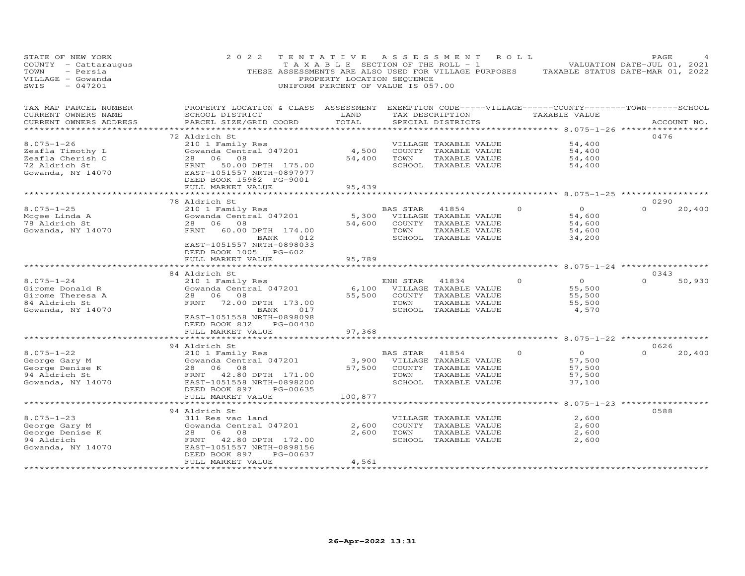| STATE OF NEW YORK<br>COUNTY<br>- Cattaraugus<br>TOWN<br>- Persia<br>VILLAGE - Gowanda<br>SWIS<br>$-047201$ | 2 0 2 2<br>THESE ASSESSMENTS ARE ALSO USED FOR VILLAGE PURPOSES                                                                                                                         | TENTATIVE<br>TAXABLE<br>PROPERTY LOCATION SEQUENCE<br>UNIFORM PERCENT OF VALUE IS 057.00 | SECTION OF THE ROLL - 1 | A S S E S S M E N T                                                                             | R O L L  |                                                                      | PAGE<br>VALUATION DATE-JUL 01, 2021<br>TAXABLE STATUS DATE-MAR 01, 2022       |
|------------------------------------------------------------------------------------------------------------|-----------------------------------------------------------------------------------------------------------------------------------------------------------------------------------------|------------------------------------------------------------------------------------------|-------------------------|-------------------------------------------------------------------------------------------------|----------|----------------------------------------------------------------------|-------------------------------------------------------------------------------|
| TAX MAP PARCEL NUMBER<br>CURRENT OWNERS NAME<br>CURRENT OWNERS ADDRESS                                     | PROPERTY LOCATION & CLASS ASSESSMENT<br>SCHOOL DISTRICT<br>PARCEL SIZE/GRID COORD                                                                                                       | LAND<br>TOTAL<br>* * * * * * * *                                                         |                         | TAX DESCRIPTION<br>SPECIAL DISTRICTS                                                            |          | TAXABLE VALUE<br>********* 8.075-1-26 ***                            | EXEMPTION CODE-----VILLAGE------COUNTY--------TOWN------SCHOOL<br>ACCOUNT NO. |
| $8.075 - 1 - 26$<br>Zeafla Timothy L<br>Zeafla Cherish C<br>72 Aldrich St<br>Gowanda, NY 14070             | 72 Aldrich St<br>210 1 Family Res<br>Gowanda Central 047201<br>06<br>28<br>08<br>FRNT<br>50.00 DPTH 175.00<br>EAST-1051557 NRTH-0897977<br>DEED BOOK 15982 PG-9001<br>FULL MARKET VALUE | 4,500<br>54,400<br>95,439                                                                | TOWN                    | VILLAGE TAXABLE VALUE<br>COUNTY TAXABLE VALUE<br>TAXABLE VALUE<br>SCHOOL TAXABLE VALUE          |          | 54,400<br>54,400<br>54,400<br>54,400                                 | 0476                                                                          |
|                                                                                                            |                                                                                                                                                                                         |                                                                                          |                         |                                                                                                 |          | $8.075 - 1 - 25$ ***                                                 |                                                                               |
| $8.075 - 1 - 25$<br>Mcgee Linda A<br>78 Aldrich St<br>Gowanda, NY 14070                                    | 78 Aldrich St<br>210 1 Family Res<br>Gowanda Central 047201<br>28<br>06<br>08<br>FRNT<br>60.00 DPTH 174.00<br>BANK<br>012<br>EAST-1051557 NRTH-0898033<br>DEED BOOK 1005 PG-602         | 5,300<br>54,600                                                                          | BAS STAR<br>TOWN        | 41854<br>VILLAGE TAXABLE VALUE<br>COUNTY TAXABLE VALUE<br>TAXABLE VALUE<br>SCHOOL TAXABLE VALUE | 0        | $\circ$<br>54,600<br>54,600<br>54,600<br>34,200                      | 0290<br>$\Omega$<br>20,400                                                    |
|                                                                                                            | FULL MARKET VALUE                                                                                                                                                                       | 95,789                                                                                   |                         |                                                                                                 |          |                                                                      |                                                                               |
|                                                                                                            |                                                                                                                                                                                         |                                                                                          |                         |                                                                                                 |          | ******** 8.075-1-24 *****                                            |                                                                               |
| $8.075 - 1 - 24$<br>Girome Donald R<br>Girome Theresa A<br>84 Aldrich St<br>Gowanda, NY 14070              | 84 Aldrich St<br>210 1 Family Res<br>Gowanda Central 047201<br>06<br>28<br>08<br>FRNT<br>72.00 DPTH 173.00<br><b>BANK</b><br>017<br>EAST-1051558 NRTH-0898098<br>PG-00430               | 6,100<br>55,500                                                                          | ENH STAR<br>TOWN        | 41834<br>VILLAGE TAXABLE VALUE<br>COUNTY TAXABLE VALUE<br>TAXABLE VALUE<br>SCHOOL TAXABLE VALUE | $\Omega$ | $\circ$<br>55,500<br>55,500<br>55,500<br>4,570                       | 0343<br>$\Omega$<br>50,930                                                    |
|                                                                                                            | DEED BOOK 832<br>FULL MARKET VALUE                                                                                                                                                      | 97,368                                                                                   |                         |                                                                                                 |          |                                                                      |                                                                               |
|                                                                                                            |                                                                                                                                                                                         |                                                                                          |                         |                                                                                                 |          | ********** 8.075-1-22 ************                                   |                                                                               |
| $8.075 - 1 - 22$<br>George Gary M<br>George Denise K<br>94 Aldrich St<br>Gowanda, NY 14070                 | 94 Aldrich St<br>210 1 Family Res<br>Gowanda Central 047201<br>28<br>06<br>08<br>42.80 DPTH 171.00<br>FRNT<br>EAST-1051558 NRTH-0898200<br>DEED BOOK 897<br>PG-00635                    | 3,900<br>57,500                                                                          | <b>BAS STAR</b><br>TOWN | 41854<br>VILLAGE TAXABLE VALUE<br>COUNTY TAXABLE VALUE<br>TAXABLE VALUE<br>SCHOOL TAXABLE VALUE | $\circ$  | $\Omega$<br>57,500<br>57,500<br>57,500<br>37,100                     | 0626<br>$\Omega$<br>20,400                                                    |
|                                                                                                            | FULL MARKET VALUE                                                                                                                                                                       | 100,877                                                                                  |                         |                                                                                                 |          |                                                                      |                                                                               |
| $8.075 - 1 - 23$<br>George Gary M<br>George Denise K<br>94 Aldrich<br>Gowanda, NY 14070                    | 94 Aldrich St<br>311 Res vac land<br>Gowanda Central 047201<br>28<br>06<br>08<br>FRNT<br>42.80 DPTH 172.00<br>EAST-1051557 NRTH-0898156<br>DEED BOOK 897<br>PG-00637                    | 2,600<br>2,600                                                                           | TOWN                    | VILLAGE TAXABLE VALUE<br>COUNTY TAXABLE VALUE<br>TAXABLE VALUE<br>SCHOOL TAXABLE VALUE          |          | ******* 8.075-1-23 *************<br>2,600<br>2,600<br>2,600<br>2,600 | 0588                                                                          |
|                                                                                                            | FULL MARKET VALUE<br>* * * * * * * * * * * * * * * * * * *                                                                                                                              | 4,561<br>* * * * * * * * *                                                               |                         |                                                                                                 |          |                                                                      |                                                                               |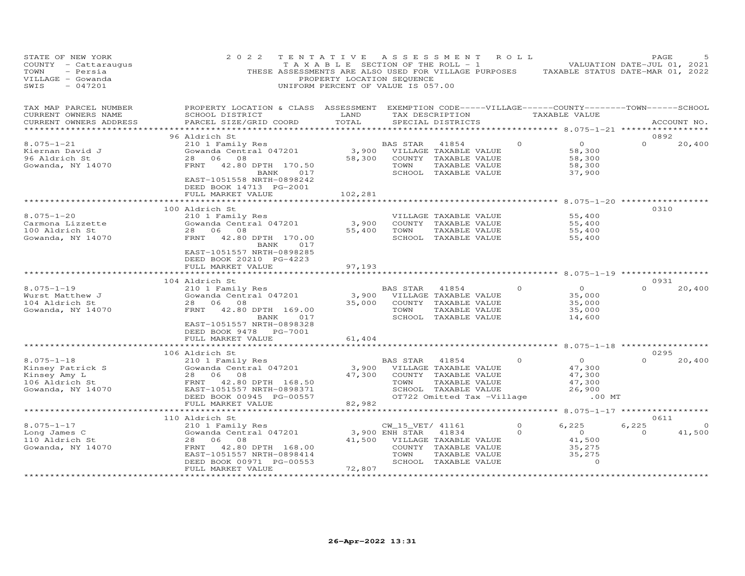| STATE OF NEW YORK<br>COUNTY - Cattaraugus<br>TOWN<br>- Persia<br>VILLAGE - Gowanda<br>SWIS<br>$-047201$       | 2 0 2 2                                                                                                                                                              | TENTATIVE<br>PROPERTY LOCATION SEQUENCE<br>UNIFORM PERCENT OF VALUE IS 057.00 | A S S E S S M E N T                        |                                                                                                 | R O L L              | T A X A B L E SECTION OF THE ROLL - 1 VALUATION DATE-JUL 01, 2021<br>THESE ASSESSMENTS ARE ALSO USED FOR VILLAGE PURPOSES TAXABLE STATUS DATE-MAR 01, 2022 | PAGE                      |                    |
|---------------------------------------------------------------------------------------------------------------|----------------------------------------------------------------------------------------------------------------------------------------------------------------------|-------------------------------------------------------------------------------|--------------------------------------------|-------------------------------------------------------------------------------------------------|----------------------|------------------------------------------------------------------------------------------------------------------------------------------------------------|---------------------------|--------------------|
| TAX MAP PARCEL NUMBER<br>CURRENT OWNERS NAME<br>CURRENT OWNERS ADDRESS                                        | PROPERTY LOCATION & CLASS ASSESSMENT EXEMPTION CODE-----VILLAGE------COUNTY-------TOWN------SCHOOL<br>SCHOOL DISTRICT<br>PARCEL SIZE/GRID COORD                      | LAND<br>TOTAL                                                                 |                                            | TAX DESCRIPTION<br>SPECIAL DISTRICTS                                                            |                      | TAXABLE VALUE                                                                                                                                              |                           | ACCOUNT NO.        |
| ***********************                                                                                       |                                                                                                                                                                      |                                                                               |                                            |                                                                                                 |                      |                                                                                                                                                            |                           |                    |
| $8.075 - 1 - 21$<br>Kiernan David J<br>96 Aldrich St<br>Gowanda, NY 14070                                     | 96 Aldrich St<br>210 1 Family Res<br>Gowanda Central 047201<br>28 06 08<br>FRNT 42.80 DPTH 170.50<br>017<br>BANK                                                     | 3,900<br>58,300                                                               | BAS STAR<br>TOWN                           | 41854<br>VILLAGE TAXABLE VALUE<br>COUNTY TAXABLE VALUE<br>TAXABLE VALUE<br>SCHOOL TAXABLE VALUE | $\Omega$             | $\circ$<br>58,300<br>58,300<br>58,300<br>37,900                                                                                                            | 0892<br>$\Omega$          | 20,400             |
|                                                                                                               | EAST-1051558 NRTH-0898242<br>DEED BOOK 14713 PG-2001<br>FULL MARKET VALUE<br>*******************                                                                     | 102,281                                                                       |                                            |                                                                                                 |                      |                                                                                                                                                            |                           |                    |
|                                                                                                               | 100 Aldrich St                                                                                                                                                       |                                                                               |                                            |                                                                                                 |                      |                                                                                                                                                            | 0310                      |                    |
| $8.075 - 1 - 20$<br>Carmona Lizzette<br>100 Aldrich St<br>Gowanda, NY 14070                                   | 210 1 Family Res<br>Gowanda Central 047201<br>28 06 08<br>42.80 DPTH 170.00<br>FRNT<br>017<br>BANK                                                                   | 3,900<br>55,400                                                               | TOWN                                       | VILLAGE TAXABLE VALUE<br>COUNTY TAXABLE VALUE<br>TAXABLE VALUE<br>SCHOOL TAXABLE VALUE          |                      | 55,400<br>55,400<br>55,400<br>55,400                                                                                                                       |                           |                    |
|                                                                                                               | EAST-1051557 NRTH-0898285<br>DEED BOOK 20210 PG-4223<br>FULL MARKET VALUE                                                                                            | 97,193<br>*********                                                           |                                            |                                                                                                 |                      | ************* 8.075-1-19 *************                                                                                                                     |                           |                    |
|                                                                                                               | 104 Aldrich St                                                                                                                                                       |                                                                               |                                            |                                                                                                 |                      |                                                                                                                                                            | 0931                      |                    |
| $8.075 - 1 - 19$<br>Wurst Matthew J<br>104 Aldrich St<br>Gowanda, NY 14070                                    | 210 1 Family Res<br>Gowanda Central 047201<br>06<br>28<br>08<br>FRNT<br>42.80 DPTH 169.00<br>BANK<br>017<br>EAST-1051557 NRTH-0898328                                | 3,900<br>35,000                                                               | BAS STAR<br>TOWN                           | 41854<br>VILLAGE TAXABLE VALUE<br>COUNTY TAXABLE VALUE<br>TAXABLE VALUE<br>SCHOOL TAXABLE VALUE | $\Omega$             | $\circ$<br>35,000<br>35,000<br>35,000<br>14,600                                                                                                            | $\Omega$                  | 20,400             |
|                                                                                                               | DEED BOOK 9478 PG-7001<br>FULL MARKET VALUE                                                                                                                          | 61,404                                                                        |                                            |                                                                                                 |                      |                                                                                                                                                            |                           |                    |
|                                                                                                               | *******************<br>106 Aldrich St                                                                                                                                | ***********************                                                       |                                            |                                                                                                 |                      | ********************* 8.075-1-18 *****************                                                                                                         | 0295                      |                    |
| $8.075 - 1 - 18$<br>Kinsey Patrick S<br>Kinsey Amy L<br>106 Aldrich St<br>106 Aldrich St<br>Gowanda, NY 14070 | 210 1 Family Res<br>Gowanda Central 047201<br>08<br>28 06<br>FRNT<br>42.80 DPTH 168.50<br>EAST-1051557 NRTH-0898371                                                  | 3,900<br>47,300                                                               | BAS STAR<br>TOWN                           | 41854<br>VILLAGE TAXABLE VALUE<br>COUNTY TAXABLE VALUE<br>TAXABLE VALUE<br>SCHOOL TAXABLE VALUE | $\Omega$             | $\overline{O}$<br>47,300<br>47,300<br>47,300<br>26,900                                                                                                     | $\Omega$                  | 20,400             |
|                                                                                                               | DEED BOOK 00945 PG-00557<br>FULL MARKET VALUE                                                                                                                        | 82,982                                                                        |                                            | OT722 Omitted Tax -Village                                                                      |                      | $.00$ MT                                                                                                                                                   |                           |                    |
|                                                                                                               | ***********************                                                                                                                                              |                                                                               |                                            |                                                                                                 |                      | ******************* 8.075-1-17 ***************                                                                                                             |                           |                    |
| $8.075 - 1 - 17$<br>Long James C<br>110 Aldrich St<br>Gowanda, NY 14070                                       | 110 Aldrich St<br>210 1 Family Res<br>Gowanda Central 047201<br>08<br>28<br>06<br>FRNT<br>42.80 DPTH 168.00<br>EAST-1051557 NRTH-0898414<br>DEED BOOK 00971 PG-00553 | 41,500                                                                        | CW_15_VET/ 41161<br>3,900 ENH STAR<br>TOWN | 41834<br>VILLAGE TAXABLE VALUE<br>COUNTY TAXABLE VALUE<br>TAXABLE VALUE<br>SCHOOL TAXABLE VALUE | $\Omega$<br>$\Omega$ | 6,225<br>$\overline{O}$<br>41,500<br>35,275<br>35,275<br>$\circ$                                                                                           | 0611<br>6,225<br>$\Omega$ | $\Omega$<br>41,500 |
|                                                                                                               | FULL MARKET VALUE<br>* * * * * * * * * * * * * * * * * *                                                                                                             | 72,807                                                                        |                                            |                                                                                                 |                      |                                                                                                                                                            |                           |                    |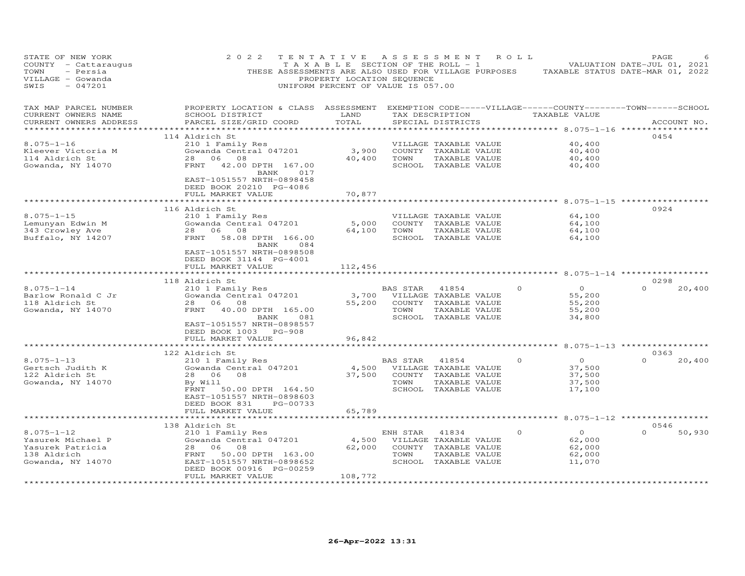| STATE OF NEW YORK<br>COUNTY - Cattaraugus<br>TOWN<br>- Persia<br>VILLAGE - Gowanda<br>$-047201$<br>SWIS | 2 0 2 2                                                                                                                                                                                                                       | TENTATIVE<br>T A X A B L E SECTION OF THE ROLL - 1<br>PROPERTY LOCATION SEQUENCE<br>UNIFORM PERCENT OF VALUE IS 057.00 | A S S E S S M E N T |                                                                                                 | R O L L  | THESE ASSESSMENTS ARE ALSO USED FOR VILLAGE PURPOSES TAXABLE STATUS DATE-MAR 01, 2022                                            | PAGE<br>VALUATION DATE-JUL 01, 2021 |             |
|---------------------------------------------------------------------------------------------------------|-------------------------------------------------------------------------------------------------------------------------------------------------------------------------------------------------------------------------------|------------------------------------------------------------------------------------------------------------------------|---------------------|-------------------------------------------------------------------------------------------------|----------|----------------------------------------------------------------------------------------------------------------------------------|-------------------------------------|-------------|
| TAX MAP PARCEL NUMBER<br>CURRENT OWNERS NAME<br>CURRENT OWNERS ADDRESS                                  | PROPERTY LOCATION & CLASS ASSESSMENT EXEMPTION CODE-----VILLAGE------COUNTY-------TOWN------SCHOOL<br>SCHOOL DISTRICT<br>PARCEL SIZE/GRID COORD                                                                               | LAND<br>TOTAL                                                                                                          |                     | TAX DESCRIPTION<br>SPECIAL DISTRICTS                                                            |          | TAXABLE VALUE                                                                                                                    |                                     | ACCOUNT NO. |
| $8.075 - 1 - 16$<br>Kleever Victoria M<br>114 Aldrich St<br>Gowanda, NY 14070                           | 114 Aldrich St<br>210 1 Family Res<br>Gowanda Central 047201<br>28 06 08<br>FRNT 42.00 DPTH 167.00<br>017<br>BANK<br>EAST-1051557 NRTH-0898458<br>DEED BOOK 20210 PG-4086<br>FULL MARKET VALUE                                | 3,900<br>40,400<br>70,877                                                                                              | TOWN                | VILLAGE TAXABLE VALUE<br>COUNTY TAXABLE VALUE<br>TAXABLE VALUE<br>SCHOOL TAXABLE VALUE          |          | ********** 8.075-1-16<br>40,400<br>40,400<br>40,400<br>40,400                                                                    | 0454                                |             |
| $8.075 - 1 - 15$<br>Lemunyan Edwin M<br>343 Crowley Ave<br>Buffalo, NY 14207                            | 116 Aldrich St<br>210 1 Family Res<br>Gowanda Central 047201<br>28 06 08<br>58.08 DPTH 166.00<br>FRNT<br>BANK<br>084<br>EAST-1051557 NRTH-0898508<br>DEED BOOK 31144 PG-4001<br>FULL MARKET VALUE<br>************************ | 5,000<br>64,100<br>112,456<br>*****************                                                                        | TOWN                | VILLAGE TAXABLE VALUE<br>COUNTY TAXABLE VALUE<br>TAXABLE VALUE<br>SCHOOL TAXABLE VALUE          |          | ************ 8.075-1-15 *****<br>64,100<br>64,100<br>64,100<br>64,100<br>******************************** 8.075-1-14 *********** | 0924                                |             |
| $8.075 - 1 - 14$<br>Barlow Ronald C Jr<br>118 Aldrich St<br>Gowanda, NY 14070                           | 118 Aldrich St<br>210 1 Family Res<br>Gowanda Central 047201<br>28<br>06<br>08<br>FRNT<br>40.00 DPTH 165.00<br>BANK<br>081<br>EAST-1051557 NRTH-0898557<br>DEED BOOK 1003 PG-908                                              | 3,700<br>55,200                                                                                                        | BAS STAR<br>TOWN    | 41854<br>VILLAGE TAXABLE VALUE<br>COUNTY TAXABLE VALUE<br>TAXABLE VALUE<br>SCHOOL TAXABLE VALUE | $\Omega$ | $\circ$<br>55,200<br>55,200<br>55,200<br>34,800                                                                                  | 0298<br>$\Omega$                    | 20,400      |
|                                                                                                         | FULL MARKET VALUE                                                                                                                                                                                                             | 96,842                                                                                                                 |                     |                                                                                                 |          |                                                                                                                                  |                                     |             |
| $8.075 - 1 - 13$<br>Gertsch Judith K<br>122 Aldrich St<br>Gowanda, NY 14070                             | 122 Aldrich St<br>210 1 Family Res<br>Gowanda Central 047201<br>28 06<br>08<br>By Will<br>FRNT<br>50.00 DPTH 164.50<br>EAST-1051557 NRTH-0898603<br>DEED BOOK 831<br>PG-00733                                                 | 4,500<br>37,500                                                                                                        | BAS STAR<br>TOWN    | 41854<br>VILLAGE TAXABLE VALUE<br>COUNTY TAXABLE VALUE<br>TAXABLE VALUE<br>SCHOOL TAXABLE VALUE | $\Omega$ | $\overline{O}$<br>37,500<br>37,500<br>37,500<br>17,100                                                                           | 0363<br>$\Omega$                    | 20,400      |
|                                                                                                         | FULL MARKET VALUE<br>*******************                                                                                                                                                                                      | 65,789                                                                                                                 |                     |                                                                                                 |          |                                                                                                                                  |                                     |             |
| $8.075 - 1 - 12$<br>Yasurek Michael P<br>Yasurek Patricia<br>138 Aldrich<br>Gowanda, NY 14070           | 138 Aldrich St<br>210 1 Family Res<br>Gowanda Central 047201<br>28<br>06<br>08<br>FRNT<br>50.00 DPTH 163.00<br>EAST-1051557 NRTH-0898652<br>DEED BOOK 00916 PG-00259<br>FULL MARKET VALUE                                     | 4,500<br>62,000<br>108,772                                                                                             | ENH STAR<br>TOWN    | 41834<br>VILLAGE TAXABLE VALUE<br>COUNTY TAXABLE VALUE<br>TAXABLE VALUE<br>SCHOOL TAXABLE VALUE | $\Omega$ | ******** 8.075-1-12 ***************<br>$\circ$<br>62,000<br>62,000<br>62,000<br>11,070                                           | 0546<br>$\Omega$                    | 50,930      |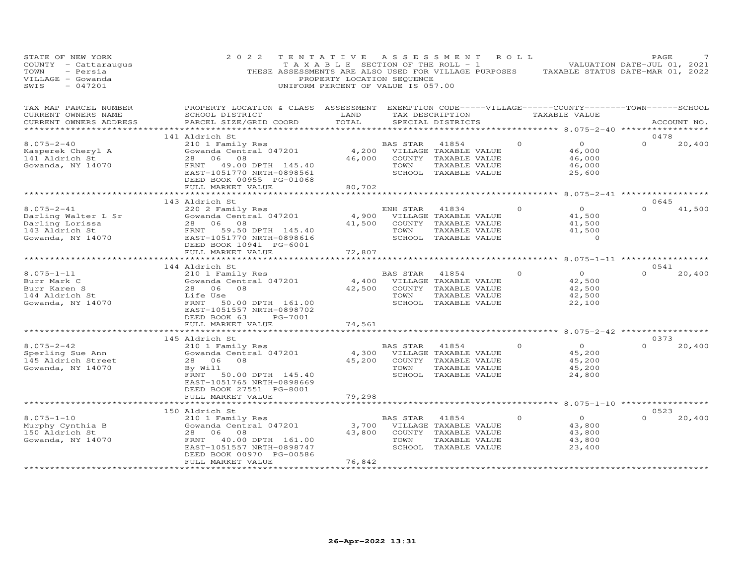| STATE OF NEW YORK<br>COUNTY - Cattaraugus<br>TOWN<br>- Persia<br>VILLAGE - Gowanda<br>SWIS<br>$-047201$ | 2 0 2 2<br>TENTATIVE<br>THESE ASSESSMENTS ARE ALSO USED FOR VILLAGE PURPOSES                                                                     | T A X A B L E SECTION OF THE ROLL - 1<br>PROPERTY LOCATION SEQUENCE<br>UNIFORM PERCENT OF VALUE IS 057.00 | A S S E S S M E N T |                                               | ROLL     |                                           | PAGE<br>VALUATION DATE-JUL 01, 2021<br>TAXABLE STATUS DATE-MAR 01, 2022 |  |
|---------------------------------------------------------------------------------------------------------|--------------------------------------------------------------------------------------------------------------------------------------------------|-----------------------------------------------------------------------------------------------------------|---------------------|-----------------------------------------------|----------|-------------------------------------------|-------------------------------------------------------------------------|--|
| TAX MAP PARCEL NUMBER<br>CURRENT OWNERS NAME<br>CURRENT OWNERS ADDRESS<br>*********************         | PROPERTY LOCATION & CLASS ASSESSMENT EXEMPTION CODE-----VILLAGE------COUNTY--------TOWN------SCHOOL<br>SCHOOL DISTRICT<br>PARCEL SIZE/GRID COORD | LAND<br>TOTAL                                                                                             |                     | SPECIAL DISTRICTS                             |          | TAX DESCRIPTION TAXABLE VALUE             | ACCOUNT NO.                                                             |  |
|                                                                                                         | 141 Aldrich St                                                                                                                                   |                                                                                                           |                     |                                               |          |                                           | 0478                                                                    |  |
| $8.075 - 2 - 40$                                                                                        | 210 1 Family Res                                                                                                                                 |                                                                                                           | BAS STAR            | 41854                                         | $\Omega$ | $\overline{O}$                            | $\Omega$<br>20,400                                                      |  |
| Kasperek Cheryl A<br>141 Aldrich St                                                                     | Gowanda Central 047201<br>28 06 08                                                                                                               | 4,200<br>46,000                                                                                           |                     | VILLAGE TAXABLE VALUE<br>COUNTY TAXABLE VALUE |          | 46,000<br>46,000                          |                                                                         |  |
| Gowanda, NY 14070                                                                                       | FRNT 49.00 DPTH 145.40                                                                                                                           |                                                                                                           | TOWN                | TAXABLE VALUE                                 |          | 46,000                                    |                                                                         |  |
|                                                                                                         | EAST-1051770 NRTH-0898561<br>DEED BOOK 00955 PG-01068                                                                                            |                                                                                                           |                     | SCHOOL TAXABLE VALUE                          |          | 25,600                                    |                                                                         |  |
|                                                                                                         | FULL MARKET VALUE                                                                                                                                | 80,702                                                                                                    |                     |                                               |          |                                           |                                                                         |  |
|                                                                                                         | ******************                                                                                                                               |                                                                                                           |                     |                                               |          | ******** 8.075-2-41 ***********           | 0645                                                                    |  |
| $8.075 - 2 - 41$                                                                                        | 143 Aldrich St<br>220 2 Family Res                                                                                                               |                                                                                                           | ENH STAR            | 41834                                         | $\circ$  | $\overline{0}$                            | $\Omega$<br>41,500                                                      |  |
| Darling Walter L Sr                                                                                     | Gowanda Central 047201                                                                                                                           | 4,900                                                                                                     |                     | VILLAGE TAXABLE VALUE                         |          | 41,500                                    |                                                                         |  |
| Darling Lorissa                                                                                         | 28 06 08                                                                                                                                         | 41,500                                                                                                    |                     | COUNTY TAXABLE VALUE                          |          | 41,500                                    |                                                                         |  |
| 143 Aldrich St                                                                                          | FRNT<br>59.50 DPTH 145.40                                                                                                                        |                                                                                                           | TOWN                | TAXABLE VALUE                                 |          | 41,500                                    |                                                                         |  |
| Gowanda, NY 14070                                                                                       | EAST-1051770 NRTH-0898616                                                                                                                        |                                                                                                           |                     | SCHOOL TAXABLE VALUE                          |          | $\Omega$                                  |                                                                         |  |
|                                                                                                         | DEED BOOK 10941 PG-6001<br>FULL MARKET VALUE                                                                                                     | 72,807                                                                                                    |                     |                                               |          |                                           |                                                                         |  |
|                                                                                                         |                                                                                                                                                  | *********                                                                                                 |                     |                                               |          | ******** 8.075-1-11 ************          |                                                                         |  |
|                                                                                                         | 144 Aldrich St                                                                                                                                   |                                                                                                           |                     |                                               |          |                                           | 0541                                                                    |  |
| $8.075 - 1 - 11$                                                                                        | 210 1 Family Res                                                                                                                                 |                                                                                                           | BAS STAR            | 41854                                         | $\Omega$ | $\overline{O}$                            | $\Omega$<br>20,400                                                      |  |
| Burr Mark C                                                                                             | Gowanda Central 047201                                                                                                                           | 4,400                                                                                                     |                     | VILLAGE TAXABLE VALUE                         |          | 42,500                                    |                                                                         |  |
| Burr Karen S                                                                                            | 28<br>06 08                                                                                                                                      | 42,500                                                                                                    |                     | COUNTY TAXABLE VALUE                          |          | 42,500                                    |                                                                         |  |
| 144 Aldrich St<br>Gowanda, NY 14070                                                                     | Life Use<br>FRNT                                                                                                                                 |                                                                                                           | TOWN                | TAXABLE VALUE<br>SCHOOL TAXABLE VALUE         |          | 42,500<br>22,100                          |                                                                         |  |
|                                                                                                         | 50.00 DPTH 161.00<br>EAST-1051557 NRTH-0898702                                                                                                   |                                                                                                           |                     |                                               |          |                                           |                                                                         |  |
|                                                                                                         | DEED BOOK 63<br>PG-7001                                                                                                                          |                                                                                                           |                     |                                               |          |                                           |                                                                         |  |
|                                                                                                         | FULL MARKET VALUE                                                                                                                                | 74,561                                                                                                    |                     |                                               |          |                                           |                                                                         |  |
|                                                                                                         |                                                                                                                                                  |                                                                                                           |                     |                                               |          | **** 8.075-2-42 **********                |                                                                         |  |
|                                                                                                         | 145 Aldrich St                                                                                                                                   |                                                                                                           |                     |                                               |          |                                           | 0373<br>$\Omega$                                                        |  |
| $8.075 - 2 - 42$<br>Sperling Sue Ann                                                                    | 210 1 Family Res<br>Gowanda Central 047201                                                                                                       | 4,300                                                                                                     | BAS STAR            | 41854<br>VILLAGE TAXABLE VALUE                | $\Omega$ | $\overline{O}$<br>45,200                  | 20,400                                                                  |  |
| 145 Aldrich Street                                                                                      | 08<br>28 06                                                                                                                                      | 45,200                                                                                                    |                     | COUNTY TAXABLE VALUE                          |          | 45,200                                    |                                                                         |  |
| Gowanda, NY 14070                                                                                       | By Will                                                                                                                                          |                                                                                                           | TOWN                | TAXABLE VALUE                                 |          | 45,200                                    |                                                                         |  |
|                                                                                                         | FRNT<br>50.00 DPTH 145.40                                                                                                                        |                                                                                                           |                     | SCHOOL TAXABLE VALUE                          |          | 24,800                                    |                                                                         |  |
|                                                                                                         | EAST-1051765 NRTH-0898669                                                                                                                        |                                                                                                           |                     |                                               |          |                                           |                                                                         |  |
|                                                                                                         | DEED BOOK 27551 PG-8001                                                                                                                          |                                                                                                           |                     |                                               |          |                                           |                                                                         |  |
|                                                                                                         | FULL MARKET VALUE<br>**********************                                                                                                      | 79,298<br>************                                                                                    |                     |                                               |          | *********** 8.075-1-10 ****************** |                                                                         |  |
|                                                                                                         | 150 Aldrich St                                                                                                                                   |                                                                                                           |                     |                                               |          |                                           | 0523                                                                    |  |
| $8.075 - 1 - 10$                                                                                        | 210 1 Family Res                                                                                                                                 |                                                                                                           | BAS STAR            | 41854                                         | $\circ$  | $\circ$                                   | $\Omega$<br>20,400                                                      |  |
| Murphy Cynthia B                                                                                        | Gowanda Central 047201                                                                                                                           | 3,700                                                                                                     |                     | VILLAGE TAXABLE VALUE                         |          | 43,800                                    |                                                                         |  |
| 150 Aldrich St                                                                                          | 08<br>28 06                                                                                                                                      | 43,800                                                                                                    | COUNTY              | TAXABLE VALUE                                 |          | 43,800                                    |                                                                         |  |
| Gowanda, NY 14070                                                                                       | FRNT<br>40.00 DPTH 161.00                                                                                                                        |                                                                                                           | TOWN                | TAXABLE VALUE                                 |          | 43,800                                    |                                                                         |  |
|                                                                                                         | EAST-1051557 NRTH-0898747<br>DEED BOOK 00970 PG-00586                                                                                            |                                                                                                           | SCHOOL              | TAXABLE VALUE                                 |          | 23,400                                    |                                                                         |  |
|                                                                                                         | FULL MARKET VALUE                                                                                                                                | 76,842                                                                                                    |                     |                                               |          |                                           |                                                                         |  |
|                                                                                                         | ******************                                                                                                                               | ***********                                                                                               |                     |                                               |          |                                           |                                                                         |  |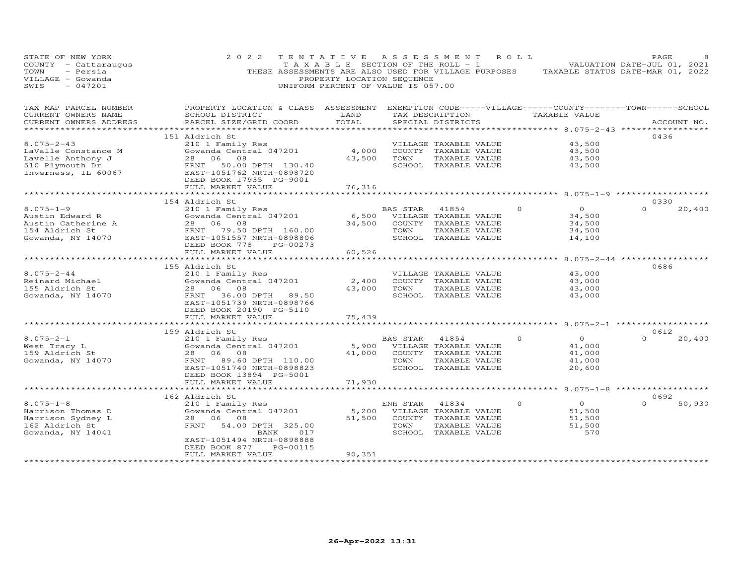| STATE OF NEW YORK<br>COUNTY - Cattaraugus<br>- Persia<br>TOWN<br>VILLAGE - Gowanda<br>$-047201$<br>SWIS | 2 0 2 2<br>THESE ASSESSMENTS ARE ALSO USED FOR VILLAGE PURPOSES                                                                                                                                        | TENTATIVE<br>TAXABLE SECTION OF THE ROLL - 1<br>PROPERTY LOCATION SEQUENCE<br>UNIFORM PERCENT OF VALUE IS 057.00 |                        | A S S E S S M E N T                                                                             | R O L L  | TAXABLE STATUS DATE-MAR 01, 2022                                | PAGE<br>VALUATION DATE-JUL 01, 2021 |             |
|---------------------------------------------------------------------------------------------------------|--------------------------------------------------------------------------------------------------------------------------------------------------------------------------------------------------------|------------------------------------------------------------------------------------------------------------------|------------------------|-------------------------------------------------------------------------------------------------|----------|-----------------------------------------------------------------|-------------------------------------|-------------|
| TAX MAP PARCEL NUMBER<br>CURRENT OWNERS NAME<br>CURRENT OWNERS ADDRESS                                  | PROPERTY LOCATION & CLASS ASSESSMENT EXEMPTION CODE-----VILLAGE------COUNTY-------TOWN------SCHOOL<br>SCHOOL DISTRICT<br>PARCEL SIZE/GRID COORD                                                        | LAND<br>TOTAL<br>*******                                                                                         |                        | TAX DESCRIPTION<br>SPECIAL DISTRICTS                                                            |          | TAXABLE VALUE<br>***************** 8.075-2-43 ***************** |                                     | ACCOUNT NO. |
| $8.075 - 2 - 43$<br>LaValle Constance M<br>Lavelle Anthony J<br>510 Plymouth Dr<br>Inverness, IL 60067  | 151 Aldrich St<br>210 1 Family Res<br>Gowanda Central 047201<br>06<br>08<br>28<br>FRNT<br>50.00 DPTH 130.40<br>EAST-1051762 NRTH-0898720<br>DEED BOOK 17935 PG-9001<br>FULL MARKET VALUE               | 4,000<br>43,500<br>76,316                                                                                        | TOWN                   | VILLAGE TAXABLE VALUE<br>COUNTY TAXABLE VALUE<br>TAXABLE VALUE<br>SCHOOL TAXABLE VALUE          |          | 43,500<br>43,500<br>43,500<br>43,500                            | 0436                                |             |
|                                                                                                         |                                                                                                                                                                                                        |                                                                                                                  |                        |                                                                                                 |          |                                                                 |                                     |             |
| $8.075 - 1 - 9$<br>Austin Edward R<br>Austin Catherine A<br>154 Aldrich St<br>Gowanda, NY 14070         | 154 Aldrich St<br>210 1 Family Res<br>Gowanda Central 047201<br>28 06<br>08<br>FRNT<br>79.50 DPTH 160.00<br>EAST-1051557 NRTH-0898806                                                                  | 6,500<br>34,500                                                                                                  | BAS STAR 41854<br>TOWN | VILLAGE TAXABLE VALUE<br>COUNTY TAXABLE VALUE<br>TAXABLE VALUE<br>SCHOOL TAXABLE VALUE          | $\Omega$ | $\overline{O}$<br>34,500<br>34,500<br>34,500<br>14,100          | 0330<br>$\Omega$                    | 20,400      |
|                                                                                                         | DEED BOOK 778<br>PG-00273<br>FULL MARKET VALUE                                                                                                                                                         | 60,526                                                                                                           |                        |                                                                                                 |          |                                                                 |                                     |             |
| $8.075 - 2 - 44$<br>Reinard Michael<br>155 Aldrich St<br>Gowanda, NY 14070                              | ***********************<br>155 Aldrich St<br>210 1 Family Res<br>Gowanda Central 047201<br>06 08<br>28<br>36.00 DPTH 89.50<br>FRNT<br>EAST-1051739 NRTH-0898766<br>DEED BOOK 20190 PG-5110             | 2,400<br>43,000                                                                                                  | TOWN                   | VILLAGE TAXABLE VALUE<br>COUNTY TAXABLE VALUE<br>TAXABLE VALUE<br>SCHOOL TAXABLE VALUE          |          | $8.075 - 2 - 44$ ******<br>43,000<br>43,000<br>43,000<br>43,000 | 0686                                |             |
|                                                                                                         | FULL MARKET VALUE<br>**************************                                                                                                                                                        | 75,439                                                                                                           |                        |                                                                                                 |          | *********** 8.075-2-1 *******************                       |                                     |             |
| $8.075 - 2 - 1$<br>West Tracy L<br>159 Aldrich St<br>Gowanda, NY 14070                                  | 159 Aldrich St<br>210 1 Family Res<br>Gowanda Central 047201<br>28 06 08<br>FRNT 89.60 DPTH 110.00<br>EAST-1051740 NRTH-0898823                                                                        | 5,900<br>41,000                                                                                                  | BAS STAR<br>TOWN       | 41854<br>VILLAGE TAXABLE VALUE<br>COUNTY TAXABLE VALUE<br>TAXABLE VALUE<br>SCHOOL TAXABLE VALUE | $\circ$  | $\circ$<br>41,000<br>41,000<br>41,000<br>20,600                 | 0612<br>$\Omega$                    | 20,400      |
|                                                                                                         | DEED BOOK 13894 PG-5001<br>FULL MARKET VALUE                                                                                                                                                           | 71,930                                                                                                           |                        |                                                                                                 |          | ********** 8.075-1-8 *******************                        |                                     |             |
| $8.075 - 1 - 8$<br>Harrison Thomas D<br>Harrison Sydney L<br>162 Aldrich St<br>Gowanda, NY 14041        | 162 Aldrich St<br>210 1 Family Res<br>Gowanda Central 047201<br>28<br>06 08<br>FRNT<br>54.00 DPTH 325.00<br>BANK<br>017<br>EAST-1051494 NRTH-0898888<br>DEED BOOK 877<br>PG-00115<br>FULL MARKET VALUE | 5,200<br>51,500<br>90,351                                                                                        | ENH STAR<br>TOWN       | 41834<br>VILLAGE TAXABLE VALUE<br>COUNTY TAXABLE VALUE<br>TAXABLE VALUE<br>SCHOOL TAXABLE VALUE | $\Omega$ | $\Omega$<br>51,500<br>51,500<br>51,500<br>570                   | 0692<br>$\Omega$                    | 50,930      |
|                                                                                                         |                                                                                                                                                                                                        |                                                                                                                  |                        |                                                                                                 |          |                                                                 |                                     |             |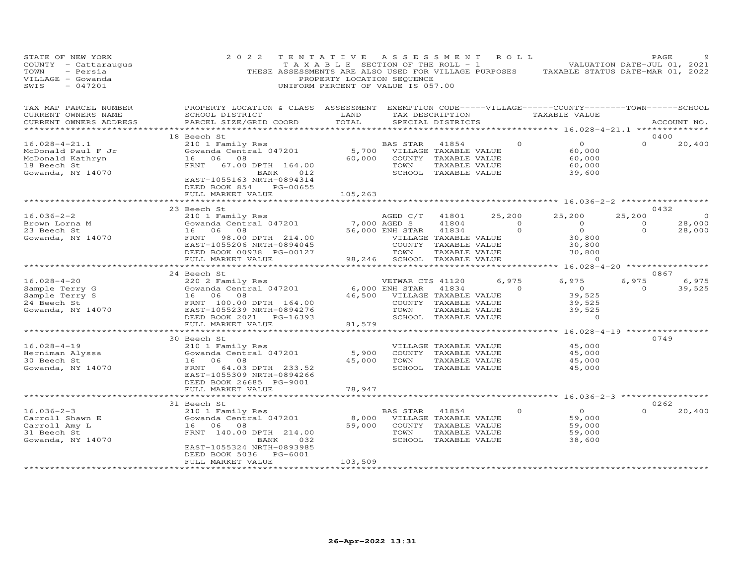| STATE OF NEW YORK<br>COUNTY - Cattaraugus<br>TOWN<br>- Persia<br>VILLAGE - Gowanda<br>SWIS<br>$-047201$                                     | 2 0 2 2                                                                                                                                                    | TENTATIVE<br>T A X A B L E SECTION OF THE ROLL - 1<br>PROPERTY LOCATION SEQUENCE<br>UNIFORM PERCENT OF VALUE IS 057.00 | ASSESSMENT                                                                 |                                                                                        | ROLL                                | THESE ASSESSMENTS ARE ALSO USED FOR VILLAGE PURPOSES TAXABLE STATUS DATE-MAR 01, 2022                                                                | PAGE<br>VALUATION DATE-JUL 01, 2021  |                             |
|---------------------------------------------------------------------------------------------------------------------------------------------|------------------------------------------------------------------------------------------------------------------------------------------------------------|------------------------------------------------------------------------------------------------------------------------|----------------------------------------------------------------------------|----------------------------------------------------------------------------------------|-------------------------------------|------------------------------------------------------------------------------------------------------------------------------------------------------|--------------------------------------|-----------------------------|
| TAX MAP PARCEL NUMBER<br>CURRENT OWNERS NAME<br>CURRENT OWNERS ADDRESS<br>******************                                                | PROPERTY LOCATION & CLASS ASSESSMENT<br>SCHOOL DISTRICT<br>PARCEL SIZE/GRID COORD                                                                          | LAND<br>TOTAL                                                                                                          |                                                                            | SPECIAL DISTRICTS                                                                      |                                     | EXEMPTION CODE-----VILLAGE------COUNTY-------TOWN------SCHOOL<br>TAX DESCRIPTION TAXABLE VALUE<br>******************** 16.028-4-21.1 *************** |                                      | ACCOUNT NO.                 |
|                                                                                                                                             | 18 Beech St                                                                                                                                                |                                                                                                                        |                                                                            |                                                                                        |                                     |                                                                                                                                                      | 0400                                 |                             |
| $16.028 - 4 - 21.1$<br>McDonald Paul F Jr<br>McDonald Kathryn<br>18 Beech St<br>Gowanda, NY 14070                                           | 210 1 Family Res<br>Gowanda Central 047201<br>16 06 08<br>FRNT<br>67.00 DPTH 164.00<br>BANK 012<br>EAST-1055163 NRTH-0894314<br>DEED BOOK 854<br>PG-00655  | 60,000                                                                                                                 | BAS STAR<br>5,700 VILLAGE TAXABLE VALUE<br>COUNTY TAXABLE VALUE<br>TOWN    | 41854<br>TAXABLE VALUE<br>SCHOOL TAXABLE VALUE                                         | $\circ$                             | $\overline{0}$<br>60,000<br>60,000<br>60,000<br>39,600                                                                                               | $\Omega$                             | 20,400                      |
|                                                                                                                                             | FULL MARKET VALUE                                                                                                                                          | 105,263                                                                                                                |                                                                            |                                                                                        |                                     |                                                                                                                                                      |                                      |                             |
|                                                                                                                                             | *********************                                                                                                                                      | * * * * * * * * * * * * *                                                                                              |                                                                            |                                                                                        |                                     | ****************************** 16.036-2-2 *****************                                                                                          |                                      |                             |
| $16.036 - 2 - 2$<br>Brown Lorna M<br>23 Beech St<br>Gowanda, NY 14070                                                                       | 23 Beech St<br>210 1 Family Res<br>Gowanda Central 047201<br>16 06 08<br>FRNT<br>98.00 DPTH 214.00                                                         | 7,000 AGED S                                                                                                           | AGED C/T<br>56,000 ENH STAR<br>VILLAGE TAXABLE VALUE                       | 41801<br>41804<br>41834                                                                | 25,200<br>$\overline{0}$<br>$\circ$ | 25,200<br>$\overline{O}$<br>$\overline{O}$<br>30,800                                                                                                 | 0432<br>25,200<br>$\circ$<br>$\circ$ | $\circ$<br>28,000<br>28,000 |
|                                                                                                                                             | EAST-1055206 NRTH-0894045<br>DEED BOOK 00938 PG-00127<br>FULL MARKET VALUE<br>*********************                                                        |                                                                                                                        | COUNTY TAXABLE VALUE<br>TOWN<br>98,246 SCHOOL TAXABLE VALUE                | TAXABLE VALUE                                                                          |                                     | 30,800<br>30,800<br>$\circ$                                                                                                                          |                                      |                             |
|                                                                                                                                             | 24 Beech St                                                                                                                                                |                                                                                                                        |                                                                            |                                                                                        |                                     |                                                                                                                                                      | 0867                                 |                             |
| $16.028 - 4 - 20$<br>Sample Terry G<br>Sample Terry S<br>24 Beech St<br>Gowanda, NY 14070<br>Gowanda, NY 14070<br>EAST-1055239 NRTH-0894276 | 220 2 Family Res<br>Gowanda Central 047201<br>DEED BOOK 2021 PG-16393<br>FULL MARKET VALUE                                                                 | 81,579                                                                                                                 | VETWAR CTS 41120<br>6,000 ENH STAR<br>46,500 VILLAGE TAXABLE VALUE<br>TOWN | 41834<br>COUNTY TAXABLE VALUE<br>TAXABLE VALUE<br>SCHOOL TAXABLE VALUE                 | 6,975<br>$\Omega$                   | 6,975<br>$\overline{0}$<br>39,525<br>39,525<br>39,525<br>$\circ$                                                                                     | 6,975<br>$\Omega$                    | 6,975<br>39,525             |
|                                                                                                                                             | *************************                                                                                                                                  |                                                                                                                        |                                                                            |                                                                                        |                                     | ********************************* 16.028-4-19 ****************                                                                                       |                                      |                             |
| $16.028 - 4 - 19$<br>Herniman Alyssa<br>30 Beech St<br>Gowanda, NY 14070                                                                    | 30 Beech St<br>210 1 Family Res<br>Gowanda Central 047201<br>16 06 08<br>FRNT<br>64.03 DPTH 233.52<br>EAST-1055309 NRTH-0894266<br>DEED BOOK 26685 PG-9001 | 5,900<br>45,000                                                                                                        | TOWN                                                                       | VILLAGE TAXABLE VALUE<br>COUNTY TAXABLE VALUE<br>TAXABLE VALUE<br>SCHOOL TAXABLE VALUE |                                     | 45,000<br>45,000<br>45,000<br>45,000                                                                                                                 | 0749                                 |                             |
|                                                                                                                                             | FULL MARKET VALUE                                                                                                                                          | 78,947                                                                                                                 |                                                                            |                                                                                        |                                     |                                                                                                                                                      |                                      |                             |
|                                                                                                                                             |                                                                                                                                                            |                                                                                                                        |                                                                            |                                                                                        |                                     | ***** 16.036-2-3 ************                                                                                                                        |                                      |                             |
|                                                                                                                                             | 31 Beech St                                                                                                                                                |                                                                                                                        |                                                                            |                                                                                        |                                     |                                                                                                                                                      | 0262                                 |                             |
| $16.036 - 2 - 3$<br>Carroll Shawn E<br>Carroll Amy L<br>31 Beech St<br>Gowanda, NY 14070                                                    | 210 1 Family Res<br>Gowanda Central 047201<br>16 06 08<br>FRNT 140.00 DPTH 214.00<br>BANK<br>032<br>EAST-1055324 NRTH-0893985<br>DEED BOOK 5036<br>PG-6001 | 8,000<br>59,000                                                                                                        | BAS STAR<br>VILLAGE TAXABLE VALUE<br>TOWN                                  | 41854<br>COUNTY TAXABLE VALUE<br>TAXABLE VALUE<br>SCHOOL TAXABLE VALUE                 | $\circ$                             | $\Omega$<br>59,000<br>59,000<br>59,000<br>38,600                                                                                                     | $\Omega$                             | 20,400                      |
|                                                                                                                                             | FULL MARKET VALUE                                                                                                                                          | 103,509                                                                                                                |                                                                            |                                                                                        |                                     |                                                                                                                                                      |                                      |                             |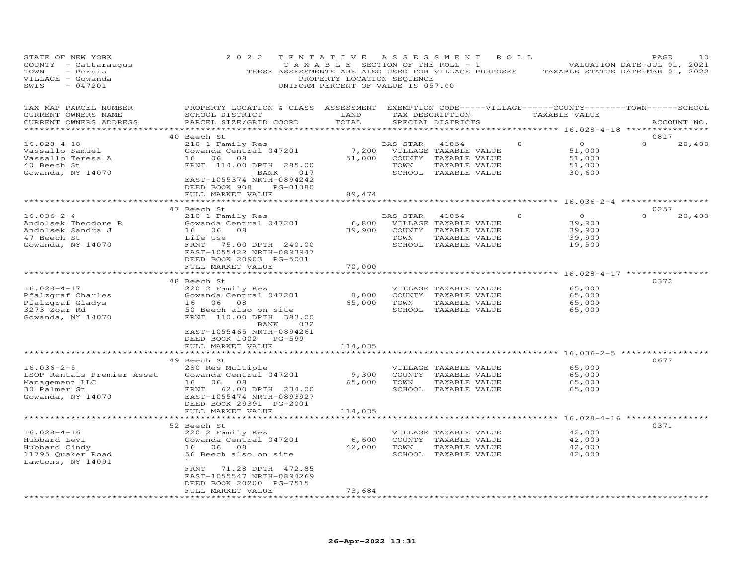| STATE OF NEW YORK<br>COUNTY - Cattaraugus<br>TOWN<br>- Persia<br>VILLAGE - Gowanda<br>SWIS<br>$-047201$                                                                            | 2 0 2 2                                                                                                                                              | PROPERTY LOCATION SEQUENCE<br>UNIFORM PERCENT OF VALUE IS 057.00 |          | TENTATIVE ASSESSMENT ROLL<br>T A X A B L E SECTION OF THE ROLL - 1 |          |          | 10<br>PAGE<br>VALUATION DATE-JUL 01, 2021<br>THESE ASSESSMENTS ARE ALSO USED FOR VILLAGE PURPOSES TAXABLE STATUS DATE-MAR 01, 2022 |
|------------------------------------------------------------------------------------------------------------------------------------------------------------------------------------|------------------------------------------------------------------------------------------------------------------------------------------------------|------------------------------------------------------------------|----------|--------------------------------------------------------------------|----------|----------|------------------------------------------------------------------------------------------------------------------------------------|
| TAX MAP PARCEL NUMBER<br>CURRENT OWNERS NAME<br>CURRENT OWNERS ADDRESS                                                                                                             | PROPERTY LOCATION & CLASS ASSESSMENT EXEMPTION CODE-----VILLAGE------COUNTY-------TOWN------SCHOOL<br>SCHOOL DISTRICT LAND<br>PARCEL SIZE/GRID COORD | TOTAL                                                            |          | TAX DESCRIPTION TAXABLE VALUE<br>SPECIAL DISTRICTS                 |          |          | ACCOUNT NO.                                                                                                                        |
| $16.028 - 4 - 18$                                                                                                                                                                  | 40 Beech St<br>210 1 Family Res                                                                                                                      |                                                                  | BAS STAR | 41854                                                              | $\Omega$ | $\Omega$ | 0817<br>$\Omega$<br>20,400                                                                                                         |
| Vassallo Samuel                                                                                                                                                                    | Gowanda Central 047201                                                                                                                               |                                                                  |          | 7,200 VILLAGE TAXABLE VALUE                                        |          | 51,000   |                                                                                                                                    |
| Vassallo Teresa A                                                                                                                                                                  | 16 06 08                                                                                                                                             |                                                                  |          | 51,000 COUNTY TAXABLE VALUE                                        |          | 51,000   |                                                                                                                                    |
| 40 Beech St                                                                                                                                                                        | FRNT 114.00 DPTH 285.00                                                                                                                              |                                                                  | TOWN     | TAXABLE VALUE                                                      |          | 51,000   |                                                                                                                                    |
| Gowanda, NY 14070                                                                                                                                                                  | BANK 017                                                                                                                                             |                                                                  |          | SCHOOL TAXABLE VALUE                                               |          | 30,600   |                                                                                                                                    |
|                                                                                                                                                                                    | EAST-1055374 NRTH-0894242<br>DEED BOOK 908 PG-01080<br>FULL MARKET VALUE                                                                             | 89,474                                                           |          |                                                                    |          |          |                                                                                                                                    |
|                                                                                                                                                                                    |                                                                                                                                                      |                                                                  |          |                                                                    |          |          |                                                                                                                                    |
|                                                                                                                                                                                    | 47 Beech St                                                                                                                                          |                                                                  |          |                                                                    |          |          | 0257                                                                                                                               |
| $16.036 - 2 - 4$                                                                                                                                                                   | 210 1 Family Res                                                                                                                                     |                                                                  |          | BAS STAR 41854                                                     | $\Omega$ | $\Omega$ | $\Omega$<br>20,400                                                                                                                 |
| Andolsek Theodore R                                                                                                                                                                | Gowanda Central 047201                                                                                                                               |                                                                  |          | 6,800 VILLAGE TAXABLE VALUE                                        |          | 39,900   |                                                                                                                                    |
| Andolsek Sandra J                                                                                                                                                                  | 16 06 08                                                                                                                                             |                                                                  |          | 39,900 COUNTY TAXABLE VALUE                                        |          | 39,900   |                                                                                                                                    |
| 47 Beech St                                                                                                                                                                        | Life Use                                                                                                                                             |                                                                  | TOWN     | TAXABLE VALUE                                                      |          | 39,900   |                                                                                                                                    |
| Gowanda, NY 14070                                                                                                                                                                  | FRNT 75.00 DPTH 240.00<br>EAST-1055422 NRTH-0893947<br>DEED BOOK 20903 PG-5001                                                                       |                                                                  |          | SCHOOL TAXABLE VALUE                                               |          | 19,500   |                                                                                                                                    |
|                                                                                                                                                                                    | FULL MARKET VALUE                                                                                                                                    | 70,000                                                           |          |                                                                    |          |          |                                                                                                                                    |
|                                                                                                                                                                                    |                                                                                                                                                      |                                                                  |          |                                                                    |          |          |                                                                                                                                    |
|                                                                                                                                                                                    | 48 Beech St                                                                                                                                          |                                                                  |          |                                                                    |          |          | 0372                                                                                                                               |
| $16.028 - 4 - 17$                                                                                                                                                                  | 220 2 Family Res                                                                                                                                     |                                                                  |          | VILLAGE TAXABLE VALUE                                              |          | 65,000   |                                                                                                                                    |
| Pfalzgraf Charles                                                                                                                                                                  | Gowanda Central 047201                                                                                                                               | 8,000                                                            |          | COUNTY TAXABLE VALUE                                               |          | 65,000   |                                                                                                                                    |
| Pfalzgraf Gladys                                                                                                                                                                   | 16 06 08                                                                                                                                             | 65,000                                                           | TOWN     | TAXABLE VALUE                                                      |          | 65,000   |                                                                                                                                    |
| 3273 Zoar Rd                                                                                                                                                                       | 50 Beech also on site                                                                                                                                |                                                                  |          | SCHOOL TAXABLE VALUE                                               |          | 65,000   |                                                                                                                                    |
| Gowanda, NY 14070                                                                                                                                                                  | FRNT 110.00 DPTH 383.00<br>BANK 032<br>EAST-1055465 NRTH-0894261<br>DEED BOOK 1002 PG-599                                                            |                                                                  |          |                                                                    |          |          |                                                                                                                                    |
|                                                                                                                                                                                    | FULL MARKET VALUE                                                                                                                                    | 114,035                                                          |          |                                                                    |          |          |                                                                                                                                    |
|                                                                                                                                                                                    |                                                                                                                                                      |                                                                  |          |                                                                    |          |          |                                                                                                                                    |
|                                                                                                                                                                                    | 49 Beech St                                                                                                                                          |                                                                  |          |                                                                    |          |          | 0677                                                                                                                               |
| $16.036 - 2 - 5$                                                                                                                                                                   | 280 Res Multiple                                                                                                                                     |                                                                  |          | VILLAGE TAXABLE VALUE                                              |          | 65,000   |                                                                                                                                    |
|                                                                                                                                                                                    | Gowanda Central 047201                                                                                                                               | 9,300                                                            |          | COUNTY TAXABLE VALUE                                               |          | 65,000   |                                                                                                                                    |
|                                                                                                                                                                                    |                                                                                                                                                      | 65,000                                                           | TOWN     | TAXABLE VALUE                                                      |          | 65,000   |                                                                                                                                    |
| ESOP Rentals Premier Asset<br>Management LLC<br>30 Palmer St<br>Gowanda Central 047201<br>30 Palmer St<br>FRNT 62.00 DPTH 234.00<br>Gowanda, NY 14070<br>EAST-1055474 NRTH-0893927 | DEED BOOK 29391 PG-2001                                                                                                                              |                                                                  |          | SCHOOL TAXABLE VALUE                                               |          | 65,000   |                                                                                                                                    |
|                                                                                                                                                                                    | FULL MARKET VALUE                                                                                                                                    | 114,035                                                          |          |                                                                    |          |          |                                                                                                                                    |
|                                                                                                                                                                                    |                                                                                                                                                      |                                                                  |          |                                                                    |          |          |                                                                                                                                    |
| $16.028 - 4 - 16$                                                                                                                                                                  | 52 Beech St<br>220 2 Family Res                                                                                                                      |                                                                  |          |                                                                    |          | 42,000   | 0371                                                                                                                               |
| Hubbard Levi                                                                                                                                                                       | Gowanda Central 047201                                                                                                                               | 6,600                                                            |          | VILLAGE TAXABLE VALUE<br>COUNTY TAXABLE VALUE                      |          | 42,000   |                                                                                                                                    |
| Hubbard Cindy                                                                                                                                                                      | 16 06 08                                                                                                                                             | 42,000                                                           | TOWN     | TAXABLE VALUE                                                      |          | 42,000   |                                                                                                                                    |
| 11795 Quaker Road                                                                                                                                                                  | 56 Beech also on site                                                                                                                                |                                                                  |          | SCHOOL TAXABLE VALUE                                               |          | 42,000   |                                                                                                                                    |
| Lawtons, NY 14091                                                                                                                                                                  |                                                                                                                                                      |                                                                  |          |                                                                    |          |          |                                                                                                                                    |
|                                                                                                                                                                                    | FRNT 71.28 DPTH 472.85<br>EAST-1055547 NRTH-0894269                                                                                                  |                                                                  |          |                                                                    |          |          |                                                                                                                                    |
|                                                                                                                                                                                    | DEED BOOK 20200 PG-7515<br>FULL MARKET VALUE                                                                                                         | 73,684                                                           |          |                                                                    |          |          |                                                                                                                                    |
|                                                                                                                                                                                    | **********************                                                                                                                               |                                                                  |          |                                                                    |          |          |                                                                                                                                    |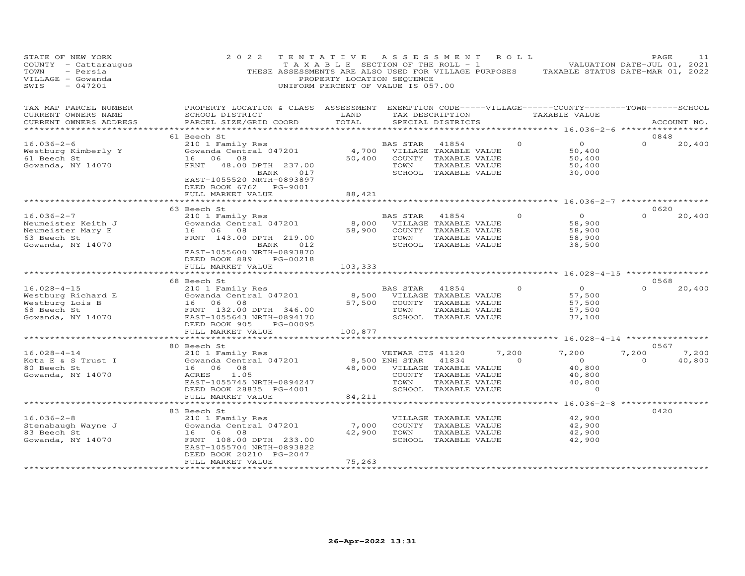| STATE OF NEW YORK<br>COUNTY - Cattaraugus<br>TOWN<br>- Persia<br>VILLAGE - Gowanda<br>$-047201$<br>SWIS | 2022                                                                                                                                                                                  | TENTATIVE<br>T A X A B L E SECTION OF THE ROLL - 1<br>THESE ASSESSMENTS ARE ALSO USED FOR VILLAGE PURPOSES<br>PROPERTY LOCATION SEQUENCE<br>UNIFORM PERCENT OF VALUE IS 057.00 | A S S E S S M E N T                        |                                                                                                 | R O L L           | TAXABLE STATUS DATE-MAR 01, 2022                                                    | PAGE<br>VALUATION DATE-JUL 01, 2021 | 11                         |
|---------------------------------------------------------------------------------------------------------|---------------------------------------------------------------------------------------------------------------------------------------------------------------------------------------|--------------------------------------------------------------------------------------------------------------------------------------------------------------------------------|--------------------------------------------|-------------------------------------------------------------------------------------------------|-------------------|-------------------------------------------------------------------------------------|-------------------------------------|----------------------------|
| TAX MAP PARCEL NUMBER<br>CURRENT OWNERS NAME<br>CURRENT OWNERS ADDRESS                                  | PROPERTY LOCATION & CLASS ASSESSMENT EXEMPTION CODE-----VILLAGE------COUNTY-------TOWN------SCHOOL<br>SCHOOL DISTRICT<br>PARCEL SIZE/GRID COORD                                       | LAND<br>TOTAL<br>************                                                                                                                                                  |                                            | TAX DESCRIPTION<br>SPECIAL DISTRICTS                                                            |                   | TAXABLE VALUE<br>********* 16.036-2-6 ****                                          |                                     | ACCOUNT NO.<br>*********** |
|                                                                                                         | 61 Beech St                                                                                                                                                                           |                                                                                                                                                                                |                                            |                                                                                                 |                   |                                                                                     | 0848                                |                            |
| $16.036 - 2 - 6$<br>Westburg Kimberly Y<br>61 Beech St<br>Gowanda, NY 14070                             | 210 1 Family Res<br>Gowanda Central 047201<br>16 06 08<br>FRNT<br>48.00 DPTH 237.00<br>BANK<br>017<br>EAST-1055520 NRTH-0893897<br>DEED BOOK 6762 PG-9001                             | 4,700<br>50,400                                                                                                                                                                | <b>BAS STAR</b><br>TOWN                    | 41854<br>VILLAGE TAXABLE VALUE<br>COUNTY TAXABLE VALUE<br>TAXABLE VALUE<br>SCHOOL TAXABLE VALUE | $\Omega$          | $\circ$<br>50,400<br>50,400<br>50,400<br>30,000                                     | $\Omega$                            | 20,400                     |
|                                                                                                         | FULL MARKET VALUE                                                                                                                                                                     | 88,421                                                                                                                                                                         |                                            |                                                                                                 |                   |                                                                                     |                                     |                            |
|                                                                                                         |                                                                                                                                                                                       |                                                                                                                                                                                |                                            |                                                                                                 |                   |                                                                                     |                                     |                            |
| $16.036 - 2 - 7$<br>Neumeister Keith J<br>Neumeister Mary E<br>63 Beech St<br>Gowanda, NY 14070         | 63 Beech St<br>210 1 Family Res<br>Gowanda Central 047201<br>16 06<br>08<br>FRNT 143.00 DPTH 219.00<br>BANK<br>012<br>EAST-1055600 NRTH-0893870                                       | 8,000<br>58,900                                                                                                                                                                | BAS STAR<br>TOWN                           | 41854<br>VILLAGE TAXABLE VALUE<br>COUNTY TAXABLE VALUE<br>TAXABLE VALUE<br>SCHOOL TAXABLE VALUE | $\Omega$          | $\Omega$<br>58,900<br>58,900<br>58,900<br>38,500                                    | 0620<br>$\Omega$                    | 20,400                     |
|                                                                                                         | DEED BOOK 889<br>PG-00218                                                                                                                                                             |                                                                                                                                                                                |                                            |                                                                                                 |                   |                                                                                     |                                     |                            |
|                                                                                                         | FULL MARKET VALUE<br>*********************                                                                                                                                            | 103,333                                                                                                                                                                        |                                            |                                                                                                 |                   |                                                                                     |                                     |                            |
|                                                                                                         |                                                                                                                                                                                       |                                                                                                                                                                                |                                            |                                                                                                 |                   | *********** 16.028-4-15 *****************                                           |                                     |                            |
| $16.028 - 4 - 15$<br>Westburg Richard E<br>Westburg Lois B<br>68 Beech St<br>Gowanda, NY 14070          | 68 Beech St<br>210 1 Family Res<br>Gowanda Central 047201<br>16 06 08<br>FRNT 132.00 DPTH 346.00<br>EAST-1055643 NRTH-0894170<br>DEED BOOK 905<br>PG-00095                            | 8,500<br>57,500                                                                                                                                                                | BAS STAR<br>TOWN                           | 41854<br>VILLAGE TAXABLE VALUE<br>COUNTY TAXABLE VALUE<br>TAXABLE VALUE<br>SCHOOL TAXABLE VALUE | $\circ$           | $\overline{0}$<br>57,500<br>57,500<br>57,500<br>37,100                              | 0568<br>$\Omega$                    | 20,400                     |
|                                                                                                         | FULL MARKET VALUE<br>**********************                                                                                                                                           | 100,877<br>************                                                                                                                                                        |                                            |                                                                                                 |                   | ********** 16.028-4-14 ***************                                              |                                     |                            |
|                                                                                                         | 80 Beech St                                                                                                                                                                           |                                                                                                                                                                                |                                            |                                                                                                 |                   |                                                                                     | 0567                                |                            |
| $16.028 - 4 - 14$<br>Kota E & S Trust I<br>80 Beech St<br>Gowanda, NY 14070                             | 210 1 Family Res<br>Gowanda Central 047201<br>16<br>06<br>08<br>1.05<br>ACRES<br>EAST-1055745 NRTH-0894247<br>DEED BOOK 28835 PG-4001                                                 | 48,000                                                                                                                                                                         | VETWAR CTS 41120<br>8,500 ENH STAR<br>TOWN | 41834<br>VILLAGE TAXABLE VALUE<br>COUNTY TAXABLE VALUE<br>TAXABLE VALUE<br>SCHOOL TAXABLE VALUE | 7,200<br>$\Omega$ | 7,200<br>$\overline{O}$<br>40,800<br>40,800<br>40,800<br>$\Omega$                   | 7,200<br>$\Omega$                   | 7,200<br>40,800            |
|                                                                                                         | FULL MARKET VALUE                                                                                                                                                                     | 84,211                                                                                                                                                                         |                                            |                                                                                                 |                   |                                                                                     |                                     |                            |
| $16.036 - 2 - 8$<br>Stenabaugh Wayne J<br>83 Beech St<br>Gowanda, NY 14070                              | **********************<br>83 Beech St<br>210 1 Family Res<br>Gowanda Central 047201<br>16 06<br>08<br>FRNT 108.00 DPTH 233.00<br>EAST-1055704 NRTH-0893822<br>DEED BOOK 20210 PG-2047 | 7,000<br>42,900                                                                                                                                                                | ***********************<br>TOWN            | VILLAGE TAXABLE VALUE<br>COUNTY TAXABLE VALUE<br>TAXABLE VALUE<br>SCHOOL TAXABLE VALUE          |                   | ************* 16.036-2-8 ******************<br>42,900<br>42,900<br>42,900<br>42,900 | 0420                                |                            |
|                                                                                                         | FULL MARKET VALUE                                                                                                                                                                     | 75,263<br>*****************                                                                                                                                                    |                                            |                                                                                                 |                   |                                                                                     |                                     |                            |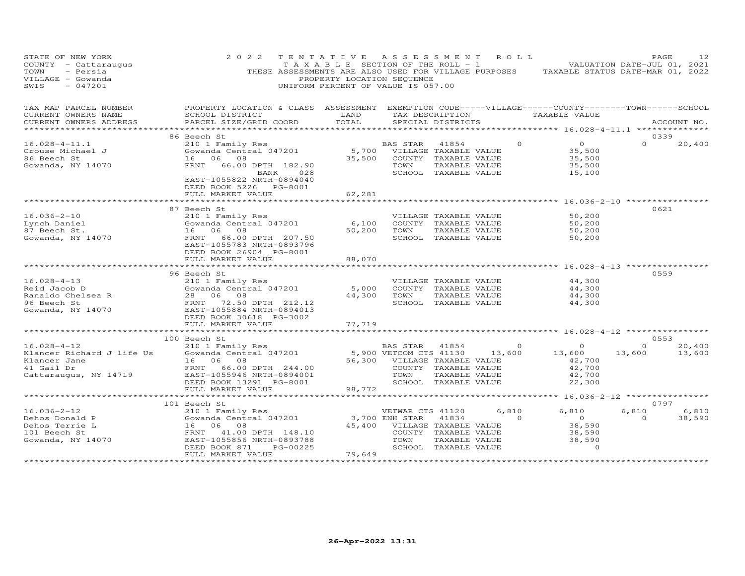| STATE OF NEW YORK<br>COUNTY - Cattaraugus<br>TOWN<br>- Persia<br>VILLAGE - Gowanda<br>$-047201$<br>SWIS | 2 0 2 2                                                                                                                                         | TENTATIVE<br>PROPERTY LOCATION SEQUENCE<br>UNIFORM PERCENT OF VALUE IS 057.00 | A S S E S S M E N T                                                     |                                                                                        | R O L L         | TAXABLE SECTION OF THE ROLL - 1 VALUATION DATE-JUL 01, 2021<br>THESE ASSESSMENTS ARE ALSO USED FOR VILLAGE PURPOSES TAXABLE STATUS DATE-MAR 01, 2022 |          | PAGE        | 12     |
|---------------------------------------------------------------------------------------------------------|-------------------------------------------------------------------------------------------------------------------------------------------------|-------------------------------------------------------------------------------|-------------------------------------------------------------------------|----------------------------------------------------------------------------------------|-----------------|------------------------------------------------------------------------------------------------------------------------------------------------------|----------|-------------|--------|
| TAX MAP PARCEL NUMBER<br>CURRENT OWNERS NAME<br>CURRENT OWNERS ADDRESS<br>*******************           | PROPERTY LOCATION & CLASS ASSESSMENT EXEMPTION CODE-----VILLAGE------COUNTY-------TOWN------SCHOOL<br>SCHOOL DISTRICT<br>PARCEL SIZE/GRID COORD | LAND<br>TOTAL                                                                 |                                                                         | SPECIAL DISTRICTS                                                                      | TAX DESCRIPTION | TAXABLE VALUE<br>********************* 16.028-4-11.1 **************                                                                                  |          | ACCOUNT NO. |        |
|                                                                                                         | 86 Beech St                                                                                                                                     |                                                                               |                                                                         |                                                                                        |                 |                                                                                                                                                      |          | 0339        |        |
| $16.028 - 4 - 11.1$<br>Crouse Michael J<br>86 Beech St<br>Gowanda, NY 14070                             | 210 1 Family Res<br>Gowanda Central 047201<br>16 06 08<br>66.00 DPTH 182.90<br>FRNT<br>BANK<br>028<br>EAST-1055822 NRTH-0894040                 | 35,500                                                                        | BAS STAR<br>5,700 VILLAGE TAXABLE VALUE<br>COUNTY TAXABLE VALUE<br>TOWN | 41854<br>TAXABLE VALUE<br>SCHOOL TAXABLE VALUE                                         | $\Omega$        | $\overline{O}$<br>35,500<br>35,500<br>35,500<br>15,100                                                                                               | $\Omega$ |             | 20,400 |
|                                                                                                         | DEED BOOK 5226 PG-8001<br>FULL MARKET VALUE                                                                                                     | 62,281                                                                        |                                                                         |                                                                                        |                 |                                                                                                                                                      |          |             |        |
|                                                                                                         | ****************************                                                                                                                    | ********************                                                          |                                                                         |                                                                                        |                 | ******************** 16.036-2-10 ****************                                                                                                    |          |             |        |
|                                                                                                         | 87 Beech St                                                                                                                                     |                                                                               |                                                                         |                                                                                        |                 |                                                                                                                                                      |          | 0621        |        |
| $16.036 - 2 - 10$<br>Lynch Daniel<br>87 Beech St.<br>Gowanda, NY 14070                                  | 210 1 Family Res<br>Gowanda Central 047201<br>16 06 08<br>FRNT 66.00 DPTH 207.50<br>EAST-1055783 NRTH-0893796                                   | 6,100<br>50,200                                                               | TOWN                                                                    | VILLAGE TAXABLE VALUE<br>COUNTY TAXABLE VALUE<br>TAXABLE VALUE<br>SCHOOL TAXABLE VALUE |                 | 50,200<br>50,200<br>50,200<br>50,200                                                                                                                 |          |             |        |
|                                                                                                         | DEED BOOK 26904 PG-8001<br>FULL MARKET VALUE                                                                                                    | 88,070<br>*********                                                           |                                                                         |                                                                                        |                 | ********** 16.028-4-13 ***********                                                                                                                   |          |             |        |
|                                                                                                         | 96 Beech St                                                                                                                                     |                                                                               |                                                                         |                                                                                        |                 |                                                                                                                                                      |          | 0559        |        |
| $16.028 - 4 - 13$                                                                                       | 210 1 Family Res                                                                                                                                |                                                                               |                                                                         | VILLAGE TAXABLE VALUE                                                                  |                 | 44,300                                                                                                                                               |          |             |        |
| Reid Jacob D<br>Ranaldo Chelsea R                                                                       | Gowanda Central 047201<br>28 06 08                                                                                                              | 5,000<br>44,300                                                               | TOWN                                                                    | COUNTY TAXABLE VALUE<br>TAXABLE VALUE                                                  |                 | 44,300<br>44,300                                                                                                                                     |          |             |        |
| 96 Beech St<br>Gowanda, NY 14070                                                                        | FRNT 72.50 DPTH 212.12<br>EAST-1055884 NRTH-0894013                                                                                             |                                                                               |                                                                         | SCHOOL TAXABLE VALUE                                                                   |                 | 44,300                                                                                                                                               |          |             |        |
|                                                                                                         | DEED BOOK 30618 PG-3002                                                                                                                         |                                                                               |                                                                         |                                                                                        |                 |                                                                                                                                                      |          |             |        |
|                                                                                                         | FULL MARKET VALUE<br>***************************                                                                                                | 77,719<br>**********                                                          |                                                                         |                                                                                        |                 |                                                                                                                                                      |          |             |        |
|                                                                                                         | 100 Beech St                                                                                                                                    |                                                                               |                                                                         |                                                                                        |                 | ************************ 16.028-4-12 *****************                                                                                               |          | 0553        |        |
| $16.028 - 4 - 12$                                                                                       | 210 1 Family Res                                                                                                                                |                                                                               | BAS STAR 41854                                                          |                                                                                        | $\overline{0}$  | $\overline{O}$                                                                                                                                       | $\circ$  |             | 20,400 |
| Klancer Richard J life Us<br>Klancer Jane<br>41 Gail Dr<br>Cattaraugus, NY 14719                        | Gowanda Central 047201<br>16 06<br>08<br>FRNT 66.00 DPTH 244.00<br>EAST-1055946 NRTH-0894001<br>DEED BOOK 13291 PG-8001<br>FULL MARKET VALUE    | 98,772                                                                        | 5,900 VETCOM CTS 41130<br>56,300 VILLAGE TAXABLE VALUE<br>TOWN          | COUNTY TAXABLE VALUE<br>TAXABLE VALUE<br>SCHOOL TAXABLE VALUE                          | 13,600          | 13,600<br>42,700<br>42,700<br>42,700<br>22,300                                                                                                       | 13,600   |             | 13,600 |
|                                                                                                         |                                                                                                                                                 |                                                                               |                                                                         |                                                                                        |                 |                                                                                                                                                      |          |             |        |
|                                                                                                         | 101 Beech St                                                                                                                                    |                                                                               |                                                                         |                                                                                        |                 |                                                                                                                                                      |          | 0797        |        |
| $16.036 - 2 - 12$                                                                                       | ----<br>210 1 Family Res<br>Gowanda Central 047201                                                                                              |                                                                               | VETWAR CTS 41120                                                        |                                                                                        | 6,810           | 6,810                                                                                                                                                | 6,810    |             | 6,810  |
| Dehos Donald P                                                                                          |                                                                                                                                                 |                                                                               | 3,700 ENH STAR                                                          | 41834                                                                                  | $\overline{0}$  | $\overline{0}$                                                                                                                                       | $\Omega$ |             | 38,590 |
| Dehos Terrie L                                                                                          | 16 06 08                                                                                                                                        | 45,400                                                                        |                                                                         | VILLAGE TAXABLE VALUE                                                                  |                 | 38,590                                                                                                                                               |          |             |        |
| 101 Beech St                                                                                            | FRNT<br>41.00 DPTH 148.10                                                                                                                       |                                                                               |                                                                         | COUNTY TAXABLE VALUE                                                                   |                 | 38,590                                                                                                                                               |          |             |        |
| Gowanda, NY 14070                                                                                       | EAST-1055856 NRTH-0893788<br>PG-00225<br>DEED BOOK 871<br>FULL MARKET VALUE                                                                     | 79,649                                                                        | TOWN                                                                    | TAXABLE VALUE<br>SCHOOL TAXABLE VALUE                                                  |                 | 38,590<br>$\Omega$                                                                                                                                   |          |             |        |
|                                                                                                         | **************************                                                                                                                      | *******************                                                           |                                                                         |                                                                                        |                 |                                                                                                                                                      |          |             |        |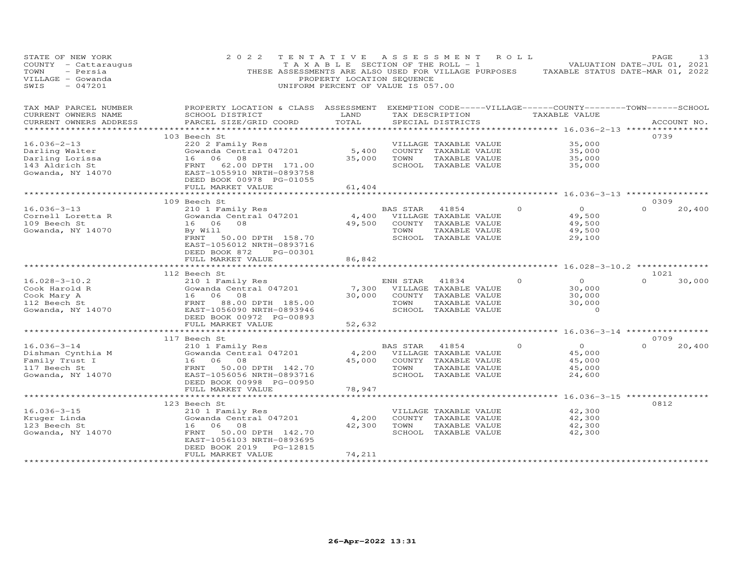| STATE OF NEW YORK<br>COUNTY - Cattaraugus<br>- Persia<br>TOWN<br>VILLAGE - Gowanda<br>$-047201$<br>SWIS                        | 2 0 2 2<br>TENTATIVE<br>THESE ASSESSMENTS ARE ALSO USED FOR VILLAGE PURPOSES                                                                                                                  | PROPERTY LOCATION SEQUENCE<br>UNIFORM PERCENT OF VALUE IS 057.00 |                  | A S S E S S M E N T<br>T A X A B L E SECTION OF THE ROLL - 1                                          | R O L L  | TAXABLE STATUS DATE-MAR 01, 2022                         | PAGE<br>VALUATION DATE-JUL 01, 2021 | 13          |
|--------------------------------------------------------------------------------------------------------------------------------|-----------------------------------------------------------------------------------------------------------------------------------------------------------------------------------------------|------------------------------------------------------------------|------------------|-------------------------------------------------------------------------------------------------------|----------|----------------------------------------------------------|-------------------------------------|-------------|
| TAX MAP PARCEL NUMBER<br>CURRENT OWNERS NAME<br>CURRENT OWNERS ADDRESS                                                         | PROPERTY LOCATION & CLASS ASSESSMENT EXEMPTION CODE-----VILLAGE------COUNTY--------TOWN------SCHOOL<br>SCHOOL DISTRICT<br>PARCEL SIZE/GRID COORD                                              | LAND<br>TOTAL                                                    |                  | TAX DESCRIPTION TAXABLE VALUE<br>SPECIAL DISTRICTS                                                    |          | *************************** 16.036-2-13 **************** |                                     | ACCOUNT NO. |
| $16.036 - 2 - 13$<br>Darling Walter<br>Darling Lorissa<br>143 Aldrich St<br>Gowanda, NY 14070                                  | 103 Beech St<br>220 2 Family Res<br>Gowanda Central 047201<br>16 06 08<br>FRNT<br>62.00 DPTH 171.00<br>EAST-1055910 NRTH-0893758<br>DEED BOOK 00978 PG-01055<br>FULL MARKET VALUE             | 5,400<br>35,000<br>61,404                                        | TOWN             | VILLAGE TAXABLE VALUE<br>COUNTY TAXABLE VALUE<br>TAXABLE VALUE<br>SCHOOL TAXABLE VALUE                |          | 35,000<br>35,000<br>35,000<br>35,000                     | 0739                                |             |
|                                                                                                                                |                                                                                                                                                                                               |                                                                  |                  |                                                                                                       |          |                                                          |                                     |             |
| $16.036 - 3 - 13$<br>Cornell Loretta R<br>109 Beech St<br>Gowanda, NY 14070                                                    | 109 Beech St<br>210 1 Family Res<br>Gowanda Central 047201<br>08<br>16 06<br>By Will<br>FRNT 50.00 DPTH 158.70<br>EAST-1056012 NRTH-0893716<br>DEED BOOK 872<br>PG-00301<br>FULL MARKET VALUE | 49,500<br>86,842                                                 | BAS STAR<br>TOWN | 41854<br>4,400 VILLAGE TAXABLE VALUE<br>COUNTY TAXABLE VALUE<br>TAXABLE VALUE<br>SCHOOL TAXABLE VALUE | $\Omega$ | $\overline{O}$<br>49,500<br>49,500<br>49,500<br>29,100   | 0309<br>$\Omega$                    | 20,400      |
|                                                                                                                                | *************************                                                                                                                                                                     | ***********                                                      |                  |                                                                                                       |          | ************************ 16.028-3-10.2 **************    |                                     |             |
| Cook Mary A<br>Cook Mary A<br>112 Beech St<br>Gowanda, NY 14070<br>2011 EAST-1056090 NRTH-0902012<br>EAST-1056090 NRTH-0902012 | 112 Beech St                                                                                                                                                                                  | 7,300<br>30,000                                                  | ENH STAR<br>TOWN | 41834<br>VILLAGE TAXABLE VALUE<br>COUNTY TAXABLE VALUE<br>TAXABLE VALUE<br>SCHOOL TAXABLE VALUE       | $\Omega$ | $\overline{O}$<br>30,000<br>30,000<br>30,000<br>$\Omega$ | 1021<br>$\Omega$                    | 30,000      |
|                                                                                                                                | FULL MARKET VALUE                                                                                                                                                                             | 52,632                                                           |                  |                                                                                                       |          |                                                          |                                     |             |
|                                                                                                                                | ****************************<br>117 Beech St                                                                                                                                                  | **************                                                   |                  |                                                                                                       |          | ********************* 16.036-3-14 *****************      | 0709                                |             |
| $16.036 - 3 - 14$<br>Dishman Cynthia M<br>Family Trust I<br>117 Beech St<br>Gowanda, NY 14070                                  | 210 1 Family Res<br>Gowanda Central 047201<br>16 06<br>08<br>FRNT<br>50.00 DPTH 142.70<br>EAST-1056056 NRTH-0893716<br>DEED BOOK 00998 PG-00950<br>FULL MARKET VALUE                          | 45,000                                                           | BAS STAR<br>TOWN | 41854<br>4,200 VILLAGE TAXABLE VALUE<br>COUNTY TAXABLE VALUE<br>TAXABLE VALUE<br>SCHOOL TAXABLE VALUE | $\Omega$ | $\overline{O}$<br>45,000<br>45,000<br>45,000<br>24,600   | $\Omega$                            | 20,400      |
|                                                                                                                                | **********************                                                                                                                                                                        | 78,947                                                           |                  |                                                                                                       |          | *********** 16.036-3-15 **********                       |                                     |             |
| $16.036 - 3 - 15$<br>Kruger Linda<br>123 Beech St<br>Gowanda, NY 14070                                                         | 123 Beech St<br>210 1 Family Res<br>Gowanda Central 047201<br>16<br>06<br>08<br>50.00 DPTH 142.70<br>FRNT<br>EAST-1056103 NRTH-0893695                                                        | 4,200<br>42,300                                                  | TOWN             | VILLAGE TAXABLE VALUE<br>COUNTY TAXABLE VALUE<br>TAXABLE VALUE<br>SCHOOL TAXABLE VALUE                |          | 42,300<br>42,300<br>42,300<br>42,300                     | 0812                                |             |
|                                                                                                                                | DEED BOOK 2019<br>PG-12815<br>FULL MARKET VALUE                                                                                                                                               | 74,211                                                           |                  |                                                                                                       |          |                                                          |                                     |             |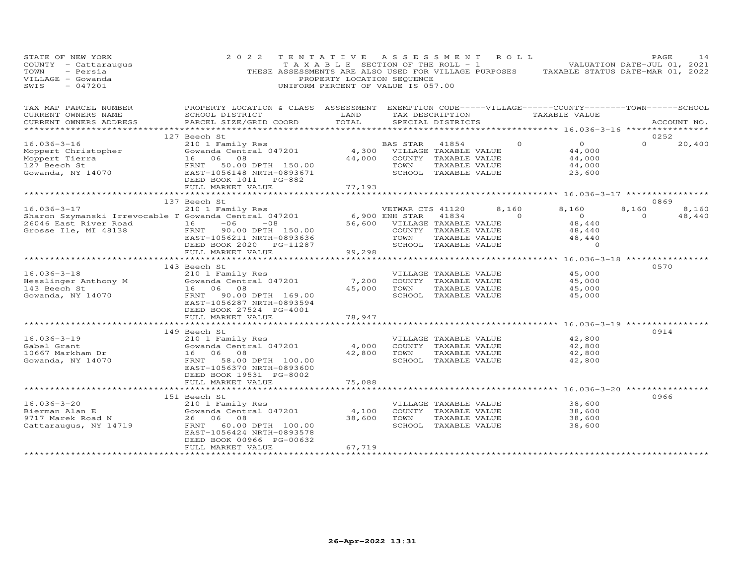| STATE OF NEW YORK<br>COUNTY - Cattaraugus<br>TOWN<br>- Persia<br>VILLAGE - Gowanda<br>SWIS<br>$-047201$                                                                                                                                                                  | 2 0 2 2                                                                                                                                   | TENTATIVE ASSESSMENT ROLL<br>PROPERTY LOCATION SEQUENCE<br>UNIFORM PERCENT OF VALUE IS 057.00 |                              |                   |                                               | TAXABLE SECTION OF THE ROLL - 1 $-1$ VALUATION DATE-JUL 01, 2021<br>THESE ASSESSMENTS ARE ALSO USED FOR VILLAGE PURPOSES TAXABLE STATUS DATE-MAR 01, 2022 |                | PAGE        | 14     |
|--------------------------------------------------------------------------------------------------------------------------------------------------------------------------------------------------------------------------------------------------------------------------|-------------------------------------------------------------------------------------------------------------------------------------------|-----------------------------------------------------------------------------------------------|------------------------------|-------------------|-----------------------------------------------|-----------------------------------------------------------------------------------------------------------------------------------------------------------|----------------|-------------|--------|
| TAX MAP PARCEL NUMBER PROPERTY LOCATION & CLASS ASSESSMENT EXEMPTION CODE-----VILLAGE------COUNTY--------TOWN------SCHOOL<br>CURRENT OWNERS NAME                                                                                                                         | <b>EXAMPLE SERVICE SERVICE SERVICE SERVICE SERVICE SERVICE SERVICE SERVICE SERVICE SERVICE SERVICE SERVICE SERVICE</b><br>SCHOOL DISTRICT |                                                                                               |                              |                   |                                               | TAX DESCRIPTION TAXABLE VALUE                                                                                                                             |                |             |        |
| CURRENT OWNERS ADDRESS                                                                                                                                                                                                                                                   | PARCEL SIZE/GRID COORD                                                                                                                    | TOTAL                                                                                         |                              | SPECIAL DISTRICTS |                                               |                                                                                                                                                           |                | ACCOUNT NO. |        |
|                                                                                                                                                                                                                                                                          |                                                                                                                                           |                                                                                               |                              |                   |                                               |                                                                                                                                                           |                |             |        |
|                                                                                                                                                                                                                                                                          | 127 Beech St                                                                                                                              |                                                                                               | BAS STAR 41854               |                   | $\Omega$                                      | $\overline{0}$                                                                                                                                            | $\Omega$       | 0252        | 20,400 |
|                                                                                                                                                                                                                                                                          |                                                                                                                                           |                                                                                               |                              |                   |                                               | 44,000                                                                                                                                                    |                |             |        |
|                                                                                                                                                                                                                                                                          |                                                                                                                                           |                                                                                               |                              |                   |                                               | 44,000                                                                                                                                                    |                |             |        |
|                                                                                                                                                                                                                                                                          |                                                                                                                                           |                                                                                               |                              |                   |                                               | 44,000                                                                                                                                                    |                |             |        |
| $\begin{tabular}{lcccc} 16.036-3-16 & 120151 & 12018 & 12019 & 12019 & 12101 & 12101 & 12101 & 12101 & 12101 & 12101 & 12101 & 12101 & 12101 & 12101 & 12101 & 12101 & 12101 & 12101 & 12101 & 12101 & 12101 & 12101 & 12101 & 12101 & 12101 & 12101 & 12101 & 12101 & $ | DEED BOOK 1011 PG-882                                                                                                                     |                                                                                               |                              |                   |                                               | 23,600                                                                                                                                                    |                |             |        |
|                                                                                                                                                                                                                                                                          | FULL MARKET VALUE                                                                                                                         | 77,193                                                                                        |                              |                   |                                               |                                                                                                                                                           |                |             |        |
|                                                                                                                                                                                                                                                                          | *************************                                                                                                                 |                                                                                               |                              |                   |                                               |                                                                                                                                                           |                |             |        |
|                                                                                                                                                                                                                                                                          | 137 Beech St                                                                                                                              |                                                                                               | VETWAR CTS 41120             |                   | 8,160                                         | 8,160                                                                                                                                                     | 8,160          | 0869        | 8,160  |
| 16.036-3-17 210 1 Family Res<br>Sharon Szymanski Irrevocable T Gowanda Central 047201<br>26046 East River Road 16 -06 -08<br>Grosse Ile, MI 48138 FRNT 90.00 DPTH 150.00<br>EAST-1056211 NRTH-0893636                                                                    |                                                                                                                                           | 6,900 ENH STAR<br>56,600 VILLAGE<br>56,600 VILLAGE<br>COUNTY<br>TOWN                          |                              | 41834             | $\sim$ 0                                      | $\overline{0}$                                                                                                                                            | $\overline{0}$ |             | 48,440 |
|                                                                                                                                                                                                                                                                          |                                                                                                                                           |                                                                                               | 56,600 VILLAGE TAXABLE VALUE |                   |                                               | 48,440                                                                                                                                                    |                |             |        |
|                                                                                                                                                                                                                                                                          |                                                                                                                                           |                                                                                               |                              |                   | COUNTY TAXABLE VALUE                          | 48,440<br>48,440                                                                                                                                          |                |             |        |
|                                                                                                                                                                                                                                                                          |                                                                                                                                           |                                                                                               | TOWN                         |                   |                                               |                                                                                                                                                           |                |             |        |
|                                                                                                                                                                                                                                                                          | DEED BOOK 2020 PG-11287                                                                                                                   |                                                                                               | SCHOOL TAXABLE VALUE         |                   | TAXABLE VALUE<br>TAXABLE VALUE<br>ARATE VALUE | $\circ$                                                                                                                                                   |                |             |        |
|                                                                                                                                                                                                                                                                          | FULL MARKET VALUE<br>************************                                                                                             | 99,298                                                                                        |                              |                   |                                               | ************* 16.036-3-18 *****************                                                                                                               |                |             |        |
|                                                                                                                                                                                                                                                                          | 143 Beech St                                                                                                                              |                                                                                               |                              |                   |                                               |                                                                                                                                                           |                | 0570        |        |
|                                                                                                                                                                                                                                                                          |                                                                                                                                           |                                                                                               | VILLAGE TAXABLE VALUE        |                   |                                               | 45,000                                                                                                                                                    |                |             |        |
|                                                                                                                                                                                                                                                                          |                                                                                                                                           | 7,200                                                                                         |                              |                   | COUNTY TAXABLE VALUE                          | 45,000                                                                                                                                                    |                |             |        |
|                                                                                                                                                                                                                                                                          |                                                                                                                                           |                                                                                               | 45,000 TOWN                  | TAXABLE VALUE     |                                               | 45,000                                                                                                                                                    |                |             |        |
| 16.036-3-18<br>Hesslinger Anthony M<br>143 Beech St<br>Gowanda, NY 14070<br>16 06 08<br>TENT 90.00 DPTH 169.00<br>TENT 90.00 DPTH 169.00                                                                                                                                 |                                                                                                                                           |                                                                                               | SCHOOL TAXABLE VALUE         |                   |                                               | 45,000                                                                                                                                                    |                |             |        |
|                                                                                                                                                                                                                                                                          | EAST-1056287 NRTH-0893594                                                                                                                 |                                                                                               |                              |                   |                                               |                                                                                                                                                           |                |             |        |
|                                                                                                                                                                                                                                                                          | DEED BOOK 27524 PG-4001<br>FULL MARKET VALUE                                                                                              |                                                                                               |                              |                   |                                               |                                                                                                                                                           |                |             |        |
|                                                                                                                                                                                                                                                                          | ***********************                                                                                                                   | 78,947                                                                                        |                              |                   |                                               | ************************ 16.036-3-19 ************                                                                                                         |                |             |        |
|                                                                                                                                                                                                                                                                          | 149 Beech St                                                                                                                              |                                                                                               |                              |                   |                                               |                                                                                                                                                           |                | 0914        |        |
| $16.036 - 3 - 19$                                                                                                                                                                                                                                                        |                                                                                                                                           |                                                                                               |                              |                   | VILLAGE TAXABLE VALUE                         | 42,800                                                                                                                                                    |                |             |        |
|                                                                                                                                                                                                                                                                          | 210 1 Family Res<br>Gowanda Central 047201                                                                                                |                                                                                               | 4,000 COUNTY TAXABLE VALUE   |                   |                                               | 42,800                                                                                                                                                    |                |             |        |
|                                                                                                                                                                                                                                                                          | 16 06 08                                                                                                                                  |                                                                                               | 42,800 TOWN                  | TAXABLE VALUE     |                                               | 42,800                                                                                                                                                    |                |             |        |
| Gabe⊥ Grant<br>10667 Markham Dr<br>Gowanda, NY 14070                                                                                                                                                                                                                     | FRNT 58.00 DPTH 100.00                                                                                                                    |                                                                                               | SCHOOL TAXABLE VALUE         |                   |                                               | 42,800                                                                                                                                                    |                |             |        |
|                                                                                                                                                                                                                                                                          | EAST-1056370 NRTH-0893600<br>DEED BOOK 19531 PG-8002                                                                                      |                                                                                               |                              |                   |                                               |                                                                                                                                                           |                |             |        |
|                                                                                                                                                                                                                                                                          | FULL MARKET VALUE                                                                                                                         | 75,088                                                                                        |                              |                   |                                               |                                                                                                                                                           |                |             |        |
|                                                                                                                                                                                                                                                                          | *********************                                                                                                                     |                                                                                               |                              |                   |                                               | ************************ 16.036-3-20 ************                                                                                                         |                |             |        |
|                                                                                                                                                                                                                                                                          | 151 Beech St                                                                                                                              |                                                                                               |                              |                   |                                               |                                                                                                                                                           |                | 0966        |        |
| $16.036 - 3 - 20$                                                                                                                                                                                                                                                        | 2001: Tamily Res<br>Gowanda Central 047201                                                                                                |                                                                                               |                              |                   |                                               | VILLAGE TAXABLE VALUE 38,600<br>COUNTY TAXABLE VALUE 38,600                                                                                               |                |             |        |
|                                                                                                                                                                                                                                                                          |                                                                                                                                           | 4,100                                                                                         | COUNTY TAXABLE VALUE         |                   |                                               |                                                                                                                                                           |                |             |        |
|                                                                                                                                                                                                                                                                          | 26 06 08                                                                                                                                  |                                                                                               | 38,600 TOWN TAXABLE VALUE    |                   |                                               | 38,600                                                                                                                                                    |                |             |        |
| 10.030-3-20<br>Bierman Alan E<br>9717 Marek Road N<br>Cattaraugus, NY 14719                                                                                                                                                                                              | 60.00 DPTH 100.00<br>FRNT<br>EAST-1056424 NRTH-0893578                                                                                    |                                                                                               | SCHOOL TAXABLE VALUE         |                   |                                               | 38,600                                                                                                                                                    |                |             |        |
|                                                                                                                                                                                                                                                                          | DEED BOOK 00966 PG-00632                                                                                                                  |                                                                                               |                              |                   |                                               |                                                                                                                                                           |                |             |        |
|                                                                                                                                                                                                                                                                          | FULL MARKET VALUE                                                                                                                         | 67,719                                                                                        |                              |                   |                                               |                                                                                                                                                           |                |             |        |
| ************************                                                                                                                                                                                                                                                 | **************************                                                                                                                | ******************                                                                            |                              |                   |                                               |                                                                                                                                                           |                |             |        |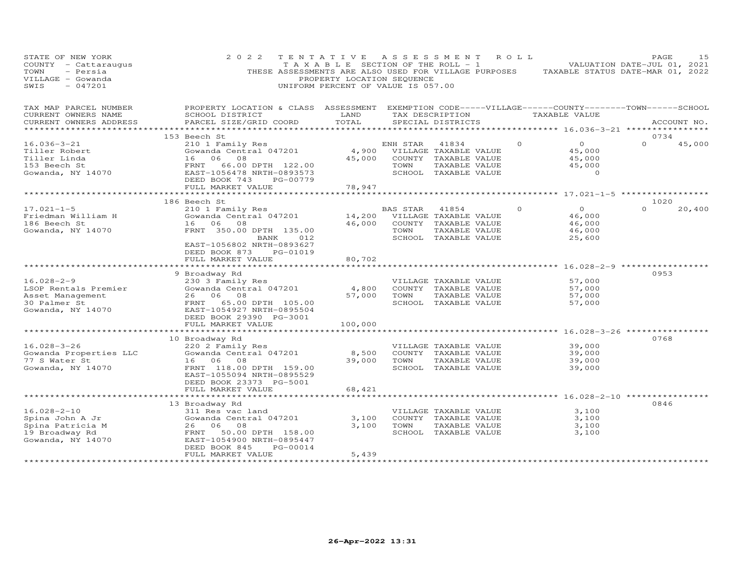| STATE OF NEW YORK<br>COUNTY - Cattaraugus<br>- Persia<br>TOWN<br>VILLAGE - Gowanda<br>$-047201$<br>SWIS | 2 0 2 2<br>THESE ASSESSMENTS ARE ALSO USED FOR VILLAGE PURPOSES                                                                                 | TENTATIVE<br>PROPERTY LOCATION SEQUENCE<br>UNIFORM PERCENT OF VALUE IS 057.00 |                        | A S S E S S M E N T<br>T A X A B L E SECTION OF THE ROLL - 1                                          | R O L L  | TAXABLE STATUS DATE-MAR 01, 2022                                  | PAGE<br>VALUATION DATE-JUL 01, 2021 | 15     |
|---------------------------------------------------------------------------------------------------------|-------------------------------------------------------------------------------------------------------------------------------------------------|-------------------------------------------------------------------------------|------------------------|-------------------------------------------------------------------------------------------------------|----------|-------------------------------------------------------------------|-------------------------------------|--------|
| TAX MAP PARCEL NUMBER<br>CURRENT OWNERS NAME<br>CURRENT OWNERS ADDRESS                                  | PROPERTY LOCATION & CLASS ASSESSMENT EXEMPTION CODE-----VILLAGE------COUNTY-------TOWN------SCHOOL<br>SCHOOL DISTRICT<br>PARCEL SIZE/GRID COORD | LAND<br>TOTAL                                                                 |                        | TAX DESCRIPTION<br>SPECIAL DISTRICTS                                                                  |          | TAXABLE VALUE                                                     | ACCOUNT NO.                         |        |
| **********************                                                                                  |                                                                                                                                                 |                                                                               |                        |                                                                                                       |          |                                                                   |                                     |        |
|                                                                                                         | 153 Beech St                                                                                                                                    |                                                                               |                        |                                                                                                       |          |                                                                   | 0734                                |        |
| $16.036 - 3 - 21$<br>Tiller Robert<br>Tiller Linda<br>153 Beech St<br>Gowanda, NY 14070                 | 210 1 Family Res<br>Gowanda Central 047201<br>08<br>16 06<br>FRNT 66.00 DPTH 122.00<br>EAST-1056478 NRTH-0893573<br>DEED BOOK 743<br>PG-00779   | 45,000                                                                        | ENH STAR<br>TOWN       | 41834<br>4,900 VILLAGE TAXABLE VALUE<br>COUNTY TAXABLE VALUE<br>TAXABLE VALUE<br>SCHOOL TAXABLE VALUE | $\Omega$ | $\overline{O}$<br>45,000<br>45,000<br>45,000<br>$\circ$           | $\Omega$                            | 45,000 |
|                                                                                                         | FULL MARKET VALUE                                                                                                                               | 78,947                                                                        |                        |                                                                                                       |          |                                                                   |                                     |        |
|                                                                                                         |                                                                                                                                                 |                                                                               |                        |                                                                                                       |          |                                                                   |                                     |        |
|                                                                                                         | 186 Beech St                                                                                                                                    |                                                                               |                        |                                                                                                       |          |                                                                   | 1020                                |        |
| $17.021 - 1 - 5$<br>Friedman William H<br>186 Beech St<br>Gowanda, NY 14070                             | 210 1 Family Res<br>Gowanda Central 047201<br>16 06 08<br>FRNT 350.00 DPTH 135.00<br>BANK<br>012                                                | 14,200<br>46,000                                                              | BAS STAR 41854<br>TOWN | VILLAGE TAXABLE VALUE<br>COUNTY TAXABLE VALUE<br>TAXABLE VALUE<br>SCHOOL TAXABLE VALUE                | $\Omega$ | $\overline{O}$<br>46,000<br>46,000<br>46,000<br>25,600            | $\Omega$                            | 20,400 |
|                                                                                                         | EAST-1056802 NRTH-0893627<br>DEED BOOK 873<br>PG-01019<br>FULL MARKET VALUE                                                                     | 80,702<br>*********                                                           |                        |                                                                                                       |          | ********* 16.028-2-9 ***********                                  |                                     |        |
|                                                                                                         | 9 Broadway Rd                                                                                                                                   |                                                                               |                        |                                                                                                       |          |                                                                   | 0953                                |        |
| $16.028 - 2 - 9$<br>LSOP Rentals Premier<br>Asset Management<br>30 Palmer St                            | 230 3 Family Res<br>Gowanda Central 047201<br>26 06 08<br>FRNT 65.00 DPTH 105.00<br>EAST-1054927 NRTH-0895504                                   | 4,800<br>57,000                                                               | TOWN                   | VILLAGE TAXABLE VALUE<br>COUNTY TAXABLE VALUE<br>TAXABLE VALUE<br>SCHOOL TAXABLE VALUE                |          | 57,000<br>57,000<br>57,000<br>57,000                              |                                     |        |
| Gowanda, NY 14070                                                                                       | DEED BOOK 29390 PG-3001                                                                                                                         |                                                                               |                        |                                                                                                       |          |                                                                   |                                     |        |
|                                                                                                         | FULL MARKET VALUE<br>**************************                                                                                                 | 100,000<br>************                                                       |                        |                                                                                                       |          | ************************************ 16.028–3–26 **************** |                                     |        |
|                                                                                                         | 10 Broadway Rd                                                                                                                                  |                                                                               |                        |                                                                                                       |          |                                                                   | 0768                                |        |
| $16.028 - 3 - 26$<br>Gowanda Properties LLC<br>77 S Water St<br>Gowanda, NY 14070                       | 220 2 Family Res<br>Gowanda Central 047201<br>16 06<br>08<br>FRNT 118.00 DPTH 159.00<br>EAST-1055094 NRTH-0895529<br>DEED BOOK 23373 PG-5001    | 8,500<br>39,000                                                               | TOWN                   | VILLAGE TAXABLE VALUE<br>COUNTY TAXABLE VALUE<br>TAXABLE VALUE<br>SCHOOL TAXABLE VALUE                |          | 39,000<br>39,000<br>39,000<br>39,000                              |                                     |        |
|                                                                                                         | FULL MARKET VALUE                                                                                                                               | 68,421                                                                        |                        |                                                                                                       |          |                                                                   |                                     |        |
|                                                                                                         |                                                                                                                                                 |                                                                               |                        |                                                                                                       |          |                                                                   |                                     |        |
| $16.028 - 2 - 10$<br>Spina John A Jr<br>Spina Patricia M<br>19 Broadway Rd<br>Gowanda, NY 14070         | 13 Broadway Rd<br>311 Res vac land<br>Gowanda Central 047201<br>26 06 08<br>FRNT 50.00 DPTH 158.00<br>EAST-1054900 NRTH-0895447                 | 3,100<br>3,100                                                                | TOWN                   | VILLAGE TAXABLE VALUE<br>COUNTY TAXABLE VALUE<br>TAXABLE VALUE<br>SCHOOL TAXABLE VALUE                |          | 3,100<br>3,100<br>3,100<br>3,100                                  | 0846                                |        |
|                                                                                                         | PG-00014<br>DEED BOOK 845<br>FULL MARKET VALUE<br>**************************                                                                    | 5,439<br>***************                                                      |                        |                                                                                                       |          |                                                                   |                                     |        |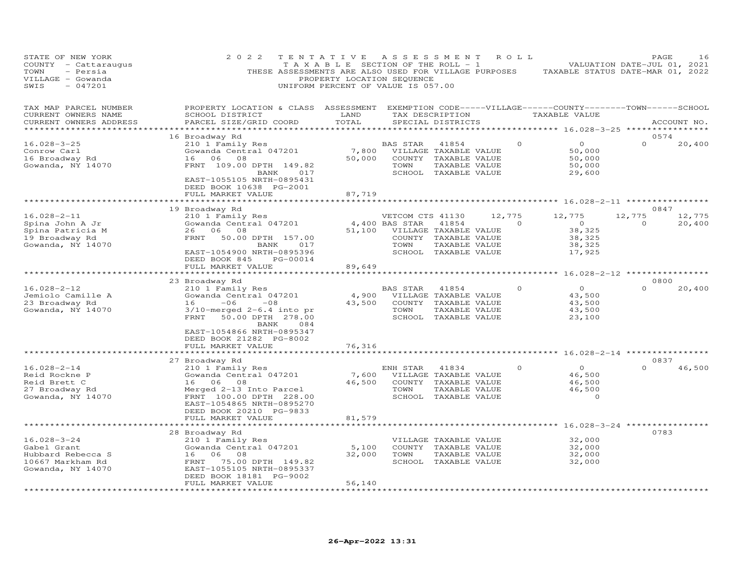| STATE OF NEW YORK<br>COUNTY<br>- Cattaraugus<br>TOWN<br>- Persia<br>VILLAGE - Gowanda<br>SWIS<br>$-047201$ | 2 0 2 2<br>THESE ASSESSMENTS ARE ALSO USED FOR VILLAGE PURPOSES                                                                                                                                                                                   | TENTATIVE<br>TAXABLE SECTION OF THE ROLL - 1<br>PROPERTY LOCATION SEQUENCE<br>UNIFORM PERCENT OF VALUE IS 057.00 | A S S E S S M E N T                        |                                                                                                 |        | ROLL     | TAXABLE STATUS DATE-MAR 01, 2022                                                                                         |                    | PAGE<br>16<br>VALUATION DATE-JUL 01, 2021 |
|------------------------------------------------------------------------------------------------------------|---------------------------------------------------------------------------------------------------------------------------------------------------------------------------------------------------------------------------------------------------|------------------------------------------------------------------------------------------------------------------|--------------------------------------------|-------------------------------------------------------------------------------------------------|--------|----------|--------------------------------------------------------------------------------------------------------------------------|--------------------|-------------------------------------------|
| TAX MAP PARCEL NUMBER<br>CURRENT OWNERS NAME<br>CURRENT OWNERS ADDRESS<br>******************               | PROPERTY LOCATION & CLASS ASSESSMENT<br>SCHOOL DISTRICT<br>PARCEL SIZE/GRID COORD                                                                                                                                                                 | LAND<br>TOTAL<br>**********                                                                                      |                                            | TAX DESCRIPTION<br>SPECIAL DISTRICTS                                                            |        |          | EXEMPTION CODE-----VILLAGE------COUNTY-------TOWN------SCHOOL<br>TAXABLE VALUE<br>******** 16.028-3-25 ***************** |                    | ACCOUNT NO.                               |
|                                                                                                            | 16 Broadway Rd                                                                                                                                                                                                                                    |                                                                                                                  |                                            |                                                                                                 |        |          |                                                                                                                          |                    | 0574                                      |
| $16.028 - 3 - 25$<br>Conrow Carl<br>16 Broadway Rd<br>Gowanda, NY 14070                                    | 210 1 Family Res<br>Gowanda Central 047201<br>16<br>06<br>08<br>FRNT 109.00 DPTH 149.82<br>BANK<br>017<br>EAST-1055105 NRTH-0895431<br>DEED BOOK 10638 PG-2001                                                                                    | 7,800<br>50,000                                                                                                  | BAS STAR<br>TOWN<br>SCHOOL                 | 41854<br>VILLAGE TAXABLE VALUE<br>COUNTY TAXABLE VALUE<br>TAXABLE VALUE<br>TAXABLE VALUE        |        |          | $\circ$<br>50,000<br>50,000<br>50,000<br>29,600                                                                          |                    | 20,400                                    |
|                                                                                                            | FULL MARKET VALUE                                                                                                                                                                                                                                 | 87,719                                                                                                           |                                            |                                                                                                 |        |          |                                                                                                                          |                    |                                           |
|                                                                                                            |                                                                                                                                                                                                                                                   |                                                                                                                  |                                            |                                                                                                 |        |          | $16.028 - 2 - 11$                                                                                                        |                    |                                           |
| $16.028 - 2 - 11$<br>Spina John A Jr<br>Spina Patricia M<br>19 Broadway Rd<br>Gowanda, NY 14070            | 19 Broadway Rd<br>210 1 Family Res<br>Gowanda Central 047201<br>26<br>06<br>08<br>50.00 DPTH 157.00<br>FRNT<br>017<br>BANK<br>EAST-1054900 NRTH-0895396                                                                                           | 51,100                                                                                                           | VETCOM CTS 41130<br>4,400 BAS STAR<br>TOWN | 41854<br>VILLAGE TAXABLE VALUE<br>COUNTY TAXABLE VALUE<br>TAXABLE VALUE<br>SCHOOL TAXABLE VALUE | 12,775 | $\Omega$ | 12,775<br>$\circ$<br>38,325<br>38,325<br>38,325<br>17,925                                                                | 12,775<br>$\Omega$ | 0847<br>12,775<br>20,400                  |
|                                                                                                            | DEED BOOK 845<br>PG-00014                                                                                                                                                                                                                         |                                                                                                                  |                                            |                                                                                                 |        |          |                                                                                                                          |                    |                                           |
|                                                                                                            | FULL MARKET VALUE                                                                                                                                                                                                                                 | 89,649                                                                                                           |                                            |                                                                                                 |        |          |                                                                                                                          |                    |                                           |
|                                                                                                            | ****************                                                                                                                                                                                                                                  |                                                                                                                  |                                            |                                                                                                 |        |          | $16.028 - 2 - 12$ ****                                                                                                   |                    | 0800                                      |
| $16.028 - 2 - 12$<br>Jemiolo Camille A<br>23 Broadway Rd<br>Gowanda, NY 14070                              | 23 Broadway Rd<br>210 1 Family Res<br>Gowanda Central 047201<br>$-06$<br>16<br>$-08$<br>$3/10$ -merged 2-6.4 into pr<br>FRNT<br>50.00 DPTH 278.00<br>084<br>BANK                                                                                  | 4,900<br>43,500                                                                                                  | BAS STAR<br>TOWN                           | 41854<br>VILLAGE TAXABLE VALUE<br>COUNTY TAXABLE VALUE<br>TAXABLE VALUE<br>SCHOOL TAXABLE VALUE |        | $\Omega$ | $\Omega$<br>43,500<br>43,500<br>43,500<br>23,100                                                                         |                    | 20,400                                    |
|                                                                                                            | EAST-1054866 NRTH-0895347<br>DEED BOOK 21282 PG-8002<br>FULL MARKET VALUE                                                                                                                                                                         | 76,316                                                                                                           |                                            |                                                                                                 |        |          |                                                                                                                          |                    |                                           |
|                                                                                                            |                                                                                                                                                                                                                                                   |                                                                                                                  |                                            |                                                                                                 |        |          | ********* 16.028-2-14 ***********                                                                                        |                    |                                           |
| $16.028 - 2 - 14$<br>Reid Rockne P<br>Reid Brett C<br>27 Broadway Rd<br>Gowanda, NY 14070                  | 27 Broadway Rd<br>210 1 Family Res<br>Gowanda Central 047201<br>16 06<br>- 08<br>Merged 2-13 Into Parcel<br>FRNT 100.00 DPTH 228.00<br>EAST-1054865 NRTH-0895270<br>DEED BOOK 20210 PG-9833                                                       | 7,600<br>46,500                                                                                                  | ENH STAR<br>COUNTY<br>TOWN<br>SCHOOL       | 41834<br>VILLAGE TAXABLE VALUE<br>TAXABLE VALUE<br>TAXABLE VALUE<br>TAXABLE VALUE               |        |          | $\circ$<br>46,500<br>46,500<br>46,500<br>$\mathbf 0$                                                                     |                    | 0837<br>46,500                            |
|                                                                                                            | FULL MARKET VALUE                                                                                                                                                                                                                                 | 81,579                                                                                                           |                                            |                                                                                                 |        |          |                                                                                                                          |                    |                                           |
| $16.028 - 3 - 24$<br>Gabel Grant<br>Hubbard Rebecca S<br>10667 Markham Rd<br>Gowanda, NY 14070             | ************<br>28 Broadway Rd<br>210 1 Family Res<br>Gowanda Central 047201<br>16<br>06<br>08<br>75.00 DPTH 149.82<br>FRNT<br>EAST-1055105 NRTH-0895337<br>DEED BOOK 18181 PG-9002<br>FULL MARKET VALUE<br>* * * * * * * * * * * * * * * * * * * | 5,100<br>32,000<br>56,140                                                                                        | TOWN                                       | VILLAGE TAXABLE VALUE<br>COUNTY TAXABLE VALUE<br>TAXABLE VALUE<br>SCHOOL TAXABLE VALUE          |        |          | $16.028 - 3 - 24$<br>32,000<br>32,000<br>32,000<br>32,000                                                                |                    | 0783                                      |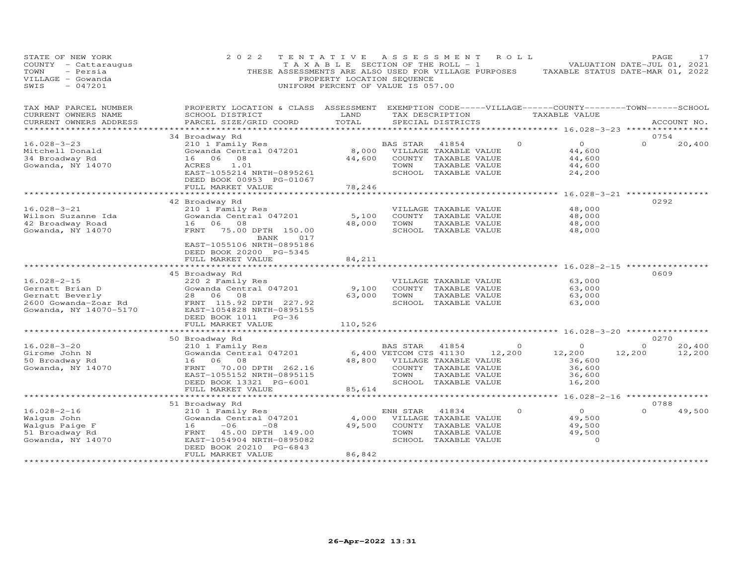| STATE OF NEW YORK<br>COUNTY - Cattaraugus<br>- Persia<br>TOWN<br>VILLAGE - Gowanda<br>$-047201$<br>SWIS   | 2 0 2 2<br>THESE ASSESSMENTS ARE ALSO USED FOR VILLAGE PURPOSES                                                                                                                                | TENTATIVE<br>TAXABLE SECTION OF THE ROLL - 1<br>PROPERTY LOCATION SEQUENCE<br>UNIFORM PERCENT OF VALUE IS 057.00 | A S S E S S M E N T                                                        |                                                                                                 | R O L L                  | VALUATION DATE-JUL 01, 2021<br>TAXABLE STATUS DATE-MAR 01, 2022                     |                    | PAGE        | 17               |
|-----------------------------------------------------------------------------------------------------------|------------------------------------------------------------------------------------------------------------------------------------------------------------------------------------------------|------------------------------------------------------------------------------------------------------------------|----------------------------------------------------------------------------|-------------------------------------------------------------------------------------------------|--------------------------|-------------------------------------------------------------------------------------|--------------------|-------------|------------------|
| TAX MAP PARCEL NUMBER<br>CURRENT OWNERS NAME<br>CURRENT OWNERS ADDRESS                                    | PROPERTY LOCATION & CLASS ASSESSMENT EXEMPTION CODE-----VILLAGE------COUNTY-------TOWN------SCHOOL<br>SCHOOL DISTRICT<br>PARCEL SIZE/GRID COORD<br>***********************************         | LAND<br>TOTAL                                                                                                    |                                                                            | SPECIAL DISTRICTS                                                                               | TAX DESCRIPTION          | TAXABLE VALUE<br>******************* 16.028-3-23 ***************                    |                    | ACCOUNT NO. |                  |
| $16.028 - 3 - 23$<br>Mitchell Donald<br>34 Broadway Rd<br>Gowanda, NY 14070                               | 34 Broadway Rd<br>210 1 Family Res<br>Gowanda Central 047201<br>16<br>06<br>08<br>ACRES<br>1.01<br>EAST-1055214 NRTH-0895261<br>DEED BOOK 00953 PG-01067<br>FULL MARKET VALUE                  | 8,000<br>44,600<br>78,246                                                                                        | BAS STAR<br>TOWN                                                           | 41854<br>VILLAGE TAXABLE VALUE<br>COUNTY TAXABLE VALUE<br>TAXABLE VALUE<br>SCHOOL TAXABLE VALUE | $\Omega$                 | $\overline{O}$<br>44,600<br>44,600<br>44,600<br>24,200                              | $\Omega$           | 0754        | 20,400           |
| $16.028 - 3 - 21$<br>Wilson Suzanne Ida<br>42 Broadway Road<br>Gowanda, NY 14070                          | 42 Broadway Rd<br>210 1 Family Res<br>Gowanda Central 047201<br>16 06 08<br>FRNT 75.00 DPTH 150.00<br>017<br>BANK<br>EAST-1055106 NRTH-0895186<br>DEED BOOK 20200 PG-5345<br>FULL MARKET VALUE | 5,100<br>48,000<br>84,211                                                                                        | TOWN                                                                       | VILLAGE TAXABLE VALUE<br>COUNTY TAXABLE VALUE<br>TAXABLE VALUE<br>SCHOOL TAXABLE VALUE          |                          | **************** 16.028-3-21 **************<br>48,000<br>48,000<br>48,000<br>48,000 | 0292               |             |                  |
| $16.028 - 2 - 15$<br>Gernatt Brian D<br>Gernatt Beverly<br>2600 Gowanda-Zoar Rd<br>Gowanda, NY 14070-5170 | 45 Broadway Rd<br>220 2 Family Res<br>Gowanda Central 047201<br>28 06 08<br>FRNT 115.92 DPTH 227.92<br>EAST-1054828 NRTH-0895155<br>DEED BOOK 1011<br>$PG-36$<br>FULL MARKET VALUE             | 9,100<br>63,000<br>110,526                                                                                       | TOWN                                                                       | VILLAGE TAXABLE VALUE<br>COUNTY TAXABLE VALUE<br>TAXABLE VALUE<br>SCHOOL TAXABLE VALUE          |                          | ************ 16.028-2-15 *********<br>63,000<br>63,000<br>63,000<br>63,000          | 0609               |             |                  |
|                                                                                                           |                                                                                                                                                                                                |                                                                                                                  |                                                                            |                                                                                                 |                          |                                                                                     |                    |             |                  |
| $16.028 - 3 - 20$<br>Girome John N<br>50 Broadway Rd<br>Gowanda, NY 14070                                 | 50 Broadway Rd<br>210 1 Family Res<br>Gowanda Central 047201<br>16 06 08<br>FRNT<br>70.00 DPTH 262.16<br>EAST-1055152 NRTH-0895115<br>DEED BOOK 13321 PG-6001<br>FULL MARKET VALUE             | 85,614                                                                                                           | BAS STAR<br>6,400 VETCOM CTS 41130<br>48,800 VILLAGE TAXABLE VALUE<br>TOWN | 41854<br>COUNTY TAXABLE VALUE<br>TAXABLE VALUE<br>SCHOOL TAXABLE VALUE                          | $\overline{0}$<br>12,200 | $\Omega$<br>12,200<br>36,600<br>36,600<br>36,600<br>16,200                          | $\Omega$<br>12,200 | 0270        | 20,400<br>12,200 |
|                                                                                                           | ***********************                                                                                                                                                                        | **************************                                                                                       |                                                                            |                                                                                                 |                          | ********* 16.028-2-16 *****************                                             |                    |             |                  |
| $16.028 - 2 - 16$<br>Walqus John<br>Walgus Paige F<br>51 Broadway Rd<br>Gowanda, NY 14070                 | 51 Broadway Rd<br>210 1 Family Res<br>Gowanda Central 047201<br>$-06$<br>16<br>$-08$<br>FRNT 45.00 DPTH 149.00<br>EAST-1054904 NRTH-0895082<br>DEED BOOK 20210 PG-6843<br>FULL MARKET VALUE    | 4,000<br>49,500<br>86,842                                                                                        | ENH STAR<br>TOWN                                                           | 41834<br>VILLAGE TAXABLE VALUE<br>COUNTY TAXABLE VALUE<br>TAXABLE VALUE<br>SCHOOL TAXABLE VALUE | $\Omega$                 | $\overline{O}$<br>49,500<br>49,500<br>49,500<br>$\Omega$                            | $\Omega$           | 0788        | 49,500           |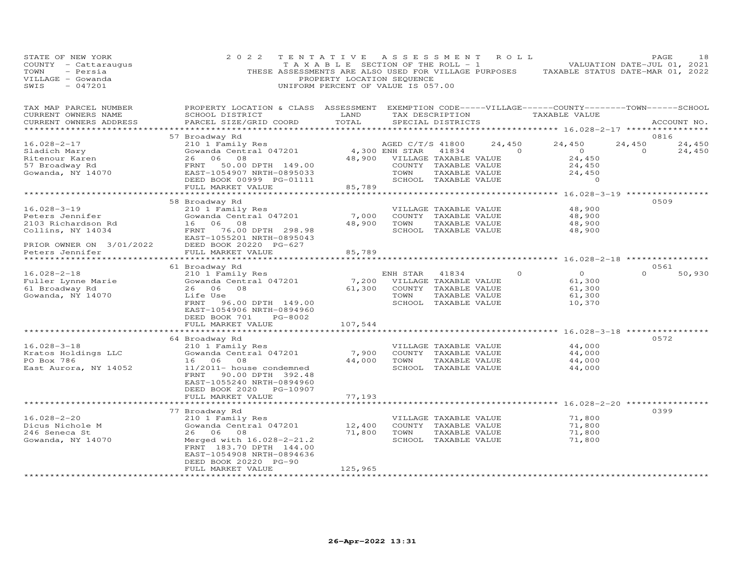| STATE OF NEW YORK<br>COUNTY - Cattaraugus<br>TOWN<br>- Persia<br>VILLAGE - Gowanda<br>SWIS<br>$-047201$ | 2 0 2 2<br>THESE ASSESSMENTS ARE ALSO USED FOR VILLAGE PURPOSES                                                                                 | TENTATIVE<br>T A X A B L E SECTION OF THE ROLL - 1<br>PROPERTY LOCATION SEQUENCE<br>UNIFORM PERCENT OF VALUE IS 057.00 | A S S E S S M E N T   |                       | ROLL            | TAXABLE STATUS DATE-MAR 01, 2022                             | PAGE<br>VALUATION DATE-JUL 01, 2021 | 18          |
|---------------------------------------------------------------------------------------------------------|-------------------------------------------------------------------------------------------------------------------------------------------------|------------------------------------------------------------------------------------------------------------------------|-----------------------|-----------------------|-----------------|--------------------------------------------------------------|-------------------------------------|-------------|
| TAX MAP PARCEL NUMBER<br>CURRENT OWNERS NAME<br>CURRENT OWNERS ADDRESS                                  | PROPERTY LOCATION & CLASS ASSESSMENT EXEMPTION CODE-----VILLAGE------COUNTY-------TOWN------SCHOOL<br>SCHOOL DISTRICT<br>PARCEL SIZE/GRID COORD | LAND<br>TOTAL                                                                                                          |                       | SPECIAL DISTRICTS     | TAX DESCRIPTION | TAXABLE VALUE                                                |                                     | ACCOUNT NO. |
|                                                                                                         | 57 Broadway Rd                                                                                                                                  |                                                                                                                        |                       |                       |                 |                                                              | 0816                                |             |
| $16.028 - 2 - 17$                                                                                       | 210 1 Family Res                                                                                                                                |                                                                                                                        | AGED C/T/S 41800      |                       | 24,450          | 24,450                                                       | 24,450                              | 24,450      |
| Sladich Mary                                                                                            | Gowanda Central 047201                                                                                                                          |                                                                                                                        | 4,300 ENH STAR        | 41834                 | $\overline{a}$  | $\overline{O}$                                               | $\Omega$                            | 24,450      |
| Ritenour Karen                                                                                          | 26 06 08                                                                                                                                        | 48,900                                                                                                                 | VILLAGE TAXABLE VALUE |                       |                 | 24,450                                                       |                                     |             |
| 57 Broadway Rd                                                                                          | FRNT<br>50.00 DPTH 149.00                                                                                                                       |                                                                                                                        |                       | COUNTY TAXABLE VALUE  |                 | 24,450                                                       |                                     |             |
| Gowanda, NY 14070                                                                                       | EAST-1054907 NRTH-0895033                                                                                                                       |                                                                                                                        | TOWN                  | TAXABLE VALUE         |                 | 24,450                                                       |                                     |             |
|                                                                                                         | DEED BOOK 00999 PG-01111                                                                                                                        |                                                                                                                        |                       | SCHOOL TAXABLE VALUE  |                 | $\circ$                                                      |                                     |             |
|                                                                                                         | FULL MARKET VALUE                                                                                                                               | 85,789                                                                                                                 |                       |                       |                 |                                                              |                                     |             |
|                                                                                                         |                                                                                                                                                 | **********                                                                                                             |                       |                       |                 | ************ 16.028-3-19 *****************                   |                                     |             |
|                                                                                                         | 58 Broadway Rd                                                                                                                                  |                                                                                                                        |                       |                       |                 |                                                              | 0509                                |             |
| $16.028 - 3 - 19$                                                                                       | 210 1 Family Res                                                                                                                                |                                                                                                                        |                       | VILLAGE TAXABLE VALUE |                 | 48,900                                                       |                                     |             |
| Peters Jennifer                                                                                         | Gowanda Central 047201                                                                                                                          | 7,000                                                                                                                  |                       | COUNTY TAXABLE VALUE  |                 | 48,900                                                       |                                     |             |
| 2103 Richardson Rd                                                                                      | 16 06 08                                                                                                                                        | 48,900                                                                                                                 | TOWN                  | TAXABLE VALUE         |                 | 48,900                                                       |                                     |             |
| Collins, NY 14034                                                                                       | FRNT<br>76.00 DPTH 298.98                                                                                                                       |                                                                                                                        |                       | SCHOOL TAXABLE VALUE  |                 | 48,900                                                       |                                     |             |
|                                                                                                         | EAST-1055201 NRTH-0895043                                                                                                                       |                                                                                                                        |                       |                       |                 |                                                              |                                     |             |
| PRIOR OWNER ON 3/01/2022<br>Peters Jennifer                                                             | DEED BOOK 20220 PG-627                                                                                                                          |                                                                                                                        |                       |                       |                 |                                                              |                                     |             |
| Peters Jennifer                                                                                         | FULL MARKET VALUE                                                                                                                               | 85,789                                                                                                                 |                       |                       |                 |                                                              |                                     |             |
|                                                                                                         | ************************                                                                                                                        | **************                                                                                                         |                       |                       |                 | ************************************ 16.028-2-18 *********** |                                     |             |
|                                                                                                         | 61 Broadway Rd                                                                                                                                  |                                                                                                                        |                       |                       |                 |                                                              | 0561                                |             |
| $16.028 - 2 - 18$                                                                                       | 210 1 Family Res                                                                                                                                |                                                                                                                        | ENH STAR              | 41834                 | $\Omega$        | $\overline{O}$                                               | $\Omega$                            | 50,930      |
| Fuller Lynne Marie                                                                                      | Gowanda Central 047201                                                                                                                          | 7,200                                                                                                                  | VILLAGE TAXABLE VALUE |                       |                 | 61,300                                                       |                                     |             |
| 61 Broadway Rd                                                                                          | 26<br>06<br>08                                                                                                                                  | 61,300                                                                                                                 |                       | COUNTY TAXABLE VALUE  |                 | 61,300                                                       |                                     |             |
| Gowanda, NY 14070                                                                                       | Life Use                                                                                                                                        |                                                                                                                        | TOWN                  | TAXABLE VALUE         |                 | 61,300                                                       |                                     |             |
|                                                                                                         | FRNT<br>96.00 DPTH 149.00                                                                                                                       |                                                                                                                        |                       | SCHOOL TAXABLE VALUE  |                 | 10,370                                                       |                                     |             |
|                                                                                                         | EAST-1054906 NRTH-0894960                                                                                                                       |                                                                                                                        |                       |                       |                 |                                                              |                                     |             |
|                                                                                                         | DEED BOOK 701<br>PG-8002<br>FULL MARKET VALUE                                                                                                   | 107,544                                                                                                                |                       |                       |                 |                                                              |                                     |             |
|                                                                                                         |                                                                                                                                                 | ************                                                                                                           |                       |                       |                 | ************* 16.028-3-18 *************                      |                                     |             |
|                                                                                                         | 64 Broadway Rd                                                                                                                                  |                                                                                                                        |                       |                       |                 |                                                              | 0572                                |             |
| $16.028 - 3 - 18$                                                                                       | 210 1 Family Res                                                                                                                                |                                                                                                                        |                       | VILLAGE TAXABLE VALUE |                 | 44,000                                                       |                                     |             |
| Kratos Holdings LLC                                                                                     | Gowanda Central 047201                                                                                                                          | 7,900                                                                                                                  |                       | COUNTY TAXABLE VALUE  |                 | 44,000                                                       |                                     |             |
| PO Box 786                                                                                              | 16 06<br>08                                                                                                                                     | 44,000                                                                                                                 | TOWN                  | TAXABLE VALUE         |                 | 44,000                                                       |                                     |             |
| East Aurora, NY 14052                                                                                   | 11/2011- house condemned                                                                                                                        |                                                                                                                        |                       | SCHOOL TAXABLE VALUE  |                 | 44,000                                                       |                                     |             |
|                                                                                                         | FRNT<br>90.00 DPTH 392.48                                                                                                                       |                                                                                                                        |                       |                       |                 |                                                              |                                     |             |
|                                                                                                         | EAST-1055240 NRTH-0894960                                                                                                                       |                                                                                                                        |                       |                       |                 |                                                              |                                     |             |
|                                                                                                         | DEED BOOK 2020 PG-10907                                                                                                                         |                                                                                                                        |                       |                       |                 |                                                              |                                     |             |
|                                                                                                         | FULL MARKET VALUE                                                                                                                               | 77,193                                                                                                                 |                       |                       |                 |                                                              |                                     |             |
|                                                                                                         | *******************                                                                                                                             |                                                                                                                        |                       |                       |                 | *********** 16.028-2-20 ****                                 |                                     |             |
|                                                                                                         | 77 Broadway Rd                                                                                                                                  |                                                                                                                        |                       |                       |                 |                                                              | 0399                                |             |
| $16.028 - 2 - 20$                                                                                       | 210 1 Family Res                                                                                                                                |                                                                                                                        |                       | VILLAGE TAXABLE VALUE |                 | 71,800                                                       |                                     |             |
| Dicus Nichole M                                                                                         | Gowanda Central 047201                                                                                                                          | 12,400                                                                                                                 |                       | COUNTY TAXABLE VALUE  |                 | 71,800                                                       |                                     |             |
| 246 Seneca St                                                                                           | 06<br>08<br>26                                                                                                                                  | 71,800                                                                                                                 | TOWN                  | TAXABLE VALUE         |                 | 71,800                                                       |                                     |             |
| Gowanda, NY 14070                                                                                       | Merged with 16.028-2-21.2                                                                                                                       |                                                                                                                        |                       | SCHOOL TAXABLE VALUE  |                 | 71,800                                                       |                                     |             |
|                                                                                                         | FRNT 183.70 DPTH 144.00                                                                                                                         |                                                                                                                        |                       |                       |                 |                                                              |                                     |             |
|                                                                                                         | EAST-1054908 NRTH-0894636                                                                                                                       |                                                                                                                        |                       |                       |                 |                                                              |                                     |             |
|                                                                                                         | DEED BOOK 20220 PG-90                                                                                                                           |                                                                                                                        |                       |                       |                 |                                                              |                                     |             |
|                                                                                                         | FULL MARKET VALUE                                                                                                                               | 125,965                                                                                                                |                       |                       |                 |                                                              |                                     |             |
|                                                                                                         | *******************                                                                                                                             | **********                                                                                                             |                       |                       |                 |                                                              |                                     |             |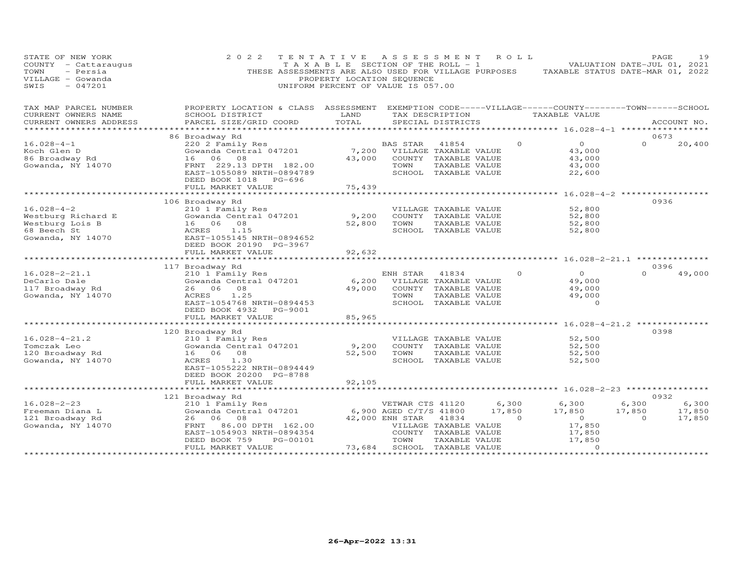| STATE OF NEW YORK<br>COUNTY - Cattaraugus<br>TOWN<br>- Persia<br>VILLAGE - Gowanda<br>$-047201$<br>SWIS | 2 0 2 2<br>THESE ASSESSMENTS ARE ALSO USED FOR VILLAGE PURPOSES                                                                                    | TENTATIVE ASSESSMENT<br>TAXABLE SECTION OF THE ROLL - 1<br>PROPERTY LOCATION SEQUENCE<br>UNIFORM PERCENT OF VALUE IS 057.00 |                                                               |                                                                                                 | R O L L                     | TAXABLE STATUS DATE-MAR 01, 2022                       | PAGE<br>VALUATION DATE-JUL 01, 2021       | 19                        |
|---------------------------------------------------------------------------------------------------------|----------------------------------------------------------------------------------------------------------------------------------------------------|-----------------------------------------------------------------------------------------------------------------------------|---------------------------------------------------------------|-------------------------------------------------------------------------------------------------|-----------------------------|--------------------------------------------------------|-------------------------------------------|---------------------------|
| TAX MAP PARCEL NUMBER<br>CURRENT OWNERS NAME                                                            | PROPERTY LOCATION & CLASS ASSESSMENT EXEMPTION CODE-----VILLAGE------COUNTY--------TOWN------SCHOOL<br>SCHOOL DISTRICT                             | LAND                                                                                                                        |                                                               | TAX DESCRIPTION                                                                                 |                             | TAXABLE VALUE                                          |                                           |                           |
| CURRENT OWNERS ADDRESS                                                                                  | PARCEL SIZE/GRID COORD                                                                                                                             | TOTAL                                                                                                                       |                                                               | SPECIAL DISTRICTS                                                                               |                             |                                                        |                                           | ACCOUNT NO.               |
|                                                                                                         | 86 Broadway Rd                                                                                                                                     |                                                                                                                             |                                                               |                                                                                                 |                             |                                                        | 0673                                      |                           |
| $16.028 - 4 - 1$<br>Koch Glen D<br>86 Broadway Rd<br>Gowanda, NY 14070                                  | 220 2 Family Res<br>Gowanda Central 047201<br>16 06 08<br>FRNT 229.13 DPTH 182.00<br>EAST-1055089 NRTH-0894789                                     | 7,200<br>43,000                                                                                                             | BAS STAR<br>TOWN                                              | 41854<br>VILLAGE TAXABLE VALUE<br>COUNTY TAXABLE VALUE<br>TAXABLE VALUE<br>SCHOOL TAXABLE VALUE | $\Omega$                    | $\overline{O}$<br>43,000<br>43,000<br>43,000<br>22,600 | $\Omega$                                  | 20,400                    |
|                                                                                                         | DEED BOOK 1018 PG-696<br>FULL MARKET VALUE                                                                                                         | 75,439                                                                                                                      |                                                               |                                                                                                 |                             |                                                        |                                           |                           |
|                                                                                                         |                                                                                                                                                    |                                                                                                                             |                                                               |                                                                                                 |                             |                                                        |                                           |                           |
| $16.028 - 4 - 2$<br>Westburg Richard E<br>Westburg Lois B<br>68 Beech St<br>Gowanda, NY 14070           | 106 Broadway Rd<br>210 1 Family Res<br>Gowanda Central 047201<br>16 06 08<br>ACRES<br>1.15<br>EAST-1055145 NRTH-0894652                            | 9,200<br>52,800                                                                                                             | TOWN                                                          | VILLAGE TAXABLE VALUE<br>COUNTY TAXABLE VALUE<br>TAXABLE VALUE<br>SCHOOL TAXABLE VALUE          |                             | 52,800<br>52,800<br>52,800<br>52,800                   | 0936                                      |                           |
|                                                                                                         | DEED BOOK 20190 PG-3967                                                                                                                            |                                                                                                                             |                                                               |                                                                                                 |                             |                                                        |                                           |                           |
|                                                                                                         | FULL MARKET VALUE                                                                                                                                  | 92,632                                                                                                                      |                                                               |                                                                                                 |                             |                                                        |                                           |                           |
|                                                                                                         | 117 Broadway Rd                                                                                                                                    | **************                                                                                                              |                                                               |                                                                                                 |                             | ********************* 16.028-2-21.1 *********          | 0396                                      |                           |
| $16.028 - 2 - 21.1$<br>DeCarlo Dale<br>117 Broadway Rd<br>Gowanda, NY 14070                             | 210 1 Family Res<br>Gowanda Central 047201<br>26 06 08<br>1.25<br>ACRES<br>EAST-1054768 NRTH-0894453<br>DEED BOOK 4932<br>PG-9001                  | 6,200<br>49,000                                                                                                             | ENH STAR<br>TOWN                                              | 41834<br>VILLAGE TAXABLE VALUE<br>COUNTY TAXABLE VALUE<br>TAXABLE VALUE<br>SCHOOL TAXABLE VALUE | $\Omega$                    | $\circ$<br>49,000<br>49,000<br>49,000<br>$\circ$       | $\Omega$                                  | 49,000                    |
|                                                                                                         | FULL MARKET VALUE                                                                                                                                  | 85,965                                                                                                                      |                                                               |                                                                                                 |                             |                                                        |                                           |                           |
|                                                                                                         | ***********************                                                                                                                            |                                                                                                                             |                                                               |                                                                                                 |                             | **************** 16.028-4-21.2 *************           |                                           |                           |
| $16.028 - 4 - 21.2$<br>Tomczak Leo<br>120 Broadway Rd<br>Gowanda, NY 14070                              | 120 Broadway Rd<br>210 1 Family Res<br>Gowanda Central 047201<br>16 06 08<br>1.30<br>ACRES<br>EAST-1055222 NRTH-0894449<br>DEED BOOK 20200 PG-8788 | 9,200<br>52,500                                                                                                             | TOWN                                                          | VILLAGE TAXABLE VALUE<br>COUNTY TAXABLE VALUE<br>TAXABLE VALUE<br>SCHOOL TAXABLE VALUE          |                             | 52,500<br>52,500<br>52,500<br>52,500                   | 0398                                      |                           |
|                                                                                                         | FULL MARKET VALUE                                                                                                                                  | 92,105                                                                                                                      |                                                               |                                                                                                 |                             |                                                        |                                           |                           |
|                                                                                                         |                                                                                                                                                    |                                                                                                                             |                                                               |                                                                                                 |                             | ******************** 16.028-2-23 *****************     |                                           |                           |
| $16.028 - 2 - 23$<br>Freeman Diana L<br>121 Broadway Rd                                                 | 121 Broadway Rd<br>210 1 Family Res<br>Gowanda Central 047201<br>26 06<br>08                                                                       |                                                                                                                             | VETWAR CTS 41120<br>6,900 AGED C/T/S 41800<br>42,000 ENH STAR | 41834                                                                                           | 6,300<br>17,850<br>$\Omega$ | 6,300<br>17,850<br>$\overline{0}$                      | 0932<br>6,300<br>17,850<br>$\overline{0}$ | 6,300<br>17,850<br>17,850 |
| Gowanda, NY 14070                                                                                       | 86.00 DPTH 162.00<br>FRNT<br>EAST-1054903 NRTH-0894354<br>DEED BOOK 759<br>PG-00101<br>FULL MARKET VALUE                                           | 73,684                                                                                                                      | TOWN                                                          | VILLAGE TAXABLE VALUE<br>COUNTY TAXABLE VALUE<br>TAXABLE VALUE<br>SCHOOL TAXABLE VALUE          |                             | 17,850<br>17,850<br>17,850<br>$\Omega$                 |                                           |                           |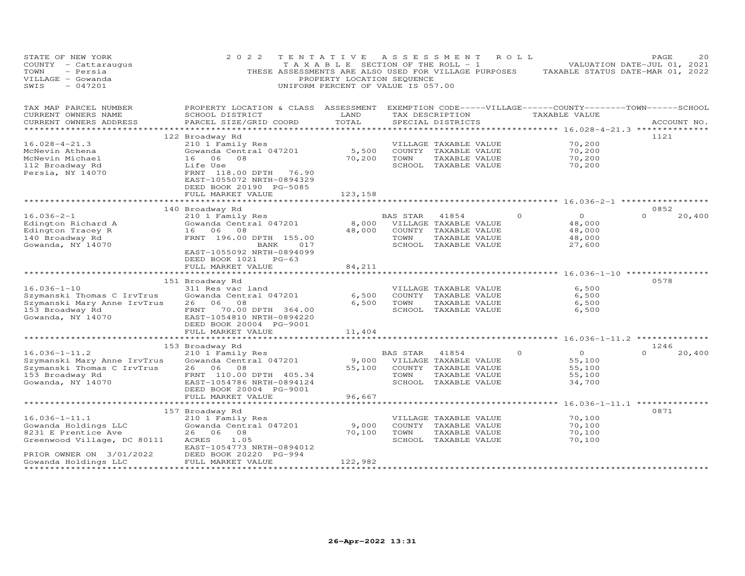| PROPERTY LOCATION & CLASS ASSESSMENT EXEMPTION CODE-----VILLAGE------COUNTY-------TOWN------SCHOOL<br>TAX MAP PARCEL NUMBER<br>CURRENT OWNERS NAME<br>SCHOOL DISTRICT<br>LAND<br>TAX DESCRIPTION<br>TAXABLE VALUE<br>TOTAL<br>CURRENT OWNERS ADDRESS<br>PARCEL SIZE/GRID COORD<br>SPECIAL DISTRICTS<br>ACCOUNT NO.<br>**************************** 16.028-4-21.3 ***************<br>*******************<br>1121<br>122 Broadway Rd<br>$16.028 - 4 - 21.3$<br>70,200<br>210 1 Family Res<br>VILLAGE TAXABLE VALUE<br>70,200<br>Gowanda Central 047201<br>5,500<br>COUNTY TAXABLE VALUE<br>McNevin Athena<br>08<br>70,200<br>70,200<br>McNevin Michael<br>16 06<br>TOWN<br>TAXABLE VALUE<br>SCHOOL TAXABLE VALUE<br>70,200<br>112 Broadway Rd<br>Life Use<br>Persia, NY 14070<br>FRNT 118.00 DPTH 76.90<br>EAST-1055072 NRTH-0894329<br>DEED BOOK 20190 PG-5085<br>FULL MARKET VALUE<br>123,158<br>0852<br>140 Broadway Rd<br>$16.036 - 2 - 1$<br>$\Omega$<br>$\Omega$<br>20,400<br>210 1 Family Res<br>BAS STAR<br>$\Omega$<br>41854<br>8,000<br>48,000<br>Edington Richard A<br>Gowanda Central 047201<br>VILLAGE TAXABLE VALUE<br>Edington Tracey R<br>48,000<br>48,000<br>16 06<br>08<br>COUNTY TAXABLE VALUE<br>48,000<br>140 Broadway Rd<br>FRNT 196.00 DPTH 155.00<br>TOWN<br>TAXABLE VALUE<br>Gowanda, NY 14070<br>SCHOOL TAXABLE VALUE<br>017<br>27,600<br>BANK<br>EAST-1055092 NRTH-0894099<br>DEED BOOK 1021 PG-63<br>FULL MARKET VALUE<br>84,211<br>*************************<br>0578<br>151 Broadway Rd<br>$16.036 - 1 - 10$<br>6,500<br>311 Res vac land<br>VILLAGE TAXABLE VALUE<br>6,500<br>Szymanski Thomas C IrvTrus<br>6,500<br>COUNTY TAXABLE VALUE<br>Gowanda Central 047201<br>26 06<br>6,500<br>TAXABLE VALUE<br>6,500<br>Szymanski Mary Anne IrvTrus<br>08<br>TOWN<br>SCHOOL TAXABLE VALUE<br>153 Broadway Rd<br>FRNT<br>70.00 DPTH 364.00<br>6,500<br>Gowanda, NY 14070<br>EAST-1054810 NRTH-0894220<br>DEED BOOK 20004 PG-9001<br>FULL MARKET VALUE<br>11,404<br>1246<br>153 Broadway Rd<br>$16.036 - 1 - 11.2$<br>$\circ$<br>$\Omega$<br>20,400<br>210 1 Family Res<br>41854<br>$\Omega$<br>BAS STAR<br>9,000<br>Szymanski Mary Anne IrvTrus<br>Gowanda Central 047201<br>VILLAGE TAXABLE VALUE<br>55,100<br>Szymanski Thomas C IrvTrus<br>55,100<br>26 06 08<br>COUNTY TAXABLE VALUE<br>55,100<br>153 Broadway Rd<br>FRNT 110.00 DPTH 405.34<br>TOWN<br>TAXABLE VALUE<br>55,100<br>Gowanda, NY 14070<br>EAST-1054786 NRTH-0894124<br>SCHOOL TAXABLE VALUE<br>34,700<br>DEED BOOK 20004 PG-9001<br>FULL MARKET VALUE<br>96,667<br>0871<br>157 Broadway Rd<br>$16.036 - 1 - 11.1$<br>70,100<br>210 1 Family Res<br>VILLAGE TAXABLE VALUE<br>Gowanda Holdings LLC<br>Gowanda Central 047201<br>9,000<br>COUNTY TAXABLE VALUE<br>70,100<br>8231 E Prentice Ave<br>26 06<br>70,100<br>TOWN<br>TAXABLE VALUE<br>70,100<br>08<br>Greenwood Village, DC 80111<br>1.05<br>SCHOOL TAXABLE VALUE<br>70,100<br>ACRES<br>EAST-1054773 NRTH-0894012<br>PRIOR OWNER ON 3/01/2022<br>DEED BOOK 20220 PG-994<br>122,982<br>Gowanda Holdings LLC<br>FULL MARKET VALUE | STATE OF NEW YORK<br>COUNTY - Cattaraugus<br>- Persia<br>TOWN<br>VILLAGE - Gowanda<br>$-047201$<br>SWIS | 2 0 2 2<br>THESE ASSESSMENTS ARE ALSO USED FOR VILLAGE PURPOSES | TENTATIVE<br>TAXABLE SECTION OF THE ROLL - 1<br>PROPERTY LOCATION SEQUENCE<br>UNIFORM PERCENT OF VALUE IS 057.00 | A S S E S S M E N T | ROLL | TAXABLE STATUS DATE-MAR 01, 2022 | PAGE<br>VALUATION DATE-JUL 01, 2021 | 2.0 |
|-------------------------------------------------------------------------------------------------------------------------------------------------------------------------------------------------------------------------------------------------------------------------------------------------------------------------------------------------------------------------------------------------------------------------------------------------------------------------------------------------------------------------------------------------------------------------------------------------------------------------------------------------------------------------------------------------------------------------------------------------------------------------------------------------------------------------------------------------------------------------------------------------------------------------------------------------------------------------------------------------------------------------------------------------------------------------------------------------------------------------------------------------------------------------------------------------------------------------------------------------------------------------------------------------------------------------------------------------------------------------------------------------------------------------------------------------------------------------------------------------------------------------------------------------------------------------------------------------------------------------------------------------------------------------------------------------------------------------------------------------------------------------------------------------------------------------------------------------------------------------------------------------------------------------------------------------------------------------------------------------------------------------------------------------------------------------------------------------------------------------------------------------------------------------------------------------------------------------------------------------------------------------------------------------------------------------------------------------------------------------------------------------------------------------------------------------------------------------------------------------------------------------------------------------------------------------------------------------------------------------------------------------------------------------------------------------------------------------------------------------------------------------------------------------------------------------------------------------------------------------------------------------------------------------------------------------------------------------------------------------------------------------------------------------------------------------------|---------------------------------------------------------------------------------------------------------|-----------------------------------------------------------------|------------------------------------------------------------------------------------------------------------------|---------------------|------|----------------------------------|-------------------------------------|-----|
|                                                                                                                                                                                                                                                                                                                                                                                                                                                                                                                                                                                                                                                                                                                                                                                                                                                                                                                                                                                                                                                                                                                                                                                                                                                                                                                                                                                                                                                                                                                                                                                                                                                                                                                                                                                                                                                                                                                                                                                                                                                                                                                                                                                                                                                                                                                                                                                                                                                                                                                                                                                                                                                                                                                                                                                                                                                                                                                                                                                                                                                                               |                                                                                                         |                                                                 |                                                                                                                  |                     |      |                                  |                                     |     |
|                                                                                                                                                                                                                                                                                                                                                                                                                                                                                                                                                                                                                                                                                                                                                                                                                                                                                                                                                                                                                                                                                                                                                                                                                                                                                                                                                                                                                                                                                                                                                                                                                                                                                                                                                                                                                                                                                                                                                                                                                                                                                                                                                                                                                                                                                                                                                                                                                                                                                                                                                                                                                                                                                                                                                                                                                                                                                                                                                                                                                                                                               |                                                                                                         |                                                                 |                                                                                                                  |                     |      |                                  |                                     |     |
|                                                                                                                                                                                                                                                                                                                                                                                                                                                                                                                                                                                                                                                                                                                                                                                                                                                                                                                                                                                                                                                                                                                                                                                                                                                                                                                                                                                                                                                                                                                                                                                                                                                                                                                                                                                                                                                                                                                                                                                                                                                                                                                                                                                                                                                                                                                                                                                                                                                                                                                                                                                                                                                                                                                                                                                                                                                                                                                                                                                                                                                                               |                                                                                                         |                                                                 |                                                                                                                  |                     |      |                                  |                                     |     |
|                                                                                                                                                                                                                                                                                                                                                                                                                                                                                                                                                                                                                                                                                                                                                                                                                                                                                                                                                                                                                                                                                                                                                                                                                                                                                                                                                                                                                                                                                                                                                                                                                                                                                                                                                                                                                                                                                                                                                                                                                                                                                                                                                                                                                                                                                                                                                                                                                                                                                                                                                                                                                                                                                                                                                                                                                                                                                                                                                                                                                                                                               |                                                                                                         |                                                                 |                                                                                                                  |                     |      |                                  |                                     |     |
|                                                                                                                                                                                                                                                                                                                                                                                                                                                                                                                                                                                                                                                                                                                                                                                                                                                                                                                                                                                                                                                                                                                                                                                                                                                                                                                                                                                                                                                                                                                                                                                                                                                                                                                                                                                                                                                                                                                                                                                                                                                                                                                                                                                                                                                                                                                                                                                                                                                                                                                                                                                                                                                                                                                                                                                                                                                                                                                                                                                                                                                                               |                                                                                                         |                                                                 |                                                                                                                  |                     |      |                                  |                                     |     |
|                                                                                                                                                                                                                                                                                                                                                                                                                                                                                                                                                                                                                                                                                                                                                                                                                                                                                                                                                                                                                                                                                                                                                                                                                                                                                                                                                                                                                                                                                                                                                                                                                                                                                                                                                                                                                                                                                                                                                                                                                                                                                                                                                                                                                                                                                                                                                                                                                                                                                                                                                                                                                                                                                                                                                                                                                                                                                                                                                                                                                                                                               |                                                                                                         |                                                                 |                                                                                                                  |                     |      |                                  |                                     |     |
|                                                                                                                                                                                                                                                                                                                                                                                                                                                                                                                                                                                                                                                                                                                                                                                                                                                                                                                                                                                                                                                                                                                                                                                                                                                                                                                                                                                                                                                                                                                                                                                                                                                                                                                                                                                                                                                                                                                                                                                                                                                                                                                                                                                                                                                                                                                                                                                                                                                                                                                                                                                                                                                                                                                                                                                                                                                                                                                                                                                                                                                                               |                                                                                                         |                                                                 |                                                                                                                  |                     |      |                                  |                                     |     |
|                                                                                                                                                                                                                                                                                                                                                                                                                                                                                                                                                                                                                                                                                                                                                                                                                                                                                                                                                                                                                                                                                                                                                                                                                                                                                                                                                                                                                                                                                                                                                                                                                                                                                                                                                                                                                                                                                                                                                                                                                                                                                                                                                                                                                                                                                                                                                                                                                                                                                                                                                                                                                                                                                                                                                                                                                                                                                                                                                                                                                                                                               |                                                                                                         |                                                                 |                                                                                                                  |                     |      |                                  |                                     |     |
|                                                                                                                                                                                                                                                                                                                                                                                                                                                                                                                                                                                                                                                                                                                                                                                                                                                                                                                                                                                                                                                                                                                                                                                                                                                                                                                                                                                                                                                                                                                                                                                                                                                                                                                                                                                                                                                                                                                                                                                                                                                                                                                                                                                                                                                                                                                                                                                                                                                                                                                                                                                                                                                                                                                                                                                                                                                                                                                                                                                                                                                                               |                                                                                                         |                                                                 |                                                                                                                  |                     |      |                                  |                                     |     |
|                                                                                                                                                                                                                                                                                                                                                                                                                                                                                                                                                                                                                                                                                                                                                                                                                                                                                                                                                                                                                                                                                                                                                                                                                                                                                                                                                                                                                                                                                                                                                                                                                                                                                                                                                                                                                                                                                                                                                                                                                                                                                                                                                                                                                                                                                                                                                                                                                                                                                                                                                                                                                                                                                                                                                                                                                                                                                                                                                                                                                                                                               |                                                                                                         |                                                                 |                                                                                                                  |                     |      |                                  |                                     |     |
|                                                                                                                                                                                                                                                                                                                                                                                                                                                                                                                                                                                                                                                                                                                                                                                                                                                                                                                                                                                                                                                                                                                                                                                                                                                                                                                                                                                                                                                                                                                                                                                                                                                                                                                                                                                                                                                                                                                                                                                                                                                                                                                                                                                                                                                                                                                                                                                                                                                                                                                                                                                                                                                                                                                                                                                                                                                                                                                                                                                                                                                                               |                                                                                                         |                                                                 |                                                                                                                  |                     |      |                                  |                                     |     |
|                                                                                                                                                                                                                                                                                                                                                                                                                                                                                                                                                                                                                                                                                                                                                                                                                                                                                                                                                                                                                                                                                                                                                                                                                                                                                                                                                                                                                                                                                                                                                                                                                                                                                                                                                                                                                                                                                                                                                                                                                                                                                                                                                                                                                                                                                                                                                                                                                                                                                                                                                                                                                                                                                                                                                                                                                                                                                                                                                                                                                                                                               |                                                                                                         |                                                                 |                                                                                                                  |                     |      |                                  |                                     |     |
|                                                                                                                                                                                                                                                                                                                                                                                                                                                                                                                                                                                                                                                                                                                                                                                                                                                                                                                                                                                                                                                                                                                                                                                                                                                                                                                                                                                                                                                                                                                                                                                                                                                                                                                                                                                                                                                                                                                                                                                                                                                                                                                                                                                                                                                                                                                                                                                                                                                                                                                                                                                                                                                                                                                                                                                                                                                                                                                                                                                                                                                                               |                                                                                                         |                                                                 |                                                                                                                  |                     |      |                                  |                                     |     |
|                                                                                                                                                                                                                                                                                                                                                                                                                                                                                                                                                                                                                                                                                                                                                                                                                                                                                                                                                                                                                                                                                                                                                                                                                                                                                                                                                                                                                                                                                                                                                                                                                                                                                                                                                                                                                                                                                                                                                                                                                                                                                                                                                                                                                                                                                                                                                                                                                                                                                                                                                                                                                                                                                                                                                                                                                                                                                                                                                                                                                                                                               |                                                                                                         |                                                                 |                                                                                                                  |                     |      |                                  |                                     |     |
|                                                                                                                                                                                                                                                                                                                                                                                                                                                                                                                                                                                                                                                                                                                                                                                                                                                                                                                                                                                                                                                                                                                                                                                                                                                                                                                                                                                                                                                                                                                                                                                                                                                                                                                                                                                                                                                                                                                                                                                                                                                                                                                                                                                                                                                                                                                                                                                                                                                                                                                                                                                                                                                                                                                                                                                                                                                                                                                                                                                                                                                                               |                                                                                                         |                                                                 |                                                                                                                  |                     |      |                                  |                                     |     |
|                                                                                                                                                                                                                                                                                                                                                                                                                                                                                                                                                                                                                                                                                                                                                                                                                                                                                                                                                                                                                                                                                                                                                                                                                                                                                                                                                                                                                                                                                                                                                                                                                                                                                                                                                                                                                                                                                                                                                                                                                                                                                                                                                                                                                                                                                                                                                                                                                                                                                                                                                                                                                                                                                                                                                                                                                                                                                                                                                                                                                                                                               |                                                                                                         |                                                                 |                                                                                                                  |                     |      |                                  |                                     |     |
|                                                                                                                                                                                                                                                                                                                                                                                                                                                                                                                                                                                                                                                                                                                                                                                                                                                                                                                                                                                                                                                                                                                                                                                                                                                                                                                                                                                                                                                                                                                                                                                                                                                                                                                                                                                                                                                                                                                                                                                                                                                                                                                                                                                                                                                                                                                                                                                                                                                                                                                                                                                                                                                                                                                                                                                                                                                                                                                                                                                                                                                                               |                                                                                                         |                                                                 |                                                                                                                  |                     |      |                                  |                                     |     |
|                                                                                                                                                                                                                                                                                                                                                                                                                                                                                                                                                                                                                                                                                                                                                                                                                                                                                                                                                                                                                                                                                                                                                                                                                                                                                                                                                                                                                                                                                                                                                                                                                                                                                                                                                                                                                                                                                                                                                                                                                                                                                                                                                                                                                                                                                                                                                                                                                                                                                                                                                                                                                                                                                                                                                                                                                                                                                                                                                                                                                                                                               |                                                                                                         |                                                                 |                                                                                                                  |                     |      |                                  |                                     |     |
|                                                                                                                                                                                                                                                                                                                                                                                                                                                                                                                                                                                                                                                                                                                                                                                                                                                                                                                                                                                                                                                                                                                                                                                                                                                                                                                                                                                                                                                                                                                                                                                                                                                                                                                                                                                                                                                                                                                                                                                                                                                                                                                                                                                                                                                                                                                                                                                                                                                                                                                                                                                                                                                                                                                                                                                                                                                                                                                                                                                                                                                                               |                                                                                                         |                                                                 |                                                                                                                  |                     |      |                                  |                                     |     |
|                                                                                                                                                                                                                                                                                                                                                                                                                                                                                                                                                                                                                                                                                                                                                                                                                                                                                                                                                                                                                                                                                                                                                                                                                                                                                                                                                                                                                                                                                                                                                                                                                                                                                                                                                                                                                                                                                                                                                                                                                                                                                                                                                                                                                                                                                                                                                                                                                                                                                                                                                                                                                                                                                                                                                                                                                                                                                                                                                                                                                                                                               |                                                                                                         |                                                                 |                                                                                                                  |                     |      |                                  |                                     |     |
|                                                                                                                                                                                                                                                                                                                                                                                                                                                                                                                                                                                                                                                                                                                                                                                                                                                                                                                                                                                                                                                                                                                                                                                                                                                                                                                                                                                                                                                                                                                                                                                                                                                                                                                                                                                                                                                                                                                                                                                                                                                                                                                                                                                                                                                                                                                                                                                                                                                                                                                                                                                                                                                                                                                                                                                                                                                                                                                                                                                                                                                                               |                                                                                                         |                                                                 |                                                                                                                  |                     |      |                                  |                                     |     |
|                                                                                                                                                                                                                                                                                                                                                                                                                                                                                                                                                                                                                                                                                                                                                                                                                                                                                                                                                                                                                                                                                                                                                                                                                                                                                                                                                                                                                                                                                                                                                                                                                                                                                                                                                                                                                                                                                                                                                                                                                                                                                                                                                                                                                                                                                                                                                                                                                                                                                                                                                                                                                                                                                                                                                                                                                                                                                                                                                                                                                                                                               |                                                                                                         |                                                                 |                                                                                                                  |                     |      |                                  |                                     |     |
|                                                                                                                                                                                                                                                                                                                                                                                                                                                                                                                                                                                                                                                                                                                                                                                                                                                                                                                                                                                                                                                                                                                                                                                                                                                                                                                                                                                                                                                                                                                                                                                                                                                                                                                                                                                                                                                                                                                                                                                                                                                                                                                                                                                                                                                                                                                                                                                                                                                                                                                                                                                                                                                                                                                                                                                                                                                                                                                                                                                                                                                                               |                                                                                                         |                                                                 |                                                                                                                  |                     |      |                                  |                                     |     |
|                                                                                                                                                                                                                                                                                                                                                                                                                                                                                                                                                                                                                                                                                                                                                                                                                                                                                                                                                                                                                                                                                                                                                                                                                                                                                                                                                                                                                                                                                                                                                                                                                                                                                                                                                                                                                                                                                                                                                                                                                                                                                                                                                                                                                                                                                                                                                                                                                                                                                                                                                                                                                                                                                                                                                                                                                                                                                                                                                                                                                                                                               |                                                                                                         |                                                                 |                                                                                                                  |                     |      |                                  |                                     |     |
|                                                                                                                                                                                                                                                                                                                                                                                                                                                                                                                                                                                                                                                                                                                                                                                                                                                                                                                                                                                                                                                                                                                                                                                                                                                                                                                                                                                                                                                                                                                                                                                                                                                                                                                                                                                                                                                                                                                                                                                                                                                                                                                                                                                                                                                                                                                                                                                                                                                                                                                                                                                                                                                                                                                                                                                                                                                                                                                                                                                                                                                                               |                                                                                                         |                                                                 |                                                                                                                  |                     |      |                                  |                                     |     |
|                                                                                                                                                                                                                                                                                                                                                                                                                                                                                                                                                                                                                                                                                                                                                                                                                                                                                                                                                                                                                                                                                                                                                                                                                                                                                                                                                                                                                                                                                                                                                                                                                                                                                                                                                                                                                                                                                                                                                                                                                                                                                                                                                                                                                                                                                                                                                                                                                                                                                                                                                                                                                                                                                                                                                                                                                                                                                                                                                                                                                                                                               |                                                                                                         |                                                                 |                                                                                                                  |                     |      |                                  |                                     |     |
|                                                                                                                                                                                                                                                                                                                                                                                                                                                                                                                                                                                                                                                                                                                                                                                                                                                                                                                                                                                                                                                                                                                                                                                                                                                                                                                                                                                                                                                                                                                                                                                                                                                                                                                                                                                                                                                                                                                                                                                                                                                                                                                                                                                                                                                                                                                                                                                                                                                                                                                                                                                                                                                                                                                                                                                                                                                                                                                                                                                                                                                                               |                                                                                                         |                                                                 |                                                                                                                  |                     |      |                                  |                                     |     |
|                                                                                                                                                                                                                                                                                                                                                                                                                                                                                                                                                                                                                                                                                                                                                                                                                                                                                                                                                                                                                                                                                                                                                                                                                                                                                                                                                                                                                                                                                                                                                                                                                                                                                                                                                                                                                                                                                                                                                                                                                                                                                                                                                                                                                                                                                                                                                                                                                                                                                                                                                                                                                                                                                                                                                                                                                                                                                                                                                                                                                                                                               |                                                                                                         |                                                                 |                                                                                                                  |                     |      |                                  |                                     |     |
|                                                                                                                                                                                                                                                                                                                                                                                                                                                                                                                                                                                                                                                                                                                                                                                                                                                                                                                                                                                                                                                                                                                                                                                                                                                                                                                                                                                                                                                                                                                                                                                                                                                                                                                                                                                                                                                                                                                                                                                                                                                                                                                                                                                                                                                                                                                                                                                                                                                                                                                                                                                                                                                                                                                                                                                                                                                                                                                                                                                                                                                                               |                                                                                                         |                                                                 |                                                                                                                  |                     |      |                                  |                                     |     |
|                                                                                                                                                                                                                                                                                                                                                                                                                                                                                                                                                                                                                                                                                                                                                                                                                                                                                                                                                                                                                                                                                                                                                                                                                                                                                                                                                                                                                                                                                                                                                                                                                                                                                                                                                                                                                                                                                                                                                                                                                                                                                                                                                                                                                                                                                                                                                                                                                                                                                                                                                                                                                                                                                                                                                                                                                                                                                                                                                                                                                                                                               |                                                                                                         |                                                                 |                                                                                                                  |                     |      |                                  |                                     |     |
|                                                                                                                                                                                                                                                                                                                                                                                                                                                                                                                                                                                                                                                                                                                                                                                                                                                                                                                                                                                                                                                                                                                                                                                                                                                                                                                                                                                                                                                                                                                                                                                                                                                                                                                                                                                                                                                                                                                                                                                                                                                                                                                                                                                                                                                                                                                                                                                                                                                                                                                                                                                                                                                                                                                                                                                                                                                                                                                                                                                                                                                                               |                                                                                                         |                                                                 |                                                                                                                  |                     |      |                                  |                                     |     |
|                                                                                                                                                                                                                                                                                                                                                                                                                                                                                                                                                                                                                                                                                                                                                                                                                                                                                                                                                                                                                                                                                                                                                                                                                                                                                                                                                                                                                                                                                                                                                                                                                                                                                                                                                                                                                                                                                                                                                                                                                                                                                                                                                                                                                                                                                                                                                                                                                                                                                                                                                                                                                                                                                                                                                                                                                                                                                                                                                                                                                                                                               |                                                                                                         |                                                                 |                                                                                                                  |                     |      |                                  |                                     |     |
|                                                                                                                                                                                                                                                                                                                                                                                                                                                                                                                                                                                                                                                                                                                                                                                                                                                                                                                                                                                                                                                                                                                                                                                                                                                                                                                                                                                                                                                                                                                                                                                                                                                                                                                                                                                                                                                                                                                                                                                                                                                                                                                                                                                                                                                                                                                                                                                                                                                                                                                                                                                                                                                                                                                                                                                                                                                                                                                                                                                                                                                                               |                                                                                                         |                                                                 |                                                                                                                  |                     |      |                                  |                                     |     |
|                                                                                                                                                                                                                                                                                                                                                                                                                                                                                                                                                                                                                                                                                                                                                                                                                                                                                                                                                                                                                                                                                                                                                                                                                                                                                                                                                                                                                                                                                                                                                                                                                                                                                                                                                                                                                                                                                                                                                                                                                                                                                                                                                                                                                                                                                                                                                                                                                                                                                                                                                                                                                                                                                                                                                                                                                                                                                                                                                                                                                                                                               |                                                                                                         |                                                                 |                                                                                                                  |                     |      |                                  |                                     |     |
|                                                                                                                                                                                                                                                                                                                                                                                                                                                                                                                                                                                                                                                                                                                                                                                                                                                                                                                                                                                                                                                                                                                                                                                                                                                                                                                                                                                                                                                                                                                                                                                                                                                                                                                                                                                                                                                                                                                                                                                                                                                                                                                                                                                                                                                                                                                                                                                                                                                                                                                                                                                                                                                                                                                                                                                                                                                                                                                                                                                                                                                                               |                                                                                                         |                                                                 |                                                                                                                  |                     |      |                                  |                                     |     |
|                                                                                                                                                                                                                                                                                                                                                                                                                                                                                                                                                                                                                                                                                                                                                                                                                                                                                                                                                                                                                                                                                                                                                                                                                                                                                                                                                                                                                                                                                                                                                                                                                                                                                                                                                                                                                                                                                                                                                                                                                                                                                                                                                                                                                                                                                                                                                                                                                                                                                                                                                                                                                                                                                                                                                                                                                                                                                                                                                                                                                                                                               |                                                                                                         |                                                                 |                                                                                                                  |                     |      |                                  |                                     |     |
|                                                                                                                                                                                                                                                                                                                                                                                                                                                                                                                                                                                                                                                                                                                                                                                                                                                                                                                                                                                                                                                                                                                                                                                                                                                                                                                                                                                                                                                                                                                                                                                                                                                                                                                                                                                                                                                                                                                                                                                                                                                                                                                                                                                                                                                                                                                                                                                                                                                                                                                                                                                                                                                                                                                                                                                                                                                                                                                                                                                                                                                                               |                                                                                                         |                                                                 |                                                                                                                  |                     |      |                                  |                                     |     |
|                                                                                                                                                                                                                                                                                                                                                                                                                                                                                                                                                                                                                                                                                                                                                                                                                                                                                                                                                                                                                                                                                                                                                                                                                                                                                                                                                                                                                                                                                                                                                                                                                                                                                                                                                                                                                                                                                                                                                                                                                                                                                                                                                                                                                                                                                                                                                                                                                                                                                                                                                                                                                                                                                                                                                                                                                                                                                                                                                                                                                                                                               |                                                                                                         |                                                                 |                                                                                                                  |                     |      |                                  |                                     |     |
|                                                                                                                                                                                                                                                                                                                                                                                                                                                                                                                                                                                                                                                                                                                                                                                                                                                                                                                                                                                                                                                                                                                                                                                                                                                                                                                                                                                                                                                                                                                                                                                                                                                                                                                                                                                                                                                                                                                                                                                                                                                                                                                                                                                                                                                                                                                                                                                                                                                                                                                                                                                                                                                                                                                                                                                                                                                                                                                                                                                                                                                                               |                                                                                                         |                                                                 |                                                                                                                  |                     |      |                                  |                                     |     |
|                                                                                                                                                                                                                                                                                                                                                                                                                                                                                                                                                                                                                                                                                                                                                                                                                                                                                                                                                                                                                                                                                                                                                                                                                                                                                                                                                                                                                                                                                                                                                                                                                                                                                                                                                                                                                                                                                                                                                                                                                                                                                                                                                                                                                                                                                                                                                                                                                                                                                                                                                                                                                                                                                                                                                                                                                                                                                                                                                                                                                                                                               |                                                                                                         |                                                                 |                                                                                                                  |                     |      |                                  |                                     |     |
|                                                                                                                                                                                                                                                                                                                                                                                                                                                                                                                                                                                                                                                                                                                                                                                                                                                                                                                                                                                                                                                                                                                                                                                                                                                                                                                                                                                                                                                                                                                                                                                                                                                                                                                                                                                                                                                                                                                                                                                                                                                                                                                                                                                                                                                                                                                                                                                                                                                                                                                                                                                                                                                                                                                                                                                                                                                                                                                                                                                                                                                                               |                                                                                                         |                                                                 |                                                                                                                  |                     |      |                                  |                                     |     |
|                                                                                                                                                                                                                                                                                                                                                                                                                                                                                                                                                                                                                                                                                                                                                                                                                                                                                                                                                                                                                                                                                                                                                                                                                                                                                                                                                                                                                                                                                                                                                                                                                                                                                                                                                                                                                                                                                                                                                                                                                                                                                                                                                                                                                                                                                                                                                                                                                                                                                                                                                                                                                                                                                                                                                                                                                                                                                                                                                                                                                                                                               |                                                                                                         |                                                                 |                                                                                                                  |                     |      |                                  |                                     |     |
|                                                                                                                                                                                                                                                                                                                                                                                                                                                                                                                                                                                                                                                                                                                                                                                                                                                                                                                                                                                                                                                                                                                                                                                                                                                                                                                                                                                                                                                                                                                                                                                                                                                                                                                                                                                                                                                                                                                                                                                                                                                                                                                                                                                                                                                                                                                                                                                                                                                                                                                                                                                                                                                                                                                                                                                                                                                                                                                                                                                                                                                                               |                                                                                                         |                                                                 |                                                                                                                  |                     |      |                                  |                                     |     |
|                                                                                                                                                                                                                                                                                                                                                                                                                                                                                                                                                                                                                                                                                                                                                                                                                                                                                                                                                                                                                                                                                                                                                                                                                                                                                                                                                                                                                                                                                                                                                                                                                                                                                                                                                                                                                                                                                                                                                                                                                                                                                                                                                                                                                                                                                                                                                                                                                                                                                                                                                                                                                                                                                                                                                                                                                                                                                                                                                                                                                                                                               |                                                                                                         |                                                                 |                                                                                                                  |                     |      |                                  |                                     |     |
|                                                                                                                                                                                                                                                                                                                                                                                                                                                                                                                                                                                                                                                                                                                                                                                                                                                                                                                                                                                                                                                                                                                                                                                                                                                                                                                                                                                                                                                                                                                                                                                                                                                                                                                                                                                                                                                                                                                                                                                                                                                                                                                                                                                                                                                                                                                                                                                                                                                                                                                                                                                                                                                                                                                                                                                                                                                                                                                                                                                                                                                                               |                                                                                                         |                                                                 |                                                                                                                  |                     |      |                                  |                                     |     |
|                                                                                                                                                                                                                                                                                                                                                                                                                                                                                                                                                                                                                                                                                                                                                                                                                                                                                                                                                                                                                                                                                                                                                                                                                                                                                                                                                                                                                                                                                                                                                                                                                                                                                                                                                                                                                                                                                                                                                                                                                                                                                                                                                                                                                                                                                                                                                                                                                                                                                                                                                                                                                                                                                                                                                                                                                                                                                                                                                                                                                                                                               |                                                                                                         |                                                                 |                                                                                                                  |                     |      |                                  |                                     |     |
|                                                                                                                                                                                                                                                                                                                                                                                                                                                                                                                                                                                                                                                                                                                                                                                                                                                                                                                                                                                                                                                                                                                                                                                                                                                                                                                                                                                                                                                                                                                                                                                                                                                                                                                                                                                                                                                                                                                                                                                                                                                                                                                                                                                                                                                                                                                                                                                                                                                                                                                                                                                                                                                                                                                                                                                                                                                                                                                                                                                                                                                                               |                                                                                                         |                                                                 |                                                                                                                  |                     |      |                                  |                                     |     |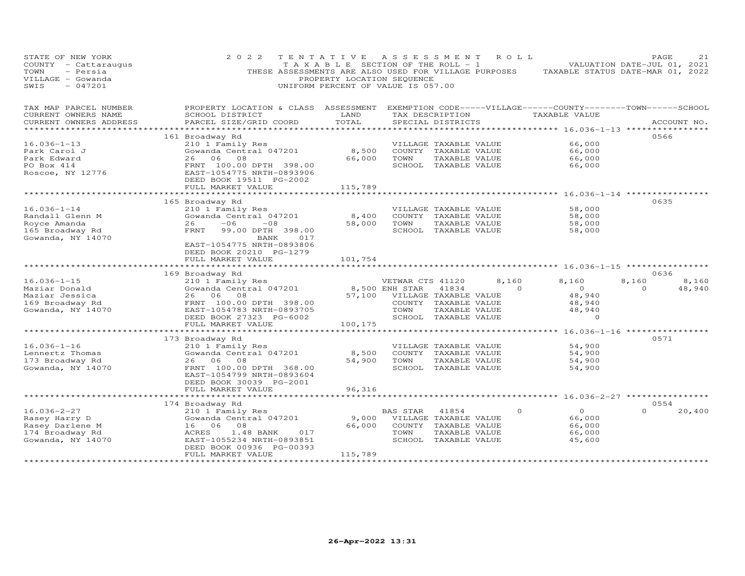| STATE OF NEW YORK<br>COUNTY - Cattaraugus<br>- Persia<br>TOWN<br>VILLAGE - Gowanda<br>$-047201$<br>SWIS | 2 0 2 2<br>THESE ASSESSMENTS ARE ALSO USED FOR VILLAGE PURPOSES                                                                                                    | TENTATIVE<br>TAXABLE SECTION OF THE ROLL - 1<br>PROPERTY LOCATION SEQUENCE<br>UNIFORM PERCENT OF VALUE IS 057.00 | A S S E S S M E N T                        |                                                                                                 | ROLL ROLL        | TAXABLE STATUS DATE-MAR 01, 2022                                              | PAGE<br>VALUATION DATE-JUL 01, 2021 | 21              |
|---------------------------------------------------------------------------------------------------------|--------------------------------------------------------------------------------------------------------------------------------------------------------------------|------------------------------------------------------------------------------------------------------------------|--------------------------------------------|-------------------------------------------------------------------------------------------------|------------------|-------------------------------------------------------------------------------|-------------------------------------|-----------------|
| TAX MAP PARCEL NUMBER<br>CURRENT OWNERS NAME<br>CURRENT OWNERS ADDRESS                                  | PROPERTY LOCATION & CLASS ASSESSMENT<br>SCHOOL DISTRICT<br>PARCEL SIZE/GRID COORD                                                                                  | LAND<br>TOTAL                                                                                                    |                                            | TAX DESCRIPTION<br>SPECIAL DISTRICTS                                                            |                  | EXEMPTION CODE-----VILLAGE------COUNTY-------TOWN-----SCHOOL<br>TAXABLE VALUE |                                     | ACCOUNT NO.     |
|                                                                                                         |                                                                                                                                                                    |                                                                                                                  |                                            |                                                                                                 |                  | ***************** 16.036-1-13 ***************                                 |                                     |                 |
| $16.036 - 1 - 13$<br>Park Carol J<br>Park Edward<br>PO Box 414<br>Roscoe, NY 12776                      | 161 Broadway Rd<br>210 1 Family Res<br>Gowanda Central 047201<br>08<br>26<br>06<br>FRNT 100.00 DPTH 398.00<br>EAST-1054775 NRTH-0893906<br>DEED BOOK 19511 PG-2002 | 8,500<br>66,000                                                                                                  | TOWN                                       | VILLAGE TAXABLE VALUE<br>COUNTY TAXABLE VALUE<br>TAXABLE VALUE<br>SCHOOL TAXABLE VALUE          |                  | 66,000<br>66,000<br>66,000<br>66,000                                          | 0566                                |                 |
|                                                                                                         | FULL MARKET VALUE                                                                                                                                                  | 115,789                                                                                                          |                                            |                                                                                                 |                  |                                                                               |                                     |                 |
| $16.036 - 1 - 14$                                                                                       | 165 Broadway Rd<br>210 1 Family Res                                                                                                                                |                                                                                                                  |                                            | VILLAGE TAXABLE VALUE                                                                           |                  | *********** 16.036-1-14 **<br>58,000                                          | 0635                                |                 |
| Randall Glenn M<br>Royce Amanda<br>165 Broadway Rd<br>Gowanda, NY 14070                                 | Gowanda Central 047201<br>$-06$<br>26<br>$-08$<br>FRNT<br>99.00 DPTH 398.00<br>BANK<br>017                                                                         | 8,400<br>58,000                                                                                                  | TOWN                                       | COUNTY TAXABLE VALUE<br>TAXABLE VALUE<br>SCHOOL TAXABLE VALUE                                   |                  | 58,000<br>58,000<br>58,000                                                    |                                     |                 |
|                                                                                                         | EAST-1054775 NRTH-0893806<br>DEED BOOK 20210 PG-1279<br>FULL MARKET VALUE<br>*************************                                                             | 101,754                                                                                                          |                                            |                                                                                                 |                  |                                                                               |                                     |                 |
|                                                                                                         | 169 Broadway Rd                                                                                                                                                    |                                                                                                                  |                                            |                                                                                                 |                  |                                                                               | 0636                                |                 |
| $16.036 - 1 - 15$<br>Maziar Donald<br>Maziar Jessica<br>169 Broadway Rd<br>Gowanda, NY 14070            | 210 1 Family Res<br>Gowanda Central 047201<br>08<br>26<br>06<br>FRNT 100.00 DPTH 398.00<br>EAST-1054783 NRTH-0893705<br>DEED BOOK 27323 PG-6002                    | 57,100                                                                                                           | VETWAR CTS 41120<br>8,500 ENH STAR<br>TOWN | 41834<br>VILLAGE TAXABLE VALUE<br>COUNTY TAXABLE VALUE<br>TAXABLE VALUE<br>SCHOOL TAXABLE VALUE | 8,160<br>$\circ$ | 8,160<br>$\overline{O}$<br>48,940<br>48,940<br>48,940<br>$\circ$              | 8,160<br>$\circ$                    | 8,160<br>48,940 |
|                                                                                                         | FULL MARKET VALUE                                                                                                                                                  | 100,175                                                                                                          |                                            |                                                                                                 |                  |                                                                               |                                     |                 |
| $16.036 - 1 - 16$                                                                                       | 173 Broadway Rd<br>210 1 Family Res                                                                                                                                | **********                                                                                                       |                                            | VILLAGE TAXABLE VALUE                                                                           |                  | *********** 16.036-1-16 *************<br>54,900                               | 0571                                |                 |
| Lennertz Thomas<br>173 Broadway Rd<br>Gowanda, NY 14070                                                 | Gowanda Central 047201<br>26<br>06<br>08<br>FRNT 100.00 DPTH 368.00<br>EAST-1054799 NRTH-0893604<br>DEED BOOK 30039 PG-2001                                        | 8,500<br>54,900                                                                                                  | TOWN                                       | COUNTY TAXABLE VALUE<br>TAXABLE VALUE<br>SCHOOL TAXABLE VALUE                                   |                  | 54,900<br>54,900<br>54,900                                                    |                                     |                 |
|                                                                                                         | FULL MARKET VALUE                                                                                                                                                  | 96,316                                                                                                           |                                            |                                                                                                 |                  |                                                                               |                                     |                 |
|                                                                                                         | *************************                                                                                                                                          |                                                                                                                  |                                            |                                                                                                 |                  |                                                                               |                                     |                 |
| $16.036 - 2 - 27$<br>Rasey Harry D<br>Rasey Darlene M<br>174 Broadway Rd<br>Gowanda, NY 14070           | 174 Broadway Rd<br>210 1 Family Res<br>Gowanda Central 047201<br>16 06<br>08<br>ACRES<br>1.48 BANK<br>017<br>EAST-1055234 NRTH-0893851<br>DEED BOOK 00936 PG-00393 | 9,000<br>66,000                                                                                                  | BAS STAR<br>TOWN                           | 41854<br>VILLAGE TAXABLE VALUE<br>COUNTY TAXABLE VALUE<br>TAXABLE VALUE<br>SCHOOL TAXABLE VALUE | $\circ$          | $\circ$<br>66,000<br>66,000<br>66,000<br>45,600                               | 0554<br>$\Omega$                    | 20,400          |
|                                                                                                         | FULL MARKET VALUE<br>***********************                                                                                                                       | 115,789<br>****************                                                                                      |                                            |                                                                                                 |                  |                                                                               |                                     |                 |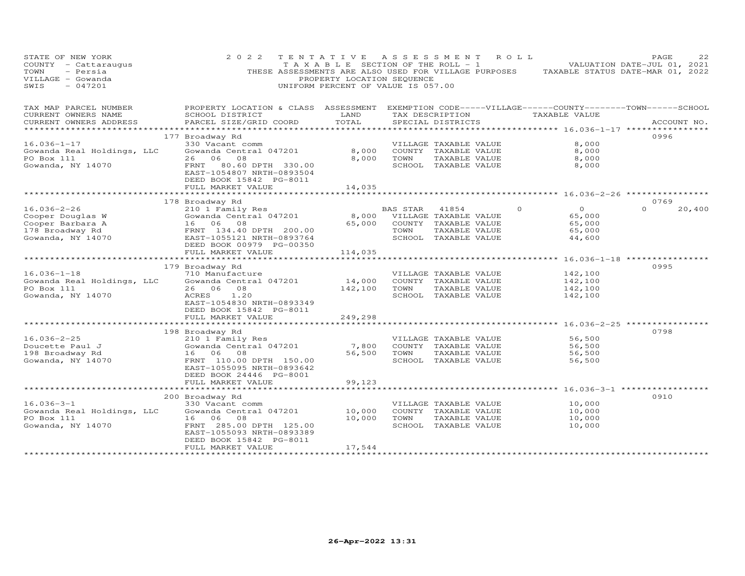| STATE OF NEW YORK<br>COUNTY - Cattaraugus<br>TOWN<br>- Persia<br>VILLAGE - Gowanda<br>$-047201$<br>SWIS | 2 0 2 2<br>THESE ASSESSMENTS ARE ALSO USED FOR VILLAGE PURPOSES                                                        | TENTATIVE<br>T A X A B L E SECTION OF THE ROLL - 1<br>PROPERTY LOCATION SEQUENCE<br>UNIFORM PERCENT OF VALUE IS 057.00 |          | A S S E S S M E N T                   | R O L L  | TAXABLE STATUS DATE-MAR 01, 2022                | PAGE<br>VALUATION DATE-JUL 01, 2021 | 22     |
|---------------------------------------------------------------------------------------------------------|------------------------------------------------------------------------------------------------------------------------|------------------------------------------------------------------------------------------------------------------------|----------|---------------------------------------|----------|-------------------------------------------------|-------------------------------------|--------|
| TAX MAP PARCEL NUMBER<br>CURRENT OWNERS NAME                                                            | PROPERTY LOCATION & CLASS ASSESSMENT EXEMPTION CODE-----VILLAGE------COUNTY--------TOWN------SCHOOL<br>SCHOOL DISTRICT | LAND                                                                                                                   |          | TAX DESCRIPTION                       |          | TAXABLE VALUE                                   |                                     |        |
| CURRENT OWNERS ADDRESS                                                                                  | PARCEL SIZE/GRID COORD                                                                                                 | TOTAL                                                                                                                  |          | SPECIAL DISTRICTS                     |          |                                                 | ACCOUNT NO.                         |        |
|                                                                                                         |                                                                                                                        |                                                                                                                        |          |                                       |          |                                                 |                                     |        |
|                                                                                                         | 177 Broadway Rd                                                                                                        |                                                                                                                        |          |                                       |          |                                                 | 0996                                |        |
| $16.036 - 1 - 17$                                                                                       | 330 Vacant comm                                                                                                        |                                                                                                                        |          | VILLAGE TAXABLE VALUE                 |          | 8,000                                           |                                     |        |
| Gowanda Real Holdings, LLC                                                                              | Gowanda Central 047201                                                                                                 | 8,000                                                                                                                  |          | COUNTY TAXABLE VALUE                  |          | 8,000                                           |                                     |        |
| PO Box 111                                                                                              | 26 06 08                                                                                                               | 8,000                                                                                                                  | TOWN     | TAXABLE VALUE                         |          | 8,000                                           |                                     |        |
| Gowanda, NY 14070                                                                                       | FRNT<br>80.60 DPTH 330.00<br>EAST-1054807 NRTH-0893504<br>DEED BOOK 15842 PG-8011                                      |                                                                                                                        |          | SCHOOL TAXABLE VALUE                  |          | 8,000                                           |                                     |        |
|                                                                                                         | FULL MARKET VALUE                                                                                                      | 14,035                                                                                                                 |          |                                       |          |                                                 |                                     |        |
|                                                                                                         |                                                                                                                        |                                                                                                                        |          |                                       |          |                                                 |                                     |        |
| $16.036 - 2 - 26$                                                                                       | 178 Broadway Rd                                                                                                        |                                                                                                                        |          |                                       | $\Omega$ | $\Omega$                                        | 0769<br>$\Omega$                    |        |
| Cooper Douglas W                                                                                        | 210 1 Family Res<br>Gowanda Central 047201                                                                             | 8,000                                                                                                                  | BAS STAR | 41854<br>VILLAGE TAXABLE VALUE        |          | 65,000                                          |                                     | 20,400 |
| Cooper Barbara A                                                                                        | 16 06 08                                                                                                               | 65,000                                                                                                                 |          | COUNTY TAXABLE VALUE                  |          | 65,000                                          |                                     |        |
| 178 Broadway Rd                                                                                         | FRNT 134.40 DPTH 200.00                                                                                                |                                                                                                                        | TOWN     | TAXABLE VALUE                         |          | 65,000                                          |                                     |        |
| Gowanda, NY 14070                                                                                       | EAST-1055121 NRTH-0893764                                                                                              |                                                                                                                        |          | SCHOOL TAXABLE VALUE                  |          | 44,600                                          |                                     |        |
|                                                                                                         | DEED BOOK 00979 PG-00350                                                                                               |                                                                                                                        |          |                                       |          |                                                 |                                     |        |
|                                                                                                         | FULL MARKET VALUE                                                                                                      | 114,035                                                                                                                |          |                                       |          |                                                 |                                     |        |
|                                                                                                         | *************************                                                                                              | *************                                                                                                          |          |                                       |          | ********** 16.036-1-18 ************             |                                     |        |
|                                                                                                         | 179 Broadway Rd                                                                                                        |                                                                                                                        |          |                                       |          |                                                 | 0995                                |        |
| $16.036 - 1 - 18$                                                                                       | 710 Manufacture<br>Gowanda Central 047201                                                                              |                                                                                                                        |          | VILLAGE TAXABLE VALUE                 |          | 142,100                                         |                                     |        |
| Gowanda Real Holdings, LLC<br>PO Box 111                                                                | 26 06 08                                                                                                               | 14,000<br>142,100                                                                                                      | TOWN     | COUNTY TAXABLE VALUE<br>TAXABLE VALUE |          | 142,100<br>142,100                              |                                     |        |
| Gowanda, NY 14070                                                                                       | 1.20<br>ACRES                                                                                                          |                                                                                                                        |          | SCHOOL TAXABLE VALUE                  |          | 142,100                                         |                                     |        |
|                                                                                                         | EAST-1054830 NRTH-0893349                                                                                              |                                                                                                                        |          |                                       |          |                                                 |                                     |        |
|                                                                                                         | DEED BOOK 15842 PG-8011                                                                                                |                                                                                                                        |          |                                       |          |                                                 |                                     |        |
|                                                                                                         | FULL MARKET VALUE                                                                                                      | 249,298                                                                                                                |          |                                       |          |                                                 |                                     |        |
|                                                                                                         | ************************                                                                                               |                                                                                                                        |          |                                       |          | *********************** 16.036-2-25 *********** |                                     |        |
|                                                                                                         | 198 Broadway Rd                                                                                                        |                                                                                                                        |          |                                       |          |                                                 | 0798                                |        |
| $16.036 - 2 - 25$                                                                                       | 210 1 Family Res                                                                                                       |                                                                                                                        |          | VILLAGE TAXABLE VALUE                 |          | 56,500                                          |                                     |        |
| Doucette Paul J                                                                                         | Gowanda Central 047201                                                                                                 | 7,800                                                                                                                  |          | COUNTY TAXABLE VALUE                  |          | 56,500                                          |                                     |        |
| 198 Broadway Rd                                                                                         | 16 06 08                                                                                                               | 56,500                                                                                                                 | TOWN     | TAXABLE VALUE                         |          | 56,500                                          |                                     |        |
| Gowanda, NY 14070                                                                                       | FRNT 110.00 DPTH 150.00<br>EAST-1055095 NRTH-0893642                                                                   |                                                                                                                        |          | SCHOOL TAXABLE VALUE                  |          | 56,500                                          |                                     |        |
|                                                                                                         | DEED BOOK 24446 PG-8001                                                                                                |                                                                                                                        |          |                                       |          |                                                 |                                     |        |
|                                                                                                         | FULL MARKET VALUE                                                                                                      | 99,123                                                                                                                 |          |                                       |          |                                                 |                                     |        |
|                                                                                                         | **********************                                                                                                 |                                                                                                                        |          |                                       |          | **************** 16.036-3-1 ***********         |                                     |        |
|                                                                                                         | 200 Broadway Rd                                                                                                        |                                                                                                                        |          |                                       |          |                                                 | 0910                                |        |
| $16.036 - 3 - 1$                                                                                        | 330 Vacant comm                                                                                                        |                                                                                                                        |          | VILLAGE TAXABLE VALUE                 |          | 10,000                                          |                                     |        |
| Gowanda Real Holdings, LLC                                                                              | Gowanda Central 047201                                                                                                 | 10,000                                                                                                                 |          | COUNTY TAXABLE VALUE                  |          | 10,000                                          |                                     |        |
| PO Box 111                                                                                              | 16 06 08                                                                                                               | 10,000                                                                                                                 | TOWN     | TAXABLE VALUE                         |          | 10,000                                          |                                     |        |
| Gowanda, NY 14070                                                                                       | FRNT 285.00 DPTH 125.00                                                                                                |                                                                                                                        |          | SCHOOL TAXABLE VALUE                  |          | 10,000                                          |                                     |        |
|                                                                                                         | EAST-1055093 NRTH-0893389                                                                                              |                                                                                                                        |          |                                       |          |                                                 |                                     |        |
|                                                                                                         | DEED BOOK 15842 PG-8011<br>FULL MARKET VALUE                                                                           | 17,544                                                                                                                 |          |                                       |          |                                                 |                                     |        |
|                                                                                                         |                                                                                                                        | *****************                                                                                                      |          |                                       |          |                                                 |                                     |        |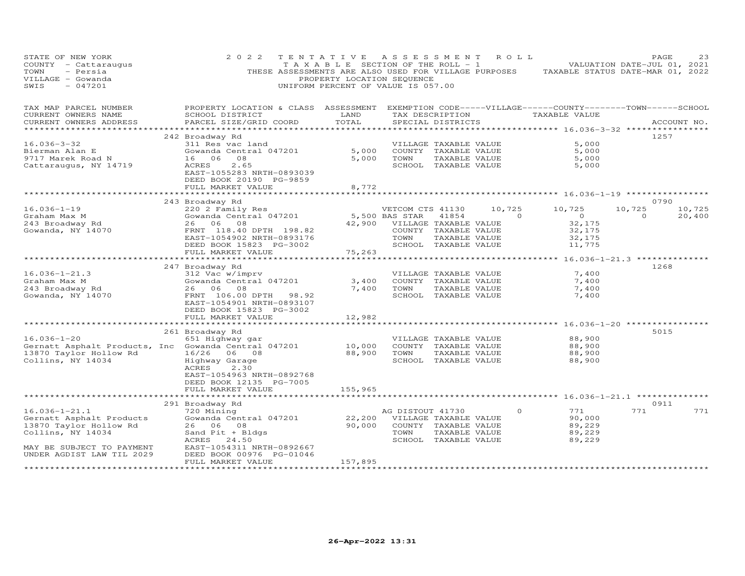| STATE OF NEW YORK<br>COUNTY - Cattaraugus<br>- Persia<br>TOWN<br>VILLAGE - Gowanda<br>SWIS<br>$-047201$                                                  | 2 0 2 2                                                                                                                                                                                                         | TENTATIVE<br>PROPERTY LOCATION SEQUENCE                 | A S S E S S M E N T<br>T A X A B L E SECTION OF THE ROLL - 1<br>UNIFORM PERCENT OF VALUE IS 057.00                           | ROLL                                |                                                                                                             | PAGE<br>23<br>VALUATION DATE-JUL 01, 2021<br>THESE ASSESSMENTS ARE ALSO USED FOR VILLAGE PURPOSES TAXABLE STATUS DATE-MAR 01, 2022 |
|----------------------------------------------------------------------------------------------------------------------------------------------------------|-----------------------------------------------------------------------------------------------------------------------------------------------------------------------------------------------------------------|---------------------------------------------------------|------------------------------------------------------------------------------------------------------------------------------|-------------------------------------|-------------------------------------------------------------------------------------------------------------|------------------------------------------------------------------------------------------------------------------------------------|
| TAX MAP PARCEL NUMBER<br>CURRENT OWNERS NAME<br>CURRENT OWNERS ADDRESS                                                                                   | PROPERTY LOCATION & CLASS ASSESSMENT EXEMPTION CODE-----VILLAGE------COUNTY--------TOWN------SCHOOL<br>SCHOOL DISTRICT<br>PARCEL SIZE/GRID COORD                                                                | LAND<br>TOTAL                                           | SPECIAL DISTRICTS                                                                                                            |                                     | TAX DESCRIPTION TAXABLE VALUE                                                                               | ACCOUNT NO.                                                                                                                        |
| $16.036 - 3 - 32$<br>Bierman Alan E<br>9717 Marek Road N<br>Cattaraugus, NY 14719                                                                        | 242 Broadway Rd<br>311 Res vac land<br>Gowanda Central 047201<br>16 06<br>08<br>ACRES<br>2.65<br>EAST-1055283 NRTH-0893039<br>DEED BOOK 20190 PG-9859<br>FULL MARKET VALUE                                      | 5,000<br>5,000<br>8,772                                 | VILLAGE TAXABLE VALUE<br>COUNTY TAXABLE VALUE<br>TOWN<br>SCHOOL TAXABLE VALUE                                                | TAXABLE VALUE                       | 5,000<br>5,000<br>5,000<br>5,000                                                                            | 1257                                                                                                                               |
| $16.036 - 1 - 19$<br>Graham Max M<br>243 Broadway Rd<br>Gowanda, NY 14070                                                                                | 243 Broadway Rd<br>220 2 Family Res<br>Gowanda Central 047201<br>26 06 08<br>FRNT 118.40 DPTH 198.82<br>EAST-1054902 NRTH-0893176<br>DEED BOOK 15823 PG-3002<br>FULL MARKET VALUE                               | 42,900<br>75,263<br>********                            | VETCOM CTS 41130<br>5,500 BAS STAR<br>41854<br>VILLAGE TAXABLE VALUE<br>COUNTY TAXABLE VALUE<br>TOWN<br>SCHOOL TAXABLE VALUE | 10,725<br>$\sim$ 0<br>TAXABLE VALUE | 10,725<br>$\overline{O}$<br>32,175<br>32,175<br>32,175<br>11,775<br>*********** 16.036-1-21.3 ************* | 0790<br>10,725<br>10,725<br>$\Omega$<br>20,400                                                                                     |
| $16.036 - 1 - 21.3$<br>Graham Max M<br>243 Broadway Rd<br>Gowanda, NY 14070                                                                              | 247 Broadway Rd<br>312 Vac w/imprv<br>Gowanda Central 047201<br>26 06<br>08<br>FRNT 106.00 DPTH 98.92<br>EAST-1054901 NRTH-0893107<br>DEED BOOK 15823 PG-3002<br>FULL MARKET VALUE<br>************************* | 3,400<br>7,400<br>12,982<br>* * * * * * * * * * * * * * | VILLAGE TAXABLE VALUE<br>COUNTY TAXABLE VALUE<br>TOWN<br>SCHOOL TAXABLE VALUE                                                | TAXABLE VALUE                       | 7,400<br>7,400<br>7,400<br>7,400                                                                            | 1268                                                                                                                               |
| $16.036 - 1 - 20$<br>Gernatt Asphalt Products, Inc Gowanda Central 047201<br>13870 Taylor Hollow Rd<br>Collins, NY 14034                                 | 261 Broadway Rd<br>651 Highway gar<br>16/26 06 08<br>Highway Garage<br>ACRES<br>2.30<br>EAST-1054963 NRTH-0892768<br>DEED BOOK 12135 PG-7005<br>FULL MARKET VALUE                                               | 10,000<br>88,900<br>155,965                             | VILLAGE TAXABLE VALUE<br>COUNTY TAXABLE VALUE<br>TOWN<br>SCHOOL TAXABLE VALUE                                                | TAXABLE VALUE                       | 88,900<br>88,900<br>88,900<br>88,900                                                                        | 5015                                                                                                                               |
| $16.036 - 1 - 21.1$<br>Gernatt Asphalt Products<br>13870 Taylor Hollow Rd<br>Collins, NY 14034<br>MAY BE SUBJECT TO PAYMENT<br>UNDER AGDIST LAW TIL 2029 | 291 Broadway Rd<br>720 Mining<br>Gowanda Central 047201<br>26 06 08<br>Sand Pit + Bldgs<br>ACRES 24.50<br>EAST-1054311 NRTH-0892667<br>DEED BOOK 00976 PG-01046<br>FULL MARKET VALUE                            | 22,200<br>90,000<br>157,895                             | AG DISTOUT 41730<br>VILLAGE TAXABLE VALUE<br>COUNTY TAXABLE VALUE<br>TOWN<br>SCHOOL TAXABLE VALUE                            | $\circ$<br>TAXABLE VALUE            | **** 16.036-1-21.1 ********<br>771<br>90,000<br>89,229<br>89,229<br>89,229                                  | 0911<br>771<br>771                                                                                                                 |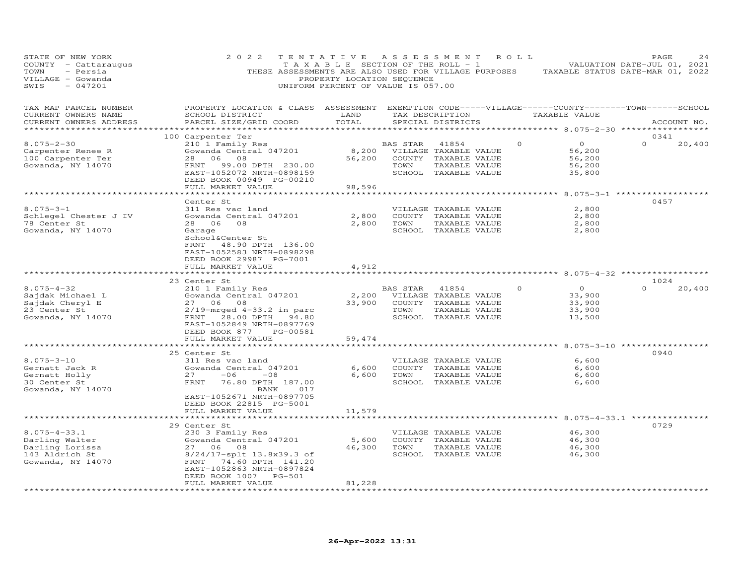| STATE OF NEW YORK<br>COUNTY - Cattaraugus<br>- Persia<br>TOWN<br>VILLAGE - Gowanda<br>$-047201$<br>SWIS | 2 0 2 2                                                                                                                                                                                   | TENTATIVE<br>TAXABLE SECTION OF THE ROLL - 1<br>THESE ASSESSMENTS ARE ALSO USED FOR VILLAGE PURPOSES<br>PROPERTY LOCATION SEQUENCE<br>UNIFORM PERCENT OF VALUE IS 057.00 | ASSESSMENT       |                                                                                                 | ROLL            | TAXABLE STATUS DATE-MAR 01, 2022                                                | PAGE<br>VALUATION DATE-JUL 01, 2021 | 24          |
|---------------------------------------------------------------------------------------------------------|-------------------------------------------------------------------------------------------------------------------------------------------------------------------------------------------|--------------------------------------------------------------------------------------------------------------------------------------------------------------------------|------------------|-------------------------------------------------------------------------------------------------|-----------------|---------------------------------------------------------------------------------|-------------------------------------|-------------|
| TAX MAP PARCEL NUMBER<br>CURRENT OWNERS NAME<br>CURRENT OWNERS ADDRESS<br>**********************        | PROPERTY LOCATION & CLASS ASSESSMENT<br>SCHOOL DISTRICT<br>PARCEL SIZE/GRID COORD                                                                                                         | LAND<br>TOTAL                                                                                                                                                            |                  | SPECIAL DISTRICTS                                                                               | TAX DESCRIPTION | EXEMPTION CODE-----VILLAGE------COUNTY--------TOWN------SCHOOL<br>TAXABLE VALUE |                                     | ACCOUNT NO. |
| $8.075 - 2 - 30$<br>Carpenter Renee R<br>100 Carpenter Ter<br>Gowanda, NY 14070                         | 100 Carpenter Ter<br>210 1 Family Res<br>Gowanda Central 047201<br>28<br>06 08<br>99.00 DPTH 230.00<br>FRNT<br>EAST-1052072 NRTH-0898159<br>DEED BOOK 00949 PG-00210<br>FULL MARKET VALUE | 8,200<br>56,200<br>98,596                                                                                                                                                | BAS STAR<br>TOWN | 41854<br>VILLAGE TAXABLE VALUE<br>COUNTY TAXABLE VALUE<br>TAXABLE VALUE<br>SCHOOL TAXABLE VALUE | $\Omega$        | $\circ$<br>56,200<br>56,200<br>56,200<br>35,800                                 | 0341<br>$\Omega$                    | 20,400      |
|                                                                                                         | ****************                                                                                                                                                                          |                                                                                                                                                                          |                  |                                                                                                 |                 | ************************** 8.075-3-1 ******************                         |                                     |             |
| $8.075 - 3 - 1$<br>Schlegel Chester J IV<br>78 Center St<br>Gowanda, NY 14070                           | Center St<br>311 Res vac land<br>Gowanda Central 047201<br>28 06<br>08<br>Garage<br>School&Center St<br>FRNT 48.90 DPTH 136.00<br>EAST-1052583 NRTH-0898298                               | 2,800<br>2,800                                                                                                                                                           | TOWN             | VILLAGE TAXABLE VALUE<br>COUNTY TAXABLE VALUE<br>TAXABLE VALUE<br>SCHOOL TAXABLE VALUE          |                 | 2,800<br>2,800<br>2,800<br>2,800                                                | 0457                                |             |
|                                                                                                         | DEED BOOK 29987 PG-7001<br>FULL MARKET VALUE                                                                                                                                              | 4,912                                                                                                                                                                    |                  |                                                                                                 |                 |                                                                                 |                                     |             |
|                                                                                                         | *******************                                                                                                                                                                       |                                                                                                                                                                          |                  |                                                                                                 |                 | ********** 8.075-4-32 ************                                              |                                     |             |
| $8.075 - 4 - 32$<br>Sajdak Michael L<br>Sajdak Cheryl E                                                 | 23 Center St<br>210 1 Family Res<br>Gowanda Central 047201<br>27 06 08                                                                                                                    | 2,200<br>33,900                                                                                                                                                          | BAS STAR         | 41854<br>VILLAGE TAXABLE VALUE<br>COUNTY TAXABLE VALUE                                          | $\circ$         | $\circ$<br>33,900<br>33,900                                                     | 1024<br>$\Omega$                    | 20,400      |
| 23 Center St<br>Gowanda, NY 14070                                                                       | $2/19$ -mrged $4-33.2$ in parc<br>FRNT 28.00 DPTH 94.80<br>EAST-1052849 NRTH-0897769<br>DEED BOOK 877                                                                                     | PG-00581                                                                                                                                                                 | TOWN             | TAXABLE VALUE<br>SCHOOL TAXABLE VALUE                                                           |                 | 33,900<br>13,500                                                                |                                     |             |
|                                                                                                         | FULL MARKET VALUE                                                                                                                                                                         | 59,474                                                                                                                                                                   |                  |                                                                                                 |                 |                                                                                 |                                     |             |
|                                                                                                         | ******************                                                                                                                                                                        |                                                                                                                                                                          |                  |                                                                                                 |                 |                                                                                 | 0940                                |             |
| $8.075 - 3 - 10$<br>Gernatt Jack R<br>Gernatt Holly<br>30 Center St<br>Gowanda, NY 14070                | 25 Center St<br>311 Res vac land<br>Gowanda Central 047201<br>$-06$<br>27<br>$-08$<br>FRNT<br>76.80 DPTH 187.00<br>BANK<br>EAST-1052671 NRTH-0897705                                      | 6,600<br>6,600<br>017                                                                                                                                                    | TOWN             | VILLAGE TAXABLE VALUE<br>COUNTY TAXABLE VALUE<br>TAXABLE VALUE<br>SCHOOL TAXABLE VALUE          |                 | 6,600<br>6,600<br>6,600<br>6,600                                                |                                     |             |
|                                                                                                         | DEED BOOK 22815 PG-5001<br>FULL MARKET VALUE                                                                                                                                              | 11,579                                                                                                                                                                   |                  |                                                                                                 |                 |                                                                                 |                                     |             |
|                                                                                                         |                                                                                                                                                                                           |                                                                                                                                                                          |                  |                                                                                                 |                 | **** 8.075-4-33.1 ***                                                           |                                     |             |
|                                                                                                         | 29 Center St                                                                                                                                                                              |                                                                                                                                                                          |                  |                                                                                                 |                 |                                                                                 | 0729                                |             |
| $8.075 - 4 - 33.1$                                                                                      | 230 3 Family Res                                                                                                                                                                          |                                                                                                                                                                          |                  | VILLAGE TAXABLE VALUE                                                                           |                 | 46,300                                                                          |                                     |             |
| Darling Walter<br>Darling Lorissa                                                                       | Gowanda Central 047201<br>27 06 08                                                                                                                                                        | 5,600<br>46,300                                                                                                                                                          | TOWN             | COUNTY TAXABLE VALUE<br>TAXABLE VALUE                                                           |                 | 46,300<br>46,300                                                                |                                     |             |
| 143 Aldrich St<br>Gowanda, NY 14070                                                                     | 8/24/17-splt 13.8x39.3 of<br>FRNT 74.60 DPTH 141.20<br>EAST-1052863 NRTH-0897824<br>DEED BOOK 1007<br>FULL MARKET VALUE                                                                   | <b>PG-501</b><br>81,228                                                                                                                                                  |                  | SCHOOL TAXABLE VALUE                                                                            |                 | 46,300                                                                          |                                     |             |
|                                                                                                         |                                                                                                                                                                                           |                                                                                                                                                                          |                  |                                                                                                 |                 |                                                                                 |                                     |             |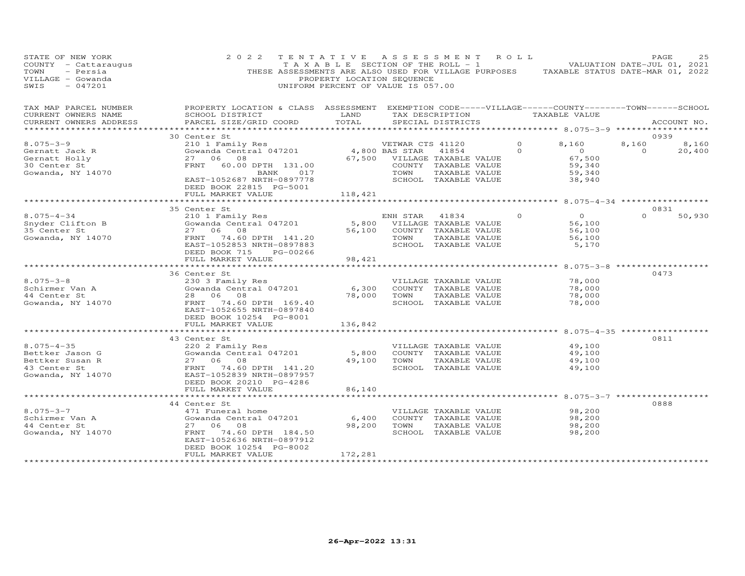| STATE OF NEW YORK<br>COUNTY - Cattaraugus<br>TOWN<br>- Persia<br>VILLAGE - Gowanda<br>$-047201$<br>SWIS | 2 0 2 2                                                                                                                                         | PROPERTY LOCATION SEQUENCE<br>UNIFORM PERCENT OF VALUE IS 057.00 |                  | TENTATIVE ASSESSMENT                              | ROLL     | TAXABLE SECTION OF THE ROLL - 1 VALUATION DATE-JUL 01, 2021<br>THESE ASSESSMENTS ARE ALSO USED FOR VILLAGE PURPOSES TAXABLE STATUS DATE-MAR 01, 2022 | PAGE           | 25          |
|---------------------------------------------------------------------------------------------------------|-------------------------------------------------------------------------------------------------------------------------------------------------|------------------------------------------------------------------|------------------|---------------------------------------------------|----------|------------------------------------------------------------------------------------------------------------------------------------------------------|----------------|-------------|
| TAX MAP PARCEL NUMBER<br>CURRENT OWNERS NAME<br>CURRENT OWNERS ADDRESS<br>**********************        | PROPERTY LOCATION & CLASS ASSESSMENT EXEMPTION CODE-----VILLAGE------COUNTY-------TOWN------SCHOOL<br>SCHOOL DISTRICT<br>PARCEL SIZE/GRID COORD | LAND<br>TOTAL                                                    |                  | SPECIAL DISTRICTS                                 |          | TAX DESCRIPTION TAXABLE VALUE                                                                                                                        |                | ACCOUNT NO. |
|                                                                                                         | 30 Center St                                                                                                                                    |                                                                  |                  |                                                   |          |                                                                                                                                                      | 0939           |             |
| $8.075 - 3 - 9$                                                                                         | 210 1 Family Res<br>Gowanda Central 047201                                                                                                      |                                                                  | VETWAR CTS 41120 |                                                   | $\Omega$ | 8,160                                                                                                                                                | 8,160          | 8,160       |
| Gernatt Jack R                                                                                          |                                                                                                                                                 |                                                                  | 4,800 BAS STAR   | 41854                                             | $\circ$  | $\overline{0}$                                                                                                                                       | $\overline{0}$ | 20,400      |
| Gernatt Holly                                                                                           | 27 06 08                                                                                                                                        |                                                                  |                  | 67,500 VILLAGE TAXABLE VALUE                      |          | 67,500                                                                                                                                               |                |             |
| 30 Center St                                                                                            | FRNT 60.00 DPTH 131.00                                                                                                                          |                                                                  |                  | COUNTY TAXABLE VALUE                              |          | 59,340                                                                                                                                               |                |             |
| Gowanda, NY 14070                                                                                       | 017<br>BANK                                                                                                                                     |                                                                  | TOWN             | TAXABLE VALUE                                     |          | 59,340                                                                                                                                               |                |             |
|                                                                                                         | EAST-1052687 NRTH-0897778                                                                                                                       |                                                                  |                  | SCHOOL TAXABLE VALUE                              |          | 38,940                                                                                                                                               |                |             |
|                                                                                                         | DEED BOOK 22815 PG-5001<br>FULL MARKET VALUE                                                                                                    | 118,421                                                          |                  |                                                   |          |                                                                                                                                                      |                |             |
|                                                                                                         | *****************************                                                                                                                   |                                                                  |                  |                                                   |          |                                                                                                                                                      |                |             |
|                                                                                                         | 35 Center St                                                                                                                                    |                                                                  |                  |                                                   |          |                                                                                                                                                      | 0831           |             |
| $8.075 - 4 - 34$                                                                                        | 210 1 Family Res<br>Gowanda Central 047201                                                                                                      |                                                                  | ENH STAR         | 41834                                             | $\Omega$ | $\Omega$                                                                                                                                             | $\Omega$       | 50,930      |
| Snyder Clifton B                                                                                        |                                                                                                                                                 |                                                                  |                  | 5,800 VILLAGE TAXABLE VALUE                       |          | 56,100                                                                                                                                               |                |             |
| 35 Center St                                                                                            | 27 06 08                                                                                                                                        | 56,100                                                           |                  | COUNTY TAXABLE VALUE                              |          | 56,100                                                                                                                                               |                |             |
| Gowanda, NY 14070                                                                                       | FRNT 74.60 DPTH 141.20                                                                                                                          |                                                                  | TOWN             | TAXABLE VALUE                                     |          | 56,100                                                                                                                                               |                |             |
|                                                                                                         | EAST-1052853 NRTH-0897883<br>DEED BOOK 715 PG-00266                                                                                             |                                                                  |                  | SCHOOL TAXABLE VALUE                              |          | 5,170                                                                                                                                                |                |             |
|                                                                                                         | FULL MARKET VALUE                                                                                                                               | 98,421<br>* * * * * * * * * *                                    |                  |                                                   |          | ******** 8.075-3-8 ************                                                                                                                      |                |             |
|                                                                                                         | 36 Center St                                                                                                                                    |                                                                  |                  |                                                   |          |                                                                                                                                                      | 0473           |             |
| $8.075 - 3 - 8$                                                                                         | 230 3 Family Res                                                                                                                                |                                                                  |                  | VILLAGE TAXABLE VALUE                             |          | 78,000                                                                                                                                               |                |             |
| Schirmer Van A                                                                                          | Gowanda Central 047201                                                                                                                          | 6,300                                                            |                  | COUNTY TAXABLE VALUE                              |          | 78,000                                                                                                                                               |                |             |
| 44 Center St                                                                                            | 28 06 08                                                                                                                                        | 78,000                                                           | TOWN             | TAXABLE VALUE                                     |          | 78,000                                                                                                                                               |                |             |
| Gowanda, NY 14070                                                                                       | FRNT 74.60 DPTH 169.40                                                                                                                          |                                                                  |                  | SCHOOL TAXABLE VALUE                              |          | 78,000                                                                                                                                               |                |             |
|                                                                                                         | EAST-1052655 NRTH-0897840                                                                                                                       |                                                                  |                  |                                                   |          |                                                                                                                                                      |                |             |
|                                                                                                         | DEED BOOK 10254 PG-8001                                                                                                                         |                                                                  |                  |                                                   |          |                                                                                                                                                      |                |             |
|                                                                                                         | FULL MARKET VALUE                                                                                                                               | 136,842                                                          |                  |                                                   |          |                                                                                                                                                      |                |             |
|                                                                                                         |                                                                                                                                                 |                                                                  |                  |                                                   |          |                                                                                                                                                      |                |             |
|                                                                                                         | 43 Center St                                                                                                                                    |                                                                  |                  |                                                   |          |                                                                                                                                                      | 0811           |             |
| $8.075 - 4 - 35$<br>Bettker Jason G                                                                     | 220 2 Family Res<br>Gowanda Central 047201                                                                                                      | 5,800                                                            |                  | VILLAGE TAXABLE VALUE<br>COUNTY TAXABLE VALUE     |          | 49,100<br>49,100                                                                                                                                     |                |             |
| Bettker Susan R                                                                                         | 27 06 08                                                                                                                                        | 49,100                                                           | TOWN             | TAXABLE VALUE                                     |          | 49,100                                                                                                                                               |                |             |
| 43 Center St                                                                                            | FRNT 74.60 DPTH 141.20                                                                                                                          |                                                                  |                  | SCHOOL TAXABLE VALUE                              |          | 49,100                                                                                                                                               |                |             |
| Gowanda, NY 14070                                                                                       | EAST-1052839 NRTH-0897957                                                                                                                       |                                                                  |                  |                                                   |          |                                                                                                                                                      |                |             |
|                                                                                                         | DEED BOOK 20210 PG-4286                                                                                                                         |                                                                  |                  |                                                   |          |                                                                                                                                                      |                |             |
|                                                                                                         | FULL MARKET VALUE                                                                                                                               | 86,140                                                           |                  |                                                   |          |                                                                                                                                                      |                |             |
|                                                                                                         | *************************                                                                                                                       |                                                                  |                  |                                                   |          |                                                                                                                                                      |                |             |
|                                                                                                         | 44 Center St                                                                                                                                    |                                                                  |                  |                                                   |          |                                                                                                                                                      | 0888           |             |
| $8.075 - 3 - 7$                                                                                         | 471 Funeral home                                                                                                                                |                                                                  |                  | VILLAGE TAXABLE VALUE                             |          | 98,200                                                                                                                                               |                |             |
| Schirmer Van A                                                                                          | Gowanda Central 047201                                                                                                                          | 6,400                                                            |                  | COUNTY TAXABLE VALUE                              |          | 98,200                                                                                                                                               |                |             |
| 44 Center St                                                                                            | 27 06 08<br>FRNT 74.60 DPTH 184.50                                                                                                              |                                                                  |                  | 98,200 TOWN TAXABLE VALUE<br>SCHOOL TAXABLE VALUE |          | 98,200<br>98,200                                                                                                                                     |                |             |
| Gowanda, NY 14070                                                                                       | EAST-1052636 NRTH-0897912                                                                                                                       |                                                                  |                  |                                                   |          |                                                                                                                                                      |                |             |
|                                                                                                         | DEED BOOK 10254 PG-8002                                                                                                                         |                                                                  |                  |                                                   |          |                                                                                                                                                      |                |             |
|                                                                                                         | FULL MARKET VALUE                                                                                                                               | 172,281                                                          |                  |                                                   |          |                                                                                                                                                      |                |             |
|                                                                                                         |                                                                                                                                                 |                                                                  |                  |                                                   |          |                                                                                                                                                      |                |             |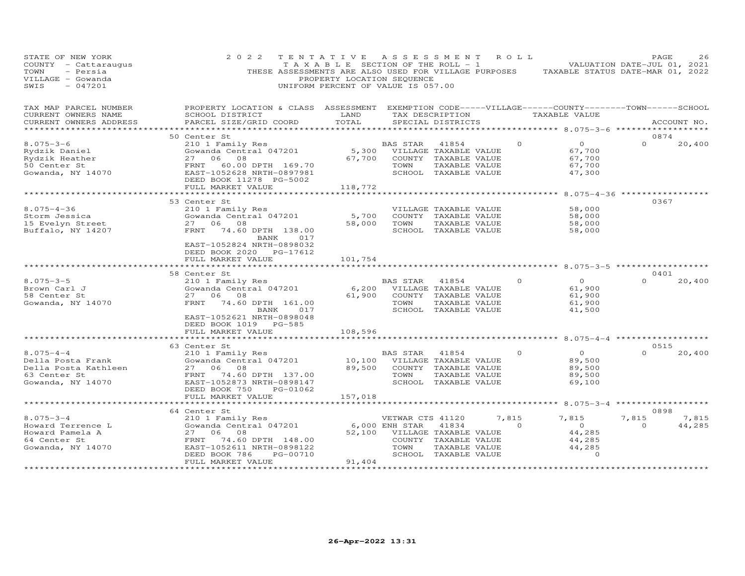| STATE OF NEW YORK<br>COUNTY - Cattaraugus<br>TOWN<br>- Persia<br>VILLAGE - Gowanda<br>SWIS<br>$-047201$ | 2 0 2 2<br>THESE ASSESSMENTS ARE ALSO USED FOR VILLAGE PURPOSES                                                                                                            | TENTATIVE<br>T A X A B L E SECTION OF THE ROLL - 1<br>PROPERTY LOCATION SEQUENCE<br>UNIFORM PERCENT OF VALUE IS 057.00 | A S S E S S M E N T                             |                                                                                                 | R O L L           | TAXABLE STATUS DATE-MAR 01, 2022                                                                                | PAGE<br>VALUATION DATE-JUL 01, 2021 | 26              |
|---------------------------------------------------------------------------------------------------------|----------------------------------------------------------------------------------------------------------------------------------------------------------------------------|------------------------------------------------------------------------------------------------------------------------|-------------------------------------------------|-------------------------------------------------------------------------------------------------|-------------------|-----------------------------------------------------------------------------------------------------------------|-------------------------------------|-----------------|
| TAX MAP PARCEL NUMBER<br>CURRENT OWNERS NAME<br>CURRENT OWNERS ADDRESS                                  | PROPERTY LOCATION & CLASS ASSESSMENT<br>SCHOOL DISTRICT<br>PARCEL SIZE/GRID COORD                                                                                          | LAND<br>TOTAL<br>************                                                                                          |                                                 | TAX DESCRIPTION<br>SPECIAL DISTRICTS                                                            |                   | EXEMPTION CODE-----VILLAGE------COUNTY--------TOWN------SCHOOL<br>TAXABLE VALUE<br>************ 8.075-3-6 ***** |                                     | ACCOUNT NO.     |
|                                                                                                         | 50 Center St                                                                                                                                                               |                                                                                                                        |                                                 |                                                                                                 |                   |                                                                                                                 | 0874                                |                 |
| $8.075 - 3 - 6$<br>Rydzik Daniel<br>Rydzik Heather<br>50 Center St<br>Gowanda, NY 14070                 | 210 1 Family Res<br>Gowanda Central 047201<br>27 06<br>08<br>FRNT<br>60.00 DPTH 169.70<br>EAST-1052628 NRTH-0897981<br>DEED BOOK 11278 PG-5002                             | 67,700                                                                                                                 | BAS STAR<br>5,300 VILLAGE TAXABLE VALUE<br>TOWN | 41854<br>COUNTY TAXABLE VALUE<br>TAXABLE VALUE<br>SCHOOL TAXABLE VALUE                          | $\Omega$          | $\overline{O}$<br>67,700<br>67,700<br>67,700<br>47,300                                                          | $\Omega$                            | 20,400          |
|                                                                                                         | FULL MARKET VALUE                                                                                                                                                          | 118,772                                                                                                                |                                                 |                                                                                                 |                   |                                                                                                                 |                                     |                 |
| $8.075 - 4 - 36$<br>Storm Jessica<br>15 Evelyn Street<br>Buffalo, NY 14207                              | 53 Center St<br>210 1 Family Res<br>Gowanda Central 047201<br>27 06 08<br>FRNT<br>74.60 DPTH 138.00<br>BANK<br>017<br>EAST-1052824 NRTH-0898032<br>DEED BOOK 2020 PG-17612 | 5,700<br>58,000                                                                                                        | TOWN                                            | VILLAGE TAXABLE VALUE<br>COUNTY TAXABLE VALUE<br>TAXABLE VALUE<br>SCHOOL TAXABLE VALUE          |                   | 58,000<br>58,000<br>58,000<br>58,000                                                                            | $8.075 - 4 - 36$ **********<br>0367 |                 |
|                                                                                                         | FULL MARKET VALUE                                                                                                                                                          | 101,754                                                                                                                |                                                 |                                                                                                 |                   |                                                                                                                 |                                     |                 |
|                                                                                                         | *******************                                                                                                                                                        |                                                                                                                        |                                                 |                                                                                                 |                   | ************************ 8.075-3-5 ***********                                                                  |                                     |                 |
| $8.075 - 3 - 5$<br>Brown Carl J<br>58 Center St<br>Gowanda, NY 14070                                    | 58 Center St<br>210 1 Family Res<br>Gowanda Central 047201<br>27 06 08<br>FRNT<br>74.60 DPTH 161.00<br>BANK<br>017<br>EAST-1052621 NRTH-0898048                            | 6,200<br>61,900                                                                                                        | BAS STAR<br>TOWN                                | 41854<br>VILLAGE TAXABLE VALUE<br>COUNTY TAXABLE VALUE<br>TAXABLE VALUE<br>SCHOOL TAXABLE VALUE | $\Omega$          | $\circ$<br>61,900<br>61,900<br>61,900<br>41,500                                                                 | 0401<br>$\Omega$                    | 20,400          |
|                                                                                                         | DEED BOOK 1019 PG-585<br>FULL MARKET VALUE                                                                                                                                 | 108,596                                                                                                                |                                                 |                                                                                                 |                   |                                                                                                                 |                                     |                 |
|                                                                                                         | ***************************                                                                                                                                                |                                                                                                                        |                                                 |                                                                                                 |                   |                                                                                                                 |                                     |                 |
|                                                                                                         | 63 Center St                                                                                                                                                               |                                                                                                                        |                                                 |                                                                                                 |                   |                                                                                                                 | 0515                                |                 |
| $8.075 - 4 - 4$<br>Della Posta Frank<br>Della Posta Kathleen<br>63 Center St<br>Gowanda, NY 14070       | 210 1 Family Res<br>Gowanda Central 047201<br>27 06 08<br>FRNT<br>74.60 DPTH 137.00<br>EAST-1052873 NRTH-0898147<br>DEED BOOK 750<br>PG-01062                              | 10,100<br>89,500                                                                                                       | BAS STAR<br>TOWN                                | 41854<br>VILLAGE TAXABLE VALUE<br>COUNTY TAXABLE VALUE<br>TAXABLE VALUE<br>SCHOOL TAXABLE VALUE | $\Omega$          | $\Omega$<br>89,500<br>89,500<br>89,500<br>69,100                                                                | $\Omega$                            | 20,400          |
|                                                                                                         | FULL MARKET VALUE                                                                                                                                                          | 157,018                                                                                                                |                                                 |                                                                                                 |                   |                                                                                                                 |                                     |                 |
|                                                                                                         |                                                                                                                                                                            |                                                                                                                        |                                                 |                                                                                                 |                   | ******** 8.075-3-4                                                                                              | ******************                  |                 |
| $8.075 - 3 - 4$<br>Howard Terrence L<br>Howard Pamela A<br>64 Center St<br>Gowanda, NY 14070            | 64 Center St<br>210 1 Family Res<br>Gowanda Central 047201<br>27 06<br>08<br>FRNT<br>74.60 DPTH 148.00<br>EAST-1052611 NRTH-0898122<br>DEED BOOK 786<br>PG-00710           | 52,100                                                                                                                 | VETWAR CTS 41120<br>6,000 ENH STAR<br>TOWN      | 41834<br>VILLAGE TAXABLE VALUE<br>COUNTY TAXABLE VALUE<br>TAXABLE VALUE<br>SCHOOL TAXABLE VALUE | 7,815<br>$\Omega$ | 7,815<br>$\overline{O}$<br>44,285<br>44,285<br>44,285<br>$\circ$                                                | 0898<br>7,815<br>$\Omega$           | 7,815<br>44,285 |
|                                                                                                         | FULL MARKET VALUE<br>**********************                                                                                                                                | 91,404<br>* * * * * * * * * * *                                                                                        |                                                 |                                                                                                 |                   |                                                                                                                 |                                     |                 |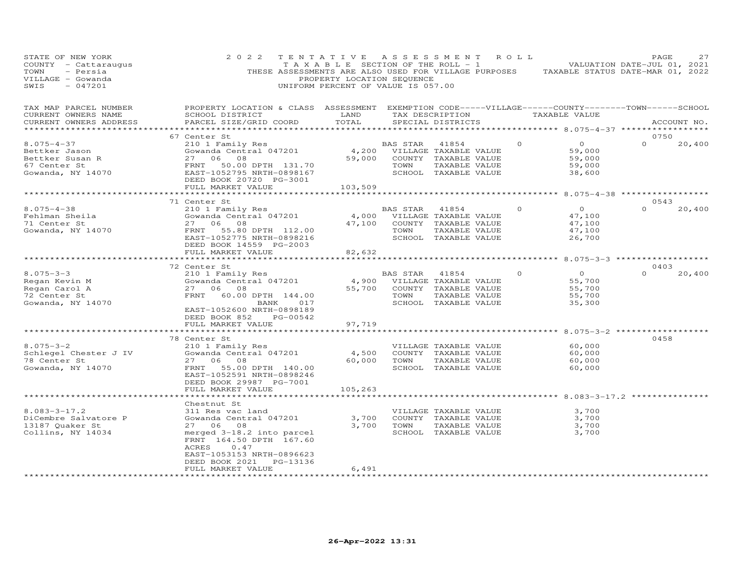| STATE OF NEW YORK<br>COUNTY - Cattaraugus<br>- Persia<br>TOWN<br>VILLAGE - Gowanda<br>$-047201$<br>SWIS | 2 0 2 2                                                                                                                                         | TENTATIVE ASSESSMENT ROLL<br>PROPERTY LOCATION SEQUENCE<br>UNIFORM PERCENT OF VALUE IS 057.00 |                             |                                      |          | TAXABLE SECTION OF THE ROLL - 1 VALUATION DATE-JUL 01, 2021<br>THESE ASSESSMENTS ARE ALSO USED FOR VILLAGE PURPOSES TAXABLE STATUS DATE-MAR 01, 2022 | PAGE     | 27          |
|---------------------------------------------------------------------------------------------------------|-------------------------------------------------------------------------------------------------------------------------------------------------|-----------------------------------------------------------------------------------------------|-----------------------------|--------------------------------------|----------|------------------------------------------------------------------------------------------------------------------------------------------------------|----------|-------------|
| TAX MAP PARCEL NUMBER<br>CURRENT OWNERS NAME<br>CURRENT OWNERS ADDRESS<br>***********************       | PROPERTY LOCATION & CLASS ASSESSMENT EXEMPTION CODE-----VILLAGE------COUNTY-------TOWN------SCHOOL<br>SCHOOL DISTRICT<br>PARCEL SIZE/GRID COORD | LAND<br>TOTAL                                                                                 |                             | TAX DESCRIPTION<br>SPECIAL DISTRICTS |          | TAXABLE VALUE                                                                                                                                        |          | ACCOUNT NO. |
|                                                                                                         | 67 Center St                                                                                                                                    |                                                                                               |                             |                                      |          |                                                                                                                                                      | 0750     |             |
| $8.075 - 4 - 37$<br>Bettker Jason                                                                       | 210 1 Family Res<br>Gowanda Central 047201                                                                                                      | 4,200                                                                                         | BAS STAR                    | 41854<br>VILLAGE TAXABLE VALUE       | $\Omega$ | $\overline{O}$<br>59,000                                                                                                                             | $\Omega$ | 20,400      |
|                                                                                                         |                                                                                                                                                 | 59,000                                                                                        |                             | COUNTY TAXABLE VALUE                 |          | 59,000                                                                                                                                               |          |             |
| Bettker Susan R<br>67 Center St<br>67 Center St                                                         |                                                                                                                                                 |                                                                                               | TOWN                        | TAXABLE VALUE                        |          | 59,000                                                                                                                                               |          |             |
| Gowanda, NY 14070                                                                                       | 27 06 08<br>FRNT 50.00DPTH 131.70<br>EAST-1052795NRTH-0898167                                                                                   |                                                                                               |                             | SCHOOL TAXABLE VALUE                 |          | 38,600                                                                                                                                               |          |             |
|                                                                                                         | DEED BOOK 20720 PG-3001                                                                                                                         |                                                                                               |                             |                                      |          |                                                                                                                                                      |          |             |
|                                                                                                         | FULL MARKET VALUE                                                                                                                               | 103,509                                                                                       |                             |                                      |          |                                                                                                                                                      |          |             |
|                                                                                                         | ********************                                                                                                                            | * * * * * * * * * * *                                                                         |                             |                                      |          | *********** 8.075-4-38 ******************                                                                                                            |          |             |
|                                                                                                         | 71 Center St                                                                                                                                    |                                                                                               |                             |                                      |          |                                                                                                                                                      | 0.543    |             |
| $8.075 - 4 - 38$                                                                                        | 210 1 Family Res                                                                                                                                |                                                                                               | BAS STAR                    | 41854                                | $\Omega$ | $\overline{0}$                                                                                                                                       | $\Omega$ | 20,400      |
| Fehlman Sheila                                                                                          | Gowanda Central 047201                                                                                                                          |                                                                                               | 4,000 VILLAGE TAXABLE VALUE |                                      |          | 47,100                                                                                                                                               |          |             |
| 71 Center St                                                                                            | 27 06 08                                                                                                                                        | 47,100                                                                                        |                             | COUNTY TAXABLE VALUE                 |          | 47,100                                                                                                                                               |          |             |
| Gowanda, NY 14070                                                                                       | FRNT<br>55.80 DPTH 112.00                                                                                                                       |                                                                                               | TOWN                        | TAXABLE VALUE                        |          | 47,100                                                                                                                                               |          |             |
|                                                                                                         | EAST-1052775 NRTH-0898216                                                                                                                       |                                                                                               |                             | SCHOOL TAXABLE VALUE                 |          | 26,700                                                                                                                                               |          |             |
|                                                                                                         | DEED BOOK 14559 PG-2003                                                                                                                         |                                                                                               |                             |                                      |          |                                                                                                                                                      |          |             |
|                                                                                                         | FULL MARKET VALUE                                                                                                                               | 82,632                                                                                        |                             |                                      |          |                                                                                                                                                      |          |             |
|                                                                                                         |                                                                                                                                                 |                                                                                               |                             |                                      |          |                                                                                                                                                      |          |             |
|                                                                                                         | 72 Center St                                                                                                                                    |                                                                                               |                             |                                      |          |                                                                                                                                                      | 0403     |             |
| $8.075 - 3 - 3$                                                                                         | 210 1 Family Res                                                                                                                                |                                                                                               | BAS STAR 41854              |                                      | $\Omega$ | $\Omega$                                                                                                                                             | $\Omega$ | 20,400      |
| Regan Kevin M                                                                                           | Gowanda Central 047201                                                                                                                          |                                                                                               | 4,900 VILLAGE TAXABLE VALUE |                                      |          | 55,700                                                                                                                                               |          |             |
| Regan Carol A                                                                                           | 27 06 08                                                                                                                                        |                                                                                               | 55,700 COUNTY TAXABLE VALUE |                                      |          | 55,700                                                                                                                                               |          |             |
| 72 Center St                                                                                            | FRNT 60.00 DPTH 144.00                                                                                                                          |                                                                                               | TOWN                        | TAXABLE VALUE                        |          | 55,700                                                                                                                                               |          |             |
| Gowanda, NY 14070                                                                                       | BANK<br>017                                                                                                                                     |                                                                                               |                             | SCHOOL TAXABLE VALUE                 |          | 35,300                                                                                                                                               |          |             |
|                                                                                                         | EAST-1052600 NRTH-0898189                                                                                                                       |                                                                                               |                             |                                      |          |                                                                                                                                                      |          |             |
|                                                                                                         | DEED BOOK 852 PG-00542                                                                                                                          |                                                                                               |                             |                                      |          |                                                                                                                                                      |          |             |
|                                                                                                         | FULL MARKET VALUE                                                                                                                               | 97,719<br>* * * * * * * * *                                                                   |                             |                                      |          | *********** 8.075-3-2 ************                                                                                                                   |          |             |
|                                                                                                         | 78 Center St                                                                                                                                    |                                                                                               |                             |                                      |          |                                                                                                                                                      | 0458     |             |
| $8.075 - 3 - 2$                                                                                         | 210 1 Family Res                                                                                                                                |                                                                                               |                             | VILLAGE TAXABLE VALUE                |          | 60,000                                                                                                                                               |          |             |
| Schlegel Chester J IV                                                                                   | Gowanda Central 047201                                                                                                                          | 4,500                                                                                         |                             | COUNTY TAXABLE VALUE                 |          | 60,000                                                                                                                                               |          |             |
| 78 Center St                                                                                            | 27 06 08                                                                                                                                        | 60,000                                                                                        | TOWN                        | TAXABLE VALUE                        |          | 60,000                                                                                                                                               |          |             |
| Gowanda, NY 14070                                                                                       | FRNT<br>55.00 DPTH 140.00                                                                                                                       |                                                                                               |                             | SCHOOL TAXABLE VALUE                 |          | 60,000                                                                                                                                               |          |             |
|                                                                                                         | EAST-1052591 NRTH-0898246                                                                                                                       |                                                                                               |                             |                                      |          |                                                                                                                                                      |          |             |
|                                                                                                         | DEED BOOK 29987 PG-7001                                                                                                                         |                                                                                               |                             |                                      |          |                                                                                                                                                      |          |             |
|                                                                                                         | FULL MARKET VALUE                                                                                                                               | 105,263                                                                                       |                             |                                      |          |                                                                                                                                                      |          |             |
|                                                                                                         |                                                                                                                                                 |                                                                                               |                             |                                      |          |                                                                                                                                                      |          |             |
|                                                                                                         | Chestnut St                                                                                                                                     |                                                                                               |                             |                                      |          |                                                                                                                                                      |          |             |
| $8.083 - 3 - 17.2$                                                                                      | 311 Res vac land                                                                                                                                |                                                                                               |                             | VILLAGE TAXABLE VALUE                |          | 3,700                                                                                                                                                |          |             |
| DiCembre Salvatore P                                                                                    | Gowanda Central 047201                                                                                                                          | 3,700                                                                                         |                             | COUNTY TAXABLE VALUE                 |          | 3,700                                                                                                                                                |          |             |
| 13187 Quaker St                                                                                         | 27 06 08                                                                                                                                        | 3,700                                                                                         | TOWN                        | TAXABLE VALUE                        |          | 3,700                                                                                                                                                |          |             |
| Collins, NY 14034                                                                                       | merged 3-18.2 into parcel                                                                                                                       |                                                                                               |                             | SCHOOL TAXABLE VALUE                 |          | 3,700                                                                                                                                                |          |             |
|                                                                                                         | FRNT 164.50 DPTH 167.60                                                                                                                         |                                                                                               |                             |                                      |          |                                                                                                                                                      |          |             |
|                                                                                                         | ACRES<br>0.47                                                                                                                                   |                                                                                               |                             |                                      |          |                                                                                                                                                      |          |             |
|                                                                                                         | EAST-1053153 NRTH-0896623                                                                                                                       |                                                                                               |                             |                                      |          |                                                                                                                                                      |          |             |
|                                                                                                         | PG-13136<br>DEED BOOK 2021                                                                                                                      |                                                                                               |                             |                                      |          |                                                                                                                                                      |          |             |
|                                                                                                         | FULL MARKET VALUE                                                                                                                               | 6,491                                                                                         |                             |                                      |          |                                                                                                                                                      |          |             |
| **********************                                                                                  |                                                                                                                                                 |                                                                                               |                             |                                      |          |                                                                                                                                                      |          |             |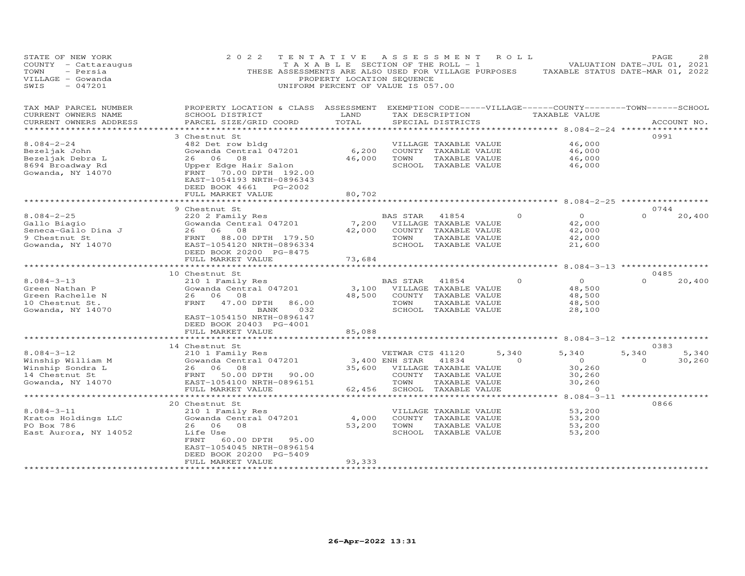| STATE OF NEW YORK<br>COUNTY - Cattaraugus<br>- Persia<br>TOWN<br>VILLAGE - Gowanda<br>$-047201$<br>SWIS | 2 0 2 2                                                                                                                                                                             | TENTATIVE<br>T A X A B L E SECTION OF THE ROLL - 1<br>THESE ASSESSMENTS ARE ALSO USED FOR VILLAGE PURPOSES<br>PROPERTY LOCATION SEQUENCE<br>UNIFORM PERCENT OF VALUE IS 057.00 | A S S E S S M E N T                        |                                                                                                 | R O L L           | TAXABLE STATUS DATE-MAR 01, 2022                                                                             | PAGE<br>VALUATION DATE-JUL 01, 2021 | 28              |
|---------------------------------------------------------------------------------------------------------|-------------------------------------------------------------------------------------------------------------------------------------------------------------------------------------|--------------------------------------------------------------------------------------------------------------------------------------------------------------------------------|--------------------------------------------|-------------------------------------------------------------------------------------------------|-------------------|--------------------------------------------------------------------------------------------------------------|-------------------------------------|-----------------|
| TAX MAP PARCEL NUMBER<br>CURRENT OWNERS NAME<br>CURRENT OWNERS ADDRESS                                  | PROPERTY LOCATION & CLASS ASSESSMENT<br>SCHOOL DISTRICT<br>PARCEL SIZE/GRID COORD                                                                                                   | LAND<br>TOTAL<br>*********                                                                                                                                                     |                                            | TAX DESCRIPTION<br>SPECIAL DISTRICTS                                                            |                   | EXEMPTION CODE-----VILLAGE------COUNTY--------TOWN------SCHOOL<br>TAXABLE VALUE<br>********* 8.084-2-24 **** |                                     | ACCOUNT NO.     |
| $8.084 - 2 - 24$<br>Bezeljak John<br>Bezeljak Debra L<br>8694 Broadway Rd<br>Gowanda, NY 14070          | 3 Chestnut St<br>482 Det row bldg<br>Gowanda Central 047201<br>26 06<br>08<br>Upper Edge Hair Salon<br>FRNT 70.00 DPTH 192.00<br>EAST-1054193 NRTH-0896343<br>DEED BOOK 4661        | 6,200<br>46,000<br>PG-2002                                                                                                                                                     | TOWN                                       | VILLAGE TAXABLE VALUE<br>COUNTY TAXABLE VALUE<br>TAXABLE VALUE<br>SCHOOL TAXABLE VALUE          |                   | 46,000<br>46,000<br>46,000<br>46,000                                                                         | 0991                                |                 |
|                                                                                                         | FULL MARKET VALUE<br>********************                                                                                                                                           | 80,702<br>***********                                                                                                                                                          |                                            |                                                                                                 |                   | ************************ 8.084-2-25 ******************                                                       |                                     |                 |
| $8.084 - 2 - 25$<br>Gallo Biagio<br>Seneca-Gallo Dina J<br>9 Chestnut St<br>Gowanda, NY 14070           | 9 Chestnut St<br>220 2 Family Res<br>Gowanda Central 047201<br>26 06 08<br>FRNT 88.00 DPTH 179.50<br>EAST-1054120 NRTH-0896334<br>DEED BOOK 20200 PG-8475                           | 7,200<br>42,000                                                                                                                                                                | BAS STAR<br>VILLAGE TAXABLE VALUE<br>TOWN  | 41854<br>COUNTY TAXABLE VALUE<br>TAXABLE VALUE<br>SCHOOL TAXABLE VALUE                          | $\Omega$          | $\Omega$<br>42,000<br>42,000<br>42,000<br>21,600                                                             | 0744<br>$\Omega$                    | 20,400          |
|                                                                                                         | FULL MARKET VALUE                                                                                                                                                                   | 73,684                                                                                                                                                                         |                                            |                                                                                                 |                   |                                                                                                              |                                     |                 |
| $8.084 - 3 - 13$<br>Green Nathan P<br>Green Rachelle N<br>10 Chestnut St.<br>Gowanda, NY 14070          | 10 Chestnut St<br>210 1 Family Res<br>Gowanda Central 047201<br>26 06 08<br>FRNT<br>47.00 DPTH<br>BANK<br>EAST-1054150 NRTH-0896147<br>DEED BOOK 20403 PG-4001<br>FULL MARKET VALUE | 3,100<br>48,500<br>86.00<br>032<br>85,088                                                                                                                                      | BAS STAR<br>TOWN                           | 41854<br>VILLAGE TAXABLE VALUE<br>COUNTY TAXABLE VALUE<br>TAXABLE VALUE<br>SCHOOL TAXABLE VALUE |                   | $\circ$<br>$\Omega$<br>48,500<br>48,500<br>48,500<br>28,100                                                  | 0485<br>$\Omega$                    | 20,400          |
|                                                                                                         | *******************                                                                                                                                                                 | * * * * * * * * * * *                                                                                                                                                          |                                            |                                                                                                 |                   | ************* 8.084-3-12 ******************                                                                  |                                     |                 |
| $8.084 - 3 - 12$<br>Winship William M<br>Winship Sondra L<br>14 Chestnut St<br>Gowanda, NY 14070        | 14 Chestnut St<br>210 1 Family Res<br>Gowanda Central 047201<br>26 06<br>08<br>FRNT 50.00 DPTH 90.00<br>EAST-1054100 NRTH-0896151<br>FULL MARKET VALUE                              | 35,600<br>62,456                                                                                                                                                               | VETWAR CTS 41120<br>3,400 ENH STAR<br>TOWN | 41834<br>VILLAGE TAXABLE VALUE<br>COUNTY TAXABLE VALUE<br>TAXABLE VALUE<br>SCHOOL TAXABLE VALUE | 5,340<br>$\Omega$ | 5,340<br>$\overline{O}$<br>30,260<br>30, 260<br>30,260<br>$\sim$ 0                                           | 0383<br>5,340<br>$\Omega$           | 5,340<br>30,260 |
|                                                                                                         | * * * * * * * * * * * *                                                                                                                                                             |                                                                                                                                                                                |                                            |                                                                                                 |                   | $8.084 - 3 - 11$                                                                                             |                                     |                 |
| $8.084 - 3 - 11$<br>Kratos Holdings LLC<br>PO Box 786<br>East Aurora, NY 14052                          | 20 Chestnut St<br>210 1 Family Res<br>Gowanda Central 047201<br>26 06 08<br>Life Use<br>60.00 DPTH<br>FRNT<br>EAST-1054045 NRTH-0896154<br>DEED BOOK 20200 PG-5409                  | 4,000<br>53,200<br>95.00                                                                                                                                                       | TOWN                                       | VILLAGE TAXABLE VALUE<br>COUNTY TAXABLE VALUE<br>TAXABLE VALUE<br>SCHOOL TAXABLE VALUE          |                   | 53,200<br>53,200<br>53,200<br>53,200                                                                         | 0866                                |                 |
|                                                                                                         | FULL MARKET VALUE                                                                                                                                                                   | 93,333                                                                                                                                                                         |                                            |                                                                                                 |                   |                                                                                                              |                                     |                 |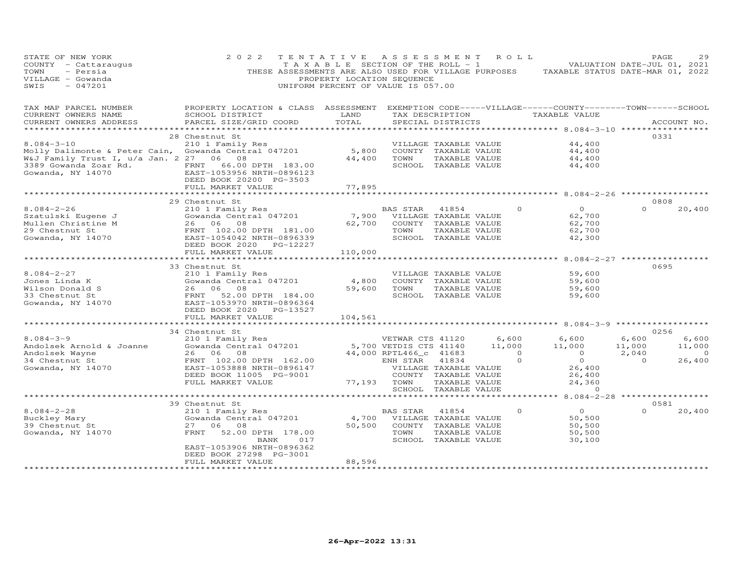| STATE OF NEW YORK<br>COUNTY - Cattaraugus<br>TOWN<br>- Persia<br>VILLAGE - Gowanda<br>$-047201$<br>SWIS                                                                        | 2 0 2 2<br>THESE ASSESSMENTS ARE ALSO USED FOR VILLAGE PURPOSES                                                                                                                                     | TENTATIVE<br>TAXABLE SECTION OF THE ROLL - 1<br>PROPERTY LOCATION SEQUENCE<br>UNIFORM PERCENT OF VALUE IS 057.00 | A S S E S S M E N T                                                                             |                                                                                                 | R O L L                           | TAXABLE STATUS DATE-MAR 01, 2022                                                                          |                                            | PAGE<br>29<br>VALUATION DATE-JUL 01, 2021   |
|--------------------------------------------------------------------------------------------------------------------------------------------------------------------------------|-----------------------------------------------------------------------------------------------------------------------------------------------------------------------------------------------------|------------------------------------------------------------------------------------------------------------------|-------------------------------------------------------------------------------------------------|-------------------------------------------------------------------------------------------------|-----------------------------------|-----------------------------------------------------------------------------------------------------------|--------------------------------------------|---------------------------------------------|
| TAX MAP PARCEL NUMBER<br>CURRENT OWNERS NAME<br>CURRENT OWNERS ADDRESS                                                                                                         | PROPERTY LOCATION & CLASS ASSESSMENT EXEMPTION CODE-----VILLAGE------COUNTY-------TOWN------SCHOOL<br>SCHOOL DISTRICT<br>PARCEL SIZE/GRID COORD                                                     | LAND<br>TOTAL                                                                                                    |                                                                                                 | SPECIAL DISTRICTS                                                                               | TAX DESCRIPTION                   | TAXABLE VALUE                                                                                             |                                            | ACCOUNT NO.                                 |
|                                                                                                                                                                                | ****************************                                                                                                                                                                        | **************                                                                                                   |                                                                                                 |                                                                                                 |                                   | ************* 8.084-3-10 ****************                                                                 |                                            |                                             |
| $8.084 - 3 - 10$<br>Molly Dalimonte & Peter Cain, Gowanda Central 047201<br>W&J Family Trust I, u/a Jan. 2 27 06 08<br>3389 Gowanda Zoar Rd. FRNT<br>Gowanda, NY 14070 EAST-10 | 28 Chestnut St<br>210 1 Family Res<br>66.00 DPTH 183.00<br>EAST-1053956 NRTH-0896123<br>DEED BOOK 20200 PG-3503                                                                                     | 5,800<br>44,400                                                                                                  | TOWN                                                                                            | VILLAGE TAXABLE VALUE<br>COUNTY TAXABLE VALUE<br>TAXABLE VALUE<br>SCHOOL TAXABLE VALUE          |                                   | 44,400<br>44,400<br>44,400<br>44,400                                                                      |                                            | 0331                                        |
|                                                                                                                                                                                | FULL MARKET VALUE                                                                                                                                                                                   | 77,895                                                                                                           |                                                                                                 |                                                                                                 |                                   | ********* 8.084-2-26 *************                                                                        |                                            |                                             |
|                                                                                                                                                                                | 29 Chestnut St                                                                                                                                                                                      |                                                                                                                  |                                                                                                 |                                                                                                 |                                   |                                                                                                           |                                            | 0808                                        |
| $8.084 - 2 - 26$<br>Szatulski Eugene J<br>Mullen Christine M<br>29 Chestnut St<br>Gowanda, NY 14070                                                                            | 210 1 Family Res<br>Gowanda Central 047201<br>26 06 08<br>26 06 08<br>3 J<br>26 06 08<br>FRNT 102.00 DPTH 181.00<br>FRNT 102.00 DPTH 181.00<br>EAST-1054042 NRTH-0896339<br>NERD BOOK 2020          | 7,900<br>62,700                                                                                                  | BAS STAR<br>TOWN                                                                                | 41854<br>VILLAGE TAXABLE VALUE<br>COUNTY TAXABLE VALUE<br>TAXABLE VALUE<br>SCHOOL TAXABLE VALUE |                                   | $\overline{O}$<br>$\circ$<br>62,700<br>62,700<br>62,700<br>42,300                                         | $\Omega$                                   | 20,400                                      |
|                                                                                                                                                                                | FULL MARKET VALUE                                                                                                                                                                                   | 110,000                                                                                                          |                                                                                                 |                                                                                                 |                                   |                                                                                                           |                                            |                                             |
|                                                                                                                                                                                |                                                                                                                                                                                                     | ***********                                                                                                      |                                                                                                 |                                                                                                 |                                   | ************ 8.084-2-27 ****************                                                                  |                                            |                                             |
| $8.084 - 2 - 27$<br>Jones Linda K<br>Jones Linda A<br>Wilson Donald S<br>33 Chestnut St<br>Gowanda, NY 14070                                                                   | 33 Chestnut St<br>210 1 Family Res<br>Gowanda Central 047201<br>26 06<br>08<br>FRNT<br>EAST-10<br>52.00 DPTH 184.00<br>EAST-1053970 NRTH-0896364<br>DEED BOOK 2020<br>PG-13527<br>FULL MARKET VALUE | 4,800<br>59,600<br>104,561                                                                                       | TOWN                                                                                            | VILLAGE TAXABLE VALUE<br>COUNTY TAXABLE VALUE<br>TAXABLE VALUE<br>SCHOOL TAXABLE VALUE          |                                   | 59,600<br>59,600<br>59,600<br>59,600                                                                      |                                            | 0695                                        |
|                                                                                                                                                                                | 34 Chestnut St                                                                                                                                                                                      |                                                                                                                  |                                                                                                 |                                                                                                 |                                   |                                                                                                           |                                            | 0256                                        |
| $8.084 - 3 - 9$<br>Andolsek Arnold & Joanne<br>Andolsek Wayne<br>34 Chestnut St<br>Gowanda, NY 14070                                                                           | 210 1 Family Res<br>Zio I family Res<br>Gowanda Central 047201<br>26 06 08<br>FRNT 102.00 DPTH 162.00<br>EAST-1053888 NRTH-0896147<br>DEED BOOK 11005 PG-9001<br>FULL MARKET VALUE                  |                                                                                                                  | VETWAR CTS 41120<br>5,700 VETDIS CTS 41140<br>44,000 RPTL466_c 41683<br>ENH STAR<br>77,193 TOWN | 41834<br>VILLAGE TAXABLE VALUE<br>COUNTY TAXABLE VALUE<br>TAXABLE VALUE                         | 6,600<br>11,000<br>$\overline{0}$ | 6,600<br>11,000<br>$\overline{O}$<br>$\Omega$<br>$\Omega$<br>26,400<br>26,400<br>24,360<br>$\overline{0}$ | 6,600<br>11,000<br>2,040<br>$\overline{0}$ | 6,600<br>11,000<br>$\overline{0}$<br>26,400 |
|                                                                                                                                                                                | **************************                                                                                                                                                                          |                                                                                                                  | *********************************                                                               | SCHOOL TAXABLE VALUE                                                                            |                                   | $8.084 - 2 - 28$ **************                                                                           |                                            |                                             |
| $8.084 - 2 - 28$<br>Buckley Mary<br>Buckley Mary<br>39 Chestnut St<br>Gowanda, NY 14070                                                                                        | 39 Chestnut St<br>210 1 Family Res<br>Gowanda Central 047201<br>27 06 08<br>FRNT<br>52.00 DPTH 178.00<br>017<br>BANK<br>EAST-1053906 NRTH-0896362<br>DEED BOOK 27298 PG-3001<br>FULL MARKET VALUE   | 4,700<br>50,500<br>88,596                                                                                        | BAS STAR<br>TOWN                                                                                | 41854<br>VILLAGE TAXABLE VALUE<br>COUNTY TAXABLE VALUE<br>TAXABLE VALUE<br>SCHOOL TAXABLE VALUE |                                   | $\circ$<br>$\circ$<br>50,500<br>50,500<br>50,500<br>30,100                                                | $\Omega$                                   | 0581<br>20,400                              |
|                                                                                                                                                                                |                                                                                                                                                                                                     |                                                                                                                  |                                                                                                 |                                                                                                 |                                   |                                                                                                           |                                            |                                             |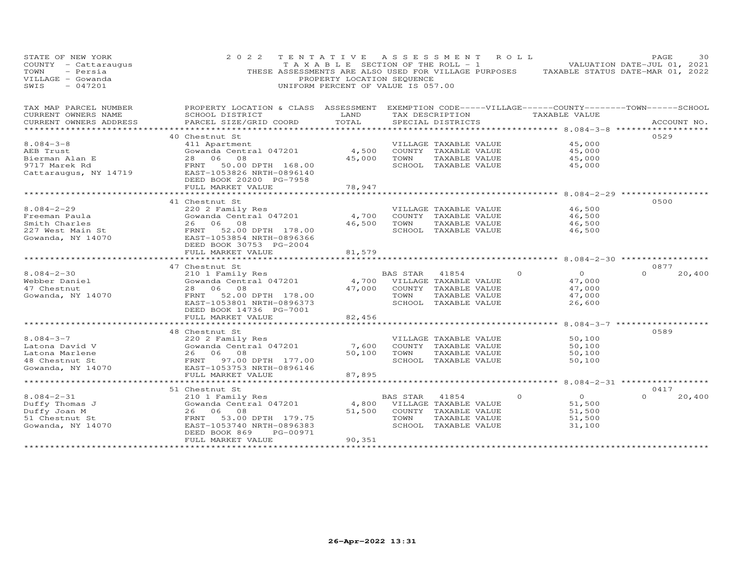| STATE OF NEW YORK<br>- Cattaraugus<br>COUNTY<br>- Persia<br>TOWN<br>VILLAGE - Gowanda<br>SWIS<br>$-047201$ | 2 0 2 2<br>THESE ASSESSMENTS ARE ALSO USED FOR VILLAGE PURPOSES             | TENTATIVE<br>TAXABLE SECTION OF THE ROLL - 1<br>PROPERTY LOCATION SEQUENCE<br>UNIFORM PERCENT OF VALUE IS 057.00 |                 | A S S E S S M E N T                                                | ROLL     | TAXABLE STATUS DATE-MAR 01, 2022 | PAGE<br>VALUATION DATE-JUL 01, 2021 | 30          |
|------------------------------------------------------------------------------------------------------------|-----------------------------------------------------------------------------|------------------------------------------------------------------------------------------------------------------|-----------------|--------------------------------------------------------------------|----------|----------------------------------|-------------------------------------|-------------|
| TAX MAP PARCEL NUMBER                                                                                      | PROPERTY LOCATION & CLASS ASSESSMENT                                        |                                                                                                                  |                 | EXEMPTION CODE-----VILLAGE------COUNTY--------TOWN------SCHOOL     |          |                                  |                                     |             |
| CURRENT OWNERS NAME                                                                                        | SCHOOL DISTRICT                                                             | LAND                                                                                                             |                 | TAX DESCRIPTION                                                    |          | TAXABLE VALUE                    |                                     |             |
| CURRENT OWNERS ADDRESS<br>*********************                                                            | PARCEL SIZE/GRID COORD                                                      | TOTAL<br>*************                                                                                           |                 | SPECIAL DISTRICTS                                                  |          |                                  |                                     | ACCOUNT NO. |
|                                                                                                            |                                                                             |                                                                                                                  |                 |                                                                    |          |                                  |                                     |             |
| $8.084 - 3 - 8$                                                                                            | 40 Chestnut St<br>411 Apartment                                             |                                                                                                                  |                 | VILLAGE TAXABLE VALUE                                              |          |                                  | 0529                                |             |
| AEB Trust                                                                                                  | Gowanda Central 047201                                                      | 4,500                                                                                                            |                 | COUNTY TAXABLE VALUE                                               |          | 45,000<br>45,000                 |                                     |             |
| Bierman Alan E                                                                                             | 08<br>28<br>06                                                              | 45,000                                                                                                           | TOWN            | TAXABLE VALUE                                                      |          | 45,000                           |                                     |             |
| 9717 Marek Rd                                                                                              | 50.00 DPTH 168.00<br>FRNT                                                   |                                                                                                                  |                 | SCHOOL TAXABLE VALUE                                               |          | 45,000                           |                                     |             |
| Cattaraugus, NY 14719                                                                                      | EAST-1053826 NRTH-0896140<br>DEED BOOK 20200 PG-7958                        |                                                                                                                  |                 |                                                                    |          |                                  |                                     |             |
|                                                                                                            | FULL MARKET VALUE                                                           | 78,947                                                                                                           |                 |                                                                    |          |                                  |                                     |             |
|                                                                                                            | **********************                                                      | *************                                                                                                    |                 | ************************************ 8.084-2-29 ****************** |          |                                  |                                     |             |
|                                                                                                            | 41 Chestnut St                                                              |                                                                                                                  |                 |                                                                    |          |                                  | 0500                                |             |
| $8.084 - 2 - 29$                                                                                           | 220 2 Family Res                                                            |                                                                                                                  |                 | VILLAGE TAXABLE VALUE                                              |          | 46,500                           |                                     |             |
| Freeman Paula                                                                                              | Gowanda Central 047201                                                      | 4,700                                                                                                            |                 | COUNTY TAXABLE VALUE                                               |          | 46,500                           |                                     |             |
| Smith Charles                                                                                              | 08<br>26<br>06                                                              | 46,500                                                                                                           | TOWN            | TAXABLE VALUE                                                      |          | 46,500                           |                                     |             |
| 227 West Main St                                                                                           | 52.00 DPTH 178.00<br>FRNT                                                   |                                                                                                                  |                 | SCHOOL TAXABLE VALUE                                               |          | 46,500                           |                                     |             |
| Gowanda, NY 14070                                                                                          | EAST-1053854 NRTH-0896366<br>DEED BOOK 30753 PG-2004<br>FULL MARKET VALUE   | 81,579                                                                                                           |                 |                                                                    |          |                                  |                                     |             |
|                                                                                                            |                                                                             |                                                                                                                  |                 |                                                                    |          | $8.084 - 2 - 30$                 |                                     |             |
|                                                                                                            | 47 Chestnut St                                                              |                                                                                                                  |                 |                                                                    |          |                                  | 0877                                |             |
| $8.084 - 2 - 30$                                                                                           | 210 1 Family Res                                                            |                                                                                                                  | <b>BAS STAR</b> | 41854                                                              | $\circ$  | $\Omega$                         | $\Omega$                            | 20,400      |
| Webber Daniel                                                                                              | Gowanda Central 047201                                                      | 4,700                                                                                                            |                 | VILLAGE TAXABLE VALUE                                              |          | 47,000                           |                                     |             |
| 47 Chestnut                                                                                                | 06<br>08<br>28                                                              | 47,000                                                                                                           |                 | COUNTY TAXABLE VALUE                                               |          | 47,000                           |                                     |             |
| Gowanda, NY 14070                                                                                          | 52.00 DPTH 178.00<br>FRNT                                                   |                                                                                                                  | TOWN            | TAXABLE VALUE                                                      |          | 47,000                           |                                     |             |
|                                                                                                            | EAST-1053801 NRTH-0896373                                                   |                                                                                                                  |                 | SCHOOL TAXABLE VALUE                                               |          | 26,600                           |                                     |             |
|                                                                                                            | DEED BOOK 14736 PG-7001                                                     |                                                                                                                  |                 |                                                                    |          |                                  |                                     |             |
|                                                                                                            | FULL MARKET VALUE                                                           | 82,456                                                                                                           |                 |                                                                    |          |                                  |                                     |             |
|                                                                                                            |                                                                             |                                                                                                                  |                 |                                                                    |          | $8.084 - 3 - 7$                  |                                     |             |
|                                                                                                            | 48 Chestnut St                                                              |                                                                                                                  |                 |                                                                    |          |                                  | 0589                                |             |
| $8.084 - 3 - 7$                                                                                            | 220 2 Family Res                                                            |                                                                                                                  |                 | VILLAGE TAXABLE VALUE                                              |          | 50,100                           |                                     |             |
| Latona David V                                                                                             | Gowanda Central 047201                                                      | 7,600                                                                                                            |                 | COUNTY TAXABLE VALUE                                               |          | 50,100                           |                                     |             |
| Latona Marlene                                                                                             | 06<br>08<br>26                                                              | 50,100                                                                                                           | TOWN            | TAXABLE VALUE                                                      |          | 50,100                           |                                     |             |
| 48 Chestnut St                                                                                             | FRNT<br>97.00 DPTH 177.00                                                   |                                                                                                                  |                 | SCHOOL TAXABLE VALUE                                               |          | 50,100                           |                                     |             |
| Gowanda, NY 14070                                                                                          | EAST-1053753 NRTH-0896146                                                   |                                                                                                                  |                 |                                                                    |          |                                  |                                     |             |
|                                                                                                            | FULL MARKET VALUE                                                           | 87,895                                                                                                           |                 |                                                                    |          |                                  |                                     |             |
|                                                                                                            |                                                                             |                                                                                                                  |                 |                                                                    |          | ********* 8.084-2-31 **********  |                                     |             |
|                                                                                                            | 51 Chestnut St                                                              |                                                                                                                  |                 |                                                                    |          |                                  | 0417                                |             |
| $8.084 - 2 - 31$                                                                                           | 210 1 Family Res                                                            |                                                                                                                  | <b>BAS STAR</b> | 41854                                                              | $\Omega$ | $\circ$                          | $\Omega$                            | 20,400      |
| Duffy Thomas J                                                                                             | Gowanda Central 047201                                                      | 4,800                                                                                                            |                 | VILLAGE TAXABLE VALUE                                              |          | 51,500                           |                                     |             |
| Duffy Joan M                                                                                               | 06<br>08<br>26                                                              | 51,500                                                                                                           | COUNTY          | TAXABLE VALUE                                                      |          | 51,500                           |                                     |             |
| 51 Chestnut St                                                                                             | FRNT<br>53.00 DPTH 179.75                                                   |                                                                                                                  | TOWN            | TAXABLE VALUE                                                      |          | 51,500                           |                                     |             |
| Gowanda, NY 14070                                                                                          | EAST-1053740 NRTH-0896383<br>DEED BOOK 869<br>PG-00971<br>FULL MARKET VALUE | 90,351                                                                                                           |                 | SCHOOL TAXABLE VALUE                                               |          | 31,100                           |                                     |             |
|                                                                                                            | * * * * * * * * * * * * * * * * * * * *                                     |                                                                                                                  |                 |                                                                    |          |                                  |                                     |             |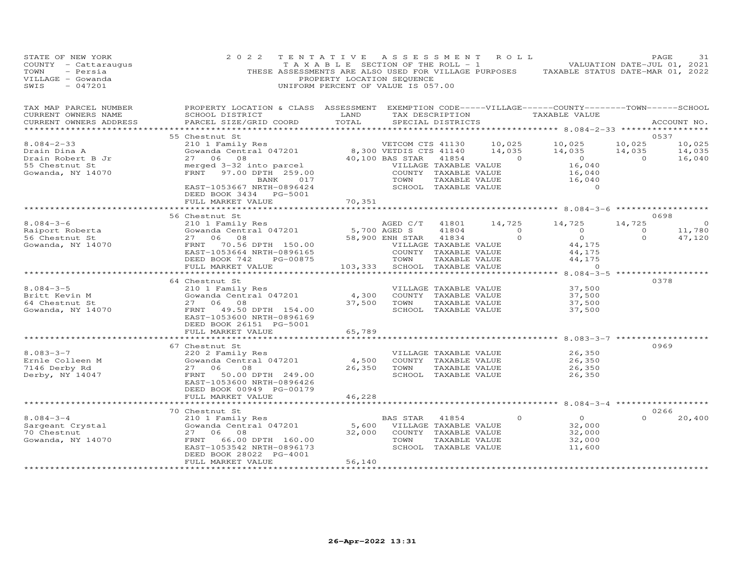| STATE OF NEW YORK<br>COUNTY - Cattaraugus<br>- Persia<br>TOWN<br>VILLAGE - Gowanda<br>$-047201$<br>SWIS | 2 0 2 2                                                                                                                                                                                                                       | TENTATIVE<br>PROPERTY LOCATION SEQUENCE<br>UNIFORM PERCENT OF VALUE IS 057.00 |                             |                                       | ASSESSMENT ROLL                | TAXABLE SECTION OF THE ROLL - 1 NOTIFICAL MALUATION DATE-JUL 01, 2021<br>THESE ASSESSMENTS ARE ALSO USED FOR VILLAGE PURPOSES TAXABLE STATUS DATE-MAR 01, 2022 |                | PAGE<br>31       |
|---------------------------------------------------------------------------------------------------------|-------------------------------------------------------------------------------------------------------------------------------------------------------------------------------------------------------------------------------|-------------------------------------------------------------------------------|-----------------------------|---------------------------------------|--------------------------------|----------------------------------------------------------------------------------------------------------------------------------------------------------------|----------------|------------------|
| TAX MAP PARCEL NUMBER<br>CURRENT OWNERS NAME<br>CURRENT OWNERS ADDRESS<br>***********************       | PROPERTY LOCATION & CLASS ASSESSMENT EXEMPTION CODE-----VILLAGE------COUNTY--------TOWN------SCHOOL<br>SCHOOL DISTRICT<br>PARCEL SIZE/GRID COORD                                                                              | TOTAL                                                                         | SPECIAL DISTRICTS           |                                       |                                | LAND TAX DESCRIPTION TAXABLE VALUE                                                                                                                             |                | ACCOUNT NO.      |
|                                                                                                         | 55 Chestnut St                                                                                                                                                                                                                |                                                                               |                             |                                       |                                |                                                                                                                                                                |                | 0537             |
| $8.084 - 2 - 33$                                                                                        | CHESTINITY Res<br>210 1 Family Res<br>2000 1 Family Res<br>27 06 08 40,100 BAS STAR 41854<br>TRNT 97.00 DPTH 259.00<br>27 07 00 DPTH 259.00<br>27 07 00 DPTH 259.00<br>27 07 00 DPTH 259.00<br>259.00<br>27 07 00 DPTH 259.00 |                                                                               |                             |                                       |                                |                                                                                                                                                                | 10,025         | 10,025           |
| Drain Dina A                                                                                            |                                                                                                                                                                                                                               |                                                                               |                             |                                       |                                | VETCOM CTS 41130 10,025 10,025<br>00 VETDIS CTS 41140 14,035 14,035<br>14,035                                                                                  | 14,035         | 14,035           |
| Drain Robert B Jr                                                                                       |                                                                                                                                                                                                                               |                                                                               |                             |                                       | 41854 0                        |                                                                                                                                                                | $\overline{0}$ | 16,040           |
| 55 Chestnut St                                                                                          |                                                                                                                                                                                                                               |                                                                               |                             |                                       | VILLAGE TAXABLE VALUE          | $0$<br>16,040                                                                                                                                                  |                |                  |
| Gowanda, NY 14070                                                                                       |                                                                                                                                                                                                                               |                                                                               |                             | COUNTY TAXABLE VALUE                  |                                | 16,040                                                                                                                                                         |                |                  |
|                                                                                                         | BANK 017                                                                                                                                                                                                                      |                                                                               | TOWN                        |                                       | TAXABLE VALUE<br>TAXABLE VALUE | 16,040                                                                                                                                                         |                |                  |
|                                                                                                         | EAST-1053667 NRTH-0896424<br>DEED BOOK 3434 PG-5001                                                                                                                                                                           |                                                                               |                             | SCHOOL TAXABLE VALUE                  |                                | $\overline{0}$                                                                                                                                                 |                |                  |
|                                                                                                         | FULL MARKET VALUE                                                                                                                                                                                                             | 70,351                                                                        |                             |                                       |                                |                                                                                                                                                                |                |                  |
|                                                                                                         |                                                                                                                                                                                                                               |                                                                               |                             |                                       |                                | ************************* 8.084-3-6 ****************                                                                                                           |                |                  |
|                                                                                                         | 56 Chestnut St                                                                                                                                                                                                                |                                                                               |                             |                                       |                                |                                                                                                                                                                |                | 0698             |
| $8.084 - 3 - 6$                                                                                         |                                                                                                                                                                                                                               |                                                                               |                             |                                       |                                | AGED C/T 41801 14,725 14,725                                                                                                                                   | 14,725         | $\circ$          |
| 8.064-5<br>Raiport Roberta<br>Laut St                                                                   |                                                                                                                                                                                                                               |                                                                               |                             | 41804                                 |                                | $\begin{matrix} 0& & &0\\ &0& & &0\\ 0& & &0& \end{matrix}$                                                                                                    | $\overline{0}$ | 11,780<br>47,120 |
| Gowanda, NY 14070                                                                                       |                                                                                                                                                                                                                               |                                                                               |                             | 41834                                 |                                | $\begin{array}{c}0\\44,175\end{array}$                                                                                                                         | $\Omega$       | 47,120           |
|                                                                                                         |                                                                                                                                                                                                                               |                                                                               | VILLAGE TAXABLE VALUE       |                                       | COUNTY TAXABLE VALUE           |                                                                                                                                                                |                |                  |
|                                                                                                         |                                                                                                                                                                                                                               |                                                                               |                             |                                       |                                |                                                                                                                                                                |                |                  |
|                                                                                                         | FULL MARKET VALUE                                                                                                                                                                                                             | 103,333                                                                       |                             | SCHOOL TAXABLE VALUE                  |                                |                                                                                                                                                                |                |                  |
|                                                                                                         | **************************                                                                                                                                                                                                    |                                                                               |                             |                                       |                                |                                                                                                                                                                |                |                  |
|                                                                                                         | 64 Chestnut St                                                                                                                                                                                                                |                                                                               |                             |                                       |                                |                                                                                                                                                                |                | 0378             |
| $8.084 - 3 - 5$                                                                                         |                                                                                                                                                                                                                               |                                                                               |                             | VILLAGE TAXABLE VALUE                 |                                | 37,500                                                                                                                                                         |                |                  |
| Britt Kevin M<br>64 Chestnut St                                                                         | Chestnut St<br>210 1 Family Res<br>Gowanda Central 047201 $\begin{array}{cc} 4,300 \\ 37,500 \end{array}$<br>27 06 08                                                                                                         | 37,500                                                                        | TOWN                        | COUNTY TAXABLE VALUE<br>TAXABLE VALUE |                                | 37,500<br>37,500                                                                                                                                               |                |                  |
| Gowanda, NY 14070                                                                                       | FRNT 49.50 DPTH 154.00                                                                                                                                                                                                        |                                                                               |                             | SCHOOL TAXABLE VALUE                  |                                | 37,500                                                                                                                                                         |                |                  |
|                                                                                                         | EAST-1053600 NRTH-0896169                                                                                                                                                                                                     |                                                                               |                             |                                       |                                |                                                                                                                                                                |                |                  |
|                                                                                                         | DEED BOOK 26151 PG-5001                                                                                                                                                                                                       |                                                                               |                             |                                       |                                |                                                                                                                                                                |                |                  |
|                                                                                                         | FULL MARKET VALUE                                                                                                                                                                                                             | 65,789                                                                        |                             |                                       |                                |                                                                                                                                                                |                |                  |
|                                                                                                         | *************************                                                                                                                                                                                                     | ********************                                                          |                             |                                       |                                | ***************************** 8.083-3-7 *****************                                                                                                      |                |                  |
| $8.083 - 3 - 7$                                                                                         | 67 Chestnut St                                                                                                                                                                                                                |                                                                               |                             |                                       | VILLAGE TAXABLE VALUE          | 26,350                                                                                                                                                         |                | 0969             |
| Ernle Colleen M                                                                                         | 220 2 Family Res<br>Gowanda Central 047201 4,500                                                                                                                                                                              |                                                                               |                             | COUNTY TAXABLE VALUE                  |                                | 26,350                                                                                                                                                         |                |                  |
| 7146 Derby Rd                                                                                           | 27 06 08                                                                                                                                                                                                                      | 26,350                                                                        | TOWN                        | TAXABLE VALUE                         |                                | 26,350                                                                                                                                                         |                |                  |
| Derby, NY 14047                                                                                         | FRNT 50.00 DPTH 249.00                                                                                                                                                                                                        |                                                                               |                             | SCHOOL TAXABLE VALUE                  |                                | 26,350                                                                                                                                                         |                |                  |
|                                                                                                         | EAST-1053600 NRTH-0896426                                                                                                                                                                                                     |                                                                               |                             |                                       |                                |                                                                                                                                                                |                |                  |
|                                                                                                         | DEED BOOK 00949 PG-00179                                                                                                                                                                                                      |                                                                               |                             |                                       |                                |                                                                                                                                                                |                |                  |
|                                                                                                         | FULL MARKET VALUE<br>*************************                                                                                                                                                                                | 46,228<br>************                                                        |                             |                                       |                                | ********************************* 8.084-3-4 *******************                                                                                                |                |                  |
|                                                                                                         | 70 Chestnut St                                                                                                                                                                                                                |                                                                               |                             |                                       |                                |                                                                                                                                                                |                | 0266             |
| $8.084 - 3 - 4$                                                                                         | 210 1 Family Res                                                                                                                                                                                                              |                                                                               | BAS STAR                    | 41854                                 | $\circ$                        | $\overline{O}$                                                                                                                                                 |                | 20,400           |
| Sargeant Crystal                                                                                        | Gowanda Central 047201                                                                                                                                                                                                        |                                                                               | 5,600 VILLAGE TAXABLE VALUE |                                       |                                | 32,000                                                                                                                                                         |                |                  |
| 70 Chestnut                                                                                             | 27 06 08                                                                                                                                                                                                                      | 32,000                                                                        |                             | COUNTY TAXABLE VALUE                  |                                | 32,000                                                                                                                                                         |                |                  |
| Gowanda, NY 14070                                                                                       | 66.00 DPTH 160.00<br>FRNT                                                                                                                                                                                                     |                                                                               | TOWN                        | TAXABLE VALUE                         |                                | 32,000                                                                                                                                                         |                |                  |
|                                                                                                         | EAST-1053542 NRTH-0896173                                                                                                                                                                                                     |                                                                               |                             | SCHOOL TAXABLE VALUE                  |                                | 11,600                                                                                                                                                         |                |                  |
|                                                                                                         | DEED BOOK 28022 PG-4001<br>FULL MARKET VALUE                                                                                                                                                                                  | 56,140                                                                        |                             |                                       |                                |                                                                                                                                                                |                |                  |
|                                                                                                         | ********************                                                                                                                                                                                                          | *******************                                                           |                             |                                       |                                |                                                                                                                                                                |                |                  |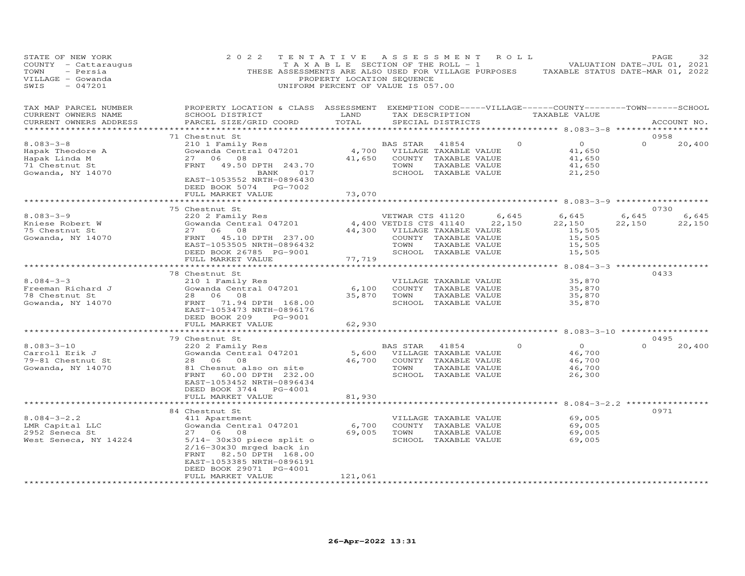| STATE OF NEW YORK<br>COUNTY - Cattaraugus<br>TOWN<br>- Persia<br>VILLAGE - Gowanda<br>SWIS<br>$-047201$ | 2 0 2 2                                                                                                                                                                                                                                                          | TENTATIVE<br>T A X A B L E SECTION OF THE ROLL - 1<br>PROPERTY LOCATION SEQUENCE<br>UNIFORM PERCENT OF VALUE IS 057.00 | A S S E S S M E N T                                                            |                                                                                        | R O L L         | THESE ASSESSMENTS ARE ALSO USED FOR VILLAGE PURPOSES TAXABLE STATUS DATE-MAR 01, 2022 |                 | PAGE<br>32<br>VALUATION DATE-JUL 01, 2021 |
|---------------------------------------------------------------------------------------------------------|------------------------------------------------------------------------------------------------------------------------------------------------------------------------------------------------------------------------------------------------------------------|------------------------------------------------------------------------------------------------------------------------|--------------------------------------------------------------------------------|----------------------------------------------------------------------------------------|-----------------|---------------------------------------------------------------------------------------|-----------------|-------------------------------------------|
| TAX MAP PARCEL NUMBER<br>CURRENT OWNERS NAME<br>CURRENT OWNERS ADDRESS                                  | PROPERTY LOCATION & CLASS ASSESSMENT EXEMPTION CODE-----VILLAGE------COUNTY-------TOWN------SCHOOL<br>SCHOOL DISTRICT<br>PARCEL SIZE/GRID COORD                                                                                                                  | LAND<br>TOTAL                                                                                                          |                                                                                | SPECIAL DISTRICTS                                                                      | TAX DESCRIPTION | TAXABLE VALUE                                                                         |                 | ACCOUNT NO.                               |
|                                                                                                         | 71 Chestnut St                                                                                                                                                                                                                                                   |                                                                                                                        |                                                                                |                                                                                        |                 |                                                                                       |                 | 0958                                      |
| $8.083 - 3 - 8$<br>Hapak Theodore A<br>Hapak Linda M<br>71 Chestnut St<br>Gowanda, NY 14070             | 210 1 Family Res<br>Gowanda Central 047201 (4,700 VILLAGE TAXABLE VALUE<br>27 06 08<br>27 06 08<br>FRNT 49.50 DPTH 243.70<br>BANK 017<br>EAST-1053552 NRTH-0896430<br>DEED BOOK 5074 PG-7002<br>FULL MARKET VALUE                                                | 73,070                                                                                                                 | 41,650 COUNTY TAXABLE VALUE<br>TOWN                                            | TAXABLE VALUE<br>SCHOOL TAXABLE VALUE                                                  | $\circ$         | $\overline{O}$<br>41,650<br>41,650<br>41,650<br>21,250                                | $\Omega$        | 20,400                                    |
|                                                                                                         | **************************                                                                                                                                                                                                                                       | *******************                                                                                                    |                                                                                |                                                                                        |                 | ********************************* 8.083-3-9 *****************                         |                 |                                           |
| $8.083 - 3 - 9$<br>Kniese Robert W<br>75 Chestnut St                                                    | 75 Chestnut St<br>220 2 Family Res<br>Gowanda Central 047201 (4,400 VETWAR CTS 41120 (6,645<br>44,400 VETURE TRIVIAL MARTING MARTING MARTING MARTING MARTING MARTING MARTING MARTING MARTING MARTING MARTING MARTING MARTING MARTING MARTING MARTING<br>27 06 08 |                                                                                                                        | 44,300 VILLAGE TAXABLE VALUE                                                   |                                                                                        | 6,645           | 6,645<br>22,150<br>15,505                                                             | 6,645<br>22,150 | 0730<br>6,645<br>22,150                   |
| Gowanda, NY 14070                                                                                       | FRNT 45.10 DPTH 237.00<br>EAST-1053505 NRTH-0896432<br>DEED BOOK 26785 PG-9001<br>FULL MARKET VALUE<br>***********************                                                                                                                                   | 77,719<br>***********                                                                                                  | TOWN                                                                           | COUNTY TAXABLE VALUE<br>TAXABLE VALUE<br>SCHOOL TAXABLE VALUE                          |                 | 15,505<br>15,505<br>15,505                                                            |                 |                                           |
|                                                                                                         | 78 Chestnut St                                                                                                                                                                                                                                                   |                                                                                                                        |                                                                                |                                                                                        |                 | ************** 8.084-3-3 *******************                                          |                 | 0433                                      |
| $8.084 - 3 - 3$<br>Freeman Richard J<br>78 Chestnut St<br>Gowanda, NY 14070                             | 210 1 Family Res<br>Gowanda Central 047201<br>28 06 08<br>FRNT 71.94 DPTH 168.00<br>EAST-1053473 NRTH-0896176<br>DEED BOOK 209<br>PG-9001<br>FULL MARKET VALUE                                                                                                   | 6,100<br>62,930                                                                                                        | 35,870 TOWN                                                                    | VILLAGE TAXABLE VALUE<br>COUNTY TAXABLE VALUE<br>TAXABLE VALUE<br>SCHOOL TAXABLE VALUE |                 | 35,870<br>35,870<br>35,870<br>35,870                                                  |                 |                                           |
|                                                                                                         | 79 Chestnut St                                                                                                                                                                                                                                                   |                                                                                                                        |                                                                                |                                                                                        |                 |                                                                                       |                 | 0495                                      |
| $8.083 - 3 - 10$<br>Carroll Erik J<br>79-81 Chestnut St<br>Gowanda, NY 14070                            | 220 2 Family Res<br>Gowanda Central 047201<br>28 06<br>08<br>81 Chesnut also on site<br>FRNT 60.00 DPTH 232.00<br>EAST-1053452 NRTH-0896434<br>DEED BOOK 3744 PG-4001                                                                                            |                                                                                                                        | BAS STAR<br>5,600 VILLAGE TAXABLE VALUE<br>46,700 COUNTY TAXABLE VALUE<br>TOWN | 41854<br>TAXABLE VALUE<br>SCHOOL TAXABLE VALUE                                         | $\Omega$        | $\overline{O}$<br>46,700<br>46,700<br>46,700<br>26,300                                | $\Omega$        | 20,400                                    |
|                                                                                                         | FULL MARKET VALUE<br>***********************                                                                                                                                                                                                                     | 81,930<br>*************                                                                                                |                                                                                |                                                                                        |                 | ********************* 8.084-3-2.2 ****************                                    |                 |                                           |
|                                                                                                         | 84 Chestnut St                                                                                                                                                                                                                                                   |                                                                                                                        |                                                                                |                                                                                        |                 |                                                                                       |                 | 0971                                      |
| $8.084 - 3 - 2.2$<br>LMR Capital LLC<br>2952 Seneca St<br>West Seneca, NY 14224                         | 411 Apartment<br>Gowanda Central 047201<br>27 06 08<br>$5/14$ - 30x30 piece split o<br>$2/16 - 30x30$ mrged back in<br>FRNT<br>82.50 DPTH 168.00<br>EAST-1053385 NRTH-0896191<br>DEED BOOK 29071 PG-4001                                                         | 6,700                                                                                                                  | 69,005 TOWN                                                                    | VILLAGE TAXABLE VALUE<br>COUNTY TAXABLE VALUE<br>TAXABLE VALUE<br>SCHOOL TAXABLE VALUE |                 | 69,005<br>69,005<br>69,005<br>69,005                                                  |                 |                                           |
|                                                                                                         | FULL MARKET VALUE<br>*******************                                                                                                                                                                                                                         | 121,061<br>***************                                                                                             |                                                                                |                                                                                        |                 |                                                                                       |                 |                                           |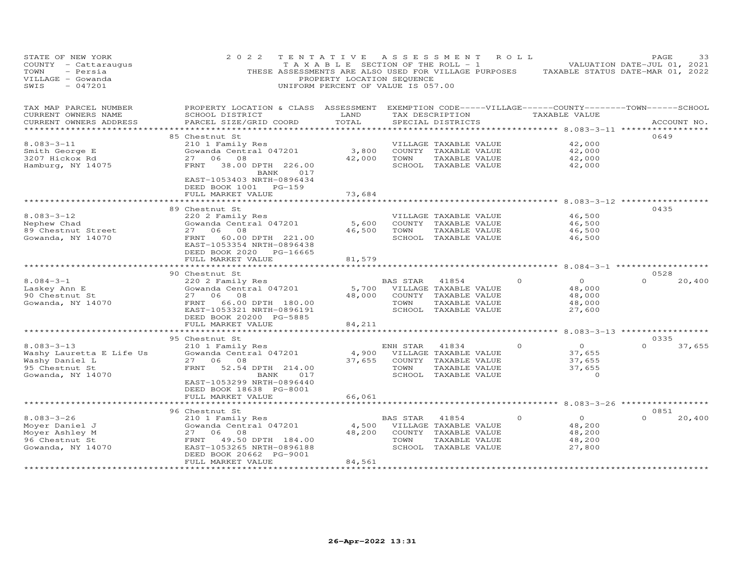| STATE OF NEW YORK<br>COUNTY - Cattaraugus<br>- Persia<br>TOWN<br>VILLAGE - Gowanda<br>$-047201$<br>SWIS | 2 0 2 2<br>THESE ASSESSMENTS ARE ALSO USED FOR VILLAGE PURPOSES TAXABLE STATUS DATE-MAR 01, 2022                                                                                                        | TAXABLE SECTION OF THE ROLL - 1<br>PROPERTY LOCATION SEQUENCE<br>UNIFORM PERCENT OF VALUE IS 057.00 |                  | TENTATIVE ASSESSMENT ROLL                                                                       |          |                                                        | PAGE<br>VALUATION DATE-JUL 01, 2021             | 33          |
|---------------------------------------------------------------------------------------------------------|---------------------------------------------------------------------------------------------------------------------------------------------------------------------------------------------------------|-----------------------------------------------------------------------------------------------------|------------------|-------------------------------------------------------------------------------------------------|----------|--------------------------------------------------------|-------------------------------------------------|-------------|
| TAX MAP PARCEL NUMBER<br>CURRENT OWNERS NAME<br>CURRENT OWNERS ADDRESS                                  | PROPERTY LOCATION & CLASS ASSESSMENT EXEMPTION CODE-----VILLAGE------COUNTY--------TOWN------SCHOOL<br>SCHOOL DISTRICT<br>PARCEL SIZE/GRID COORD                                                        | LAND<br>TOTAL                                                                                       |                  | TAX DESCRIPTION<br>SPECIAL DISTRICTS                                                            |          | TAXABLE VALUE                                          |                                                 | ACCOUNT NO. |
|                                                                                                         |                                                                                                                                                                                                         | *********                                                                                           |                  |                                                                                                 |          |                                                        | *********** 8.083-3-11 ***************          |             |
| $8.083 - 3 - 11$<br>Smith George E<br>3207 Hickox Rd<br>Hamburg, NY 14075                               | 85 Chestnut St<br>210 1 Family Res<br>Gowanda Central 047201<br>27 06 08<br>FRNT<br>38.00 DPTH 226.00<br>BANK 017<br>EAST-1053403 NRTH-0896434                                                          | 3,800<br>42,000                                                                                     | TOWN             | VILLAGE TAXABLE VALUE<br>COUNTY TAXABLE VALUE<br>TAXABLE VALUE<br>SCHOOL TAXABLE VALUE          |          | 42,000<br>42,000<br>42,000<br>42,000                   | 0649                                            |             |
|                                                                                                         | DEED BOOK 1001 PG-159<br>FULL MARKET VALUE<br>************************                                                                                                                                  | 73,684<br>************                                                                              |                  |                                                                                                 |          |                                                        |                                                 |             |
|                                                                                                         | 89 Chestnut St                                                                                                                                                                                          |                                                                                                     |                  | ****************************8.083-3-12 *****************                                        |          |                                                        | 0435                                            |             |
| $8.083 - 3 - 12$<br>Nephew Chad<br>89 Chestnut Street<br>Gowanda, NY 14070                              | 220 2 Family Res<br>Gowanda Central 047201<br>27 06 08<br>FRNT<br>60.00 DPTH 221.00<br>EAST-1053354 NRTH-0896438<br>DEED BOOK 2020 PG-16665                                                             | 5,600<br>46,500                                                                                     | TOWN             | VILLAGE TAXABLE VALUE<br>COUNTY TAXABLE VALUE<br>TAXABLE VALUE<br>SCHOOL TAXABLE VALUE          |          | 46,500<br>46,500<br>46,500<br>46,500                   |                                                 |             |
|                                                                                                         | FULL MARKET VALUE                                                                                                                                                                                       | 81,579                                                                                              |                  |                                                                                                 |          |                                                        |                                                 |             |
|                                                                                                         |                                                                                                                                                                                                         |                                                                                                     |                  |                                                                                                 |          |                                                        | ******** 8.084-3-1 ***********                  |             |
| $8.084 - 3 - 1$<br>Laskey Ann E<br>90 Chestnut St<br>Gowanda, NY 14070                                  | 90 Chestnut St<br>220 2 Family Res<br>Gowanda Central 047201<br>27 06 08<br>FRNT<br>66.00 DPTH 180.00<br>EAST-1053321 NRTH-0896191<br>DEED BOOK 20200 PG-5885                                           | 5,700<br>48,000                                                                                     | BAS STAR<br>TOWN | 41854<br>VILLAGE TAXABLE VALUE<br>COUNTY TAXABLE VALUE<br>TAXABLE VALUE<br>SCHOOL TAXABLE VALUE | $\Omega$ | $\circ$<br>48,000<br>48,000<br>48,000<br>27,600        | 0528<br>$\Omega$                                | 20,400      |
|                                                                                                         | FULL MARKET VALUE                                                                                                                                                                                       | 84,211                                                                                              |                  |                                                                                                 |          |                                                        |                                                 |             |
|                                                                                                         |                                                                                                                                                                                                         |                                                                                                     |                  |                                                                                                 |          |                                                        | ********** 8.083-3-13 *****************<br>0335 |             |
| $8.083 - 3 - 13$<br>Washy Lauretta E Life Us<br>Washy Daniel L<br>95 Chestnut St<br>Gowanda, NY 14070   | 95 Chestnut St<br>210 1 Family Res<br>Gowanda Central 047201<br>27 06 08<br>FRNT<br>52.54 DPTH 214.00<br>BANK<br>017<br>EAST-1053299 NRTH-0896440                                                       | 4,900<br>37,655                                                                                     | ENH STAR<br>TOWN | 41834<br>VILLAGE TAXABLE VALUE<br>COUNTY TAXABLE VALUE<br>TAXABLE VALUE<br>SCHOOL TAXABLE VALUE | $\Omega$ | $\Omega$<br>37,655<br>37,655<br>37,655<br>$\circ$      | $\Omega$                                        | 37,655      |
|                                                                                                         | DEED BOOK 18638 PG-8001<br>FULL MARKET VALUE                                                                                                                                                            | 66,061                                                                                              |                  |                                                                                                 |          |                                                        |                                                 |             |
|                                                                                                         |                                                                                                                                                                                                         | ************                                                                                        |                  |                                                                                                 |          |                                                        |                                                 |             |
| $8.083 - 3 - 26$<br>Moyer Daniel J<br>Moyer Ashley M<br>96 Chestnut St<br>Gowanda, NY 14070             | 96 Chestnut St<br>210 1 Family Res<br>Gowanda Central 047201<br>27 06 08<br>FRNT 49.50 DPTH 184.00<br>EAST-1053265 NRTH-0896188<br>DEED BOOK 20662 PG-9001<br>FULL MARKET VALUE<br>******************** | 4,500<br>48,200<br>84,561<br>************                                                           | BAS STAR<br>TOWN | 41854<br>VILLAGE TAXABLE VALUE<br>COUNTY TAXABLE VALUE<br>TAXABLE VALUE<br>SCHOOL TAXABLE VALUE | $\Omega$ | $\overline{O}$<br>48,200<br>48,200<br>48,200<br>27,800 | 0851<br>$\Omega$                                | 20,400      |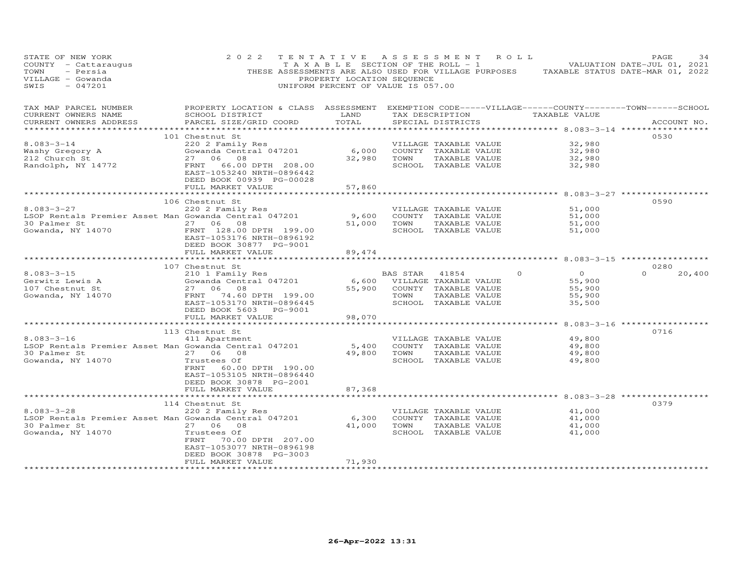| STATE OF NEW YORK<br>COUNTY - Cattaraugus<br>TOWN<br>- Persia<br>VILLAGE - Gowanda<br>$-047201$<br>SWIS        | 2 0 2 2                                                                                                                                                                                            | TENTATIVE<br>PROPERTY LOCATION SEQUENCE      | ASSESSMENT<br>ROLL.<br>TAXABLE SECTION OF THE ROLL - 1<br>THESE ASSESSMENTS ARE ALSO USED FOR VILLAGE PURPOSES TAXABLE STATUS DATE-MAR 01, 2022<br>UNIFORM PERCENT OF VALUE IS 057.00 |                                                                                                 | PAGE<br>34<br>VALUATION DATE-JUL 01, 2021 |
|----------------------------------------------------------------------------------------------------------------|----------------------------------------------------------------------------------------------------------------------------------------------------------------------------------------------------|----------------------------------------------|---------------------------------------------------------------------------------------------------------------------------------------------------------------------------------------|-------------------------------------------------------------------------------------------------|-------------------------------------------|
| TAX MAP PARCEL NUMBER<br>CURRENT OWNERS NAME<br>CURRENT OWNERS ADDRESS<br>**********************               | SCHOOL DISTRICT<br>PARCEL SIZE/GRID COORD                                                                                                                                                          | LAND<br>TOTAL                                | PROPERTY LOCATION & CLASS ASSESSMENT EXEMPTION CODE-----VILLAGE------COUNTY-------TOWN------SCHOOL<br>TAX DESCRIPTION TAXABLE VALUE<br>SPECIAL DISTRICTS                              |                                                                                                 | ACCOUNT NO.                               |
| $8.083 - 3 - 14$<br>Washy Gregory A<br>212 Church St<br>Randolph, NY 14772                                     | 101 Chestnut St<br>220 2 Family Res<br>Gowanda Central 047201<br>27 06 08<br>FRNT<br>66.00 DPTH 208.00<br>EAST-1053240 NRTH-0896442<br>DEED BOOK 00939 PG-00028<br>FULL MARKET VALUE               | 6,000<br>32,980<br>57,860                    | VILLAGE TAXABLE VALUE<br>COUNTY TAXABLE VALUE<br>TOWN<br>TAXABLE VALUE<br>SCHOOL TAXABLE VALUE                                                                                        | 32,980<br>32,980<br>32,980<br>32,980                                                            | 0530                                      |
| $8.083 - 3 - 27$<br>LSOP Rentals Premier Asset Man Gowanda Central 047201<br>30 Palmer St<br>Gowanda, NY 14070 | 106 Chestnut St<br>220 2 Family Res<br>27 06 08<br>FRNT 128.00 DPTH 199.00<br>EAST-1053176 NRTH-0896192<br>DEED BOOK 30877 PG-9001<br>FULL MARKET VALUE                                            | 9,600<br>51,000<br>89,474<br>* * * * * * * * | VILLAGE TAXABLE VALUE<br>COUNTY TAXABLE VALUE<br>TOWN<br>TAXABLE VALUE<br>SCHOOL TAXABLE VALUE                                                                                        | ********* 8.083-3-27<br>51,000<br>51,000<br>51,000<br>51,000<br>******** 8.083-3-15 *********** | 0590                                      |
| $8.083 - 3 - 15$<br>Gerwitz Lewis A<br>107 Chestnut St<br>Gowanda, NY 14070                                    | 107 Chestnut St<br>210 1 Family Res<br>Gowanda Central 047201<br>27 06<br>08<br>FRNT 74.60 DPTH 199.00<br>EAST-1053170 NRTH-0896445<br>DEED BOOK 5603 PG-9001<br>FULL MARKET VALUE                 | 6,600<br>55,900<br>98,070                    | BAS STAR<br>$\Omega$<br>41854<br>VILLAGE TAXABLE VALUE<br>COUNTY TAXABLE VALUE<br>TOWN<br>TAXABLE VALUE<br>SCHOOL TAXABLE VALUE                                                       | $\overline{O}$<br>55,900<br>55,900<br>55,900<br>35,500                                          | 0280<br>$\cap$<br>20,400                  |
| $8.083 - 3 - 16$<br>LSOP Rentals Premier Asset Man Gowanda Central 047201<br>30 Palmer St<br>Gowanda, NY 14070 | *************************<br>113 Chestnut St<br>411 Apartment<br>27 06 08<br>Trustees Of<br>FRNT<br>60.00 DPTH 190.00<br>EAST-1053105 NRTH-0896440<br>DEED BOOK 30878 PG-2001<br>FULL MARKET VALUE | 5,400<br>49,800<br>87,368                    | VILLAGE TAXABLE VALUE<br>COUNTY TAXABLE VALUE<br>TOWN<br>TAXABLE VALUE<br>SCHOOL TAXABLE VALUE                                                                                        | 49,800<br>49,800<br>49,800<br>49,800                                                            | 0716                                      |
| $8.083 - 3 - 28$<br>LSOP Rentals Premier Asset Man Gowanda Central 047201<br>30 Palmer St<br>Gowanda, NY 14070 | 114 Chestnut St<br>220 2 Family Res<br>27 06 08<br>Trustees Of<br>FRNT<br>70.00 DPTH 207.00<br>EAST-1053077 NRTH-0896198<br>DEED BOOK 30878 PG-3003<br>FULL MARKET VALUE                           | 6,300<br>41,000<br>71,930                    | VILLAGE TAXABLE VALUE<br>COUNTY TAXABLE VALUE<br>TOWN<br>TAXABLE VALUE<br>SCHOOL TAXABLE VALUE                                                                                        | ** 8.083-3-28 ******<br>41,000<br>41,000<br>41,000<br>41,000                                    | 0379                                      |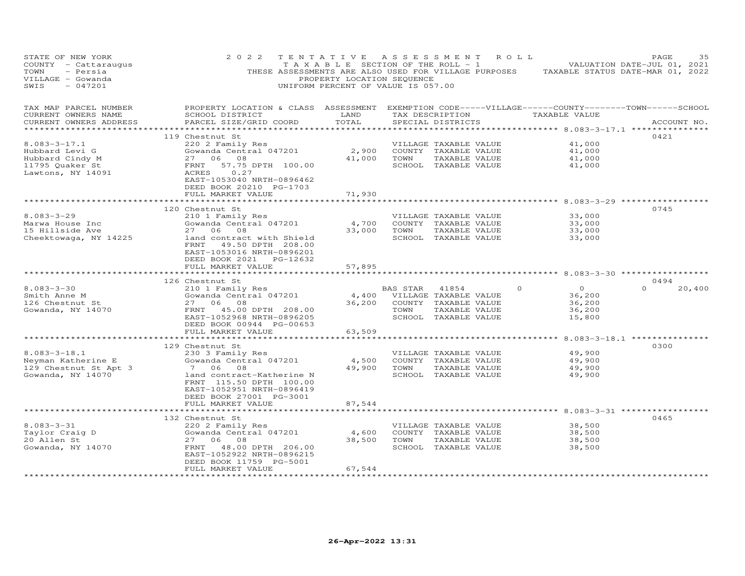| TAX MAP PARCEL NUMBER<br>PROPERTY LOCATION & CLASS ASSESSMENT EXEMPTION CODE-----VILLAGE------COUNTY-------TOWN------SCHOOL<br>CURRENT OWNERS NAME<br>SCHOOL DISTRICT<br>LAND<br>TAX DESCRIPTION TAXABLE VALUE<br>TOTAL<br>CURRENT OWNERS ADDRESS<br>PARCEL SIZE/GRID COORD<br>SPECIAL DISTRICTS<br>ACCOUNT NO.<br>***********************<br>0421<br>119 Chestnut St<br>$8.083 - 3 - 17.1$<br>220 2 Family Res<br>41,000<br>VILLAGE TAXABLE VALUE<br>2,900<br>Gowanda Central 047201<br>COUNTY TAXABLE VALUE<br>41,000<br>Hubbard Levi G<br>27<br>06 08<br>41,000<br>TOWN<br>TAXABLE VALUE<br>41,000<br>Hubbard Cindy M<br>57.75 DPTH 100.00<br>11795 Quaker St<br>FRNT<br>SCHOOL TAXABLE VALUE<br>41,000<br>Lawtons, NY 14091<br>ACRES<br>0.27<br>EAST-1053040 NRTH-0896462<br>DEED BOOK 20210 PG-1703<br>FULL MARKET VALUE<br>71,930<br>120 Chestnut St<br>0745<br>$8.083 - 3 - 29$<br>210 1 Family Res<br>VILLAGE TAXABLE VALUE<br>33,000<br>4,700<br>Marwa House Inc<br>Gowanda Central 047201<br>COUNTY TAXABLE VALUE<br>33,000<br>15 Hillside Ave<br>33,000<br>TOWN<br>TAXABLE VALUE<br>33,000<br>27 06<br>08<br>Cheektowaga, NY 14225<br>SCHOOL TAXABLE VALUE<br>33,000<br>land contract with Shield<br>FRNT<br>49.50 DPTH 208.00<br>EAST-1053016 NRTH-0896201<br>DEED BOOK 2021 PG-12632<br>FULL MARKET VALUE<br>57,895<br>********<br>********** 8.083-3-30 ************<br>0494<br>126 Chestnut St<br>$8.083 - 3 - 30$<br>$\overline{O}$<br>210 1 Family Res<br>$\Omega$<br>20,400<br>BAS STAR<br>41854<br>$\Omega$<br>4,400<br>36,200<br>Gowanda Central 047201<br>VILLAGE TAXABLE VALUE<br>Smith Anne M<br>27 06 08<br>36,200<br>COUNTY TAXABLE VALUE<br>36,200<br>126 Chestnut St<br>FRNT<br>45.00 DPTH 208.00<br>TOWN<br>TAXABLE VALUE<br>Gowanda, NY 14070<br>36,200<br>SCHOOL TAXABLE VALUE<br>EAST-1052968 NRTH-0896205<br>15,800<br>DEED BOOK 00944 PG-00653<br>FULL MARKET VALUE<br>63,509<br>0300<br>129 Chestnut St<br>$8.083 - 3 - 18.1$<br>49,900<br>230 3 Family Res<br>VILLAGE TAXABLE VALUE<br>4,500<br>Neyman Katherine E<br>Gowanda Central 047201<br>COUNTY TAXABLE VALUE<br>49,900<br>129 Chestnut St Apt 3<br>7 06 08<br>49,900<br>TOWN<br>TAXABLE VALUE<br>49,900<br>Gowanda, NY 14070<br>land contract-Katherine N<br>SCHOOL TAXABLE VALUE<br>49,900<br>FRNT 115.50 DPTH 100.00<br>EAST-1052951 NRTH-0896419<br>DEED BOOK 27001 PG-3001<br>87,544<br>FULL MARKET VALUE<br>******* 8.083-3-31 ******<br>132 Chestnut St<br>0465<br>$8.083 - 3 - 31$<br>38,500<br>220 2 Family Res<br>VILLAGE TAXABLE VALUE<br>Gowanda Central 047201<br>4,600<br>COUNTY TAXABLE VALUE<br>38,500<br>Taylor Craig D | STATE OF NEW YORK<br>COUNTY - Cattaraugus<br>TOWN<br>- Persia<br>VILLAGE - Gowanda<br>SWIS<br>$-047201$ | 2 0 2 2  | TENTATIVE<br>T A X A B L E SECTION OF THE ROLL - 1<br>THESE ASSESSMENTS ARE ALSO USED FOR VILLAGE PURPOSES<br>UNIFORM PERCENT OF VALUE IS 057.00 | PROPERTY LOCATION SEQUENCE | A S S E S S M E N T | R O L L | TAXABLE STATUS DATE-MAR 01, 2022 | PAGE<br>VALUATION DATE-JUL 01, 2021 | 35 |
|------------------------------------------------------------------------------------------------------------------------------------------------------------------------------------------------------------------------------------------------------------------------------------------------------------------------------------------------------------------------------------------------------------------------------------------------------------------------------------------------------------------------------------------------------------------------------------------------------------------------------------------------------------------------------------------------------------------------------------------------------------------------------------------------------------------------------------------------------------------------------------------------------------------------------------------------------------------------------------------------------------------------------------------------------------------------------------------------------------------------------------------------------------------------------------------------------------------------------------------------------------------------------------------------------------------------------------------------------------------------------------------------------------------------------------------------------------------------------------------------------------------------------------------------------------------------------------------------------------------------------------------------------------------------------------------------------------------------------------------------------------------------------------------------------------------------------------------------------------------------------------------------------------------------------------------------------------------------------------------------------------------------------------------------------------------------------------------------------------------------------------------------------------------------------------------------------------------------------------------------------------------------------------------------------------------------------------------------------------------------------------------------------------------------------------------------------------------------------------------------------------------------------------------------------------------------------------------------------------------------------------|---------------------------------------------------------------------------------------------------------|----------|--------------------------------------------------------------------------------------------------------------------------------------------------|----------------------------|---------------------|---------|----------------------------------|-------------------------------------|----|
|                                                                                                                                                                                                                                                                                                                                                                                                                                                                                                                                                                                                                                                                                                                                                                                                                                                                                                                                                                                                                                                                                                                                                                                                                                                                                                                                                                                                                                                                                                                                                                                                                                                                                                                                                                                                                                                                                                                                                                                                                                                                                                                                                                                                                                                                                                                                                                                                                                                                                                                                                                                                                                    |                                                                                                         |          |                                                                                                                                                  |                            |                     |         |                                  |                                     |    |
|                                                                                                                                                                                                                                                                                                                                                                                                                                                                                                                                                                                                                                                                                                                                                                                                                                                                                                                                                                                                                                                                                                                                                                                                                                                                                                                                                                                                                                                                                                                                                                                                                                                                                                                                                                                                                                                                                                                                                                                                                                                                                                                                                                                                                                                                                                                                                                                                                                                                                                                                                                                                                                    |                                                                                                         |          |                                                                                                                                                  |                            |                     |         |                                  |                                     |    |
|                                                                                                                                                                                                                                                                                                                                                                                                                                                                                                                                                                                                                                                                                                                                                                                                                                                                                                                                                                                                                                                                                                                                                                                                                                                                                                                                                                                                                                                                                                                                                                                                                                                                                                                                                                                                                                                                                                                                                                                                                                                                                                                                                                                                                                                                                                                                                                                                                                                                                                                                                                                                                                    |                                                                                                         |          |                                                                                                                                                  |                            |                     |         |                                  |                                     |    |
|                                                                                                                                                                                                                                                                                                                                                                                                                                                                                                                                                                                                                                                                                                                                                                                                                                                                                                                                                                                                                                                                                                                                                                                                                                                                                                                                                                                                                                                                                                                                                                                                                                                                                                                                                                                                                                                                                                                                                                                                                                                                                                                                                                                                                                                                                                                                                                                                                                                                                                                                                                                                                                    |                                                                                                         |          |                                                                                                                                                  |                            |                     |         |                                  |                                     |    |
|                                                                                                                                                                                                                                                                                                                                                                                                                                                                                                                                                                                                                                                                                                                                                                                                                                                                                                                                                                                                                                                                                                                                                                                                                                                                                                                                                                                                                                                                                                                                                                                                                                                                                                                                                                                                                                                                                                                                                                                                                                                                                                                                                                                                                                                                                                                                                                                                                                                                                                                                                                                                                                    |                                                                                                         |          |                                                                                                                                                  |                            |                     |         |                                  |                                     |    |
|                                                                                                                                                                                                                                                                                                                                                                                                                                                                                                                                                                                                                                                                                                                                                                                                                                                                                                                                                                                                                                                                                                                                                                                                                                                                                                                                                                                                                                                                                                                                                                                                                                                                                                                                                                                                                                                                                                                                                                                                                                                                                                                                                                                                                                                                                                                                                                                                                                                                                                                                                                                                                                    |                                                                                                         |          |                                                                                                                                                  |                            |                     |         |                                  |                                     |    |
|                                                                                                                                                                                                                                                                                                                                                                                                                                                                                                                                                                                                                                                                                                                                                                                                                                                                                                                                                                                                                                                                                                                                                                                                                                                                                                                                                                                                                                                                                                                                                                                                                                                                                                                                                                                                                                                                                                                                                                                                                                                                                                                                                                                                                                                                                                                                                                                                                                                                                                                                                                                                                                    |                                                                                                         |          |                                                                                                                                                  |                            |                     |         |                                  |                                     |    |
|                                                                                                                                                                                                                                                                                                                                                                                                                                                                                                                                                                                                                                                                                                                                                                                                                                                                                                                                                                                                                                                                                                                                                                                                                                                                                                                                                                                                                                                                                                                                                                                                                                                                                                                                                                                                                                                                                                                                                                                                                                                                                                                                                                                                                                                                                                                                                                                                                                                                                                                                                                                                                                    |                                                                                                         |          |                                                                                                                                                  |                            |                     |         |                                  |                                     |    |
|                                                                                                                                                                                                                                                                                                                                                                                                                                                                                                                                                                                                                                                                                                                                                                                                                                                                                                                                                                                                                                                                                                                                                                                                                                                                                                                                                                                                                                                                                                                                                                                                                                                                                                                                                                                                                                                                                                                                                                                                                                                                                                                                                                                                                                                                                                                                                                                                                                                                                                                                                                                                                                    |                                                                                                         |          |                                                                                                                                                  |                            |                     |         |                                  |                                     |    |
|                                                                                                                                                                                                                                                                                                                                                                                                                                                                                                                                                                                                                                                                                                                                                                                                                                                                                                                                                                                                                                                                                                                                                                                                                                                                                                                                                                                                                                                                                                                                                                                                                                                                                                                                                                                                                                                                                                                                                                                                                                                                                                                                                                                                                                                                                                                                                                                                                                                                                                                                                                                                                                    |                                                                                                         |          |                                                                                                                                                  |                            |                     |         |                                  |                                     |    |
|                                                                                                                                                                                                                                                                                                                                                                                                                                                                                                                                                                                                                                                                                                                                                                                                                                                                                                                                                                                                                                                                                                                                                                                                                                                                                                                                                                                                                                                                                                                                                                                                                                                                                                                                                                                                                                                                                                                                                                                                                                                                                                                                                                                                                                                                                                                                                                                                                                                                                                                                                                                                                                    |                                                                                                         |          |                                                                                                                                                  |                            |                     |         |                                  |                                     |    |
|                                                                                                                                                                                                                                                                                                                                                                                                                                                                                                                                                                                                                                                                                                                                                                                                                                                                                                                                                                                                                                                                                                                                                                                                                                                                                                                                                                                                                                                                                                                                                                                                                                                                                                                                                                                                                                                                                                                                                                                                                                                                                                                                                                                                                                                                                                                                                                                                                                                                                                                                                                                                                                    |                                                                                                         |          |                                                                                                                                                  |                            |                     |         |                                  |                                     |    |
|                                                                                                                                                                                                                                                                                                                                                                                                                                                                                                                                                                                                                                                                                                                                                                                                                                                                                                                                                                                                                                                                                                                                                                                                                                                                                                                                                                                                                                                                                                                                                                                                                                                                                                                                                                                                                                                                                                                                                                                                                                                                                                                                                                                                                                                                                                                                                                                                                                                                                                                                                                                                                                    |                                                                                                         |          |                                                                                                                                                  |                            |                     |         |                                  |                                     |    |
|                                                                                                                                                                                                                                                                                                                                                                                                                                                                                                                                                                                                                                                                                                                                                                                                                                                                                                                                                                                                                                                                                                                                                                                                                                                                                                                                                                                                                                                                                                                                                                                                                                                                                                                                                                                                                                                                                                                                                                                                                                                                                                                                                                                                                                                                                                                                                                                                                                                                                                                                                                                                                                    |                                                                                                         |          |                                                                                                                                                  |                            |                     |         |                                  |                                     |    |
|                                                                                                                                                                                                                                                                                                                                                                                                                                                                                                                                                                                                                                                                                                                                                                                                                                                                                                                                                                                                                                                                                                                                                                                                                                                                                                                                                                                                                                                                                                                                                                                                                                                                                                                                                                                                                                                                                                                                                                                                                                                                                                                                                                                                                                                                                                                                                                                                                                                                                                                                                                                                                                    |                                                                                                         |          |                                                                                                                                                  |                            |                     |         |                                  |                                     |    |
|                                                                                                                                                                                                                                                                                                                                                                                                                                                                                                                                                                                                                                                                                                                                                                                                                                                                                                                                                                                                                                                                                                                                                                                                                                                                                                                                                                                                                                                                                                                                                                                                                                                                                                                                                                                                                                                                                                                                                                                                                                                                                                                                                                                                                                                                                                                                                                                                                                                                                                                                                                                                                                    |                                                                                                         |          |                                                                                                                                                  |                            |                     |         |                                  |                                     |    |
|                                                                                                                                                                                                                                                                                                                                                                                                                                                                                                                                                                                                                                                                                                                                                                                                                                                                                                                                                                                                                                                                                                                                                                                                                                                                                                                                                                                                                                                                                                                                                                                                                                                                                                                                                                                                                                                                                                                                                                                                                                                                                                                                                                                                                                                                                                                                                                                                                                                                                                                                                                                                                                    |                                                                                                         |          |                                                                                                                                                  |                            |                     |         |                                  |                                     |    |
|                                                                                                                                                                                                                                                                                                                                                                                                                                                                                                                                                                                                                                                                                                                                                                                                                                                                                                                                                                                                                                                                                                                                                                                                                                                                                                                                                                                                                                                                                                                                                                                                                                                                                                                                                                                                                                                                                                                                                                                                                                                                                                                                                                                                                                                                                                                                                                                                                                                                                                                                                                                                                                    |                                                                                                         |          |                                                                                                                                                  |                            |                     |         |                                  |                                     |    |
|                                                                                                                                                                                                                                                                                                                                                                                                                                                                                                                                                                                                                                                                                                                                                                                                                                                                                                                                                                                                                                                                                                                                                                                                                                                                                                                                                                                                                                                                                                                                                                                                                                                                                                                                                                                                                                                                                                                                                                                                                                                                                                                                                                                                                                                                                                                                                                                                                                                                                                                                                                                                                                    |                                                                                                         |          |                                                                                                                                                  |                            |                     |         |                                  |                                     |    |
|                                                                                                                                                                                                                                                                                                                                                                                                                                                                                                                                                                                                                                                                                                                                                                                                                                                                                                                                                                                                                                                                                                                                                                                                                                                                                                                                                                                                                                                                                                                                                                                                                                                                                                                                                                                                                                                                                                                                                                                                                                                                                                                                                                                                                                                                                                                                                                                                                                                                                                                                                                                                                                    |                                                                                                         |          |                                                                                                                                                  |                            |                     |         |                                  |                                     |    |
|                                                                                                                                                                                                                                                                                                                                                                                                                                                                                                                                                                                                                                                                                                                                                                                                                                                                                                                                                                                                                                                                                                                                                                                                                                                                                                                                                                                                                                                                                                                                                                                                                                                                                                                                                                                                                                                                                                                                                                                                                                                                                                                                                                                                                                                                                                                                                                                                                                                                                                                                                                                                                                    |                                                                                                         |          |                                                                                                                                                  |                            |                     |         |                                  |                                     |    |
|                                                                                                                                                                                                                                                                                                                                                                                                                                                                                                                                                                                                                                                                                                                                                                                                                                                                                                                                                                                                                                                                                                                                                                                                                                                                                                                                                                                                                                                                                                                                                                                                                                                                                                                                                                                                                                                                                                                                                                                                                                                                                                                                                                                                                                                                                                                                                                                                                                                                                                                                                                                                                                    |                                                                                                         |          |                                                                                                                                                  |                            |                     |         |                                  |                                     |    |
|                                                                                                                                                                                                                                                                                                                                                                                                                                                                                                                                                                                                                                                                                                                                                                                                                                                                                                                                                                                                                                                                                                                                                                                                                                                                                                                                                                                                                                                                                                                                                                                                                                                                                                                                                                                                                                                                                                                                                                                                                                                                                                                                                                                                                                                                                                                                                                                                                                                                                                                                                                                                                                    |                                                                                                         |          |                                                                                                                                                  |                            |                     |         |                                  |                                     |    |
|                                                                                                                                                                                                                                                                                                                                                                                                                                                                                                                                                                                                                                                                                                                                                                                                                                                                                                                                                                                                                                                                                                                                                                                                                                                                                                                                                                                                                                                                                                                                                                                                                                                                                                                                                                                                                                                                                                                                                                                                                                                                                                                                                                                                                                                                                                                                                                                                                                                                                                                                                                                                                                    |                                                                                                         |          |                                                                                                                                                  |                            |                     |         |                                  |                                     |    |
|                                                                                                                                                                                                                                                                                                                                                                                                                                                                                                                                                                                                                                                                                                                                                                                                                                                                                                                                                                                                                                                                                                                                                                                                                                                                                                                                                                                                                                                                                                                                                                                                                                                                                                                                                                                                                                                                                                                                                                                                                                                                                                                                                                                                                                                                                                                                                                                                                                                                                                                                                                                                                                    |                                                                                                         |          |                                                                                                                                                  |                            |                     |         |                                  |                                     |    |
|                                                                                                                                                                                                                                                                                                                                                                                                                                                                                                                                                                                                                                                                                                                                                                                                                                                                                                                                                                                                                                                                                                                                                                                                                                                                                                                                                                                                                                                                                                                                                                                                                                                                                                                                                                                                                                                                                                                                                                                                                                                                                                                                                                                                                                                                                                                                                                                                                                                                                                                                                                                                                                    |                                                                                                         |          |                                                                                                                                                  |                            |                     |         |                                  |                                     |    |
|                                                                                                                                                                                                                                                                                                                                                                                                                                                                                                                                                                                                                                                                                                                                                                                                                                                                                                                                                                                                                                                                                                                                                                                                                                                                                                                                                                                                                                                                                                                                                                                                                                                                                                                                                                                                                                                                                                                                                                                                                                                                                                                                                                                                                                                                                                                                                                                                                                                                                                                                                                                                                                    |                                                                                                         |          |                                                                                                                                                  |                            |                     |         |                                  |                                     |    |
|                                                                                                                                                                                                                                                                                                                                                                                                                                                                                                                                                                                                                                                                                                                                                                                                                                                                                                                                                                                                                                                                                                                                                                                                                                                                                                                                                                                                                                                                                                                                                                                                                                                                                                                                                                                                                                                                                                                                                                                                                                                                                                                                                                                                                                                                                                                                                                                                                                                                                                                                                                                                                                    |                                                                                                         |          |                                                                                                                                                  |                            |                     |         |                                  |                                     |    |
|                                                                                                                                                                                                                                                                                                                                                                                                                                                                                                                                                                                                                                                                                                                                                                                                                                                                                                                                                                                                                                                                                                                                                                                                                                                                                                                                                                                                                                                                                                                                                                                                                                                                                                                                                                                                                                                                                                                                                                                                                                                                                                                                                                                                                                                                                                                                                                                                                                                                                                                                                                                                                                    |                                                                                                         |          |                                                                                                                                                  |                            |                     |         |                                  |                                     |    |
|                                                                                                                                                                                                                                                                                                                                                                                                                                                                                                                                                                                                                                                                                                                                                                                                                                                                                                                                                                                                                                                                                                                                                                                                                                                                                                                                                                                                                                                                                                                                                                                                                                                                                                                                                                                                                                                                                                                                                                                                                                                                                                                                                                                                                                                                                                                                                                                                                                                                                                                                                                                                                                    |                                                                                                         |          |                                                                                                                                                  |                            |                     |         |                                  |                                     |    |
|                                                                                                                                                                                                                                                                                                                                                                                                                                                                                                                                                                                                                                                                                                                                                                                                                                                                                                                                                                                                                                                                                                                                                                                                                                                                                                                                                                                                                                                                                                                                                                                                                                                                                                                                                                                                                                                                                                                                                                                                                                                                                                                                                                                                                                                                                                                                                                                                                                                                                                                                                                                                                                    |                                                                                                         |          |                                                                                                                                                  |                            |                     |         |                                  |                                     |    |
|                                                                                                                                                                                                                                                                                                                                                                                                                                                                                                                                                                                                                                                                                                                                                                                                                                                                                                                                                                                                                                                                                                                                                                                                                                                                                                                                                                                                                                                                                                                                                                                                                                                                                                                                                                                                                                                                                                                                                                                                                                                                                                                                                                                                                                                                                                                                                                                                                                                                                                                                                                                                                                    |                                                                                                         |          |                                                                                                                                                  |                            |                     |         |                                  |                                     |    |
|                                                                                                                                                                                                                                                                                                                                                                                                                                                                                                                                                                                                                                                                                                                                                                                                                                                                                                                                                                                                                                                                                                                                                                                                                                                                                                                                                                                                                                                                                                                                                                                                                                                                                                                                                                                                                                                                                                                                                                                                                                                                                                                                                                                                                                                                                                                                                                                                                                                                                                                                                                                                                                    |                                                                                                         |          |                                                                                                                                                  |                            |                     |         |                                  |                                     |    |
| TAXABLE VALUE<br>Gowanda, NY 14070<br>FRNT<br>48.00 DPTH 206.00<br>SCHOOL TAXABLE VALUE<br>38,500                                                                                                                                                                                                                                                                                                                                                                                                                                                                                                                                                                                                                                                                                                                                                                                                                                                                                                                                                                                                                                                                                                                                                                                                                                                                                                                                                                                                                                                                                                                                                                                                                                                                                                                                                                                                                                                                                                                                                                                                                                                                                                                                                                                                                                                                                                                                                                                                                                                                                                                                  | 20 Allen St                                                                                             | 27 06 08 |                                                                                                                                                  | 38,500                     | TOWN                |         | 38,500                           |                                     |    |
| EAST-1052922 NRTH-0896215<br>DEED BOOK 11759 PG-5001                                                                                                                                                                                                                                                                                                                                                                                                                                                                                                                                                                                                                                                                                                                                                                                                                                                                                                                                                                                                                                                                                                                                                                                                                                                                                                                                                                                                                                                                                                                                                                                                                                                                                                                                                                                                                                                                                                                                                                                                                                                                                                                                                                                                                                                                                                                                                                                                                                                                                                                                                                               |                                                                                                         |          |                                                                                                                                                  |                            |                     |         |                                  |                                     |    |
| FULL MARKET VALUE<br>67,544<br>*************************                                                                                                                                                                                                                                                                                                                                                                                                                                                                                                                                                                                                                                                                                                                                                                                                                                                                                                                                                                                                                                                                                                                                                                                                                                                                                                                                                                                                                                                                                                                                                                                                                                                                                                                                                                                                                                                                                                                                                                                                                                                                                                                                                                                                                                                                                                                                                                                                                                                                                                                                                                           |                                                                                                         |          |                                                                                                                                                  |                            |                     |         |                                  |                                     |    |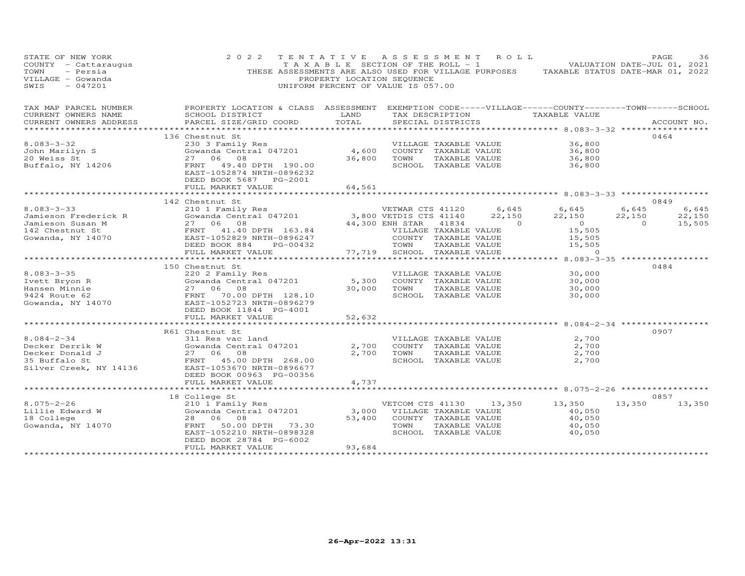| STATE OF NEW YORK<br>COUNTY - Cattaraugus<br>TOWN<br>- Persia<br>VILLAGE - Gowanda<br>$-047201$<br>SWIS                                                                                                                                                                                                                                                                                         | 2 0 2 2                                                                                                                                                                                               | TENTATIVE ASSESSMENT ROLL<br>PROPERTY LOCATION SEQUENCE<br>UNIFORM PERCENT OF VALUE IS 057.00 |                            |                                                 | TAXABLE SECTION OF THE ROLL - 1 VALUATION DATE-JUL 01, 2021<br>THESE ASSESSMENTS ARE ALSO USED FOR VILLAGE PURPOSES TAXABLE STATUS DATE-MAR 01, 2022 |                | PAGE        | 36     |
|-------------------------------------------------------------------------------------------------------------------------------------------------------------------------------------------------------------------------------------------------------------------------------------------------------------------------------------------------------------------------------------------------|-------------------------------------------------------------------------------------------------------------------------------------------------------------------------------------------------------|-----------------------------------------------------------------------------------------------|----------------------------|-------------------------------------------------|------------------------------------------------------------------------------------------------------------------------------------------------------|----------------|-------------|--------|
|                                                                                                                                                                                                                                                                                                                                                                                                 | TAX MAP PARCEL NUMBER FROPERTY LOCATION & CLASS ASSESSMENT EXEMPTION CODE-----VILLAGE------COUNTY-------TOWN-----SCHOOL                                                                               |                                                                                               |                            |                                                 |                                                                                                                                                      |                |             |        |
| CURRENT OWNERS NAME<br>CURRENT OWNERS ADDRESS                                                                                                                                                                                                                                                                                                                                                   | SCHOOL DISTRICT<br>PARCEL SIZE/GRID COORD                                                                                                                                                             | TOTAL                                                                                         | SPECIAL DISTRICTS          |                                                 | LAND TAX DESCRIPTION TAXABLE VALUE                                                                                                                   |                | ACCOUNT NO. |        |
|                                                                                                                                                                                                                                                                                                                                                                                                 |                                                                                                                                                                                                       |                                                                                               |                            |                                                 |                                                                                                                                                      |                |             |        |
|                                                                                                                                                                                                                                                                                                                                                                                                 | 136 Chestnut St                                                                                                                                                                                       |                                                                                               |                            |                                                 |                                                                                                                                                      |                | 0464        |        |
| $8.083 - 3 - 32$                                                                                                                                                                                                                                                                                                                                                                                |                                                                                                                                                                                                       |                                                                                               |                            |                                                 |                                                                                                                                                      |                |             |        |
|                                                                                                                                                                                                                                                                                                                                                                                                 |                                                                                                                                                                                                       |                                                                                               |                            |                                                 |                                                                                                                                                      |                |             |        |
| John Marilyn S<br>20 Weiss St<br>Buffalo, NY 14206<br>Buffalo, NY 14206<br>ERNT 49.40 DPTH 190.00                                                                                                                                                                                                                                                                                               |                                                                                                                                                                                                       |                                                                                               |                            |                                                 | 36,800<br>36,800<br>36,800<br>36,800                                                                                                                 |                |             |        |
|                                                                                                                                                                                                                                                                                                                                                                                                 | Chestnut St<br>230 3 Family Res<br>Gowanda Central 047201 (4,600 COUNTY TAXABLE VALUE<br>27 06 08 36,800 TOWN TAXABLE VALUE<br>FRNT 49.40 DPTH 190.00 (SCHOOL TAXABLE VALUE<br>DEED BOOK 5687 PG-2001 |                                                                                               |                            |                                                 |                                                                                                                                                      |                |             |        |
|                                                                                                                                                                                                                                                                                                                                                                                                 | FULL MARKET VALUE                                                                                                                                                                                     | 64,561                                                                                        |                            |                                                 |                                                                                                                                                      |                |             |        |
|                                                                                                                                                                                                                                                                                                                                                                                                 | 142 Chestnut St                                                                                                                                                                                       |                                                                                               |                            |                                                 |                                                                                                                                                      |                | 0849        |        |
|                                                                                                                                                                                                                                                                                                                                                                                                 |                                                                                                                                                                                                       |                                                                                               |                            |                                                 |                                                                                                                                                      | 6,645          |             | 6,645  |
|                                                                                                                                                                                                                                                                                                                                                                                                 |                                                                                                                                                                                                       |                                                                                               |                            |                                                 |                                                                                                                                                      | 22,150         |             | 22,150 |
|                                                                                                                                                                                                                                                                                                                                                                                                 |                                                                                                                                                                                                       |                                                                                               |                            |                                                 | $22,150$<br>0                                                                                                                                        | $\overline{0}$ |             | 15,505 |
|                                                                                                                                                                                                                                                                                                                                                                                                 |                                                                                                                                                                                                       |                                                                                               |                            |                                                 |                                                                                                                                                      |                |             |        |
|                                                                                                                                                                                                                                                                                                                                                                                                 |                                                                                                                                                                                                       |                                                                                               |                            |                                                 |                                                                                                                                                      |                |             |        |
|                                                                                                                                                                                                                                                                                                                                                                                                 |                                                                                                                                                                                                       |                                                                                               |                            |                                                 | $\begin{array}{r} 0 \\ 15,505 \\ 15,505 \\ 15,505 \\ 15,505 \\ 0 \end{array}$                                                                        |                |             |        |
|                                                                                                                                                                                                                                                                                                                                                                                                 |                                                                                                                                                                                                       |                                                                                               |                            |                                                 |                                                                                                                                                      |                |             |        |
|                                                                                                                                                                                                                                                                                                                                                                                                 | 150 Chestnut St                                                                                                                                                                                       |                                                                                               |                            |                                                 |                                                                                                                                                      |                | 0484        |        |
| $8.083 - 3 - 35$                                                                                                                                                                                                                                                                                                                                                                                | 220 2 Family Res<br>Gowanda Central 047201                                                                                                                                                            |                                                                                               |                            | VILLAGE TAXABLE VALUE<br>COUNTY - TAXABLE VALUE | 30,000                                                                                                                                               |                |             |        |
|                                                                                                                                                                                                                                                                                                                                                                                                 |                                                                                                                                                                                                       |                                                                                               | 5,300 COUNTY TAXABLE VALUE |                                                 | 30,000                                                                                                                                               |                |             |        |
|                                                                                                                                                                                                                                                                                                                                                                                                 |                                                                                                                                                                                                       |                                                                                               | 30,000 TOWN TAXABLE VALUE  |                                                 | 30,000                                                                                                                                               |                |             |        |
| $\begin{array}{lllllllllllllllllllllllllllllllllllllllllll\ \text{B.083--3--35} & & & & 220\ 2\ \text{Family Res} & & & & & 220\ 1\ \text{Vett Bryon R} & & & & & 6\ \text{Mansen Minnie} & & & & & 27\ 9424 \text{ Route }62 & & & & \text{FRNT} & 70.00 \text{ DFTH} & 128.10 \text{ Gowanda, NY } 14070 & & & & \text{DEFR} \text{ B.00K } 11844 \text{ PG}-4896279 & & & \text{DEFR} \text$ |                                                                                                                                                                                                       |                                                                                               | SCHOOL TAXABLE VALUE       |                                                 | 30,000                                                                                                                                               |                |             |        |
|                                                                                                                                                                                                                                                                                                                                                                                                 | DEED BOOK 11844 PG-4001                                                                                                                                                                               |                                                                                               |                            |                                                 |                                                                                                                                                      |                |             |        |
|                                                                                                                                                                                                                                                                                                                                                                                                 | FULL MARKET VALUE                                                                                                                                                                                     | 52,632                                                                                        |                            |                                                 |                                                                                                                                                      |                |             |        |
|                                                                                                                                                                                                                                                                                                                                                                                                 | **************************                                                                                                                                                                            | *******************                                                                           |                            |                                                 |                                                                                                                                                      |                |             |        |
|                                                                                                                                                                                                                                                                                                                                                                                                 | R61 Chestnut St                                                                                                                                                                                       |                                                                                               |                            |                                                 |                                                                                                                                                      |                | 0907        |        |
| $8.084 - 2 - 34$                                                                                                                                                                                                                                                                                                                                                                                | 311 Res vac land                                                                                                                                                                                      |                                                                                               | VILLAGE TAXABLE VALUE      |                                                 | 2,700                                                                                                                                                |                |             |        |
| Decker Derrik W                                                                                                                                                                                                                                                                                                                                                                                 | Gowanda Central 047201<br>27 06 08<br>77 17 17 18 08                                                                                                                                                  |                                                                                               | 2,700 COUNTY TAXABLE VALUE |                                                 | 2,700                                                                                                                                                |                |             |        |
| Decker Donald J                                                                                                                                                                                                                                                                                                                                                                                 |                                                                                                                                                                                                       |                                                                                               | 2,700 TOWN TAXABLE VALUE   |                                                 | 2,700                                                                                                                                                |                |             |        |
| 35 Buffalo St<br>Silver Creek, NY 14136                                                                                                                                                                                                                                                                                                                                                         | FRNT 45.00 DPTH 268.00<br>EAST-1053670 NRTH-0896677                                                                                                                                                   |                                                                                               | SCHOOL TAXABLE VALUE       |                                                 | 2,700                                                                                                                                                |                |             |        |
|                                                                                                                                                                                                                                                                                                                                                                                                 | DEED BOOK 00963 PG-00356                                                                                                                                                                              |                                                                                               |                            |                                                 |                                                                                                                                                      |                |             |        |
|                                                                                                                                                                                                                                                                                                                                                                                                 | FULL MARKET VALUE                                                                                                                                                                                     | 4,737                                                                                         |                            |                                                 |                                                                                                                                                      |                |             |        |
|                                                                                                                                                                                                                                                                                                                                                                                                 | ************************                                                                                                                                                                              |                                                                                               |                            |                                                 |                                                                                                                                                      |                |             |        |
|                                                                                                                                                                                                                                                                                                                                                                                                 | 18 College St                                                                                                                                                                                         |                                                                                               |                            |                                                 |                                                                                                                                                      |                | 0857        |        |
|                                                                                                                                                                                                                                                                                                                                                                                                 |                                                                                                                                                                                                       |                                                                                               |                            |                                                 | 13,350                                                                                                                                               | 13,350 13,350  |             |        |
| Example 210 1 Family<br>Lillie Edward W 3210 1 Family<br>18 College 28 06 08<br>Gowanda, NY 14070 1 FRNT 50.00                                                                                                                                                                                                                                                                                  | COTTEGE CONTROLLER<br>Covanda Central 047201<br>28 06 08 53,400 COUNTY TAXABLE VALUE<br>FRNT 50.00 DPTH 73.30 53,400 COUNTY TAXABLE VALUE<br>EAST-1052210 NRTH-0898328 SCHOOL TAXABLE VALUE           |                                                                                               |                            |                                                 | 40,050<br>40,050                                                                                                                                     |                |             |        |
|                                                                                                                                                                                                                                                                                                                                                                                                 | FRNT 50.00 DPTH 73.30                                                                                                                                                                                 |                                                                                               |                            |                                                 | 40,050                                                                                                                                               |                |             |        |
|                                                                                                                                                                                                                                                                                                                                                                                                 |                                                                                                                                                                                                       |                                                                                               |                            |                                                 | 40,050                                                                                                                                               |                |             |        |
|                                                                                                                                                                                                                                                                                                                                                                                                 | DEED BOOK 28784 PG-6002                                                                                                                                                                               |                                                                                               |                            |                                                 |                                                                                                                                                      |                |             |        |
|                                                                                                                                                                                                                                                                                                                                                                                                 | FULL MARKET VALUE                                                                                                                                                                                     | 93,684                                                                                        |                            |                                                 |                                                                                                                                                      |                |             |        |
|                                                                                                                                                                                                                                                                                                                                                                                                 |                                                                                                                                                                                                       | ******************                                                                            |                            |                                                 | *****************************                                                                                                                        |                |             |        |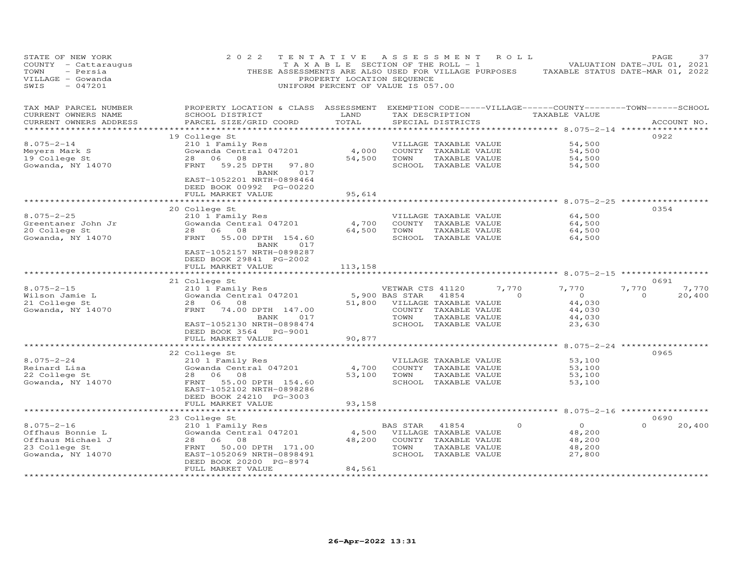| STATE OF NEW YORK<br>COUNTY - Cattaraugus<br>TOWN<br>- Persia<br>VILLAGE - Gowanda<br>SWIS<br>$-047201$ | 2 0 2 2<br>THESE ASSESSMENTS ARE ALSO USED FOR VILLAGE PURPOSES                                                                                 | TENTATIVE<br>T A X A B L E SECTION OF THE ROLL - 1<br>PROPERTY LOCATION SEQUENCE<br>UNIFORM PERCENT OF VALUE IS 057.00 | A S S E S S M E N T                |                                               | ROLL              | TAXABLE STATUS DATE-MAR 01, 2022   | PAGE<br>VALUATION DATE-JUL 01, 2021 | 37              |
|---------------------------------------------------------------------------------------------------------|-------------------------------------------------------------------------------------------------------------------------------------------------|------------------------------------------------------------------------------------------------------------------------|------------------------------------|-----------------------------------------------|-------------------|------------------------------------|-------------------------------------|-----------------|
| TAX MAP PARCEL NUMBER<br>CURRENT OWNERS NAME<br>CURRENT OWNERS ADDRESS                                  | PROPERTY LOCATION & CLASS ASSESSMENT EXEMPTION CODE-----VILLAGE------COUNTY-------TOWN------SCHOOL<br>SCHOOL DISTRICT<br>PARCEL SIZE/GRID COORD | LAND<br>TOTAL                                                                                                          |                                    | SPECIAL DISTRICTS                             | TAX DESCRIPTION   | TAXABLE VALUE                      |                                     | ACCOUNT NO.     |
| ***********************                                                                                 |                                                                                                                                                 |                                                                                                                        |                                    |                                               |                   |                                    |                                     |                 |
|                                                                                                         | 19 College St                                                                                                                                   |                                                                                                                        |                                    |                                               |                   |                                    | 0922                                |                 |
| $8.075 - 2 - 14$<br>Meyers Mark S                                                                       | 210 1 Family Res<br>Gowanda Central 047201                                                                                                      | 4,000                                                                                                                  |                                    | VILLAGE TAXABLE VALUE<br>COUNTY TAXABLE VALUE |                   | 54,500<br>54,500                   |                                     |                 |
| 19 College St                                                                                           | 28<br>06 08                                                                                                                                     | 54,500                                                                                                                 | TOWN                               | TAXABLE VALUE                                 |                   | 54,500                             |                                     |                 |
| Gowanda, NY 14070                                                                                       | FRNT<br>59.25 DPTH<br>97.80                                                                                                                     |                                                                                                                        |                                    | SCHOOL TAXABLE VALUE                          |                   | 54,500                             |                                     |                 |
|                                                                                                         | 017<br>BANK<br>EAST-1052201 NRTH-0898464<br>DEED BOOK 00992 PG-00220<br>FULL MARKET VALUE                                                       | 95,614                                                                                                                 |                                    |                                               |                   |                                    |                                     |                 |
|                                                                                                         |                                                                                                                                                 |                                                                                                                        |                                    |                                               |                   |                                    |                                     |                 |
|                                                                                                         | 20 College St                                                                                                                                   |                                                                                                                        |                                    |                                               |                   |                                    | 0354                                |                 |
| $8.075 - 2 - 25$                                                                                        | 210 1 Family Res                                                                                                                                |                                                                                                                        |                                    | VILLAGE TAXABLE VALUE                         |                   | 64,500                             |                                     |                 |
| Greentaner John Jr                                                                                      | Gowanda Central 047201                                                                                                                          | 4,700                                                                                                                  |                                    | COUNTY TAXABLE VALUE                          |                   | 64,500                             |                                     |                 |
| 20 College St                                                                                           | 28<br>06<br>08                                                                                                                                  | 64,500                                                                                                                 | TOWN                               | TAXABLE VALUE                                 |                   | 64,500                             |                                     |                 |
| Gowanda, NY 14070                                                                                       | FRNT<br>55.00 DPTH 154.60                                                                                                                       |                                                                                                                        |                                    | SCHOOL TAXABLE VALUE                          |                   | 64,500                             |                                     |                 |
|                                                                                                         | BANK<br>017<br>EAST-1052157 NRTH-0898287<br>DEED BOOK 29841 PG-2002<br>FULL MARKET VALUE                                                        | 113,158                                                                                                                |                                    |                                               |                   |                                    |                                     |                 |
|                                                                                                         |                                                                                                                                                 |                                                                                                                        |                                    |                                               |                   | ********** 8.075-2-15 ************ |                                     |                 |
|                                                                                                         | 21 College St                                                                                                                                   |                                                                                                                        |                                    |                                               |                   |                                    | 0691                                |                 |
| $8.075 - 2 - 15$<br>Wilson Jamie L                                                                      | 210 1 Family Res<br>Gowanda Central 047201                                                                                                      |                                                                                                                        | VETWAR CTS 41120<br>5,900 BAS STAR | 41854                                         | 7,770<br>$\Omega$ | 7,770<br>$\overline{O}$            | 7,770<br>$\Omega$                   | 7,770<br>20,400 |
| 21 College St                                                                                           | 28 06 08                                                                                                                                        | 51,800                                                                                                                 |                                    | VILLAGE TAXABLE VALUE                         |                   | 44,030                             |                                     |                 |
| Gowanda, NY 14070                                                                                       | FRNT<br>74.00 DPTH 147.00                                                                                                                       |                                                                                                                        |                                    | COUNTY TAXABLE VALUE                          |                   | 44,030                             |                                     |                 |
|                                                                                                         | 017<br>BANK                                                                                                                                     |                                                                                                                        | TOWN                               | TAXABLE VALUE                                 |                   | 44,030                             |                                     |                 |
|                                                                                                         | EAST-1052130 NRTH-0898474                                                                                                                       |                                                                                                                        |                                    | SCHOOL TAXABLE VALUE                          |                   | 23,630                             |                                     |                 |
|                                                                                                         | DEED BOOK 3564 PG-9001                                                                                                                          |                                                                                                                        |                                    |                                               |                   |                                    |                                     |                 |
|                                                                                                         | FULL MARKET VALUE                                                                                                                               | 90,877                                                                                                                 |                                    |                                               |                   |                                    |                                     |                 |
|                                                                                                         | *******************                                                                                                                             | ************                                                                                                           |                                    |                                               |                   |                                    | $8.075 - 2 - 24$ *****************  |                 |
|                                                                                                         | 22 College St                                                                                                                                   |                                                                                                                        |                                    |                                               |                   |                                    | 0965                                |                 |
| $8.075 - 2 - 24$                                                                                        | 210 1 Family Res                                                                                                                                |                                                                                                                        |                                    | VILLAGE TAXABLE VALUE                         |                   | 53,100                             |                                     |                 |
| Reinard Lisa                                                                                            | Gowanda Central 047201                                                                                                                          | 4,700                                                                                                                  |                                    | COUNTY TAXABLE VALUE                          |                   | 53,100                             |                                     |                 |
| 22 College St                                                                                           | 28 06<br>08                                                                                                                                     | 53,100                                                                                                                 | TOWN                               | TAXABLE VALUE                                 |                   | 53,100                             |                                     |                 |
| Gowanda, NY 14070                                                                                       | FRNT<br>55.00 DPTH 154.60                                                                                                                       |                                                                                                                        |                                    | SCHOOL TAXABLE VALUE                          |                   | 53,100                             |                                     |                 |
|                                                                                                         | EAST-1052102 NRTH-0898286                                                                                                                       |                                                                                                                        |                                    |                                               |                   |                                    |                                     |                 |
|                                                                                                         | DEED BOOK 24210 PG-3003                                                                                                                         |                                                                                                                        |                                    |                                               |                   |                                    |                                     |                 |
|                                                                                                         | FULL MARKET VALUE                                                                                                                               | 93,158                                                                                                                 |                                    |                                               |                   |                                    |                                     |                 |
|                                                                                                         |                                                                                                                                                 | ********                                                                                                               |                                    |                                               |                   | ******* 8.075-2-16 ************    |                                     |                 |
| $8.075 - 2 - 16$                                                                                        | 23 College St                                                                                                                                   |                                                                                                                        |                                    |                                               | $\circ$           | $\circ$                            | 0690<br>$\Omega$                    |                 |
| Offhaus Bonnie L                                                                                        | 210 1 Family Res<br>Gowanda Central 047201                                                                                                      | 4,500                                                                                                                  | BAS STAR                           | 41854<br>VILLAGE TAXABLE VALUE                |                   | 48,200                             |                                     | 20,400          |
| Offhaus Michael J                                                                                       | 28<br>06<br>08                                                                                                                                  | 48,200                                                                                                                 |                                    | COUNTY TAXABLE VALUE                          |                   | 48,200                             |                                     |                 |
| 23 College St                                                                                           | FRNT<br>50.00 DPTH 171.00                                                                                                                       |                                                                                                                        | TOWN                               | TAXABLE VALUE                                 |                   | 48,200                             |                                     |                 |
| Gowanda, NY 14070                                                                                       | EAST-1052069 NRTH-0898491                                                                                                                       |                                                                                                                        |                                    | SCHOOL TAXABLE VALUE                          |                   | 27,800                             |                                     |                 |
|                                                                                                         | DEED BOOK 20200 PG-8974                                                                                                                         |                                                                                                                        |                                    |                                               |                   |                                    |                                     |                 |
|                                                                                                         | FULL MARKET VALUE                                                                                                                               | 84,561                                                                                                                 |                                    |                                               |                   |                                    |                                     |                 |
|                                                                                                         |                                                                                                                                                 | * * * * * * * * * * * *                                                                                                |                                    |                                               |                   |                                    |                                     |                 |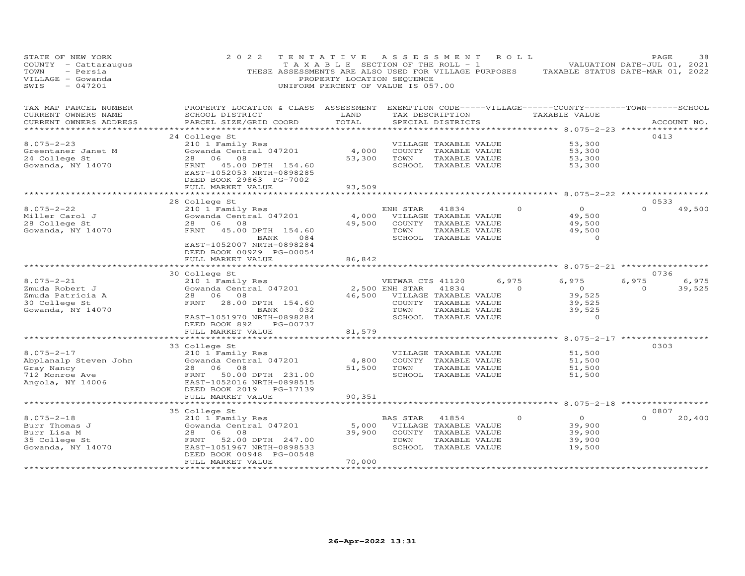| STATE OF NEW YORK<br>COUNTY - Cattaraugus<br>- Persia<br>TOWN<br>VILLAGE - Gowanda<br>$-047201$<br>SWIS | 2022                                                                                                                                                                                                                 | TENTATIVE<br>T A X A B L E SECTION OF THE ROLL - 1<br>PROPERTY LOCATION SEQUENCE<br>UNIFORM PERCENT OF VALUE IS 057.00 | ASSESSMENT                                 |                                                                                                 | ROLL ROLL         | THESE ASSESSMENTS ARE ALSO USED FOR VILLAGE PURPOSES TAXABLE STATUS DATE-MAR 01, 2022 | PAGE<br>VALUATION DATE-JUL 01, 2021 | 38              |
|---------------------------------------------------------------------------------------------------------|----------------------------------------------------------------------------------------------------------------------------------------------------------------------------------------------------------------------|------------------------------------------------------------------------------------------------------------------------|--------------------------------------------|-------------------------------------------------------------------------------------------------|-------------------|---------------------------------------------------------------------------------------|-------------------------------------|-----------------|
| TAX MAP PARCEL NUMBER<br>CURRENT OWNERS NAME<br>CURRENT OWNERS ADDRESS                                  | PROPERTY LOCATION & CLASS ASSESSMENT EXEMPTION CODE-----VILLAGE------COUNTY-------TOWN------SCHOOL<br>SCHOOL DISTRICT<br>PARCEL SIZE/GRID COORD                                                                      | LAND<br>TOTAL<br>************                                                                                          |                                            | TAX DESCRIPTION<br>SPECIAL DISTRICTS                                                            |                   | TAXABLE VALUE<br>********** 8.075-2-23 ***                                            |                                     | ACCOUNT NO.     |
| $8.075 - 2 - 23$<br>Greentaner Janet M<br>24 College St<br>Gowanda, NY 14070                            | 24 College St<br>210 1 Family Res<br>Gowanda Central 047201<br>28<br>06<br>08<br>FRNT 45.00 DPTH 154.60<br>EAST-1052053 NRTH-0898285                                                                                 | 4,000<br>53,300                                                                                                        | TOWN                                       | VILLAGE TAXABLE VALUE<br>COUNTY TAXABLE VALUE<br>TAXABLE VALUE<br>SCHOOL TAXABLE VALUE          |                   | 53,300<br>53,300<br>53,300<br>53,300                                                  | 0413                                |                 |
|                                                                                                         | DEED BOOK 29863 PG-7002<br>FULL MARKET VALUE<br>***********************                                                                                                                                              | 93,509                                                                                                                 |                                            |                                                                                                 |                   |                                                                                       | 0533                                |                 |
| $8.075 - 2 - 22$<br>Miller Carol J<br>28 College St<br>Gowanda, NY 14070                                | 28 College St<br>210 1 Family Res<br>Gowanda Central 047201<br>28 06 08<br>FRNT<br>45.00 DPTH 154.60<br>BANK<br>084<br>EAST-1052007 NRTH-0898284<br>DEED BOOK 00929 PG-00054                                         | 4,000<br>49,500                                                                                                        | ENH STAR<br>TOWN                           | 41834<br>VILLAGE TAXABLE VALUE<br>COUNTY TAXABLE VALUE<br>TAXABLE VALUE<br>SCHOOL TAXABLE VALUE | $\Omega$          | $\Omega$<br>49,500<br>49,500<br>49,500<br>$\Omega$                                    | $\Omega$                            | 49,500          |
|                                                                                                         | FULL MARKET VALUE                                                                                                                                                                                                    | 86,842                                                                                                                 |                                            |                                                                                                 |                   | ************ 8.075-2-21 ***********                                                   |                                     |                 |
| $8.075 - 2 - 21$<br>Zmuda Robert J<br>Zmuda Patricia A<br>30 College St<br>Gowanda, NY 14070            | 30 College St<br>210 1 Family Res<br>Gowanda Central 047201<br>28 06 08<br>FRNT<br>28.00 DPTH 154.60<br>BANK<br>032<br>EAST-1051970 NRTH-0898284<br>DEED BOOK 892<br>PG-00737<br>FULL MARKET VALUE                   | 46,500<br>81,579                                                                                                       | VETWAR CTS 41120<br>2,500 ENH STAR<br>TOWN | 41834<br>VILLAGE TAXABLE VALUE<br>COUNTY TAXABLE VALUE<br>TAXABLE VALUE<br>SCHOOL TAXABLE VALUE | 6,975<br>$\Omega$ | 6,975<br>$\overline{0}$<br>39,525<br>39,525<br>39,525<br>$\circ$                      | 0736<br>6,975<br>$\Omega$           | 6,975<br>39,525 |
|                                                                                                         | ************************                                                                                                                                                                                             |                                                                                                                        |                                            |                                                                                                 |                   | ************************ 8.075-2-17 ****************                                  | 0303                                |                 |
| $8.075 - 2 - 17$<br>Abplanalp Steven John<br>Gray Nancy<br>712 Monroe Ave<br>Angola, NY 14006           | 33 College St<br>210 1 Family Res<br>Gowanda Central 047201<br>28 06 08<br>FRNT 50.00 DPTH 231.00<br>EAST-1052016 NRTH-0898515<br>DEED BOOK 2019<br>PG-17139                                                         | 4,800<br>51,500                                                                                                        | TOWN                                       | VILLAGE TAXABLE VALUE<br>COUNTY TAXABLE VALUE<br>TAXABLE VALUE<br>SCHOOL TAXABLE VALUE          |                   | 51,500<br>51,500<br>51,500<br>51,500                                                  |                                     |                 |
|                                                                                                         | FULL MARKET VALUE                                                                                                                                                                                                    | 90,351<br>*********                                                                                                    |                                            |                                                                                                 |                   | ********** 8.075-2-18 ************                                                    |                                     |                 |
| $8.075 - 2 - 18$<br>Burr Thomas J<br>Burr Lisa M<br>35 College St<br>Gowanda, NY 14070                  | 35 College St<br>210 1 Family Res<br>Gowanda Central 047201<br>28<br>06<br>08<br>FRNT<br>52.00 DPTH 247.00<br>EAST-1051967 NRTH-0898533<br>DEED BOOK 00948 PG-00548<br>FULL MARKET VALUE<br>************************ | 5,000<br>39,900<br>70,000<br>, <b>* * * * * * * * * *</b> ·                                                            | BAS STAR<br>TOWN                           | 41854<br>VILLAGE TAXABLE VALUE<br>COUNTY TAXABLE VALUE<br>TAXABLE VALUE<br>SCHOOL TAXABLE VALUE | $\Omega$          | $\circ$<br>39,900<br>39,900<br>39,900<br>19,500                                       | 0807<br>$\Omega$                    | 20,400          |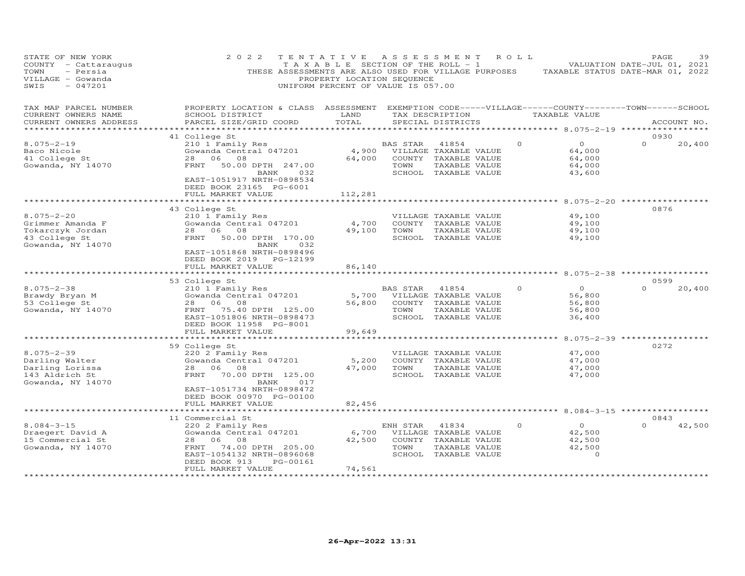| STATE OF NEW YORK<br>COUNTY - Cattaraugus<br>TOWN<br>- Persia<br>VILLAGE - Gowanda<br>SWIS<br>$-047201$ | 2 0 2 2<br>THESE ASSESSMENTS ARE ALSO USED FOR VILLAGE PURPOSES                                                                                     | TENTATIVE<br>T A X A B L E SECTION OF THE ROLL - 1<br>PROPERTY LOCATION SEQUENCE<br>UNIFORM PERCENT OF VALUE IS 057.00 | A S S E S S M E N T |                                                                                                 | ROLL     | TAXABLE STATUS DATE-MAR 01, 2022                  | PAGE<br>VALUATION DATE-JUL 01, 2021 | 39     |
|---------------------------------------------------------------------------------------------------------|-----------------------------------------------------------------------------------------------------------------------------------------------------|------------------------------------------------------------------------------------------------------------------------|---------------------|-------------------------------------------------------------------------------------------------|----------|---------------------------------------------------|-------------------------------------|--------|
| TAX MAP PARCEL NUMBER<br>CURRENT OWNERS NAME<br>CURRENT OWNERS ADDRESS                                  | PROPERTY LOCATION & CLASS ASSESSMENT EXEMPTION CODE-----VILLAGE------COUNTY-------TOWN------SCHOOL<br>SCHOOL DISTRICT<br>PARCEL SIZE/GRID COORD     | LAND<br>TOTAL                                                                                                          |                     | TAX DESCRIPTION<br>SPECIAL DISTRICTS                                                            |          | TAXABLE VALUE                                     | ACCOUNT NO.                         |        |
| ***********************                                                                                 |                                                                                                                                                     |                                                                                                                        |                     |                                                                                                 |          |                                                   |                                     |        |
| $8.075 - 2 - 19$<br>Baco Nicole<br>41 College St<br>Gowanda, NY 14070                                   | 41 College St<br>210 1 Family Res<br>Gowanda Central 047201<br>28<br>06 08<br>FRNT<br>50.00 DPTH 247.00<br>BANK<br>032                              | 4,900<br>64,000                                                                                                        | BAS STAR<br>TOWN    | 41854<br>VILLAGE TAXABLE VALUE<br>COUNTY TAXABLE VALUE<br>TAXABLE VALUE<br>SCHOOL TAXABLE VALUE | $\Omega$ | $\circ$<br>64,000<br>64,000<br>64,000<br>43,600   | 0930<br>$\Omega$                    | 20,400 |
|                                                                                                         | EAST-1051917 NRTH-0898534<br>DEED BOOK 23165 PG-6001<br>FULL MARKET VALUE                                                                           | 112,281                                                                                                                |                     |                                                                                                 |          |                                                   |                                     |        |
|                                                                                                         | ***********************                                                                                                                             |                                                                                                                        |                     |                                                                                                 |          |                                                   |                                     |        |
| $8.075 - 2 - 20$<br>Grimmer Amanda F<br>Tokarczyk Jordan<br>43 College St<br>Gowanda, NY 14070          | 43 College St<br>210 1 Family Res<br>Gowanda Central 047201<br>08<br>28<br>06<br>50.00 DPTH 170.00<br>FRNT<br>032<br>BANK                           | 4,700<br>49,100                                                                                                        | TOWN                | VILLAGE TAXABLE VALUE<br>COUNTY TAXABLE VALUE<br>TAXABLE VALUE<br>SCHOOL TAXABLE VALUE          |          | 49,100<br>49,100<br>49,100<br>49,100              | 0876                                |        |
|                                                                                                         | EAST-1051868 NRTH-0898496<br>DEED BOOK 2019 PG-12199<br>FULL MARKET VALUE                                                                           | 86,140<br>* * * * * * * * *                                                                                            |                     |                                                                                                 |          | ********* 8.075-2-38 ***************              |                                     |        |
| $8.075 - 2 - 38$                                                                                        | 53 College St<br>210 1 Family Res                                                                                                                   |                                                                                                                        | <b>BAS STAR</b>     | 41854                                                                                           | $\Omega$ | $\circ$                                           | 0599<br>$\Omega$                    | 20,400 |
| Brawdy Bryan M<br>53 College St                                                                         | Gowanda Central 047201<br>28<br>06<br>08                                                                                                            | 5,700<br>56,800                                                                                                        |                     | VILLAGE TAXABLE VALUE<br>COUNTY TAXABLE VALUE                                                   |          | 56,800<br>56,800                                  |                                     |        |
| Gowanda, NY 14070                                                                                       | FRNT<br>75.40 DPTH 125.00<br>EAST-1051806 NRTH-0898473<br>DEED BOOK 11958 PG-8001                                                                   |                                                                                                                        | TOWN                | TAXABLE VALUE<br>SCHOOL TAXABLE VALUE                                                           |          | 56,800<br>36,400                                  |                                     |        |
|                                                                                                         | FULL MARKET VALUE                                                                                                                                   | 99,649                                                                                                                 |                     |                                                                                                 |          |                                                   |                                     |        |
| $8.075 - 2 - 39$                                                                                        | **********************<br>59 College St<br>220 2 Family Res                                                                                         |                                                                                                                        |                     | VILLAGE TAXABLE VALUE                                                                           |          | ********** 8.075-2-39 ************<br>47,000      | 0272                                |        |
| Darling Walter<br>Darling Lorissa<br>143 Aldrich St<br>Gowanda, NY 14070                                | Gowanda Central 047201<br>28<br>06<br>08<br>FRNT<br>70.00 DPTH 125.00<br>017<br>BANK<br>EAST-1051734 NRTH-0898472                                   | 5,200<br>47,000                                                                                                        | TOWN                | COUNTY TAXABLE VALUE<br>TAXABLE VALUE<br>SCHOOL TAXABLE VALUE                                   |          | 47,000<br>47,000<br>47,000                        |                                     |        |
|                                                                                                         | DEED BOOK 00970 PG-00100<br>FULL MARKET VALUE                                                                                                       | 82,456                                                                                                                 |                     |                                                                                                 |          |                                                   |                                     |        |
|                                                                                                         |                                                                                                                                                     |                                                                                                                        |                     |                                                                                                 |          | ******** 8.084-3-15 ***************               |                                     |        |
|                                                                                                         | 11 Commercial St                                                                                                                                    |                                                                                                                        |                     |                                                                                                 |          |                                                   | 0843                                |        |
| $8.084 - 3 - 15$<br>Draegert David A<br>15 Commercial St<br>Gowanda, NY 14070                           | 220 2 Family Res<br>Gowanda Central 047201<br>28<br>06<br>08<br>FRNT<br>74.00 DPTH 205.00<br>EAST-1054132 NRTH-0896068<br>DEED BOOK 913<br>PG-00161 | 6,700<br>42,500                                                                                                        | ENH STAR<br>TOWN    | 41834<br>VILLAGE TAXABLE VALUE<br>COUNTY TAXABLE VALUE<br>TAXABLE VALUE<br>SCHOOL TAXABLE VALUE | $\circ$  | $\circ$<br>42,500<br>42,500<br>42,500<br>$\Omega$ | $\Omega$                            | 42,500 |
|                                                                                                         | FULL MARKET VALUE<br>*******************                                                                                                            | 74,561<br>***********                                                                                                  |                     |                                                                                                 |          |                                                   |                                     |        |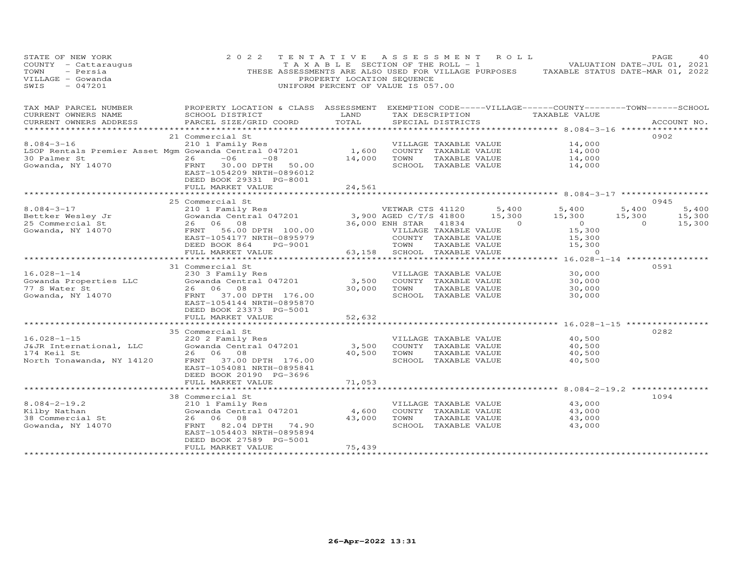| STATE OF NEW YORK<br>COUNTY - Cattaraugus<br>- Persia<br>TOWN<br>VILLAGE - Gowanda<br>$-047201$<br>SWIS | 2 0 2 2                                                                                                                | TENTATIVE ASSESSMENT ROLL<br>T A X A B L E SECTION OF THE ROLL - 1<br>PROPERTY LOCATION SEQUENCE<br>UNIFORM PERCENT OF VALUE IS 057.00 |                               |                                               |          | VALUATION DATE-JUL 01, 2021<br>THESE ASSESSMENTS ARE ALSO USED FOR VILLAGE PURPOSES TAXABLE STATUS DATE-MAR 01, 2022 |                | PAGE        | 40     |
|---------------------------------------------------------------------------------------------------------|------------------------------------------------------------------------------------------------------------------------|----------------------------------------------------------------------------------------------------------------------------------------|-------------------------------|-----------------------------------------------|----------|----------------------------------------------------------------------------------------------------------------------|----------------|-------------|--------|
| TAX MAP PARCEL NUMBER<br>CURRENT OWNERS NAME                                                            | PROPERTY LOCATION & CLASS ASSESSMENT EXEMPTION CODE-----VILLAGE------COUNTY--------TOWN------SCHOOL<br>SCHOOL DISTRICT | LAND                                                                                                                                   |                               |                                               |          | TAX DESCRIPTION TAXABLE VALUE                                                                                        |                |             |        |
| CURRENT OWNERS ADDRESS                                                                                  | PARCEL SIZE/GRID COORD                                                                                                 | TOTAL                                                                                                                                  |                               | SPECIAL DISTRICTS                             |          |                                                                                                                      |                | ACCOUNT NO. |        |
|                                                                                                         | 21 Commercial St                                                                                                       |                                                                                                                                        |                               |                                               |          |                                                                                                                      |                | 0902        |        |
| $8.084 - 3 - 16$                                                                                        | 210 1 Family Res                                                                                                       |                                                                                                                                        |                               | VILLAGE TAXABLE VALUE                         |          | 14,000                                                                                                               |                |             |        |
| LSOP Rentals Premier Asset Mgm Gowanda Central 047201                                                   |                                                                                                                        | 1,600                                                                                                                                  | COUNTY TAXABLE VALUE          |                                               |          | 14,000                                                                                                               |                |             |        |
| 30 Palmer St                                                                                            | $26 -06 -08$                                                                                                           | 14,000                                                                                                                                 | TOWN                          | TAXABLE VALUE                                 |          | 14,000                                                                                                               |                |             |        |
| Gowanda, NY 14070                                                                                       | FRNT 30.00 DPTH 50.00<br>EAST-1054209 NRTH-0896012<br>DEED BOOK 29331 PG-8001<br>FULL MARKET VALUE                     | 24,561                                                                                                                                 |                               | SCHOOL TAXABLE VALUE                          |          | 14,000                                                                                                               |                |             |        |
|                                                                                                         |                                                                                                                        |                                                                                                                                        |                               |                                               |          |                                                                                                                      |                |             |        |
|                                                                                                         | 25 Commercial St                                                                                                       |                                                                                                                                        |                               |                                               |          |                                                                                                                      |                | 0945        |        |
| $8.084 - 3 - 17$                                                                                        | 210 1 Family Res                                                                                                       |                                                                                                                                        | VETWAR CTS 41120              |                                               | 5,400    | 5,400                                                                                                                | 5,400          |             | 5,400  |
| Bettker Wesley Jr                                                                                       | ZIO I Family Res<br>Gowanda Central 047201                                                                             |                                                                                                                                        | 3,900 AGED C/T/S 41800 15,300 |                                               |          | 15,300                                                                                                               | 15,300         |             | 15,300 |
| 25 Commercial St                                                                                        | 26 06 08                                                                                                               |                                                                                                                                        | 36,000 ENH STAR               | 41834                                         | $\sim$ 0 | $\sim$ 0                                                                                                             | $\overline{0}$ |             | 15,300 |
| Gowanda, NY 14070                                                                                       | FRNT 56.00 DPTH 100.00                                                                                                 |                                                                                                                                        | VILLAGE TAXABLE VALUE         |                                               |          | 15,300                                                                                                               |                |             |        |
|                                                                                                         | EAST-1054177 NRTH-0895979                                                                                              |                                                                                                                                        | COUNTY TAXABLE VALUE          |                                               |          | 15,300                                                                                                               |                |             |        |
|                                                                                                         | DEED BOOK 864<br>PG-9001                                                                                               |                                                                                                                                        | TOWN                          | TAXABLE VALUE                                 |          | 15,300                                                                                                               |                |             |        |
|                                                                                                         | FULL MARKET VALUE<br>***********************                                                                           | ******************************                                                                                                         | 63,158 SCHOOL TAXABLE VALUE   |                                               |          | $\Omega$<br>************** 16.028-1-14 ***************                                                               |                |             |        |
|                                                                                                         | 31 Commercial St                                                                                                       |                                                                                                                                        |                               |                                               |          |                                                                                                                      |                | 0591        |        |
| $16.028 - 1 - 14$                                                                                       | 230 3 Family Res                                                                                                       |                                                                                                                                        |                               | VILLAGE TAXABLE VALUE                         |          | 30,000                                                                                                               |                |             |        |
| Gowanda Properties LLC                                                                                  | Gowanda Central 047201                                                                                                 | 3,500                                                                                                                                  | COUNTY TAXABLE VALUE          |                                               |          | 30,000                                                                                                               |                |             |        |
| 77 S Water St                                                                                           | 26 06 08                                                                                                               | 30,000                                                                                                                                 | TOWN                          | TAXABLE VALUE                                 |          | 30,000                                                                                                               |                |             |        |
| Gowanda, NY 14070                                                                                       | FRNT 37.00 DPTH 176.00                                                                                                 |                                                                                                                                        |                               | SCHOOL TAXABLE VALUE                          |          | 30,000                                                                                                               |                |             |        |
|                                                                                                         | EAST-1054144 NRTH-0895870                                                                                              |                                                                                                                                        |                               |                                               |          |                                                                                                                      |                |             |        |
|                                                                                                         | DEED BOOK 23373 PG-5001                                                                                                |                                                                                                                                        |                               |                                               |          |                                                                                                                      |                |             |        |
|                                                                                                         | FULL MARKET VALUE                                                                                                      | 52,632                                                                                                                                 |                               |                                               |          |                                                                                                                      |                |             |        |
|                                                                                                         | **********************                                                                                                 | ************                                                                                                                           |                               |                                               |          | ************************ 16.028-1-15 *****************                                                               |                |             |        |
|                                                                                                         | 35 Commercial St                                                                                                       |                                                                                                                                        |                               |                                               |          |                                                                                                                      |                | 0282        |        |
| $16.028 - 1 - 15$<br>J&JR International, LLC                                                            | 220 2 Family Res<br>Gowanda Central 047201                                                                             | 3,500                                                                                                                                  |                               | VILLAGE TAXABLE VALUE<br>COUNTY TAXABLE VALUE |          | 40,500<br>40,500                                                                                                     |                |             |        |
| 174 Keil St                                                                                             | 26 06 08                                                                                                               | 40,500                                                                                                                                 | TOWN                          | TAXABLE VALUE                                 |          | 40,500                                                                                                               |                |             |        |
| North Tonawanda, NY 14120                                                                               | 37.00 DPTH 176.00<br>FRNT                                                                                              |                                                                                                                                        |                               | SCHOOL TAXABLE VALUE                          |          | 40,500                                                                                                               |                |             |        |
|                                                                                                         | EAST-1054081 NRTH-0895841                                                                                              |                                                                                                                                        |                               |                                               |          |                                                                                                                      |                |             |        |
|                                                                                                         | DEED BOOK 20190 PG-3696                                                                                                |                                                                                                                                        |                               |                                               |          |                                                                                                                      |                |             |        |
|                                                                                                         | FULL MARKET VALUE                                                                                                      | 71,053                                                                                                                                 |                               |                                               |          |                                                                                                                      |                |             |        |
|                                                                                                         | **********************                                                                                                 |                                                                                                                                        |                               |                                               |          | **************** 8.084-2-19.2 ***********                                                                            |                |             |        |
|                                                                                                         | 38 Commercial St                                                                                                       |                                                                                                                                        |                               |                                               |          |                                                                                                                      |                | 1094        |        |
| $8.084 - 2 - 19.2$                                                                                      | 210 1 Family Res                                                                                                       |                                                                                                                                        |                               | VILLAGE TAXABLE VALUE                         |          | 43,000                                                                                                               |                |             |        |
| Kilby Nathan                                                                                            | Gowanda Central 047201                                                                                                 | 4,600                                                                                                                                  | COUNTY TAXABLE VALUE          |                                               |          | 43,000                                                                                                               |                |             |        |
| 38 Commercial St<br>Gowanda, NY 14070                                                                   | 26 06 08<br>82.04 DPTH 74.90<br>FRNT                                                                                   | 43,000                                                                                                                                 | TOWN                          | TAXABLE VALUE<br>SCHOOL TAXABLE VALUE         |          | 43,000<br>43,000                                                                                                     |                |             |        |
|                                                                                                         | EAST-1054403 NRTH-0895894                                                                                              |                                                                                                                                        |                               |                                               |          |                                                                                                                      |                |             |        |
|                                                                                                         | DEED BOOK 27589 PG-5001                                                                                                |                                                                                                                                        |                               |                                               |          |                                                                                                                      |                |             |        |
|                                                                                                         | FULL MARKET VALUE                                                                                                      | 75,439                                                                                                                                 |                               |                                               |          |                                                                                                                      |                |             |        |
| ***********************                                                                                 | ************************                                                                                               | ******************                                                                                                                     |                               |                                               |          |                                                                                                                      |                |             |        |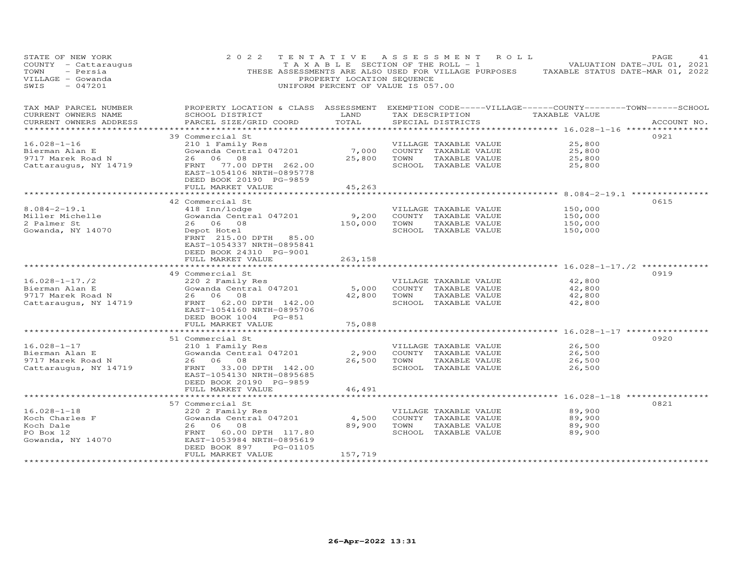| STATE OF NEW YORK<br>COUNTY - Cattaraugus<br>- Persia<br>TOWN<br>VILLAGE - Gowanda<br>$-047201$<br>SWIS | 2 0 2 2                                                                                                                                                                             | PROPERTY LOCATION SEQUENCE<br>UNIFORM PERCENT OF VALUE IS 057.00 |             | TENTATIVE ASSESSMENT ROLL<br>T A X A B L E SECTION OF THE ROLL - 1                     | THESE ASSESSMENTS ARE ALSO USED FOR VILLAGE PURPOSES TAXABLE STATUS DATE-MAR 01, 2022 | PAGE<br>41<br>VALUATION DATE-JUL 01, 2021 |
|---------------------------------------------------------------------------------------------------------|-------------------------------------------------------------------------------------------------------------------------------------------------------------------------------------|------------------------------------------------------------------|-------------|----------------------------------------------------------------------------------------|---------------------------------------------------------------------------------------|-------------------------------------------|
| TAX MAP PARCEL NUMBER<br>CURRENT OWNERS NAME<br>CURRENT OWNERS ADDRESS                                  | PROPERTY LOCATION & CLASS ASSESSMENT EXEMPTION CODE-----VILLAGE------COUNTY-------TOWN------SCHOOL<br>SCHOOL DISTRICT<br>PARCEL SIZE/GRID COORD                                     | LAND<br>TOTAL                                                    |             | SPECIAL DISTRICTS                                                                      | TAX DESCRIPTION TAXABLE VALUE                                                         | ACCOUNT NO.                               |
| ***************                                                                                         |                                                                                                                                                                                     |                                                                  |             |                                                                                        | *************************** 16.028-1-16 ****************                              |                                           |
| $16.028 - 1 - 16$<br>Bierman Alan E<br>9717 Marek Road N<br>Catter<br>Cattaraugus, NY 14719             | 39 Commercial St<br>210 1 Family Res<br>Gowanda Central 047201<br>26 06 08<br>FRNT 77.00 DPTH 262.00<br>EAST-1054106 NRTH-0895778                                                   | 7,000<br>25,800                                                  | TOWN        | VILLAGE TAXABLE VALUE<br>COUNTY TAXABLE VALUE<br>TAXABLE VALUE<br>SCHOOL TAXABLE VALUE | 25,800<br>25,800<br>25,800<br>25,800                                                  | 0921                                      |
|                                                                                                         | DEED BOOK 20190 PG-9859<br>FULL MARKET VALUE                                                                                                                                        | 45,263                                                           |             |                                                                                        |                                                                                       |                                           |
|                                                                                                         |                                                                                                                                                                                     |                                                                  |             |                                                                                        | ********************* 8.084-2-19.1 ****************                                   |                                           |
| $8.084 - 2 - 19.1$<br>Miller Michelle<br>2 Palmer St<br>Gowanda, NY 14070                               | 42 Commercial St<br>418 Inn/lodge<br>Gowanda Central 047201<br>26 06 08<br>Depot Hotel<br>FRNT 215.00 DPTH 85.00<br>EAST-1054337 NRTH-0895841                                       | 9,200<br>150,000                                                 | TOWN        | VILLAGE TAXABLE VALUE<br>COUNTY TAXABLE VALUE<br>TAXABLE VALUE<br>SCHOOL TAXABLE VALUE | 150,000<br>150,000<br>150,000<br>150,000                                              | 0615                                      |
|                                                                                                         | DEED BOOK 24310 PG-9001<br>FULL MARKET VALUE                                                                                                                                        | 263,158                                                          |             |                                                                                        | ************** 16.028-1-17./2 *********                                               |                                           |
| $16.028 - 1 - 17.72$<br>Bierman Alan E<br>9717 Marek Road N<br>Cattaraugus, NY 14719                    | 49 Commercial St<br>220 2 Family Res<br>Gowanda Central 047201<br>26 06 08<br>FRNT 62.00 DPTH 142.00<br>EAST-1054160 NRTH-0895706                                                   | 5,000<br>42,800                                                  | TOWN        | VILLAGE TAXABLE VALUE<br>COUNTY TAXABLE VALUE<br>TAXABLE VALUE<br>SCHOOL TAXABLE VALUE | 42,800<br>42,800<br>42,800<br>42,800                                                  | 0919                                      |
|                                                                                                         | DEED BOOK 1004 PG-851                                                                                                                                                               |                                                                  |             |                                                                                        |                                                                                       |                                           |
|                                                                                                         | FULL MARKET VALUE<br>51 Commercial St                                                                                                                                               | 75,088                                                           |             |                                                                                        |                                                                                       | 0920                                      |
| $16.028 - 1 - 17$<br>Bierman Alan E<br>9717 Marek Road N<br>Cattaraugus, NY 14719                       | 210 1 Family Res<br>Gowanda Central 047201<br>26 06 08<br>FRNT<br>33.00 DPTH 142.00<br>EAST-1054130 NRTH-0895685<br>DEED BOOK 20190 PG-9859                                         | 2,900                                                            | 26,500 TOWN | VILLAGE TAXABLE VALUE<br>COUNTY TAXABLE VALUE<br>TAXABLE VALUE<br>SCHOOL TAXABLE VALUE | 26,500<br>26,500<br>26,500<br>26,500                                                  |                                           |
|                                                                                                         | FULL MARKET VALUE<br>*******************************                                                                                                                                | 46,491                                                           |             |                                                                                        |                                                                                       |                                           |
| $16.028 - 1 - 18$<br>Koch Charles F<br>Koch Dale<br>PO Box 12<br>Gowanda, NY 14070                      | 57 Commercial St<br>220 2 Family Res<br>Gowanda Central 047201<br>26 06 08<br>FRNT 60.00 DPTH 117.80<br>EAST-1053984 NRTH-0895619<br>DEED BOOK 897<br>PG-01105<br>FULL MARKET VALUE | 4,500<br>89,900<br>157,719                                       | TOWN        | VILLAGE TAXABLE VALUE<br>COUNTY TAXABLE VALUE<br>TAXABLE VALUE<br>SCHOOL TAXABLE VALUE | 89,900<br>89,900<br>89,900<br>89,900                                                  | 0821                                      |
|                                                                                                         |                                                                                                                                                                                     |                                                                  |             |                                                                                        |                                                                                       |                                           |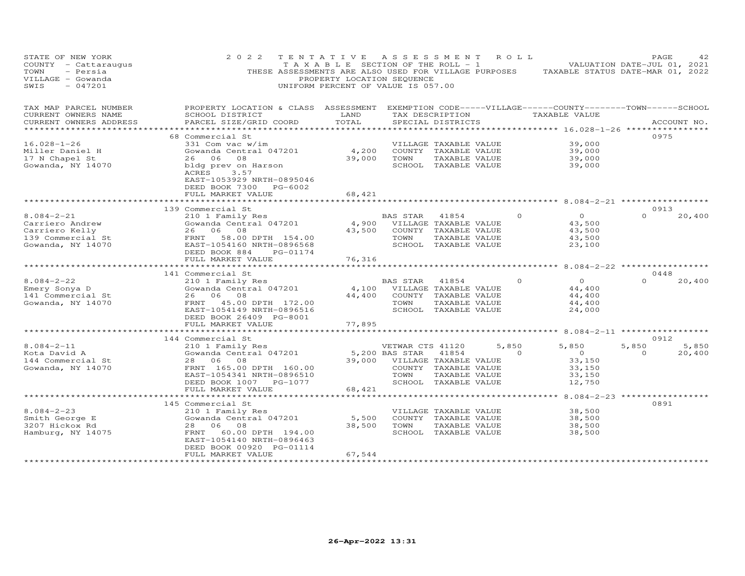| STATE OF NEW YORK<br>COUNTY - Cattaraugus<br>TOWN<br>- Persia<br>VILLAGE - Gowanda<br>$-047201$<br>SWIS | 2 0 2 2<br>THESE ASSESSMENTS ARE ALSO USED FOR VILLAGE PURPOSES TAXABLE STATUS DATE-MAR 01, 2022                                                                                               | TENTATIVE<br>T A X A B L E SECTION OF THE ROLL - 1<br>PROPERTY LOCATION SEQUENCE<br>UNIFORM PERCENT OF VALUE IS 057.00 | ASSESSMENT                                 |                                                                                                 | ROLL ROMAN |                                                            | VALUATION DATE-JUL 01, 2021                     | PAGE             | 42              |
|---------------------------------------------------------------------------------------------------------|------------------------------------------------------------------------------------------------------------------------------------------------------------------------------------------------|------------------------------------------------------------------------------------------------------------------------|--------------------------------------------|-------------------------------------------------------------------------------------------------|------------|------------------------------------------------------------|-------------------------------------------------|------------------|-----------------|
| TAX MAP PARCEL NUMBER<br>CURRENT OWNERS NAME<br>CURRENT OWNERS ADDRESS                                  | PROPERTY LOCATION & CLASS ASSESSMENT EXEMPTION CODE-----VILLAGE------COUNTY--------TOWN------SCHOOL<br>SCHOOL DISTRICT<br>PARCEL SIZE/GRID COORD                                               | LAND<br>TOTAL<br>***********                                                                                           |                                            | TAX DESCRIPTION<br>SPECIAL DISTRICTS                                                            |            | TAXABLE VALUE<br>************ 16.028-1-26 **************** |                                                 | ACCOUNT NO.      |                 |
| $16.028 - 1 - 26$<br>Miller Daniel H<br>17 N Chapel St<br>Gowanda, NY 14070                             | 68 Commercial St<br>331 Com vac w/im<br>Gowanda Central 047201<br>26 06 08<br>bldg prev on Harson<br>ACRES<br>3.57<br>EAST-1053929 NRTH-0895046<br>DEED BOOK 7300 PG-6002<br>FULL MARKET VALUE | 4,200<br>39,000<br>68,421                                                                                              | TOWN                                       | VILLAGE TAXABLE VALUE<br>COUNTY TAXABLE VALUE<br>TAXABLE VALUE<br>SCHOOL TAXABLE VALUE          |            |                                                            | 39,000<br>39,000<br>39,000<br>39,000            | 0975             |                 |
|                                                                                                         |                                                                                                                                                                                                | ************                                                                                                           |                                            |                                                                                                 |            | ******************** 8.084-2-21 **************             |                                                 |                  |                 |
| $8.084 - 2 - 21$<br>Carriero Andrew<br>Carriero Kelly<br>139 Commercial St<br>Gowanda, NY 14070         | 139 Commercial St<br>210 1 Family Res<br>Gowanda Central 047201<br>26 06 08<br>FRNT 58.00 DPTH 154.00<br>EAST-1054160 NRTH-0896568<br>DEED BOOK 884<br>PG-01174<br>FULL MARKET VALUE           | 4,900<br>43,500<br>76,316                                                                                              | BAS STAR<br>TOWN                           | 41854<br>VILLAGE TAXABLE VALUE<br>COUNTY TAXABLE VALUE<br>TAXABLE VALUE<br>SCHOOL TAXABLE VALUE |            | $\Omega$                                                   | $\circ$<br>43,500<br>43,500<br>43,500<br>23,100 | 0913<br>$\Omega$ | 20,400          |
|                                                                                                         |                                                                                                                                                                                                | ********                                                                                                               |                                            |                                                                                                 |            |                                                            | $8.084 - 2 - 22$ *************                  |                  |                 |
| $8.084 - 2 - 22$<br>Emery Sonya D<br>141 Commercial St<br>Gowanda, NY 14070                             | 141 Commercial St<br>210 1 Family Res<br>Gowanda Central 047201<br>26 06<br>08<br>FRNT 45.00 DPTH 172.00<br>EAST-1054149 NRTH-0896516<br>DEED BOOK 26409 PG-8001                               | 4,100<br>44,400                                                                                                        | BAS STAR<br>TOWN                           | 41854<br>VILLAGE TAXABLE VALUE<br>COUNTY TAXABLE VALUE<br>TAXABLE VALUE<br>SCHOOL TAXABLE VALUE |            | $\overline{O}$<br>$\Omega$                                 | 44,400<br>44,400<br>44,400<br>24,000            | 0448<br>$\Omega$ | 20,400          |
|                                                                                                         | FULL MARKET VALUE<br>**********************                                                                                                                                                    | 77,895<br>************                                                                                                 |                                            |                                                                                                 |            |                                                            |                                                 |                  |                 |
|                                                                                                         | 144 Commercial St                                                                                                                                                                              |                                                                                                                        |                                            |                                                                                                 |            | ********** 8.084-2-11 ******************                   |                                                 | 0912             |                 |
| $8.084 - 2 - 11$<br>Kota David A<br>144 Commercial St<br>Gowanda, NY 14070                              | 210 1 Family Res<br>Gowanda Central 047201<br>28 06 08<br>FRNT 165.00 DPTH 160.00<br>EAST-1054341 NRTH-0896510<br>DEED BOOK 1007 PG-1077<br>FULL MARKET VALUE                                  | 39,000<br>68,421                                                                                                       | VETWAR CTS 41120<br>5,200 BAS STAR<br>TOWN | 41854<br>VILLAGE TAXABLE VALUE<br>COUNTY TAXABLE VALUE<br>TAXABLE VALUE<br>SCHOOL TAXABLE VALUE | 5,850      | 5,850<br>$\Omega$<br>$\overline{0}$                        | 5,850<br>33,150<br>33,150<br>33,150<br>12,750   | $\Omega$         | 5,850<br>20,400 |
|                                                                                                         |                                                                                                                                                                                                |                                                                                                                        |                                            |                                                                                                 |            | ******** 8.084-2-23 ***********                            |                                                 |                  |                 |
| $8.084 - 2 - 23$<br>Smith George E<br>3207 Hickox Rd<br>Hamburg, NY 14075                               | 145 Commercial St<br>210 1 Family Res<br>Gowanda Central 047201<br>28 06 08<br>60.00 DPTH 194.00<br>FRNT<br>EAST-1054140 NRTH-0896463<br>DEED BOOK 00920 PG-01114                              | 5,500<br>38,500                                                                                                        | TOWN                                       | VILLAGE TAXABLE VALUE<br>COUNTY TAXABLE VALUE<br>TAXABLE VALUE<br>SCHOOL TAXABLE VALUE          |            |                                                            | 38,500<br>38,500<br>38,500<br>38,500            | 0891             |                 |
|                                                                                                         | FULL MARKET VALUE                                                                                                                                                                              | 67,544                                                                                                                 |                                            |                                                                                                 |            |                                                            |                                                 |                  |                 |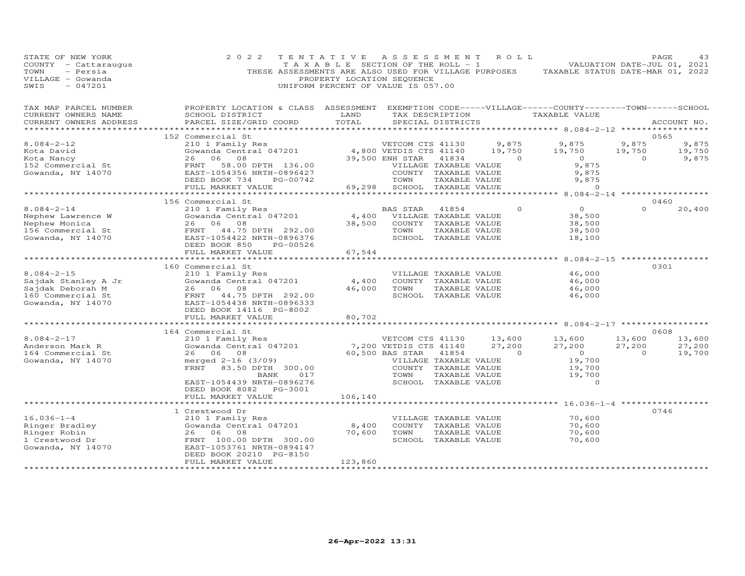| STATE OF NEW YORK<br>COUNTY - Cattaraugus<br>TOWN<br>- Persia<br>VILLAGE - Gowanda<br>SWIS<br>$-047201$ | 2 0 2 2                                                                                                                                                                           | TENTATIVE<br>TAXABLE SECTION OF THE ROLL - 1<br>THESE ASSESSMENTS ARE ALSO USED FOR VILLAGE PURPOSES<br>PROPERTY LOCATION SEQUENCE<br>UNIFORM PERCENT OF VALUE IS 057.00 | A S S E S S M E N T                                                                                                                            |                        | ROLL                               | TAXABLE STATUS DATE-MAR 01, 2022                                                |                                    | PAGE<br>43<br>VALUATION DATE-JUL 01, 2021 |
|---------------------------------------------------------------------------------------------------------|-----------------------------------------------------------------------------------------------------------------------------------------------------------------------------------|--------------------------------------------------------------------------------------------------------------------------------------------------------------------------|------------------------------------------------------------------------------------------------------------------------------------------------|------------------------|------------------------------------|---------------------------------------------------------------------------------|------------------------------------|-------------------------------------------|
| TAX MAP PARCEL NUMBER<br>CURRENT OWNERS NAME<br>CURRENT OWNERS ADDRESS<br>*********************         | PROPERTY LOCATION & CLASS ASSESSMENT<br>SCHOOL DISTRICT<br>PARCEL SIZE/GRID COORD                                                                                                 | LAND<br>TOTAL                                                                                                                                                            | TAX DESCRIPTION<br>SPECIAL DISTRICTS                                                                                                           |                        |                                    | EXEMPTION CODE-----VILLAGE------COUNTY--------TOWN------SCHOOL<br>TAXABLE VALUE |                                    | ACCOUNT NO.                               |
|                                                                                                         | 152 Commercial St                                                                                                                                                                 |                                                                                                                                                                          |                                                                                                                                                |                        |                                    |                                                                                 |                                    | 0565                                      |
| $8.084 - 2 - 12$<br>Kota David                                                                          | 210 1 Family Res<br>Gowanda Central 047201                                                                                                                                        |                                                                                                                                                                          | VETCOM CTS 41130<br>4,800 VETDIS CTS 41140                                                                                                     |                        | 9,875<br>19,750                    | 9,875<br>19,750                                                                 | 9,875<br>19,750                    | 9,875<br>19,750                           |
| Kota Nancy<br>152 Commercial St<br>Gowanda, NY 14070                                                    | 26<br>06<br>08<br>FRNT<br>58.00 DPTH 136.00<br>EAST-1054356 NRTH-0896427<br>DEED BOOK 734<br>PG-00742                                                                             |                                                                                                                                                                          | 39,500 ENH STAR<br>VILLAGE TAXABLE VALUE<br>COUNTY TAXABLE VALUE<br>TOWN                                                                       | 41834<br>TAXABLE VALUE | $\circ$                            | $\overline{0}$<br>9,875<br>9,875<br>9,875                                       | $\circ$                            | 9,875                                     |
|                                                                                                         | FULL MARKET VALUE                                                                                                                                                                 | 69,298                                                                                                                                                                   | SCHOOL TAXABLE VALUE                                                                                                                           |                        |                                    | $\Omega$<br>8.084-2-14 ***************                                          |                                    |                                           |
|                                                                                                         | 156 Commercial St                                                                                                                                                                 |                                                                                                                                                                          |                                                                                                                                                |                        |                                    |                                                                                 |                                    | 0460                                      |
| $8.084 - 2 - 14$<br>Nephew Lawrence W<br>Nephew Monica<br>156 Commercial St<br>Gowanda, NY 14070        | 210 1 Family Res<br>Gowanda Central 047201<br>26 06 08<br>FRNT<br>44.75 DPTH 292.00<br>EAST-1054422 NRTH-0896376<br>DEED BOOK 850<br>PG-00526                                     | 4,400<br>38,500                                                                                                                                                          | BAS STAR<br>VILLAGE TAXABLE VALUE<br>COUNTY TAXABLE VALUE<br>TOWN<br>SCHOOL TAXABLE VALUE                                                      | 41854<br>TAXABLE VALUE | $\circ$                            | $\circ$<br>38,500<br>38,500<br>38,500<br>18,100                                 | $\Omega$                           | 20,400                                    |
|                                                                                                         | FULL MARKET VALUE                                                                                                                                                                 | 67,544                                                                                                                                                                   |                                                                                                                                                |                        |                                    |                                                                                 |                                    |                                           |
|                                                                                                         |                                                                                                                                                                                   | ************                                                                                                                                                             |                                                                                                                                                |                        |                                    | ************** 8.084-2-15 ****************                                      |                                    |                                           |
| $8.084 - 2 - 15$<br>Sajdak Stanley A Jr<br>Sajdak Deborah M<br>160 Commercial St<br>Gowanda, NY 14070   | 160 Commercial St<br>210 1 Family Res<br>Gowanda Central 047201<br>26<br>06<br>08<br>FRNT 44.75 DPTH 292.00<br>EAST-1054438 NRTH-0896333                                          | 4,400<br>46,000                                                                                                                                                          | VILLAGE TAXABLE VALUE<br>COUNTY TAXABLE VALUE<br>TOWN<br>SCHOOL TAXABLE VALUE                                                                  | TAXABLE VALUE          |                                    | 46,000<br>46,000<br>46,000<br>46,000                                            |                                    | 0301                                      |
|                                                                                                         | DEED BOOK 14116 PG-8002<br>FULL MARKET VALUE                                                                                                                                      |                                                                                                                                                                          |                                                                                                                                                |                        |                                    |                                                                                 |                                    |                                           |
|                                                                                                         | *************************                                                                                                                                                         | 80,702                                                                                                                                                                   |                                                                                                                                                |                        |                                    |                                                                                 |                                    |                                           |
|                                                                                                         | 164 Commercial St                                                                                                                                                                 |                                                                                                                                                                          |                                                                                                                                                |                        |                                    |                                                                                 |                                    | 0608                                      |
| $8.084 - 2 - 17$<br>Anderson Mark R<br>164 Commercial St<br>Gowanda, NY 14070                           | 210 1 Family Res<br>Gowanda Central 047201<br>26 06 08<br>merged $2-16$ (3/09)<br>FRNT 83.50 DPTH 300.00<br>BANK<br>017<br>EAST-1054439 NRTH-0896276<br>DEED BOOK 8082<br>PG-3001 |                                                                                                                                                                          | VETCOM CTS 41130<br>7,200 VETDIS CTS 41140<br>60,500 BAS STAR<br>VILLAGE TAXABLE VALUE<br>COUNTY TAXABLE VALUE<br>TOWN<br>SCHOOL TAXABLE VALUE | 41854<br>TAXABLE VALUE | 13,600<br>27,200<br>$\overline{0}$ | 13,600<br>27,200<br>$\overline{a}$<br>19,700<br>19,700<br>19,700<br>$\Omega$    | 13,600<br>27,200<br>$\overline{a}$ | 13,600<br>27,200<br>19,700                |
|                                                                                                         | FULL MARKET VALUE                                                                                                                                                                 | 106,140                                                                                                                                                                  |                                                                                                                                                |                        |                                    |                                                                                 |                                    |                                           |
|                                                                                                         |                                                                                                                                                                                   |                                                                                                                                                                          |                                                                                                                                                |                        |                                    |                                                                                 |                                    |                                           |
| $16.036 - 1 - 4$<br>Ringer Bradley<br>Ringer Robin<br>1 Crestwood Dr<br>Gowanda, NY 14070               | 1 Crestwood Dr<br>210 1 Family Res<br>Gowanda Central 047201<br>26 06<br>08<br>FRNT 100.00 DPTH 300.00<br>EAST-1053761 NRTH-0894147<br>DEED BOOK 20210 PG-8150                    | 8,400<br>70,600                                                                                                                                                          | VILLAGE TAXABLE VALUE<br>COUNTY TAXABLE VALUE<br>TOWN<br>SCHOOL TAXABLE VALUE                                                                  | TAXABLE VALUE          |                                    | 70,600<br>70,600<br>70,600<br>70,600                                            |                                    | 0746                                      |
|                                                                                                         | FULL MARKET VALUE<br>************************                                                                                                                                     | 123,860<br>* * * * * * * * * * * * * * *                                                                                                                                 |                                                                                                                                                |                        |                                    |                                                                                 |                                    |                                           |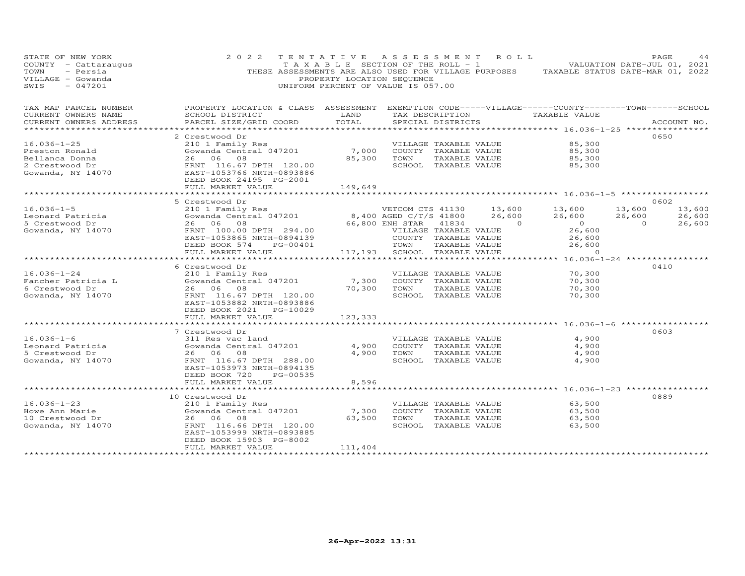| STATE OF NEW YORK<br>COUNTY - Cattaraugus<br>TOWN<br>- Persia<br>VILLAGE - Gowanda<br>$-047201$<br>SWIS | 2 0 2 2                                                                                                                | TENTATIVE ASSESSMENT<br>T A X A B L E SECTION OF THE ROLL - 1<br>PROPERTY LOCATION SEQUENCE<br>UNIFORM PERCENT OF VALUE IS 057.00 |                                               |               | R O L L          | THESE ASSESSMENTS ARE ALSO USED FOR VILLAGE PURPOSES TAXABLE STATUS DATE-MAR 01, 2022 | VALUATION DATE-JUL 01, 2021 | PAGE<br>44       |
|---------------------------------------------------------------------------------------------------------|------------------------------------------------------------------------------------------------------------------------|-----------------------------------------------------------------------------------------------------------------------------------|-----------------------------------------------|---------------|------------------|---------------------------------------------------------------------------------------|-----------------------------|------------------|
| TAX MAP PARCEL NUMBER<br>CURRENT OWNERS NAME                                                            | PROPERTY LOCATION & CLASS ASSESSMENT EXEMPTION CODE-----VILLAGE------COUNTY--------TOWN------SCHOOL<br>SCHOOL DISTRICT | LAND                                                                                                                              | TAX DESCRIPTION                               |               |                  | TAXABLE VALUE                                                                         |                             |                  |
| CURRENT OWNERS ADDRESS                                                                                  | PARCEL SIZE/GRID COORD                                                                                                 | TOTAL                                                                                                                             | SPECIAL DISTRICTS                             |               |                  |                                                                                       |                             | ACCOUNT NO.      |
|                                                                                                         |                                                                                                                        |                                                                                                                                   |                                               |               |                  |                                                                                       |                             |                  |
| $16.036 - 1 - 25$                                                                                       | 2 Crestwood Dr<br>210 1 Family Res                                                                                     |                                                                                                                                   |                                               |               |                  | 85,300                                                                                |                             | 0650             |
| Preston Ronald                                                                                          | Gowanda Central 047201                                                                                                 | 7,000                                                                                                                             | VILLAGE TAXABLE VALUE<br>COUNTY TAXABLE VALUE |               |                  | 85,300                                                                                |                             |                  |
| Bellanca Donna                                                                                          | 26 06 08                                                                                                               | 85,300                                                                                                                            | TOWN                                          | TAXABLE VALUE |                  | 85,300                                                                                |                             |                  |
| 2 Crestwood Dr                                                                                          | FRNT 116.67 DPTH 120.00                                                                                                |                                                                                                                                   | SCHOOL TAXABLE VALUE                          |               |                  | 85,300                                                                                |                             |                  |
| Gowanda, NY 14070                                                                                       | EAST-1053766 NRTH-0893886<br>DEED BOOK 24195 PG-2001                                                                   |                                                                                                                                   |                                               |               |                  |                                                                                       |                             |                  |
|                                                                                                         | FULL MARKET VALUE                                                                                                      | 149,649                                                                                                                           |                                               |               |                  |                                                                                       |                             |                  |
|                                                                                                         | *********************                                                                                                  |                                                                                                                                   |                                               |               |                  |                                                                                       |                             |                  |
|                                                                                                         | 5 Crestwood Dr                                                                                                         |                                                                                                                                   |                                               |               |                  |                                                                                       |                             | 0602             |
| $16.036 - 1 - 5$<br>Leonard Patricia                                                                    | 210 1 Family Res<br>Gowanda Central 047201                                                                             |                                                                                                                                   | VETCOM CTS 41130<br>8,400 AGED C/T/S 41800    |               | 13,600<br>26,600 | 13,600<br>26,600                                                                      | 13,600<br>26,600            | 13,600<br>26,600 |
| 5 Crestwood Dr                                                                                          | 26 06 08                                                                                                               |                                                                                                                                   | 66,800 ENH STAR                               | 41834         | $\sim$ 0         | $\overline{0}$                                                                        | $\overline{0}$              | 26,600           |
| Gowanda, NY 14070                                                                                       | FRNT 100.00 DPTH 294.00                                                                                                |                                                                                                                                   | VILLAGE TAXABLE VALUE                         |               |                  | 26,600                                                                                |                             |                  |
|                                                                                                         | EAST-1053865 NRTH-0894139                                                                                              |                                                                                                                                   | COUNTY TAXABLE VALUE                          |               |                  | 26,600                                                                                |                             |                  |
|                                                                                                         | DEED BOOK 574<br>PG-00401                                                                                              |                                                                                                                                   | TOWN                                          | TAXABLE VALUE |                  | 26,600                                                                                |                             |                  |
|                                                                                                         | FULL MARKET VALUE                                                                                                      | 117,193                                                                                                                           | SCHOOL TAXABLE VALUE                          |               |                  | $\Omega$                                                                              |                             |                  |
|                                                                                                         | *******************                                                                                                    | *****************                                                                                                                 |                                               |               |                  | ************** 16.036-1-24 ***********                                                |                             |                  |
|                                                                                                         | 6 Crestwood Dr                                                                                                         |                                                                                                                                   |                                               |               |                  |                                                                                       |                             | 0410             |
| $16.036 - 1 - 24$                                                                                       | 210 1 Family Res                                                                                                       |                                                                                                                                   | VILLAGE TAXABLE VALUE                         |               |                  | 70,300                                                                                |                             |                  |
| Fancher Patricia L                                                                                      | Gowanda Central 047201                                                                                                 | 7,300                                                                                                                             | COUNTY TAXABLE VALUE                          |               |                  | 70,300                                                                                |                             |                  |
| 6 Crestwood Dr                                                                                          | 26 06 08                                                                                                               | 70,300                                                                                                                            | TOWN                                          | TAXABLE VALUE |                  | 70,300                                                                                |                             |                  |
| Gowanda, NY 14070                                                                                       | FRNT 116.67 DPTH 120.00                                                                                                |                                                                                                                                   | SCHOOL TAXABLE VALUE                          |               |                  | 70,300                                                                                |                             |                  |
|                                                                                                         | EAST-1053882 NRTH-0893886                                                                                              |                                                                                                                                   |                                               |               |                  |                                                                                       |                             |                  |
|                                                                                                         | DEED BOOK 2021<br>PG-10029                                                                                             |                                                                                                                                   |                                               |               |                  |                                                                                       |                             |                  |
|                                                                                                         | FULL MARKET VALUE                                                                                                      | 123,333<br>* * * * * * * * * * * * *                                                                                              |                                               |               |                  | *********************** 16.036-1-6 ***********                                        |                             |                  |
|                                                                                                         | 7 Crestwood Dr                                                                                                         |                                                                                                                                   |                                               |               |                  |                                                                                       |                             | 0603             |
| $16.036 - 1 - 6$                                                                                        | 311 Res vac land                                                                                                       |                                                                                                                                   | VILLAGE TAXABLE VALUE                         |               |                  | 4,900                                                                                 |                             |                  |
| Leonard Patricia                                                                                        | Gowanda Central 047201                                                                                                 | 4,900                                                                                                                             | COUNTY TAXABLE VALUE                          |               |                  | 4,900                                                                                 |                             |                  |
| 5 Crestwood Dr                                                                                          | 26 06 08                                                                                                               | 4,900                                                                                                                             | TOWN                                          | TAXABLE VALUE |                  | 4,900                                                                                 |                             |                  |
| Gowanda, NY 14070                                                                                       | FRNT 116.67 DPTH 288.00                                                                                                |                                                                                                                                   | SCHOOL TAXABLE VALUE                          |               |                  | 4,900                                                                                 |                             |                  |
|                                                                                                         | EAST-1053973 NRTH-0894135                                                                                              |                                                                                                                                   |                                               |               |                  |                                                                                       |                             |                  |
|                                                                                                         | DEED BOOK 720<br>PG-00535                                                                                              |                                                                                                                                   |                                               |               |                  |                                                                                       |                             |                  |
|                                                                                                         | FULL MARKET VALUE                                                                                                      | 8,596                                                                                                                             |                                               |               |                  |                                                                                       |                             |                  |
|                                                                                                         |                                                                                                                        |                                                                                                                                   |                                               |               |                  | ********* 16.036-1-23 **********                                                      |                             |                  |
|                                                                                                         | 10 Crestwood Dr                                                                                                        |                                                                                                                                   |                                               |               |                  |                                                                                       |                             | 0889             |
| $16.036 - 1 - 23$                                                                                       | 210 1 Family Res                                                                                                       |                                                                                                                                   | VILLAGE TAXABLE VALUE                         |               |                  | 63,500                                                                                |                             |                  |
| Howe Ann Marie<br>10 Crestwood Dr                                                                       | Gowanda Central 047201<br>26 06 08                                                                                     | 7,300<br>63,500                                                                                                                   | COUNTY TAXABLE VALUE<br>TOWN                  | TAXABLE VALUE |                  | 63,500<br>63,500                                                                      |                             |                  |
| Gowanda, NY 14070                                                                                       | FRNT 116.66 DPTH 120.00                                                                                                |                                                                                                                                   | SCHOOL TAXABLE VALUE                          |               |                  | 63,500                                                                                |                             |                  |
|                                                                                                         | EAST-1053999 NRTH-0893885                                                                                              |                                                                                                                                   |                                               |               |                  |                                                                                       |                             |                  |
|                                                                                                         | DEED BOOK 15903 PG-8002                                                                                                |                                                                                                                                   |                                               |               |                  |                                                                                       |                             |                  |
|                                                                                                         | FULL MARKET VALUE                                                                                                      | 111,404                                                                                                                           |                                               |               |                  |                                                                                       |                             |                  |
| ***********************                                                                                 | **********************                                                                                                 | ****************                                                                                                                  |                                               |               |                  |                                                                                       |                             |                  |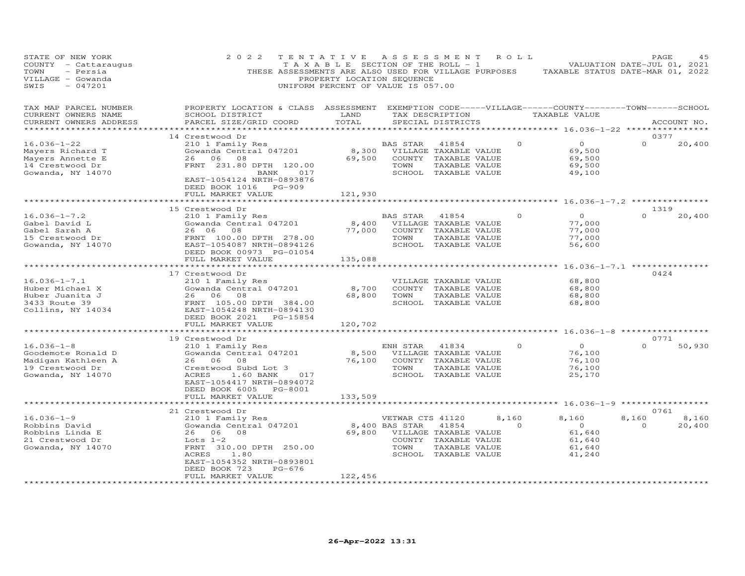| STATE OF NEW YORK<br>COUNTY - Cattaraugus<br>TOWN<br>- Persia<br>VILLAGE - Gowanda<br>SWIS<br>$-047201$ | 2 0 2 2<br>THESE ASSESSMENTS ARE ALSO USED FOR VILLAGE PURPOSES                                                                                                             | TENTATIVE<br>TAXABLE SECTION OF THE ROLL - 1<br>PROPERTY LOCATION SEQUENCE<br>UNIFORM PERCENT OF VALUE IS 057.00 | A S S E S S M E N T        |                                                                                                 | R O L L  | TAXABLE STATUS DATE-MAR 01, 2022                                               | PAGE<br>VALUATION DATE-JUL 01, 2021 | 45          |
|---------------------------------------------------------------------------------------------------------|-----------------------------------------------------------------------------------------------------------------------------------------------------------------------------|------------------------------------------------------------------------------------------------------------------|----------------------------|-------------------------------------------------------------------------------------------------|----------|--------------------------------------------------------------------------------|-------------------------------------|-------------|
| TAX MAP PARCEL NUMBER<br>CURRENT OWNERS NAME<br>CURRENT OWNERS ADDRESS                                  | PROPERTY LOCATION & CLASS ASSESSMENT<br>SCHOOL DISTRICT<br>PARCEL SIZE/GRID COORD                                                                                           | LAND<br>TOTAL                                                                                                    |                            | TAX DESCRIPTION<br>SPECIAL DISTRICTS                                                            |          | EXEMPTION CODE-----VILLAGE------COUNTY-------TOWN------SCHOOL<br>TAXABLE VALUE |                                     | ACCOUNT NO. |
|                                                                                                         | 14 Crestwood Dr                                                                                                                                                             |                                                                                                                  |                            |                                                                                                 |          | ******** 16.036-1-22 *                                                         | 0377                                |             |
| $16.036 - 1 - 22$                                                                                       | 210 1 Family Res                                                                                                                                                            |                                                                                                                  | BAS STAR                   | 41854                                                                                           | 0        | $\circ$                                                                        | $\Omega$                            | 20,400      |
| Mayers Richard T<br>Mayers Annette E<br>14 Crestwood Dr<br>Gowanda, NY 14070                            | Gowanda Central 047201<br>26 06 08<br>FRNT 231.80 DPTH 120.00<br>017<br>BANK<br>EAST-1054124 NRTH-0893876<br>DEED BOOK 1016<br>PG-909                                       | 8,300<br>69,500                                                                                                  | TOWN                       | VILLAGE TAXABLE VALUE<br>COUNTY TAXABLE VALUE<br>TAXABLE VALUE<br>SCHOOL TAXABLE VALUE          |          | 69,500<br>69,500<br>69,500<br>49,100                                           |                                     |             |
|                                                                                                         | FULL MARKET VALUE                                                                                                                                                           | 121,930                                                                                                          |                            |                                                                                                 |          |                                                                                |                                     |             |
|                                                                                                         | 15 Crestwood Dr                                                                                                                                                             |                                                                                                                  |                            |                                                                                                 |          | $16.036 - 1 - 7.2$ **                                                          | 1319                                |             |
| $16.036 - 1 - 7.2$<br>Gabel David L<br>Gabel Sarah A<br>15 Crestwood Dr<br>Gowanda, NY 14070            | 210 1 Family Res<br>Gowanda Central 047201<br>26 06<br>08<br>FRNT 100.00 DPTH 278.00<br>EAST-1054087 NRTH-0894126<br>DEED BOOK 00973 PG-01054                               | 8,400<br>77,000                                                                                                  | BAS STAR<br>TOWN           | 41854<br>VILLAGE TAXABLE VALUE<br>COUNTY TAXABLE VALUE<br>TAXABLE VALUE<br>SCHOOL TAXABLE VALUE | $\Omega$ | $\Omega$<br>77,000<br>77,000<br>77,000<br>56,600                               | $\Omega$                            | 20,400      |
|                                                                                                         | FULL MARKET VALUE                                                                                                                                                           | 135,088                                                                                                          |                            |                                                                                                 |          |                                                                                |                                     |             |
|                                                                                                         |                                                                                                                                                                             |                                                                                                                  |                            |                                                                                                 |          |                                                                                | $16.036 - 1 - 7.1$ **************   |             |
|                                                                                                         | 17 Crestwood Dr                                                                                                                                                             |                                                                                                                  |                            |                                                                                                 |          |                                                                                | 0424                                |             |
| $16.036 - 1 - 7.1$                                                                                      | 210 1 Family Res                                                                                                                                                            |                                                                                                                  |                            | VILLAGE TAXABLE VALUE                                                                           |          | 68,800                                                                         |                                     |             |
| Huber Michael X                                                                                         | Gowanda Central 047201<br>26<br>06<br>08                                                                                                                                    | 8,700                                                                                                            | TOWN                       | COUNTY TAXABLE VALUE                                                                            |          | 68,800                                                                         |                                     |             |
| Huber Juanita J<br>3433 Route 39<br>Collins, NY 14034                                                   | FRNT 105.00 DPTH 384.00<br>EAST-1054248 NRTH-0894130<br>DEED BOOK 2021<br>PG-15854<br>FULL MARKET VALUE                                                                     | 68,800<br>120,702                                                                                                |                            | TAXABLE VALUE<br>SCHOOL TAXABLE VALUE                                                           |          | 68,800<br>68,800                                                               |                                     |             |
|                                                                                                         | * * * * * * * * * * * * * * * * * *                                                                                                                                         | * * * * * * * * * * * * *                                                                                        |                            |                                                                                                 |          | ********* 16.036-1-8 **********                                                |                                     |             |
|                                                                                                         | 19 Crestwood Dr                                                                                                                                                             |                                                                                                                  |                            |                                                                                                 |          |                                                                                | 0771                                |             |
| $16.036 - 1 - 8$<br>Goodemote Ronald D<br>Madigan Kathleen A<br>19 Crestwood Dr<br>Gowanda, NY 14070    | 210 1 Family Res<br>Gowanda Central 047201<br>26<br>06<br>08<br>Crestwood Subd Lot 3<br>ACRES<br>1.60 BANK<br>017<br>EAST-1054417 NRTH-0894072<br>DEED BOOK 6005<br>PG-8001 | 8,500<br>76,100                                                                                                  | ENH STAR<br>TOWN<br>SCHOOL | 41834<br>VILLAGE TAXABLE VALUE<br>COUNTY TAXABLE VALUE<br>TAXABLE VALUE<br>TAXABLE VALUE        | $\Omega$ | $\Omega$<br>76,100<br>76,100<br>76,100<br>25,170                               | $\Omega$                            | 50,930      |
|                                                                                                         | FULL MARKET VALUE                                                                                                                                                           | 133,509                                                                                                          |                            |                                                                                                 |          |                                                                                |                                     |             |
|                                                                                                         | 21 Crestwood Dr                                                                                                                                                             |                                                                                                                  |                            |                                                                                                 |          |                                                                                | 0761                                |             |
| $16.036 - 1 - 9$                                                                                        | 210 1 Family Res                                                                                                                                                            |                                                                                                                  | VETWAR CTS 41120           |                                                                                                 | 8,160    | 8,160                                                                          | 8,160                               | 8,160       |
| Robbins David                                                                                           | Gowanda Central 047201                                                                                                                                                      |                                                                                                                  | 8,400 BAS STAR             | 41854                                                                                           | $\Omega$ | $\overline{O}$                                                                 | $\Omega$                            | 20,400      |
| Robbins Linda E                                                                                         | 26 06<br>08                                                                                                                                                                 | 69,800                                                                                                           |                            | VILLAGE TAXABLE VALUE                                                                           |          | 61,640                                                                         |                                     |             |
| 21 Crestwood Dr                                                                                         | Lots $1-2$                                                                                                                                                                  |                                                                                                                  |                            | COUNTY TAXABLE VALUE                                                                            |          | 61,640                                                                         |                                     |             |
| Gowanda, NY 14070                                                                                       | FRNT 310.00 DPTH 250.00<br>ACRES<br>1.80<br>EAST-1054352 NRTH-0893801<br>$PG-676$<br>DEED BOOK 723                                                                          |                                                                                                                  | TOWN                       | TAXABLE VALUE<br>SCHOOL TAXABLE VALUE                                                           |          | 61,640<br>41,240                                                               |                                     |             |
|                                                                                                         | FULL MARKET VALUE<br>.                                                                                                                                                      | 122,456                                                                                                          |                            |                                                                                                 |          |                                                                                |                                     |             |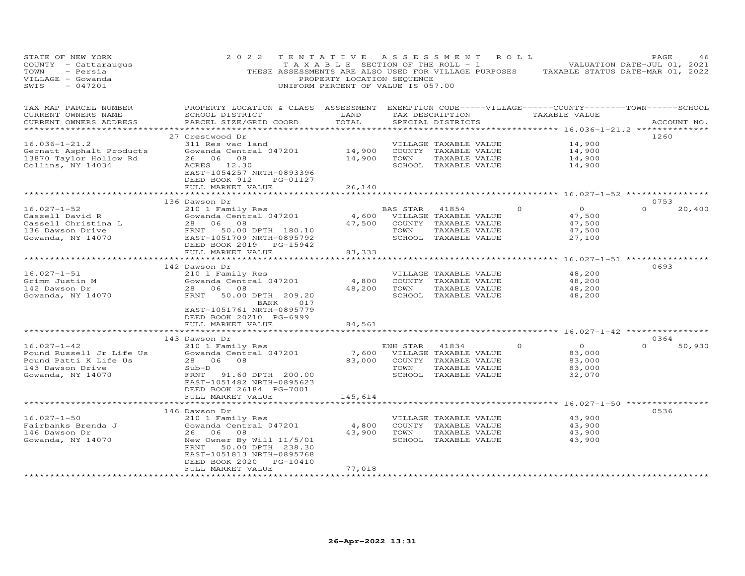| STATE OF NEW YORK<br>COUNTY - Cattaraugus<br>TOWN<br>- Persia<br>VILLAGE - Gowanda<br>$-047201$<br>SWIS         | 2 0 2 2<br>THESE ASSESSMENTS ARE ALSO USED FOR VILLAGE PURPOSES                                                                                                                   | TENTATIVE<br>T A X A B L E SECTION OF THE ROLL - 1<br>PROPERTY LOCATION SEQUENCE<br>UNIFORM PERCENT OF VALUE IS 057.00 |                  | ASSESSMENT                                                                                      | ROLL                                                               | PAGE<br>46<br>VALUATION DATE-JUL 01, 2021<br>TAXABLE STATUS DATE-MAR 01, 2022 |
|-----------------------------------------------------------------------------------------------------------------|-----------------------------------------------------------------------------------------------------------------------------------------------------------------------------------|------------------------------------------------------------------------------------------------------------------------|------------------|-------------------------------------------------------------------------------------------------|--------------------------------------------------------------------|-------------------------------------------------------------------------------|
| TAX MAP PARCEL NUMBER<br>CURRENT OWNERS NAME<br>CURRENT OWNERS ADDRESS<br>***********************               | PROPERTY LOCATION & CLASS ASSESSMENT EXEMPTION CODE-----VILLAGE------COUNTY-------TOWN------SCHOOL<br>SCHOOL DISTRICT<br>PARCEL SIZE/GRID COORD                                   | LAND<br>TOTAL                                                                                                          |                  | TAX DESCRIPTION<br>SPECIAL DISTRICTS                                                            | TAXABLE VALUE                                                      | ACCOUNT NO.                                                                   |
|                                                                                                                 | 27 Crestwood Dr                                                                                                                                                                   |                                                                                                                        |                  |                                                                                                 |                                                                    | 1260                                                                          |
| $16.036 - 1 - 21.2$<br>Gernatt Asphalt Products<br>13870 Taylor Hollow Rd<br>Collins, NY 14034                  | 311 Res vac land<br>Gowanda Central 047201<br>26 06 08<br>ACRES 12.30<br>EAST-1054257 NRTH-0893396                                                                                | 14,900<br>14,900                                                                                                       | TOWN             | VILLAGE TAXABLE VALUE<br>COUNTY TAXABLE VALUE<br>TAXABLE VALUE<br>SCHOOL TAXABLE VALUE          | 14,900<br>14,900<br>14,900<br>14,900                               |                                                                               |
|                                                                                                                 | DEED BOOK 912<br>PG-01127<br>FULL MARKET VALUE                                                                                                                                    | 26,140                                                                                                                 |                  |                                                                                                 |                                                                    |                                                                               |
|                                                                                                                 |                                                                                                                                                                                   | ********                                                                                                               |                  |                                                                                                 | ******** 16.027-1-52 ***********                                   |                                                                               |
|                                                                                                                 | 136 Dawson Dr                                                                                                                                                                     |                                                                                                                        |                  |                                                                                                 |                                                                    | 0753                                                                          |
| $16.027 - 1 - 52$<br>Cassell David R<br>Cassell Christina L<br>136 Dawson Drive<br>Gowanda, NY 14070            | 210 1 Family Res<br>Gowanda Central 047201<br>28 06<br>08<br>FRNT<br>50.00 DPTH 180.10<br>EAST-1051709 NRTH-0895792                                                               | 4,600<br>47,500                                                                                                        | BAS STAR<br>TOWN | 41854<br>VILLAGE TAXABLE VALUE<br>COUNTY TAXABLE VALUE<br>TAXABLE VALUE<br>SCHOOL TAXABLE VALUE | $\circ$<br>$\Omega$<br>47,500<br>47,500<br>47,500<br>27,100        | $\Omega$<br>20,400                                                            |
|                                                                                                                 | DEED BOOK 2019 PG-15942                                                                                                                                                           |                                                                                                                        |                  |                                                                                                 |                                                                    |                                                                               |
|                                                                                                                 | FULL MARKET VALUE<br>**********************                                                                                                                                       | 83,333                                                                                                                 |                  |                                                                                                 |                                                                    |                                                                               |
|                                                                                                                 | 142 Dawson Dr                                                                                                                                                                     |                                                                                                                        |                  |                                                                                                 | ********** 16.027-1-51 **********                                  | 0693                                                                          |
| $16.027 - 1 - 51$<br>Grimm Justin M<br>142 Dawson Dr<br>Gowanda, NY 14070                                       | 210 1 Family Res<br>Gowanda Central 047201<br>28 06 08<br>FRNT<br>50.00 DPTH 209.20<br>017<br>BANK<br>EAST-1051761 NRTH-0895779<br>DEED BOOK 20210 PG-6999                        | 4,800<br>48,200                                                                                                        | TOWN             | VILLAGE TAXABLE VALUE<br>COUNTY TAXABLE VALUE<br>TAXABLE VALUE<br>SCHOOL TAXABLE VALUE          | 48,200<br>48,200<br>48,200<br>48,200                               |                                                                               |
|                                                                                                                 | FULL MARKET VALUE<br>*******************                                                                                                                                          | 84,561<br>**********                                                                                                   |                  |                                                                                                 | *********** 16.027-1-42 ****************                           |                                                                               |
|                                                                                                                 | 143 Dawson Dr                                                                                                                                                                     |                                                                                                                        |                  |                                                                                                 |                                                                    | 0364                                                                          |
| $16.027 - 1 - 42$<br>Pound Russell Jr Life Us<br>Pound Patti K Life Us<br>143 Dawson Drive<br>Gowanda, NY 14070 | 210 1 Family Res<br>Gowanda Central 047201<br>28 06<br>08<br>Sub-D<br>FRNT<br>91.60 DPTH 200.00<br>EAST-1051482 NRTH-0895623<br>DEED BOOK 26184 PG-7001                           | 7,600<br>83,000                                                                                                        | ENH STAR<br>TOWN | 41834<br>VILLAGE TAXABLE VALUE<br>COUNTY TAXABLE VALUE<br>TAXABLE VALUE<br>SCHOOL TAXABLE VALUE | $\overline{O}$<br>$\Omega$<br>83,000<br>83,000<br>83,000<br>32,070 | $\Omega$<br>50,930                                                            |
|                                                                                                                 | FULL MARKET VALUE<br>**********************                                                                                                                                       | 145,614<br>************                                                                                                |                  |                                                                                                 |                                                                    |                                                                               |
|                                                                                                                 | 146 Dawson Dr                                                                                                                                                                     |                                                                                                                        |                  |                                                                                                 | *********** 16.027-1-50 ***************                            | 0536                                                                          |
| $16.027 - 1 - 50$<br>Fairbanks Brenda J<br>146 Dawson Dr<br>Gowanda, NY 14070                                   | 210 1 Family Res<br>Gowanda Central 047201<br>26<br>06<br>08<br>New Owner By Will 11/5/01<br>FRNT<br>50.00 DPTH 238.30<br>EAST-1051813 NRTH-0895768<br>DEED BOOK 2020<br>PG-10410 | 4,800<br>43,900                                                                                                        | TOWN             | VILLAGE TAXABLE VALUE<br>COUNTY TAXABLE VALUE<br>TAXABLE VALUE<br>SCHOOL TAXABLE VALUE          | 43,900<br>43,900<br>43,900<br>43,900                               |                                                                               |
| ***********************                                                                                         | FULL MARKET VALUE<br>********************                                                                                                                                         | 77,018<br>* * * * * * * * * *                                                                                          |                  |                                                                                                 |                                                                    |                                                                               |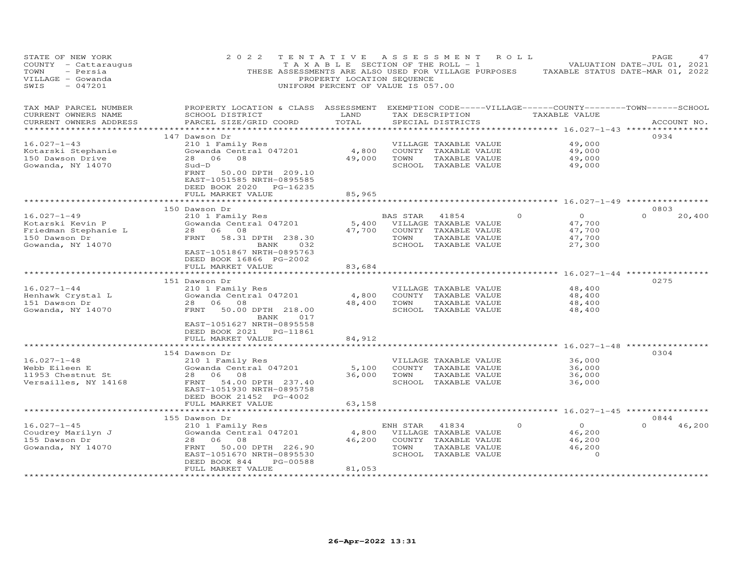| STATE OF NEW YORK<br>COUNTY - Cattaraugus<br>TOWN<br>- Persia<br>VILLAGE - Gowanda<br>SWIS<br>$-047201$ | 2 0 2 2                                                                                                                                          | TENTATIVE<br>T A X A B L E SECTION OF THE ROLL - 1<br>THESE ASSESSMENTS ARE ALSO USED FOR VILLAGE PURPOSES<br>PROPERTY LOCATION SEQUENCE<br>UNIFORM PERCENT OF VALUE IS 057.00 |          | ASSESSMENT                                    | R O L L  | TAXABLE STATUS DATE-MAR 01, 2022                         | PAGE<br>VALUATION DATE-JUL 01, 2021 | 47          |
|---------------------------------------------------------------------------------------------------------|--------------------------------------------------------------------------------------------------------------------------------------------------|--------------------------------------------------------------------------------------------------------------------------------------------------------------------------------|----------|-----------------------------------------------|----------|----------------------------------------------------------|-------------------------------------|-------------|
| TAX MAP PARCEL NUMBER<br>CURRENT OWNERS NAME<br>CURRENT OWNERS ADDRESS                                  | PROPERTY LOCATION & CLASS ASSESSMENT EXEMPTION CODE-----VILLAGE------COUNTY--------TOWN------SCHOOL<br>SCHOOL DISTRICT<br>PARCEL SIZE/GRID COORD | LAND<br>TOTAL                                                                                                                                                                  |          | SPECIAL DISTRICTS                             |          | TAX DESCRIPTION TAXABLE VALUE                            |                                     | ACCOUNT NO. |
| ***********************                                                                                 |                                                                                                                                                  |                                                                                                                                                                                |          |                                               |          |                                                          |                                     |             |
|                                                                                                         | 147 Dawson Dr                                                                                                                                    |                                                                                                                                                                                |          |                                               |          |                                                          | 0934                                |             |
| $16.027 - 1 - 43$<br>Kotarski Stephanie                                                                 | 210 1 Family Res<br>Gowanda Central 047201                                                                                                       | 4,800                                                                                                                                                                          |          | VILLAGE TAXABLE VALUE<br>COUNTY TAXABLE VALUE |          | 49,000<br>49,000                                         |                                     |             |
| 150 Dawson Drive                                                                                        | 08<br>28<br>06                                                                                                                                   | 49,000                                                                                                                                                                         | TOWN     | TAXABLE VALUE                                 |          | 49,000                                                   |                                     |             |
| Gowanda, NY 14070                                                                                       | $Sud-D$                                                                                                                                          |                                                                                                                                                                                |          | SCHOOL TAXABLE VALUE                          |          | 49,000                                                   |                                     |             |
|                                                                                                         | 50.00 DPTH 209.10<br>FRNT<br>EAST-1051585 NRTH-0895585<br>DEED BOOK 2020 PG-16235<br>FULL MARKET VALUE                                           | 85,965                                                                                                                                                                         |          |                                               |          |                                                          |                                     |             |
|                                                                                                         | ************************                                                                                                                         | * * * * * * * * * * * * * *                                                                                                                                                    |          |                                               |          | ********************************* 16.027-1-49 ********** |                                     |             |
|                                                                                                         | 150 Dawson Dr                                                                                                                                    |                                                                                                                                                                                |          |                                               |          |                                                          | 0803                                |             |
| $16.027 - 1 - 49$                                                                                       | 210 1 Family Res                                                                                                                                 |                                                                                                                                                                                | BAS STAR | 41854                                         | $\Omega$ | $\Omega$                                                 | $\Omega$                            | 20,400      |
| Kotarski Kevin P                                                                                        | Gowanda Central 047201                                                                                                                           | 5,400                                                                                                                                                                          |          | VILLAGE TAXABLE VALUE                         |          | 47,700                                                   |                                     |             |
| Friedman Stephanie L                                                                                    | 28 06 08                                                                                                                                         | 47,700                                                                                                                                                                         |          | COUNTY TAXABLE VALUE                          |          | 47,700                                                   |                                     |             |
| 150 Dawson Dr                                                                                           | FRNT 58.31 DPTH 238.30                                                                                                                           |                                                                                                                                                                                | TOWN     | TAXABLE VALUE                                 |          | 47,700                                                   |                                     |             |
| Gowanda, NY 14070                                                                                       | BANK<br>EAST-1051867 NRTH-0895763                                                                                                                | 032                                                                                                                                                                            |          | SCHOOL TAXABLE VALUE                          |          | 27,300                                                   |                                     |             |
|                                                                                                         | DEED BOOK 16866 PG-2002                                                                                                                          |                                                                                                                                                                                |          |                                               |          |                                                          |                                     |             |
|                                                                                                         | FULL MARKET VALUE                                                                                                                                | 83,684                                                                                                                                                                         |          |                                               |          |                                                          |                                     |             |
|                                                                                                         |                                                                                                                                                  |                                                                                                                                                                                |          |                                               |          | ******** 16.027-1-44 *********                           |                                     |             |
|                                                                                                         | 151 Dawson Dr                                                                                                                                    |                                                                                                                                                                                |          |                                               |          |                                                          | 0275                                |             |
| $16.027 - 1 - 44$<br>Henhawk Crystal L                                                                  | 210 1 Family Res<br>Gowanda Central 047201                                                                                                       | 4,800                                                                                                                                                                          |          | VILLAGE TAXABLE VALUE<br>COUNTY TAXABLE VALUE |          | 48,400<br>48,400                                         |                                     |             |
| 151 Dawson Dr                                                                                           | 28 06 08                                                                                                                                         | 48,400                                                                                                                                                                         | TOWN     | TAXABLE VALUE                                 |          | 48,400                                                   |                                     |             |
| Gowanda, NY 14070                                                                                       | FRNT<br>50.00 DPTH 218.00                                                                                                                        |                                                                                                                                                                                |          | SCHOOL TAXABLE VALUE                          |          | 48,400                                                   |                                     |             |
|                                                                                                         | BANK<br>EAST-1051627 NRTH-0895558<br>DEED BOOK 2021 PG-11861<br>FULL MARKET VALUE                                                                | 017<br>84,912                                                                                                                                                                  |          |                                               |          |                                                          |                                     |             |
|                                                                                                         | ***********************                                                                                                                          |                                                                                                                                                                                |          |                                               |          |                                                          |                                     |             |
|                                                                                                         | 154 Dawson Dr                                                                                                                                    |                                                                                                                                                                                |          |                                               |          |                                                          | 0304                                |             |
| $16.027 - 1 - 48$                                                                                       | 210 1 Family Res                                                                                                                                 |                                                                                                                                                                                |          | VILLAGE TAXABLE VALUE                         |          | 36,000                                                   |                                     |             |
| Webb Eileen E                                                                                           | Gowanda Central 047201                                                                                                                           | 5,100                                                                                                                                                                          |          | COUNTY TAXABLE VALUE                          |          | 36,000                                                   |                                     |             |
| 11953 Chestnut St                                                                                       | 28 06 08                                                                                                                                         | 36,000                                                                                                                                                                         | TOWN     | TAXABLE VALUE                                 |          | 36,000                                                   |                                     |             |
| Versailles, NY 14168                                                                                    | 54.00 DPTH 237.40<br>FRNT<br>EAST-1051930 NRTH-0895758                                                                                           |                                                                                                                                                                                |          | SCHOOL TAXABLE VALUE                          |          | 36,000                                                   |                                     |             |
|                                                                                                         | DEED BOOK 21452 PG-4002                                                                                                                          |                                                                                                                                                                                |          |                                               |          |                                                          |                                     |             |
|                                                                                                         | FULL MARKET VALUE                                                                                                                                | 63,158                                                                                                                                                                         |          |                                               |          |                                                          |                                     |             |
|                                                                                                         |                                                                                                                                                  |                                                                                                                                                                                |          |                                               |          | **** 16.027-1-45 ************                            |                                     |             |
|                                                                                                         | 155 Dawson Dr                                                                                                                                    |                                                                                                                                                                                |          |                                               |          |                                                          | 0844                                |             |
| $16.027 - 1 - 45$                                                                                       | 210 1 Family Res                                                                                                                                 |                                                                                                                                                                                | ENH STAR | 41834                                         | 0        | $\overline{O}$                                           | $\cap$                              | 46,200      |
| Coudrey Marilyn J                                                                                       | Gowanda Central 047201                                                                                                                           | 4,800                                                                                                                                                                          |          | VILLAGE TAXABLE VALUE                         |          | 46,200                                                   |                                     |             |
| 155 Dawson Dr                                                                                           | 28 06<br>08<br>FRNT                                                                                                                              | 46,200                                                                                                                                                                         | TOWN     | COUNTY TAXABLE VALUE                          |          | 46,200<br>46,200                                         |                                     |             |
| Gowanda, NY 14070                                                                                       | 50.00 DPTH 226.90<br>EAST-1051670 NRTH-0895530                                                                                                   |                                                                                                                                                                                |          | TAXABLE VALUE<br>SCHOOL TAXABLE VALUE         |          | $\circ$                                                  |                                     |             |
|                                                                                                         | DEED BOOK 844                                                                                                                                    | PG-00588                                                                                                                                                                       |          |                                               |          |                                                          |                                     |             |
|                                                                                                         | FULL MARKET VALUE                                                                                                                                | 81,053                                                                                                                                                                         |          |                                               |          |                                                          |                                     |             |
|                                                                                                         |                                                                                                                                                  |                                                                                                                                                                                |          |                                               |          |                                                          |                                     |             |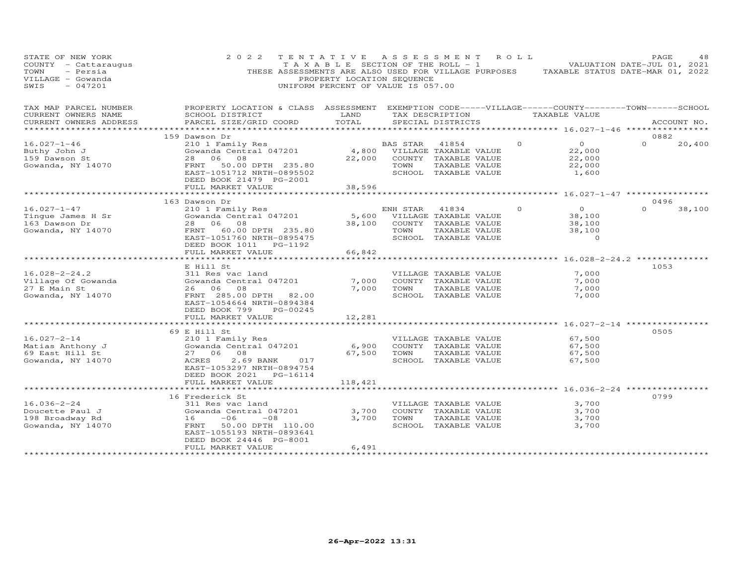| STATE OF NEW YORK<br>COUNTY - Cattaraugus<br>TOWN<br>- Persia<br>VILLAGE - Gowanda<br>$-047201$<br>SWIS | 2 0 2 2<br>THESE ASSESSMENTS ARE ALSO USED FOR VILLAGE PURPOSES TAXABLE STATUS DATE-MAR 01, 2022                       | PROPERTY LOCATION SEQUENCE<br>UNIFORM PERCENT OF VALUE IS 057.00 |             | TENTATIVE ASSESSMENT ROLL     |          | TAXABLE SECTION OF THE ROLL - 1 VALUATION DATE-JUL 01, 2021 | PAGE        | 48     |
|---------------------------------------------------------------------------------------------------------|------------------------------------------------------------------------------------------------------------------------|------------------------------------------------------------------|-------------|-------------------------------|----------|-------------------------------------------------------------|-------------|--------|
| TAX MAP PARCEL NUMBER<br>CURRENT OWNERS NAME                                                            | PROPERTY LOCATION & CLASS ASSESSMENT EXEMPTION CODE-----VILLAGE------COUNTY--------TOWN------SCHOOL<br>SCHOOL DISTRICT | LAND                                                             |             | TAX DESCRIPTION TAXABLE VALUE |          |                                                             |             |        |
| CURRENT OWNERS ADDRESS                                                                                  | PARCEL SIZE/GRID COORD                                                                                                 | TOTAL                                                            |             | SPECIAL DISTRICTS             |          |                                                             | ACCOUNT NO. |        |
|                                                                                                         | 159 Dawson Dr                                                                                                          |                                                                  |             |                               |          |                                                             | 0882        |        |
| $16.027 - 1 - 46$                                                                                       | 210 1 Family Res                                                                                                       |                                                                  | BAS STAR    | 41854                         | $\Omega$ | $\overline{O}$                                              | $\Omega$    | 20,400 |
| Buthy John J                                                                                            | Sowanda Central 047201                                                                                                 |                                                                  |             | 4,800 VILLAGE TAXABLE VALUE   |          | 22,000                                                      |             |        |
| 159 Dawson St                                                                                           | 28 06 08                                                                                                               |                                                                  |             | 22,000 COUNTY TAXABLE VALUE   |          | 22,000                                                      |             |        |
| Gowanda, NY 14070                                                                                       | FRNT 50.00 DPTH 235.80                                                                                                 |                                                                  | TOWN        | TAXABLE VALUE                 |          | 22,000                                                      |             |        |
|                                                                                                         | EAST-1051712 NRTH-0895502<br>DEED BOOK 21479 PG-2001                                                                   |                                                                  |             | SCHOOL TAXABLE VALUE          |          | 1,600                                                       |             |        |
|                                                                                                         | FULL MARKET VALUE                                                                                                      | 38,596                                                           |             |                               |          |                                                             |             |        |
|                                                                                                         | ********************                                                                                                   |                                                                  |             |                               |          |                                                             |             |        |
|                                                                                                         | 163 Dawson Dr                                                                                                          |                                                                  |             |                               |          |                                                             | 0496        |        |
| $16.027 - 1 - 47$                                                                                       | 210 1 Family Res                                                                                                       |                                                                  | ENH STAR    | 41834                         | $\Omega$ | $\overline{O}$                                              | $\Omega$    | 38,100 |
| Tingue James H Sr                                                                                       | Zio I family Res<br>Gowanda Central 047201                                                                             | 5,600                                                            |             | VILLAGE TAXABLE VALUE         |          | 38,100                                                      |             |        |
| 163 Dawson Dr                                                                                           | 28 06 08                                                                                                               | 38,100                                                           |             | COUNTY TAXABLE VALUE          |          | 38,100                                                      |             |        |
| Gowanda, NY 14070                                                                                       | FRNT 60.00 DPTH 235.80                                                                                                 |                                                                  | TOWN        | TAXABLE VALUE                 |          | 38,100                                                      |             |        |
|                                                                                                         | EAST-1051760 NRTH-0895475                                                                                              |                                                                  |             | SCHOOL TAXABLE VALUE          |          | $\Omega$                                                    |             |        |
|                                                                                                         | DEED BOOK 1011<br>PG-1192                                                                                              |                                                                  |             |                               |          |                                                             |             |        |
|                                                                                                         | FULL MARKET VALUE<br>* * * * * * * * * * * * * * * * * * * *                                                           | 66,842                                                           |             |                               |          |                                                             |             |        |
|                                                                                                         | E Hill St                                                                                                              |                                                                  |             |                               |          | ********** 16.028-2-24.2 ***********                        | 1053        |        |
| $16.028 - 2 - 24.2$                                                                                     | 311 Res vac land                                                                                                       |                                                                  |             | VILLAGE TAXABLE VALUE         |          | 7,000                                                       |             |        |
| Village Of Gowanda                                                                                      | Gowanda Central 047201                                                                                                 | 7,000                                                            |             | COUNTY TAXABLE VALUE          |          | 7,000                                                       |             |        |
| 27 E Main St                                                                                            | 26 06 08                                                                                                               | 7,000                                                            | TOWN        | TAXABLE VALUE                 |          | 7,000                                                       |             |        |
| Gowanda, NY 14070                                                                                       | FRNT 285.00 DPTH 82.00                                                                                                 |                                                                  |             | SCHOOL TAXABLE VALUE          |          | 7,000                                                       |             |        |
|                                                                                                         | EAST-1054664 NRTH-0894384                                                                                              |                                                                  |             |                               |          |                                                             |             |        |
|                                                                                                         | DEED BOOK 799<br>PG-00245                                                                                              |                                                                  |             |                               |          |                                                             |             |        |
|                                                                                                         | FULL MARKET VALUE                                                                                                      | 12,281                                                           |             |                               |          |                                                             |             |        |
|                                                                                                         | *********************                                                                                                  |                                                                  |             |                               |          | ******************** 16.027-2-14 ************               |             |        |
|                                                                                                         | 69 E Hill St                                                                                                           |                                                                  |             |                               |          |                                                             | 0505        |        |
| $16.027 - 2 - 14$                                                                                       | 210 1 Family Res                                                                                                       |                                                                  |             | VILLAGE TAXABLE VALUE         |          | 67,500                                                      |             |        |
| Matias Anthony J                                                                                        | Gowanda Central 047201                                                                                                 | 6,900                                                            |             | COUNTY TAXABLE VALUE          |          | 67,500                                                      |             |        |
| 69 East Hill St                                                                                         | 27 06 08                                                                                                               |                                                                  | 67,500 TOWN | TAXABLE VALUE                 |          | 67,500                                                      |             |        |
| Gowanda, NY 14070                                                                                       | 2.69 BANK<br>017<br>ACRES                                                                                              |                                                                  |             | SCHOOL TAXABLE VALUE          |          | 67,500                                                      |             |        |
|                                                                                                         | EAST-1053297 NRTH-0894754                                                                                              |                                                                  |             |                               |          |                                                             |             |        |
|                                                                                                         | DEED BOOK 2021 PG-16114                                                                                                |                                                                  |             |                               |          |                                                             |             |        |
|                                                                                                         | FULL MARKET VALUE<br>********************                                                                              | 118,421                                                          |             |                               |          |                                                             |             |        |
|                                                                                                         |                                                                                                                        |                                                                  |             |                               |          | ******************** 16.036-2-24 **********                 |             |        |
| $16.036 - 2 - 24$                                                                                       | 16 Frederick St<br>311 Res vac land                                                                                    |                                                                  |             | VILLAGE TAXABLE VALUE         |          | 3,700                                                       | 0799        |        |
| Doucette Paul J                                                                                         | Gowanda Central 047201                                                                                                 | 3,700                                                            |             | COUNTY TAXABLE VALUE          |          | 3,700                                                       |             |        |
| 198 Broadway Rd                                                                                         | $16 -06$<br>$-08$                                                                                                      |                                                                  | 3,700 TOWN  | TAXABLE VALUE                 |          | 3,700                                                       |             |        |
| Gowanda, NY 14070                                                                                       | 50.00 DPTH 110.00<br>FRNT                                                                                              |                                                                  |             | SCHOOL TAXABLE VALUE          |          | 3,700                                                       |             |        |
|                                                                                                         | EAST-1055193 NRTH-0893641                                                                                              |                                                                  |             |                               |          |                                                             |             |        |
|                                                                                                         | DEED BOOK 24446 PG-8001                                                                                                |                                                                  |             |                               |          |                                                             |             |        |
|                                                                                                         | FULL MARKET VALUE                                                                                                      | 6,491                                                            |             |                               |          |                                                             |             |        |
| ***********************                                                                                 |                                                                                                                        | ******************                                               |             |                               |          |                                                             |             |        |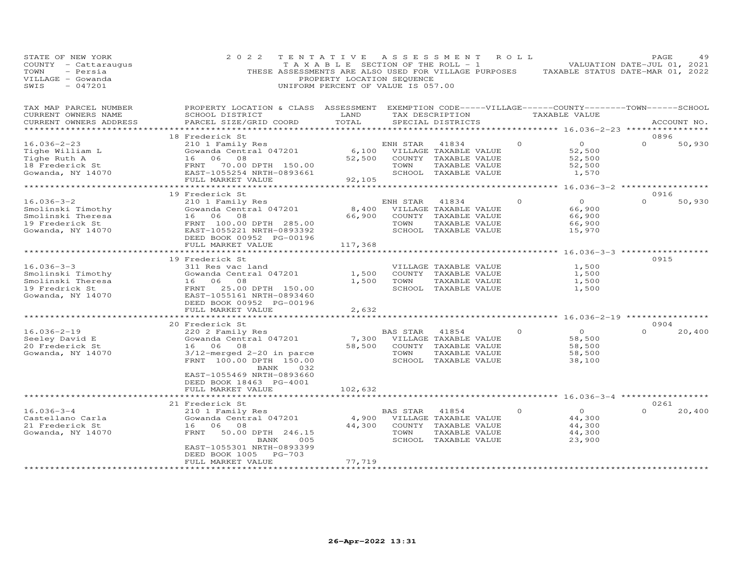| STATE OF NEW YORK<br>COUNTY - Cattaraugus<br>- Persia<br>TOWN<br>VILLAGE - Gowanda<br>$-047201$<br>SWIS | 2 0 2 2<br>THESE ASSESSMENTS ARE ALSO USED FOR VILLAGE PURPOSES                                                                                  | TENTATIVE<br>TAXABLE SECTION OF THE ROLL - 1<br>PROPERTY LOCATION SEQUENCE<br>UNIFORM PERCENT OF VALUE IS 057.00 |                        | A S S E S S M E N T                                                                             | ROLL     | VALUATION DATE-JUL 01, 2021<br>TAXABLE STATUS DATE-MAR 01, 2022 | PAGE             | 49          |
|---------------------------------------------------------------------------------------------------------|--------------------------------------------------------------------------------------------------------------------------------------------------|------------------------------------------------------------------------------------------------------------------|------------------------|-------------------------------------------------------------------------------------------------|----------|-----------------------------------------------------------------|------------------|-------------|
| TAX MAP PARCEL NUMBER<br>CURRENT OWNERS NAME<br>CURRENT OWNERS ADDRESS                                  | PROPERTY LOCATION & CLASS ASSESSMENT EXEMPTION CODE-----VILLAGE------COUNTY--------TOWN------SCHOOL<br>SCHOOL DISTRICT<br>PARCEL SIZE/GRID COORD | LAND<br>TOTAL                                                                                                    |                        | TAX DESCRIPTION<br>SPECIAL DISTRICTS                                                            |          | TAXABLE VALUE                                                   |                  | ACCOUNT NO. |
|                                                                                                         |                                                                                                                                                  |                                                                                                                  |                        |                                                                                                 |          | ********** 16.036-2-23 ***                                      |                  |             |
| $16.036 - 2 - 23$                                                                                       | 18 Frederick St<br>210 1 Family Res                                                                                                              |                                                                                                                  | ENH STAR               | 41834                                                                                           | $\Omega$ | $\overline{O}$                                                  | 0896<br>$\Omega$ | 50,930      |
| Tighe William L<br>Tighe Ruth A<br>18 Frederick St                                                      | Gowanda Central 047201<br>16<br>06<br>08<br>70.00 DPTH 150.00<br>FRNT                                                                            | 6,100<br>52,500                                                                                                  | TOWN                   | VILLAGE TAXABLE VALUE<br>COUNTY TAXABLE VALUE<br>TAXABLE VALUE                                  |          | 52,500<br>52,500<br>52,500                                      |                  |             |
| Gowanda, NY 14070                                                                                       | EAST-1055254 NRTH-0893661<br>FULL MARKET VALUE                                                                                                   | 92,105                                                                                                           |                        | SCHOOL TAXABLE VALUE                                                                            |          | 1,570                                                           |                  |             |
|                                                                                                         |                                                                                                                                                  |                                                                                                                  |                        |                                                                                                 |          | ******** 16.036-3-2 ******************                          |                  |             |
|                                                                                                         | 19 Frederick St                                                                                                                                  |                                                                                                                  |                        |                                                                                                 |          |                                                                 | 0916             |             |
| $16.036 - 3 - 2$<br>Smolinski Timothy<br>Smolinski Theresa<br>19 Frederick St<br>Gowanda, NY 14070      | 210 1 Family Res<br>Gowanda Central 047201<br>16 06<br>08<br>FRNT 100.00 DPTH 285.00<br>EAST-1055221 NRTH-0893392<br>DEED BOOK 00952 PG-00196    | 8,400<br>66,900                                                                                                  | ENH STAR<br>TOWN       | 41834<br>VILLAGE TAXABLE VALUE<br>COUNTY TAXABLE VALUE<br>TAXABLE VALUE<br>SCHOOL TAXABLE VALUE | $\Omega$ | $\overline{O}$<br>66,900<br>66,900<br>66,900<br>15,970          | $\Omega$         | 50,930      |
|                                                                                                         | FULL MARKET VALUE                                                                                                                                | 117,368                                                                                                          |                        |                                                                                                 |          |                                                                 |                  |             |
|                                                                                                         | *******************                                                                                                                              | **************                                                                                                   |                        |                                                                                                 |          | *********** 16.036-3-3 *****************                        |                  |             |
| $16.036 - 3 - 3$                                                                                        | 19 Frederick St                                                                                                                                  |                                                                                                                  |                        |                                                                                                 |          |                                                                 | 0915             |             |
| Smolinski Timothy                                                                                       | 311 Res vac land<br>Gowanda Central 047201                                                                                                       | 1,500                                                                                                            |                        | VILLAGE TAXABLE VALUE<br>COUNTY TAXABLE VALUE                                                   |          | 1,500<br>1,500                                                  |                  |             |
| Smolinski Theresa                                                                                       | 16 06<br>- 08                                                                                                                                    | 1,500                                                                                                            | TOWN                   | TAXABLE VALUE                                                                                   |          | 1,500                                                           |                  |             |
| 19 Fredrick St                                                                                          | FRNT<br>25.00 DPTH 150.00                                                                                                                        |                                                                                                                  |                        | SCHOOL TAXABLE VALUE                                                                            |          | 1,500                                                           |                  |             |
| Gowanda, NY 14070                                                                                       | EAST-1055161 NRTH-0893460<br>DEED BOOK 00952 PG-00196                                                                                            |                                                                                                                  |                        |                                                                                                 |          |                                                                 |                  |             |
|                                                                                                         | FULL MARKET VALUE<br>******************************                                                                                              | 2,632                                                                                                            |                        |                                                                                                 |          |                                                                 |                  |             |
|                                                                                                         | 20 Frederick St                                                                                                                                  |                                                                                                                  |                        |                                                                                                 |          |                                                                 | 0904             |             |
| $16.036 - 2 - 19$<br>Seeley David E<br>20 Frederick St<br>Gowanda, NY 14070                             | 220 2 Family Res<br>Gowanda Central 047201<br>16 06<br>08<br>$3/12$ -merged 2-20 in parce<br>FRNT 100.00 DPTH 150.00                             | 7,300<br>58,500                                                                                                  | BAS STAR<br>TOWN       | 41854<br>VILLAGE TAXABLE VALUE<br>COUNTY TAXABLE VALUE<br>TAXABLE VALUE<br>SCHOOL TAXABLE VALUE | $\circ$  | $\circ$<br>58,500<br>58,500<br>58,500<br>38,100                 | $\Omega$         | 20,400      |
|                                                                                                         | 032<br>BANK<br>EAST-1055469 NRTH-0893660<br>DEED BOOK 18463 PG-4001<br>FULL MARKET VALUE                                                         | 102,632                                                                                                          |                        |                                                                                                 |          |                                                                 |                  |             |
|                                                                                                         | *********************                                                                                                                            |                                                                                                                  | ********************** |                                                                                                 |          | ********** 16.036-3-4 ******************                        |                  |             |
|                                                                                                         | 21 Frederick St                                                                                                                                  |                                                                                                                  |                        |                                                                                                 |          |                                                                 | 0261             |             |
| $16.036 - 3 - 4$<br>Castellano Carla<br>21 Frederick St<br>Gowanda, NY 14070                            | 210 1 Family Res<br>Gowanda Central 047201<br>16 06<br>08<br>FRNT<br>50.00 DPTH 246.15<br>005<br>BANK<br>EAST-1055301 NRTH-0893399               | 4,900<br>44,300                                                                                                  | BAS STAR<br>TOWN       | 41854<br>VILLAGE TAXABLE VALUE<br>COUNTY TAXABLE VALUE<br>TAXABLE VALUE<br>SCHOOL TAXABLE VALUE | $\circ$  | $\circ$<br>44,300<br>44,300<br>44,300<br>23,900                 |                  | 20,400      |
|                                                                                                         | DEED BOOK 1005<br><b>PG-703</b>                                                                                                                  |                                                                                                                  |                        |                                                                                                 |          |                                                                 |                  |             |
|                                                                                                         | FULL MARKET VALUE                                                                                                                                | 77,719                                                                                                           |                        |                                                                                                 |          |                                                                 |                  |             |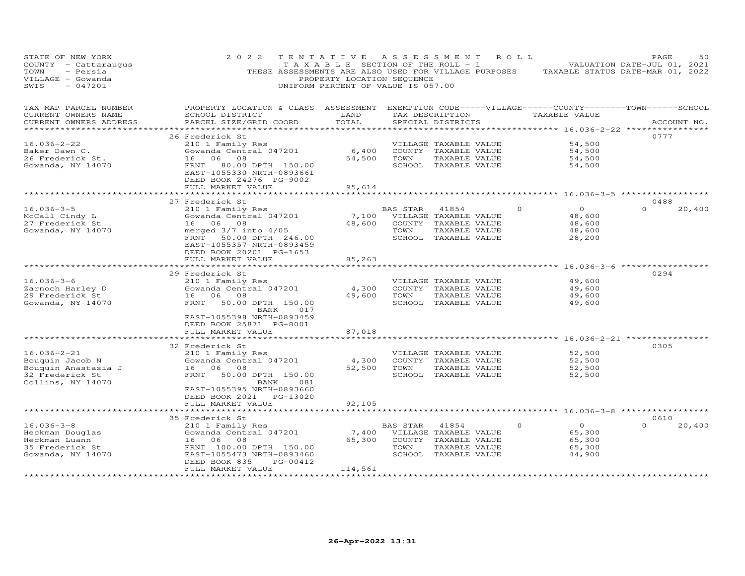| STATE OF NEW YORK<br>COUNTY - Cattaraugus<br>TOWN<br>- Persia<br>VILLAGE - Gowanda<br>$-047201$<br>SWIS | 2 0 2 2<br>THESE ASSESSMENTS ARE ALSO USED FOR VILLAGE PURPOSES                   | TENTATIVE<br>TAXABLE SECTION OF THE ROLL - 1<br>PROPERTY LOCATION SEQUENCE<br>UNIFORM PERCENT OF VALUE IS 057.00 | A S S E S S M E N T |                                       | ROLL     | TAXABLE STATUS DATE-MAR 01, 2022                                                | PAGE<br>VALUATION DATE-JUL 01, 2021 | 50          |
|---------------------------------------------------------------------------------------------------------|-----------------------------------------------------------------------------------|------------------------------------------------------------------------------------------------------------------|---------------------|---------------------------------------|----------|---------------------------------------------------------------------------------|-------------------------------------|-------------|
| TAX MAP PARCEL NUMBER<br>CURRENT OWNERS NAME<br>CURRENT OWNERS ADDRESS                                  | PROPERTY LOCATION & CLASS ASSESSMENT<br>SCHOOL DISTRICT<br>PARCEL SIZE/GRID COORD | LAND<br>TOTAL                                                                                                    |                     | TAX DESCRIPTION<br>SPECIAL DISTRICTS  |          | EXEMPTION CODE-----VILLAGE------COUNTY--------TOWN------SCHOOL<br>TAXABLE VALUE |                                     | ACCOUNT NO. |
| **********************                                                                                  |                                                                                   |                                                                                                                  |                     |                                       |          |                                                                                 |                                     |             |
|                                                                                                         | 26 Frederick St                                                                   |                                                                                                                  |                     |                                       |          |                                                                                 | 0777                                |             |
| $16.036 - 2 - 22$                                                                                       | 210 1 Family Res                                                                  |                                                                                                                  |                     | VILLAGE TAXABLE VALUE                 |          | 54,500                                                                          |                                     |             |
| Baker Dawn C.<br>26 Frederick St.                                                                       | Gowanda Central 047201<br>16<br>06<br>08                                          | 6,400<br>54,500                                                                                                  | TOWN                | COUNTY TAXABLE VALUE<br>TAXABLE VALUE |          | 54,500<br>54,500                                                                |                                     |             |
| Gowanda, NY 14070                                                                                       | FRNT<br>80.00 DPTH 150.00                                                         |                                                                                                                  |                     | SCHOOL TAXABLE VALUE                  |          | 54,500                                                                          |                                     |             |
|                                                                                                         | EAST-1055330 NRTH-0893661<br>DEED BOOK 24276 PG-9002                              |                                                                                                                  |                     |                                       |          |                                                                                 |                                     |             |
|                                                                                                         | FULL MARKET VALUE                                                                 | 95,614                                                                                                           |                     |                                       |          |                                                                                 |                                     |             |
|                                                                                                         |                                                                                   |                                                                                                                  |                     |                                       |          | ******** 16.036-3-5 ************                                                |                                     |             |
| $16.036 - 3 - 5$                                                                                        | 27 Frederick St                                                                   |                                                                                                                  | BAS STAR            | 41854                                 | $\Omega$ | $\circ$                                                                         | 0488<br>$\Omega$                    | 20,400      |
| McCall Cindy L                                                                                          | 210 1 Family Res<br>Gowanda Central 047201                                        | 7,100                                                                                                            |                     | VILLAGE TAXABLE VALUE                 |          | 48,600                                                                          |                                     |             |
| 27 Frederick St                                                                                         | 16 06<br>08                                                                       | 48,600                                                                                                           |                     | COUNTY TAXABLE VALUE                  |          | 48,600                                                                          |                                     |             |
| Gowanda, NY 14070                                                                                       | merged $3/7$ into $4/05$                                                          |                                                                                                                  | TOWN                | TAXABLE VALUE                         |          | 48,600                                                                          |                                     |             |
|                                                                                                         | FRNT<br>50.00 DPTH 246.00                                                         |                                                                                                                  |                     | SCHOOL TAXABLE VALUE                  |          | 28,200                                                                          |                                     |             |
|                                                                                                         | EAST-1055357 NRTH-0893459                                                         |                                                                                                                  |                     |                                       |          |                                                                                 |                                     |             |
|                                                                                                         | DEED BOOK 20201 PG-1653                                                           |                                                                                                                  |                     |                                       |          |                                                                                 |                                     |             |
|                                                                                                         | FULL MARKET VALUE                                                                 | 85,263                                                                                                           |                     |                                       |          |                                                                                 |                                     |             |
|                                                                                                         | ********************                                                              | ***********                                                                                                      |                     |                                       |          | ********** 16.036-3-6 ***************                                           |                                     |             |
|                                                                                                         | 29 Frederick St                                                                   |                                                                                                                  |                     |                                       |          |                                                                                 | 0294                                |             |
| $16.036 - 3 - 6$                                                                                        | 210 1 Family Res                                                                  |                                                                                                                  |                     | VILLAGE TAXABLE VALUE                 |          | 49,600                                                                          |                                     |             |
| Zarnoch Harley D                                                                                        | Gowanda Central 047201                                                            | 4,300                                                                                                            |                     | COUNTY TAXABLE VALUE                  |          | 49,600                                                                          |                                     |             |
| 29 Frederick St                                                                                         | 16<br>06<br>08                                                                    | 49,600                                                                                                           | TOWN                | TAXABLE VALUE                         |          | 49,600                                                                          |                                     |             |
| Gowanda, NY 14070                                                                                       | FRNT<br>50.00 DPTH 150.00<br>BANK<br>017<br>EAST-1055398 NRTH-0893459             |                                                                                                                  |                     | SCHOOL TAXABLE VALUE                  |          | 49,600                                                                          |                                     |             |
|                                                                                                         | DEED BOOK 25871 PG-8001                                                           |                                                                                                                  |                     |                                       |          |                                                                                 |                                     |             |
|                                                                                                         | FULL MARKET VALUE                                                                 | 87,018                                                                                                           |                     |                                       |          |                                                                                 |                                     |             |
|                                                                                                         |                                                                                   |                                                                                                                  |                     |                                       |          | ************ 16.036-2-21 **                                                     |                                     |             |
|                                                                                                         | 32 Frederick St                                                                   |                                                                                                                  |                     |                                       |          |                                                                                 | 0305                                |             |
| $16.036 - 2 - 21$                                                                                       | 210 1 Family Res                                                                  |                                                                                                                  |                     | VILLAGE TAXABLE VALUE                 |          | 52,500                                                                          |                                     |             |
| Bouquin Jacob N                                                                                         | Gowanda Central 047201                                                            | 4,300                                                                                                            |                     | COUNTY TAXABLE VALUE                  |          | 52,500                                                                          |                                     |             |
| Bouquin Anastasia J                                                                                     | 06<br>08<br>16                                                                    | 52,500                                                                                                           | TOWN                | TAXABLE VALUE                         |          | 52,500                                                                          |                                     |             |
| 32 Frederick St                                                                                         | FRNT<br>50.00 DPTH 150.00                                                         |                                                                                                                  |                     | SCHOOL TAXABLE VALUE                  |          | 52,500                                                                          |                                     |             |
| Collins, NY 14070                                                                                       | BANK<br>081                                                                       |                                                                                                                  |                     |                                       |          |                                                                                 |                                     |             |
|                                                                                                         | EAST-1055395 NRTH-0893660<br>DEED BOOK 2021 PG-13020                              |                                                                                                                  |                     |                                       |          |                                                                                 |                                     |             |
|                                                                                                         | FULL MARKET VALUE                                                                 | 92,105                                                                                                           |                     |                                       |          |                                                                                 |                                     |             |
|                                                                                                         | *******************                                                               | *********                                                                                                        |                     |                                       |          | ************* 16.036-3-8 ******************                                     |                                     |             |
|                                                                                                         | 35 Frederick St                                                                   |                                                                                                                  |                     |                                       |          |                                                                                 | 0610                                |             |
| $16.036 - 3 - 8$                                                                                        | 210 1 Family Res                                                                  |                                                                                                                  | BAS STAR            | 41854                                 | $\Omega$ | $\Omega$                                                                        | $\Omega$                            | 20,400      |
| Heckman Douglas                                                                                         | Gowanda Central 047201                                                            | 7,400                                                                                                            |                     | VILLAGE TAXABLE VALUE                 |          | 65,300                                                                          |                                     |             |
| Heckman Luann                                                                                           | 08<br>16<br>06                                                                    | 65,300                                                                                                           |                     | COUNTY TAXABLE VALUE                  |          | 65,300                                                                          |                                     |             |
| 35 Frederick St                                                                                         | FRNT 100.00 DPTH 150.00                                                           |                                                                                                                  | TOWN                | TAXABLE VALUE                         |          | 65,300                                                                          |                                     |             |
| Gowanda, NY 14070                                                                                       | EAST-1055473 NRTH-0893460                                                         |                                                                                                                  |                     | SCHOOL TAXABLE VALUE                  |          | 44,900                                                                          |                                     |             |
|                                                                                                         | DEED BOOK 835<br>PG-00412                                                         |                                                                                                                  |                     |                                       |          |                                                                                 |                                     |             |
|                                                                                                         | FULL MARKET VALUE<br>******************                                           | 114,561<br>******                                                                                                |                     |                                       |          |                                                                                 |                                     |             |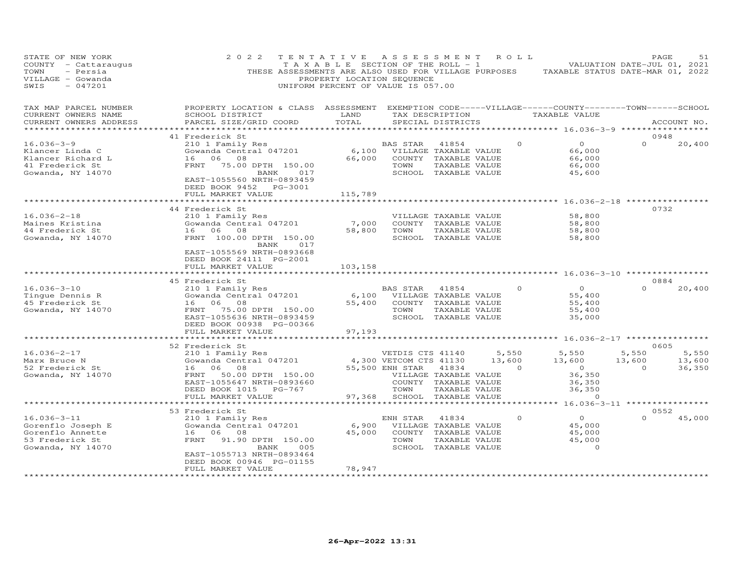| STATE OF NEW YORK<br>COUNTY - Cattaraugus<br>TOWN<br>- Persia<br>VILLAGE - Gowanda<br>$-047201$<br>SWIS | 2 0 2 2<br>THESE ASSESSMENTS ARE ALSO USED FOR VILLAGE PURPOSES                                                                                                                            | TENTATIVE<br>TAXABLE SECTION OF THE ROLL - 1<br>PROPERTY LOCATION SEQUENCE<br>UNIFORM PERCENT OF VALUE IS 057.00 | A S S E S S M E N T                                                   |                                                                                                 | ROLL            | TAXABLE STATUS DATE-MAR 01, 2022                                                       | PAGE<br>VALUATION DATE-JUL 01, 2021 | 51                        |
|---------------------------------------------------------------------------------------------------------|--------------------------------------------------------------------------------------------------------------------------------------------------------------------------------------------|------------------------------------------------------------------------------------------------------------------|-----------------------------------------------------------------------|-------------------------------------------------------------------------------------------------|-----------------|----------------------------------------------------------------------------------------|-------------------------------------|---------------------------|
| TAX MAP PARCEL NUMBER<br>CURRENT OWNERS NAME<br>CURRENT OWNERS ADDRESS<br>**********************        | PROPERTY LOCATION & CLASS ASSESSMENT<br>SCHOOL DISTRICT<br>PARCEL SIZE/GRID COORD<br>*************************                                                                             | LAND<br>TOTAL                                                                                                    |                                                                       | TAX DESCRIPTION<br>SPECIAL DISTRICTS                                                            |                 | EXEMPTION CODE-----VILLAGE------COUNTY-------TOWN------SCHOOL<br>TAXABLE VALUE         |                                     | ACCOUNT NO.               |
|                                                                                                         |                                                                                                                                                                                            |                                                                                                                  |                                                                       |                                                                                                 |                 |                                                                                        |                                     |                           |
| $16.036 - 3 - 9$<br>Klancer Linda C<br>Klancer Richard L<br>41 Frederick St<br>Gowanda, NY 14070        | 41 Frederick St<br>210 1 Family Res<br>Gowanda Central 047201<br>06<br>08<br>16<br>75.00 DPTH 150.00<br>FRNT<br>BANK<br>017<br>EAST-1055560 NRTH-0893459<br>DEED BOOK 9452<br>PG-3001      | 6,100<br>66,000                                                                                                  | BAS STAR<br>TOWN                                                      | 41854<br>VILLAGE TAXABLE VALUE<br>COUNTY TAXABLE VALUE<br>TAXABLE VALUE<br>SCHOOL TAXABLE VALUE |                 | $\Omega$<br>$\Omega$<br>66,000<br>66,000<br>66,000<br>45,600                           | 0948<br>$\Omega$                    | 20,400                    |
|                                                                                                         | FULL MARKET VALUE                                                                                                                                                                          | 115,789                                                                                                          |                                                                       |                                                                                                 |                 |                                                                                        |                                     |                           |
| $16.036 - 2 - 18$<br>Maines Kristina<br>44 Frederick St<br>Gowanda, NY 14070                            | * * * * * * * * * * * * * * * * * *<br>44 Frederick St<br>210 1 Family Res<br>Gowanda Central 047201<br>16 06<br>08<br>FRNT 100.00 DPTH 150.00<br>BANK<br>017<br>EAST-1055569 NRTH-0893668 | 7,000<br>58,800                                                                                                  | TOWN                                                                  | VILLAGE TAXABLE VALUE<br>COUNTY TAXABLE VALUE<br>TAXABLE VALUE<br>SCHOOL TAXABLE VALUE          |                 | 58,800<br>58,800<br>58,800<br>58,800                                                   | ***********<br>0732                 |                           |
| $16.036 - 3 - 10$<br>Tingue Dennis R                                                                    | DEED BOOK 24111 PG-2001<br>FULL MARKET VALUE<br>45 Frederick St<br>210 1 Family Res<br>Gowanda Central 047201                                                                              | 103,158<br>6,100                                                                                                 | BAS STAR                                                              | 41854<br>VILLAGE TAXABLE VALUE                                                                  |                 | ******** 16.036-3-10 ***********<br>$\circ$<br>$\circ$<br>55,400                       | 0884<br>$\Omega$                    | 20,400                    |
| 45 Frederick St<br>Gowanda, NY 14070                                                                    | 16 06<br>08<br>FRNT<br>75.00 DPTH 150.00<br>EAST-1055636 NRTH-0893459<br>DEED BOOK 00938 PG-00366                                                                                          | 55,400                                                                                                           | TOWN                                                                  | COUNTY TAXABLE VALUE<br>TAXABLE VALUE<br>SCHOOL TAXABLE VALUE                                   |                 | 55,400<br>55,400<br>35,000                                                             |                                     |                           |
|                                                                                                         | FULL MARKET VALUE<br>* * * * * * * * * * * * * * * * * * * *                                                                                                                               | 97,193                                                                                                           |                                                                       |                                                                                                 |                 | *********** 16.036-2-17 ****************                                               |                                     |                           |
|                                                                                                         | 52 Frederick St                                                                                                                                                                            |                                                                                                                  |                                                                       |                                                                                                 |                 |                                                                                        | 0605                                |                           |
| $16.036 - 2 - 17$<br>Marx Bruce N<br>52 Frederick St<br>Gowanda, NY 14070                               | 210 1 Family Res<br>Gowanda Central 047201<br>16 06 08<br>FRNT<br>50.00 DPTH 150.00<br>EAST-1055647 NRTH-0893660<br>DEED BOOK 1015<br>PG-767<br>FULL MARKET VALUE                          | 97,368                                                                                                           | VETDIS CTS 41140<br>4,300 VETCOM CTS 41130<br>55,500 ENH STAR<br>TOWN | 41834<br>VILLAGE TAXABLE VALUE<br>COUNTY TAXABLE VALUE<br>TAXABLE VALUE<br>SCHOOL TAXABLE VALUE | 5,550<br>13,600 | 5,550<br>13,600<br>$\Omega$<br>$\overline{O}$<br>36,350<br>36,350<br>36,350<br>$\circ$ | 5,550<br>13,600<br>$\Omega$         | 5,550<br>13,600<br>36,350 |
|                                                                                                         |                                                                                                                                                                                            |                                                                                                                  |                                                                       |                                                                                                 |                 | ******** 16.036-3-11 *****************                                                 |                                     |                           |
|                                                                                                         | 53 Frederick St                                                                                                                                                                            |                                                                                                                  |                                                                       |                                                                                                 |                 |                                                                                        | 0552                                |                           |
| $16.036 - 3 - 11$<br>Gorenflo Joseph E<br>Gorenflo Annette<br>53 Frederick St<br>Gowanda, NY 14070      | 210 1 Family Res<br>Gowanda Central 047201<br>16 06 08<br>FRNT<br>91.90 DPTH 150.00<br>BANK<br>005<br>EAST-1055713 NRTH-0893464<br>DEED BOOK 00946 PG-01155                                | 6,900<br>45,000                                                                                                  | ENH STAR<br>TOWN                                                      | 41834<br>VILLAGE TAXABLE VALUE<br>COUNTY TAXABLE VALUE<br>TAXABLE VALUE<br>SCHOOL TAXABLE VALUE |                 | $\overline{O}$<br>$\circ$<br>45,000<br>45,000<br>45,000<br>$\circ$                     | $\Omega$                            | 45,000                    |
|                                                                                                         | FULL MARKET VALUE<br>******************                                                                                                                                                    | 78,947<br>*********                                                                                              |                                                                       |                                                                                                 |                 |                                                                                        |                                     |                           |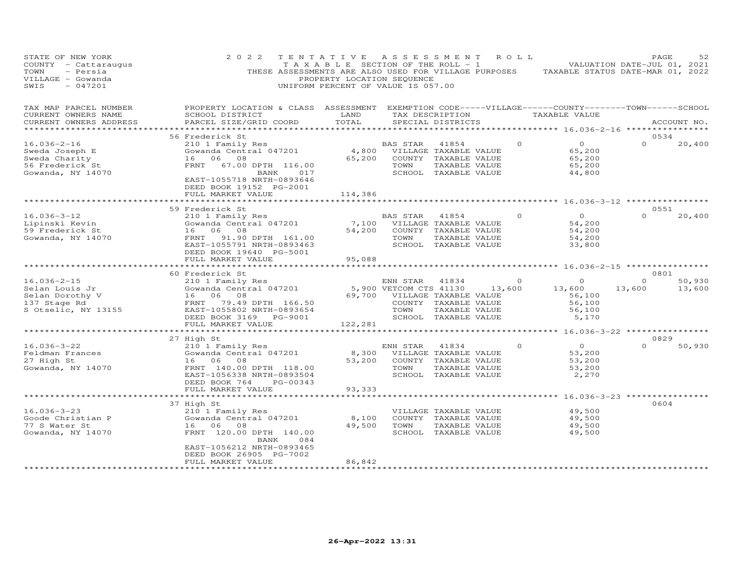| STATE OF NEW YORK<br>COUNTY - Cattaraugus<br>TOWN<br>- Persia<br>VILLAGE - Gowanda<br>SWIS<br>$-047201$ | 2 0 2 2<br>THESE ASSESSMENTS ARE ALSO USED FOR VILLAGE PURPOSES                                                                                                                                | TENTATIVE<br>T A X A B L E SECTION OF THE ROLL - 1<br>PROPERTY LOCATION SEQUENCE<br>UNIFORM PERCENT OF VALUE IS 057.00 | ASSESSMENT                                                                 |                                                                                                 |        | R O L L        | TAXABLE STATUS DATE-MAR 01, 2022                                               | PAGE<br>VALUATION DATE-JUL 01, 2021 | 52               |
|---------------------------------------------------------------------------------------------------------|------------------------------------------------------------------------------------------------------------------------------------------------------------------------------------------------|------------------------------------------------------------------------------------------------------------------------|----------------------------------------------------------------------------|-------------------------------------------------------------------------------------------------|--------|----------------|--------------------------------------------------------------------------------|-------------------------------------|------------------|
| TAX MAP PARCEL NUMBER<br>CURRENT OWNERS NAME<br>CURRENT OWNERS ADDRESS                                  | PROPERTY LOCATION & CLASS ASSESSMENT<br>SCHOOL DISTRICT<br>PARCEL SIZE/GRID COORD                                                                                                              | LAND<br>TOTAL                                                                                                          |                                                                            | TAX DESCRIPTION<br>SPECIAL DISTRICTS                                                            |        |                | EXEMPTION CODE-----VILLAGE------COUNTY-------TOWN------SCHOOL<br>TAXABLE VALUE |                                     | ACCOUNT NO.      |
| *******************                                                                                     |                                                                                                                                                                                                |                                                                                                                        |                                                                            |                                                                                                 |        |                |                                                                                | 0534                                |                  |
| $16.036 - 2 - 16$                                                                                       | 56 Frederick St<br>210 1 Family Res                                                                                                                                                            |                                                                                                                        | BAS STAR                                                                   | 41854                                                                                           |        | $\Omega$       | $\overline{O}$                                                                 |                                     | 20,400           |
| Sweda Joseph E<br>Sweda Charity<br>56 Frederick St<br>Gowanda, NY 14070                                 | Gowanda Central 047201<br>16 06 08<br>67.00 DPTH 116.00<br>FRNT<br>BANK 017<br>EAST-1055718 NRTH-0893646<br>DEED BOOK 19152 PG-2001                                                            | 65,200                                                                                                                 | 4,800 VILLAGE TAXABLE VALUE<br>TOWN                                        | COUNTY TAXABLE VALUE<br>TAXABLE VALUE<br>SCHOOL TAXABLE VALUE                                   |        |                | 65,200<br>65,200<br>65,200<br>44,800                                           |                                     |                  |
|                                                                                                         | FULL MARKET VALUE                                                                                                                                                                              | 114,386                                                                                                                |                                                                            |                                                                                                 |        |                |                                                                                |                                     |                  |
|                                                                                                         | *********************                                                                                                                                                                          | * * * * * * * * * * * * * *                                                                                            |                                                                            |                                                                                                 |        |                | ************************ 16.036-3-12 ****************                          |                                     |                  |
| $16.036 - 3 - 12$<br>Lipinski Kevin<br>59 Frederick St<br>Gowanda, NY 14070                             | 59 Frederick St<br>210 1 Family Res<br>Gowanda Central 047201<br>16 06 08<br>FRNT<br>91.90 DPTH 161.00<br>EAST-1055791 NRTH-0893463                                                            | 54,200                                                                                                                 | BAS STAR<br>7,100 VILLAGE TAXABLE VALUE<br>COUNTY TAXABLE VALUE<br>TOWN    | 41854<br>TAXABLE VALUE<br>SCHOOL TAXABLE VALUE                                                  |        | $\Omega$       | $\Omega$<br>54,200<br>54,200<br>54,200<br>33,800                               | 0551<br>$\Omega$                    | 20,400           |
|                                                                                                         | DEED BOOK 19640 PG-5001<br>FULL MARKET VALUE                                                                                                                                                   | 95,088                                                                                                                 |                                                                            |                                                                                                 |        |                |                                                                                |                                     |                  |
|                                                                                                         | * * * * * * * * * * * * * * * * * *                                                                                                                                                            | *************                                                                                                          |                                                                            |                                                                                                 |        |                | *********** 16.036-2-15 *****************                                      |                                     |                  |
|                                                                                                         | 60 Frederick St                                                                                                                                                                                |                                                                                                                        |                                                                            |                                                                                                 |        |                |                                                                                | 0801                                |                  |
| $16.036 - 2 - 15$<br>Selan Louis Jr<br>Selan Dorothy V<br>137 Stage Rd<br>S Otselic, NY 13155           | 210 1 Family Res<br>Gowanda Central 047201<br>Gowanda Central 047201<br>16   06   08<br>FRNT    79.49 DPTH  166.50<br>EAST-1055802 NRTH-0893654<br>DEED BOOK 3169 PG-9001<br>FULL MARKET VALUE | 122,281                                                                                                                | ENH STAR<br>5,900 VETCOM CTS 41130<br>69,700 VILLAGE TAXABLE VALUE<br>TOWN | 41834<br>COUNTY TAXABLE VALUE<br>TAXABLE VALUE<br>SCHOOL TAXABLE VALUE                          | 13,600 | $\overline{0}$ | $\circ$<br>13,600<br>56,100<br>56,100<br>56,100<br>5,170                       | $\Omega$<br>13,600                  | 50,930<br>13,600 |
|                                                                                                         |                                                                                                                                                                                                |                                                                                                                        |                                                                            |                                                                                                 |        |                |                                                                                |                                     |                  |
| $16.036 - 3 - 22$<br>Feldman Frances<br>27 High St<br>Gowanda, NY 14070                                 | 27 High St<br>210 1 Family Res<br>Gowanda Central 047201<br>16 06<br>08<br>FRNT 140.00 DPTH 118.00<br>EAST-1056338 NRTH-0893504<br>DEED BOOK 764<br>PG-00343<br>FULL MARKET VALUE              | 8,300<br>53,200<br>93,333                                                                                              | ENH STAR<br>TOWN                                                           | 41834<br>VILLAGE TAXABLE VALUE<br>COUNTY TAXABLE VALUE<br>TAXABLE VALUE<br>SCHOOL TAXABLE VALUE |        | $\Omega$       | $\Omega$<br>53,200<br>53,200<br>53,200<br>2,270                                | 0829<br>$\Omega$                    | 50,930           |
|                                                                                                         | ***************************                                                                                                                                                                    | *************                                                                                                          |                                                                            |                                                                                                 |        |                | ************************ 16.036-3-23 ****************                          |                                     |                  |
| $16.036 - 3 - 23$<br>Goode Christian P<br>77 S Water St<br>Gowanda, NY 14070                            | 37 High St<br>210 1 Family Res<br>Gowanda Central 047201<br>16 06 08<br>FRNT 120.00 DPTH 140.00<br>BANK<br>084<br>EAST-1056212 NRTH-0893465<br>DEED BOOK 26905 PG-7002                         | 8,100<br>49,500                                                                                                        | TOWN                                                                       | VILLAGE TAXABLE VALUE<br>COUNTY TAXABLE VALUE<br>TAXABLE VALUE<br>SCHOOL TAXABLE VALUE          |        |                | 49,500<br>49,500<br>49,500<br>49,500                                           | 0604                                |                  |
|                                                                                                         | FULL MARKET VALUE                                                                                                                                                                              | 86,842                                                                                                                 |                                                                            |                                                                                                 |        |                |                                                                                |                                     |                  |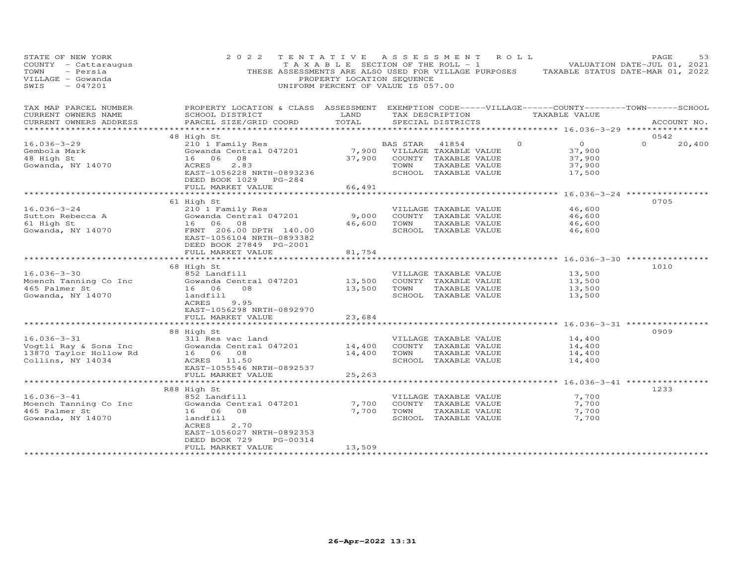| PROPERTY LOCATION & CLASS ASSESSMENT EXEMPTION CODE-----VILLAGE------COUNTY-------TOWN------SCHOOL<br>TAX MAP PARCEL NUMBER<br>CURRENT OWNERS NAME<br>SCHOOL DISTRICT<br>LAND<br>TAX DESCRIPTION<br>TAXABLE VALUE<br>CURRENT OWNERS ADDRESS<br>PARCEL SIZE/GRID COORD<br>TOTAL<br>SPECIAL DISTRICTS<br>ACCOUNT NO.<br>48 High St<br>0542<br>$\overline{O}$<br>$\Omega$<br>$16.036 - 3 - 29$<br>210 1 Family Res<br>BAS STAR<br>$\Omega$<br>20,400<br>41854<br>Gowanda Central 047201<br>7,900<br>Gembola Mark<br>VILLAGE TAXABLE VALUE<br>37,900<br>48 High St<br>16 06<br>08<br>37,900<br>COUNTY TAXABLE VALUE<br>37,900<br>ACRES<br>2.83<br>TOWN<br>TAXABLE VALUE<br>37,900<br>Gowanda, NY 14070<br>SCHOOL TAXABLE VALUE<br>EAST-1056228 NRTH-0893236<br>17,500<br>DEED BOOK 1029 PG-284<br>FULL MARKET VALUE<br>66,491<br>61 High St<br>0705<br>$16.036 - 3 - 24$<br>210 1 Family Res<br>46,600<br>VILLAGE TAXABLE VALUE<br>Sutton Rebecca A<br>Gowanda Central 047201<br>9,000<br>46,600<br>COUNTY TAXABLE VALUE<br>61 High St<br>16 06 08<br>TAXABLE VALUE<br>46,600<br>TOWN<br>46,600<br>Gowanda, NY 14070<br>FRNT 206.00 DPTH 140.00<br>SCHOOL TAXABLE VALUE<br>46,600<br>EAST-1056104 NRTH-0893382<br>DEED BOOK 27849 PG-2001<br>FULL MARKET VALUE<br>81,754<br>1010<br>68 High St<br>$16.036 - 3 - 30$<br>852 Landfill<br>VILLAGE TAXABLE VALUE<br>13,500<br>Moench Tanning Co Inc<br>Gowanda Central 047201<br>13,500<br>COUNTY TAXABLE VALUE<br>13,500<br>TAXABLE VALUE<br>465 Palmer St<br>16 06<br>08<br>13,500<br>TOWN<br>13,500<br>SCHOOL TAXABLE VALUE<br>Gowanda, NY 14070<br>landfill<br>13,500<br>ACRES<br>9.95<br>EAST-1056298 NRTH-0892970<br>FULL MARKET VALUE<br>23,684<br>88 High St<br>0909<br>$16.036 - 3 - 31$<br>311 Res vac land<br>VILLAGE TAXABLE VALUE<br>14,400<br>Vogtli Ray & Sons Inc<br>Gowanda Central 047201<br>14,400<br>14,400<br>COUNTY TAXABLE VALUE<br>16 06 08<br>TAXABLE VALUE<br>13870 Taylor Hollow Rd<br>14,400<br>TOWN<br>14,400<br>Collins, NY 14034<br>ACRES 11.50<br>SCHOOL TAXABLE VALUE<br>14,400<br>EAST-1055546 NRTH-0892537<br>FULL MARKET VALUE<br>25,263<br>****** 16.036-3-41 **********<br>1233<br>R88 High St<br>$16.036 - 3 - 41$<br>7,700<br>852 Landfill<br>VILLAGE TAXABLE VALUE<br>Moench Tanning Co Inc<br>Gowanda Central 047201<br>7,700<br>COUNTY TAXABLE VALUE<br>7,700<br>465 Palmer St<br>16 06<br>08<br>7,700<br>TOWN<br>TAXABLE VALUE<br>7,700<br>Gowanda, NY 14070<br>landfill<br>SCHOOL TAXABLE VALUE<br>7,700<br>ACRES<br>2.70<br>EAST-1056027 NRTH-0892353<br>DEED BOOK 729<br>PG-00314<br>13,509<br>FULL MARKET VALUE<br>*********************** | STATE OF NEW YORK<br>COUNTY - Cattaraugus<br>- Persia<br>TOWN<br>VILLAGE - Gowanda<br>$-047201$<br>SWIS | 2 0 2 2<br>THESE ASSESSMENTS ARE ALSO USED FOR VILLAGE PURPOSES | TENTATIVE ASSESSMENT<br>T A X A B L E SECTION OF THE ROLL - 1<br>PROPERTY LOCATION SEQUENCE<br>UNIFORM PERCENT OF VALUE IS 057.00 |  | R O L L | TAXABLE STATUS DATE-MAR 01, 2022 | PAGE<br>VALUATION DATE-JUL 01, 2021 | 53 |
|------------------------------------------------------------------------------------------------------------------------------------------------------------------------------------------------------------------------------------------------------------------------------------------------------------------------------------------------------------------------------------------------------------------------------------------------------------------------------------------------------------------------------------------------------------------------------------------------------------------------------------------------------------------------------------------------------------------------------------------------------------------------------------------------------------------------------------------------------------------------------------------------------------------------------------------------------------------------------------------------------------------------------------------------------------------------------------------------------------------------------------------------------------------------------------------------------------------------------------------------------------------------------------------------------------------------------------------------------------------------------------------------------------------------------------------------------------------------------------------------------------------------------------------------------------------------------------------------------------------------------------------------------------------------------------------------------------------------------------------------------------------------------------------------------------------------------------------------------------------------------------------------------------------------------------------------------------------------------------------------------------------------------------------------------------------------------------------------------------------------------------------------------------------------------------------------------------------------------------------------------------------------------------------------------------------------------------------------------------------------------------------------------------------------------------------------------------------------------------------------------------------------------------------------------------------------------------------------------------------------------------|---------------------------------------------------------------------------------------------------------|-----------------------------------------------------------------|-----------------------------------------------------------------------------------------------------------------------------------|--|---------|----------------------------------|-------------------------------------|----|
|                                                                                                                                                                                                                                                                                                                                                                                                                                                                                                                                                                                                                                                                                                                                                                                                                                                                                                                                                                                                                                                                                                                                                                                                                                                                                                                                                                                                                                                                                                                                                                                                                                                                                                                                                                                                                                                                                                                                                                                                                                                                                                                                                                                                                                                                                                                                                                                                                                                                                                                                                                                                                                    |                                                                                                         |                                                                 |                                                                                                                                   |  |         |                                  |                                     |    |
|                                                                                                                                                                                                                                                                                                                                                                                                                                                                                                                                                                                                                                                                                                                                                                                                                                                                                                                                                                                                                                                                                                                                                                                                                                                                                                                                                                                                                                                                                                                                                                                                                                                                                                                                                                                                                                                                                                                                                                                                                                                                                                                                                                                                                                                                                                                                                                                                                                                                                                                                                                                                                                    |                                                                                                         |                                                                 |                                                                                                                                   |  |         |                                  |                                     |    |
|                                                                                                                                                                                                                                                                                                                                                                                                                                                                                                                                                                                                                                                                                                                                                                                                                                                                                                                                                                                                                                                                                                                                                                                                                                                                                                                                                                                                                                                                                                                                                                                                                                                                                                                                                                                                                                                                                                                                                                                                                                                                                                                                                                                                                                                                                                                                                                                                                                                                                                                                                                                                                                    |                                                                                                         |                                                                 |                                                                                                                                   |  |         |                                  |                                     |    |
|                                                                                                                                                                                                                                                                                                                                                                                                                                                                                                                                                                                                                                                                                                                                                                                                                                                                                                                                                                                                                                                                                                                                                                                                                                                                                                                                                                                                                                                                                                                                                                                                                                                                                                                                                                                                                                                                                                                                                                                                                                                                                                                                                                                                                                                                                                                                                                                                                                                                                                                                                                                                                                    |                                                                                                         |                                                                 |                                                                                                                                   |  |         |                                  |                                     |    |
|                                                                                                                                                                                                                                                                                                                                                                                                                                                                                                                                                                                                                                                                                                                                                                                                                                                                                                                                                                                                                                                                                                                                                                                                                                                                                                                                                                                                                                                                                                                                                                                                                                                                                                                                                                                                                                                                                                                                                                                                                                                                                                                                                                                                                                                                                                                                                                                                                                                                                                                                                                                                                                    |                                                                                                         |                                                                 |                                                                                                                                   |  |         |                                  |                                     |    |
|                                                                                                                                                                                                                                                                                                                                                                                                                                                                                                                                                                                                                                                                                                                                                                                                                                                                                                                                                                                                                                                                                                                                                                                                                                                                                                                                                                                                                                                                                                                                                                                                                                                                                                                                                                                                                                                                                                                                                                                                                                                                                                                                                                                                                                                                                                                                                                                                                                                                                                                                                                                                                                    |                                                                                                         |                                                                 |                                                                                                                                   |  |         |                                  |                                     |    |
|                                                                                                                                                                                                                                                                                                                                                                                                                                                                                                                                                                                                                                                                                                                                                                                                                                                                                                                                                                                                                                                                                                                                                                                                                                                                                                                                                                                                                                                                                                                                                                                                                                                                                                                                                                                                                                                                                                                                                                                                                                                                                                                                                                                                                                                                                                                                                                                                                                                                                                                                                                                                                                    |                                                                                                         |                                                                 |                                                                                                                                   |  |         |                                  |                                     |    |
|                                                                                                                                                                                                                                                                                                                                                                                                                                                                                                                                                                                                                                                                                                                                                                                                                                                                                                                                                                                                                                                                                                                                                                                                                                                                                                                                                                                                                                                                                                                                                                                                                                                                                                                                                                                                                                                                                                                                                                                                                                                                                                                                                                                                                                                                                                                                                                                                                                                                                                                                                                                                                                    |                                                                                                         |                                                                 |                                                                                                                                   |  |         |                                  |                                     |    |
|                                                                                                                                                                                                                                                                                                                                                                                                                                                                                                                                                                                                                                                                                                                                                                                                                                                                                                                                                                                                                                                                                                                                                                                                                                                                                                                                                                                                                                                                                                                                                                                                                                                                                                                                                                                                                                                                                                                                                                                                                                                                                                                                                                                                                                                                                                                                                                                                                                                                                                                                                                                                                                    |                                                                                                         |                                                                 |                                                                                                                                   |  |         |                                  |                                     |    |
|                                                                                                                                                                                                                                                                                                                                                                                                                                                                                                                                                                                                                                                                                                                                                                                                                                                                                                                                                                                                                                                                                                                                                                                                                                                                                                                                                                                                                                                                                                                                                                                                                                                                                                                                                                                                                                                                                                                                                                                                                                                                                                                                                                                                                                                                                                                                                                                                                                                                                                                                                                                                                                    |                                                                                                         |                                                                 |                                                                                                                                   |  |         |                                  |                                     |    |
|                                                                                                                                                                                                                                                                                                                                                                                                                                                                                                                                                                                                                                                                                                                                                                                                                                                                                                                                                                                                                                                                                                                                                                                                                                                                                                                                                                                                                                                                                                                                                                                                                                                                                                                                                                                                                                                                                                                                                                                                                                                                                                                                                                                                                                                                                                                                                                                                                                                                                                                                                                                                                                    |                                                                                                         |                                                                 |                                                                                                                                   |  |         |                                  |                                     |    |
|                                                                                                                                                                                                                                                                                                                                                                                                                                                                                                                                                                                                                                                                                                                                                                                                                                                                                                                                                                                                                                                                                                                                                                                                                                                                                                                                                                                                                                                                                                                                                                                                                                                                                                                                                                                                                                                                                                                                                                                                                                                                                                                                                                                                                                                                                                                                                                                                                                                                                                                                                                                                                                    |                                                                                                         |                                                                 |                                                                                                                                   |  |         |                                  |                                     |    |
|                                                                                                                                                                                                                                                                                                                                                                                                                                                                                                                                                                                                                                                                                                                                                                                                                                                                                                                                                                                                                                                                                                                                                                                                                                                                                                                                                                                                                                                                                                                                                                                                                                                                                                                                                                                                                                                                                                                                                                                                                                                                                                                                                                                                                                                                                                                                                                                                                                                                                                                                                                                                                                    |                                                                                                         |                                                                 |                                                                                                                                   |  |         |                                  |                                     |    |
|                                                                                                                                                                                                                                                                                                                                                                                                                                                                                                                                                                                                                                                                                                                                                                                                                                                                                                                                                                                                                                                                                                                                                                                                                                                                                                                                                                                                                                                                                                                                                                                                                                                                                                                                                                                                                                                                                                                                                                                                                                                                                                                                                                                                                                                                                                                                                                                                                                                                                                                                                                                                                                    |                                                                                                         |                                                                 |                                                                                                                                   |  |         |                                  |                                     |    |
|                                                                                                                                                                                                                                                                                                                                                                                                                                                                                                                                                                                                                                                                                                                                                                                                                                                                                                                                                                                                                                                                                                                                                                                                                                                                                                                                                                                                                                                                                                                                                                                                                                                                                                                                                                                                                                                                                                                                                                                                                                                                                                                                                                                                                                                                                                                                                                                                                                                                                                                                                                                                                                    |                                                                                                         |                                                                 |                                                                                                                                   |  |         |                                  |                                     |    |
|                                                                                                                                                                                                                                                                                                                                                                                                                                                                                                                                                                                                                                                                                                                                                                                                                                                                                                                                                                                                                                                                                                                                                                                                                                                                                                                                                                                                                                                                                                                                                                                                                                                                                                                                                                                                                                                                                                                                                                                                                                                                                                                                                                                                                                                                                                                                                                                                                                                                                                                                                                                                                                    |                                                                                                         |                                                                 |                                                                                                                                   |  |         |                                  |                                     |    |
|                                                                                                                                                                                                                                                                                                                                                                                                                                                                                                                                                                                                                                                                                                                                                                                                                                                                                                                                                                                                                                                                                                                                                                                                                                                                                                                                                                                                                                                                                                                                                                                                                                                                                                                                                                                                                                                                                                                                                                                                                                                                                                                                                                                                                                                                                                                                                                                                                                                                                                                                                                                                                                    |                                                                                                         |                                                                 |                                                                                                                                   |  |         |                                  |                                     |    |
|                                                                                                                                                                                                                                                                                                                                                                                                                                                                                                                                                                                                                                                                                                                                                                                                                                                                                                                                                                                                                                                                                                                                                                                                                                                                                                                                                                                                                                                                                                                                                                                                                                                                                                                                                                                                                                                                                                                                                                                                                                                                                                                                                                                                                                                                                                                                                                                                                                                                                                                                                                                                                                    |                                                                                                         |                                                                 |                                                                                                                                   |  |         |                                  |                                     |    |
|                                                                                                                                                                                                                                                                                                                                                                                                                                                                                                                                                                                                                                                                                                                                                                                                                                                                                                                                                                                                                                                                                                                                                                                                                                                                                                                                                                                                                                                                                                                                                                                                                                                                                                                                                                                                                                                                                                                                                                                                                                                                                                                                                                                                                                                                                                                                                                                                                                                                                                                                                                                                                                    |                                                                                                         |                                                                 |                                                                                                                                   |  |         |                                  |                                     |    |
|                                                                                                                                                                                                                                                                                                                                                                                                                                                                                                                                                                                                                                                                                                                                                                                                                                                                                                                                                                                                                                                                                                                                                                                                                                                                                                                                                                                                                                                                                                                                                                                                                                                                                                                                                                                                                                                                                                                                                                                                                                                                                                                                                                                                                                                                                                                                                                                                                                                                                                                                                                                                                                    |                                                                                                         |                                                                 |                                                                                                                                   |  |         |                                  |                                     |    |
|                                                                                                                                                                                                                                                                                                                                                                                                                                                                                                                                                                                                                                                                                                                                                                                                                                                                                                                                                                                                                                                                                                                                                                                                                                                                                                                                                                                                                                                                                                                                                                                                                                                                                                                                                                                                                                                                                                                                                                                                                                                                                                                                                                                                                                                                                                                                                                                                                                                                                                                                                                                                                                    |                                                                                                         |                                                                 |                                                                                                                                   |  |         |                                  |                                     |    |
|                                                                                                                                                                                                                                                                                                                                                                                                                                                                                                                                                                                                                                                                                                                                                                                                                                                                                                                                                                                                                                                                                                                                                                                                                                                                                                                                                                                                                                                                                                                                                                                                                                                                                                                                                                                                                                                                                                                                                                                                                                                                                                                                                                                                                                                                                                                                                                                                                                                                                                                                                                                                                                    |                                                                                                         |                                                                 |                                                                                                                                   |  |         |                                  |                                     |    |
|                                                                                                                                                                                                                                                                                                                                                                                                                                                                                                                                                                                                                                                                                                                                                                                                                                                                                                                                                                                                                                                                                                                                                                                                                                                                                                                                                                                                                                                                                                                                                                                                                                                                                                                                                                                                                                                                                                                                                                                                                                                                                                                                                                                                                                                                                                                                                                                                                                                                                                                                                                                                                                    |                                                                                                         |                                                                 |                                                                                                                                   |  |         |                                  |                                     |    |
|                                                                                                                                                                                                                                                                                                                                                                                                                                                                                                                                                                                                                                                                                                                                                                                                                                                                                                                                                                                                                                                                                                                                                                                                                                                                                                                                                                                                                                                                                                                                                                                                                                                                                                                                                                                                                                                                                                                                                                                                                                                                                                                                                                                                                                                                                                                                                                                                                                                                                                                                                                                                                                    |                                                                                                         |                                                                 |                                                                                                                                   |  |         |                                  |                                     |    |
|                                                                                                                                                                                                                                                                                                                                                                                                                                                                                                                                                                                                                                                                                                                                                                                                                                                                                                                                                                                                                                                                                                                                                                                                                                                                                                                                                                                                                                                                                                                                                                                                                                                                                                                                                                                                                                                                                                                                                                                                                                                                                                                                                                                                                                                                                                                                                                                                                                                                                                                                                                                                                                    |                                                                                                         |                                                                 |                                                                                                                                   |  |         |                                  |                                     |    |
|                                                                                                                                                                                                                                                                                                                                                                                                                                                                                                                                                                                                                                                                                                                                                                                                                                                                                                                                                                                                                                                                                                                                                                                                                                                                                                                                                                                                                                                                                                                                                                                                                                                                                                                                                                                                                                                                                                                                                                                                                                                                                                                                                                                                                                                                                                                                                                                                                                                                                                                                                                                                                                    |                                                                                                         |                                                                 |                                                                                                                                   |  |         |                                  |                                     |    |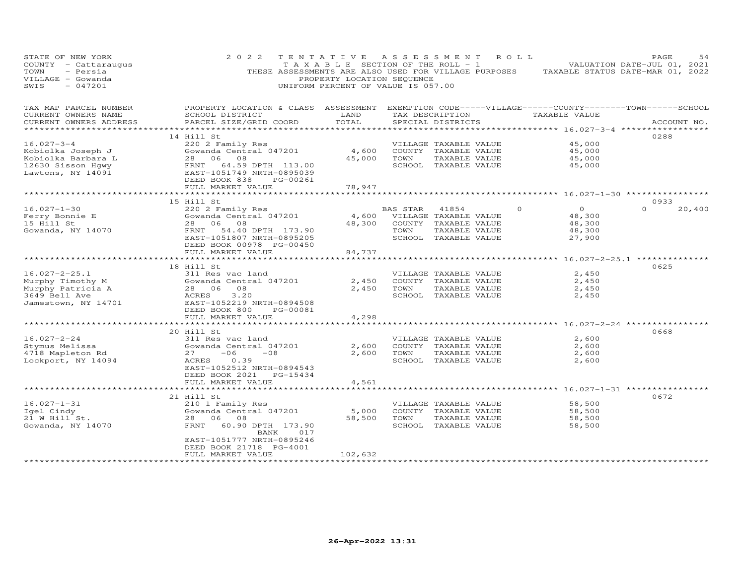| STATE OF NEW YORK<br>COUNTY - Cattaraugus<br>TOWN<br>- Persia<br>VILLAGE - Gowanda<br>SWIS<br>$-047201$ | 2 0 2 2<br>THESE ASSESSMENTS ARE ALSO USED FOR VILLAGE PURPOSES                                                                                                  | TENTATIVE<br>T A X A B L E SECTION OF THE ROLL - 1<br>PROPERTY LOCATION SEQUENCE<br>UNIFORM PERCENT OF VALUE IS 057.00 | ASSESSMENT       |                                                                                                 | R O L L  | TAXABLE STATUS DATE-MAR 01, 2022                       | PAGE<br>VALUATION DATE-JUL 01, 2021 | 54     |
|---------------------------------------------------------------------------------------------------------|------------------------------------------------------------------------------------------------------------------------------------------------------------------|------------------------------------------------------------------------------------------------------------------------|------------------|-------------------------------------------------------------------------------------------------|----------|--------------------------------------------------------|-------------------------------------|--------|
| TAX MAP PARCEL NUMBER<br>CURRENT OWNERS NAME<br>CURRENT OWNERS ADDRESS                                  | PROPERTY LOCATION & CLASS ASSESSMENT EXEMPTION CODE-----VILLAGE------COUNTY-------TOWN------SCHOOL<br>SCHOOL DISTRICT<br>PARCEL SIZE/GRID COORD                  | LAND<br>TOTAL                                                                                                          |                  | TAX DESCRIPTION<br>SPECIAL DISTRICTS                                                            |          | TAXABLE VALUE<br>********** 16.027-3-4 ****            | ACCOUNT NO.                         |        |
| $16.027 - 3 - 4$<br>Kobiolka Joseph J<br>Kobiolka Barbara L<br>12630 Sisson Hqwy<br>Lawtons, NY 14091   | 14 Hill St<br>220 2 Family Res<br>Gowanda Central 047201<br>28 06<br>08<br>FRNT 64.59 DPTH 113.00<br>EAST-1051749 NRTH-0895039                                   | 4,600<br>45,000                                                                                                        | TOWN             | VILLAGE TAXABLE VALUE<br>COUNTY TAXABLE VALUE<br>TAXABLE VALUE<br>SCHOOL TAXABLE VALUE          |          | 45,000<br>45,000<br>45,000<br>45,000                   | 0288                                |        |
|                                                                                                         | DEED BOOK 838<br>PG-00261<br>FULL MARKET VALUE<br>*********************                                                                                          | 78,947                                                                                                                 |                  |                                                                                                 |          | *********** 16.027-1-30 ****************               |                                     |        |
| $16.027 - 1 - 30$<br>Ferry Bonnie E<br>15 Hill St<br>Gowanda, NY 14070                                  | 15 Hill St<br>220 2 Family Res<br>Gowanda Central 047201<br>28<br>06<br>08<br>54.40 DPTH 173.90<br>FRNT<br>EAST-1051807 NRTH-0895205<br>DEED BOOK 00978 PG-00450 | 4,600<br>48,300                                                                                                        | BAS STAR<br>TOWN | 41854<br>VILLAGE TAXABLE VALUE<br>COUNTY TAXABLE VALUE<br>TAXABLE VALUE<br>SCHOOL TAXABLE VALUE | $\Omega$ | $\overline{O}$<br>48,300<br>48,300<br>48,300<br>27,900 | 0933<br>$\Omega$                    | 20,400 |
|                                                                                                         | FULL MARKET VALUE                                                                                                                                                | 84,737                                                                                                                 |                  |                                                                                                 |          |                                                        | $16.027 - 2 - 25.1$ ********        |        |
| $16.027 - 2 - 25.1$<br>Murphy Timothy M<br>Murphy Patricia A<br>3649 Bell Ave<br>Jamestown, NY 14701    | 18 Hill St<br>311 Res vac land<br>Gowanda Central 047201<br>28 06<br>08<br>ACRES<br>3.20<br>EAST-1052219 NRTH-0894508<br>DEED BOOK 800<br>PG-00081               | 2,450<br>2,450                                                                                                         | TOWN             | VILLAGE TAXABLE VALUE<br>COUNTY TAXABLE VALUE<br>TAXABLE VALUE<br>SCHOOL TAXABLE VALUE          |          | 2,450<br>2,450<br>2,450<br>2,450                       | 0625                                |        |
|                                                                                                         | FULL MARKET VALUE<br>***********************                                                                                                                     | 4,298                                                                                                                  |                  |                                                                                                 |          | ************* 16.027-2-24 **************               |                                     |        |
| $16.027 - 2 - 24$<br>Stymus Melissa<br>4718 Mapleton Rd<br>Lockport, NY 14094                           | 20 Hill St<br>311 Res vac land<br>Gowanda Central 047201<br>$-06$<br>27<br>$-08$<br>ACRES<br>0.39<br>EAST-1052512 NRTH-0894543<br>DEED BOOK 2021<br>PG-15434     | 2,600<br>2,600                                                                                                         | TOWN             | VILLAGE TAXABLE VALUE<br>COUNTY TAXABLE VALUE<br>TAXABLE VALUE<br>SCHOOL TAXABLE VALUE          |          | 2,600<br>2,600<br>2,600<br>2,600                       | 0668                                |        |
|                                                                                                         | FULL MARKET VALUE                                                                                                                                                | 4,561                                                                                                                  |                  |                                                                                                 |          | *********** 16.027-1-31 ***********                    |                                     |        |
| $16.027 - 1 - 31$<br>Igel Cindy<br>21 W Hill St.<br>Gowanda, NY 14070                                   | 21 Hill St<br>210 1 Family Res<br>Gowanda Central 047201<br>28<br>06<br>08<br>FRNT<br>60.90 DPTH 173.90<br>017<br>BANK<br>EAST-1051777 NRTH-0895246              | 5,000<br>58,500                                                                                                        | TOWN             | VILLAGE TAXABLE VALUE<br>COUNTY TAXABLE VALUE<br>TAXABLE VALUE<br>SCHOOL TAXABLE VALUE          |          | 58,500<br>58,500<br>58,500<br>58,500                   | 0672                                |        |
|                                                                                                         | DEED BOOK 21718 PG-4001<br>FULL MARKET VALUE                                                                                                                     | 102,632                                                                                                                |                  |                                                                                                 |          |                                                        |                                     |        |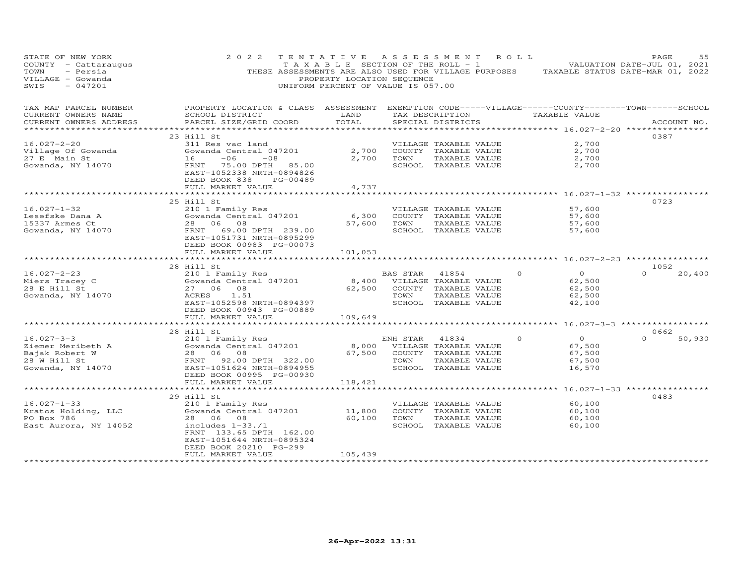| STATE OF NEW YORK<br>COUNTY - Cattaraugus<br>TOWN<br>- Persia<br>VILLAGE - Gowanda<br>SWIS<br>$-047201$ | 2 0 2 2<br>THESE ASSESSMENTS ARE ALSO USED FOR VILLAGE PURPOSES                                                                                                                          | TENTATIVE<br>T A X A B L E SECTION OF THE ROLL - 1<br>PROPERTY LOCATION SEQUENCE<br>UNIFORM PERCENT OF VALUE IS 057.00 | A S S E S S M E N T |                                                                                                 | R O L L  | TAXABLE STATUS DATE-MAR 01, 2022                           | PAGE<br>VALUATION DATE-JUL 01, 2021 | 55     |
|---------------------------------------------------------------------------------------------------------|------------------------------------------------------------------------------------------------------------------------------------------------------------------------------------------|------------------------------------------------------------------------------------------------------------------------|---------------------|-------------------------------------------------------------------------------------------------|----------|------------------------------------------------------------|-------------------------------------|--------|
| TAX MAP PARCEL NUMBER<br>CURRENT OWNERS NAME<br>CURRENT OWNERS ADDRESS                                  | PROPERTY LOCATION & CLASS ASSESSMENT EXEMPTION CODE-----VILLAGE------COUNTY-------TOWN------SCHOOL<br>SCHOOL DISTRICT<br>PARCEL SIZE/GRID COORD                                          | LAND<br>TOTAL                                                                                                          |                     | TAX DESCRIPTION<br>SPECIAL DISTRICTS                                                            |          | TAXABLE VALUE<br>********** 16.027-2-20 *********          | ACCOUNT NO.                         |        |
| $16.027 - 2 - 20$<br>Village Of Gowanda<br>27 E Main St<br>Gowanda, NY 14070                            | 23 Hill St<br>311 Res vac land<br>Gowanda Central 047201<br>$-06$<br>16<br>$-08$<br>FRNT 75.00 DPTH 85.00<br>EAST-1052338 NRTH-0894826<br>DEED BOOK 838<br>PG-00489<br>FULL MARKET VALUE | 2,700<br>2,700<br>4,737                                                                                                | TOWN                | VILLAGE TAXABLE VALUE<br>COUNTY TAXABLE VALUE<br>TAXABLE VALUE<br>SCHOOL TAXABLE VALUE          |          | 2,700<br>2,700<br>2,700<br>2,700                           | 0387                                |        |
| $16.027 - 1 - 32$<br>Lesefske Dana A                                                                    | *******************<br>25 Hill St<br>210 1 Family Res<br>Gowanda Central 047201                                                                                                          | 6,300                                                                                                                  |                     | VILLAGE TAXABLE VALUE<br>COUNTY TAXABLE VALUE                                                   |          | *********** 16.027-1-32 **************<br>57,600<br>57,600 | 0723                                |        |
| 15337 Armes Ct<br>Gowanda, NY 14070                                                                     | 28 06<br>08<br>69.00 DPTH 239.00<br>FRNT<br>EAST-1051731 NRTH-0895299<br>DEED BOOK 00983 PG-00073<br>FULL MARKET VALUE                                                                   | 57,600<br>101,053                                                                                                      | TOWN                | TAXABLE VALUE<br>SCHOOL TAXABLE VALUE                                                           |          | 57,600<br>57,600                                           |                                     |        |
|                                                                                                         |                                                                                                                                                                                          |                                                                                                                        |                     |                                                                                                 |          | $16.027 - 2 - 23$ *********                                |                                     |        |
| $16.027 - 2 - 23$<br>Miers Tracey C<br>28 E Hill St<br>Gowanda, NY 14070                                | 28 Hill St<br>210 1 Family Res<br>Gowanda Central 047201<br>27 06 08<br>ACRES<br>1.51<br>EAST-1052598 NRTH-0894397<br>DEED BOOK 00943 PG-00889<br>FULL MARKET VALUE                      | 8,400<br>62,500<br>109,649                                                                                             | BAS STAR<br>TOWN    | 41854<br>VILLAGE TAXABLE VALUE<br>COUNTY TAXABLE VALUE<br>TAXABLE VALUE<br>SCHOOL TAXABLE VALUE | $\Omega$ | $\overline{0}$<br>62,500<br>62,500<br>62,500<br>42,100     | 1052<br>$\Omega$                    | 20,400 |
|                                                                                                         |                                                                                                                                                                                          | ***********                                                                                                            |                     |                                                                                                 |          | ********** 16.027-3-3 ******************                   |                                     |        |
| $16.027 - 3 - 3$<br>Ziemer Meribeth A<br>Bajak Robert W<br>28 W Hill St<br>Gowanda, NY 14070            | 28 Hill St<br>210 1 Family Res<br>Gowanda Central 047201<br>28<br>06 08<br>FRNT 92.00 DPTH 322.00<br>EAST-1051624 NRTH-0894955<br>DEED BOOK 00995 PG-00930<br>FULL MARKET VALUE          | 8,000<br>67,500<br>118,421                                                                                             | ENH STAR<br>TOWN    | 41834<br>VILLAGE TAXABLE VALUE<br>COUNTY TAXABLE VALUE<br>TAXABLE VALUE<br>SCHOOL TAXABLE VALUE | $\circ$  | $\circ$<br>67,500<br>67,500<br>67,500<br>16,570            | 0662<br>$\Omega$                    | 50,930 |
|                                                                                                         |                                                                                                                                                                                          |                                                                                                                        |                     |                                                                                                 |          | ******** 16.027-1-33 *************                         |                                     |        |
| $16.027 - 1 - 33$<br>Kratos Holding, LLC<br>PO Box 786<br>East Aurora, NY 14052                         | 29 Hill St<br>210 1 Family Res<br>Gowanda Central 047201<br>28<br>06<br>08<br>includes $1-33$ ./1<br>FRNT 133.65 DPTH 162.00<br>EAST-1051644 NRTH-0895324<br>DEED BOOK 20210 PG-299      | 11,800<br>60,100                                                                                                       | TOWN                | VILLAGE TAXABLE VALUE<br>COUNTY TAXABLE VALUE<br>TAXABLE VALUE<br>SCHOOL TAXABLE VALUE          |          | 60,100<br>60,100<br>60,100<br>60,100                       | 0483                                |        |
|                                                                                                         | FULL MARKET VALUE                                                                                                                                                                        | 105,439                                                                                                                |                     |                                                                                                 |          |                                                            |                                     |        |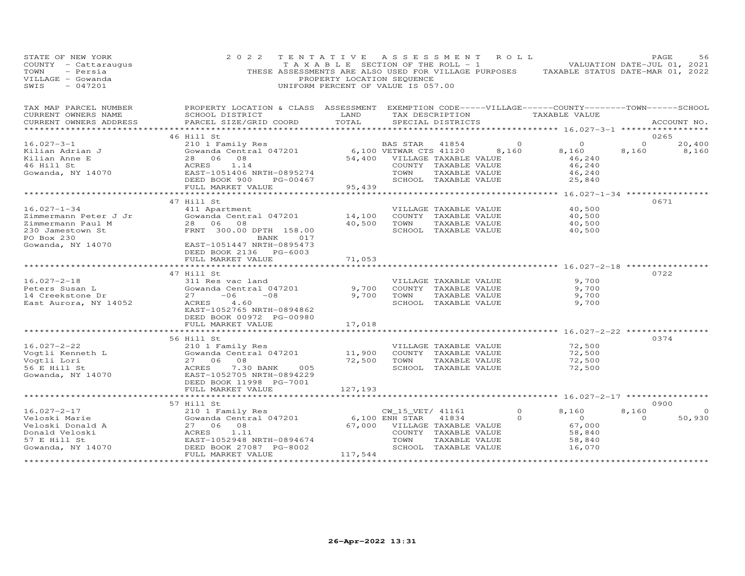| STATE OF NEW YORK<br>COUNTY - Cattaraugus<br>TOWN<br>- Persia<br>VILLAGE - Gowanda<br>$-047201$<br>SWIS | 2 0 2 2<br>THESE ASSESSMENTS ARE ALSO USED FOR VILLAGE PURPOSES                                    | TENTATIVE<br>T A X A B L E SECTION OF THE ROLL - 1<br>PROPERTY LOCATION SEQUENCE<br>UNIFORM PERCENT OF VALUE IS 057.00 |                                    | ASSESSMENT                                    | R O L L        | VALUATION DATE-JUL 01, 2021<br>TAXABLE STATUS DATE-MAR 01, 2022 |          | PAGE        | 56             |
|---------------------------------------------------------------------------------------------------------|----------------------------------------------------------------------------------------------------|------------------------------------------------------------------------------------------------------------------------|------------------------------------|-----------------------------------------------|----------------|-----------------------------------------------------------------|----------|-------------|----------------|
| TAX MAP PARCEL NUMBER                                                                                   | PROPERTY LOCATION & CLASS ASSESSMENT EXEMPTION CODE-----VILLAGE------COUNTY-------TOWN------SCHOOL |                                                                                                                        |                                    |                                               |                |                                                                 |          |             |                |
| CURRENT OWNERS NAME<br>CURRENT OWNERS ADDRESS                                                           | SCHOOL DISTRICT<br>PARCEL SIZE/GRID COORD                                                          | LAND<br>TOTAL                                                                                                          |                                    | TAX DESCRIPTION<br>SPECIAL DISTRICTS          |                | TAXABLE VALUE                                                   |          |             |                |
|                                                                                                         |                                                                                                    |                                                                                                                        |                                    |                                               |                |                                                                 |          | ACCOUNT NO. |                |
|                                                                                                         | 46 Hill St                                                                                         |                                                                                                                        |                                    |                                               |                |                                                                 |          | 0265        |                |
| $16.027 - 3 - 1$                                                                                        | 210 1 Family Res<br>Gowanda Central 047201                                                         |                                                                                                                        | BAS STAR                           | 41854                                         | $\overline{0}$ | $\circ$                                                         | $\Omega$ |             | 20,400         |
| Kilian Adrian J                                                                                         |                                                                                                    |                                                                                                                        |                                    | 6,100 VETWAR CTS 41120                        | 8,160          | 8,160                                                           | 8,160    |             | 8,160          |
| Kilian Anne E                                                                                           | 28 06 08                                                                                           |                                                                                                                        |                                    | 54,400 VILLAGE TAXABLE VALUE                  |                | 46,240                                                          |          |             |                |
| 46 Hill St                                                                                              | ACRES<br>1.14                                                                                      |                                                                                                                        |                                    | COUNTY TAXABLE VALUE                          |                | 46,240                                                          |          |             |                |
| Gowanda, NY 14070                                                                                       | EAST-1051406 NRTH-0895274<br>DEED BOOK 900<br>PG-00467                                             |                                                                                                                        | TOWN                               | TAXABLE VALUE<br>SCHOOL TAXABLE VALUE         |                | 46,240<br>25,840                                                |          |             |                |
|                                                                                                         | FULL MARKET VALUE                                                                                  | 95,439                                                                                                                 |                                    |                                               |                |                                                                 |          |             |                |
|                                                                                                         | ********************                                                                               |                                                                                                                        |                                    |                                               |                | ************* 16.027-1-34 *****************                     |          |             |                |
|                                                                                                         | 47 Hill St                                                                                         |                                                                                                                        |                                    |                                               |                |                                                                 |          | 0671        |                |
| $16.027 - 1 - 34$                                                                                       | 411 Apartment                                                                                      |                                                                                                                        |                                    | VILLAGE TAXABLE VALUE                         |                | 40,500                                                          |          |             |                |
| Zimmermann Peter J Jr                                                                                   | Gowanda Central 047201                                                                             | 14,100                                                                                                                 |                                    | COUNTY TAXABLE VALUE                          |                | 40,500                                                          |          |             |                |
| Zimmermann Paul M                                                                                       | 28 06<br>08                                                                                        | 40,500                                                                                                                 | TOWN                               | TAXABLE VALUE                                 |                | 40,500                                                          |          |             |                |
| 230 Jamestown St<br>PO Box 230                                                                          | FRNT 300.00 DPTH 158.00<br>BANK<br>017                                                             |                                                                                                                        |                                    | SCHOOL TAXABLE VALUE                          |                | 40,500                                                          |          |             |                |
| Gowanda, NY 14070                                                                                       | EAST-1051447 NRTH-0895473<br>DEED BOOK 2136 PG-6003                                                |                                                                                                                        |                                    |                                               |                |                                                                 |          |             |                |
|                                                                                                         | FULL MARKET VALUE                                                                                  | 71,053                                                                                                                 |                                    |                                               |                |                                                                 |          |             |                |
|                                                                                                         | **********************                                                                             | * * * * * * * * * * *                                                                                                  |                                    |                                               |                | ***************** 16.027-2-18 *************                     |          |             |                |
|                                                                                                         | 47 Hill St                                                                                         |                                                                                                                        |                                    |                                               |                |                                                                 |          | 0722        |                |
| $16.027 - 2 - 18$<br>Peters Susan L                                                                     | 311 Res vac land<br>Gowanda Central 047201                                                         | 9,700                                                                                                                  |                                    | VILLAGE TAXABLE VALUE<br>COUNTY TAXABLE VALUE |                | 9,700<br>9,700                                                  |          |             |                |
| 14 Creekstone Dr                                                                                        | 27<br>$-06$<br>$-08$                                                                               | 9,700                                                                                                                  | TOWN                               | TAXABLE VALUE                                 |                | 9,700                                                           |          |             |                |
| East Aurora, NY 14052                                                                                   | ACRES<br>4.60                                                                                      |                                                                                                                        |                                    | SCHOOL TAXABLE VALUE                          |                | 9,700                                                           |          |             |                |
|                                                                                                         | EAST-1052765 NRTH-0894862                                                                          |                                                                                                                        |                                    |                                               |                |                                                                 |          |             |                |
|                                                                                                         | DEED BOOK 00972 PG-00980                                                                           |                                                                                                                        |                                    |                                               |                |                                                                 |          |             |                |
|                                                                                                         | FULL MARKET VALUE                                                                                  | 17,018                                                                                                                 |                                    |                                               |                |                                                                 |          |             |                |
|                                                                                                         |                                                                                                    | ********                                                                                                               |                                    |                                               |                | ********* 16.027-2-22 **********                                |          |             |                |
| $16.027 - 2 - 22$                                                                                       | 56 Hill St<br>210 1 Family Res                                                                     |                                                                                                                        |                                    | VILLAGE TAXABLE VALUE                         |                | 72,500                                                          |          | 0374        |                |
| Vogtli Kenneth L                                                                                        | Gowanda Central 047201                                                                             | 11,900                                                                                                                 |                                    | COUNTY TAXABLE VALUE                          |                | 72,500                                                          |          |             |                |
| Voqtli Lori                                                                                             | 27 06<br>08                                                                                        | 72,500                                                                                                                 | TOWN                               | TAXABLE VALUE                                 |                | 72,500                                                          |          |             |                |
| 56 E Hill St                                                                                            | ACRES<br>7.30 BANK<br>005                                                                          |                                                                                                                        |                                    | SCHOOL TAXABLE VALUE                          |                | 72,500                                                          |          |             |                |
| Gowanda, NY 14070                                                                                       | EAST-1052705 NRTH-0894229                                                                          |                                                                                                                        |                                    |                                               |                |                                                                 |          |             |                |
|                                                                                                         | DEED BOOK 11998 PG-7001                                                                            |                                                                                                                        |                                    |                                               |                |                                                                 |          |             |                |
|                                                                                                         | FULL MARKET VALUE                                                                                  | 127,193                                                                                                                |                                    |                                               |                |                                                                 |          |             |                |
|                                                                                                         | ******************************                                                                     |                                                                                                                        |                                    |                                               |                |                                                                 |          |             |                |
| $16.027 - 2 - 17$                                                                                       | 57 Hill St<br>210 1 Family Res                                                                     |                                                                                                                        |                                    |                                               | $\circ$        | 8,160                                                           | 8,160    | 0900        | $\overline{0}$ |
| Veloski Marie                                                                                           | Gowanda Central 047201                                                                             |                                                                                                                        | CW_15_VET/ 41161<br>6,100 ENH STAR | 41834                                         | $\Omega$       | $\Omega$                                                        | $\Omega$ |             | 50,930         |
| Veloski Donald A                                                                                        | 27 06 08                                                                                           | 67,000                                                                                                                 |                                    | VILLAGE TAXABLE VALUE                         |                | 67,000                                                          |          |             |                |
| Donald Veloski                                                                                          | ACRES<br>1.11                                                                                      |                                                                                                                        |                                    | COUNTY TAXABLE VALUE                          |                | 58,840                                                          |          |             |                |
| 57 E Hill St                                                                                            | EAST-1052948 NRTH-0894674                                                                          |                                                                                                                        | TOWN                               | TAXABLE VALUE                                 |                | 58,840                                                          |          |             |                |
| Gowanda, NY 14070                                                                                       | DEED BOOK 27087 PG-8002                                                                            |                                                                                                                        |                                    | SCHOOL TAXABLE VALUE                          |                | 16,070                                                          |          |             |                |
|                                                                                                         | FULL MARKET VALUE<br>**********************************                                            | 117,544<br>*******************                                                                                         |                                    |                                               |                |                                                                 |          |             |                |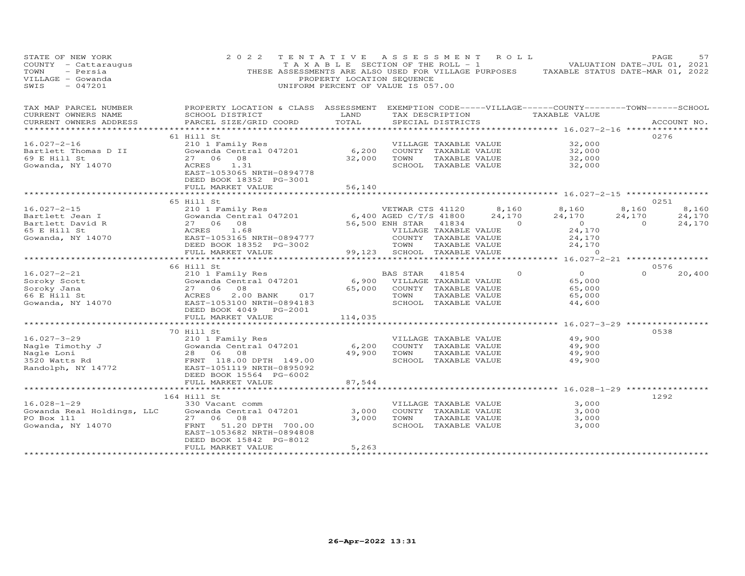| STATE OF NEW YORK<br>COUNTY - Cattaraugus<br>- Persia<br>TOWN<br>VILLAGE - Gowanda<br>SWIS<br>$-047201$                                                                                                                                           | 2 0 2 2                                                                                                                                                                                                                        | TENTATIVE ASSESSMENT ROLL<br>PROPERTY LOCATION SEQUENCE<br>UNIFORM PERCENT OF VALUE IS 057.00 |                              |               |                        | TAXABLE SECTION OF THE ROLL - 1 VIII VALUATION DATE-JUL 01, 2021<br>THESE ASSESSMENTS ARE ALSO USED FOR VILLAGE PURPOSES TAXABLE STATUS DATE-MAR 01, 2022 | PAGE           | 57          |
|---------------------------------------------------------------------------------------------------------------------------------------------------------------------------------------------------------------------------------------------------|--------------------------------------------------------------------------------------------------------------------------------------------------------------------------------------------------------------------------------|-----------------------------------------------------------------------------------------------|------------------------------|---------------|------------------------|-----------------------------------------------------------------------------------------------------------------------------------------------------------|----------------|-------------|
| TAX MAP PARCEL NUMBER FROPERTY LOCATION & CLASS ASSESSMENT EXEMPTION CODE-----VILLAGE------COUNTY-------TOWN------SCHOOL                                                                                                                          |                                                                                                                                                                                                                                |                                                                                               |                              |               |                        |                                                                                                                                                           |                |             |
| CURRENT OWNERS NAME<br>CURRENT OWNERS ADDRESS                                                                                                                                                                                                     | SCHOOL DISTRICT<br>PARCEL SIZE/GRID COORD                                                                                                                                                                                      | <b>EXAMPLE AND LAND</b><br>TOTAL                                                              | SPECIAL DISTRICTS            |               |                        | TAX DESCRIPTION TAXABLE VALUE                                                                                                                             |                | ACCOUNT NO. |
|                                                                                                                                                                                                                                                   |                                                                                                                                                                                                                                |                                                                                               |                              |               |                        |                                                                                                                                                           |                |             |
|                                                                                                                                                                                                                                                   | 61 Hill St                                                                                                                                                                                                                     |                                                                                               |                              |               |                        |                                                                                                                                                           | 0276           |             |
| $16.027 - 2 - 16$                                                                                                                                                                                                                                 | 210 1 Family Res                                                                                                                                                                                                               |                                                                                               |                              |               | VILLAGE TAXABLE VALUE  | 32,000                                                                                                                                                    |                |             |
| Bartlett Thomas D II                                                                                                                                                                                                                              | External of the community response to the country that the contral of the country that the country that the country that the country that the country that the country that the country that the country that the country of t |                                                                                               |                              |               |                        | 32,000                                                                                                                                                    |                |             |
| 69 E Hill St                                                                                                                                                                                                                                      | 27 06 08                                                                                                                                                                                                                       |                                                                                               | 32,000 TOWN TAXABLE VALUE    |               |                        | 32,000                                                                                                                                                    |                |             |
| Gowanda, NY 14070                                                                                                                                                                                                                                 | 1.31<br>ACRES<br>EAST-1053065 NRTH-0894778<br>DEED BOOK 18352 PG-3001                                                                                                                                                          |                                                                                               | SCHOOL TAXABLE VALUE         |               |                        | 32,000                                                                                                                                                    |                |             |
|                                                                                                                                                                                                                                                   | FULL MARKET VALUE<br>***********************                                                                                                                                                                                   | 56,140                                                                                        |                              |               |                        |                                                                                                                                                           |                |             |
|                                                                                                                                                                                                                                                   | 65 Hill St                                                                                                                                                                                                                     |                                                                                               |                              |               |                        |                                                                                                                                                           |                | 0251        |
| $16.027 - 2 - 15$                                                                                                                                                                                                                                 |                                                                                                                                                                                                                                |                                                                                               |                              |               | VETWAR CTS 41120 8,160 | 8,160                                                                                                                                                     | 8,160          | 8,160       |
|                                                                                                                                                                                                                                                   |                                                                                                                                                                                                                                |                                                                                               |                              |               | 24,170                 | 24,170                                                                                                                                                    | 24,170         | 24,170      |
|                                                                                                                                                                                                                                                   |                                                                                                                                                                                                                                |                                                                                               |                              |               | $\sim$ 0               | $\overline{0}$                                                                                                                                            | $\overline{0}$ | 24,170      |
|                                                                                                                                                                                                                                                   |                                                                                                                                                                                                                                |                                                                                               | VILLAGE TAXABLE VALUE        |               |                        |                                                                                                                                                           |                |             |
|                                                                                                                                                                                                                                                   |                                                                                                                                                                                                                                |                                                                                               | COUNTY TAXABLE VALUE         |               |                        |                                                                                                                                                           |                |             |
| Bartlett Jean I (Gowanda Central 047201 6<br>Bartlett David R 27 06 08 56<br>65 E Hill St ACRES 1.68<br>Gowanda, NY 14070 BEED-1053165 NRTH-0894777<br>DEED-1053165 NRTH-0894777<br>DEED-10531652 PG-3002<br>FULL MARKET VALUE 99                 | FULL MARKET VALUE                                                                                                                                                                                                              |                                                                                               | 99,123 SCHOOL TAXABLE VALUE  | TAXABLE VALUE |                        |                                                                                                                                                           |                |             |
|                                                                                                                                                                                                                                                   | *************************                                                                                                                                                                                                      | $-3002$<br>$\begin{array}{ccc}\n-3002 & 99,123 \\ \hline\n\end{array}$                        |                              |               |                        | 24, 1 / v<br>24, 170<br>24, 170<br>16, 027                                                                                                                |                |             |
|                                                                                                                                                                                                                                                   | 66 Hill St                                                                                                                                                                                                                     |                                                                                               |                              |               |                        |                                                                                                                                                           | 0576           |             |
| $16.027 - 2 - 21$                                                                                                                                                                                                                                 | 210 1 Family Res<br>Gowanda Central 047201 6,900 VILLAGE TAXABLE VALUE<br>27 06 08 65,000 COUNTY TAXABLE VALUE                                                                                                                 |                                                                                               |                              | 41854         | $\Omega$               | $0$<br>65.000                                                                                                                                             | $\Omega$       | 20,400      |
|                                                                                                                                                                                                                                                   |                                                                                                                                                                                                                                |                                                                                               |                              |               |                        | 65,000                                                                                                                                                    |                |             |
|                                                                                                                                                                                                                                                   |                                                                                                                                                                                                                                |                                                                                               | 65,000 COUNTY TAXABLE VALUE  |               |                        | 65,000                                                                                                                                                    |                |             |
|                                                                                                                                                                                                                                                   |                                                                                                                                                                                                                                |                                                                                               | TOWN                         | TAXABLE VALUE |                        | 65,000                                                                                                                                                    |                |             |
| Soroky Scott<br>Soroky Jana 327 06 08<br>66 E Hill St 3000 27 06 08<br>Gowanda, NY 14070 2000 2000 2000 2000 2017<br>EAST-1053100 NRTH-0894183<br>DEED BOOK 4049 PG-2001                                                                          | DEED BOOK 4049 PG-2001                                                                                                                                                                                                         |                                                                                               | SCHOOL TAXABLE VALUE         |               |                        | 44,600                                                                                                                                                    |                |             |
|                                                                                                                                                                                                                                                   | FULL MARKET VALUE                                                                                                                                                                                                              | 114,035                                                                                       |                              |               |                        |                                                                                                                                                           |                |             |
|                                                                                                                                                                                                                                                   | ************************                                                                                                                                                                                                       |                                                                                               |                              |               |                        | *********** 16.027-3-29 ************                                                                                                                      |                |             |
|                                                                                                                                                                                                                                                   | 70 Hill St                                                                                                                                                                                                                     |                                                                                               |                              |               |                        |                                                                                                                                                           | 0538           |             |
|                                                                                                                                                                                                                                                   |                                                                                                                                                                                                                                |                                                                                               | VILLAGE TAXABLE VALUE        |               |                        | 49,900                                                                                                                                                    |                |             |
|                                                                                                                                                                                                                                                   |                                                                                                                                                                                                                                | 6,200                                                                                         | COUNTY TAXABLE VALUE         |               |                        | 49,900                                                                                                                                                    |                |             |
|                                                                                                                                                                                                                                                   |                                                                                                                                                                                                                                | 49,900                                                                                        | TOWN                         | TAXABLE VALUE |                        | 49,900                                                                                                                                                    |                |             |
|                                                                                                                                                                                                                                                   |                                                                                                                                                                                                                                |                                                                                               | SCHOOL TAXABLE VALUE         |               |                        | 49,900                                                                                                                                                    |                |             |
| 16.027-3-29<br>Nagle Timothy J<br>Nagle Loni<br>3520 Watts Rd<br>Randolph, NY 14772<br>Randolph, NY 14772<br>CONFERNT 118.00 DPTH 149.00<br>ERNT 118.00 DPTH 149.00<br>ERNT 118.00 DPTH 149.00<br>ERST-1051119 NRTH-0895092<br>PEER POOF 1556.119 | DEED BOOK 15564 PG-6002                                                                                                                                                                                                        |                                                                                               |                              |               |                        |                                                                                                                                                           |                |             |
|                                                                                                                                                                                                                                                   | FULL MARKET VALUE                                                                                                                                                                                                              | 87,544                                                                                        |                              |               |                        |                                                                                                                                                           |                |             |
|                                                                                                                                                                                                                                                   | *********************                                                                                                                                                                                                          |                                                                                               |                              |               |                        |                                                                                                                                                           |                |             |
|                                                                                                                                                                                                                                                   | 164 Hill St                                                                                                                                                                                                                    |                                                                                               |                              |               |                        |                                                                                                                                                           | 1292           |             |
| $16.028 - 1 - 29$                                                                                                                                                                                                                                 | 330 Vacant comm                                                                                                                                                                                                                |                                                                                               | VILLAGE TAXABLE VALUE        |               |                        | 3,000                                                                                                                                                     |                |             |
| Gowanda Real Holdings, LLC                                                                                                                                                                                                                        | Gowanda Central 047201                                                                                                                                                                                                         | 3,000                                                                                         | COUNTY TAXABLE VALUE         |               |                        | 3,000                                                                                                                                                     |                |             |
| PO Box 111<br>Gowanda, NY 14070<br>Gowanda, NY 14070<br>ERNT 51.20 DPTH 700.00                                                                                                                                                                    |                                                                                                                                                                                                                                | 3,000                                                                                         | TOWN<br>SCHOOL TAXABLE VALUE | TAXABLE VALUE |                        | 3,000<br>3,000                                                                                                                                            |                |             |
|                                                                                                                                                                                                                                                   | EAST-1053682 NRTH-0894808                                                                                                                                                                                                      |                                                                                               |                              |               |                        |                                                                                                                                                           |                |             |
|                                                                                                                                                                                                                                                   | DEED BOOK 15842 PG-8012                                                                                                                                                                                                        |                                                                                               |                              |               |                        |                                                                                                                                                           |                |             |
|                                                                                                                                                                                                                                                   | FULL MARKET VALUE                                                                                                                                                                                                              | 5,263                                                                                         |                              |               |                        |                                                                                                                                                           |                |             |
|                                                                                                                                                                                                                                                   |                                                                                                                                                                                                                                | *****************                                                                             |                              |               |                        |                                                                                                                                                           |                |             |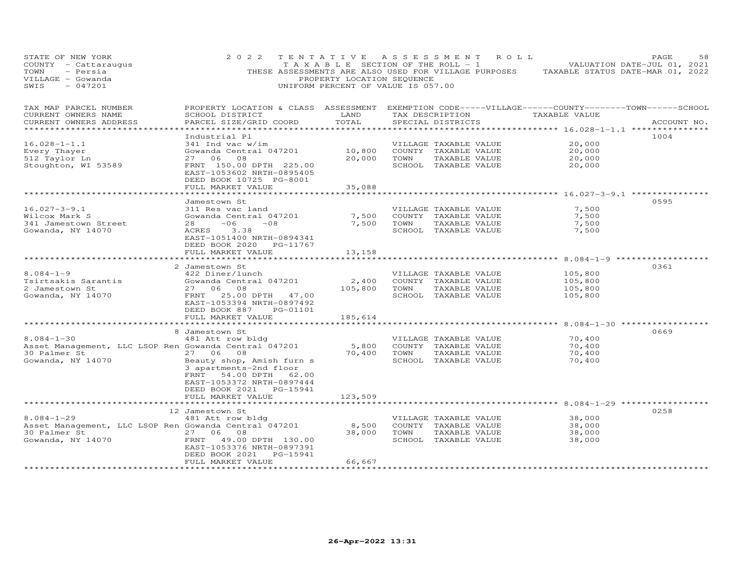| STATE OF NEW YORK<br>COUNTY - Cattaraugus<br>TOWN<br>- Persia<br>VILLAGE - Gowanda<br>SWIS<br>$-047201$ | 2 0 2 2                                                                                                                                          | TENTATIVE<br>TAXABLE SECTION OF THE ROLL - 1<br>THESE ASSESSMENTS ARE ALSO USED FOR VILLAGE PURPOSES<br>PROPERTY LOCATION SEQUENCE<br>UNIFORM PERCENT OF VALUE IS 057.00 | A S S E S S M E N T   |                                       | ROLL            |                                                              | PAGE<br>VALUATION DATE-JUL 01, 2021<br>TAXABLE STATUS DATE-MAR 01, 2022 | 58 |
|---------------------------------------------------------------------------------------------------------|--------------------------------------------------------------------------------------------------------------------------------------------------|--------------------------------------------------------------------------------------------------------------------------------------------------------------------------|-----------------------|---------------------------------------|-----------------|--------------------------------------------------------------|-------------------------------------------------------------------------|----|
| TAX MAP PARCEL NUMBER<br>CURRENT OWNERS NAME<br>CURRENT OWNERS ADDRESS                                  | PROPERTY LOCATION & CLASS ASSESSMENT EXEMPTION CODE-----VILLAGE------COUNTY--------TOWN------SCHOOL<br>SCHOOL DISTRICT<br>PARCEL SIZE/GRID COORD | LAND<br>TOTAL                                                                                                                                                            |                       | SPECIAL DISTRICTS                     | TAX DESCRIPTION | TAXABLE VALUE                                                | ACCOUNT NO.                                                             |    |
| ***********************                                                                                 |                                                                                                                                                  |                                                                                                                                                                          |                       |                                       |                 |                                                              |                                                                         |    |
| $16.028 - 1 - 1.1$                                                                                      | Industrial Pl<br>$341$ Ind vac w/im                                                                                                              |                                                                                                                                                                          | VILLAGE TAXABLE VALUE |                                       |                 | 20,000                                                       | 1004                                                                    |    |
| Every Thayer                                                                                            | Gowanda Central 047201                                                                                                                           | 10,800                                                                                                                                                                   | COUNTY TAXABLE VALUE  |                                       |                 | 20,000                                                       |                                                                         |    |
| 512 Taylor Ln                                                                                           | 27 06<br>08                                                                                                                                      | 20,000                                                                                                                                                                   | TOWN                  | TAXABLE VALUE                         |                 | 20,000                                                       |                                                                         |    |
| Stoughton, WI 53589                                                                                     | FRNT 150.00 DPTH 225.00<br>EAST-1053602 NRTH-0895405<br>DEED BOOK 10725 PG-8001                                                                  |                                                                                                                                                                          |                       | SCHOOL TAXABLE VALUE                  |                 | 20,000                                                       |                                                                         |    |
|                                                                                                         | FULL MARKET VALUE                                                                                                                                | 35,088                                                                                                                                                                   |                       |                                       |                 |                                                              |                                                                         |    |
|                                                                                                         | Jamestown St                                                                                                                                     |                                                                                                                                                                          |                       |                                       |                 |                                                              | 0595                                                                    |    |
| $16.027 - 3 - 9.1$                                                                                      | 311 Res vac land                                                                                                                                 |                                                                                                                                                                          |                       | VILLAGE TAXABLE VALUE                 |                 | 7,500                                                        |                                                                         |    |
| Wilcox Mark S                                                                                           | Gowanda Central 047201                                                                                                                           | 7,500                                                                                                                                                                    |                       | COUNTY TAXABLE VALUE                  |                 | 7,500                                                        |                                                                         |    |
| 341 Jamestown Street                                                                                    | 28<br>$-06$<br>$-08$                                                                                                                             | 7,500                                                                                                                                                                    | TOWN                  | TAXABLE VALUE                         |                 | 7,500                                                        |                                                                         |    |
| Gowanda, NY 14070                                                                                       | ACRES<br>3.38<br>EAST-1051400 NRTH-0894341<br>DEED BOOK 2020 PG-11767                                                                            |                                                                                                                                                                          |                       | SCHOOL TAXABLE VALUE                  |                 | 7,500                                                        |                                                                         |    |
|                                                                                                         | FULL MARKET VALUE                                                                                                                                | 13,158                                                                                                                                                                   |                       |                                       |                 |                                                              |                                                                         |    |
|                                                                                                         | 2 Jamestown St                                                                                                                                   |                                                                                                                                                                          |                       |                                       |                 | ***** 8.084-1-9                                              | 0361                                                                    |    |
| $8.084 - 1 - 9$                                                                                         | 422 Diner/lunch                                                                                                                                  |                                                                                                                                                                          |                       | VILLAGE TAXABLE VALUE                 |                 | 105,800                                                      |                                                                         |    |
| Tsirtsakis Sarantis                                                                                     | Gowanda Central 047201                                                                                                                           | 2,400                                                                                                                                                                    |                       | COUNTY TAXABLE VALUE                  |                 | 105,800                                                      |                                                                         |    |
| 2 Jamestown St                                                                                          | 27 06<br>08                                                                                                                                      | 105,800                                                                                                                                                                  | TOWN                  | TAXABLE VALUE                         |                 | 105,800                                                      |                                                                         |    |
| Gowanda, NY 14070                                                                                       | FRNT<br>25.00 DPTH 47.00<br>EAST-1053394 NRTH-0897492<br>DEED BOOK 887<br>PG-01101                                                               |                                                                                                                                                                          |                       | SCHOOL TAXABLE VALUE                  |                 | 105,800                                                      |                                                                         |    |
|                                                                                                         | FULL MARKET VALUE                                                                                                                                | 185,614                                                                                                                                                                  |                       |                                       |                 |                                                              |                                                                         |    |
|                                                                                                         | 8 Jamestown St                                                                                                                                   |                                                                                                                                                                          |                       |                                       |                 |                                                              | 0669                                                                    |    |
| $8.084 - 1 - 30$                                                                                        | 481 Att row bldg                                                                                                                                 |                                                                                                                                                                          | VILLAGE TAXABLE VALUE |                                       |                 | 70,400                                                       |                                                                         |    |
| Asset Management, LLC LSOP Ren Gowanda Central 047201                                                   |                                                                                                                                                  | 5,800                                                                                                                                                                    | COUNTY TAXABLE VALUE  |                                       |                 | 70,400                                                       |                                                                         |    |
| 30 Palmer St                                                                                            | 27 06 08                                                                                                                                         | 70,400 TOWN                                                                                                                                                              |                       | TAXABLE VALUE                         |                 | 70,400                                                       |                                                                         |    |
| Gowanda, NY 14070                                                                                       | Beauty shop, Amish furn s<br>3 apartments-2nd floor<br>FRNT 54.00 DPTH 62.00<br>EAST-1053372 NRTH-0897444<br>DEED BOOK 2021 PG-15941             |                                                                                                                                                                          | SCHOOL TAXABLE VALUE  |                                       |                 | 70,400                                                       |                                                                         |    |
|                                                                                                         | FULL MARKET VALUE                                                                                                                                | 123,509                                                                                                                                                                  |                       |                                       |                 |                                                              |                                                                         |    |
|                                                                                                         | ***********************                                                                                                                          | ***********                                                                                                                                                              |                       |                                       |                 | ********************************* 8.084-1-29 *************** |                                                                         |    |
|                                                                                                         | 12 Jamestown St                                                                                                                                  |                                                                                                                                                                          |                       |                                       |                 |                                                              | 0258                                                                    |    |
| $8.084 - 1 - 29$                                                                                        | 481 Att row bldg                                                                                                                                 |                                                                                                                                                                          |                       | VILLAGE TAXABLE VALUE                 |                 | 38,000                                                       |                                                                         |    |
| Asset Management, LLC LSOP Ren Gowanda Central 047201<br>30 Palmer St                                   | 27 06<br>08                                                                                                                                      | 8,500<br>38,000                                                                                                                                                          | TOWN                  | COUNTY TAXABLE VALUE<br>TAXABLE VALUE |                 | 38,000<br>38,000                                             |                                                                         |    |
| 1070<br>Gowanda, NY 14070                                                                               | 49.00 DPTH 130.00<br>FRNT                                                                                                                        |                                                                                                                                                                          |                       | SCHOOL TAXABLE VALUE                  |                 | 38,000                                                       |                                                                         |    |
|                                                                                                         | EAST-1053376 NRTH-0897391<br>PG-15941<br>DEED BOOK 2021                                                                                          |                                                                                                                                                                          |                       |                                       |                 |                                                              |                                                                         |    |
|                                                                                                         | FULL MARKET VALUE                                                                                                                                | 66,667                                                                                                                                                                   |                       |                                       |                 |                                                              |                                                                         |    |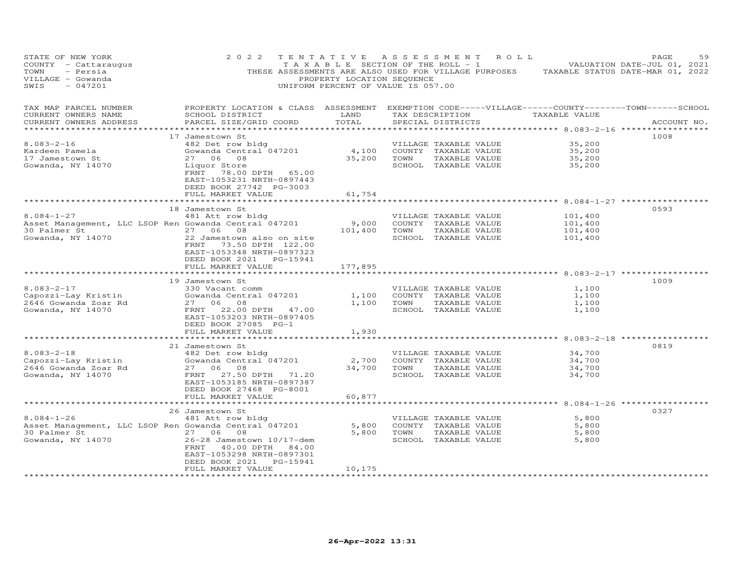| STATE OF NEW YORK<br>COUNTY - Cattaraugus<br>TOWN<br>- Persia<br>VILLAGE - Gowanda<br>SWIS<br>$-047201$        | 2 0 2 2                                                                                                                                                                               | TENTATIVE<br>T A X A B L E SECTION OF THE ROLL - 1<br>PROPERTY LOCATION SEQUENCE<br>UNIFORM PERCENT OF VALUE IS 057.00 |                              |                                                                                        | ASSESSMENT ROLL |                                                                   | PAGE<br>59<br>VALUATION DATE-JUL 01, 2021<br>THESE ASSESSMENTS ARE ALSO USED FOR VILLAGE PURPOSES TAXABLE STATUS DATE-MAR 01, 2022 |
|----------------------------------------------------------------------------------------------------------------|---------------------------------------------------------------------------------------------------------------------------------------------------------------------------------------|------------------------------------------------------------------------------------------------------------------------|------------------------------|----------------------------------------------------------------------------------------|-----------------|-------------------------------------------------------------------|------------------------------------------------------------------------------------------------------------------------------------|
| TAX MAP PARCEL NUMBER<br>CURRENT OWNERS NAME<br>CURRENT OWNERS ADDRESS                                         | PROPERTY LOCATION & CLASS ASSESSMENT EXEMPTION CODE-----VILLAGE------COUNTY-------TOWN------SCHOOL<br>SCHOOL DISTRICT<br>PARCEL SIZE/GRID COORD                                       | LAND<br>TOTAL                                                                                                          |                              | SPECIAL DISTRICTS                                                                      |                 | TAX DESCRIPTION TAXABLE VALUE                                     | ACCOUNT NO.                                                                                                                        |
|                                                                                                                |                                                                                                                                                                                       |                                                                                                                        |                              |                                                                                        |                 |                                                                   |                                                                                                                                    |
| $8.083 - 2 - 16$<br>Kardeen Pamela<br>17 Jamestown St<br>Gowanda, NY 14070                                     | 17 Jamestown St<br>482 Det row bldg<br>Gowanda Central 047201<br>27 06 08<br>Liquor Store<br>FRNT 78.00 DPTH 65.00<br>EAST-1053231 NRTH-0897443                                       | 4,100<br>35,200                                                                                                        | COUNTY TAXABLE VALUE<br>TOWN | VILLAGE TAXABLE VALUE<br>TAXABLE VALUE<br>SCHOOL TAXABLE VALUE                         |                 | 35,200<br>35,200<br>35,200<br>35,200                              | 1008                                                                                                                               |
|                                                                                                                | DEED BOOK 27742 PG-3003<br>FULL MARKET VALUE                                                                                                                                          | 61,754                                                                                                                 |                              |                                                                                        |                 |                                                                   |                                                                                                                                    |
|                                                                                                                | ***********************                                                                                                                                                               | *******************                                                                                                    |                              |                                                                                        |                 |                                                                   |                                                                                                                                    |
|                                                                                                                | 18 Jamestown St                                                                                                                                                                       |                                                                                                                        |                              |                                                                                        |                 |                                                                   | 0593                                                                                                                               |
| $8.084 - 1 - 27$<br>Asset Management, LLC LSOP Ren Gowanda Central 047201<br>30 Palmer St<br>Gowanda, NY 14070 | 481 Att row bldg<br>27 06 08<br>22 Jamestown also on site<br>FRNT 73.50 DPTH 122.00                                                                                                   | 9,000<br>101,400                                                                                                       | TOWN                         | VILLAGE TAXABLE VALUE<br>COUNTY TAXABLE VALUE<br>TAXABLE VALUE<br>SCHOOL TAXABLE VALUE |                 | 101,400<br>101,400<br>101,400<br>101,400                          |                                                                                                                                    |
|                                                                                                                | EAST-1053348 NRTH-0897323<br>DEED BOOK 2021    PG-15941<br>FULL MARKET VALUE                                                                                                          | 177,895<br>************                                                                                                |                              |                                                                                        |                 | **************************************8.083-2-17 **************** |                                                                                                                                    |
|                                                                                                                | 19 Jamestown St                                                                                                                                                                       |                                                                                                                        |                              |                                                                                        |                 |                                                                   | 1009                                                                                                                               |
| $8.083 - 2 - 17$<br>Capozzi-Lay Kristin<br>2646 Gowanda Zoar Rd<br>Gowanda, NY 14070                           | 330 Vacant comm<br>Gowanda Central 047201<br>27 06 08<br>FRNT 22.00 DPTH 47.00<br>EAST-1053203 NRTH-0897405<br>DEED BOOK 27085 PG-1                                                   | 1,100<br>1,100                                                                                                         | TOWN                         | VILLAGE TAXABLE VALUE<br>COUNTY TAXABLE VALUE<br>TAXABLE VALUE<br>SCHOOL TAXABLE VALUE |                 | 1,100<br>1,100<br>1,100<br>1,100                                  |                                                                                                                                    |
|                                                                                                                | FULL MARKET VALUE                                                                                                                                                                     | 1,930                                                                                                                  |                              |                                                                                        |                 |                                                                   |                                                                                                                                    |
|                                                                                                                | *******************************<br>21 Jamestown St                                                                                                                                    | * * * * * * * * * * * * * *                                                                                            |                              |                                                                                        |                 | ********************************* 8.083-2-18 ************         | 0819                                                                                                                               |
| $8.083 - 2 - 18$<br>Capozzi-Lay Kristin<br>2646 Gowanda Zoar Rd<br>Gowanda, NY 14070                           | 482 Det row bldg<br>Gowanda Central 047201<br>27 06 08<br>FRNT 27.50 DPTH 71.20<br>EAST-1053185 NRTH-0897387<br>DEED BOOK 27468 PG-8001<br>FULL MARKET VALUE                          | 2,700<br>34,700<br>60,877                                                                                              | TOWN                         | VILLAGE TAXABLE VALUE<br>COUNTY TAXABLE VALUE<br>TAXABLE VALUE<br>SCHOOL TAXABLE VALUE |                 | 34,700<br>34,700<br>34,700<br>34,700                              |                                                                                                                                    |
|                                                                                                                |                                                                                                                                                                                       |                                                                                                                        |                              |                                                                                        |                 |                                                                   |                                                                                                                                    |
| $8.084 - 1 - 26$<br>Asset Management, LLC LSOP Ren Gowanda Central 047201<br>30 Palmer St<br>Gowanda, NY 14070 | 26 Jamestown St<br>481 Att row bldg<br>27 06 08<br>26-28 Jamestown 10/17-dem<br>FRNT 40.00 DPTH 84.00<br>EAST-1053298 NRTH-0897301<br>PG-15941<br>DEED BOOK 2021<br>FULL MARKET VALUE | 5,800<br>5,800<br>10,175                                                                                               | TOWN                         | VILLAGE TAXABLE VALUE<br>COUNTY TAXABLE VALUE<br>TAXABLE VALUE<br>SCHOOL TAXABLE VALUE |                 | 5,800<br>5,800<br>5,800<br>5,800                                  | 0327                                                                                                                               |
|                                                                                                                |                                                                                                                                                                                       |                                                                                                                        |                              |                                                                                        |                 |                                                                   |                                                                                                                                    |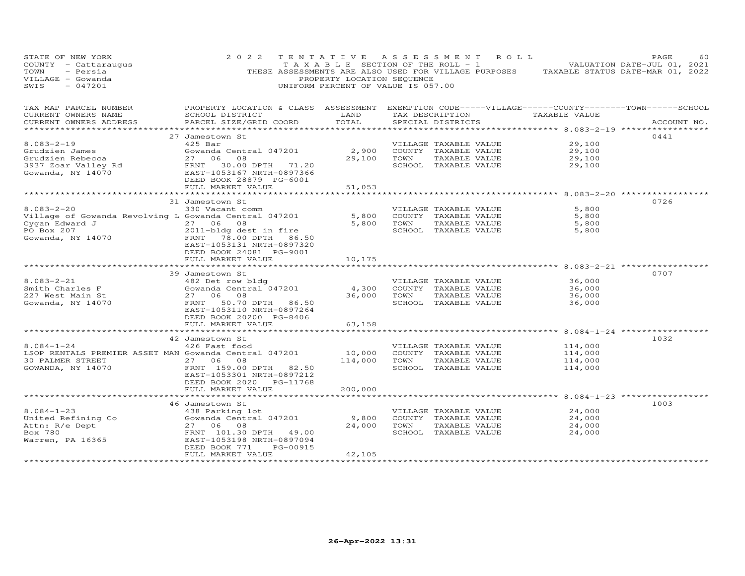| STATE OF NEW YORK<br>COUNTY - Cattaraugus<br>- Persia<br>TOWN<br>VILLAGE - Gowanda<br>$-047201$<br>SWIS                       | 2 0 2 2                                                                                                                                                                                                  | PROPERTY LOCATION SEQUENCE<br>UNIFORM PERCENT OF VALUE IS 057.00 |      | TENTATIVE ASSESSMENT ROLL                                                              | T A X A B L E SECTION OF THE ROLL - 1 VALUATION DATE-JUL 01, 2021<br>THESE ASSESSMENTS ARE ALSO USED FOR VILLAGE PURPOSES TAXABLE STATUS DATE-MAR 01, 2022 | PAGE<br>60  |
|-------------------------------------------------------------------------------------------------------------------------------|----------------------------------------------------------------------------------------------------------------------------------------------------------------------------------------------------------|------------------------------------------------------------------|------|----------------------------------------------------------------------------------------|------------------------------------------------------------------------------------------------------------------------------------------------------------|-------------|
| TAX MAP PARCEL NUMBER<br>CURRENT OWNERS NAME<br>CURRENT OWNERS ADDRESS                                                        | PROPERTY LOCATION & CLASS ASSESSMENT EXEMPTION CODE-----VILLAGE------COUNTY--------TOWN------SCHOOL<br>SCHOOL DISTRICT<br>PARCEL SIZE/GRID COORD                                                         | LAND<br>TOTAL                                                    |      | TAX DESCRIPTION<br>SPECIAL DISTRICTS                                                   | TAXABLE VALUE                                                                                                                                              | ACCOUNT NO. |
| ***********************<br>$8.083 - 2 - 19$<br>Grudzien James<br>Grudzien Rebecca<br>3937 Zoar Valley Rd<br>Gowanda, NY 14070 | 27 Jamestown St<br>$425$ Bar<br>Gowanda Central 047201<br>27 06 08<br>FRNT 30.00 DPTH 71.20<br>EAST-1053167 NRTH-0897366<br>DEED BOOK 28879 PG-6001                                                      | 2,900<br>29,100                                                  | TOWN | VILLAGE TAXABLE VALUE<br>COUNTY TAXABLE VALUE<br>TAXABLE VALUE<br>SCHOOL TAXABLE VALUE | 29,100<br>29,100<br>29,100<br>29,100                                                                                                                       | 0441        |
|                                                                                                                               | FULL MARKET VALUE                                                                                                                                                                                        | 51,053                                                           |      |                                                                                        |                                                                                                                                                            |             |
| $8.083 - 2 - 20$<br>Village of Gowanda Revolving L Gowanda Central 047201                                                     | **********************<br>31 Jamestown St<br>330 Vacant comm<br>27 06 08<br>2011-bldg dest in fire<br>FRNT 78.00 DPTH 86.50<br>EAST-1053131 NRTH-0897320<br>DEED BOOK 24081 PG-9001<br>FULL MARKET VALUE | 5,800<br>5,800<br>10,175<br>********                             | TOWN | VILLAGE TAXABLE VALUE<br>COUNTY TAXABLE VALUE<br>TAXABLE VALUE<br>SCHOOL TAXABLE VALUE | ************************ 8.083-2-20 ************<br>5,800<br>5,800<br>5,800<br>5,800                                                                       | 0726        |
|                                                                                                                               |                                                                                                                                                                                                          |                                                                  |      |                                                                                        | ********** 8.083-2-21 **********                                                                                                                           | 0707        |
| $8.083 - 2 - 21$<br>Smith Charles F<br>227 West Main St<br>Gowanda, NY 14070                                                  | 39 Jamestown St<br>482 Det row bldg<br>Gowanda Central 047201<br>27 06<br>08<br>FRNT 50.70 DPTH 86.50<br>EAST-1053110 NRTH-0897264<br>DEED BOOK 20200 PG-8406                                            | 4,300<br>36,000                                                  | TOWN | VILLAGE TAXABLE VALUE<br>COUNTY TAXABLE VALUE<br>TAXABLE VALUE<br>SCHOOL TAXABLE VALUE | 36,000<br>36,000<br>36,000<br>36,000                                                                                                                       |             |
|                                                                                                                               | FULL MARKET VALUE                                                                                                                                                                                        | 63,158                                                           |      |                                                                                        |                                                                                                                                                            |             |
| $8.084 - 1 - 24$<br>LSOP RENTALS PREMIER ASSET MAN Gowanda Central 047201<br>30 PALMER STREET<br>GOWANDA, NY 14070            | 42 Jamestown St<br>426 Fast food<br>27 06<br>08<br>FRNT 159.00 DPTH 82.50<br>EAST-1053301 NRTH-0897212<br>DEED BOOK 2020 PG-11768                                                                        | 10,000<br>114,000                                                | TOWN | VILLAGE TAXABLE VALUE<br>COUNTY TAXABLE VALUE<br>TAXABLE VALUE<br>SCHOOL TAXABLE VALUE | 114,000<br>114,000<br>114,000<br>114,000                                                                                                                   | 1032        |
|                                                                                                                               | FULL MARKET VALUE                                                                                                                                                                                        | 200,000                                                          |      |                                                                                        |                                                                                                                                                            |             |
| $8.084 - 1 - 23$<br>8.084-1-23<br>United Refining Co<br>Attn: R/e Dept                                                        | 46 Jamestown St<br>438 Parking lot<br>Gowanda Central 047201                                                                                                                                             | 9,800                                                            |      | VILLAGE TAXABLE VALUE<br>COUNTY TAXABLE VALUE                                          | 24,000<br>24,000                                                                                                                                           | 1003        |
| Warren, PA 16365                                                                                                              | 27 06 08<br>FRNT 101.30 DPTH 49.00<br>EAST-1053198 NRTH-0897094<br>PG-00915<br>DEED BOOK 771<br>FULL MARKET VALUE                                                                                        | 24,000<br>42,105                                                 | TOWN | TAXABLE VALUE<br>SCHOOL TAXABLE VALUE                                                  | 24,000<br>24,000                                                                                                                                           |             |
|                                                                                                                               |                                                                                                                                                                                                          |                                                                  |      |                                                                                        |                                                                                                                                                            |             |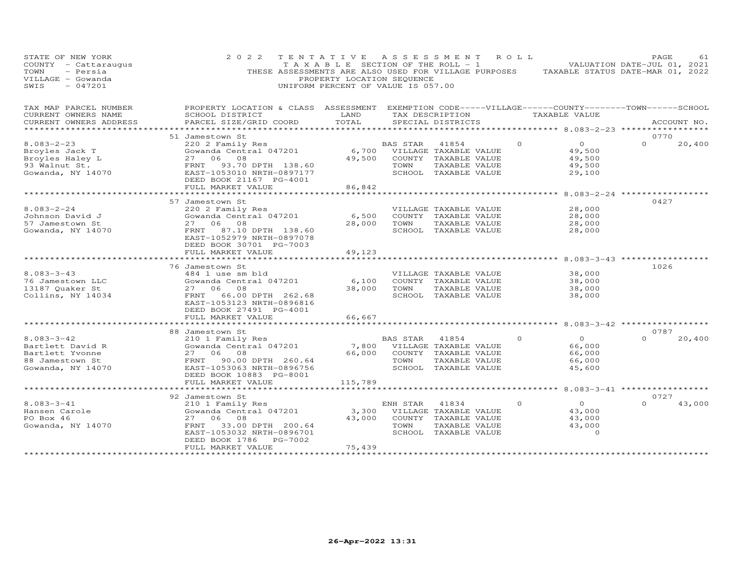| STATE OF NEW YORK<br>COUNTY - Cattaraugus<br>TOWN<br>- Persia<br>VILLAGE - Gowanda<br>$-047201$<br>SWIS | 2 0 2 2                                                                                                                | TENTATIVE ASSESSMENT<br>PROPERTY LOCATION SEQUENCE<br>UNIFORM PERCENT OF VALUE IS 057.00 |          | T A X A B L E SECTION OF THE ROLL - 1 | R O L L  | THESE ASSESSMENTS ARE ALSO USED FOR VILLAGE PURPOSES TAXABLE STATUS DATE-MAR 01, 2022 | PAGE<br>VALUATION DATE-JUL 01, 2021 | 61          |
|---------------------------------------------------------------------------------------------------------|------------------------------------------------------------------------------------------------------------------------|------------------------------------------------------------------------------------------|----------|---------------------------------------|----------|---------------------------------------------------------------------------------------|-------------------------------------|-------------|
| TAX MAP PARCEL NUMBER<br>CURRENT OWNERS NAME                                                            | PROPERTY LOCATION & CLASS ASSESSMENT EXEMPTION CODE-----VILLAGE------COUNTY--------TOWN------SCHOOL<br>SCHOOL DISTRICT | LAND                                                                                     |          | TAX DESCRIPTION                       |          | TAXABLE VALUE                                                                         |                                     |             |
| CURRENT OWNERS ADDRESS<br>**************************                                                    | PARCEL SIZE/GRID COORD                                                                                                 | TOTAL                                                                                    |          | SPECIAL DISTRICTS                     |          |                                                                                       |                                     | ACCOUNT NO. |
|                                                                                                         | 51 Jamestown St                                                                                                        |                                                                                          |          |                                       |          |                                                                                       | 0770                                |             |
| $8.083 - 2 - 23$                                                                                        | 220 2 Family Res                                                                                                       |                                                                                          | BAS STAR | 41854                                 | $\Omega$ | $\overline{O}$                                                                        | $\Omega$                            | 20,400      |
| Broyles Jack T                                                                                          | Gowanda Central 047201                                                                                                 | 6,700                                                                                    |          | VILLAGE TAXABLE VALUE                 |          | 49,500                                                                                |                                     |             |
| Broyles Haley L                                                                                         | 27 06 08                                                                                                               | 49,500                                                                                   |          | COUNTY TAXABLE VALUE                  |          | 49,500                                                                                |                                     |             |
| 93 Walnut St.                                                                                           | 93.70 DPTH 138.60<br>FRNT                                                                                              |                                                                                          | TOWN     | TAXABLE VALUE                         |          | 49,500                                                                                |                                     |             |
| Gowanda, NY 14070                                                                                       | EAST-1053010 NRTH-0897177<br>DEED BOOK 21167 PG-4001                                                                   |                                                                                          |          | SCHOOL TAXABLE VALUE                  |          | 29,100                                                                                |                                     |             |
|                                                                                                         | FULL MARKET VALUE<br>******************                                                                                | 86,842<br>************                                                                   |          |                                       |          |                                                                                       |                                     |             |
|                                                                                                         |                                                                                                                        |                                                                                          |          |                                       |          | ********* 8.083-2-24 ***********                                                      |                                     |             |
| $8.083 - 2 - 24$                                                                                        | 57 Jamestown St                                                                                                        |                                                                                          |          |                                       |          | 28,000                                                                                | 0427                                |             |
|                                                                                                         | 220 2 Family Res<br>Gowanda Central 047201                                                                             |                                                                                          |          | VILLAGE TAXABLE VALUE                 |          | 28,000                                                                                |                                     |             |
| Johnson David J<br>57 Jamestown St                                                                      | 27 06 08                                                                                                               | 6,500<br>28,000                                                                          | TOWN     | COUNTY TAXABLE VALUE<br>TAXABLE VALUE |          | 28,000                                                                                |                                     |             |
| Gowanda, NY 14070                                                                                       | 87.10 DPTH 138.60<br>FRNT                                                                                              |                                                                                          |          | SCHOOL TAXABLE VALUE                  |          | 28,000                                                                                |                                     |             |
|                                                                                                         | EAST-1052979 NRTH-0897078<br>DEED BOOK 30701 PG-7003<br>FULL MARKET VALUE                                              | 49,123                                                                                   |          |                                       |          |                                                                                       |                                     |             |
|                                                                                                         |                                                                                                                        |                                                                                          |          |                                       |          | ************ 8.083-3-43 ***********                                                   |                                     |             |
|                                                                                                         | 76 Jamestown St                                                                                                        |                                                                                          |          |                                       |          |                                                                                       | 1026                                |             |
| $8.083 - 3 - 43$                                                                                        | 484 1 use sm bld                                                                                                       |                                                                                          |          | VILLAGE TAXABLE VALUE                 |          | 38,000                                                                                |                                     |             |
| 76 Jamestown LLC                                                                                        | Gowanda Central 047201                                                                                                 | 6,100                                                                                    |          | COUNTY TAXABLE VALUE                  |          | 38,000                                                                                |                                     |             |
| 13187 Quaker St                                                                                         | 27 06 08                                                                                                               | 38,000                                                                                   | TOWN     | TAXABLE VALUE                         |          | 38,000                                                                                |                                     |             |
| Collins, NY 14034                                                                                       | FRNT<br>66.00 DPTH 262.68                                                                                              |                                                                                          |          | SCHOOL TAXABLE VALUE                  |          | 38,000                                                                                |                                     |             |
|                                                                                                         | EAST-1053123 NRTH-0896816<br>DEED BOOK 27491 PG-4001                                                                   |                                                                                          |          |                                       |          |                                                                                       |                                     |             |
|                                                                                                         | FULL MARKET VALUE                                                                                                      | 66,667                                                                                   |          |                                       |          |                                                                                       |                                     |             |
|                                                                                                         | *****************                                                                                                      |                                                                                          |          |                                       |          | ******** 8.083-3-42 **********                                                        |                                     |             |
|                                                                                                         | 88 Jamestown St                                                                                                        |                                                                                          |          |                                       |          |                                                                                       | 0787                                |             |
| $8.083 - 3 - 42$                                                                                        | 210 1 Family Res                                                                                                       |                                                                                          | BAS STAR | 41854                                 | $\Omega$ | $\Omega$                                                                              | $\Omega$                            | 20,400      |
| Bartlett David R                                                                                        | Gowanda Central 047201                                                                                                 | 7,800                                                                                    |          | VILLAGE TAXABLE VALUE                 |          | 66,000                                                                                |                                     |             |
| Bartlett Yvonne                                                                                         | 27 06 08                                                                                                               | 66,000                                                                                   |          | COUNTY TAXABLE VALUE                  |          | 66,000                                                                                |                                     |             |
| 88 Jamestown St                                                                                         | FRNT<br>90.00 DPTH 260.64                                                                                              |                                                                                          | TOWN     | TAXABLE VALUE                         |          | 66,000                                                                                |                                     |             |
| Gowanda, NY 14070                                                                                       | EAST-1053063 NRTH-0896756                                                                                              |                                                                                          |          | SCHOOL TAXABLE VALUE                  |          | 45,600                                                                                |                                     |             |
|                                                                                                         | DEED BOOK 10883 PG-8001                                                                                                |                                                                                          |          |                                       |          |                                                                                       |                                     |             |
|                                                                                                         | FULL MARKET VALUE                                                                                                      | 115,789                                                                                  |          |                                       |          |                                                                                       |                                     |             |
|                                                                                                         |                                                                                                                        |                                                                                          |          |                                       |          | ***** 8.083-3-41 **********                                                           |                                     |             |
|                                                                                                         | 92 Jamestown St                                                                                                        |                                                                                          |          |                                       |          |                                                                                       | 0727                                |             |
| $8.083 - 3 - 41$                                                                                        | 210 1 Family Res                                                                                                       |                                                                                          | ENH STAR | 41834                                 | $\Omega$ | $\circ$                                                                               | $\Omega$                            | 43,000      |
| Hansen Carole                                                                                           | Gowanda Central 047201                                                                                                 | 3,300                                                                                    |          | VILLAGE TAXABLE VALUE                 |          | 43,000                                                                                |                                     |             |
| PO Box 46                                                                                               | 27<br>06 08                                                                                                            | 43,000                                                                                   |          | COUNTY TAXABLE VALUE                  |          | 43,000                                                                                |                                     |             |
| Gowanda, NY 14070                                                                                       | 33.00 DPTH 200.64<br>FRNT                                                                                              |                                                                                          | TOWN     | TAXABLE VALUE                         |          | 43,000                                                                                |                                     |             |
|                                                                                                         | EAST-1053032 NRTH-0896701                                                                                              |                                                                                          |          | SCHOOL TAXABLE VALUE                  |          | $\Omega$                                                                              |                                     |             |
|                                                                                                         | PG-7002<br>DEED BOOK 1786                                                                                              |                                                                                          |          |                                       |          |                                                                                       |                                     |             |
|                                                                                                         | FULL MARKET VALUE                                                                                                      | 75,439<br>***************                                                                |          |                                       |          |                                                                                       |                                     |             |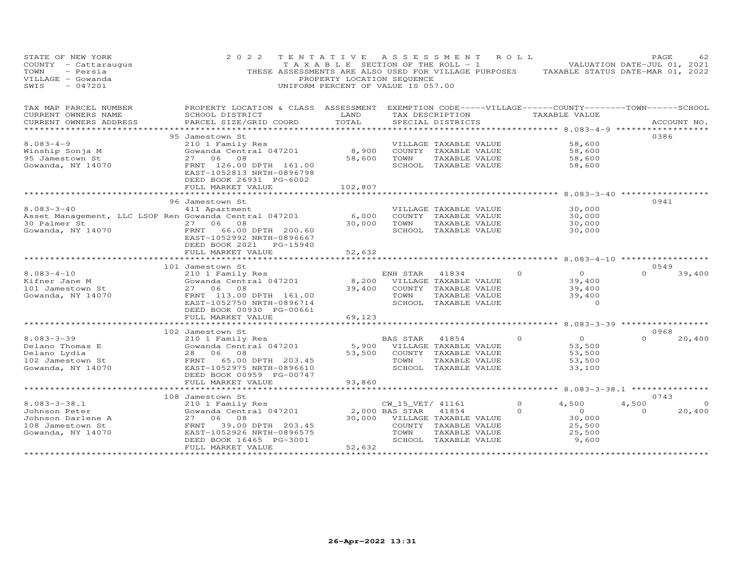| STATE OF NEW YORK<br>COUNTY - Cattaraugus<br>- Persia<br>TOWN<br>VILLAGE - Gowanda<br>$-047201$<br>SWIS | 2 0 2 2<br>THESE ASSESSMENTS ARE ALSO USED FOR VILLAGE PURPOSES TAXABLE STATUS DATE-MAR 01, 2022                       | PROPERTY LOCATION SEQUENCE<br>UNIFORM PERCENT OF VALUE IS 057.00 |                  | TENTATIVE ASSESSMENT ROLL<br>T A X A B L E SECTION OF THE ROLL - 1 VALUATION DATE-JUL 01, 2021 |               |                                           | PAGE             | 62          |
|---------------------------------------------------------------------------------------------------------|------------------------------------------------------------------------------------------------------------------------|------------------------------------------------------------------|------------------|------------------------------------------------------------------------------------------------|---------------|-------------------------------------------|------------------|-------------|
| TAX MAP PARCEL NUMBER<br>CURRENT OWNERS NAME                                                            | PROPERTY LOCATION & CLASS ASSESSMENT EXEMPTION CODE-----VILLAGE------COUNTY--------TOWN------SCHOOL<br>SCHOOL DISTRICT | LAND                                                             |                  | TAX DESCRIPTION                                                                                | TAXABLE VALUE |                                           |                  |             |
| CURRENT OWNERS ADDRESS                                                                                  | PARCEL SIZE/GRID COORD                                                                                                 | TOTAL                                                            |                  | SPECIAL DISTRICTS                                                                              |               |                                           |                  | ACCOUNT NO. |
|                                                                                                         | ************************************<br>*****************                                                              |                                                                  |                  |                                                                                                |               | *********** 8.083-4-9 ******************  |                  |             |
|                                                                                                         | 95 Jamestown St                                                                                                        |                                                                  |                  |                                                                                                |               |                                           | 0386             |             |
| $8.083 - 4 - 9$                                                                                         | 210 1 Family Res                                                                                                       |                                                                  |                  | VILLAGE TAXABLE VALUE                                                                          |               | 58,600                                    |                  |             |
| Winship Sonja M<br>95 Jamestown St                                                                      | Gowanda Central 047201<br>27 06 08                                                                                     | 8,900<br>58,600                                                  | TOWN             | COUNTY TAXABLE VALUE<br>TAXABLE VALUE                                                          |               | 58,600<br>58,600                          |                  |             |
| Gowanda, NY 14070                                                                                       | FRNT 126.00 DPTH 161.00                                                                                                |                                                                  |                  | SCHOOL TAXABLE VALUE                                                                           |               | 58,600                                    |                  |             |
|                                                                                                         | EAST-1052813 NRTH-0896798<br>DEED BOOK 26931 PG-6002                                                                   |                                                                  |                  |                                                                                                |               |                                           |                  |             |
|                                                                                                         | FULL MARKET VALUE<br>******************                                                                                | 102,807                                                          |                  |                                                                                                |               |                                           |                  |             |
|                                                                                                         |                                                                                                                        | **************                                                   |                  |                                                                                                |               |                                           | 0941             |             |
| $8.083 - 3 - 40$                                                                                        | 96 Jamestown St<br>411 Apartment                                                                                       |                                                                  |                  | VILLAGE TAXABLE VALUE                                                                          |               | 30,000                                    |                  |             |
| Asset Management, LLC LSOP Ren Gowanda Central 047201                                                   |                                                                                                                        | 6,000                                                            |                  | COUNTY TAXABLE VALUE                                                                           |               | 30,000                                    |                  |             |
|                                                                                                         | 27 06 08                                                                                                               | 30,000                                                           | TOWN             | TAXABLE VALUE                                                                                  |               | 30,000                                    |                  |             |
| 30 Palmer St<br>Gowanda, NY 14070                                                                       | 66.00 DPTH 200.60<br>FRNT                                                                                              |                                                                  |                  | SCHOOL TAXABLE VALUE                                                                           |               | 30,000                                    |                  |             |
|                                                                                                         | EAST-1052992 NRTH-0896667                                                                                              |                                                                  |                  |                                                                                                |               |                                           |                  |             |
|                                                                                                         | DEED BOOK 2021<br>PG-15940                                                                                             |                                                                  |                  |                                                                                                |               |                                           |                  |             |
|                                                                                                         | FULL MARKET VALUE                                                                                                      | 52,632                                                           |                  |                                                                                                |               |                                           |                  |             |
|                                                                                                         | **********************                                                                                                 |                                                                  |                  |                                                                                                |               | ********* 8.083-4-10 ***********          |                  |             |
|                                                                                                         | 101 Jamestown St                                                                                                       |                                                                  |                  |                                                                                                | $\Omega$      | $\Omega$                                  | 0549<br>$\Omega$ |             |
| $8.083 - 4 - 10$<br>Kifner Jane M                                                                       | 210 1 Family Res<br>Gowanda Central 047201                                                                             | 8,200                                                            | ENH STAR         | 41834<br>VILLAGE TAXABLE VALUE                                                                 |               | 39,400                                    |                  | 39,400      |
| 101 Jamestown St                                                                                        | 27 06 08                                                                                                               | 39,400                                                           |                  | COUNTY TAXABLE VALUE                                                                           |               | 39,400                                    |                  |             |
| Gowanda, NY 14070                                                                                       | FRNT 113.00 DPTH 161.00                                                                                                |                                                                  | TOWN             | TAXABLE VALUE                                                                                  |               | 39,400                                    |                  |             |
|                                                                                                         | EAST-1052750 NRTH-0896714                                                                                              |                                                                  |                  | SCHOOL TAXABLE VALUE                                                                           |               | $\Omega$                                  |                  |             |
|                                                                                                         | DEED BOOK 00930 PG-00661                                                                                               |                                                                  |                  |                                                                                                |               |                                           |                  |             |
|                                                                                                         | FULL MARKET VALUE                                                                                                      | 69,123                                                           |                  |                                                                                                |               |                                           |                  |             |
|                                                                                                         | *******************                                                                                                    |                                                                  |                  |                                                                                                |               | ******* 8.083-3-39 ***********            |                  |             |
|                                                                                                         | 102 Jamestown St                                                                                                       |                                                                  |                  |                                                                                                |               |                                           | 0968             |             |
| $8.083 - 3 - 39$                                                                                        | 210 1 Family Res                                                                                                       |                                                                  | BAS STAR         | 41854                                                                                          | $\Omega$      | $\circ$                                   | $\Omega$         | 20,400      |
| Delano Thomas E                                                                                         | Gowanda Central 047201                                                                                                 | 5,900                                                            |                  | VILLAGE TAXABLE VALUE                                                                          |               | 53,500                                    |                  |             |
| Delano Lydia                                                                                            | 28 06 08                                                                                                               | 53,500                                                           |                  | COUNTY TAXABLE VALUE                                                                           |               | 53,500                                    |                  |             |
| 102 Jamestown St                                                                                        | FRNT 65.00 DPTH 203.45                                                                                                 |                                                                  | TOWN             | TAXABLE VALUE                                                                                  |               | 53,500                                    |                  |             |
| Gowanda, NY 14070                                                                                       | EAST-1052975 NRTH-0896610<br>DEED BOOK 00959 PG-00747                                                                  |                                                                  |                  | SCHOOL TAXABLE VALUE                                                                           |               | 33,100                                    |                  |             |
|                                                                                                         | FULL MARKET VALUE                                                                                                      | 93,860                                                           |                  |                                                                                                |               |                                           |                  |             |
|                                                                                                         |                                                                                                                        |                                                                  |                  |                                                                                                |               | *********** 8.083-3-38.1 **************** |                  |             |
|                                                                                                         | 108 Jamestown St                                                                                                       |                                                                  |                  |                                                                                                |               |                                           | 0743             |             |
| $8.083 - 3 - 38.1$                                                                                      | 210 1 Family Res                                                                                                       |                                                                  | CW_15_VET/ 41161 |                                                                                                | $\Omega$      | 4,500                                     | 4,500            | $\Omega$    |
| Johnson Peter                                                                                           | Gowanda Central 047201                                                                                                 |                                                                  | 2,000 BAS STAR   | 41854                                                                                          | $\circ$       | $\overline{O}$                            | $\Omega$         | 20,400      |
| Johnson Darlene A                                                                                       | 27<br>06 08                                                                                                            | 30,000                                                           |                  | VILLAGE TAXABLE VALUE                                                                          |               | 30,000                                    |                  |             |
| 108 Jamestown St                                                                                        | 39.00 DPTH 203.45<br>FRNT                                                                                              |                                                                  |                  | COUNTY TAXABLE VALUE                                                                           |               | 25,500                                    |                  |             |
| Gowanda, NY 14070                                                                                       | EAST-1052926 NRTH-0896575                                                                                              |                                                                  | TOWN             | TAXABLE VALUE                                                                                  |               | 25,500                                    |                  |             |
|                                                                                                         | DEED BOOK 16465 PG-3001                                                                                                |                                                                  |                  | SCHOOL TAXABLE VALUE                                                                           |               | 9,600                                     |                  |             |
|                                                                                                         | FULL MARKET VALUE<br>*********************                                                                             | 52,632<br>****************                                       |                  |                                                                                                |               |                                           |                  |             |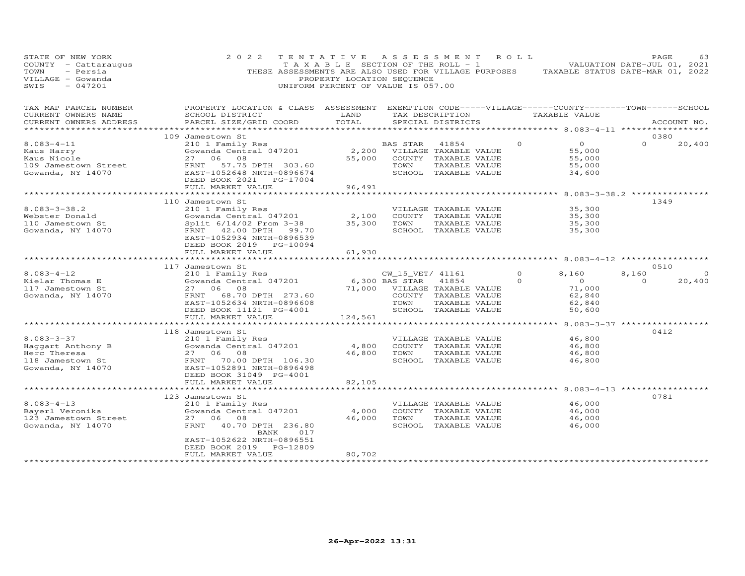| STATE OF NEW YORK<br>COUNTY - Cattaraugus<br>- Persia<br>TOWN<br>VILLAGE - Gowanda<br>$-047201$<br>SWIS | 2 0 2 2<br>TENTATIVE<br>THESE ASSESSMENTS ARE ALSO USED FOR VILLAGE PURPOSES                                                                    | T A X A B L E SECTION OF THE ROLL - 1<br>PROPERTY LOCATION SEQUENCE<br>UNIFORM PERCENT OF VALUE IS 057.00 | ASSESSMENT                         |                                       | R O L L              | TAXABLE STATUS DATE-MAR 01, 2022                     | PAGE<br>VALUATION DATE-JUL 01, 2021 | 63     |
|---------------------------------------------------------------------------------------------------------|-------------------------------------------------------------------------------------------------------------------------------------------------|-----------------------------------------------------------------------------------------------------------|------------------------------------|---------------------------------------|----------------------|------------------------------------------------------|-------------------------------------|--------|
| TAX MAP PARCEL NUMBER<br>CURRENT OWNERS NAME<br>CURRENT OWNERS ADDRESS                                  | PROPERTY LOCATION & CLASS ASSESSMENT EXEMPTION CODE-----VILLAGE------COUNTY-------TOWN------SCHOOL<br>SCHOOL DISTRICT<br>PARCEL SIZE/GRID COORD | LAND<br>TOTAL<br>********                                                                                 |                                    | TAX DESCRIPTION<br>SPECIAL DISTRICTS  |                      | TAXABLE VALUE<br>************* 8.083-4-11 ********** | ACCOUNT NO.                         |        |
|                                                                                                         | 109 Jamestown St                                                                                                                                |                                                                                                           |                                    |                                       |                      |                                                      | 0380                                |        |
| $8.083 - 4 - 11$                                                                                        | 210 1 Family Res                                                                                                                                |                                                                                                           | BAS STAR                           | 41854                                 | $\Omega$             | $\Omega$                                             | $\Omega$                            | 20,400 |
| Kaus Harry                                                                                              | Gowanda Central 047201                                                                                                                          | 2,200                                                                                                     |                                    | VILLAGE TAXABLE VALUE                 |                      | 55,000                                               |                                     |        |
| Kaus Nicole                                                                                             | 08<br>27<br>06                                                                                                                                  | 55,000                                                                                                    |                                    | COUNTY TAXABLE VALUE                  |                      | 55,000                                               |                                     |        |
| 109 Jamestown Street                                                                                    | FRNT<br>57.75 DPTH 303.60                                                                                                                       |                                                                                                           | TOWN                               | TAXABLE VALUE                         |                      | 55,000                                               |                                     |        |
| Gowanda, NY 14070                                                                                       | EAST-1052648 NRTH-0896674<br>DEED BOOK 2021 PG-17004                                                                                            |                                                                                                           |                                    | SCHOOL TAXABLE VALUE                  |                      | 34,600                                               |                                     |        |
|                                                                                                         | FULL MARKET VALUE                                                                                                                               | 96,491                                                                                                    |                                    |                                       |                      |                                                      |                                     |        |
|                                                                                                         | * * * * * * * * * * * * * * * * * * * *                                                                                                         | ************                                                                                              |                                    |                                       |                      | *************** 8.083-3-38.2 **************          |                                     |        |
|                                                                                                         | 110 Jamestown St                                                                                                                                |                                                                                                           |                                    |                                       |                      |                                                      | 1349                                |        |
| $8.083 - 3 - 38.2$                                                                                      | 210 1 Family Res                                                                                                                                |                                                                                                           |                                    | VILLAGE TAXABLE VALUE                 |                      | 35,300                                               |                                     |        |
| Webster Donald                                                                                          | Gowanda Central 047201                                                                                                                          | 2,100                                                                                                     |                                    | COUNTY TAXABLE VALUE                  |                      | 35,300                                               |                                     |        |
| 110 Jamestown St<br>Gowanda, NY 14070                                                                   | Split 6/14/02 From 3-38<br>FRNT 42.00 DPTH<br>99.70                                                                                             | 35,300                                                                                                    | TOWN                               | TAXABLE VALUE<br>SCHOOL TAXABLE VALUE |                      | 35,300<br>35,300                                     |                                     |        |
|                                                                                                         | EAST-1052934 NRTH-0896539                                                                                                                       |                                                                                                           |                                    |                                       |                      |                                                      |                                     |        |
|                                                                                                         | DEED BOOK 2019 PG-10094                                                                                                                         |                                                                                                           |                                    |                                       |                      |                                                      |                                     |        |
|                                                                                                         | FULL MARKET VALUE                                                                                                                               | 61,930                                                                                                    |                                    |                                       |                      |                                                      |                                     |        |
|                                                                                                         | ************************                                                                                                                        |                                                                                                           |                                    |                                       |                      |                                                      |                                     |        |
|                                                                                                         | 117 Jamestown St                                                                                                                                |                                                                                                           |                                    |                                       |                      |                                                      | 0510                                |        |
| $8.083 - 4 - 12$<br>Kielar Thomas E                                                                     | 210 1 Family Res<br>Gowanda Central 047201                                                                                                      |                                                                                                           | CW_15_VET/ 41161<br>6,300 BAS STAR | 41854                                 | $\Omega$<br>$\Omega$ | 8,160<br>$\overline{0}$                              | 8,160<br>$\Omega$                   | 20,400 |
| 117 Jamestown St                                                                                        | 06<br>08<br>27                                                                                                                                  | 71,000                                                                                                    |                                    | VILLAGE TAXABLE VALUE                 |                      | 71,000                                               |                                     |        |
| Gowanda, NY 14070                                                                                       | 68.70 DPTH 273.60<br>FRNT                                                                                                                       |                                                                                                           |                                    | COUNTY TAXABLE VALUE                  |                      | 62,840                                               |                                     |        |
|                                                                                                         | EAST-1052634 NRTH-0896608                                                                                                                       |                                                                                                           | TOWN                               | TAXABLE VALUE                         |                      | 62,840                                               |                                     |        |
|                                                                                                         | DEED BOOK 11121 PG-4001                                                                                                                         |                                                                                                           |                                    | SCHOOL TAXABLE VALUE                  |                      | 50,600                                               |                                     |        |
|                                                                                                         | FULL MARKET VALUE                                                                                                                               | 124,561                                                                                                   |                                    |                                       |                      |                                                      |                                     |        |
|                                                                                                         | ************************                                                                                                                        |                                                                                                           |                                    |                                       |                      | ********** 8.083-3-37 ****************               |                                     |        |
| $8.083 - 3 - 37$                                                                                        | 118 Jamestown St                                                                                                                                |                                                                                                           |                                    | VILLAGE TAXABLE VALUE                 |                      |                                                      | 0412                                |        |
| Haqqart Anthony B                                                                                       | 210 1 Family Res<br>Gowanda Central 047201                                                                                                      | 4,800                                                                                                     |                                    | COUNTY TAXABLE VALUE                  |                      | 46,800<br>46,800                                     |                                     |        |
| Herc Theresa                                                                                            | 27<br>06 08                                                                                                                                     | 46,800                                                                                                    | TOWN                               | TAXABLE VALUE                         |                      | 46,800                                               |                                     |        |
| 118 Jamestown St                                                                                        | FRNT<br>70.00 DPTH 106.30                                                                                                                       |                                                                                                           |                                    | SCHOOL TAXABLE VALUE                  |                      | 46,800                                               |                                     |        |
| Gowanda, NY 14070                                                                                       | EAST-1052891 NRTH-0896498                                                                                                                       |                                                                                                           |                                    |                                       |                      |                                                      |                                     |        |
|                                                                                                         | DEED BOOK 31049 PG-4001                                                                                                                         |                                                                                                           |                                    |                                       |                      |                                                      |                                     |        |
|                                                                                                         | FULL MARKET VALUE                                                                                                                               | 82,105                                                                                                    |                                    |                                       |                      |                                                      |                                     |        |
|                                                                                                         |                                                                                                                                                 |                                                                                                           |                                    |                                       |                      | $8.083 - 4 - 13$ ******                              | 0781                                |        |
| $8.083 - 4 - 13$                                                                                        | 123 Jamestown St<br>210 1 Family Res                                                                                                            |                                                                                                           |                                    | VILLAGE TAXABLE VALUE                 |                      | 46,000                                               |                                     |        |
| Bayerl Veronika                                                                                         | Gowanda Central 047201                                                                                                                          | 4,000                                                                                                     |                                    | COUNTY TAXABLE VALUE                  |                      | 46,000                                               |                                     |        |
| 123 Jamestown Street                                                                                    | 27<br>06<br>08                                                                                                                                  | 46,000                                                                                                    | TOWN                               | TAXABLE VALUE                         |                      | 46,000                                               |                                     |        |
| Gowanda, NY 14070                                                                                       | FRNT<br>40.70 DPTH 236.80                                                                                                                       |                                                                                                           |                                    | SCHOOL TAXABLE VALUE                  |                      | 46,000                                               |                                     |        |
|                                                                                                         | BANK<br>017                                                                                                                                     |                                                                                                           |                                    |                                       |                      |                                                      |                                     |        |
|                                                                                                         | EAST-1052622 NRTH-0896551                                                                                                                       |                                                                                                           |                                    |                                       |                      |                                                      |                                     |        |
|                                                                                                         | DEED BOOK 2019<br>PG-12809<br>FULL MARKET VALUE                                                                                                 | 80,702                                                                                                    |                                    |                                       |                      |                                                      |                                     |        |
|                                                                                                         |                                                                                                                                                 |                                                                                                           |                                    |                                       |                      |                                                      |                                     |        |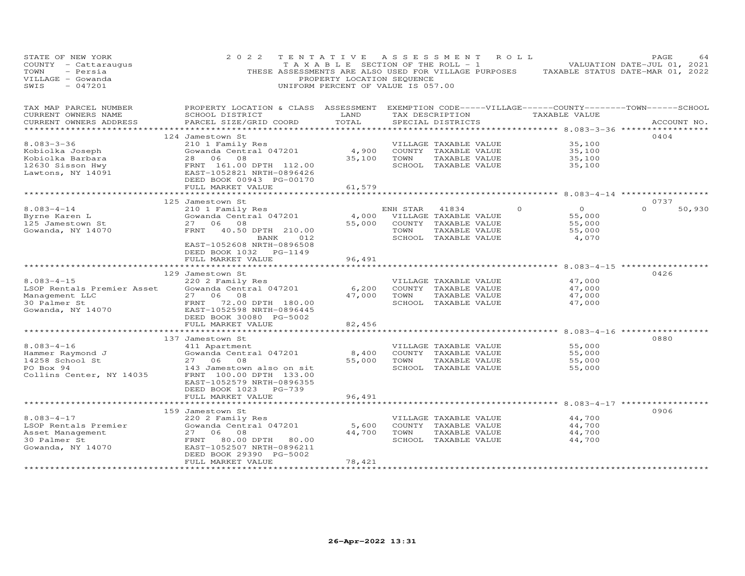| VALUATION DATE-JUL 01, 2021<br>TAXABLE STATUS DATE-MAR 01, 2022                                                                    |
|------------------------------------------------------------------------------------------------------------------------------------|
| EXEMPTION CODE-----VILLAGE------COUNTY--------TOWN------SCHOOL<br>ACCOUNT NO.<br>******************* 8.083-3-36 ****************** |
| 0404                                                                                                                               |
| $8.083 - 4 - 14$ **********                                                                                                        |
| 0737<br>50,930                                                                                                                     |
|                                                                                                                                    |
| 0426                                                                                                                               |
|                                                                                                                                    |
| 0880                                                                                                                               |
| ******************** 8.083-4-17 ******************                                                                                 |
| 0906                                                                                                                               |
|                                                                                                                                    |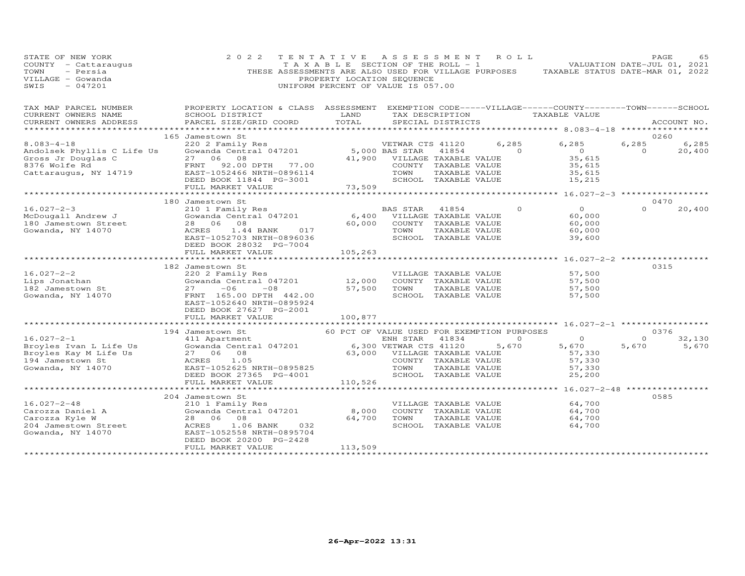| STATE OF NEW YORK<br>COUNTY - Cattaraugus<br>- Persia<br>TOWN<br>VILLAGE - Gowanda<br>$-047201$<br>SWIS                                        | 2 0 2 2                                                                                                                                                                                                                                 | TENTATIVE ASSESSMENT ROLL<br>PROPERTY LOCATION SEQUENCE<br>UNIFORM PERCENT OF VALUE IS 057.00 |                               |                      |                                               | $\begin{bmatrix} 1 & 1 & 1 \\ 1 & 1 & 1 \end{bmatrix}$ is extra of the ROLL - 1 $\begin{bmatrix} 1 & 1 & 1 \\ 1 & 1 & 1 \end{bmatrix}$ valuation date-jul 01, 2021<br>THESE ASSESSMENTS ARE ALSO USED FOR VILLAGE PURPOSES TAXABLE STATUS DATE-MAR 01, 2022 | PAGE                    |             | 65              |
|------------------------------------------------------------------------------------------------------------------------------------------------|-----------------------------------------------------------------------------------------------------------------------------------------------------------------------------------------------------------------------------------------|-----------------------------------------------------------------------------------------------|-------------------------------|----------------------|-----------------------------------------------|-------------------------------------------------------------------------------------------------------------------------------------------------------------------------------------------------------------------------------------------------------------|-------------------------|-------------|-----------------|
| TAX MAP PARCEL NUMBER FROPERTY LOCATION & CLASS ASSESSMENT EXEMPTION CODE-----VILLAGE------COUNTY-------TOWN-----SCHOOL<br>CURRENT OWNERS NAME | SCHOOL DISTRICT                                                                                                                                                                                                                         | <b>LAND</b>                                                                                   |                               |                      |                                               | TAX DESCRIPTION TAXABLE VALUE                                                                                                                                                                                                                               |                         |             |                 |
| CURRENT OWNERS ADDRESS                                                                                                                         | PARCEL SIZE/GRID COORD                                                                                                                                                                                                                  | TOTAL                                                                                         | SPECIAL DISTRICTS             |                      |                                               |                                                                                                                                                                                                                                                             |                         | ACCOUNT NO. |                 |
|                                                                                                                                                |                                                                                                                                                                                                                                         |                                                                                               |                               |                      |                                               |                                                                                                                                                                                                                                                             |                         |             |                 |
| $8.083 - 4 - 18$                                                                                                                               | 165 Jamestown St                                                                                                                                                                                                                        |                                                                                               |                               |                      |                                               |                                                                                                                                                                                                                                                             | 0260                    |             |                 |
| Andolsek Phyllis C Life Us                                                                                                                     |                                                                                                                                                                                                                                         |                                                                                               |                               |                      | 6,285<br>41854 0                              | 6,285<br>$\overline{0}$                                                                                                                                                                                                                                     | 6,285<br>$\overline{0}$ |             | 6,285<br>20,400 |
|                                                                                                                                                |                                                                                                                                                                                                                                         |                                                                                               |                               |                      |                                               | 35,615                                                                                                                                                                                                                                                      |                         |             |                 |
| Gross Jr Douglas C<br>8376 Wolfe Rd<br>Cattaraugus, NY 14719                                                                                   |                                                                                                                                                                                                                                         |                                                                                               |                               |                      |                                               |                                                                                                                                                                                                                                                             |                         |             |                 |
|                                                                                                                                                |                                                                                                                                                                                                                                         |                                                                                               |                               |                      |                                               | 35,615<br>35,615                                                                                                                                                                                                                                            |                         |             |                 |
|                                                                                                                                                |                                                                                                                                                                                                                                         |                                                                                               |                               |                      |                                               | 15,215                                                                                                                                                                                                                                                      |                         |             |                 |
|                                                                                                                                                | 320 2 Family Res<br>Gowanda Central 047201 5,000 BAS STAR 41854<br>27 06 08 41,900 VILLAGE TAXABLE VALUE<br>FRNT 92.00 DPTH 77.00 41,900 VILLAGE TAXABLE VALUE<br>FRNT 92.00 DPTH 77.00 COUNTY TAXABLE VALUE<br>DEED BOOK 11844 PG-3001 |                                                                                               |                               |                      |                                               |                                                                                                                                                                                                                                                             |                         |             |                 |
|                                                                                                                                                | 180 Jamestown St                                                                                                                                                                                                                        |                                                                                               |                               |                      |                                               |                                                                                                                                                                                                                                                             | 0470                    |             |                 |
| $16.027 - 2 - 3$                                                                                                                               | 210 1 Family Res                                                                                                                                                                                                                        |                                                                                               | BAS STAR 41854                |                      | $\Omega$                                      | $\overline{0}$                                                                                                                                                                                                                                              | $\Omega$                |             | 20,400          |
| McDougall Andrew J                                                                                                                             | Gowanda Central 047201<br>28 06 08                                                                                                                                                                                                      |                                                                                               | $6,400$ VILLAGE TAXABLE VALUE |                      |                                               | 60,000                                                                                                                                                                                                                                                      |                         |             |                 |
| 180 Jamestown Street                                                                                                                           |                                                                                                                                                                                                                                         | 60,000                                                                                        | COUNTY TAXABLE VALUE          |                      |                                               | 60,000                                                                                                                                                                                                                                                      |                         |             |                 |
| Gowanda, NY 14070                                                                                                                              | <b>ACRES</b><br>1.44 BANK<br>017                                                                                                                                                                                                        |                                                                                               | TOWN                          | TAXABLE VALUE        |                                               | 60,000                                                                                                                                                                                                                                                      |                         |             |                 |
|                                                                                                                                                | EAST-1052703 NRTH-0896036                                                                                                                                                                                                               |                                                                                               | SCHOOL TAXABLE VALUE          |                      |                                               | 39,600                                                                                                                                                                                                                                                      |                         |             |                 |
|                                                                                                                                                | DEED BOOK 28032 PG-7004<br>FULL MARKET VALUE                                                                                                                                                                                            | 105,263                                                                                       |                               |                      |                                               |                                                                                                                                                                                                                                                             |                         |             |                 |
|                                                                                                                                                |                                                                                                                                                                                                                                         |                                                                                               |                               |                      |                                               |                                                                                                                                                                                                                                                             |                         |             |                 |
|                                                                                                                                                | 182 Jamestown St                                                                                                                                                                                                                        |                                                                                               |                               |                      |                                               |                                                                                                                                                                                                                                                             | 0315                    |             |                 |
| $16.027 - 2 - 2$                                                                                                                               | 220 2 Family Res                                                                                                                                                                                                                        |                                                                                               |                               |                      | VILLAGE TAXABLE VALUE<br>COUNTY TAXABLE VALUE | 57,500                                                                                                                                                                                                                                                      |                         |             |                 |
|                                                                                                                                                | Gowanda Central 047201                                                                                                                                                                                                                  | 12,000                                                                                        |                               |                      | COUNTY TAXABLE VALUE                          | 57,500                                                                                                                                                                                                                                                      |                         |             |                 |
| Lips Jonathan<br>182 Jamestown St<br>Gowanda, NY 14070                                                                                         | $27 -06 -08$                                                                                                                                                                                                                            |                                                                                               | 57,500 TOWN                   | TAXABLE VALUE        |                                               | 57,500                                                                                                                                                                                                                                                      |                         |             |                 |
| Gowanda, NY 14070                                                                                                                              | FRNT 165.00 DPTH 442.00<br>EAST-1052640 NRTH-0895924                                                                                                                                                                                    |                                                                                               | SCHOOL TAXABLE VALUE          |                      |                                               | 57,500                                                                                                                                                                                                                                                      |                         |             |                 |
|                                                                                                                                                | DEED BOOK 27627 PG-2001                                                                                                                                                                                                                 |                                                                                               |                               |                      |                                               |                                                                                                                                                                                                                                                             |                         |             |                 |
|                                                                                                                                                | FULL MARKET VALUE                                                                                                                                                                                                                       | 100,877                                                                                       |                               |                      |                                               |                                                                                                                                                                                                                                                             |                         |             |                 |
|                                                                                                                                                | *************************                                                                                                                                                                                                               | ********************                                                                          |                               |                      |                                               |                                                                                                                                                                                                                                                             |                         |             |                 |
|                                                                                                                                                | 194 Jamestown St                                                                                                                                                                                                                        | 60 PCT OF VALUE USED FOR EXEMPTION PURPOSES                                                   |                               |                      |                                               |                                                                                                                                                                                                                                                             | 0376                    |             |                 |
| $16.027 - 2 - 1$                                                                                                                               | 411 Apartment<br>Gowanda Central 047201 6,300 VETWAR CTS 41120 5,670                                                                                                                                                                    |                                                                                               | ENH STAR                      |                      | 41834 0                                       | $\overline{0}$                                                                                                                                                                                                                                              | $\Omega$                |             | 32,130          |
| Broyles Ivan L Life Us<br>Broyles Kay M Life Us                                                                                                | 27 06 08                                                                                                                                                                                                                                |                                                                                               |                               |                      | 63,000 VILLAGE TAXABLE VALUE                  | 5,670                                                                                                                                                                                                                                                       | 5,670                   |             | 5,670           |
| 194 Jamestown St                                                                                                                               | ACRES 1.05                                                                                                                                                                                                                              |                                                                                               | COUNTY TAXABLE VALUE          |                      |                                               | $57,330$<br>$57,330$<br>$57,330$                                                                                                                                                                                                                            |                         |             |                 |
| Gowanda, NY 14070                                                                                                                              | EAST-1052625 NRTH-0895825                                                                                                                                                                                                               |                                                                                               | TOWN                          | TAXABLE VALUE        |                                               | 57,330                                                                                                                                                                                                                                                      |                         |             |                 |
|                                                                                                                                                | DEED BOOK 27365 PG-4001                                                                                                                                                                                                                 |                                                                                               | SCHOOL TAXABLE VALUE          |                      |                                               | 25,200                                                                                                                                                                                                                                                      |                         |             |                 |
|                                                                                                                                                | FULL MARKET VALUE                                                                                                                                                                                                                       | 110,526                                                                                       |                               |                      |                                               |                                                                                                                                                                                                                                                             |                         |             |                 |
|                                                                                                                                                | **************************                                                                                                                                                                                                              |                                                                                               |                               |                      |                                               | ************* 16.027-2-48 ****************                                                                                                                                                                                                                  |                         |             |                 |
| $16.027 - 2 - 48$                                                                                                                              | 204 Jamestown St<br>210 1 Family Res                                                                                                                                                                                                    |                                                                                               |                               |                      | VILLAGE TAXABLE VALUE                         | 64,700                                                                                                                                                                                                                                                      | 0585                    |             |                 |
|                                                                                                                                                |                                                                                                                                                                                                                                         | 8,000                                                                                         | COUNTY TAXABLE VALUE          |                      |                                               | 64,700                                                                                                                                                                                                                                                      |                         |             |                 |
|                                                                                                                                                | Civilianily Res<br>Gowanda Central 047201<br>28 06 08                                                                                                                                                                                   | 64,700                                                                                        | TOWN TAXABLE VALUE            |                      |                                               | 64,700                                                                                                                                                                                                                                                      |                         |             |                 |
| Carozza Daniel A<br>Carozza Kyle W<br>204 Jamestown Street                                                                                     | ACRES 1.06 BANK<br>032                                                                                                                                                                                                                  |                                                                                               |                               | SCHOOL TAXABLE VALUE |                                               | 64,700                                                                                                                                                                                                                                                      |                         |             |                 |
| Gowanda, NY 14070                                                                                                                              | EAST-1052558 NRTH-0895704                                                                                                                                                                                                               |                                                                                               |                               |                      |                                               |                                                                                                                                                                                                                                                             |                         |             |                 |
|                                                                                                                                                | DEED BOOK 20200 PG-2428                                                                                                                                                                                                                 |                                                                                               |                               |                      |                                               |                                                                                                                                                                                                                                                             |                         |             |                 |
|                                                                                                                                                | FULL MARKET VALUE                                                                                                                                                                                                                       | 113,509<br>******************                                                                 |                               |                      |                                               |                                                                                                                                                                                                                                                             |                         |             |                 |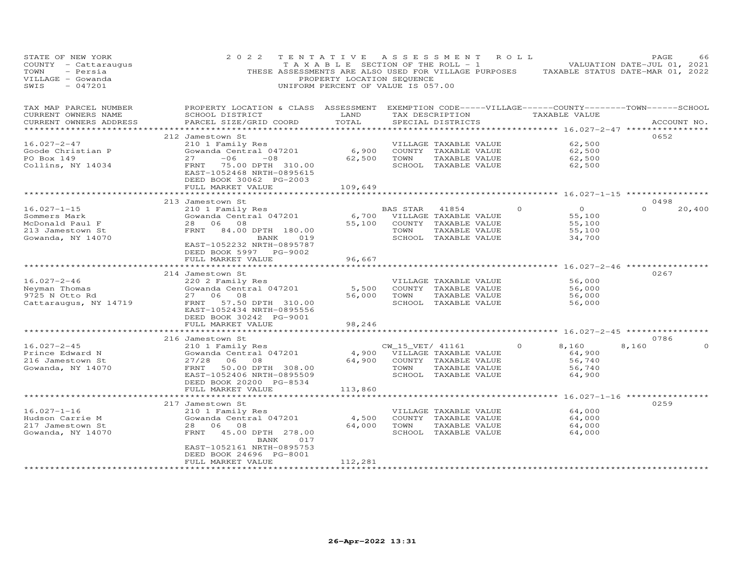| STATE OF NEW YORK<br>COUNTY - Cattaraugus<br>TOWN<br>- Persia<br>VILLAGE - Gowanda<br>$-047201$<br>SWIS | 2 0 2 2<br>THESE ASSESSMENTS ARE ALSO USED FOR VILLAGE PURPOSES                                                                                                                                  | TENTATIVE<br>TAXABLE SECTION OF THE ROLL - 1<br>PROPERTY LOCATION SEQUENCE<br>UNIFORM PERCENT OF VALUE IS 057.00 | A S S E S S M E N T      |                                                                                                 | R O L L | TAXABLE STATUS DATE-MAR 01, 2022                                                   | PAGE<br>VALUATION DATE-JUL 01, 2021 | 66     |
|---------------------------------------------------------------------------------------------------------|--------------------------------------------------------------------------------------------------------------------------------------------------------------------------------------------------|------------------------------------------------------------------------------------------------------------------|--------------------------|-------------------------------------------------------------------------------------------------|---------|------------------------------------------------------------------------------------|-------------------------------------|--------|
| TAX MAP PARCEL NUMBER<br>CURRENT OWNERS NAME<br>CURRENT OWNERS ADDRESS<br>**********************        | PROPERTY LOCATION & CLASS ASSESSMENT EXEMPTION CODE-----VILLAGE------COUNTY-------TOWN------SCHOOL<br>SCHOOL DISTRICT<br>PARCEL SIZE/GRID COORD                                                  | LAND<br>TOTAL                                                                                                    |                          | TAX DESCRIPTION<br>SPECIAL DISTRICTS                                                            |         | TAXABLE VALUE                                                                      | ACCOUNT NO.                         |        |
| 16.027-2-47<br>Goode Christian P<br>PO Box 149<br>Collins, NY 14034                                     | 212 Jamestown St<br>210 1 Family Res<br>Gowanda Central 047201<br>$-06$<br>27<br>$-08$<br>FRNT<br>75.00 DPTH 310.00<br>EAST-1052468 NRTH-0895615<br>DEED BOOK 30062 PG-2003<br>FULL MARKET VALUE | 6,900<br>62,500<br>109,649                                                                                       | TOWN                     | VILLAGE TAXABLE VALUE<br>COUNTY TAXABLE VALUE<br>TAXABLE VALUE<br>SCHOOL TAXABLE VALUE          |         | 62,500<br>62,500<br>62,500<br>62,500                                               | 0652                                |        |
|                                                                                                         |                                                                                                                                                                                                  |                                                                                                                  |                          |                                                                                                 |         |                                                                                    |                                     |        |
| $16.027 - 1 - 15$<br>Sommers Mark<br>McDonald Paul F<br>213 Jamestown St<br>Gowanda, NY 14070           | 213 Jamestown St<br>210 1 Family Res<br>Gowanda Central 047201<br>28 06 08<br>FRNT 84.00 DPTH 180.00<br>BANK<br>019<br>EAST-1052232 NRTH-0895787<br>DEED BOOK 5997 PG-9002                       | 6,700<br>55,100                                                                                                  | BAS STAR<br>TOWN         | 41854<br>VILLAGE TAXABLE VALUE<br>COUNTY TAXABLE VALUE<br>TAXABLE VALUE<br>SCHOOL TAXABLE VALUE | $\circ$ | $\Omega$<br>55,100<br>55,100<br>55,100<br>34,700                                   | 0498<br>$\Omega$                    | 20,400 |
|                                                                                                         | FULL MARKET VALUE                                                                                                                                                                                | 96,667                                                                                                           |                          |                                                                                                 |         |                                                                                    |                                     |        |
| $16.027 - 2 - 46$<br>Neyman Thomas<br>9725 N Otto Rd<br>Cattaraugus, NY 14719                           | 214 Jamestown St<br>220 2 Family Res<br>Gowanda Central 047201<br>27<br>08<br>06<br>FRNT<br>57.50 DPTH 310.00<br>EAST-1052434 NRTH-0895556<br>DEED BOOK 30242 PG-9001                            | 5,500<br>56,000                                                                                                  | TOWN                     | VILLAGE TAXABLE VALUE<br>COUNTY TAXABLE VALUE<br>TAXABLE VALUE<br>SCHOOL TAXABLE VALUE          |         | **************** 16.027-2-46 *************<br>56,000<br>56,000<br>56,000<br>56,000 | 0267                                |        |
|                                                                                                         | FULL MARKET VALUE                                                                                                                                                                                | 98,246                                                                                                           |                          |                                                                                                 |         |                                                                                    |                                     |        |
|                                                                                                         | 216 Jamestown St                                                                                                                                                                                 |                                                                                                                  |                          |                                                                                                 |         |                                                                                    | 0786                                |        |
| $16.027 - 2 - 45$<br>Prince Edward N<br>216 Jamestown St<br>Gowanda, NY 14070                           | 210 1 Family Res<br>Gowanda Central 047201<br>27/28<br>06<br>- 08<br>50.00 DPTH 308.00<br>FRNT<br>EAST-1052406 NRTH-0895509<br>DEED BOOK 20200 PG-8534<br>FULL MARKET VALUE                      | 4,900<br>64,900<br>113,860                                                                                       | CW_15_VET/ 41161<br>TOWN | VILLAGE TAXABLE VALUE<br>COUNTY TAXABLE VALUE<br>TAXABLE VALUE<br>SCHOOL TAXABLE VALUE          |         | 8,160<br>64,900<br>56,740<br>56,740<br>64,900                                      | 8,160                               |        |
|                                                                                                         |                                                                                                                                                                                                  |                                                                                                                  |                          |                                                                                                 |         |                                                                                    |                                     |        |
| $16.027 - 1 - 16$<br>Hudson Carrie M<br>217 Jamestown St<br>Gowanda, NY 14070                           | 217 Jamestown St<br>210 1 Family Res<br>Gowanda Central 047201<br>28<br>06 08<br>45.00 DPTH 278.00<br>FRNT<br>BANK<br>017<br>EAST-1052161 NRTH-0895753<br>DEED BOOK 24696 PG-8001                | 4,500<br>64,000                                                                                                  | TOWN                     | VILLAGE TAXABLE VALUE<br>COUNTY TAXABLE VALUE<br>TAXABLE VALUE<br>SCHOOL TAXABLE VALUE          |         | 64,000<br>64,000<br>64,000<br>64,000                                               | 0259                                |        |
|                                                                                                         | FULL MARKET VALUE                                                                                                                                                                                | 112,281                                                                                                          |                          |                                                                                                 |         |                                                                                    |                                     |        |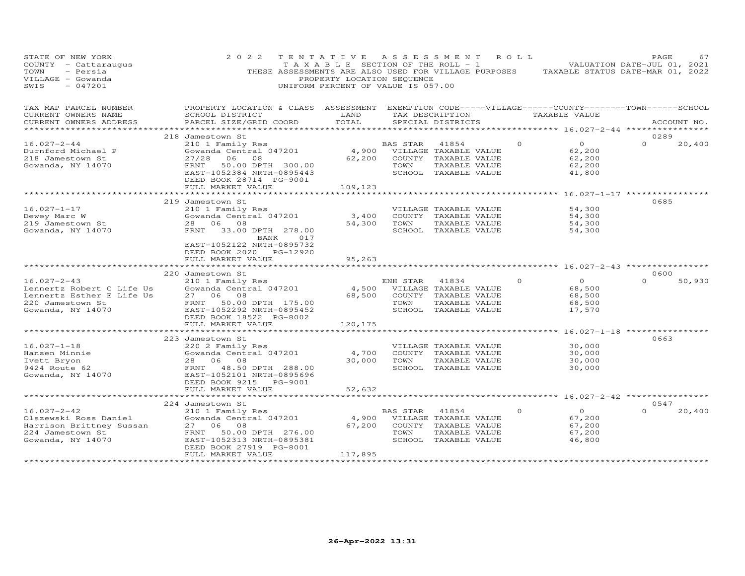| STATE OF NEW YORK<br>COUNTY - Cattaraugus<br>TOWN<br>- Persia<br>VILLAGE - Gowanda<br>$-047201$<br>SWIS              | 2 0 2 2<br>THESE ASSESSMENTS ARE ALSO USED FOR VILLAGE PURPOSES                                                                                                                            | TENTATIVE<br>TAXABLE SECTION OF THE ROLL - 1<br>PROPERTY LOCATION SEQUENCE<br>UNIFORM PERCENT OF VALUE IS 057.00 |                  | A S S E S S M E N T                                                                             | ROLL     | TAXABLE STATUS DATE-MAR 01, 2022                                      | PAGE<br>VALUATION DATE-JUL 01, 2021 | 67     |
|----------------------------------------------------------------------------------------------------------------------|--------------------------------------------------------------------------------------------------------------------------------------------------------------------------------------------|------------------------------------------------------------------------------------------------------------------|------------------|-------------------------------------------------------------------------------------------------|----------|-----------------------------------------------------------------------|-------------------------------------|--------|
| TAX MAP PARCEL NUMBER<br>CURRENT OWNERS NAME<br>CURRENT OWNERS ADDRESS<br>* * * * * * * * * * * * * *                | PROPERTY LOCATION & CLASS ASSESSMENT EXEMPTION CODE-----VILLAGE------COUNTY-------TOWN------SCHOOL<br>SCHOOL DISTRICT<br>PARCEL SIZE/GRID COORD                                            | LAND<br>TOTAL                                                                                                    |                  | TAX DESCRIPTION<br>SPECIAL DISTRICTS                                                            |          | TAXABLE VALUE                                                         | ACCOUNT NO.                         |        |
| $16.027 - 2 - 44$<br>Durnford Michael P<br>218 Jamestown St<br>Gowanda, NY 14070                                     | 218 Jamestown St<br>210 1 Family Res<br>Gowanda Central 047201<br>27/28<br>06 08<br>FRNT<br>50.00 DPTH 300.00<br>EAST-1052384 NRTH-0895443<br>DEED BOOK 28714 PG-9001<br>FULL MARKET VALUE | 4,900<br>62,200<br>109,123                                                                                       | BAS STAR<br>TOWN | 41854<br>VILLAGE TAXABLE VALUE<br>COUNTY TAXABLE VALUE<br>TAXABLE VALUE<br>SCHOOL TAXABLE VALUE | $\Omega$ | $\overline{O}$<br>62,200<br>62,200<br>62,200<br>41,800                | 0289<br>$\Omega$                    | 20,400 |
|                                                                                                                      |                                                                                                                                                                                            |                                                                                                                  |                  |                                                                                                 |          | *********** 16.027-1-17 ****                                          |                                     |        |
| $16.027 - 1 - 17$<br>Dewey Marc W<br>219 Jamestown St<br>Gowanda, NY 14070                                           | 219 Jamestown St<br>210 1 Family Res<br>Gowanda Central 047201<br>28 06 08<br>33.00 DPTH 278.00<br>FRNT<br>BANK<br>017                                                                     | 3,400<br>54,300                                                                                                  | TOWN             | VILLAGE TAXABLE VALUE<br>COUNTY TAXABLE VALUE<br>TAXABLE VALUE<br>SCHOOL TAXABLE VALUE          |          | 54,300<br>54,300<br>54,300<br>54,300                                  | 0685                                |        |
|                                                                                                                      | EAST-1052122 NRTH-0895732<br>DEED BOOK 2020 PG-12920<br>FULL MARKET VALUE<br>220 Jamestown St                                                                                              | 95,263<br>**********                                                                                             |                  |                                                                                                 |          | ******************** 16.027-2-43 *****************                    | 0600                                |        |
| $16.027 - 2 - 43$<br>Lennertz Robert C Life Us<br>Lennertz Esther E Life Us<br>220 Jamestown St<br>Gowanda, NY 14070 | 210 1 Family Res<br>Gowanda Central 047201<br>27 06 08<br>FRNT 50.00 DPTH 175.00<br>EAST-1052292 NRTH-0895452<br>DEED BOOK 18522 PG-8002                                                   | 4,500<br>68,500                                                                                                  | ENH STAR<br>TOWN | 41834<br>VILLAGE TAXABLE VALUE<br>COUNTY TAXABLE VALUE<br>TAXABLE VALUE<br>SCHOOL TAXABLE VALUE | $\Omega$ | $\circ$<br>68,500<br>68,500<br>68,500<br>17,570                       | $\Omega$                            | 50,930 |
|                                                                                                                      | FULL MARKET VALUE                                                                                                                                                                          | 120,175                                                                                                          |                  |                                                                                                 |          |                                                                       |                                     |        |
| $16.027 - 1 - 18$<br>Hansen Minnie<br>Ivett Bryon                                                                    | 223 Jamestown St<br>220 2 Family Res<br>Gowanda Central 047201<br>28<br>06 08                                                                                                              | ***********<br>4,700<br>30,000                                                                                   | TOWN             | VILLAGE TAXABLE VALUE<br>COUNTY TAXABLE VALUE<br>TAXABLE VALUE                                  |          | *********** 16.027-1-18 ***************<br>30,000<br>30,000<br>30,000 | 0663                                |        |
| 9424 Route 62<br>Gowanda, NY 14070                                                                                   | FRNT 48.50 DPTH 288.00<br>EAST-1052101 NRTH-0895696<br>DEED BOOK 9215 PG-9001<br>FULL MARKET VALUE<br>***************************                                                          | 52,632                                                                                                           |                  | SCHOOL TAXABLE VALUE                                                                            |          | 30,000                                                                |                                     |        |
|                                                                                                                      | 224 Jamestown St                                                                                                                                                                           |                                                                                                                  |                  |                                                                                                 |          |                                                                       | 0547                                |        |
| $16.027 - 2 - 42$<br>Olszewski Ross Daniel<br>Harrison Brittney Sussan<br>224 Jamestown St<br>Gowanda, NY 14070      | 210 1 Family Res<br>Gowanda Central 047201<br>27<br>06<br>08<br>50.00 DPTH 276.00<br>FRNT<br>EAST-1052313 NRTH-0895381<br>DEED BOOK 27919 PG-8001                                          | 4,900<br>67,200                                                                                                  | BAS STAR<br>TOWN | 41854<br>VILLAGE TAXABLE VALUE<br>COUNTY TAXABLE VALUE<br>TAXABLE VALUE<br>SCHOOL TAXABLE VALUE | $\circ$  | $\circ$<br>67,200<br>67,200<br>67,200<br>46,800                       | $\Omega$                            | 20,400 |
|                                                                                                                      | FULL MARKET VALUE<br>***********************                                                                                                                                               | 117,895<br>* * * * * * * * * * * * * *                                                                           |                  |                                                                                                 |          |                                                                       |                                     |        |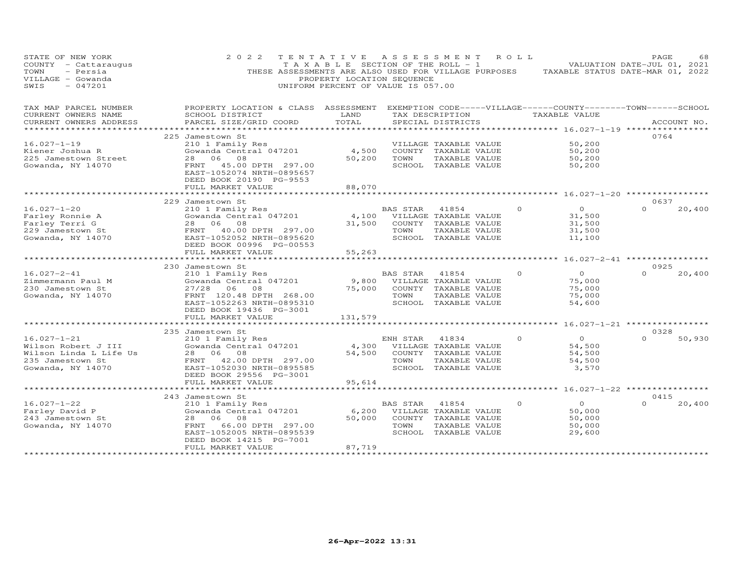| STATE OF NEW YORK<br>COUNTY - Cattaraugus<br>TOWN<br>- Persia<br>VILLAGE - Gowanda<br>$-047201$<br>SWIS     | 2 0 2 2<br>THESE ASSESSMENTS ARE ALSO USED FOR VILLAGE PURPOSES                                                                                                                            | TENTATIVE<br>T A X A B L E SECTION OF THE ROLL - 1<br>PROPERTY LOCATION SEQUENCE<br>UNIFORM PERCENT OF VALUE IS 057.00 |                                   | A S S E S S M E N T                                                                             | R O L L  | TAXABLE STATUS DATE-MAR 01, 2022                 | PAGE<br>VALUATION DATE-JUL 01, 2021 | 68          |
|-------------------------------------------------------------------------------------------------------------|--------------------------------------------------------------------------------------------------------------------------------------------------------------------------------------------|------------------------------------------------------------------------------------------------------------------------|-----------------------------------|-------------------------------------------------------------------------------------------------|----------|--------------------------------------------------|-------------------------------------|-------------|
| TAX MAP PARCEL NUMBER<br>CURRENT OWNERS NAME                                                                | PROPERTY LOCATION & CLASS ASSESSMENT EXEMPTION CODE-----VILLAGE------COUNTY--------TOWN------SCHOOL<br>SCHOOL DISTRICT                                                                     | LAND                                                                                                                   |                                   | TAX DESCRIPTION                                                                                 |          | TAXABLE VALUE                                    |                                     |             |
| CURRENT OWNERS ADDRESS<br>*********************                                                             | PARCEL SIZE/GRID COORD                                                                                                                                                                     | TOTAL                                                                                                                  |                                   | SPECIAL DISTRICTS                                                                               |          |                                                  |                                     | ACCOUNT NO. |
|                                                                                                             | 225 Jamestown St                                                                                                                                                                           |                                                                                                                        |                                   |                                                                                                 |          |                                                  | 0764                                |             |
| $16.027 - 1 - 19$<br>Kiener Joshua R<br>225 Jamestown Street<br>Gowanda, NY 14070                           | 210 1 Family Res<br>Gowanda Central 047201<br>28 06 08<br>FRNT<br>45.00 DPTH 297.00<br>EAST-1052074 NRTH-0895657<br>DEED BOOK 20190 PG-9553                                                | 4,500<br>50,200                                                                                                        | TOWN                              | VILLAGE TAXABLE VALUE<br>COUNTY TAXABLE VALUE<br>TAXABLE VALUE<br>SCHOOL TAXABLE VALUE          |          | 50,200<br>50,200<br>50,200<br>50,200             |                                     |             |
|                                                                                                             | FULL MARKET VALUE<br>******************                                                                                                                                                    | 88,070<br>**************                                                                                               |                                   |                                                                                                 |          | ********* 16.027-1-20 *********                  |                                     |             |
|                                                                                                             | 229 Jamestown St                                                                                                                                                                           |                                                                                                                        |                                   |                                                                                                 |          |                                                  | 0637                                |             |
| $16.027 - 1 - 20$<br>Farley Ronnie A<br>Farley Terri G<br>229 Jamestown St<br>Gowanda, NY 14070             | 210 1 Family Res<br>Gowanda Central 047201<br>28 06 08<br>40.00 DPTH 297.00<br>FRNT<br>EAST-1052052 NRTH-0895620                                                                           | 4,100<br>31,500                                                                                                        | BAS STAR<br>TOWN                  | 41854<br>VILLAGE TAXABLE VALUE<br>COUNTY TAXABLE VALUE<br>TAXABLE VALUE<br>SCHOOL TAXABLE VALUE | $\Omega$ | $\circ$<br>31,500<br>31,500<br>31,500<br>11,100  | $\Omega$                            | 20,400      |
|                                                                                                             | DEED BOOK 00996 PG-00553<br>FULL MARKET VALUE                                                                                                                                              | 55,263                                                                                                                 |                                   |                                                                                                 |          |                                                  |                                     |             |
|                                                                                                             | ****************                                                                                                                                                                           |                                                                                                                        |                                   |                                                                                                 |          | ******** 16.027-2-41 **********                  |                                     |             |
|                                                                                                             | 230 Jamestown St                                                                                                                                                                           |                                                                                                                        |                                   |                                                                                                 |          |                                                  | 0925                                |             |
| $16.027 - 2 - 41$<br>Zimmermann Paul M<br>230 Jamestown St<br>Gowanda, NY 14070                             | 210 1 Family Res<br>Gowanda Central 047201<br>27/28<br>06<br>08<br>FRNT 120.48 DPTH 268.00<br>EAST-1052263 NRTH-0895310<br>DEED BOOK 19436 PG-3001                                         | 9,800<br>75,000                                                                                                        | <b>BAS STAR</b><br>COUNTY<br>TOWN | 41854<br>VILLAGE TAXABLE VALUE<br>TAXABLE VALUE<br>TAXABLE VALUE<br>SCHOOL TAXABLE VALUE        | $\Omega$ | $\Omega$<br>75,000<br>75,000<br>75,000<br>54,600 | $\Omega$                            | 20,400      |
|                                                                                                             | FULL MARKET VALUE                                                                                                                                                                          | 131,579                                                                                                                |                                   |                                                                                                 |          |                                                  |                                     |             |
|                                                                                                             | * * * * * * * * * * * * * * * * * *                                                                                                                                                        |                                                                                                                        |                                   |                                                                                                 |          | ****** 16.027-1-21 ***********                   |                                     |             |
| $16.027 - 1 - 21$<br>Wilson Robert J III<br>Wilson Linda L Life Us<br>235 Jamestown St<br>Gowanda, NY 14070 | 235 Jamestown St<br>210 1 Family Res<br>Gowanda Central 047201<br>08<br>28<br>06<br>FRNT<br>42.00 DPTH 297.00<br>EAST-1052030 NRTH-0895585<br>DEED BOOK 29556 PG-3001                      | 4,300<br>54,500                                                                                                        | ENH STAR<br>TOWN                  | 41834<br>VILLAGE TAXABLE VALUE<br>COUNTY TAXABLE VALUE<br>TAXABLE VALUE<br>SCHOOL TAXABLE VALUE | $\Omega$ | $\Omega$<br>54,500<br>54,500<br>54,500<br>3,570  | 0328<br>$\Omega$                    | 50,930      |
|                                                                                                             | FULL MARKET VALUE                                                                                                                                                                          | 95,614                                                                                                                 |                                   |                                                                                                 |          |                                                  |                                     |             |
|                                                                                                             |                                                                                                                                                                                            |                                                                                                                        |                                   |                                                                                                 |          | **** 16.027-1-22 **********                      |                                     |             |
| $16.027 - 1 - 22$<br>Farley David P<br>243 Jamestown St<br>Gowanda, NY 14070                                | 243 Jamestown St<br>210 1 Family Res<br>Gowanda Central 047201<br>08<br>28<br>06<br>66.00 DPTH 297.00<br>FRNT<br>EAST-1052005 NRTH-0895539<br>DEED BOOK 14215 PG-7001<br>FULL MARKET VALUE | 6,200<br>50,000                                                                                                        | BAS STAR<br>TOWN                  | 41854<br>VILLAGE TAXABLE VALUE<br>COUNTY TAXABLE VALUE<br>TAXABLE VALUE<br>SCHOOL TAXABLE VALUE | $\Omega$ | $\circ$<br>50,000<br>50,000<br>50,000<br>29,600  | 0415<br>$\Omega$                    | 20,400      |
|                                                                                                             | *******************                                                                                                                                                                        | 87,719<br>*************                                                                                                |                                   |                                                                                                 |          |                                                  |                                     |             |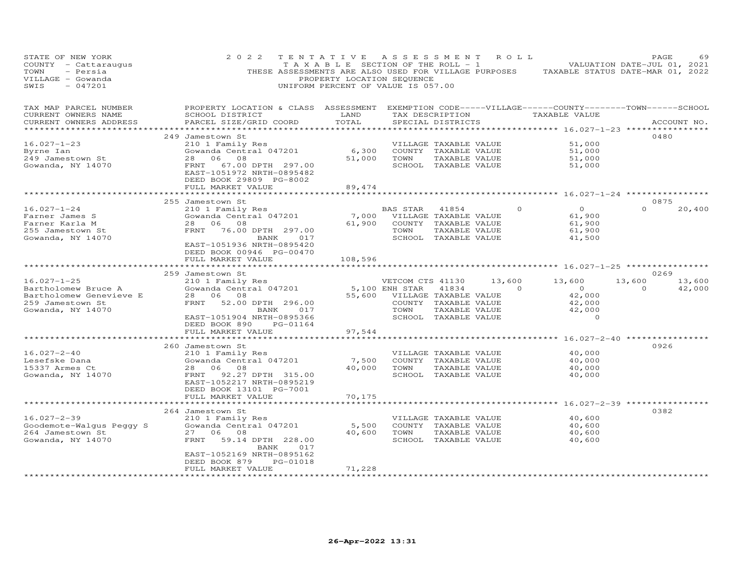| STATE OF NEW YORK<br>COUNTY - Cattaraugus<br>TOWN<br>- Persia<br>VILLAGE - Gowanda<br>SWIS<br>$-047201$ | 2 0 2 2<br>THESE ASSESSMENTS ARE ALSO USED FOR VILLAGE PURPOSES                   | TENTATIVE<br>T A X A B L E SECTION OF THE ROLL - 1<br>PROPERTY LOCATION SEQUENCE<br>UNIFORM PERCENT OF VALUE IS 057.00 | A S S E S S M E N T |                                      | R O L L  |                                    | PAGE<br>69<br>VALUATION DATE-JUL 01, 2021<br>TAXABLE STATUS DATE-MAR 01, 2022 |
|---------------------------------------------------------------------------------------------------------|-----------------------------------------------------------------------------------|------------------------------------------------------------------------------------------------------------------------|---------------------|--------------------------------------|----------|------------------------------------|-------------------------------------------------------------------------------|
| TAX MAP PARCEL NUMBER<br>CURRENT OWNERS NAME<br>CURRENT OWNERS ADDRESS                                  | PROPERTY LOCATION & CLASS ASSESSMENT<br>SCHOOL DISTRICT<br>PARCEL SIZE/GRID COORD | LAND<br>TOTAL                                                                                                          |                     | TAX DESCRIPTION<br>SPECIAL DISTRICTS |          | TAXABLE VALUE                      | EXEMPTION CODE-----VILLAGE------COUNTY-------TOWN------SCHOOL<br>ACCOUNT NO.  |
| *********************                                                                                   |                                                                                   | *********                                                                                                              |                     |                                      |          |                                    | ************************************** 16.027-1-23 *****************          |
| $16.027 - 1 - 23$                                                                                       | 249 Jamestown St<br>210 1 Family Res                                              |                                                                                                                        |                     | VILLAGE TAXABLE VALUE                |          | 51,000                             | 0480                                                                          |
| Byrne Ian                                                                                               | Gowanda Central 047201                                                            | 6,300                                                                                                                  |                     | COUNTY TAXABLE VALUE                 |          | 51,000                             |                                                                               |
| 249 Jamestown St                                                                                        | 06<br>28<br>08                                                                    | 51,000                                                                                                                 | TOWN                | TAXABLE VALUE                        |          | 51,000                             |                                                                               |
| Gowanda, NY 14070                                                                                       | 67.00 DPTH 297.00<br>FRNT<br>EAST-1051972 NRTH-0895482<br>DEED BOOK 29809 PG-8002 |                                                                                                                        |                     | SCHOOL TAXABLE VALUE                 |          | 51,000                             |                                                                               |
|                                                                                                         | FULL MARKET VALUE                                                                 | 89,474                                                                                                                 |                     |                                      |          |                                    |                                                                               |
|                                                                                                         |                                                                                   |                                                                                                                        |                     |                                      |          |                                    | $16.027 - 1 - 24$ *********                                                   |
| $16.027 - 1 - 24$                                                                                       | 255 Jamestown St<br>210 1 Family Res                                              |                                                                                                                        | BAS STAR            | 41854                                | $\Omega$ | $\circ$                            | 0875<br>$\Omega$<br>20,400                                                    |
| Farner James S                                                                                          | Gowanda Central 047201                                                            | 7,000                                                                                                                  |                     | VILLAGE TAXABLE VALUE                |          | 61,900                             |                                                                               |
| Farner Karla M                                                                                          | 06<br>28<br>08                                                                    | 61,900                                                                                                                 | COUNTY              | TAXABLE VALUE                        |          | 61,900                             |                                                                               |
| 255 Jamestown St                                                                                        | FRNT<br>76.00 DPTH 297.00                                                         |                                                                                                                        | TOWN                | TAXABLE VALUE                        |          | 61,900                             |                                                                               |
| Gowanda, NY 14070                                                                                       | BANK<br>017                                                                       |                                                                                                                        | SCHOOL              | TAXABLE VALUE                        |          | 41,500                             |                                                                               |
|                                                                                                         | EAST-1051936 NRTH-0895420                                                         |                                                                                                                        |                     |                                      |          |                                    |                                                                               |
|                                                                                                         | DEED BOOK 00946 PG-00470                                                          |                                                                                                                        |                     |                                      |          |                                    |                                                                               |
|                                                                                                         | FULL MARKET VALUE<br>************                                                 | 108,596                                                                                                                | ******************  |                                      |          | ******* 16.027-1-25 ************** |                                                                               |
|                                                                                                         | 259 Jamestown St                                                                  |                                                                                                                        |                     |                                      |          |                                    | 0269                                                                          |
| $16.027 - 1 - 25$                                                                                       | 210 1 Family Res                                                                  |                                                                                                                        | VETCOM CTS 41130    |                                      | 13,600   | 13,600                             | 13,600<br>13,600                                                              |
| Bartholomew Bruce A                                                                                     | Gowanda Central 047201                                                            |                                                                                                                        | 5,100 ENH STAR      | 41834                                | $\Omega$ | $\circ$                            | 0<br>42,000                                                                   |
| Bartholomew Genevieve E                                                                                 | 28<br>06<br>08                                                                    | 55,600                                                                                                                 |                     | VILLAGE TAXABLE VALUE                |          | 42,000                             |                                                                               |
| 259 Jamestown St                                                                                        | 52.00 DPTH 296.00<br>FRNT                                                         |                                                                                                                        |                     | COUNTY TAXABLE VALUE                 |          | 42,000                             |                                                                               |
| Gowanda, NY 14070                                                                                       | 017<br>BANK                                                                       |                                                                                                                        | TOWN                | TAXABLE VALUE                        |          | 42,000                             |                                                                               |
|                                                                                                         | EAST-1051904 NRTH-0895366                                                         |                                                                                                                        | SCHOOL              | TAXABLE VALUE                        |          | $\circ$                            |                                                                               |
|                                                                                                         | DEED BOOK 890<br>PG-01164                                                         |                                                                                                                        |                     |                                      |          |                                    |                                                                               |
|                                                                                                         | FULL MARKET VALUE                                                                 | 97,544                                                                                                                 |                     |                                      |          |                                    |                                                                               |
|                                                                                                         | 260 Jamestown St                                                                  |                                                                                                                        |                     |                                      |          |                                    | 0926                                                                          |
| $16.027 - 2 - 40$                                                                                       | 210 1 Family Res                                                                  |                                                                                                                        |                     | VILLAGE TAXABLE VALUE                |          | 40,000                             |                                                                               |
| Lesefske Dana                                                                                           | Gowanda Central 047201                                                            | 7,500                                                                                                                  |                     | COUNTY TAXABLE VALUE                 |          | 40,000                             |                                                                               |
| 15337 Armes Ct                                                                                          | 28<br>06<br>08                                                                    | 40,000                                                                                                                 | TOWN                | TAXABLE VALUE                        |          | 40,000                             |                                                                               |
| Gowanda, NY 14070                                                                                       | FRNT<br>92.27 DPTH 315.00                                                         |                                                                                                                        |                     | SCHOOL TAXABLE VALUE                 |          | 40,000                             |                                                                               |
|                                                                                                         | EAST-1052217 NRTH-0895219                                                         |                                                                                                                        |                     |                                      |          |                                    |                                                                               |
|                                                                                                         | DEED BOOK 13101 PG-7001                                                           |                                                                                                                        |                     |                                      |          |                                    |                                                                               |
|                                                                                                         | FULL MARKET VALUE<br>***********                                                  | 70,175                                                                                                                 |                     |                                      |          | $16.027 - 2 - 39$ ***              |                                                                               |
|                                                                                                         | 264 Jamestown St                                                                  |                                                                                                                        |                     |                                      |          |                                    | 0382                                                                          |
| $16.027 - 2 - 39$                                                                                       | 210 1 Family Res                                                                  |                                                                                                                        |                     | VILLAGE TAXABLE VALUE                |          | 40,600                             |                                                                               |
| Goodemote-Walqus Peqqy S                                                                                | Gowanda Central 047201                                                            | 5,500                                                                                                                  |                     | COUNTY TAXABLE VALUE                 |          | 40,600                             |                                                                               |
| 264 Jamestown St                                                                                        | 06<br>08<br>27                                                                    | 40,600                                                                                                                 | TOWN                | TAXABLE VALUE                        |          | 40,600                             |                                                                               |
| Gowanda, NY 14070                                                                                       | FRNT<br>59.14 DPTH 228.00                                                         |                                                                                                                        | SCHOOL              | TAXABLE VALUE                        |          | 40,600                             |                                                                               |
|                                                                                                         | BANK<br>017                                                                       |                                                                                                                        |                     |                                      |          |                                    |                                                                               |
|                                                                                                         | EAST-1052169 NRTH-0895162                                                         |                                                                                                                        |                     |                                      |          |                                    |                                                                               |
|                                                                                                         | PG-01018<br>DEED BOOK 879<br>FULL MARKET VALUE                                    |                                                                                                                        |                     |                                      |          |                                    |                                                                               |
|                                                                                                         | ********************                                                              | 71,228                                                                                                                 |                     |                                      |          |                                    |                                                                               |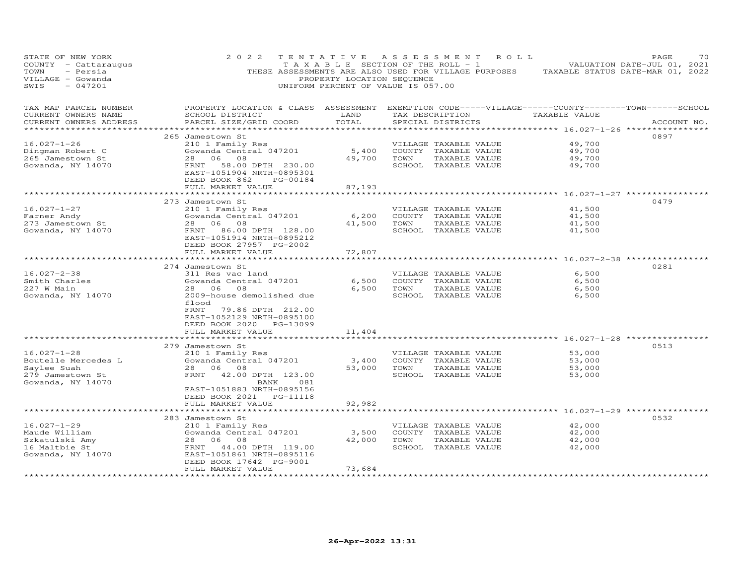| STATE OF NEW YORK<br>COUNTY - Cattaraugus<br>TOWN<br>- Persia<br>VILLAGE - Gowanda<br>$-047201$<br>SWIS | 2 0 2 2<br>THESE ASSESSMENTS ARE ALSO USED FOR VILLAGE PURPOSES                                                                                 | TENTATIVE<br>T A X A B L E SECTION OF THE ROLL - 1<br>PROPERTY LOCATION SEQUENCE<br>UNIFORM PERCENT OF VALUE IS 057.00 |      | ASSESSMENT                                    | R O L L                                   | PAGE<br>70<br>VALUATION DATE-JUL 01, 2021<br>TAXABLE STATUS DATE-MAR 01, 2022 |
|---------------------------------------------------------------------------------------------------------|-------------------------------------------------------------------------------------------------------------------------------------------------|------------------------------------------------------------------------------------------------------------------------|------|-----------------------------------------------|-------------------------------------------|-------------------------------------------------------------------------------|
| TAX MAP PARCEL NUMBER<br>CURRENT OWNERS NAME<br>CURRENT OWNERS ADDRESS<br>***********************       | PROPERTY LOCATION & CLASS ASSESSMENT EXEMPTION CODE-----VILLAGE------COUNTY-------TOWN------SCHOOL<br>SCHOOL DISTRICT<br>PARCEL SIZE/GRID COORD | LAND<br>TOTAL                                                                                                          |      | TAX DESCRIPTION<br>SPECIAL DISTRICTS          | TAXABLE VALUE                             | ACCOUNT NO.                                                                   |
|                                                                                                         | 265 Jamestown St                                                                                                                                |                                                                                                                        |      |                                               |                                           | 0897                                                                          |
| $16.027 - 1 - 26$                                                                                       | 210 1 Family Res                                                                                                                                |                                                                                                                        |      | VILLAGE TAXABLE VALUE                         | 49,700                                    |                                                                               |
| Dingman Robert C                                                                                        | Gowanda Central 047201                                                                                                                          | 5,400                                                                                                                  |      | COUNTY TAXABLE VALUE                          | 49,700                                    |                                                                               |
| 265 Jamestown St                                                                                        | 06 08<br>28                                                                                                                                     | 49,700                                                                                                                 | TOWN | TAXABLE VALUE                                 | 49,700                                    |                                                                               |
| Gowanda, NY 14070                                                                                       | 58.00 DPTH 230.00<br>FRNT<br>EAST-1051904 NRTH-0895301<br>DEED BOOK 862<br>PG-00184                                                             |                                                                                                                        |      | SCHOOL TAXABLE VALUE                          | 49,700                                    |                                                                               |
|                                                                                                         | FULL MARKET VALUE                                                                                                                               | 87,193                                                                                                                 |      |                                               |                                           |                                                                               |
|                                                                                                         |                                                                                                                                                 | * * * * * * * *                                                                                                        |      |                                               | ********* 16.027-1-27 *****               |                                                                               |
| $16.027 - 1 - 27$                                                                                       | 273 Jamestown St<br>210 1 Family Res                                                                                                            |                                                                                                                        |      |                                               | 41,500                                    | 0479                                                                          |
| Farner Andy                                                                                             | Gowanda Central 047201                                                                                                                          | 6,200                                                                                                                  |      | VILLAGE TAXABLE VALUE<br>COUNTY TAXABLE VALUE | 41,500                                    |                                                                               |
| 273 Jamestown St                                                                                        | 28 06 08                                                                                                                                        | 41,500                                                                                                                 | TOWN | TAXABLE VALUE                                 | 41,500                                    |                                                                               |
| Gowanda, NY 14070                                                                                       | FRNT<br>86.00 DPTH 128.00                                                                                                                       |                                                                                                                        |      | SCHOOL TAXABLE VALUE                          | 41,500                                    |                                                                               |
|                                                                                                         | EAST-1051914 NRTH-0895212<br>DEED BOOK 27957 PG-2002                                                                                            |                                                                                                                        |      |                                               |                                           |                                                                               |
|                                                                                                         | FULL MARKET VALUE                                                                                                                               | 72,807                                                                                                                 |      |                                               |                                           |                                                                               |
|                                                                                                         | 274 Jamestown St                                                                                                                                |                                                                                                                        |      |                                               |                                           | 0281                                                                          |
| $16.027 - 2 - 38$                                                                                       | 311 Res vac land                                                                                                                                |                                                                                                                        |      | VILLAGE TAXABLE VALUE                         | 6,500                                     |                                                                               |
| Smith Charles                                                                                           | Gowanda Central 047201                                                                                                                          | 6,500                                                                                                                  |      | COUNTY TAXABLE VALUE                          | 6,500                                     |                                                                               |
| 227 W Main                                                                                              | 28 06<br>08                                                                                                                                     | 6,500                                                                                                                  | TOWN | TAXABLE VALUE                                 | 6,500                                     |                                                                               |
| Gowanda, NY 14070                                                                                       | 2009-house demolished due                                                                                                                       |                                                                                                                        |      | SCHOOL TAXABLE VALUE                          | 6,500                                     |                                                                               |
|                                                                                                         | flood                                                                                                                                           |                                                                                                                        |      |                                               |                                           |                                                                               |
|                                                                                                         | FRNT<br>79.86 DPTH 212.00                                                                                                                       |                                                                                                                        |      |                                               |                                           |                                                                               |
|                                                                                                         | EAST-1052129 NRTH-0895100                                                                                                                       |                                                                                                                        |      |                                               |                                           |                                                                               |
|                                                                                                         | DEED BOOK 2020 PG-13099                                                                                                                         |                                                                                                                        |      |                                               |                                           |                                                                               |
|                                                                                                         | FULL MARKET VALUE                                                                                                                               | 11,404                                                                                                                 |      |                                               |                                           |                                                                               |
|                                                                                                         |                                                                                                                                                 |                                                                                                                        |      |                                               |                                           |                                                                               |
|                                                                                                         | 279 Jamestown St                                                                                                                                |                                                                                                                        |      |                                               |                                           | 0513                                                                          |
| $16.027 - 1 - 28$                                                                                       | 210 1 Family Res                                                                                                                                |                                                                                                                        |      | VILLAGE TAXABLE VALUE                         | 53,000                                    |                                                                               |
| Boutelle Mercedes L                                                                                     | Gowanda Central 047201                                                                                                                          | 3,400                                                                                                                  |      | COUNTY TAXABLE VALUE                          | 53,000                                    |                                                                               |
| Saylee Suah                                                                                             | 28 06 08                                                                                                                                        | 53,000                                                                                                                 | TOWN | TAXABLE VALUE                                 | 53,000                                    |                                                                               |
| 279 Jamestown St                                                                                        | FRNT 42.00 DPTH 123.00                                                                                                                          |                                                                                                                        |      | SCHOOL TAXABLE VALUE                          | 53,000                                    |                                                                               |
| Gowanda, NY 14070                                                                                       | BANK<br>081                                                                                                                                     |                                                                                                                        |      |                                               |                                           |                                                                               |
|                                                                                                         | EAST-1051883 NRTH-0895156                                                                                                                       |                                                                                                                        |      |                                               |                                           |                                                                               |
|                                                                                                         | DEED BOOK 2021    PG-11118<br>FULL MARKET VALUE                                                                                                 | 92,982                                                                                                                 |      |                                               |                                           |                                                                               |
|                                                                                                         |                                                                                                                                                 |                                                                                                                        |      |                                               | **************** 16.027-1-29 ************ |                                                                               |
|                                                                                                         | 283 Jamestown St                                                                                                                                |                                                                                                                        |      |                                               |                                           | 0532                                                                          |
| $16.027 - 1 - 29$                                                                                       | 210 1 Family Res                                                                                                                                |                                                                                                                        |      | VILLAGE TAXABLE VALUE                         | 42,000                                    |                                                                               |
| Maude William                                                                                           | Gowanda Central 047201                                                                                                                          | 3,500                                                                                                                  |      | COUNTY TAXABLE VALUE                          | 42,000                                    |                                                                               |
| Szkatulski Amy                                                                                          | 28 06<br>08                                                                                                                                     | 42,000                                                                                                                 | TOWN | TAXABLE VALUE                                 | 42,000                                    |                                                                               |
| 16 Maltbie St                                                                                           | FRNT 44.00 DPTH 119.00                                                                                                                          |                                                                                                                        |      | SCHOOL TAXABLE VALUE                          | 42,000                                    |                                                                               |
| Gowanda, NY 14070                                                                                       | EAST-1051861 NRTH-0895116                                                                                                                       |                                                                                                                        |      |                                               |                                           |                                                                               |
|                                                                                                         | DEED BOOK 17642 PG-9001                                                                                                                         |                                                                                                                        |      |                                               |                                           |                                                                               |
|                                                                                                         | FULL MARKET VALUE                                                                                                                               | 73,684                                                                                                                 |      |                                               |                                           |                                                                               |
|                                                                                                         | **********************                                                                                                                          | *********                                                                                                              |      |                                               |                                           |                                                                               |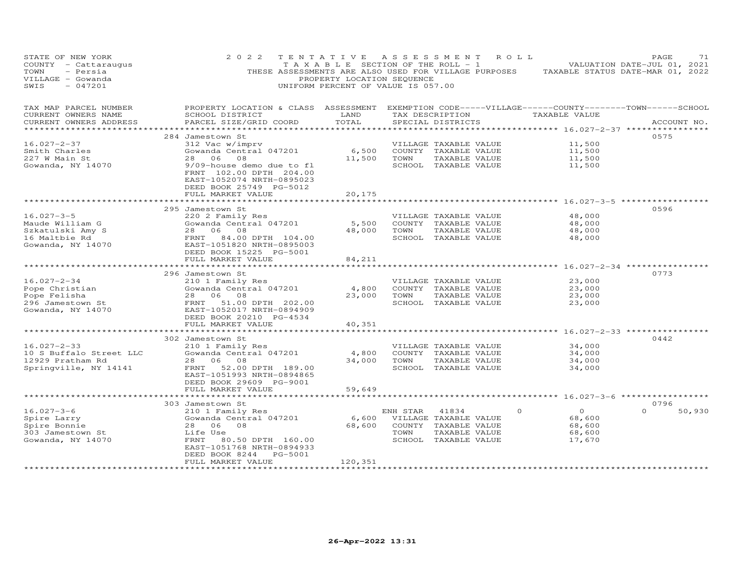| STATE OF NEW YORK<br>COUNTY - Cattaraugus<br>TOWN<br>- Persia<br>VILLAGE - Gowanda<br>$-047201$<br>SWIS | 2 0 2 2                                                                                                                                                                                                                   | TENTATIVE<br>T A X A B L E SECTION OF THE ROLL - 1<br>PROPERTY LOCATION SEQUENCE<br>UNIFORM PERCENT OF VALUE IS 057.00 | A S S E S S M E N T |                                                                                                 | ROLL ROLL | THESE ASSESSMENTS ARE ALSO USED FOR VILLAGE PURPOSES TAXABLE STATUS DATE-MAR 01, 2022 | PAGE<br>71<br>VALUATION DATE-JUL 01, 2021 |
|---------------------------------------------------------------------------------------------------------|---------------------------------------------------------------------------------------------------------------------------------------------------------------------------------------------------------------------------|------------------------------------------------------------------------------------------------------------------------|---------------------|-------------------------------------------------------------------------------------------------|-----------|---------------------------------------------------------------------------------------|-------------------------------------------|
| TAX MAP PARCEL NUMBER<br>CURRENT OWNERS NAME<br>CURRENT OWNERS ADDRESS<br>******************            | PROPERTY LOCATION & CLASS ASSESSMENT EXEMPTION CODE-----VILLAGE------COUNTY-------TOWN------SCHOOL<br>SCHOOL DISTRICT<br>PARCEL SIZE/GRID COORD                                                                           | LAND<br>TOTAL                                                                                                          |                     | SPECIAL DISTRICTS                                                                               |           | TAX DESCRIPTION TAXABLE VALUE<br>********************* 16.027-2-37 ****************   | ACCOUNT NO.                               |
| 16.027-2-37<br>Smith Charles<br>227 W Main St<br>Gowanda, NY 14070                                      | 284 Jamestown St<br>312 Vac w/imprv<br>Gowanda Central 047201<br>08<br>28 06<br>9/09-house demo due to fl<br>FRNT 102.00 DPTH 204.00<br>EAST-1052074 NRTH-0895023<br>DEED BOOK 25749 PG-5012                              | 6,500<br>11,500                                                                                                        | TOWN                | VILLAGE TAXABLE VALUE<br>COUNTY TAXABLE VALUE<br>TAXABLE VALUE<br>SCHOOL TAXABLE VALUE          |           | 11,500<br>11,500<br>11,500<br>11,500                                                  | 0575                                      |
| $16.027 - 3 - 5$<br>Maude William G<br>Szkatulski Amy S<br>16 Maltbie Rd                                | FULL MARKET VALUE<br>295 Jamestown St<br>220 2 Family Res<br>Gowanda Central 047201<br>28 06 08<br>FRNT 84.00 DPTH 104.00                                                                                                 | 20,175<br>5,500<br>48,000                                                                                              | TOWN                | VILLAGE TAXABLE VALUE<br>COUNTY TAXABLE VALUE<br>TAXABLE VALUE<br>SCHOOL TAXABLE VALUE          |           | 48,000<br>48,000<br>48,000<br>48,000                                                  | 0596                                      |
| Gowanda, NY 14070<br>$16.027 - 2 - 34$                                                                  | EAST-1051820 NRTH-0895003<br>DEED BOOK 15225 PG-5001<br>FULL MARKET VALUE<br>296 Jamestown St<br>210 1 Family Res                                                                                                         | 84,211                                                                                                                 |                     | VILLAGE TAXABLE VALUE                                                                           |           | 23,000                                                                                | 0773                                      |
| Pope Christian<br>Pope Felisha<br>296 Jamestown St<br>Gowanda, NY 14070                                 | Gowanda Central 047201<br>28 06 08<br>FRNT 51.00 DPTH 202.00<br>EAST-1052017 NRTH-0894909<br>DEED BOOK 20210 PG-4534                                                                                                      | 4,800<br>23,000                                                                                                        | TOWN                | COUNTY TAXABLE VALUE<br>TAXABLE VALUE<br>SCHOOL TAXABLE VALUE                                   |           | 23,000<br>23,000<br>23,000                                                            |                                           |
|                                                                                                         | FULL MARKET VALUE                                                                                                                                                                                                         | 40,351                                                                                                                 |                     |                                                                                                 |           |                                                                                       |                                           |
| $16.027 - 2 - 33$<br>10 S Buffalo Street LLC<br>12929 Pratham Rd<br>Springville, NY 14141               | 302 Jamestown St<br>210 1 Family Res<br>Gowanda Central 047201<br>28 06 08<br>FRNT 52.00 DPTH 189.00<br>EAST-1051993 NRTH-0894865<br>DEED BOOK 29609 PG-9001                                                              | 4,800<br>34,000                                                                                                        | TOWN                | VILLAGE TAXABLE VALUE<br>COUNTY TAXABLE VALUE<br>TAXABLE VALUE<br>SCHOOL TAXABLE VALUE          |           | 34,000<br>34,000<br>34,000<br>34,000                                                  | 0442                                      |
|                                                                                                         | FULL MARKET VALUE<br>***************************                                                                                                                                                                          | 59,649                                                                                                                 |                     |                                                                                                 |           | ******** 16.027-3-6 ***************                                                   |                                           |
| $16.027 - 3 - 6$<br>Spire Larry<br>Spire Bonnie<br>303 Jamestown St<br>Gowanda, NY 14070                | 303 Jamestown St<br>210 1 Family Res<br>Gowanda Central 047201<br>28 06 08<br>Life Use<br>FRNT<br>80.50 DPTH 160.00<br>EAST-1051768 NRTH-0894933<br>DEED BOOK 8244<br>PG-5001<br>FULL MARKET VALUE<br>******************* | 6,600<br>68,600<br>120,351                                                                                             | ENH STAR<br>TOWN    | 41834<br>VILLAGE TAXABLE VALUE<br>COUNTY TAXABLE VALUE<br>TAXABLE VALUE<br>SCHOOL TAXABLE VALUE | $\circ$   | $\overline{O}$<br>68,600<br>68,600<br>68,600<br>17,670                                | 0796<br>$\Omega$<br>50,930                |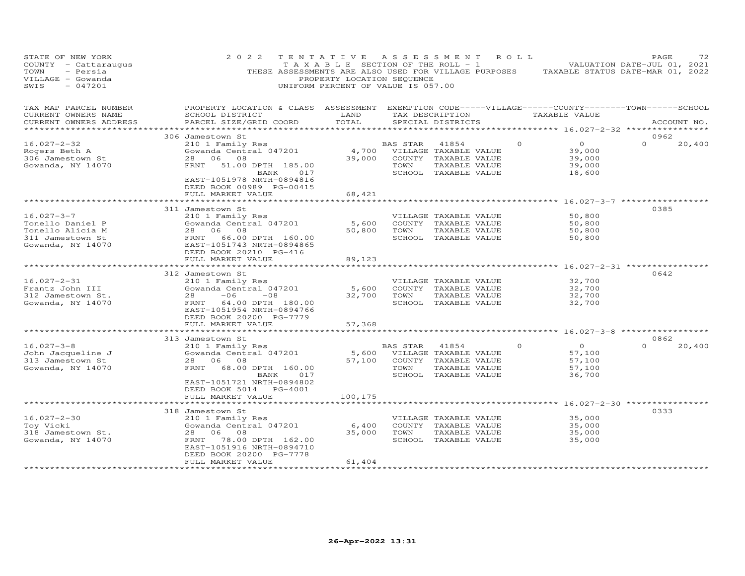| STATE OF NEW YORK<br>COUNTY - Cattaraugus<br>TOWN<br>- Persia<br>VILLAGE - Gowanda<br>$-047201$<br>SWIS | 2022                                                                                                                                            | TENTATIVE<br>T A X A B L E SECTION OF THE ROLL - 1<br>THESE ASSESSMENTS ARE ALSO USED FOR VILLAGE PURPOSES<br>PROPERTY LOCATION SEQUENCE<br>UNIFORM PERCENT OF VALUE IS 057.00 |          | A S S E S S M E N T                   | ROLL ROLL |                                                    | PAGE<br>72<br>VALUATION DATE-JUL 01, 2021<br>TAXABLE STATUS DATE-MAR 01, 2022 |
|---------------------------------------------------------------------------------------------------------|-------------------------------------------------------------------------------------------------------------------------------------------------|--------------------------------------------------------------------------------------------------------------------------------------------------------------------------------|----------|---------------------------------------|-----------|----------------------------------------------------|-------------------------------------------------------------------------------|
| TAX MAP PARCEL NUMBER<br>CURRENT OWNERS NAME<br>CURRENT OWNERS ADDRESS                                  | PROPERTY LOCATION & CLASS ASSESSMENT EXEMPTION CODE-----VILLAGE------COUNTY-------TOWN------SCHOOL<br>SCHOOL DISTRICT<br>PARCEL SIZE/GRID COORD | LAND<br>TOTAL                                                                                                                                                                  |          | TAX DESCRIPTION<br>SPECIAL DISTRICTS  |           | TAXABLE VALUE                                      | ACCOUNT NO.                                                                   |
|                                                                                                         |                                                                                                                                                 |                                                                                                                                                                                |          |                                       |           | ***************** 16.027-2-32 *****************    | 0962                                                                          |
| $16.027 - 2 - 32$                                                                                       | 306 Jamestown St<br>210 1 Family Res                                                                                                            |                                                                                                                                                                                | BAS STAR | 41854                                 | $\circ$   | $\overline{O}$                                     | $\Omega$<br>20,400                                                            |
| Rogers Beth A                                                                                           | Gowanda Central 047201                                                                                                                          |                                                                                                                                                                                |          | 4,700 VILLAGE TAXABLE VALUE           |           | 39,000                                             |                                                                               |
| 306 Jamestown St                                                                                        | 28 06 08                                                                                                                                        | 39,000                                                                                                                                                                         |          | COUNTY TAXABLE VALUE                  |           | 39,000                                             |                                                                               |
| Gowanda, NY 14070                                                                                       | 51.00 DPTH 185.00<br>FRNT                                                                                                                       |                                                                                                                                                                                | TOWN     | TAXABLE VALUE                         |           | 39,000                                             |                                                                               |
|                                                                                                         | BANK 017<br>EAST-1051978 NRTH-0894816                                                                                                           |                                                                                                                                                                                |          | SCHOOL TAXABLE VALUE                  |           | 18,600                                             |                                                                               |
|                                                                                                         | DEED BOOK 00989 PG-00415                                                                                                                        |                                                                                                                                                                                |          |                                       |           |                                                    |                                                                               |
|                                                                                                         | FULL MARKET VALUE                                                                                                                               | 68,421                                                                                                                                                                         |          |                                       |           |                                                    |                                                                               |
|                                                                                                         |                                                                                                                                                 |                                                                                                                                                                                |          |                                       |           |                                                    |                                                                               |
|                                                                                                         | 311 Jamestown St                                                                                                                                |                                                                                                                                                                                |          |                                       |           |                                                    | 0385                                                                          |
| $16.027 - 3 - 7$                                                                                        | 210 1 Family Res                                                                                                                                |                                                                                                                                                                                |          | VILLAGE TAXABLE VALUE                 |           | 50,800                                             |                                                                               |
| Tonello Daniel P<br>Tonello Alicia M                                                                    | Gowanda Central 047201<br>28 06 08                                                                                                              | 5,600<br>50,800                                                                                                                                                                | TOWN     | COUNTY TAXABLE VALUE<br>TAXABLE VALUE |           | 50,800<br>50,800                                   |                                                                               |
| 311 Jamestown St                                                                                        | FRNT 66.00 DPTH 160.00                                                                                                                          |                                                                                                                                                                                |          | SCHOOL TAXABLE VALUE                  |           | 50,800                                             |                                                                               |
| Gowanda, NY 14070                                                                                       | EAST-1051743 NRTH-0894865                                                                                                                       |                                                                                                                                                                                |          |                                       |           |                                                    |                                                                               |
|                                                                                                         | DEED BOOK 20210 PG-416                                                                                                                          |                                                                                                                                                                                |          |                                       |           |                                                    |                                                                               |
|                                                                                                         | FULL MARKET VALUE                                                                                                                               | 89,123                                                                                                                                                                         |          |                                       |           |                                                    |                                                                               |
|                                                                                                         |                                                                                                                                                 |                                                                                                                                                                                |          |                                       |           |                                                    |                                                                               |
| $16.027 - 2 - 31$                                                                                       | 312 Jamestown St<br>210 1 Family Res                                                                                                            |                                                                                                                                                                                |          | VILLAGE TAXABLE VALUE                 |           | 32,700                                             | 0642                                                                          |
| Frantz John III                                                                                         | Gowanda Central 047201                                                                                                                          | 5,600                                                                                                                                                                          |          | COUNTY TAXABLE VALUE                  |           | 32,700                                             |                                                                               |
| 312 Jamestown St.                                                                                       | 28<br>$-06$<br>$-08$                                                                                                                            | 32,700                                                                                                                                                                         | TOWN     | TAXABLE VALUE                         |           | 32,700                                             |                                                                               |
| Gowanda, NY 14070                                                                                       | FRNT 64.00 DPTH 180.00                                                                                                                          |                                                                                                                                                                                |          | SCHOOL TAXABLE VALUE                  |           | 32,700                                             |                                                                               |
|                                                                                                         | EAST-1051954 NRTH-0894766                                                                                                                       |                                                                                                                                                                                |          |                                       |           |                                                    |                                                                               |
|                                                                                                         | DEED BOOK 20200 PG-7779                                                                                                                         |                                                                                                                                                                                |          |                                       |           |                                                    |                                                                               |
|                                                                                                         | FULL MARKET VALUE                                                                                                                               | 57,368                                                                                                                                                                         |          |                                       |           | ********* 16.027-3-8 ************                  |                                                                               |
|                                                                                                         | 313 Jamestown St                                                                                                                                |                                                                                                                                                                                |          |                                       |           |                                                    | 0862                                                                          |
| $16.027 - 3 - 8$                                                                                        | 210 1 Family Res                                                                                                                                |                                                                                                                                                                                | BAS STAR | 41854                                 | $\circ$   | $\overline{O}$                                     | $\Omega$<br>20,400                                                            |
| John Jacqueline J                                                                                       | Gowanda Central 047201                                                                                                                          | 5,600                                                                                                                                                                          |          | VILLAGE TAXABLE VALUE                 |           | 57,100                                             |                                                                               |
| 313 Jamestown St                                                                                        | 28 06 08                                                                                                                                        | 57,100                                                                                                                                                                         |          | COUNTY TAXABLE VALUE                  |           | 57,100                                             |                                                                               |
| Gowanda, NY 14070                                                                                       | FRNT<br>68.00 DPTH 160.00                                                                                                                       |                                                                                                                                                                                | TOWN     | TAXABLE VALUE                         |           | 57,100                                             |                                                                               |
|                                                                                                         | BANK<br>017<br>EAST-1051721 NRTH-0894802                                                                                                        |                                                                                                                                                                                |          | SCHOOL TAXABLE VALUE                  |           | 36,700                                             |                                                                               |
|                                                                                                         | DEED BOOK 5014 PG-4001                                                                                                                          |                                                                                                                                                                                |          |                                       |           |                                                    |                                                                               |
|                                                                                                         | FULL MARKET VALUE                                                                                                                               | 100,175                                                                                                                                                                        |          |                                       |           |                                                    |                                                                               |
|                                                                                                         | *************************                                                                                                                       | ************                                                                                                                                                                   |          |                                       |           | ********************* 16.027-2-30 **************** |                                                                               |
|                                                                                                         | 318 Jamestown St                                                                                                                                |                                                                                                                                                                                |          |                                       |           |                                                    | 0333                                                                          |
| $16.027 - 2 - 30$                                                                                       | 210 1 Family Res                                                                                                                                |                                                                                                                                                                                |          | VILLAGE TAXABLE VALUE                 |           | 35,000                                             |                                                                               |
| Toy Vicki                                                                                               | Gowanda Central 047201                                                                                                                          | 6,400                                                                                                                                                                          |          | COUNTY TAXABLE VALUE                  |           | 35,000                                             |                                                                               |
| 318 Jamestown St.<br>Gowanda, NY 14070                                                                  | 28 06<br>08<br>78.00 DPTH 162.00<br>FRNT                                                                                                        | 35,000                                                                                                                                                                         | TOWN     | TAXABLE VALUE<br>SCHOOL TAXABLE VALUE |           | 35,000<br>35,000                                   |                                                                               |
|                                                                                                         | EAST-1051916 NRTH-0894710                                                                                                                       |                                                                                                                                                                                |          |                                       |           |                                                    |                                                                               |
|                                                                                                         | DEED BOOK 20200 PG-7778                                                                                                                         |                                                                                                                                                                                |          |                                       |           |                                                    |                                                                               |
|                                                                                                         | FULL MARKET VALUE                                                                                                                               | 61,404                                                                                                                                                                         |          |                                       |           |                                                    |                                                                               |
|                                                                                                         |                                                                                                                                                 |                                                                                                                                                                                |          |                                       |           |                                                    |                                                                               |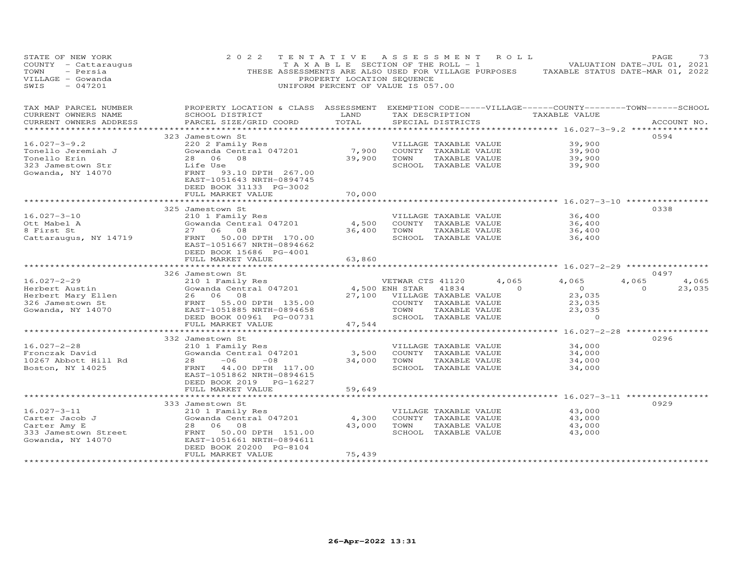| STATE OF NEW YORK<br>2 0 2 2<br>TENTATIVE<br>A S S E S S M E N T<br>ROLL<br>T A X A B L E SECTION OF THE ROLL - 1<br>COUNTY - Cattaraugus<br>- Persia<br>THESE ASSESSMENTS ARE ALSO USED FOR VILLAGE PURPOSES<br>TAXABLE STATUS DATE-MAR 01, 2022<br>TOWN<br>VILLAGE - Gowanda<br>PROPERTY LOCATION SEQUENCE<br>$-047201$<br>UNIFORM PERCENT OF VALUE IS 057.00<br>SWIS | PAGE<br>VALUATION DATE-JUL 01, 2021 | 73     |
|-------------------------------------------------------------------------------------------------------------------------------------------------------------------------------------------------------------------------------------------------------------------------------------------------------------------------------------------------------------------------|-------------------------------------|--------|
| PROPERTY LOCATION & CLASS ASSESSMENT EXEMPTION CODE-----VILLAGE------COUNTY-------TOWN------SCHOOL<br>TAX MAP PARCEL NUMBER<br>SCHOOL DISTRICT<br>LAND<br>CURRENT OWNERS NAME<br>TAX DESCRIPTION<br>TAXABLE VALUE<br>PARCEL SIZE/GRID COORD<br>TOTAL<br>CURRENT OWNERS ADDRESS<br>SPECIAL DISTRICTS                                                                     | ACCOUNT NO.                         |        |
| *****************<br>**************** 16.027-3-9.2 ***************                                                                                                                                                                                                                                                                                                      |                                     |        |
| 323 Jamestown St                                                                                                                                                                                                                                                                                                                                                        | 0594                                |        |
| $16.027 - 3 - 9.2$<br>39,900<br>220 2 Family Res<br>VILLAGE TAXABLE VALUE                                                                                                                                                                                                                                                                                               |                                     |        |
| 7,900<br>Tonello Jeremiah J<br>Gowanda Central 047201<br>COUNTY TAXABLE VALUE<br>39,900                                                                                                                                                                                                                                                                                 |                                     |        |
| Tonello Erin<br>39,900<br>TOWN<br>39,900<br>28 06<br>- 0.8<br>TAXABLE VALUE                                                                                                                                                                                                                                                                                             |                                     |        |
| SCHOOL TAXABLE VALUE<br>323 Jamestown Str<br>Life Use<br>39,900<br>Gowanda, NY 14070<br>FRNT<br>93.10 DPTH 267.00<br>EAST-1051643 NRTH-0894745<br>DEED BOOK 31133 PG-3002<br>FULL MARKET VALUE<br>70,000                                                                                                                                                                |                                     |        |
|                                                                                                                                                                                                                                                                                                                                                                         |                                     |        |
| 325 Jamestown St                                                                                                                                                                                                                                                                                                                                                        | 0338                                |        |
| $16.027 - 3 - 10$<br>210 1 Family Res<br>36,400<br>VILLAGE TAXABLE VALUE                                                                                                                                                                                                                                                                                                |                                     |        |
| Ott Mabel A<br>Gowanda Central 047201<br>4,500<br>COUNTY TAXABLE VALUE<br>36,400                                                                                                                                                                                                                                                                                        |                                     |        |
| 8 First St<br>27 06 08<br>36,400<br>TOWN<br>TAXABLE VALUE<br>36,400                                                                                                                                                                                                                                                                                                     |                                     |        |
| Cattaraugus, NY 14719<br>FRNT<br>50.00 DPTH 170.00<br>SCHOOL TAXABLE VALUE<br>36,400<br>EAST-1051667 NRTH-0894662<br>DEED BOOK 15686 PG-4001<br>FULL MARKET VALUE<br>63,860                                                                                                                                                                                             |                                     |        |
| ********* 16.027-2-29 *************                                                                                                                                                                                                                                                                                                                                     |                                     |        |
| 326 Jamestown St                                                                                                                                                                                                                                                                                                                                                        | 0497                                |        |
| $16.027 - 2 - 29$<br>210 1 Family Res<br>VETWAR CTS 41120<br>4,065<br>4,065                                                                                                                                                                                                                                                                                             | 4,065                               | 4,065  |
| Gowanda Central 047201<br>4,500 ENH STAR<br>$\overline{O}$<br>Herbert Austin<br>41834<br>$\Omega$                                                                                                                                                                                                                                                                       | $\Omega$                            | 23,035 |
| 27,100<br>Herbert Mary Ellen<br>26<br>06<br>08<br>VILLAGE TAXABLE VALUE<br>23,035                                                                                                                                                                                                                                                                                       |                                     |        |
| 326 Jamestown St<br>FRNT 55.00 DPTH 135.00<br>COUNTY TAXABLE VALUE<br>23,035                                                                                                                                                                                                                                                                                            |                                     |        |
| Gowanda, NY 14070<br>EAST-1051885 NRTH-0894658<br>TOWN<br>TAXABLE VALUE<br>23,035                                                                                                                                                                                                                                                                                       |                                     |        |
| DEED BOOK 00961 PG-00731<br>SCHOOL TAXABLE VALUE<br>$\Omega$<br>47,544<br>FULL MARKET VALUE                                                                                                                                                                                                                                                                             |                                     |        |
|                                                                                                                                                                                                                                                                                                                                                                         |                                     |        |
| 332 Jamestown St                                                                                                                                                                                                                                                                                                                                                        | 0296                                |        |
| $16.027 - 2 - 28$<br>210 1 Family Res<br>34,000<br>VILLAGE TAXABLE VALUE                                                                                                                                                                                                                                                                                                |                                     |        |
| Fronczak David<br>Gowanda Central 047201<br>3,500<br>COUNTY TAXABLE VALUE<br>34,000                                                                                                                                                                                                                                                                                     |                                     |        |
| 34,000<br>10267 Abbott Hill Rd<br>28<br>$-06$<br>$-08$<br>TOWN<br>TAXABLE VALUE<br>34,000                                                                                                                                                                                                                                                                               |                                     |        |
| Boston, NY 14025<br>FRNT<br>44.00 DPTH 117.00<br>SCHOOL TAXABLE VALUE<br>34,000                                                                                                                                                                                                                                                                                         |                                     |        |
| EAST-1051862 NRTH-0894615                                                                                                                                                                                                                                                                                                                                               |                                     |        |
| DEED BOOK 2019 PG-16227                                                                                                                                                                                                                                                                                                                                                 |                                     |        |
| FULL MARKET VALUE<br>59,649<br>* * * * * * * * * * *<br>***************** 16.027-3-11 ***********                                                                                                                                                                                                                                                                       |                                     |        |
| 333 Jamestown St                                                                                                                                                                                                                                                                                                                                                        | 0929                                |        |
| $16.027 - 3 - 11$<br>210 1 Family Res<br>VILLAGE TAXABLE VALUE<br>43,000                                                                                                                                                                                                                                                                                                |                                     |        |
| Carter Jacob J<br>Gowanda Central 047201<br>4,300<br>COUNTY TAXABLE VALUE<br>43,000                                                                                                                                                                                                                                                                                     |                                     |        |
| 28<br>06<br>08<br>43,000<br>TOWN<br>TAXABLE VALUE<br>43,000<br>Carter Amy E                                                                                                                                                                                                                                                                                             |                                     |        |
| 50.00 DPTH 151.00<br>333 Jamestown Street<br>FRNT<br>SCHOOL TAXABLE VALUE<br>43,000                                                                                                                                                                                                                                                                                     |                                     |        |
| Gowanda, NY 14070<br>EAST-1051661 NRTH-0894611                                                                                                                                                                                                                                                                                                                          |                                     |        |
| DEED BOOK 20200 PG-8104                                                                                                                                                                                                                                                                                                                                                 |                                     |        |
| FULL MARKET VALUE<br>75,439                                                                                                                                                                                                                                                                                                                                             |                                     |        |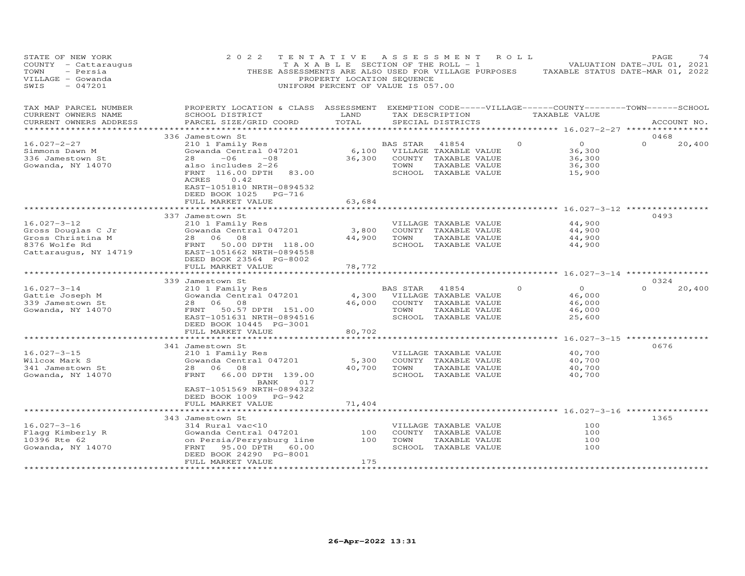| STATE OF NEW YORK<br>COUNTY - Cattaraugus<br>- Persia<br>TOWN<br>VILLAGE - Gowanda<br>$-047201$<br>SWIS | 2 0 2 2<br>TENTATIVE<br>THESE ASSESSMENTS ARE ALSO USED FOR VILLAGE PURPOSES                                                                     | T A X A B L E SECTION OF THE ROLL - 1<br>PROPERTY LOCATION SEQUENCE<br>UNIFORM PERCENT OF VALUE IS 057.00 | A S S E S S M E N T |                                      | R O L L  |                                                           | PAGE<br>VALUATION DATE-JUL 01, 2021<br>TAXABLE STATUS DATE-MAR 01, 2022 | 74 |
|---------------------------------------------------------------------------------------------------------|--------------------------------------------------------------------------------------------------------------------------------------------------|-----------------------------------------------------------------------------------------------------------|---------------------|--------------------------------------|----------|-----------------------------------------------------------|-------------------------------------------------------------------------|----|
| TAX MAP PARCEL NUMBER<br>CURRENT OWNERS NAME<br>CURRENT OWNERS ADDRESS                                  | PROPERTY LOCATION & CLASS ASSESSMENT EXEMPTION CODE-----VILLAGE------COUNTY--------TOWN------SCHOOL<br>SCHOOL DISTRICT<br>PARCEL SIZE/GRID COORD | LAND<br>TOTAL                                                                                             |                     | TAX DESCRIPTION<br>SPECIAL DISTRICTS |          | TAXABLE VALUE                                             | ACCOUNT NO.                                                             |    |
|                                                                                                         |                                                                                                                                                  |                                                                                                           |                     |                                      |          | ******** 16.027-2-27 **                                   |                                                                         |    |
|                                                                                                         | 336 Jamestown St                                                                                                                                 |                                                                                                           |                     |                                      |          |                                                           | 0468                                                                    |    |
| $16.027 - 2 - 27$<br>Simmons Dawn M                                                                     | 210 1 Family Res<br>Gowanda Central 047201                                                                                                       | 6,100                                                                                                     | BAS STAR            | 41854<br>VILLAGE TAXABLE VALUE       | $\circ$  | $\overline{0}$<br>36,300                                  | $\Omega$<br>20,400                                                      |    |
| 336 Jamestown St                                                                                        | 28<br>$-06$<br>$-08$                                                                                                                             | 36,300                                                                                                    |                     | COUNTY TAXABLE VALUE                 |          | 36,300                                                    |                                                                         |    |
| Gowanda, NY 14070                                                                                       | also includes 2-26                                                                                                                               |                                                                                                           | TOWN                | TAXABLE VALUE                        |          | 36,300                                                    |                                                                         |    |
|                                                                                                         | FRNT 116.00 DPTH<br>83.00                                                                                                                        |                                                                                                           |                     | SCHOOL TAXABLE VALUE                 |          | 15,900                                                    |                                                                         |    |
|                                                                                                         | ACRES<br>0.42<br>EAST-1051810 NRTH-0894532<br>DEED BOOK 1025 PG-716                                                                              |                                                                                                           |                     |                                      |          |                                                           |                                                                         |    |
|                                                                                                         | FULL MARKET VALUE                                                                                                                                | 63,684                                                                                                    |                     |                                      |          |                                                           |                                                                         |    |
|                                                                                                         |                                                                                                                                                  |                                                                                                           |                     |                                      |          | ****************************** 16.027-3-12 ************** |                                                                         |    |
| $16.027 - 3 - 12$                                                                                       | 337 Jamestown St<br>210 1 Family Res                                                                                                             |                                                                                                           |                     | VILLAGE TAXABLE VALUE                |          | 44,900                                                    | 0493                                                                    |    |
| Gross Douglas C Jr                                                                                      | Gowanda Central 047201                                                                                                                           | 3,800                                                                                                     |                     | COUNTY TAXABLE VALUE                 |          | 44,900                                                    |                                                                         |    |
| Gross Christina M                                                                                       | 28<br>06<br>08                                                                                                                                   | 44,900                                                                                                    | TOWN                | TAXABLE VALUE                        |          | 44,900                                                    |                                                                         |    |
| 8376 Wolfe Rd                                                                                           | 50.00 DPTH 118.00<br>FRNT                                                                                                                        |                                                                                                           |                     | SCHOOL TAXABLE VALUE                 |          | 44,900                                                    |                                                                         |    |
| Cattaraugus, NY 14719                                                                                   | EAST-1051662 NRTH-0894558<br>DEED BOOK 23564 PG-8002<br>FULL MARKET VALUE                                                                        | 78,772                                                                                                    |                     |                                      |          |                                                           |                                                                         |    |
|                                                                                                         |                                                                                                                                                  |                                                                                                           |                     |                                      |          |                                                           |                                                                         |    |
|                                                                                                         | 339 Jamestown St                                                                                                                                 |                                                                                                           |                     |                                      |          |                                                           | 0324                                                                    |    |
| $16.027 - 3 - 14$                                                                                       | 210 1 Family Res                                                                                                                                 |                                                                                                           | BAS STAR            | 41854                                | $\Omega$ | $\circ$                                                   | $\Omega$<br>20,400                                                      |    |
| Gattie Joseph M                                                                                         | Gowanda Central 047201                                                                                                                           | 4,300                                                                                                     |                     | VILLAGE TAXABLE VALUE                |          | 46,000                                                    |                                                                         |    |
| 339 Jamestown St                                                                                        | 28 06 08                                                                                                                                         | 46,000                                                                                                    |                     | COUNTY TAXABLE VALUE                 |          | 46,000                                                    |                                                                         |    |
| Gowanda, NY 14070                                                                                       | 50.57 DPTH 151.00<br>FRNT                                                                                                                        |                                                                                                           | TOWN                | TAXABLE VALUE                        |          | 46,000                                                    |                                                                         |    |
|                                                                                                         | EAST-1051631 NRTH-0894516<br>DEED BOOK 10445 PG-3001                                                                                             |                                                                                                           |                     | SCHOOL TAXABLE VALUE                 |          | 25,600                                                    |                                                                         |    |
|                                                                                                         | FULL MARKET VALUE                                                                                                                                | 80,702                                                                                                    |                     |                                      |          |                                                           |                                                                         |    |
|                                                                                                         | ***************************                                                                                                                      |                                                                                                           |                     |                                      |          | **************** 16.027-3-15 ***************              |                                                                         |    |
|                                                                                                         | 341 Jamestown St                                                                                                                                 |                                                                                                           |                     |                                      |          |                                                           | 0676                                                                    |    |
| $16.027 - 3 - 15$                                                                                       | 210 1 Family Res                                                                                                                                 |                                                                                                           |                     | VILLAGE TAXABLE VALUE                |          | 40,700                                                    |                                                                         |    |
| Wilcox Mark S                                                                                           | Gowanda Central 047201                                                                                                                           | 5,300                                                                                                     |                     | COUNTY TAXABLE VALUE                 |          | 40,700                                                    |                                                                         |    |
| 341 Jamestown St                                                                                        | 28 06 08                                                                                                                                         | 40,700                                                                                                    | TOWN                | TAXABLE VALUE                        |          | 40,700                                                    |                                                                         |    |
| Gowanda, NY 14070                                                                                       | 66.00 DPTH 139.00<br>FRNT<br>017                                                                                                                 |                                                                                                           |                     | SCHOOL TAXABLE VALUE                 |          | 40,700                                                    |                                                                         |    |
|                                                                                                         | BANK<br>EAST-1051569 NRTH-0894322                                                                                                                |                                                                                                           |                     |                                      |          |                                                           |                                                                         |    |
|                                                                                                         | DEED BOOK 1009 PG-942                                                                                                                            |                                                                                                           |                     |                                      |          |                                                           |                                                                         |    |
|                                                                                                         | FULL MARKET VALUE                                                                                                                                | 71,404                                                                                                    |                     |                                      |          |                                                           |                                                                         |    |
|                                                                                                         |                                                                                                                                                  |                                                                                                           |                     |                                      |          |                                                           |                                                                         |    |
|                                                                                                         | 343 Jamestown St                                                                                                                                 |                                                                                                           |                     |                                      |          |                                                           | 1365                                                                    |    |
| $16.027 - 3 - 16$                                                                                       | 314 Rural vac<10                                                                                                                                 |                                                                                                           |                     | VILLAGE TAXABLE VALUE                |          | 100                                                       |                                                                         |    |
| Flagg Kimberly R                                                                                        | Gowanda Central 047201                                                                                                                           | 100                                                                                                       |                     | COUNTY TAXABLE VALUE                 |          | 100                                                       |                                                                         |    |
| 10396 Rte 62                                                                                            | on Persia/Perrysburg line                                                                                                                        | 100                                                                                                       | TOWN                | TAXABLE VALUE                        |          | 100<br>100                                                |                                                                         |    |
| Gowanda, NY 14070                                                                                       | 95.00 DPTH 60.00<br>FRNT<br>DEED BOOK 24290 PG-8001<br>FULL MARKET VALUE                                                                         | 175                                                                                                       |                     | SCHOOL TAXABLE VALUE                 |          |                                                           |                                                                         |    |
|                                                                                                         | *******************                                                                                                                              | **************                                                                                            |                     |                                      |          |                                                           |                                                                         |    |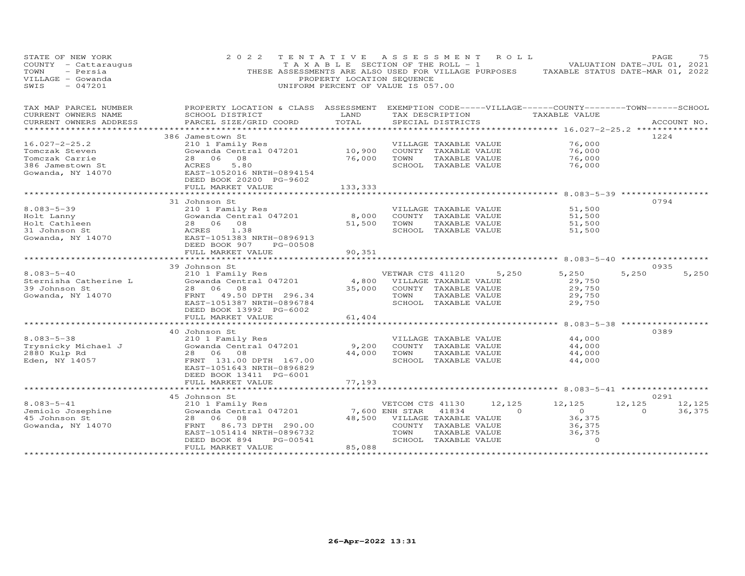| STATE OF NEW YORK<br>COUNTY - Cattaraugus<br>- Persia<br>TOWN<br>VILLAGE - Gowanda<br>$-047201$<br>SWIS | 2 0 2 2                                                                                                                | TENTATIVE ASSESSMENT ROLL<br>PROPERTY LOCATION SEQUENCE<br>UNIFORM PERCENT OF VALUE IS 057.00 |                              |                                       |                 | TAXABLE SECTION OF THE ROLL - 1 VALUATION DATE-JUL 01, 2021<br>THESE ASSESSMENTS ARE ALSO USED FOR VILLAGE PURPOSES TAXABLE STATUS DATE-MAR 01, 2022 | PAGE     | 75          |
|---------------------------------------------------------------------------------------------------------|------------------------------------------------------------------------------------------------------------------------|-----------------------------------------------------------------------------------------------|------------------------------|---------------------------------------|-----------------|------------------------------------------------------------------------------------------------------------------------------------------------------|----------|-------------|
| TAX MAP PARCEL NUMBER<br>CURRENT OWNERS NAME                                                            | PROPERTY LOCATION & CLASS ASSESSMENT EXEMPTION CODE-----VILLAGE------COUNTY--------TOWN------SCHOOL<br>SCHOOL DISTRICT | LAND                                                                                          |                              |                                       | TAX DESCRIPTION | TAXABLE VALUE                                                                                                                                        |          |             |
| CURRENT OWNERS ADDRESS                                                                                  | PARCEL SIZE/GRID COORD                                                                                                 | TOTAL                                                                                         |                              | SPECIAL DISTRICTS                     |                 |                                                                                                                                                      |          | ACCOUNT NO. |
|                                                                                                         | 386 Jamestown St                                                                                                       |                                                                                               |                              |                                       |                 |                                                                                                                                                      | 1224     |             |
| $16.027 - 2 - 25.2$                                                                                     | 210 1 Family Res                                                                                                       |                                                                                               |                              | VILLAGE TAXABLE VALUE                 |                 | 76,000                                                                                                                                               |          |             |
| Tomczak Steven                                                                                          | Gowanda Central 047201                                                                                                 | 10,900                                                                                        |                              | COUNTY TAXABLE VALUE                  |                 | 76,000                                                                                                                                               |          |             |
| Tomczak Carrie                                                                                          | 28 06 08                                                                                                               | 76,000                                                                                        | TOWN                         | TAXABLE VALUE                         |                 | 76,000                                                                                                                                               |          |             |
| 386 Jamestown St                                                                                        | 5.80<br>ACRES                                                                                                          |                                                                                               |                              | SCHOOL TAXABLE VALUE                  |                 | 76,000                                                                                                                                               |          |             |
| Gowanda, NY 14070                                                                                       | EAST-1052016 NRTH-0894154<br>DEED BOOK 20200 PG-9602                                                                   |                                                                                               |                              |                                       |                 |                                                                                                                                                      |          |             |
|                                                                                                         | FULL MARKET VALUE<br>************************                                                                          | 133,333                                                                                       |                              |                                       |                 |                                                                                                                                                      |          |             |
|                                                                                                         | 31 Johnson St                                                                                                          |                                                                                               |                              |                                       |                 |                                                                                                                                                      | 0794     |             |
| $8.083 - 5 - 39$                                                                                        | 210 1 Family Res                                                                                                       |                                                                                               |                              | VILLAGE TAXABLE VALUE                 |                 | 51,500                                                                                                                                               |          |             |
| Holt Lanny                                                                                              | Gowanda Central 047201                                                                                                 | 8,000                                                                                         |                              | COUNTY TAXABLE VALUE                  |                 | 51,500                                                                                                                                               |          |             |
| Holt Cathleen                                                                                           | 28 06 08                                                                                                               | 51,500                                                                                        | TOWN                         | TAXABLE VALUE                         |                 | 51,500                                                                                                                                               |          |             |
|                                                                                                         | ACRES<br>1.38                                                                                                          |                                                                                               |                              | SCHOOL TAXABLE VALUE                  |                 | 51,500                                                                                                                                               |          |             |
| 31 Johnson St<br>Gowanda, NY 14070                                                                      | EAST-1051383 NRTH-0896913                                                                                              |                                                                                               |                              |                                       |                 |                                                                                                                                                      |          |             |
|                                                                                                         | DEED BOOK 907<br>PG-00508                                                                                              |                                                                                               |                              |                                       |                 |                                                                                                                                                      |          |             |
|                                                                                                         | FULL MARKET VALUE                                                                                                      | 90,351                                                                                        |                              |                                       |                 |                                                                                                                                                      |          |             |
|                                                                                                         | ************************                                                                                               |                                                                                               |                              |                                       |                 |                                                                                                                                                      |          |             |
|                                                                                                         | 39 Johnson St                                                                                                          |                                                                                               |                              |                                       |                 |                                                                                                                                                      | 0935     |             |
| $8.083 - 5 - 40$                                                                                        | 210 1 Family Res<br>Siv I ramily Res<br>Gowanda Central 047201                                                         |                                                                                               | VETWAR CTS 41120             |                                       | 5,250           | 5,250                                                                                                                                                | 5,250    | 5,250       |
| Sternisha Catherine L                                                                                   | 28 06 08                                                                                                               | 4,800                                                                                         |                              | VILLAGE TAXABLE VALUE                 |                 | 29,750<br>29,750                                                                                                                                     |          |             |
| 39 Johnson St<br>Gowanda, NY 14070                                                                      | FRNT 49.50 DPTH 296.34                                                                                                 | 35,000                                                                                        | TOWN                         | COUNTY TAXABLE VALUE<br>TAXABLE VALUE |                 | 29,750                                                                                                                                               |          |             |
|                                                                                                         | EAST-1051387 NRTH-0896784                                                                                              |                                                                                               |                              | SCHOOL TAXABLE VALUE                  |                 | 29,750                                                                                                                                               |          |             |
|                                                                                                         | DEED BOOK 13992 PG-6002                                                                                                |                                                                                               |                              |                                       |                 |                                                                                                                                                      |          |             |
|                                                                                                         | FULL MARKET VALUE                                                                                                      | 61,404                                                                                        |                              |                                       |                 |                                                                                                                                                      |          |             |
|                                                                                                         | *********************                                                                                                  |                                                                                               |                              |                                       |                 | ********** 8.083-5-38 ***********                                                                                                                    |          |             |
|                                                                                                         | 40 Johnson St                                                                                                          |                                                                                               |                              |                                       |                 |                                                                                                                                                      | 0389     |             |
| $8.083 - 5 - 38$                                                                                        | 210 1 Family Res                                                                                                       |                                                                                               |                              | VILLAGE TAXABLE VALUE                 |                 | 44,000                                                                                                                                               |          |             |
| Trysnicky Michael J                                                                                     | Gowanda Central 047201                                                                                                 | 9,200                                                                                         |                              | COUNTY TAXABLE VALUE                  |                 | 44,000                                                                                                                                               |          |             |
| 2880 Kulp Rd                                                                                            | 28 06 08                                                                                                               | 44,000                                                                                        | TOWN                         | TAXABLE VALUE                         |                 | 44,000                                                                                                                                               |          |             |
| Eden, NY 14057                                                                                          | FRNT 131.00 DPTH 167.00                                                                                                |                                                                                               |                              | SCHOOL TAXABLE VALUE                  |                 | 44,000                                                                                                                                               |          |             |
|                                                                                                         | EAST-1051643 NRTH-0896829                                                                                              |                                                                                               |                              |                                       |                 |                                                                                                                                                      |          |             |
|                                                                                                         | DEED BOOK 13411 PG-6001                                                                                                |                                                                                               |                              |                                       |                 |                                                                                                                                                      |          |             |
|                                                                                                         | FULL MARKET VALUE                                                                                                      | 77,193                                                                                        |                              |                                       |                 | ******************************* 8.083-5-41 ******************                                                                                        |          |             |
|                                                                                                         | 45 Johnson St                                                                                                          |                                                                                               |                              |                                       |                 |                                                                                                                                                      | 0291     |             |
| $8.083 - 5 - 41$                                                                                        | 210 1 Family Res                                                                                                       |                                                                                               | VETCOM CTS 41130             |                                       | 12,125          | 12,125                                                                                                                                               | 12,125   | 12,125      |
|                                                                                                         | 210 I Family Res<br>Gowanda Central 047201                                                                             |                                                                                               | 7,600 ENH STAR               | 41834                                 | $\sim$ 0        | $\overline{O}$                                                                                                                                       | $\Omega$ | 36,375      |
| Jemiolo Josephine<br>45 Johnson St<br>45 Johnson St                                                     | 28 06 08                                                                                                               |                                                                                               | 48,500 VILLAGE TAXABLE VALUE |                                       |                 | 36,375                                                                                                                                               |          |             |
| Gowanda, NY 14070                                                                                       | 86.73 DPTH 290.00<br>FRNT                                                                                              |                                                                                               |                              | COUNTY TAXABLE VALUE                  |                 | 36,375                                                                                                                                               |          |             |
|                                                                                                         | EAST-1051414 NRTH-0896732                                                                                              |                                                                                               | TOWN                         | TAXABLE VALUE                         |                 | 36,375                                                                                                                                               |          |             |
|                                                                                                         | PG-00541<br>DEED BOOK 894                                                                                              |                                                                                               |                              | SCHOOL TAXABLE VALUE                  |                 | $\Omega$                                                                                                                                             |          |             |
|                                                                                                         | FULL MARKET VALUE                                                                                                      | 85,088                                                                                        |                              |                                       |                 |                                                                                                                                                      |          |             |
|                                                                                                         | ***********************                                                                                                | ******************                                                                            |                              |                                       |                 |                                                                                                                                                      |          |             |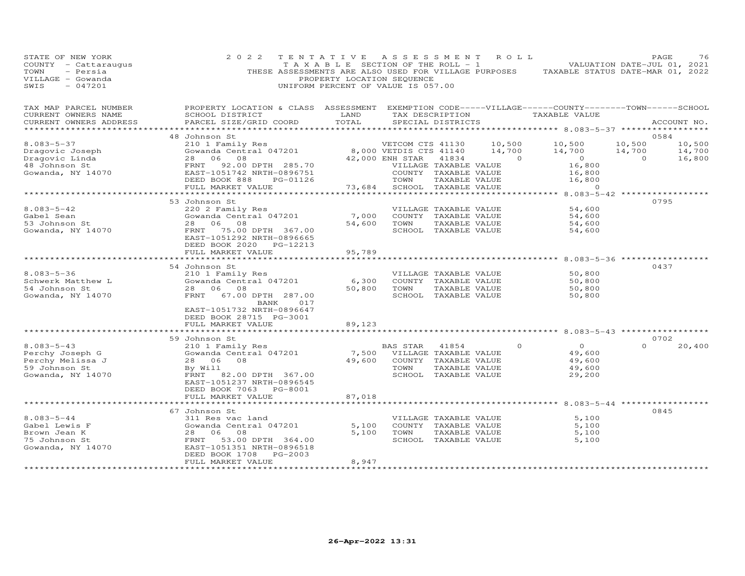| STATE OF NEW YORK<br>COUNTY - Cattaraugus<br>TOWN<br>- Persia<br>VILLAGE - Gowanda<br>SWIS<br>$-047201$ | 2 0 2 2<br>THESE ASSESSMENTS ARE ALSO USED FOR VILLAGE PURPOSES                                                                                                   | TENTATIVE<br>T A X A B L E SECTION OF THE ROLL - 1<br>PROPERTY LOCATION SEQUENCE<br>UNIFORM PERCENT OF VALUE IS 057.00 | A S S E S S M E N T                                           |                                                                                                 | R O L L                      | TAXABLE STATUS DATE-MAR 01, 2022                            |                              | PAGE<br>76<br>VALUATION DATE-JUL 01, 2021 |
|---------------------------------------------------------------------------------------------------------|-------------------------------------------------------------------------------------------------------------------------------------------------------------------|------------------------------------------------------------------------------------------------------------------------|---------------------------------------------------------------|-------------------------------------------------------------------------------------------------|------------------------------|-------------------------------------------------------------|------------------------------|-------------------------------------------|
| TAX MAP PARCEL NUMBER<br>CURRENT OWNERS NAME<br>CURRENT OWNERS ADDRESS                                  | PROPERTY LOCATION & CLASS ASSESSMENT EXEMPTION CODE-----VILLAGE------COUNTY--------TOWN------SCHOOL<br>SCHOOL DISTRICT<br>PARCEL SIZE/GRID COORD                  | LAND<br>TOTAL                                                                                                          |                                                               | TAX DESCRIPTION<br>SPECIAL DISTRICTS                                                            |                              | TAXABLE VALUE                                               |                              | ACCOUNT NO.                               |
|                                                                                                         | 48 Johnson St                                                                                                                                                     |                                                                                                                        |                                                               |                                                                                                 |                              |                                                             |                              | 0584                                      |
| $8.083 - 5 - 37$<br>Dragovic Joseph<br>Dragovic Linda<br>48 Johnson St                                  | 210 1 Family Res<br>Gowanda Central 047201<br>28 06<br>08<br>FRNT<br>92.00 DPTH 285.70                                                                            |                                                                                                                        | VETCOM CTS 41130<br>8,000 VETDIS CTS 41140<br>42,000 ENH STAR | 41834<br>VILLAGE TAXABLE VALUE                                                                  | 10,500<br>14,700<br>$\sim$ 0 | 10,500<br>14,700<br>$\overline{0}$<br>16,800                | 10,500<br>14,700<br>$\Omega$ | 10,500<br>14,700<br>16,800                |
| Gowanda, NY 14070                                                                                       | EAST-1051742 NRTH-0896751<br>DEED BOOK 888<br>PG-01126<br>FULL MARKET VALUE                                                                                       | 73,684                                                                                                                 | TOWN                                                          | COUNTY TAXABLE VALUE<br>TAXABLE VALUE<br>SCHOOL TAXABLE VALUE                                   |                              | 16,800<br>16,800<br>$\Omega$                                |                              |                                           |
|                                                                                                         |                                                                                                                                                                   |                                                                                                                        |                                                               |                                                                                                 |                              | $8.083 - 5 - 42$ **********                                 |                              |                                           |
| $8.083 - 5 - 42$<br>Gabel Sean<br>53 Johnson St<br>Gowanda, NY 14070                                    | 53 Johnson St<br>220 2 Family Res<br>Gowanda Central 047201<br>28 06 08<br>FRNT 75.00 DPTH 367.00<br>EAST-1051292 NRTH-0896665<br>DEED BOOK 2020 PG-12213         | 7,000<br>54,600                                                                                                        | TOWN                                                          | VILLAGE TAXABLE VALUE<br>COUNTY TAXABLE VALUE<br>TAXABLE VALUE<br>SCHOOL TAXABLE VALUE          |                              | 54,600<br>54,600<br>54,600<br>54,600                        |                              | 0795                                      |
|                                                                                                         | FULL MARKET VALUE                                                                                                                                                 | 95,789                                                                                                                 |                                                               |                                                                                                 |                              |                                                             |                              |                                           |
|                                                                                                         |                                                                                                                                                                   | *********                                                                                                              |                                                               |                                                                                                 |                              | ********** 8.083-5-36 ***********                           |                              |                                           |
| $8.083 - 5 - 36$<br>Schwerk Matthew L<br>54 Johnson St<br>Gowanda, NY 14070                             | 54 Johnson St<br>210 1 Family Res<br>Gowanda Central 047201<br>28 06 08<br>FRNT 67.00 DPTH 287.00                                                                 | 6,300<br>50,800                                                                                                        | TOWN                                                          | VILLAGE TAXABLE VALUE<br>COUNTY TAXABLE VALUE<br>TAXABLE VALUE<br>SCHOOL TAXABLE VALUE          |                              | 50,800<br>50,800<br>50,800<br>50,800                        |                              | 0437                                      |
|                                                                                                         | BANK<br>017<br>EAST-1051732 NRTH-0896647<br>DEED BOOK 28715 PG-3001<br>FULL MARKET VALUE                                                                          | 89,123                                                                                                                 |                                                               |                                                                                                 |                              | ********** 8.083-5-43 ************                          |                              |                                           |
|                                                                                                         | 59 Johnson St                                                                                                                                                     |                                                                                                                        |                                                               |                                                                                                 |                              |                                                             |                              | 0702                                      |
| $8.083 - 5 - 43$<br>Perchy Joseph G<br>Perchy Melissa J<br>59 Johnson St<br>Gowanda, NY 14070           | 210 1 Family Res<br>Gowanda Central 047201<br>28 06<br>08<br>By Will<br>FRNT 82.00 DPTH 367.00<br>EAST-1051237 NRTH-0896545<br>DEED BOOK 7063 PG-8001             | 7,500<br>49,600                                                                                                        | BAS STAR<br>TOWN                                              | 41854<br>VILLAGE TAXABLE VALUE<br>COUNTY TAXABLE VALUE<br>TAXABLE VALUE<br>SCHOOL TAXABLE VALUE | $\Omega$                     | $\circ$<br>49,600<br>49,600<br>49,600<br>29,200             | $\Omega$                     | 20,400                                    |
|                                                                                                         | FULL MARKET VALUE                                                                                                                                                 | 87,018                                                                                                                 |                                                               |                                                                                                 |                              |                                                             |                              |                                           |
|                                                                                                         | **********************                                                                                                                                            | ***********                                                                                                            |                                                               |                                                                                                 |                              | ***************************** 8.083-5-44 ****************** |                              |                                           |
| $8.083 - 5 - 44$<br>Gabel Lewis F<br>Brown Jean K<br>75 Johnson St<br>Gowanda, NY 14070                 | 67 Johnson St<br>311 Res vac land<br>Gowanda Central 047201<br>28 06<br>08<br>FRNT<br>53.00 DPTH 364.00<br>EAST-1051351 NRTH-0896518<br>DEED BOOK 1708<br>PG-2003 | 5,100<br>5,100                                                                                                         | TOWN                                                          | VILLAGE TAXABLE VALUE<br>COUNTY TAXABLE VALUE<br>TAXABLE VALUE<br>SCHOOL TAXABLE VALUE          |                              | 5,100<br>5,100<br>5,100<br>5,100                            |                              | 0845                                      |
|                                                                                                         | FULL MARKET VALUE<br>********************                                                                                                                         | 8,947<br>**********                                                                                                    |                                                               |                                                                                                 |                              |                                                             |                              |                                           |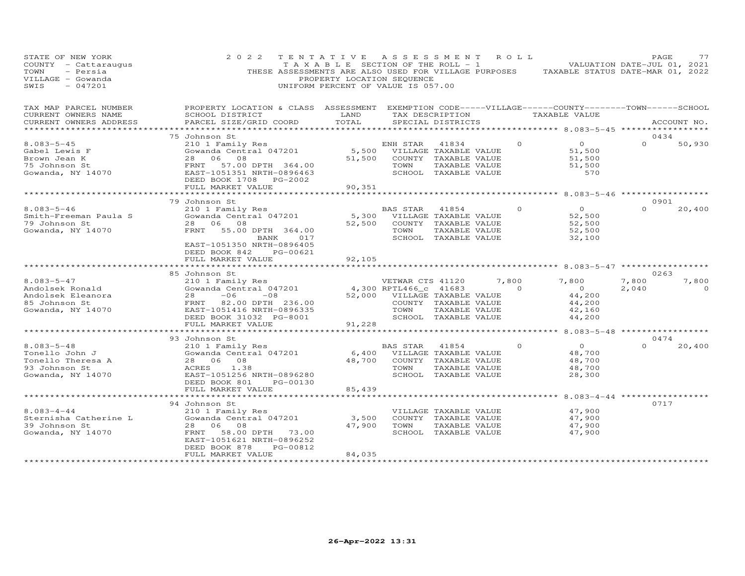| STATE OF NEW YORK<br>COUNTY - Cattaraugus<br>TOWN<br>- Persia<br>VILLAGE - Gowanda<br>$-047201$<br>SWIS | 2 0 2 2                                                                                                                                                                                   | TENTATIVE<br>T A X A B L E SECTION OF THE ROLL - 1<br>PROPERTY LOCATION SEQUENCE<br>UNIFORM PERCENT OF VALUE IS 057.00 |                                                                                   |                                                                                                 | ASSESSMENT ROLL         | VALUATION DATE-JUL 01, 2021<br>THESE ASSESSMENTS ARE ALSO USED FOR VILLAGE PURPOSES TAXABLE STATUS DATE-MAR 01, 2022 | PAGE                   | 77                |
|---------------------------------------------------------------------------------------------------------|-------------------------------------------------------------------------------------------------------------------------------------------------------------------------------------------|------------------------------------------------------------------------------------------------------------------------|-----------------------------------------------------------------------------------|-------------------------------------------------------------------------------------------------|-------------------------|----------------------------------------------------------------------------------------------------------------------|------------------------|-------------------|
| TAX MAP PARCEL NUMBER<br>CURRENT OWNERS NAME<br>CURRENT OWNERS ADDRESS                                  | PROPERTY LOCATION & CLASS ASSESSMENT EXEMPTION CODE-----VILLAGE------COUNTY--------TOWN------SCHOOL<br>SCHOOL DISTRICT<br>PARCEL SIZE/GRID COORD                                          | LAND<br>TOTAL                                                                                                          |                                                                                   | TAX DESCRIPTION<br>SPECIAL DISTRICTS                                                            |                         | TAXABLE VALUE                                                                                                        |                        | ACCOUNT NO.       |
|                                                                                                         | ************                                                                                                                                                                              | *******************                                                                                                    |                                                                                   |                                                                                                 |                         | ************* 8.083-5-45 *****************                                                                           |                        |                   |
| $8.083 - 5 - 45$<br>Gabel Lewis F<br>Brown Jean K<br>75 Johnson St<br>Gowanda, NY 14070                 | 75 Johnson St<br>210 1 Family Res<br>Gowanda Central 047201<br>28<br>06<br>08<br>FRNT<br>57.00 DPTH 364.00<br>EAST-1051351 NRTH-0896463<br>DEED BOOK 1708<br>PG-2002<br>FULL MARKET VALUE | 5,500<br>51,500<br>90,351                                                                                              | ENH STAR<br>TOWN                                                                  | 41834<br>VILLAGE TAXABLE VALUE<br>COUNTY TAXABLE VALUE<br>TAXABLE VALUE<br>SCHOOL TAXABLE VALUE | $\Omega$                | $\overline{O}$<br>51,500<br>51,500<br>51,500<br>570                                                                  | 0434<br>$\Omega$       | 50,930            |
|                                                                                                         |                                                                                                                                                                                           |                                                                                                                        |                                                                                   |                                                                                                 |                         | *********** 8.083-5-46 ************                                                                                  |                        |                   |
| $8.083 - 5 - 46$<br>Smith-Freeman Paula S<br>79 Johnson St<br>Gowanda, NY 14070                         | 79 Johnson St<br>210 1 Family Res<br>Gowanda Central 047201<br>28 06 08<br>FRNT<br>55.00 DPTH 364.00<br>BANK<br>017                                                                       | 5,300<br>52,500                                                                                                        | <b>BAS STAR</b><br>TOWN                                                           | 41854<br>VILLAGE TAXABLE VALUE<br>COUNTY TAXABLE VALUE<br>TAXABLE VALUE<br>SCHOOL TAXABLE VALUE | $\Omega$                | $\overline{O}$<br>52,500<br>52,500<br>52,500<br>32,100                                                               | 0901<br>$\Omega$       | 20,400            |
|                                                                                                         | EAST-1051350 NRTH-0896405<br>DEED BOOK 842<br>PG-00621<br>FULL MARKET VALUE                                                                                                               | 92,105                                                                                                                 |                                                                                   |                                                                                                 |                         | ********* 8.083-5-47 ***********                                                                                     |                        |                   |
| $8.083 - 5 - 47$<br>Andolsek Ronald<br>Andolsek Eleanora<br>85 Johnson St<br>Gowanda, NY 14070          | 85 Johnson St<br>210 1 Family Res<br>Gowanda Central 047201<br>$-06$<br>$-08$<br>28<br>FRNT<br>82.00 DPTH 236.00<br>EAST-1051416 NRTH-0896335<br>DEED BOOK 31032 PG-8001                  |                                                                                                                        | VETWAR CTS 41120<br>4,300 RPTL466_c 41683<br>52,000 VILLAGE TAXABLE VALUE<br>TOWN | COUNTY TAXABLE VALUE<br>TAXABLE VALUE<br>SCHOOL TAXABLE VALUE                                   | 7,800<br>$\overline{a}$ | 7,800<br>$\overline{O}$<br>44,200<br>44,200<br>42,160<br>44,200                                                      | 0263<br>7,800<br>2,040 | 7,800<br>$\Omega$ |
|                                                                                                         | FULL MARKET VALUE<br>****************************                                                                                                                                         | 91,228<br>*****************************                                                                                |                                                                                   |                                                                                                 |                         | ********* 8.083-5-48 ******************                                                                              |                        |                   |
| $8.083 - 5 - 48$<br>Tonello John J<br>Tonello Theresa A<br>93 Johnson St<br>Gowanda, NY 14070           | 93 Johnson St<br>210 1 Family Res<br>Gowanda Central 047201<br>08<br>28 06<br>ACRES<br>1.38<br>EAST-1051256 NRTH-0896280<br>DEED BOOK 801<br>PG-00130<br>FULL MARKET VALUE                | 6,400<br>48,700<br>85,439                                                                                              | BAS STAR<br>TOWN                                                                  | 41854<br>VILLAGE TAXABLE VALUE<br>COUNTY TAXABLE VALUE<br>TAXABLE VALUE<br>SCHOOL TAXABLE VALUE | $\Omega$                | $\Omega$<br>48,700<br>48,700<br>48,700<br>28,300                                                                     | 0474<br>$\Omega$       | 20,400            |
|                                                                                                         | *********************                                                                                                                                                                     |                                                                                                                        |                                                                                   |                                                                                                 |                         | ********* 8.083-4-44 **********                                                                                      |                        |                   |
| $8.083 - 4 - 44$<br>Sternisha Catherine L<br>39 Johnson St<br>Gowanda, NY 14070                         | 94 Johnson St<br>210 1 Family Res<br>Gowanda Central 047201<br>28<br>06<br>08<br>58.00 DPTH 73.00<br>FRNT<br>EAST-1051621 NRTH-0896252<br>DEED BOOK 878<br>PG-00812                       | 3,500<br>47,900                                                                                                        | TOWN                                                                              | VILLAGE TAXABLE VALUE<br>COUNTY TAXABLE VALUE<br>TAXABLE VALUE<br>SCHOOL TAXABLE VALUE          |                         | 47,900<br>47,900<br>47,900<br>47,900                                                                                 | 0717                   |                   |
|                                                                                                         | FULL MARKET VALUE                                                                                                                                                                         | 84,035                                                                                                                 |                                                                                   |                                                                                                 |                         |                                                                                                                      |                        |                   |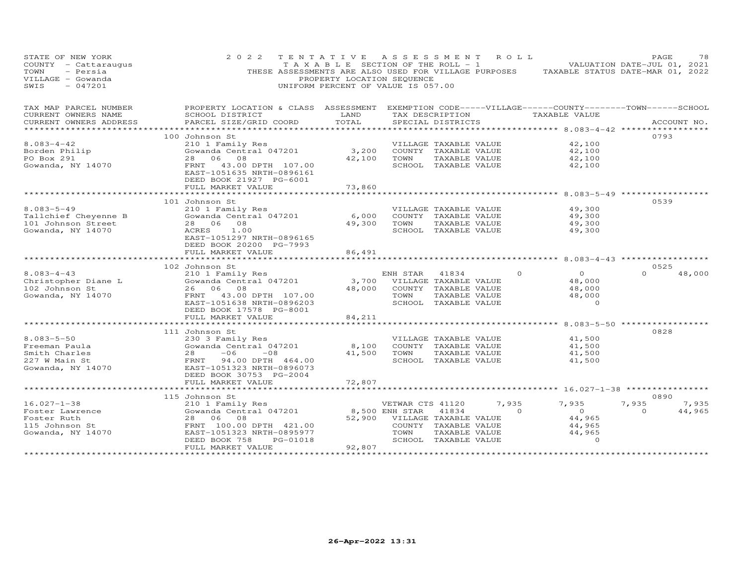| STATE OF NEW YORK<br>COUNTY - Cattaraugus<br>- Persia<br>TOWN<br>VILLAGE - Gowanda<br>$-047201$<br>SWIS | 2 0 2 2                                                                                                               | TENTATIVE ASSESSMENT ROLL<br>PROPERTY LOCATION SEQUENCE<br>UNIFORM PERCENT OF VALUE IS 057.00 |                              |                                       |                | TAXABLE SECTION OF THE ROLL - 1 VALUATION DATE-JUL 01, 2021<br>THESE ASSESSMENTS ARE ALSO USED FOR VILLAGE PURPOSES TAXABLE STATUS DATE-MAR 01, 2022 | PAGE     | 78          |
|---------------------------------------------------------------------------------------------------------|-----------------------------------------------------------------------------------------------------------------------|-----------------------------------------------------------------------------------------------|------------------------------|---------------------------------------|----------------|------------------------------------------------------------------------------------------------------------------------------------------------------|----------|-------------|
| TAX MAP PARCEL NUMBER                                                                                   | PROPERTY LOCATION & CLASS ASSESSMENT EXEMPTION CODE-----VILLAGE------COUNTY-------TOWN------SCHOOL<br>SCHOOL DISTRICT | LAND                                                                                          |                              |                                       |                | TAX DESCRIPTION TAXABLE VALUE                                                                                                                        |          |             |
| CURRENT OWNERS NAME<br>CURRENT OWNERS ADDRESS                                                           | PARCEL SIZE/GRID COORD                                                                                                | TOTAL                                                                                         |                              | SPECIAL DISTRICTS                     |                |                                                                                                                                                      |          | ACCOUNT NO. |
|                                                                                                         |                                                                                                                       |                                                                                               |                              |                                       |                |                                                                                                                                                      |          |             |
|                                                                                                         | 100 Johnson St                                                                                                        |                                                                                               |                              |                                       |                |                                                                                                                                                      | 0793     |             |
| $8.083 - 4 - 42$                                                                                        | 210 1 Family Res                                                                                                      |                                                                                               |                              | VILLAGE TAXABLE VALUE                 |                | 42,100                                                                                                                                               |          |             |
| Borden Philip                                                                                           | Gowanda Central 047201                                                                                                | 3,200                                                                                         | 42,100 TOWN                  | COUNTY TAXABLE VALUE                  |                | 42,100                                                                                                                                               |          |             |
| PO Box 291<br>Gowanda, NY 14070                                                                         | 28 06 08<br>FRNT 43.00 DPTH 107.00                                                                                    |                                                                                               |                              | TAXABLE VALUE<br>SCHOOL TAXABLE VALUE |                | 42,100<br>42,100                                                                                                                                     |          |             |
|                                                                                                         | EAST-1051635 NRTH-0896161<br>DEED BOOK 21927 PG-6001                                                                  |                                                                                               |                              |                                       |                |                                                                                                                                                      |          |             |
|                                                                                                         | FULL MARKET VALUE                                                                                                     | 73,860                                                                                        |                              |                                       |                |                                                                                                                                                      |          |             |
|                                                                                                         | 101 Johnson St                                                                                                        |                                                                                               |                              |                                       |                |                                                                                                                                                      | 0539     |             |
| $8.083 - 5 - 49$                                                                                        | 210 1 Family Res                                                                                                      |                                                                                               |                              | VILLAGE TAXABLE VALUE                 |                | 49,300                                                                                                                                               |          |             |
| Tallchief Cheyenne B                                                                                    | Gowanda Central 047201                                                                                                | 6,000                                                                                         |                              | COUNTY TAXABLE VALUE                  |                | 49,300                                                                                                                                               |          |             |
| 101 Johnson Street                                                                                      | 28 06 08                                                                                                              |                                                                                               | 49,300 TOWN TAXABLE VALUE    |                                       |                | 49,300                                                                                                                                               |          |             |
| Gowanda, NY 14070                                                                                       | ACRES 1.00                                                                                                            |                                                                                               |                              | SCHOOL TAXABLE VALUE                  |                | 49,300                                                                                                                                               |          |             |
|                                                                                                         | EAST-1051297 NRTH-0896165                                                                                             |                                                                                               |                              |                                       |                |                                                                                                                                                      |          |             |
|                                                                                                         | DEED BOOK 20200 PG-7993                                                                                               |                                                                                               |                              |                                       |                |                                                                                                                                                      |          |             |
|                                                                                                         | FULL MARKET VALUE<br>*************************                                                                        | 86,491<br>*******************                                                                 |                              |                                       |                | ******************************* 8.083-4-43 ***************                                                                                           |          |             |
|                                                                                                         | 102 Johnson St                                                                                                        |                                                                                               |                              |                                       |                |                                                                                                                                                      | 0525     |             |
| $8.083 - 4 - 43$                                                                                        |                                                                                                                       |                                                                                               | ENH STAR 41834               |                                       | $\Omega$       | $\Omega$                                                                                                                                             | $\Omega$ | 48,000      |
|                                                                                                         | 210 1 Family Res<br>Gowanda Central 047201                                                                            |                                                                                               | 3,700 VILLAGE TAXABLE VALUE  |                                       |                | 48,000                                                                                                                                               |          |             |
| Christopher Diane L<br>102 Johnson St<br>102 Johnson St                                                 | 26 06 08                                                                                                              | 48,000                                                                                        |                              | COUNTY TAXABLE VALUE                  |                | 48,000                                                                                                                                               |          |             |
| Gowanda, NY 14070                                                                                       | FRNT 43.00 DPTH 107.00                                                                                                |                                                                                               | TOWN                         | TAXABLE VALUE                         |                | 48,000                                                                                                                                               |          |             |
|                                                                                                         | EAST-1051638 NRTH-0896203                                                                                             |                                                                                               |                              | SCHOOL TAXABLE VALUE                  |                | $\overline{0}$                                                                                                                                       |          |             |
|                                                                                                         | DEED BOOK 17578 PG-8001                                                                                               |                                                                                               |                              |                                       |                |                                                                                                                                                      |          |             |
|                                                                                                         | FULL MARKET VALUE<br>**********************                                                                           | 84,211                                                                                        |                              |                                       |                | **************** 8.083-5-50 *************                                                                                                            |          |             |
|                                                                                                         | 111 Johnson St                                                                                                        |                                                                                               |                              |                                       |                |                                                                                                                                                      | 0828     |             |
| $8.083 - 5 - 50$                                                                                        | 230 3 Family Res                                                                                                      |                                                                                               |                              | VILLAGE TAXABLE VALUE                 |                | 41,500                                                                                                                                               |          |             |
| Freeman Paula                                                                                           | Gowanda Central 047201                                                                                                | 8,100                                                                                         |                              | COUNTY TAXABLE VALUE                  |                | 41,500                                                                                                                                               |          |             |
| Smith Charles<br>227 W Main St<br>Gowanda, NY 14070                                                     | $28 -06 -08$                                                                                                          |                                                                                               | 41,500 TOWN TAXABLE VALUE    |                                       |                | 41,500                                                                                                                                               |          |             |
|                                                                                                         | FRNT 94.00 DPTH 464.00                                                                                                |                                                                                               |                              | SCHOOL TAXABLE VALUE                  |                | 41,500                                                                                                                                               |          |             |
|                                                                                                         | EAST-1051323 NRTH-0896073                                                                                             |                                                                                               |                              |                                       |                |                                                                                                                                                      |          |             |
|                                                                                                         | DEED BOOK 30753 PG-2004                                                                                               |                                                                                               |                              |                                       |                |                                                                                                                                                      |          |             |
|                                                                                                         | FULL MARKET VALUE<br>**********************                                                                           | 72,807                                                                                        |                              |                                       |                |                                                                                                                                                      |          |             |
|                                                                                                         | 115 Johnson St                                                                                                        |                                                                                               |                              |                                       |                |                                                                                                                                                      | 0890     |             |
| $16.027 - 1 - 38$                                                                                       |                                                                                                                       |                                                                                               | VETWAR CTS 41120             |                                       | 7,935          | 7,935                                                                                                                                                | 7,935    | 7,935       |
| Foster Lawrence                                                                                         | 210 1 Family Res<br>Gowanda Central 047201                                                                            | 8,500 ENH STAR                                                                                |                              | 41834                                 | $\overline{0}$ | $\overline{0}$                                                                                                                                       | $\Omega$ | 44,965      |
| Foster Ruth                                                                                             | 28 06 08                                                                                                              |                                                                                               | 52,900 VILLAGE TAXABLE VALUE |                                       |                | 44,965                                                                                                                                               |          |             |
| Foster Ruth<br>115 Johnson St<br>Gowanda, NY 14070                                                      | FRNT 100.00 DPTH 421.00                                                                                               |                                                                                               |                              | COUNTY TAXABLE VALUE                  |                | 44,965                                                                                                                                               |          |             |
|                                                                                                         | EAST-1051323 NRTH-0895977                                                                                             |                                                                                               | TOWN                         | TAXABLE VALUE                         |                | 44,965                                                                                                                                               |          |             |
|                                                                                                         | PG-01018<br>DEED BOOK 758                                                                                             |                                                                                               |                              | SCHOOL TAXABLE VALUE                  |                | $\Omega$                                                                                                                                             |          |             |
|                                                                                                         | FULL MARKET VALUE                                                                                                     | 92,807<br>**************************                                                          |                              |                                       |                |                                                                                                                                                      |          |             |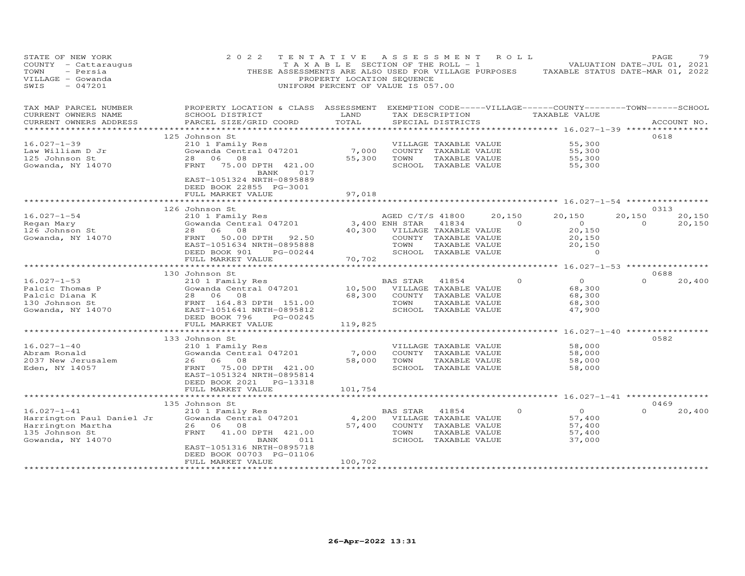| STATE OF NEW YORK<br>COUNTY - Cattaraugus<br>TOWN<br>- Persia<br>VILLAGE - Gowanda<br>$-047201$<br>SWIS    | 2 0 2 2<br>THESE ASSESSMENTS ARE ALSO USED FOR VILLAGE PURPOSES                                                                                                                                    | TENTATIVE<br>TAXABLE SECTION OF THE ROLL - 1<br>PROPERTY LOCATION SEQUENCE<br>UNIFORM PERCENT OF VALUE IS 057.00 | A S S E S S M E N T                        |                                                                                                 | ROLL                     | TAXABLE STATUS DATE-MAR 01, 2022                                     | PAGE<br>VALUATION DATE-JUL 01, 2021 | 79               |
|------------------------------------------------------------------------------------------------------------|----------------------------------------------------------------------------------------------------------------------------------------------------------------------------------------------------|------------------------------------------------------------------------------------------------------------------|--------------------------------------------|-------------------------------------------------------------------------------------------------|--------------------------|----------------------------------------------------------------------|-------------------------------------|------------------|
| TAX MAP PARCEL NUMBER<br>CURRENT OWNERS NAME<br>CURRENT OWNERS ADDRESS                                     | PROPERTY LOCATION & CLASS ASSESSMENT EXEMPTION CODE-----VILLAGE------COUNTY-------TOWN------SCHOOL<br>SCHOOL DISTRICT<br>PARCEL SIZE/GRID COORD                                                    | LAND<br>TOTAL                                                                                                    |                                            | SPECIAL DISTRICTS                                                                               | TAX DESCRIPTION          | TAXABLE VALUE<br>********** 16.027-1-39 **********                   |                                     | ACCOUNT NO.      |
| $16.027 - 1 - 39$<br>Law William D Jr<br>125 Johnson St<br>Gowanda, NY 14070                               | 125 Johnson St<br>210 1 Family Res<br>Gowanda Central 047201<br>28 06 08<br>FRNT<br>75.00 DPTH 421.00<br>017<br>BANK<br>EAST-1051324 NRTH-0895889<br>DEED BOOK 22855 PG-3001                       | 7,000<br>55,300                                                                                                  | TOWN                                       | VILLAGE TAXABLE VALUE<br>COUNTY TAXABLE VALUE<br>TAXABLE VALUE<br>SCHOOL TAXABLE VALUE          |                          | 55,300<br>55,300<br>55,300<br>55,300                                 | 0618                                |                  |
|                                                                                                            | FULL MARKET VALUE<br>126 Johnson St                                                                                                                                                                | 97,018                                                                                                           |                                            |                                                                                                 |                          |                                                                      | 0313                                |                  |
| $16.027 - 1 - 54$<br>Regan Mary<br>126 Johnson St<br>Gowanda, NY 14070                                     | 210 1 Family Res<br>Gowanda Central 047201<br>28 06<br>08<br>FRNT<br>50.00 DPTH 92.50<br>EAST-1051634 NRTH-0895888<br>DEED BOOK 901<br>PG-00244<br>FULL MARKET VALUE                               | 40,300<br>70,702                                                                                                 | AGED C/T/S 41800<br>3,400 ENH STAR<br>TOWN | 41834<br>VILLAGE TAXABLE VALUE<br>COUNTY TAXABLE VALUE<br>TAXABLE VALUE<br>SCHOOL TAXABLE VALUE | 20,150<br>$\overline{0}$ | 20,150<br>$\overline{O}$<br>20,150<br>20,150<br>20,150<br>$\circ$    | 20,150<br>$\Omega$                  | 20,150<br>20,150 |
|                                                                                                            | 130 Johnson St                                                                                                                                                                                     |                                                                                                                  |                                            |                                                                                                 |                          |                                                                      | 0688                                |                  |
| $16.027 - 1 - 53$<br>Palcic Thomas P<br>Palcic Diana K<br>130 Johnson St<br>Gowanda, NY 14070              | 210 1 Family Res<br>Gowanda Central 047201<br>28 06 08<br>FRNT 164.83 DPTH 151.00<br>EAST-1051641 NRTH-0895812<br>DEED BOOK 796<br>PG-00245                                                        | 10,500<br>68,300                                                                                                 | BAS STAR<br>TOWN                           | 41854<br>VILLAGE TAXABLE VALUE<br>COUNTY TAXABLE VALUE<br>TAXABLE VALUE<br>SCHOOL TAXABLE VALUE | $\Omega$                 | $\circ$<br>68,300<br>68,300<br>68,300<br>47,900                      | $\Omega$                            | 20,400           |
|                                                                                                            | FULL MARKET VALUE<br>**************************                                                                                                                                                    | 119,825<br>*******************                                                                                   |                                            |                                                                                                 |                          | ************************************* 16.027-1-40 ****************** |                                     |                  |
| $16.027 - 1 - 40$<br>Abram Ronald<br>2037 New Jerusalem<br>Eden, NY 14057                                  | 133 Johnson St<br>210 1 Family Res<br>Gowanda Central 047201<br>26 06 08<br>FRNT 75.00 DPTH 421.00<br>EAST-1051324 NRTH-0895814<br>DEED BOOK 2021<br>PG-13318<br>FULL MARKET VALUE                 | 7,000<br>58,000<br>101,754                                                                                       | TOWN                                       | VILLAGE TAXABLE VALUE<br>COUNTY TAXABLE VALUE<br>TAXABLE VALUE<br>SCHOOL TAXABLE VALUE          |                          | 58,000<br>58,000<br>58,000<br>58,000                                 | 0582                                |                  |
|                                                                                                            | **************************                                                                                                                                                                         | ********************                                                                                             |                                            |                                                                                                 |                          | ********************* 16.027-1-41 *****************                  |                                     |                  |
| $16.027 - 1 - 41$<br>Harrington Paul Daniel Jr<br>Harrington Martha<br>135 Johnson St<br>Gowanda, NY 14070 | 135 Johnson St<br>210 1 Family Res<br>Gowanda Central 047201<br>26 06 08<br>FRNT<br>41.00 DPTH 421.00<br>011<br>BANK<br>EAST-1051316 NRTH-0895718<br>DEED BOOK 00703 PG-01106<br>FULL MARKET VALUE | 4,200<br>57,400<br>100,702                                                                                       | BAS STAR<br>TOWN                           | 41854<br>VILLAGE TAXABLE VALUE<br>COUNTY TAXABLE VALUE<br>TAXABLE VALUE<br>SCHOOL TAXABLE VALUE | $\circ$                  | $\circ$<br>57,400<br>57,400<br>57,400<br>37,000                      | 0469<br>$\Omega$                    | 20,400           |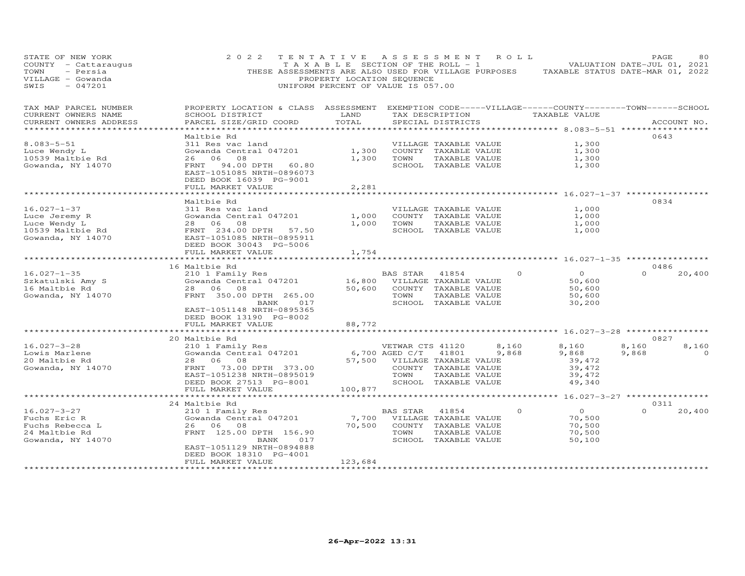| STATE OF NEW YORK<br>COUNTY - Cattaraugus<br>- Persia<br>TOWN<br>VILLAGE - Gowanda<br>$-047201$<br>SWIS | 2022                                                                                                                                            | TENTATIVE<br>T A X A B L E SECTION OF THE ROLL - 1<br>THESE ASSESSMENTS ARE ALSO USED FOR VILLAGE PURPOSES<br>PROPERTY LOCATION SEQUENCE<br>UNIFORM PERCENT OF VALUE IS 057.00 | ASSESSMENT       |                                               | ROLL  | TAXABLE STATUS DATE-MAR 01, 2022                                    | PAGE<br>VALUATION DATE-JUL 01, 2021 | 80          |
|---------------------------------------------------------------------------------------------------------|-------------------------------------------------------------------------------------------------------------------------------------------------|--------------------------------------------------------------------------------------------------------------------------------------------------------------------------------|------------------|-----------------------------------------------|-------|---------------------------------------------------------------------|-------------------------------------|-------------|
| TAX MAP PARCEL NUMBER<br>CURRENT OWNERS NAME<br>CURRENT OWNERS ADDRESS                                  | PROPERTY LOCATION & CLASS ASSESSMENT EXEMPTION CODE-----VILLAGE------COUNTY-------TOWN------SCHOOL<br>SCHOOL DISTRICT<br>PARCEL SIZE/GRID COORD | LAND<br>TOTAL                                                                                                                                                                  |                  | TAX DESCRIPTION<br>SPECIAL DISTRICTS          |       | TAXABLE VALUE                                                       |                                     | ACCOUNT NO. |
| ***********************                                                                                 |                                                                                                                                                 |                                                                                                                                                                                |                  |                                               |       |                                                                     |                                     |             |
| $8.083 - 5 - 51$                                                                                        | Maltbie Rd<br>311 Res vac land                                                                                                                  |                                                                                                                                                                                |                  |                                               |       |                                                                     | 0643                                |             |
| Luce Wendy L                                                                                            | Gowanda Central 047201                                                                                                                          | 1,300                                                                                                                                                                          |                  | VILLAGE TAXABLE VALUE<br>COUNTY TAXABLE VALUE |       | 1,300<br>1,300                                                      |                                     |             |
| 10539 Maltbie Rd                                                                                        | 08<br>26 06                                                                                                                                     | 1,300                                                                                                                                                                          | TOWN             | TAXABLE VALUE                                 |       | 1,300                                                               |                                     |             |
| Gowanda, NY 14070                                                                                       | FRNT<br>94.00 DPTH<br>60.80<br>EAST-1051085 NRTH-0896073<br>DEED BOOK 16039 PG-9001                                                             |                                                                                                                                                                                |                  | SCHOOL TAXABLE VALUE                          |       | 1,300                                                               |                                     |             |
|                                                                                                         | FULL MARKET VALUE                                                                                                                               | 2,281                                                                                                                                                                          |                  |                                               |       |                                                                     |                                     |             |
|                                                                                                         |                                                                                                                                                 |                                                                                                                                                                                |                  |                                               |       |                                                                     |                                     |             |
| $16.027 - 1 - 37$                                                                                       | Maltbie Rd<br>311 Res vac land                                                                                                                  |                                                                                                                                                                                |                  |                                               |       | 1,000                                                               | 0834                                |             |
| Luce Jeremy R                                                                                           | Gowanda Central 047201                                                                                                                          | 1,000                                                                                                                                                                          |                  | VILLAGE TAXABLE VALUE<br>COUNTY TAXABLE VALUE |       | 1,000                                                               |                                     |             |
| Luce Wendy L                                                                                            | 28 06<br>08                                                                                                                                     | 1,000                                                                                                                                                                          | TOWN             | TAXABLE VALUE                                 |       | 1,000                                                               |                                     |             |
| 10539 Maltbie Rd                                                                                        | FRNT 234.00 DPTH<br>57.50                                                                                                                       |                                                                                                                                                                                |                  | SCHOOL TAXABLE VALUE                          |       | 1,000                                                               |                                     |             |
| Gowanda, NY 14070                                                                                       | EAST-1051085 NRTH-0895911<br>DEED BOOK 30043 PG-5006<br>FULL MARKET VALUE                                                                       | 1,754                                                                                                                                                                          |                  |                                               |       |                                                                     |                                     |             |
|                                                                                                         |                                                                                                                                                 |                                                                                                                                                                                |                  |                                               |       | ******** 16.027-1-35 **********                                     |                                     |             |
|                                                                                                         | 16 Maltbie Rd                                                                                                                                   |                                                                                                                                                                                |                  |                                               |       |                                                                     | 0486                                |             |
| $16.027 - 1 - 35$                                                                                       | 210 1 Family Res                                                                                                                                |                                                                                                                                                                                | BAS STAR         | 41854                                         |       | $\circ$<br>$\circ$                                                  | $\Omega$                            | 20,400      |
| Szkatulski Amy S                                                                                        | Gowanda Central 047201                                                                                                                          | 16,800                                                                                                                                                                         |                  | VILLAGE TAXABLE VALUE                         |       | 50,600                                                              |                                     |             |
| 16 Maltbie Rd                                                                                           | 28 06<br>08                                                                                                                                     | 50,600                                                                                                                                                                         |                  | COUNTY TAXABLE VALUE                          |       | 50,600                                                              |                                     |             |
| Gowanda, NY 14070                                                                                       | FRNT 350.00 DPTH 265.00                                                                                                                         |                                                                                                                                                                                | TOWN             | TAXABLE VALUE                                 |       | 50,600                                                              |                                     |             |
|                                                                                                         | BANK<br>EAST-1051148 NRTH-0895365<br>DEED BOOK 13190 PG-8002                                                                                    | 017                                                                                                                                                                            |                  | SCHOOL TAXABLE VALUE                          |       | 30,200                                                              |                                     |             |
|                                                                                                         | FULL MARKET VALUE<br>***********************                                                                                                    | 88,772                                                                                                                                                                         |                  |                                               |       | ************************************* 16.027-3-28 ***************** |                                     |             |
|                                                                                                         | 20 Maltbie Rd                                                                                                                                   |                                                                                                                                                                                |                  |                                               |       |                                                                     | 0827                                |             |
| $16.027 - 3 - 28$                                                                                       | 210 1 Family Res                                                                                                                                |                                                                                                                                                                                | VETWAR CTS 41120 |                                               | 8,160 | 8,160                                                               | 8,160                               | 8,160       |
| Lowis Marlene                                                                                           | Gowanda Central 047201                                                                                                                          |                                                                                                                                                                                | 6,700 AGED C/T   | 41801                                         | 9,868 | 9,868                                                               | 9,868                               | $\Omega$    |
| 20 Maltbie Rd                                                                                           | 28 06<br>08                                                                                                                                     | 57,500                                                                                                                                                                         |                  | VILLAGE TAXABLE VALUE                         |       | 39,472                                                              |                                     |             |
| Gowanda, NY 14070                                                                                       | 73.00 DPTH 373.00<br>FRNT                                                                                                                       |                                                                                                                                                                                |                  | COUNTY TAXABLE VALUE                          |       | 39,472                                                              |                                     |             |
|                                                                                                         | EAST-1051238 NRTH-0895019                                                                                                                       |                                                                                                                                                                                | TOWN             | TAXABLE VALUE                                 |       | 39,472                                                              |                                     |             |
|                                                                                                         | DEED BOOK 27513 PG-8001                                                                                                                         |                                                                                                                                                                                |                  | SCHOOL TAXABLE VALUE                          |       | 49,340                                                              |                                     |             |
|                                                                                                         | FULL MARKET VALUE                                                                                                                               | 100,877                                                                                                                                                                        |                  |                                               |       | ***** 16.027-3-27 ***********                                       |                                     |             |
|                                                                                                         | 24 Maltbie Rd                                                                                                                                   |                                                                                                                                                                                |                  |                                               |       |                                                                     | 0311                                |             |
| $16.027 - 3 - 27$                                                                                       | 210 1 Family Res                                                                                                                                |                                                                                                                                                                                | <b>BAS STAR</b>  | 41854                                         |       | $\circ$<br>$\circ$                                                  | $\Omega$                            | 20,400      |
| Fuchs Eric R                                                                                            | Gowanda Central 047201                                                                                                                          | 7,700                                                                                                                                                                          |                  | VILLAGE TAXABLE VALUE                         |       | 70,500                                                              |                                     |             |
| Fuchs Rebecca L                                                                                         | 26 06 08                                                                                                                                        | 70,500                                                                                                                                                                         |                  | COUNTY TAXABLE VALUE                          |       | 70,500                                                              |                                     |             |
| 24 Maltbie Rd                                                                                           | FRNT 125.00 DPTH 156.90                                                                                                                         |                                                                                                                                                                                | TOWN             | TAXABLE VALUE                                 |       | 70,500                                                              |                                     |             |
| Gowanda, NY 14070                                                                                       | BANK                                                                                                                                            | 017                                                                                                                                                                            |                  | SCHOOL TAXABLE VALUE                          |       | 50,100                                                              |                                     |             |
|                                                                                                         | EAST-1051129 NRTH-0894888<br>DEED BOOK 18310 PG-4001<br>FULL MARKET VALUE                                                                       | 123,684                                                                                                                                                                        |                  |                                               |       |                                                                     |                                     |             |
|                                                                                                         | ************************************                                                                                                            |                                                                                                                                                                                |                  |                                               |       |                                                                     |                                     |             |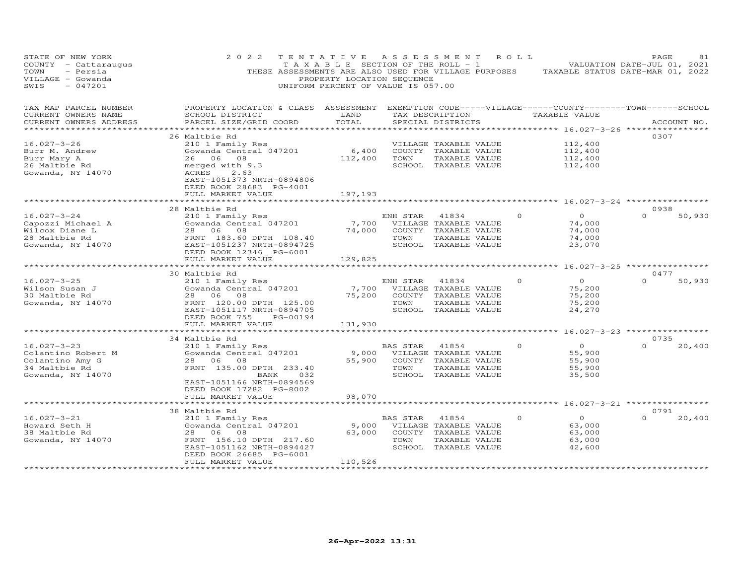| STATE OF NEW YORK<br>COUNTY - Cattaraugus<br>- Persia<br>TOWN<br>VILLAGE - Gowanda<br>$-047201$<br>SWIS | 2 0 2 2<br>THESE ASSESSMENTS ARE ALSO USED FOR VILLAGE PURPOSES TAXABLE STATUS DATE-MAR 01, 2022                                                                                   | TENTATIVE<br>TAXABLE SECTION OF THE ROLL - 1<br>PROPERTY LOCATION SEQUENCE<br>UNIFORM PERCENT OF VALUE IS 057.00 |                  | A S S E S S M E N T                                                                                    | R O L L  | VALUATION DATE-JUL 01, 2021                            | PAGE             | 81          |
|---------------------------------------------------------------------------------------------------------|------------------------------------------------------------------------------------------------------------------------------------------------------------------------------------|------------------------------------------------------------------------------------------------------------------|------------------|--------------------------------------------------------------------------------------------------------|----------|--------------------------------------------------------|------------------|-------------|
| TAX MAP PARCEL NUMBER<br>CURRENT OWNERS NAME<br>CURRENT OWNERS ADDRESS                                  | PROPERTY LOCATION & CLASS ASSESSMENT<br>SCHOOL DISTRICT<br>PARCEL SIZE/GRID COORD                                                                                                  | LAND<br>TOTAL                                                                                                    |                  | EXEMPTION CODE-----VILLAGE------COUNTY--------TOWN------SCHOOL<br>TAX DESCRIPTION<br>SPECIAL DISTRICTS |          | TAXABLE VALUE                                          |                  | ACCOUNT NO. |
|                                                                                                         | ***********************                                                                                                                                                            | * * * * * * * * * *                                                                                              |                  |                                                                                                        |          |                                                        |                  |             |
| $16.027 - 3 - 26$<br>Burr M. Andrew<br>Burr Mary A<br>26 Maltbie Rd<br>Gowanda, NY 14070                | 26 Maltbie Rd<br>210 1 Family Res<br>Gowanda Central 047201<br>26 06 08<br>merged with 9.3<br>2.63<br>ACRES                                                                        | 6,400<br>112,400                                                                                                 | TOWN             | VILLAGE TAXABLE VALUE<br>COUNTY TAXABLE VALUE<br>TAXABLE VALUE<br>SCHOOL TAXABLE VALUE                 |          | 112,400<br>112,400<br>112,400<br>112,400               | 0307             |             |
|                                                                                                         | EAST-1051373 NRTH-0894806<br>DEED BOOK 28683 PG-4001<br>FULL MARKET VALUE                                                                                                          | 197,193<br>********                                                                                              |                  |                                                                                                        |          |                                                        |                  |             |
|                                                                                                         | 28 Maltbie Rd                                                                                                                                                                      |                                                                                                                  |                  |                                                                                                        |          | ************ 16.027-3-24 **************                | 0938             |             |
| $16.027 - 3 - 24$<br>Capozzi Michael A<br>Wilcox Diane L<br>28 Maltbie Rd<br>Gowanda, NY 14070          | 210 1 Family Res<br>Gowanda Central 047201<br>28 06<br>08<br>FRNT 183.60 DPTH 108.40<br>EAST-1051237 NRTH-0894725<br>DEED BOOK 12346 PG-6001                                       | 7,700<br>74,000                                                                                                  | ENH STAR<br>TOWN | 41834<br>VILLAGE TAXABLE VALUE<br>COUNTY TAXABLE VALUE<br>TAXABLE VALUE<br>SCHOOL TAXABLE VALUE        | $\Omega$ | $\overline{O}$<br>74,000<br>74,000<br>74,000<br>23,070 | $\Omega$         | 50,930      |
|                                                                                                         | FULL MARKET VALUE                                                                                                                                                                  | 129,825                                                                                                          |                  |                                                                                                        |          |                                                        |                  |             |
|                                                                                                         |                                                                                                                                                                                    |                                                                                                                  |                  |                                                                                                        |          | ****** 16.027-3-25 *********                           |                  |             |
| $16.027 - 3 - 25$<br>Wilson Susan J<br>30 Maltbie Rd<br>Gowanda, NY 14070                               | 30 Maltbie Rd<br>210 1 Family Res<br>Gowanda Central 047201<br>28 06 08<br>FRNT 120.00 DPTH 125.00<br>EAST-1051117 NRTH-0894705<br>DEED BOOK 755<br>PG-00194                       | 7,700<br>75,200                                                                                                  | ENH STAR<br>TOWN | 41834<br>VILLAGE TAXABLE VALUE<br>COUNTY TAXABLE VALUE<br>TAXABLE VALUE<br>SCHOOL TAXABLE VALUE        | $\circ$  | $\overline{O}$<br>75,200<br>75,200<br>75,200<br>24,270 | 0477<br>$\Omega$ | 50,930      |
|                                                                                                         | FULL MARKET VALUE<br>********                                                                                                                                                      | 131,930                                                                                                          |                  |                                                                                                        |          | ******** 16.027-3-23 *****************                 |                  |             |
|                                                                                                         | 34 Maltbie Rd                                                                                                                                                                      |                                                                                                                  |                  |                                                                                                        |          |                                                        | 0735             |             |
| $16.027 - 3 - 23$<br>Colantino Robert M<br>Colantino Amy G<br>34 Maltbie Rd<br>Gowanda, NY 14070        | 210 1 Family Res<br>Gowanda Central 047201<br>28 06 08<br>FRNT 135.00 DPTH 233.40<br>BANK<br>032<br>EAST-1051166 NRTH-0894569<br>DEED BOOK 17282 PG-8002                           | 9,000<br>55,900                                                                                                  | BAS STAR<br>TOWN | 41854<br>VILLAGE TAXABLE VALUE<br>COUNTY TAXABLE VALUE<br>TAXABLE VALUE<br>SCHOOL TAXABLE VALUE        |          | $\Omega$<br>55,900<br>55,900<br>55,900<br>35,500       | $\Omega$         | 20,400      |
|                                                                                                         | FULL MARKET VALUE                                                                                                                                                                  | 98,070                                                                                                           |                  |                                                                                                        |          |                                                        |                  |             |
|                                                                                                         |                                                                                                                                                                                    | *********                                                                                                        |                  |                                                                                                        |          | ********* 16.027-3-21 ****************                 |                  |             |
| $16.027 - 3 - 21$<br>Howard Seth H<br>38 Maltbie Rd<br>Gowanda, NY 14070                                | 38 Maltbie Rd<br>210 1 Family Res<br>Gowanda Central 047201<br>28 06<br>08<br>FRNT 156.10 DPTH 217.60<br>EAST-1051162 NRTH-0894427<br>DEED BOOK 26685 PG-6001<br>FULL MARKET VALUE | 9,000<br>63,000<br>110,526                                                                                       | BAS STAR<br>TOWN | 41854<br>VILLAGE TAXABLE VALUE<br>COUNTY TAXABLE VALUE<br>TAXABLE VALUE<br>SCHOOL TAXABLE VALUE        | $\Omega$ | $\overline{O}$<br>63,000<br>63,000<br>63,000<br>42,600 | 0791<br>$\Omega$ | 20,400      |
|                                                                                                         | ******************                                                                                                                                                                 | *************                                                                                                    |                  |                                                                                                        |          |                                                        |                  |             |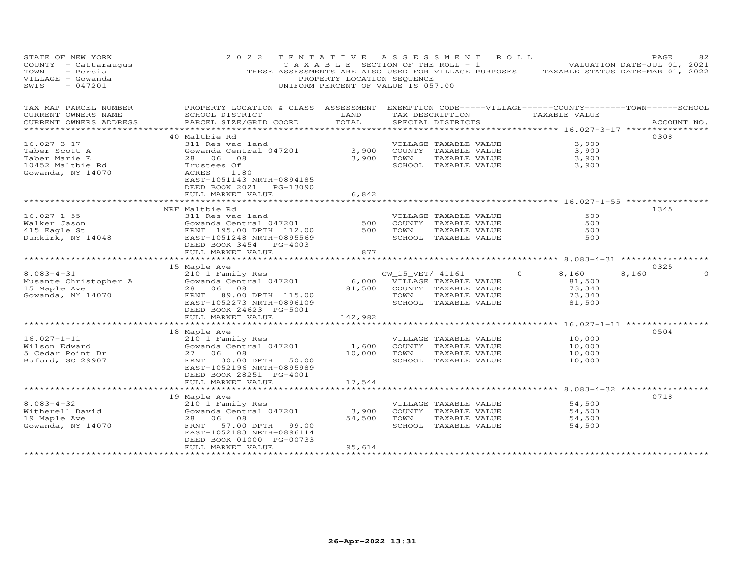| STATE OF NEW YORK<br>COUNTY - Cattaraugus<br>TOWN<br>- Persia<br>VILLAGE - Gowanda<br>SWIS<br>$-047201$                   | 2 0 2 2                                                                                                                                          | TENTATIVE ASSESSMENT ROLL<br>PROPERTY LOCATION SEQUENCE<br>UNIFORM PERCENT OF VALUE IS 057.00                                   |                             |                       |                       | TAXABLE SECTION OF THE ROLL - 1 VALUATION DATE-JUL 01, 2021<br>THESE ASSESSMENTS ARE ALSO USED FOR VILLAGE PURPOSES TAXABLE STATUS DATE-MAR 01, 2022 |       | PAGE        | 82       |
|---------------------------------------------------------------------------------------------------------------------------|--------------------------------------------------------------------------------------------------------------------------------------------------|---------------------------------------------------------------------------------------------------------------------------------|-----------------------------|-----------------------|-----------------------|------------------------------------------------------------------------------------------------------------------------------------------------------|-------|-------------|----------|
| TAX MAP PARCEL NUMBER<br>CURRENT OWNERS NAME<br>CURRENT OWNERS ADDRESS                                                    | PROPERTY LOCATION & CLASS ASSESSMENT EXEMPTION CODE-----VILLAGE------COUNTY--------TOWN------SCHOOL<br>SCHOOL DISTRICT<br>PARCEL SIZE/GRID COORD | <b>EXAMPLE SERVICE SERVICE SERVICE SERVICE SERVICE SERVICE SERVICE SERVICE SERVICE SERVICE SERVICE SERVICE SERVICE</b><br>TOTAL |                             | SPECIAL DISTRICTS     |                       | TAX DESCRIPTION TAXABLE VALUE                                                                                                                        |       | ACCOUNT NO. |          |
|                                                                                                                           |                                                                                                                                                  |                                                                                                                                 |                             |                       |                       |                                                                                                                                                      |       |             |          |
|                                                                                                                           | 40 Maltbie Rd                                                                                                                                    |                                                                                                                                 |                             |                       |                       |                                                                                                                                                      |       | 0308        |          |
| $16.027 - 3 - 17$                                                                                                         | 311 Res vac land                                                                                                                                 |                                                                                                                                 |                             | VILLAGE TAXABLE VALUE |                       | 3,900                                                                                                                                                |       |             |          |
| Taber Scott A                                                                                                             | Gowanda Central 047201<br>28 06 08                                                                                                               | 3,900                                                                                                                           |                             | COUNTY TAXABLE VALUE  |                       | 3,900                                                                                                                                                |       |             |          |
| Taber Marie E                                                                                                             |                                                                                                                                                  | 3,900 TOWN                                                                                                                      |                             | TAXABLE VALUE         |                       | 3,900                                                                                                                                                |       |             |          |
| 10452 Maltbie Rd<br>Gowanda, NY 14070                                                                                     | Trustees Of<br>ACRES 1.80<br>EAST-1051143 NRTH-0894185<br>DEED BOOK 2021 PG-13090                                                                |                                                                                                                                 |                             | SCHOOL TAXABLE VALUE  |                       | 3,900                                                                                                                                                |       |             |          |
|                                                                                                                           | FULL MARKET VALUE                                                                                                                                | 6,842                                                                                                                           |                             |                       |                       |                                                                                                                                                      |       |             |          |
|                                                                                                                           | NRF Maltbie Rd                                                                                                                                   |                                                                                                                                 |                             |                       |                       |                                                                                                                                                      |       | 1345        |          |
| $16.027 - 1 - 55$                                                                                                         | 311 Res vac land                                                                                                                                 |                                                                                                                                 |                             | VILLAGE TAXABLE VALUE |                       | 500                                                                                                                                                  |       |             |          |
| Walker Jason                                                                                                              |                                                                                                                                                  |                                                                                                                                 |                             | COUNTY TAXABLE VALUE  |                       | 500                                                                                                                                                  |       |             |          |
|                                                                                                                           |                                                                                                                                                  |                                                                                                                                 | TOWN                        | TAXABLE VALUE         |                       | 500                                                                                                                                                  |       |             |          |
| Walker Jason<br>415 Eagle St<br>215 Eagle St<br>214048<br>22 EAST-1051248<br>2154 PC 40035569<br>2164 PC 4003             | DEED BOOK 3454 PG-4003<br>FULL MARKET VALUE                                                                                                      | 877                                                                                                                             |                             | SCHOOL TAXABLE VALUE  |                       | 500                                                                                                                                                  |       |             |          |
|                                                                                                                           |                                                                                                                                                  |                                                                                                                                 |                             |                       |                       |                                                                                                                                                      |       |             |          |
|                                                                                                                           | 15 Maple Ave                                                                                                                                     |                                                                                                                                 |                             |                       |                       |                                                                                                                                                      |       | 0325        |          |
| 8.083-4-31<br>Musante Christopher A 210 1 Family Res<br>15 Maple Ave 28 06 08<br>Gowanda, NY 14070 FRNT 89.00 DPTH 115.00 |                                                                                                                                                  |                                                                                                                                 | CW_15_VET/ 41161            |                       | $\Omega$              | 8,160                                                                                                                                                | 8,160 |             | $\Omega$ |
|                                                                                                                           |                                                                                                                                                  | $6,000$ $\overline{\text{V}}$ ILLAGE TAXABLE VALUE                                                                              |                             |                       |                       | 81,500                                                                                                                                               |       |             |          |
|                                                                                                                           |                                                                                                                                                  |                                                                                                                                 | 81,500 COUNTY TAXABLE VALUE |                       |                       | 73,340                                                                                                                                               |       |             |          |
|                                                                                                                           |                                                                                                                                                  |                                                                                                                                 | TOWN                        | TAXABLE VALUE         |                       | 73,340                                                                                                                                               |       |             |          |
|                                                                                                                           | EAST-1052273 NRTH-0896109                                                                                                                        |                                                                                                                                 |                             | SCHOOL TAXABLE VALUE  |                       | 81,500                                                                                                                                               |       |             |          |
|                                                                                                                           | DEED BOOK 24623 PG-5001                                                                                                                          |                                                                                                                                 |                             |                       |                       |                                                                                                                                                      |       |             |          |
|                                                                                                                           | FULL MARKET VALUE                                                                                                                                | 142,982                                                                                                                         |                             |                       |                       |                                                                                                                                                      |       |             |          |
|                                                                                                                           | 18 Maple Ave                                                                                                                                     |                                                                                                                                 |                             |                       |                       |                                                                                                                                                      |       | 0504        |          |
| $16.027 - 1 - 11$                                                                                                         | 210 1 Family Res                                                                                                                                 |                                                                                                                                 |                             | VILLAGE TAXABLE VALUE |                       | 10,000                                                                                                                                               |       |             |          |
| Wilson Edward                                                                                                             | Zio I family Res<br>Gowanda Central 047201                                                                                                       | 1,600                                                                                                                           |                             | COUNTY TAXABLE VALUE  |                       | 10,000                                                                                                                                               |       |             |          |
| 5 Cedar Point Dr                                                                                                          | 27 06 08                                                                                                                                         |                                                                                                                                 | 10,000 TOWN                 | TAXABLE VALUE         |                       | 10,000                                                                                                                                               |       |             |          |
| Buford, SC 29907                                                                                                          | FRNT<br>30.00 DPTH 50.00                                                                                                                         |                                                                                                                                 |                             | SCHOOL TAXABLE VALUE  |                       | 10,000                                                                                                                                               |       |             |          |
|                                                                                                                           | EAST-1052196 NRTH-0895989                                                                                                                        |                                                                                                                                 |                             |                       |                       |                                                                                                                                                      |       |             |          |
|                                                                                                                           | DEED BOOK 28251 PG-4001                                                                                                                          |                                                                                                                                 |                             |                       |                       |                                                                                                                                                      |       |             |          |
|                                                                                                                           | FULL MARKET VALUE                                                                                                                                | 17,544                                                                                                                          |                             |                       |                       |                                                                                                                                                      |       |             |          |
|                                                                                                                           |                                                                                                                                                  |                                                                                                                                 |                             |                       |                       |                                                                                                                                                      |       |             |          |
| $8.083 - 4 - 32$                                                                                                          | 19 Maple Ave                                                                                                                                     |                                                                                                                                 |                             |                       |                       |                                                                                                                                                      |       | 0718        |          |
|                                                                                                                           | 210 1 Family Res<br>ZiO I Family Res<br>Gowanda Central 047201                                                                                   | 3,900                                                                                                                           |                             |                       | VILLAGE TAXABLE VALUE | 54,500<br>54,500                                                                                                                                     |       |             |          |
| Witherell David<br>19 Maple Ave<br>Gowanda, NY 14070                                                                      | 28 06 08                                                                                                                                         |                                                                                                                                 | 54,500 TOWN TAXABLE VALUE   | COUNTY TAXABLE VALUE  |                       | 54,500                                                                                                                                               |       |             |          |
|                                                                                                                           | 57.00 DPTH 99.00<br>FRNT                                                                                                                         |                                                                                                                                 |                             | SCHOOL TAXABLE VALUE  |                       | 54,500                                                                                                                                               |       |             |          |
|                                                                                                                           | EAST-1052183 NRTH-0896114                                                                                                                        |                                                                                                                                 |                             |                       |                       |                                                                                                                                                      |       |             |          |
|                                                                                                                           | DEED BOOK 01000 PG-00733                                                                                                                         |                                                                                                                                 |                             |                       |                       |                                                                                                                                                      |       |             |          |
|                                                                                                                           | FULL MARKET VALUE                                                                                                                                | 95,614                                                                                                                          |                             |                       |                       |                                                                                                                                                      |       |             |          |
|                                                                                                                           |                                                                                                                                                  | ********************                                                                                                            |                             |                       |                       |                                                                                                                                                      |       |             |          |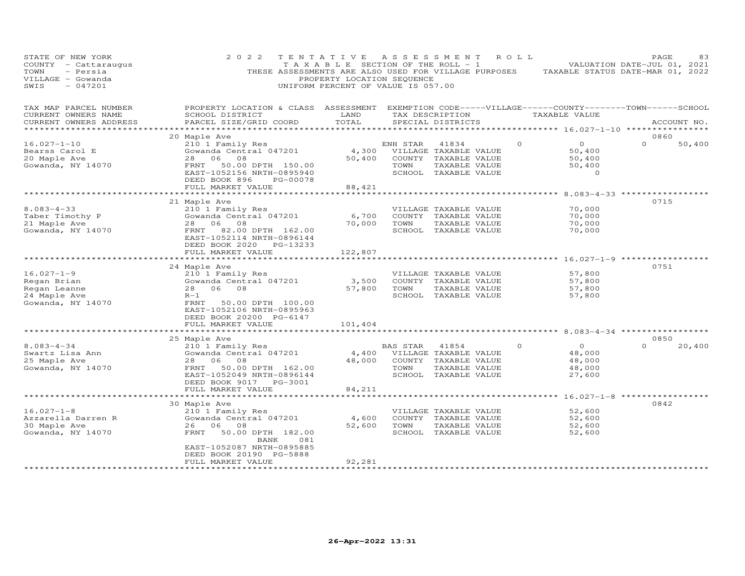| STATE OF NEW YORK<br>COUNTY - Cattaraugus<br>- Persia<br>TOWN<br>VILLAGE - Gowanda<br>$-047201$<br>SWIS | 2 0 2 2<br>THESE ASSESSMENTS ARE ALSO USED FOR VILLAGE PURPOSES                                                                                 | TENTATIVE<br>PROPERTY LOCATION SEQUENCE<br>UNIFORM PERCENT OF VALUE IS 057.00 |          | A S S E S S M E N T<br>T A X A B L E SECTION OF THE ROLL - 1 | ROLL    |                    | PAGE<br>83<br>VALUATION DATE-JUL 01, 2021<br>TAXABLE STATUS DATE-MAR 01, 2022 |
|---------------------------------------------------------------------------------------------------------|-------------------------------------------------------------------------------------------------------------------------------------------------|-------------------------------------------------------------------------------|----------|--------------------------------------------------------------|---------|--------------------|-------------------------------------------------------------------------------|
| TAX MAP PARCEL NUMBER<br>CURRENT OWNERS NAME<br>CURRENT OWNERS ADDRESS                                  | PROPERTY LOCATION & CLASS ASSESSMENT EXEMPTION CODE-----VILLAGE------COUNTY-------TOWN------SCHOOL<br>SCHOOL DISTRICT<br>PARCEL SIZE/GRID COORD | LAND<br>TOTAL                                                                 |          | TAX DESCRIPTION<br>SPECIAL DISTRICTS                         |         | TAXABLE VALUE      | ACCOUNT NO.                                                                   |
| **********************                                                                                  |                                                                                                                                                 |                                                                               |          |                                                              |         |                    |                                                                               |
|                                                                                                         | 20 Maple Ave                                                                                                                                    |                                                                               |          |                                                              |         |                    | 0860                                                                          |
| $16.027 - 1 - 10$                                                                                       | 210 1 Family Res                                                                                                                                |                                                                               | ENH STAR | 41834                                                        | $\circ$ | $\overline{0}$     | 50,400<br>$\Omega$                                                            |
| Bearss Carol E<br>20 Maple Ave                                                                          | Gowanda Central 047201<br>28<br>06<br>08                                                                                                        | 4,300<br>50,400                                                               |          | VILLAGE TAXABLE VALUE<br>COUNTY TAXABLE VALUE                |         | 50,400<br>50,400   |                                                                               |
| Gowanda, NY 14070                                                                                       | 50.00 DPTH 150.00<br>FRNT                                                                                                                       |                                                                               | TOWN     | TAXABLE VALUE                                                |         | 50,400             |                                                                               |
|                                                                                                         | EAST-1052156 NRTH-0895940                                                                                                                       |                                                                               |          | SCHOOL TAXABLE VALUE                                         |         | $\circ$            |                                                                               |
|                                                                                                         | DEED BOOK 896<br>PG-00078                                                                                                                       |                                                                               |          |                                                              |         |                    |                                                                               |
|                                                                                                         | FULL MARKET VALUE                                                                                                                               | 88,421                                                                        |          |                                                              |         |                    |                                                                               |
|                                                                                                         |                                                                                                                                                 |                                                                               |          |                                                              |         |                    |                                                                               |
|                                                                                                         | 21 Maple Ave                                                                                                                                    |                                                                               |          |                                                              |         |                    | 0715                                                                          |
| $8.083 - 4 - 33$                                                                                        | 210 1 Family Res                                                                                                                                |                                                                               |          | VILLAGE TAXABLE VALUE                                        |         | 70,000             |                                                                               |
| Taber Timothy P                                                                                         | Gowanda Central 047201                                                                                                                          | 6,700                                                                         |          | COUNTY TAXABLE VALUE                                         |         | 70,000             |                                                                               |
| 21 Maple Ave                                                                                            | 28 06<br>08                                                                                                                                     | 70,000                                                                        | TOWN     | TAXABLE VALUE                                                |         | 70,000             |                                                                               |
| Gowanda, NY 14070                                                                                       | 82.00 DPTH 162.00<br>FRNT<br>EAST-1052114 NRTH-0896144<br>DEED BOOK 2020<br>PG-13233                                                            |                                                                               |          | SCHOOL TAXABLE VALUE                                         |         | 70,000             |                                                                               |
|                                                                                                         | FULL MARKET VALUE                                                                                                                               | 122,807<br>**********                                                         |          |                                                              |         | ******* 16.027-1-9 |                                                                               |
|                                                                                                         | 24 Maple Ave                                                                                                                                    |                                                                               |          |                                                              |         |                    | 0751                                                                          |
| $16.027 - 1 - 9$                                                                                        | 210 1 Family Res                                                                                                                                |                                                                               |          | VILLAGE TAXABLE VALUE                                        |         | 57,800             |                                                                               |
| Regan Brian                                                                                             | Gowanda Central 047201                                                                                                                          | 3,500                                                                         |          | COUNTY TAXABLE VALUE                                         |         | 57,800             |                                                                               |
| Regan Leanne                                                                                            | 28 06 08                                                                                                                                        | 57,800                                                                        | TOWN     | TAXABLE VALUE                                                |         | 57,800             |                                                                               |
| 24 Maple Ave                                                                                            | $R-1$                                                                                                                                           |                                                                               |          | SCHOOL TAXABLE VALUE                                         |         | 57,800             |                                                                               |
| Gowanda, NY 14070                                                                                       | FRNT<br>50.00 DPTH 100.00<br>EAST-1052106 NRTH-0895963<br>DEED BOOK 20200 PG-6147                                                               |                                                                               |          |                                                              |         |                    |                                                                               |
|                                                                                                         | FULL MARKET VALUE                                                                                                                               | 101,404                                                                       |          |                                                              |         |                    |                                                                               |
|                                                                                                         | 25 Maple Ave                                                                                                                                    |                                                                               |          |                                                              |         |                    | 0850                                                                          |
| $8.083 - 4 - 34$                                                                                        | 210 1 Family Res                                                                                                                                |                                                                               | BAS STAR | 41854                                                        | $\circ$ | $\overline{O}$     | 20,400                                                                        |
| Swartz Lisa Ann                                                                                         | Gowanda Central 047201                                                                                                                          | 4,400                                                                         |          | VILLAGE TAXABLE VALUE                                        |         | 48,000             |                                                                               |
| 25 Maple Ave                                                                                            | 28 06<br>- 08                                                                                                                                   | 48,000                                                                        |          | COUNTY TAXABLE VALUE                                         |         | 48,000             |                                                                               |
| Gowanda, NY 14070                                                                                       | 50.00 DPTH 162.00<br>FRNT                                                                                                                       |                                                                               | TOWN     | TAXABLE VALUE                                                |         | 48,000             |                                                                               |
|                                                                                                         | EAST-1052049 NRTH-0896144                                                                                                                       |                                                                               |          | SCHOOL TAXABLE VALUE                                         |         | 27,600             |                                                                               |
|                                                                                                         | DEED BOOK 9017<br>PG-3001                                                                                                                       |                                                                               |          |                                                              |         |                    |                                                                               |
|                                                                                                         | FULL MARKET VALUE                                                                                                                               | 84,211                                                                        |          |                                                              |         |                    |                                                                               |
|                                                                                                         | 30 Maple Ave                                                                                                                                    |                                                                               |          |                                                              |         |                    | 0842                                                                          |
| $16.027 - 1 - 8$                                                                                        | 210 1 Family Res                                                                                                                                |                                                                               |          | VILLAGE TAXABLE VALUE                                        |         | 52,600             |                                                                               |
| Azzarella Darren R                                                                                      | Gowanda Central 047201                                                                                                                          | 4,600                                                                         |          | COUNTY TAXABLE VALUE                                         |         | 52,600             |                                                                               |
| 30 Maple Ave                                                                                            | 26 06<br>08                                                                                                                                     | 52,600                                                                        | TOWN     | TAXABLE VALUE                                                |         | 52,600             |                                                                               |
| Gowanda, NY 14070                                                                                       | 50.00 DPTH 182.00<br>FRNT                                                                                                                       |                                                                               |          | SCHOOL TAXABLE VALUE                                         |         | 52,600             |                                                                               |
|                                                                                                         | BANK<br>081                                                                                                                                     |                                                                               |          |                                                              |         |                    |                                                                               |
|                                                                                                         | EAST-1052087 NRTH-0895885                                                                                                                       |                                                                               |          |                                                              |         |                    |                                                                               |
|                                                                                                         | DEED BOOK 20190 PG-5888                                                                                                                         |                                                                               |          |                                                              |         |                    |                                                                               |
|                                                                                                         | FULL MARKET VALUE                                                                                                                               | 92,281                                                                        |          |                                                              |         |                    |                                                                               |
|                                                                                                         |                                                                                                                                                 |                                                                               |          |                                                              |         |                    |                                                                               |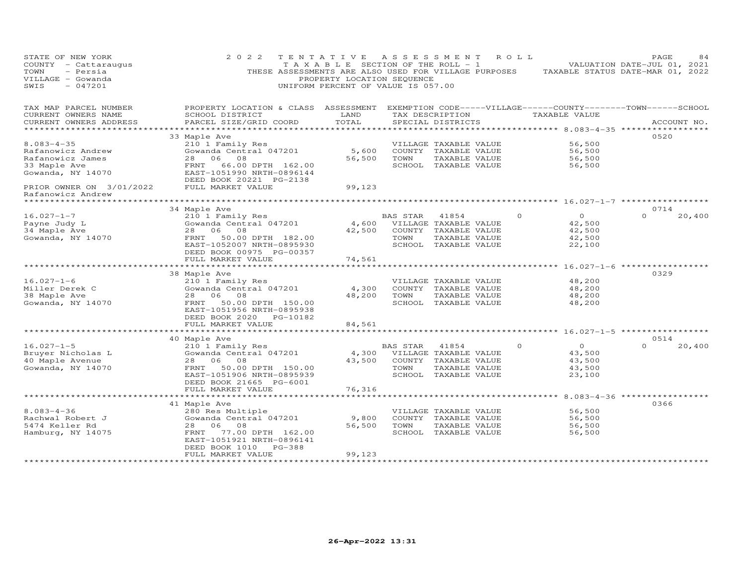| STATE OF NEW YORK<br>COUNTY - Cattaraugus<br>- Persia<br>TOWN<br>VILLAGE - Gowanda<br>$-047201$<br>SWIS | 2 0 2 2<br>THESE ASSESSMENTS ARE ALSO USED FOR VILLAGE PURPOSES                                                                                  | TENTATIVE<br>T A X A B L E SECTION OF THE ROLL - 1<br>PROPERTY LOCATION SEQUENCE<br>UNIFORM PERCENT OF VALUE IS 057.00 | A S S E S S M E N T |                                               | R O L L | TAXABLE STATUS DATE-MAR 01, 2022                 | PAGE<br>VALUATION DATE-JUL 01, 2021 | 84          |
|---------------------------------------------------------------------------------------------------------|--------------------------------------------------------------------------------------------------------------------------------------------------|------------------------------------------------------------------------------------------------------------------------|---------------------|-----------------------------------------------|---------|--------------------------------------------------|-------------------------------------|-------------|
| TAX MAP PARCEL NUMBER<br>CURRENT OWNERS NAME<br>CURRENT OWNERS ADDRESS                                  | PROPERTY LOCATION & CLASS ASSESSMENT EXEMPTION CODE-----VILLAGE------COUNTY--------TOWN------SCHOOL<br>SCHOOL DISTRICT<br>PARCEL SIZE/GRID COORD | LAND<br>TOTAL                                                                                                          |                     | TAX DESCRIPTION<br>SPECIAL DISTRICTS          |         | TAXABLE VALUE                                    |                                     | ACCOUNT NO. |
| ******************                                                                                      |                                                                                                                                                  |                                                                                                                        |                     |                                               |         |                                                  |                                     |             |
|                                                                                                         | 33 Maple Ave                                                                                                                                     |                                                                                                                        |                     |                                               |         |                                                  | 0520                                |             |
| $8.083 - 4 - 35$<br>Rafanowicz Andrew                                                                   | 210 1 Family Res<br>Gowanda Central 047201                                                                                                       | 5,600                                                                                                                  |                     | VILLAGE TAXABLE VALUE<br>COUNTY TAXABLE VALUE |         | 56,500<br>56,500                                 |                                     |             |
| Rafanowicz James                                                                                        | 28<br>06<br>08                                                                                                                                   | 56,500                                                                                                                 | TOWN                | TAXABLE VALUE                                 |         | 56,500                                           |                                     |             |
| 33 Maple Ave                                                                                            | FRNT<br>66.00 DPTH 162.00                                                                                                                        |                                                                                                                        |                     | SCHOOL TAXABLE VALUE                          |         | 56,500                                           |                                     |             |
| Gowanda, NY 14070                                                                                       | EAST-1051990 NRTH-0896144<br>DEED BOOK 20221 PG-2138                                                                                             |                                                                                                                        |                     |                                               |         |                                                  |                                     |             |
| PRIOR OWNER ON 3/01/2022<br>Rafanowicz Andrew                                                           | FULL MARKET VALUE                                                                                                                                | 99,123                                                                                                                 |                     |                                               |         |                                                  |                                     |             |
| ********************                                                                                    |                                                                                                                                                  |                                                                                                                        |                     |                                               |         | ********************** 16.027-1-7 ************** |                                     |             |
|                                                                                                         | 34 Maple Ave                                                                                                                                     |                                                                                                                        |                     |                                               |         |                                                  | 0714                                |             |
| $16.027 - 1 - 7$                                                                                        | 210 1 Family Res                                                                                                                                 |                                                                                                                        | BAS STAR            | 41854                                         |         | $\overline{O}$<br>$\circ$                        | $\Omega$                            | 20,400      |
| Payne Judy L                                                                                            | Gowanda Central 047201                                                                                                                           | 4,600                                                                                                                  |                     | VILLAGE TAXABLE VALUE                         |         | 42,500                                           |                                     |             |
| 34 Maple Ave                                                                                            | 28 06 08                                                                                                                                         | 42,500                                                                                                                 |                     | COUNTY TAXABLE VALUE                          |         | 42,500                                           |                                     |             |
| Gowanda, NY 14070                                                                                       | 50.00 DPTH 182.00<br>FRNT                                                                                                                        |                                                                                                                        | TOWN                | TAXABLE VALUE                                 |         | 42,500                                           |                                     |             |
|                                                                                                         | EAST-1052007 NRTH-0895930<br>DEED BOOK 00975 PG-00357                                                                                            |                                                                                                                        |                     | SCHOOL TAXABLE VALUE                          |         | 22,100                                           |                                     |             |
|                                                                                                         | FULL MARKET VALUE                                                                                                                                | 74,561                                                                                                                 |                     |                                               |         |                                                  |                                     |             |
|                                                                                                         | 38 Maple Ave                                                                                                                                     |                                                                                                                        |                     |                                               |         | $16.027 - 1 - 6$                                 | 0329                                |             |
| $16.027 - 1 - 6$                                                                                        | 210 1 Family Res                                                                                                                                 |                                                                                                                        |                     | VILLAGE TAXABLE VALUE                         |         | 48,200                                           |                                     |             |
| Miller Derek C                                                                                          | Gowanda Central 047201                                                                                                                           | 4,300                                                                                                                  |                     | COUNTY TAXABLE VALUE                          |         | 48,200                                           |                                     |             |
| 38 Maple Ave                                                                                            | 28 06<br>08                                                                                                                                      | 48,200                                                                                                                 | TOWN                | TAXABLE VALUE                                 |         | 48,200                                           |                                     |             |
| Gowanda, NY 14070                                                                                       | FRNT<br>50.00 DPTH 150.00                                                                                                                        |                                                                                                                        |                     | SCHOOL TAXABLE VALUE                          |         | 48,200                                           |                                     |             |
|                                                                                                         | EAST-1051956 NRTH-0895938                                                                                                                        |                                                                                                                        |                     |                                               |         |                                                  |                                     |             |
|                                                                                                         | DEED BOOK 2020 PG-10182                                                                                                                          |                                                                                                                        |                     |                                               |         |                                                  |                                     |             |
|                                                                                                         | FULL MARKET VALUE                                                                                                                                | 84,561                                                                                                                 |                     |                                               |         |                                                  |                                     |             |
|                                                                                                         |                                                                                                                                                  |                                                                                                                        |                     |                                               |         |                                                  |                                     |             |
|                                                                                                         | 40 Maple Ave                                                                                                                                     |                                                                                                                        |                     |                                               |         | $\overline{O}$                                   | 0514                                |             |
| $16.027 - 1 - 5$<br>Bruyer Nicholas L                                                                   | 210 1 Family Res<br>Gowanda Central 047201                                                                                                       | 4,300                                                                                                                  | BAS STAR            | 41854<br>VILLAGE TAXABLE VALUE                |         | $\Omega$<br>43,500                               |                                     | 20,400      |
| 40 Maple Avenue                                                                                         | 28 06<br>08                                                                                                                                      | 43,500                                                                                                                 |                     | COUNTY TAXABLE VALUE                          |         | 43,500                                           |                                     |             |
| Gowanda, NY 14070                                                                                       | FRNT<br>50.00 DPTH 150.00                                                                                                                        |                                                                                                                        | TOWN                | TAXABLE VALUE                                 |         | 43,500                                           |                                     |             |
|                                                                                                         | EAST-1051906 NRTH-0895939                                                                                                                        |                                                                                                                        |                     | SCHOOL TAXABLE VALUE                          |         | 23,100                                           |                                     |             |
|                                                                                                         | DEED BOOK 21665 PG-6001                                                                                                                          |                                                                                                                        |                     |                                               |         |                                                  |                                     |             |
|                                                                                                         | FULL MARKET VALUE                                                                                                                                | 76,316                                                                                                                 |                     |                                               |         |                                                  |                                     |             |
|                                                                                                         |                                                                                                                                                  |                                                                                                                        |                     |                                               |         |                                                  |                                     |             |
|                                                                                                         | 41 Maple Ave                                                                                                                                     |                                                                                                                        |                     |                                               |         |                                                  | 0366                                |             |
| $8.083 - 4 - 36$                                                                                        | 280 Res Multiple                                                                                                                                 |                                                                                                                        |                     | VILLAGE TAXABLE VALUE                         |         | 56,500                                           |                                     |             |
| Rachwal Robert J                                                                                        | Gowanda Central 047201                                                                                                                           | 9,800                                                                                                                  |                     | COUNTY TAXABLE VALUE                          |         | 56,500                                           |                                     |             |
| 5474 Keller Rd                                                                                          | 28<br>06<br>08                                                                                                                                   | 56,500                                                                                                                 | TOWN                | TAXABLE VALUE                                 |         | 56,500                                           |                                     |             |
| Hamburg, NY 14075                                                                                       | FRNT<br>77.00 DPTH 162.00<br>EAST-1051921 NRTH-0896141                                                                                           |                                                                                                                        |                     | SCHOOL TAXABLE VALUE                          |         | 56,500                                           |                                     |             |
|                                                                                                         | DEED BOOK 1010<br>PG-388                                                                                                                         |                                                                                                                        |                     |                                               |         |                                                  |                                     |             |
|                                                                                                         | FULL MARKET VALUE                                                                                                                                | 99,123                                                                                                                 |                     |                                               |         |                                                  |                                     |             |
| **********************                                                                                  |                                                                                                                                                  |                                                                                                                        |                     |                                               |         |                                                  |                                     |             |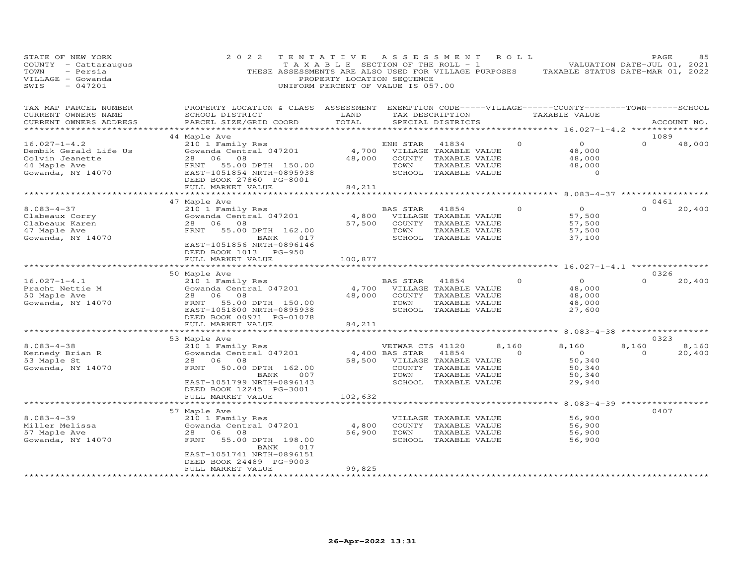| STATE OF NEW YORK<br>COUNTY - Cattaraugus<br>- Persia<br>TOWN<br>VILLAGE - Gowanda<br>$-047201$<br>SWIS | 2 0 2 2<br>THESE ASSESSMENTS ARE ALSO USED FOR VILLAGE PURPOSES                                                                                                             | TENTATIVE<br>T A X A B L E SECTION OF THE ROLL - 1<br>PROPERTY LOCATION SEQUENCE<br>UNIFORM PERCENT OF VALUE IS 057.00 | A S S E S S M E N T                             |                                                                                                 | R O L L                       | TAXABLE STATUS DATE-MAR 01, 2022                                                | PAGE<br>VALUATION DATE-JUL 01, 2021 | 85          |
|---------------------------------------------------------------------------------------------------------|-----------------------------------------------------------------------------------------------------------------------------------------------------------------------------|------------------------------------------------------------------------------------------------------------------------|-------------------------------------------------|-------------------------------------------------------------------------------------------------|-------------------------------|---------------------------------------------------------------------------------|-------------------------------------|-------------|
| TAX MAP PARCEL NUMBER<br>CURRENT OWNERS NAME<br>CURRENT OWNERS ADDRESS<br>**********************        | PROPERTY LOCATION & CLASS ASSESSMENT<br>SCHOOL DISTRICT<br>PARCEL SIZE/GRID COORD                                                                                           | LAND<br>TOTAL                                                                                                          |                                                 | SPECIAL DISTRICTS                                                                               | TAX DESCRIPTION               | EXEMPTION CODE-----VILLAGE------COUNTY--------TOWN------SCHOOL<br>TAXABLE VALUE |                                     | ACCOUNT NO. |
|                                                                                                         | 44 Maple Ave                                                                                                                                                                |                                                                                                                        |                                                 |                                                                                                 |                               |                                                                                 | 1089                                |             |
| $16.027 - 1 - 4.2$<br>Dembik Gerald Life Us<br>Colvin Jeanette<br>44 Maple Ave<br>Gowanda, NY 14070     | 210 1 Family Res<br>Gowanda Central 047201<br>28 06<br>08<br>FRNT<br>55.00 DPTH 150.00<br>EAST-1051854 NRTH-0895938<br>DEED BOOK 27860 PG-8001                              | 4,700<br>48,000                                                                                                        | ENH STAR<br>TOWN                                | 41834<br>VILLAGE TAXABLE VALUE<br>COUNTY TAXABLE VALUE<br>TAXABLE VALUE<br>SCHOOL TAXABLE VALUE | $\circ$                       | $\overline{O}$<br>48,000<br>48,000<br>48,000<br>$\Omega$                        | $\Omega$                            | 48,000      |
|                                                                                                         | FULL MARKET VALUE                                                                                                                                                           | 84,211                                                                                                                 |                                                 |                                                                                                 |                               |                                                                                 |                                     |             |
|                                                                                                         |                                                                                                                                                                             |                                                                                                                        |                                                 |                                                                                                 |                               | ******** 8.083-4-37 ***********                                                 | 0461                                |             |
| $8.083 - 4 - 37$<br>Clabeaux Corry<br>Clabeaux Karen<br>47 Maple Ave<br>Gowanda, NY 14070               | 47 Maple Ave<br>210 1 Family Res<br>Gowanda Central 047201<br>28 06<br>08<br>FRNT<br>55.00 DPTH 162.00<br>BANK<br>017<br>EAST-1051856 NRTH-0896146<br>DEED BOOK 1013 PG-950 | 4,800<br>57,500                                                                                                        | BAS STAR<br>TOWN<br>SCHOOL                      | 41854<br>VILLAGE TAXABLE VALUE<br>COUNTY TAXABLE VALUE<br>TAXABLE VALUE<br>TAXABLE VALUE        | $\circ$                       | $\overline{O}$<br>57,500<br>57,500<br>57,500<br>37,100                          | $\Omega$                            | 20,400      |
|                                                                                                         | FULL MARKET VALUE                                                                                                                                                           | 100,877                                                                                                                |                                                 |                                                                                                 |                               |                                                                                 |                                     |             |
|                                                                                                         | **********************                                                                                                                                                      |                                                                                                                        |                                                 |                                                                                                 |                               |                                                                                 |                                     |             |
|                                                                                                         | 50 Maple Ave                                                                                                                                                                |                                                                                                                        |                                                 |                                                                                                 |                               |                                                                                 | 0326                                |             |
| $16.027 - 1 - 4.1$                                                                                      | 210 1 Family Res                                                                                                                                                            |                                                                                                                        | BAS STAR                                        | 41854                                                                                           | $\Omega$                      | $\Omega$                                                                        | $\Omega$                            | 20,400      |
| Pracht Nettie M                                                                                         | Gowanda Central 047201<br>06<br>28<br>08                                                                                                                                    | 4,700<br>48,000                                                                                                        |                                                 | VILLAGE TAXABLE VALUE<br>COUNTY TAXABLE VALUE                                                   |                               | 48,000                                                                          |                                     |             |
| 50 Maple Ave<br>Gowanda, NY 14070                                                                       | 55.00 DPTH 150.00<br>FRNT                                                                                                                                                   |                                                                                                                        | TOWN                                            | TAXABLE VALUE                                                                                   |                               | 48,000<br>48,000                                                                |                                     |             |
|                                                                                                         | EAST-1051800 NRTH-0895938<br>DEED BOOK 00971 PG-01078                                                                                                                       |                                                                                                                        |                                                 | SCHOOL TAXABLE VALUE                                                                            |                               | 27,600                                                                          |                                     |             |
|                                                                                                         | FULL MARKET VALUE                                                                                                                                                           | 84,211<br>* * * * * * * * * *                                                                                          |                                                 |                                                                                                 |                               | ********* 8.083-4-38 *****************                                          |                                     |             |
|                                                                                                         | 53 Maple Ave                                                                                                                                                                |                                                                                                                        |                                                 |                                                                                                 |                               |                                                                                 | 0323                                |             |
| $8.083 - 4 - 38$                                                                                        | 210 1 Family Res                                                                                                                                                            |                                                                                                                        | VETWAR CTS 41120                                |                                                                                                 | 8,160                         | 8,160                                                                           | 8,160                               | 8,160       |
| Kennedy Brian R<br>53 Maple St<br>Gowanda, NY 14070                                                     | Gowanda Central 047201<br>28 06 08<br>FRNT<br>50.00 DPTH 162.00<br>007<br>BANK<br>EAST-1051799 NRTH-0896143<br>DEED BOOK 12245 PG-3001<br>FULL MARKET VALUE                 | 58,500<br>102,632                                                                                                      | 4,400 BAS STAR<br>VILLAGE TAXABLE VALUE<br>TOWN | 41854<br>COUNTY TAXABLE VALUE<br>TAXABLE VALUE<br>SCHOOL TAXABLE VALUE                          | $\Omega$                      | $\overline{O}$<br>50,340<br>50,340<br>50,340<br>29,940                          | $\Omega$                            | 20,400      |
|                                                                                                         | ******************                                                                                                                                                          |                                                                                                                        |                                                 |                                                                                                 |                               | *************** 8.083-4-39 **************                                       |                                     |             |
|                                                                                                         | 57 Maple Ave                                                                                                                                                                |                                                                                                                        |                                                 |                                                                                                 |                               |                                                                                 | 0407                                |             |
| $8.083 - 4 - 39$                                                                                        | 210 1 Family Res                                                                                                                                                            |                                                                                                                        |                                                 | VILLAGE TAXABLE VALUE                                                                           |                               | 56,900                                                                          |                                     |             |
| Miller Melissa                                                                                          | Gowanda Central 047201                                                                                                                                                      | 4,800                                                                                                                  |                                                 | COUNTY TAXABLE VALUE                                                                            |                               | 56,900                                                                          |                                     |             |
| 57 Maple Ave                                                                                            | 28<br>06<br>08                                                                                                                                                              | 56,900                                                                                                                 | TOWN                                            | TAXABLE VALUE                                                                                   |                               | 56,900                                                                          |                                     |             |
| Gowanda, NY 14070                                                                                       | 55.00 DPTH 198.00<br>FRNT<br>BANK<br>017<br>EAST-1051741 NRTH-0896151<br>DEED BOOK 24489 PG-9003                                                                            |                                                                                                                        |                                                 | SCHOOL TAXABLE VALUE                                                                            |                               | 56,900                                                                          |                                     |             |
| *********************                                                                                   | FULL MARKET VALUE<br>********************                                                                                                                                   | 99,825<br>* * * * * * * * * * * * * *                                                                                  |                                                 |                                                                                                 | ***************************** |                                                                                 |                                     |             |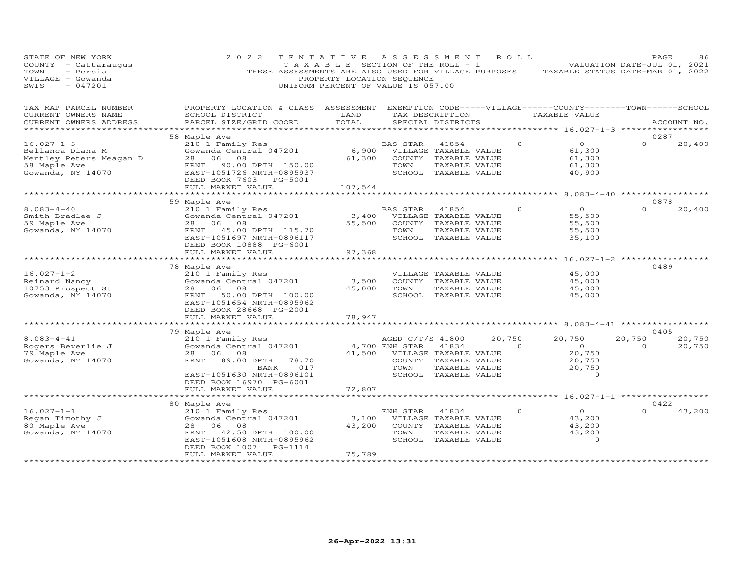| STATE OF NEW YORK<br>COUNTY - Cattaraugus<br>TOWN<br>- Persia<br>VILLAGE - Gowanda<br>$-047201$<br>SWIS | 2 0 2 2<br>THESE ASSESSMENTS ARE ALSO USED FOR VILLAGE PURPOSES                                                                                  | TENTATIVE<br>T A X A B L E SECTION OF THE ROLL - 1<br>PROPERTY LOCATION SEQUENCE<br>UNIFORM PERCENT OF VALUE IS 057.00 | ASSESSMENT             |                                                                                                 | R O L L  | TAXABLE STATUS DATE-MAR 01, 2022                         | PAGE<br>VALUATION DATE-JUL 01, 2021 | 86          |
|---------------------------------------------------------------------------------------------------------|--------------------------------------------------------------------------------------------------------------------------------------------------|------------------------------------------------------------------------------------------------------------------------|------------------------|-------------------------------------------------------------------------------------------------|----------|----------------------------------------------------------|-------------------------------------|-------------|
| TAX MAP PARCEL NUMBER<br>CURRENT OWNERS NAME<br>CURRENT OWNERS ADDRESS                                  | PROPERTY LOCATION & CLASS ASSESSMENT EXEMPTION CODE-----VILLAGE------COUNTY-------TOWN------SCHOOL<br>SCHOOL DISTRICT<br>PARCEL SIZE/GRID COORD  | LAND<br>TOTAL                                                                                                          |                        | TAX DESCRIPTION<br>SPECIAL DISTRICTS                                                            |          | TAXABLE VALUE                                            |                                     | ACCOUNT NO. |
| ************                                                                                            | ********************************<br>* * * * * * * * * * *                                                                                        |                                                                                                                        |                        |                                                                                                 |          | ****************** 16.027-1-3 *****************          |                                     |             |
| $16.027 - 1 - 3$                                                                                        | 58 Maple Ave<br>210 1 Family Res                                                                                                                 |                                                                                                                        | BAS STAR               | 41854                                                                                           | $\Omega$ | $\overline{O}$                                           | 0287<br>$\Omega$                    | 20,400      |
| Bellanca Diana M<br>Mentley Peters Meagan D<br>58 Maple Ave<br>Gowanda, NY 14070                        | Gowanda Central 047201<br>28 06<br>08<br>FRNT 90.00 DPTH 150.00<br>EAST-1051726 NRTH-0895937<br>DEED BOOK 7603 PG-5001                           | 6,900<br>61,300                                                                                                        | TOWN                   | VILLAGE TAXABLE VALUE<br>COUNTY TAXABLE VALUE<br>TAXABLE VALUE<br>SCHOOL TAXABLE VALUE          |          | 61,300<br>61,300<br>61,300<br>40,900                     |                                     |             |
|                                                                                                         | FULL MARKET VALUE<br>***********************                                                                                                     | 107,544                                                                                                                |                        |                                                                                                 |          |                                                          |                                     |             |
|                                                                                                         | 59 Maple Ave                                                                                                                                     |                                                                                                                        |                        |                                                                                                 |          | *********** 8.083-4-40 *****************                 | 0878                                |             |
| $8.083 - 4 - 40$<br>Smith Bradlee J<br>59 Maple Ave<br>Gowanda, NY 14070                                | 210 1 Family Res<br>Gowanda Central 047201<br>28 06<br>08<br>FRNT 45.00 DPTH 115.70<br>EAST-1051697 NRTH-0896117                                 | 3,400<br>55,500                                                                                                        | BAS STAR 41854<br>TOWN | VILLAGE TAXABLE VALUE<br>COUNTY TAXABLE VALUE<br>TAXABLE VALUE<br>SCHOOL TAXABLE VALUE          | $\Omega$ | $\overline{O}$<br>55,500<br>55,500<br>55,500<br>35,100   | $\Omega$                            | 20,400      |
|                                                                                                         | DEED BOOK 10888 PG-6001<br>FULL MARKET VALUE                                                                                                     |                                                                                                                        |                        |                                                                                                 |          |                                                          |                                     |             |
|                                                                                                         | ******************                                                                                                                               | 97,368                                                                                                                 |                        |                                                                                                 |          | $16.027 - 1 - 2$ ****                                    |                                     |             |
|                                                                                                         | 78 Maple Ave                                                                                                                                     |                                                                                                                        |                        |                                                                                                 |          |                                                          | 0489                                |             |
| $16.027 - 1 - 2$<br>Reinard Nancy<br>10753 Prospect St<br>Gowanda, NY 14070                             | 210 1 Family Res<br>Gowanda Central 047201<br>28 06 08<br>50.00 DPTH 100.00<br>FRNT<br>EAST-1051654 NRTH-0895962<br>DEED BOOK 28668 PG-2001      | 3,500<br>45,000                                                                                                        | TOWN                   | VILLAGE TAXABLE VALUE<br>COUNTY TAXABLE VALUE<br>TAXABLE VALUE<br>SCHOOL TAXABLE VALUE          |          | 45,000<br>45,000<br>45,000<br>45,000                     |                                     |             |
|                                                                                                         | FULL MARKET VALUE                                                                                                                                | 78,947                                                                                                                 |                        |                                                                                                 |          |                                                          |                                     |             |
|                                                                                                         |                                                                                                                                                  |                                                                                                                        |                        |                                                                                                 |          | ** 8.083-4-41                                            | 0405                                |             |
| $8.083 - 4 - 41$                                                                                        | 79 Maple Ave<br>210 1 Family Res                                                                                                                 |                                                                                                                        | AGED C/T/S 41800       |                                                                                                 | 20,750   | 20,750                                                   | 20,750                              | 20,750      |
| Rogers Beverlie J<br>79 Maple Ave<br>Gowanda, NY 14070                                                  | Gowanda Central 047201<br>28 06 08<br>89.00 DPTH<br>FRNT<br>78.70<br>017<br>BANK<br>EAST-1051630 NRTH-0896101<br>DEED BOOK 16970 PG-6001         | 41,500                                                                                                                 | 4,700 ENH STAR<br>TOWN | 41834<br>VILLAGE TAXABLE VALUE<br>COUNTY TAXABLE VALUE<br>TAXABLE VALUE<br>SCHOOL TAXABLE VALUE | $\sim$ 0 | $\overline{0}$<br>20,750<br>20,750<br>20,750<br>$\Omega$ | $\Omega$                            | 20,750      |
|                                                                                                         | FULL MARKET VALUE                                                                                                                                | 72,807                                                                                                                 |                        |                                                                                                 |          |                                                          |                                     |             |
|                                                                                                         |                                                                                                                                                  | *************                                                                                                          |                        |                                                                                                 |          | ********** 16.027-1-1 *****************                  |                                     |             |
|                                                                                                         | 80 Maple Ave                                                                                                                                     |                                                                                                                        |                        |                                                                                                 |          |                                                          | 0422                                |             |
| $16.027 - 1 - 1$<br>Regan Timothy J<br>80 Maple Ave<br>Gowanda, NY 14070                                | 210 1 Family Res<br>Gowanda Central 047201<br>28 06<br>08<br>FRNT<br>42.50 DPTH 100.00<br>EAST-1051608 NRTH-0895962<br>DEED BOOK 1007<br>PG-1114 | 3,100<br>43,200                                                                                                        | ENH STAR<br>TOWN       | 41834<br>VILLAGE TAXABLE VALUE<br>COUNTY TAXABLE VALUE<br>TAXABLE VALUE<br>SCHOOL TAXABLE VALUE | $\Omega$ | $\overline{O}$<br>43,200<br>43,200<br>43,200<br>$\Omega$ | $\Omega$                            | 43,200      |
|                                                                                                         | FULL MARKET VALUE                                                                                                                                | 75,789<br>******************                                                                                           |                        |                                                                                                 |          |                                                          |                                     |             |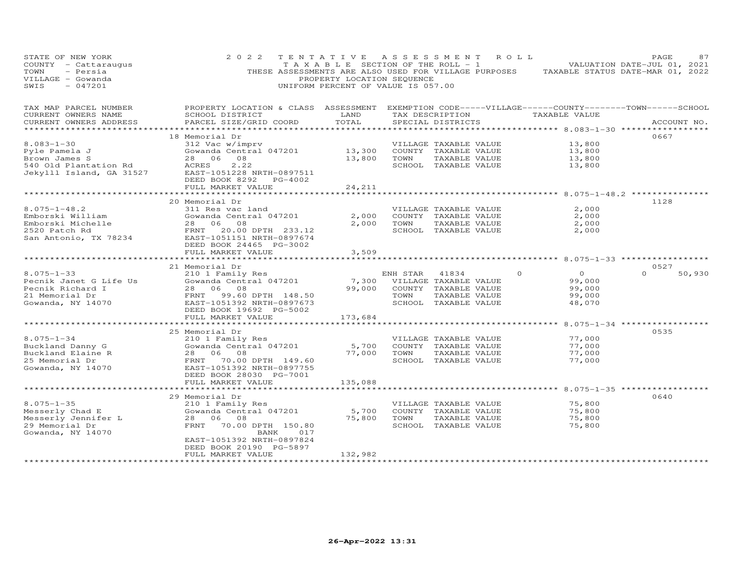| STATE OF NEW YORK<br>COUNTY - Cattaraugus<br>TOWN<br>- Persia<br>VILLAGE - Gowanda<br>SWIS<br>$-047201$ | 2 0 2 2<br>THESE ASSESSMENTS ARE ALSO USED FOR VILLAGE PURPOSES                                                                                                                          | TENTATIVE<br>T A X A B L E SECTION OF THE ROLL - 1<br>PROPERTY LOCATION SEQUENCE<br>UNIFORM PERCENT OF VALUE IS 057.00 | A S S E S S M E N T |                                                                                                 | R O L L                                                                                                     | PAGE<br>87<br>VALUATION DATE-JUL 01, 2021<br>TAXABLE STATUS DATE-MAR 01, 2022 |
|---------------------------------------------------------------------------------------------------------|------------------------------------------------------------------------------------------------------------------------------------------------------------------------------------------|------------------------------------------------------------------------------------------------------------------------|---------------------|-------------------------------------------------------------------------------------------------|-------------------------------------------------------------------------------------------------------------|-------------------------------------------------------------------------------|
| TAX MAP PARCEL NUMBER<br>CURRENT OWNERS NAME<br>CURRENT OWNERS ADDRESS                                  | PROPERTY LOCATION & CLASS ASSESSMENT<br>SCHOOL DISTRICT<br>PARCEL SIZE/GRID COORD                                                                                                        | LAND<br>TOTAL                                                                                                          | TAX DESCRIPTION     | SPECIAL DISTRICTS                                                                               | EXEMPTION CODE-----VILLAGE------COUNTY-------TOWN------SCHOOL<br>TAXABLE VALUE<br>********* 8.083-1-30 **** | ACCOUNT NO.                                                                   |
| $8.083 - 1 - 30$<br>Pyle Pamela J<br>Brown James S<br>540 Old Plantation Rd<br>Jekylll Island, GA 31527 | 18 Memorial Dr<br>312 Vac w/imprv<br>Gowanda Central 047201<br>28<br>06<br>08<br>2.22<br>ACRES<br>EAST-1051228 NRTH-0897511<br>DEED BOOK 8292<br>PG-4002<br>FULL MARKET VALUE            | 13,300<br>13,800<br>24,211                                                                                             | TOWN                | VILLAGE TAXABLE VALUE<br>COUNTY TAXABLE VALUE<br>TAXABLE VALUE<br>SCHOOL TAXABLE VALUE          | 13,800<br>13,800<br>13,800<br>13,800                                                                        | 0667                                                                          |
|                                                                                                         | ********************                                                                                                                                                                     | ***************                                                                                                        |                     |                                                                                                 | **************************************8.075-1-48.2 ****************                                         |                                                                               |
| $8.075 - 1 - 48.2$<br>Emborski William<br>Emborski Michelle<br>2520 Patch Rd<br>San Antonio, TX 78234   | 20 Memorial Dr<br>311 Res vac land<br>Gowanda Central 047201<br>28<br>06<br>08<br>FRNT<br>20.00 DPTH 233.12<br>EAST-1051151 NRTH-0897674<br>DEED BOOK 24465 PG-3002                      | 2,000<br>2,000                                                                                                         | TOWN                | VILLAGE TAXABLE VALUE<br>COUNTY TAXABLE VALUE<br>TAXABLE VALUE<br>SCHOOL TAXABLE VALUE          | 2,000<br>2,000<br>2,000<br>2,000                                                                            | 1128                                                                          |
|                                                                                                         | FULL MARKET VALUE                                                                                                                                                                        | 3,509                                                                                                                  |                     |                                                                                                 |                                                                                                             |                                                                               |
|                                                                                                         |                                                                                                                                                                                          |                                                                                                                        |                     |                                                                                                 |                                                                                                             |                                                                               |
| $8.075 - 1 - 33$<br>Pecnik Janet G Life Us<br>Pecnik Richard I<br>21 Memorial Dr<br>Gowanda, NY 14070   | 21 Memorial Dr<br>210 1 Family Res<br>Gowanda Central 047201<br>06<br>08<br>28<br>FRNT<br>99.60 DPTH 148.50<br>EAST-1051392 NRTH-0897673<br>DEED BOOK 19692 PG-5002<br>FULL MARKET VALUE | 7,300<br>99,000<br>173,684                                                                                             | ENH STAR<br>TOWN    | 41834<br>VILLAGE TAXABLE VALUE<br>COUNTY TAXABLE VALUE<br>TAXABLE VALUE<br>SCHOOL TAXABLE VALUE | $\Omega$<br>$\Omega$<br>99,000<br>99,000<br>99,000<br>48,070                                                | 0527<br>$\Omega$<br>50,930                                                    |
|                                                                                                         |                                                                                                                                                                                          |                                                                                                                        |                     |                                                                                                 |                                                                                                             |                                                                               |
| $8.075 - 1 - 34$<br>Buckland Danny G<br>Buckland Elaine R<br>25 Memorial Dr<br>Gowanda, NY 14070        | 25 Memorial Dr<br>210 1 Family Res<br>Gowanda Central 047201<br>28 06 08<br>FRNT 70.00 DPTH 149.60<br>EAST-1051392 NRTH-0897755<br>DEED BOOK 28030 PG-7001<br>FULL MARKET VALUE          | 5,700<br>77,000<br>135,088                                                                                             | TOWN                | VILLAGE TAXABLE VALUE<br>COUNTY TAXABLE VALUE<br>TAXABLE VALUE<br>SCHOOL TAXABLE VALUE          | 77,000<br>77,000<br>77,000<br>77,000                                                                        | 0535                                                                          |
|                                                                                                         |                                                                                                                                                                                          |                                                                                                                        |                     |                                                                                                 | ******************** 8.075-1-35 *****************                                                           |                                                                               |
| $8.075 - 1 - 35$<br>Messerly Chad E<br>Messerly Jennifer L<br>29 Memorial Dr<br>Gowanda, NY 14070       | 29 Memorial Dr<br>210 1 Family Res<br>Gowanda Central 047201<br>28<br>06<br>08<br>FRNT<br>70.00 DPTH 150.80<br>BANK<br>017<br>EAST-1051392 NRTH-0897824                                  | 5,700<br>75,800                                                                                                        | TOWN                | VILLAGE TAXABLE VALUE<br>COUNTY TAXABLE VALUE<br>TAXABLE VALUE<br>SCHOOL TAXABLE VALUE          | 75,800<br>75,800<br>75,800<br>75,800                                                                        | 0640                                                                          |
|                                                                                                         | DEED BOOK 20190 PG-5897<br>FULL MARKET VALUE                                                                                                                                             | 132,982                                                                                                                |                     |                                                                                                 |                                                                                                             |                                                                               |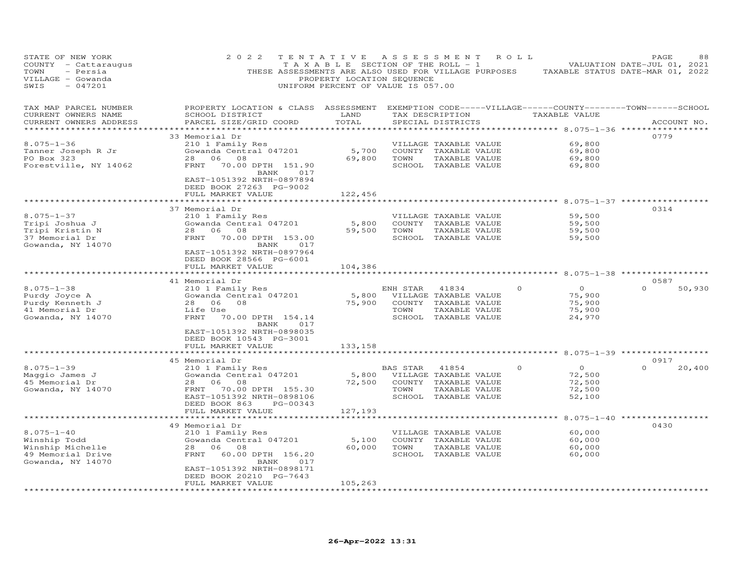| STATE OF NEW YORK<br>COUNTY - Cattaraugus<br>- Persia<br>TOWN<br>VILLAGE - Gowanda<br>$-047201$<br>SWIS | 2 0 2 2<br>THESE ASSESSMENTS ARE ALSO USED FOR VILLAGE PURPOSES                                                                                                                                         | TENTATIVE<br>TAXABLE SECTION OF THE ROLL - 1<br>PROPERTY LOCATION SEQUENCE<br>UNIFORM PERCENT OF VALUE IS 057.00 |                  | ASSESSMENT                                                                                                                                                                     | R O L L  |                                                                | PAGE<br>VALUATION DATE-JUL 01, 2021<br>TAXABLE STATUS DATE-MAR 01, 2022 | 88          |
|---------------------------------------------------------------------------------------------------------|---------------------------------------------------------------------------------------------------------------------------------------------------------------------------------------------------------|------------------------------------------------------------------------------------------------------------------|------------------|--------------------------------------------------------------------------------------------------------------------------------------------------------------------------------|----------|----------------------------------------------------------------|-------------------------------------------------------------------------|-------------|
| TAX MAP PARCEL NUMBER<br>CURRENT OWNERS NAME<br>CURRENT OWNERS ADDRESS<br>***********************       | PROPERTY LOCATION & CLASS ASSESSMENT<br>SCHOOL DISTRICT<br>PARCEL SIZE/GRID COORD<br>****************************                                                                                       | LAND<br>TOTAL<br>**********                                                                                      |                  | EXEMPTION CODE-----VILLAGE------COUNTY--------TOWN------SCHOOL<br>TAX DESCRIPTION<br>SPECIAL DISTRICTS<br>************************************** 8.075-1-36 ****************** |          | TAXABLE VALUE                                                  |                                                                         | ACCOUNT NO. |
| $8.075 - 1 - 36$<br>Tanner Joseph R Jr<br>PO Box 323<br>Forestville, NY 14062                           | 33 Memorial Dr<br>210 1 Family Res<br>Gowanda Central 047201<br>28<br>06<br>08<br>FRNT<br>70.00 DPTH 151.90<br>BANK<br>017<br>EAST-1051392 NRTH-0897894<br>DEED BOOK 27263 PG-9002<br>FULL MARKET VALUE | 5,700<br>69,800<br>122,456                                                                                       | TOWN             | VILLAGE TAXABLE VALUE<br>COUNTY TAXABLE VALUE<br>TAXABLE VALUE<br>SCHOOL TAXABLE VALUE                                                                                         |          | 69,800<br>69,800<br>69,800<br>69,800                           | 0779                                                                    |             |
|                                                                                                         |                                                                                                                                                                                                         |                                                                                                                  |                  | ************************ 8.075-1-37 ***************                                                                                                                            |          |                                                                |                                                                         |             |
| $8.075 - 1 - 37$<br>Tripi Joshua J<br>Tripi Kristin N<br>37 Memorial Dr<br>Gowanda, NY 14070            | 37 Memorial Dr<br>210 1 Family Res<br>Gowanda Central 047201<br>28<br>06<br>08<br>FRNT<br>70.00 DPTH 153.00<br>BANK<br>017<br>EAST-1051392 NRTH-0897964                                                 | 5,800<br>59,500                                                                                                  | TOWN             | VILLAGE TAXABLE VALUE<br>COUNTY TAXABLE VALUE<br>TAXABLE VALUE<br>SCHOOL TAXABLE VALUE                                                                                         |          | 59,500<br>59,500<br>59,500<br>59,500                           | 0314                                                                    |             |
|                                                                                                         | DEED BOOK 28566 PG-6001<br>FULL MARKET VALUE                                                                                                                                                            | 104,386                                                                                                          |                  |                                                                                                                                                                                |          |                                                                |                                                                         |             |
|                                                                                                         | ***********************                                                                                                                                                                                 |                                                                                                                  |                  |                                                                                                                                                                                |          |                                                                |                                                                         |             |
| $8.075 - 1 - 38$<br>Purdy Joyce A<br>Purdy Kenneth J<br>41 Memorial Dr<br>Gowanda, NY 14070             | 41 Memorial Dr<br>210 1 Family Res<br>Gowanda Central 047201<br>28 06 08<br>Life Use<br>FRNT<br>70.00 DPTH 154.14<br>BANK<br>017                                                                        | 5,800<br>75,900                                                                                                  | ENH STAR<br>TOWN | 41834<br>VILLAGE TAXABLE VALUE<br>COUNTY TAXABLE VALUE<br>TAXABLE VALUE<br>SCHOOL TAXABLE VALUE                                                                                | $\circ$  | $\overline{O}$<br>75,900<br>75,900<br>75,900<br>24,970         | 0587<br>$\Omega$                                                        | 50,930      |
|                                                                                                         | EAST-1051392 NRTH-0898035<br>DEED BOOK 10543 PG-3001<br>FULL MARKET VALUE                                                                                                                               | 133,158                                                                                                          |                  |                                                                                                                                                                                |          |                                                                | ********* 8.075-1-39 ************                                       |             |
|                                                                                                         | 45 Memorial Dr                                                                                                                                                                                          |                                                                                                                  |                  |                                                                                                                                                                                |          |                                                                | 0917                                                                    |             |
| $8.075 - 1 - 39$<br>Maggio James J<br>45 Memorial Dr<br>Gowanda, NY 14070                               | 210 1 Family Res<br>Gowanda Central 047201<br>28<br>06<br>08<br>70.00 DPTH 155.30<br>FRNT<br>EAST-1051392 NRTH-0898106<br>DEED BOOK 863<br>PG-00343                                                     | 72,500                                                                                                           | BAS STAR<br>TOWN | 41854<br>5,800 VILLAGE TAXABLE VALUE<br>COUNTY TAXABLE VALUE<br>TAXABLE VALUE<br>SCHOOL TAXABLE VALUE                                                                          | $\Omega$ | $\circ$<br>72,500<br>72,500<br>72,500<br>52,100                | $\Omega$                                                                | 20,400      |
|                                                                                                         | FULL MARKET VALUE                                                                                                                                                                                       | 127,193                                                                                                          |                  |                                                                                                                                                                                |          |                                                                |                                                                         |             |
| $8.075 - 1 - 40$<br>Winship Todd<br>Winship Michelle<br>49 Memorial Drive<br>Gowanda, NY 14070          | 49 Memorial Dr<br>210 1 Family Res<br>Gowanda Central 047201<br>28<br>06<br>08<br>60.00 DPTH 156.20<br>FRNT<br>BANK<br>017<br>EAST-1051392 NRTH-0898171<br>DEED BOOK 20210 PG-7643                      | 5,100<br>60,000                                                                                                  | TOWN             | VILLAGE TAXABLE VALUE<br>COUNTY TAXABLE VALUE<br>TAXABLE VALUE<br>SCHOOL TAXABLE VALUE                                                                                         |          | ***** 8.075-1-40 *****<br>60,000<br>60,000<br>60,000<br>60,000 | 0430                                                                    |             |
|                                                                                                         | FULL MARKET VALUE                                                                                                                                                                                       | 105,263                                                                                                          |                  |                                                                                                                                                                                |          |                                                                |                                                                         |             |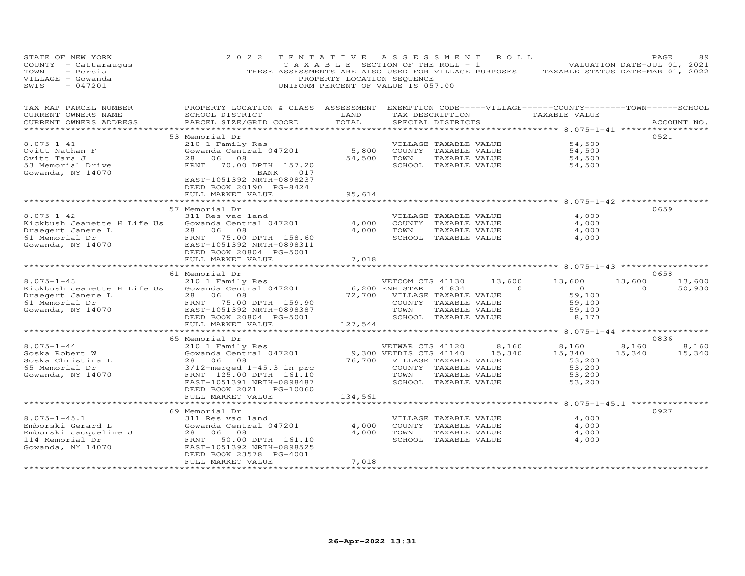| STATE OF NEW YORK<br>COUNTY - Cattaraugus<br>- Persia<br>TOWN<br>VILLAGE - Gowanda<br>- 047201<br>SWIS                                                                                                     | 2 0 2 2                                                                                                                                                                                          | TENTATIVE ASSESSMENT ROLL<br>PROPERTY LOCATION SEQUENCE<br>UNIFORM PERCENT OF VALUE IS 057.00 |                                                                                                           |                                       |                                       | T A X A B L E SECTION OF THE ROLL - 1 VALUATION DATE-JUL 01, 2021<br>THESE ASSESSMENTS ARE ALSO USED FOR VILLAGE PURPOSES TAXABLE STATUS DATE-MAR 01, 2022 |                    | PAGE        | 89               |
|------------------------------------------------------------------------------------------------------------------------------------------------------------------------------------------------------------|--------------------------------------------------------------------------------------------------------------------------------------------------------------------------------------------------|-----------------------------------------------------------------------------------------------|-----------------------------------------------------------------------------------------------------------|---------------------------------------|---------------------------------------|------------------------------------------------------------------------------------------------------------------------------------------------------------|--------------------|-------------|------------------|
| TAX MAP PARCEL NUMBER<br>CURRENT OWNERS NAME<br>CURRENT OWNERS ADDRESS                                                                                                                                     | PROPERTY LOCATION & CLASS ASSESSMENT EXEMPTION CODE-----VILLAGE------COUNTY--------TOWN------SCHOOL<br>SCHOOL DISTRICT<br>PARCEL SIZE/GRID COORD                                                 | LAND<br>TOTAL                                                                                 |                                                                                                           | SPECIAL DISTRICTS                     |                                       | TAX DESCRIPTION TAXABLE VALUE                                                                                                                              |                    | ACCOUNT NO. |                  |
| *********************                                                                                                                                                                                      |                                                                                                                                                                                                  |                                                                                               |                                                                                                           |                                       |                                       |                                                                                                                                                            |                    |             |                  |
| $8.075 - 1 - 41$<br>Ovitt Nathan F<br>Ovitt Tara J<br>53 Memorial Drive<br>Gowanda, NY 14070                                                                                                               | 53 Memorial Dr<br>210 1 Family Res<br>Gowanda Central 047201<br>28 06 08<br>FRNT 70.00 DPTH 157.20<br>BANK<br>017<br>EAST-1051392 NRTH-0898237                                                   | 5,800<br>54,500                                                                               | VILLAGE TAXABLE VALUE<br>COUNTY TAXABLE VALUE<br>TOWN<br>SCHOOL TAXABLE VALUE                             | TAXABLE VALUE                         |                                       | 54,500<br>54,500<br>54,500<br>54,500                                                                                                                       |                    | 0521        |                  |
|                                                                                                                                                                                                            | DEED BOOK 20190 PG-8424<br>FULL MARKET VALUE                                                                                                                                                     | 95,614<br>**************                                                                      |                                                                                                           |                                       |                                       |                                                                                                                                                            |                    |             |                  |
|                                                                                                                                                                                                            | 57 Memorial Dr                                                                                                                                                                                   |                                                                                               |                                                                                                           |                                       |                                       |                                                                                                                                                            |                    | 0659        |                  |
| $8.075 - 1 - 42$<br>Kickbush Jeanette H Life Us<br>Draegert Janene L<br>61 Memorial Dr<br>Gowanda, NY 14070                                                                                                | 311 Res vac land<br>Gowanda Central 047201<br>28 06 08<br>FRNT 75.00 DPTH 158.60<br>EAST-1051392 NRTH-0898311<br>DEED BOOK 20804 PG-5001                                                         | 4,000<br>4,000                                                                                | VILLAGE TAXABLE VALUE<br>COUNTY TAXABLE VALUE<br>TOWN                                                     | TAXABLE VALUE<br>SCHOOL TAXABLE VALUE |                                       | 4,000<br>4,000<br>4,000<br>4,000                                                                                                                           |                    |             |                  |
|                                                                                                                                                                                                            | FULL MARKET VALUE                                                                                                                                                                                | 7,018                                                                                         |                                                                                                           |                                       |                                       |                                                                                                                                                            |                    |             |                  |
|                                                                                                                                                                                                            | 61 Memorial Dr                                                                                                                                                                                   |                                                                                               |                                                                                                           |                                       |                                       |                                                                                                                                                            |                    | 0658        |                  |
| $8.075 - 1 - 43$<br>Kickbush Jeanette H Life Us<br>Draegert Janene L<br>61 Memorial Dr                         FRNT     75.00 DPTH   159.90<br>Gowanda, NY 14070                 EAST-1051392 NRTH-0898387 | 210 1 Family Res<br>Gowanda Central 047201<br>28 06 08<br>DEED BOOK 20804 PG-5001<br>FULL MARKET VALUE                                                                                           | 127,544                                                                                       | VETCOM CTS 41130<br>72,700 VILLAGE TAXABLE VALUE<br>COUNTY TAXABLE VALUE<br>TOWN<br>SCHOOL TAXABLE VALUE  | TAXABLE VALUE                         | 13,600<br>6,200 ENH STAR 41834 0      | 13,600<br>$\overline{0}$<br>59,100<br>59,100<br>59,100<br>8,170                                                                                            | 13,600<br>$\Omega$ |             | 13,600<br>50,930 |
|                                                                                                                                                                                                            | ************************                                                                                                                                                                         |                                                                                               |                                                                                                           |                                       |                                       | ************** 8.075-1-44 ******************                                                                                                               |                    |             |                  |
| $8.075 - 1 - 44$<br>Soska Robert W<br>Soska Christina L<br>65 Memorial Dr<br>Gowanda, NY 14070                                                                                                             | 65 Memorial Dr<br>210 1 Family Res<br>Gowanda Central 047201<br>28 06 08<br>$3/12$ -merged $1-45.3$ in prc<br>FRNT 125.00 DPTH 161.10<br>EAST-1051391 NRTH-0898487<br>DEED BOOK 2021    PG-10060 |                                                                                               | VETWAR CTS 41120<br>9,300 VETDIS CTS 41140 15,340<br>COUNTY TAXABLE VALUE<br>TOWN<br>SCHOOL TAXABLE VALUE | TAXABLE VALUE                         | 8,160<br>76,700 VILLAGE TAXABLE VALUE | 8,160<br>15,340<br>53,200<br>53,200<br>53,200<br>53,200                                                                                                    | 8,160<br>15,340    | 0836        | 8,160<br>15,340  |
|                                                                                                                                                                                                            | FULL MARKET VALUE                                                                                                                                                                                | 134,561                                                                                       |                                                                                                           |                                       |                                       |                                                                                                                                                            |                    |             |                  |
|                                                                                                                                                                                                            |                                                                                                                                                                                                  |                                                                                               |                                                                                                           |                                       |                                       |                                                                                                                                                            |                    |             |                  |
| $8.075 - 1 - 45.1$<br>Emborski Jacqueline J<br>114 Memorial Dr<br>2001 Memorial Dr<br>Gowanda, NY 14070                                                                                                    | 69 Memorial Dr<br>311 Res vac land<br>Gowanda Central 047201<br>28 06 08<br>FRNT 50.00 DPTH 161.10<br>EAST-1051392 NRTH-0898525<br>DEED BOOK 23578 PG-4001<br>FULL MARKET VALUE                  | 4,000<br>7,018                                                                                | VILLAGE TAXABLE VALUE<br>COUNTY TAXABLE VALUE<br>4,000 TOWN<br>SCHOOL TAXABLE VALUE                       | TAXABLE VALUE                         |                                       | 4,000<br>4,000<br>4,000<br>4,000                                                                                                                           |                    | 0927        |                  |
|                                                                                                                                                                                                            |                                                                                                                                                                                                  |                                                                                               |                                                                                                           |                                       |                                       |                                                                                                                                                            |                    |             |                  |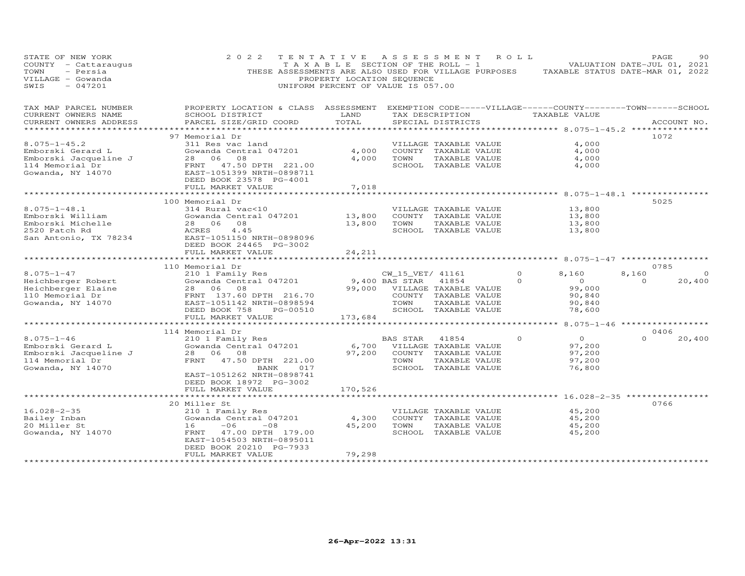| STATE OF NEW YORK<br>COUNTY - Cattaraugus<br>- Persia<br>TOWN<br>VILLAGE - Gowanda<br>$-047201$<br>SWIS | 2 0 2 2<br>THESE ASSESSMENTS ARE ALSO USED FOR VILLAGE PURPOSES                                                                                 | TENTATIVE ASSESSMENT<br>TAXABLE SECTION OF THE ROLL - 1<br>PROPERTY LOCATION SEQUENCE<br>UNIFORM PERCENT OF VALUE IS 057.00 |                  |                                                                 | R O L L  | TAXABLE STATUS DATE-MAR 01, 2022               | PAGE<br>VALUATION DATE-JUL 01, 2021 | 90          |
|---------------------------------------------------------------------------------------------------------|-------------------------------------------------------------------------------------------------------------------------------------------------|-----------------------------------------------------------------------------------------------------------------------------|------------------|-----------------------------------------------------------------|----------|------------------------------------------------|-------------------------------------|-------------|
| TAX MAP PARCEL NUMBER<br>CURRENT OWNERS NAME<br>CURRENT OWNERS ADDRESS                                  | PROPERTY LOCATION & CLASS ASSESSMENT EXEMPTION CODE-----VILLAGE------COUNTY-------TOWN------SCHOOL<br>SCHOOL DISTRICT<br>PARCEL SIZE/GRID COORD | LAND<br>TOTAL                                                                                                               |                  | TAX DESCRIPTION<br>SPECIAL DISTRICTS                            |          | TAXABLE VALUE                                  |                                     | ACCOUNT NO. |
| **************                                                                                          |                                                                                                                                                 | ***************                                                                                                             |                  | ********************************* 8.075-1-45.2 **************** |          |                                                |                                     |             |
| $8.075 - 1 - 45.2$                                                                                      | 97 Memorial Dr<br>311 Res vac land                                                                                                              |                                                                                                                             |                  |                                                                 |          | 4,000                                          | 1072                                |             |
| Emborski Gerard L                                                                                       | Gowanda Central 047201                                                                                                                          | 4,000                                                                                                                       |                  | VILLAGE TAXABLE VALUE<br>COUNTY TAXABLE VALUE                   |          | 4,000                                          |                                     |             |
| Emborski Jacqueline J                                                                                   | 28 06<br>08                                                                                                                                     | 4,000                                                                                                                       | TOWN             | TAXABLE VALUE                                                   |          | 4,000                                          |                                     |             |
| 114 Memorial Dr                                                                                         | FRNT 47.50 DPTH 221.00                                                                                                                          |                                                                                                                             |                  | SCHOOL TAXABLE VALUE                                            |          | 4,000                                          |                                     |             |
| Gowanda, NY 14070                                                                                       | EAST-1051399 NRTH-0898711<br>DEED BOOK 23578 PG-4001                                                                                            |                                                                                                                             |                  |                                                                 |          |                                                |                                     |             |
|                                                                                                         | FULL MARKET VALUE<br>*******************                                                                                                        | 7,018                                                                                                                       |                  |                                                                 |          |                                                |                                     |             |
|                                                                                                         | 100 Memorial Dr                                                                                                                                 |                                                                                                                             |                  |                                                                 |          | ***************** 8.075-1-48.1 *************** | 5025                                |             |
| $8.075 - 1 - 48.1$                                                                                      | 314 Rural vac<10                                                                                                                                |                                                                                                                             |                  | VILLAGE TAXABLE VALUE                                           |          | 13,800                                         |                                     |             |
| Emborski William                                                                                        | Gowanda Central 047201                                                                                                                          | 13,800                                                                                                                      |                  | COUNTY TAXABLE VALUE                                            |          | 13,800                                         |                                     |             |
| Emborski Michelle                                                                                       | 28 06<br>08                                                                                                                                     | 13,800                                                                                                                      | TOWN             | TAXABLE VALUE                                                   |          | 13,800                                         |                                     |             |
| 2520 Patch Rd                                                                                           | ACRES<br>4.45                                                                                                                                   |                                                                                                                             |                  | SCHOOL TAXABLE VALUE                                            |          | 13,800                                         |                                     |             |
| San Antonio, TX 78234                                                                                   | EAST-1051150 NRTH-0898096                                                                                                                       |                                                                                                                             |                  |                                                                 |          |                                                |                                     |             |
|                                                                                                         | DEED BOOK 24465 PG-3002                                                                                                                         |                                                                                                                             |                  |                                                                 |          |                                                |                                     |             |
|                                                                                                         | FULL MARKET VALUE                                                                                                                               | 24,211                                                                                                                      |                  |                                                                 |          |                                                |                                     |             |
|                                                                                                         | *******************                                                                                                                             |                                                                                                                             |                  |                                                                 |          | **************** 8.075-1-47 ***************    |                                     |             |
|                                                                                                         | 110 Memorial Dr                                                                                                                                 |                                                                                                                             |                  |                                                                 |          |                                                | 0785                                |             |
| $8.075 - 1 - 47$                                                                                        | 210 1 Family Res                                                                                                                                |                                                                                                                             | CW_15_VET/ 41161 |                                                                 | $\Omega$ | 8,160                                          | 8,160                               |             |
| Heichberger Robert                                                                                      | Gowanda Central 047201                                                                                                                          |                                                                                                                             | 9,400 BAS STAR   | 41854                                                           | $\Omega$ | $\overline{0}$                                 | $\Omega$                            | 20,400      |
| Heichberger Elaine<br>110 Memorial Dr                                                                   | 08<br>28 06<br>FRNT 137.60 DPTH 216.70                                                                                                          | 99,000                                                                                                                      |                  | VILLAGE TAXABLE VALUE<br>COUNTY TAXABLE VALUE                   |          | 99,000<br>90,840                               |                                     |             |
| Gowanda, NY 14070                                                                                       | EAST-1051142 NRTH-0898594                                                                                                                       |                                                                                                                             | TOWN             | TAXABLE VALUE                                                   |          | 90.840                                         |                                     |             |
|                                                                                                         | DEED BOOK 758<br>PG-00510                                                                                                                       |                                                                                                                             |                  | SCHOOL TAXABLE VALUE                                            |          | 78,600                                         |                                     |             |
|                                                                                                         | FULL MARKET VALUE                                                                                                                               | 173,684                                                                                                                     |                  |                                                                 |          |                                                |                                     |             |
|                                                                                                         |                                                                                                                                                 |                                                                                                                             |                  |                                                                 |          |                                                | $8.075 - 1 - 46$ ***********        |             |
|                                                                                                         | 114 Memorial Dr                                                                                                                                 |                                                                                                                             |                  |                                                                 |          |                                                | 0406                                |             |
| $8.075 - 1 - 46$                                                                                        | 210 1 Family Res                                                                                                                                |                                                                                                                             | BAS STAR         | 41854                                                           | $\Omega$ | $\overline{O}$                                 | $\Omega$                            | 20,400      |
| Emborski Gerard L                                                                                       | Gowanda Central 047201                                                                                                                          | 6,700                                                                                                                       |                  | VILLAGE TAXABLE VALUE                                           |          | 97,200                                         |                                     |             |
| Emborski Jacqueline J                                                                                   | 28 06 08                                                                                                                                        | 97,200                                                                                                                      |                  | COUNTY TAXABLE VALUE                                            |          | 97,200                                         |                                     |             |
| 114 Memorial Dr                                                                                         | FRNT<br>47.50 DPTH 221.00                                                                                                                       |                                                                                                                             | TOWN             | TAXABLE VALUE                                                   |          | 97,200                                         |                                     |             |
| Gowanda, NY 14070                                                                                       | 017<br>BANK                                                                                                                                     |                                                                                                                             |                  | SCHOOL TAXABLE VALUE                                            |          | 76,800                                         |                                     |             |
|                                                                                                         | EAST-1051262 NRTH-0898741                                                                                                                       |                                                                                                                             |                  |                                                                 |          |                                                |                                     |             |
|                                                                                                         | DEED BOOK 18972 PG-3002                                                                                                                         |                                                                                                                             |                  |                                                                 |          |                                                |                                     |             |
|                                                                                                         | FULL MARKET VALUE                                                                                                                               | 170,526                                                                                                                     |                  |                                                                 |          |                                                |                                     |             |
|                                                                                                         |                                                                                                                                                 |                                                                                                                             |                  |                                                                 |          |                                                | 0766                                |             |
| $16.028 - 2 - 35$                                                                                       | 20 Miller St<br>210 1 Family Res                                                                                                                |                                                                                                                             |                  |                                                                 |          | 45,200                                         |                                     |             |
| Bailey Inban                                                                                            | Gowanda Central 047201                                                                                                                          | 4,300                                                                                                                       |                  | VILLAGE TAXABLE VALUE<br>COUNTY TAXABLE VALUE                   |          | 45,200                                         |                                     |             |
| 20 Miller St                                                                                            | 16<br>$-06$<br>$-08$                                                                                                                            | 45,200                                                                                                                      | TOWN             | TAXABLE VALUE                                                   |          | 45,200                                         |                                     |             |
| Gowanda, NY 14070                                                                                       | FRNT<br>47.00 DPTH 179.00                                                                                                                       |                                                                                                                             |                  | SCHOOL TAXABLE VALUE                                            |          | 45,200                                         |                                     |             |
|                                                                                                         | EAST-1054503 NRTH-0895011                                                                                                                       |                                                                                                                             |                  |                                                                 |          |                                                |                                     |             |
|                                                                                                         | DEED BOOK 20210 PG-7933                                                                                                                         |                                                                                                                             |                  |                                                                 |          |                                                |                                     |             |
|                                                                                                         | FULL MARKET VALUE                                                                                                                               | 79,298                                                                                                                      |                  |                                                                 |          |                                                |                                     |             |
| ***********************                                                                                 |                                                                                                                                                 | ***************                                                                                                             |                  |                                                                 |          |                                                |                                     |             |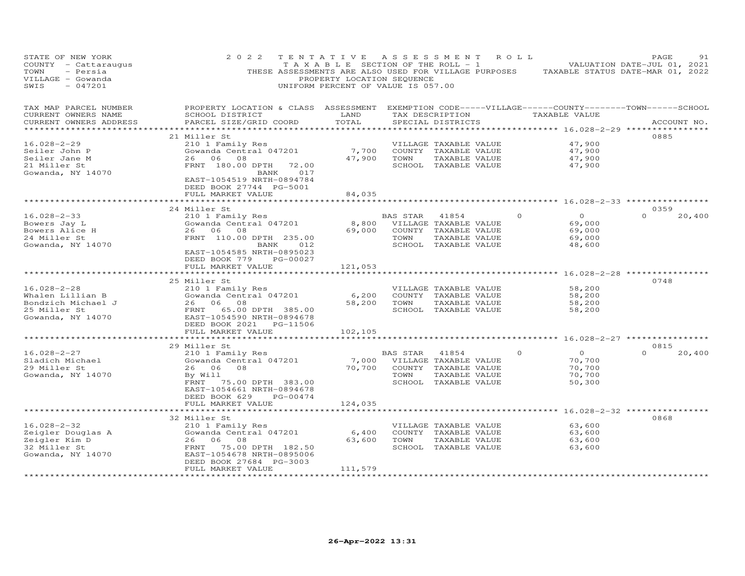| STATE OF NEW YORK<br>COUNTY - Cattaraugus<br>TOWN<br>- Persia<br>VILLAGE - Gowanda<br>SWIS<br>$-047201$ | 2 0 2 2                                                                                                                                          | TENTATIVE ASSESSMENT ROLL<br>T A X A B L E SECTION OF THE ROLL - 1<br>PROPERTY LOCATION SEQUENCE<br>UNIFORM PERCENT OF VALUE IS 057.00 |          |                       |                 | THESE ASSESSMENTS ARE ALSO USED FOR VILLAGE PURPOSES TAXABLE STATUS DATE-MAR 01, 2022 | PAGE<br>VALUATION DATE-JUL 01, 2021 | 91     |
|---------------------------------------------------------------------------------------------------------|--------------------------------------------------------------------------------------------------------------------------------------------------|----------------------------------------------------------------------------------------------------------------------------------------|----------|-----------------------|-----------------|---------------------------------------------------------------------------------------|-------------------------------------|--------|
| TAX MAP PARCEL NUMBER<br>CURRENT OWNERS NAME<br>CURRENT OWNERS ADDRESS                                  | PROPERTY LOCATION & CLASS ASSESSMENT EXEMPTION CODE-----VILLAGE------COUNTY--------TOWN------SCHOOL<br>SCHOOL DISTRICT<br>PARCEL SIZE/GRID COORD | LAND<br>TOTAL                                                                                                                          |          | SPECIAL DISTRICTS     | TAX DESCRIPTION | TAXABLE VALUE                                                                         | ACCOUNT NO.                         |        |
| ***********************                                                                                 |                                                                                                                                                  |                                                                                                                                        |          |                       |                 |                                                                                       |                                     |        |
|                                                                                                         | 21 Miller St                                                                                                                                     |                                                                                                                                        |          |                       |                 |                                                                                       | 0885                                |        |
| $16.028 - 2 - 29$                                                                                       | 210 1 Family Res                                                                                                                                 |                                                                                                                                        |          | VILLAGE TAXABLE VALUE |                 | 47,900                                                                                |                                     |        |
| Seiler John P                                                                                           | Gowanda Central 047201                                                                                                                           | 7,700                                                                                                                                  |          | COUNTY TAXABLE VALUE  |                 | 47,900                                                                                |                                     |        |
| Seiler Jane M                                                                                           | 26 06 08                                                                                                                                         | 47,900                                                                                                                                 | TOWN     | TAXABLE VALUE         |                 | 47,900                                                                                |                                     |        |
| 21 Miller St                                                                                            | FRNT 180.00 DPTH 72.00                                                                                                                           |                                                                                                                                        |          | SCHOOL TAXABLE VALUE  |                 | 47,900                                                                                |                                     |        |
| Gowanda, NY 14070                                                                                       | 017<br>BANK<br>EAST-1054519 NRTH-0894784<br>DEED BOOK 27744 PG-5001<br>FULL MARKET VALUE                                                         | 84,035                                                                                                                                 |          |                       |                 |                                                                                       |                                     |        |
|                                                                                                         |                                                                                                                                                  |                                                                                                                                        |          |                       |                 |                                                                                       |                                     |        |
|                                                                                                         | 24 Miller St                                                                                                                                     |                                                                                                                                        |          |                       |                 |                                                                                       | 0359                                |        |
| $16.028 - 2 - 33$                                                                                       | 210 1 Family Res                                                                                                                                 |                                                                                                                                        | BAS STAR | 41854                 | $\Omega$        | $\circ$                                                                               | $\Omega$                            | 20,400 |
| Bowers Jay L                                                                                            | Gowanda Central 047201                                                                                                                           | 8,800                                                                                                                                  |          | VILLAGE TAXABLE VALUE |                 | 69,000                                                                                |                                     |        |
| Bowers Alice H                                                                                          | 26 06 08                                                                                                                                         | 69,000                                                                                                                                 |          | COUNTY TAXABLE VALUE  |                 | 69,000                                                                                |                                     |        |
| 24 Miller St                                                                                            | FRNT 110.00 DPTH 235.00                                                                                                                          |                                                                                                                                        | TOWN     | TAXABLE VALUE         |                 | 69,000                                                                                |                                     |        |
| Gowanda, NY 14070                                                                                       | 012<br>BANK<br>EAST-1054585 NRTH-0895023<br>DEED BOOK 779 PG-00027                                                                               |                                                                                                                                        |          | SCHOOL TAXABLE VALUE  |                 | 48,600                                                                                |                                     |        |
|                                                                                                         | FULL MARKET VALUE                                                                                                                                | 121,053                                                                                                                                |          |                       |                 | ******** 16.028-2-28 *****                                                            |                                     |        |
|                                                                                                         | 25 Miller St                                                                                                                                     |                                                                                                                                        |          |                       |                 |                                                                                       | 0748                                |        |
| $16.028 - 2 - 28$                                                                                       | 210 1 Family Res                                                                                                                                 |                                                                                                                                        |          | VILLAGE TAXABLE VALUE |                 | 58,200                                                                                |                                     |        |
| Whalen Lillian B                                                                                        | Gowanda Central 047201                                                                                                                           | 6,200                                                                                                                                  |          | COUNTY TAXABLE VALUE  |                 | 58,200                                                                                |                                     |        |
| Bondzich Michael J                                                                                      | 26 06 08                                                                                                                                         | 58,200                                                                                                                                 | TOWN     | TAXABLE VALUE         |                 | 58,200                                                                                |                                     |        |
| 25 Miller St                                                                                            | FRNT<br>65.00 DPTH 385.00                                                                                                                        |                                                                                                                                        |          | SCHOOL TAXABLE VALUE  |                 | 58,200                                                                                |                                     |        |
| Gowanda, NY 14070                                                                                       | EAST-1054590 NRTH-0894678                                                                                                                        |                                                                                                                                        |          |                       |                 |                                                                                       |                                     |        |
|                                                                                                         | DEED BOOK 2021 PG-11506                                                                                                                          |                                                                                                                                        |          |                       |                 |                                                                                       |                                     |        |
|                                                                                                         | FULL MARKET VALUE                                                                                                                                | 102,105                                                                                                                                |          |                       |                 |                                                                                       |                                     |        |
|                                                                                                         |                                                                                                                                                  |                                                                                                                                        |          |                       |                 |                                                                                       |                                     |        |
|                                                                                                         | 29 Miller St                                                                                                                                     |                                                                                                                                        |          |                       |                 |                                                                                       | 0815                                |        |
| $16.028 - 2 - 27$                                                                                       | 210 1 Family Res                                                                                                                                 |                                                                                                                                        | BAS STAR | 41854                 | $\Omega$        | $\Omega$                                                                              | $\Omega$                            | 20,400 |
| Sladich Michael                                                                                         | Gowanda Central 047201                                                                                                                           | 7,000                                                                                                                                  |          | VILLAGE TAXABLE VALUE |                 | 70,700                                                                                |                                     |        |
| 29 Miller St                                                                                            | 08<br>26 06                                                                                                                                      | 70,700                                                                                                                                 |          | COUNTY TAXABLE VALUE  |                 | 70,700                                                                                |                                     |        |
| Gowanda, NY 14070                                                                                       | By Will                                                                                                                                          |                                                                                                                                        | TOWN     | TAXABLE VALUE         |                 | 70,700                                                                                |                                     |        |
|                                                                                                         | FRNT<br>75.00 DPTH 383.00                                                                                                                        |                                                                                                                                        |          | SCHOOL TAXABLE VALUE  |                 | 50,300                                                                                |                                     |        |
|                                                                                                         | EAST-1054661 NRTH-0894678                                                                                                                        |                                                                                                                                        |          |                       |                 |                                                                                       |                                     |        |
|                                                                                                         | DEED BOOK 629<br>PG-00474                                                                                                                        |                                                                                                                                        |          |                       |                 |                                                                                       |                                     |        |
|                                                                                                         | FULL MARKET VALUE                                                                                                                                | 124,035                                                                                                                                |          |                       |                 |                                                                                       |                                     |        |
|                                                                                                         |                                                                                                                                                  |                                                                                                                                        |          |                       |                 | ***** 16.028-2-32 *****                                                               |                                     |        |
|                                                                                                         | 32 Miller St                                                                                                                                     |                                                                                                                                        |          |                       |                 |                                                                                       | 0868                                |        |
| $16.028 - 2 - 32$                                                                                       | 210 1 Family Res                                                                                                                                 |                                                                                                                                        |          | VILLAGE TAXABLE VALUE |                 | 63,600                                                                                |                                     |        |
| Zeigler Douglas A                                                                                       | Gowanda Central 047201                                                                                                                           | 6,400                                                                                                                                  |          | COUNTY TAXABLE VALUE  |                 | 63,600                                                                                |                                     |        |
| Zeigler Kim D                                                                                           | 26 06 08                                                                                                                                         | 63,600                                                                                                                                 | TOWN     | TAXABLE VALUE         |                 | 63,600                                                                                |                                     |        |
| 32 Miller St                                                                                            | FRNT<br>75.00 DPTH 182.50                                                                                                                        |                                                                                                                                        |          | SCHOOL TAXABLE VALUE  |                 | 63,600                                                                                |                                     |        |
| Gowanda, NY 14070                                                                                       | EAST-1054678 NRTH-0895006                                                                                                                        |                                                                                                                                        |          |                       |                 |                                                                                       |                                     |        |
|                                                                                                         | DEED BOOK 27684 PG-3003                                                                                                                          |                                                                                                                                        |          |                       |                 |                                                                                       |                                     |        |
|                                                                                                         | FULL MARKET VALUE                                                                                                                                | 111,579                                                                                                                                |          |                       |                 |                                                                                       |                                     |        |
|                                                                                                         |                                                                                                                                                  |                                                                                                                                        |          |                       |                 |                                                                                       |                                     |        |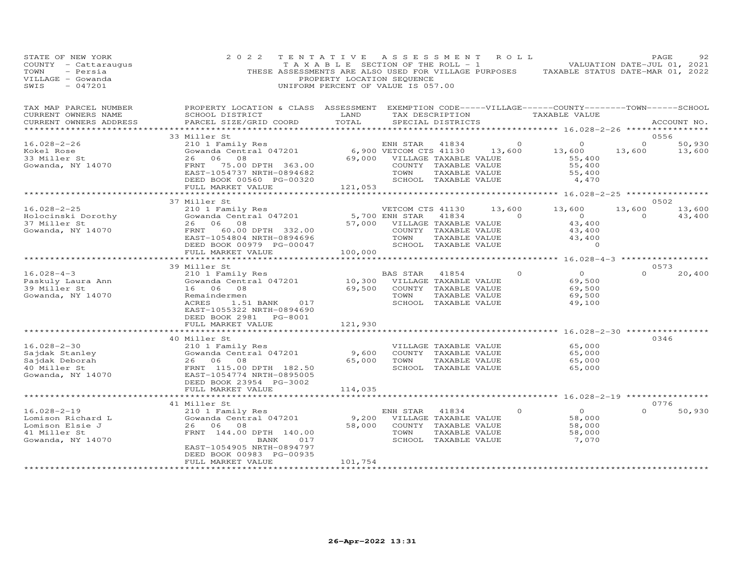| STATE OF NEW YORK<br>COUNTY - Cattaraugus<br>TOWN<br>- Persia<br>VILLAGE - Gowanda<br>$-047201$<br>SWIS | 2 0 2 2<br>THESE ASSESSMENTS ARE ALSO USED FOR VILLAGE PURPOSES                                                                                 | TENTATIVE<br>T A X A B L E SECTION OF THE ROLL - 1<br>PROPERTY LOCATION SEQUENCE<br>UNIFORM PERCENT OF VALUE IS 057.00 | A S S E S S M E N T    |                                               | ROLL                     | TAXABLE STATUS DATE-MAR 01, 2022       |            | PAGE<br>92<br>VALUATION DATE-JUL 01, 2021 |
|---------------------------------------------------------------------------------------------------------|-------------------------------------------------------------------------------------------------------------------------------------------------|------------------------------------------------------------------------------------------------------------------------|------------------------|-----------------------------------------------|--------------------------|----------------------------------------|------------|-------------------------------------------|
| TAX MAP PARCEL NUMBER<br>CURRENT OWNERS NAME<br>CURRENT OWNERS ADDRESS<br>**********************        | PROPERTY LOCATION & CLASS ASSESSMENT EXEMPTION CODE-----VILLAGE------COUNTY-------TOWN------SCHOOL<br>SCHOOL DISTRICT<br>PARCEL SIZE/GRID COORD | LAND<br>TOTAL                                                                                                          |                        | TAX DESCRIPTION<br>SPECIAL DISTRICTS          |                          | TAXABLE VALUE                          |            | ACCOUNT NO.                               |
|                                                                                                         | 33 Miller St                                                                                                                                    |                                                                                                                        |                        |                                               |                          |                                        |            | 0556                                      |
| $16.028 - 2 - 26$                                                                                       | 210 1 Family Res                                                                                                                                |                                                                                                                        | ENH STAR               | 41834                                         | $\overline{\phantom{0}}$ | $\circ$                                | $\Omega$   | 50,930                                    |
| Kokel Rose                                                                                              | Gowanda Central 047201                                                                                                                          |                                                                                                                        | 6,900 VETCOM CTS 41130 |                                               | 13,600                   | 13,600                                 | 13,600     | 13,600                                    |
| 33 Miller St                                                                                            | 26<br>06<br>08                                                                                                                                  | 69,000                                                                                                                 |                        | VILLAGE TAXABLE VALUE                         |                          | 55,400                                 |            |                                           |
| Gowanda, NY 14070                                                                                       | FRNT<br>75.00 DPTH 363.00                                                                                                                       |                                                                                                                        |                        | COUNTY TAXABLE VALUE                          |                          | 55,400                                 |            |                                           |
|                                                                                                         | EAST-1054737 NRTH-0894682                                                                                                                       |                                                                                                                        | TOWN                   | TAXABLE VALUE                                 |                          | 55,400                                 |            |                                           |
|                                                                                                         | DEED BOOK 00560 PG-00320<br>FULL MARKET VALUE                                                                                                   | 121,053                                                                                                                |                        | SCHOOL TAXABLE VALUE                          |                          | 4,470                                  |            |                                           |
|                                                                                                         | **********************                                                                                                                          |                                                                                                                        |                        |                                               |                          |                                        |            |                                           |
|                                                                                                         | 37 Miller St                                                                                                                                    |                                                                                                                        |                        |                                               |                          |                                        |            | 0502                                      |
| $16.028 - 2 - 25$                                                                                       | 210 1 Family Res                                                                                                                                |                                                                                                                        | VETCOM CTS 41130       |                                               | 13,600                   | 13,600                                 | 13,600     | 13,600                                    |
| Holocinski Dorothy                                                                                      | Gowanda Central 047201                                                                                                                          |                                                                                                                        | 5,700 ENH STAR         | 41834                                         | $\Omega$                 | $\overline{O}$                         | $\Omega$   | 43,400                                    |
| 37 Miller St                                                                                            | 06<br>08<br>26                                                                                                                                  | 57,000                                                                                                                 |                        | VILLAGE TAXABLE VALUE                         |                          | 43,400                                 |            |                                           |
| Gowanda, NY 14070                                                                                       | FRNT<br>60.00 DPTH 332.00                                                                                                                       |                                                                                                                        |                        | COUNTY TAXABLE VALUE                          |                          | 43,400                                 |            |                                           |
|                                                                                                         | EAST-1054804 NRTH-0894696<br>DEED BOOK 00979 PG-00047                                                                                           |                                                                                                                        | TOWN                   | TAXABLE VALUE<br>SCHOOL TAXABLE VALUE         |                          | 43,400<br>$\circ$                      |            |                                           |
|                                                                                                         | FULL MARKET VALUE                                                                                                                               | 100,000                                                                                                                |                        |                                               |                          |                                        |            |                                           |
|                                                                                                         |                                                                                                                                                 |                                                                                                                        |                        |                                               |                          | ***** 16.028-4-3 *************         |            |                                           |
|                                                                                                         | 39 Miller St                                                                                                                                    |                                                                                                                        |                        |                                               |                          |                                        |            | 0573                                      |
| $16.028 - 4 - 3$                                                                                        | 210 1 Family Res                                                                                                                                |                                                                                                                        | BAS STAR               | 41854                                         | 0                        | $\overline{0}$                         | $\Omega$   | 20,400                                    |
| Paskuly Laura Ann                                                                                       | Gowanda Central 047201                                                                                                                          | 10,300                                                                                                                 |                        | VILLAGE TAXABLE VALUE                         |                          | 69,500                                 |            |                                           |
| 39 Miller St                                                                                            | 16 06<br>08                                                                                                                                     | 69,500                                                                                                                 | TOWN                   | COUNTY TAXABLE VALUE                          |                          | 69,500                                 |            |                                           |
| Gowanda, NY 14070                                                                                       | Remaindermen<br>ACRES<br>1.51 BANK<br>017                                                                                                       |                                                                                                                        |                        | TAXABLE VALUE<br>SCHOOL TAXABLE VALUE         |                          | 69,500<br>49,100                       |            |                                           |
|                                                                                                         | EAST-1055322 NRTH-0894690                                                                                                                       |                                                                                                                        |                        |                                               |                          |                                        |            |                                           |
|                                                                                                         | PG-8001<br>DEED BOOK 2981                                                                                                                       |                                                                                                                        |                        |                                               |                          |                                        |            |                                           |
|                                                                                                         | FULL MARKET VALUE                                                                                                                               | 121,930                                                                                                                |                        |                                               |                          |                                        |            |                                           |
|                                                                                                         | *********************                                                                                                                           |                                                                                                                        |                        |                                               |                          | ********************* 16.028-2-30 **** |            |                                           |
|                                                                                                         | 40 Miller St                                                                                                                                    |                                                                                                                        |                        |                                               |                          |                                        |            | 0346                                      |
| $16.028 - 2 - 30$<br>Sajdak Stanley                                                                     | 210 1 Family Res<br>Gowanda Central 047201                                                                                                      | 9,600                                                                                                                  |                        | VILLAGE TAXABLE VALUE<br>COUNTY TAXABLE VALUE |                          | 65,000<br>65,000                       |            |                                           |
| Sajdak Deborah                                                                                          | 26 06<br>08                                                                                                                                     | 65,000                                                                                                                 | TOWN                   | TAXABLE VALUE                                 |                          | 65,000                                 |            |                                           |
| 40 Miller St                                                                                            | FRNT 115.00 DPTH 182.50                                                                                                                         |                                                                                                                        |                        | SCHOOL TAXABLE VALUE                          |                          | 65,000                                 |            |                                           |
| Gowanda, NY 14070                                                                                       | EAST-1054774 NRTH-0895005                                                                                                                       |                                                                                                                        |                        |                                               |                          |                                        |            |                                           |
|                                                                                                         | DEED BOOK 23954 PG-3002                                                                                                                         |                                                                                                                        |                        |                                               |                          |                                        |            |                                           |
|                                                                                                         | FULL MARKET VALUE                                                                                                                               | 114,035                                                                                                                |                        |                                               |                          |                                        | ********** |                                           |
|                                                                                                         | 41 Miller St                                                                                                                                    |                                                                                                                        |                        |                                               |                          | **** 16.028-2-19                       |            | 0776                                      |
| $16.028 - 2 - 19$                                                                                       | 210 1 Family Res                                                                                                                                |                                                                                                                        | ENH STAR               | 41834                                         | $\circ$                  | $\Omega$                               | $\Omega$   | 50,930                                    |
| Lomison Richard L                                                                                       | Gowanda Central 047201                                                                                                                          | 9,200                                                                                                                  |                        | VILLAGE TAXABLE VALUE                         |                          | 58,000                                 |            |                                           |
| Lomison Elsie J                                                                                         | 26 06 08                                                                                                                                        | 58,000                                                                                                                 |                        | COUNTY TAXABLE VALUE                          |                          | 58,000                                 |            |                                           |
| 41 Miller St                                                                                            | FRNT 144.00 DPTH 140.00                                                                                                                         |                                                                                                                        | TOWN                   | TAXABLE VALUE                                 |                          | 58,000                                 |            |                                           |
| Gowanda, NY 14070                                                                                       | BANK<br>017                                                                                                                                     |                                                                                                                        |                        | SCHOOL TAXABLE VALUE                          |                          | 7,070                                  |            |                                           |
|                                                                                                         | EAST-1054905 NRTH-0894797                                                                                                                       |                                                                                                                        |                        |                                               |                          |                                        |            |                                           |
|                                                                                                         | DEED BOOK 00983 PG-00935                                                                                                                        | 101,754                                                                                                                |                        |                                               |                          |                                        |            |                                           |
|                                                                                                         | FULL MARKET VALUE                                                                                                                               |                                                                                                                        |                        |                                               |                          |                                        |            |                                           |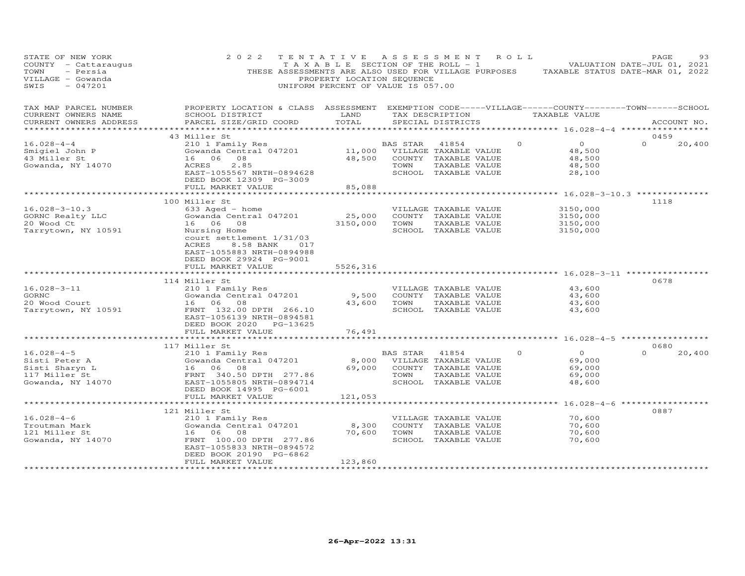| STATE OF NEW YORK<br>COUNTY - Cattaraugus<br>- Persia<br>TOWN<br>VILLAGE - Gowanda<br>$-047201$<br>SWIS | 2 0 2 2                                                                                                                                                                                                                                                                                       | TENTATIVE<br>T A X A B L E SECTION OF THE ROLL - 1<br>PROPERTY LOCATION SEQUENCE<br>UNIFORM PERCENT OF VALUE IS 057.00 |                         | ASSESSMENT ROLL                                                                                                 |          |                                                                                                                            | PAGE<br>93<br>VALUATION DATE-JUL 01, 2021<br>THESE ASSESSMENTS ARE ALSO USED FOR VILLAGE PURPOSES TAXABLE STATUS DATE-MAR 01, 2022 |
|---------------------------------------------------------------------------------------------------------|-----------------------------------------------------------------------------------------------------------------------------------------------------------------------------------------------------------------------------------------------------------------------------------------------|------------------------------------------------------------------------------------------------------------------------|-------------------------|-----------------------------------------------------------------------------------------------------------------|----------|----------------------------------------------------------------------------------------------------------------------------|------------------------------------------------------------------------------------------------------------------------------------|
| TAX MAP PARCEL NUMBER<br>CURRENT OWNERS NAME<br>CURRENT OWNERS ADDRESS                                  | PROPERTY LOCATION & CLASS ASSESSMENT EXEMPTION CODE-----VILLAGE------COUNTY-------TOWN------SCHOOL<br>SCHOOL DISTRICT<br>PARCEL SIZE/GRID COORD                                                                                                                                               | LAND<br>TOTAL<br>**************                                                                                        |                         | TAX DESCRIPTION<br>SPECIAL DISTRICTS                                                                            |          | TAXABLE VALUE<br>*********** 16.028-4-4 ****************                                                                   | ACCOUNT NO.                                                                                                                        |
|                                                                                                         | 43 Miller St                                                                                                                                                                                                                                                                                  |                                                                                                                        |                         |                                                                                                                 |          |                                                                                                                            | 0459                                                                                                                               |
| $16.028 - 4 - 4$<br>Smigiel John P<br>43 Miller St<br>Gowanda, NY 14070                                 | 210 1 Family Res<br>Gowanda Central 047201<br>08<br>16 06<br>ACRES<br>2.85<br>EAST-1055567 NRTH-0894628<br>DEED BOOK 12309 PG-3009                                                                                                                                                            | 11,000<br>48,500                                                                                                       | BAS STAR<br>TOWN        | 41854<br>VILLAGE TAXABLE VALUE<br>COUNTY TAXABLE VALUE<br>TAXABLE VALUE<br>SCHOOL TAXABLE VALUE                 | $\Omega$ | $\overline{0}$<br>48,500<br>48,500<br>48,500<br>28,100                                                                     | $\Omega$<br>20,400                                                                                                                 |
|                                                                                                         | FULL MARKET VALUE                                                                                                                                                                                                                                                                             | 85,088                                                                                                                 |                         |                                                                                                                 |          |                                                                                                                            |                                                                                                                                    |
| $16.028 - 3 - 10.3$<br>GORNC Realty LLC<br>20 Wood Ct<br>Tarrytown, NY 10591<br>$16.028 - 3 - 11$       | ************************<br>100 Miller St<br>633 Aged - home<br>Gowanda Central 047201<br>16 06 08<br>Nursing Home<br>court settlement 1/31/03<br>ACRES<br>8.58 BANK<br>017<br>EAST-1055883 NRTH-0894988<br>DEED BOOK 29924 PG-9001<br>FULL MARKET VALUE<br>114 Miller St<br>210 1 Family Res | 25,000<br>3150,000<br>5526,316                                                                                         | TOWN                    | VILLAGE TAXABLE VALUE<br>COUNTY TAXABLE VALUE<br>TAXABLE VALUE<br>SCHOOL TAXABLE VALUE<br>VILLAGE TAXABLE VALUE |          | 3150,000<br>3150,000<br>3150,000<br>3150,000<br>************************************* 16.028-3-11 **************<br>43,600 | ******************************** 16.028-3-10.3 **************<br>1118<br>0678                                                      |
| <b>GORNC</b><br>20 Wood Court<br>Tarrytown, NY 10591                                                    | Gowanda Central 047201<br>16 06<br>08<br>FRNT 132.00 DPTH 266.10<br>EAST-1056139 NRTH-0894581<br>DEED BOOK 2020 PG-13625<br>FULL MARKET VALUE                                                                                                                                                 | 9,500<br>43,600<br>76,491                                                                                              | TOWN                    | COUNTY TAXABLE VALUE<br>TAXABLE VALUE<br>SCHOOL TAXABLE VALUE                                                   |          | 43,600<br>43,600<br>43,600                                                                                                 |                                                                                                                                    |
|                                                                                                         | 117 Miller St                                                                                                                                                                                                                                                                                 |                                                                                                                        |                         |                                                                                                                 |          |                                                                                                                            | 0680                                                                                                                               |
| $16.028 - 4 - 5$<br>Sisti Peter A<br>Sisti Sharyn L<br>117 Miller St<br>Gowanda, NY 14070               | 210 1 Family Res<br>Gowanda Central 047201<br>16 06 08<br>FRNT 340.50 DPTH 277.86<br>EAST-1055805 NRTH-0894714<br>DEED BOOK 14995 PG-6001                                                                                                                                                     | 8,000<br>69,000                                                                                                        | <b>BAS STAR</b><br>TOWN | 41854<br>VILLAGE TAXABLE VALUE<br>COUNTY TAXABLE VALUE<br>TAXABLE VALUE<br>SCHOOL TAXABLE VALUE                 | $\Omega$ | $\Omega$<br>69,000<br>69,000<br>69,000<br>48,600                                                                           | $\Omega$<br>20,400                                                                                                                 |
|                                                                                                         | FULL MARKET VALUE                                                                                                                                                                                                                                                                             | 121,053                                                                                                                |                         |                                                                                                                 |          |                                                                                                                            |                                                                                                                                    |
| $16.028 - 4 - 6$<br>Troutman Mark<br>121 Miller St<br>Gowanda, NY 14070                                 | **********************<br>121 Miller St<br>210 1 Family Res<br>Gowanda Central 047201<br>06<br>08<br>16<br>FRNT 100.00 DPTH 277.86<br>EAST-1055833 NRTH-0894572<br>DEED BOOK 20190 PG-6862                                                                                                    | *********<br>8,300<br>70,600                                                                                           | TOWN                    | VILLAGE TAXABLE VALUE<br>COUNTY TAXABLE VALUE<br>TAXABLE VALUE<br>SCHOOL TAXABLE VALUE                          |          | 70,600<br>70,600<br>70,600<br>70,600                                                                                       | ********** 16.028-4-6 ******************<br>0887                                                                                   |
|                                                                                                         | FULL MARKET VALUE<br>********************                                                                                                                                                                                                                                                     | 123,860<br>**********                                                                                                  |                         |                                                                                                                 |          |                                                                                                                            |                                                                                                                                    |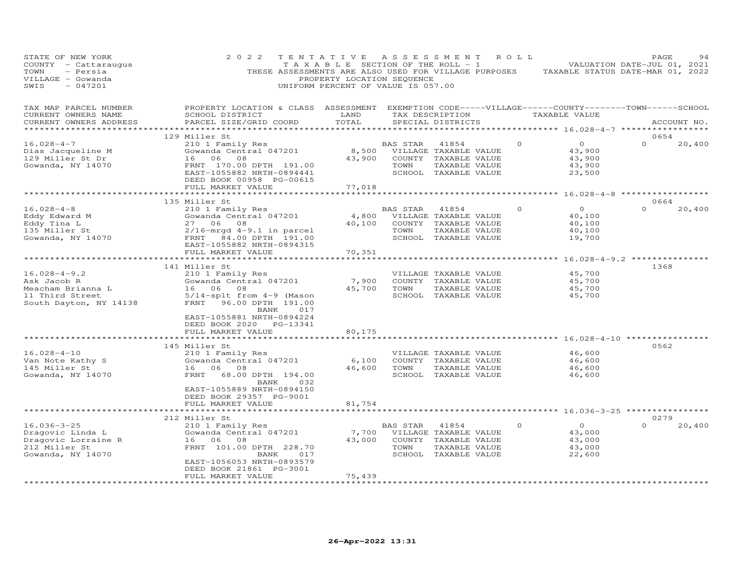| STATE OF NEW YORK<br>COUNTY - Cattaraugus<br>TOWN<br>- Persia<br>VILLAGE - Gowanda<br>SWIS<br>$-047201$ | 2 0 2 2<br>THESE ASSESSMENTS ARE ALSO USED FOR VILLAGE PURPOSES                                                                                                                                | TENTATIVE<br>TAXABLE SECTION OF THE ROLL - 1<br>PROPERTY LOCATION SEQUENCE<br>UNIFORM PERCENT OF VALUE IS 057.00 | ASSESSMENT       |                                                                                                 | ROLL |          |                                                 | PAGE<br>VALUATION DATE-JUL 01, 2021<br>TAXABLE STATUS DATE-MAR 01, 2022 | 94          |
|---------------------------------------------------------------------------------------------------------|------------------------------------------------------------------------------------------------------------------------------------------------------------------------------------------------|------------------------------------------------------------------------------------------------------------------|------------------|-------------------------------------------------------------------------------------------------|------|----------|-------------------------------------------------|-------------------------------------------------------------------------|-------------|
| TAX MAP PARCEL NUMBER<br>CURRENT OWNERS NAME<br>CURRENT OWNERS ADDRESS                                  | PROPERTY LOCATION & CLASS ASSESSMENT EXEMPTION CODE-----VILLAGE------COUNTY-------TOWN------SCHOOL<br>SCHOOL DISTRICT<br>PARCEL SIZE/GRID COORD                                                | LAND<br>TOTAL                                                                                                    |                  | TAX DESCRIPTION<br>SPECIAL DISTRICTS                                                            |      |          | TAXABLE VALUE                                   |                                                                         | ACCOUNT NO. |
|                                                                                                         |                                                                                                                                                                                                |                                                                                                                  |                  |                                                                                                 |      |          |                                                 |                                                                         |             |
| $16.028 - 4 - 7$<br>Dias Jacqueline M<br>129 Miller St Dr<br>Gowanda, NY 14070                          | 129 Miller St<br>210 1 Family Res<br>Gowanda Central 047201<br>16 06<br>08<br>FRNT 170.00 DPTH 191.00<br>EAST-1055882 NRTH-0894441<br>DEED BOOK 00958 PG-00615                                 | 8,500<br>43,900                                                                                                  | BAS STAR<br>TOWN | 41854<br>VILLAGE TAXABLE VALUE<br>COUNTY TAXABLE VALUE<br>TAXABLE VALUE<br>SCHOOL TAXABLE VALUE |      | $\circ$  | $\circ$<br>43,900<br>43,900<br>43,900<br>23,500 | 0654<br>$\Omega$                                                        | 20,400      |
|                                                                                                         | FULL MARKET VALUE<br>***********************                                                                                                                                                   | 77,018                                                                                                           |                  |                                                                                                 |      |          |                                                 |                                                                         |             |
|                                                                                                         | 135 Miller St                                                                                                                                                                                  |                                                                                                                  |                  |                                                                                                 |      |          |                                                 | 0664                                                                    |             |
| $16.028 - 4 - 8$<br>Eddy Edward M<br>Eddy Tina L<br>135 Miller St<br>Gowanda, NY 14070                  | 210 1 Family Res<br>Gowanda Central 047201<br>27 06 08<br>$2/16$ -mrgd $4-9.1$ in parcel<br>FRNT 84.00 DPTH 191.00<br>EAST-1055882 NRTH-0894315<br>FULL MARKET VALUE                           | 4,800<br>40,100<br>70,351                                                                                        | BAS STAR<br>TOWN | 41854<br>VILLAGE TAXABLE VALUE<br>COUNTY TAXABLE VALUE<br>TAXABLE VALUE<br>SCHOOL TAXABLE VALUE |      | $\Omega$ | $\circ$<br>40,100<br>40,100<br>40,100<br>19,700 | $\Omega$                                                                | 20,400      |
|                                                                                                         |                                                                                                                                                                                                |                                                                                                                  |                  |                                                                                                 |      |          |                                                 | ********************* 16.028-4-9.2 ****************                     |             |
|                                                                                                         | 141 Miller St                                                                                                                                                                                  |                                                                                                                  |                  |                                                                                                 |      |          |                                                 | 1368                                                                    |             |
| $16.028 - 4 - 9.2$<br>Ask Jacob R<br>Meacham Brianna L<br>11 Third Street<br>South Dayton, NY 14138     | 210 1 Family Res<br>Gowanda Central 047201<br>16 06 08<br>5/14-splt from 4-9 (Mason<br>FRNT 96.00 DPTH 191.00<br>BANK<br>017                                                                   | 7,900<br>45,700                                                                                                  | TOWN             | VILLAGE TAXABLE VALUE<br>COUNTY TAXABLE VALUE<br>TAXABLE VALUE<br>SCHOOL TAXABLE VALUE          |      |          | 45,700<br>45,700<br>45,700<br>45,700            |                                                                         |             |
|                                                                                                         | EAST-1055881 NRTH-0894224<br>DEED BOOK 2020 PG-13341<br>FULL MARKET VALUE                                                                                                                      | 80,175                                                                                                           |                  |                                                                                                 |      |          |                                                 |                                                                         |             |
|                                                                                                         | 145 Miller St                                                                                                                                                                                  |                                                                                                                  |                  |                                                                                                 |      |          |                                                 | $16.028 - 4 - 10$ **********<br>0562                                    |             |
| $16.028 - 4 - 10$<br>Van Note Kathy S<br>145 Miller St<br>Gowanda, NY 14070                             | 210 1 Family Res<br>Gowanda Central 047201<br>16 06 08<br>68.00 DPTH 194.00<br>FRNT<br>BANK<br>032<br>EAST-1055889 NRTH-0894150                                                                | 6,100<br>46,600                                                                                                  | TOWN             | VILLAGE TAXABLE VALUE<br>COUNTY TAXABLE VALUE<br>TAXABLE VALUE<br>SCHOOL TAXABLE VALUE          |      |          | 46,600<br>46,600<br>46,600<br>46,600            |                                                                         |             |
|                                                                                                         | DEED BOOK 29357 PG-9001                                                                                                                                                                        |                                                                                                                  |                  |                                                                                                 |      |          |                                                 |                                                                         |             |
|                                                                                                         | FULL MARKET VALUE                                                                                                                                                                              | 81,754                                                                                                           |                  |                                                                                                 |      |          |                                                 |                                                                         |             |
|                                                                                                         | ************                                                                                                                                                                                   |                                                                                                                  |                  |                                                                                                 |      |          |                                                 | ******** 16.036-3-25 **********<br>0279                                 |             |
| $16.036 - 3 - 25$<br>Dragovic Linda L<br>Dragovic Lorraine R<br>212 Miller St<br>Gowanda, NY 14070      | 212 Miller St<br>210 1 Family Res<br>Gowanda Central 047201<br>16 06 08<br>FRNT 101.00 DPTH 228.70<br>017<br>BANK<br>EAST-1056053 NRTH-0893579<br>DEED BOOK 21861 PG-3001<br>FULL MARKET VALUE | 7,700<br>43,000<br>75,439                                                                                        | BAS STAR<br>TOWN | 41854<br>VILLAGE TAXABLE VALUE<br>COUNTY TAXABLE VALUE<br>TAXABLE VALUE<br>SCHOOL TAXABLE VALUE |      | $\Omega$ | $\circ$<br>43,000<br>43,000<br>43,000<br>22,600 | $\Omega$                                                                | 20,400      |
|                                                                                                         | ********************                                                                                                                                                                           | ******************                                                                                               |                  |                                                                                                 |      |          |                                                 |                                                                         |             |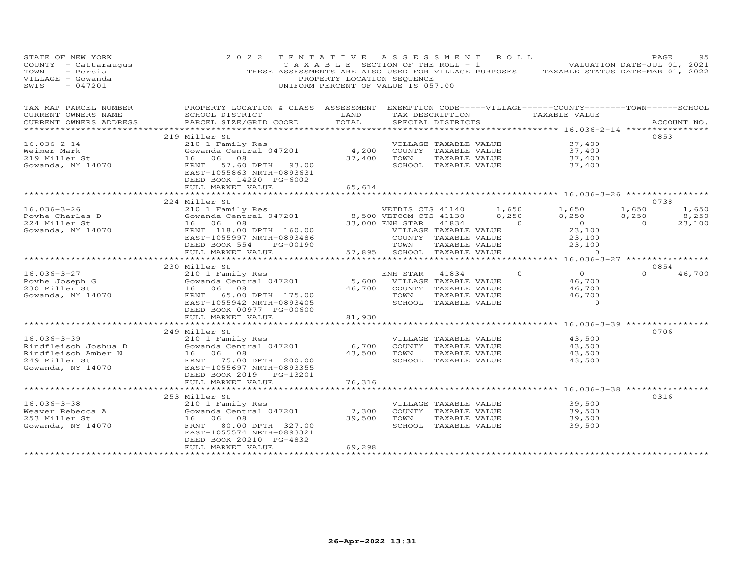| STATE OF NEW YORK<br>COUNTY - Cattaraugus<br>- Persia<br>TOWN<br>VILLAGE - Gowanda<br>$-047201$<br>SWIS                      | 2 0 2 2                                               | TENTATIVE ASSESSMENT ROLL<br>PROPERTY LOCATION SEQUENCE<br>UNIFORM PERCENT OF VALUE IS 057.00 |                                     |               |                | TAXABLE SECTION OF THE ROLL - 1 VALUATION DATE-JUL 01, 2021<br>THESE ASSESSMENTS ARE ALSO USED FOR VILLAGE PURPOSES TAXABLE STATUS DATE-MAR 01, 2022 | PAGE           | 95          |
|------------------------------------------------------------------------------------------------------------------------------|-------------------------------------------------------|-----------------------------------------------------------------------------------------------|-------------------------------------|---------------|----------------|------------------------------------------------------------------------------------------------------------------------------------------------------|----------------|-------------|
| TAX MAP PARCEL NUMBER THE PROPERTY LOCATION & CLASS ASSESSMENT EXEMPTION CODE-----VILLAGE------COUNTY-------TOWN------SCHOOL |                                                       |                                                                                               |                                     |               |                |                                                                                                                                                      |                |             |
| CURRENT OWNERS NAME<br>CURRENT OWNERS ADDRESS                                                                                | SCHOOL DISTRICT<br>PARCEL SIZE/GRID COORD             | <b>EXAMPLE TO A LAND</b><br>TOTAL                                                             | SPECIAL DISTRICTS                   |               |                | TAX DESCRIPTION TAXABLE VALUE                                                                                                                        |                | ACCOUNT NO. |
|                                                                                                                              |                                                       |                                                                                               |                                     |               |                |                                                                                                                                                      |                |             |
|                                                                                                                              | 219 Miller St                                         |                                                                                               |                                     |               |                |                                                                                                                                                      | 0853           |             |
| $16.036 - 2 - 14$                                                                                                            | 210 1 Family Res                                      |                                                                                               | VILLAGE TAXABLE VALUE               |               |                | 37,400                                                                                                                                               |                |             |
| Weimer Mark                                                                                                                  | Cowanda Central 047201                                | 4,200                                                                                         | COUNTY TAXABLE VALUE<br>37,400 TOWN |               |                | 37,400                                                                                                                                               |                |             |
| 219 Miller St<br>Gowanda, NY 14070                                                                                           | 16 06 08<br>FRNT 57.60 DPTH 93.00                     |                                                                                               | SCHOOL TAXABLE VALUE                | TAXABLE VALUE |                | 37,400<br>37,400                                                                                                                                     |                |             |
|                                                                                                                              | EAST-1055863 NRTH-0893631<br>DEED BOOK 14220 PG-6002  |                                                                                               |                                     |               |                |                                                                                                                                                      |                |             |
|                                                                                                                              | FULL MARKET VALUE                                     | 65,614                                                                                        |                                     |               |                |                                                                                                                                                      |                |             |
|                                                                                                                              |                                                       |                                                                                               |                                     |               |                |                                                                                                                                                      | 0738           |             |
| $16.036 - 3 - 26$                                                                                                            | 224 Miller St                                         |                                                                                               | VETDIS CTS 41140 1,650              |               |                | 1,650                                                                                                                                                | 1,650          | 1,650       |
|                                                                                                                              |                                                       |                                                                                               |                                     |               | 8,250          | 8,250                                                                                                                                                | 8,250          | 8,250       |
| Povhe Charles D<br>224 Miller St                                                                                             | 16 06 08                                              |                                                                                               |                                     |               | $\overline{a}$ | $\overline{0}$                                                                                                                                       | $\overline{0}$ | 23,100      |
| Gowanda, NY 14070                                                                                                            | FRNT 118.00 DPTH 160.00                               |                                                                                               | VILLAGE TAXABLE VALUE               |               |                | 23,100                                                                                                                                               |                |             |
|                                                                                                                              | EAST-1055997 NRTH-0893486                             |                                                                                               | COUNTY TAXABLE VALUE                |               |                |                                                                                                                                                      |                |             |
|                                                                                                                              | PG-00190<br>DEED BOOK 554                             | COUN'.<br>TOWN<br>57,895                                                                      | 57,895 SCHOOL TAXABLE VALUE         | TAXABLE VALUE |                | $23,100$<br>$23,100$<br>0                                                                                                                            |                |             |
|                                                                                                                              | FULL MARKET VALUE<br>*************************        |                                                                                               |                                     |               |                |                                                                                                                                                      |                |             |
|                                                                                                                              | 230 Miller St                                         |                                                                                               |                                     |               |                |                                                                                                                                                      | 0854           |             |
| 16.036-3-27                                                                                                                  | ---<br>210 1 Family Res<br>Gowanda Central 047201     |                                                                                               | ENH STAR                            | 41834         | $\Omega$       | $\overline{0}$                                                                                                                                       | $\Omega$       | 46,700      |
| Povhe Joseph G                                                                                                               |                                                       |                                                                                               | 5,600 VILLAGE TAXABLE VALUE         |               |                | 46,700                                                                                                                                               |                |             |
| 230 Miller St                                                                                                                | 16 06 08                                              | 46,700                                                                                        | COUNTY TAXABLE VALUE                |               |                | 46,700                                                                                                                                               |                |             |
| Gowanda, NY 14070                                                                                                            | FRNT 65.00 DPTH 175.00                                |                                                                                               | TOWN                                | TAXABLE VALUE |                | 46,700                                                                                                                                               |                |             |
|                                                                                                                              | EAST-1055942 NRTH-0893405<br>DEED BOOK 00977 PG-00600 |                                                                                               | SCHOOL TAXABLE VALUE                |               |                | $\overline{0}$                                                                                                                                       |                |             |
|                                                                                                                              | FULL MARKET VALUE                                     | 81,930                                                                                        |                                     |               |                |                                                                                                                                                      |                |             |
|                                                                                                                              | ********************                                  |                                                                                               |                                     |               |                | ************ 16.036-3-39 ************                                                                                                                |                |             |
|                                                                                                                              | 249 Miller St                                         |                                                                                               |                                     |               |                |                                                                                                                                                      | 0706           |             |
| $16.036 - 3 - 39$                                                                                                            | 210 1 Family Res                                      |                                                                                               | VILLAGE TAXABLE VALUE               |               |                | 43,500                                                                                                                                               |                |             |
| Rindfleisch Joshua D                                                                                                         | Gowanda Central 047201                                | 6,700                                                                                         | COUNTY TAXABLE VALUE                |               |                | 43,500                                                                                                                                               |                |             |
| Rindfleisch Amber N                                                                                                          | 16 06 08                                              |                                                                                               | 43,500 TOWN                         | TAXABLE VALUE |                | 43,500                                                                                                                                               |                |             |
| 249 Miller St<br>Gowanda, NY 14070                                                                                           | FRNT 75.00 DPTH 200.00<br>EAST-1055697 NRTH-0893355   |                                                                                               | SCHOOL TAXABLE VALUE                |               |                | 43,500                                                                                                                                               |                |             |
|                                                                                                                              | DEED BOOK 2019 PG-13201                               |                                                                                               |                                     |               |                |                                                                                                                                                      |                |             |
|                                                                                                                              | FULL MARKET VALUE                                     | 76,316                                                                                        |                                     |               |                |                                                                                                                                                      |                |             |
|                                                                                                                              | ***********************                               |                                                                                               |                                     |               |                | ********************* 16.036-3-38 ***********                                                                                                        |                |             |
|                                                                                                                              | 253 Miller St                                         |                                                                                               |                                     |               |                |                                                                                                                                                      | 0316           |             |
| $16.036 - 3 - 38$                                                                                                            | 210 1 Family Res                                      |                                                                                               | VILLAGE TAXABLE VALUE               |               |                | 39,500                                                                                                                                               |                |             |
| Weaver Rebecca A<br>253 Miller St<br>253 Miller St                                                                           | Gowanda Central 047201<br>16 06 08                    | 7,300<br>39,500                                                                               | COUNTY TAXABLE VALUE<br>TOWN        | TAXABLE VALUE |                | 39,500<br>39,500                                                                                                                                     |                |             |
| Gowanda, NY 14070                                                                                                            | FRNT 80.00 DPTH 327.00                                |                                                                                               | SCHOOL TAXABLE VALUE                |               |                | 39,500                                                                                                                                               |                |             |
|                                                                                                                              | EAST-1055574 NRTH-0893321                             |                                                                                               |                                     |               |                |                                                                                                                                                      |                |             |
|                                                                                                                              | DEED BOOK 20210 PG-4832                               |                                                                                               |                                     |               |                |                                                                                                                                                      |                |             |
| ************************                                                                                                     | FULL MARKET VALUE<br>*************************        | 69,298<br>******************                                                                  |                                     |               |                |                                                                                                                                                      |                |             |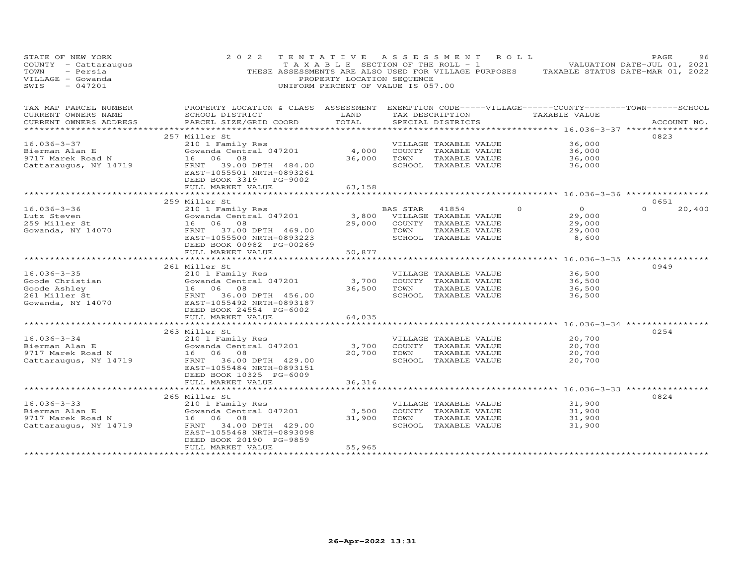| STATE OF NEW YORK<br>COUNTY - Cattaraugus<br>TOWN<br>- Persia<br>VILLAGE - Gowanda<br>$-047201$<br>SWIS | 2 0 2 2<br>THESE ASSESSMENTS ARE ALSO USED FOR VILLAGE PURPOSES                                                        | PROPERTY LOCATION SEQUENCE<br>UNIFORM PERCENT OF VALUE IS 057.00 |          | TENTATIVE ASSESSMENT ROLL<br>T A X A B L E SECTION OF THE ROLL - 1 |         | TAXABLE STATUS DATE-MAR 01, 2022                              | PAGE<br>VALUATION DATE-JUL 01, 2021 | 96     |
|---------------------------------------------------------------------------------------------------------|------------------------------------------------------------------------------------------------------------------------|------------------------------------------------------------------|----------|--------------------------------------------------------------------|---------|---------------------------------------------------------------|-------------------------------------|--------|
| TAX MAP PARCEL NUMBER<br>CURRENT OWNERS NAME                                                            | PROPERTY LOCATION & CLASS ASSESSMENT EXEMPTION CODE-----VILLAGE------COUNTY--------TOWN------SCHOOL<br>SCHOOL DISTRICT | LAND                                                             |          | TAX DESCRIPTION                                                    |         | TAXABLE VALUE                                                 |                                     |        |
| CURRENT OWNERS ADDRESS                                                                                  | PARCEL SIZE/GRID COORD                                                                                                 | TOTAL                                                            |          | SPECIAL DISTRICTS                                                  |         |                                                               | ACCOUNT NO.                         |        |
|                                                                                                         |                                                                                                                        |                                                                  |          |                                                                    |         |                                                               |                                     |        |
| $16.036 - 3 - 37$                                                                                       | 257 Miller St<br>210 1 Family Res                                                                                      |                                                                  |          | VILLAGE TAXABLE VALUE                                              |         | 36,000                                                        | 0823                                |        |
| Bierman Alan E                                                                                          | Gowanda Central 047201                                                                                                 | 4,000                                                            |          | COUNTY TAXABLE VALUE                                               |         | 36,000                                                        |                                     |        |
| 9717 Marek Road N                                                                                       | 16 06 08                                                                                                               | 36,000                                                           | TOWN     | TAXABLE VALUE                                                      |         | 36,000                                                        |                                     |        |
| Cattaraugus, NY 14719                                                                                   | 39.00 DPTH 484.00<br>FRNT                                                                                              |                                                                  |          | SCHOOL TAXABLE VALUE                                               |         | 36,000                                                        |                                     |        |
|                                                                                                         | EAST-1055501 NRTH-0893261<br>DEED BOOK 3319 PG-9002                                                                    |                                                                  |          |                                                                    |         |                                                               |                                     |        |
|                                                                                                         | FULL MARKET VALUE                                                                                                      | 63,158                                                           |          |                                                                    |         |                                                               |                                     |        |
|                                                                                                         | ************************                                                                                               | *******************                                              |          |                                                                    |         | ******************************** 16.036-3-36 **************** | 0651                                |        |
| $16.036 - 3 - 36$                                                                                       | 259 Miller St<br>210 1 Family Res                                                                                      |                                                                  | BAS STAR | 41854                                                              | $\circ$ | $\overline{0}$                                                | $\Omega$                            | 20,400 |
| Lutz Steven                                                                                             | Gowanda Central 047201                                                                                                 | 3,800                                                            |          | VILLAGE TAXABLE VALUE                                              |         | 29,000                                                        |                                     |        |
| 259 Miller St                                                                                           | 16 06 08                                                                                                               | 29,000                                                           |          | COUNTY TAXABLE VALUE                                               |         | 29,000                                                        |                                     |        |
| Gowanda, NY 14070                                                                                       | 37.00 DPTH 469.00<br>FRNT                                                                                              |                                                                  | TOWN     | TAXABLE VALUE                                                      |         | 29,000                                                        |                                     |        |
|                                                                                                         | EAST-1055500 NRTH-0893223                                                                                              |                                                                  |          | SCHOOL TAXABLE VALUE                                               |         | 8,600                                                         |                                     |        |
|                                                                                                         | DEED BOOK 00982 PG-00269                                                                                               |                                                                  |          |                                                                    |         |                                                               |                                     |        |
|                                                                                                         | FULL MARKET VALUE                                                                                                      | 50,877                                                           |          |                                                                    |         |                                                               |                                     |        |
|                                                                                                         | **********************                                                                                                 | *************                                                    |          |                                                                    |         | **************** 16.036-3-35 *****************                |                                     |        |
|                                                                                                         | 261 Miller St                                                                                                          |                                                                  |          |                                                                    |         |                                                               | 0949                                |        |
| $16.036 - 3 - 35$                                                                                       | 210 1 Family Res                                                                                                       |                                                                  |          | VILLAGE TAXABLE VALUE                                              |         | 36,500                                                        |                                     |        |
| Goode Christian                                                                                         | Gowanda Central 047201                                                                                                 | 3,700                                                            |          | COUNTY TAXABLE VALUE                                               |         | 36,500                                                        |                                     |        |
| Goode Ashley<br>261 Miller St                                                                           | 16 06 08<br>36.00 DPTH 456.00<br>FRNT                                                                                  | 36,500                                                           | TOWN     | TAXABLE VALUE<br>SCHOOL TAXABLE VALUE                              |         | 36,500<br>36,500                                              |                                     |        |
| Gowanda, NY 14070                                                                                       | EAST-1055492 NRTH-0893187                                                                                              |                                                                  |          |                                                                    |         |                                                               |                                     |        |
|                                                                                                         | DEED BOOK 24554 PG-6002                                                                                                |                                                                  |          |                                                                    |         |                                                               |                                     |        |
|                                                                                                         | FULL MARKET VALUE                                                                                                      | 64,035                                                           |          |                                                                    |         |                                                               |                                     |        |
|                                                                                                         | **********************                                                                                                 |                                                                  |          |                                                                    |         | **************** 16.036-3-34 ***********                      |                                     |        |
|                                                                                                         | 263 Miller St                                                                                                          |                                                                  |          |                                                                    |         |                                                               | 0254                                |        |
| $16.036 - 3 - 34$                                                                                       | 210 1 Family Res                                                                                                       |                                                                  |          | VILLAGE TAXABLE VALUE                                              |         | 20,700                                                        |                                     |        |
| Bierman Alan E                                                                                          | Gowanda Central 047201                                                                                                 | 3,700                                                            |          | COUNTY TAXABLE VALUE                                               |         | 20,700                                                        |                                     |        |
| 9717 Marek Road N                                                                                       | 16 06 08                                                                                                               | 20,700                                                           | TOWN     | TAXABLE VALUE                                                      |         | 20,700                                                        |                                     |        |
| Cattaraugus, NY 14719                                                                                   | 36.00 DPTH 429.00<br>FRNT                                                                                              |                                                                  |          | SCHOOL TAXABLE VALUE                                               |         | 20,700                                                        |                                     |        |
|                                                                                                         | EAST-1055484 NRTH-0893151                                                                                              |                                                                  |          |                                                                    |         |                                                               |                                     |        |
|                                                                                                         | DEED BOOK 10325 PG-6009                                                                                                |                                                                  |          |                                                                    |         |                                                               |                                     |        |
|                                                                                                         | FULL MARKET VALUE                                                                                                      | 36,316                                                           |          |                                                                    |         | *********** 16.036-3-33 **********                            |                                     |        |
|                                                                                                         | 265 Miller St                                                                                                          |                                                                  |          |                                                                    |         |                                                               | 0824                                |        |
| $16.036 - 3 - 33$                                                                                       | 210 1 Family Res                                                                                                       |                                                                  |          | VILLAGE TAXABLE VALUE                                              |         | 31,900                                                        |                                     |        |
| Bierman Alan E                                                                                          | Gowanda Central 047201                                                                                                 | 3,500                                                            |          | COUNTY TAXABLE VALUE                                               |         | 31,900                                                        |                                     |        |
| 9717 Marek Road N                                                                                       | 16 06 08                                                                                                               | 31,900                                                           | TOWN     | TAXABLE VALUE                                                      |         | 31,900                                                        |                                     |        |
| Cattaraugus, NY 14719                                                                                   | 34.00 DPTH 429.00<br>FRNT                                                                                              |                                                                  |          | SCHOOL TAXABLE VALUE                                               |         | 31,900                                                        |                                     |        |
|                                                                                                         | EAST-1055468 NRTH-0893098                                                                                              |                                                                  |          |                                                                    |         |                                                               |                                     |        |
|                                                                                                         | DEED BOOK 20190 PG-9859                                                                                                |                                                                  |          |                                                                    |         |                                                               |                                     |        |
|                                                                                                         | FULL MARKET VALUE                                                                                                      | 55,965                                                           |          |                                                                    |         |                                                               |                                     |        |
| **********************                                                                                  | ************************                                                                                               | ***************                                                  |          |                                                                    |         |                                                               |                                     |        |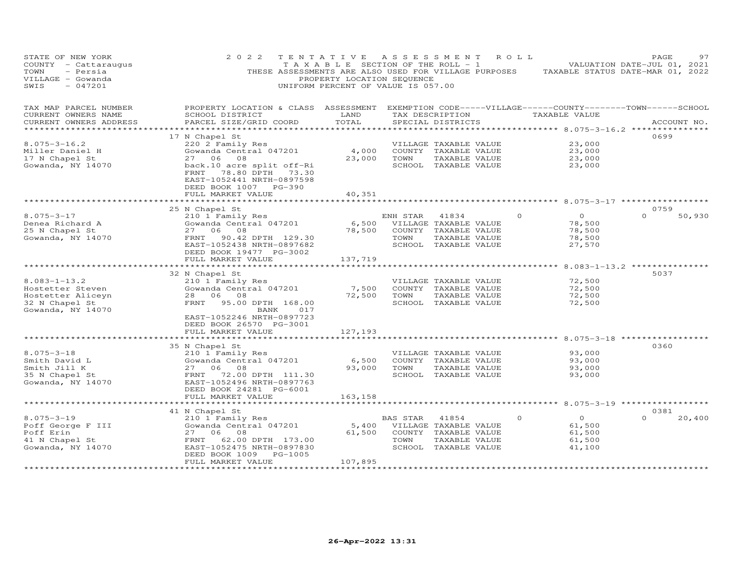| STATE OF NEW YORK<br>COUNTY - Cattaraugus<br>- Persia<br>TOWN<br>VILLAGE - Gowanda<br>$-047201$<br>SWIS | 2 0 2 2                                                                                                                                                                                    | TENTATIVE<br>TAXABLE SECTION OF THE ROLL - 1<br>PROPERTY LOCATION SEQUENCE<br>UNIFORM PERCENT OF VALUE IS 057.00 |                  | A S S E S S M E N T                                                                             | R O L L                                                                     | PAGE<br>97<br>VALUATION DATE-JUL 01, 2021<br>THESE ASSESSMENTS ARE ALSO USED FOR VILLAGE PURPOSES TAXABLE STATUS DATE-MAR 01, 2022 |
|---------------------------------------------------------------------------------------------------------|--------------------------------------------------------------------------------------------------------------------------------------------------------------------------------------------|------------------------------------------------------------------------------------------------------------------|------------------|-------------------------------------------------------------------------------------------------|-----------------------------------------------------------------------------|------------------------------------------------------------------------------------------------------------------------------------|
| TAX MAP PARCEL NUMBER<br>CURRENT OWNERS NAME<br>CURRENT OWNERS ADDRESS                                  | PROPERTY LOCATION & CLASS ASSESSMENT<br>SCHOOL DISTRICT<br>PARCEL SIZE/GRID COORD                                                                                                          | LAND<br>TOTAL                                                                                                    |                  | TAX DESCRIPTION<br>SPECIAL DISTRICTS                                                            | TAXABLE VALUE                                                               | EXEMPTION CODE-----VILLAGE------COUNTY-------TOWN------SCHOOL<br>ACCOUNT NO.                                                       |
| **********************                                                                                  |                                                                                                                                                                                            |                                                                                                                  |                  |                                                                                                 |                                                                             | ************************************** 8.075-3-16.2 ***************                                                                |
| $8.075 - 3 - 16.2$<br>Miller Daniel H<br>17 N Chapel St<br>Gowanda, NY 14070                            | 17 N Chapel St<br>220 2 Family Res<br>Gowanda Central 047201<br>27 06 08<br>back.10 acre split off-Ri<br>FRNT<br>78.80 DPTH 73.30<br>EAST-1052441 NRTH-0897598<br>DEED BOOK 1007<br>PG-390 | 4,000<br>23,000                                                                                                  | TOWN             | VILLAGE TAXABLE VALUE<br>COUNTY TAXABLE VALUE<br>TAXABLE VALUE<br>SCHOOL TAXABLE VALUE          | 23,000<br>23,000<br>23,000<br>23,000                                        | 0699                                                                                                                               |
|                                                                                                         | FULL MARKET VALUE                                                                                                                                                                          | 40,351                                                                                                           |                  |                                                                                                 |                                                                             |                                                                                                                                    |
|                                                                                                         |                                                                                                                                                                                            | **********                                                                                                       |                  |                                                                                                 |                                                                             | ********************* 8.075-3-17 ******************                                                                                |
|                                                                                                         | 25 N Chapel St                                                                                                                                                                             |                                                                                                                  |                  |                                                                                                 |                                                                             | 0759                                                                                                                               |
| $8.075 - 3 - 17$<br>Denea Richard A<br>25 N Chapel St<br>Gowanda, NY 14070                              | 210 1 Family Res<br>Gowanda Central 047201<br>27 06 08<br>90.42 DPTH 129.30<br>FRNT<br>EAST-1052438 NRTH-0897682<br>DEED BOOK 19477 PG-3002                                                | 6,500<br>78,500                                                                                                  | ENH STAR<br>TOWN | 41834<br>VILLAGE TAXABLE VALUE<br>COUNTY TAXABLE VALUE<br>TAXABLE VALUE<br>SCHOOL TAXABLE VALUE | $\overline{O}$<br>$\Omega$<br>78,500<br>78,500<br>78,500<br>27,570          | $\Omega$<br>50,930                                                                                                                 |
|                                                                                                         | FULL MARKET VALUE<br>**********************                                                                                                                                                | 137,719                                                                                                          |                  |                                                                                                 |                                                                             |                                                                                                                                    |
| $8.083 - 1 - 13.2$<br>Hostetter Steven<br>Hostetter Aliceyn<br>32 N Chapel St<br>Gowanda, NY 14070      | 32 N Chapel St<br>210 1 Family Res<br>Gowanda Central 047201<br>28 06 08<br>FRNT<br>95.00 DPTH 168.00<br>BANK<br>017<br>EAST-1052246 NRTH-0897723                                          | 7,500<br>72,500                                                                                                  | TOWN             | VILLAGE TAXABLE VALUE<br>COUNTY TAXABLE VALUE<br>TAXABLE VALUE<br>SCHOOL TAXABLE VALUE          | *********** 8.083-1-13.2 **********<br>72,500<br>72,500<br>72,500<br>72,500 | 5037                                                                                                                               |
|                                                                                                         | DEED BOOK 26570 PG-3001                                                                                                                                                                    |                                                                                                                  |                  |                                                                                                 |                                                                             |                                                                                                                                    |
|                                                                                                         | FULL MARKET VALUE                                                                                                                                                                          | 127,193                                                                                                          |                  |                                                                                                 |                                                                             |                                                                                                                                    |
| $8.075 - 3 - 18$<br>Smith David L<br>Smith Jill K<br>35 N Chapel St<br>Gowanda, NY 14070                | 35 N Chapel St<br>210 1 Family Res<br>Gowanda Central 047201<br>27 06 08<br>FRNT 72.00 DPTH 111.30<br>EAST-1052496 NRTH-0897763                                                            | 6,500<br>93,000                                                                                                  | TOWN             | VILLAGE TAXABLE VALUE<br>COUNTY TAXABLE VALUE<br>TAXABLE VALUE<br>SCHOOL TAXABLE VALUE          | 93,000<br>93,000<br>93,000<br>93,000                                        | 0360                                                                                                                               |
|                                                                                                         | DEED BOOK 24281 PG-6001                                                                                                                                                                    |                                                                                                                  |                  |                                                                                                 |                                                                             |                                                                                                                                    |
|                                                                                                         | FULL MARKET VALUE                                                                                                                                                                          | 163,158<br>*************                                                                                         |                  |                                                                                                 |                                                                             | ********************************* 8.075-3-19 ******************                                                                    |
|                                                                                                         | 41 N Chapel St                                                                                                                                                                             |                                                                                                                  |                  |                                                                                                 |                                                                             | 0381                                                                                                                               |
| $8.075 - 3 - 19$<br>Poff George F III<br>Poff Erin<br>41 N Chapel St<br>Gowanda, NY 14070               | 210 1 Family Res<br>Gowanda Central 047201<br>27 06 08<br>62.00 DPTH 173.00<br>FRNT<br>EAST-1052475 NRTH-0897830<br>DEED BOOK 1009 PG-1005                                                 | 5,400<br>61,500                                                                                                  | BAS STAR<br>TOWN | 41854<br>VILLAGE TAXABLE VALUE<br>COUNTY TAXABLE VALUE<br>TAXABLE VALUE<br>SCHOOL TAXABLE VALUE | $\overline{O}$<br>$\Omega$<br>61,500<br>61,500<br>61,500<br>41,100          | 20,400<br>$\Omega$                                                                                                                 |
|                                                                                                         | FULL MARKET VALUE                                                                                                                                                                          | 107,895<br>*****************                                                                                     |                  |                                                                                                 |                                                                             |                                                                                                                                    |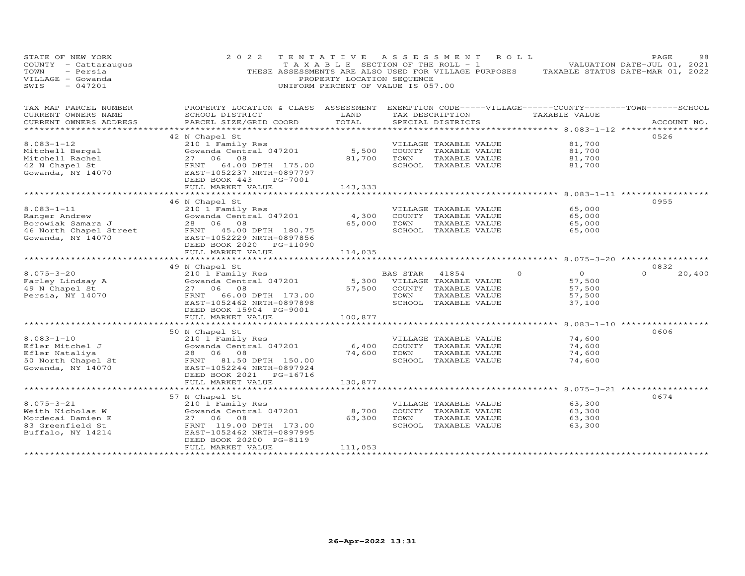| STATE OF NEW YORK<br>COUNTY - Cattaraugus<br>TOWN<br>- Persia<br>VILLAGE - Gowanda<br>SWIS<br>$-047201$ | 2 0 2 2                                                                                                                                            | T A X A B L E SECTION OF THE ROLL - 1<br>PROPERTY LOCATION SEQUENCE<br>UNIFORM PERCENT OF VALUE IS 057.00 |          | TENTATIVE ASSESSMENT ROLL   | THESE ASSESSMENTS ARE ALSO USED FOR VILLAGE PURPOSES TAXABLE STATUS DATE-MAR 01, 2022 | PAGE<br>98<br>VALUATION DATE-JUL 01, 2021 |
|---------------------------------------------------------------------------------------------------------|----------------------------------------------------------------------------------------------------------------------------------------------------|-----------------------------------------------------------------------------------------------------------|----------|-----------------------------|---------------------------------------------------------------------------------------|-------------------------------------------|
| TAX MAP PARCEL NUMBER<br>CURRENT OWNERS NAME                                                            | PROPERTY LOCATION & CLASS ASSESSMENT EXEMPTION CODE-----VILLAGE------COUNTY-------TOWN------SCHOOL<br>SCHOOL DISTRICT                              | LAND                                                                                                      |          |                             | TAX DESCRIPTION TAXABLE VALUE                                                         |                                           |
| CURRENT OWNERS ADDRESS                                                                                  | PARCEL SIZE/GRID COORD                                                                                                                             | TOTAL                                                                                                     |          | SPECIAL DISTRICTS           |                                                                                       | ACCOUNT NO.                               |
|                                                                                                         |                                                                                                                                                    |                                                                                                           |          |                             |                                                                                       |                                           |
| $8.083 - 1 - 12$                                                                                        | 42 N Chapel St<br>210 1 Family Res                                                                                                                 |                                                                                                           |          | VILLAGE TAXABLE VALUE       | 81,700                                                                                | 0526                                      |
|                                                                                                         | Gowanda Central 047201                                                                                                                             | 5,500                                                                                                     |          | COUNTY TAXABLE VALUE        | 81,700                                                                                |                                           |
|                                                                                                         | 27 06 08                                                                                                                                           | 81,700 TOWN                                                                                               |          | TAXABLE VALUE               | 81,700                                                                                |                                           |
|                                                                                                         | FRNT 64.00 DPTH 175.00                                                                                                                             |                                                                                                           |          | SCHOOL TAXABLE VALUE        | 81,700                                                                                |                                           |
| Mitchell Bergal<br>Mitchell Rachel<br>42 N Chapel St<br>Gowanda, NY 14070                               | EAST-1052237 NRTH-0897797<br>DEED BOOK 443<br>PG-7001                                                                                              |                                                                                                           |          |                             |                                                                                       |                                           |
|                                                                                                         | FULL MARKET VALUE                                                                                                                                  | 143,333                                                                                                   |          |                             |                                                                                       |                                           |
|                                                                                                         |                                                                                                                                                    |                                                                                                           |          |                             |                                                                                       |                                           |
| $8.083 - 1 - 11$                                                                                        | 46 N Chapel St<br>210 1 Family Res                                                                                                                 |                                                                                                           |          | VILLAGE TAXABLE VALUE       | 65,000                                                                                | 0955                                      |
| Ranger Andrew                                                                                           | Gowanda Central 047201                                                                                                                             | 4,300                                                                                                     |          | COUNTY TAXABLE VALUE        | 65,000                                                                                |                                           |
|                                                                                                         |                                                                                                                                                    | 65,000                                                                                                    | TOWN     | TAXABLE VALUE               | 65,000                                                                                |                                           |
|                                                                                                         | North Changer Account of the Community of the Borowiak Samara J<br>16 North Chapel Street<br>16 North Chapel Street<br>5 EAST-1052229 NRTH-0897856 |                                                                                                           |          | SCHOOL TAXABLE VALUE        | 65,000                                                                                |                                           |
| Gowanda, $NY$ 14070                                                                                     |                                                                                                                                                    |                                                                                                           |          |                             |                                                                                       |                                           |
|                                                                                                         | DEED BOOK 2020 PG-11090                                                                                                                            |                                                                                                           |          |                             |                                                                                       |                                           |
|                                                                                                         | FULL MARKET VALUE                                                                                                                                  | 114,035                                                                                                   |          |                             |                                                                                       |                                           |
|                                                                                                         | 49 N Chapel St                                                                                                                                     |                                                                                                           |          |                             |                                                                                       | 0832                                      |
| $8.075 - 3 - 20$                                                                                        | 210 1 Family Res                                                                                                                                   |                                                                                                           | BAS STAR | 41854                       | $\overline{0}$<br>$\Omega$                                                            | $\Omega$<br>20,400                        |
|                                                                                                         | ZIO I Family Res<br>Gowanda Central 047201                                                                                                         |                                                                                                           |          | 5,300 VILLAGE TAXABLE VALUE | 57,500                                                                                |                                           |
| Farley Lindsay A<br>49 N Chapel St<br>Persia, NY 14070                                                  | 27 06 08                                                                                                                                           | 57,500                                                                                                    |          | COUNTY TAXABLE VALUE        | 57,500                                                                                |                                           |
|                                                                                                         | FRNT 66.00 DPTH 173.00                                                                                                                             |                                                                                                           | TOWN     | TAXABLE VALUE               | 57,500                                                                                |                                           |
|                                                                                                         | EAST-1052462 NRTH-0897898                                                                                                                          |                                                                                                           |          | SCHOOL TAXABLE VALUE        | 37,100                                                                                |                                           |
|                                                                                                         | DEED BOOK 15904 PG-9001                                                                                                                            |                                                                                                           |          |                             |                                                                                       |                                           |
|                                                                                                         | FULL MARKET VALUE                                                                                                                                  | 100,877                                                                                                   |          |                             |                                                                                       |                                           |
|                                                                                                         | 50 N Chapel St                                                                                                                                     |                                                                                                           |          |                             | *********** 8.083-1-10 *************                                                  | 0606                                      |
| $8.083 - 1 - 10$                                                                                        | 210 1 Family Res                                                                                                                                   |                                                                                                           |          | VILLAGE TAXABLE VALUE       | 74,600                                                                                |                                           |
|                                                                                                         | Gowanda Central 047201                                                                                                                             | 6,400                                                                                                     |          | COUNTY TAXABLE VALUE        | 74,600                                                                                |                                           |
|                                                                                                         | 28 06 08                                                                                                                                           | 74,600                                                                                                    | TOWN     | TAXABLE VALUE               | 74,600                                                                                |                                           |
| Efler Mitchel J<br>Efler Nataliya<br>50 North Chapel St                                                 | FRNT 81.50 DPTH 150.00                                                                                                                             |                                                                                                           |          | SCHOOL TAXABLE VALUE        | 74,600                                                                                |                                           |
| Gowanda, NY 14070                                                                                       | EAST-1052244 NRTH-0897924                                                                                                                          |                                                                                                           |          |                             |                                                                                       |                                           |
|                                                                                                         | DEED BOOK 2021 PG-16716                                                                                                                            |                                                                                                           |          |                             |                                                                                       |                                           |
|                                                                                                         | FULL MARKET VALUE                                                                                                                                  | 130,877                                                                                                   |          |                             |                                                                                       |                                           |
|                                                                                                         | 57 N Chapel St                                                                                                                                     |                                                                                                           |          |                             |                                                                                       | 0674                                      |
| $8.075 - 3 - 21$                                                                                        | 210 1 Family Res                                                                                                                                   |                                                                                                           |          | VILLAGE TAXABLE VALUE       | 63,300                                                                                |                                           |
| Weith Nicholas W                                                                                        | Gowanda Central 047201                                                                                                                             | 8,700                                                                                                     |          | COUNTY TAXABLE VALUE        | 63,300                                                                                |                                           |
| Mordecai Damien E                                                                                       | 27 06 08                                                                                                                                           | 63,300                                                                                                    | TOWN     | TAXABLE VALUE               | 63,300                                                                                |                                           |
| 83 Greenfield St                                                                                        | FRNT 119.00 DPTH 173.00                                                                                                                            |                                                                                                           |          | SCHOOL TAXABLE VALUE        | 63,300                                                                                |                                           |
| Buffalo, NY 14214                                                                                       | EAST-1052462 NRTH-0897995                                                                                                                          |                                                                                                           |          |                             |                                                                                       |                                           |
|                                                                                                         | DEED BOOK 20200 PG-8119                                                                                                                            |                                                                                                           |          |                             |                                                                                       |                                           |
|                                                                                                         | FULL MARKET VALUE                                                                                                                                  | 111,053<br>******************                                                                             |          |                             |                                                                                       |                                           |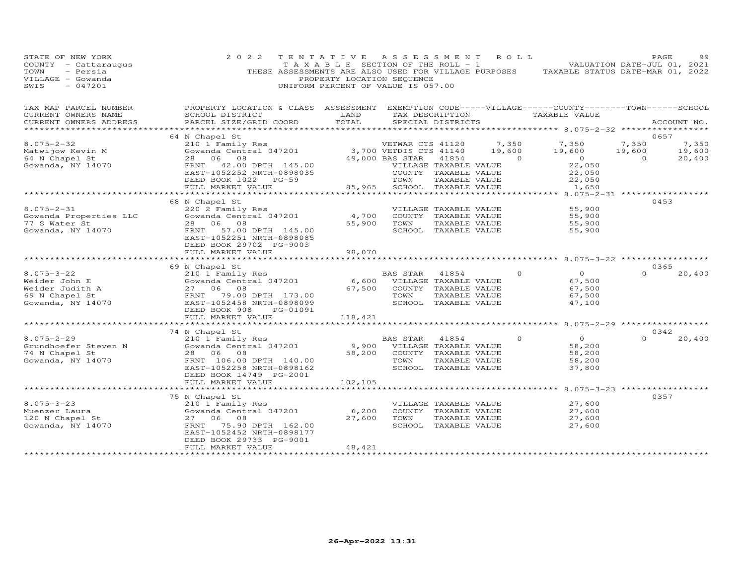| STATE OF NEW YORK<br>COUNTY - Cattaraugus<br>- Persia<br>TOWN<br>VILLAGE - Gowanda<br>$-047201$<br>SWIS | 2 0 2 2                                                                                                               | TENTATIVE ASSESSMENT<br>T A X A B L E SECTION OF THE ROLL - 1<br>PROPERTY LOCATION SEQUENCE<br>UNIFORM PERCENT OF VALUE IS 057.00 |                             |                       | R O L L                | THESE ASSESSMENTS ARE ALSO USED FOR VILLAGE PURPOSES TAXABLE STATUS DATE-MAR 01, 2022 | PAGE<br>VALUATION DATE-JUL 01, 2021 | 99              |
|---------------------------------------------------------------------------------------------------------|-----------------------------------------------------------------------------------------------------------------------|-----------------------------------------------------------------------------------------------------------------------------------|-----------------------------|-----------------------|------------------------|---------------------------------------------------------------------------------------|-------------------------------------|-----------------|
| TAX MAP PARCEL NUMBER<br>CURRENT OWNERS NAME                                                            | PROPERTY LOCATION & CLASS ASSESSMENT EXEMPTION CODE-----VILLAGE------COUNTY-------TOWN------SCHOOL<br>SCHOOL DISTRICT | <b>EXAMPLE SERVICE SERVICE SERVICE SERVICE SERVICE SERVICE SERVICE SERVICE SERVICE SERVICE SERVICE SERVICE SERVICE</b>            |                             |                       |                        | TAX DESCRIPTION TAXABLE VALUE                                                         |                                     |                 |
| CURRENT OWNERS ADDRESS                                                                                  | PARCEL SIZE/GRID COORD                                                                                                | TOTAL                                                                                                                             |                             | SPECIAL DISTRICTS     |                        |                                                                                       |                                     | ACCOUNT NO.     |
|                                                                                                         |                                                                                                                       |                                                                                                                                   |                             |                       |                        |                                                                                       |                                     |                 |
| $8.075 - 2 - 32$                                                                                        | 64 N Chapel St                                                                                                        |                                                                                                                                   |                             |                       |                        |                                                                                       | 0657<br>7,350                       |                 |
| Matwijow Kevin M                                                                                        |                                                                                                                       |                                                                                                                                   |                             |                       | VETWAR CTS 41120 7,350 | 7,350<br>19,600                                                                       | 19,600                              | 7,350<br>19,600 |
| 64 N Chapel St                                                                                          |                                                                                                                       |                                                                                                                                   |                             |                       |                        | $\overline{0}$                                                                        | $\overline{0}$                      | 20,400          |
| Gowanda, NY 14070                                                                                       | FRNT 42.00 DPTH 145.00                                                                                                |                                                                                                                                   | VILLAGE TAXABLE VALUE       |                       |                        |                                                                                       |                                     |                 |
|                                                                                                         | EAST-1052252 NRTH-0898035                                                                                             |                                                                                                                                   |                             | COUNTY TAXABLE VALUE  |                        | $22,050$<br>$22,050$                                                                  |                                     |                 |
|                                                                                                         | DEED BOOK 1022 PG-59                                                                                                  |                                                                                                                                   | TOWN                        | TAXABLE VALUE         |                        | 22,050                                                                                |                                     |                 |
|                                                                                                         | FULL MARKET VALUE                                                                                                     |                                                                                                                                   | 85,965 SCHOOL TAXABLE VALUE |                       |                        | 1,650                                                                                 |                                     |                 |
|                                                                                                         | 68 N Chapel St                                                                                                        |                                                                                                                                   |                             |                       |                        |                                                                                       | 0453                                |                 |
| $8.075 - 2 - 31$                                                                                        | 220 2 Family Res                                                                                                      |                                                                                                                                   |                             | VILLAGE TAXABLE VALUE |                        | 55,900                                                                                |                                     |                 |
| Gowanda Properties LLC                                                                                  | Gowanda Central 047201                                                                                                | 4,700                                                                                                                             |                             |                       | COUNTY TAXABLE VALUE   | 55,900                                                                                |                                     |                 |
| 77 S Water St                                                                                           | 28 06 08                                                                                                              |                                                                                                                                   | 55,900 TOWN                 | TAXABLE VALUE         |                        | 55,900                                                                                |                                     |                 |
| Gowanda, NY 14070                                                                                       | FRNT 57.00 DPTH 145.00                                                                                                |                                                                                                                                   |                             | SCHOOL TAXABLE VALUE  |                        | 55,900                                                                                |                                     |                 |
|                                                                                                         | EAST-1052251 NRTH-0898085                                                                                             |                                                                                                                                   |                             |                       |                        |                                                                                       |                                     |                 |
|                                                                                                         | DEED BOOK 29702 PG-9003                                                                                               |                                                                                                                                   |                             |                       |                        |                                                                                       |                                     |                 |
|                                                                                                         | FULL MARKET VALUE<br>************************                                                                         | 98,070<br>***************                                                                                                         |                             |                       |                        | ****************************** 8.075-3-22 ************                                |                                     |                 |
|                                                                                                         | 69 N Chapel St                                                                                                        |                                                                                                                                   |                             |                       |                        |                                                                                       | 0365                                |                 |
| $8.075 - 3 - 22$                                                                                        | 210 1 Family Res                                                                                                      |                                                                                                                                   | BAS STAR                    | 41854                 | $\Omega$               | $\overline{0}$                                                                        | $\Omega$                            | 20,400          |
| Weider John E                                                                                           | 210 1 Family Res<br>Gowanda Central 047201                                                                            |                                                                                                                                   | 6,600 VILLAGE TAXABLE VALUE |                       |                        | 67,500                                                                                |                                     |                 |
| Weider Judith A                                                                                         | 27 06 08                                                                                                              | 67,500                                                                                                                            |                             | COUNTY TAXABLE VALUE  |                        | 67,500                                                                                |                                     |                 |
| 69 N Chapel St                                                                                          | FRNT 79.00 DPTH 173.00                                                                                                |                                                                                                                                   | TOWN                        | TAXABLE VALUE         |                        | 67,500                                                                                |                                     |                 |
| Gowanda, NY 14070                                                                                       | EAST-1052458 NRTH-0898099                                                                                             |                                                                                                                                   |                             | SCHOOL TAXABLE VALUE  |                        | 47,100                                                                                |                                     |                 |
|                                                                                                         | DEED BOOK 908<br>PG-01091<br>FULL MARKET VALUE                                                                        | 118,421                                                                                                                           |                             |                       |                        |                                                                                       |                                     |                 |
|                                                                                                         | ***********************                                                                                               |                                                                                                                                   |                             |                       |                        | ********* 8.075-2-29 *****************                                                |                                     |                 |
|                                                                                                         | 74 N Chapel St                                                                                                        |                                                                                                                                   |                             |                       |                        |                                                                                       | 0342                                |                 |
| $8.075 - 2 - 29$                                                                                        | 210 1 Family Res                                                                                                      |                                                                                                                                   | BAS STAR                    | 41854                 | $\Omega$               | $\overline{0}$                                                                        | $\Omega$                            | 20,400          |
| Grundhoefer Steven N                                                                                    | Zio I family Res<br>Gowanda Central 047201                                                                            |                                                                                                                                   | 9,900 VILLAGE TAXABLE VALUE |                       |                        | 58,200                                                                                |                                     |                 |
| 74 N Chapel St                                                                                          | 28 06 08                                                                                                              | 58,200                                                                                                                            |                             | COUNTY TAXABLE VALUE  |                        | 58,200                                                                                |                                     |                 |
| Gowanda, NY 14070                                                                                       | FRNT 106.00 DPTH 140.00                                                                                               |                                                                                                                                   | TOWN                        | TAXABLE VALUE         |                        | 58,200                                                                                |                                     |                 |
|                                                                                                         | EAST-1052258 NRTH-0898162<br>DEED BOOK 14749 PG-2001                                                                  |                                                                                                                                   |                             | SCHOOL TAXABLE VALUE  |                        | 37,800                                                                                |                                     |                 |
|                                                                                                         | FULL MARKET VALUE                                                                                                     | 102,105                                                                                                                           |                             |                       |                        |                                                                                       |                                     |                 |
|                                                                                                         |                                                                                                                       |                                                                                                                                   |                             |                       |                        | ********** 8.075-3-23 ************                                                    |                                     |                 |
|                                                                                                         | 75 N Chapel St                                                                                                        |                                                                                                                                   |                             |                       |                        |                                                                                       | 0357                                |                 |
| $8.075 - 3 - 23$                                                                                        | 210 1 Family Res                                                                                                      |                                                                                                                                   |                             | VILLAGE TAXABLE VALUE |                        | 27,600                                                                                |                                     |                 |
| Muenzer Laura                                                                                           | Gowanda Central 047201                                                                                                | 6,200                                                                                                                             |                             | COUNTY TAXABLE VALUE  |                        | 27,600                                                                                |                                     |                 |
| 120 N Chapel St                                                                                         | 27 06 08                                                                                                              | 27,600                                                                                                                            | TOWN                        | TAXABLE VALUE         |                        | 27,600                                                                                |                                     |                 |
| Gowanda, NY 14070                                                                                       | 75.90 DPTH 162.00<br>FRNT<br>EAST-1052452 NRTH-0898177                                                                |                                                                                                                                   |                             | SCHOOL TAXABLE VALUE  |                        | 27,600                                                                                |                                     |                 |
|                                                                                                         | DEED BOOK 29733 PG-9001                                                                                               |                                                                                                                                   |                             |                       |                        |                                                                                       |                                     |                 |
|                                                                                                         | FULL MARKET VALUE                                                                                                     | 48,421                                                                                                                            |                             |                       |                        |                                                                                       |                                     |                 |
|                                                                                                         | ************************                                                                                              | *******************                                                                                                               |                             |                       |                        |                                                                                       |                                     |                 |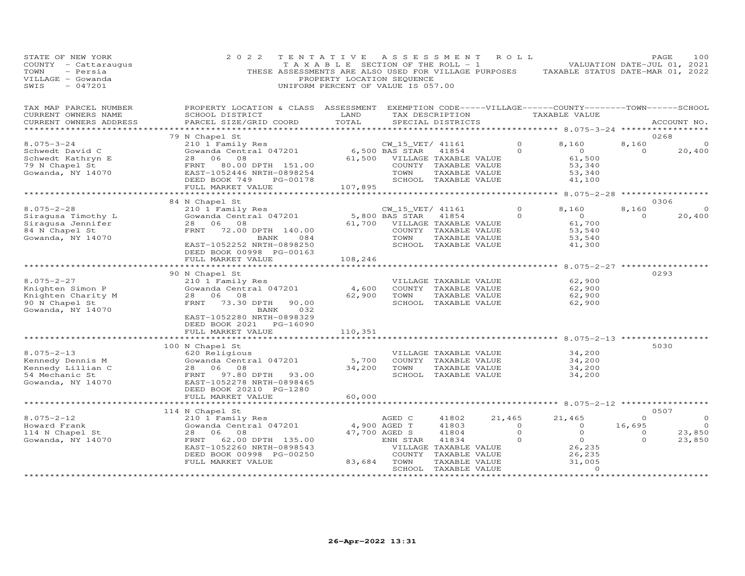| STATE OF NEW YORK<br>COUNTY - Cattaraugus<br>- Persia<br>TOWN<br>VILLAGE - Gowanda<br>$-047201$<br>SWIS | 2 0 2 2<br>THESE ASSESSMENTS ARE ALSO USED FOR VILLAGE PURPOSES                                                                                                                            | TENTATIVE<br>T A X A B L E SECTION OF THE ROLL - 1<br>PROPERTY LOCATION SEQUENCE<br>UNIFORM PERCENT OF VALUE IS 057.00 | ASSESSMENT                                                  |                                                                                                                                 | R O L L                                  | TAXABLE STATUS DATE-MAR 01, 2022                                                          |                                           | PAGE<br>100<br>VALUATION DATE-JUL 01, 2021 |
|---------------------------------------------------------------------------------------------------------|--------------------------------------------------------------------------------------------------------------------------------------------------------------------------------------------|------------------------------------------------------------------------------------------------------------------------|-------------------------------------------------------------|---------------------------------------------------------------------------------------------------------------------------------|------------------------------------------|-------------------------------------------------------------------------------------------|-------------------------------------------|--------------------------------------------|
| TAX MAP PARCEL NUMBER<br>CURRENT OWNERS NAME<br>CURRENT OWNERS ADDRESS                                  | PROPERTY LOCATION & CLASS ASSESSMENT<br>SCHOOL DISTRICT<br>PARCEL SIZE/GRID COORD                                                                                                          | LAND<br>TOTAL                                                                                                          |                                                             | TAX DESCRIPTION<br>SPECIAL DISTRICTS                                                                                            |                                          | EXEMPTION CODE-----VILLAGE------COUNTY--------TOWN------SCHOOL<br>TAXABLE VALUE           |                                           | ACCOUNT NO.                                |
| **********************                                                                                  |                                                                                                                                                                                            |                                                                                                                        |                                                             |                                                                                                                                 |                                          |                                                                                           |                                           |                                            |
| $8.075 - 3 - 24$<br>Schwedt David C<br>Schwedt Kathryn E<br>79 N Chapel St<br>Gowanda, NY 14070         | 79 N Chapel St<br>210 1 Family Res<br>Gowanda Central 047201<br>28<br>06<br>08<br>FRNT<br>80.00 DPTH 151.00<br>EAST-1052446 NRTH-0898254<br>DEED BOOK 749<br>PG-00178<br>FULL MARKET VALUE | 61,500<br>107,895                                                                                                      | CW_15_VET/ 41161<br>6,500 BAS STAR<br>TOWN                  | 41854<br>VILLAGE TAXABLE VALUE<br>COUNTY TAXABLE VALUE<br>TAXABLE VALUE<br>SCHOOL TAXABLE VALUE                                 | $\circ$<br>$\Omega$                      | 8,160<br>$\overline{O}$<br>61,500<br>53,340<br>53,340<br>41,100                           | 8,160<br>$\circ$                          | 0268<br>20,400                             |
|                                                                                                         |                                                                                                                                                                                            |                                                                                                                        |                                                             |                                                                                                                                 |                                          | ******** 8.075-2-28 ************                                                          |                                           |                                            |
| $8.075 - 2 - 28$<br>Siraqusa Timothy L<br>Siraqusa Jennifer<br>84 N Chapel St<br>Gowanda, NY 14070      | 84 N Chapel St<br>210 1 Family Res<br>Gowanda Central 047201<br>28<br>06<br>08<br>FRNT 72.00 DPTH 140.00<br>BANK<br>084<br>EAST-1052252 NRTH-0898250                                       | 61,700                                                                                                                 | CW_15_VET/ 41161<br>5,800 BAS STAR<br>TOWN                  | 41854<br>VILLAGE TAXABLE VALUE<br>COUNTY TAXABLE VALUE<br>TAXABLE VALUE<br>SCHOOL TAXABLE VALUE                                 | $\circ$<br>$\Omega$                      | 8,160<br>$\overline{O}$<br>61,700<br>53,540<br>53,540<br>41,300                           | 8,160<br>$\Omega$                         | 0306<br>$\Omega$<br>20,400                 |
|                                                                                                         | DEED BOOK 00998 PG-00163<br>FULL MARKET VALUE                                                                                                                                              | 108,246                                                                                                                |                                                             |                                                                                                                                 |                                          |                                                                                           |                                           |                                            |
|                                                                                                         | *******************                                                                                                                                                                        | ***********                                                                                                            |                                                             |                                                                                                                                 |                                          | $8.075 - 2 - 27$ *****                                                                    |                                           |                                            |
| $8.075 - 2 - 27$<br>Knighten Simon P<br>Knighten Charity M<br>90 N Chapel St<br>Gowanda, NY 14070       | 90 N Chapel St<br>210 1 Family Res<br>Gowanda Central 047201<br>28 06 08<br>FRNT<br>73.30 DPTH<br>90.00<br>032<br>BANK<br>EAST-1052280 NRTH-0898329<br>DEED BOOK 2021 PG-16090             | 4,600<br>62,900                                                                                                        | TOWN                                                        | VILLAGE TAXABLE VALUE<br>COUNTY TAXABLE VALUE<br>TAXABLE VALUE<br>SCHOOL TAXABLE VALUE                                          |                                          | 62,900<br>62,900<br>62,900<br>62,900                                                      |                                           | 0293                                       |
|                                                                                                         | FULL MARKET VALUE                                                                                                                                                                          | 110,351                                                                                                                |                                                             |                                                                                                                                 |                                          |                                                                                           |                                           |                                            |
| $8.075 - 2 - 13$<br>Kennedy Dennis M<br>Kennedy Lillian C<br>54 Mechanic St<br>Gowanda, NY 14070        | 100 N Chapel St<br>620 Religious<br>Gowanda Central 047201<br>28 06<br>08<br>FRNT<br>97.80 DPTH 93.00<br>EAST-1052278 NRTH-0898465<br>DEED BOOK 20210 PG-1280                              | 5,700<br>34,200                                                                                                        | TOWN                                                        | VILLAGE TAXABLE VALUE<br>COUNTY TAXABLE VALUE<br>TAXABLE VALUE<br>SCHOOL TAXABLE VALUE                                          |                                          | 34,200<br>34,200<br>34,200<br>34,200                                                      |                                           | 5030                                       |
|                                                                                                         | FULL MARKET VALUE<br>* * * * * * * * * * * * * * * * * * *                                                                                                                                 | 60,000                                                                                                                 |                                                             |                                                                                                                                 |                                          |                                                                                           |                                           |                                            |
|                                                                                                         | 114 N Chapel St                                                                                                                                                                            |                                                                                                                        |                                                             |                                                                                                                                 |                                          |                                                                                           |                                           | 0507                                       |
| $8.075 - 2 - 12$<br>Howard Frank<br>114 N Chapel St<br>Gowanda, NY 14070                                | 210 1 Family Res<br>Gowanda Central 047201<br>08<br>28<br>06<br>62.00 DPTH 135.00<br>FRNT<br>EAST-1052260 NRTH-0898543<br>DEED BOOK 00998 PG-00250<br>FULL MARKET VALUE                    | 83,684                                                                                                                 | AGED C<br>4,900 AGED T<br>47,700 AGED S<br>ENH STAR<br>TOWN | 41802<br>41803<br>41804<br>41834<br>VILLAGE TAXABLE VALUE<br>COUNTY TAXABLE VALUE<br>TAXABLE VALUE<br>SCHOOL TAXABLE VALUE<br>. | 21,465<br>$\Omega$<br>$\circ$<br>$\circ$ | 21,465<br>$\Omega$<br>$\circ$<br>$\overline{O}$<br>26,235<br>26,235<br>31,005<br>$\Omega$ | $\Omega$<br>16,695<br>$\circ$<br>$\Omega$ | $\Omega$<br>$\Omega$<br>23,850<br>23,850   |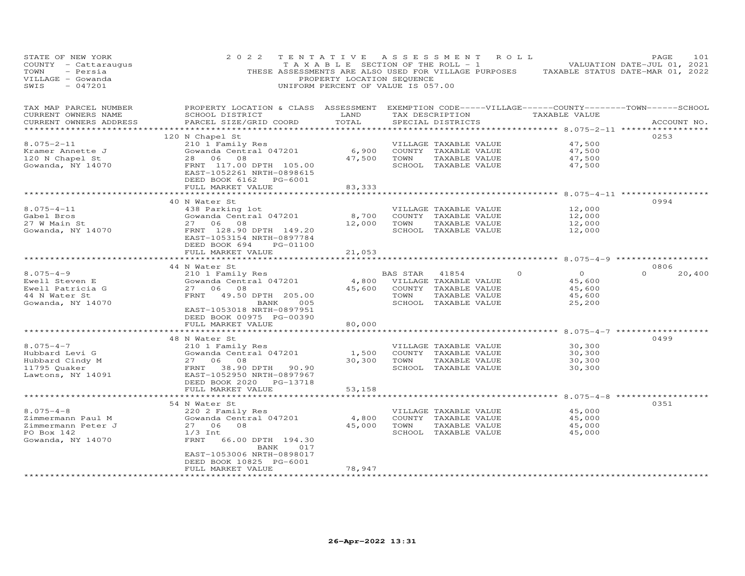| STATE OF NEW YORK<br>COUNTY - Cattaraugus<br>TOWN<br>- Persia<br>VILLAGE - Gowanda<br>SWIS<br>$-047201$ | 2 0 2 2                                                                                                                                         | TENTATIVE<br>T A X A B L E SECTION OF THE ROLL - 1<br>PROPERTY LOCATION SEQUENCE<br>UNIFORM PERCENT OF VALUE IS 057.00 |                             |                                               | ASSESSMENT ROLL | THESE ASSESSMENTS ARE ALSO USED FOR VILLAGE PURPOSES TAXABLE STATUS DATE-MAR 01, 2022 | PAGE<br>VALUATION DATE-JUL 01, 2021 | 101         |
|---------------------------------------------------------------------------------------------------------|-------------------------------------------------------------------------------------------------------------------------------------------------|------------------------------------------------------------------------------------------------------------------------|-----------------------------|-----------------------------------------------|-----------------|---------------------------------------------------------------------------------------|-------------------------------------|-------------|
| TAX MAP PARCEL NUMBER<br>CURRENT OWNERS NAME<br>CURRENT OWNERS ADDRESS                                  | PROPERTY LOCATION & CLASS ASSESSMENT EXEMPTION CODE-----VILLAGE------COUNTY-------TOWN------SCHOOL<br>SCHOOL DISTRICT<br>PARCEL SIZE/GRID COORD | LAND<br>TOTAL                                                                                                          |                             | SPECIAL DISTRICTS                             | TAX DESCRIPTION | TAXABLE VALUE                                                                         |                                     | ACCOUNT NO. |
|                                                                                                         |                                                                                                                                                 |                                                                                                                        |                             |                                               |                 |                                                                                       |                                     |             |
| $8.075 - 2 - 11$                                                                                        | 120 N Chapel St<br>210 1 Family Res                                                                                                             |                                                                                                                        |                             | VILLAGE TAXABLE VALUE                         |                 | 47,500                                                                                | 0253                                |             |
| Kramer Annette J                                                                                        |                                                                                                                                                 |                                                                                                                        | 6,900 COUNTY TAXABLE VALUE  |                                               |                 | 47,500                                                                                |                                     |             |
| 120 N Chapel St                                                                                         |                                                                                                                                                 | 47,500                                                                                                                 | TOWN                        | TAXABLE VALUE                                 |                 | 47,500                                                                                |                                     |             |
| Gowanda, NY 14070                                                                                       | FRNT 117.00 DPTH 105.00<br>EAST-1052261 NRTH-0898615<br>DEED BOOK 6162 PG-6001                                                                  |                                                                                                                        |                             | SCHOOL TAXABLE VALUE                          |                 | 47,500                                                                                |                                     |             |
|                                                                                                         | FULL MARKET VALUE                                                                                                                               | 83,333                                                                                                                 |                             |                                               |                 |                                                                                       |                                     |             |
|                                                                                                         |                                                                                                                                                 | ********                                                                                                               |                             |                                               |                 | ********** 8.075-4-11 ***********                                                     |                                     |             |
| $8.075 - 4 - 11$                                                                                        | 40 N Water St                                                                                                                                   |                                                                                                                        |                             |                                               |                 | 12,000                                                                                | 0994                                |             |
| Gabel Bros                                                                                              | 438 Parking lot<br>Gowanda Central 047201                                                                                                       | 8,700                                                                                                                  |                             | VILLAGE TAXABLE VALUE<br>COUNTY TAXABLE VALUE |                 | 12,000                                                                                |                                     |             |
| 27 W Main St                                                                                            | 27 06<br>08                                                                                                                                     | 12,000                                                                                                                 | TOWN                        | TAXABLE VALUE                                 |                 | 12,000                                                                                |                                     |             |
| Gowanda, NY 14070                                                                                       | FRNT 128.90 DPTH 149.20<br>EAST-1053154 NRTH-0897784<br>DEED BOOK 694<br>PG-01100                                                               |                                                                                                                        |                             | SCHOOL TAXABLE VALUE                          |                 | 12,000                                                                                |                                     |             |
|                                                                                                         | FULL MARKET VALUE                                                                                                                               | 21,053                                                                                                                 |                             |                                               |                 |                                                                                       |                                     |             |
|                                                                                                         | *************************                                                                                                                       | **************                                                                                                         |                             |                                               |                 |                                                                                       |                                     |             |
|                                                                                                         | 44 N Water St                                                                                                                                   |                                                                                                                        |                             |                                               |                 |                                                                                       | 0806                                |             |
| $8.075 - 4 - 9$                                                                                         | 210 1 Family Res                                                                                                                                |                                                                                                                        | BAS STAR                    | 41854                                         | $\Omega$        | $\Omega$                                                                              | $\Omega$                            | 20,400      |
| Ewell Steven E                                                                                          | Gowanda Central 047201                                                                                                                          |                                                                                                                        | 4,800 VILLAGE TAXABLE VALUE |                                               |                 | 45,600                                                                                |                                     |             |
| Ewell Patricia G                                                                                        | 27 06 08                                                                                                                                        | 45,600                                                                                                                 |                             | COUNTY TAXABLE VALUE                          |                 | 45,600                                                                                |                                     |             |
| 44 N Water St                                                                                           | FRNT 49.50 DPTH 205.00                                                                                                                          |                                                                                                                        | TOWN                        | TAXABLE VALUE                                 |                 | 45,600                                                                                |                                     |             |
| Gowanda, NY 14070                                                                                       | 005<br>BANK<br>EAST-1053018 NRTH-0897951<br>DEED BOOK 00975 PG-00390                                                                            |                                                                                                                        |                             | SCHOOL TAXABLE VALUE                          |                 | 25,200                                                                                |                                     |             |
|                                                                                                         | FULL MARKET VALUE                                                                                                                               | 80,000                                                                                                                 |                             |                                               |                 |                                                                                       |                                     |             |
|                                                                                                         | ***********************                                                                                                                         | ***********                                                                                                            |                             |                                               |                 |                                                                                       |                                     |             |
|                                                                                                         | 48 N Water St                                                                                                                                   |                                                                                                                        |                             |                                               |                 |                                                                                       | 0499                                |             |
| $8.075 - 4 - 7$                                                                                         | 210 1 Family Res                                                                                                                                |                                                                                                                        |                             | VILLAGE TAXABLE VALUE                         |                 | 30,300                                                                                |                                     |             |
| Hubbard Levi G                                                                                          | Gowanda Central 047201<br>27 06 08                                                                                                              | 1,500<br>30,300                                                                                                        | TOWN                        | COUNTY TAXABLE VALUE                          |                 | 30,300<br>30,300                                                                      |                                     |             |
|                                                                                                         |                                                                                                                                                 |                                                                                                                        |                             | TAXABLE VALUE                                 |                 |                                                                                       |                                     |             |
| Hubbard Cindy M<br>11795 Quaker<br>Lawtons, NY 14091                                                    | FRNT<br>38.90 DPTH 90.90<br>EAST-1052950 NRTH-0897967<br>DEED BOOK 2020 PG-13718<br>FULL MARKET VALUE                                           |                                                                                                                        |                             | SCHOOL TAXABLE VALUE                          |                 | 30,300                                                                                |                                     |             |
|                                                                                                         | ***********************                                                                                                                         | 53,158<br>*************                                                                                                |                             |                                               |                 |                                                                                       |                                     |             |
|                                                                                                         | 54 N Water St                                                                                                                                   |                                                                                                                        |                             |                                               |                 |                                                                                       | 0351                                |             |
| $8.075 - 4 - 8$                                                                                         | 220 2 Family Res                                                                                                                                |                                                                                                                        |                             | VILLAGE TAXABLE VALUE                         |                 | 45,000                                                                                |                                     |             |
| Zimmermann Paul M                                                                                       | Gowanda Central 047201                                                                                                                          | 4,800                                                                                                                  |                             | COUNTY TAXABLE VALUE                          |                 | 45,000                                                                                |                                     |             |
| Zimmermann Peter J                                                                                      | 27 06<br>08                                                                                                                                     | 45,000                                                                                                                 | TOWN                        | TAXABLE VALUE                                 |                 | 45,000                                                                                |                                     |             |
| PO Box 142                                                                                              | $1/3$ Int                                                                                                                                       |                                                                                                                        |                             | SCHOOL TAXABLE VALUE                          |                 | 45,000                                                                                |                                     |             |
| Gowanda, NY 14070                                                                                       | FRNT<br>66.00 DPTH 194.30<br>BANK<br>017<br>EAST-1053006 NRTH-0898017                                                                           |                                                                                                                        |                             |                                               |                 |                                                                                       |                                     |             |
|                                                                                                         | DEED BOOK 10825 PG-6001                                                                                                                         |                                                                                                                        |                             |                                               |                 |                                                                                       |                                     |             |
|                                                                                                         | FULL MARKET VALUE                                                                                                                               | 78,947                                                                                                                 |                             |                                               |                 |                                                                                       |                                     |             |
| ***********************                                                                                 |                                                                                                                                                 |                                                                                                                        |                             |                                               |                 |                                                                                       |                                     |             |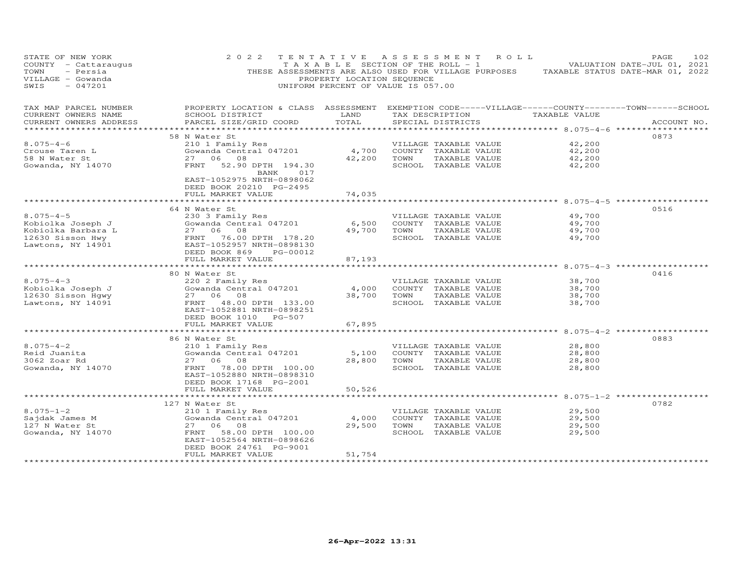| STATE OF NEW YORK<br>COUNTY - Cattaraugus<br>- Persia<br>TOWN<br>VILLAGE - Gowanda<br>SWIS<br>$-047201$ | 2 0 2 2                                                                                                                                         | TENTATIVE<br>T A X A B L E SECTION OF THE ROLL - 1<br>PROPERTY LOCATION SEQUENCE<br>UNIFORM PERCENT OF VALUE IS 057.00 |      | A S S E S S M E N T   | R O L L<br>THESE ASSESSMENTS ARE ALSO USED FOR VILLAGE PURPOSES TAXABLE STATUS DATE-MAR 01, 2022 | 102<br>PAGE<br>VALUATION DATE-JUL 01, 2021 |
|---------------------------------------------------------------------------------------------------------|-------------------------------------------------------------------------------------------------------------------------------------------------|------------------------------------------------------------------------------------------------------------------------|------|-----------------------|--------------------------------------------------------------------------------------------------|--------------------------------------------|
| TAX MAP PARCEL NUMBER<br>CURRENT OWNERS NAME<br>CURRENT OWNERS ADDRESS                                  | PROPERTY LOCATION & CLASS ASSESSMENT EXEMPTION CODE-----VILLAGE------COUNTY-------TOWN------SCHOOL<br>SCHOOL DISTRICT<br>PARCEL SIZE/GRID COORD | LAND<br>TOTAL                                                                                                          |      | SPECIAL DISTRICTS     | TAX DESCRIPTION TAXABLE VALUE                                                                    | ACCOUNT NO.                                |
| ******************                                                                                      |                                                                                                                                                 |                                                                                                                        |      |                       | ***************** 8.075-4-6 *****************                                                    |                                            |
|                                                                                                         | 58 N Water St                                                                                                                                   |                                                                                                                        |      |                       |                                                                                                  | 0873                                       |
| $8.075 - 4 - 6$                                                                                         | 210 1 Family Res                                                                                                                                |                                                                                                                        |      | VILLAGE TAXABLE VALUE | 42,200                                                                                           |                                            |
| Crouse Taren L                                                                                          | Gowanda Central 047201                                                                                                                          | 4,700                                                                                                                  |      | COUNTY TAXABLE VALUE  | 42,200                                                                                           |                                            |
| 58 N Water St                                                                                           | 27 06 08                                                                                                                                        | 42,200                                                                                                                 | TOWN | TAXABLE VALUE         | 42,200                                                                                           |                                            |
| Gowanda, NY 14070                                                                                       | 52.90 DPTH 194.30<br>FRNT<br>BANK<br>017<br>EAST-1052975 NRTH-0898062<br>DEED BOOK 20210 PG-2495<br>FULL MARKET VALUE                           | 74,035                                                                                                                 |      | SCHOOL TAXABLE VALUE  | 42,200                                                                                           |                                            |
|                                                                                                         |                                                                                                                                                 |                                                                                                                        |      |                       |                                                                                                  |                                            |
|                                                                                                         | 64 N Water St                                                                                                                                   |                                                                                                                        |      |                       |                                                                                                  | 0516                                       |
| $8.075 - 4 - 5$                                                                                         | 230 3 Family Res                                                                                                                                |                                                                                                                        |      | VILLAGE TAXABLE VALUE | 49,700                                                                                           |                                            |
| Kobiolka Joseph J                                                                                       | Gowanda Central 047201                                                                                                                          | 6,500                                                                                                                  |      | COUNTY TAXABLE VALUE  | 49,700                                                                                           |                                            |
| Kobiolka Barbara L                                                                                      | 27 06 08                                                                                                                                        | 49,700                                                                                                                 | TOWN | TAXABLE VALUE         | 49,700                                                                                           |                                            |
| 12630 Sisson Hwy                                                                                        | 27 06 08<br>FRNT 76.00DPTH 178.20<br>EAST-1052957NRTH-0898130                                                                                   |                                                                                                                        |      | SCHOOL TAXABLE VALUE  | 49,700                                                                                           |                                            |
| Lawtons, NY 14901                                                                                       | DEED BOOK 869<br>PG-00012<br>FULL MARKET VALUE                                                                                                  |                                                                                                                        |      |                       |                                                                                                  |                                            |
|                                                                                                         |                                                                                                                                                 | 87,193<br>*********                                                                                                    |      |                       | ********** 8.075-4-3 *******                                                                     |                                            |
|                                                                                                         | 80 N Water St                                                                                                                                   |                                                                                                                        |      |                       |                                                                                                  | 0416                                       |
| $8.075 - 4 - 3$                                                                                         | 220 2 Family Res                                                                                                                                |                                                                                                                        |      | VILLAGE TAXABLE VALUE | 38,700                                                                                           |                                            |
| Kobiolka Joseph J                                                                                       | Gowanda Central 047201                                                                                                                          | 4,000                                                                                                                  |      | COUNTY TAXABLE VALUE  | 38,700                                                                                           |                                            |
| 12630 Sisson Hqwy                                                                                       | 27 06 08                                                                                                                                        | 38,700                                                                                                                 | TOWN | TAXABLE VALUE         | 38,700                                                                                           |                                            |
| Lawtons, NY 14091                                                                                       | FRNT 48.00 DPTH 133.00                                                                                                                          |                                                                                                                        |      | SCHOOL TAXABLE VALUE  | 38,700                                                                                           |                                            |
|                                                                                                         | EAST-1052881 NRTH-0898251                                                                                                                       |                                                                                                                        |      |                       |                                                                                                  |                                            |
|                                                                                                         | DEED BOOK 1010 PG-507                                                                                                                           |                                                                                                                        |      |                       |                                                                                                  |                                            |
|                                                                                                         | FULL MARKET VALUE                                                                                                                               | 67,895                                                                                                                 |      |                       |                                                                                                  |                                            |
|                                                                                                         |                                                                                                                                                 |                                                                                                                        |      |                       |                                                                                                  | 0883                                       |
| $8.075 - 4 - 2$                                                                                         | 86 N Water St<br>210 1 Family Res                                                                                                               |                                                                                                                        |      | VILLAGE TAXABLE VALUE | 28,800                                                                                           |                                            |
| Reid Juanita                                                                                            | Gowanda Central 047201                                                                                                                          | 5,100                                                                                                                  |      | COUNTY TAXABLE VALUE  | 28,800                                                                                           |                                            |
| 3062 Zoar Rd                                                                                            | 27 06 08                                                                                                                                        | 28,800                                                                                                                 | TOWN | TAXABLE VALUE         | 28,800                                                                                           |                                            |
| Gowanda, NY 14070                                                                                       | FRNT<br>78.00 DPTH 100.00                                                                                                                       |                                                                                                                        |      | SCHOOL TAXABLE VALUE  | 28,800                                                                                           |                                            |
|                                                                                                         | EAST-1052880 NRTH-0898310                                                                                                                       |                                                                                                                        |      |                       |                                                                                                  |                                            |
|                                                                                                         | DEED BOOK 17168 PG-2001                                                                                                                         |                                                                                                                        |      |                       |                                                                                                  |                                            |
|                                                                                                         | FULL MARKET VALUE                                                                                                                               | 50,526                                                                                                                 |      |                       |                                                                                                  |                                            |
|                                                                                                         | **********************                                                                                                                          |                                                                                                                        |      |                       |                                                                                                  |                                            |
|                                                                                                         | 127 N Water St                                                                                                                                  |                                                                                                                        |      |                       |                                                                                                  | 0782                                       |
| $8.075 - 1 - 2$                                                                                         | 210 1 Family Res                                                                                                                                |                                                                                                                        |      | VILLAGE TAXABLE VALUE | 29,500                                                                                           |                                            |
| Sajdak James M                                                                                          | Gowanda Central 047201                                                                                                                          | 4,000                                                                                                                  |      | COUNTY TAXABLE VALUE  | 29,500                                                                                           |                                            |
| 127 N Water St                                                                                          | 27 06 08                                                                                                                                        | 29,500                                                                                                                 | TOWN | TAXABLE VALUE         | 29,500                                                                                           |                                            |
| Gowanda, NY 14070                                                                                       | 58.00 DPTH 100.00<br>FRNT<br>EAST-1052564 NRTH-0898626                                                                                          |                                                                                                                        |      | SCHOOL TAXABLE VALUE  | 29,500                                                                                           |                                            |
|                                                                                                         | DEED BOOK 24761 PG-9001                                                                                                                         |                                                                                                                        |      |                       |                                                                                                  |                                            |
|                                                                                                         | FULL MARKET VALUE                                                                                                                               | 51,754                                                                                                                 |      |                       |                                                                                                  |                                            |
|                                                                                                         |                                                                                                                                                 |                                                                                                                        |      |                       |                                                                                                  |                                            |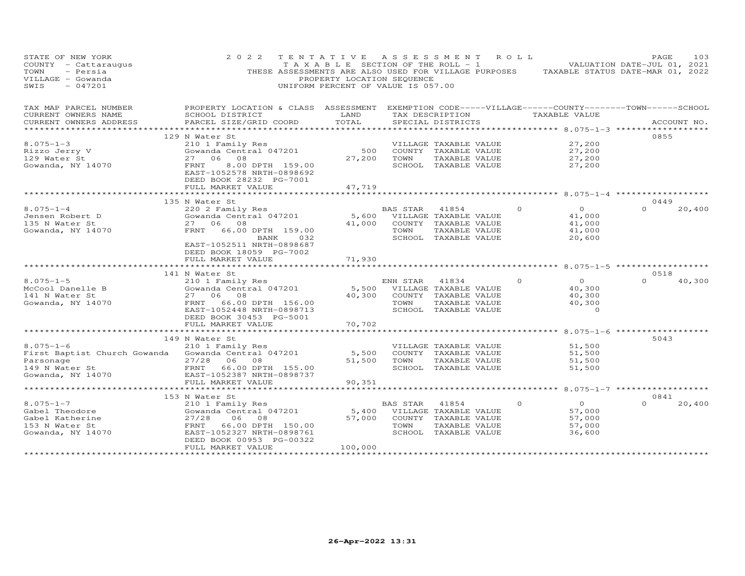| STATE OF NEW YORK<br>COUNTY - Cattaraugus<br>- Persia<br>TOWN<br>VILLAGE - Gowanda<br>$-047201$<br>SWIS | 2 0 2 2                                                                                                               | TENTATIVE ASSESSMENT ROLL<br>PROPERTY LOCATION SEQUENCE<br>UNIFORM PERCENT OF VALUE IS 057.00 |          |                                       |          | TAXABLE SECTION OF THE ROLL - 1 VALUATION DATE-JUL 01, 2021<br>THESE ASSESSMENTS ARE ALSO USED FOR VILLAGE PURPOSES TAXABLE STATUS DATE-MAR 01, 2022 | PAGE             | 103    |
|---------------------------------------------------------------------------------------------------------|-----------------------------------------------------------------------------------------------------------------------|-----------------------------------------------------------------------------------------------|----------|---------------------------------------|----------|------------------------------------------------------------------------------------------------------------------------------------------------------|------------------|--------|
| TAX MAP PARCEL NUMBER<br>CURRENT OWNERS NAME                                                            | PROPERTY LOCATION & CLASS ASSESSMENT EXEMPTION CODE-----VILLAGE------COUNTY-------TOWN------SCHOOL<br>SCHOOL DISTRICT | LAND                                                                                          |          |                                       |          | TAX DESCRIPTION TAXABLE VALUE                                                                                                                        |                  |        |
| CURRENT OWNERS ADDRESS                                                                                  | PARCEL SIZE/GRID COORD                                                                                                | TOTAL                                                                                         |          | SPECIAL DISTRICTS                     |          |                                                                                                                                                      | ACCOUNT NO.      |        |
| *******************                                                                                     |                                                                                                                       |                                                                                               |          |                                       |          |                                                                                                                                                      |                  |        |
|                                                                                                         | 129 N Water St                                                                                                        |                                                                                               |          |                                       |          |                                                                                                                                                      | 0855             |        |
| $8.075 - 1 - 3$                                                                                         | 210 1 Family Res<br>ZIO I Family Res<br>Gowanda Central 047201                                                        |                                                                                               |          | VILLAGE TAXABLE VALUE                 |          | 27,200                                                                                                                                               |                  |        |
| 8.075-1 J<br>Rizzo Jerry V<br>Theret                                                                    | 27 06 08                                                                                                              | 500<br>27,200                                                                                 | TOWN     | COUNTY TAXABLE VALUE<br>TAXABLE VALUE |          | 27,200<br>27,200                                                                                                                                     |                  |        |
| Gowanda, NY 14070                                                                                       | 8.00 DPTH 159.00<br>FRNT                                                                                              |                                                                                               |          | SCHOOL TAXABLE VALUE                  |          | 27,200                                                                                                                                               |                  |        |
|                                                                                                         | EAST-1052578 NRTH-0898692<br>DEED BOOK 28232 PG-7001                                                                  |                                                                                               |          |                                       |          |                                                                                                                                                      |                  |        |
|                                                                                                         | FULL MARKET VALUE                                                                                                     | 47,719                                                                                        |          |                                       |          |                                                                                                                                                      |                  |        |
|                                                                                                         |                                                                                                                       |                                                                                               |          |                                       |          |                                                                                                                                                      |                  |        |
| $8.075 - 1 - 4$                                                                                         | 135 N Water St<br>220 2 Family Res                                                                                    |                                                                                               | BAS STAR | 41854                                 | $\Omega$ | $\overline{O}$                                                                                                                                       | 0449<br>$\Omega$ | 20,400 |
| Jensen Robert D                                                                                         | ZZU Z Family Res<br>Gowanda Central 047201                                                                            | 5,600                                                                                         |          | VILLAGE TAXABLE VALUE                 |          | 41,000                                                                                                                                               |                  |        |
| 135 N Water St                                                                                          | 27 06 08                                                                                                              | 41,000                                                                                        |          | COUNTY TAXABLE VALUE                  |          | 41,000                                                                                                                                               |                  |        |
| Gowanda, NY 14070                                                                                       | FRNT<br>66.00 DPTH 159.00                                                                                             |                                                                                               | TOWN     | TAXABLE VALUE                         |          | 41,000                                                                                                                                               |                  |        |
|                                                                                                         | BANK 032                                                                                                              |                                                                                               |          | SCHOOL TAXABLE VALUE                  |          | 20,600                                                                                                                                               |                  |        |
|                                                                                                         | EAST-1052511 NRTH-0898687                                                                                             |                                                                                               |          |                                       |          |                                                                                                                                                      |                  |        |
|                                                                                                         | DEED BOOK 18059 PG-7002                                                                                               |                                                                                               |          |                                       |          |                                                                                                                                                      |                  |        |
|                                                                                                         | FULL MARKET VALUE                                                                                                     | 71,930                                                                                        |          |                                       |          |                                                                                                                                                      |                  |        |
|                                                                                                         |                                                                                                                       |                                                                                               |          |                                       |          |                                                                                                                                                      | 0518             |        |
| $8.075 - 1 - 5$                                                                                         | 141 N Water St<br>210 1 Family Res                                                                                    |                                                                                               | ENH STAR | 41834                                 | $\circ$  | $\overline{O}$                                                                                                                                       | $\Omega$         | 40,300 |
| McCool Danelle B                                                                                        | Gowanda Central 047201                                                                                                |                                                                                               |          | 5,500 VILLAGE TAXABLE VALUE           |          | 40,300                                                                                                                                               |                  |        |
| 141 N Water St                                                                                          | 27 06 08                                                                                                              | 40,300                                                                                        |          | COUNTY TAXABLE VALUE                  |          | 40,300                                                                                                                                               |                  |        |
| Gowanda, NY 14070                                                                                       | FRNT 66.00 DPTH 156.00                                                                                                |                                                                                               | TOWN     | TAXABLE VALUE                         |          | 40,300                                                                                                                                               |                  |        |
|                                                                                                         | EAST-1052448 NRTH-0898713                                                                                             |                                                                                               |          | SCHOOL TAXABLE VALUE                  |          | $\Omega$                                                                                                                                             |                  |        |
|                                                                                                         | DEED BOOK 30453 PG-5001                                                                                               |                                                                                               |          |                                       |          |                                                                                                                                                      |                  |        |
|                                                                                                         | FULL MARKET VALUE                                                                                                     | 70,702                                                                                        |          |                                       |          |                                                                                                                                                      |                  |        |
|                                                                                                         |                                                                                                                       |                                                                                               |          |                                       |          |                                                                                                                                                      | 5043             |        |
| $8.075 - 1 - 6$                                                                                         | 149 N Water St<br>210 1 Family Res                                                                                    |                                                                                               |          | VILLAGE TAXABLE VALUE                 |          | 51,500                                                                                                                                               |                  |        |
| First Baptist Church Gowanda                                                                            | Gowanda Central 047201                                                                                                | 5,500                                                                                         |          | COUNTY TAXABLE VALUE                  |          | 51,500                                                                                                                                               |                  |        |
| Parsonage                                                                                               | 27/28<br>06 08                                                                                                        | 51,500                                                                                        | TOWN     | TAXABLE VALUE                         |          | 51,500                                                                                                                                               |                  |        |
| 149 N Water St                                                                                          | FRNT 66.00 DPTH 155.00                                                                                                |                                                                                               |          | SCHOOL TAXABLE VALUE                  |          | 51,500                                                                                                                                               |                  |        |
| Gowanda, NY 14070                                                                                       | EAST-1052387 NRTH-0898737                                                                                             |                                                                                               |          |                                       |          |                                                                                                                                                      |                  |        |
|                                                                                                         | FULL MARKET VALUE                                                                                                     | 90,351                                                                                        |          |                                       |          |                                                                                                                                                      |                  |        |
|                                                                                                         | **************************                                                                                            |                                                                                               |          |                                       |          | ******** 8.075-1-7 *******************                                                                                                               |                  |        |
| $8.075 - 1 - 7$                                                                                         | 153 N Water St<br>210 1 Family Res                                                                                    |                                                                                               | BAS STAR | 41854                                 | $\Omega$ | $\overline{O}$                                                                                                                                       | 0841<br>$\Omega$ | 20,400 |
| Gabel Theodore                                                                                          | Gowanda Central 047201                                                                                                | 5,400                                                                                         |          | VILLAGE TAXABLE VALUE                 |          | 57,000                                                                                                                                               |                  |        |
| Gabel Katherine                                                                                         | 27/28<br>06<br>08                                                                                                     | 57,000                                                                                        |          | COUNTY TAXABLE VALUE                  |          | 57,000                                                                                                                                               |                  |        |
| 153 N Water St                                                                                          | 66.00 DPTH 150.00<br>FRNT                                                                                             |                                                                                               | TOWN     | TAXABLE VALUE                         |          | 57,000                                                                                                                                               |                  |        |
| Gowanda, NY 14070                                                                                       | EAST-1052327 NRTH-0898761                                                                                             |                                                                                               |          | SCHOOL TAXABLE VALUE                  |          | 36,600                                                                                                                                               |                  |        |
|                                                                                                         | DEED BOOK 00953 PG-00322                                                                                              |                                                                                               |          |                                       |          |                                                                                                                                                      |                  |        |
|                                                                                                         | FULL MARKET VALUE<br>*************************                                                                        | 100,000<br>******************                                                                 |          |                                       |          |                                                                                                                                                      |                  |        |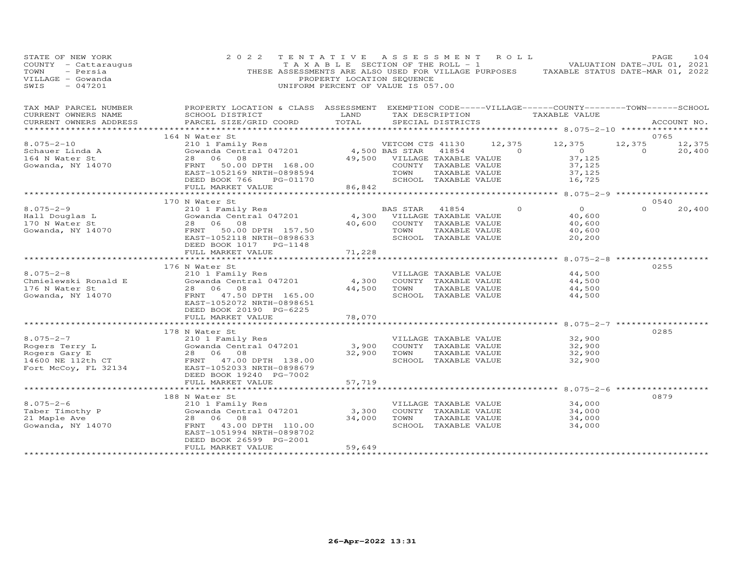| STATE OF NEW YORK<br>COUNTY - Cattaraugus<br>TOWN<br>- Persia<br>VILLAGE - Gowanda<br>$-047201$<br>SWIS | 2 0 2 2                                                                                                                | TENTATIVE ASSESSMENT ROLL<br>PROPERTY LOCATION SEQUENCE<br>UNIFORM PERCENT OF VALUE IS 057.00 |                              |                                               |          | TAXABLE SECTION OF THE ROLL - 1 VALUATION DATE-JUL 01, 2021<br>THESE ASSESSMENTS ARE ALSO USED FOR VILLAGE PURPOSES TAXABLE STATUS DATE-MAR 01, 2022 | PAGE     | 104         |
|---------------------------------------------------------------------------------------------------------|------------------------------------------------------------------------------------------------------------------------|-----------------------------------------------------------------------------------------------|------------------------------|-----------------------------------------------|----------|------------------------------------------------------------------------------------------------------------------------------------------------------|----------|-------------|
| TAX MAP PARCEL NUMBER<br>CURRENT OWNERS NAME                                                            | PROPERTY LOCATION & CLASS ASSESSMENT EXEMPTION CODE-----VILLAGE------COUNTY--------TOWN------SCHOOL<br>SCHOOL DISTRICT | LAND                                                                                          |                              |                                               |          | TAX DESCRIPTION TAXABLE VALUE                                                                                                                        |          |             |
| CURRENT OWNERS ADDRESS                                                                                  | PARCEL SIZE/GRID COORD                                                                                                 | TOTAL                                                                                         |                              | SPECIAL DISTRICTS                             |          |                                                                                                                                                      |          | ACCOUNT NO. |
|                                                                                                         |                                                                                                                        |                                                                                               |                              |                                               |          |                                                                                                                                                      |          |             |
|                                                                                                         | 164 N Water St                                                                                                         |                                                                                               |                              |                                               |          |                                                                                                                                                      | 0765     |             |
| $8.075 - 2 - 10$                                                                                        | N Water St<br>210 1 Family Res<br>Gowanda Central 047201 1979 1988 STAR<br>29.500 VILLAGE                              |                                                                                               | VETCOM CTS 41130             |                                               | 12,375   | 12,375                                                                                                                                               | 12,375   | 12,375      |
| $S$ chauer Linda A                                                                                      |                                                                                                                        |                                                                                               |                              |                                               | 41854 0  | $\overline{0}$                                                                                                                                       | $\sim$ 0 | 20,400      |
| 164 N Water St<br>Gowanda, NY 14070                                                                     | 28 06 08<br>50.00 DPTH 168.00<br>FRNT                                                                                  |                                                                                               | 49,500 VILLAGE TAXABLE VALUE | COUNTY TAXABLE VALUE                          |          | 37,125<br>37,125                                                                                                                                     |          |             |
|                                                                                                         | EAST-1052169 NRTH-0898594                                                                                              |                                                                                               | TOWN                         | TAXABLE VALUE                                 |          | 37,125                                                                                                                                               |          |             |
|                                                                                                         | DEED BOOK 766<br>PG-01170                                                                                              |                                                                                               |                              | SCHOOL TAXABLE VALUE                          |          | 16,725                                                                                                                                               |          |             |
|                                                                                                         | FULL MARKET VALUE                                                                                                      | 86,842                                                                                        |                              |                                               |          |                                                                                                                                                      |          |             |
|                                                                                                         | **************************                                                                                             | **************************************                                                        |                              |                                               |          | ************* 8.075-2-9 *******************                                                                                                          |          |             |
|                                                                                                         | 170 N Water St                                                                                                         |                                                                                               |                              |                                               |          |                                                                                                                                                      | 0540     |             |
| $8.075 - 2 - 9$<br>8.075-2<br>Hall Douglas L<br>Titler St                                               | 210 1 Family Res<br>Gowanda Central 047201                                                                             |                                                                                               | BAS STAR                     | 41854                                         | $\Omega$ | $\overline{O}$                                                                                                                                       | $\Omega$ | 20,400      |
|                                                                                                         | 28 06 08                                                                                                               | 4,300<br>40,600                                                                               |                              | VILLAGE TAXABLE VALUE<br>COUNTY TAXABLE VALUE |          | 40,600<br>40,600                                                                                                                                     |          |             |
| Gowanda, NY 14070                                                                                       | FRNT<br>50.00 DPTH 157.50                                                                                              |                                                                                               | TOWN                         | TAXABLE VALUE                                 |          | 40,600                                                                                                                                               |          |             |
|                                                                                                         | EAST-1052118 NRTH-0898633                                                                                              |                                                                                               |                              | SCHOOL TAXABLE VALUE                          |          | 20,200                                                                                                                                               |          |             |
|                                                                                                         | DEED BOOK 1017    PG-1148                                                                                              |                                                                                               |                              |                                               |          |                                                                                                                                                      |          |             |
|                                                                                                         | FULL MARKET VALUE                                                                                                      | 71,228                                                                                        |                              |                                               |          |                                                                                                                                                      |          |             |
|                                                                                                         | *************************                                                                                              | *************                                                                                 |                              |                                               |          | ************ 8.075-2-8                                                                                                                               |          |             |
| $8.075 - 2 - 8$                                                                                         | 176 N Water St                                                                                                         |                                                                                               |                              |                                               |          |                                                                                                                                                      | 0255     |             |
| Chmielewski Ronald E                                                                                    | 210 1 Family Res<br>Gowanda Central 047201                                                                             | 4,300                                                                                         |                              | VILLAGE TAXABLE VALUE<br>COUNTY TAXABLE VALUE |          | 44,500<br>44,500                                                                                                                                     |          |             |
| 176 N Water St                                                                                          | 28 06 08                                                                                                               | 44,500                                                                                        | TOWN                         | TAXABLE VALUE                                 |          | 44,500                                                                                                                                               |          |             |
| Gowanda, NY 14070                                                                                       | FRNT 47.50 DPTH 165.00                                                                                                 |                                                                                               |                              | SCHOOL TAXABLE VALUE                          |          | 44,500                                                                                                                                               |          |             |
|                                                                                                         | EAST-1052072 NRTH-0898651                                                                                              |                                                                                               |                              |                                               |          |                                                                                                                                                      |          |             |
|                                                                                                         | DEED BOOK 20190 PG-6225                                                                                                |                                                                                               |                              |                                               |          |                                                                                                                                                      |          |             |
|                                                                                                         | FULL MARKET VALUE                                                                                                      | 78,070                                                                                        |                              |                                               |          |                                                                                                                                                      |          |             |
|                                                                                                         | ***********************                                                                                                | ************                                                                                  |                              |                                               |          | ************************ 8.075-2-7 **************                                                                                                    |          |             |
| $8.075 - 2 - 7$                                                                                         | 178 N Water St<br>210 1 Family Res                                                                                     |                                                                                               |                              | VILLAGE TAXABLE VALUE                         |          | 32,900                                                                                                                                               | 0285     |             |
|                                                                                                         | Gowanda Central 047201                                                                                                 | 3,900                                                                                         |                              | COUNTY TAXABLE VALUE                          |          | 32,900                                                                                                                                               |          |             |
| Rogers Terry L<br>Rogers Gary E<br>14600 NE 112th CT<br>Fort MoCew TI 00101                             | 28 06 08                                                                                                               | 32,900                                                                                        | TOWN                         | TAXABLE VALUE                                 |          | 32,900                                                                                                                                               |          |             |
|                                                                                                         | FRNT 47.00 DPTH 138.00                                                                                                 |                                                                                               |                              | SCHOOL TAXABLE VALUE                          |          | 32,900                                                                                                                                               |          |             |
| Fort McCoy, FL 32134                                                                                    | EAST-1052033 NRTH-0898679                                                                                              |                                                                                               |                              |                                               |          |                                                                                                                                                      |          |             |
|                                                                                                         | DEED BOOK 19240 PG-7002                                                                                                |                                                                                               |                              |                                               |          |                                                                                                                                                      |          |             |
|                                                                                                         | FULL MARKET VALUE                                                                                                      | 57,719                                                                                        |                              |                                               |          |                                                                                                                                                      |          |             |
|                                                                                                         |                                                                                                                        |                                                                                               |                              |                                               |          | ******************** 8.075-2-6 ***********                                                                                                           | 0879     |             |
| $8.075 - 2 - 6$                                                                                         | 188 N Water St<br>210 1 Family Res                                                                                     |                                                                                               |                              | VILLAGE TAXABLE VALUE                         |          | 34,000                                                                                                                                               |          |             |
| Taber Timothy P                                                                                         | Gowanda Central 047201                                                                                                 | 3,300                                                                                         |                              | COUNTY TAXABLE VALUE                          |          | 34,000                                                                                                                                               |          |             |
| 21 Maple Ave                                                                                            | 28 06 08                                                                                                               | 34,000                                                                                        | TOWN                         | TAXABLE VALUE                                 |          | 34,000                                                                                                                                               |          |             |
| Gowanda, NY 14070                                                                                       | 43.00 DPTH 110.00<br>FRNT                                                                                              |                                                                                               |                              | SCHOOL TAXABLE VALUE                          |          | 34,000                                                                                                                                               |          |             |
|                                                                                                         | EAST-1051994 NRTH-0898702                                                                                              |                                                                                               |                              |                                               |          |                                                                                                                                                      |          |             |
|                                                                                                         | DEED BOOK 26599 PG-2001                                                                                                |                                                                                               |                              |                                               |          |                                                                                                                                                      |          |             |
| ************************                                                                                | FULL MARKET VALUE<br>*************************                                                                         | 59,649<br>******************                                                                  |                              |                                               |          |                                                                                                                                                      |          |             |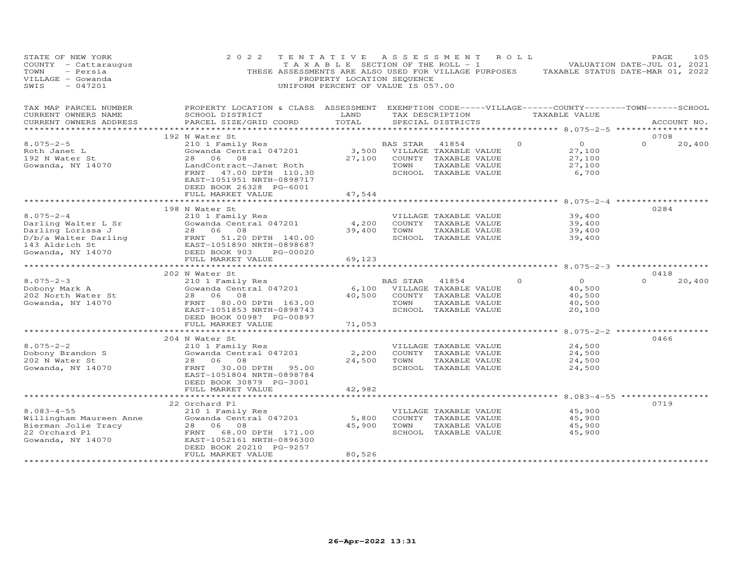| STATE OF NEW YORK<br>COUNTY - Cattaraugus<br>TOWN<br>- Persia<br>VILLAGE - Gowanda<br>$-047201$<br>SWIS | 2 0 2 2                                                                                                                                                                                                                 | TENTATIVE<br>T A X A B L E SECTION OF THE ROLL - 1<br>PROPERTY LOCATION SEQUENCE<br>UNIFORM PERCENT OF VALUE IS 057.00 | A S S E S S M E N T                             |                                                                                        | ROLL ROLL | THESE ASSESSMENTS ARE ALSO USED FOR VILLAGE PURPOSES TAXABLE STATUS DATE-MAR 01, 2022 | PAGE<br>VALUATION DATE-JUL 01, 2021 | 105    |
|---------------------------------------------------------------------------------------------------------|-------------------------------------------------------------------------------------------------------------------------------------------------------------------------------------------------------------------------|------------------------------------------------------------------------------------------------------------------------|-------------------------------------------------|----------------------------------------------------------------------------------------|-----------|---------------------------------------------------------------------------------------|-------------------------------------|--------|
| TAX MAP PARCEL NUMBER<br>CURRENT OWNERS NAME<br>CURRENT OWNERS ADDRESS                                  | PROPERTY LOCATION & CLASS ASSESSMENT EXEMPTION CODE-----VILLAGE------COUNTY-------TOWN------SCHOOL<br>SCHOOL DISTRICT<br>PARCEL SIZE/GRID COORD                                                                         | LAND<br>TOTAL                                                                                                          |                                                 | TAX DESCRIPTION<br>SPECIAL DISTRICTS                                                   |           | TAXABLE VALUE                                                                         | ACCOUNT NO.                         |        |
| **********************                                                                                  |                                                                                                                                                                                                                         |                                                                                                                        |                                                 |                                                                                        |           | ****************** 8.075-2-5 *******************                                      |                                     |        |
|                                                                                                         | 192 N Water St                                                                                                                                                                                                          |                                                                                                                        |                                                 |                                                                                        |           |                                                                                       | 0708                                |        |
| $8.075 - 2 - 5$<br>Roth Janet L<br>192 N Water St<br>Gowanda, NY 14070                                  | 210 1 Family Res<br>Gowanda Central 047201<br>28 06 08<br>LandContract-Janet Roth<br>47.00 DPTH 110.30<br>FRNT<br>EAST-1051951 NRTH-0898717                                                                             | 27,100                                                                                                                 | BAS STAR<br>3,500 VILLAGE TAXABLE VALUE<br>TOWN | 41854<br>COUNTY TAXABLE VALUE<br>TAXABLE VALUE<br>SCHOOL TAXABLE VALUE                 | $\circ$   | $\overline{O}$<br>27,100<br>27,100<br>27,100<br>6,700                                 | $\Omega$                            | 20,400 |
|                                                                                                         | DEED BOOK 26328 PG-6001                                                                                                                                                                                                 |                                                                                                                        |                                                 |                                                                                        |           |                                                                                       |                                     |        |
|                                                                                                         | FULL MARKET VALUE                                                                                                                                                                                                       | 47,544                                                                                                                 |                                                 |                                                                                        |           |                                                                                       |                                     |        |
|                                                                                                         | 198 N Water St                                                                                                                                                                                                          |                                                                                                                        |                                                 |                                                                                        |           |                                                                                       | 0284                                |        |
| $8.075 - 2 - 4$<br>Darling Walter L Sr                                                                  | 210 1 Family Res<br>Gowanda Central 047201<br>Darling Lorissa J<br>D/b/a Walter Darling<br>143 Aldrich St<br>Cowanda. NY 14070<br>Cowanda. NY 14070<br>DEED BOOK 903 PG-00020<br>Cowanda. NY 14070<br>Cowanda. NY 14070 | 4,200<br>39,400                                                                                                        | TOWN                                            | VILLAGE TAXABLE VALUE<br>COUNTY TAXABLE VALUE<br>TAXABLE VALUE<br>SCHOOL TAXABLE VALUE |           | 39,400<br>39,400<br>39,400<br>39,400                                                  |                                     |        |
|                                                                                                         |                                                                                                                                                                                                                         |                                                                                                                        |                                                 |                                                                                        |           |                                                                                       |                                     |        |
|                                                                                                         | FULL MARKET VALUE<br>**************                                                                                                                                                                                     | 69,123<br>********                                                                                                     |                                                 |                                                                                        |           | ******** 8.075-2-3 *************                                                      |                                     |        |
|                                                                                                         | 202 N Water St                                                                                                                                                                                                          |                                                                                                                        |                                                 |                                                                                        |           |                                                                                       | 0418                                |        |
| $8.075 - 2 - 3$                                                                                         | 210 1 Family Res                                                                                                                                                                                                        |                                                                                                                        | BAS STAR                                        | 41854                                                                                  | $\Omega$  | $\Omega$                                                                              | $\Omega$                            | 20,400 |
| Dobony Mark A                                                                                           | Gowanda Central 047201                                                                                                                                                                                                  | 6,100                                                                                                                  |                                                 | VILLAGE TAXABLE VALUE                                                                  |           | 40,500                                                                                |                                     |        |
| 202 North Water St                                                                                      | 28 06<br>08                                                                                                                                                                                                             | 40,500                                                                                                                 |                                                 | COUNTY TAXABLE VALUE                                                                   |           | 40,500                                                                                |                                     |        |
| Gowanda, NY 14070                                                                                       | FRNT 80.00 DPTH 163.00<br>EAST-1051853 NRTH-0898743<br>DEED BOOK 00987 PG-00897                                                                                                                                         |                                                                                                                        | TOWN                                            | TAXABLE VALUE<br>SCHOOL TAXABLE VALUE                                                  |           | 40,500<br>20,100                                                                      |                                     |        |
|                                                                                                         | FULL MARKET VALUE                                                                                                                                                                                                       | 71,053                                                                                                                 |                                                 |                                                                                        |           |                                                                                       |                                     |        |
|                                                                                                         | 204 N Water St                                                                                                                                                                                                          |                                                                                                                        |                                                 |                                                                                        |           |                                                                                       | 0466                                |        |
| $8.075 - 2 - 2$                                                                                         | 210 1 Family Res                                                                                                                                                                                                        |                                                                                                                        |                                                 | VILLAGE TAXABLE VALUE                                                                  |           | 24,500                                                                                |                                     |        |
| Dobony Brandon S                                                                                        | Gowanda Central 047201                                                                                                                                                                                                  | 2,200                                                                                                                  |                                                 | COUNTY TAXABLE VALUE                                                                   |           | 24,500                                                                                |                                     |        |
| 202 N Water St                                                                                          | 28 06<br>08                                                                                                                                                                                                             | 24,500                                                                                                                 | TOWN                                            | TAXABLE VALUE                                                                          |           | 24,500                                                                                |                                     |        |
| Gowanda, NY 14070                                                                                       | FRNT<br>30.00 DPTH<br>95.00<br>EAST-1051804 NRTH-0898784<br>DEED BOOK 30879 PG-3001                                                                                                                                     |                                                                                                                        |                                                 | SCHOOL TAXABLE VALUE                                                                   |           | 24,500                                                                                |                                     |        |
|                                                                                                         | FULL MARKET VALUE                                                                                                                                                                                                       | 42,982                                                                                                                 |                                                 |                                                                                        |           |                                                                                       |                                     |        |
|                                                                                                         | 22 Orchard Pl                                                                                                                                                                                                           |                                                                                                                        |                                                 |                                                                                        |           |                                                                                       | 0719                                |        |
| $8.083 - 4 - 55$                                                                                        | 210 1 Family Res                                                                                                                                                                                                        |                                                                                                                        |                                                 | VILLAGE TAXABLE VALUE                                                                  |           | 45,900                                                                                |                                     |        |
| Willingham Maureen Anne                                                                                 | Gowanda Central 047201                                                                                                                                                                                                  | 5,800                                                                                                                  |                                                 | COUNTY TAXABLE VALUE                                                                   |           | 45,900                                                                                |                                     |        |
| Bierman Jolie Tracy                                                                                     | 28<br>06<br>08                                                                                                                                                                                                          | 45,900                                                                                                                 | TOWN                                            | TAXABLE VALUE                                                                          |           | 45,900                                                                                |                                     |        |
| 22 Orchard Pl<br>Gowanda, NY 14070                                                                      | FRNT<br>68.00 DPTH 171.00<br>EAST-1052161 NRTH-0896300<br>DEED BOOK 20210 PG-9257<br>FULL MARKET VALUE                                                                                                                  | 80,526                                                                                                                 |                                                 | SCHOOL TAXABLE VALUE                                                                   |           | 45,900                                                                                |                                     |        |
|                                                                                                         |                                                                                                                                                                                                                         |                                                                                                                        |                                                 |                                                                                        |           |                                                                                       |                                     |        |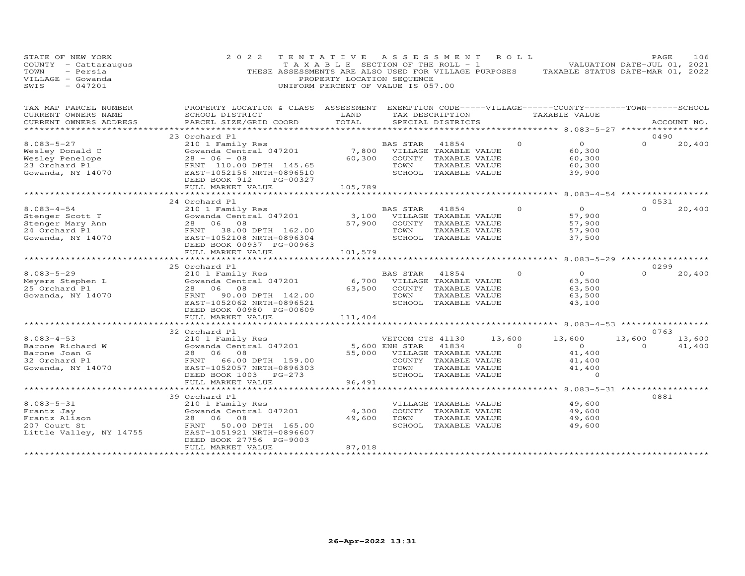| STATE OF NEW YORK<br>COUNTY - Cattaraugus<br>- Persia<br>TOWN<br>VILLAGE - Gowanda<br>$-047201$<br>SWIS                                                                                           | 2 0 2 2                                                                                                                                                                                                                                                                                                                                                                                                      | TENTATIVE ASSESSMENT ROLL<br>PROPERTY LOCATION SEQUENCE<br>UNIFORM PERCENT OF VALUE IS 057.00                                   |                              |                                       |                |          | TAXABLE SECTION OF THE ROLL - 1 VALUATION DATE-JUL 01, 2021<br>THESE ASSESSMENTS ARE ALSO USED FOR VILLAGE PURPOSES TAXABLE STATUS DATE-MAR 01, 2022 | PAGE             | 106         |
|---------------------------------------------------------------------------------------------------------------------------------------------------------------------------------------------------|--------------------------------------------------------------------------------------------------------------------------------------------------------------------------------------------------------------------------------------------------------------------------------------------------------------------------------------------------------------------------------------------------------------|---------------------------------------------------------------------------------------------------------------------------------|------------------------------|---------------------------------------|----------------|----------|------------------------------------------------------------------------------------------------------------------------------------------------------|------------------|-------------|
| TAX MAP PARCEL NUMBER                                                                                                                                                                             | PROPERTY LOCATION & CLASS ASSESSMENT EXEMPTION CODE-----VILLAGE------COUNTY-------TOWN------SCHOOL                                                                                                                                                                                                                                                                                                           |                                                                                                                                 |                              |                                       |                |          |                                                                                                                                                      |                  |             |
| CURRENT OWNERS NAME<br>CURRENT OWNERS ADDRESS                                                                                                                                                     | SCHOOL DISTRICT<br>PARCEL SIZE/GRID COORD                                                                                                                                                                                                                                                                                                                                                                    | <b>EXAMPLE SERVICE SERVICE SERVICE SERVICE SERVICE SERVICE SERVICE SERVICE SERVICE SERVICE SERVICE SERVICE SERVICE</b><br>TOTAL |                              | SPECIAL DISTRICTS                     |                |          | TAX DESCRIPTION TAXABLE VALUE                                                                                                                        |                  | ACCOUNT NO. |
|                                                                                                                                                                                                   |                                                                                                                                                                                                                                                                                                                                                                                                              |                                                                                                                                 |                              |                                       |                |          |                                                                                                                                                      |                  |             |
|                                                                                                                                                                                                   | 23 Orchard Pl<br>$\begin{array}{lllllllll} \text{210} & \text{1} & \text{210} & \text{210} & \text{210} & \text{210} & \text{210} & \text{210} & \text{210} & \text{210} & \text{210} & \text{210} & \text{220} & \text{23} & \text{23} & \text{24} & \text{25} & \text{26} & \text{27} & \text{28} & \text{28} & \text{29} & \text{20} & \text{20} & \text{21} & \text{22} & \text{23} & \text{24} & \text$ |                                                                                                                                 |                              |                                       |                |          |                                                                                                                                                      | 0490             |             |
| $8.083 - 5 - 27$                                                                                                                                                                                  |                                                                                                                                                                                                                                                                                                                                                                                                              |                                                                                                                                 |                              |                                       |                | $\Omega$ | $\overline{O}$                                                                                                                                       | $\Omega$         | 20,400      |
|                                                                                                                                                                                                   |                                                                                                                                                                                                                                                                                                                                                                                                              |                                                                                                                                 |                              |                                       |                |          | 60,300                                                                                                                                               |                  |             |
|                                                                                                                                                                                                   | FRNT 110.00 DPTH 145.65                                                                                                                                                                                                                                                                                                                                                                                      |                                                                                                                                 | TOWN                         | TAXABLE VALUE                         |                |          | 60,300<br>60,300                                                                                                                                     |                  |             |
| Wesley Donald C<br>Wesley Penelope<br>23 Orchard Pl<br>Gowanda, NY 14070                                                                                                                          | EAST-1052156 NRTH-0896510                                                                                                                                                                                                                                                                                                                                                                                    |                                                                                                                                 |                              | SCHOOL TAXABLE VALUE                  |                |          | 39,900                                                                                                                                               |                  |             |
|                                                                                                                                                                                                   | DEED BOOK 912<br>PG-00327                                                                                                                                                                                                                                                                                                                                                                                    |                                                                                                                                 |                              |                                       |                |          |                                                                                                                                                      |                  |             |
|                                                                                                                                                                                                   | FULL MARKET VALUE                                                                                                                                                                                                                                                                                                                                                                                            | 105,789                                                                                                                         |                              |                                       |                |          |                                                                                                                                                      |                  |             |
|                                                                                                                                                                                                   |                                                                                                                                                                                                                                                                                                                                                                                                              |                                                                                                                                 |                              |                                       |                |          |                                                                                                                                                      |                  |             |
| $8.083 - 4 - 54$                                                                                                                                                                                  | 24 Orchard Pl                                                                                                                                                                                                                                                                                                                                                                                                |                                                                                                                                 | BAS STAR                     | 41854                                 |                | $\Omega$ | $\overline{O}$                                                                                                                                       | 0531<br>$\Omega$ | 20,400      |
|                                                                                                                                                                                                   | 210 1 Family Res<br>Gowanda Central 047201<br>28 06 08                                                                                                                                                                                                                                                                                                                                                       |                                                                                                                                 | 3,100 VILLAGE TAXABLE VALUE  |                                       |                |          | 57,900                                                                                                                                               |                  |             |
|                                                                                                                                                                                                   |                                                                                                                                                                                                                                                                                                                                                                                                              |                                                                                                                                 | 57,900 COUNTY TAXABLE VALUE  |                                       |                |          | 57,900                                                                                                                                               |                  |             |
|                                                                                                                                                                                                   |                                                                                                                                                                                                                                                                                                                                                                                                              |                                                                                                                                 | TOWN                         | TAXABLE VALUE                         |                |          | 57,900                                                                                                                                               |                  |             |
| Stenger Scott T<br>Stenger Mary Ann ann an 28 06 08<br>24 Orchard Pl<br>Gowanda, NY 14070 1997–1052108 NRTH-0896304<br>27 Orchard Pl<br>28 06 08<br>28 06 08<br>28 06 08<br>28 07 08 NRTH-0896304 |                                                                                                                                                                                                                                                                                                                                                                                                              |                                                                                                                                 |                              | SCHOOL TAXABLE VALUE                  |                |          | 37,500                                                                                                                                               |                  |             |
|                                                                                                                                                                                                   | DEED BOOK 00937 PG-00963                                                                                                                                                                                                                                                                                                                                                                                     |                                                                                                                                 |                              |                                       |                |          |                                                                                                                                                      |                  |             |
|                                                                                                                                                                                                   | FULL MARKET VALUE<br>************************                                                                                                                                                                                                                                                                                                                                                                | 101,579<br>*******************                                                                                                  |                              |                                       |                |          | ********* 8.083-5-29 *****************                                                                                                               |                  |             |
|                                                                                                                                                                                                   | 25 Orchard Pl                                                                                                                                                                                                                                                                                                                                                                                                |                                                                                                                                 |                              |                                       |                |          |                                                                                                                                                      | 0299             |             |
| $8.083 - 5 - 29$                                                                                                                                                                                  |                                                                                                                                                                                                                                                                                                                                                                                                              |                                                                                                                                 | BAS STAR                     | 41854                                 |                | $\Omega$ | $\overline{0}$                                                                                                                                       | $\Omega$         | 20,400      |
| o.o.o.---2,<br>Meyers Stephen L<br>25 Orchard Pl<br>Gowanda, NY 14070                                                                                                                             | 210 1 Family Res<br>Gowanda Central 047201<br>28 06 08                                                                                                                                                                                                                                                                                                                                                       |                                                                                                                                 | 6,700 VILLAGE TAXABLE VALUE  |                                       |                |          | 63,500                                                                                                                                               |                  |             |
|                                                                                                                                                                                                   |                                                                                                                                                                                                                                                                                                                                                                                                              |                                                                                                                                 | 63,500 COUNTY TAXABLE VALUE  |                                       |                |          | 63,500                                                                                                                                               |                  |             |
|                                                                                                                                                                                                   | FRNT 90.00 DPTH 142.00                                                                                                                                                                                                                                                                                                                                                                                       |                                                                                                                                 | TOWN                         | TAXABLE VALUE                         |                |          | 63,500                                                                                                                                               |                  |             |
|                                                                                                                                                                                                   | EAST-1052062 NRTH-0896521                                                                                                                                                                                                                                                                                                                                                                                    |                                                                                                                                 |                              | SCHOOL TAXABLE VALUE                  |                |          | 43,100                                                                                                                                               |                  |             |
|                                                                                                                                                                                                   | DEED BOOK 00980 PG-00609<br>FULL MARKET VALUE                                                                                                                                                                                                                                                                                                                                                                | 111,404                                                                                                                         |                              |                                       |                |          |                                                                                                                                                      |                  |             |
|                                                                                                                                                                                                   | *********************                                                                                                                                                                                                                                                                                                                                                                                        |                                                                                                                                 |                              |                                       |                |          |                                                                                                                                                      |                  |             |
|                                                                                                                                                                                                   | 32 Orchard Pl                                                                                                                                                                                                                                                                                                                                                                                                |                                                                                                                                 |                              |                                       |                |          |                                                                                                                                                      | 0763             |             |
| $8.083 - 4 - 53$                                                                                                                                                                                  | 210 1 Family Res<br>Gowanda Central 047201                                                                                                                                                                                                                                                                                                                                                                   |                                                                                                                                 | VETCOM CTS 41130             |                                       | 13,600         |          | 13,600                                                                                                                                               | 13,600 13,600    |             |
| Barone Richard W<br>Barone Joan G<br>32 Orchard Pl<br>Gowanda, NY 14070                                                                                                                           |                                                                                                                                                                                                                                                                                                                                                                                                              | 5,600 ENH STAR                                                                                                                  |                              | 41834                                 | $\overline{a}$ |          | $\overline{0}$                                                                                                                                       | $\overline{0}$   | 41,400      |
|                                                                                                                                                                                                   | 28 06 08                                                                                                                                                                                                                                                                                                                                                                                                     |                                                                                                                                 | 55,000 VILLAGE TAXABLE VALUE |                                       |                |          | 41,400                                                                                                                                               |                  |             |
|                                                                                                                                                                                                   | FRNT 66.00 DPTH 159.00<br>EAST-1052057 NRTH-0896303                                                                                                                                                                                                                                                                                                                                                          |                                                                                                                                 | TOWN                         | COUNTY TAXABLE VALUE<br>TAXABLE VALUE |                |          | 41,400<br>41,400                                                                                                                                     |                  |             |
|                                                                                                                                                                                                   | DEED BOOK 1003 PG-273                                                                                                                                                                                                                                                                                                                                                                                        |                                                                                                                                 |                              | SCHOOL TAXABLE VALUE                  |                |          | $\Omega$                                                                                                                                             |                  |             |
|                                                                                                                                                                                                   | FULL MARKET VALUE                                                                                                                                                                                                                                                                                                                                                                                            | 96,491                                                                                                                          |                              |                                       |                |          |                                                                                                                                                      |                  |             |
|                                                                                                                                                                                                   | ***********************                                                                                                                                                                                                                                                                                                                                                                                      |                                                                                                                                 |                              |                                       |                |          | ********** 8.083-5-31 *************                                                                                                                  |                  |             |
|                                                                                                                                                                                                   | 39 Orchard Pl                                                                                                                                                                                                                                                                                                                                                                                                |                                                                                                                                 |                              |                                       |                |          |                                                                                                                                                      | 0881             |             |
| $8.083 - 5 - 31$                                                                                                                                                                                  | 210 1 Family Res<br>Zio I family Res<br>Gowanda Central 047201                                                                                                                                                                                                                                                                                                                                               |                                                                                                                                 |                              | VILLAGE TAXABLE VALUE                 |                |          | 49,600                                                                                                                                               |                  |             |
| Frantz Jay                                                                                                                                                                                        | 28 06 08                                                                                                                                                                                                                                                                                                                                                                                                     | 4,300<br>49,600                                                                                                                 | TOWN                         | COUNTY TAXABLE VALUE                  |                |          | 49,600                                                                                                                                               |                  |             |
| Frantz Alison<br>207 Court St                                                                                                                                                                     | FRNT 50.00 DPTH 165.00                                                                                                                                                                                                                                                                                                                                                                                       |                                                                                                                                 |                              | TAXABLE VALUE<br>SCHOOL TAXABLE VALUE |                |          | 49,600<br>49,600                                                                                                                                     |                  |             |
| Little Valley, NY 14755                                                                                                                                                                           | EAST-1051921 NRTH-0896607                                                                                                                                                                                                                                                                                                                                                                                    |                                                                                                                                 |                              |                                       |                |          |                                                                                                                                                      |                  |             |
|                                                                                                                                                                                                   | DEED BOOK 27756 PG-9003                                                                                                                                                                                                                                                                                                                                                                                      |                                                                                                                                 |                              |                                       |                |          |                                                                                                                                                      |                  |             |
|                                                                                                                                                                                                   | FULL MARKET VALUE                                                                                                                                                                                                                                                                                                                                                                                            | 87,018                                                                                                                          |                              |                                       |                |          |                                                                                                                                                      |                  |             |
|                                                                                                                                                                                                   | ************************                                                                                                                                                                                                                                                                                                                                                                                     | *****************                                                                                                               |                              |                                       |                |          |                                                                                                                                                      |                  |             |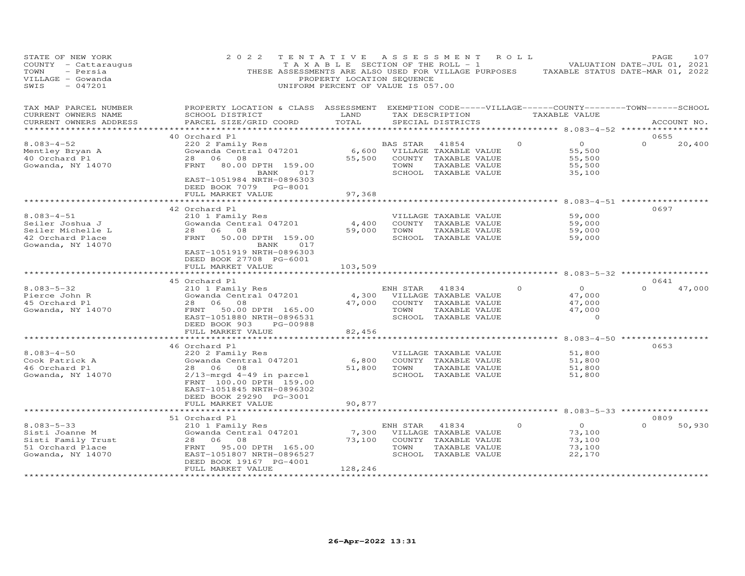| STATE OF NEW YORK<br>COUNTY - Cattaraugus<br>TOWN<br>- Persia<br>VILLAGE - Gowanda<br>SWIS<br>$-047201$ | 2 0 2 2<br>THESE ASSESSMENTS ARE ALSO USED FOR VILLAGE PURPOSES                                                                                                                           | TENTATIVE<br>T A X A B L E SECTION OF THE ROLL - 1<br>PROPERTY LOCATION SEQUENCE<br>UNIFORM PERCENT OF VALUE IS 057.00 | A S S E S S M E N T |                                                                                                 | ROLL     | TAXABLE STATUS DATE-MAR 01, 2022                              | PAGE<br>VALUATION DATE-JUL 01, 2021 | 107         |
|---------------------------------------------------------------------------------------------------------|-------------------------------------------------------------------------------------------------------------------------------------------------------------------------------------------|------------------------------------------------------------------------------------------------------------------------|---------------------|-------------------------------------------------------------------------------------------------|----------|---------------------------------------------------------------|-------------------------------------|-------------|
| TAX MAP PARCEL NUMBER<br>CURRENT OWNERS NAME<br>CURRENT OWNERS ADDRESS                                  | PROPERTY LOCATION & CLASS ASSESSMENT EXEMPTION CODE-----VILLAGE------COUNTY-------TOWN------SCHOOL<br>SCHOOL DISTRICT<br>PARCEL SIZE/GRID COORD                                           | LAND<br>TOTAL                                                                                                          |                     | TAX DESCRIPTION<br>SPECIAL DISTRICTS                                                            |          | TAXABLE VALUE                                                 |                                     | ACCOUNT NO. |
| ***********************                                                                                 |                                                                                                                                                                                           |                                                                                                                        |                     |                                                                                                 |          |                                                               |                                     |             |
| $8.083 - 4 - 52$<br>Mentley Bryan A<br>40 Orchard Pl<br>Gowanda, NY 14070                               | 40 Orchard Pl<br>220 2 Family Res<br>Gowanda Central 047201<br>28 06 08<br>80.00 DPTH 159.00<br>FRNT<br>017<br>BANK<br>EAST-1051984 NRTH-0896303<br>DEED BOOK 7079 PG-8001                | 6,600<br>55,500                                                                                                        | BAS STAR<br>TOWN    | 41854<br>VILLAGE TAXABLE VALUE<br>COUNTY TAXABLE VALUE<br>TAXABLE VALUE<br>SCHOOL TAXABLE VALUE | $\Omega$ | $\overline{O}$<br>55,500<br>55,500<br>55,500<br>35,100        | 0655<br>$\Omega$                    | 20,400      |
|                                                                                                         | FULL MARKET VALUE                                                                                                                                                                         | 97,368                                                                                                                 |                     |                                                                                                 |          |                                                               |                                     |             |
|                                                                                                         |                                                                                                                                                                                           |                                                                                                                        |                     |                                                                                                 |          |                                                               |                                     |             |
| $8.083 - 4 - 51$<br>Seiler Joshua J<br>Seiler Michelle L<br>42 Orchard Place<br>Gowanda, NY 14070       | 42 Orchard Pl<br>210 1 Family Res<br>Gowanda Central 047201<br>28<br>06<br>08<br>50.00 DPTH 159.00<br>FRNT<br>BANK<br>017                                                                 | 4,400<br>59,000                                                                                                        | TOWN                | VILLAGE TAXABLE VALUE<br>COUNTY TAXABLE VALUE<br>TAXABLE VALUE<br>SCHOOL TAXABLE VALUE          |          | 59,000<br>59,000<br>59,000<br>59,000                          | 0697                                |             |
|                                                                                                         | EAST-1051919 NRTH-0896303<br>DEED BOOK 27708 PG-6001<br>FULL MARKET VALUE                                                                                                                 | 103,509                                                                                                                |                     |                                                                                                 |          | ******** 8.083-5-32 ***********                               |                                     |             |
| $8.083 - 5 - 32$                                                                                        | 45 Orchard Pl                                                                                                                                                                             |                                                                                                                        |                     |                                                                                                 | $\circ$  | $\overline{O}$                                                | 0641<br>$\cap$                      | 47,000      |
| Pierce John R<br>45 Orchard Pl<br>Gowanda, NY 14070                                                     | 210 1 Family Res<br>Gowanda Central 047201<br>28 06<br>08<br>FRNT<br>50.00 DPTH 165.00                                                                                                    | 4,300<br>47,000                                                                                                        | ENH STAR<br>TOWN    | 41834<br>VILLAGE TAXABLE VALUE<br>COUNTY TAXABLE VALUE<br>TAXABLE VALUE                         |          | 47,000<br>47,000<br>47,000                                    |                                     |             |
|                                                                                                         | EAST-1051880 NRTH-0896531<br>DEED BOOK 903<br>PG-00988<br>FULL MARKET VALUE                                                                                                               | 82,456                                                                                                                 |                     | SCHOOL TAXABLE VALUE                                                                            |          | $\circ$                                                       |                                     |             |
|                                                                                                         | *****************************                                                                                                                                                             | *************                                                                                                          |                     |                                                                                                 |          | ************************************ 8.083–4–50 ************* |                                     |             |
| $8.083 - 4 - 50$<br>Cook Patrick A<br>46 Orchard Pl<br>Gowanda, NY 14070                                | 46 Orchard Pl<br>220 2 Family Res<br>Gowanda Central 047201<br>28 06 08<br>$2/13$ -mrgd 4-49 in parcel<br>FRNT 100.00 DPTH 159.00<br>EAST-1051845 NRTH-0896302<br>DEED BOOK 29290 PG-3001 | 6,800<br>51,800                                                                                                        | TOWN                | VILLAGE TAXABLE VALUE<br>COUNTY TAXABLE VALUE<br>TAXABLE VALUE<br>SCHOOL TAXABLE VALUE          |          | 51,800<br>51,800<br>51,800<br>51,800                          | 0653                                |             |
|                                                                                                         | FULL MARKET VALUE                                                                                                                                                                         | 90,877                                                                                                                 |                     |                                                                                                 |          |                                                               |                                     |             |
|                                                                                                         |                                                                                                                                                                                           |                                                                                                                        |                     |                                                                                                 |          |                                                               | $8.083 - 5 - 33$ ***********        |             |
|                                                                                                         | 51 Orchard Pl                                                                                                                                                                             |                                                                                                                        |                     |                                                                                                 |          |                                                               | 0809                                |             |
| $8.083 - 5 - 33$<br>Sisti Joanne M<br>Sisti Family Trust<br>51 Orchard Place<br>Gowanda, NY 14070       | 210 1 Family Res<br>Gowanda Central 047201<br>28 06<br>08<br>FRNT<br>95.00 DPTH 165.00<br>EAST-1051807 NRTH-0896527<br>DEED BOOK 19167 PG-4001<br>FULL MARKET VALUE                       | 7,300<br>73,100<br>128,246                                                                                             | ENH STAR<br>TOWN    | 41834<br>VILLAGE TAXABLE VALUE<br>COUNTY TAXABLE VALUE<br>TAXABLE VALUE<br>SCHOOL TAXABLE VALUE | $\circ$  | $\overline{O}$<br>73,100<br>73,100<br>73,100<br>22,170        | $\Omega$                            | 50,930      |
|                                                                                                         |                                                                                                                                                                                           |                                                                                                                        |                     |                                                                                                 |          |                                                               |                                     |             |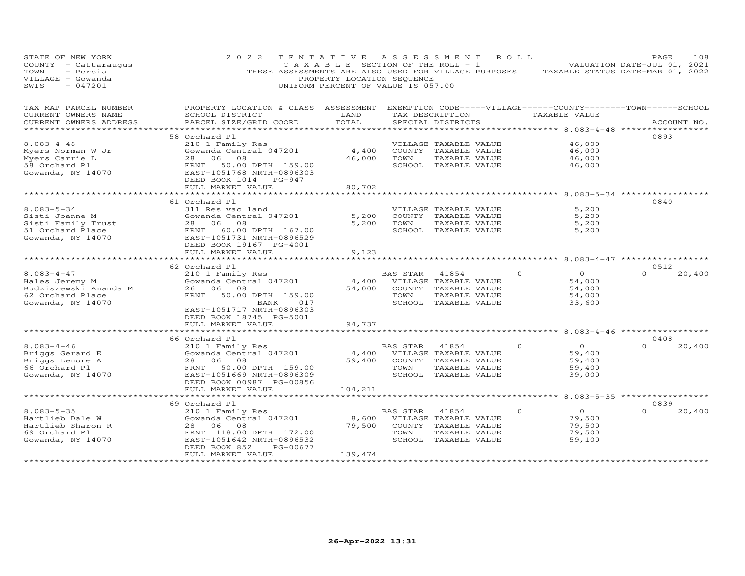| STATE OF NEW YORK<br>COUNTY - Cattaraugus<br>- Persia<br>TOWN<br>VILLAGE - Gowanda<br>$-047201$<br>SWIS | 2 0 2 2                                                                                                                                         | TENTATIVE<br>T A X A B L E SECTION OF THE ROLL - 1<br>PROPERTY LOCATION SEQUENCE<br>UNIFORM PERCENT OF VALUE IS 057.00 | A S S E S S M E N T         |                                       | R O L L | THESE ASSESSMENTS ARE ALSO USED FOR VILLAGE PURPOSES TAXABLE STATUS DATE-MAR 01, 2022 | PAGE<br>VALUATION DATE-JUL 01, 2021 | 108         |
|---------------------------------------------------------------------------------------------------------|-------------------------------------------------------------------------------------------------------------------------------------------------|------------------------------------------------------------------------------------------------------------------------|-----------------------------|---------------------------------------|---------|---------------------------------------------------------------------------------------|-------------------------------------|-------------|
| TAX MAP PARCEL NUMBER<br>CURRENT OWNERS NAME<br>CURRENT OWNERS ADDRESS                                  | PROPERTY LOCATION & CLASS ASSESSMENT EXEMPTION CODE-----VILLAGE------COUNTY-------TOWN------SCHOOL<br>SCHOOL DISTRICT<br>PARCEL SIZE/GRID COORD | LAND<br>TOTAL                                                                                                          |                             | TAX DESCRIPTION<br>SPECIAL DISTRICTS  |         | TAXABLE VALUE                                                                         |                                     | ACCOUNT NO. |
| ***************                                                                                         |                                                                                                                                                 |                                                                                                                        |                             |                                       |         | **********************************8.083-4-48 *****************                        |                                     |             |
|                                                                                                         | 58 Orchard Pl                                                                                                                                   |                                                                                                                        |                             |                                       |         |                                                                                       | 0893                                |             |
| $8.083 - 4 - 48$                                                                                        | 210 1 Family Res                                                                                                                                |                                                                                                                        |                             | VILLAGE TAXABLE VALUE                 |         | 46,000                                                                                |                                     |             |
| Myers Norman W Jr                                                                                       | Gowanda Central 047201<br>28 06<br>08                                                                                                           | 4,400<br>46,000                                                                                                        | TOWN                        | COUNTY TAXABLE VALUE<br>TAXABLE VALUE |         | 46,000<br>46,000                                                                      |                                     |             |
| Myers Carrie L<br>58 Orchard Pl                                                                         | 50.00 DPTH 159.00<br>FRNT                                                                                                                       |                                                                                                                        |                             | SCHOOL TAXABLE VALUE                  |         | 46,000                                                                                |                                     |             |
| Gowanda, NY 14070                                                                                       | EAST-1051768 NRTH-0896303<br>DEED BOOK 1014 PG-947<br>FULL MARKET VALUE                                                                         | 80,702                                                                                                                 |                             |                                       |         |                                                                                       |                                     |             |
|                                                                                                         | ********************************                                                                                                                | * * * * * * * * * * * * * *                                                                                            |                             |                                       |         |                                                                                       |                                     |             |
|                                                                                                         | 61 Orchard Pl                                                                                                                                   |                                                                                                                        |                             |                                       |         |                                                                                       | 0840                                |             |
| $8.083 - 5 - 34$                                                                                        | 311 Res vac land                                                                                                                                |                                                                                                                        |                             | VILLAGE TAXABLE VALUE                 |         | 5,200                                                                                 |                                     |             |
| Sisti Joanne M                                                                                          | Gowanda Central 047201                                                                                                                          | 5,200                                                                                                                  |                             | COUNTY TAXABLE VALUE                  |         | 5,200                                                                                 |                                     |             |
| Sisti Family Trust<br>51 Orchard Place                                                                  | 28 06<br>08<br>FRNT 60.00 DPTH 167.00                                                                                                           | 5,200                                                                                                                  | TOWN                        | TAXABLE VALUE<br>SCHOOL TAXABLE VALUE |         | 5,200<br>5,200                                                                        |                                     |             |
| Gowanda, NY 14070                                                                                       | EAST-1051731 NRTH-0896529                                                                                                                       |                                                                                                                        |                             |                                       |         |                                                                                       |                                     |             |
|                                                                                                         | DEED BOOK 19167 PG-4001                                                                                                                         |                                                                                                                        |                             |                                       |         |                                                                                       |                                     |             |
|                                                                                                         | FULL MARKET VALUE                                                                                                                               | 9,123                                                                                                                  |                             |                                       |         |                                                                                       |                                     |             |
|                                                                                                         |                                                                                                                                                 |                                                                                                                        |                             |                                       |         | *********** 8.083-4-47 *****************                                              |                                     |             |
| $8.083 - 4 - 47$                                                                                        | 62 Orchard Pl<br>210 1 Family Res                                                                                                               |                                                                                                                        | BAS STAR                    | 41854                                 |         | $\overline{O}$<br>$\circ$                                                             | 0512<br>$\Omega$                    | 20,400      |
| Hales Jeremy M                                                                                          | Gowanda Central 047201                                                                                                                          |                                                                                                                        | 4,400 VILLAGE TAXABLE VALUE |                                       |         | 54,000                                                                                |                                     |             |
| Budziszewski Amanda M                                                                                   | 26 06 08                                                                                                                                        | 54,000                                                                                                                 |                             | COUNTY TAXABLE VALUE                  |         | 54,000                                                                                |                                     |             |
| 62 Orchard Place                                                                                        | FRNT<br>50.00 DPTH 159.00                                                                                                                       |                                                                                                                        | TOWN                        | TAXABLE VALUE                         |         | 54,000                                                                                |                                     |             |
| Gowanda, NY 14070                                                                                       | 017<br>BANK                                                                                                                                     |                                                                                                                        |                             | SCHOOL TAXABLE VALUE                  |         | 33,600                                                                                |                                     |             |
|                                                                                                         | EAST-1051717 NRTH-0896303                                                                                                                       |                                                                                                                        |                             |                                       |         |                                                                                       |                                     |             |
|                                                                                                         | DEED BOOK 18745 PG-5001                                                                                                                         |                                                                                                                        |                             |                                       |         |                                                                                       |                                     |             |
|                                                                                                         | FULL MARKET VALUE<br>***********************                                                                                                    | 94,737<br>************                                                                                                 |                             |                                       |         | ********************************* 8.083-4-46 ******************                       |                                     |             |
|                                                                                                         | 66 Orchard Pl                                                                                                                                   |                                                                                                                        |                             |                                       |         |                                                                                       | 0408                                |             |
| $8.083 - 4 - 46$                                                                                        | 210 1 Family Res                                                                                                                                |                                                                                                                        | BAS STAR                    | 41854                                 |         | $\overline{O}$<br>$\Omega$                                                            | $\Omega$                            | 20,400      |
| Briggs Gerard E                                                                                         | Gowanda Central 047201                                                                                                                          | 4,400                                                                                                                  |                             | VILLAGE TAXABLE VALUE                 |         | 59,400                                                                                |                                     |             |
| Briggs Lenore A                                                                                         | 28 06 08                                                                                                                                        | 59,400                                                                                                                 |                             | COUNTY TAXABLE VALUE                  |         | 59,400                                                                                |                                     |             |
| 66 Orchard Pl                                                                                           | FRNT<br>50.00 DPTH 159.00                                                                                                                       |                                                                                                                        | TOWN                        | TAXABLE VALUE                         |         | 59,400                                                                                |                                     |             |
| Gowanda, NY 14070                                                                                       | EAST-1051669 NRTH-0896309<br>DEED BOOK 00987 PG-00856                                                                                           |                                                                                                                        |                             | SCHOOL TAXABLE VALUE                  |         | 39,000                                                                                |                                     |             |
|                                                                                                         | FULL MARKET VALUE                                                                                                                               | 104,211                                                                                                                |                             |                                       |         |                                                                                       |                                     |             |
|                                                                                                         |                                                                                                                                                 |                                                                                                                        |                             |                                       |         |                                                                                       |                                     |             |
|                                                                                                         | 69 Orchard Pl                                                                                                                                   |                                                                                                                        |                             |                                       |         |                                                                                       | 0839                                |             |
| $8.083 - 5 - 35$                                                                                        | 210 1 Family Res                                                                                                                                |                                                                                                                        | BAS STAR                    | 41854                                 |         | $\overline{O}$<br>$\Omega$                                                            |                                     | 20,400      |
| Hartlieb Dale W                                                                                         | Gowanda Central 047201                                                                                                                          | 8,600                                                                                                                  |                             | VILLAGE TAXABLE VALUE                 |         | 79,500                                                                                |                                     |             |
| Hartlieb Sharon R                                                                                       | 28 06<br>08                                                                                                                                     | 79,500                                                                                                                 |                             | COUNTY TAXABLE VALUE                  |         | 79,500                                                                                |                                     |             |
| 69 Orchard Pl<br>Gowanda, NY 14070                                                                      | FRNT 118.00 DPTH 172.00<br>EAST-1051642 NRTH-0896532                                                                                            |                                                                                                                        | TOWN                        | TAXABLE VALUE<br>SCHOOL TAXABLE VALUE |         | 79,500<br>59,100                                                                      |                                     |             |
|                                                                                                         | PG-00677<br>DEED BOOK 852                                                                                                                       |                                                                                                                        |                             |                                       |         |                                                                                       |                                     |             |
|                                                                                                         | FULL MARKET VALUE                                                                                                                               | 139,474                                                                                                                |                             |                                       |         |                                                                                       |                                     |             |
|                                                                                                         | *************************                                                                                                                       | ****************                                                                                                       |                             |                                       |         |                                                                                       |                                     |             |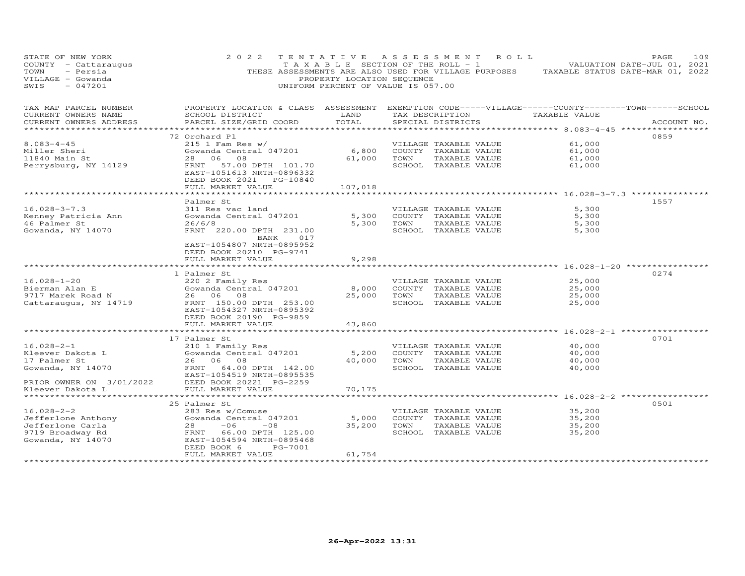| STATE OF NEW YORK<br>COUNTY - Cattaraugus<br>TOWN<br>- Persia<br>VILLAGE - Gowanda<br>$-047201$<br>SWIS | 2 0 2 2                                                                                                                                          | TENTATIVE ASSESSMENT<br>PROPERTY LOCATION SEQUENCE<br>UNIFORM PERCENT OF VALUE IS 057.00 |      | R O L L<br>T A X A B L E SECTION OF THE ROLL - 1<br>THESE ASSESSMENTS ARE ALSO USED FOR VILLAGE PURPOSES |                                                      | PAGE<br>109<br>VALUATION DATE-JUL 01, 2021<br>TAXABLE STATUS DATE-MAR 01, 2022 |
|---------------------------------------------------------------------------------------------------------|--------------------------------------------------------------------------------------------------------------------------------------------------|------------------------------------------------------------------------------------------|------|----------------------------------------------------------------------------------------------------------|------------------------------------------------------|--------------------------------------------------------------------------------|
| TAX MAP PARCEL NUMBER<br>CURRENT OWNERS NAME<br>CURRENT OWNERS ADDRESS                                  | PROPERTY LOCATION & CLASS ASSESSMENT EXEMPTION CODE-----VILLAGE------COUNTY--------TOWN------SCHOOL<br>SCHOOL DISTRICT<br>PARCEL SIZE/GRID COORD | LAND<br>TOTAL                                                                            |      | TAX DESCRIPTION<br>SPECIAL DISTRICTS                                                                     | TAXABLE VALUE                                        | ACCOUNT NO.                                                                    |
| *******************                                                                                     |                                                                                                                                                  |                                                                                          |      | *********************************** 8.083-4-45 ******************                                        |                                                      | 0859                                                                           |
| $8.083 - 4 - 45$                                                                                        | 72 Orchard Pl<br>$215$ 1 Fam Res w/                                                                                                              |                                                                                          |      | VILLAGE TAXABLE VALUE                                                                                    | 61,000                                               |                                                                                |
| Miller Sheri                                                                                            | Gowanda Central 047201                                                                                                                           | 6,800                                                                                    |      | COUNTY TAXABLE VALUE                                                                                     | 61,000                                               |                                                                                |
| 11840 Main St                                                                                           | 08<br>28 06                                                                                                                                      | 61,000                                                                                   | TOWN | TAXABLE VALUE                                                                                            | 61,000                                               |                                                                                |
| Perrysburg, NY 14129                                                                                    | FRNT 57.00 DPTH 101.70<br>EAST-1051613 NRTH-0896332<br>DEED BOOK 2021 PG-10840                                                                   |                                                                                          |      | SCHOOL TAXABLE VALUE                                                                                     | 61,000                                               |                                                                                |
|                                                                                                         | FULL MARKET VALUE                                                                                                                                | 107,018                                                                                  |      |                                                                                                          | ************************ 16.028-3-7.3 ************** |                                                                                |
|                                                                                                         | Palmer St                                                                                                                                        |                                                                                          |      |                                                                                                          |                                                      | 1557                                                                           |
| $16.028 - 3 - 7.3$                                                                                      | 311 Res vac land                                                                                                                                 |                                                                                          |      | VILLAGE TAXABLE VALUE                                                                                    | 5,300                                                |                                                                                |
| Kenney Patricia Ann                                                                                     | Gowanda Central 047201                                                                                                                           | 5,300                                                                                    |      | COUNTY TAXABLE VALUE                                                                                     | 5,300                                                |                                                                                |
| 46 Palmer St                                                                                            | 26/6/8                                                                                                                                           | 5,300                                                                                    | TOWN | TAXABLE VALUE                                                                                            | 5,300                                                |                                                                                |
| Gowanda, NY 14070                                                                                       | FRNT 220.00 DPTH 231.00<br>017<br>BANK                                                                                                           |                                                                                          |      | SCHOOL TAXABLE VALUE                                                                                     | 5,300                                                |                                                                                |
|                                                                                                         | EAST-1054807 NRTH-0895952<br>DEED BOOK 20210 PG-9741                                                                                             |                                                                                          |      |                                                                                                          |                                                      |                                                                                |
|                                                                                                         | FULL MARKET VALUE                                                                                                                                | 9,298                                                                                    |      |                                                                                                          | ********** 16.028-1-20 **********                    |                                                                                |
|                                                                                                         | 1 Palmer St                                                                                                                                      |                                                                                          |      |                                                                                                          |                                                      | 0274                                                                           |
| $16.028 - 1 - 20$                                                                                       | 220 2 Family Res                                                                                                                                 |                                                                                          |      | VILLAGE TAXABLE VALUE                                                                                    | 25,000                                               |                                                                                |
| Bierman Alan E                                                                                          | Gowanda Central 047201                                                                                                                           | 8,000                                                                                    |      | COUNTY TAXABLE VALUE                                                                                     | 25,000                                               |                                                                                |
| 9717 Marek Road N                                                                                       | 26 06<br>08                                                                                                                                      | 25,000                                                                                   | TOWN | TAXABLE VALUE                                                                                            | 25,000                                               |                                                                                |
| Cattaraugus, NY 14719                                                                                   | FRNT 150.00 DPTH 253.00<br>EAST-1054327 NRTH-0895392                                                                                             |                                                                                          |      | SCHOOL TAXABLE VALUE                                                                                     | 25,000                                               |                                                                                |
|                                                                                                         | DEED BOOK 20190 PG-9859<br>FULL MARKET VALUE                                                                                                     | 43,860                                                                                   |      |                                                                                                          |                                                      |                                                                                |
|                                                                                                         |                                                                                                                                                  |                                                                                          |      |                                                                                                          |                                                      |                                                                                |
|                                                                                                         | 17 Palmer St                                                                                                                                     |                                                                                          |      |                                                                                                          |                                                      | 0701                                                                           |
| $16.028 - 2 - 1$                                                                                        | 210 1 Family Res                                                                                                                                 |                                                                                          |      | VILLAGE TAXABLE VALUE                                                                                    | 40,000                                               |                                                                                |
| Kleever Dakota L                                                                                        | Gowanda Central 047201                                                                                                                           | 5,200                                                                                    |      | COUNTY TAXABLE VALUE                                                                                     | 40,000                                               |                                                                                |
| 17 Palmer St                                                                                            | 26 06 08                                                                                                                                         | 40,000                                                                                   | TOWN | TAXABLE VALUE                                                                                            | 40,000                                               |                                                                                |
| Gowanda, NY 14070                                                                                       | FRNT 64.00 DPTH 142.00<br>EAST-1054519 NRTH-0895535                                                                                              |                                                                                          |      | SCHOOL TAXABLE VALUE                                                                                     | 40,000                                               |                                                                                |
| PRIOR OWNER ON 3/01/2022                                                                                | DEED BOOK 20221 PG-2259                                                                                                                          |                                                                                          |      |                                                                                                          |                                                      |                                                                                |
| Kleever Dakota L<br>*******************                                                                 | FULL MARKET VALUE<br>************************                                                                                                    | 70,175<br>*************                                                                  |      |                                                                                                          |                                                      |                                                                                |
|                                                                                                         | 25 Palmer St                                                                                                                                     |                                                                                          |      | ************************************** 16.028-2-2 *************                                          |                                                      | 0501                                                                           |
| $16.028 - 2 - 2$                                                                                        | 283 Res w/Comuse                                                                                                                                 |                                                                                          |      | VILLAGE TAXABLE VALUE                                                                                    | 35,200                                               |                                                                                |
| Jefferlone Anthony                                                                                      | Gowanda Central 047201                                                                                                                           | 5,000                                                                                    |      | COUNTY TAXABLE VALUE                                                                                     | 35,200                                               |                                                                                |
| Jefferlone Carla                                                                                        | 28<br>$-06$<br>$-08$                                                                                                                             | 35,200                                                                                   | TOWN | TAXABLE VALUE                                                                                            | 35,200                                               |                                                                                |
| 9719 Broadway Rd                                                                                        | FRNT 66.00 DPTH 125.00                                                                                                                           |                                                                                          |      | SCHOOL TAXABLE VALUE                                                                                     | 35,200                                               |                                                                                |
| Gowanda, NY 14070                                                                                       | EAST-1054594 NRTH-0895468<br>PG-7001<br>DEED BOOK 6                                                                                              |                                                                                          |      |                                                                                                          |                                                      |                                                                                |
|                                                                                                         | FULL MARKET VALUE                                                                                                                                | 61,754                                                                                   |      |                                                                                                          |                                                      |                                                                                |
|                                                                                                         |                                                                                                                                                  |                                                                                          |      |                                                                                                          |                                                      |                                                                                |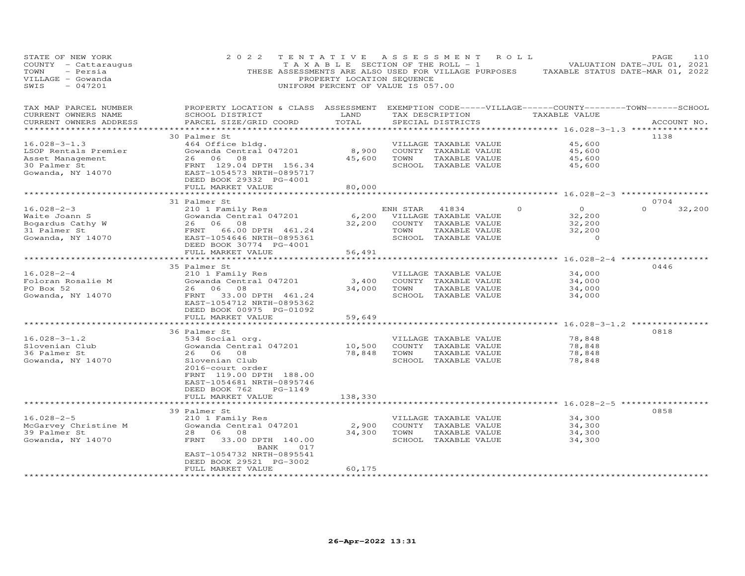| STATE OF NEW YORK<br>COUNTY - Cattaraugus<br>- Persia<br>TOWN<br>VILLAGE - Gowanda<br>SWIS<br>$-047201$ | 2 0 2 2                                                                                                                                         | TENTATIVE<br>T A X A B L E SECTION OF THE ROLL - 1<br>PROPERTY LOCATION SEQUENCE<br>UNIFORM PERCENT OF VALUE IS 057.00 | A S S E S S M E N T |                       | R O L L  | THESE ASSESSMENTS ARE ALSO USED FOR VILLAGE PURPOSES TAXABLE STATUS DATE-MAR 01, 2022 | PAGE<br>VALUATION DATE-JUL 01, 2021 | 110         |
|---------------------------------------------------------------------------------------------------------|-------------------------------------------------------------------------------------------------------------------------------------------------|------------------------------------------------------------------------------------------------------------------------|---------------------|-----------------------|----------|---------------------------------------------------------------------------------------|-------------------------------------|-------------|
| TAX MAP PARCEL NUMBER<br>CURRENT OWNERS NAME<br>CURRENT OWNERS ADDRESS                                  | PROPERTY LOCATION & CLASS ASSESSMENT EXEMPTION CODE-----VILLAGE------COUNTY-------TOWN------SCHOOL<br>SCHOOL DISTRICT<br>PARCEL SIZE/GRID COORD | LAND<br>TOTAL                                                                                                          |                     | SPECIAL DISTRICTS     |          | TAX DESCRIPTION TAXABLE VALUE                                                         |                                     | ACCOUNT NO. |
| ***********************                                                                                 |                                                                                                                                                 |                                                                                                                        |                     |                       |          |                                                                                       |                                     |             |
|                                                                                                         | 30 Palmer St                                                                                                                                    |                                                                                                                        |                     |                       |          |                                                                                       | 1138                                |             |
| $16.028 - 3 - 1.3$                                                                                      | 464 Office bldg.<br>Gowanda Central 047201                                                                                                      |                                                                                                                        |                     | VILLAGE TAXABLE VALUE |          | 45,600                                                                                |                                     |             |
| LSOP Rentals Premier                                                                                    | 26 06 08                                                                                                                                        | 8,900                                                                                                                  | TOWN                | COUNTY TAXABLE VALUE  |          | 45,600                                                                                |                                     |             |
| Asset Management                                                                                        |                                                                                                                                                 | 45,600                                                                                                                 |                     | TAXABLE VALUE         |          | 45,600                                                                                |                                     |             |
| 30 Palmer St<br>Gowanda, NY 14070                                                                       | FRNT 129.04 DPTH 156.34<br>EAST-1054573 NRTH-0895717<br>DEED BOOK 29332 PG-4001                                                                 |                                                                                                                        |                     | SCHOOL TAXABLE VALUE  |          | 45,600                                                                                |                                     |             |
|                                                                                                         | FULL MARKET VALUE                                                                                                                               | 80,000                                                                                                                 |                     |                       |          |                                                                                       |                                     |             |
|                                                                                                         |                                                                                                                                                 |                                                                                                                        |                     |                       |          | ********** 16.028-2-3 ***********                                                     |                                     |             |
|                                                                                                         | 31 Palmer St                                                                                                                                    |                                                                                                                        |                     |                       |          |                                                                                       | 0704                                |             |
| $16.028 - 2 - 3$                                                                                        | 210 1 Family Res                                                                                                                                |                                                                                                                        | ENH STAR            | 41834                 | $\Omega$ | $\overline{O}$                                                                        | $\Omega$                            | 32,200      |
| Waite Joann S                                                                                           | Gowanda Central 047201                                                                                                                          | 6,200                                                                                                                  |                     | VILLAGE TAXABLE VALUE |          | 32,200                                                                                |                                     |             |
| Bogardus Cathy W                                                                                        | 26 06 08                                                                                                                                        | 32,200                                                                                                                 |                     | COUNTY TAXABLE VALUE  |          | 32,200                                                                                |                                     |             |
| 31 Palmer St                                                                                            | FRNT<br>EAST-10<br>66.00 DPTH 461.24                                                                                                            |                                                                                                                        | TOWN                | TAXABLE VALUE         |          | 32,200                                                                                |                                     |             |
| Gowanda, NY 14070                                                                                       | EAST-1054646 NRTH-0895361<br>DEED BOOK 30774 PG-4001                                                                                            |                                                                                                                        |                     | SCHOOL TAXABLE VALUE  |          | $\sim$ 0                                                                              |                                     |             |
|                                                                                                         | FULL MARKET VALUE                                                                                                                               | 56,491<br>*************                                                                                                |                     |                       |          |                                                                                       |                                     |             |
|                                                                                                         |                                                                                                                                                 |                                                                                                                        |                     |                       |          | ***************************** 16.028-2-4 ************                                 |                                     |             |
|                                                                                                         | 35 Palmer St                                                                                                                                    |                                                                                                                        |                     |                       |          |                                                                                       | 0446                                |             |
| $16.028 - 2 - 4$                                                                                        | 210 1 Family Res                                                                                                                                |                                                                                                                        |                     | VILLAGE TAXABLE VALUE |          | 34,000                                                                                |                                     |             |
| Foloran Rosalie M                                                                                       | Gowanda Central 047201                                                                                                                          | 3,400                                                                                                                  |                     | COUNTY TAXABLE VALUE  |          | 34,000                                                                                |                                     |             |
| PO Box 52                                                                                               | 26 06 08<br>26 06 08<br>FRNT 33.00 DPTH 461.24                                                                                                  | 34,000                                                                                                                 | TOWN                | TAXABLE VALUE         |          | 34,000                                                                                |                                     |             |
| Gowanda, NY 14070                                                                                       | EAST-1054712 NRTH-0895362<br>DEED BOOK 00975 PG-01092                                                                                           |                                                                                                                        |                     | SCHOOL TAXABLE VALUE  |          | 34,000                                                                                |                                     |             |
|                                                                                                         | FULL MARKET VALUE<br>***************************                                                                                                | 59,649                                                                                                                 |                     |                       |          | ************************************** 16.028-3-1.2 ***************                   |                                     |             |
|                                                                                                         | 36 Palmer St                                                                                                                                    |                                                                                                                        |                     |                       |          |                                                                                       | 0818                                |             |
| $16.028 - 3 - 1.2$                                                                                      | 534 Social org.                                                                                                                                 |                                                                                                                        |                     | VILLAGE TAXABLE VALUE |          | 78,848                                                                                |                                     |             |
| Slovenian Club                                                                                          | Gowanda Central 047201                                                                                                                          | 10,500                                                                                                                 |                     | COUNTY TAXABLE VALUE  |          | 78,848                                                                                |                                     |             |
| 36 Palmer St                                                                                            | 26 06 08                                                                                                                                        | 78,848                                                                                                                 | TOWN                | TAXABLE VALUE         |          | 78,848                                                                                |                                     |             |
| Gowanda, NY 14070                                                                                       | Slovenian Club<br>2016-court order<br>FRNT 119.00 DPTH 188.00<br>EAST-1054681 NRTH-0895746<br>DEED BOOK 762<br>PG-1149<br>FULL MARKET VALUE     | 138,330                                                                                                                |                     | SCHOOL TAXABLE VALUE  |          | 78,848                                                                                |                                     |             |
|                                                                                                         | *************************                                                                                                                       |                                                                                                                        |                     |                       |          |                                                                                       |                                     |             |
|                                                                                                         | 39 Palmer St                                                                                                                                    |                                                                                                                        |                     |                       |          |                                                                                       | 0858                                |             |
| $16.028 - 2 - 5$                                                                                        | 210 1 Family Res                                                                                                                                |                                                                                                                        |                     | VILLAGE TAXABLE VALUE |          | 34,300                                                                                |                                     |             |
| McGarvey Christine M                                                                                    | Gowanda Central 047201                                                                                                                          | 2,900                                                                                                                  |                     | COUNTY TAXABLE VALUE  |          | 34,300                                                                                |                                     |             |
| 39 Palmer St                                                                                            | 28 06 08                                                                                                                                        | 34,300                                                                                                                 | TOWN                | TAXABLE VALUE         |          | 34,300                                                                                |                                     |             |
| Gowanda, NY 14070                                                                                       | FRNT<br>33.00 DPTH 140.00                                                                                                                       |                                                                                                                        |                     | SCHOOL TAXABLE VALUE  |          | 34,300                                                                                |                                     |             |
|                                                                                                         | BANK<br>017<br>EAST-1054732 NRTH-0895541                                                                                                        |                                                                                                                        |                     |                       |          |                                                                                       |                                     |             |
|                                                                                                         | DEED BOOK 29521 PG-3002                                                                                                                         |                                                                                                                        |                     |                       |          |                                                                                       |                                     |             |
|                                                                                                         | FULL MARKET VALUE                                                                                                                               | 60,175                                                                                                                 |                     |                       |          |                                                                                       |                                     |             |
| ***********************                                                                                 |                                                                                                                                                 |                                                                                                                        |                     |                       |          |                                                                                       |                                     |             |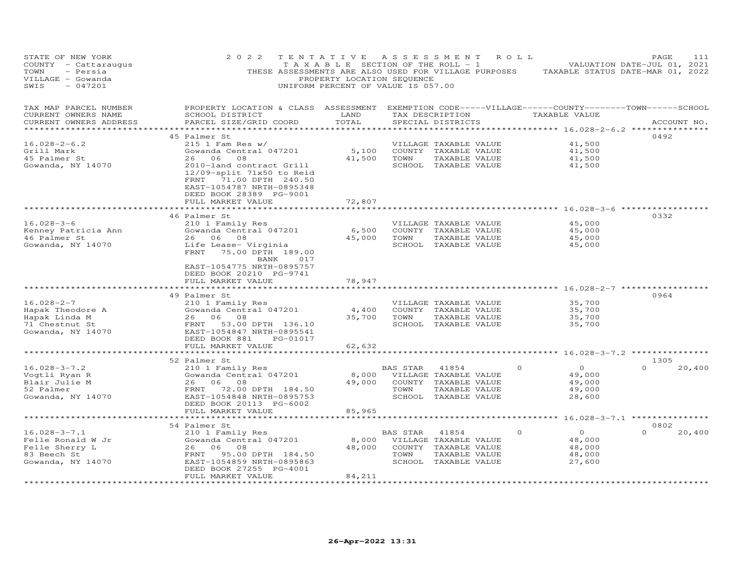| STATE OF NEW YORK<br>COUNTY - Cattaraugus<br>TOWN<br>- Persia<br>VILLAGE - Gowanda<br>$-047201$<br>SWIS | 2 0 2 2<br>THESE ASSESSMENTS ARE ALSO USED FOR VILLAGE PURPOSES                                                                                                                                                               | TENTATIVE<br>T A X A B L E SECTION OF THE ROLL - 1<br>PROPERTY LOCATION SEQUENCE<br>UNIFORM PERCENT OF VALUE IS 057.00 | ASSESSMENT                 |                                                                                                 | R O L L  | TAXABLE STATUS DATE-MAR 01, 2022                                                                         | PAGE<br>VALUATION DATE-JUL 01, 2021 | 111         |
|---------------------------------------------------------------------------------------------------------|-------------------------------------------------------------------------------------------------------------------------------------------------------------------------------------------------------------------------------|------------------------------------------------------------------------------------------------------------------------|----------------------------|-------------------------------------------------------------------------------------------------|----------|----------------------------------------------------------------------------------------------------------|-------------------------------------|-------------|
| TAX MAP PARCEL NUMBER<br>CURRENT OWNERS NAME<br>CURRENT OWNERS ADDRESS                                  | PROPERTY LOCATION & CLASS ASSESSMENT<br>SCHOOL DISTRICT<br>PARCEL SIZE/GRID COORD                                                                                                                                             | LAND<br>TOTAL                                                                                                          |                            | TAX DESCRIPTION<br>SPECIAL DISTRICTS                                                            |          | EXEMPTION CODE-----VILLAGE------COUNTY--------TOWN------SCHOOL<br>TAXABLE VALUE<br>******** 16.028-2-6.2 |                                     | ACCOUNT NO. |
| $16.028 - 2 - 6.2$<br>Grill Mark<br>45 Palmer St<br>Gowanda, NY 14070                                   | 45 Palmer St<br>$215$ 1 Fam Res w/<br>Gowanda Central 047201<br>26 06 08<br>2010-land contract Grill<br>$12/09$ -split $71x50$ to Reid<br>71.00 DPTH 240.50<br>FRNT<br>EAST-1054787 NRTH-0895348                              | 5,100<br>41,500                                                                                                        | TOWN                       | VILLAGE TAXABLE VALUE<br>COUNTY TAXABLE VALUE<br>TAXABLE VALUE<br>SCHOOL TAXABLE VALUE          |          | 41,500<br>41,500<br>41,500<br>41,500                                                                     | 0492                                |             |
|                                                                                                         | DEED BOOK 28389 PG-9001<br>FULL MARKET VALUE                                                                                                                                                                                  | 72,807                                                                                                                 |                            |                                                                                                 |          |                                                                                                          |                                     |             |
| $16.028 - 3 - 6$<br>Kenney Patricia Ann<br>46 Palmer St<br>Gowanda, NY 14070                            | 46 Palmer St<br>210 1 Family Res<br>Gowanda Central 047201<br>26<br>06<br>08<br>Life Lease- Virginia<br>FRNT<br>75.00 DPTH 189.00<br>BANK<br>017<br>EAST-1054775 NRTH-0895757                                                 | 6,500<br>45,000                                                                                                        | TOWN                       | VILLAGE TAXABLE VALUE<br>COUNTY TAXABLE VALUE<br>TAXABLE VALUE<br>SCHOOL TAXABLE VALUE          |          | ******************* 16.028-3-6 *************<br>45,000<br>45,000<br>45,000<br>45,000                     | 0332                                |             |
|                                                                                                         | DEED BOOK 20210 PG-9741<br>FULL MARKET VALUE<br>* * * * * * * * * * * * * * * * * * * *                                                                                                                                       | 78,947<br>********                                                                                                     |                            |                                                                                                 |          | ******************** 16.028-2-7 ************                                                             |                                     |             |
| $16.028 - 2 - 7$<br>Hapak Theodore A<br>Hapak Linda M<br>71 Chestnut St<br>Gowanda, NY 14070            | 49 Palmer St<br>210 1 Family Res<br>Gowanda Central 047201<br>26<br>06<br>08<br>FRNT<br>53.00 DPTH 136.10<br>EAST-1054847 NRTH-0895541<br>DEED BOOK 881<br>PG-01017                                                           | 4,400<br>35,700                                                                                                        | TOWN                       | VILLAGE TAXABLE VALUE<br>COUNTY TAXABLE VALUE<br>TAXABLE VALUE<br>SCHOOL TAXABLE VALUE          |          | 35,700<br>35,700<br>35,700<br>35,700                                                                     | 0964                                |             |
|                                                                                                         | FULL MARKET VALUE<br>*********************                                                                                                                                                                                    | 62,632<br>*********                                                                                                    |                            |                                                                                                 |          | *********** 16.028-3-7.2 ***************                                                                 |                                     |             |
| $16.028 - 3 - 7.2$<br>Voqtli Ryan R<br>Blair Julie M<br>52 Palmer<br>Gowanda, NY 14070                  | 52 Palmer St<br>210 1 Family Res<br>Gowanda Central 047201<br>26<br>06 08<br>FRNT<br>72.00 DPTH 184.50<br>EAST-1054848 NRTH-0895753<br>DEED BOOK 20113 PG-6002                                                                | 8,000<br>49,000                                                                                                        | BAS STAR<br>TOWN<br>SCHOOL | 41854<br>VILLAGE TAXABLE VALUE<br>COUNTY TAXABLE VALUE<br>TAXABLE VALUE<br>TAXABLE VALUE        | $\Omega$ | $\circ$<br>49,000<br>49,000<br>49,000<br>28,600                                                          | 1305<br>$\Omega$                    | 20,400      |
|                                                                                                         | FULL MARKET VALUE<br>**********************                                                                                                                                                                                   | 85,965                                                                                                                 |                            |                                                                                                 |          |                                                                                                          | $16.028 - 3 - 7.1$ **************   |             |
| $16.028 - 3 - 7.1$<br>Felle Ronald W Jr<br>Felle Sherry L<br>83 Beech St<br>Gowanda, NY 14070           | 54 Palmer St<br>210 1 Family Res<br>Gowanda Central 047201<br>26<br>06<br>08<br>FRNT<br>95.00 DPTH 184.50<br>EAST-1054859 NRTH-0895863<br>DEED BOOK 27255 PG-4001<br>FULL MARKET VALUE<br>* * * * * * * * * * * * * * * * * * | 8,000<br>48,000<br>84,211                                                                                              | <b>BAS STAR</b><br>TOWN    | 41854<br>VILLAGE TAXABLE VALUE<br>COUNTY TAXABLE VALUE<br>TAXABLE VALUE<br>SCHOOL TAXABLE VALUE | 0        | $\circ$<br>48,000<br>48,000<br>48,000<br>27,600                                                          | 0802<br>$\Omega$                    | 20,400      |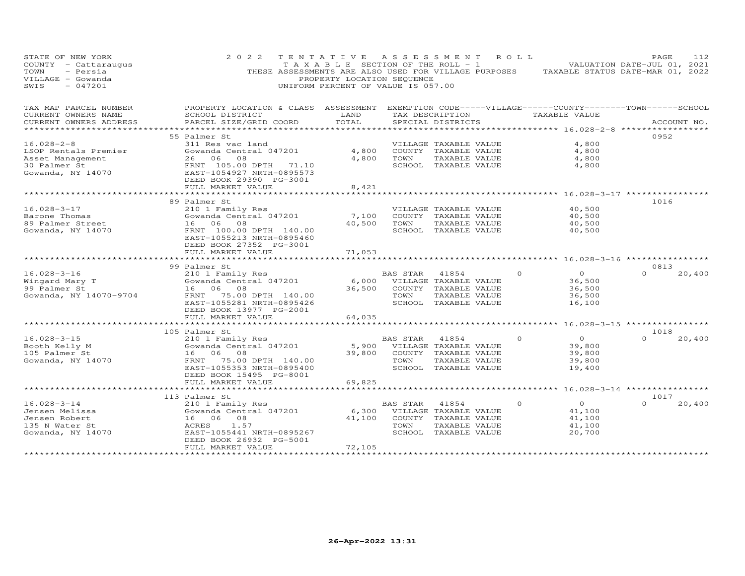| STATE OF NEW YORK<br>COUNTY - Cattaraugus<br>TOWN<br>- Persia<br>VILLAGE - Gowanda<br>$-047201$<br>SWIS | 2 0 2 2                                                                                                               | TENTATIVE ASSESSMENT ROLL<br>PROPERTY LOCATION SEQUENCE<br>UNIFORM PERCENT OF VALUE IS 057.00 |                                         |                                               |          | TAXABLE SECTION OF THE ROLL - 1 VALUATION DATE-JUL 01, 2021<br>THESE ASSESSMENTS ARE ALSO USED FOR VILLAGE PURPOSES TAXABLE STATUS DATE-MAR 01, 2022 | PAGE             | 112         |
|---------------------------------------------------------------------------------------------------------|-----------------------------------------------------------------------------------------------------------------------|-----------------------------------------------------------------------------------------------|-----------------------------------------|-----------------------------------------------|----------|------------------------------------------------------------------------------------------------------------------------------------------------------|------------------|-------------|
| TAX MAP PARCEL NUMBER<br>CURRENT OWNERS NAME                                                            | PROPERTY LOCATION & CLASS ASSESSMENT EXEMPTION CODE-----VILLAGE------COUNTY-------TOWN------SCHOOL<br>SCHOOL DISTRICT | LAND                                                                                          |                                         | TAX DESCRIPTION                               |          | TAXABLE VALUE                                                                                                                                        |                  |             |
| CURRENT OWNERS ADDRESS                                                                                  | PARCEL SIZE/GRID COORD                                                                                                | TOTAL                                                                                         |                                         | SPECIAL DISTRICTS                             |          |                                                                                                                                                      |                  | ACCOUNT NO. |
| * * * * * * * * * * * * * * * * * * * *                                                                 |                                                                                                                       |                                                                                               |                                         |                                               |          |                                                                                                                                                      |                  |             |
|                                                                                                         | 55 Palmer St                                                                                                          |                                                                                               |                                         |                                               |          |                                                                                                                                                      | 0952             |             |
| $16.028 - 2 - 8$                                                                                        | 311 Res vac land                                                                                                      |                                                                                               |                                         | VILLAGE TAXABLE VALUE                         |          | 4,800                                                                                                                                                |                  |             |
| LSOP Rentals Premier<br>Asset Management                                                                | Gowanda Central 047201<br>26 06 08                                                                                    | 4,800<br>4,800                                                                                | TOWN                                    | COUNTY TAXABLE VALUE<br>TAXABLE VALUE         |          | 4,800<br>4,800                                                                                                                                       |                  |             |
| 30 Palmer St                                                                                            | FRNT 105.00 DPTH 71.10                                                                                                |                                                                                               |                                         | SCHOOL TAXABLE VALUE                          |          | 4,800                                                                                                                                                |                  |             |
| Gowanda, NY 14070                                                                                       | EAST-1054927 NRTH-0895573<br>DEED BOOK 29390 PG-3001                                                                  |                                                                                               |                                         |                                               |          |                                                                                                                                                      |                  |             |
|                                                                                                         | FULL MARKET VALUE                                                                                                     | 8,421                                                                                         |                                         |                                               |          |                                                                                                                                                      |                  |             |
|                                                                                                         |                                                                                                                       |                                                                                               |                                         |                                               |          | ********************************* 16.028-3-17 ***********                                                                                            |                  |             |
| $16.028 - 3 - 17$                                                                                       | 89 Palmer St                                                                                                          |                                                                                               |                                         |                                               |          | 40,500                                                                                                                                               | 1016             |             |
| Barone Thomas                                                                                           | 210 1 Family Res<br>Gowanda Central 047201                                                                            | 7,100                                                                                         |                                         | VILLAGE TAXABLE VALUE<br>COUNTY TAXABLE VALUE |          | 40,500                                                                                                                                               |                  |             |
| 89 Palmer Street                                                                                        | 16 06 08                                                                                                              | 40,500                                                                                        | TOWN                                    | TAXABLE VALUE                                 |          | 40,500                                                                                                                                               |                  |             |
| Gowanda, NY 14070                                                                                       | FRNT 100.00 DPTH 140.00<br>EAST-1055213 NRTH-0895460<br>DEED BOOK 27352 PG-3001                                       |                                                                                               |                                         | SCHOOL TAXABLE VALUE                          |          | 40,500                                                                                                                                               |                  |             |
|                                                                                                         | FULL MARKET VALUE                                                                                                     | 71,053                                                                                        |                                         |                                               |          |                                                                                                                                                      |                  |             |
|                                                                                                         | *********************                                                                                                 | * * * * * * * * * * * * * *                                                                   |                                         |                                               |          | *********************************** 16.028-3-16 ***********                                                                                          |                  |             |
|                                                                                                         | 99 Palmer St                                                                                                          |                                                                                               |                                         |                                               |          |                                                                                                                                                      | 0813<br>$\Omega$ |             |
| $16.028 - 3 - 16$<br>Wingard Mary T                                                                     | 210 1 Family Res<br>Gowanda Central 047201                                                                            |                                                                                               | BAS STAR<br>6,000 VILLAGE TAXABLE VALUE | 41854                                         | $\Omega$ | $\Omega$<br>36,500                                                                                                                                   |                  | 20,400      |
| 99 Palmer St                                                                                            | 16 06 08                                                                                                              |                                                                                               | 36,500 COUNTY TAXABLE VALUE             |                                               |          | 36,500                                                                                                                                               |                  |             |
| Gowanda, NY 14070-9704                                                                                  | FRNT 75.00 DPTH 140.00                                                                                                |                                                                                               | TOWN                                    | TAXABLE VALUE                                 |          | 36,500                                                                                                                                               |                  |             |
|                                                                                                         | EAST-1055281 NRTH-0895426                                                                                             |                                                                                               |                                         | SCHOOL TAXABLE VALUE                          |          | 16,100                                                                                                                                               |                  |             |
|                                                                                                         | DEED BOOK 13977 PG-2001                                                                                               |                                                                                               |                                         |                                               |          |                                                                                                                                                      |                  |             |
|                                                                                                         | FULL MARKET VALUE                                                                                                     | 64,035                                                                                        |                                         |                                               |          |                                                                                                                                                      |                  |             |
|                                                                                                         | *********************                                                                                                 |                                                                                               |                                         |                                               |          | ******** 16.028-3-15 *****************                                                                                                               |                  |             |
|                                                                                                         | 105 Palmer St                                                                                                         |                                                                                               |                                         |                                               |          |                                                                                                                                                      | 1018             |             |
| $16.028 - 3 - 15$                                                                                       | 210 1 Family Res                                                                                                      |                                                                                               | BAS STAR                                | 41854                                         | $\Omega$ | $\overline{O}$                                                                                                                                       | $\Omega$         | 20,400      |
| Booth Kelly M<br>105 Palmer St                                                                          | Gowanda Central 047201<br>16 06 08                                                                                    | 5,900                                                                                         | 39,800 COUNTY TAXABLE VALUE             | VILLAGE TAXABLE VALUE                         |          | 39,800<br>39,800                                                                                                                                     |                  |             |
| Gowanda, NY 14070                                                                                       | FRNT<br>75.00 DPTH 140.00                                                                                             |                                                                                               | TOWN                                    | TAXABLE VALUE                                 |          | 39,800                                                                                                                                               |                  |             |
|                                                                                                         | EAST-1055353 NRTH-0895400                                                                                             |                                                                                               |                                         | SCHOOL TAXABLE VALUE                          |          | 19,400                                                                                                                                               |                  |             |
|                                                                                                         | DEED BOOK 15495 PG-8001                                                                                               |                                                                                               |                                         |                                               |          |                                                                                                                                                      |                  |             |
|                                                                                                         | FULL MARKET VALUE                                                                                                     | 69,825                                                                                        |                                         |                                               |          |                                                                                                                                                      |                  |             |
|                                                                                                         | *********************                                                                                                 |                                                                                               |                                         |                                               |          | ******** 16.028-3-14 ************                                                                                                                    |                  |             |
|                                                                                                         | 113 Palmer St                                                                                                         |                                                                                               |                                         |                                               |          |                                                                                                                                                      | 1017             |             |
| $16.028 - 3 - 14$                                                                                       | 210 1 Family Res                                                                                                      |                                                                                               | BAS STAR                                | 41854                                         | $\Omega$ | $\overline{0}$                                                                                                                                       |                  | 20,400      |
| Jensen Melissa                                                                                          | Gowanda Central 047201                                                                                                | 6,300                                                                                         |                                         | VILLAGE TAXABLE VALUE                         |          | 41,100                                                                                                                                               |                  |             |
| Jensen Robert<br>135 N Water St                                                                         | 16 06 08<br>1.57<br>ACRES                                                                                             | 41,100                                                                                        | COUNTY TAXABLE VALUE<br>TOWN            | TAXABLE VALUE                                 |          | 41,100<br>41,100                                                                                                                                     |                  |             |
| Gowanda, NY 14070                                                                                       | EAST-1055441 NRTH-0895267                                                                                             |                                                                                               |                                         | SCHOOL TAXABLE VALUE                          |          | 20,700                                                                                                                                               |                  |             |
|                                                                                                         | DEED BOOK 26932 PG-5001                                                                                               |                                                                                               |                                         |                                               |          |                                                                                                                                                      |                  |             |
|                                                                                                         | FULL MARKET VALUE                                                                                                     | 72,105                                                                                        |                                         |                                               |          |                                                                                                                                                      |                  |             |
|                                                                                                         |                                                                                                                       | ******************                                                                            |                                         |                                               |          |                                                                                                                                                      |                  |             |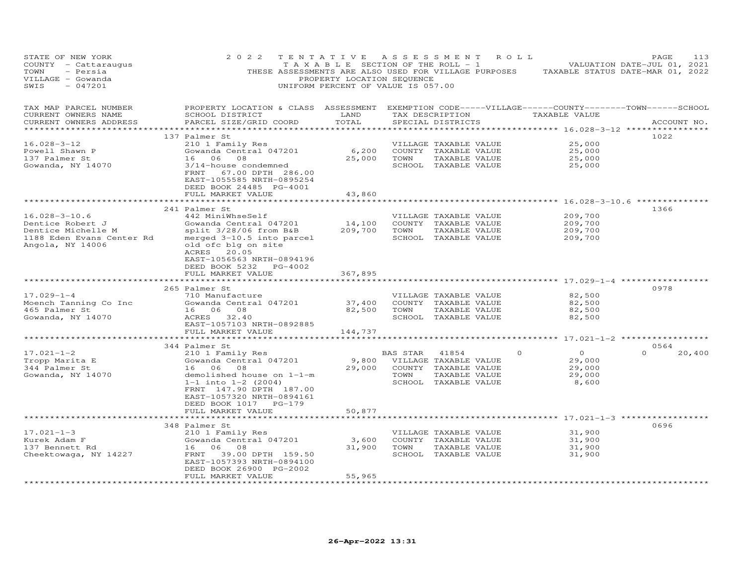| STATE OF NEW YORK<br>COUNTY - Cattaraugus<br>TOWN<br>- Persia<br>VILLAGE - Gowanda<br>$-047201$<br>SWIS        | 2 0 2 2<br>THESE ASSESSMENTS ARE ALSO USED FOR VILLAGE PURPOSES                                                                                                                                                                      | TENTATIVE<br>T A X A B L E SECTION OF THE ROLL - 1<br>PROPERTY LOCATION SEQUENCE<br>UNIFORM PERCENT OF VALUE IS 057.00 | ASSESSMENT       |                                                                                                 | ROLL            | TAXABLE STATUS DATE-MAR 01, 2022                                                | PAGE<br>VALUATION DATE-JUL 01, 2021 | 113         |
|----------------------------------------------------------------------------------------------------------------|--------------------------------------------------------------------------------------------------------------------------------------------------------------------------------------------------------------------------------------|------------------------------------------------------------------------------------------------------------------------|------------------|-------------------------------------------------------------------------------------------------|-----------------|---------------------------------------------------------------------------------|-------------------------------------|-------------|
| TAX MAP PARCEL NUMBER<br>CURRENT OWNERS NAME<br>CURRENT OWNERS ADDRESS                                         | PROPERTY LOCATION & CLASS ASSESSMENT EXEMPTION CODE-----VILLAGE------COUNTY-------TOWN------SCHOOL<br>SCHOOL DISTRICT<br>PARCEL SIZE/GRID COORD                                                                                      | LAND<br>TOTAL                                                                                                          |                  | SPECIAL DISTRICTS                                                                               | TAX DESCRIPTION | TAXABLE VALUE                                                                   |                                     | ACCOUNT NO. |
| $16.028 - 3 - 12$<br>Powell Shawn P<br>137 Palmer St<br>Gowanda, NY 14070                                      | 137 Palmer St<br>210 1 Family Res<br>Gowanda Central 047201<br>16 06 08<br>3/14-house condemned<br>67.00 DPTH 286.00<br>FRNT<br>EAST-1055585 NRTH-0895254<br>DEED BOOK 24485 PG-4001<br>FULL MARKET VALUE                            | 6,200<br>25,000<br>43,860                                                                                              | TOWN             | VILLAGE TAXABLE VALUE<br>COUNTY TAXABLE VALUE<br>TAXABLE VALUE<br>SCHOOL TAXABLE VALUE          |                 | ********** 16.028-3-12 **<br>25,000<br>25,000<br>25,000<br>25,000               | 1022                                |             |
|                                                                                                                | ********************                                                                                                                                                                                                                 |                                                                                                                        |                  |                                                                                                 |                 | ************ 16.028-3-10.6 ***********                                          |                                     |             |
| $16.028 - 3 - 10.6$<br>Dentice Robert J<br>Dentice Michelle M<br>1188 Eden Evans Center Rd<br>Angola, NY 14006 | 241 Palmer St<br>442 MiniWhseSelf<br>Gowanda Central 047201<br>split 3/28/06 from B&B<br>merged 3-10.5 into parcel<br>old ofc blg on site<br>ACRES 20.05<br>EAST-1056563 NRTH-0894196<br>DEED BOOK 5232 PG-4002<br>FULL MARKET VALUE | 14,100<br>209,700<br>367,895                                                                                           | TOWN             | VILLAGE TAXABLE VALUE<br>COUNTY TAXABLE VALUE<br>TAXABLE VALUE<br>SCHOOL TAXABLE VALUE          |                 | 209,700<br>209,700<br>209,700<br>209,700                                        | 1366                                |             |
|                                                                                                                |                                                                                                                                                                                                                                      |                                                                                                                        |                  |                                                                                                 |                 | ***************** 17.029-1-4 ***********                                        |                                     |             |
| $17.029 - 1 - 4$<br>Moench Tanning Co Inc<br>465 Palmer St<br>Gowanda, NY 14070                                | 265 Palmer St<br>710 Manufacture<br>Gowanda Central 047201<br>16 06 08<br>ACRES 32.40<br>EAST-1057103 NRTH-0892885<br>FULL MARKET VALUE                                                                                              | 37,400<br>82,500<br>144,737                                                                                            | TOWN             | VILLAGE TAXABLE VALUE<br>COUNTY TAXABLE VALUE<br>TAXABLE VALUE<br>SCHOOL TAXABLE VALUE          |                 | 82,500<br>82,500<br>82,500<br>82,500                                            | 0978                                |             |
|                                                                                                                |                                                                                                                                                                                                                                      |                                                                                                                        |                  |                                                                                                 |                 | ******** 17.021-1-2 ***********                                                 |                                     |             |
| $17.021 - 1 - 2$<br>Tropp Marita E<br>344 Palmer St<br>Gowanda, NY 14070                                       | 344 Palmer St<br>210 1 Family Res<br>Gowanda Central 047201<br>16<br>06<br>08<br>demolished house on 1-1-m<br>$1-1$ into $1-2$ (2004)<br>FRNT 147.90 DPTH 187.00<br>EAST-1057320 NRTH-0894161<br>DEED BOOK 1017 PG-179               | 9,800<br>29,000                                                                                                        | BAS STAR<br>TOWN | 41854<br>VILLAGE TAXABLE VALUE<br>COUNTY TAXABLE VALUE<br>TAXABLE VALUE<br>SCHOOL TAXABLE VALUE | $\circ$         | $\Omega$<br>29,000<br>29,000<br>29,000<br>8,600                                 | 0564                                | 20,400      |
|                                                                                                                | FULL MARKET VALUE                                                                                                                                                                                                                    | 50,877                                                                                                                 |                  |                                                                                                 |                 |                                                                                 |                                     |             |
| $17.021 - 1 - 3$<br>Kurek Adam F<br>137 Bennett Rd                                                             | 348 Palmer St<br>210 1 Family Res<br>Gowanda Central 047201<br>08<br>16<br>06                                                                                                                                                        | 3,600<br>31,900                                                                                                        | TOWN             | VILLAGE TAXABLE VALUE<br>COUNTY TAXABLE VALUE<br>TAXABLE VALUE                                  |                 | ********************** 17.021-1-3 ***************<br>31,900<br>31,900<br>31,900 | 0696                                |             |
| Cheektowaga, NY 14227                                                                                          | FRNT<br>39.00 DPTH 159.50<br>EAST-1057393 NRTH-0894100<br>DEED BOOK 26900 PG-2002<br>FULL MARKET VALUE<br>*******************                                                                                                        | 55,965                                                                                                                 |                  | SCHOOL TAXABLE VALUE                                                                            |                 | 31,900                                                                          |                                     |             |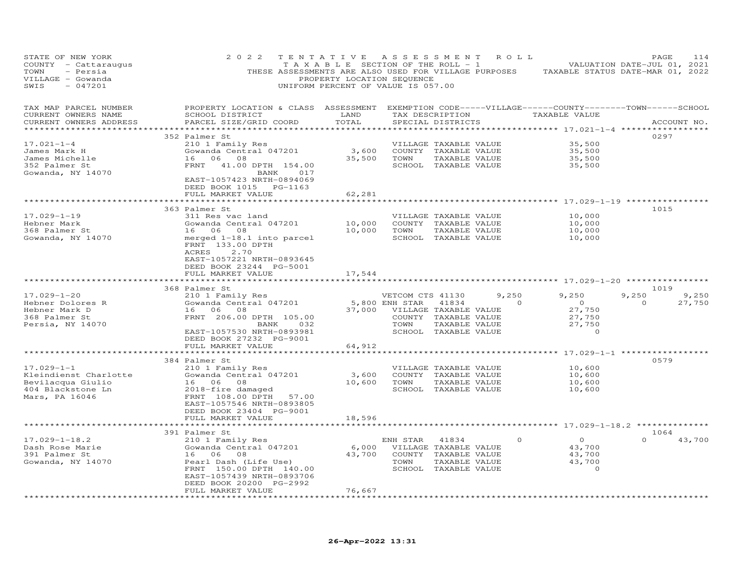| STATE OF NEW YORK<br>COUNTY - Cattaraugus<br>TOWN<br>- Persia<br>VILLAGE - Gowanda<br>SWIS<br>$-047201$ | 2 0 2 2<br>TENTATIVE<br>THESE ASSESSMENTS ARE ALSO USED FOR VILLAGE PURPOSES                                                                    | TAXABLE SECTION OF THE ROLL - 1<br>PROPERTY LOCATION SEQUENCE<br>UNIFORM PERCENT OF VALUE IS 057.00 | ASSESSMENT       |                                       | R O L L         | TAXABLE STATUS DATE-MAR 01, 2022                  | PAGE<br>VALUATION DATE-JUL 01, 2021 | 114         |
|---------------------------------------------------------------------------------------------------------|-------------------------------------------------------------------------------------------------------------------------------------------------|-----------------------------------------------------------------------------------------------------|------------------|---------------------------------------|-----------------|---------------------------------------------------|-------------------------------------|-------------|
| TAX MAP PARCEL NUMBER<br>CURRENT OWNERS NAME<br>CURRENT OWNERS ADDRESS<br>**********************        | PROPERTY LOCATION & CLASS ASSESSMENT EXEMPTION CODE-----VILLAGE------COUNTY-------TOWN------SCHOOL<br>SCHOOL DISTRICT<br>PARCEL SIZE/GRID COORD | LAND<br>TOTAL<br>**********                                                                         |                  | SPECIAL DISTRICTS                     | TAX DESCRIPTION | TAXABLE VALUE                                     |                                     | ACCOUNT NO. |
|                                                                                                         | 352 Palmer St                                                                                                                                   |                                                                                                     |                  |                                       |                 |                                                   | 0297                                |             |
| $17.021 - 1 - 4$                                                                                        | 210 1 Family Res                                                                                                                                |                                                                                                     |                  | VILLAGE TAXABLE VALUE                 |                 | 35,500                                            |                                     |             |
| James Mark H                                                                                            | Gowanda Central 047201<br>08                                                                                                                    | 3,600                                                                                               |                  | COUNTY TAXABLE VALUE                  |                 | 35,500                                            |                                     |             |
| James Michelle<br>352 Palmer St                                                                         | 16 06<br>FRNT<br>41.00 DPTH 154.00                                                                                                              | 35,500                                                                                              | TOWN             | TAXABLE VALUE                         |                 | 35,500<br>35,500                                  |                                     |             |
| Gowanda, NY 14070                                                                                       | BANK<br>017<br>EAST-1057423 NRTH-0894069<br>DEED BOOK 1015 PG-1163                                                                              |                                                                                                     |                  | SCHOOL TAXABLE VALUE                  |                 |                                                   |                                     |             |
|                                                                                                         | FULL MARKET VALUE                                                                                                                               | 62,281                                                                                              |                  |                                       |                 |                                                   |                                     |             |
|                                                                                                         | *******************                                                                                                                             | **********                                                                                          |                  |                                       |                 | ********************* 17.029-1-19 *************** |                                     |             |
|                                                                                                         | 363 Palmer St                                                                                                                                   |                                                                                                     |                  |                                       |                 |                                                   | 1015                                |             |
| $17.029 - 1 - 19$                                                                                       | 311 Res vac land                                                                                                                                |                                                                                                     |                  | VILLAGE TAXABLE VALUE                 |                 | 10,000                                            |                                     |             |
| Hebner Mark                                                                                             | Gowanda Central 047201                                                                                                                          | 10,000                                                                                              |                  | COUNTY TAXABLE VALUE                  |                 | 10,000                                            |                                     |             |
| 368 Palmer St                                                                                           | 16 06<br>08                                                                                                                                     | 10,000                                                                                              | TOWN             | TAXABLE VALUE<br>SCHOOL TAXABLE VALUE |                 | 10,000                                            |                                     |             |
| Gowanda, NY 14070                                                                                       | merged 1-18.1 into parcel<br>FRNT 133.00 DPTH<br>ACRES<br>2.70<br>EAST-1057221 NRTH-0893645<br>DEED BOOK 23244 PG-5001<br>FULL MARKET VALUE     |                                                                                                     |                  |                                       |                 | 10,000                                            |                                     |             |
|                                                                                                         |                                                                                                                                                 | 17,544                                                                                              |                  |                                       |                 |                                                   |                                     |             |
|                                                                                                         | 368 Palmer St                                                                                                                                   |                                                                                                     |                  |                                       |                 |                                                   | 1019                                |             |
| $17.029 - 1 - 20$                                                                                       | 210 1 Family Res                                                                                                                                |                                                                                                     | VETCOM CTS 41130 |                                       | 9,250           | 9,250                                             | 9,250                               | 9,250       |
| Hebner Dolores R                                                                                        | Gowanda Central 047201                                                                                                                          |                                                                                                     | 5,800 ENH STAR   | 41834                                 | $\Omega$        | $\overline{O}$                                    | $\Omega$                            | 27,750      |
| Hebner Mark D                                                                                           | 16 06 08                                                                                                                                        | 37,000                                                                                              |                  | VILLAGE TAXABLE VALUE                 |                 | 27,750                                            |                                     |             |
| 368 Palmer St                                                                                           | FRNT 206.00 DPTH 105.00                                                                                                                         |                                                                                                     |                  | COUNTY TAXABLE VALUE                  |                 | 27,750                                            |                                     |             |
| Persia, NY 14070                                                                                        | BANK<br>032                                                                                                                                     |                                                                                                     | TOWN             | TAXABLE VALUE                         |                 | 27,750                                            |                                     |             |
|                                                                                                         | EAST-1057530 NRTH-0893981<br>DEED BOOK 27232 PG-9001                                                                                            |                                                                                                     |                  | SCHOOL TAXABLE VALUE                  |                 | $\Omega$                                          |                                     |             |
|                                                                                                         | FULL MARKET VALUE                                                                                                                               | 64,912                                                                                              |                  |                                       |                 |                                                   |                                     |             |
|                                                                                                         |                                                                                                                                                 |                                                                                                     |                  |                                       |                 |                                                   |                                     |             |
|                                                                                                         | 384 Palmer St                                                                                                                                   |                                                                                                     |                  |                                       |                 |                                                   | 0579                                |             |
| $17.029 - 1 - 1$                                                                                        | 210 1 Family Res                                                                                                                                |                                                                                                     |                  | VILLAGE TAXABLE VALUE                 |                 | 10,600                                            |                                     |             |
| Kleindienst Charlotte                                                                                   | Gowanda Central 047201                                                                                                                          | 3,600                                                                                               |                  | COUNTY TAXABLE VALUE                  |                 | 10,600                                            |                                     |             |
| Bevilacqua Giulio                                                                                       | 16 06<br>08                                                                                                                                     | 10,600                                                                                              | TOWN             | TAXABLE VALUE                         |                 | 10,600                                            |                                     |             |
| 404 Blackstone Ln                                                                                       | 2018-fire damaged                                                                                                                               |                                                                                                     |                  | SCHOOL TAXABLE VALUE                  |                 | 10,600                                            |                                     |             |
| Mars, PA 16046                                                                                          | FRNT 108.00 DPTH<br>57.00                                                                                                                       |                                                                                                     |                  |                                       |                 |                                                   |                                     |             |
|                                                                                                         | EAST-1057546 NRTH-0893805<br>DEED BOOK 23404 PG-9001                                                                                            |                                                                                                     |                  |                                       |                 |                                                   |                                     |             |
|                                                                                                         | FULL MARKET VALUE                                                                                                                               | 18,596                                                                                              |                  |                                       |                 |                                                   |                                     |             |
|                                                                                                         |                                                                                                                                                 |                                                                                                     |                  |                                       |                 |                                                   |                                     |             |
|                                                                                                         | 391 Palmer St                                                                                                                                   |                                                                                                     |                  |                                       |                 |                                                   | 1064                                |             |
| $17.029 - 1 - 18.2$                                                                                     | 210 1 Family Res                                                                                                                                |                                                                                                     | ENH STAR         | 41834                                 |                 | $\Omega$                                          |                                     | 43,700      |
| Dash Rose Marie                                                                                         | Gowanda Central 047201                                                                                                                          | 6,000                                                                                               |                  | VILLAGE TAXABLE VALUE                 |                 | 43,700                                            |                                     |             |
| 391 Palmer St                                                                                           | 06<br>08<br>16                                                                                                                                  | 43,700                                                                                              |                  | COUNTY TAXABLE VALUE                  |                 | 43,700                                            |                                     |             |
| Gowanda, NY 14070                                                                                       | Pearl Dash (Life Use)                                                                                                                           |                                                                                                     | TOWN             | TAXABLE VALUE                         |                 | 43,700                                            |                                     |             |
|                                                                                                         | FRNT 150.00 DPTH 140.00                                                                                                                         |                                                                                                     |                  | SCHOOL TAXABLE VALUE                  |                 | 0                                                 |                                     |             |
|                                                                                                         | EAST-1057439 NRTH-0893706                                                                                                                       |                                                                                                     |                  |                                       |                 |                                                   |                                     |             |
|                                                                                                         | DEED BOOK 20200 PG-2992<br>FULL MARKET VALUE                                                                                                    | 76,667                                                                                              |                  |                                       |                 |                                                   |                                     |             |
| ************************                                                                                |                                                                                                                                                 |                                                                                                     |                  |                                       |                 |                                                   |                                     |             |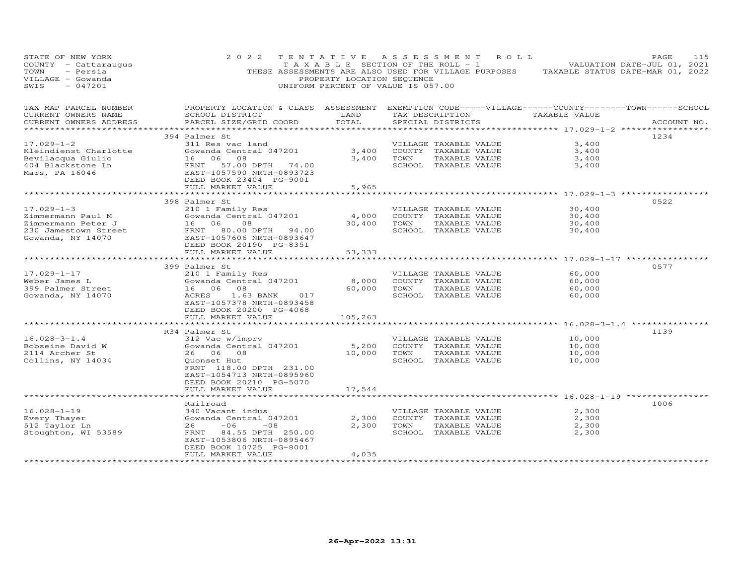| STATE OF NEW YORK<br>COUNTY - Cattaraugus<br>- Persia<br>TOWN<br>VILLAGE - Gowanda<br>$-047201$<br>SWIS | 2 0 2 2<br>THESE ASSESSMENTS ARE ALSO USED FOR VILLAGE PURPOSES                                                                                             | TENTATIVE<br>T A X A B L E SECTION OF THE ROLL - 1<br>PROPERTY LOCATION SEQUENCE<br>UNIFORM PERCENT OF VALUE IS 057.00 |      | A S S E S S M E N T                                                                    | R O L L | TAXABLE STATUS DATE-MAR 01, 2022             | PAGE<br>VALUATION DATE-JUL 01, 2021 | 115 |
|---------------------------------------------------------------------------------------------------------|-------------------------------------------------------------------------------------------------------------------------------------------------------------|------------------------------------------------------------------------------------------------------------------------|------|----------------------------------------------------------------------------------------|---------|----------------------------------------------|-------------------------------------|-----|
| TAX MAP PARCEL NUMBER<br>CURRENT OWNERS NAME<br>CURRENT OWNERS ADDRESS                                  | PROPERTY LOCATION & CLASS ASSESSMENT EXEMPTION CODE-----VILLAGE------COUNTY-------TOWN------SCHOOL<br>SCHOOL DISTRICT<br>PARCEL SIZE/GRID COORD             | LAND<br>TOTAL                                                                                                          |      | TAX DESCRIPTION<br>SPECIAL DISTRICTS                                                   |         | TAXABLE VALUE                                | ACCOUNT NO.                         |     |
|                                                                                                         | ***************************                                                                                                                                 | ***************                                                                                                        |      |                                                                                        |         | ********************* 17.029-1-2 *********** |                                     |     |
| $17.029 - 1 - 2$<br>Kleindienst Charlotte<br>Bevilacqua Giulio<br>404 Blackstone Ln<br>Mars, PA 16046   | 394 Palmer St<br>311 Res vac land<br>Gowanda Central 047201<br>16 06<br>08<br>FRNT 57.00 DPTH 74.00<br>EAST-1057590 NRTH-0893723<br>DEED BOOK 23404 PG-9001 | 3,400<br>3,400                                                                                                         | TOWN | VILLAGE TAXABLE VALUE<br>COUNTY TAXABLE VALUE<br>TAXABLE VALUE<br>SCHOOL TAXABLE VALUE |         | 3,400<br>3,400<br>3,400<br>3,400             | 1234                                |     |
|                                                                                                         | FULL MARKET VALUE                                                                                                                                           | 5,965                                                                                                                  |      |                                                                                        |         |                                              |                                     |     |
| $17.029 - 1 - 3$<br>Zimmermann Paul M                                                                   | 398 Palmer St<br>210 1 Family Res<br>Gowanda Central 047201                                                                                                 | 4,000                                                                                                                  |      | VILLAGE TAXABLE VALUE<br>COUNTY TAXABLE VALUE                                          |         | 30,400<br>30,400                             | 0522                                |     |
| Zimmermann Peter J<br>230 Jamestown Street<br>Gowanda, NY 14070                                         | 16 06<br>08<br>FRNT<br>80.00 DPTH 94.00<br>EAST-1057606 NRTH-0893647<br>DEED BOOK 20190 PG-8351                                                             | 30,400                                                                                                                 | TOWN | TAXABLE VALUE<br>SCHOOL TAXABLE VALUE                                                  |         | 30,400<br>30,400                             |                                     |     |
|                                                                                                         | FULL MARKET VALUE                                                                                                                                           | 53,333                                                                                                                 |      |                                                                                        |         |                                              |                                     |     |
|                                                                                                         | 399 Palmer St                                                                                                                                               |                                                                                                                        |      |                                                                                        |         |                                              | 0577                                |     |
| $17.029 - 1 - 17$<br>Weber James L<br>399 Palmer Street<br>Gowanda, NY 14070                            | 210 1 Family Res<br>Gowanda Central 047201<br>16 06 08<br>ACRES<br>1.63 BANK<br>017<br>EAST-1057378 NRTH-0893458<br>DEED BOOK 20200 PG-4068                 | 8,000<br>60,000                                                                                                        | TOWN | VILLAGE TAXABLE VALUE<br>COUNTY TAXABLE VALUE<br>TAXABLE VALUE<br>SCHOOL TAXABLE VALUE |         | 60,000<br>60,000<br>60,000<br>60,000         |                                     |     |
|                                                                                                         | FULL MARKET VALUE                                                                                                                                           | 105,263                                                                                                                |      |                                                                                        |         |                                              |                                     |     |
|                                                                                                         | R34 Palmer St                                                                                                                                               |                                                                                                                        |      |                                                                                        |         | ********* 16.028-3-1.4 ***********           | 1139                                |     |
| $16.028 - 3 - 1.4$<br>Bobseine David W<br>2114 Archer St<br>Collins, NY 14034                           | 312 Vac w/imprv<br>Gowanda Central 047201<br>26 06 08<br>Quonset Hut<br>FRNT 118.00 DPTH 231.00<br>EAST-1054713 NRTH-0895960<br>DEED BOOK 20210 PG-5070     | 5,200<br>10,000                                                                                                        | TOWN | VILLAGE TAXABLE VALUE<br>COUNTY TAXABLE VALUE<br>TAXABLE VALUE<br>SCHOOL TAXABLE VALUE |         | 10,000<br>10,000<br>10,000<br>10,000         |                                     |     |
|                                                                                                         | FULL MARKET VALUE                                                                                                                                           | 17,544                                                                                                                 |      |                                                                                        |         |                                              |                                     |     |
|                                                                                                         |                                                                                                                                                             |                                                                                                                        |      |                                                                                        |         | ********************* 16.028-1-19 ********** |                                     |     |
| $16.028 - 1 - 19$<br>Every Thayer<br>512 Taylor Ln<br>Stoughton, WI 53589                               | Railroad<br>340 Vacant indus<br>Gowanda Central 047201<br>26<br>$-06$<br>$-08$<br>84.55 DPTH 250.00<br>FRNT<br>EAST-1053806 NRTH-0895467                    | 2,300<br>2,300                                                                                                         | TOWN | VILLAGE TAXABLE VALUE<br>COUNTY TAXABLE VALUE<br>TAXABLE VALUE<br>SCHOOL TAXABLE VALUE |         | 2,300<br>2,300<br>2,300<br>2,300             | 1006                                |     |
|                                                                                                         | DEED BOOK 10725 PG-8001<br>FULL MARKET VALUE                                                                                                                | 4,035                                                                                                                  |      |                                                                                        |         |                                              |                                     |     |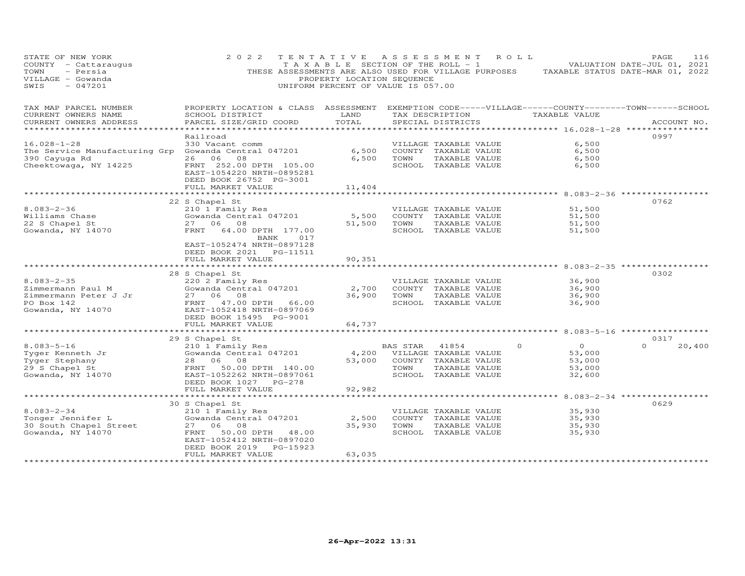| STATE OF NEW YORK<br>COUNTY - Cattaraugus<br>TOWN<br>- Persia<br>VILLAGE - Gowanda<br>$-047201$<br>SWIS             | 2 0 2 2                                                                                                                                          | TENTATIVE<br>T A X A B L E SECTION OF THE ROLL - 1<br>PROPERTY LOCATION SEQUENCE<br>UNIFORM PERCENT OF VALUE IS 057.00 | A S S E S S M E N T                                   |                                                                                        | ROLL     | THESE ASSESSMENTS ARE ALSO USED FOR VILLAGE PURPOSES TAXABLE STATUS DATE-MAR 01, 2022 | PAGE<br>VALUATION DATE-JUL 01, 2021 | 116         |
|---------------------------------------------------------------------------------------------------------------------|--------------------------------------------------------------------------------------------------------------------------------------------------|------------------------------------------------------------------------------------------------------------------------|-------------------------------------------------------|----------------------------------------------------------------------------------------|----------|---------------------------------------------------------------------------------------|-------------------------------------|-------------|
| TAX MAP PARCEL NUMBER<br>CURRENT OWNERS NAME<br>CURRENT OWNERS ADDRESS                                              | PROPERTY LOCATION & CLASS ASSESSMENT EXEMPTION CODE-----VILLAGE------COUNTY--------TOWN------SCHOOL<br>SCHOOL DISTRICT<br>PARCEL SIZE/GRID COORD | LAND<br>TOTAL                                                                                                          |                                                       | TAX DESCRIPTION<br>SPECIAL DISTRICTS                                                   |          | TAXABLE VALUE                                                                         |                                     | ACCOUNT NO. |
| ******************                                                                                                  |                                                                                                                                                  |                                                                                                                        |                                                       |                                                                                        |          |                                                                                       |                                     |             |
| $16.028 - 1 - 28$<br>The Service Manufacturing Grp Gowanda Central 047201<br>390 Cayuga Rd<br>Cheektowaga, NY 14225 | Railroad<br>330 Vacant comm<br>26 06<br>08<br>FRNT 252.00 DPTH 105.00<br>EAST-1054220 NRTH-0895281                                               | 6,500<br>6,500                                                                                                         | TOWN                                                  | VILLAGE TAXABLE VALUE<br>COUNTY TAXABLE VALUE<br>TAXABLE VALUE<br>SCHOOL TAXABLE VALUE |          | 6,500<br>6,500<br>6,500<br>6,500                                                      | 0997                                |             |
|                                                                                                                     | DEED BOOK 26752 PG-3001                                                                                                                          |                                                                                                                        |                                                       |                                                                                        |          |                                                                                       |                                     |             |
|                                                                                                                     | FULL MARKET VALUE<br>***********************                                                                                                     | 11,404<br>******************                                                                                           |                                                       |                                                                                        |          | ******************************** 8.083-2-36 **************                            |                                     |             |
| $8.083 - 2 - 36$<br>Williams Chase<br>22 S Chapel St<br>Gowanda, NY 14070                                           | 22 S Chapel St<br>210 1 Family Res<br>Gowanda Central 047201<br>27 06 08<br>FRNT<br>64.00 DPTH 177.00<br>BANK<br>017                             | 5,500<br>51,500                                                                                                        | TOWN                                                  | VILLAGE TAXABLE VALUE<br>COUNTY TAXABLE VALUE<br>TAXABLE VALUE<br>SCHOOL TAXABLE VALUE |          | 51,500<br>51,500<br>51,500<br>51,500                                                  | 0762                                |             |
|                                                                                                                     | EAST-1052474 NRTH-0897128<br>DEED BOOK 2021    PG-11511<br>FULL MARKET VALUE                                                                     | 90,351<br>**********                                                                                                   |                                                       |                                                                                        |          | ************** 8.083-2-35 **********                                                  |                                     |             |
|                                                                                                                     | 28 S Chapel St                                                                                                                                   |                                                                                                                        |                                                       |                                                                                        |          |                                                                                       | 0302                                |             |
| $8.083 - 2 - 35$<br>Zimmermann Paul M                                                                               | 220 2 Family Res<br>Gowanda Central 047201                                                                                                       | 2,700                                                                                                                  |                                                       | VILLAGE TAXABLE VALUE<br>COUNTY TAXABLE VALUE                                          |          | 36,900<br>36,900                                                                      |                                     |             |
| Zimmermann Peter J Jr<br>PO Box 142                                                                                 | 27 06 08<br>FRNT 47.00 DPTH 66.00                                                                                                                | 36,900                                                                                                                 | TOWN                                                  | TAXABLE VALUE<br>SCHOOL TAXABLE VALUE                                                  |          | 36,900<br>36,900                                                                      |                                     |             |
| Gowanda, NY 14070                                                                                                   | EAST-1052418 NRTH-0897069<br>DEED BOOK 15495 PG-9001<br>FULL MARKET VALUE                                                                        | 64,737                                                                                                                 |                                                       |                                                                                        |          |                                                                                       |                                     |             |
|                                                                                                                     |                                                                                                                                                  |                                                                                                                        |                                                       |                                                                                        |          |                                                                                       |                                     |             |
| $8.083 - 5 - 16$<br>Tyger Kenneth Jr<br>Tyger Stephany<br>29 S Chapel St<br>Gowanda, NY 14070                       | 29 S Chapel St<br>210 1 Family Res<br>Gowanda Central 047201<br>28 06 08<br>50.00 DPTH 140.00<br>FRNT<br>EAST-1052262 NRTH-0897061               | 53,000                                                                                                                 | BAS STAR 41854<br>4,200 VILLAGE TAXABLE VALUE<br>TOWN | COUNTY TAXABLE VALUE<br>TAXABLE VALUE<br>SCHOOL TAXABLE VALUE                          | $\Omega$ | $\Omega$<br>53,000<br>53,000<br>53,000<br>32,600                                      | 0317<br>$\Omega$                    | 20,400      |
|                                                                                                                     | DEED BOOK 1027 PG-278<br>FULL MARKET VALUE                                                                                                       | 92,982                                                                                                                 |                                                       |                                                                                        |          |                                                                                       |                                     |             |
|                                                                                                                     | ********************                                                                                                                             |                                                                                                                        |                                                       |                                                                                        |          | ********** 8.083-2-34 ***********                                                     |                                     |             |
| $8.083 - 2 - 34$                                                                                                    | 30 S Chapel St<br>210 1 Family Res                                                                                                               |                                                                                                                        |                                                       | VILLAGE TAXABLE VALUE                                                                  |          | 35,930                                                                                | 0629                                |             |
| Tonger Jennifer L<br>30 South Chapel Street<br>Gowanda, NY 14070                                                    | Gowanda Central 047201<br>27 06 08<br>50.00 DPTH 48.00<br>FRNT<br>EAST-1052412 NRTH-0897020<br>DEED BOOK 2019 PG-15923                           | 2,500<br>35,930                                                                                                        | TOWN                                                  | COUNTY TAXABLE VALUE<br>TAXABLE VALUE<br>SCHOOL TAXABLE VALUE                          |          | 35,930<br>35,930<br>35,930                                                            |                                     |             |
|                                                                                                                     | FULL MARKET VALUE                                                                                                                                | 63,035                                                                                                                 |                                                       |                                                                                        |          |                                                                                       |                                     |             |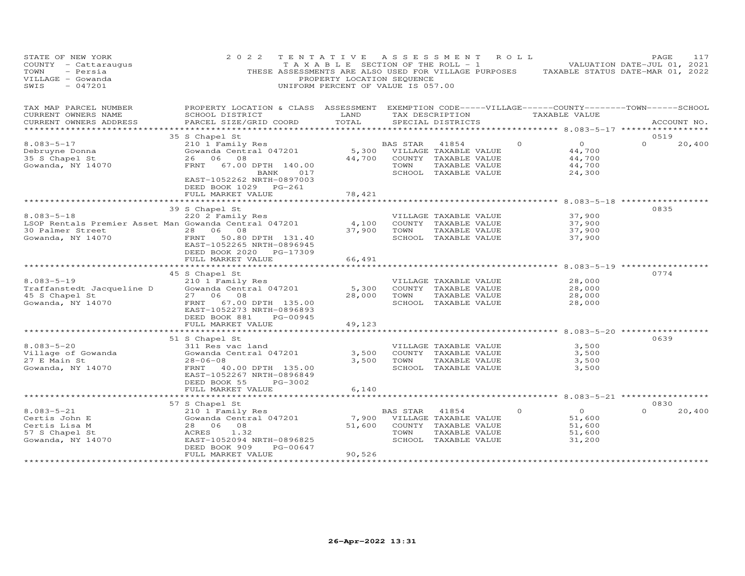| STATE OF NEW YORK<br>COUNTY - Cattaraugus<br>- Persia<br>TOWN<br>VILLAGE - Gowanda<br>$-047201$<br>SWIS | 2 0 2 2                                                                                                                | PROPERTY LOCATION SEQUENCE<br>UNIFORM PERCENT OF VALUE IS 057.00 |          | TENTATIVE ASSESSMENT ROLL             | T A X A B L E SECTION OF THE ROLL - 1 VALUATION DATE-JUL 01, 2021<br>THESE ASSESSMENTS ARE ALSO USED FOR VILLAGE PURPOSES TAXABLE STATUS DATE-MAR 01, 2022 | 117<br>PAGE        |
|---------------------------------------------------------------------------------------------------------|------------------------------------------------------------------------------------------------------------------------|------------------------------------------------------------------|----------|---------------------------------------|------------------------------------------------------------------------------------------------------------------------------------------------------------|--------------------|
| TAX MAP PARCEL NUMBER<br>CURRENT OWNERS NAME                                                            | PROPERTY LOCATION & CLASS ASSESSMENT EXEMPTION CODE-----VILLAGE------COUNTY--------TOWN------SCHOOL<br>SCHOOL DISTRICT | LAND                                                             |          |                                       | TAX DESCRIPTION TAXABLE VALUE                                                                                                                              |                    |
| CURRENT OWNERS ADDRESS<br>*******************                                                           | PARCEL SIZE/GRID COORD                                                                                                 | TOTAL                                                            |          | SPECIAL DISTRICTS                     | ********************* 8.083–5–17 *****************                                                                                                         | ACCOUNT NO.        |
|                                                                                                         | 35 S Chapel St                                                                                                         |                                                                  |          |                                       |                                                                                                                                                            | 0519               |
| $8.083 - 5 - 17$                                                                                        | 210 1 Family Res                                                                                                       |                                                                  | BAS STAR | 41854                                 | $\Omega$<br>$\overline{O}$                                                                                                                                 | $\Omega$<br>20,400 |
| Debruyne Donna                                                                                          | Gowanda Central 047201                                                                                                 |                                                                  |          | 5,300 VILLAGE TAXABLE VALUE           | 44,700                                                                                                                                                     |                    |
| 35 S Chapel St                                                                                          | 26 06 08                                                                                                               | 44,700                                                           |          | COUNTY TAXABLE VALUE                  | 44,700                                                                                                                                                     |                    |
| Gowanda, NY 14070                                                                                       | FRNT<br>67.00 DPTH 140.00                                                                                              |                                                                  | TOWN     | TAXABLE VALUE                         | 44,700                                                                                                                                                     |                    |
|                                                                                                         | BANK                                                                                                                   | 017                                                              |          | SCHOOL TAXABLE VALUE                  | 24,300                                                                                                                                                     |                    |
|                                                                                                         | EAST-1052262 NRTH-0897003                                                                                              |                                                                  |          |                                       |                                                                                                                                                            |                    |
|                                                                                                         | DEED BOOK 1029 PG-261<br>FULL MARKET VALUE                                                                             | 78,421                                                           |          |                                       |                                                                                                                                                            |                    |
|                                                                                                         |                                                                                                                        |                                                                  |          |                                       |                                                                                                                                                            |                    |
|                                                                                                         | 39 S Chapel St                                                                                                         |                                                                  |          |                                       |                                                                                                                                                            | 0835               |
| $8.083 - 5 - 18$                                                                                        | 220 2 Family Res                                                                                                       |                                                                  |          | VILLAGE TAXABLE VALUE                 | 37,900                                                                                                                                                     |                    |
| LSOP Rentals Premier Asset Man Gowanda Central 047201                                                   |                                                                                                                        | 4,100                                                            |          | COUNTY TAXABLE VALUE                  | 37,900                                                                                                                                                     |                    |
| 30 Palmer Street                                                                                        | 28 06 08                                                                                                               | 37,900                                                           | TOWN     | TAXABLE VALUE                         | 37,900                                                                                                                                                     |                    |
| Gowanda, NY 14070                                                                                       | FRNT 50.80 DPTH 131.40                                                                                                 |                                                                  |          | SCHOOL TAXABLE VALUE                  | 37,900                                                                                                                                                     |                    |
|                                                                                                         | EAST-1052265 NRTH-0896945                                                                                              |                                                                  |          |                                       |                                                                                                                                                            |                    |
|                                                                                                         | DEED BOOK 2020 PG-17309                                                                                                |                                                                  |          |                                       |                                                                                                                                                            |                    |
|                                                                                                         | FULL MARKET VALUE                                                                                                      | 66,491<br>*********                                              |          |                                       |                                                                                                                                                            |                    |
|                                                                                                         |                                                                                                                        |                                                                  |          |                                       | ********************* 8.083-5-19 **********                                                                                                                | 0774               |
| $8.083 - 5 - 19$                                                                                        | 45 S Chapel St<br>210 1 Family Res                                                                                     |                                                                  |          | VILLAGE TAXABLE VALUE                 | 28,000                                                                                                                                                     |                    |
| Traffanstedt Jacqueline D                                                                               | Gowanda Central 047201                                                                                                 | 5,300                                                            |          | COUNTY TAXABLE VALUE                  | 28,000                                                                                                                                                     |                    |
| 45 S Chapel St                                                                                          | 27 06 08                                                                                                               | 28,000                                                           | TOWN     | TAXABLE VALUE                         | 28,000                                                                                                                                                     |                    |
| Gowanda, NY 14070                                                                                       | FRNT 67.00 DPTH 135.00                                                                                                 |                                                                  |          | SCHOOL TAXABLE VALUE                  | 28,000                                                                                                                                                     |                    |
|                                                                                                         | EAST-1052273 NRTH-0896893                                                                                              |                                                                  |          |                                       |                                                                                                                                                            |                    |
|                                                                                                         | DEED BOOK 881<br>PG-00945                                                                                              |                                                                  |          |                                       |                                                                                                                                                            |                    |
|                                                                                                         | FULL MARKET VALUE                                                                                                      | 49,123                                                           |          |                                       |                                                                                                                                                            |                    |
|                                                                                                         |                                                                                                                        |                                                                  |          |                                       |                                                                                                                                                            |                    |
|                                                                                                         | 51 S Chapel St                                                                                                         |                                                                  |          |                                       |                                                                                                                                                            | 0639               |
| $8.083 - 5 - 20$                                                                                        | 311 Res vac land                                                                                                       |                                                                  |          | VILLAGE TAXABLE VALUE                 | 3,500                                                                                                                                                      |                    |
| Village of Gowanda<br>27 E Main St                                                                      | Gowanda Central 047201<br>$28 - 06 - 08$                                                                               | 3,500<br>3,500                                                   | TOWN     | COUNTY TAXABLE VALUE<br>TAXABLE VALUE | 3,500<br>3,500                                                                                                                                             |                    |
| Gowanda, NY 14070                                                                                       | FRNT 40.00 DPTH 135.00                                                                                                 |                                                                  |          | SCHOOL TAXABLE VALUE                  | 3,500                                                                                                                                                      |                    |
|                                                                                                         | EAST-1052267 NRTH-0896849                                                                                              |                                                                  |          |                                       |                                                                                                                                                            |                    |
|                                                                                                         | DEED BOOK 55<br>PG-3002                                                                                                |                                                                  |          |                                       |                                                                                                                                                            |                    |
|                                                                                                         | FULL MARKET VALUE                                                                                                      | 6,140                                                            |          |                                       |                                                                                                                                                            |                    |
|                                                                                                         |                                                                                                                        |                                                                  |          |                                       |                                                                                                                                                            |                    |
|                                                                                                         | 57 S Chapel St                                                                                                         |                                                                  |          |                                       |                                                                                                                                                            | 0830               |
| $8.083 - 5 - 21$                                                                                        | 210 1 Family Res                                                                                                       |                                                                  | BAS STAR | 41854                                 | $\overline{O}$<br>$\Omega$                                                                                                                                 | $\Omega$<br>20,400 |
| Certis John E                                                                                           | Gowanda Central 047201                                                                                                 |                                                                  |          | 7,900 VILLAGE TAXABLE VALUE           | 51,600                                                                                                                                                     |                    |
| Certis Lisa M                                                                                           | 28 06 08                                                                                                               | 51,600                                                           |          | COUNTY TAXABLE VALUE                  | 51,600                                                                                                                                                     |                    |
| 57 S Chapel St                                                                                          | ACRES 1.32                                                                                                             |                                                                  | TOWN     | TAXABLE VALUE                         | 51,600                                                                                                                                                     |                    |
| Gowanda, NY 14070                                                                                       | EAST-1052094 NRTH-0896825                                                                                              |                                                                  |          | SCHOOL TAXABLE VALUE                  | 31,200                                                                                                                                                     |                    |
|                                                                                                         | PG-00647<br>DEED BOOK 909<br>FULL MARKET VALUE                                                                         | 90,526                                                           |          |                                       |                                                                                                                                                            |                    |
|                                                                                                         |                                                                                                                        |                                                                  |          |                                       |                                                                                                                                                            |                    |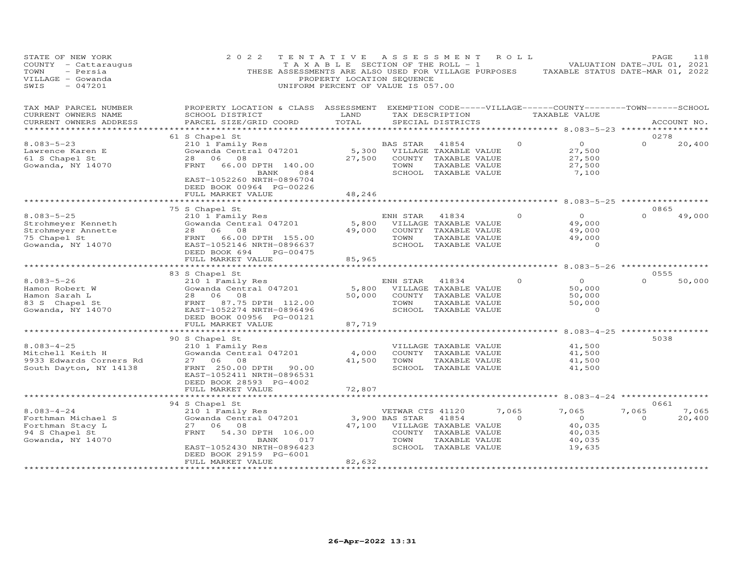| STATE OF NEW YORK<br>COUNTY - Cattaraugus<br>- Persia<br>TOWN<br>VILLAGE - Gowanda<br>$-047201$<br>SWIS | 2 0 2 2<br>THESE ASSESSMENTS ARE ALSO USED FOR VILLAGE PURPOSES                                                                                                                                   | TENTATIVE<br>TAXABLE SECTION OF THE ROLL - 1<br>PROPERTY LOCATION SEQUENCE<br>UNIFORM PERCENT OF VALUE IS 057.00 | A S S E S S M E N T                        |                                                                                                 | R O L L           | TAXABLE STATUS DATE-MAR 01, 2022                                               | PAGE<br>VALUATION DATE-JUL 01, 2021 | 118             |
|---------------------------------------------------------------------------------------------------------|---------------------------------------------------------------------------------------------------------------------------------------------------------------------------------------------------|------------------------------------------------------------------------------------------------------------------|--------------------------------------------|-------------------------------------------------------------------------------------------------|-------------------|--------------------------------------------------------------------------------|-------------------------------------|-----------------|
| TAX MAP PARCEL NUMBER<br>CURRENT OWNERS NAME<br>CURRENT OWNERS ADDRESS                                  | PROPERTY LOCATION & CLASS ASSESSMENT<br>SCHOOL DISTRICT<br>PARCEL SIZE/GRID COORD                                                                                                                 | LAND<br>TOTAL                                                                                                    |                                            | TAX DESCRIPTION<br>SPECIAL DISTRICTS                                                            |                   | EXEMPTION CODE-----VILLAGE------COUNTY-------TOWN------SCHOOL<br>TAXABLE VALUE |                                     | ACCOUNT NO.     |
|                                                                                                         |                                                                                                                                                                                                   |                                                                                                                  |                                            |                                                                                                 |                   | ******** 8.083-5-23 ***                                                        |                                     |                 |
| $8.083 - 5 - 23$<br>Lawrence Karen E<br>61 S Chapel St<br>Gowanda, NY 14070                             | 61 S Chapel St<br>210 1 Family Res<br>Gowanda Central 047201<br>28 06<br>08<br>FRNT<br>66.00 DPTH 140.00<br>BANK<br>084<br>EAST-1052260 NRTH-0896704<br>DEED BOOK 00964 PG-00226                  | 5,300<br>27,500                                                                                                  | BAS STAR<br>TOWN                           | 41854<br>VILLAGE TAXABLE VALUE<br>COUNTY TAXABLE VALUE<br>TAXABLE VALUE<br>SCHOOL TAXABLE VALUE | $\Omega$          | $\circ$<br>27,500<br>27,500<br>27,500<br>7,100                                 | 0278<br>$\Omega$                    | 20,400          |
|                                                                                                         | FULL MARKET VALUE                                                                                                                                                                                 | 48,246                                                                                                           |                                            |                                                                                                 |                   |                                                                                |                                     |                 |
|                                                                                                         |                                                                                                                                                                                                   |                                                                                                                  |                                            |                                                                                                 |                   |                                                                                |                                     |                 |
| $8.083 - 5 - 25$<br>Strohmeyer Kenneth<br>Strohmeyer Annette<br>75 Chapel St<br>Gowanda, NY 14070       | 75 S Chapel St<br>210 1 Family Res<br>Gowanda Central 047201<br>28 06 08<br>66.00 DPTH 155.00<br>FRNT<br>EAST-1052146 NRTH-0896637<br>DEED BOOK 694<br>PG-00475                                   | 5,800<br>49,000                                                                                                  | ENH STAR<br>TOWN                           | 41834<br>VILLAGE TAXABLE VALUE<br>COUNTY TAXABLE VALUE<br>TAXABLE VALUE<br>SCHOOL TAXABLE VALUE | $\Omega$          | $\circ$<br>49,000<br>49,000<br>49,000<br>$\circ$                               | 0865<br>$\Omega$                    | 49,000          |
|                                                                                                         | FULL MARKET VALUE                                                                                                                                                                                 | 85,965                                                                                                           |                                            |                                                                                                 |                   |                                                                                |                                     |                 |
|                                                                                                         |                                                                                                                                                                                                   |                                                                                                                  |                                            |                                                                                                 |                   | ********** 8.083-5-26 *****************                                        |                                     |                 |
| $8.083 - 5 - 26$<br>Hamon Robert W<br>Hamon Sarah L<br>83 S Chapel St<br>Gowanda, NY 14070              | 83 S Chapel St<br>210 1 Family Res<br>Gowanda Central 047201<br>28 06 08<br>FRNT<br>87.75 DPTH 112.00<br>EAST-1052274 NRTH-0896496<br>DEED BOOK 00956 PG-00121                                    | 5,800<br>50,000                                                                                                  | ENH STAR<br>TOWN                           | 41834<br>VILLAGE TAXABLE VALUE<br>COUNTY TAXABLE VALUE<br>TAXABLE VALUE<br>SCHOOL TAXABLE VALUE | $\Omega$          | $\Omega$<br>50,000<br>50,000<br>50,000<br>$\circ$                              | 0555<br>$\Omega$                    | 50,000          |
|                                                                                                         | FULL MARKET VALUE<br>*****************                                                                                                                                                            | 87,719                                                                                                           |                                            |                                                                                                 |                   | ********* 8.083-4-25 ******                                                    |                                     |                 |
| $8.083 - 4 - 25$<br>Mitchell Keith H<br>9933 Edwards Corners Rd<br>South Dayton, NY 14138               | 90 S Chapel St<br>210 1 Family Res<br>Gowanda Central 047201<br>27 06<br>08<br>FRNT 250.00 DPTH<br>90.00<br>EAST-1052411 NRTH-0896531<br>DEED BOOK 28593 PG-4002                                  | 4,000<br>41,500                                                                                                  | TOWN                                       | VILLAGE TAXABLE VALUE<br>COUNTY TAXABLE VALUE<br>TAXABLE VALUE<br>SCHOOL TAXABLE VALUE          |                   | 41,500<br>41,500<br>41,500<br>41,500                                           | 5038                                |                 |
|                                                                                                         | FULL MARKET VALUE                                                                                                                                                                                 | 72,807                                                                                                           |                                            |                                                                                                 |                   |                                                                                |                                     |                 |
|                                                                                                         | *********                                                                                                                                                                                         |                                                                                                                  |                                            |                                                                                                 |                   | $8.083 - 4 - 24$                                                               |                                     |                 |
| $8.083 - 4 - 24$<br>Forthman Michael S<br>Forthman Stacy L<br>94 S Chapel St<br>Gowanda, NY 14070       | 94 S Chapel St<br>210 1 Family Res<br>Gowanda Central 047201<br>27 06 08<br>54.30 DPTH 106.00<br>FRNT<br>BANK<br>017<br>EAST-1052430 NRTH-0896423<br>DEED BOOK 29159 PG-6001<br>FULL MARKET VALUE | 47,100<br>82,632                                                                                                 | VETWAR CTS 41120<br>3,900 BAS STAR<br>TOWN | 41854<br>VILLAGE TAXABLE VALUE<br>COUNTY TAXABLE VALUE<br>TAXABLE VALUE<br>SCHOOL TAXABLE VALUE | 7,065<br>$\Omega$ | 7,065<br>$\overline{O}$<br>40,035<br>40,035<br>40,035<br>19,635                | 0661<br>7,065<br>$\Omega$           | 7,065<br>20,400 |
|                                                                                                         |                                                                                                                                                                                                   |                                                                                                                  |                                            |                                                                                                 |                   |                                                                                |                                     |                 |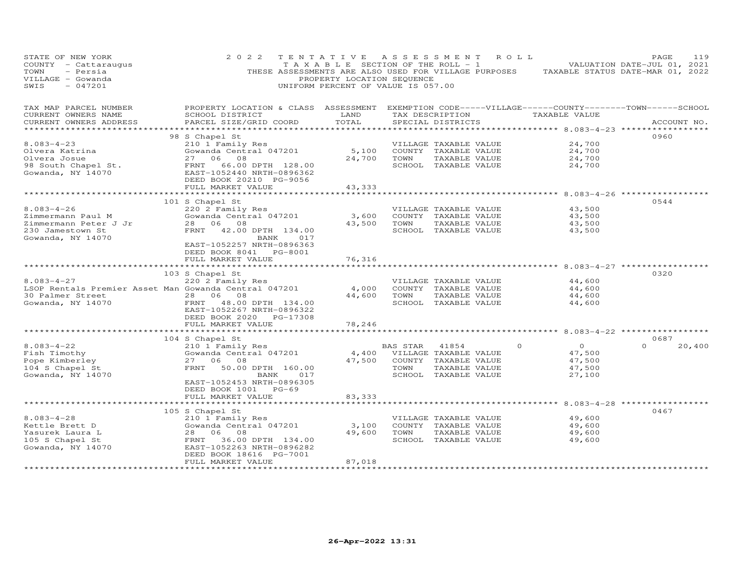| STATE OF NEW YORK<br>COUNTY - Cattaraugus<br>TOWN<br>- Persia<br>VILLAGE - Gowanda<br>SWIS<br>$-047201$ | 2 0 2 2                                                                           | TENTATIVE ASSESSMENT<br>T A X A B L E SECTION OF THE ROLL - 1<br>PROPERTY LOCATION SEQUENCE<br>UNIFORM PERCENT OF VALUE IS 057.00 |          | THESE ASSESSMENTS ARE ALSO USED FOR VILLAGE PURPOSES | R O L L                                                                         | PAGE<br>119<br>VALUATION DATE-JUL 01, 2021<br>TAXABLE STATUS DATE-MAR 01, 2022 |
|---------------------------------------------------------------------------------------------------------|-----------------------------------------------------------------------------------|-----------------------------------------------------------------------------------------------------------------------------------|----------|------------------------------------------------------|---------------------------------------------------------------------------------|--------------------------------------------------------------------------------|
| TAX MAP PARCEL NUMBER<br>CURRENT OWNERS NAME<br>CURRENT OWNERS ADDRESS<br>***********************       | PROPERTY LOCATION & CLASS ASSESSMENT<br>SCHOOL DISTRICT<br>PARCEL SIZE/GRID COORD | LAND<br>TOTAL                                                                                                                     |          | TAX DESCRIPTION<br>SPECIAL DISTRICTS                 | EXEMPTION CODE-----VILLAGE------COUNTY--------TOWN------SCHOOL<br>TAXABLE VALUE | ACCOUNT NO.                                                                    |
|                                                                                                         | 98 S Chapel St                                                                    |                                                                                                                                   |          |                                                      |                                                                                 | 0960                                                                           |
| $8.083 - 4 - 23$                                                                                        | 210 1 Family Res                                                                  |                                                                                                                                   |          | VILLAGE TAXABLE VALUE                                | 24,700                                                                          |                                                                                |
| Olvera Katrina                                                                                          | Gowanda Central 047201                                                            | 5,100                                                                                                                             |          | COUNTY TAXABLE VALUE                                 | 24,700                                                                          |                                                                                |
| Olvera Josue                                                                                            | 27 06 08                                                                          | 24,700                                                                                                                            | TOWN     | TAXABLE VALUE                                        | 24,700                                                                          |                                                                                |
| 98 South Chapel St.<br>Gowanda, NY 14070                                                                | FRNT<br>66.00 DPTH 128.00<br>EAST-1052440 NRTH-0896362<br>DEED BOOK 20210 PG-9056 |                                                                                                                                   |          | SCHOOL TAXABLE VALUE                                 | 24,700                                                                          |                                                                                |
|                                                                                                         | FULL MARKET VALUE                                                                 | 43,333                                                                                                                            |          |                                                      | ********* 8.083-4-26 ***********                                                |                                                                                |
|                                                                                                         | 101 S Chapel St                                                                   |                                                                                                                                   |          |                                                      |                                                                                 | 0544                                                                           |
| $8.083 - 4 - 26$                                                                                        | 220 2 Family Res                                                                  |                                                                                                                                   |          | VILLAGE TAXABLE VALUE                                | 43,500                                                                          |                                                                                |
| Zimmermann Paul M                                                                                       | Gowanda Central 047201                                                            | 3,600                                                                                                                             |          | COUNTY TAXABLE VALUE                                 | 43,500                                                                          |                                                                                |
| Zimmermann Peter J Jr                                                                                   | 28 06 08                                                                          | 43,500                                                                                                                            | TOWN     | TAXABLE VALUE                                        | 43,500                                                                          |                                                                                |
| 230 Jamestown St<br>Gowanda, NY 14070                                                                   | FRNT 42.00 DPTH 134.00<br>BANK<br>017<br>EAST-1052257 NRTH-0896363                |                                                                                                                                   |          | SCHOOL TAXABLE VALUE                                 | 43,500                                                                          |                                                                                |
|                                                                                                         | DEED BOOK 8041 PG-8001                                                            |                                                                                                                                   |          |                                                      |                                                                                 |                                                                                |
|                                                                                                         | FULL MARKET VALUE                                                                 | 76,316                                                                                                                            |          |                                                      |                                                                                 |                                                                                |
|                                                                                                         |                                                                                   |                                                                                                                                   |          |                                                      |                                                                                 |                                                                                |
|                                                                                                         | 103 S Chapel St                                                                   |                                                                                                                                   |          |                                                      |                                                                                 | 0320                                                                           |
| $8.083 - 4 - 27$                                                                                        | 220 2 Family Res                                                                  |                                                                                                                                   |          | VILLAGE TAXABLE VALUE                                | 44,600                                                                          |                                                                                |
| LSOP Rentals Premier Asset Man Gowanda Central 047201                                                   |                                                                                   | 4,000                                                                                                                             | TOWN     | COUNTY TAXABLE VALUE                                 | 44,600                                                                          |                                                                                |
| 30 Palmer Street<br>Gowanda, NY 14070                                                                   | 28 06 08<br>FRNT 48.00 DPTH 134.00<br>EAST-1052267 NRTH-0896322                   | 44,600                                                                                                                            |          | TAXABLE VALUE<br>SCHOOL TAXABLE VALUE                | 44,600<br>44,600                                                                |                                                                                |
|                                                                                                         | DEED BOOK 2020 PG-17308                                                           |                                                                                                                                   |          |                                                      |                                                                                 |                                                                                |
|                                                                                                         | FULL MARKET VALUE                                                                 | 78,246                                                                                                                            |          |                                                      |                                                                                 |                                                                                |
|                                                                                                         | ************************                                                          |                                                                                                                                   |          |                                                      | ********** 8.083-4-22 ***********                                               | 0687                                                                           |
| $8.083 - 4 - 22$                                                                                        | 104 S Chapel St<br>210 1 Family Res                                               |                                                                                                                                   | BAS STAR | 41854                                                | $\overline{O}$<br>$\Omega$                                                      | $\Omega$<br>20,400                                                             |
| Fish Timothy                                                                                            | Gowanda Central 047201                                                            | 4,400                                                                                                                             |          | VILLAGE TAXABLE VALUE                                | 47,500                                                                          |                                                                                |
| Pope Kimberley                                                                                          | 27 06 08                                                                          | 47,500                                                                                                                            |          | COUNTY TAXABLE VALUE                                 | 47,500                                                                          |                                                                                |
| 104 S Chapel St                                                                                         | FRNT<br>50.00 DPTH 160.00                                                         |                                                                                                                                   | TOWN     | TAXABLE VALUE                                        | 47,500                                                                          |                                                                                |
| Gowanda, NY 14070                                                                                       | BANK<br>017<br>EAST-1052453 NRTH-0896305                                          |                                                                                                                                   |          | SCHOOL TAXABLE VALUE                                 | 27,100                                                                          |                                                                                |
|                                                                                                         | DEED BOOK 1001 PG-69                                                              |                                                                                                                                   |          |                                                      |                                                                                 |                                                                                |
|                                                                                                         | FULL MARKET VALUE<br>*****************************                                | 83,333                                                                                                                            |          |                                                      |                                                                                 |                                                                                |
|                                                                                                         | 105 S Chapel St                                                                   |                                                                                                                                   |          |                                                      |                                                                                 | 0467                                                                           |
| $8.083 - 4 - 28$                                                                                        | 210 1 Family Res                                                                  |                                                                                                                                   |          | VILLAGE TAXABLE VALUE                                | 49,600                                                                          |                                                                                |
| Kettle Brett D                                                                                          | Gowanda Central 047201                                                            | 3,100                                                                                                                             |          | COUNTY TAXABLE VALUE                                 | 49,600                                                                          |                                                                                |
| Yasurek Laura L                                                                                         | 28 06 08                                                                          | 49,600                                                                                                                            | TOWN     | TAXABLE VALUE                                        | 49,600                                                                          |                                                                                |
| 105 S Chapel St<br>Gowanda, NY 14070                                                                    | 36.00 DPTH 134.00<br>FRNT<br>EAST-1052263 NRTH-0896282                            |                                                                                                                                   |          | SCHOOL TAXABLE VALUE                                 | 49,600                                                                          |                                                                                |
|                                                                                                         | DEED BOOK 18616 PG-7001<br>FULL MARKET VALUE                                      | 87,018                                                                                                                            |          |                                                      |                                                                                 |                                                                                |
|                                                                                                         |                                                                                   |                                                                                                                                   |          |                                                      |                                                                                 |                                                                                |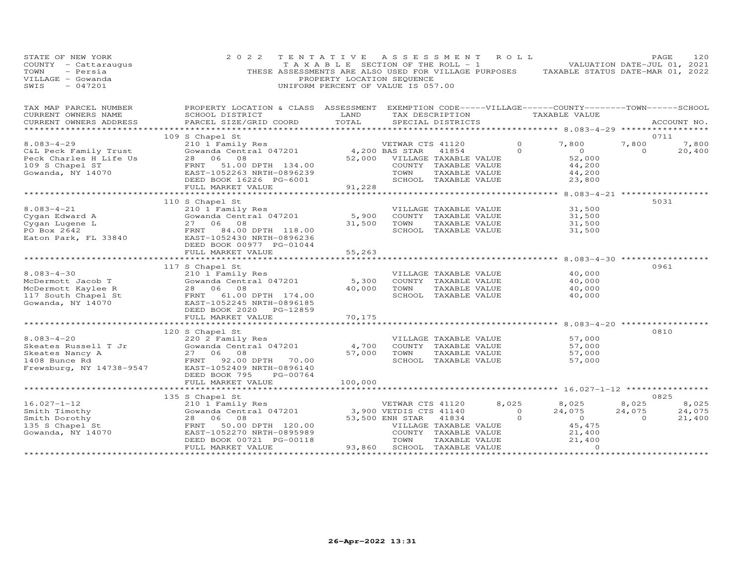| STATE OF NEW YORK<br>COUNTY - Cattaraugus<br>TOWN<br>- Persia<br>VILLAGE - Gowanda<br>$-047201$<br>SWIS | 2 0 2 2<br>THESE ASSESSMENTS ARE ALSO USED FOR VILLAGE PURPOSES                                                        | TENTATIVE ASSESSMENT<br>T A X A B L E SECTION OF THE ROLL - 1<br>PROPERTY LOCATION SEQUENCE<br>UNIFORM PERCENT OF VALUE IS 057.00 |                                                      |                       | ROLL           | TAXABLE STATUS DATE-MAR 01, 2022 |                | PAGE<br>120<br>VALUATION DATE-JUL 01, 2021 |
|---------------------------------------------------------------------------------------------------------|------------------------------------------------------------------------------------------------------------------------|-----------------------------------------------------------------------------------------------------------------------------------|------------------------------------------------------|-----------------------|----------------|----------------------------------|----------------|--------------------------------------------|
| TAX MAP PARCEL NUMBER<br>CURRENT OWNERS NAME                                                            | PROPERTY LOCATION & CLASS ASSESSMENT EXEMPTION CODE-----VILLAGE------COUNTY--------TOWN------SCHOOL<br>SCHOOL DISTRICT | LAND                                                                                                                              |                                                      |                       |                | TAX DESCRIPTION TAXABLE VALUE    |                |                                            |
| CURRENT OWNERS ADDRESS                                                                                  | PARCEL SIZE/GRID COORD                                                                                                 | TOTAL                                                                                                                             |                                                      | SPECIAL DISTRICTS     |                |                                  |                | ACCOUNT NO.                                |
|                                                                                                         | 109 S Chapel St                                                                                                        |                                                                                                                                   |                                                      |                       |                |                                  |                | 0711                                       |
| $8.083 - 4 - 29$                                                                                        | 210 1 Family Res                                                                                                       |                                                                                                                                   | VETWAR CTS 41120                                     |                       | $\circ$        | 7,800                            | 7,800          | 7,800                                      |
| C&L Peck Family Trust                                                                                   | Sio I Family Res<br>Gowanda Central 047201                                                                             | 4,200 BAS STAR                                                                                                                    |                                                      | 41854                 | $\Omega$       | $\overline{0}$                   | $\Omega$       | 20,400                                     |
| Peck Charles H Life Us<br>109 S Chapel ST                                                               | 28 06 08<br>FRNT<br>51.00 DPTH 134.00                                                                                  |                                                                                                                                   | 52,000 VILLAGE TAXABLE VALUE<br>COUNTY TAXABLE VALUE |                       |                | 52,000<br>44,200                 |                |                                            |
| Gowanda, NY 14070                                                                                       | EAST-1052263 NRTH-0896239                                                                                              |                                                                                                                                   | TOWN                                                 | TAXABLE VALUE         |                | 44,200                           |                |                                            |
|                                                                                                         | DEED BOOK 16226 PG-6001                                                                                                |                                                                                                                                   | SCHOOL TAXABLE VALUE                                 |                       |                | 23,800                           |                |                                            |
|                                                                                                         | FULL MARKET VALUE                                                                                                      | 91,228                                                                                                                            |                                                      |                       |                |                                  |                |                                            |
|                                                                                                         |                                                                                                                        |                                                                                                                                   |                                                      |                       |                |                                  |                |                                            |
| 8.083-4-21<br>Cygan Edward A<br>In Lugene L                                                             | 110 S Chapel St<br>210 1 Family Res                                                                                    |                                                                                                                                   |                                                      | VILLAGE TAXABLE VALUE |                | 31,500                           |                | 5031                                       |
|                                                                                                         | Gowanda Central 047201                                                                                                 | 5,900                                                                                                                             | COUNTY TAXABLE VALUE                                 |                       |                | 31,500                           |                |                                            |
|                                                                                                         | 27 06 08                                                                                                               | 31,500                                                                                                                            | TOWN                                                 | TAXABLE VALUE         |                | 31,500                           |                |                                            |
|                                                                                                         | FRNT 84.00 DPTH 118.00                                                                                                 |                                                                                                                                   |                                                      | SCHOOL TAXABLE VALUE  |                | 31,500                           |                |                                            |
| Cygan Edward A<br>Cygan Lugene L<br>PO Box 2642<br>Eaton Park, FL 33840                                 | EAST-1052430 NRTH-0896236                                                                                              |                                                                                                                                   |                                                      |                       |                |                                  |                |                                            |
|                                                                                                         | DEED BOOK 00977 PG-01044                                                                                               |                                                                                                                                   |                                                      |                       |                |                                  |                |                                            |
|                                                                                                         | FULL MARKET VALUE<br>*************************                                                                         | 55,263                                                                                                                            |                                                      |                       |                |                                  |                |                                            |
|                                                                                                         | 117 S Chapel St                                                                                                        |                                                                                                                                   |                                                      |                       |                |                                  |                | 0961                                       |
| $8.083 - 4 - 30$                                                                                        | 210 1 Family Res                                                                                                       |                                                                                                                                   |                                                      | VILLAGE TAXABLE VALUE |                | 40,000                           |                |                                            |
| McDermott Jacob T                                                                                       | Gowanda Central 047201                                                                                                 | 5,300                                                                                                                             |                                                      | COUNTY TAXABLE VALUE  |                | 40,000                           |                |                                            |
| McDermott Kaylee R                                                                                      | 28 06 08                                                                                                               | 40,000                                                                                                                            | TOWN                                                 | TAXABLE VALUE         |                | 40,000                           |                |                                            |
| 117 South Chapel St                                                                                     | FRNT 61.00 DPTH 174.00                                                                                                 |                                                                                                                                   |                                                      | SCHOOL TAXABLE VALUE  |                | 40,000                           |                |                                            |
| Gowanda, NY 14070                                                                                       | EAST-1052245 NRTH-0896185<br>DEED BOOK 2020 PG-12859                                                                   |                                                                                                                                   |                                                      |                       |                |                                  |                |                                            |
|                                                                                                         | FULL MARKET VALUE                                                                                                      | 70,175                                                                                                                            |                                                      |                       |                |                                  |                |                                            |
|                                                                                                         | **************************                                                                                             | **************                                                                                                                    |                                                      |                       |                |                                  |                |                                            |
|                                                                                                         | 120 S Chapel St                                                                                                        |                                                                                                                                   |                                                      |                       |                |                                  |                | 0810                                       |
| $8.083 - 4 - 20$                                                                                        | 220 2 Family Res                                                                                                       |                                                                                                                                   | VILLAGE TAXABLE VALUE                                |                       |                | 57,000                           |                |                                            |
| Skeates Russell T Jr<br>Skeates Nancy A                                                                 | Gowanda Central 047201<br>27 06 08                                                                                     | 4,700<br>57,000                                                                                                                   | COUNTY TAXABLE VALUE<br>TOWN                         | TAXABLE VALUE         |                | 57,000<br>57,000                 |                |                                            |
| 1408 Bunce Rd                                                                                           | FRNT<br>92.00 DPTH 70.00                                                                                               |                                                                                                                                   |                                                      | SCHOOL TAXABLE VALUE  |                | 57,000                           |                |                                            |
| Frewsburg, NY 14738-9547                                                                                | EAST-1052409 NRTH-0896140                                                                                              |                                                                                                                                   |                                                      |                       |                |                                  |                |                                            |
|                                                                                                         | DEED BOOK 795<br>PG-00764                                                                                              |                                                                                                                                   |                                                      |                       |                |                                  |                |                                            |
|                                                                                                         | FULL MARKET VALUE<br>************************                                                                          | 100,000                                                                                                                           |                                                      |                       |                |                                  |                |                                            |
|                                                                                                         |                                                                                                                        |                                                                                                                                   |                                                      |                       |                |                                  |                | 0825                                       |
| $16.027 - 1 - 12$                                                                                       | 135 S Chapel St<br>210 1 Family Res                                                                                    |                                                                                                                                   | VETWAR CTS 41120                                     |                       | 8,025          | 8,025                            | 8,025          | 8,025                                      |
|                                                                                                         | ZIO I Family Res<br>Gowanda Central 047201                                                                             |                                                                                                                                   | 3,900 VETDIS CTS 41140                               |                       | $\overline{0}$ | 24,075                           | 24,075         | 24,075                                     |
| Smith Dorothy<br>135 S Chapel St<br>Gowanda, NY 14070                                                   | 28 06<br>08                                                                                                            |                                                                                                                                   | 53,500 ENH STAR                                      | 41834                 | $\circ$        | $\overline{0}$                   | $\overline{0}$ | 21,400                                     |
|                                                                                                         | 50.00 DPTH 120.00<br>FRNT                                                                                              |                                                                                                                                   | VILLAGE TAXABLE VALUE                                |                       |                | 45,475                           |                |                                            |
|                                                                                                         | EAST-1052270 NRTH-0895989                                                                                              |                                                                                                                                   | COUNTY TAXABLE VALUE                                 |                       |                | 21,400                           |                |                                            |
|                                                                                                         | DEED BOOK 00721 PG-00118<br>FULL MARKET VALUE                                                                          | 93,860                                                                                                                            | TOWN<br>SCHOOL TAXABLE VALUE                         | TAXABLE VALUE         |                | 21,400<br>$\Omega$               |                |                                            |
|                                                                                                         |                                                                                                                        |                                                                                                                                   |                                                      |                       |                |                                  |                |                                            |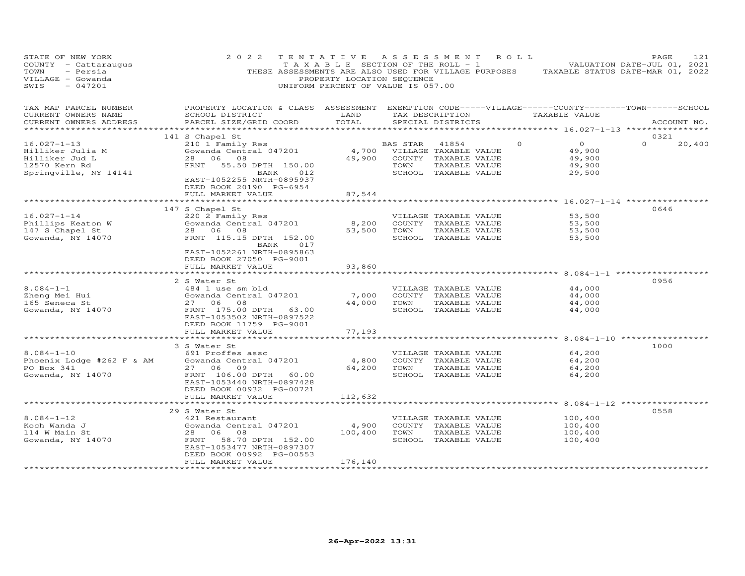| STATE OF NEW YORK<br>COUNTY - Cattaraugus<br>- Persia<br>TOWN<br>VILLAGE - Gowanda<br>$-047201$<br>SWIS | 2 0 2 2                                                                                                                                         | T A X A B L E SECTION OF THE ROLL - 1<br>PROPERTY LOCATION SEQUENCE<br>UNIFORM PERCENT OF VALUE IS 057.00 |          | TENTATIVE ASSESSMENT ROLL<br>THESE ASSESSMENTS ARE ALSO USED FOR VILLAGE PURPOSES |          |                  | PAGE<br>VALUATION DATE-JUL 01, 2021<br>TAXABLE STATUS DATE-MAR 01, 2022 | 121    |
|---------------------------------------------------------------------------------------------------------|-------------------------------------------------------------------------------------------------------------------------------------------------|-----------------------------------------------------------------------------------------------------------|----------|-----------------------------------------------------------------------------------|----------|------------------|-------------------------------------------------------------------------|--------|
| TAX MAP PARCEL NUMBER<br>CURRENT OWNERS NAME<br>CURRENT OWNERS ADDRESS                                  | PROPERTY LOCATION & CLASS ASSESSMENT EXEMPTION CODE-----VILLAGE------COUNTY-------TOWN------SCHOOL<br>SCHOOL DISTRICT<br>PARCEL SIZE/GRID COORD | LAND<br>TOTAL                                                                                             |          | TAX DESCRIPTION<br>SPECIAL DISTRICTS                                              |          | TAXABLE VALUE    | ACCOUNT NO.                                                             |        |
|                                                                                                         | *******************************                                                                                                                 |                                                                                                           |          |                                                                                   |          |                  | ************ 16.027-1-13 ***********                                    |        |
| $16.027 - 1 - 13$                                                                                       | 141 S Chapel St                                                                                                                                 |                                                                                                           | BAS STAR | 41854                                                                             | $\Omega$ | $\overline{O}$   | 0321<br>$\Omega$                                                        |        |
| Hilliker Julia M                                                                                        | 210 1 Family Res<br>Gowanda Central 047201                                                                                                      | 4,700                                                                                                     |          | VILLAGE TAXABLE VALUE                                                             |          | 49,900           |                                                                         | 20,400 |
| Hilliker Jud L                                                                                          | 28 06 08                                                                                                                                        | 49,900                                                                                                    |          | COUNTY TAXABLE VALUE                                                              |          | 49,900           |                                                                         |        |
| 12570 Kern Rd                                                                                           | FRNT<br>55.50 DPTH 150.00                                                                                                                       |                                                                                                           | TOWN     | TAXABLE VALUE                                                                     |          | 49,900           |                                                                         |        |
| Springville, NY 14141                                                                                   | BANK<br>012                                                                                                                                     |                                                                                                           |          | SCHOOL TAXABLE VALUE                                                              |          | 29,500           |                                                                         |        |
|                                                                                                         | EAST-1052255 NRTH-0895937<br>DEED BOOK 20190 PG-6954                                                                                            |                                                                                                           |          |                                                                                   |          |                  |                                                                         |        |
|                                                                                                         | FULL MARKET VALUE                                                                                                                               | 87,544                                                                                                    |          |                                                                                   |          |                  |                                                                         |        |
|                                                                                                         |                                                                                                                                                 |                                                                                                           |          |                                                                                   |          |                  |                                                                         |        |
|                                                                                                         | 147 S Chapel St                                                                                                                                 |                                                                                                           |          |                                                                                   |          |                  | 0646                                                                    |        |
| $16.027 - 1 - 14$                                                                                       | 220 2 Family Res                                                                                                                                |                                                                                                           |          | VILLAGE TAXABLE VALUE                                                             |          | 53,500           |                                                                         |        |
| Phillips Keaton W<br>147 S Chapel St                                                                    | Gowanda Central 047201<br>28 06<br>08                                                                                                           | 8,200<br>53,500                                                                                           | TOWN     | COUNTY TAXABLE VALUE<br>TAXABLE VALUE                                             |          | 53,500<br>53,500 |                                                                         |        |
| Gowanda, NY 14070                                                                                       | FRNT 115.15 DPTH 152.00                                                                                                                         |                                                                                                           |          | SCHOOL TAXABLE VALUE                                                              |          | 53,500           |                                                                         |        |
|                                                                                                         | BANK<br>017                                                                                                                                     |                                                                                                           |          |                                                                                   |          |                  |                                                                         |        |
|                                                                                                         | EAST-1052261 NRTH-0895863                                                                                                                       |                                                                                                           |          |                                                                                   |          |                  |                                                                         |        |
|                                                                                                         | DEED BOOK 27050 PG-9001                                                                                                                         |                                                                                                           |          |                                                                                   |          |                  |                                                                         |        |
|                                                                                                         | FULL MARKET VALUE<br>***********************                                                                                                    | 93,860                                                                                                    |          |                                                                                   |          |                  |                                                                         |        |
|                                                                                                         | 2 S Water St                                                                                                                                    |                                                                                                           |          |                                                                                   |          |                  | 0956                                                                    |        |
| $8.084 - 1 - 1$                                                                                         | 484 1 use sm bld                                                                                                                                |                                                                                                           |          | VILLAGE TAXABLE VALUE                                                             |          | 44,000           |                                                                         |        |
| Zheng Mei Hui                                                                                           | Gowanda Central 047201                                                                                                                          | 7,000                                                                                                     |          | COUNTY TAXABLE VALUE                                                              |          | 44,000           |                                                                         |        |
| 165 Seneca St                                                                                           | 27 06<br>08                                                                                                                                     | 44,000                                                                                                    | TOWN     | TAXABLE VALUE                                                                     |          | 44,000           |                                                                         |        |
| Gowanda, NY 14070                                                                                       | FRNT 175.00 DPTH 63.00                                                                                                                          |                                                                                                           |          | SCHOOL TAXABLE VALUE                                                              |          | 44,000           |                                                                         |        |
|                                                                                                         | EAST-1053502 NRTH-0897522<br>DEED BOOK 11759 PG-9001                                                                                            |                                                                                                           |          |                                                                                   |          |                  |                                                                         |        |
|                                                                                                         | FULL MARKET VALUE                                                                                                                               | 77,193                                                                                                    |          |                                                                                   |          |                  |                                                                         |        |
|                                                                                                         | ***************************                                                                                                                     | ************                                                                                              |          | ************************* 8.084-1-10 ******************                           |          |                  |                                                                         |        |
|                                                                                                         | 3 S Water St                                                                                                                                    |                                                                                                           |          |                                                                                   |          |                  | 1000                                                                    |        |
| $8.084 - 1 - 10$                                                                                        | 691 Proffes assc                                                                                                                                |                                                                                                           |          | VILLAGE TAXABLE VALUE                                                             |          | 64,200           |                                                                         |        |
| Phoenix Lodge #262 F & AM<br>PO Box 341                                                                 | Gowanda Central 047201<br>27 06<br>09                                                                                                           | 4,800<br>64,200                                                                                           | TOWN     | COUNTY TAXABLE VALUE<br>TAXABLE VALUE                                             |          | 64,200<br>64,200 |                                                                         |        |
| Gowanda, NY 14070                                                                                       | FRNT 106.00 DPTH 60.00                                                                                                                          |                                                                                                           |          | SCHOOL TAXABLE VALUE                                                              |          | 64,200           |                                                                         |        |
|                                                                                                         | EAST-1053440 NRTH-0897428                                                                                                                       |                                                                                                           |          |                                                                                   |          |                  |                                                                         |        |
|                                                                                                         | DEED BOOK 00932 PG-00721                                                                                                                        |                                                                                                           |          |                                                                                   |          |                  |                                                                         |        |
|                                                                                                         | FULL MARKET VALUE                                                                                                                               | 112,632                                                                                                   |          |                                                                                   |          |                  |                                                                         |        |
|                                                                                                         |                                                                                                                                                 |                                                                                                           |          |                                                                                   |          |                  | 0558                                                                    |        |
| $8.084 - 1 - 12$                                                                                        | 29 S Water St<br>421 Restaurant                                                                                                                 |                                                                                                           |          | VILLAGE TAXABLE VALUE                                                             |          | 100,400          |                                                                         |        |
| Koch Wanda J                                                                                            | Gowanda Central 047201                                                                                                                          | 4,900                                                                                                     |          | COUNTY TAXABLE VALUE                                                              |          | 100,400          |                                                                         |        |
| 114 W Main St                                                                                           | 28 06<br>08                                                                                                                                     | 100,400                                                                                                   | TOWN     | TAXABLE VALUE                                                                     |          | 100,400          |                                                                         |        |
| Gowanda, NY 14070                                                                                       | FRNT<br>58.70 DPTH 152.00                                                                                                                       |                                                                                                           |          | SCHOOL TAXABLE VALUE                                                              |          | 100,400          |                                                                         |        |
|                                                                                                         | EAST-1053477 NRTH-0897307                                                                                                                       |                                                                                                           |          |                                                                                   |          |                  |                                                                         |        |
|                                                                                                         | DEED BOOK 00992 PG-00553<br>FULL MARKET VALUE                                                                                                   |                                                                                                           |          |                                                                                   |          |                  |                                                                         |        |
|                                                                                                         |                                                                                                                                                 | 176,140<br>*****************                                                                              |          |                                                                                   |          |                  |                                                                         |        |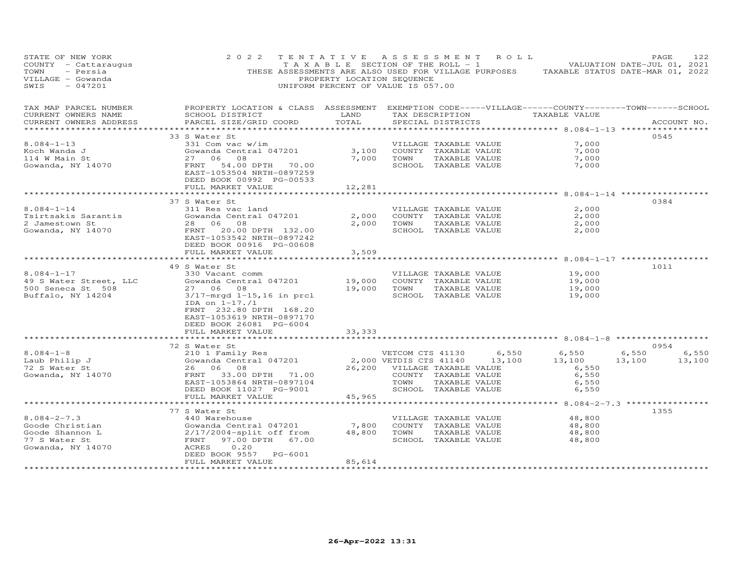| STATE OF NEW YORK<br>COUNTY - Cattaraugus<br>TOWN<br>- Persia<br>VILLAGE - Gowanda<br>SWIS<br>$-047201$ | 2 0 2 2<br>THESE ASSESSMENTS ARE ALSO USED FOR VILLAGE PURPOSES                                                                                                                                     | TENTATIVE<br>T A X A B L E SECTION OF THE ROLL - 1<br>PROPERTY LOCATION SEQUENCE<br>UNIFORM PERCENT OF VALUE IS 057.00 | A S S E S S M E N T                                                         |                                                                                        | R O L L         | TAXABLE STATUS DATE-MAR 01, 2022                    | PAGE<br>VALUATION DATE-JUL 01, 2021 | 122             |
|---------------------------------------------------------------------------------------------------------|-----------------------------------------------------------------------------------------------------------------------------------------------------------------------------------------------------|------------------------------------------------------------------------------------------------------------------------|-----------------------------------------------------------------------------|----------------------------------------------------------------------------------------|-----------------|-----------------------------------------------------|-------------------------------------|-----------------|
| TAX MAP PARCEL NUMBER<br>CURRENT OWNERS NAME<br>CURRENT OWNERS ADDRESS<br>**********************        | PROPERTY LOCATION & CLASS ASSESSMENT EXEMPTION CODE-----VILLAGE------COUNTY-------TOWN------SCHOOL<br>SCHOOL DISTRICT<br>PARCEL SIZE/GRID COORD                                                     | LAND<br>TOTAL                                                                                                          |                                                                             | SPECIAL DISTRICTS                                                                      |                 | TAX DESCRIPTION TAXABLE VALUE                       |                                     | ACCOUNT NO.     |
|                                                                                                         | 33 S Water St                                                                                                                                                                                       |                                                                                                                        |                                                                             |                                                                                        |                 |                                                     | 0545                                |                 |
| $8.084 - 1 - 13$                                                                                        | 331 Com vac w/im                                                                                                                                                                                    |                                                                                                                        |                                                                             | VILLAGE TAXABLE VALUE                                                                  |                 | 7,000                                               |                                     |                 |
| Koch Wanda J                                                                                            | Gowanda Central 047201                                                                                                                                                                              | 3,100                                                                                                                  |                                                                             | COUNTY TAXABLE VALUE                                                                   |                 | 7,000                                               |                                     |                 |
| 114 W Main St<br>Gowanda, NY 14070                                                                      | 08<br>27 06<br>FRNT<br>54.00 DPTH 70.00<br>EAST-1053504 NRTH-0897259<br>DEED BOOK 00992 PG-00533                                                                                                    | 7,000                                                                                                                  | TOWN                                                                        | TAXABLE VALUE<br>SCHOOL TAXABLE VALUE                                                  |                 | 7,000<br>7,000                                      |                                     |                 |
|                                                                                                         | FULL MARKET VALUE                                                                                                                                                                                   | 12,281                                                                                                                 |                                                                             |                                                                                        |                 |                                                     |                                     |                 |
|                                                                                                         |                                                                                                                                                                                                     |                                                                                                                        |                                                                             |                                                                                        |                 | ********* 8.084-1-14 ***********                    |                                     |                 |
| $8.084 - 1 - 14$<br>Tsirtsakis Sarantis<br>2 Jamestown St<br>Gowanda, NY 14070                          | 37 S Water St<br>311 Res vac land<br>Gowanda Central 047201<br>28 06 08<br>FRNT 20.00 DPTH 132.00<br>EAST-1053542 NRTH-0897242<br>DEED BOOK 00916 PG-00608                                          | 2,000<br>2,000                                                                                                         | TOWN                                                                        | VILLAGE TAXABLE VALUE<br>COUNTY TAXABLE VALUE<br>TAXABLE VALUE<br>SCHOOL TAXABLE VALUE |                 | 2,000<br>2,000<br>2,000<br>2,000                    | 0384                                |                 |
|                                                                                                         | FULL MARKET VALUE                                                                                                                                                                                   | 3,509                                                                                                                  |                                                                             |                                                                                        |                 |                                                     |                                     |                 |
|                                                                                                         | **********************                                                                                                                                                                              | *********                                                                                                              |                                                                             |                                                                                        |                 | ************* 8.084-1-17 *************              |                                     |                 |
|                                                                                                         | 49 S Water St                                                                                                                                                                                       |                                                                                                                        |                                                                             |                                                                                        |                 |                                                     | 1011                                |                 |
| $8.084 - 1 - 17$<br>49 S Water Street, LLC<br>500 Seneca St 508<br>Buffalo, NY 14204                    | 330 Vacant comm<br>Gowanda Central 047201<br>27 06<br>08<br>$3/17$ -mrgd $1-15$ , 16 in prcl<br>IDA on $1-17.71$<br>FRNT 232.80 DPTH 168.20<br>EAST-1053619 NRTH-0897170<br>DEED BOOK 26081 PG-6004 | 19,000<br>19,000                                                                                                       | COUNTY TAXABLE VALUE<br>TOWN                                                | VILLAGE TAXABLE VALUE<br>TAXABLE VALUE<br>SCHOOL TAXABLE VALUE                         |                 | 19,000<br>19,000<br>19,000<br>19,000                |                                     |                 |
|                                                                                                         | FULL MARKET VALUE                                                                                                                                                                                   | 33, 333                                                                                                                |                                                                             |                                                                                        |                 |                                                     |                                     |                 |
|                                                                                                         | ******************************                                                                                                                                                                      |                                                                                                                        |                                                                             |                                                                                        |                 |                                                     |                                     |                 |
| $8.084 - 1 - 8$<br>Laub Philip J<br>72 S Water St<br>Gowanda, NY 14070                                  | 72 S Water St<br>210 1 Family Res<br>Gowanda Central 047201<br>26 06 08<br>FRNT 33.00 DPTH 71.00<br>EAST-1053864 NRTH-0897104<br>DEED BOOK 11027 PG-9001                                            | 26,200                                                                                                                 | VETCOM CTS 41130<br>2,000 VETDIS CTS 41140<br>VILLAGE TAXABLE VALUE<br>TOWN | COUNTY TAXABLE VALUE<br>TAXABLE VALUE<br>SCHOOL TAXABLE VALUE                          | 6,550<br>13,100 | 6,550<br>13,100<br>6,550<br>6,550<br>6,550<br>6,550 | 0954<br>6,550<br>13,100             | 6,550<br>13,100 |
|                                                                                                         | FULL MARKET VALUE                                                                                                                                                                                   | 45,965                                                                                                                 |                                                                             |                                                                                        |                 |                                                     |                                     |                 |
|                                                                                                         | **************************<br>77 S Water St                                                                                                                                                         |                                                                                                                        |                                                                             |                                                                                        |                 |                                                     | 1355                                |                 |
| $8.084 - 2 - 7.3$<br>Goode Christian<br>Goode Shannon L<br>77 S Water St<br>Gowanda, NY 14070           | 440 Warehouse<br>Gowanda Central 047201<br>$2/17/2004$ -split off from<br>FRNT<br>97.00 DPTH 67.00<br>ACRES<br>0.20<br>DEED BOOK 9557 PG-6001                                                       | 7,800<br>48,800                                                                                                        | TOWN                                                                        | VILLAGE TAXABLE VALUE<br>COUNTY TAXABLE VALUE<br>TAXABLE VALUE<br>SCHOOL TAXABLE VALUE |                 | 48,800<br>48,800<br>48,800<br>48,800                |                                     |                 |
|                                                                                                         | FULL MARKET VALUE<br>***********************                                                                                                                                                        | 85,614<br>*****************                                                                                            |                                                                             |                                                                                        |                 |                                                     |                                     |                 |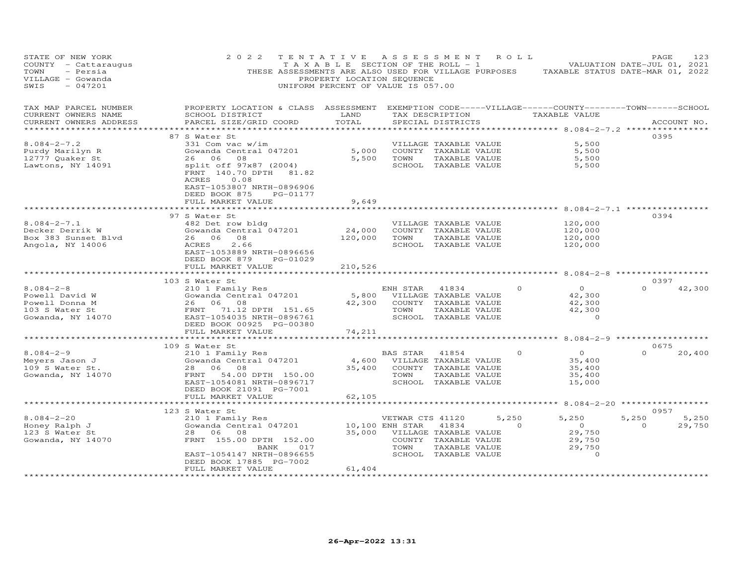| STATE OF NEW YORK<br>COUNTY - Cattaraugus<br>TOWN<br>- Persia<br>VILLAGE - Gowanda<br>SWIS<br>$-047201$                                                                                    | 2 0 2 2                                                                                                                                          | TENTATIVE<br>PROPERTY LOCATION SEQUENCE<br>UNIFORM PERCENT OF VALUE IS 057.00 | ASSESSMENT ROLL              |                                               |                | $\begin{bmatrix} 1 & 1 & 1 \\ 1 & 1 & 1 \end{bmatrix}$ is the section of the ROLL - 1 and $\begin{bmatrix} 1 & 1 & 1 \\ 1 & 1 & 1 \end{bmatrix}$ valuation date-jul 01, 2021<br>THESE ASSESSMENTS ARE ALSO USED FOR VILLAGE PURPOSES TAXABLE STATUS DATE-MAR 01, 2022 | PAGE           | 123         |
|--------------------------------------------------------------------------------------------------------------------------------------------------------------------------------------------|--------------------------------------------------------------------------------------------------------------------------------------------------|-------------------------------------------------------------------------------|------------------------------|-----------------------------------------------|----------------|-----------------------------------------------------------------------------------------------------------------------------------------------------------------------------------------------------------------------------------------------------------------------|----------------|-------------|
| TAX MAP PARCEL NUMBER<br>CURRENT OWNERS NAME<br>CURRENT OWNERS ADDRESS                                                                                                                     | PROPERTY LOCATION & CLASS ASSESSMENT EXEMPTION CODE-----VILLAGE------COUNTY--------TOWN------SCHOOL<br>SCHOOL DISTRICT<br>PARCEL SIZE/GRID COORD | LAND<br>TOTAL                                                                 |                              | SPECIAL DISTRICTS                             |                | TAX DESCRIPTION TAXABLE VALUE                                                                                                                                                                                                                                         |                | ACCOUNT NO. |
| ************************                                                                                                                                                                   |                                                                                                                                                  |                                                                               |                              |                                               |                |                                                                                                                                                                                                                                                                       |                |             |
|                                                                                                                                                                                            | 87 S Water St                                                                                                                                    |                                                                               |                              |                                               |                |                                                                                                                                                                                                                                                                       | 0395           |             |
| $8.084 - 2 - 7.2$<br>Purdy Marilyn R                                                                                                                                                       | 331 Com vac w/im                                                                                                                                 | 5,000                                                                         |                              | VILLAGE TAXABLE VALUE<br>COUNTY TAXABLE VALUE |                | 5,500<br>5,500                                                                                                                                                                                                                                                        |                |             |
| 12777 Quaker St                                                                                                                                                                            | Gowanda Central 047201<br>26 06 08                                                                                                               | 5,500                                                                         | TOWN                         | TAXABLE VALUE                                 |                | 5,500                                                                                                                                                                                                                                                                 |                |             |
| Lawtons, NY 14091                                                                                                                                                                          | split off 97x87 (2004)                                                                                                                           |                                                                               |                              | SCHOOL TAXABLE VALUE                          |                | 5,500                                                                                                                                                                                                                                                                 |                |             |
|                                                                                                                                                                                            | FRNT 140.70 DPTH 81.82<br>ACRES<br>0.08<br>EAST-1053807 NRTH-0896906<br>DEED BOOK 875<br>PG-01177<br>FULL MARKET VALUE                           | 9,649                                                                         |                              |                                               |                |                                                                                                                                                                                                                                                                       |                |             |
|                                                                                                                                                                                            | *****************************                                                                                                                    |                                                                               |                              |                                               |                |                                                                                                                                                                                                                                                                       |                |             |
|                                                                                                                                                                                            | 97 S Water St                                                                                                                                    |                                                                               |                              |                                               |                |                                                                                                                                                                                                                                                                       | 0394           |             |
| $8.084 - 2 - 7.1$                                                                                                                                                                          | 482 Det row bldg                                                                                                                                 | 24,000                                                                        |                              | VILLAGE TAXABLE VALUE                         |                | 120,000                                                                                                                                                                                                                                                               |                |             |
| Decker Derrik W                                                                                                                                                                            | Gowanda Central 047201<br>26 06 08                                                                                                               |                                                                               |                              | COUNTY TAXABLE VALUE                          |                | 120,000                                                                                                                                                                                                                                                               |                |             |
| Box 383 Sunset Blvd<br>Angola, NY 14006                                                                                                                                                    | ACRES<br>2.66                                                                                                                                    | 120,000                                                                       | TOWN                         | TAXABLE VALUE<br>SCHOOL TAXABLE VALUE         |                | 120,000<br>120,000                                                                                                                                                                                                                                                    |                |             |
|                                                                                                                                                                                            | EAST-1053889 NRTH-0896656<br>DEED BOOK 879 PG-01029<br>FULL MARKET VALUE                                                                         | 210,526                                                                       |                              |                                               |                |                                                                                                                                                                                                                                                                       |                |             |
|                                                                                                                                                                                            | ************************                                                                                                                         | ***********                                                                   |                              |                                               |                | ********************** 8.084-2-8 ******************                                                                                                                                                                                                                   |                |             |
|                                                                                                                                                                                            | 103 S Water St                                                                                                                                   |                                                                               |                              |                                               |                |                                                                                                                                                                                                                                                                       | 0397           |             |
| $8.084 - 2 - 8$                                                                                                                                                                            | 210 1 Family Res                                                                                                                                 |                                                                               | ENH STAR                     | 41834                                         |                | $\overline{O}$<br>$\Omega$                                                                                                                                                                                                                                            | $\Omega$       | 42,300      |
| Powell David W                                                                                                                                                                             | Gowanda Central 047201                                                                                                                           |                                                                               | 5,800 VILLAGE TAXABLE VALUE  |                                               |                | 42,300                                                                                                                                                                                                                                                                |                |             |
|                                                                                                                                                                                            |                                                                                                                                                  | 42,300                                                                        |                              | COUNTY TAXABLE VALUE                          |                | 42,300                                                                                                                                                                                                                                                                |                |             |
| POWELL DAVID WAS MONOGRAPH OF CONTRACTED 101 AND 103 S WALLER SERVEL 26 06 08<br>103 S Water St 103 S Water St 104 26 06 1.12 DPTH 151.65<br>103 S Water St 1070 EAST-1054035 NRTH-0896761 |                                                                                                                                                  |                                                                               | TOWN                         | TAXABLE VALUE                                 |                | 42,300<br>$\overline{a}$                                                                                                                                                                                                                                              |                |             |
|                                                                                                                                                                                            |                                                                                                                                                  |                                                                               |                              | SCHOOL TAXABLE VALUE                          |                |                                                                                                                                                                                                                                                                       |                |             |
|                                                                                                                                                                                            | DEED BOOK 00925 PG-00380<br>FULL MARKET VALUE                                                                                                    | 74,211                                                                        |                              |                                               |                |                                                                                                                                                                                                                                                                       |                |             |
|                                                                                                                                                                                            | **************************                                                                                                                       | *********************                                                         |                              |                                               |                |                                                                                                                                                                                                                                                                       |                |             |
|                                                                                                                                                                                            | 109 S Water St                                                                                                                                   |                                                                               |                              |                                               |                |                                                                                                                                                                                                                                                                       | 0675           |             |
| $8.084 - 2 - 9$                                                                                                                                                                            | 210 1 Family Res                                                                                                                                 |                                                                               | BAS STAR                     | 41854                                         |                | $\circ$<br>$\overline{O}$                                                                                                                                                                                                                                             | $\Omega$       | 20,400      |
| Meyers Jason J                                                                                                                                                                             | Gowanda Central 047201                                                                                                                           |                                                                               | 4,600 VILLAGE TAXABLE VALUE  |                                               |                | 35,400                                                                                                                                                                                                                                                                |                |             |
| 109 S Water St.                                                                                                                                                                            | 28 06 08                                                                                                                                         |                                                                               | 35,400 COUNTY TAXABLE VALUE  |                                               |                | 35,400                                                                                                                                                                                                                                                                |                |             |
| Gowanda, NY 14070                                                                                                                                                                          | 54.00 DPTH 150.00<br>FRNT                                                                                                                        |                                                                               | TOWN                         | TAXABLE VALUE                                 |                | 35,400                                                                                                                                                                                                                                                                |                |             |
|                                                                                                                                                                                            | EAST-1054081 NRTH-0896717                                                                                                                        |                                                                               |                              | SCHOOL TAXABLE VALUE                          |                | 15,000                                                                                                                                                                                                                                                                |                |             |
|                                                                                                                                                                                            | DEED BOOK 21091 PG-7001                                                                                                                          |                                                                               |                              |                                               |                |                                                                                                                                                                                                                                                                       |                |             |
|                                                                                                                                                                                            | FULL MARKET VALUE                                                                                                                                | 62,105                                                                        |                              |                                               |                |                                                                                                                                                                                                                                                                       |                |             |
|                                                                                                                                                                                            | ***********************                                                                                                                          |                                                                               |                              |                                               |                |                                                                                                                                                                                                                                                                       |                |             |
|                                                                                                                                                                                            | 123 S Water St                                                                                                                                   |                                                                               |                              |                                               |                |                                                                                                                                                                                                                                                                       | 0957           |             |
| $8.084 - 2 - 20$                                                                                                                                                                           | 210 1 Family Res                                                                                                                                 |                                                                               | VETWAR CTS 41120             |                                               | 5,250          | 5,250                                                                                                                                                                                                                                                                 | 5,250          | 5,250       |
| Honey Ralph J<br>123 S Water St<br>Gowanda, NY 14070                                                                                                                                       | Gowanda Central 047201                                                                                                                           | 10,100 ENH STAR                                                               |                              | 41834                                         | $\overline{0}$ | $\overline{0}$                                                                                                                                                                                                                                                        | $\overline{0}$ | 29,750      |
|                                                                                                                                                                                            | 28 06 08                                                                                                                                         |                                                                               | 35,000 VILLAGE TAXABLE VALUE |                                               |                | 29,750<br>--, /50<br>29,750<br>29                                                                                                                                                                                                                                     |                |             |
|                                                                                                                                                                                            | FRNT 155.00 DPTH 152.00                                                                                                                          |                                                                               | TOWN                         | COUNTY TAXABLE VALUE<br>TAXABLE VALUE         |                |                                                                                                                                                                                                                                                                       |                |             |
|                                                                                                                                                                                            | BANK 017<br>EAST-1054147 NRTH-0896655                                                                                                            |                                                                               |                              | SCHOOL TAXABLE VALUE                          |                | $\Omega$                                                                                                                                                                                                                                                              |                |             |
|                                                                                                                                                                                            | DEED BOOK 17885 PG-7002                                                                                                                          |                                                                               |                              |                                               |                |                                                                                                                                                                                                                                                                       |                |             |
|                                                                                                                                                                                            | FULL MARKET VALUE                                                                                                                                | 61,404                                                                        |                              |                                               |                |                                                                                                                                                                                                                                                                       |                |             |
|                                                                                                                                                                                            | ********************                                                                                                                             | *************                                                                 |                              |                                               |                |                                                                                                                                                                                                                                                                       |                |             |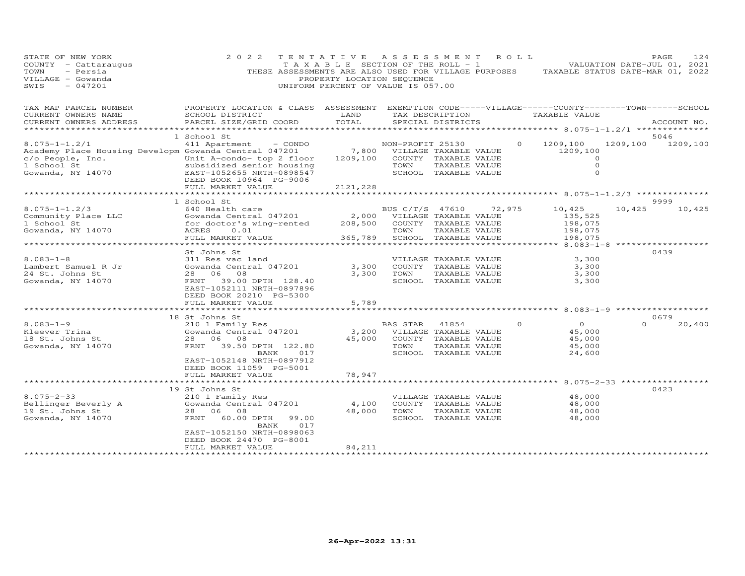| STATE OF NEW YORK<br>COUNTY - Cattaraugus<br>- Persia<br>TOWN<br>VILLAGE - Gowanda<br>SWIS<br>$-047201$         | 2 0 2 2<br>THESE ASSESSMENTS ARE ALSO USED FOR VILLAGE PURPOSES                    | TENTATIVE<br>T A X A B L E SECTION OF THE ROLL - 1<br>PROPERTY LOCATION SEQUENCE<br>UNIFORM PERCENT OF VALUE IS 057.00 | A S S E S S M E N T      |                                                                |        | R O L L  | TAXABLE STATUS DATE-MAR 01, 2022                                               |          | PAGE<br>124<br>VALUATION DATE-JUL 01, 2021 |
|-----------------------------------------------------------------------------------------------------------------|------------------------------------------------------------------------------------|------------------------------------------------------------------------------------------------------------------------|--------------------------|----------------------------------------------------------------|--------|----------|--------------------------------------------------------------------------------|----------|--------------------------------------------|
| TAX MAP PARCEL NUMBER<br>CURRENT OWNERS NAME                                                                    | PROPERTY LOCATION & CLASS ASSESSMENT<br>SCHOOL DISTRICT                            | LAND                                                                                                                   |                          | TAX DESCRIPTION                                                |        |          | EXEMPTION CODE-----VILLAGE------COUNTY-------TOWN------SCHOOL<br>TAXABLE VALUE |          |                                            |
| CURRENT OWNERS ADDRESS<br>**********************                                                                | PARCEL SIZE/GRID COORD                                                             | TOTAL<br>**********                                                                                                    |                          | SPECIAL DISTRICTS                                              |        |          |                                                                                |          | ACCOUNT NO.                                |
|                                                                                                                 | 1 School St                                                                        |                                                                                                                        |                          |                                                                |        |          |                                                                                |          | 5046                                       |
| $8.075 - 1 - 1.2/1$<br>Academy Place Housing Developm Gowanda Central 047201<br>c/o People, Inc.<br>1 School St | 411 Apartment<br>- CONDO<br>Unit A-condo- top 2 floor<br>subsidized senior housing | 7,800<br>1209,100                                                                                                      | NON-PROFIT 25130<br>TOWN | VILLAGE TAXABLE VALUE<br>COUNTY TAXABLE VALUE<br>TAXABLE VALUE |        | $\Omega$ | 1209,100<br>1209,100<br>0<br>$\Omega$                                          |          | 1209,100 1209,100                          |
| Gowanda, NY 14070                                                                                               | EAST-1052655 NRTH-0898547<br>DEED BOOK 10964 PG-9006                               |                                                                                                                        |                          | SCHOOL TAXABLE VALUE                                           |        |          | $\circ$                                                                        |          |                                            |
|                                                                                                                 | FULL MARKET VALUE                                                                  | 2121,228                                                                                                               |                          |                                                                |        |          |                                                                                |          |                                            |
|                                                                                                                 | *********************                                                              |                                                                                                                        |                          |                                                                |        |          |                                                                                |          |                                            |
| $8.075 - 1 - 1.2/3$                                                                                             | 1 School St<br>640 Health care                                                     |                                                                                                                        | BUS C/T/S 47610          |                                                                | 72,975 |          | 10,425                                                                         | 10,425   | 9999<br>10,425                             |
| Community Place LLC                                                                                             | Gowanda Central 047201                                                             | 2,000                                                                                                                  |                          | VILLAGE TAXABLE VALUE                                          |        |          | 135,525                                                                        |          |                                            |
| 1 School St                                                                                                     | for doctor's wing-rented                                                           | 208,500                                                                                                                |                          | COUNTY TAXABLE VALUE                                           |        |          | 198,075                                                                        |          |                                            |
| Gowanda, NY 14070                                                                                               | ACRES<br>0.01                                                                      |                                                                                                                        | TOWN                     | TAXABLE VALUE                                                  |        |          | 198,075                                                                        |          |                                            |
|                                                                                                                 | FULL MARKET VALUE                                                                  | 365,789                                                                                                                |                          | SCHOOL TAXABLE VALUE                                           |        |          | 198,075                                                                        |          |                                            |
|                                                                                                                 |                                                                                    |                                                                                                                        |                          |                                                                |        |          | ******** 8.083-1-8                                                             |          |                                            |
| $8.083 - 1 - 8$                                                                                                 | St Johns St                                                                        |                                                                                                                        |                          |                                                                |        |          | 3,300                                                                          |          | 0439                                       |
| Lambert Samuel R Jr                                                                                             | 311 Res vac land<br>Gowanda Central 047201                                         | 3,300                                                                                                                  |                          | VILLAGE TAXABLE VALUE<br>COUNTY TAXABLE VALUE                  |        |          | 3,300                                                                          |          |                                            |
| 24 St. Johns St                                                                                                 | 28 06<br>08                                                                        | 3,300                                                                                                                  | TOWN                     | TAXABLE VALUE                                                  |        |          | 3,300                                                                          |          |                                            |
| Gowanda, NY 14070                                                                                               | FRNT 39.00 DPTH 128.40<br>EAST-1052111 NRTH-0897896<br>DEED BOOK 20210 PG-5300     |                                                                                                                        |                          | SCHOOL TAXABLE VALUE                                           |        |          | 3,300                                                                          |          |                                            |
|                                                                                                                 | FULL MARKET VALUE                                                                  | 5,789                                                                                                                  |                          |                                                                |        |          |                                                                                |          |                                            |
|                                                                                                                 | 18 St Johns St                                                                     |                                                                                                                        |                          |                                                                |        |          |                                                                                |          | 0679                                       |
| $8.083 - 1 - 9$                                                                                                 | 210 1 Family Res                                                                   |                                                                                                                        | BAS STAR                 | 41854                                                          |        | $\Omega$ | $\circ$                                                                        | $\Omega$ | 20,400                                     |
| Kleever Trina                                                                                                   | Gowanda Central 047201                                                             | 3,200                                                                                                                  |                          | VILLAGE TAXABLE VALUE                                          |        |          | 45,000                                                                         |          |                                            |
| 18 St. Johns St                                                                                                 | 28 06 08                                                                           | 45,000                                                                                                                 |                          | COUNTY TAXABLE VALUE                                           |        |          | 45,000                                                                         |          |                                            |
| Gowanda, NY 14070                                                                                               | FRNT<br>39.50 DPTH 122.80                                                          |                                                                                                                        | TOWN                     | TAXABLE VALUE                                                  |        |          | 45,000                                                                         |          |                                            |
|                                                                                                                 | BANK<br>017<br>EAST-1052148 NRTH-0897912<br>DEED BOOK 11059 PG-5001                |                                                                                                                        |                          | SCHOOL TAXABLE VALUE                                           |        |          | 24,600                                                                         |          |                                            |
|                                                                                                                 | FULL MARKET VALUE                                                                  | 78,947                                                                                                                 |                          |                                                                |        |          | ******** 8.075-2-33 ************                                               |          |                                            |
|                                                                                                                 | 19 St Johns St                                                                     |                                                                                                                        |                          |                                                                |        |          |                                                                                |          | 0423                                       |
| $8.075 - 2 - 33$                                                                                                | 210 1 Family Res                                                                   |                                                                                                                        |                          | VILLAGE TAXABLE VALUE                                          |        |          | 48,000                                                                         |          |                                            |
| Bellinger Beverly A                                                                                             | Gowanda Central 047201                                                             | 4,100                                                                                                                  |                          | COUNTY TAXABLE VALUE                                           |        |          | 48,000                                                                         |          |                                            |
| 19 St. Johns St                                                                                                 | 28<br>06 08                                                                        | 48,000                                                                                                                 | TOWN                     | TAXABLE VALUE                                                  |        |          | 48,000                                                                         |          |                                            |
| Gowanda, NY 14070                                                                                               | 60.00 DPTH<br>FRNT<br>99.00<br>017<br>BANK                                         |                                                                                                                        |                          | SCHOOL TAXABLE VALUE                                           |        |          | 48,000                                                                         |          |                                            |
|                                                                                                                 | EAST-1052150 NRTH-0898063                                                          |                                                                                                                        |                          |                                                                |        |          |                                                                                |          |                                            |
|                                                                                                                 | DEED BOOK 24470 PG-8001                                                            |                                                                                                                        |                          |                                                                |        |          |                                                                                |          |                                            |
|                                                                                                                 | FULL MARKET VALUE                                                                  | 84,211                                                                                                                 |                          |                                                                |        |          |                                                                                |          |                                            |
|                                                                                                                 | ***********************                                                            | ***************                                                                                                        |                          |                                                                |        |          |                                                                                |          |                                            |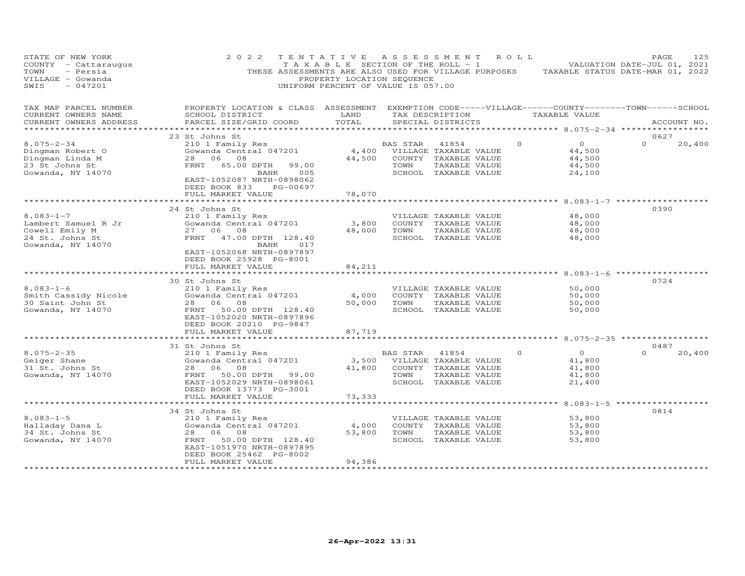| STATE OF NEW YORK<br>COUNTY - Cattaraugus<br>TOWN<br>- Persia<br>VILLAGE - Gowanda<br>$-047201$<br>SWIS | 2 0 2 2<br>THESE ASSESSMENTS ARE ALSO USED FOR VILLAGE PURPOSES                                                                                                              | TENTATIVE<br>T A X A B L E SECTION OF THE ROLL - 1<br>PROPERTY LOCATION SEQUENCE<br>UNIFORM PERCENT OF VALUE IS 057.00 |                         | A S S E S S M E N T                                                                             | R O L L  |                                                  | PAGE<br>125<br>VALUATION DATE-JUL 01, 2021<br>TAXABLE STATUS DATE-MAR 01, 2022 |
|---------------------------------------------------------------------------------------------------------|------------------------------------------------------------------------------------------------------------------------------------------------------------------------------|------------------------------------------------------------------------------------------------------------------------|-------------------------|-------------------------------------------------------------------------------------------------|----------|--------------------------------------------------|--------------------------------------------------------------------------------|
| TAX MAP PARCEL NUMBER<br>CURRENT OWNERS NAME<br>CURRENT OWNERS ADDRESS                                  | PROPERTY LOCATION & CLASS ASSESSMENT EXEMPTION CODE-----VILLAGE------COUNTY--------TOWN------SCHOOL<br>SCHOOL DISTRICT<br>PARCEL SIZE/GRID COORD                             | LAND<br>TOTAL<br>**************                                                                                        |                         | TAX DESCRIPTION<br>SPECIAL DISTRICTS                                                            |          | TAXABLE VALUE                                    | ACCOUNT NO.<br>************                                                    |
|                                                                                                         | 23 St Johns St                                                                                                                                                               |                                                                                                                        |                         |                                                                                                 |          | ********* 8.075-2-34 ****                        | 0627                                                                           |
| $8.075 - 2 - 34$<br>Dingman Robert O<br>Dingman Linda M<br>23 St Johns St<br>Gowanda, NY 14070          | 210 1 Family Res<br>Gowanda Central 047201<br>06<br>08<br>28<br>FRNT<br>65.00 DPTH<br>99.00<br>005<br>BANK<br>EAST-1052087 NRTH-0898062<br>DEED BOOK 833<br>PG-00697         | 4,400<br>44,500                                                                                                        | BAS STAR<br>TOWN        | 41854<br>VILLAGE TAXABLE VALUE<br>COUNTY TAXABLE VALUE<br>TAXABLE VALUE<br>SCHOOL TAXABLE VALUE | $\Omega$ | $\circ$<br>44,500<br>44,500<br>44,500<br>24,100  | $\Omega$<br>20,400                                                             |
|                                                                                                         | FULL MARKET VALUE                                                                                                                                                            | 78,070                                                                                                                 |                         |                                                                                                 |          |                                                  |                                                                                |
|                                                                                                         |                                                                                                                                                                              |                                                                                                                        |                         |                                                                                                 |          |                                                  |                                                                                |
| $8.083 - 1 - 7$<br>Lambert Samuel R Jr<br>Cowell Emily M<br>24 St. Johns St<br>Gowanda, NY 14070        | 24 St Johns St<br>210 1 Family Res<br>Gowanda Central 047201<br>27 06 08<br>FRNT<br>47.00 DPTH 128.40<br>017<br>BANK<br>EAST-1052068 NRTH-0897897<br>DEED BOOK 25928 PG-8001 | 3,800<br>48,000                                                                                                        | TOWN                    | VILLAGE TAXABLE VALUE<br>COUNTY TAXABLE VALUE<br>TAXABLE VALUE<br>SCHOOL TAXABLE VALUE          |          | 48,000<br>48,000<br>48,000<br>48,000             | 0390                                                                           |
|                                                                                                         | FULL MARKET VALUE                                                                                                                                                            | 84,211                                                                                                                 |                         |                                                                                                 |          |                                                  |                                                                                |
|                                                                                                         | ********************                                                                                                                                                         | ************************                                                                                               |                         |                                                                                                 |          | $8.083 - 1 - 6$ *****                            |                                                                                |
| $8.083 - 1 - 6$<br>Smith Cassidy Nicole<br>30 Saint John St<br>Gowanda, NY 14070                        | 30 St Johns St<br>210 1 Family Res<br>Gowanda Central 047201<br>28<br>06<br>08<br>50.00 DPTH 128.40<br>FRNT<br>EAST-1052020 NRTH-0897896<br>DEED BOOK 20210 PG-9847          | 4,000<br>50,000                                                                                                        | TOWN                    | VILLAGE TAXABLE VALUE<br>COUNTY TAXABLE VALUE<br>TAXABLE VALUE<br>SCHOOL TAXABLE VALUE          |          | 50,000<br>50,000<br>50,000<br>50,000             | 0724                                                                           |
|                                                                                                         | FULL MARKET VALUE<br>***********************                                                                                                                                 | 87,719<br>*******************                                                                                          |                         |                                                                                                 |          |                                                  | ********** 8.075-2-35 ******************                                       |
|                                                                                                         | 31 St Johns St                                                                                                                                                               |                                                                                                                        |                         |                                                                                                 |          |                                                  | 0487                                                                           |
| $8.075 - 2 - 35$<br>Geiger Shane<br>31 St. Johns St<br>Gowanda, NY 14070                                | 210 1 Family Res<br>Gowanda Central 047201<br>28<br>06<br>08<br>FRNT 50.00 DPTH 99.00<br>EAST-1052029 NRTH-0898061<br>DEED BOOK 13773 PG-3001                                | 3,500<br>41,800                                                                                                        | <b>BAS STAR</b><br>TOWN | 41854<br>VILLAGE TAXABLE VALUE<br>COUNTY TAXABLE VALUE<br>TAXABLE VALUE<br>SCHOOL TAXABLE VALUE | $\Omega$ | $\Omega$<br>41,800<br>41,800<br>41,800<br>21,400 | $\Omega$<br>20,400                                                             |
|                                                                                                         | FULL MARKET VALUE                                                                                                                                                            | 73,333                                                                                                                 |                         |                                                                                                 |          |                                                  |                                                                                |
|                                                                                                         | **********************************                                                                                                                                           | ********************************                                                                                       |                         |                                                                                                 |          |                                                  | ************** 8.083-1-5 *******************                                   |
| $8.083 - 1 - 5$<br>Halladay Dana L<br>34 St. Johns St<br>Gowanda, NY 14070                              | 34 St Johns St<br>210 1 Family Res<br>Gowanda Central 047201<br>28 06<br>08<br>FRNT<br>50.00 DPTH 128.40<br>EAST-1051970 NRTH-0897895<br>DEED BOOK 25462 PG-8002             | 4,000<br>53,800                                                                                                        | TOWN                    | VILLAGE TAXABLE VALUE<br>COUNTY TAXABLE VALUE<br>TAXABLE VALUE<br>SCHOOL TAXABLE VALUE          |          | 53,800<br>53,800<br>53,800<br>53,800             | 0814                                                                           |
|                                                                                                         | FULL MARKET VALUE<br>*******************                                                                                                                                     | 94,386<br>***********                                                                                                  |                         |                                                                                                 |          |                                                  |                                                                                |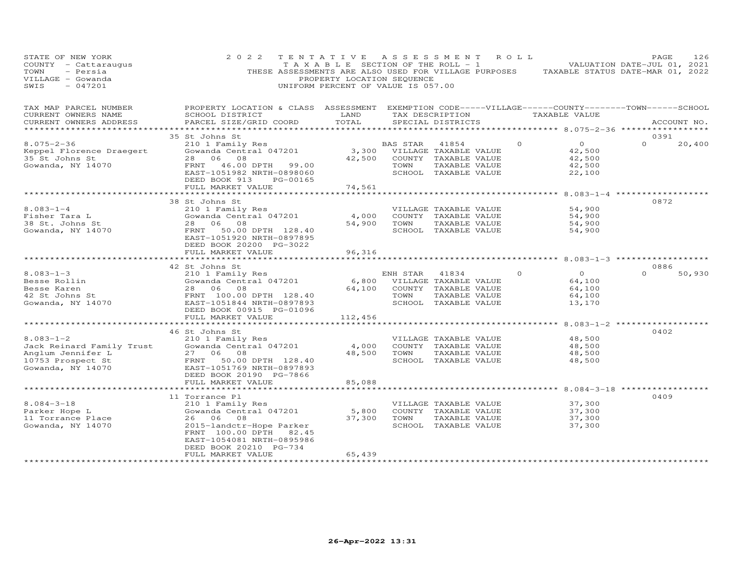| STATE OF NEW YORK<br>COUNTY - Cattaraugus<br>- Persia<br>TOWN<br>VILLAGE - Gowanda<br>SWIS<br>$-047201$                          | 2 0 2 2                                                                                                                                                                                                      | TENTATIVE<br>PROPERTY LOCATION SEQUENCE<br>UNIFORM PERCENT OF VALUE IS 057.00 |                  | A S S E S S M E N T<br>T A X A B L E SECTION OF THE ROLL - 1                                    | ROLL     | THESE ASSESSMENTS ARE ALSO USED FOR VILLAGE PURPOSES TAXABLE STATUS DATE-MAR 01, 2022                      | PAGE<br>VALUATION DATE-JUL 01, 2021     | 126    |
|----------------------------------------------------------------------------------------------------------------------------------|--------------------------------------------------------------------------------------------------------------------------------------------------------------------------------------------------------------|-------------------------------------------------------------------------------|------------------|-------------------------------------------------------------------------------------------------|----------|------------------------------------------------------------------------------------------------------------|-----------------------------------------|--------|
| TAX MAP PARCEL NUMBER<br>CURRENT OWNERS NAME<br>CURRENT OWNERS ADDRESS                                                           | PROPERTY LOCATION & CLASS ASSESSMENT<br>SCHOOL DISTRICT<br>PARCEL SIZE/GRID COORD                                                                                                                            | LAND<br>TOTAL<br>* * * * * * * * * * * * *                                    |                  | TAX DESCRIPTION<br>SPECIAL DISTRICTS                                                            |          | EXEMPTION CODE-----VILLAGE------COUNTY--------TOWN------SCHOOL<br>TAXABLE VALUE<br>******** 8.075-2-36 *** | ACCOUNT NO.                             |        |
| $8.075 - 2 - 36$<br>Keppel Florence Draegert<br>35 St Johns St<br>Gowanda, NY 14070                                              | 35 St Johns St<br>210 1 Family Res<br>Gowanda Central 047201<br>06<br>08<br>28<br>FRNT 46.00 DPTH 99.00<br>EAST-1051982 NRTH-0898060<br>DEED BOOK 913<br>PG-00165<br>FULL MARKET VALUE                       | 3,300<br>42,500<br>74,561                                                     | BAS STAR<br>TOWN | 41854<br>VILLAGE TAXABLE VALUE<br>COUNTY TAXABLE VALUE<br>TAXABLE VALUE<br>SCHOOL TAXABLE VALUE | $\Omega$ | $\overline{O}$<br>42,500<br>42,500<br>42,500<br>22,100                                                     | 0391<br>$\Omega$                        | 20,400 |
|                                                                                                                                  | ***********************                                                                                                                                                                                      |                                                                               |                  |                                                                                                 |          | **************** 8.083-1-4 ******                                                                          |                                         |        |
| $8.083 - 1 - 4$<br>Fisher Tara L<br>38 St. Johns St<br>Gowanda, NY 14070                                                         | 38 St Johns St<br>210 1 Family Res<br>Gowanda Central 047201<br>28 06<br>08<br>50.00 DPTH 128.40<br>FRNT<br>EAST-1051920 NRTH-0897895<br>DEED BOOK 20200 PG-3022                                             | 4,000<br>54,900                                                               | TOWN             | VILLAGE TAXABLE VALUE<br>COUNTY TAXABLE VALUE<br>TAXABLE VALUE<br>SCHOOL TAXABLE VALUE          |          | 54,900<br>54,900<br>54,900<br>54,900                                                                       | 0872                                    |        |
|                                                                                                                                  | FULL MARKET VALUE                                                                                                                                                                                            | 96,316                                                                        |                  |                                                                                                 |          | $8.083 - 1 - 3$ ***********                                                                                |                                         |        |
| $8.083 - 1 - 3$<br>Besse Rollin<br>Besse Karen<br>42 St Johns St<br>Gowanda, NY 14070                                            | 42 St Johns St<br>210 1 Family Res<br>Gowanda Central 047201<br>28 06 08<br>FRNT 100.00 DPTH 128.40<br>EAST-1051844 NRTH-0897893<br>DEED BOOK 00915 PG-01096                                                 | 6,800<br>64,100                                                               | ENH STAR<br>TOWN | 41834<br>VILLAGE TAXABLE VALUE<br>COUNTY TAXABLE VALUE<br>TAXABLE VALUE<br>SCHOOL TAXABLE VALUE | $\Omega$ | $\Omega$<br>64,100<br>64,100<br>64,100<br>13,170                                                           | 0886<br>$\Omega$                        | 50,930 |
|                                                                                                                                  | FULL MARKET VALUE                                                                                                                                                                                            | 112,456                                                                       |                  |                                                                                                 |          |                                                                                                            |                                         |        |
| $8.083 - 1 - 2$<br>Jack Reinard Family Trust<br>Anglum Jennifer L<br>10753 Prospect St<br>Gowanda, NY 14070<br>Gowanda, NY 14070 | **********************<br>46 St Johns St<br>210 1 Family Res<br>Gowanda Central 047201<br>08<br>27 06<br>FRNT 50.00 DPTH 128.40<br>EAST-1051769 NRTH-0897893<br>DEED BOOK 20190 PG-7866<br>FULL MARKET VALUE | 4,000<br>48,500<br>85,088                                                     | TOWN             | VILLAGE TAXABLE VALUE<br>COUNTY TAXABLE VALUE<br>TAXABLE VALUE<br>SCHOOL TAXABLE VALUE          |          | 48,500<br>48,500<br>48,500<br>48,500                                                                       | $8.083 - 1 - 2$ ***************<br>0402 |        |
|                                                                                                                                  | 11 Torrance Pl                                                                                                                                                                                               |                                                                               |                  |                                                                                                 |          | $8.084 - 3 - 18$ **                                                                                        | 0409                                    |        |
| $8.084 - 3 - 18$<br>Parker Hope L<br>11 Torrance Place<br>Gowanda, NY 14070                                                      | 210 1 Family Res<br>Gowanda Central 047201<br>26 06<br>08<br>2015-landctr-Hope Parker<br>FRNT 100.00 DPTH 82.45<br>EAST-1054081 NRTH-0895986<br>DEED BOOK 20210 PG-734                                       | 5,800<br>37,300                                                               | TOWN             | VILLAGE TAXABLE VALUE<br>COUNTY TAXABLE VALUE<br>TAXABLE VALUE<br>SCHOOL TAXABLE VALUE          |          | 37,300<br>37,300<br>37,300<br>37,300                                                                       |                                         |        |
|                                                                                                                                  | FULL MARKET VALUE                                                                                                                                                                                            | 65,439                                                                        |                  |                                                                                                 |          |                                                                                                            |                                         |        |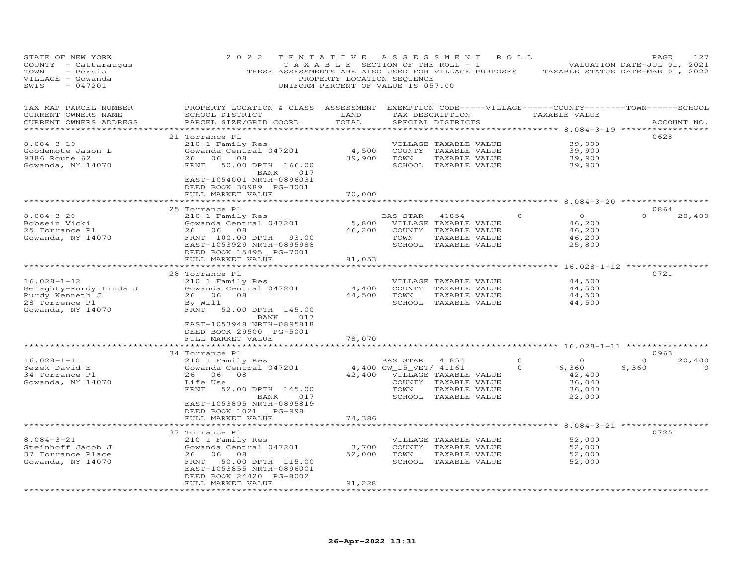| STATE OF NEW YORK<br>COUNTY - Cattaraugus<br>TOWN<br>- Persia<br>VILLAGE - Gowanda<br>$-047201$<br>SWIS | 2 0 2 2<br>THESE ASSESSMENTS ARE ALSO USED FOR VILLAGE PURPOSES                                                                                                                                                | TENTATIVE<br>TAXABLE SECTION OF THE ROLL - 1<br>PROPERTY LOCATION SEQUENCE<br>UNIFORM PERCENT OF VALUE IS 057.00 | A S S E S S M E N T            |                                                                                                 | ROLL     | TAXABLE STATUS DATE-MAR 01, 2022                                                                                            | PAGE<br>VALUATION DATE-JUL 01, 2021 | 127         |
|---------------------------------------------------------------------------------------------------------|----------------------------------------------------------------------------------------------------------------------------------------------------------------------------------------------------------------|------------------------------------------------------------------------------------------------------------------|--------------------------------|-------------------------------------------------------------------------------------------------|----------|-----------------------------------------------------------------------------------------------------------------------------|-------------------------------------|-------------|
| TAX MAP PARCEL NUMBER<br>CURRENT OWNERS NAME<br>CURRENT OWNERS ADDRESS<br>**********************        | PROPERTY LOCATION & CLASS ASSESSMENT<br>SCHOOL DISTRICT<br>PARCEL SIZE/GRID COORD<br>************************                                                                                                  | LAND<br>TOTAL<br>**********                                                                                      |                                | TAX DESCRIPTION<br>SPECIAL DISTRICTS                                                            |          | EXEMPTION CODE-----VILLAGE------COUNTY--------TOWN------SCHOOL<br>TAXABLE VALUE<br>********** 8.084-3-19 ****************** |                                     | ACCOUNT NO. |
| $8.084 - 3 - 19$<br>Goodemote Jason L<br>9386 Route 62<br>Gowanda, NY 14070                             | 21 Torrance Pl<br>210 1 Family Res<br>Gowanda Central 047201<br>26<br>06<br>08<br>FRNT<br>50.00 DPTH 166.00<br>BANK<br>017<br>EAST-1054001 NRTH-0896031<br>DEED BOOK 30989 PG-3001                             | 4,500<br>39,900                                                                                                  | TOWN                           | VILLAGE TAXABLE VALUE<br>COUNTY TAXABLE VALUE<br>TAXABLE VALUE<br>SCHOOL TAXABLE VALUE          |          | 39,900<br>39,900<br>39,900<br>39,900                                                                                        | 0628                                |             |
|                                                                                                         | FULL MARKET VALUE                                                                                                                                                                                              | 70,000                                                                                                           |                                |                                                                                                 |          | ***** 8.084-3-20                                                                                                            |                                     |             |
| $8.084 - 3 - 20$<br>Bobsein Vicki<br>25 Torrance Pl<br>Gowanda, NY 14070                                | 25 Torrance Pl<br>210 1 Family Res<br>Gowanda Central 047201<br>26<br>06<br>08<br>FRNT 100.00 DPTH<br>93.00<br>EAST-1053929 NRTH-0895988<br>DEED BOOK 15495 PG-7001                                            | 5,800<br>46,200                                                                                                  | BAS STAR<br>TOWN               | 41854<br>VILLAGE TAXABLE VALUE<br>COUNTY TAXABLE VALUE<br>TAXABLE VALUE<br>SCHOOL TAXABLE VALUE |          | $\circ$<br>46,200<br>46,200<br>46,200<br>25,800                                                                             | 0864<br>$\Omega$                    | 20,400      |
|                                                                                                         | FULL MARKET VALUE                                                                                                                                                                                              | 81,053                                                                                                           |                                |                                                                                                 |          |                                                                                                                             |                                     |             |
|                                                                                                         |                                                                                                                                                                                                                |                                                                                                                  |                                |                                                                                                 |          | ******** 16.028-1-12 ****                                                                                                   |                                     |             |
| $16.028 - 1 - 12$<br>Geraghty-Purdy Linda J<br>Purdy Kenneth J<br>28 Torrence Pl<br>Gowanda, NY 14070   | 28 Torrance Pl<br>210 1 Family Res<br>Gowanda Central 047201<br>26 06<br>08<br>By Will<br>FRNT<br>52.00 DPTH 145.00<br>BANK<br>017                                                                             | 4,400<br>44,500                                                                                                  | TOWN                           | VILLAGE TAXABLE VALUE<br>COUNTY TAXABLE VALUE<br>TAXABLE VALUE<br>SCHOOL TAXABLE VALUE          |          | 44,500<br>44,500<br>44,500<br>44,500                                                                                        | 0721                                |             |
|                                                                                                         | EAST-1053948 NRTH-0895818<br>DEED BOOK 29500 PG-5001<br>FULL MARKET VALUE<br>***************************                                                                                                       | 78,070                                                                                                           |                                |                                                                                                 |          |                                                                                                                             |                                     |             |
| $16.028 - 1 - 11$                                                                                       | 34 Torrance Pl                                                                                                                                                                                                 |                                                                                                                  | BAS STAR                       | 41854                                                                                           | $\Omega$ | $\Omega$                                                                                                                    | 0963<br>$\Omega$                    | 20,400      |
| Yezek David E<br>34 Torrance Pl<br>Gowanda, NY 14070                                                    | 210 1 Family Res<br>Gowanda Central 047201<br>06<br>08<br>26<br>Life Use<br>FRNT<br>52.00 DPTH 145.00<br>BANK<br>017<br>EAST-1053895 NRTH-0895819<br>DEED BOOK 1021<br>$PG-998$                                | 42,400                                                                                                           | 4,400 CW_15_VET/ 41161<br>TOWN | VILLAGE TAXABLE VALUE<br>COUNTY TAXABLE VALUE<br>TAXABLE VALUE<br>SCHOOL TAXABLE VALUE          | $\Omega$ | 6,360<br>42,400<br>36,040<br>36,040<br>22,000                                                                               | 6,360                               | $\Omega$    |
|                                                                                                         | FULL MARKET VALUE                                                                                                                                                                                              | 74,386                                                                                                           |                                |                                                                                                 |          |                                                                                                                             |                                     |             |
| $8.084 - 3 - 21$<br>Steinhoff Jacob J<br>37 Torrance Place<br>Gowanda, NY 14070                         | ******************<br>37 Torrance Pl<br>210 1 Family Res<br>Gowanda Central 047201<br>26<br>06<br>08<br>50.00 DPTH 115.00<br>FRNT<br>EAST-1053855 NRTH-0896001<br>DEED BOOK 24420 PG-8002<br>FULL MARKET VALUE | 3,700<br>52,000<br>91,228                                                                                        | TOWN                           | VILLAGE TAXABLE VALUE<br>COUNTY TAXABLE VALUE<br>TAXABLE VALUE<br>SCHOOL TAXABLE VALUE          |          | *** 8.084-3-21 **************<br>52,000<br>52,000<br>52,000<br>52,000                                                       | 0725                                |             |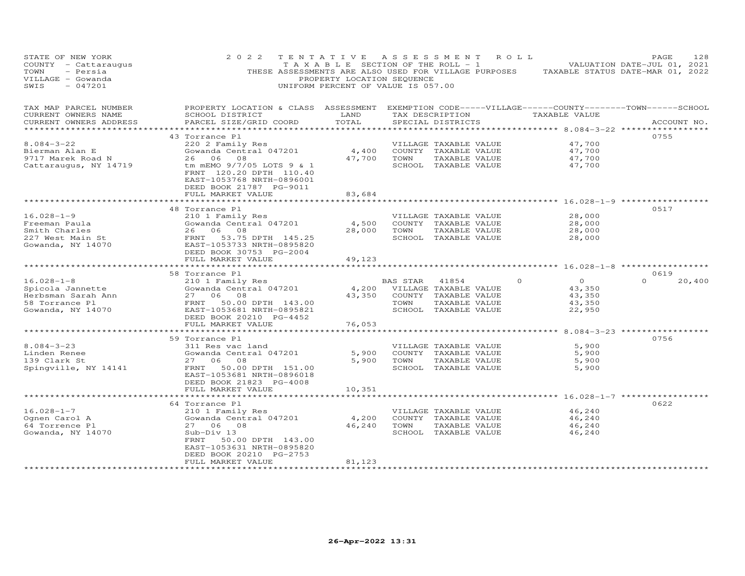| STATE OF NEW YORK<br>COUNTY - Cattaraugus<br>- Persia<br>TOWN<br>VILLAGE - Gowanda<br>SWIS<br>$-047201$ | 2 0 2 2<br>THESE ASSESSMENTS ARE ALSO USED FOR VILLAGE PURPOSES                                                                                                             | TENTATIVE<br>TAXABLE SECTION OF THE ROLL - 1<br>PROPERTY LOCATION SEQUENCE<br>UNIFORM PERCENT OF VALUE IS 057.00 |                  | A S S E S S M E N T                                                                             | R O L L |                                                 | PAGE<br>128<br>VALUATION DATE-JUL 01, 2021<br>TAXABLE STATUS DATE-MAR 01, 2022 |
|---------------------------------------------------------------------------------------------------------|-----------------------------------------------------------------------------------------------------------------------------------------------------------------------------|------------------------------------------------------------------------------------------------------------------|------------------|-------------------------------------------------------------------------------------------------|---------|-------------------------------------------------|--------------------------------------------------------------------------------|
| TAX MAP PARCEL NUMBER<br>CURRENT OWNERS NAME<br>CURRENT OWNERS ADDRESS                                  | PROPERTY LOCATION & CLASS ASSESSMENT EXEMPTION CODE-----VILLAGE------COUNTY--------TOWN------SCHOOL<br>SCHOOL DISTRICT<br>PARCEL SIZE/GRID COORD                            | LAND<br>TOTAL                                                                                                    |                  | TAX DESCRIPTION<br>SPECIAL DISTRICTS                                                            |         | TAXABLE VALUE                                   | ACCOUNT NO.                                                                    |
|                                                                                                         | * * * * * * * * * * * *                                                                                                                                                     | *******                                                                                                          |                  |                                                                                                 |         |                                                 | ************* 8.084-3-22 *****************                                     |
| $8.084 - 3 - 22$<br>Bierman Alan E<br>9717 Marek Road N<br>Cattaraugus, NY 14719                        | 43 Torrance Pl<br>220 2 Family Res<br>Gowanda Central 047201<br>26 06<br>08<br>tm mEMO 9/7/05 LOTS 9 & 1<br>FRNT 120.20 DPTH 110.40<br>EAST-1053768 NRTH-0896001            | 4,400<br>47,700                                                                                                  | TOWN             | VILLAGE TAXABLE VALUE<br>COUNTY TAXABLE VALUE<br>TAXABLE VALUE<br>SCHOOL TAXABLE VALUE          |         | 47,700<br>47,700<br>47,700<br>47,700            | 0755                                                                           |
|                                                                                                         | DEED BOOK 21787 PG-9011<br>FULL MARKET VALUE                                                                                                                                | 83,684                                                                                                           |                  |                                                                                                 |         |                                                 |                                                                                |
|                                                                                                         | ***********************                                                                                                                                                     | **********                                                                                                       |                  |                                                                                                 |         |                                                 | ******************************    16.028-1-9    ******************             |
| $16.028 - 1 - 9$<br>Freeman Paula<br>Smith Charles<br>227 West Main St<br>Gowanda, NY 14070             | 48 Torrance Pl<br>210 1 Family Res<br>Gowanda Central 047201<br>26 06 08<br>FRNT 53.75 DPTH 145.25<br>EAST-1053733 NRTH-0895820<br>DEED BOOK 30753 PG-2004                  | 4,500<br>28,000                                                                                                  | TOWN             | VILLAGE TAXABLE VALUE<br>COUNTY TAXABLE VALUE<br>TAXABLE VALUE<br>SCHOOL TAXABLE VALUE          |         | 28,000<br>28,000<br>28,000<br>28,000            | 0517                                                                           |
|                                                                                                         | FULL MARKET VALUE                                                                                                                                                           | 49,123                                                                                                           |                  |                                                                                                 |         |                                                 |                                                                                |
|                                                                                                         | * * * * * * * * * * * * * * * * * * * *                                                                                                                                     | ***********                                                                                                      |                  |                                                                                                 |         | ********************* 16.028-1-8 ***********    |                                                                                |
|                                                                                                         | 58 Torrance Pl                                                                                                                                                              |                                                                                                                  |                  |                                                                                                 |         |                                                 | 0619                                                                           |
| $16.028 - 1 - 8$<br>Spicola Jannette<br>Herbsman Sarah Ann<br>58 Torrance Pl<br>Gowanda, NY 14070       | 210 1 Family Res<br>Gowanda Central 047201<br>27 06 08<br>FRNT<br>50.00 DPTH 143.00<br>EAST-1053681 NRTH-0895821<br>DEED BOOK 20210 PG-4452                                 | 4,200<br>43,350                                                                                                  | BAS STAR<br>TOWN | 41854<br>VILLAGE TAXABLE VALUE<br>COUNTY TAXABLE VALUE<br>TAXABLE VALUE<br>SCHOOL TAXABLE VALUE | $\circ$ | $\circ$<br>43,350<br>43,350<br>43,350<br>22,950 | $\Omega$<br>20,400                                                             |
|                                                                                                         | FULL MARKET VALUE                                                                                                                                                           | 76,053                                                                                                           |                  |                                                                                                 |         |                                                 |                                                                                |
|                                                                                                         |                                                                                                                                                                             |                                                                                                                  |                  |                                                                                                 |         | ******* 8.084-3-23 *****                        | 0756                                                                           |
| $8.084 - 3 - 23$<br>Linden Renee<br>139 Clark St<br>Spingville, NY 14141                                | 59 Torrance Pl<br>311 Res vac land<br>Gowanda Central 047201<br>27 06 08<br>FRNT<br>50.00 DPTH 151.00<br>EAST-1053681 NRTH-0896018<br>DEED BOOK 21823 PG-4008               | 5,900<br>5,900                                                                                                   | TOWN             | VILLAGE TAXABLE VALUE<br>COUNTY TAXABLE VALUE<br>TAXABLE VALUE<br>SCHOOL TAXABLE VALUE          |         | 5,900<br>5,900<br>5,900<br>5,900                |                                                                                |
|                                                                                                         | FULL MARKET VALUE                                                                                                                                                           | 10,351                                                                                                           |                  |                                                                                                 |         |                                                 |                                                                                |
|                                                                                                         | * * * * * * * * * * * * * * * * * *                                                                                                                                         |                                                                                                                  |                  |                                                                                                 |         | $16.028 - 1 - 7$ ***********                    |                                                                                |
| $16.028 - 1 - 7$<br>Ognen Carol A<br>64 Torrence Pl<br>Gowanda, NY 14070                                | 64 Torrance Pl<br>210 1 Family Res<br>Gowanda Central 047201<br>27 06 08<br>Sub-Div 13<br>FRNT<br>50.00 DPTH 143.00<br>EAST-1053631 NRTH-0895820<br>DEED BOOK 20210 PG-2753 | 4,200<br>46,240                                                                                                  | TOWN             | VILLAGE TAXABLE VALUE<br>COUNTY TAXABLE VALUE<br>TAXABLE VALUE<br>SCHOOL TAXABLE VALUE          |         | 46,240<br>46,240<br>46,240<br>46,240            | 0622                                                                           |
|                                                                                                         | FULL MARKET VALUE                                                                                                                                                           | 81,123                                                                                                           |                  |                                                                                                 |         |                                                 |                                                                                |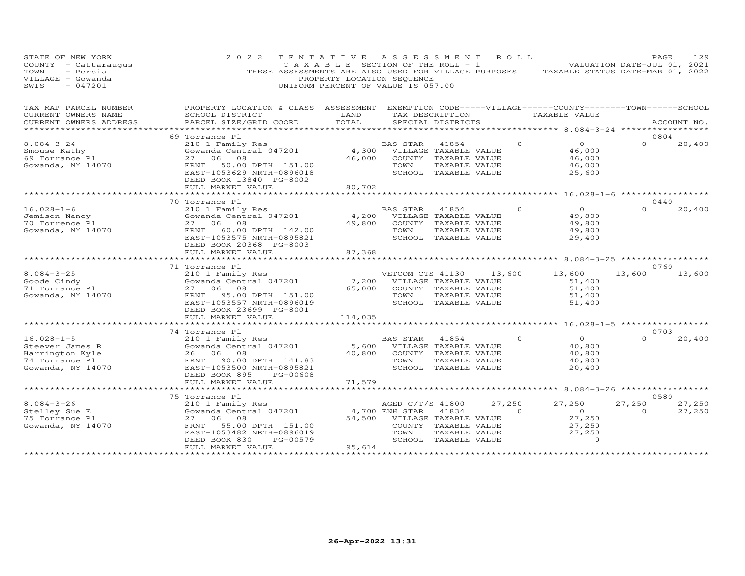| STATE OF NEW YORK<br>COUNTY - Cattaraugus<br>TOWN<br>- Persia<br>VILLAGE - Gowanda<br>$-047201$<br>SWIS | 2 0 2 2<br>THESE ASSESSMENTS ARE ALSO USED FOR VILLAGE PURPOSES                                                                                               | TENTATIVE ASSESSMENT<br>TAXABLE SECTION OF THE ROLL - 1<br>PROPERTY LOCATION SEQUENCE<br>UNIFORM PERCENT OF VALUE IS 057.00 |                                                                     |                                                                                                 | R O L L | TAXABLE STATUS DATE-MAR 01, 2022                                  | PAGE<br>VALUATION DATE-JUL 01, 2021 | 129              |
|---------------------------------------------------------------------------------------------------------|---------------------------------------------------------------------------------------------------------------------------------------------------------------|-----------------------------------------------------------------------------------------------------------------------------|---------------------------------------------------------------------|-------------------------------------------------------------------------------------------------|---------|-------------------------------------------------------------------|-------------------------------------|------------------|
| TAX MAP PARCEL NUMBER<br>CURRENT OWNERS NAME                                                            | PROPERTY LOCATION & CLASS ASSESSMENT EXEMPTION CODE-----VILLAGE------COUNTY--------TOWN------SCHOOL<br>SCHOOL DISTRICT                                        | LAND                                                                                                                        |                                                                     | TAX DESCRIPTION                                                                                 |         | TAXABLE VALUE                                                     |                                     |                  |
| CURRENT OWNERS ADDRESS<br>******************                                                            | PARCEL SIZE/GRID COORD                                                                                                                                        | TOTAL                                                                                                                       |                                                                     | SPECIAL DISTRICTS                                                                               |         |                                                                   |                                     | ACCOUNT NO.      |
|                                                                                                         | 69 Torrance Pl                                                                                                                                                |                                                                                                                             |                                                                     |                                                                                                 |         |                                                                   | 0804                                |                  |
| $8.084 - 3 - 24$<br>Smouse Kathy<br>69 Torrance Pl<br>Gowanda, NY 14070                                 | 210 1 Family Res<br>Gowanda Central 047201<br>27 06 08<br>FRNT<br>50.00 DPTH 151.00<br>EAST-1053629 NRTH-0896018<br>DEED BOOK 13840 PG-8002                   | 46,000                                                                                                                      | BAS STAR<br>4,300 VILLAGE TAXABLE VALUE<br>TOWN                     | 41854<br>COUNTY TAXABLE VALUE<br>TAXABLE VALUE<br>SCHOOL TAXABLE VALUE                          |         | $\Omega$<br>$\circ$<br>46,000<br>46,000<br>46,000<br>25,600       | $\Omega$                            | 20,400           |
|                                                                                                         | FULL MARKET VALUE                                                                                                                                             | 80,702                                                                                                                      |                                                                     |                                                                                                 |         |                                                                   |                                     |                  |
| $16.028 - 1 - 6$<br>Jemison Nancy<br>70 Torrence Pl<br>Gowanda, NY 14070                                | 70 Torrance Pl<br>210 1 Family Res<br>Gowanda Central 047201<br>27 06 08<br>60.00 DPTH 142.00<br>FRNT                                                         | 4,200<br>49,800                                                                                                             | BAS STAR<br>TOWN                                                    | 41854<br>VILLAGE TAXABLE VALUE<br>COUNTY TAXABLE VALUE<br>TAXABLE VALUE                         |         | $\circ$<br>$\Omega$<br>49,800<br>49,800<br>49,800                 | 0440<br>$\Omega$                    | 20,400           |
|                                                                                                         | EAST-1053575 NRTH-0895821<br>DEED BOOK 20368 PG-8003<br>FULL MARKET VALUE<br>********************                                                             | 87,368<br>*************                                                                                                     |                                                                     | SCHOOL TAXABLE VALUE                                                                            |         | 29,400<br>********** 8.084-3-25 ***********                       |                                     |                  |
| $8.084 - 3 - 25$<br>Goode Cindy<br>71 Torrance Pl<br>Gowanda, NY 14070                                  | 71 Torrance Pl<br>210 1 Family Res<br>Gowanda Central 047201<br>27 06 08<br>95.00 DPTH 151.00<br>FRNT<br>EAST-1053557 NRTH-0896019<br>DEED BOOK 23699 PG-8001 | 7,200<br>65,000                                                                                                             | VETCOM CTS 41130<br>TOWN                                            | VILLAGE TAXABLE VALUE<br>COUNTY TAXABLE VALUE<br>TAXABLE VALUE<br>SCHOOL TAXABLE VALUE          | 13,600  | 13,600<br>51,400<br>51,400<br>51,400<br>51,400                    | 0760<br>13,600                      | 13,600           |
|                                                                                                         | FULL MARKET VALUE                                                                                                                                             | 114,035                                                                                                                     |                                                                     |                                                                                                 |         |                                                                   |                                     |                  |
|                                                                                                         | ********************<br>74 Torrance Pl                                                                                                                        |                                                                                                                             |                                                                     |                                                                                                 |         | ******** 16.028-1-5 ************                                  | 0703                                |                  |
| $16.028 - 1 - 5$<br>Steever James R<br>Harrington Kyle<br>74 Torrance Pl<br>Gowanda, NY 14070           | 210 1 Family Res<br>Gowanda Central 047201<br>26 06 08<br>FRNT 90.00 DPTH 141.83<br>EAST-1053500 NRTH-0895821<br>DEED BOOK 895<br>PG-00608                    | 5,600<br>40,800                                                                                                             | <b>BAS STAR</b><br>TOWN                                             | 41854<br>VILLAGE TAXABLE VALUE<br>COUNTY TAXABLE VALUE<br>TAXABLE VALUE<br>SCHOOL TAXABLE VALUE |         | $\Omega$<br>$\Omega$<br>40,800<br>40,800<br>40,800<br>20,400      | $\Omega$                            | 20,400           |
|                                                                                                         | FULL MARKET VALUE                                                                                                                                             | 71,579                                                                                                                      |                                                                     |                                                                                                 |         |                                                                   |                                     |                  |
|                                                                                                         | * * * * * * * * * * * * * * * * * * * *                                                                                                                       |                                                                                                                             |                                                                     |                                                                                                 |         | ********* 8.084-3-26 ******************                           |                                     |                  |
| $8.084 - 3 - 26$<br>Stelley Sue E<br>75 Torrance Pl<br>Gowanda, NY 14070                                | 75 Torrance Pl<br>210 1 Family Res<br>Gowanda Central 047201<br>27 06 08<br>55.00 DPTH 151.00<br>FRNT<br>EAST-1053482 NRTH-0896019                            | 54,500                                                                                                                      | AGED C/T/S 41800<br>4,700 ENH STAR<br>VILLAGE TAXABLE VALUE<br>TOWN | 41834<br>COUNTY TAXABLE VALUE<br>TAXABLE VALUE                                                  | 27,250  | 27,250<br>$\overline{O}$<br>$\circ$<br>27,250<br>27,250<br>27,250 | 0580<br>27,250<br>$\Omega$          | 27,250<br>27,250 |
|                                                                                                         | PG-00579<br>DEED BOOK 830<br>FULL MARKET VALUE<br>*******************                                                                                         | 95,614<br>*************                                                                                                     |                                                                     | SCHOOL TAXABLE VALUE                                                                            |         | $\Omega$                                                          |                                     |                  |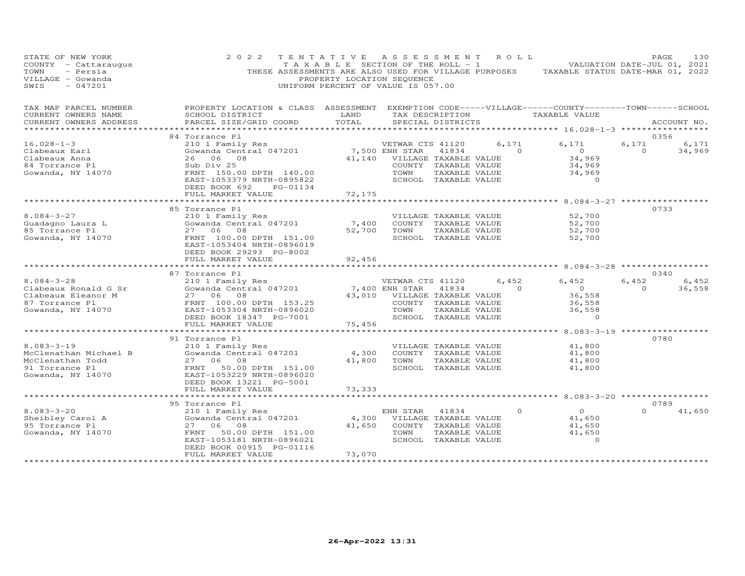| STATE OF NEW YORK<br>COUNTY - Cattaraugus<br>TOWN<br>- Persia<br>VILLAGE - Gowanda<br>$-047201$<br>SWIS | 2 0 2 2<br>TENTATIVE<br>THESE ASSESSMENTS ARE ALSO USED FOR VILLAGE PURPOSES                                          | T A X A B L E SECTION OF THE ROLL - 1<br>PROPERTY LOCATION SEQUENCE<br>UNIFORM PERCENT OF VALUE IS 057.00 | A S S E S S M E N T                            |                                               | ROLL ROLL | TAXABLE STATUS DATE-MAR 01, 2022                    | PAGE<br>VALUATION DATE-JUL 01, 2021 | 130         |
|---------------------------------------------------------------------------------------------------------|-----------------------------------------------------------------------------------------------------------------------|-----------------------------------------------------------------------------------------------------------|------------------------------------------------|-----------------------------------------------|-----------|-----------------------------------------------------|-------------------------------------|-------------|
| TAX MAP PARCEL NUMBER<br>CURRENT OWNERS NAME                                                            | PROPERTY LOCATION & CLASS ASSESSMENT EXEMPTION CODE-----VILLAGE------COUNTY-------TOWN------SCHOOL<br>SCHOOL DISTRICT | LAND                                                                                                      |                                                | TAX DESCRIPTION                               |           | TAXABLE VALUE                                       |                                     |             |
| CURRENT OWNERS ADDRESS<br>***************                                                               | PARCEL SIZE/GRID COORD                                                                                                | TOTAL                                                                                                     |                                                | SPECIAL DISTRICTS                             |           | ********************* 16.028-1-3 ****************** |                                     | ACCOUNT NO. |
| $16.028 - 1 - 3$                                                                                        | 84 Torrance Pl<br>210 1 Family Res                                                                                    |                                                                                                           | VETWAR CTS 41120                               |                                               | 6,171     | 6,171                                               | 0356<br>6,171                       | 6,171       |
| Clabeaux Earl<br>Clabeaux Anna                                                                          | Gowanda Central 047201<br>26 06 08                                                                                    |                                                                                                           | 7,500 ENH STAR<br>41,140 VILLAGE TAXABLE VALUE | 41834                                         | $\Omega$  | $\overline{O}$<br>34,969                            | $\Omega$                            | 34,969      |
| 84 Torrance Pl                                                                                          | Sub Div 25                                                                                                            |                                                                                                           |                                                | COUNTY TAXABLE VALUE                          |           | 34,969                                              |                                     |             |
| Gowanda, NY 14070                                                                                       | FRNT 150.00 DPTH 140.00                                                                                               |                                                                                                           | TOWN                                           | TAXABLE VALUE                                 |           | 34,969                                              |                                     |             |
|                                                                                                         | EAST-1053379 NRTH-0895822<br>DEED BOOK 692<br>PG-01134                                                                |                                                                                                           |                                                | SCHOOL TAXABLE VALUE                          |           | $\Omega$                                            |                                     |             |
|                                                                                                         | FULL MARKET VALUE                                                                                                     | 72,175                                                                                                    |                                                |                                               |           |                                                     |                                     |             |
|                                                                                                         |                                                                                                                       | *************                                                                                             |                                                |                                               |           | ***************** 8.084-3-27 ****************       |                                     |             |
| $8.084 - 3 - 27$                                                                                        | 85 Torrance Pl<br>210 1 Family Res                                                                                    |                                                                                                           |                                                |                                               |           | 52,700                                              | 0733                                |             |
| Guadagno Laura L                                                                                        | Gowanda Central 047201                                                                                                | 7,400                                                                                                     |                                                | VILLAGE TAXABLE VALUE<br>COUNTY TAXABLE VALUE |           | 52,700                                              |                                     |             |
| 85 Torrance Pl                                                                                          | 27 06 08                                                                                                              | 52,700                                                                                                    | TOWN                                           | TAXABLE VALUE                                 |           | 52,700                                              |                                     |             |
| Gowanda, NY 14070                                                                                       | FRNT 100.00 DPTH 151.00                                                                                               |                                                                                                           |                                                | SCHOOL TAXABLE VALUE                          |           | 52,700                                              |                                     |             |
|                                                                                                         | EAST-1053404 NRTH-0896019<br>DEED BOOK 29293 PG-8002                                                                  |                                                                                                           |                                                |                                               |           |                                                     |                                     |             |
|                                                                                                         | FULL MARKET VALUE                                                                                                     | 92,456                                                                                                    |                                                |                                               |           |                                                     |                                     |             |
|                                                                                                         |                                                                                                                       | *********                                                                                                 |                                                |                                               |           | ********** 8.084-3-28 ******************            |                                     |             |
|                                                                                                         | 87 Torrance Pl                                                                                                        |                                                                                                           |                                                |                                               |           |                                                     | 0340                                |             |
| $8.084 - 3 - 28$                                                                                        | 210 1 Family Res                                                                                                      |                                                                                                           | VETWAR CTS 41120                               |                                               | 6,452     | 6,452                                               | 6,452                               | 6,452       |
| Clabeaux Ronald G Sr                                                                                    | Gowanda Central 047201                                                                                                |                                                                                                           | 7,400 ENH STAR                                 | 41834                                         | $\Omega$  | $\overline{O}$                                      | $\circ$                             | 36,558      |
| Clabeaux Eleanor M                                                                                      | 27 06 08                                                                                                              | 43,010                                                                                                    |                                                | VILLAGE TAXABLE VALUE                         |           | 36,558                                              |                                     |             |
| 87 Torrance Pl                                                                                          | FRNT 100.00 DPTH 153.25                                                                                               |                                                                                                           |                                                | COUNTY TAXABLE VALUE                          |           | 36,558                                              |                                     |             |
| Gowanda, NY 14070                                                                                       | EAST-1053304 NRTH-0896020                                                                                             |                                                                                                           | TOWN                                           | TAXABLE VALUE                                 |           | 36,558                                              |                                     |             |
|                                                                                                         | DEED BOOK 18347 PG-7001                                                                                               |                                                                                                           |                                                | SCHOOL TAXABLE VALUE                          |           | $\Omega$                                            |                                     |             |
|                                                                                                         | FULL MARKET VALUE<br>***********************                                                                          | 75,456<br>***********                                                                                     |                                                |                                               |           | *********** 8.083-3-19 *****************            |                                     |             |
|                                                                                                         | 91 Torrance Pl                                                                                                        |                                                                                                           |                                                |                                               |           |                                                     | 0780                                |             |
| $8.083 - 3 - 19$                                                                                        | 210 1 Family Res                                                                                                      |                                                                                                           |                                                | VILLAGE TAXABLE VALUE                         |           | 41,800                                              |                                     |             |
| McClenathan Michael B                                                                                   | Gowanda Central 047201                                                                                                | 4,300                                                                                                     |                                                | COUNTY TAXABLE VALUE                          |           | 41,800                                              |                                     |             |
| McClenathan Todd                                                                                        | 27 06 08                                                                                                              | 41,800                                                                                                    | TOWN                                           | TAXABLE VALUE                                 |           | 41,800                                              |                                     |             |
| 91 Torrance Pl                                                                                          | FRNT<br>50.00 DPTH 151.00                                                                                             |                                                                                                           |                                                | SCHOOL TAXABLE VALUE                          |           | 41,800                                              |                                     |             |
| Gowanda, NY 14070                                                                                       | EAST-1053229 NRTH-0896020                                                                                             |                                                                                                           |                                                |                                               |           |                                                     |                                     |             |
|                                                                                                         | DEED BOOK 13221 PG-5001                                                                                               |                                                                                                           |                                                |                                               |           |                                                     |                                     |             |
|                                                                                                         | FULL MARKET VALUE                                                                                                     | 73,333                                                                                                    |                                                |                                               |           |                                                     |                                     |             |
|                                                                                                         | **********************                                                                                                |                                                                                                           |                                                |                                               |           |                                                     |                                     |             |
|                                                                                                         | 95 Torrance Pl                                                                                                        |                                                                                                           |                                                |                                               | $\Omega$  | $\Omega$                                            | 0789                                |             |
| $8.083 - 3 - 20$                                                                                        | 210 1 Family Res                                                                                                      |                                                                                                           | ENH STAR                                       | 41834                                         |           |                                                     |                                     | 41,650      |
| Sheibley Carol A<br>95 Torrance Pl                                                                      | Gowanda Central 047201<br>27<br>06<br>08                                                                              | 4,300<br>41,650                                                                                           |                                                | VILLAGE TAXABLE VALUE                         |           | 41,650<br>41,650                                    |                                     |             |
| Gowanda, NY 14070                                                                                       | FRNT<br>50.00 DPTH 151.00                                                                                             |                                                                                                           | TOWN                                           | COUNTY TAXABLE VALUE<br>TAXABLE VALUE         |           | 41,650                                              |                                     |             |
|                                                                                                         | EAST-1053181 NRTH-0896021                                                                                             |                                                                                                           |                                                | SCHOOL TAXABLE VALUE                          |           | $\Omega$                                            |                                     |             |
|                                                                                                         | DEED BOOK 00915 PG-01116                                                                                              |                                                                                                           |                                                |                                               |           |                                                     |                                     |             |
|                                                                                                         | FULL MARKET VALUE                                                                                                     | 73,070                                                                                                    |                                                |                                               |           |                                                     |                                     |             |
|                                                                                                         | ********************                                                                                                  | **************                                                                                            |                                                |                                               |           |                                                     |                                     |             |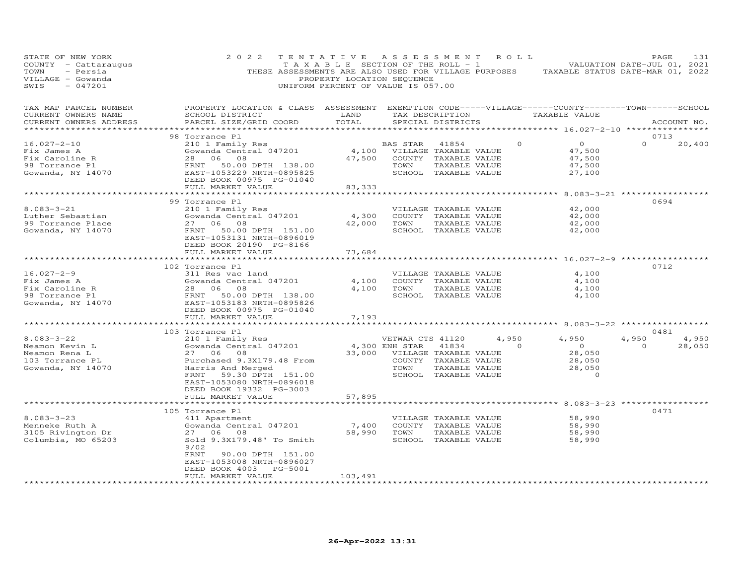| STATE OF NEW YORK<br>COUNTY - Cattaraugus<br>TOWN<br>- Persia<br>VILLAGE - Gowanda<br>SWIS<br>$-047201$ | 2 0 2 2                                                                                                                                                                                    | TENTATIVE<br>TAXABLE SECTION OF THE ROLL - 1<br>PROPERTY LOCATION SEQUENCE<br>UNIFORM PERCENT OF VALUE IS 057.00 | A S S E S S M E N T                                                                                                        |                                       | ROLL                    | THESE ASSESSMENTS ARE ALSO USED FOR VILLAGE PURPOSES TAXABLE STATUS DATE-MAR 01, 2022       | PAGE<br>VALUATION DATE-JUL 01, 2021 | 131             |
|---------------------------------------------------------------------------------------------------------|--------------------------------------------------------------------------------------------------------------------------------------------------------------------------------------------|------------------------------------------------------------------------------------------------------------------|----------------------------------------------------------------------------------------------------------------------------|---------------------------------------|-------------------------|---------------------------------------------------------------------------------------------|-------------------------------------|-----------------|
| TAX MAP PARCEL NUMBER<br>CURRENT OWNERS NAME<br>CURRENT OWNERS ADDRESS                                  | PROPERTY LOCATION & CLASS ASSESSMENT EXEMPTION CODE-----VILLAGE------COUNTY-------TOWN------SCHOOL<br>SCHOOL DISTRICT<br>PARCEL SIZE/GRID COORD                                            | LAND<br>TOTAL                                                                                                    |                                                                                                                            | SPECIAL DISTRICTS                     | TAX DESCRIPTION         | TAXABLE VALUE                                                                               |                                     | ACCOUNT NO.     |
|                                                                                                         |                                                                                                                                                                                            |                                                                                                                  |                                                                                                                            |                                       |                         |                                                                                             |                                     |                 |
| $16.027 - 2 - 10$<br>Fix James A<br>Fix Caroline R<br>98 Torrance Pl<br>Gowanda, NY 14070               | 98 Torrance Pl<br>210 1 Family Res<br>Gowanda Central 047201<br>28 06 08<br>FRNT 50.00 DPTH 138.00<br>EAST-1053229 NRTH-0895825<br>DEED BOOK 00975 PG-01040                                | 4,100 VILLAGE TAXABLE VALUE<br>47,500                                                                            | BAS STAR<br>COUNTY TAXABLE VALUE<br>TOWN<br>SCHOOL TAXABLE VALUE                                                           | 41854<br>TAXABLE VALUE                |                         | $\overline{O}$<br>$\circ$<br>47,500<br>47,500<br>47,500<br>27,100                           | 0713<br>$\Omega$                    | 20,400          |
|                                                                                                         | FULL MARKET VALUE                                                                                                                                                                          | 83,333                                                                                                           |                                                                                                                            |                                       |                         |                                                                                             |                                     |                 |
| $8.083 - 3 - 21$<br>Luther Sebastian<br>99 Torrance Place<br>Gowanda, NY 14070                          | *************************<br>99 Torrance Pl<br>210 1 Family Res<br>Gowanda Central 047201<br>27 06 08<br>50.00 DPTH 151.00<br>FRNT<br>EAST-1053131 NRTH-0896019<br>DEED BOOK 20190 PG-8166 | *******************<br>4,300                                                                                     | VILLAGE TAXABLE VALUE<br>COUNTY TAXABLE VALUE<br>42,000 TOWN<br>SCHOOL TAXABLE VALUE                                       | TAXABLE VALUE                         |                         | ********************* 8.083-3-21 ******************<br>42,000<br>42,000<br>42,000<br>42,000 | 0694                                |                 |
|                                                                                                         | FULL MARKET VALUE<br>************************                                                                                                                                              | 73,684<br>**********                                                                                             |                                                                                                                            |                                       |                         | **************** 16.027-2-9 *****                                                           |                                     |                 |
|                                                                                                         | 102 Torrance Pl                                                                                                                                                                            |                                                                                                                  |                                                                                                                            |                                       |                         |                                                                                             | 0712                                |                 |
| 16.027-2-9<br>Fix James A<br>Fix Caroline R<br>98 Torrance Pl<br>Gowanda, NY 14070                      | 311 Res vac land<br>Gowanda Central 047201<br>Gowanda Central 047201<br>28   06   08<br>FRNT   50.00 DPTH  138.00<br>EAST-1053183 NRTH-0895826<br>DEED BOOK 00975 PG-01040                 | 4,100<br>4,100                                                                                                   | VILLAGE TAXABLE VALUE<br>COUNTY TAXABLE VALUE<br>TOWN                                                                      | TAXABLE VALUE<br>SCHOOL TAXABLE VALUE |                         | 4,100<br>4,100<br>4,100<br>4,100                                                            |                                     |                 |
|                                                                                                         | FULL MARKET VALUE                                                                                                                                                                          | 7,193                                                                                                            |                                                                                                                            |                                       |                         |                                                                                             |                                     |                 |
|                                                                                                         | ************************                                                                                                                                                                   | **********                                                                                                       |                                                                                                                            |                                       |                         | ******************** 8.083-3-22 ******************                                          |                                     |                 |
| $8.083 - 3 - 22$<br>Neamon Kevin L<br>Neamon Rena L<br>103 Torrance PL<br>Gowanda, NY 14070             | 103 Torrance Pl<br>210 1 Family Res<br>Gowanda Central 047201<br>27 06<br>08<br>Purchased 9.3X179.48 From<br>Harris And Merged<br>FRNT<br>59.30 DPTH 151.00                                |                                                                                                                  | VETWAR CTS 41120<br>4,300 ENH STAR<br>33,000 VILLAGE TAXABLE VALUE<br>COUNTY TAXABLE VALUE<br>TOWN<br>SCHOOL TAXABLE VALUE | 41834<br>TAXABLE VALUE                | 4,950<br>$\overline{0}$ | 4,950<br>$\overline{0}$<br>28,050<br>28,050<br>28,050<br>$\overline{0}$                     | 0481<br>4,950<br>$\circ$            | 4,950<br>28,050 |
|                                                                                                         | EAST-1053080 NRTH-0896018<br>DEED BOOK 19332 PG-3003<br>FULL MARKET VALUE<br>**************************                                                                                    | 57,895                                                                                                           |                                                                                                                            |                                       |                         |                                                                                             |                                     |                 |
|                                                                                                         | 105 Torrance Pl                                                                                                                                                                            |                                                                                                                  |                                                                                                                            |                                       |                         |                                                                                             | 0471                                |                 |
| $8.083 - 3 - 23$<br>Menneke Ruth A<br>3105 Rivington Dr<br>Columbia, MO 65203                           | 411 Apartment<br>Gowanda Central 047201<br>27 06 08<br>Sold 9.3X179.48' To Smith<br>9/02<br>FRNT<br>90.00 DPTH 151.00<br>EAST-1053008 NRTH-0896027                                         | 7,400                                                                                                            | VILLAGE TAXABLE VALUE<br>COUNTY TAXABLE VALUE<br>58,990 TOWN<br>SCHOOL TAXABLE VALUE                                       | TAXABLE VALUE                         |                         | 58,990<br>58,990<br>58,990<br>58,990                                                        |                                     |                 |
|                                                                                                         | DEED BOOK 4003<br>PG-5001<br>FULL MARKET VALUE                                                                                                                                             | 103,491                                                                                                          |                                                                                                                            |                                       |                         |                                                                                             |                                     |                 |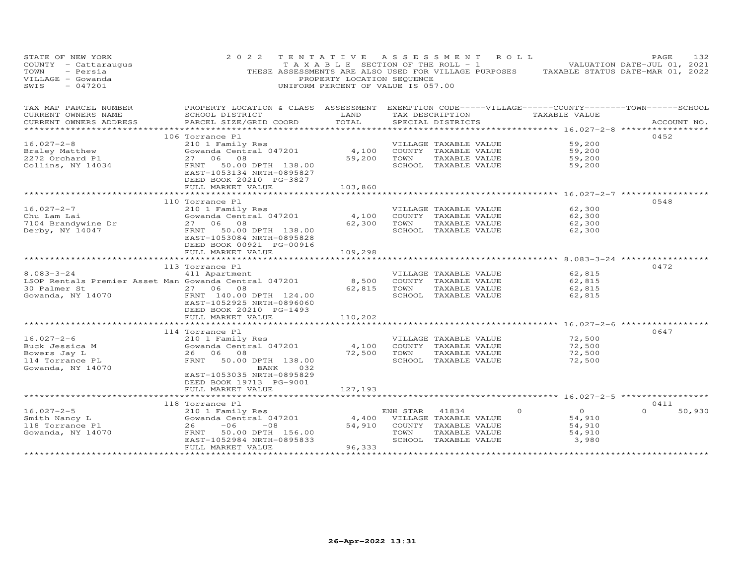| STATE OF NEW YORK<br>COUNTY - Cattaraugus<br>- Persia<br>TOWN<br>VILLAGE - Gowanda<br>$-047201$<br>SWIS | 2 0 2 2                                                                                             | PROPERTY LOCATION SEQUENCE<br>UNIFORM PERCENT OF VALUE IS 057.00 |                | TENTATIVE ASSESSMENT ROLL   | TAXABLE SECTION OF THE ROLL - 1 VALUATION DATE-JUL 01, 2021<br>THESE ASSESSMENTS ARE ALSO USED FOR VILLAGE PURPOSES TAXABLE STATUS DATE-MAR 01, 2022 | PAGE<br>132        |
|---------------------------------------------------------------------------------------------------------|-----------------------------------------------------------------------------------------------------|------------------------------------------------------------------|----------------|-----------------------------|------------------------------------------------------------------------------------------------------------------------------------------------------|--------------------|
| TAX MAP PARCEL NUMBER                                                                                   | PROPERTY LOCATION & CLASS ASSESSMENT EXEMPTION CODE-----VILLAGE------COUNTY--------TOWN------SCHOOL |                                                                  |                |                             |                                                                                                                                                      |                    |
| CURRENT OWNERS NAME<br>CURRENT OWNERS ADDRESS                                                           | SCHOOL DISTRICT<br>PARCEL SIZE/GRID COORD                                                           | LAND<br>TOTAL                                                    |                | SPECIAL DISTRICTS           | TAX DESCRIPTION TAXABLE VALUE                                                                                                                        | ACCOUNT NO.        |
|                                                                                                         |                                                                                                     |                                                                  |                |                             |                                                                                                                                                      |                    |
|                                                                                                         | 106 Torrance Pl                                                                                     |                                                                  |                |                             |                                                                                                                                                      | 0452               |
| $16.027 - 2 - 8$                                                                                        | 210 1 Family Res                                                                                    |                                                                  |                | VILLAGE TAXABLE VALUE       | 59,200                                                                                                                                               |                    |
| 16.027-2<br>Braley Matthew<br>- Curbard Pl                                                              | Siv I family Res<br>Gowanda Central 047201                                                          | 4,100                                                            |                | COUNTY TAXABLE VALUE        | 59,200                                                                                                                                               |                    |
|                                                                                                         | 27 06 08                                                                                            |                                                                  | 59,200 TOWN    | TAXABLE VALUE               | 59,200                                                                                                                                               |                    |
| Collins, NY 14034                                                                                       | FRNT 50.00 DPTH 138.00<br>EAST-1053134 NRTH-0895827<br>DEED BOOK 20210 PG-3827                      |                                                                  |                | SCHOOL TAXABLE VALUE        | 59,200                                                                                                                                               |                    |
|                                                                                                         | FULL MARKET VALUE<br>*************************                                                      | 103,860                                                          |                |                             |                                                                                                                                                      |                    |
|                                                                                                         | 110 Torrance Pl                                                                                     |                                                                  |                |                             |                                                                                                                                                      | 0548               |
| $16.027 - 2 - 7$                                                                                        | 210 1 Family Res                                                                                    |                                                                  |                | VILLAGE TAXABLE VALUE       | 62,300                                                                                                                                               |                    |
| Chu Lam Lai                                                                                             | Gowanda Central 047201                                                                              | 4,100                                                            |                | COUNTY TAXABLE VALUE        | 62,300                                                                                                                                               |                    |
|                                                                                                         | 27 06 08                                                                                            | 62,300                                                           | TOWN           | TAXABLE VALUE               | 62,300                                                                                                                                               |                    |
| 7104 Brandywine Dr<br>Derby, NY 14047                                                                   | FRNT 50.00 DPTH 138.00                                                                              |                                                                  |                | SCHOOL TAXABLE VALUE        | 62,300                                                                                                                                               |                    |
|                                                                                                         | EAST-1053084 NRTH-0895828<br>DEED BOOK 00921 PG-00916                                               |                                                                  |                |                             |                                                                                                                                                      |                    |
|                                                                                                         | FULL MARKET VALUE<br>************************                                                       | 109,298<br>******************                                    |                |                             | ***********************************8.083-3-24 ************                                                                                           |                    |
|                                                                                                         | 113 Torrance Pl                                                                                     |                                                                  |                |                             |                                                                                                                                                      | 0472               |
| $8.083 - 3 - 24$                                                                                        | 411 Apartment                                                                                       |                                                                  |                | VILLAGE TAXABLE VALUE       | 62,815                                                                                                                                               |                    |
| LSOP Rentals Premier Asset Man Gowanda Central 047201                                                   |                                                                                                     | 8,500                                                            |                | COUNTY TAXABLE VALUE        | 62,815                                                                                                                                               |                    |
|                                                                                                         |                                                                                                     |                                                                  | 62,815 TOWN    | TAXABLE VALUE               | 62,815                                                                                                                                               |                    |
|                                                                                                         |                                                                                                     |                                                                  |                | SCHOOL TAXABLE VALUE        | 62,815                                                                                                                                               |                    |
|                                                                                                         | EAST-1052925 NRTH-0896060                                                                           |                                                                  |                |                             |                                                                                                                                                      |                    |
|                                                                                                         | DEED BOOK 20210 PG-1493                                                                             |                                                                  |                |                             |                                                                                                                                                      |                    |
|                                                                                                         | FULL MARKET VALUE<br>*************************                                                      | 110,202                                                          |                |                             | *********************** 16.027-2-6 ************                                                                                                      |                    |
|                                                                                                         | 114 Torrance Pl                                                                                     |                                                                  |                |                             |                                                                                                                                                      | 0647               |
| $16.027 - 2 - 6$                                                                                        | 210 1 Family Res                                                                                    |                                                                  |                | VILLAGE TAXABLE VALUE       | 72,500                                                                                                                                               |                    |
|                                                                                                         | Sio I Family Res<br>Gowanda Central 047201                                                          | 4,100                                                            |                | COUNTY TAXABLE VALUE        | 72,500                                                                                                                                               |                    |
| Buck Jessica M<br>Bowers Jay L<br>114 Torrance PL                                                       | 26 06 08                                                                                            |                                                                  | 72,500 TOWN    | TAXABLE VALUE               | 72,500                                                                                                                                               |                    |
|                                                                                                         | FRNT<br>50.00 DPTH 138.00                                                                           |                                                                  |                | SCHOOL TAXABLE VALUE        | 72,500                                                                                                                                               |                    |
| Gowanda, NY 14070                                                                                       | BANK 032                                                                                            |                                                                  |                |                             |                                                                                                                                                      |                    |
|                                                                                                         | EAST-1053035 NRTH-0895829<br>DEED BOOK 19713 PG-9001                                                |                                                                  |                |                             |                                                                                                                                                      |                    |
|                                                                                                         | FULL MARKET VALUE                                                                                   | 127,193                                                          |                |                             |                                                                                                                                                      |                    |
|                                                                                                         | 118 Torrance Pl                                                                                     |                                                                  |                |                             |                                                                                                                                                      | 0411               |
| $16.027 - 2 - 5$                                                                                        | 210 1 Family Res                                                                                    |                                                                  | ENH STAR 41834 |                             | $\overline{O}$<br>$\circ$                                                                                                                            | $\Omega$<br>50,930 |
| Smith Nancy L                                                                                           |                                                                                                     |                                                                  |                | 4,400 VILLAGE TAXABLE VALUE | 54,910                                                                                                                                               |                    |
| 118 Torrance Pl                                                                                         | Gowanda Central 047201<br>26 -06 -08<br>26<br>$-06$<br>$-08$                                        |                                                                  |                | 54,910 COUNTY TAXABLE VALUE | 54,910                                                                                                                                               |                    |
| Gowanda, NY 14070                                                                                       | FRNT 50.00 DPTH 156.00                                                                              |                                                                  | TOWN           | TAXABLE VALUE               | 54,910                                                                                                                                               |                    |
|                                                                                                         | EAST-1052984 NRTH-0895833                                                                           |                                                                  |                | SCHOOL TAXABLE VALUE        | 3,980                                                                                                                                                |                    |
|                                                                                                         | FULL MARKET VALUE                                                                                   | 96,333<br>***********************                                |                |                             | *************************************                                                                                                                |                    |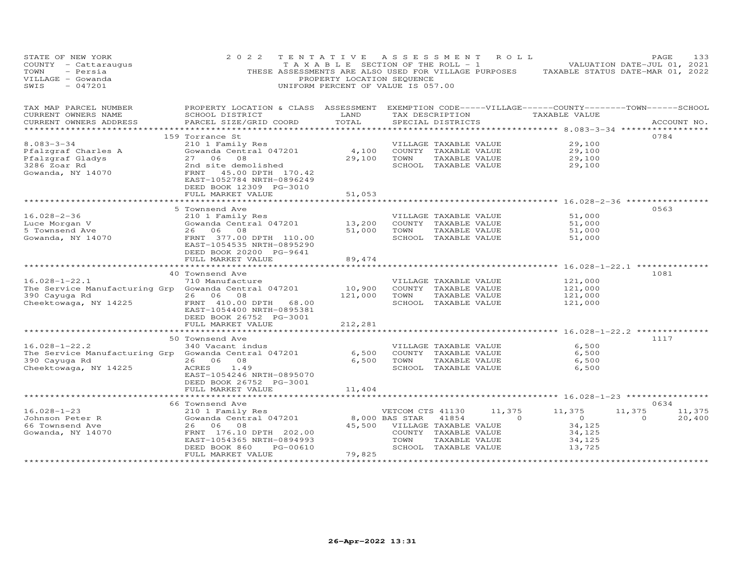| STATE OF NEW YORK<br>COUNTY - Cattaraugus<br>TOWN<br>- Persia<br>VILLAGE - Gowanda<br>$-047201$<br>SWIS | 2 0 2 2<br>THESE ASSESSMENTS ARE ALSO USED FOR VILLAGE PURPOSES                                                        | TENTATIVE<br>T A X A B L E SECTION OF THE ROLL - 1<br>PROPERTY LOCATION SEQUENCE<br>UNIFORM PERCENT OF VALUE IS 057.00 | A S S E S S M E N T   |                       | R O L L  | TAXABLE STATUS DATE-MAR 01, 2022               | PAGE<br>VALUATION DATE-JUL 01, 2021 |             | 133    |
|---------------------------------------------------------------------------------------------------------|------------------------------------------------------------------------------------------------------------------------|------------------------------------------------------------------------------------------------------------------------|-----------------------|-----------------------|----------|------------------------------------------------|-------------------------------------|-------------|--------|
| TAX MAP PARCEL NUMBER<br>CURRENT OWNERS NAME                                                            | PROPERTY LOCATION & CLASS ASSESSMENT EXEMPTION CODE-----VILLAGE------COUNTY--------TOWN------SCHOOL<br>SCHOOL DISTRICT | LAND                                                                                                                   |                       | TAX DESCRIPTION       |          | TAXABLE VALUE                                  |                                     |             |        |
| CURRENT OWNERS ADDRESS                                                                                  | PARCEL SIZE/GRID COORD                                                                                                 | TOTAL                                                                                                                  |                       | SPECIAL DISTRICTS     |          |                                                |                                     | ACCOUNT NO. |        |
| *********************                                                                                   |                                                                                                                        |                                                                                                                        |                       |                       |          |                                                |                                     |             |        |
|                                                                                                         | 159 Torrance St                                                                                                        |                                                                                                                        |                       |                       |          |                                                | 0784                                |             |        |
| $8.083 - 3 - 34$                                                                                        | 210 1 Family Res                                                                                                       |                                                                                                                        |                       | VILLAGE TAXABLE VALUE |          | 29,100                                         |                                     |             |        |
| Pfalzgraf Charles A                                                                                     | Gowanda Central 047201                                                                                                 | 4,100                                                                                                                  |                       | COUNTY TAXABLE VALUE  |          | 29,100                                         |                                     |             |        |
| Pfalzgraf Gladys                                                                                        | 27 06<br>08                                                                                                            | 29,100                                                                                                                 | TOWN                  | TAXABLE VALUE         |          | 29,100                                         |                                     |             |        |
| 3286 Zoar Rd<br>Gowanda, NY 14070                                                                       | 2nd site demolished<br>FRNT 45.00 DPTH 170.42<br>EAST-1052784 NRTH-0896249<br>DEED BOOK 12309 PG-3010                  |                                                                                                                        |                       | SCHOOL TAXABLE VALUE  |          | 29,100                                         |                                     |             |        |
|                                                                                                         | FULL MARKET VALUE<br>**************************                                                                        | 51,053<br>************                                                                                                 |                       |                       |          |                                                |                                     |             |        |
|                                                                                                         | 5 Townsend Ave                                                                                                         |                                                                                                                        |                       |                       |          | ***************** 16.028-2-36 **************** | 0563                                |             |        |
| $16.028 - 2 - 36$                                                                                       | 210 1 Family Res                                                                                                       |                                                                                                                        |                       | VILLAGE TAXABLE VALUE |          | 51,000                                         |                                     |             |        |
| Luce Morgan V                                                                                           | Gowanda Central 047201                                                                                                 | 13,200                                                                                                                 |                       | COUNTY TAXABLE VALUE  |          | 51,000                                         |                                     |             |        |
| 5 Townsend Ave                                                                                          | 26 06 08                                                                                                               | 51,000                                                                                                                 | TOWN                  | TAXABLE VALUE         |          | 51,000                                         |                                     |             |        |
| Gowanda, NY 14070                                                                                       | FRNT 377.00 DPTH 110.00                                                                                                |                                                                                                                        |                       | SCHOOL TAXABLE VALUE  |          | 51,000                                         |                                     |             |        |
|                                                                                                         | EAST-1054535 NRTH-0895290<br>DEED BOOK 20200 PG-9641<br>FULL MARKET VALUE                                              | 89,474                                                                                                                 |                       |                       |          |                                                |                                     |             |        |
|                                                                                                         | ********************                                                                                                   | * * * * * * * * * *                                                                                                    |                       |                       |          | ********** 16.028-1-22.1 ************          |                                     |             |        |
|                                                                                                         | 40 Townsend Ave                                                                                                        |                                                                                                                        |                       |                       |          |                                                | 1081                                |             |        |
| $16.028 - 1 - 22.1$                                                                                     | 710 Manufacture                                                                                                        |                                                                                                                        |                       | VILLAGE TAXABLE VALUE |          | 121,000                                        |                                     |             |        |
| The Service Manufacturing Grp Gowanda Central 047201                                                    |                                                                                                                        | 10,900                                                                                                                 |                       | COUNTY TAXABLE VALUE  |          | 121,000                                        |                                     |             |        |
| 390 Cayuga Rd                                                                                           | 26 06<br>08                                                                                                            | 121,000                                                                                                                | TOWN                  | TAXABLE VALUE         |          | 121,000                                        |                                     |             |        |
| Cheektowaga, NY 14225                                                                                   | FRNT 410.00 DPTH 68.00<br>EAST-1054400 NRTH-0895381<br>DEED BOOK 26752 PG-3001                                         |                                                                                                                        |                       | SCHOOL TAXABLE VALUE  |          | 121,000                                        |                                     |             |        |
|                                                                                                         | FULL MARKET VALUE                                                                                                      | 212,281                                                                                                                |                       |                       |          |                                                |                                     |             |        |
|                                                                                                         | 50 Townsend Ave                                                                                                        | * * * * * * * * *                                                                                                      |                       |                       |          | ******** 16.028-1-22.2 *********               | 1117                                |             |        |
| $16.028 - 1 - 22.2$                                                                                     | 340 Vacant indus                                                                                                       |                                                                                                                        |                       | VILLAGE TAXABLE VALUE |          | 6,500                                          |                                     |             |        |
| The Service Manufacturing Grp Gowanda Central 047201                                                    |                                                                                                                        | 6,500                                                                                                                  |                       | COUNTY TAXABLE VALUE  |          | 6,500                                          |                                     |             |        |
| 390 Cayuga Rd                                                                                           | 26 06<br>08                                                                                                            | 6,500                                                                                                                  | TOWN                  | TAXABLE VALUE         |          | 6,500                                          |                                     |             |        |
| Cheektowaga, NY 14225                                                                                   | 1.49<br>ACRES                                                                                                          |                                                                                                                        |                       | SCHOOL TAXABLE VALUE  |          | 6,500                                          |                                     |             |        |
|                                                                                                         | EAST-1054246 NRTH-0895070                                                                                              |                                                                                                                        |                       |                       |          |                                                |                                     |             |        |
|                                                                                                         | DEED BOOK 26752 PG-3001                                                                                                |                                                                                                                        |                       |                       |          |                                                |                                     |             |        |
|                                                                                                         | FULL MARKET VALUE                                                                                                      | 11,404                                                                                                                 |                       |                       |          |                                                |                                     |             |        |
|                                                                                                         | ***********************                                                                                                |                                                                                                                        |                       |                       |          |                                                |                                     |             |        |
|                                                                                                         | 66 Townsend Ave                                                                                                        |                                                                                                                        |                       |                       |          |                                                | 0634                                |             |        |
| $16.028 - 1 - 23$                                                                                       | 210 1 Family Res                                                                                                       |                                                                                                                        | VETCOM CTS 41130      |                       | 11,375   | 11,375                                         | 11,375                              |             | 11,375 |
| Johnson Peter R                                                                                         | Gowanda Central 047201                                                                                                 |                                                                                                                        | 8,000 BAS STAR        | 41854                 | $\Omega$ | $\overline{O}$                                 | $\Omega$                            |             | 20,400 |
| 66 Townsend Ave                                                                                         | 26 06 08                                                                                                               | 45,500                                                                                                                 | VILLAGE TAXABLE VALUE |                       |          | 34,125                                         |                                     |             |        |
| Gowanda, NY 14070                                                                                       | FRNT 176.10 DPTH 202.00                                                                                                |                                                                                                                        |                       | COUNTY TAXABLE VALUE  |          | 34,125                                         |                                     |             |        |
|                                                                                                         | EAST-1054365 NRTH-0894993                                                                                              |                                                                                                                        | TOWN                  | TAXABLE VALUE         |          | 34,125                                         |                                     |             |        |
|                                                                                                         | DEED BOOK 860<br>PG-00610                                                                                              |                                                                                                                        |                       | SCHOOL TAXABLE VALUE  |          | 13,725                                         |                                     |             |        |
|                                                                                                         | FULL MARKET VALUE<br>********************                                                                              | 79,825<br>************                                                                                                 |                       |                       |          |                                                |                                     |             |        |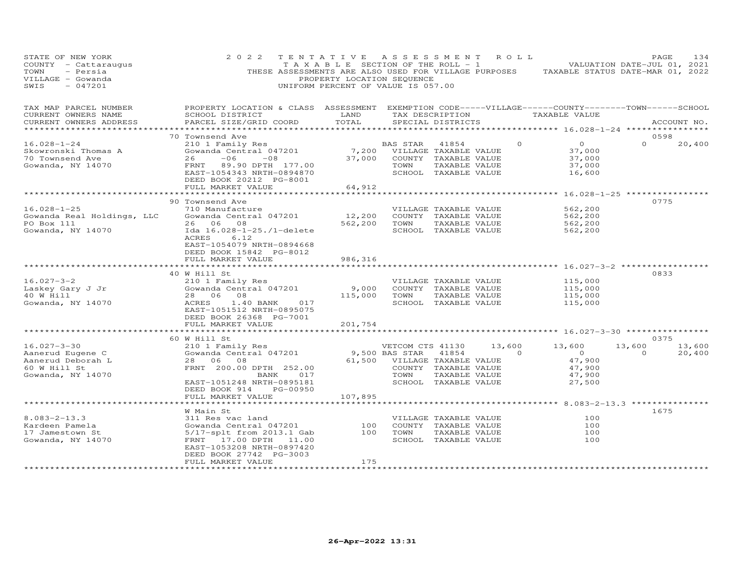| STATE OF NEW YORK<br>COUNTY - Cattaraugus<br>TOWN<br>- Persia<br>VILLAGE - Gowanda<br>$-047201$<br>SWIS | 2 0 2 2<br>THESE ASSESSMENTS ARE ALSO USED FOR VILLAGE PURPOSES                                                                                 | TENTATIVE<br>TAXABLE SECTION OF THE ROLL - 1<br>PROPERTY LOCATION SEQUENCE<br>UNIFORM PERCENT OF VALUE IS 057.00 | A S S E S S M E N T          |                                       | R O L L  | TAXABLE STATUS DATE-MAR 01, 2022      | PAGE<br>VALUATION DATE-JUL 01, 2021 | 134         |
|---------------------------------------------------------------------------------------------------------|-------------------------------------------------------------------------------------------------------------------------------------------------|------------------------------------------------------------------------------------------------------------------|------------------------------|---------------------------------------|----------|---------------------------------------|-------------------------------------|-------------|
| TAX MAP PARCEL NUMBER<br>CURRENT OWNERS NAME<br>CURRENT OWNERS ADDRESS<br>***********************       | PROPERTY LOCATION & CLASS ASSESSMENT EXEMPTION CODE-----VILLAGE------COUNTY-------TOWN------SCHOOL<br>SCHOOL DISTRICT<br>PARCEL SIZE/GRID COORD | LAND<br>TOTAL                                                                                                    |                              | SPECIAL DISTRICTS                     |          | TAX DESCRIPTION TAXABLE VALUE         |                                     | ACCOUNT NO. |
|                                                                                                         | 70 Townsend Ave                                                                                                                                 |                                                                                                                  |                              |                                       |          |                                       | 0598                                |             |
| $16.028 - 1 - 24$                                                                                       | 210 1 Family Res                                                                                                                                |                                                                                                                  | BAS STAR                     | 41854                                 | $\Omega$ | $\overline{0}$                        | $\Omega$                            | 20,400      |
| Skowronski Thomas A                                                                                     | Gowanda Central 047201                                                                                                                          |                                                                                                                  | 7,200 VILLAGE TAXABLE VALUE  |                                       |          | 37,000                                |                                     |             |
| 70 Townsend Ave                                                                                         | $-06$<br>26<br>$-08$                                                                                                                            | 37,000                                                                                                           |                              | COUNTY TAXABLE VALUE                  |          | 37,000                                |                                     |             |
| Gowanda, NY 14070                                                                                       | FRNT 89.90 DPTH 177.00                                                                                                                          |                                                                                                                  | TOWN                         | TAXABLE VALUE                         |          | 37,000                                |                                     |             |
|                                                                                                         | EAST-1054343 NRTH-0894870                                                                                                                       |                                                                                                                  |                              | SCHOOL TAXABLE VALUE                  |          | 16,600                                |                                     |             |
|                                                                                                         | DEED BOOK 20212 PG-8001<br>FULL MARKET VALUE                                                                                                    | 64,912                                                                                                           |                              |                                       |          |                                       |                                     |             |
|                                                                                                         |                                                                                                                                                 |                                                                                                                  |                              |                                       |          | *********** 16.028-1-25 ************* |                                     |             |
|                                                                                                         | 90 Townsend Ave                                                                                                                                 |                                                                                                                  |                              |                                       |          |                                       | 0775                                |             |
| $16.028 - 1 - 25$                                                                                       | 710 Manufacture                                                                                                                                 |                                                                                                                  |                              | VILLAGE TAXABLE VALUE                 |          | 562,200                               |                                     |             |
| Gowanda Real Holdings, LLC                                                                              | Gowanda Central 047201                                                                                                                          | 12,200                                                                                                           |                              | COUNTY TAXABLE VALUE                  |          | 562,200                               |                                     |             |
| PO Box 111                                                                                              | 26 06 08                                                                                                                                        | 562,200                                                                                                          | TOWN                         | TAXABLE VALUE                         |          | 562,200                               |                                     |             |
| Gowanda, NY 14070                                                                                       | Ida 16.028-1-25./1-delete                                                                                                                       |                                                                                                                  |                              | SCHOOL TAXABLE VALUE                  |          | 562,200                               |                                     |             |
|                                                                                                         | ACRES<br>6.12                                                                                                                                   |                                                                                                                  |                              |                                       |          |                                       |                                     |             |
|                                                                                                         | EAST-1054079 NRTH-0894668<br>DEED BOOK 15842 PG-8012                                                                                            |                                                                                                                  |                              |                                       |          |                                       |                                     |             |
|                                                                                                         | FULL MARKET VALUE                                                                                                                               | 986,316                                                                                                          |                              |                                       |          |                                       |                                     |             |
|                                                                                                         | *********************                                                                                                                           |                                                                                                                  |                              |                                       |          |                                       |                                     |             |
|                                                                                                         | 40 W Hill St                                                                                                                                    |                                                                                                                  |                              |                                       |          |                                       | 0833                                |             |
| $16.027 - 3 - 2$                                                                                        | 210 1 Family Res                                                                                                                                |                                                                                                                  |                              | VILLAGE TAXABLE VALUE                 |          | 115,000                               |                                     |             |
| Laskey Gary J Jr                                                                                        | Gowanda Central 047201                                                                                                                          | 9,000                                                                                                            |                              | COUNTY TAXABLE VALUE                  |          | 115,000                               |                                     |             |
| 40 W Hill                                                                                               | 28  06  08                                                                                                                                      | 115,000                                                                                                          | TOWN                         | TAXABLE VALUE                         |          | 115,000                               |                                     |             |
| Gowanda, NY 14070                                                                                       | ACRES<br>1.40 BANK<br>017<br>EAST-1051512 NRTH-0895075                                                                                          |                                                                                                                  |                              | SCHOOL TAXABLE VALUE                  |          | 115,000                               |                                     |             |
|                                                                                                         | DEED BOOK 26368 PG-7001                                                                                                                         |                                                                                                                  |                              |                                       |          |                                       |                                     |             |
|                                                                                                         | FULL MARKET VALUE                                                                                                                               | 201,754                                                                                                          |                              |                                       |          |                                       |                                     |             |
|                                                                                                         |                                                                                                                                                 |                                                                                                                  |                              |                                       |          | *********** 16.027-3-30 ************  |                                     |             |
|                                                                                                         | 60 W Hill St                                                                                                                                    |                                                                                                                  |                              |                                       |          |                                       | 0375                                |             |
| $16.027 - 3 - 30$                                                                                       | 210 1 Family Res                                                                                                                                |                                                                                                                  | VETCOM CTS 41130             |                                       | 13,600   | 13,600                                | 13,600                              | 13,600      |
| Aanerud Eugene C                                                                                        | Gowanda Central 047201                                                                                                                          |                                                                                                                  | 9,500 BAS STAR               | 41854                                 | $\Omega$ | $\overline{0}$                        | $\circ$                             | 20,400      |
| Aanerud Deborah L                                                                                       | 28 06 08                                                                                                                                        |                                                                                                                  | 61,500 VILLAGE TAXABLE VALUE |                                       |          | 47,900                                |                                     |             |
| 60 W Hill St                                                                                            | FRNT 200.00 DPTH 252.00                                                                                                                         |                                                                                                                  | TOWN                         | COUNTY TAXABLE VALUE                  |          | 47,900                                |                                     |             |
| Gowanda, NY 14070                                                                                       | BANK<br>017<br>EAST-1051248 NRTH-0895181                                                                                                        |                                                                                                                  |                              | TAXABLE VALUE<br>SCHOOL TAXABLE VALUE |          | 47,900<br>27,500                      |                                     |             |
|                                                                                                         | DEED BOOK 914<br>PG-00950                                                                                                                       |                                                                                                                  |                              |                                       |          |                                       |                                     |             |
|                                                                                                         | FULL MARKET VALUE                                                                                                                               | 107,895                                                                                                          |                              |                                       |          |                                       |                                     |             |
|                                                                                                         |                                                                                                                                                 |                                                                                                                  |                              |                                       |          |                                       |                                     |             |
|                                                                                                         | W Main St                                                                                                                                       |                                                                                                                  |                              |                                       |          |                                       | 1675                                |             |
| $8.083 - 2 - 13.3$                                                                                      | 311 Res vac land                                                                                                                                |                                                                                                                  |                              | VILLAGE TAXABLE VALUE                 |          | 100                                   |                                     |             |
| Kardeen Pamela                                                                                          | Gowanda Central 047201                                                                                                                          | 100                                                                                                              |                              | COUNTY TAXABLE VALUE                  |          | 100                                   |                                     |             |
| 17 Jamestown St                                                                                         | 5/17-splt from 2013.1 Gab                                                                                                                       | 100                                                                                                              | TOWN                         | TAXABLE VALUE                         |          | 100                                   |                                     |             |
| Gowanda, NY 14070                                                                                       | FRNT 17.00 DPTH<br>11.00                                                                                                                        |                                                                                                                  |                              | SCHOOL TAXABLE VALUE                  |          | 100                                   |                                     |             |
|                                                                                                         | EAST-1053208 NRTH-0897420<br>DEED BOOK 27742 PG-3003                                                                                            |                                                                                                                  |                              |                                       |          |                                       |                                     |             |
|                                                                                                         | FULL MARKET VALUE                                                                                                                               | 175                                                                                                              |                              |                                       |          |                                       |                                     |             |
|                                                                                                         | ********************                                                                                                                            | ****************                                                                                                 |                              |                                       |          |                                       |                                     |             |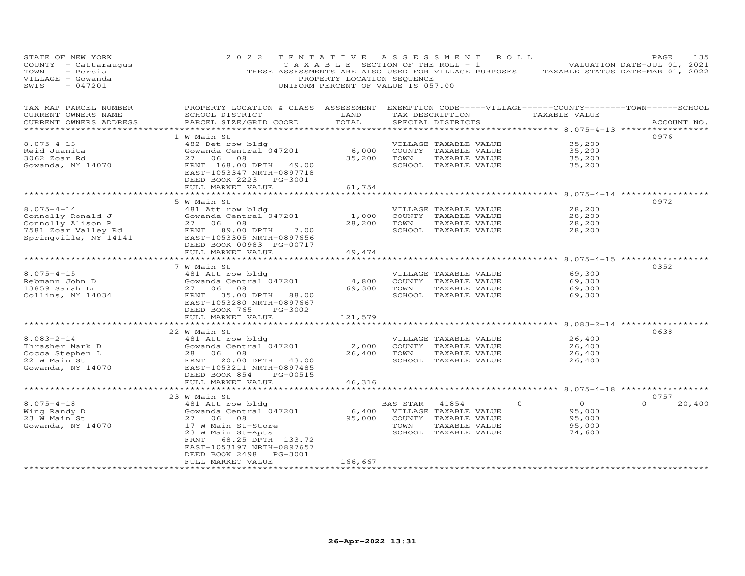| STATE OF NEW YORK<br>COUNTY - Cattaraugus<br>TOWN<br>- Persia<br>VILLAGE - Gowanda<br>SWIS<br>$-047201$                                                                                                         | 2 0 2 2                                                                                                                                                                                                                                                                      | TENTATIVE<br>PROPERTY LOCATION SEQUENCE<br>UNIFORM PERCENT OF VALUE IS 057.00 |                  | ASSESSMENT ROLL                                                                                       |          | TAXABLE SECTION OF THE ROLL - 1 VALUATION DATE-JUL 01, 2021<br>THESE ASSESSMENTS ARE ALSO USED FOR VILLAGE PURPOSES TAXABLE STATUS DATE-MAR 01, 2022 | PAGE        | 135    |
|-----------------------------------------------------------------------------------------------------------------------------------------------------------------------------------------------------------------|------------------------------------------------------------------------------------------------------------------------------------------------------------------------------------------------------------------------------------------------------------------------------|-------------------------------------------------------------------------------|------------------|-------------------------------------------------------------------------------------------------------|----------|------------------------------------------------------------------------------------------------------------------------------------------------------|-------------|--------|
| TAX MAP PARCEL NUMBER<br>CURRENT OWNERS NAME<br>CURRENT OWNERS ADDRESS<br>*****************                                                                                                                     | PROPERTY LOCATION & CLASS ASSESSMENT EXEMPTION CODE-----VILLAGE------COUNTY--------TOWN------SCHOOL<br>SCHOOL DISTRICT<br>PARCEL SIZE/GRID COORD                                                                                                                             | LAND<br>TOTAL                                                                 |                  | SPECIAL DISTRICTS                                                                                     |          | TAX DESCRIPTION TAXABLE VALUE                                                                                                                        | ACCOUNT NO. |        |
| $8.075 - 4 - 13$<br>Reid Juanita<br>3062 Zoar Rd<br>Gowanda, NY 14070                                                                                                                                           | 1 W Main St<br>482 Det row bldg<br>Gowanda Central 047201<br>27 06<br>08<br>FRNT 168.00 DPTH 49.00<br>EAST-1053347 NRTH-0897718<br>DEED BOOK 2223 PG-3001<br>FULL MARKET VALUE                                                                                               | 6,000<br>35,200<br>61,754                                                     | TOWN             | VILLAGE TAXABLE VALUE<br>COUNTY TAXABLE VALUE<br>TAXABLE VALUE<br>SCHOOL TAXABLE VALUE                |          | 35,200<br>35,200<br>35,200<br>35,200                                                                                                                 | 0976        |        |
| $8.075 - 4 - 14$<br>Connolly Ronald J                                                                                                                                                                           | ***************************<br>5 W Main St<br>481 Att row bldg<br>Gowanda Central 047201<br>DEED BOOK 00983 PG-00717<br>FULL MARKET VALUE<br>*******************                                                                                                             | 1,000<br>28,200<br>49,474<br>**********                                       | TOWN             | VILLAGE TAXABLE VALUE<br>COUNTY TAXABLE VALUE<br>TAXABLE VALUE<br>SCHOOL TAXABLE VALUE                |          | ********************** 8.075-4-14 *************<br>28,200<br>28,200<br>28,200<br>28,200<br>******************** 8.075-4-15 ***********               | 0972        |        |
| $8.075 - 4 - 15$<br>Rebmann John D<br>13859 Sarah Ln<br>Collins, NY 14034                                                                                                                                       | 7 W Main St<br>481 Att row bldg<br>Gowanda Central 047201<br>27 06 08<br>FRNT 35.00 DPTH 88.00<br>EAST-1053280 NRTH-0897667<br>DEED BOOK 765<br>PG-3002<br>FULL MARKET VALUE                                                                                                 | 4,800<br>69,300<br>121,579                                                    | TOWN             | VILLAGE TAXABLE VALUE<br>COUNTY TAXABLE VALUE<br>TAXABLE VALUE<br>SCHOOL TAXABLE VALUE                |          | 69,300<br>69,300<br>69,300<br>69,300                                                                                                                 | 0352        |        |
| $8.083 - 2 - 14$<br>Thrasher Mark D<br>Cocca Stephen L<br>28 06 08<br>22 W Main St<br>Gowanda, NY 14070<br>29 06 08<br>27 Main St<br>28 06 08<br>28 06 08<br>27 Main St<br>28 06 08<br>28 06 08<br>28 07 143.00 | ***********************<br>22 W Main St<br>481 Att row bldg<br>DEED BOOK 854<br>PG-00515                                                                                                                                                                                     | ****************<br>2,000<br>26,400                                           | TOWN             | VILLAGE TAXABLE VALUE<br>COUNTY TAXABLE VALUE<br>TAXABLE VALUE<br>SCHOOL TAXABLE VALUE                |          | ***********************************8.083-2-14 ************<br>26,400<br>26,400<br>26,400<br>26,400                                                   | 0638        |        |
| $8.075 - 4 - 18$<br>Wing Randy D<br>23 W Main St<br>Gowanda, NY 14070                                                                                                                                           | FULL MARKET VALUE<br>**********************<br>23 W Main St<br>481 Att row bldg<br>Gowanda Central 047201<br>27 06<br>08<br>17 W Main St-Store<br>23 W Main St-Apts<br>FRNT 68.25 DPTH 133.72<br>EAST-1053197 NRTH-0897657<br>DEED BOOK 2498<br>PG-3001<br>FULL MARKET VALUE | 46,316<br>95,000<br>166,667                                                   | BAS STAR<br>TOWN | 41854<br>6,400 VILLAGE TAXABLE VALUE<br>COUNTY TAXABLE VALUE<br>TAXABLE VALUE<br>SCHOOL TAXABLE VALUE | $\Omega$ | *********************** 8.075-4-18 ******************<br>$\Omega$<br>95,000<br>95,000<br>95,000<br>74,600                                            | 0757        | 20,400 |
|                                                                                                                                                                                                                 |                                                                                                                                                                                                                                                                              |                                                                               |                  |                                                                                                       |          |                                                                                                                                                      |             |        |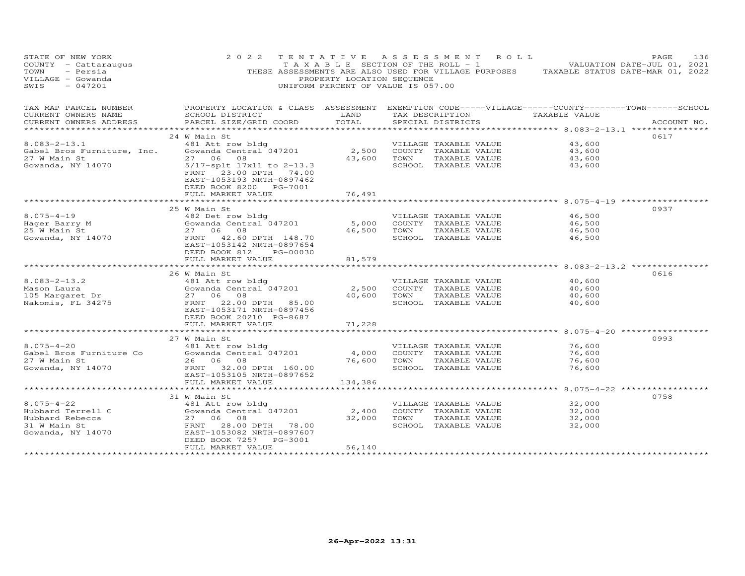| STATE OF NEW YORK<br>COUNTY - Cattaraugus<br>TOWN<br>- Persia<br>VILLAGE - Gowanda<br>SWIS<br>$-047201$ | 2 0 2 2                                                                                                                                         | PROPERTY LOCATION SEQUENCE | TENTATIVE ASSESSMENT ROLL<br>T A X A B L E SECTION OF THE ROLL - 1 VALUATION DATE-JUL 01, 2021<br>THESE ASSESSMENTS ARE ALSO USED FOR VILLAGE PURPOSES TAXABLE STATUS DATE-MAR 01, 2022<br>UNIFORM PERCENT OF VALUE IS 057.00 |                                   | PAGE<br>136 |
|---------------------------------------------------------------------------------------------------------|-------------------------------------------------------------------------------------------------------------------------------------------------|----------------------------|-------------------------------------------------------------------------------------------------------------------------------------------------------------------------------------------------------------------------------|-----------------------------------|-------------|
| TAX MAP PARCEL NUMBER<br>CURRENT OWNERS NAME<br>CURRENT OWNERS ADDRESS                                  | PROPERTY LOCATION & CLASS ASSESSMENT EXEMPTION CODE-----VILLAGE------COUNTY-------TOWN------SCHOOL<br>SCHOOL DISTRICT<br>PARCEL SIZE/GRID COORD | LAND<br>TOTAL              | TAX DESCRIPTION TAXABLE VALUE<br>SPECIAL DISTRICTS                                                                                                                                                                            |                                   | ACCOUNT NO. |
|                                                                                                         |                                                                                                                                                 |                            |                                                                                                                                                                                                                               | ********** 8.083-2-13.1 ********* |             |
|                                                                                                         | 24 W Main St                                                                                                                                    |                            |                                                                                                                                                                                                                               |                                   | 0617        |
| $8.083 - 2 - 13.1$                                                                                      | 481 Att row bldg                                                                                                                                |                            | VILLAGE TAXABLE VALUE                                                                                                                                                                                                         | 43,600                            |             |
| Gabel Bros Furniture, Inc.                                                                              | Gowanda Central 047201                                                                                                                          | 2,500                      | COUNTY TAXABLE VALUE                                                                                                                                                                                                          | 43,600                            |             |
| 27 W Main St                                                                                            | 27 06 08                                                                                                                                        | 43,600                     | TOWN<br>TAXABLE VALUE                                                                                                                                                                                                         | 43,600                            |             |
| Gowanda, NY 14070                                                                                       | 5/17-splt 17x11 to 2-13.3<br>FRNT 23.00 DPTH 74.00<br>EAST-1053193 NRTH-0897462<br>DEED BOOK 8200 PG-7001<br>FULL MARKET VALUE                  | 76,491                     | SCHOOL TAXABLE VALUE                                                                                                                                                                                                          | 43,600                            |             |
|                                                                                                         |                                                                                                                                                 |                            |                                                                                                                                                                                                                               |                                   |             |
|                                                                                                         | 25 W Main St                                                                                                                                    |                            |                                                                                                                                                                                                                               |                                   | 0937        |
| $8.075 - 4 - 19$                                                                                        | 482 Det row bldg                                                                                                                                |                            | VILLAGE TAXABLE VALUE                                                                                                                                                                                                         | 46,500                            |             |
| Hager Barry M                                                                                           | Gowanda Central 047201                                                                                                                          | 5,000                      | COUNTY TAXABLE VALUE                                                                                                                                                                                                          | 46,500                            |             |
| 25 W Main St                                                                                            | 27 06 08                                                                                                                                        | 46,500                     | TOWN<br>TAXABLE VALUE                                                                                                                                                                                                         | 46,500                            |             |
| Gowanda, NY 14070                                                                                       | FRNT 42.60 DPTH 148.70<br>EAST-1053142 NRTH-0897654<br>DEED BOOK 812<br>PG-00030<br>FULL MARKET VALUE                                           | 81,579                     | SCHOOL TAXABLE VALUE                                                                                                                                                                                                          | 46,500                            |             |
|                                                                                                         |                                                                                                                                                 |                            |                                                                                                                                                                                                                               |                                   |             |
|                                                                                                         | 26 W Main St                                                                                                                                    |                            |                                                                                                                                                                                                                               |                                   | 0616        |
| $8.083 - 2 - 13.2$                                                                                      | 481 Att row bldg                                                                                                                                |                            | VILLAGE TAXABLE VALUE                                                                                                                                                                                                         | 40,600                            |             |
| Mason Laura                                                                                             | Gowanda Central 047201                                                                                                                          | 2,500                      | COUNTY TAXABLE VALUE                                                                                                                                                                                                          | 40,600                            |             |
| 105 Margaret Dr                                                                                         | 27 06 08                                                                                                                                        | 40,600                     | TOWN<br>TAXABLE VALUE                                                                                                                                                                                                         | 40,600                            |             |
| Nakomis, FL 34275                                                                                       | FRNT 22.00 DPTH 85.00<br>EAST-1053171 NRTH-0897456                                                                                              |                            | SCHOOL TAXABLE VALUE                                                                                                                                                                                                          | 40,600                            |             |
|                                                                                                         | DEED BOOK 20210 PG-8687                                                                                                                         |                            |                                                                                                                                                                                                                               |                                   |             |
|                                                                                                         | FULL MARKET VALUE                                                                                                                               | 71,228                     |                                                                                                                                                                                                                               |                                   |             |
|                                                                                                         | 27 W Main St                                                                                                                                    |                            |                                                                                                                                                                                                                               |                                   | 0993        |
| $8.075 - 4 - 20$                                                                                        | 481 Att row bldg                                                                                                                                |                            | VILLAGE TAXABLE VALUE                                                                                                                                                                                                         | 76,600                            |             |
| Gabel Bros Furniture Co                                                                                 | Gowanda Central 047201                                                                                                                          | 4,000                      | COUNTY TAXABLE VALUE                                                                                                                                                                                                          | 76,600                            |             |
| 27 W Main St                                                                                            | 26 06 08                                                                                                                                        | 76,600                     | TOWN<br>TAXABLE VALUE                                                                                                                                                                                                         | 76,600                            |             |
| Gowanda, NY 14070                                                                                       | FRNT 32.00 DPTH 160.00                                                                                                                          |                            | SCHOOL TAXABLE VALUE                                                                                                                                                                                                          | 76,600                            |             |
|                                                                                                         | EAST-1053105 NRTH-0897652<br>FULL MARKET VALUE                                                                                                  | 134,386                    |                                                                                                                                                                                                                               |                                   |             |
|                                                                                                         | ***********************                                                                                                                         |                            |                                                                                                                                                                                                                               | ********** 8.075-4-22 *********** |             |
|                                                                                                         | 31 W Main St                                                                                                                                    |                            |                                                                                                                                                                                                                               |                                   | 0758        |
| $8.075 - 4 - 22$                                                                                        | 481 Att row bldg                                                                                                                                |                            | VILLAGE TAXABLE VALUE                                                                                                                                                                                                         | 32,000                            |             |
| Hubbard Terrell C                                                                                       | Gowanda Central 047201                                                                                                                          | 2,400                      | COUNTY TAXABLE VALUE                                                                                                                                                                                                          | 32,000                            |             |
| Hubbard Rebecca                                                                                         | 27 06 08                                                                                                                                        | 32,000                     | TOWN<br>TAXABLE VALUE                                                                                                                                                                                                         | 32,000                            |             |
| 31 W Main St                                                                                            | 28.00 DPTH 78.00<br>FRNT                                                                                                                        |                            | SCHOOL TAXABLE VALUE                                                                                                                                                                                                          | 32,000                            |             |
| Gowanda, NY 14070                                                                                       | EAST-1053082 NRTH-0897607<br>DEED BOOK 7257 PG-3001                                                                                             |                            |                                                                                                                                                                                                                               |                                   |             |
|                                                                                                         | FULL MARKET VALUE                                                                                                                               | 56,140<br>**************** |                                                                                                                                                                                                                               |                                   |             |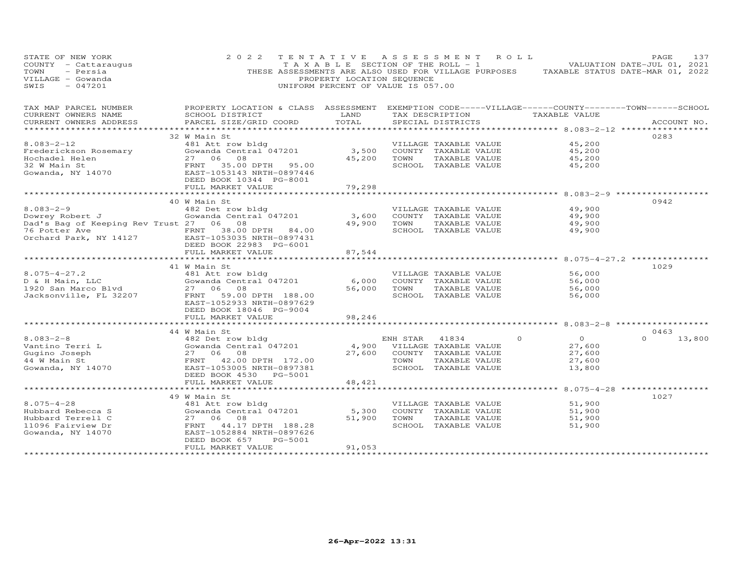| STATE OF NEW YORK<br>COUNTY - Cattaraugus<br>- Persia<br>TOWN<br>VILLAGE - Gowanda<br>SWIS<br>$-047201$                                                                                                                                                                                                                                                                                                                                                                                                       | 2 0 2 2<br>THESE ASSESSMENTS ARE ALSO USED FOR VILLAGE PURPOSES TAXABLE STATUS DATE-MAR 01, 2022 | PROPERTY LOCATION SEQUENCE<br>UNIFORM PERCENT OF VALUE IS 057.00 |      | TENTATIVE ASSESSMENT ROLL<br>TAXABLE SECTION OF THE ROLL - 1 VALUATION DATE-JUL 01, 2021 |                                        |                  | PAGE     | 137         |
|---------------------------------------------------------------------------------------------------------------------------------------------------------------------------------------------------------------------------------------------------------------------------------------------------------------------------------------------------------------------------------------------------------------------------------------------------------------------------------------------------------------|--------------------------------------------------------------------------------------------------|------------------------------------------------------------------|------|------------------------------------------------------------------------------------------|----------------------------------------|------------------|----------|-------------|
| TAX MAP PARCEL NUMBER FROPERTY LOCATION & CLASS ASSESSMENT EXEMPTION CODE-----VILLAGE------COUNTY-------TOWN-----SCHOOL<br>CURRENT OWNERS NAME                                                                                                                                                                                                                                                                                                                                                                | <b>EXAMPLE THE STATE OF STATE OF STATE</b><br>SCHOOL DISTRICT                                    |                                                                  |      | TAX DESCRIPTION TAXABLE VALUE                                                            |                                        |                  |          |             |
| CURRENT OWNERS ADDRESS                                                                                                                                                                                                                                                                                                                                                                                                                                                                                        | PARCEL SIZE/GRID COORD                                                                           | TOTAL                                                            |      | SPECIAL DISTRICTS                                                                        |                                        |                  |          | ACCOUNT NO. |
|                                                                                                                                                                                                                                                                                                                                                                                                                                                                                                               |                                                                                                  |                                                                  |      |                                                                                          |                                        |                  | 0283     |             |
|                                                                                                                                                                                                                                                                                                                                                                                                                                                                                                               |                                                                                                  |                                                                  |      |                                                                                          |                                        | 45,200           |          |             |
|                                                                                                                                                                                                                                                                                                                                                                                                                                                                                                               |                                                                                                  |                                                                  |      |                                                                                          |                                        | 45,200           |          |             |
|                                                                                                                                                                                                                                                                                                                                                                                                                                                                                                               |                                                                                                  |                                                                  |      |                                                                                          |                                        | 45,200           |          |             |
|                                                                                                                                                                                                                                                                                                                                                                                                                                                                                                               |                                                                                                  |                                                                  |      |                                                                                          |                                        | 45,200           |          |             |
| $\begin{tabular}{lllllllllllllllllll} \multicolumn{3}{c}{\begin{tabular}{l} \multicolumn{3}{c}{\begin{tabular}{l} \multicolumn{3}{c}{\begin{tabular}{l} \multicolumn{3}{c}{\begin{tabular}{l} \multicolumn{3}{c}{\begin{tabular}{l} \multicolumn{3}{c}{\begin{tabular}{l} \multicolumn{3}{c}{\begin{tabular}{l} \multicolumn{3}{c}{\begin{tabular}{l} \multicolumn{3}{c}{\begin{tabular}{l} \multicolumn{3}{c}{\begin{tabular}{l} \multicolumn{3}{c}{\begin{tabular}{l} \multicolumn{3}{c}{\begin{tabular}{l$ |                                                                                                  |                                                                  |      |                                                                                          |                                        |                  |          |             |
|                                                                                                                                                                                                                                                                                                                                                                                                                                                                                                               | FULL MARKET VALUE                                                                                | 79,298                                                           |      |                                                                                          |                                        |                  |          |             |
|                                                                                                                                                                                                                                                                                                                                                                                                                                                                                                               |                                                                                                  | ******************                                               |      |                                                                                          |                                        |                  |          |             |
|                                                                                                                                                                                                                                                                                                                                                                                                                                                                                                               | 40 W Main St                                                                                     |                                                                  |      |                                                                                          |                                        |                  | 0942     |             |
| $8.083 - 2 - 9$                                                                                                                                                                                                                                                                                                                                                                                                                                                                                               | 482 Det row bldg                                                                                 |                                                                  |      | VILLAGE TAXABLE VALUE                                                                    |                                        | 49,900           |          |             |
|                                                                                                                                                                                                                                                                                                                                                                                                                                                                                                               |                                                                                                  |                                                                  |      | 3,600 COUNTY TAXABLE VALUE<br>49,900 TOWN TAXABLE VALUE                                  |                                        | 49,900<br>49,900 |          |             |
|                                                                                                                                                                                                                                                                                                                                                                                                                                                                                                               |                                                                                                  |                                                                  |      | SCHOOL TAXABLE VALUE                                                                     |                                        | 49,900           |          |             |
| The Potter Ave FRNT 38.00 DPTH 84.00<br>Orchard Park, NY 14127 EAST-1053035 NRTH-0897431                                                                                                                                                                                                                                                                                                                                                                                                                      | DEED BOOK 22983 PG-6001<br>FULL MARKET VALUE                                                     |                                                                  |      |                                                                                          |                                        |                  |          |             |
|                                                                                                                                                                                                                                                                                                                                                                                                                                                                                                               | ************************                                                                         | 87,544<br>***************                                        |      |                                                                                          |                                        |                  |          |             |
|                                                                                                                                                                                                                                                                                                                                                                                                                                                                                                               | 41 W Main St                                                                                     |                                                                  |      |                                                                                          |                                        |                  | 1029     |             |
| $8.075 - 4 - 27.2$                                                                                                                                                                                                                                                                                                                                                                                                                                                                                            | 481 Att row bldg                                                                                 |                                                                  |      | VILLAGE TAXABLE VALUE                                                                    |                                        | 56,000           |          |             |
|                                                                                                                                                                                                                                                                                                                                                                                                                                                                                                               | 461 ALL TOW DIGG<br>Gowanda Central 047201                                                       | 6,000                                                            |      | COUNTY TAXABLE VALUE                                                                     |                                        | 56,000           |          |             |
|                                                                                                                                                                                                                                                                                                                                                                                                                                                                                                               |                                                                                                  |                                                                  |      | 56,000 TOWN TAXABLE VALUE                                                                |                                        | 56,000           |          |             |
|                                                                                                                                                                                                                                                                                                                                                                                                                                                                                                               | EAST-1052933 NRTH-0897629<br>DEED BOOK 18046 PG-9004                                             |                                                                  |      | SCHOOL TAXABLE VALUE                                                                     |                                        | 56,000           |          |             |
|                                                                                                                                                                                                                                                                                                                                                                                                                                                                                                               | FULL MARKET VALUE                                                                                | 98,246                                                           |      |                                                                                          |                                        |                  |          |             |
|                                                                                                                                                                                                                                                                                                                                                                                                                                                                                                               | ************************                                                                         |                                                                  |      | *************************************8.083-2-8 *******************                       |                                        |                  |          |             |
|                                                                                                                                                                                                                                                                                                                                                                                                                                                                                                               | 44 W Main St                                                                                     |                                                                  |      |                                                                                          |                                        |                  | 0463     |             |
| 8.083-2-8<br>Vantino Terri L<br>Gugino Joseph<br>44 W Main St<br>Gowanda, NY 14070<br>ERNT 42.00 DPTH 172.00<br>ERNT 42.00 DPTH 172.00<br>ERNT 42.00 DPTH 172.00<br>ERNT 42.00 DPTH 172.00<br>ERNT 42.00 DPTH 172.00                                                                                                                                                                                                                                                                                          | w nain sc<br>482 Det row bldg<br>Gowanda Central 047201                                          |                                                                  |      | ENH STAR 41834                                                                           | $\Omega$                               | $\overline{O}$   | $\Omega$ | 13,800      |
|                                                                                                                                                                                                                                                                                                                                                                                                                                                                                                               |                                                                                                  |                                                                  |      | 4,900 VILLAGE TAXABLE VALUE                                                              |                                        | 27,600           |          |             |
|                                                                                                                                                                                                                                                                                                                                                                                                                                                                                                               |                                                                                                  |                                                                  | TOWN | 27,600 COUNTY TAXABLE VALUE<br>TAXABLE VALUE                                             |                                        | 27,600<br>27,600 |          |             |
|                                                                                                                                                                                                                                                                                                                                                                                                                                                                                                               |                                                                                                  |                                                                  |      | SCHOOL TAXABLE VALUE                                                                     |                                        | 13,800           |          |             |
|                                                                                                                                                                                                                                                                                                                                                                                                                                                                                                               | DEED BOOK 4530 PG-5001                                                                           |                                                                  |      |                                                                                          |                                        |                  |          |             |
|                                                                                                                                                                                                                                                                                                                                                                                                                                                                                                               | FULL MARKET VALUE                                                                                | 48,421                                                           |      |                                                                                          |                                        |                  |          |             |
|                                                                                                                                                                                                                                                                                                                                                                                                                                                                                                               |                                                                                                  |                                                                  |      |                                                                                          | ************** 8.075-4-28 ************ |                  |          |             |
|                                                                                                                                                                                                                                                                                                                                                                                                                                                                                                               | 49 W Main St                                                                                     |                                                                  |      |                                                                                          |                                        |                  | 1027     |             |
| $8.075 - 4 - 28$                                                                                                                                                                                                                                                                                                                                                                                                                                                                                              | 481 Att row bldg<br>Gowanda Central 047201<br>27 06 08                                           |                                                                  |      | VILLAGE TAXABLE VALUE                                                                    |                                        | 51,900           |          |             |
|                                                                                                                                                                                                                                                                                                                                                                                                                                                                                                               |                                                                                                  |                                                                  |      | 5,300 COUNTY TAXABLE VALUE                                                               |                                        | 51,900           |          |             |
|                                                                                                                                                                                                                                                                                                                                                                                                                                                                                                               |                                                                                                  |                                                                  |      | 51,900 TOWN TAXABLE VALUE                                                                |                                        | 51,900           |          |             |
| Hubbard Rebecca S<br>Hubbard Terrell C<br>11096 Fairview Dr<br>Gowanda, NY 14070<br>Gowanda, NY 14070                                                                                                                                                                                                                                                                                                                                                                                                         | FRNT 44.17 DPTH 188.28<br>EAST-1052884 NRTH-0897626                                              |                                                                  |      | SCHOOL TAXABLE VALUE                                                                     |                                        | 51,900           |          |             |
|                                                                                                                                                                                                                                                                                                                                                                                                                                                                                                               | PG-5001<br>DEED BOOK 657                                                                         |                                                                  |      |                                                                                          |                                        |                  |          |             |
| ************************                                                                                                                                                                                                                                                                                                                                                                                                                                                                                      | FULL MARKET VALUE<br>**************************                                                  | 91,053<br>*******************                                    |      |                                                                                          |                                        |                  |          |             |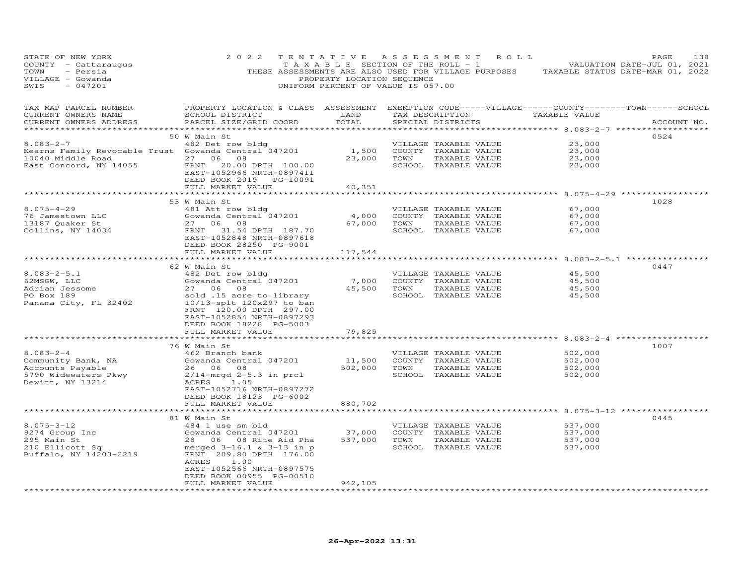| STATE OF NEW YORK<br>COUNTY - Cattaraugus<br>TOWN<br>- Persia<br>VILLAGE - Gowanda<br>SWIS<br>$-047201$                | 2 0 2 2                                                                                                                                                                                                               | TENTATIVE<br>T A X A B L E SECTION OF THE ROLL - 1<br>PROPERTY LOCATION SEQUENCE<br>UNIFORM PERCENT OF VALUE IS 057.00 | A S S E S S M E N T |                                                                                        | R O L L         | THESE ASSESSMENTS ARE ALSO USED FOR VILLAGE PURPOSES TAXABLE STATUS DATE-MAR 01, 2022 | PAGE<br>VALUATION DATE-JUL 01, 2021 | 138 |
|------------------------------------------------------------------------------------------------------------------------|-----------------------------------------------------------------------------------------------------------------------------------------------------------------------------------------------------------------------|------------------------------------------------------------------------------------------------------------------------|---------------------|----------------------------------------------------------------------------------------|-----------------|---------------------------------------------------------------------------------------|-------------------------------------|-----|
| TAX MAP PARCEL NUMBER<br>CURRENT OWNERS NAME<br>CURRENT OWNERS ADDRESS<br>***********************                      | PROPERTY LOCATION & CLASS ASSESSMENT EXEMPTION CODE-----VILLAGE------COUNTY--------TOWN------SCHOOL<br>SCHOOL DISTRICT<br>PARCEL SIZE/GRID COORD                                                                      | LAND<br>TOTAL                                                                                                          |                     | SPECIAL DISTRICTS                                                                      | TAX DESCRIPTION | TAXABLE VALUE                                                                         | ACCOUNT NO.                         |     |
| $8.083 - 2 - 7$<br>Kearns Family Revocable Trust Gowanda Central 047201<br>10040 Middle Road<br>East Concord, NY 14055 | 50 W Main St<br>482 Det row bldg<br>27 06 08<br>FRNT<br>20.00 DPTH 100.00<br>EAST-1052966 NRTH-0897411<br>DEED BOOK 2019 PG-10091<br>FULL MARKET VALUE                                                                | 1,500<br>23,000<br>40,351                                                                                              | TOWN                | VILLAGE TAXABLE VALUE<br>COUNTY TAXABLE VALUE<br>TAXABLE VALUE<br>SCHOOL TAXABLE VALUE |                 | 23,000<br>23,000<br>23,000<br>23,000                                                  | 0524                                |     |
|                                                                                                                        | **********************                                                                                                                                                                                                | ************                                                                                                           |                     |                                                                                        |                 | ****************************** 8.075-4-29 ****************                            |                                     |     |
| $8.075 - 4 - 29$<br>76 Jamestown LLC<br>13187 Quaker St<br>Collins, NY 14034                                           | 53 W Main St<br>481 Att row bldg<br>Gowanda Central 047201<br>27 06<br>08<br>FRNT<br>31.54 DPTH 187.70<br>EAST-1052848 NRTH-0897618<br>DEED BOOK 28250 PG-9001<br>FULL MARKET VALUE                                   | 4,000<br>67,000<br>117,544                                                                                             | TOWN                | VILLAGE TAXABLE VALUE<br>COUNTY TAXABLE VALUE<br>TAXABLE VALUE<br>SCHOOL TAXABLE VALUE |                 | 67,000<br>67,000<br>67,000<br>67,000                                                  | 1028                                |     |
|                                                                                                                        | *******************************                                                                                                                                                                                       | *************                                                                                                          |                     |                                                                                        |                 | ************************** 8.083-2-5.1 **************                                 |                                     |     |
| $8.083 - 2 - 5.1$<br>62MSGW, LLC<br>Adrian Jessome<br>PO Box 189<br>Panama City, FL 32402                              | 62 W Main St<br>482 Det row bldg<br>Gowanda Central 047201<br>27 06<br>08<br>sold .15 acre to library<br>10/13-splt 120x297 to ban<br>FRNT 120.00 DPTH 297.00<br>EAST-1052854 NRTH-0897293<br>DEED BOOK 18228 PG-5003 | 7,000<br>45,500                                                                                                        | TOWN                | VILLAGE TAXABLE VALUE<br>COUNTY TAXABLE VALUE<br>TAXABLE VALUE<br>SCHOOL TAXABLE VALUE |                 | 45,500<br>45,500<br>45,500<br>45,500                                                  | 0447                                |     |
|                                                                                                                        | FULL MARKET VALUE                                                                                                                                                                                                     | 79,825                                                                                                                 |                     |                                                                                        |                 |                                                                                       |                                     |     |
|                                                                                                                        | **********************                                                                                                                                                                                                | ***********                                                                                                            |                     |                                                                                        |                 |                                                                                       |                                     |     |
| $8.083 - 2 - 4$<br>Community Bank, NA<br>Accounts Payable<br>5790 Widewaters Pkwy<br>Dewitt, NY 13214                  | 76 W Main St<br>462 Branch bank<br>Gowanda Central 047201<br>26 06 08<br>$2/14$ -mrgd 2-5.3 in prcl<br>ACRES<br>1.05<br>EAST-1052716 NRTH-0897272<br>DEED BOOK 18123 PG-6002<br>FULL MARKET VALUE                     | 11,500<br>502,000<br>880,702                                                                                           | TOWN                | VILLAGE TAXABLE VALUE<br>COUNTY TAXABLE VALUE<br>TAXABLE VALUE<br>SCHOOL TAXABLE VALUE |                 | 502,000<br>502,000<br>502,000<br>502,000                                              | 1007                                |     |
|                                                                                                                        |                                                                                                                                                                                                                       |                                                                                                                        |                     |                                                                                        |                 | ************ 8.075-3-12 ***                                                           |                                     |     |
|                                                                                                                        | 81 W Main St                                                                                                                                                                                                          |                                                                                                                        |                     |                                                                                        |                 |                                                                                       | 0445                                |     |
| $8.075 - 3 - 12$<br>9274 Group Inc<br>295 Main St<br>210 Ellicott Sq<br>Buffalo, NY 14203-2219                         | 484 1 use sm bld<br>Gowanda Central 047201<br>28 06 08 Rite Aid Pha<br>merged $3-16.1$ & $3-13$ in p<br>FRNT 209.80 DPTH 176.00<br>ACRES<br>1.00<br>EAST-1052566 NRTH-0897575<br>DEED BOOK 00955 PG-00510             | 37,000<br>537,000                                                                                                      | TOWN                | VILLAGE TAXABLE VALUE<br>COUNTY TAXABLE VALUE<br>TAXABLE VALUE<br>SCHOOL TAXABLE VALUE |                 | 537,000<br>537,000<br>537,000<br>537,000                                              |                                     |     |
| ************************                                                                                               | FULL MARKET VALUE<br>***********************                                                                                                                                                                          | 942,105<br>**************                                                                                              |                     |                                                                                        |                 |                                                                                       |                                     |     |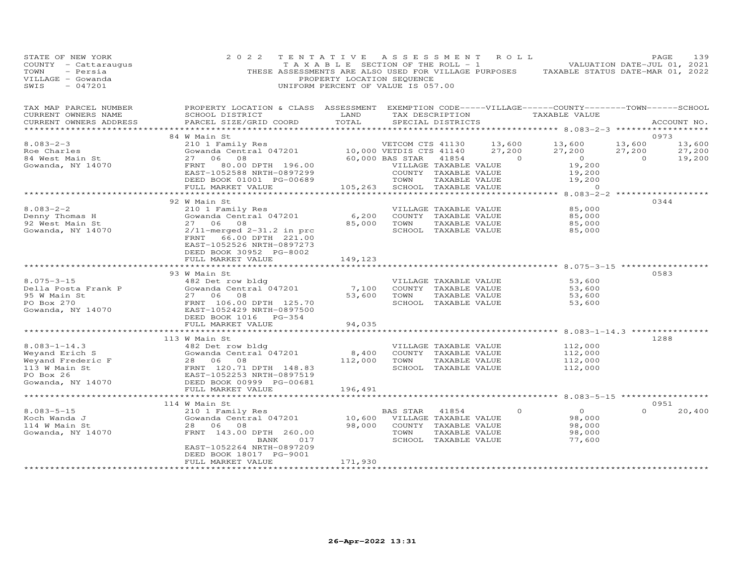| STATE OF NEW YORK<br>COUNTY - Cattaraugus<br>TOWN<br>- Persia<br>VILLAGE - Gowanda<br>SWIS<br>$-047201$ | 2 0 2 2<br>THESE ASSESSMENTS ARE ALSO USED FOR VILLAGE PURPOSES                   | TENTATIVE<br>TAXABLE SECTION OF THE ROLL - 1<br>PROPERTY LOCATION SEQUENCE<br>UNIFORM PERCENT OF VALUE IS 057.00 | A S S E S S M E N T     |                                               | R O L L  | VALUATION DATE-JUL 01, 2021<br>TAXABLE STATUS DATE-MAR 01, 2022                |          | PAGE        | 139    |
|---------------------------------------------------------------------------------------------------------|-----------------------------------------------------------------------------------|------------------------------------------------------------------------------------------------------------------|-------------------------|-----------------------------------------------|----------|--------------------------------------------------------------------------------|----------|-------------|--------|
| TAX MAP PARCEL NUMBER<br>CURRENT OWNERS NAME<br>CURRENT OWNERS ADDRESS<br>**********************        | PROPERTY LOCATION & CLASS ASSESSMENT<br>SCHOOL DISTRICT<br>PARCEL SIZE/GRID COORD | LAND<br>TOTAL                                                                                                    |                         | TAX DESCRIPTION<br>SPECIAL DISTRICTS          |          | EXEMPTION CODE-----VILLAGE------COUNTY-------TOWN------SCHOOL<br>TAXABLE VALUE |          | ACCOUNT NO. |        |
|                                                                                                         | 84 W Main St                                                                      |                                                                                                                  |                         |                                               |          |                                                                                |          | 0973        |        |
| $8.083 - 2 - 3$                                                                                         | 210 1 Family Res                                                                  |                                                                                                                  | VETCOM CTS 41130        |                                               | 13,600   | 13,600                                                                         | 13,600   |             | 13,600 |
| Roe Charles                                                                                             | Gowanda Central 047201                                                            |                                                                                                                  | 10,000 VETDIS CTS 41140 |                                               | 27,200   | 27,200                                                                         | 27,200   |             | 27,200 |
| 84 West Main St                                                                                         | 06<br>08<br>27                                                                    |                                                                                                                  | 60,000 BAS STAR         | 41854                                         | $\Omega$ | $\overline{O}$                                                                 | $\circ$  |             | 19,200 |
| Gowanda, NY 14070                                                                                       | 80.00 DPTH 196.00<br>FRNT<br>EAST-1052588 NRTH-0897299                            |                                                                                                                  |                         | VILLAGE TAXABLE VALUE<br>COUNTY TAXABLE VALUE |          | 19,200<br>19,200                                                               |          |             |        |
|                                                                                                         | DEED BOOK 01001 PG-00689                                                          |                                                                                                                  | TOWN                    | TAXABLE VALUE                                 |          | 19,200                                                                         |          |             |        |
|                                                                                                         | FULL MARKET VALUE                                                                 | 105,263                                                                                                          |                         | SCHOOL TAXABLE VALUE                          |          | $\Omega$                                                                       |          |             |        |
|                                                                                                         |                                                                                   |                                                                                                                  |                         |                                               |          | $8.083 - 2 - 2$ ****************                                               |          |             |        |
|                                                                                                         | 92 W Main St                                                                      |                                                                                                                  |                         |                                               |          |                                                                                |          | 0344        |        |
| $8.083 - 2 - 2$                                                                                         | 210 1 Family Res                                                                  |                                                                                                                  |                         | VILLAGE TAXABLE VALUE                         |          | 85,000                                                                         |          |             |        |
| Denny Thomas H                                                                                          | Gowanda Central 047201<br>27 06 08                                                | 6,200<br>85,000                                                                                                  | TOWN                    | COUNTY TAXABLE VALUE<br>TAXABLE VALUE         |          | 85,000<br>85,000                                                               |          |             |        |
| 92 West Main St<br>Gowanda, NY 14070                                                                    | $2/11$ -merged $2-31.2$ in prc                                                    |                                                                                                                  |                         | SCHOOL TAXABLE VALUE                          |          | 85,000                                                                         |          |             |        |
|                                                                                                         | FRNT<br>66.00 DPTH 221.00<br>EAST-1052526 NRTH-0897273<br>DEED BOOK 30952 PG-8002 |                                                                                                                  |                         |                                               |          |                                                                                |          |             |        |
|                                                                                                         | FULL MARKET VALUE<br>*******************                                          | 149,123                                                                                                          |                         |                                               |          | ***************** 8.075-3-15 ***********                                       |          |             |        |
|                                                                                                         | 93 W Main St                                                                      |                                                                                                                  |                         |                                               |          |                                                                                |          | 0583        |        |
| $8.075 - 3 - 15$                                                                                        | 482 Det row bldg                                                                  |                                                                                                                  |                         | VILLAGE TAXABLE VALUE                         |          | 53,600                                                                         |          |             |        |
| Della Posta Frank P                                                                                     | Gowanda Central 047201                                                            | 7,100                                                                                                            |                         | COUNTY TAXABLE VALUE                          |          | 53,600                                                                         |          |             |        |
| 95 W Main St                                                                                            | 27 06<br>08                                                                       | 53,600                                                                                                           | TOWN                    | TAXABLE VALUE                                 |          | 53,600                                                                         |          |             |        |
| PO Box 270                                                                                              | FRNT 106.00 DPTH 125.70                                                           |                                                                                                                  |                         | SCHOOL TAXABLE VALUE                          |          | 53,600                                                                         |          |             |        |
| Gowanda, NY 14070                                                                                       | EAST-1052429 NRTH-0897500                                                         |                                                                                                                  |                         |                                               |          |                                                                                |          |             |        |
|                                                                                                         | DEED BOOK 1016 PG-354<br>FULL MARKET VALUE                                        | 94,035                                                                                                           |                         |                                               |          |                                                                                |          |             |        |
|                                                                                                         |                                                                                   |                                                                                                                  |                         |                                               |          |                                                                                |          |             |        |
|                                                                                                         | 113 W Main St                                                                     |                                                                                                                  |                         |                                               |          |                                                                                |          | 1288        |        |
| $8.083 - 1 - 14.3$                                                                                      | 482 Det row bldg                                                                  |                                                                                                                  |                         | VILLAGE TAXABLE VALUE                         |          | 112,000                                                                        |          |             |        |
| Weyand Erich S                                                                                          | Gowanda Central 047201                                                            | 8,400                                                                                                            |                         | COUNTY TAXABLE VALUE                          |          | 112,000                                                                        |          |             |        |
| Weyand Frederic F                                                                                       | 28 06<br>08                                                                       | 112,000                                                                                                          | TOWN                    | TAXABLE VALUE                                 |          | 112,000                                                                        |          |             |        |
| 113 W Main St                                                                                           | FRNT 120.71 DPTH 148.83                                                           |                                                                                                                  |                         | SCHOOL TAXABLE VALUE                          |          | 112,000                                                                        |          |             |        |
| PO Box 26                                                                                               | EAST-1052253 NRTH-0897519                                                         |                                                                                                                  |                         |                                               |          |                                                                                |          |             |        |
| Gowanda, NY 14070                                                                                       | DEED BOOK 00999 PG-00681<br>FULL MARKET VALUE                                     | 196,491                                                                                                          |                         |                                               |          |                                                                                |          |             |        |
|                                                                                                         |                                                                                   | ******************                                                                                               |                         |                                               |          | ********* 8.083-5-15 ******************                                        |          |             |        |
|                                                                                                         | 114 W Main St                                                                     |                                                                                                                  |                         |                                               |          |                                                                                |          | 0951        |        |
| $8.083 - 5 - 15$                                                                                        | 210 1 Family Res                                                                  |                                                                                                                  | <b>BAS STAR</b>         | 41854                                         | $\circ$  | $\Omega$                                                                       | $\Omega$ |             | 20,400 |
| Koch Wanda J                                                                                            | Gowanda Central 047201                                                            | 10,600                                                                                                           |                         | VILLAGE TAXABLE VALUE                         |          | 98,000                                                                         |          |             |        |
| 114 W Main St                                                                                           | 28 06<br>08                                                                       | 98,000                                                                                                           |                         | COUNTY TAXABLE VALUE                          |          | 98,000                                                                         |          |             |        |
| Gowanda, NY 14070                                                                                       | FRNT 143.00 DPTH 260.00                                                           |                                                                                                                  | TOWN                    | TAXABLE VALUE                                 |          | 98,000                                                                         |          |             |        |
|                                                                                                         | 017<br>BANK<br>EAST-1052264 NRTH-0897209                                          |                                                                                                                  |                         | SCHOOL TAXABLE VALUE                          |          | 77,600                                                                         |          |             |        |
|                                                                                                         | DEED BOOK 18017 PG-9001                                                           |                                                                                                                  |                         |                                               |          |                                                                                |          |             |        |
|                                                                                                         | FULL MARKET VALUE                                                                 | 171,930                                                                                                          |                         |                                               |          |                                                                                |          |             |        |
|                                                                                                         |                                                                                   |                                                                                                                  |                         |                                               |          |                                                                                |          |             |        |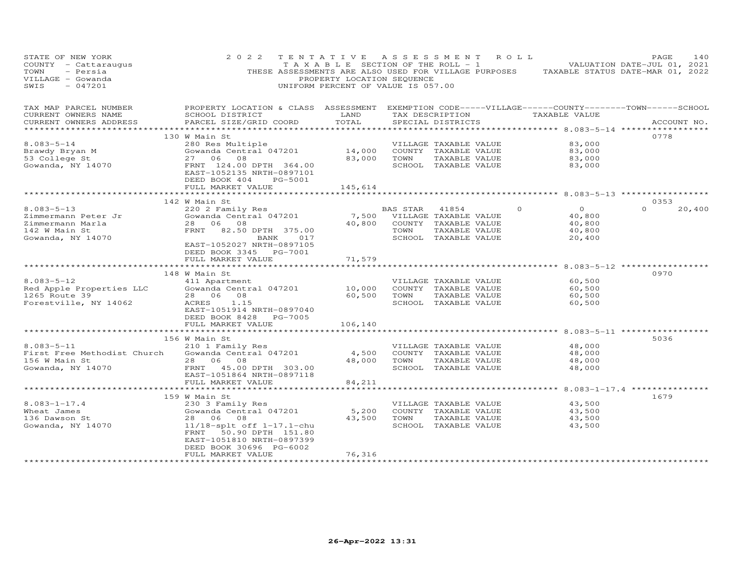| STATE OF NEW YORK<br>COUNTY - Cattaraugus<br>TOWN<br>- Persia<br>VILLAGE - Gowanda<br>SWIS<br>$-047201$ | 2 0 2 2<br>THESE ASSESSMENTS ARE ALSO USED FOR VILLAGE PURPOSES                                                                                                                              | TAXABLE SECTION OF THE ROLL - 1<br>PROPERTY LOCATION SEQUENCE<br>UNIFORM PERCENT OF VALUE IS 057.00 |                  | TENTATIVE ASSESSMENT                                                                            | R O L L | TAXABLE STATUS DATE-MAR 01, 2022                                                                                                      | PAGE<br>VALUATION DATE-JUL 01, 2021 | 140         |
|---------------------------------------------------------------------------------------------------------|----------------------------------------------------------------------------------------------------------------------------------------------------------------------------------------------|-----------------------------------------------------------------------------------------------------|------------------|-------------------------------------------------------------------------------------------------|---------|---------------------------------------------------------------------------------------------------------------------------------------|-------------------------------------|-------------|
| TAX MAP PARCEL NUMBER<br>CURRENT OWNERS NAME<br>CURRENT OWNERS ADDRESS                                  | PROPERTY LOCATION & CLASS ASSESSMENT<br>SCHOOL DISTRICT<br>PARCEL SIZE/GRID COORD<br>***************************                                                                             | LAND<br>TOTAL<br>***************                                                                    |                  | TAX DESCRIPTION<br>SPECIAL DISTRICTS                                                            |         | EXEMPTION CODE-----VILLAGE------COUNTY--------TOWN------SCHOOL<br>TAXABLE VALUE<br>********************* 8.083–5–14 ***************** |                                     | ACCOUNT NO. |
| $8.083 - 5 - 14$<br>Brawdy Bryan M<br>53 College St<br>Gowanda, NY 14070                                | 130 W Main St<br>280 Res Multiple<br>Gowanda Central 047201<br>27 06<br>08<br>FRNT 124.00 DPTH 364.00<br>EAST-1052135 NRTH-0897101<br>DEED BOOK 404<br>PG-5001<br>FULL MARKET VALUE          | 14,000<br>83,000<br>145,614                                                                         | TOWN             | VILLAGE TAXABLE VALUE<br>COUNTY TAXABLE VALUE<br>TAXABLE VALUE<br>SCHOOL TAXABLE VALUE          |         | 83,000<br>83,000<br>83,000<br>83,000                                                                                                  | 0778                                |             |
|                                                                                                         | ************************                                                                                                                                                                     |                                                                                                     |                  |                                                                                                 |         |                                                                                                                                       |                                     |             |
| $8.083 - 5 - 13$<br>Zimmermann Peter Jr<br>Zimmermann Marla<br>142 W Main St<br>Gowanda, NY 14070       | 142 W Main St<br>220 2 Family Res<br>Gowanda Central 047201<br>28 06 08<br>FRNT 82.50 DPTH 375.00<br>BANK<br>017<br>EAST-1052027 NRTH-0897105<br>DEED BOOK 3345<br>PG-7001                   | 7,500<br>40,800                                                                                     | BAS STAR<br>TOWN | 41854<br>VILLAGE TAXABLE VALUE<br>COUNTY TAXABLE VALUE<br>TAXABLE VALUE<br>SCHOOL TAXABLE VALUE | $\circ$ | $\overline{O}$<br>40,800<br>40,800<br>40,800<br>20,400                                                                                | 0353<br>$\Omega$                    | 20,400      |
|                                                                                                         | FULL MARKET VALUE                                                                                                                                                                            | 71,579                                                                                              |                  |                                                                                                 |         |                                                                                                                                       |                                     |             |
| $8.083 - 5 - 12$<br>Red Apple Properties LLC<br>1265 Route 39<br>Forestville, NY 14062                  | 148 W Main St<br>411 Apartment<br>Gowanda Central 047201<br>28 06 08<br>1.15<br>ACRES<br>EAST-1051914 NRTH-0897040<br>DEED BOOK 8428 PG-7005                                                 | 10,000<br>60,500                                                                                    | TOWN             | VILLAGE TAXABLE VALUE<br>COUNTY TAXABLE VALUE<br>TAXABLE VALUE<br>SCHOOL TAXABLE VALUE          |         | 60,500<br>60,500<br>60,500<br>60,500                                                                                                  | 0970                                |             |
|                                                                                                         | FULL MARKET VALUE                                                                                                                                                                            | 106,140                                                                                             |                  |                                                                                                 |         |                                                                                                                                       |                                     |             |
| $8.083 - 5 - 11$<br>First Free Methodist Church<br>156 W Main St<br>Gowanda, NY 14070                   | 156 W Main St<br>210 1 Family Res<br>Gowanda Central 047201<br>28 06<br>08<br>45.00 DPTH 303.00<br>FRNT<br>EAST-1051864 NRTH-0897118<br>FULL MARKET VALUE                                    | 4,500<br>48,000<br>84,211                                                                           | TOWN             | VILLAGE TAXABLE VALUE<br>COUNTY TAXABLE VALUE<br>TAXABLE VALUE<br>SCHOOL TAXABLE VALUE          |         | 48,000<br>48,000<br>48,000<br>48,000                                                                                                  | 5036                                |             |
|                                                                                                         | ************************                                                                                                                                                                     |                                                                                                     |                  |                                                                                                 |         | ********* 8.083-1-17.4 ***************                                                                                                |                                     |             |
| $8.083 - 1 - 17.4$<br>Wheat James<br>136 Dawson St<br>Gowanda, NY 14070                                 | 159 W Main St<br>230 3 Family Res<br>Gowanda Central 047201<br>28 06 08<br>$11/18$ -splt off $1-17.1$ -chu<br>FRNT 50.90 DPTH 151.80<br>EAST-1051810 NRTH-0897399<br>DEED BOOK 30696 PG-6002 | 5,200<br>43,500                                                                                     | TOWN             | VILLAGE TAXABLE VALUE<br>COUNTY TAXABLE VALUE<br>TAXABLE VALUE<br>SCHOOL TAXABLE VALUE          |         | 43,500<br>43,500<br>43,500<br>43,500                                                                                                  | 1679                                |             |
|                                                                                                         | FULL MARKET VALUE                                                                                                                                                                            | 76,316                                                                                              |                  |                                                                                                 |         |                                                                                                                                       |                                     |             |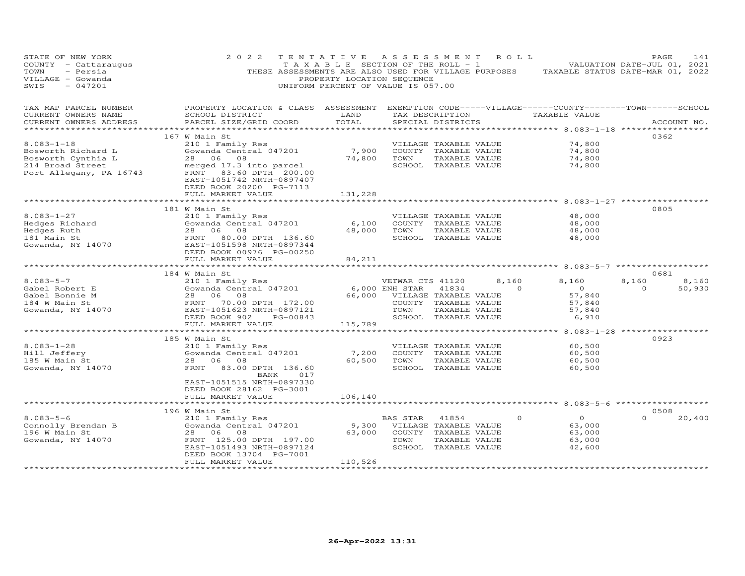| STATE OF NEW YORK<br>COUNTY - Cattaraugus<br>TOWN<br>- Persia<br>VILLAGE - Gowanda<br>$-047201$<br>SWIS                                                               | 2 0 2 2                                                                                                                                                                          | TENTATIVE ASSESSMENT ROLL<br>PROPERTY LOCATION SEQUENCE<br>UNIFORM PERCENT OF VALUE IS 057.00 |                                                          |                                                                                        |                   | TAXABLE SECTION OF THE ROLL - 1 VALUATION DATE-JUL 01, 2021<br>THESE ASSESSMENTS ARE ALSO USED FOR VILLAGE PURPOSES TAXABLE STATUS DATE-MAR 01, 2022 | PAGE                      | 141             |
|-----------------------------------------------------------------------------------------------------------------------------------------------------------------------|----------------------------------------------------------------------------------------------------------------------------------------------------------------------------------|-----------------------------------------------------------------------------------------------|----------------------------------------------------------|----------------------------------------------------------------------------------------|-------------------|------------------------------------------------------------------------------------------------------------------------------------------------------|---------------------------|-----------------|
| TAX MAP PARCEL NUMBER<br>CURRENT OWNERS NAME<br>CURRENT OWNERS ADDRESS                                                                                                | PROPERTY LOCATION & CLASS ASSESSMENT EXEMPTION CODE-----VILLAGE------COUNTY-------TOWN------SCHOOL<br>SCHOOL DISTRICT<br>PARCEL SIZE/GRID COORD<br>***************************** | <b>EXAMPLE THE STATE OF STATE OF STATE</b><br>TOTAL                                           |                                                          | SPECIAL DISTRICTS                                                                      |                   | TAX DESCRIPTION TAXABLE VALUE<br>*********** 8.083-1-18 *****************                                                                            |                           | ACCOUNT NO.     |
| $8.083 - 1 - 18$<br>Bosworth Richard L<br>wwww.cn Cynthia L<br>214 Broad Street<br>Port Aller                                                                         | 167 W Main St<br>210 1 Family Res<br>Gowanda Central 047201<br>28 06 08<br>merged 17.3 into parcel                                                                               | 7,900<br>74,800                                                                               | TOWN                                                     | VILLAGE TAXABLE VALUE<br>COUNTY TAXABLE VALUE<br>TAXABLE VALUE<br>SCHOOL TAXABLE VALUE |                   | 74,800<br>74,800<br>74,800<br>74,800                                                                                                                 | 0362                      |                 |
| Port Allegany, PA 16743                                                                                                                                               | FRNT 83.60 DPTH 200.00<br>EAST-1051742 NRTH-0897407<br>DEED BOOK 20200 PG-7113<br>FULL MARKET VALUE                                                                              | 131,228                                                                                       |                                                          |                                                                                        |                   |                                                                                                                                                      |                           |                 |
| $8.083 - 1 - 27$<br>Hedges Richard<br>Hedges Ruth<br>181 Main St<br>Gowanda, NY 14070                                                                                 | 181 W Main St<br>210 1 Family Res<br>Gowanda Central 047201<br>28 06 08<br>FRNT 80.00 DPTH 136.60<br>EAST-1051598 NRTH-0897344<br>DEED BOOK 00976 PG-00250<br>FULL MARKET VALUE  | 6,100<br>48,000<br>84,211                                                                     | TOWN                                                     | VILLAGE TAXABLE VALUE<br>COUNTY TAXABLE VALUE<br>TAXABLE VALUE<br>SCHOOL TAXABLE VALUE |                   | 48,000<br>48,000<br>48,000<br>48,000                                                                                                                 | 0805                      |                 |
|                                                                                                                                                                       | ******************************                                                                                                                                                   |                                                                                               |                                                          |                                                                                        |                   |                                                                                                                                                      |                           |                 |
| $8.083 - 5 - 7$<br>Cabel Robert E<br>Cowanda Central 047201<br>Gabel Bonnie M<br>184 W Main St<br>Gowanda, NY 14070<br>Gowanda, NY 14070<br>ERST-1051623 NRTH-0897121 | 184 W Main St<br>VETWAR CT<br>210 1 Family Res<br>Gowanda Central 047201 6,000 ENH STAR<br>DEED BOOK 902 PG-00843<br>FULL MARKET VALUE                                           | 115,789                                                                                       | VETWAR CTS 41120<br>66,000 VILLAGE TAXABLE VALUE<br>TOWN | 41834<br>COUNTY TAXABLE VALUE<br>TAXABLE VALUE<br>SCHOOL TAXABLE VALUE                 | 8,160<br>$\sim$ 0 | 8,160<br>$\overline{0}$<br>57,840<br>57,840<br>57,840<br>6,910                                                                                       | 0681<br>8,160<br>$\Omega$ | 8,160<br>50,930 |
|                                                                                                                                                                       | ************************                                                                                                                                                         | ***************                                                                               |                                                          |                                                                                        |                   | ************* 8.083-1-28 *****************                                                                                                           |                           |                 |
| $8.083 - 1 - 28$<br>Hill Jeffery<br>185 W Main St<br>Gowanda, NY 14070                                                                                                | 185 W Main St<br>210 1 Family Res<br>Gowanda Central 047201<br>28 06 08<br>FRNT 83.00 DPTH 136.60<br>017<br>BANK<br>EAST-1051515 NRTH-0897330                                    | 7,200<br>60,500                                                                               | TOWN                                                     | VILLAGE TAXABLE VALUE<br>COUNTY TAXABLE VALUE<br>TAXABLE VALUE<br>SCHOOL TAXABLE VALUE |                   | 60,500<br>60,500<br>60,500<br>60,500                                                                                                                 | 0923                      |                 |
|                                                                                                                                                                       | DEED BOOK 28162 PG-3001<br>FULL MARKET VALUE                                                                                                                                     | 106,140                                                                                       |                                                          |                                                                                        |                   |                                                                                                                                                      |                           |                 |
|                                                                                                                                                                       | 196 W Main St                                                                                                                                                                    | **************                                                                                |                                                          |                                                                                        |                   | **************************************6.083-5-6 *******************                                                                                  | 0508                      |                 |
| $8.083 - 5 - 6$<br>Connolly Brendan B<br>196 W Main St<br>Gowanda, NY 14070                                                                                           | 210 1 Family Res<br>Gowanda Central 047201<br>28 06<br>08<br>FRNT 125.00 DPTH 197.00<br>EAST-1051493 NRTH-0897124<br>DEED BOOK 13704 PG-7001<br>FULL MARKET VALUE                | 9,300<br>63,000<br>110,526                                                                    | BAS STAR<br>VILLAGE TAXABLE VALUE<br>TOWN                | 41854<br>COUNTY TAXABLE VALUE<br>TAXABLE VALUE<br>SCHOOL TAXABLE VALUE                 | $\Omega$          | $\overline{O}$<br>63,000<br>63,000<br>63,000<br>42,600                                                                                               | $\Omega$                  | 20,400          |
|                                                                                                                                                                       |                                                                                                                                                                                  | *****************                                                                             |                                                          |                                                                                        |                   |                                                                                                                                                      |                           |                 |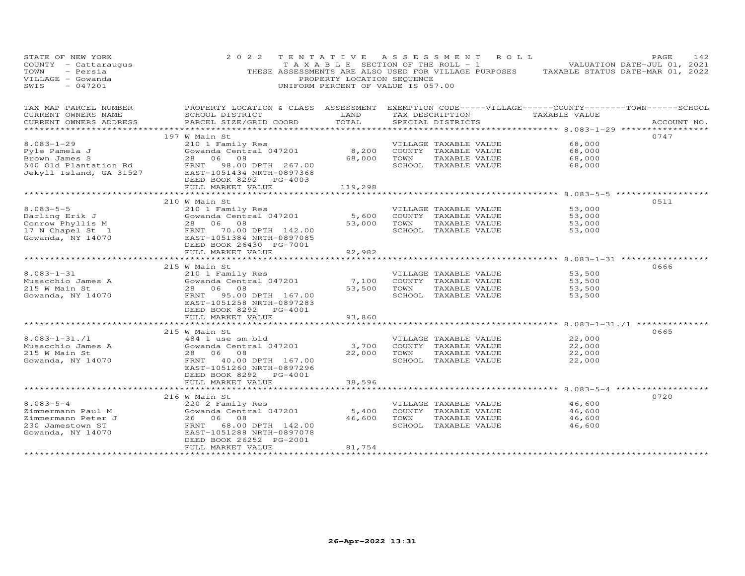| STATE OF NEW YORK<br>COUNTY - Cattaraugus<br>- Persia<br>TOWN<br>VILLAGE - Gowanda<br>$-047201$<br>SWIS             | 2 0 2 2                                                                                            | PROPERTY LOCATION SEQUENCE<br>UNIFORM PERCENT OF VALUE IS 057.00                                                                |             | TENTATIVE ASSESSMENT ROLL                          | T A X A B L E SECTION OF THE ROLL - 1 VALUATION DATE-JUL 01, 2021<br>THESE ASSESSMENTS ARE ALSO USED FOR VILLAGE PURPOSES TAXABLE STATUS DATE-MAR 01, 2022 | PAGE<br>142 |
|---------------------------------------------------------------------------------------------------------------------|----------------------------------------------------------------------------------------------------|---------------------------------------------------------------------------------------------------------------------------------|-------------|----------------------------------------------------|------------------------------------------------------------------------------------------------------------------------------------------------------------|-------------|
| TAX MAP PARCEL NUMBER                                                                                               | PROPERTY LOCATION & CLASS ASSESSMENT EXEMPTION CODE-----VILLAGE------COUNTY-------TOWN------SCHOOL |                                                                                                                                 |             |                                                    |                                                                                                                                                            |             |
| CURRENT OWNERS NAME<br>CURRENT OWNERS ADDRESS                                                                       | SCHOOL DISTRICT<br>PARCEL SIZE/GRID COORD                                                          | <b>EXAMPLE SERVICE SERVICE SERVICE SERVICE SERVICE SERVICE SERVICE SERVICE SERVICE SERVICE SERVICE SERVICE SERVICE</b><br>TOTAL |             | TAX DESCRIPTION TAXABLE VALUE<br>SPECIAL DISTRICTS |                                                                                                                                                            | ACCOUNT NO. |
|                                                                                                                     |                                                                                                    |                                                                                                                                 |             |                                                    |                                                                                                                                                            |             |
|                                                                                                                     | 197 W Main St                                                                                      |                                                                                                                                 |             |                                                    |                                                                                                                                                            | 0747        |
| $8.083 - 1 - 29$                                                                                                    | 210 1 Family Res                                                                                   |                                                                                                                                 |             | VILLAGE TAXABLE VALUE                              | 68,000                                                                                                                                                     |             |
| Pyle Pamela J                                                                                                       | Sowanda Central 047201                                                                             |                                                                                                                                 | 68,000 TOWN | 8,200 COUNTY TAXABLE VALUE                         | 68,000                                                                                                                                                     |             |
| Brown James S<br>540 Old Plantation Rd                                                                              | 28 06 08<br>FRNT 98.00 DPTH 267.00                                                                 |                                                                                                                                 |             | TAXABLE VALUE<br>SCHOOL TAXABLE VALUE              | 68,000<br>68,000                                                                                                                                           |             |
| Jekyll Island, GA 31527                                                                                             | EAST-1051434 NRTH-0897368<br>DEED BOOK 8292 PG-4003                                                |                                                                                                                                 |             |                                                    |                                                                                                                                                            |             |
|                                                                                                                     | FULL MARKET VALUE                                                                                  | 119,298                                                                                                                         |             |                                                    |                                                                                                                                                            |             |
|                                                                                                                     |                                                                                                    |                                                                                                                                 |             |                                                    |                                                                                                                                                            |             |
| $8.083 - 5 - 5$                                                                                                     | 210 W Main St<br>210 1 Family Res                                                                  |                                                                                                                                 |             | VILLAGE TAXABLE VALUE                              | 53,000                                                                                                                                                     | 0511        |
|                                                                                                                     | Zio I family Res<br>Gowanda Central 047201                                                         |                                                                                                                                 |             | 5,600 COUNTY TAXABLE VALUE                         | 53,000                                                                                                                                                     |             |
|                                                                                                                     |                                                                                                    |                                                                                                                                 |             | 53,000 TOWN TAXABLE VALUE                          | 53,000                                                                                                                                                     |             |
|                                                                                                                     |                                                                                                    |                                                                                                                                 |             | SCHOOL TAXABLE VALUE                               | 53,000                                                                                                                                                     |             |
| Darling Erik J<br>Conrow Phyllis M<br>17 N Chapel St 1 (1994) ERNT 70.00 DPTH 142.00<br>Gowanda, NY 14070 (1997085) |                                                                                                    |                                                                                                                                 |             |                                                    |                                                                                                                                                            |             |
|                                                                                                                     | DEED BOOK 26430 PG-7001                                                                            |                                                                                                                                 |             |                                                    |                                                                                                                                                            |             |
|                                                                                                                     | FULL MARKET VALUE<br>*************************                                                     | 92,982                                                                                                                          |             |                                                    |                                                                                                                                                            |             |
|                                                                                                                     | 215 W Main St                                                                                      | **************                                                                                                                  |             |                                                    |                                                                                                                                                            | 0666        |
| $8.083 - 1 - 31$                                                                                                    | 210 1 Family Res                                                                                   |                                                                                                                                 |             | VILLAGE TAXABLE VALUE                              | 53,500                                                                                                                                                     |             |
|                                                                                                                     | 210 1 Family Res<br>Gowanda Central 047201                                                         | 7,100                                                                                                                           |             | COUNTY TAXABLE VALUE                               | 53,500                                                                                                                                                     |             |
| Musacchio James A<br>215 W Main St<br>215 W Main St                                                                 | 28 06 08                                                                                           |                                                                                                                                 |             | 53,500 TOWN TAXABLE VALUE                          | 53,500                                                                                                                                                     |             |
| Gowanda, NY 14070                                                                                                   | FRNT 95.00 DPTH 167.00                                                                             |                                                                                                                                 |             | SCHOOL TAXABLE VALUE                               | 53,500                                                                                                                                                     |             |
|                                                                                                                     | EAST-1051258 NRTH-0897283                                                                          |                                                                                                                                 |             |                                                    |                                                                                                                                                            |             |
|                                                                                                                     | DEED BOOK 8292 PG-4001                                                                             |                                                                                                                                 |             |                                                    |                                                                                                                                                            |             |
|                                                                                                                     | FULL MARKET VALUE<br>*************************                                                     | 93,860<br>*************                                                                                                         |             |                                                    |                                                                                                                                                            |             |
|                                                                                                                     | 215 W Main St                                                                                      |                                                                                                                                 |             |                                                    |                                                                                                                                                            | 0665        |
| $8.083 - 1 - 31.71$                                                                                                 | 484 1 use sm bld                                                                                   |                                                                                                                                 |             | VILLAGE TAXABLE VALUE                              | 22,000                                                                                                                                                     |             |
| Musacchio James A                                                                                                   | Gowanda Central 047201                                                                             | 3,700                                                                                                                           |             | COUNTY TAXABLE VALUE                               | 22,000                                                                                                                                                     |             |
| 215 W Main St                                                                                                       | 28 06 08                                                                                           |                                                                                                                                 |             | 22,000 TOWN TAXABLE VALUE                          | 22,000                                                                                                                                                     |             |
| Gowanda, NY 14070                                                                                                   | FRNT 40.00 DPTH 167.00                                                                             |                                                                                                                                 |             | SCHOOL TAXABLE VALUE                               | 22,000                                                                                                                                                     |             |
|                                                                                                                     | EAST-1051260 NRTH-0897296                                                                          |                                                                                                                                 |             |                                                    |                                                                                                                                                            |             |
|                                                                                                                     | DEED BOOK 8292 PG-4001                                                                             |                                                                                                                                 |             |                                                    |                                                                                                                                                            |             |
|                                                                                                                     | FULL MARKET VALUE<br>*************************                                                     | 38,596                                                                                                                          |             |                                                    |                                                                                                                                                            |             |
|                                                                                                                     | 216 W Main St                                                                                      |                                                                                                                                 |             |                                                    |                                                                                                                                                            | 0720        |
| $8.083 - 5 - 4$                                                                                                     | 220 2 Family Res                                                                                   |                                                                                                                                 |             | VILLAGE TAXABLE VALUE                              | 46,600                                                                                                                                                     |             |
| Zimmermann Paul M                                                                                                   | Gowanda Central 047201                                                                             | 5,400                                                                                                                           |             | COUNTY TAXABLE VALUE                               | 46,600                                                                                                                                                     |             |
| Zimmermann Peter J                                                                                                  | 26 06 08                                                                                           |                                                                                                                                 |             | 46,600 TOWN TAXABLE VALUE                          | 46,600                                                                                                                                                     |             |
| 230 Jamestown ST                                                                                                    | FRNT 68.00 DPTH 142.00                                                                             |                                                                                                                                 |             | SCHOOL TAXABLE VALUE                               | 46,600                                                                                                                                                     |             |
| Gowanda, NY 14070                                                                                                   | EAST-1051288 NRTH-0897078                                                                          |                                                                                                                                 |             |                                                    |                                                                                                                                                            |             |
|                                                                                                                     | DEED BOOK 26252 PG-2001                                                                            |                                                                                                                                 |             |                                                    |                                                                                                                                                            |             |
|                                                                                                                     | FULL MARKET VALUE                                                                                  | 81,754<br>******************                                                                                                    |             |                                                    |                                                                                                                                                            |             |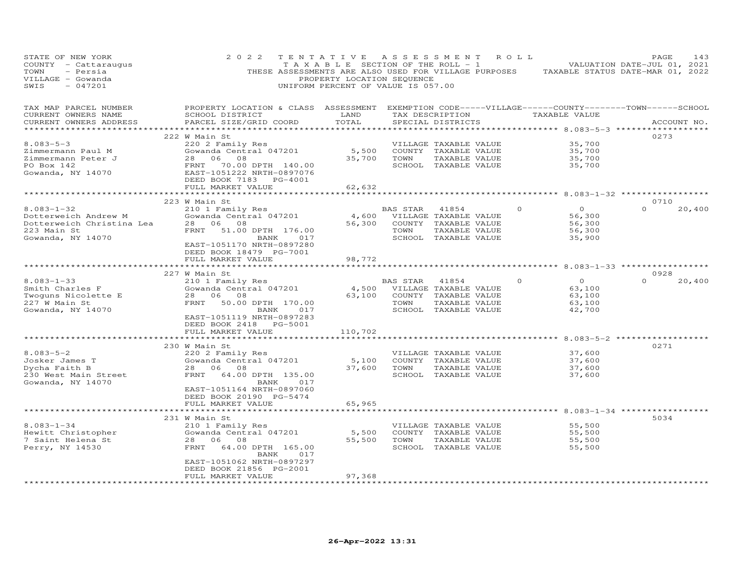| STATE OF NEW YORK<br>COUNTY - Cattaraugus<br>TOWN<br>- Persia<br>VILLAGE - Gowanda<br>SWIS<br>$-047201$                           | 2 0 2 2                                                                                                                                                                                                               | TENTATIVE<br>T A X A B L E SECTION OF THE ROLL - 1<br>PROPERTY LOCATION SEQUENCE<br>UNIFORM PERCENT OF VALUE IS 057.00 |                        | A S S E S S M E N T                                                                                                       | R O L L  | THESE ASSESSMENTS ARE ALSO USED FOR VILLAGE PURPOSES TAXABLE STATUS DATE-MAR 01, 2022 | PAGE<br>VALUATION DATE-JUL 01, 2021 | 143    |
|-----------------------------------------------------------------------------------------------------------------------------------|-----------------------------------------------------------------------------------------------------------------------------------------------------------------------------------------------------------------------|------------------------------------------------------------------------------------------------------------------------|------------------------|---------------------------------------------------------------------------------------------------------------------------|----------|---------------------------------------------------------------------------------------|-------------------------------------|--------|
| TAX MAP PARCEL NUMBER<br>CURRENT OWNERS NAME<br>CURRENT OWNERS ADDRESS                                                            | PROPERTY LOCATION & CLASS ASSESSMENT EXEMPTION CODE-----VILLAGE------COUNTY-------TOWN------SCHOOL<br>SCHOOL DISTRICT<br>PARCEL SIZE/GRID COORD                                                                       | LAND<br>TOTAL                                                                                                          |                        | SPECIAL DISTRICTS                                                                                                         |          | TAX DESCRIPTION TAXABLE VALUE                                                         | ACCOUNT NO.                         |        |
| $8.083 - 5 - 3$<br>Zimmermann Paul M<br>Zimmermann Peter J<br>PO Box 142<br>Gowanda, NY 14070                                     | 222 W Main St<br>220 2 Family Res<br>Gowanda Central 047201<br>28 06<br>08<br>FRNT 70.00 DPTH 140.00<br>EAST-1051222 NRTH-0897076<br>DEED BOOK 7183 PG-4001<br>FULL MARKET VALUE                                      | 62,632                                                                                                                 | 35,700 TOWN            | VILLAGE TAXABLE VALUE<br>5,500 COUNTY TAXABLE VALUE<br>TAXABLE VALUE<br>SCHOOL TAXABLE VALUE                              |          | 35,700<br>35,700<br>35,700<br>35,700                                                  | 0273                                |        |
|                                                                                                                                   |                                                                                                                                                                                                                       |                                                                                                                        |                        |                                                                                                                           |          |                                                                                       |                                     |        |
| $8.083 - 1 - 32$<br>Dotterweich Andrew M<br>Dotterweich Christina Lea<br>223 Main St<br>Gowanda, NY 14070                         | 223 W Main St<br>210 1 Family Res<br>Gowanda Central 047201<br>28 06 08<br>FRNT 51.00 DPTH 176.00<br>017<br>BANK<br>EAST-1051170 NRTH-0897280<br>DEED BOOK 18479 PG-7001                                              |                                                                                                                        | BAS STAR 41854<br>TOWN | 4,600 VILLAGE TAXABLE VALUE<br>56,300 COUNTY TAXABLE VALUE<br>TAXABLE VALUE<br>SCHOOL TAXABLE VALUE                       | $\Omega$ | $\Omega$<br>56,300<br>56,300<br>56,300<br>35,900                                      | 0710<br>$\Omega$                    | 20,400 |
|                                                                                                                                   | FULL MARKET VALUE                                                                                                                                                                                                     | 98,772                                                                                                                 |                        |                                                                                                                           |          |                                                                                       |                                     |        |
|                                                                                                                                   |                                                                                                                                                                                                                       | * * * * * * * * * *                                                                                                    |                        |                                                                                                                           |          | ******************** 8.083-1-33 ****************                                      |                                     |        |
| $8.083 - 1 - 33$<br>Smith Charles F<br>Twoguns Nicolette E<br>227 W Main St<br>Gowanda, NY 14070                                  | 227 W Main St<br>210 1 Family Res<br>Gowanda Central 047201<br>28 06 08<br>FRNT 50.00 DPTH 170.00<br>017<br>BANK<br>EAST-1051119 NRTH-0897283<br>DEED BOOK 2418 PG-5001<br>FULL MARKET VALUE                          | 63,100<br>110,702                                                                                                      | BAS STAR<br>TOWN       | 41854<br>4,500 VILLAGE TAXABLE VALUE<br>COUNTY TAXABLE VALUE<br>TAXABLE VALUE<br>SCHOOL TAXABLE VALUE                     | $\Omega$ | $\overline{O}$<br>63,100<br>63,100<br>63,100<br>42,700                                | 0928<br>$\Omega$                    | 20,400 |
|                                                                                                                                   |                                                                                                                                                                                                                       |                                                                                                                        |                        |                                                                                                                           |          | ********* 8.083-5-2 ***********                                                       |                                     |        |
| $8.083 - 5 - 2$<br>Josker James T<br>Dycha Faith B<br>Dycha Faith B<br>230 West Main Street<br>Gowanda, NY 14070                  | 230 W Main St<br>220 2 Family Res<br>Gowanda Central 047201<br>28 06 08<br>FRNT 64.00 DPTH 135.00<br>017<br>BANK<br>EAST-1051164 NRTH-0897060<br>DEED BOOK 20190 PG-5474<br>FULL MARKET VALUE                         | 65,965                                                                                                                 | 37,600 TOWN            | VILLAGE TAXABLE VALUE<br>5,100 COUNTY TAXABLE VALUE<br>37,600 TOWN TAXABLE VALUE<br>TAXABLE VALUE<br>SCHOOL TAXABLE VALUE |          | 37,600<br>37,600<br>37,600<br>37,600                                                  | 0271                                |        |
|                                                                                                                                   | ************************                                                                                                                                                                                              |                                                                                                                        |                        |                                                                                                                           |          | ****************************** 8.083-1-34 ***********                                 |                                     |        |
| $8.083 - 1 - 34$<br>8.083-1-Ja<br>Hewitt Christopher<br>7 Saint Helena St<br>Willsam<br>Perry, NY 14530<br>********************** | 231 W Main St<br>210 1 Family Res<br>Gowanda Central 047201<br>28 06 08<br>FRNT 64.00 DPTH 165.00<br>BANK<br>017<br>EAST-1051062 NRTH-0897297<br>DEED BOOK 21856 PG-2001<br>FULL MARKET VALUE<br>******************** | 5,500<br>55,500<br>97,368<br>*******************                                                                       | TOWN                   | VILLAGE TAXABLE VALUE<br>COUNTY TAXABLE VALUE<br>TAXABLE VALUE<br>SCHOOL TAXABLE VALUE                                    |          | 55,500<br>55,500<br>55,500<br>55,500                                                  | 5034                                |        |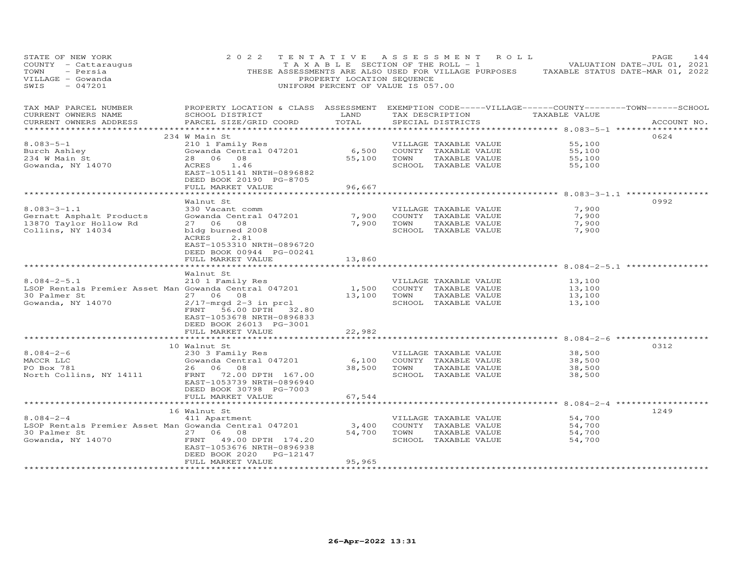| STATE OF NEW YORK<br>COUNTY - Cattaraugus<br>TOWN<br>- Persia<br>VILLAGE - Gowanda<br>SWIS<br>$-047201$ | 2 0 2 2                                                                           | TENTATIVE ASSESSMENT<br>T A X A B L E SECTION OF THE ROLL - 1<br>PROPERTY LOCATION SEQUENCE<br>UNIFORM PERCENT OF VALUE IS 057.00 |      | THESE ASSESSMENTS ARE ALSO USED FOR VILLAGE PURPOSES | R O L L                                                                                         | PAGE<br>144<br>VALUATION DATE-JUL 01, 2021<br>TAXABLE STATUS DATE-MAR 01, 2022 |
|---------------------------------------------------------------------------------------------------------|-----------------------------------------------------------------------------------|-----------------------------------------------------------------------------------------------------------------------------------|------|------------------------------------------------------|-------------------------------------------------------------------------------------------------|--------------------------------------------------------------------------------|
| TAX MAP PARCEL NUMBER<br>CURRENT OWNERS NAME<br>CURRENT OWNERS ADDRESS                                  | PROPERTY LOCATION & CLASS ASSESSMENT<br>SCHOOL DISTRICT<br>PARCEL SIZE/GRID COORD | LAND<br>TOTAL                                                                                                                     |      | SPECIAL DISTRICTS                                    | EXEMPTION CODE-----VILLAGE------COUNTY--------TOWN------SCHOOL<br>TAX DESCRIPTION TAXABLE VALUE | ACCOUNT NO.                                                                    |
|                                                                                                         | 234 W Main St                                                                     |                                                                                                                                   |      |                                                      |                                                                                                 | 0624                                                                           |
| $8.083 - 5 - 1$                                                                                         | 210 1 Family Res                                                                  |                                                                                                                                   |      | VILLAGE TAXABLE VALUE                                | 55,100                                                                                          |                                                                                |
| Burch Ashley                                                                                            | Gowanda Central 047201                                                            | 6,500                                                                                                                             |      | COUNTY TAXABLE VALUE                                 | 55,100                                                                                          |                                                                                |
| 234 W Main St                                                                                           | 28 06<br>08                                                                       | 55,100                                                                                                                            | TOWN | TAXABLE VALUE                                        | 55,100                                                                                          |                                                                                |
| Gowanda, NY 14070                                                                                       | 1.46<br>ACRES<br>EAST-1051141 NRTH-0896882<br>DEED BOOK 20190 PG-8705             |                                                                                                                                   |      | SCHOOL TAXABLE VALUE                                 | 55,100                                                                                          |                                                                                |
|                                                                                                         | FULL MARKET VALUE                                                                 | 96,667                                                                                                                            |      |                                                      |                                                                                                 |                                                                                |
|                                                                                                         | Walnut St                                                                         |                                                                                                                                   |      |                                                      | $8.083 - 3 - 1.1$                                                                               | 0992                                                                           |
| $8.083 - 3 - 1.1$                                                                                       | 330 Vacant comm                                                                   |                                                                                                                                   |      | VILLAGE TAXABLE VALUE                                | 7,900                                                                                           |                                                                                |
| Gernatt Asphalt Products                                                                                | Gowanda Central 047201                                                            | 7,900                                                                                                                             |      | COUNTY TAXABLE VALUE                                 | 7,900                                                                                           |                                                                                |
| 13870 Taylor Hollow Rd                                                                                  | 27 06 08                                                                          | 7,900                                                                                                                             | TOWN | TAXABLE VALUE                                        | 7,900                                                                                           |                                                                                |
| Collins, NY 14034                                                                                       | bldg burned 2008<br>ACRES<br>2.81                                                 |                                                                                                                                   |      | SCHOOL TAXABLE VALUE                                 | 7,900                                                                                           |                                                                                |
|                                                                                                         | EAST-1053310 NRTH-0896720<br>DEED BOOK 00944 PG-00241                             |                                                                                                                                   |      |                                                      |                                                                                                 |                                                                                |
|                                                                                                         | FULL MARKET VALUE                                                                 | 13,860                                                                                                                            |      |                                                      |                                                                                                 |                                                                                |
|                                                                                                         |                                                                                   |                                                                                                                                   |      |                                                      |                                                                                                 |                                                                                |
|                                                                                                         | Walnut St                                                                         |                                                                                                                                   |      |                                                      |                                                                                                 |                                                                                |
| $8.084 - 2 - 5.1$                                                                                       | 210 1 Family Res                                                                  |                                                                                                                                   |      | VILLAGE TAXABLE VALUE                                | 13,100                                                                                          |                                                                                |
| LSOP Rentals Premier Asset Man Gowanda Central 047201                                                   |                                                                                   | 1,500                                                                                                                             |      | COUNTY TAXABLE VALUE                                 | 13,100                                                                                          |                                                                                |
| 30 Palmer St<br>Gowanda, NY 14070                                                                       | 27 06 08<br>$2/17$ -mrqd 2-3 in prcl                                              | 13,100                                                                                                                            | TOWN | TAXABLE VALUE<br>SCHOOL TAXABLE VALUE                | 13,100                                                                                          |                                                                                |
|                                                                                                         | 56.00 DPTH 32.80<br>FRNT                                                          |                                                                                                                                   |      |                                                      | 13,100                                                                                          |                                                                                |
|                                                                                                         | EAST-1053678 NRTH-0896833                                                         |                                                                                                                                   |      |                                                      |                                                                                                 |                                                                                |
|                                                                                                         | DEED BOOK 26013 PG-3001                                                           |                                                                                                                                   |      |                                                      |                                                                                                 |                                                                                |
|                                                                                                         | FULL MARKET VALUE                                                                 | 22,982                                                                                                                            |      |                                                      |                                                                                                 |                                                                                |
|                                                                                                         | **********************                                                            |                                                                                                                                   |      |                                                      | ********* 8.084-2-6 ***************                                                             |                                                                                |
|                                                                                                         | 10 Walnut St                                                                      |                                                                                                                                   |      |                                                      |                                                                                                 | 0312                                                                           |
| $8.084 - 2 - 6$<br>MACCR LLC                                                                            | 230 3 Family Res<br>Gowanda Central 047201                                        | 6,100                                                                                                                             |      | VILLAGE TAXABLE VALUE<br>COUNTY TAXABLE VALUE        | 38,500<br>38,500                                                                                |                                                                                |
| PO Box 781                                                                                              | 26 06 08                                                                          | 38,500                                                                                                                            | TOWN | TAXABLE VALUE                                        | 38,500                                                                                          |                                                                                |
| North Collins, NY 14111                                                                                 | FRNT 72.00 DPTH 167.00                                                            |                                                                                                                                   |      | SCHOOL TAXABLE VALUE                                 | 38,500                                                                                          |                                                                                |
|                                                                                                         | EAST-1053739 NRTH-0896940                                                         |                                                                                                                                   |      |                                                      |                                                                                                 |                                                                                |
|                                                                                                         | DEED BOOK 30798 PG-7003                                                           |                                                                                                                                   |      |                                                      |                                                                                                 |                                                                                |
|                                                                                                         | FULL MARKET VALUE                                                                 | 67,544                                                                                                                            |      |                                                      |                                                                                                 |                                                                                |
|                                                                                                         | **************************                                                        |                                                                                                                                   |      |                                                      |                                                                                                 |                                                                                |
| $8.084 - 2 - 4$                                                                                         | 16 Walnut St<br>411 Apartment                                                     |                                                                                                                                   |      | VILLAGE TAXABLE VALUE                                | 54,700                                                                                          | 1249                                                                           |
| LSOP Rentals Premier Asset Man Gowanda Central 047201                                                   |                                                                                   | 3,400                                                                                                                             |      | COUNTY TAXABLE VALUE                                 | 54,700                                                                                          |                                                                                |
| 30 Palmer St                                                                                            | 27 06 08                                                                          | 54,700                                                                                                                            | TOWN | TAXABLE VALUE                                        | 54,700                                                                                          |                                                                                |
| Gowanda, NY 14070                                                                                       | FRNT 49.00 DPTH 174.20                                                            |                                                                                                                                   |      | SCHOOL TAXABLE VALUE                                 | 54,700                                                                                          |                                                                                |
|                                                                                                         | EAST-1053676 NRTH-0896938                                                         |                                                                                                                                   |      |                                                      |                                                                                                 |                                                                                |
|                                                                                                         | PG-12147<br>DEED BOOK 2020                                                        |                                                                                                                                   |      |                                                      |                                                                                                 |                                                                                |
|                                                                                                         | FULL MARKET VALUE                                                                 | 95,965                                                                                                                            |      |                                                      |                                                                                                 |                                                                                |
|                                                                                                         |                                                                                   | ****************                                                                                                                  |      |                                                      |                                                                                                 |                                                                                |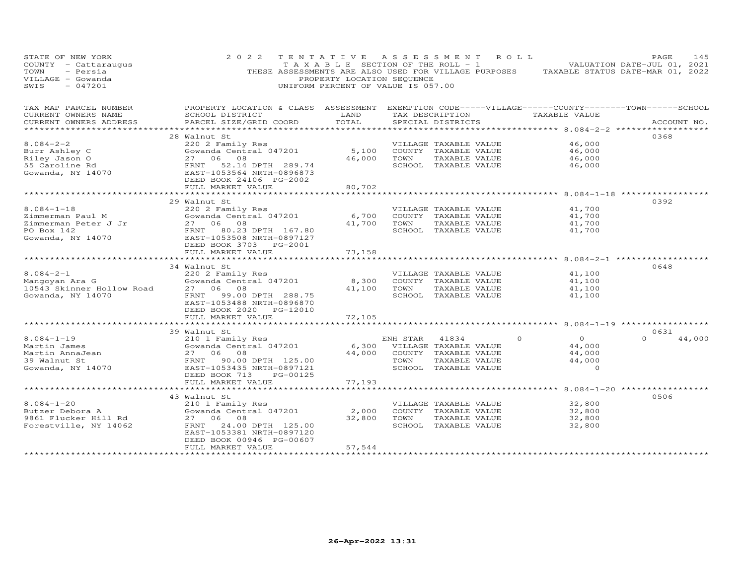| STATE OF NEW YORK<br>COUNTY - Cattaraugus<br>TOWN<br>- Persia<br>VILLAGE - Gowanda<br>$-047201$<br>SWIS | 2 0 2 2                                                                                                                                                                    | PROPERTY LOCATION SEQUENCE<br>UNIFORM PERCENT OF VALUE IS 057.00 |             | TENTATIVE ASSESSMENT ROLL                          | TAXABLE SECTION OF THE ROLL - 1 VALUATION DATE-JUL 01, 2021<br>THESE ASSESSMENTS ARE ALSO USED FOR VILLAGE PURPOSES TAXABLE STATUS DATE-MAR 01, 2022 | PAGE<br>145                |
|---------------------------------------------------------------------------------------------------------|----------------------------------------------------------------------------------------------------------------------------------------------------------------------------|------------------------------------------------------------------|-------------|----------------------------------------------------|------------------------------------------------------------------------------------------------------------------------------------------------------|----------------------------|
| TAX MAP PARCEL NUMBER<br>CURRENT OWNERS NAME<br>CURRENT OWNERS ADDRESS                                  | PROPERTY LOCATION & CLASS ASSESSMENT EXEMPTION CODE-----VILLAGE------COUNTY-------TOWN------SCHOOL<br><b>Example 18 TEAND</b><br>SCHOOL DISTRICT<br>PARCEL SIZE/GRID COORD | TOTAL                                                            |             | TAX DESCRIPTION TAXABLE VALUE<br>SPECIAL DISTRICTS |                                                                                                                                                      | ACCOUNT NO.                |
|                                                                                                         |                                                                                                                                                                            |                                                                  |             |                                                    | ************ 8.084-2-2 *******************                                                                                                           |                            |
|                                                                                                         | 28 Walnut St                                                                                                                                                               |                                                                  |             |                                                    |                                                                                                                                                      | 0368                       |
| $8.084 - 2 - 2$                                                                                         | 220 2 Family Res                                                                                                                                                           |                                                                  |             | VILLAGE TAXABLE VALUE                              | 46,000                                                                                                                                               |                            |
|                                                                                                         | Gowanda Central 047201                                                                                                                                                     | 5,100                                                            |             | COUNTY TAXABLE VALUE                               | 46,000                                                                                                                                               |                            |
|                                                                                                         | 27 06 08                                                                                                                                                                   |                                                                  | 46,000 TOWN | TAXABLE VALUE                                      | 46,000                                                                                                                                               |                            |
| Burr Ashley C<br>Riley Jason O<br>55 Caroline Rd<br>Gowanda, NY 14070                                   | FRNT 52.14 DPTH 289.74<br>EAST-1053564 NRTH-0896873<br>DEED BOOK 24106 PG-2002                                                                                             |                                                                  |             | SCHOOL TAXABLE VALUE                               | 46,000                                                                                                                                               |                            |
|                                                                                                         | FULL MARKET VALUE                                                                                                                                                          | 80,702<br>************                                           |             |                                                    | ********************* 8.084-1-18 **************                                                                                                      |                            |
|                                                                                                         | 29 Walnut St                                                                                                                                                               |                                                                  |             |                                                    |                                                                                                                                                      | 0392                       |
| $8.084 - 1 - 18$                                                                                        | 220 2 Family Res                                                                                                                                                           |                                                                  |             | VILLAGE TAXABLE VALUE                              | 41,700                                                                                                                                               |                            |
| Zimmerman Paul M                                                                                        | Gowanda Central 047201                                                                                                                                                     | 6,700                                                            |             | COUNTY TAXABLE VALUE                               | 41,700                                                                                                                                               |                            |
|                                                                                                         |                                                                                                                                                                            |                                                                  |             | 41,700 TOWN TAXABLE VALUE                          | 41,700                                                                                                                                               |                            |
|                                                                                                         |                                                                                                                                                                            |                                                                  |             | SCHOOL TAXABLE VALUE                               | 41,700                                                                                                                                               |                            |
|                                                                                                         | DEED BOOK 3703 PG-2001<br>FULL MARKET VALUE                                                                                                                                | 73,158                                                           |             |                                                    |                                                                                                                                                      |                            |
|                                                                                                         |                                                                                                                                                                            |                                                                  |             |                                                    |                                                                                                                                                      |                            |
|                                                                                                         | 34 Walnut St                                                                                                                                                               |                                                                  |             |                                                    |                                                                                                                                                      | 0648                       |
| $8.084 - 2 - 1$                                                                                         | 220 2 Family Res                                                                                                                                                           |                                                                  |             | VILLAGE TAXABLE VALUE                              | 41,100                                                                                                                                               |                            |
| 8.084-2-1<br>Mangoyan Ara G                                                                             | ZZU Z Family Res<br>Gowanda Central 047201                                                                                                                                 | 8,300                                                            |             | COUNTY TAXABLE VALUE                               | 41,100                                                                                                                                               |                            |
| Mangoyan Ara G<br>10543 Skinner Hollow Road<br>Gowanda, NY 14070                                        | 27 06 08                                                                                                                                                                   |                                                                  |             | 41,100 TOWN TAXABLE VALUE                          | 41,100                                                                                                                                               |                            |
| Gowanda, NY 14070                                                                                       | FRNT 99.00 DPTH 288.75<br>EAST-1053488 NRTH-0896870<br>DEED BOOK 2020 PG-12010                                                                                             |                                                                  |             | SCHOOL TAXABLE VALUE                               | 41,100                                                                                                                                               |                            |
|                                                                                                         | FULL MARKET VALUE<br>**************************                                                                                                                            | 72,105                                                           |             |                                                    |                                                                                                                                                      |                            |
|                                                                                                         |                                                                                                                                                                            |                                                                  |             |                                                    |                                                                                                                                                      |                            |
| $8.084 - 1 - 19$                                                                                        | 39 Walnut St                                                                                                                                                               |                                                                  | ENH STAR    | 41834                                              | $\Omega$<br>$\Omega$                                                                                                                                 | 0631<br>$\Omega$<br>44,000 |
|                                                                                                         | 210 1 Family Res<br>Gowanda Central 047201                                                                                                                                 |                                                                  |             | 6,300 VILLAGE TAXABLE VALUE                        | 44,000                                                                                                                                               |                            |
|                                                                                                         |                                                                                                                                                                            |                                                                  |             | 44,000 COUNTY TAXABLE VALUE                        | 44,000                                                                                                                                               |                            |
|                                                                                                         |                                                                                                                                                                            |                                                                  | TOWN        | TAXABLE VALUE                                      | 44,000                                                                                                                                               |                            |
|                                                                                                         | Martin James<br>Martin AnnaJean<br>39 Walnut St<br>Gowanda, NY 14070<br>ERST-1053435 NRTH-0897121<br>MERST-1053435 NRTH-0897121                                            |                                                                  |             | SCHOOL TAXABLE VALUE                               | $\circ$                                                                                                                                              |                            |
|                                                                                                         | DEED BOOK 713<br>PG-00125                                                                                                                                                  |                                                                  |             |                                                    |                                                                                                                                                      |                            |
|                                                                                                         | FULL MARKET VALUE                                                                                                                                                          | 77,193                                                           |             |                                                    |                                                                                                                                                      |                            |
|                                                                                                         | ************************                                                                                                                                                   |                                                                  |             |                                                    |                                                                                                                                                      |                            |
|                                                                                                         | 43 Walnut St                                                                                                                                                               |                                                                  |             |                                                    |                                                                                                                                                      | 0506                       |
| $8.084 - 1 - 20$                                                                                        | 210 1 Family Res                                                                                                                                                           |                                                                  |             | VILLAGE TAXABLE VALUE                              | 32,800                                                                                                                                               |                            |
| Butzer Debora A                                                                                         | Zio I family Res<br>Gowanda Central 047201                                                                                                                                 |                                                                  |             | 2,000 COUNTY TAXABLE VALUE                         | 32,800                                                                                                                                               |                            |
| 9861 Flucker Hill Rd                                                                                    | 27 06 08                                                                                                                                                                   |                                                                  |             | 32,800 TOWN TAXABLE VALUE                          | 32,800                                                                                                                                               |                            |
| Forestville, NY 14062                                                                                   | 24.00 DPTH 125.00<br>FRNT<br>EAST-1053381 NRTH-0897120<br>DEED BOOK 00946 PG-00607                                                                                         |                                                                  |             | SCHOOL TAXABLE VALUE                               | 32,800                                                                                                                                               |                            |
| ***********************                                                                                 | FULL MARKET VALUE<br>************************                                                                                                                              | 57,544<br>******************                                     |             |                                                    |                                                                                                                                                      |                            |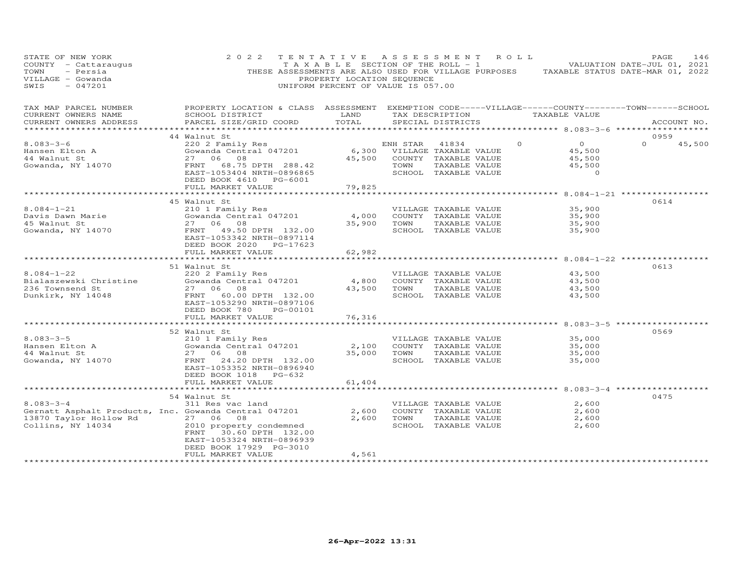| STATE OF NEW YORK<br>COUNTY - Cattaraugus<br>TOWN<br>- Persia<br>VILLAGE - Gowanda<br>SWIS<br>$-047201$                 | 2 0 2 2                                                                                                                                                                         | TENTATIVE<br>PROPERTY LOCATION SEQUENCE<br>UNIFORM PERCENT OF VALUE IS 057.00 |                  | A S S E S S M E N T                                                                             | R O L L  | T A X A B L E SECTION OF THE ROLL - 1 VALUATION DATE-JUL 01, 2021<br>THESE ASSESSMENTS ARE ALSO USED FOR VILLAGE PURPOSES TAXABLE STATUS DATE-MAR 01, 2022 | PAGE             | 146    |
|-------------------------------------------------------------------------------------------------------------------------|---------------------------------------------------------------------------------------------------------------------------------------------------------------------------------|-------------------------------------------------------------------------------|------------------|-------------------------------------------------------------------------------------------------|----------|------------------------------------------------------------------------------------------------------------------------------------------------------------|------------------|--------|
| TAX MAP PARCEL NUMBER<br>CURRENT OWNERS NAME<br>CURRENT OWNERS ADDRESS                                                  | PROPERTY LOCATION & CLASS ASSESSMENT EXEMPTION CODE-----VILLAGE------COUNTY-------TOWN------SCHOOL<br>SCHOOL DISTRICT<br>PARCEL SIZE/GRID COORD                                 | LAND<br>TOTAL                                                                 |                  | TAX DESCRIPTION<br>SPECIAL DISTRICTS                                                            |          | TAXABLE VALUE<br>*********** 8.083-3-6 ****                                                                                                                | ACCOUNT NO.      |        |
| $8.083 - 3 - 6$<br>Hansen Elton A<br>44 Walnut St<br>Gowanda, NY 14070                                                  | 44 Walnut St<br>220 2 Family Res<br>Gowanda Central 047201<br>08<br>27 06<br>FRNT 68.75 DPTH 288.42<br>EAST-1053404 NRTH-0896865<br>DEED BOOK 4610 PG-6001<br>FULL MARKET VALUE | 6,300<br>45,500<br>79,825                                                     | ENH STAR<br>TOWN | 41834<br>VILLAGE TAXABLE VALUE<br>COUNTY TAXABLE VALUE<br>TAXABLE VALUE<br>SCHOOL TAXABLE VALUE | $\Omega$ | $\overline{O}$<br>45,500<br>45,500<br>45,500<br>$\circ$                                                                                                    | 0959<br>$\Omega$ | 45,500 |
|                                                                                                                         | **********************                                                                                                                                                          | **************************                                                    |                  |                                                                                                 |          | ******************** 8.084-1-21 *****                                                                                                                      |                  |        |
| $8.084 - 1 - 21$<br>Davis Dawn Marie<br>45 Walnut St<br>Gowanda, NY 14070                                               | 45 Walnut St<br>210 1 Family Res<br>Gowanda Central 047201<br>27 06 08<br>FRNT 49.50 DPTH 132.00<br>EAST-1053342 NRTH-0897114<br>DEED BOOK 2020 PG-17623                        | 4,000<br>35,900                                                               | TOWN             | VILLAGE TAXABLE VALUE<br>COUNTY TAXABLE VALUE<br>TAXABLE VALUE<br>SCHOOL TAXABLE VALUE          |          | 35,900<br>35,900<br>35,900<br>35,900                                                                                                                       | 0614             |        |
|                                                                                                                         | FULL MARKET VALUE                                                                                                                                                               | 62,982                                                                        |                  |                                                                                                 |          |                                                                                                                                                            |                  |        |
| $8.084 - 1 - 22$<br>Bialaszewski Christine<br>236 Townsend St                                                           | 51 Walnut St<br>220 2 Family Res<br>Gowanda Central 047201<br>27 06 08                                                                                                          | 4,800<br>43,500                                                               | TOWN             | VILLAGE TAXABLE VALUE<br>COUNTY TAXABLE VALUE<br>TAXABLE VALUE                                  |          | $8.084 - 1 - 22$ *****<br>43,500<br>43,500<br>43,500                                                                                                       | 0613             |        |
| Dunkirk, NY 14048                                                                                                       | 60.00 DPTH 132.00<br>FRNT<br>EAST-1053290 NRTH-0897106<br>DEED BOOK 780<br>PG-00101<br>FULL MARKET VALUE                                                                        | 76,316                                                                        |                  | SCHOOL TAXABLE VALUE                                                                            |          | 43,500                                                                                                                                                     |                  |        |
|                                                                                                                         |                                                                                                                                                                                 | *********                                                                     |                  |                                                                                                 |          | ********* 8.083-3-5 ************                                                                                                                           | 0569             |        |
| $8.083 - 3 - 5$<br>Hansen Elton A<br>44 Walnut St<br>Gowanda, NY 14070                                                  | 52 Walnut St<br>210 1 Family Res<br>Gowanda Central 047201<br>27 06<br>08<br>FRNT 24.20 DPTH 132.00<br>EAST-1053352 NRTH-0896940<br>DEED BOOK 1018 PG-632<br>FULL MARKET VALUE  | 2,100<br>35,000<br>61,404                                                     | TOWN             | VILLAGE TAXABLE VALUE<br>COUNTY TAXABLE VALUE<br>TAXABLE VALUE<br>SCHOOL TAXABLE VALUE          |          | 35,000<br>35,000<br>35,000<br>35,000                                                                                                                       |                  |        |
|                                                                                                                         |                                                                                                                                                                                 | *********                                                                     |                  |                                                                                                 |          | ********************* 8.083-3-4 ************                                                                                                               |                  |        |
| $8.083 - 3 - 4$<br>Gernatt Asphalt Products, Inc. Gowanda Central 047201<br>13870 Taylor Hollow Rd<br>Collins, NY 14034 | 54 Walnut St<br>311 Res vac land<br>27 06 08<br>2010 property condemned<br>30.60 DPTH 132.00<br>FRNT<br>EAST-1053324 NRTH-0896939<br>DEED BOOK 17929 PG-3010                    | 2,600<br>2,600                                                                | TOWN             | VILLAGE TAXABLE VALUE<br>COUNTY TAXABLE VALUE<br>TAXABLE VALUE<br>SCHOOL TAXABLE VALUE          |          | 2,600<br>2,600<br>2,600<br>2,600                                                                                                                           | 0475             |        |
|                                                                                                                         | FULL MARKET VALUE                                                                                                                                                               | 4,561                                                                         |                  |                                                                                                 |          |                                                                                                                                                            |                  |        |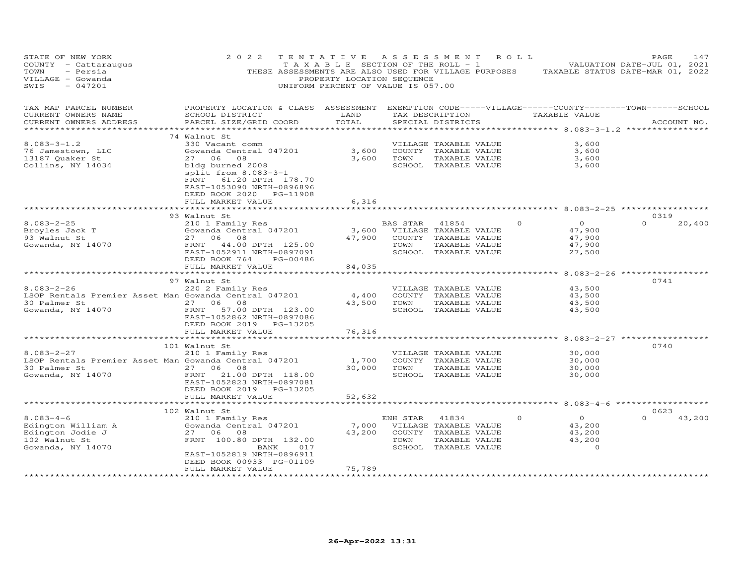| STATE OF NEW YORK<br>COUNTY - Cattaraugus<br>- Persia<br>TOWN<br>VILLAGE - Gowanda<br>SWIS<br>$-047201$ | 2 0 2 2                                                                                                                                         | TENTATIVE ASSESSMENT ROLL<br>PROPERTY LOCATION SEQUENCE<br>UNIFORM PERCENT OF VALUE IS 057.00 |                            |                       |          | T A X A B L E SECTION OF THE ROLL - 1 VALUATION DATE-JUL 01, 2021<br>THESE ASSESSMENTS ARE ALSO USED FOR VILLAGE PURPOSES TAXABLE STATUS DATE-MAR 01, 2022 | PAGE     | 147         |
|---------------------------------------------------------------------------------------------------------|-------------------------------------------------------------------------------------------------------------------------------------------------|-----------------------------------------------------------------------------------------------|----------------------------|-----------------------|----------|------------------------------------------------------------------------------------------------------------------------------------------------------------|----------|-------------|
| TAX MAP PARCEL NUMBER<br>CURRENT OWNERS NAME<br>CURRENT OWNERS ADDRESS<br>***********************       | PROPERTY LOCATION & CLASS ASSESSMENT EXEMPTION CODE-----VILLAGE------COUNTY-------TOWN------SCHOOL<br>SCHOOL DISTRICT<br>PARCEL SIZE/GRID COORD | LAND<br>TOTAL                                                                                 |                            | SPECIAL DISTRICTS     |          | TAX DESCRIPTION TAXABLE VALUE                                                                                                                              |          | ACCOUNT NO. |
|                                                                                                         | 74 Walnut St                                                                                                                                    |                                                                                               |                            |                       |          |                                                                                                                                                            |          |             |
| $8.083 - 3 - 1.2$                                                                                       | 330 Vacant comm                                                                                                                                 |                                                                                               |                            | VILLAGE TAXABLE VALUE |          | 3,600                                                                                                                                                      |          |             |
| 76 Jamestown, LLC                                                                                       | Gowanda Central 047201                                                                                                                          |                                                                                               | 3,600 COUNTY TAXABLE VALUE |                       |          | 3,600                                                                                                                                                      |          |             |
| 13187 Quaker St                                                                                         | 27 06 08                                                                                                                                        |                                                                                               | 3,600 TOWN                 | TAXABLE VALUE         |          | 3,600                                                                                                                                                      |          |             |
| Collins, NY 14034                                                                                       | bldg burned 2008<br>split from 8.083-3-1<br>FRNT 61.20 DPTH 178.70<br>EAST-1053090 NRTH-0896896<br>DEED BOOK 2020 PG-11908<br>FULL MARKET VALUE | 6,316                                                                                         |                            | SCHOOL TAXABLE VALUE  |          | 3,600                                                                                                                                                      |          |             |
|                                                                                                         |                                                                                                                                                 |                                                                                               |                            |                       |          |                                                                                                                                                            |          |             |
|                                                                                                         | 93 Walnut St                                                                                                                                    |                                                                                               |                            |                       |          |                                                                                                                                                            | 0319     |             |
| $8.083 - 2 - 25$                                                                                        | 210 1 Family Res<br>Gowanda Central 047201<br>27 06 08                                                                                          |                                                                                               | BAS STAR                   | 41854                 | $\Omega$ | $\Omega$                                                                                                                                                   | $\Omega$ | 20,400      |
| Broyles Jack T                                                                                          |                                                                                                                                                 | 3,600                                                                                         |                            | VILLAGE TAXABLE VALUE |          | 47,900                                                                                                                                                     |          |             |
| 93 Walnut St                                                                                            | 27 06 08                                                                                                                                        | 47,900                                                                                        |                            | COUNTY TAXABLE VALUE  |          | 47,900                                                                                                                                                     |          |             |
| Gowanda, NY 14070                                                                                       | FRNT 44.00 DPTH 125.00                                                                                                                          |                                                                                               | TOWN                       | TAXABLE VALUE         |          | 47,900                                                                                                                                                     |          |             |
|                                                                                                         | EAST-1052911 NRTH-0897091<br>DEED BOOK 764 PG-00486<br>FULL MARKET VALUE                                                                        | 84,035                                                                                        |                            | SCHOOL TAXABLE VALUE  |          | 27,500                                                                                                                                                     |          |             |
|                                                                                                         |                                                                                                                                                 | * * * * * * * * *                                                                             |                            |                       |          | ******** 8.083-2-26 ***********                                                                                                                            |          |             |
|                                                                                                         | 97 Walnut St                                                                                                                                    |                                                                                               |                            |                       |          |                                                                                                                                                            | 0741     |             |
| $8.083 - 2 - 26$                                                                                        | 220 2 Family Res                                                                                                                                |                                                                                               |                            | VILLAGE TAXABLE VALUE |          | 43,500                                                                                                                                                     |          |             |
| LSOP Rentals Premier Asset Man Gowanda Central 047201                                                   |                                                                                                                                                 | 4,400                                                                                         |                            | COUNTY TAXABLE VALUE  |          | 43,500                                                                                                                                                     |          |             |
|                                                                                                         | 27 06 08                                                                                                                                        | 43,500                                                                                        | TOWN                       | TAXABLE VALUE         |          | 43,500                                                                                                                                                     |          |             |
|                                                                                                         | 57.00 DPTH 123.00<br>EAST-1052862 NRTH-0897086<br>DEED BOOK 2019 PG-13205                                                                       |                                                                                               |                            | SCHOOL TAXABLE VALUE  |          | 43,500                                                                                                                                                     |          |             |
|                                                                                                         | FULL MARKET VALUE                                                                                                                               | 76,316                                                                                        |                            |                       |          |                                                                                                                                                            |          |             |
|                                                                                                         |                                                                                                                                                 |                                                                                               |                            |                       |          |                                                                                                                                                            |          |             |
|                                                                                                         | 101 Walnut St                                                                                                                                   |                                                                                               |                            |                       |          |                                                                                                                                                            | 0740     |             |
| $8.083 - 2 - 27$                                                                                        | 210 1 Family Res                                                                                                                                |                                                                                               |                            | VILLAGE TAXABLE VALUE |          | 30,000                                                                                                                                                     |          |             |
| LSOP Rentals Premier Asset Man Gowanda Central 047201                                                   |                                                                                                                                                 | 1,700                                                                                         |                            | COUNTY TAXABLE VALUE  |          | 30,000                                                                                                                                                     |          |             |
| 30 Palmer St                                                                                            |                                                                                                                                                 | 30,000                                                                                        | TOWN                       | TAXABLE VALUE         |          | 30,000                                                                                                                                                     |          |             |
| Gowanda, NY 14070                                                                                       | EAST-1052823 NRTH-0897081<br>DEED BOOK 2019 PG-13205<br>FULL MARKET VALUE                                                                       | 52,632                                                                                        |                            | SCHOOL TAXABLE VALUE  |          | 30,000                                                                                                                                                     |          |             |
|                                                                                                         | *************************                                                                                                                       |                                                                                               |                            |                       |          |                                                                                                                                                            |          |             |
|                                                                                                         | 102 Walnut St                                                                                                                                   |                                                                                               |                            |                       |          |                                                                                                                                                            | 0623     |             |
| $8.083 - 4 - 6$                                                                                         | 210 1 Family Res                                                                                                                                |                                                                                               | ENH STAR                   | 41834                 | $\Omega$ | $\Omega$                                                                                                                                                   |          | 43,200      |
| Edington William A                                                                                      | Gowanda Central 047201                                                                                                                          | 7,000                                                                                         |                            | VILLAGE TAXABLE VALUE |          | 43,200                                                                                                                                                     |          |             |
| Edington Jodie J                                                                                        | 27 06 08                                                                                                                                        | 43,200                                                                                        |                            | COUNTY TAXABLE VALUE  |          | 43,200                                                                                                                                                     |          |             |
| 102 Walnut St                                                                                           | FRNT 100.80 DPTH 132.00                                                                                                                         |                                                                                               | TOWN                       | TAXABLE VALUE         |          | 43,200                                                                                                                                                     |          |             |
| Gowanda, NY 14070                                                                                       | 017<br>BANK                                                                                                                                     |                                                                                               |                            | SCHOOL TAXABLE VALUE  |          | $\circ$                                                                                                                                                    |          |             |
|                                                                                                         | EAST-1052819 NRTH-0896911                                                                                                                       |                                                                                               |                            |                       |          |                                                                                                                                                            |          |             |
|                                                                                                         | DEED BOOK 00933 PG-01109                                                                                                                        |                                                                                               |                            |                       |          |                                                                                                                                                            |          |             |
|                                                                                                         | FULL MARKET VALUE                                                                                                                               | 75,789                                                                                        |                            |                       |          |                                                                                                                                                            |          |             |
| *************************                                                                               |                                                                                                                                                 |                                                                                               |                            |                       |          |                                                                                                                                                            |          |             |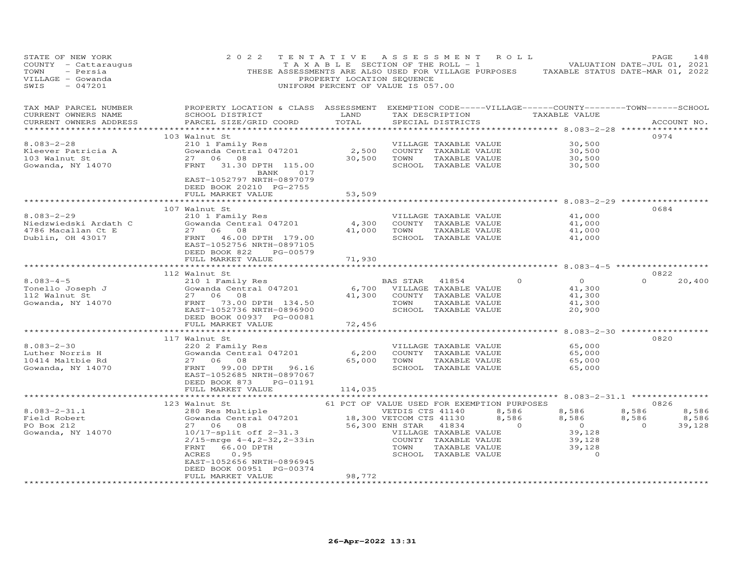| STATE OF NEW YORK<br>COUNTY - Cattaraugus<br>TOWN<br>- Persia<br>VILLAGE - Gowanda<br>$-047201$<br>SWIS | 2 0 2 2<br>THESE ASSESSMENTS ARE ALSO USED FOR VILLAGE PURPOSES                     | TENTATIVE<br>T A X A B L E SECTION OF THE ROLL - 1<br>PROPERTY LOCATION SEQUENCE<br>UNIFORM PERCENT OF VALUE IS 057.00 | A S S E S S M E N T |                       | R O L L         | TAXABLE STATUS DATE-MAR 01, 2022                                                                              | PAGE<br>VALUATION DATE-JUL 01, 2021 | 148         |
|---------------------------------------------------------------------------------------------------------|-------------------------------------------------------------------------------------|------------------------------------------------------------------------------------------------------------------------|---------------------|-----------------------|-----------------|---------------------------------------------------------------------------------------------------------------|-------------------------------------|-------------|
| TAX MAP PARCEL NUMBER<br>CURRENT OWNERS NAME<br>CURRENT OWNERS ADDRESS                                  | PROPERTY LOCATION & CLASS ASSESSMENT<br>SCHOOL DISTRICT<br>PARCEL SIZE/GRID COORD   | LAND<br>TOTAL                                                                                                          |                     | SPECIAL DISTRICTS     | TAX DESCRIPTION | EXEMPTION CODE-----VILLAGE------COUNTY--------TOWN------SCHOOL<br>TAXABLE VALUE<br>*********** 8.083-2-28 *** |                                     | ACCOUNT NO. |
|                                                                                                         | 103 Walnut St                                                                       |                                                                                                                        |                     |                       |                 |                                                                                                               | 0974                                |             |
| $8.083 - 2 - 28$                                                                                        | 210 1 Family Res                                                                    |                                                                                                                        |                     | VILLAGE TAXABLE VALUE |                 | 30,500                                                                                                        |                                     |             |
| Kleever Patricia A                                                                                      | Gowanda Central 047201                                                              | 2,500                                                                                                                  |                     | COUNTY TAXABLE VALUE  |                 | 30,500                                                                                                        |                                     |             |
| 103 Walnut St                                                                                           | 27 06 08                                                                            | 30,500                                                                                                                 | TOWN                | TAXABLE VALUE         |                 | 30,500                                                                                                        |                                     |             |
| Gowanda, NY 14070                                                                                       | FRNT 31.30 DPTH 115.00<br>BANK<br>017<br>EAST-1052797 NRTH-0897079                  |                                                                                                                        |                     | SCHOOL TAXABLE VALUE  |                 | 30,500                                                                                                        |                                     |             |
|                                                                                                         | DEED BOOK 20210 PG-2755<br>FULL MARKET VALUE                                        | 53,509                                                                                                                 |                     |                       |                 |                                                                                                               |                                     |             |
|                                                                                                         |                                                                                     |                                                                                                                        |                     |                       |                 | ************ 8.083-2-29 *****                                                                                 |                                     |             |
|                                                                                                         | 107 Walnut St                                                                       |                                                                                                                        |                     |                       |                 |                                                                                                               | 0684                                |             |
| $8.083 - 2 - 29$                                                                                        | 210 1 Family Res                                                                    |                                                                                                                        |                     | VILLAGE TAXABLE VALUE |                 | 41,000                                                                                                        |                                     |             |
| Niedzwiedski Ardath C                                                                                   | Gowanda Central 047201                                                              | 4,300                                                                                                                  |                     | COUNTY TAXABLE VALUE  |                 | 41,000                                                                                                        |                                     |             |
| 4786 Macallan Ct E                                                                                      | 27 06<br>08                                                                         | 41,000                                                                                                                 | TOWN                | TAXABLE VALUE         |                 | 41,000                                                                                                        |                                     |             |
| Dublin, OH 43017                                                                                        | 46.00 DPTH 179.00<br>FRNT<br>EAST-1052756 NRTH-0897105<br>DEED BOOK 822<br>PG-00579 |                                                                                                                        |                     | SCHOOL TAXABLE VALUE  |                 | 41,000                                                                                                        |                                     |             |
|                                                                                                         | FULL MARKET VALUE                                                                   | 71,930                                                                                                                 |                     |                       |                 |                                                                                                               |                                     |             |
|                                                                                                         | *************************                                                           | *********                                                                                                              |                     |                       |                 | ********************* 8.083-4-5 ******************                                                            |                                     |             |
|                                                                                                         | 112 Walnut St                                                                       |                                                                                                                        |                     |                       |                 |                                                                                                               | 0822                                |             |
| $8.083 - 4 - 5$                                                                                         | 210 1 Family Res                                                                    |                                                                                                                        | BAS STAR            | 41854                 | $\circ$         | $\overline{O}$                                                                                                | $\Omega$                            | 20,400      |
| Tonello Joseph J                                                                                        | Gowanda Central 047201                                                              | 6,700                                                                                                                  |                     | VILLAGE TAXABLE VALUE |                 | 41,300                                                                                                        |                                     |             |
| 112 Walnut St                                                                                           | 27 06 08                                                                            | 41,300                                                                                                                 |                     | COUNTY TAXABLE VALUE  |                 | 41,300                                                                                                        |                                     |             |
| Gowanda, NY 14070                                                                                       | 73.00 DPTH 134.50<br>FRNT                                                           |                                                                                                                        | TOWN                | TAXABLE VALUE         |                 | 41,300                                                                                                        |                                     |             |
|                                                                                                         | EAST-1052736 NRTH-0896900<br>DEED BOOK 00937 PG-00081<br>FULL MARKET VALUE          | 72,456                                                                                                                 |                     | SCHOOL TAXABLE VALUE  |                 | 20,900                                                                                                        |                                     |             |
|                                                                                                         |                                                                                     |                                                                                                                        |                     |                       |                 |                                                                                                               |                                     |             |
|                                                                                                         | 117 Walnut St                                                                       |                                                                                                                        |                     |                       |                 |                                                                                                               | 0820                                |             |
| $8.083 - 2 - 30$                                                                                        | 220 2 Family Res                                                                    |                                                                                                                        |                     | VILLAGE TAXABLE VALUE |                 | 65,000                                                                                                        |                                     |             |
| Luther Norris H                                                                                         | Gowanda Central 047201                                                              | 6,200                                                                                                                  |                     | COUNTY TAXABLE VALUE  |                 | 65,000                                                                                                        |                                     |             |
| 10414 Maltbie Rd                                                                                        | 27 06<br>08                                                                         | 65,000                                                                                                                 | TOWN                | TAXABLE VALUE         |                 | 65,000                                                                                                        |                                     |             |
| Gowanda, NY 14070                                                                                       | FRNT<br>99.00 DPTH 96.16<br>EAST-1052685 NRTH-0897067<br>DEED BOOK 873<br>PG-01191  |                                                                                                                        |                     | SCHOOL TAXABLE VALUE  |                 | 65,000                                                                                                        |                                     |             |
|                                                                                                         | FULL MARKET VALUE                                                                   | 114,035                                                                                                                |                     |                       |                 |                                                                                                               |                                     |             |
|                                                                                                         | *************************                                                           | * * * * * * * * * * * * * *                                                                                            |                     |                       |                 | ************************ 8.083-2-31.1 *************                                                           |                                     |             |
|                                                                                                         | 123 Walnut St                                                                       | 61 PCT OF VALUE USED FOR EXEMPTION PURPOSES                                                                            |                     |                       |                 |                                                                                                               | 0826                                |             |
| $8.083 - 2 - 31.1$                                                                                      | 280 Res Multiple                                                                    |                                                                                                                        | VETDIS CTS 41140    |                       | 8,586           | 8,586                                                                                                         | 8,586                               | 8,586       |
| Field Robert                                                                                            | Gowanda Central 047201                                                              | 18,300 VETCOM CTS 41130                                                                                                |                     |                       | 8,586           | 8,586                                                                                                         | 8,586                               | 8,586       |
| PO Box 212                                                                                              | 27 06 08                                                                            |                                                                                                                        | 56,300 ENH STAR     | 41834                 | $\overline{0}$  | $\overline{0}$                                                                                                | $\overline{O}$                      | 39,128      |
| Gowanda, NY 14070                                                                                       | 10/17-split off 2-31.3                                                              |                                                                                                                        |                     | VILLAGE TAXABLE VALUE |                 | 39,128                                                                                                        |                                     |             |
|                                                                                                         | $2/15$ -mrge $4-4$ , $2-32$ , $2-33$ in                                             |                                                                                                                        |                     | COUNTY TAXABLE VALUE  |                 | 39,128                                                                                                        |                                     |             |
|                                                                                                         | 66.00 DPTH<br>FRNT                                                                  |                                                                                                                        | TOWN                | TAXABLE VALUE         |                 | 39,128                                                                                                        |                                     |             |
|                                                                                                         | ACRES<br>0.95                                                                       |                                                                                                                        |                     | SCHOOL TAXABLE VALUE  |                 | $\circ$                                                                                                       |                                     |             |
|                                                                                                         | EAST-1052656 NRTH-0896945                                                           |                                                                                                                        |                     |                       |                 |                                                                                                               |                                     |             |
|                                                                                                         | DEED BOOK 00951 PG-00374                                                            |                                                                                                                        |                     |                       |                 |                                                                                                               |                                     |             |
|                                                                                                         | FULL MARKET VALUE                                                                   | 98,772                                                                                                                 |                     |                       |                 |                                                                                                               |                                     |             |
| **********************                                                                                  |                                                                                     |                                                                                                                        |                     |                       |                 |                                                                                                               |                                     |             |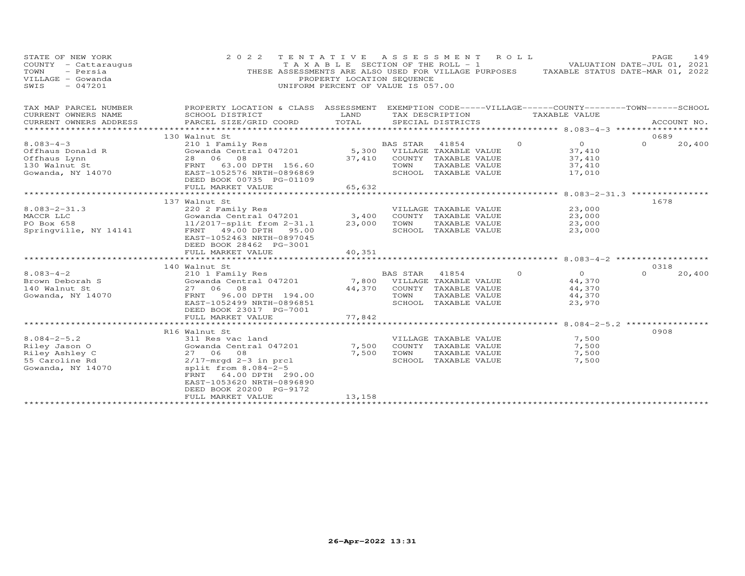| STATE OF NEW YORK<br>COUNTY - Cattaraugus<br>TOWN<br>- Persia<br>VILLAGE - Gowanda<br>SWIS<br>$-047201$ | 2 0 2 2                                                                                                                                                                                                                                 | TENTATIVE ASSESSMENT<br>T A X A B L E SECTION OF THE ROLL - 1<br>PROPERTY LOCATION SEQUENCE<br>UNIFORM PERCENT OF VALUE IS 057.00 |                                                 |                                                                                                 | R O L L  | THESE ASSESSMENTS ARE ALSO USED FOR VILLAGE PURPOSES TAXABLE STATUS DATE-MAR 01, 2022 | PAGE<br>VALUATION DATE-JUL 01, 2021 | 149         |
|---------------------------------------------------------------------------------------------------------|-----------------------------------------------------------------------------------------------------------------------------------------------------------------------------------------------------------------------------------------|-----------------------------------------------------------------------------------------------------------------------------------|-------------------------------------------------|-------------------------------------------------------------------------------------------------|----------|---------------------------------------------------------------------------------------|-------------------------------------|-------------|
| TAX MAP PARCEL NUMBER<br>CURRENT OWNERS NAME<br>CURRENT OWNERS ADDRESS                                  | PROPERTY LOCATION & CLASS ASSESSMENT EXEMPTION CODE-----VILLAGE------COUNTY-------TOWN------SCHOOL<br>SCHOOL DISTRICT<br>PARCEL SIZE/GRID COORD                                                                                         | LAND<br>TOTAL                                                                                                                     |                                                 | TAX DESCRIPTION<br>SPECIAL DISTRICTS                                                            |          | TAXABLE VALUE<br>********************** 8.083-4-3 ***********                         |                                     | ACCOUNT NO. |
|                                                                                                         | 130 Walnut St                                                                                                                                                                                                                           |                                                                                                                                   |                                                 |                                                                                                 |          |                                                                                       | 0689                                |             |
| $8.083 - 4 - 3$<br>Offhaus Donald R<br>Offhaus Lynn<br>130 Walnut St<br>Gowanda, NY 14070               | 210 1 Family Res<br>Gowanda Central 047201<br>28 06<br>08<br>63.00 DPTH 156.60<br>FRNT<br>EAST-1052576 NRTH-0896869<br>DEED BOOK 00735 PG-01109<br>FULL MARKET VALUE                                                                    | 5,300<br>37,410<br>65,632                                                                                                         | BAS STAR<br>TOWN                                | 41854<br>VILLAGE TAXABLE VALUE<br>COUNTY TAXABLE VALUE<br>TAXABLE VALUE<br>SCHOOL TAXABLE VALUE | $\circ$  | $\overline{0}$<br>37,410<br>37,410<br>37,410<br>17,010                                | $\Omega$                            | 20,400      |
|                                                                                                         | ***********************                                                                                                                                                                                                                 |                                                                                                                                   |                                                 |                                                                                                 |          | **************** 8.083-2-31.3 **************                                          |                                     |             |
| $8.083 - 2 - 31.3$<br>MACCR LLC<br>PO Box 658<br>Springville, NY 14141                                  | 137 Walnut St<br>220 2 Family Res<br>Gowanda Central 047201<br>$11/2017$ -split from $2-31.1$<br>FRNT 49.00 DPTH 95.00<br>EAST-1052463 NRTH-0897045<br>DEED BOOK 28462 PG-3001<br>FULL MARKET VALUE                                     | 3,400<br>23,000<br>40,351                                                                                                         | TOWN                                            | VILLAGE TAXABLE VALUE<br>COUNTY TAXABLE VALUE<br>TAXABLE VALUE<br>SCHOOL TAXABLE VALUE          |          | 23,000<br>23,000<br>23,000<br>23,000                                                  | 1678                                |             |
|                                                                                                         | 140 Walnut St                                                                                                                                                                                                                           |                                                                                                                                   |                                                 |                                                                                                 |          |                                                                                       | 0318                                |             |
| $8.083 - 4 - 2$<br>Brown Deborah S<br>140 Walnut St<br>Gowanda, NY 14070                                | 210 1 Family Res<br>Gowanda Central 047201<br>27 06 08<br>96.00 DPTH 194.00<br>FRNT<br>EAST-1052499 NRTH-0896851<br>DEED BOOK 23017 PG-7001                                                                                             | 44,370                                                                                                                            | BAS STAR<br>7,800 VILLAGE TAXABLE VALUE<br>TOWN | 41854<br>COUNTY TAXABLE VALUE<br>TAXABLE VALUE<br>SCHOOL TAXABLE VALUE                          | $\Omega$ | $\overline{0}$<br>44,370<br>44,370<br>44,370<br>23,970                                | $\Omega$                            | 20,400      |
|                                                                                                         | FULL MARKET VALUE                                                                                                                                                                                                                       | 77,842                                                                                                                            |                                                 |                                                                                                 |          | ************************* 8.084-2-5.2 ***************                                 |                                     |             |
| $8.084 - 2 - 5.2$<br>Riley Jason O<br>Riley Ashley C<br>55 Caroline Rd<br>Gowanda, NY 14070             | R16 Walnut St<br>311 Res vac land<br>Gowanda Central 047201<br>27 06 08<br>$2/17$ -mrgd 2-3 in prcl<br>split from $8.084-2-5$<br>64.00 DPTH 290.00<br>FRNT<br>EAST-1053620 NRTH-0896890<br>DEED BOOK 20200 PG-9172<br>FULL MARKET VALUE | 7,500<br>7,500<br>13,158                                                                                                          | TOWN                                            | VILLAGE TAXABLE VALUE<br>COUNTY TAXABLE VALUE<br>TAXABLE VALUE<br>SCHOOL TAXABLE VALUE          |          | 7,500<br>7,500<br>7,500<br>7,500                                                      | 0908                                |             |
|                                                                                                         |                                                                                                                                                                                                                                         |                                                                                                                                   |                                                 | ************************                                                                        |          |                                                                                       |                                     |             |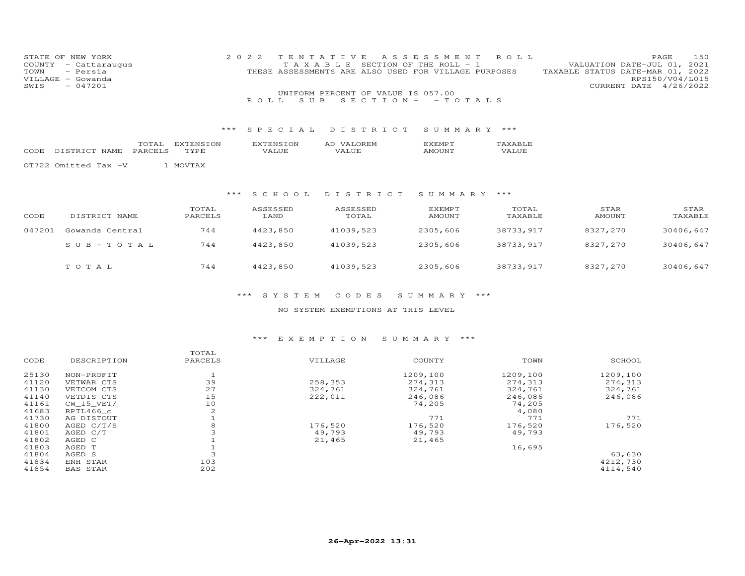|      | STATE OF NEW YORK    | 2022 TENTATIVE ASSESSMENT ROLL                       |  |  |                                  |                        | PAGE. | 150 |
|------|----------------------|------------------------------------------------------|--|--|----------------------------------|------------------------|-------|-----|
|      | COUNTY - Cattaraugus | T A X A B L E SECTION OF THE ROLL - 1                |  |  | VALUATION DATE-JUL 01, 2021      |                        |       |     |
|      | TOWN - Persia        | THESE ASSESSMENTS ARE ALSO USED FOR VILLAGE PURPOSES |  |  | TAXABLE STATUS DATE-MAR 01, 2022 |                        |       |     |
|      | VILLAGE - Gowanda    |                                                      |  |  |                                  | RPS150/V04/L015        |       |     |
| SWIS | $-047201$            |                                                      |  |  |                                  | CURRENT DATE 4/26/2022 |       |     |
|      |                      | UNIFORM PERCENT OF VALUE IS 057.00                   |  |  |                                  |                        |       |     |

|  | $\overline{\phantom{a}}$ | эn | ▱<br>. |  |
|--|--------------------------|----|--------|--|
|  |                          |    |        |  |
|  |                          |    |        |  |

R O L L S U B S E C T I O N - - T O T A L S

OT722 Omitted Tax -V 1 MOVTAX

# \*\*\* S C H O O L D I S T R I C T S U M M A R Y \*\*\*

| CODE   | DISTRICT NAME   | TOTAL<br>PARCELS | ASSESSED<br>LAND | ASSESSED<br>TOTAL | EXEMPT<br>AMOUNT | TOTAL<br>TAXABLE | STAR<br>AMOUNT | STAR<br>TAXABLE |
|--------|-----------------|------------------|------------------|-------------------|------------------|------------------|----------------|-----------------|
| 047201 | Gowanda Central | 744              | 4423,850         | 41039,523         | 2305,606         | 38733,917        | 8327,270       | 30406,647       |
|        | $SUB-TOTAL$     | 744              | 4423,850         | 41039,523         | 2305,606         | 38733,917        | 8327,270       | 30406,647       |
|        | TOTAL           | 744              | 4423,850         | 41039,523         | 2305,606         | 38733,917        | 8327,270       | 30406,647       |

## \*\*\* S Y S T E M C O D E S S U M M A R Y \*\*\*

# NO SYSTEM EXEMPTIONS AT THIS LEVEL

|          |          |          |         | TOTAL   |                 |       |
|----------|----------|----------|---------|---------|-----------------|-------|
| SCHOOL   | TOWN     | COUNTY   | VILLAGE | PARCELS | DESCRIPTION     | CODE  |
| 1209,100 | 1209,100 | 1209,100 |         |         | NON-PROFIT      | 25130 |
| 274,313  | 274,313  | 274,313  | 258,353 | 39      | VETWAR CTS      | 41120 |
| 324,761  | 324,761  | 324,761  | 324,761 | 27      | VETCOM CTS      | 41130 |
| 246,086  | 246,086  | 246,086  | 222,011 | 15      | VETDIS CTS      | 41140 |
|          | 74,205   | 74,205   |         | 10      | CW 15 VET/      | 41161 |
|          | 4,080    |          |         | 2       | RPTL466 c       | 41683 |
| 771      | 771      | 771      |         |         | AG DISTOUT      | 41730 |
| 176,520  | 176,520  | 176,520  | 176,520 | 8       | AGED $C/T/S$    | 41800 |
|          | 49,793   | 49,793   | 49,793  |         | AGED C/T        | 41801 |
|          |          | 21,465   | 21,465  |         | AGED C          | 41802 |
|          | 16,695   |          |         |         | AGED T          | 41803 |
| 63,630   |          |          |         |         | AGED S          | 41804 |
| 4212,730 |          |          |         | 103     | ENH STAR        | 41834 |
| 4114.540 |          |          |         | 202     | <b>BAS STAR</b> | 41854 |
|          |          |          |         |         |                 |       |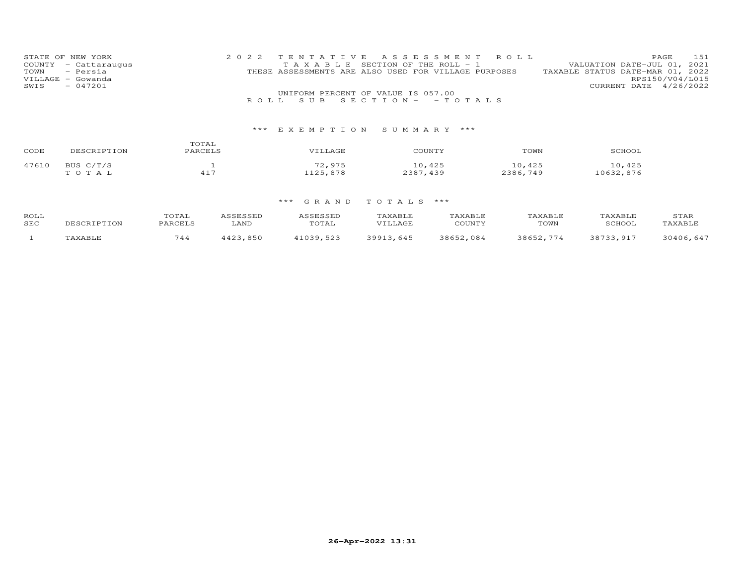|      | STATE OF NEW YORK    | 2022 TENTATIVE ASSESSMENT ROLL                       |                                  | PAGE. | 151 |
|------|----------------------|------------------------------------------------------|----------------------------------|-------|-----|
|      | COUNTY - Cattaraugus | TAXABLE SECTION OF THE ROLL - 1                      | VALUATION DATE-JUL 01, 2021      |       |     |
|      | TOWN - Persia        | THESE ASSESSMENTS ARE ALSO USED FOR VILLAGE PURPOSES | TAXABLE STATUS DATE-MAR 01, 2022 |       |     |
|      | VILLAGE - Gowanda    |                                                      | RPS150/V04/L015                  |       |     |
| SWIS | $-047201$            |                                                      | CURRENT DATE 4/26/2022           |       |     |
|      |                      | UNIFORM PERCENT OF VALUE IS 057.00                   |                                  |       |     |
|      |                      | ROLL SUB SECTION- - TOTALS                           |                                  |       |     |

| CODE  | DESCRIPTION        | TOTAL<br>PARCELS | ''ILLAGE           | COUNTY             | TOWN               | SCHOOL              |
|-------|--------------------|------------------|--------------------|--------------------|--------------------|---------------------|
| 47610 | BUS C/T/S<br>TOTAL | $41 -$           | 72,975<br>1125,878 | 10,425<br>2387,439 | 10,425<br>2386,749 | 10,425<br>10632,876 |

| ROLL<br>SEC | 3CRIPTION | COTAI:<br>PARCELS | <i>ec</i> rectro<br>.<br>LAND | ACCFCCFF<br>.<br>TOTAL | TAXABLE.<br>VILLAGE | TAXABLE<br>COUNTY | <b>TAXABLE</b><br>TOWN | TAXABLE<br>SCHOOI | STAR<br>TAXABLE |
|-------------|-----------|-------------------|-------------------------------|------------------------|---------------------|-------------------|------------------------|-------------------|-----------------|
|             | TAXABLF   | 744               | 1.002<br>850                  | 11039523<br>- - - -    | 39913<br>.645       | 38652.084         | 38652.<br>774          | 38733 917         | 30406.647       |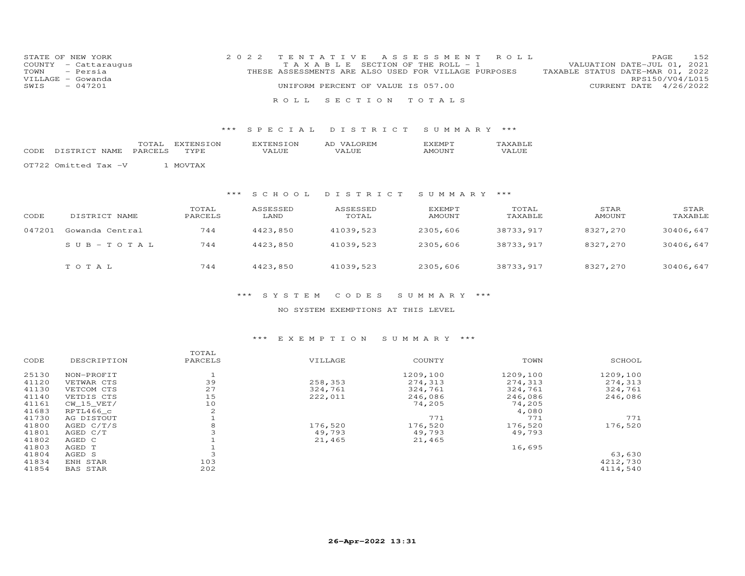|      | STATE OF NEW YORK    | 2022 TENTATIVE ASSESSMENT ROLL                                                           | PAGE 152               |  |
|------|----------------------|------------------------------------------------------------------------------------------|------------------------|--|
|      | COUNTY - Cattaraugus | VALUATION DATE-JUL 01, 2021<br>T A X A B L E SECTION OF THE ROLL - 1                     |                        |  |
|      | TOWN - Persia        | TAXABLE STATUS DATE-MAR 01, 2022<br>THESE ASSESSMENTS ARE ALSO USED FOR VILLAGE PURPOSES |                        |  |
|      | VILLAGE - Gowanda    |                                                                                          | RPS150/V04/L015        |  |
| SWIS | $-047201$            | UNIFORM PERCENT OF VALUE IS 057.00                                                       | CURRENT DATE 4/26/2022 |  |
|      |                      |                                                                                          |                        |  |
|      |                      | ROLL SECTION TOTALS                                                                      |                        |  |

|       |  | $\overline{\phantom{a}}$ | . |  |
|-------|--|--------------------------|---|--|
| IVI H |  |                          |   |  |

OT722 Omitted Tax -V 1 MOVTAX

# \*\*\* S C H O O L D I S T R I C T S U M M A R Y \*\*\*

| CODE   | DISTRICT NAME   | TOTAL<br>PARCELS | ASSESSED<br>LAND | ASSESSED<br>TOTAL | EXEMPT<br>AMOUNT | TOTAL<br>TAXABLE | STAR<br>AMOUNT | STAR<br>TAXABLE |
|--------|-----------------|------------------|------------------|-------------------|------------------|------------------|----------------|-----------------|
| 047201 | Gowanda Central | 744              | 4423,850         | 41039,523         | 2305,606         | 38733,917        | 8327,270       | 30406,647       |
|        | $SUB-TOTAL$     | 744              | 4423,850         | 41039,523         | 2305,606         | 38733,917        | 8327,270       | 30406,647       |
|        | TOTAL           | 744              | 4423,850         | 41039,523         | 2305,606         | 38733,917        | 8327,270       | 30406,647       |

## \*\*\* S Y S T E M C O D E S S U M M A R Y \*\*\*

# NO SYSTEM EXEMPTIONS AT THIS LEVEL

|       |                 | TOTAL   |         |          |          |          |
|-------|-----------------|---------|---------|----------|----------|----------|
| CODE  | DESCRIPTION     | PARCELS | VILLAGE | COUNTY   | TOWN     | SCHOOL   |
| 25130 | NON-PROFIT      |         |         | 1209,100 | 1209,100 | 1209,100 |
| 41120 | VETWAR CTS      | 39      | 258,353 | 274,313  | 274,313  | 274,313  |
| 41130 | VETCOM CTS      | 27      | 324,761 | 324,761  | 324,761  | 324,761  |
| 41140 | VETDIS CTS      | 15      | 222,011 | 246,086  | 246,086  | 246,086  |
| 41161 | CW 15 VET/      | 10      |         | 74,205   | 74,205   |          |
| 41683 | RPTL466 c       | 2       |         |          | 4,080    |          |
| 41730 | AG DISTOUT      |         |         | 771      | 771      | 771      |
| 41800 | AGED C/T/S      | 8       | 176,520 | 176,520  | 176,520  | 176,520  |
| 41801 | AGED C/T        |         | 49,793  | 49,793   | 49,793   |          |
| 41802 | AGED C          |         | 21,465  | 21,465   |          |          |
| 41803 | AGED T          |         |         |          | 16,695   |          |
| 41804 | AGED S          |         |         |          |          | 63,630   |
| 41834 | ENH STAR        | 103     |         |          |          | 4212,730 |
| 41854 | <b>BAS STAR</b> | 202     |         |          |          | 4114,540 |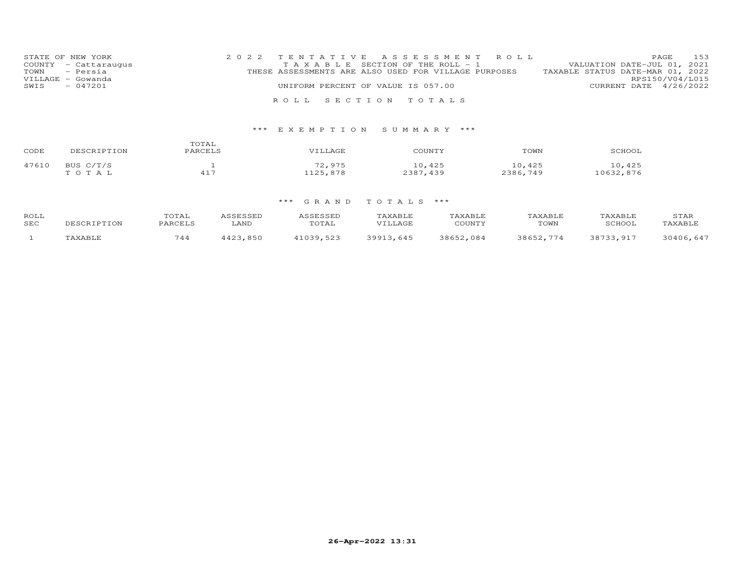|      | STATE OF NEW YORK    | 2022 TENTATIVE ASSESSMENT ROLL |                                                      |  |  |  |                                  |                        | PAGE            | 153 |
|------|----------------------|--------------------------------|------------------------------------------------------|--|--|--|----------------------------------|------------------------|-----------------|-----|
|      | COUNTY - Cattaraugus |                                | T A X A B L E SECTION OF THE ROLL - 1                |  |  |  | VALUATION DATE-JUL 01, 2021      |                        |                 |     |
|      | TOWN - Persia        |                                | THESE ASSESSMENTS ARE ALSO USED FOR VILLAGE PURPOSES |  |  |  | TAXABLE STATUS DATE-MAR 01, 2022 |                        |                 |     |
|      | VILLAGE - Gowanda    |                                |                                                      |  |  |  |                                  |                        | RPS150/V04/L015 |     |
| SWIS | $-047201$            |                                | UNIFORM PERCENT OF VALUE IS 057.00                   |  |  |  |                                  | CURRENT DATE 4/26/2022 |                 |     |
|      |                      |                                |                                                      |  |  |  |                                  |                        |                 |     |
|      |                      |                                | ROLL SECTION TOTALS                                  |  |  |  |                                  |                        |                 |     |

| CODE  | DESCRIPTION        | TOTAL<br>PARCELS | VILLAGE            | COUNTY             | TOWN               | SCHOOL              |
|-------|--------------------|------------------|--------------------|--------------------|--------------------|---------------------|
| 47610 | BUS C/T/S<br>TOTAL | 417              | 72,975<br>1125,878 | 10,425<br>2387,439 | 10,425<br>2386,749 | 10,425<br>10632,876 |

| ROLL<br>SEC | 3CRIPTION | COTAI:<br>PARCELS | <i>ec</i> rectro<br>.<br>LAND | ACCFCCFF<br>.<br>TOTAL | TAXABLE.<br>VILLAGE | TAXABLE<br>COUNTY | <b>TAXABLE</b><br>TOWN | TAXABLE<br>SCHOOI | STAR<br>TAXABLE |
|-------------|-----------|-------------------|-------------------------------|------------------------|---------------------|-------------------|------------------------|-------------------|-----------------|
|             | TAXABLF   | 744               | 1.002<br>850                  | 11039523<br>- - - -    | 39913<br>.645       | 38652.084         | 38652.<br>774          | 38733 917         | 30406.647       |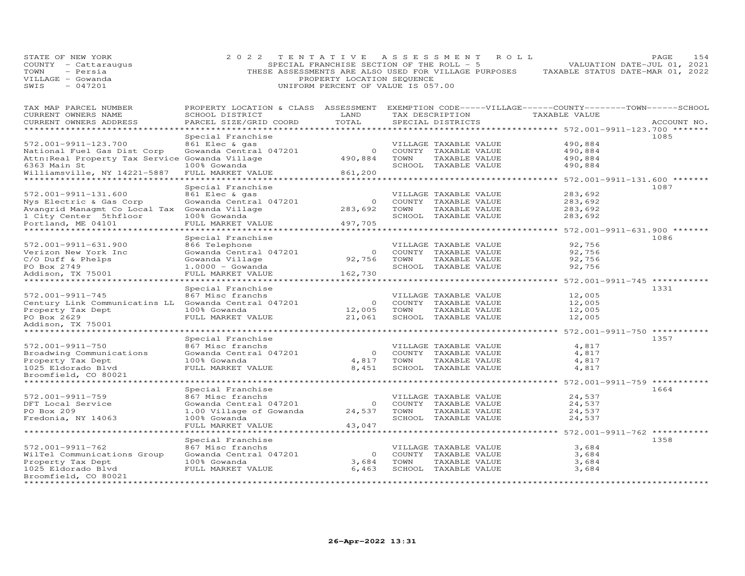| STATE OF NEW YORK<br>COUNTY - Cattaraugus<br>- Persia<br>TOWN<br>VILLAGE - Gowanda<br>$-047201$<br>SWIS | 2 0 2 2                                                                                            | TENTATIVE<br>SPECIAL FRANCHISE SECTION OF THE ROLL - 5<br>PROPERTY LOCATION SEQUENCE<br>UNIFORM PERCENT OF VALUE IS 057.00 |      | A S S E S S M E N T<br>R O L L<br>THESE ASSESSMENTS ARE ALSO USED FOR VILLAGE PURPOSES |                                                                | 154<br>PAGE<br>VALUATION DATE-JUL 01, 2021<br>TAXABLE STATUS DATE-MAR 01, 2022 |
|---------------------------------------------------------------------------------------------------------|----------------------------------------------------------------------------------------------------|----------------------------------------------------------------------------------------------------------------------------|------|----------------------------------------------------------------------------------------|----------------------------------------------------------------|--------------------------------------------------------------------------------|
| TAX MAP PARCEL NUMBER                                                                                   | PROPERTY LOCATION & CLASS ASSESSMENT EXEMPTION CODE-----VILLAGE------COUNTY-------TOWN------SCHOOL |                                                                                                                            |      |                                                                                        |                                                                |                                                                                |
| CURRENT OWNERS NAME<br>CURRENT OWNERS ADDRESS                                                           | SCHOOL DISTRICT<br>PARCEL SIZE/GRID COORD                                                          | LAND<br>TOTAL                                                                                                              |      | TAX DESCRIPTION<br>SPECIAL DISTRICTS                                                   | TAXABLE VALUE                                                  | ACCOUNT NO.                                                                    |
| **********************                                                                                  | *********************                                                                              | *********                                                                                                                  |      |                                                                                        | ********************************* 572.001-9911-123.700 ******* |                                                                                |
|                                                                                                         | Special Franchise                                                                                  |                                                                                                                            |      |                                                                                        |                                                                | 1085                                                                           |
| 572.001-9911-123.700                                                                                    | 861 Elec & gas                                                                                     |                                                                                                                            |      | VILLAGE TAXABLE VALUE                                                                  | 490,884                                                        |                                                                                |
| National Fuel Gas Dist Corp                                                                             | Gowanda Central 047201                                                                             | $\circ$                                                                                                                    |      | COUNTY TAXABLE VALUE                                                                   | 490,884                                                        |                                                                                |
| Attn: Real Property Tax Service Gowanda Village                                                         |                                                                                                    | 490,884                                                                                                                    | TOWN | TAXABLE VALUE                                                                          | 490,884                                                        |                                                                                |
| 6363 Main St                                                                                            | 100% Gowanda                                                                                       |                                                                                                                            |      | SCHOOL TAXABLE VALUE                                                                   | 490,884                                                        |                                                                                |
| Williamsville, NY 14221-5887                                                                            | FULL MARKET VALUE                                                                                  | 861,200                                                                                                                    |      |                                                                                        |                                                                |                                                                                |
| *****************************                                                                           | *********************                                                                              |                                                                                                                            |      |                                                                                        |                                                                |                                                                                |
| 572.001-9911-131.600                                                                                    | Special Franchise<br>861 Elec & gas                                                                |                                                                                                                            |      | VILLAGE TAXABLE VALUE                                                                  | 283,692                                                        | 1087                                                                           |
| Nys Electric & Gas Corp                                                                                 | Gowanda Central 047201                                                                             | $\circ$                                                                                                                    |      | COUNTY TAXABLE VALUE                                                                   | 283,692                                                        |                                                                                |
| Avangrid Managmt Co Local Tax Gowanda Village                                                           |                                                                                                    | 283,692                                                                                                                    | TOWN | TAXABLE VALUE                                                                          | 283,692                                                        |                                                                                |
| 1 City Center 5thfloor                                                                                  | 100% Gowanda                                                                                       |                                                                                                                            |      | SCHOOL TAXABLE VALUE                                                                   | 283,692                                                        |                                                                                |
| Portland, ME 04101                                                                                      | FULL MARKET VALUE                                                                                  | 497,705                                                                                                                    |      |                                                                                        |                                                                |                                                                                |
| *********************                                                                                   | *******************                                                                                |                                                                                                                            |      |                                                                                        | *********** 572.001-9911-631.900 *****                         |                                                                                |
|                                                                                                         | Special Franchise                                                                                  |                                                                                                                            |      |                                                                                        |                                                                | 1086                                                                           |
| 572.001-9911-631.900                                                                                    | 866 Telephone                                                                                      |                                                                                                                            |      | VILLAGE TAXABLE VALUE                                                                  | 92,756                                                         |                                                                                |
| Verizon New York Inc                                                                                    | Gowanda Central 047201                                                                             | $\circ$                                                                                                                    |      | COUNTY TAXABLE VALUE                                                                   | 92,756                                                         |                                                                                |
| C/O Duff & Phelps                                                                                       | Gowanda Village                                                                                    | 92,756                                                                                                                     | TOWN | TAXABLE VALUE                                                                          | 92,756                                                         |                                                                                |
| PO Box 2749                                                                                             | $1.0000 - Gowanda$                                                                                 |                                                                                                                            |      | SCHOOL TAXABLE VALUE                                                                   | 92,756                                                         |                                                                                |
| Addison, TX 75001<br>*******************                                                                | FULL MARKET VALUE                                                                                  | 162,730                                                                                                                    |      |                                                                                        |                                                                |                                                                                |
|                                                                                                         | Special Franchise                                                                                  |                                                                                                                            |      |                                                                                        | ******** 572.001-9911-745 ********                             | 1331                                                                           |
| 572.001-9911-745                                                                                        | 867 Misc franchs                                                                                   |                                                                                                                            |      | VILLAGE TAXABLE VALUE                                                                  | 12,005                                                         |                                                                                |
| Century Link Communicatins LL Gowanda Central 047201                                                    |                                                                                                    | $\circ$                                                                                                                    |      | COUNTY TAXABLE VALUE                                                                   | 12,005                                                         |                                                                                |
| Property Tax Dept                                                                                       | 100% Gowanda                                                                                       | 12,005                                                                                                                     | TOWN | TAXABLE VALUE                                                                          | 12,005                                                         |                                                                                |
| PO Box 2629                                                                                             | FULL MARKET VALUE                                                                                  | 21,061                                                                                                                     |      | SCHOOL TAXABLE VALUE                                                                   | 12,005                                                         |                                                                                |
| Addison, TX 75001                                                                                       |                                                                                                    |                                                                                                                            |      |                                                                                        |                                                                |                                                                                |
|                                                                                                         |                                                                                                    |                                                                                                                            |      |                                                                                        | ******************************* 572.001-9911-750 ********      |                                                                                |
|                                                                                                         | Special Franchise                                                                                  |                                                                                                                            |      |                                                                                        |                                                                | 1357                                                                           |
| 572.001-9911-750                                                                                        | 867 Misc franchs                                                                                   |                                                                                                                            |      | VILLAGE TAXABLE VALUE                                                                  | 4,817                                                          |                                                                                |
| Broadwing Communications                                                                                | Gowanda Central 047201                                                                             | $\circ$                                                                                                                    |      | COUNTY TAXABLE VALUE                                                                   | 4,817                                                          |                                                                                |
| Property Tax Dept                                                                                       | 100% Gowanda                                                                                       | 4,817                                                                                                                      | TOWN | TAXABLE VALUE                                                                          | 4,817                                                          |                                                                                |
| 1025 Eldorado Blvd<br>Broomfield, CO 80021                                                              | FULL MARKET VALUE                                                                                  | 8,451                                                                                                                      |      | SCHOOL TAXABLE VALUE                                                                   | 4,817                                                          |                                                                                |
| *********************                                                                                   |                                                                                                    | <b>.</b>                                                                                                                   |      |                                                                                        | *********** 572.001-9911-759 ********                          |                                                                                |
|                                                                                                         | Special Franchise                                                                                  |                                                                                                                            |      |                                                                                        |                                                                | 1664                                                                           |
| 572.001-9911-759                                                                                        | 867 Misc franchs                                                                                   |                                                                                                                            |      | VILLAGE TAXABLE VALUE                                                                  | 24,537                                                         |                                                                                |
| DFT Local Service                                                                                       | Gowanda Central 047201                                                                             | $\circ$                                                                                                                    |      | COUNTY TAXABLE VALUE                                                                   | 24,537                                                         |                                                                                |
| PO Box 209                                                                                              | 1.00 Village of Gowanda                                                                            | 24,537                                                                                                                     | TOWN | TAXABLE VALUE                                                                          | 24,537                                                         |                                                                                |
| Fredonia, NY 14063                                                                                      | 100% Gowanda                                                                                       |                                                                                                                            |      | SCHOOL TAXABLE VALUE                                                                   | 24,537                                                         |                                                                                |
|                                                                                                         | FULL MARKET VALUE                                                                                  | 43,047                                                                                                                     |      |                                                                                        |                                                                |                                                                                |
|                                                                                                         | *****************                                                                                  |                                                                                                                            |      |                                                                                        |                                                                |                                                                                |
|                                                                                                         | Special Franchise                                                                                  |                                                                                                                            |      |                                                                                        |                                                                | 1358                                                                           |
| 572.001-9911-762                                                                                        | 867 Misc franchs                                                                                   |                                                                                                                            |      | VILLAGE TAXABLE VALUE                                                                  | 3,684                                                          |                                                                                |
| WilTel Communications Group                                                                             | Gowanda Central 047201                                                                             | $\circ$                                                                                                                    |      | COUNTY TAXABLE VALUE                                                                   | 3,684<br>3,684                                                 |                                                                                |
| Property Tax Dept<br>1025 Eldorado Blvd                                                                 | 100% Gowanda<br>FULL MARKET VALUE                                                                  | 3,684<br>6,463                                                                                                             | TOWN | TAXABLE VALUE<br>SCHOOL TAXABLE VALUE                                                  | 3,684                                                          |                                                                                |
| Broomfield, CO 80021                                                                                    |                                                                                                    |                                                                                                                            |      |                                                                                        |                                                                |                                                                                |
|                                                                                                         |                                                                                                    |                                                                                                                            |      |                                                                                        |                                                                |                                                                                |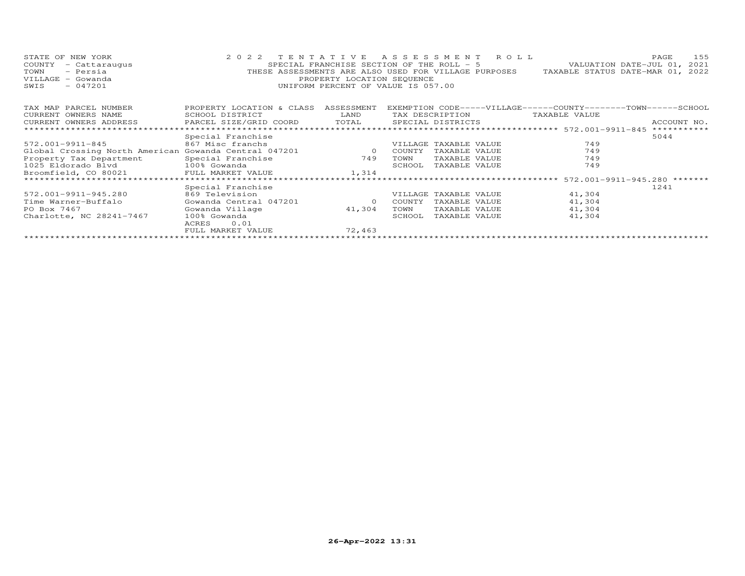| STATE OF NEW YORK<br>COUNTY<br>- Cattaraugus<br>- Persia<br>TOWN<br>VILLAGE - Gowanda<br>$-047201$<br>SWIS | 2022 TENTATIVE<br>ASSESSMENT ROLL<br>PAGE<br>VALUATION DATE-JUL 01, 2021<br>SPECIAL FRANCHISE SECTION OF THE ROLL - 5<br>THESE ASSESSMENTS ARE ALSO USED FOR VILLAGE PURPOSES TAXABLE STATUS DATE-MAR 01, 2022<br>PROPERTY LOCATION SEQUENCE<br>UNIFORM PERCENT OF VALUE IS 057.00 |          |        |                       |                                                               |             |  |  |
|------------------------------------------------------------------------------------------------------------|------------------------------------------------------------------------------------------------------------------------------------------------------------------------------------------------------------------------------------------------------------------------------------|----------|--------|-----------------------|---------------------------------------------------------------|-------------|--|--|
| TAX MAP PARCEL NUMBER                                                                                      | PROPERTY LOCATION & CLASS ASSESSMENT                                                                                                                                                                                                                                               |          |        |                       | EXEMPTION CODE-----VILLAGE------COUNTY-------TOWN------SCHOOL |             |  |  |
| CURRENT OWNERS NAME                                                                                        | SCHOOL DISTRICT                                                                                                                                                                                                                                                                    | LAND     |        | TAX DESCRIPTION       | TAXABLE VALUE                                                 |             |  |  |
| CURRENT OWNERS ADDRESS                                                                                     | PARCEL SIZE/GRID COORD                                                                                                                                                                                                                                                             | TOTAL    |        | SPECIAL DISTRICTS     |                                                               | ACCOUNT NO. |  |  |
|                                                                                                            |                                                                                                                                                                                                                                                                                    |          |        |                       |                                                               | *********** |  |  |
|                                                                                                            | Special Franchise                                                                                                                                                                                                                                                                  |          |        |                       |                                                               | 5044        |  |  |
| 572.001-9911-845                                                                                           | 867 Misc franchs                                                                                                                                                                                                                                                                   |          |        | VILLAGE TAXABLE VALUE | 749                                                           |             |  |  |
| Global Crossing North American Gowanda Central 047201                                                      |                                                                                                                                                                                                                                                                                    | $\sim$ 0 | COUNTY | TAXABLE VALUE         | 749                                                           |             |  |  |
| Property Tax Department                                                                                    | Special Franchise                                                                                                                                                                                                                                                                  | 749      | TOWN   | TAXABLE VALUE         | 749                                                           |             |  |  |
| 1025 Eldorado Blvd 100% Gowanda                                                                            |                                                                                                                                                                                                                                                                                    |          | SCHOOL | TAXABLE VALUE         | 749                                                           |             |  |  |
| Broomfield, CO 80021 FULL MARKET VALUE                                                                     |                                                                                                                                                                                                                                                                                    | 1,314    |        |                       |                                                               |             |  |  |
|                                                                                                            |                                                                                                                                                                                                                                                                                    |          |        |                       |                                                               |             |  |  |
|                                                                                                            | Special Franchise                                                                                                                                                                                                                                                                  |          |        |                       |                                                               | 1241        |  |  |
| 572.001-9911-945.280                                                                                       | 869 Television                                                                                                                                                                                                                                                                     |          |        | VILLAGE TAXABLE VALUE | 41,304                                                        |             |  |  |
| Time Warner-Buffalo                                                                                        | Gowanda Central 047201                                                                                                                                                                                                                                                             | $\circ$  | COUNTY | TAXABLE VALUE         | 41,304                                                        |             |  |  |
| PO Box 7467                                                                                                | Gowanda Village                                                                                                                                                                                                                                                                    | 41,304   | TOWN   | TAXABLE VALUE         | 41,304                                                        |             |  |  |
| Charlotte, NC 28241-7467                                                                                   | 100% Gowanda                                                                                                                                                                                                                                                                       |          | SCHOOL | TAXABLE VALUE         | 41,304                                                        |             |  |  |
|                                                                                                            | 0.01<br>ACRES                                                                                                                                                                                                                                                                      |          |        |                       |                                                               |             |  |  |
|                                                                                                            | FULL MARKET VALUE                                                                                                                                                                                                                                                                  | 72,463   |        |                       |                                                               |             |  |  |
|                                                                                                            |                                                                                                                                                                                                                                                                                    |          |        |                       |                                                               |             |  |  |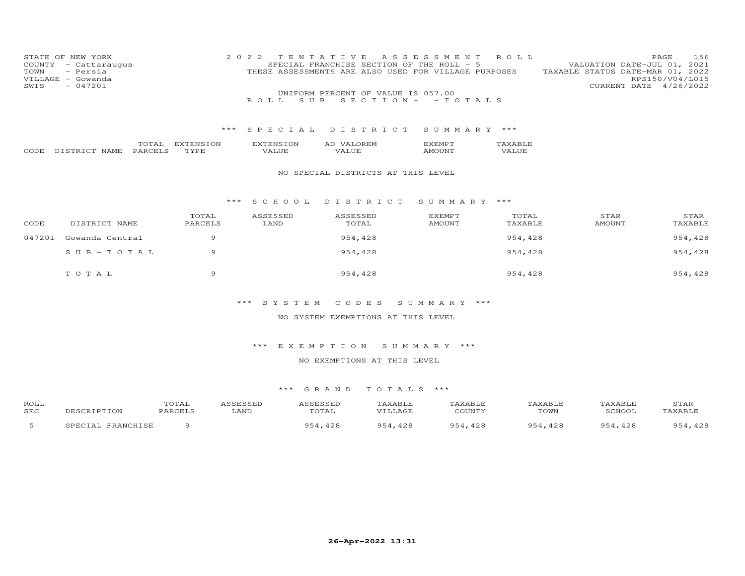| STATE OF NEW YORK    | 2022 TENTATIVE ASSESSMENT ROLL                       | 156<br>PAGE                      |
|----------------------|------------------------------------------------------|----------------------------------|
| COUNTY - Cattaraugus | SPECIAL FRANCHISE SECTION OF THE ROLL - 5            | VALUATION DATE-JUL 01, 2021      |
| TOWN - Persia        | THESE ASSESSMENTS ARE ALSO USED FOR VILLAGE PURPOSES | TAXABLE STATUS DATE-MAR 01, 2022 |
| VILLAGE - Gowanda    |                                                      | RPS150/V04/L015                  |
| SWIS<br>- 047201     |                                                      | CURRENT DATE 4/26/2022           |
|                      | UNIFORM PERCENT OF VALUE IS 057.00                   |                                  |
|                      | ROLL SUB SECTION- - TOTALS                           |                                  |
|                      |                                                      |                                  |
|                      |                                                      |                                  |
|                      |                                                      |                                  |

|       |                              | $n \wedge m \wedge n$ | ON<br>. | 'ON<br>'NL | $\sim$<br>∽ | ⊣יוי          |            |
|-------|------------------------------|-----------------------|---------|------------|-------------|---------------|------------|
| CODH. | $\sim$ $\sim$<br>---<br>NAME | P ∆ P                 |         | د، ·       | $\sqrt{ }$  | 'INI'<br>A MH | $\sqrt{ }$ |

#### NO SPECIAL DISTRICTS AT THIS LEVEL

#### \*\*\* S C H O O L D I S T R I C T S U M M A R Y \*\*\*

| CODE   | DISTRICT NAME   | TOTAL<br>PARCELS | ASSESSED<br>LAND | ASSESSED<br>TOTAL | EXEMPT<br><b>AMOUNT</b> | TOTAL<br>TAXABLE | STAR<br><b>AMOUNT</b> | STAR<br>TAXABLE |
|--------|-----------------|------------------|------------------|-------------------|-------------------------|------------------|-----------------------|-----------------|
| 047201 | Gowanda Central |                  |                  | 954,428           |                         | 954,428          |                       | 954,428         |
|        | SUB-TOTAL       | a                |                  | 954,428           |                         | 954,428          |                       | 954,428         |
|        | TOTAL           | $^{\circ}$       |                  | 954,428           |                         | 954,428          |                       | 954,428         |

## \*\*\* S Y S T E M C O D E S S U M M A R Y \*\*\*

## NO SYSTEM EXEMPTIONS AT THIS LEVEL

## \*\*\* E X E M P T I O N S U M M A R Y \*\*\*

## NO EXEMPTIONS AT THIS LEVEL

| ROLL |                                    | <b>TOTAT</b><br>uial |      | <i><b>\SSESSEL</b></i> | TAXABLE          | AXABLE             | TAXABLF           | TAXABLF     | STAF   |
|------|------------------------------------|----------------------|------|------------------------|------------------|--------------------|-------------------|-------------|--------|
| SEC  |                                    | PARCET               | LAND | TOTAL                  | . <del>. .</del> | COUNTY             | TOWN              | SCHOOL      | TAYART |
|      | <b>FRANCHICH</b><br><b>CDFCTAT</b> |                      |      | 428                    | 428              | $QF\Delta$<br>,428 | $QF \sim$<br>,428 | 954<br>,428 | 100    |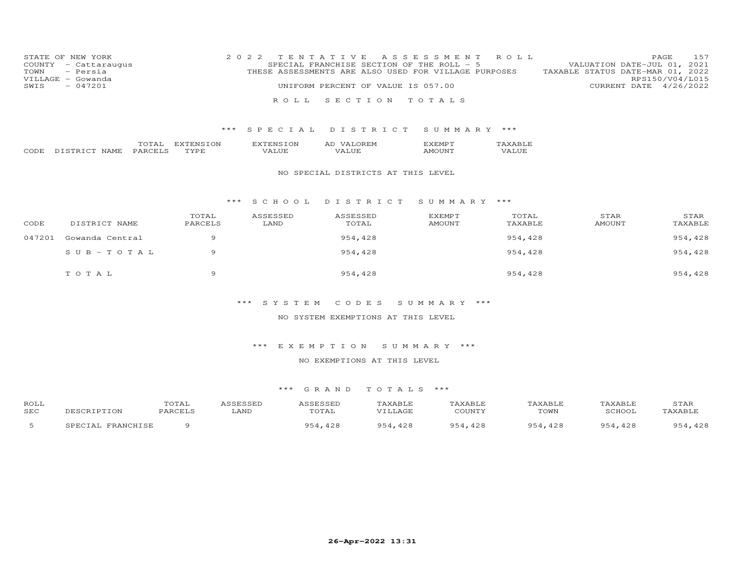| STATE OF NEW YORK    | 2022 TENTATIVE ASSESSMENT ROLL                       | 157<br>PAGE                      |
|----------------------|------------------------------------------------------|----------------------------------|
| COUNTY - Cattaraugus | SPECIAL FRANCHISE SECTION OF THE ROLL - 5            | VALUATION DATE-JUL 01, 2021      |
| TOWN - Persia        | THESE ASSESSMENTS ARE ALSO USED FOR VILLAGE PURPOSES | TAXABLE STATUS DATE-MAR 01, 2022 |
| VILLAGE - Gowanda    |                                                      | RPS150/V04/L015                  |
| SWIS<br>$-047201$    | UNIFORM PERCENT OF VALUE IS 057.00                   | CURRENT DATE 4/26/2022           |
|                      | ROLL SECTION TOTALS                                  |                                  |

|     |                                 | .                              | W              | $\overline{\phantom{a}}$ | ∸<br>יו.י<br>⊷ |   |
|-----|---------------------------------|--------------------------------|----------------|--------------------------|----------------|---|
| ⊤∩ד | $\sim$ $\sim$<br>.<br>NL 4<br>. | ∼.<br>$\overline{\phantom{a}}$ | T <sub>1</sub> |                          |                | . |

## NO SPECIAL DISTRICTS AT THIS LEVEL

#### \*\*\* S C H O O L D I S T R I C T S U M M A R Y \*\*\*

| CODE   | DISTRICT NAME   | TOTAL<br>PARCELS | ASSESSED<br>LAND | ASSESSED<br>TOTAL | <b>EXEMPT</b><br>AMOUNT | TOTAL<br>TAXABLE | STAR<br>AMOUNT | STAR<br>TAXABLE |
|--------|-----------------|------------------|------------------|-------------------|-------------------------|------------------|----------------|-----------------|
| 047201 | Gowanda Central | $\circ$          |                  | 954,428           |                         | 954,428          |                | 954,428         |
|        | SUB-TOTAL       | a                |                  | 954,428           |                         | 954,428          |                | 954,428         |
|        | TOTAL           | $^{\circ}$       |                  | 954,428           |                         | 954,428          |                | 954,428         |

## \*\*\* S Y S T E M C O D E S S U M M A R Y \*\*\*

#### NO SYSTEM EXEMPTIONS AT THIS LEVEL

## \*\*\* E X E M P T I O N S U M M A R Y \*\*\*

#### NO EXEMPTIONS AT THIS LEVEL

| ROLL |                             | TOTAL   | <i><b>\SSESSED</b></i> | <b>ASSESSED</b> | TAXABLE    | TAXABLE              | TAXABLE     | TAXABLE   | STAF                       |
|------|-----------------------------|---------|------------------------|-----------------|------------|----------------------|-------------|-----------|----------------------------|
| SEC  |                             | PARCELS | LAND                   | TOTAL           |            | COUNTY               | TOWN        | SCHOOL    | TAXABLE                    |
|      | FRANCHISE<br><b>IPECTAI</b> |         |                        | 428<br>9.54     | 951<br>428 | $QF \cap A$<br>, 428 | Q54<br>,428 | QE<br>428 | 54,428<br>$QF \sim \Delta$ |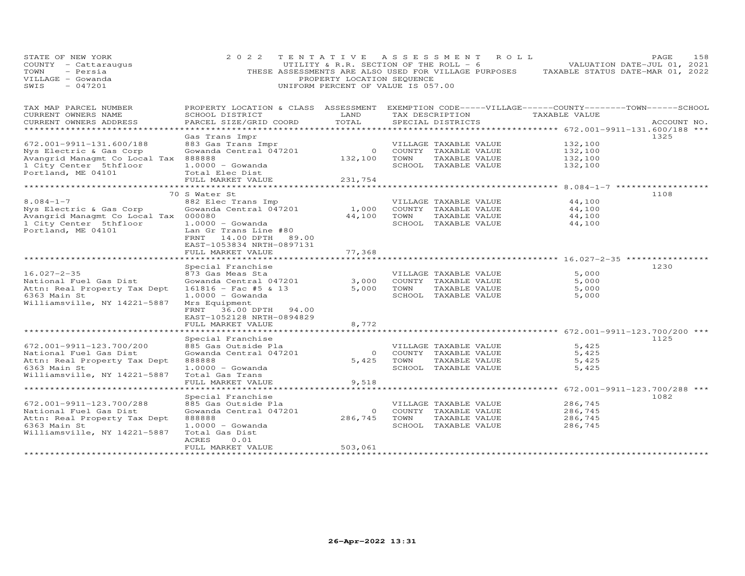| STATE OF NEW YORK<br>COUNTY - Cattaraugus<br>TOWN<br>- Persia<br>VILLAGE - Gowanda<br>$-047201$<br>SWIS | 2 0 2 2                                                                                                               | PROPERTY LOCATION SEQUENCE | TENTATIVE ASSESSMENT<br>UTILITY & R.R. SECTION OF THE ROLL - 6<br>THESE ASSESSMENTS ARE ALSO USED FOR VILLAGE PURPOSES<br>UNIFORM PERCENT OF VALUE IS 057.00 | R O L L                                                  | 158<br>PAGE<br>VALUATION DATE-JUL 01, 2021<br>TAXABLE STATUS DATE-MAR 01, 2022 |
|---------------------------------------------------------------------------------------------------------|-----------------------------------------------------------------------------------------------------------------------|----------------------------|--------------------------------------------------------------------------------------------------------------------------------------------------------------|----------------------------------------------------------|--------------------------------------------------------------------------------|
| TAX MAP PARCEL NUMBER<br>CURRENT OWNERS NAME                                                            | PROPERTY LOCATION & CLASS ASSESSMENT EXEMPTION CODE-----VILLAGE------COUNTY-------TOWN------SCHOOL<br>SCHOOL DISTRICT | LAND                       | TAX DESCRIPTION                                                                                                                                              | TAXABLE VALUE                                            |                                                                                |
| CURRENT OWNERS ADDRESS                                                                                  | PARCEL SIZE/GRID COORD                                                                                                | TOTAL                      | SPECIAL DISTRICTS                                                                                                                                            | ************* 672.001-9911-131.600/188 ***               | ACCOUNT NO.                                                                    |
|                                                                                                         | Gas Trans Impr                                                                                                        |                            |                                                                                                                                                              |                                                          | 1325                                                                           |
| 672.001-9911-131.600/188                                                                                | 883 Gas Trans Impr                                                                                                    |                            | VILLAGE TAXABLE VALUE                                                                                                                                        | 132,100                                                  |                                                                                |
| Nys Electric & Gas Corp                                                                                 | Gowanda Central 047201                                                                                                | $\overline{0}$             | COUNTY TAXABLE VALUE                                                                                                                                         | 132,100                                                  |                                                                                |
| Avangrid Managmt Co Local Tax                                                                           | 888888                                                                                                                | 132,100                    | TOWN<br>TAXABLE VALUE                                                                                                                                        | 132,100                                                  |                                                                                |
| 1 City Center 5thfloor                                                                                  | $1.0000 - Gowanda$                                                                                                    |                            | SCHOOL TAXABLE VALUE                                                                                                                                         | 132,100                                                  |                                                                                |
| Portland, ME 04101                                                                                      | Total Elec Dist                                                                                                       |                            |                                                                                                                                                              |                                                          |                                                                                |
|                                                                                                         | FULL MARKET VALUE                                                                                                     | 231,754                    |                                                                                                                                                              | *************************** 8.084-1-7 ****************** |                                                                                |
|                                                                                                         | 70 S Water St                                                                                                         |                            |                                                                                                                                                              |                                                          | 1108                                                                           |
| $8.084 - 1 - 7$                                                                                         | 882 Elec Trans Imp                                                                                                    |                            | VILLAGE TAXABLE VALUE                                                                                                                                        | 44,100                                                   |                                                                                |
| Nys Electric & Gas Corp                                                                                 | Gowanda Central 047201                                                                                                | 1,000                      | COUNTY TAXABLE VALUE                                                                                                                                         | 44,100                                                   |                                                                                |
| Avangrid Managmt Co Local Tax 000080                                                                    |                                                                                                                       | 44,100                     | TOWN<br>TAXABLE VALUE                                                                                                                                        | 44,100                                                   |                                                                                |
| 1 City Center 5thfloor                                                                                  | $1.0000 - Gowanda$                                                                                                    |                            | SCHOOL TAXABLE VALUE                                                                                                                                         | 44,100                                                   |                                                                                |
| Portland, ME 04101                                                                                      | Lan Gr Trans Line #80<br>FRNT<br>14.00 DPTH<br>89.00<br>EAST-1053834 NRTH-0897131                                     |                            |                                                                                                                                                              |                                                          |                                                                                |
|                                                                                                         | FULL MARKET VALUE                                                                                                     | 77,368                     |                                                                                                                                                              |                                                          |                                                                                |
|                                                                                                         | *******************                                                                                                   |                            |                                                                                                                                                              | ********************* 16.027-2-35 **********             |                                                                                |
|                                                                                                         | Special Franchise                                                                                                     |                            |                                                                                                                                                              |                                                          | 1230                                                                           |
| $16.027 - 2 - 35$                                                                                       | 873 Gas Meas Sta                                                                                                      |                            | VILLAGE TAXABLE VALUE                                                                                                                                        | 5,000                                                    |                                                                                |
| National Fuel Gas Dist                                                                                  | Gowanda Central 047201                                                                                                | 3,000                      | COUNTY TAXABLE VALUE                                                                                                                                         | 5,000                                                    |                                                                                |
| Attn: Real Property Tax Dept                                                                            | $161816 -$ Fac #5 & 13                                                                                                | 5,000                      | TOWN<br>TAXABLE VALUE                                                                                                                                        | 5,000                                                    |                                                                                |
| 6363 Main St<br>Williamsville, NY 14221-5887                                                            | $1.0000 - Gowanda$<br>Mrs Equipment                                                                                   |                            | SCHOOL TAXABLE VALUE                                                                                                                                         | 5,000                                                    |                                                                                |
|                                                                                                         | FRNT<br>36.00 DPTH<br>94.00                                                                                           |                            |                                                                                                                                                              |                                                          |                                                                                |
|                                                                                                         | EAST-1052128 NRTH-0894829                                                                                             |                            |                                                                                                                                                              |                                                          |                                                                                |
|                                                                                                         | FULL MARKET VALUE                                                                                                     | 8,772                      |                                                                                                                                                              |                                                          |                                                                                |
|                                                                                                         | *******************                                                                                                   |                            |                                                                                                                                                              | **************** 672.001-9911-123.700/200 ***            |                                                                                |
|                                                                                                         | Special Franchise                                                                                                     |                            |                                                                                                                                                              |                                                          | 1125                                                                           |
| 672.001-9911-123.700/200                                                                                | 885 Gas Outside Pla                                                                                                   |                            | VILLAGE TAXABLE VALUE                                                                                                                                        | 5,425                                                    |                                                                                |
| National Fuel Gas Dist                                                                                  | Gowanda Central 047201                                                                                                | $\overline{0}$             | COUNTY TAXABLE VALUE                                                                                                                                         | 5,425                                                    |                                                                                |
| Attn: Real Property Tax Dept<br>6363 Main St                                                            | 888888<br>$1.0000 - Gowanda$                                                                                          | 5,425                      | TOWN<br>TAXABLE VALUE<br>SCHOOL TAXABLE VALUE                                                                                                                | 5,425<br>5,425                                           |                                                                                |
| Williamsville, NY 14221-5887                                                                            | Total Gas Trans                                                                                                       |                            |                                                                                                                                                              |                                                          |                                                                                |
|                                                                                                         | FULL MARKET VALUE                                                                                                     | 9,518                      |                                                                                                                                                              |                                                          |                                                                                |
|                                                                                                         |                                                                                                                       |                            |                                                                                                                                                              | ********** 672.001-9911-123.700/288 ***                  |                                                                                |
|                                                                                                         | Special Franchise                                                                                                     |                            |                                                                                                                                                              |                                                          | 1082                                                                           |
| 672.001-9911-123.700/288                                                                                | 885 Gas Outside Pla                                                                                                   |                            | VILLAGE TAXABLE VALUE                                                                                                                                        | 286,745                                                  |                                                                                |
| National Fuel Gas Dist                                                                                  | Gowanda Central 047201                                                                                                | $\overline{0}$             | COUNTY TAXABLE VALUE                                                                                                                                         | 286,745                                                  |                                                                                |
| Attn: Real Property Tax Dept                                                                            | 888888                                                                                                                | 286,745                    | TOWN<br>TAXABLE VALUE                                                                                                                                        | 286,745                                                  |                                                                                |
| 6363 Main St<br>Williamsville, NY 14221-5887                                                            | $1.0000 - Gowanda$<br>Total Gas Dist                                                                                  |                            | SCHOOL TAXABLE VALUE                                                                                                                                         | 286,745                                                  |                                                                                |
|                                                                                                         | ACRES<br>0.01                                                                                                         |                            |                                                                                                                                                              |                                                          |                                                                                |
|                                                                                                         | FULL MARKET VALUE                                                                                                     | 503,061                    |                                                                                                                                                              |                                                          |                                                                                |
|                                                                                                         | ******************                                                                                                    | **************             |                                                                                                                                                              |                                                          |                                                                                |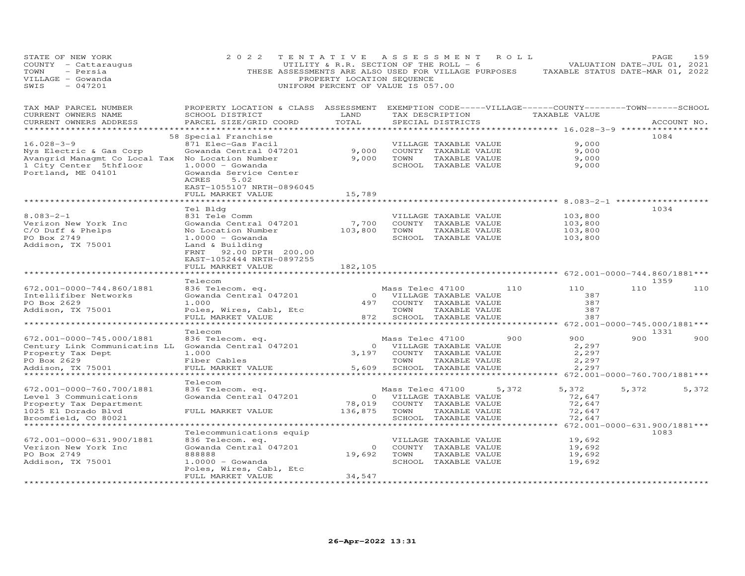| STATE OF NEW YORK<br>COUNTY - Cattaraugus<br>TOWN<br>- Persia<br>VILLAGE - Gowanda<br>$-047201$<br>SWIS                                         | 2 0 2 2                                                                                                                                                                                        | TENTATIVE ASSESSMENT ROLL<br>UTILITY & R.R. SECTION OF THE ROLL - 6<br>THESE ASSESSMENTS ARE ALSO USED FOR VILLAGE PURPOSES<br>PROPERTY LOCATION SEQUENCE<br>UNIFORM PERCENT OF VALUE IS 057.00 |                                                                                 |                                                                                        |       | VALUATION DATE-JUL 01, 2021<br>TAXABLE STATUS DATE-MAR 01, 2022                              |       | PAGE        | 159   |
|-------------------------------------------------------------------------------------------------------------------------------------------------|------------------------------------------------------------------------------------------------------------------------------------------------------------------------------------------------|-------------------------------------------------------------------------------------------------------------------------------------------------------------------------------------------------|---------------------------------------------------------------------------------|----------------------------------------------------------------------------------------|-------|----------------------------------------------------------------------------------------------|-------|-------------|-------|
| TAX MAP PARCEL NUMBER<br>CURRENT OWNERS NAME<br>CURRENT OWNERS ADDRESS<br>************************                                              | PROPERTY LOCATION & CLASS ASSESSMENT EXEMPTION CODE-----VILLAGE------COUNTY-------TOWN------SCHOOL<br>SCHOOL DISTRICT<br>PARCEL SIZE/GRID COORD<br>******************************              | LAND<br>TOTAL                                                                                                                                                                                   |                                                                                 | TAX DESCRIPTION<br>SPECIAL DISTRICTS                                                   |       | TAXABLE VALUE                                                                                |       | ACCOUNT NO. |       |
| $16.028 - 3 - 9$<br>Nys Electric & Gas Corp<br>Avangrid Managmt Co Local Tax No Location Number<br>1 City Center 5thfloor<br>Portland, ME 04101 | 58 Special Franchise<br>871 Elec-Gas Facil<br>Gowanda Central 047201<br>$1.0000 - Gowanda$<br>Gowanda Service Center<br>ACRES<br>5.02<br>EAST-1055107 NRTH-0896045<br>FULL MARKET VALUE        | 9,000<br>9,000<br>15,789                                                                                                                                                                        | TOWN                                                                            | VILLAGE TAXABLE VALUE<br>COUNTY TAXABLE VALUE<br>TAXABLE VALUE<br>SCHOOL TAXABLE VALUE |       | 9,000<br>9,000<br>9,000<br>9,000                                                             |       | 1084        |       |
| $8.083 - 2 - 1$<br>Verizon New York Inc<br>C/O Duff & Phelps<br>PO Box 2749<br>Addison, TX 75001                                                | Tel Bldg<br>831 Tele Comm<br>Gowanda Central 047201<br>No Location Number<br>$1.0000 - Gowanda$<br>Land & Building<br>FRNT 92.00 DPTH 200.00<br>EAST-1052444 NRTH-0897255<br>FULL MARKET VALUE | 7,700<br>103,800<br>182,105                                                                                                                                                                     | TOWN                                                                            | VILLAGE TAXABLE VALUE<br>COUNTY TAXABLE VALUE<br>TAXABLE VALUE<br>SCHOOL TAXABLE VALUE |       | ********** 8.083-2-1 **********<br>103,800<br>103,800<br>103,800<br>103,800                  |       | 1034        |       |
| 672.001-0000-744.860/1881<br>Intellifiber Networks<br>PO Box 2629<br>Addison, TX 75001<br>*******************                                   | Telecom<br>836 Telecom. eq.<br>Gowanda Central 047201<br>1.000<br>Poles, Wires, Cabl, Etc<br>FULL MARKET VALUE<br>* * * * * * * * * * * * * * * * * * * *                                      | 872                                                                                                                                                                                             | Mass Telec 47100<br>0 VILLAGE TAXABLE VALUE<br>497 COUNTY TAXABLE VALUE<br>TOWN | TAXABLE VALUE<br>SCHOOL TAXABLE VALUE                                                  |       | ********************* 672.001-0000-744.860/1881***<br>110<br>110<br>387<br>387<br>387<br>387 | 110   | 1359        | 110   |
| 672.001-0000-745.000/1881<br>Century Link Communicatins LL Gowanda Central 047201<br>Property Tax Dept<br>PO Box 2629<br>Addison, TX 75001      | Telecom<br>836 Telecom. eq.<br>1,000<br>Fiber Cables<br>FULL MARKET VALUE                                                                                                                      | $\overline{O}$<br>3,197<br>5,609                                                                                                                                                                | Mass Telec 47100<br>VILLAGE TAXABLE VALUE<br>TOWN                               | COUNTY TAXABLE VALUE<br>TAXABLE VALUE<br>SCHOOL TAXABLE VALUE                          |       | 900<br>900<br>2,297<br>2,297<br>2,297<br>2,297                                               | 900   | 1331        | 900   |
| 672.001-0000-760.700/1881<br>Level 3 Communications<br>Property Tax Department<br>1025 El Dorado Blvd<br>Broomfield, CO 80021                   | Telecom<br>836 Telecom. eq.<br>Gowanda Central 047201<br>FULL MARKET VALUE                                                                                                                     | 78,019<br>136,875                                                                                                                                                                               | ****************<br>Mass Telec 47100<br>0 VILLAGE TAXABLE VALUE<br>TOWN         | COUNTY TAXABLE VALUE<br>TAXABLE VALUE<br>SCHOOL TAXABLE VALUE                          | 5,372 | ******** 672.001-0000-760.700/1881***<br>5,372<br>72,647<br>72,647<br>72,647<br>72,647       | 5,372 |             | 5,372 |
| ******************************<br>672.001-0000-631.900/1881<br>Verizon New York Inc<br>PO Box 2749<br>Addison, TX 75001                         | Telecommunications equip<br>836 Telecom. eq.<br>Gowanda Central 047201<br>888888<br>$1.0000 - G$ owanda<br>Poles, Wires, Cabl, Etc<br>FULL MARKET VALUE<br>*********************               | 19,692<br>34,547<br>++++++++++++++++++++++                                                                                                                                                      | 0 COUNTY TAXABLE VALUE<br>TOWN                                                  | VILLAGE TAXABLE VALUE<br>TAXABLE VALUE<br>SCHOOL TAXABLE VALUE                         |       | 19,692<br>19,692<br>19,692<br>19,692                                                         |       | 1083        |       |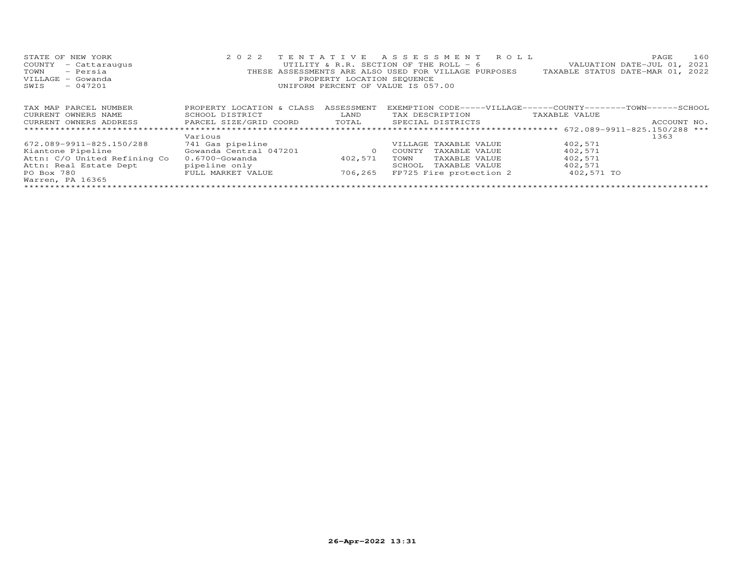| STATE OF NEW YORK            | 2 0 2 2                   |                            | TENTATIVE ASSESSMENT ROLL                                      |                                  | 160<br>PAGE                 |
|------------------------------|---------------------------|----------------------------|----------------------------------------------------------------|----------------------------------|-----------------------------|
| COUNTY<br>- Cattaraugus      |                           |                            | UTILITY & R.R. SECTION OF THE ROLL - 6                         |                                  | VALUATION DATE-JUL 01, 2021 |
| - Persia<br>TOWN             |                           |                            | THESE ASSESSMENTS ARE ALSO USED FOR VILLAGE PURPOSES           | TAXABLE STATUS DATE-MAR 01, 2022 |                             |
| VILLAGE - Gowanda            |                           | PROPERTY LOCATION SEQUENCE |                                                                |                                  |                             |
| $-047201$<br>SWIS            |                           |                            | UNIFORM PERCENT OF VALUE IS 057.00                             |                                  |                             |
|                              |                           |                            |                                                                |                                  |                             |
|                              |                           |                            |                                                                |                                  |                             |
| TAX MAP PARCEL NUMBER        | PROPERTY LOCATION & CLASS | ASSESSMENT                 | EXEMPTION CODE-----VILLAGE------COUNTY--------TOWN------SCHOOL |                                  |                             |
| CURRENT OWNERS NAME          | SCHOOL DISTRICT           | LAND                       | TAX DESCRIPTION                                                | TAXABLE VALUE                    |                             |
| CURRENT OWNERS ADDRESS       | PARCEL SIZE/GRID COORD    | TOTAL                      | SPECIAL DISTRICTS                                              |                                  | ACCOUNT NO.                 |
|                              |                           |                            |                                                                |                                  |                             |
|                              | Various                   |                            |                                                                |                                  | 1363                        |
| 672.089-9911-825.150/288     | 741 Gas pipeline          |                            | VILLAGE TAXABLE VALUE                                          | 402,571                          |                             |
| Kiantone Pipeline            | Gowanda Central 047201    | $\circ$                    | COUNTY<br>TAXABLE VALUE                                        | 402,571                          |                             |
| Attn: C/O United Refining Co | $0.6700 -$ Gowanda        | 402,571                    | TAXABLE VALUE<br>TOWN                                          | 402,571                          |                             |
| Attn: Real Estate Dept       | pipeline only             |                            | SCHOOL<br>TAXABLE VALUE                                        | 402,571                          |                             |
| PO Box 780                   | FULL MARKET VALUE         | 706,265                    | FP725 Fire protection 2                                        | 402,571 TO                       |                             |
| Warren, PA 16365             |                           |                            |                                                                |                                  |                             |
|                              |                           |                            |                                                                |                                  |                             |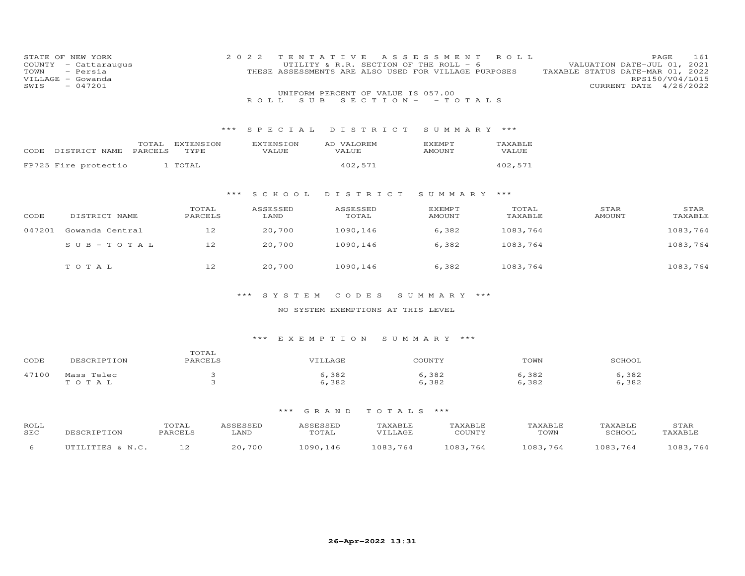| COUNTY<br>TOWN<br>VILLAGE<br>SWIS | STATE OF NEW YORK<br>- Cattaraugus<br>- Persia<br>- Gowanda<br>$-047201$ |                 | 2 0 2 2          | TENTATIVE<br>UTILITY & R.R. SECTION OF THE ROLL - 6<br>THESE ASSESSMENTS ARE ALSO USED FOR VILLAGE PURPOSES<br>UNIFORM PERCENT OF VALUE IS 057.00 | A S S E S S M E N T             | ROLL     | VALUATION DATE-JUL 01,<br>TAXABLE STATUS DATE-MAR 01, 2022<br>CURRENT DATE 4/26/2022 | PAGE<br>161<br>2021<br>RPS150/V04/L015 |
|-----------------------------------|--------------------------------------------------------------------------|-----------------|------------------|---------------------------------------------------------------------------------------------------------------------------------------------------|---------------------------------|----------|--------------------------------------------------------------------------------------|----------------------------------------|
|                                   |                                                                          |                 | S U B<br>R O L L |                                                                                                                                                   | $S E C T I O N - - T O T A L S$ |          |                                                                                      |                                        |
|                                   |                                                                          |                 |                  |                                                                                                                                                   |                                 |          |                                                                                      |                                        |
|                                   |                                                                          | $***$           | SPECIAL          | DISTRICT                                                                                                                                          | SUMMARY ***                     |          |                                                                                      |                                        |
|                                   |                                                                          | TOTAL EXTENSION | <b>EXTENSION</b> | AD VALOREM                                                                                                                                        | <b>EXEMPT</b>                   | TAXABLE  |                                                                                      |                                        |
|                                   | PARCELS<br>CODE DISTRICT NAME                                            | TYPE            | VALUE            | VALUE                                                                                                                                             | <b>AMOUNT</b>                   | VALUE    |                                                                                      |                                        |
|                                   | FP725 Fire protectio                                                     | 1 TOTAL         |                  | 402,571                                                                                                                                           |                                 | 402,571  |                                                                                      |                                        |
|                                   |                                                                          |                 |                  |                                                                                                                                                   |                                 |          |                                                                                      |                                        |
|                                   |                                                                          | $***$           | S C H O O L      | DISTRICT                                                                                                                                          | SUMMARY ***                     |          |                                                                                      |                                        |
|                                   |                                                                          | TOTAL           | ASSESSED         | ASSESSED                                                                                                                                          | <b>EXEMPT</b>                   | TOTAL    | STAR                                                                                 | STAR                                   |
| CODE                              | DISTRICT NAME                                                            | PARCELS         | LAND             | TOTAL                                                                                                                                             | AMOUNT                          | TAXABLE  | AMOUNT                                                                               | TAXABLE                                |
| 047201                            | Gowanda Central                                                          | 12              | 20,700           | 1090,146                                                                                                                                          | 6,382                           | 1083,764 |                                                                                      | 1083,764                               |
|                                   | $SUB - TO T AL$                                                          | 12              | 20,700           | 1090,146                                                                                                                                          | 6,382                           | 1083,764 |                                                                                      | 1083,764                               |
|                                   |                                                                          |                 |                  |                                                                                                                                                   |                                 |          |                                                                                      |                                        |
|                                   | TOTAL                                                                    | 12              | 20,700           | 1090,146                                                                                                                                          | 6,382                           | 1083,764 |                                                                                      | 1083,764                               |
|                                   |                                                                          |                 |                  |                                                                                                                                                   |                                 |          |                                                                                      |                                        |
|                                   |                                                                          |                 | SYSTEM<br>* * *  | CODES                                                                                                                                             | SUMMARY ***                     |          |                                                                                      |                                        |

# NO SYSTEM EXEMPTIONS AT THIS LEVEL

# \*\*\* E X E M P T I O N S U M M A R Y \*\*\*

| CODE  | DESCRIPTION            | momm<br>TOTAT<br>PARCELS | VILLAGE      | COUNTY       | TOWN          | SCHOOL        |
|-------|------------------------|--------------------------|--------------|--------------|---------------|---------------|
| 47100 | Mass Telec<br>$\Delta$ |                          | ,382<br>,382 | ,382<br>,382 | ,382<br>6,382 | , 382<br>,382 |

| ROLL<br>SEC | DESCRIPTION      | 'OTAI<br>PARCELS | ASSESSED<br>LAND | ASSESSED<br>TOTAL | TAXABLE<br>VILLAGE | TAXABLE<br>COUNTY | TAXABLE<br>TOWN | TAXABLE<br>SCHOOL | STAR<br>TAXABLE |
|-------------|------------------|------------------|------------------|-------------------|--------------------|-------------------|-----------------|-------------------|-----------------|
|             | UTILITIES & N.C. |                  | 20,700           | 1090,146          | 1083,764           | 1083,764          | 1083,764        | 1083,764          | 1083,764        |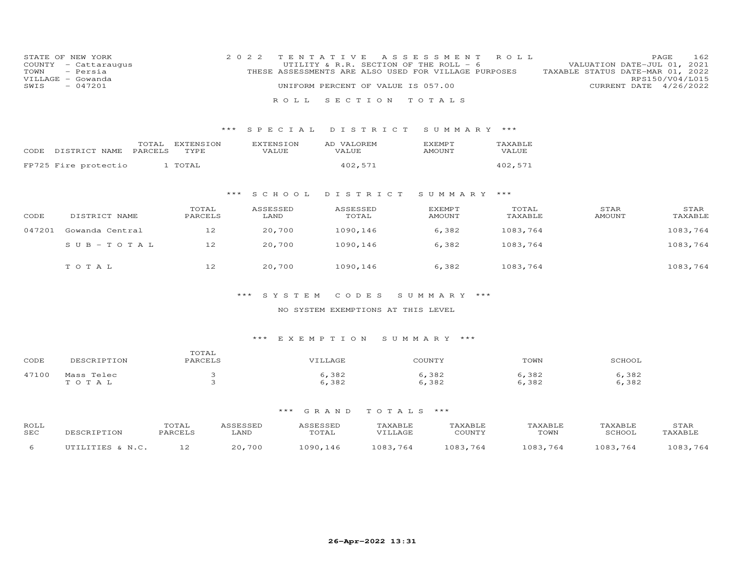| STATE OF NEW YORK<br>COUNTY<br>- Cattaraugus<br>TOWN<br>- Persia<br>VILLAGE - Gowanda<br>$-047201$<br>SWIS |                            | 2 0 2 2            | TENTATIVE<br>UTILITY & R.R. SECTION OF THE ROLL - $6$<br>THESE ASSESSMENTS ARE ALSO USED FOR VILLAGE PURPOSES<br>UNIFORM PERCENT OF VALUE IS 057.00 | A S S E S S M E N T R O L L |                  | PAGE<br>VALUATION DATE-JUL 01, 2021<br>TAXABLE STATUS DATE-MAR 01, 2022<br>RPS150/V04/L015<br>CURRENT DATE | 162<br>4/26/2022 |
|------------------------------------------------------------------------------------------------------------|----------------------------|--------------------|-----------------------------------------------------------------------------------------------------------------------------------------------------|-----------------------------|------------------|------------------------------------------------------------------------------------------------------------|------------------|
|                                                                                                            |                            |                    | ROLL SECTION TOTALS                                                                                                                                 |                             |                  |                                                                                                            |                  |
|                                                                                                            |                            | $***$ SPECIAL      | DISTRICT                                                                                                                                            | SUMMARY ***                 |                  |                                                                                                            |                  |
| CODE DISTRICT NAME<br>PARCELS                                                                              | EXTENSION<br>TOTAL<br>TYPE | EXTENSION<br>VALUE | AD VALOREM<br>VALUE                                                                                                                                 | EXEMPT<br>AMOUNT            | TAXABLE<br>VALUE |                                                                                                            |                  |
| FP725 Fire protectio                                                                                       | 1 TOTAL                    |                    | 402,571                                                                                                                                             |                             | 402,571          |                                                                                                            |                  |
|                                                                                                            |                            |                    |                                                                                                                                                     |                             |                  |                                                                                                            |                  |

# \*\*\* S C H O O L D I S T R I C T S U M M A R Y \*\*\*

| CODE   | DISTRICT NAME   | TOTAL<br>PARCELS | ASSESSED<br>LAND | ASSESSED<br>TOTAL | EXEMPT<br>AMOUNT | TOTAL<br>TAXABLE | STAR<br>AMOUNT | STAR<br>TAXABLE |
|--------|-----------------|------------------|------------------|-------------------|------------------|------------------|----------------|-----------------|
| 047201 | Gowanda Central | 12               | 20,700           | 1090,146          | 6,382            | 1083,764         |                | 1083,764        |
|        | $SUB - TO T AL$ | 12               | 20,700           | 1090,146          | 6,382            | 1083,764         |                | 1083,764        |
|        | TOTAL           | 12               | 20,700           | 1090,146          | 6,382            | 1083,764         |                | 1083,764        |

# \*\*\* S Y S T E M C O D E S S U M M A R Y \*\*\*

# NO SYSTEM EXEMPTIONS AT THIS LEVEL

# \*\*\* E X E M P T I O N S U M M A R Y \*\*\*

| CODE  | DESCRIPTION | TOTAL<br>PARCELS | VILLAGE | COUNTY | TOWN  | SCHOOL |
|-------|-------------|------------------|---------|--------|-------|--------|
| 47100 | Mass Telec  |                  | 5,382   | 6,382  | ,382  | 6,382  |
|       | TOTAL       |                  | 6,382   | 6,382  | 6,382 | 6,382  |

| ROLL<br>SEC | DESCRIPTION      | TOTAL<br>PARCELS | ASSESSED<br>∟AND | ASSESSED<br>TOTAL | TAXABLE<br>VTLLAGE | TAXABLE<br>COUNTY | TAXABLE<br>TOWN | TAXABLE<br>SCHOOI | STAR<br>TAXABLE |
|-------------|------------------|------------------|------------------|-------------------|--------------------|-------------------|-----------------|-------------------|-----------------|
|             | UTILITIES & N.C. |                  | 20,700           | 1090,146          | 1083.764           | 1083,764          | 1083.764        | 1083.764          | 1083,764        |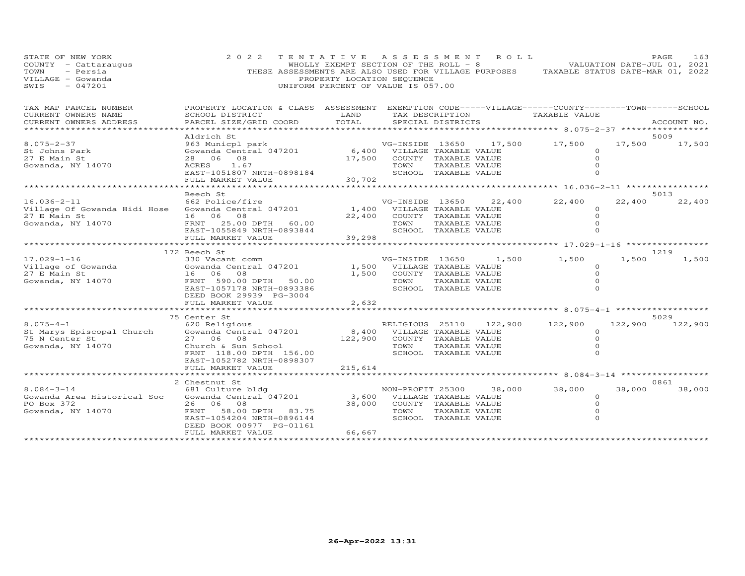| STATE OF NEW YORK<br>COUNTY - Cattaraugus<br>TOWN<br>- Persia<br>VILLAGE - Gowanda<br>$-047201$<br>SWIS | 2 0 2 2<br>THESE ASSESSMENTS ARE ALSO USED FOR VILLAGE PURPOSES TAXABLE STATUS DATE-MAR 01, 2022                                                                                  | TENTATIVE ASSESSMENT<br>WHOLLY EXEMPT SECTION OF THE ROLL - 8<br>PROPERTY LOCATION SEQUENCE<br>UNIFORM PERCENT OF VALUE IS 057.00 |                                                   |                                                                                        | R O L L         |                                                                |                                                      | PAGE           | 163<br>VALUATION DATE-JUL 01, 2021 |
|---------------------------------------------------------------------------------------------------------|-----------------------------------------------------------------------------------------------------------------------------------------------------------------------------------|-----------------------------------------------------------------------------------------------------------------------------------|---------------------------------------------------|----------------------------------------------------------------------------------------|-----------------|----------------------------------------------------------------|------------------------------------------------------|----------------|------------------------------------|
| TAX MAP PARCEL NUMBER<br>CURRENT OWNERS NAME<br>CURRENT OWNERS ADDRESS                                  | PROPERTY LOCATION & CLASS ASSESSMENT EXEMPTION CODE-----VILLAGE------COUNTY--------TOWN------SCHOOL<br>SCHOOL DISTRICT<br>PARCEL SIZE/GRID COORD                                  | LAND<br>TOTAL                                                                                                                     |                                                   | SPECIAL DISTRICTS                                                                      | TAX DESCRIPTION | TAXABLE VALUE                                                  |                                                      |                | ACCOUNT NO.                        |
| ***********************                                                                                 |                                                                                                                                                                                   |                                                                                                                                   |                                                   |                                                                                        |                 |                                                                |                                                      |                |                                    |
| $8.075 - 2 - 37$<br>St Johns Park<br>27 E Main St<br>Gowanda, NY 14070                                  | Aldrich St<br>963 Municpl park<br>Gowanda Central 047201<br>28 06 08<br>ACRES<br>1.67<br>EAST-1051807 NRTH-0898184<br>FULL MARKET VALUE                                           | 6,400<br>17,500<br>30,702                                                                                                         | VG-INSIDE 13650<br>VILLAGE TAXABLE VALUE<br>TOWN  | COUNTY TAXABLE VALUE<br>TAXABLE VALUE<br>SCHOOL TAXABLE VALUE                          | 17,500          | 17,500                                                         | $\circ$<br>$\circ$<br>$\Omega$<br>$\Omega$           | 5009<br>17,500 | 17,500                             |
|                                                                                                         | ********************                                                                                                                                                              |                                                                                                                                   |                                                   |                                                                                        |                 |                                                                |                                                      |                |                                    |
| $16.036 - 2 - 11$<br>Village Of Gowanda Hidi Hose<br>27 E Main St<br>Gowanda, NY 14070                  | Beech St<br>662 Police/fire<br>Gowanda Central 047201<br>16 06 08<br>FRNT 25.00 DPTH<br>60.00                                                                                     | 1,400<br>22,400                                                                                                                   | VG-INSIDE 13650<br>VILLAGE TAXABLE VALUE<br>TOWN  | COUNTY TAXABLE VALUE<br>TAXABLE VALUE                                                  | 22,400          | 22,400                                                         | $\Omega$<br>$\Omega$<br>$\Omega$                     | 5013<br>22,400 | 22,400                             |
|                                                                                                         | EAST-1055849 NRTH-0893844                                                                                                                                                         |                                                                                                                                   |                                                   | SCHOOL TAXABLE VALUE                                                                   |                 |                                                                | $\Omega$                                             |                |                                    |
|                                                                                                         | FULL MARKET VALUE                                                                                                                                                                 | 39,298                                                                                                                            |                                                   |                                                                                        |                 |                                                                |                                                      |                |                                    |
|                                                                                                         | ***************************                                                                                                                                                       | * * * * * * * * * * * * *                                                                                                         |                                                   |                                                                                        |                 | ********************************* 17.029-1-16 **************** |                                                      |                |                                    |
| $17.029 - 1 - 16$<br>Village of Gowanda<br>27 E Main St<br>Gowanda, NY 14070                            | 172 Beech St<br>330 Vacant comm<br>Gowanda Central 047201<br>16 06<br>08<br>FRNT 590.00 DPTH 50.00<br>EAST-1057178 NRTH-0893386<br>DEED BOOK 29939 PG-3004                        | 1,500<br>1,500                                                                                                                    | VG-INSIDE 13650<br>TOWN                           | VILLAGE TAXABLE VALUE<br>COUNTY TAXABLE VALUE<br>TAXABLE VALUE<br>SCHOOL TAXABLE VALUE | 1,500           | 1,500                                                          | $\circ$<br>$\circ$                                   | 1219<br>1,500  | 1,500                              |
|                                                                                                         | FULL MARKET VALUE                                                                                                                                                                 | 2,632                                                                                                                             |                                                   |                                                                                        |                 |                                                                |                                                      |                |                                    |
|                                                                                                         |                                                                                                                                                                                   |                                                                                                                                   |                                                   |                                                                                        |                 | ************************* 8.075-4-1 *******************        |                                                      |                |                                    |
| $8.075 - 4 - 1$<br>St Marys Episcopal Church<br>75 N Center St<br>Gowanda, NY 14070                     | 75 Center St<br>620 Religious<br>Gowanda Central 047201<br>27 06<br>08<br>Church & Sun School<br>FRNT 118.00 DPTH 156.00<br>EAST-1052782 NRTH-0898307<br>FULL MARKET VALUE        | 8,400<br>122,900<br>215,614                                                                                                       | RELIGIOUS 25110<br>TOWN                           | VILLAGE TAXABLE VALUE<br>COUNTY TAXABLE VALUE<br>TAXABLE VALUE<br>SCHOOL TAXABLE VALUE | 122,900         | 122,900                                                        | 122,900<br>$\circ$<br>$\circ$<br>$\circ$<br>$\Omega$ | 5029           | 122,900                            |
|                                                                                                         | .                                                                                                                                                                                 |                                                                                                                                   |                                                   |                                                                                        |                 | ************************ 8.084-3-14 ******************         |                                                      |                |                                    |
| $8.084 - 3 - 14$<br>Gowanda Area Historical Soc<br>PO Box 372<br>Gowanda, NY 14070                      | 2 Chestnut St<br>681 Culture bldg<br>Gowanda Central 047201<br>26 06 08<br>FRNT 58.00 DPTH<br>83.75<br>EAST-1054204 NRTH-0896144<br>DEED BOOK 00977 PG-01161<br>FULL MARKET VALUE | 3,600<br>38,000<br>66,667                                                                                                         | NON-PROFIT 25300<br>VILLAGE TAXABLE VALUE<br>TOWN | COUNTY TAXABLE VALUE<br>TAXABLE VALUE<br>SCHOOL TAXABLE VALUE                          | 38,000          | 38,000                                                         | $\circ$<br>$\Omega$<br>$\circ$<br>$\Omega$           | 0861<br>38,000 | 38,000                             |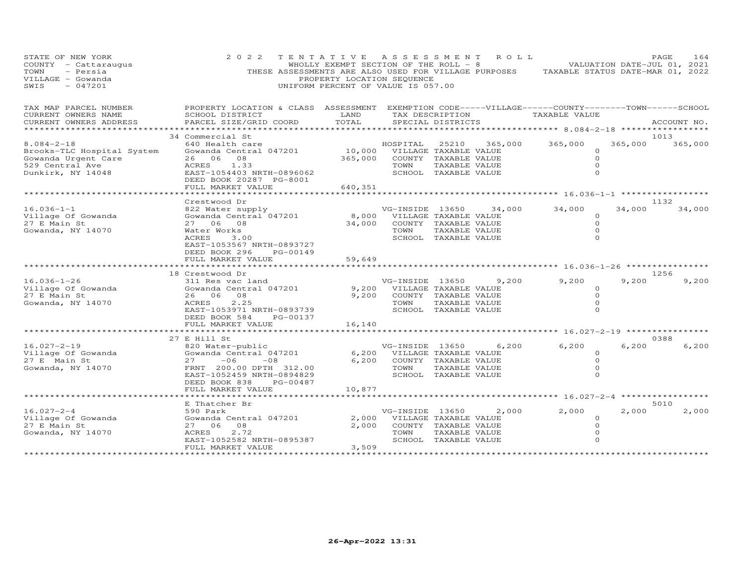| STATE OF NEW YORK<br>COUNTY - Cattaraugus<br>- Persia<br>TOWN<br>VILLAGE - Gowanda<br>$-047201$<br>SWIS | 2 0 2 2<br>THESE ASSESSMENTS ARE ALSO USED FOR VILLAGE PURPOSES TAXABLE STATUS DATE-MAR 01, 2022                       | TENTATIVE ASSESSMENT ROLL<br>PROPERTY LOCATION SEQUENCE<br>UNIFORM PERCENT OF VALUE IS 057.00 |                                                |                      |         | WHOLLY EXEMPT SECTION OF THE ROLL - 8 VALUATION DATE-JUL 01, 2021 |         | PAGE<br>164   |
|---------------------------------------------------------------------------------------------------------|------------------------------------------------------------------------------------------------------------------------|-----------------------------------------------------------------------------------------------|------------------------------------------------|----------------------|---------|-------------------------------------------------------------------|---------|---------------|
| TAX MAP PARCEL NUMBER<br>CURRENT OWNERS NAME                                                            | PROPERTY LOCATION & CLASS ASSESSMENT EXEMPTION CODE-----VILLAGE------COUNTY--------TOWN------SCHOOL<br>SCHOOL DISTRICT | LAND                                                                                          |                                                | TAX DESCRIPTION      |         | TAXABLE VALUE                                                     |         |               |
| CURRENT OWNERS ADDRESS                                                                                  | PARCEL SIZE/GRID COORD                                                                                                 | TOTAL                                                                                         |                                                | SPECIAL DISTRICTS    |         |                                                                   |         | ACCOUNT NO.   |
| ******************                                                                                      |                                                                                                                        |                                                                                               |                                                |                      |         |                                                                   |         |               |
|                                                                                                         | 34 Commercial St                                                                                                       |                                                                                               |                                                |                      |         |                                                                   |         | 1013          |
| $8.084 - 2 - 18$                                                                                        | 640 Health care                                                                                                        |                                                                                               | HOSPITAL                                       | 25210                | 365,000 | 365,000                                                           | 365,000 | 365,000       |
| Brooks-TLC Hospital System<br>Gowanda Urgent Care                                                       | Gowanda Central 047201<br>26 06 08                                                                                     | 365,000                                                                                       | 10,000 VILLAGE TAXABLE VALUE                   | COUNTY TAXABLE VALUE |         | $\circ$<br>$\circ$                                                |         |               |
| 529 Central Ave                                                                                         | ACRES 1.33                                                                                                             |                                                                                               | TOWN                                           | TAXABLE VALUE        |         | $\circ$                                                           |         |               |
| Dunkirk, NY 14048                                                                                       | EAST-1054403 NRTH-0896062                                                                                              |                                                                                               |                                                | SCHOOL TAXABLE VALUE |         | $\Omega$                                                          |         |               |
|                                                                                                         | DEED BOOK 20287 PG-8001                                                                                                |                                                                                               |                                                |                      |         |                                                                   |         |               |
|                                                                                                         | FULL MARKET VALUE                                                                                                      | 640,351                                                                                       |                                                |                      |         |                                                                   |         |               |
|                                                                                                         | ****************************                                                                                           |                                                                                               |                                                |                      |         |                                                                   |         |               |
| $16.036 - 1 - 1$                                                                                        | Crestwood Dr                                                                                                           |                                                                                               |                                                |                      |         |                                                                   |         | 1132          |
| Village Of Gowanda                                                                                      | 822 Water supply<br>Gowanda Central 047201                                                                             |                                                                                               | VG-INSIDE 13650<br>8,000 VILLAGE TAXABLE VALUE |                      | 34,000  | 34,000<br>$\Omega$                                                | 34,000  | 34,000        |
| 27 E Main St                                                                                            | 27 06 08                                                                                                               | 34,000                                                                                        |                                                | COUNTY TAXABLE VALUE |         | $\Omega$                                                          |         |               |
| Gowanda, NY 14070                                                                                       | Water Works                                                                                                            |                                                                                               | TOWN                                           | TAXABLE VALUE        |         | $\Omega$                                                          |         |               |
|                                                                                                         | ACRES<br>3.00                                                                                                          |                                                                                               |                                                | SCHOOL TAXABLE VALUE |         | $\Omega$                                                          |         |               |
|                                                                                                         | EAST-1053567 NRTH-0893727                                                                                              |                                                                                               |                                                |                      |         |                                                                   |         |               |
|                                                                                                         | DEED BOOK 296<br>PG-00149                                                                                              |                                                                                               |                                                |                      |         |                                                                   |         |               |
|                                                                                                         | FULL MARKET VALUE                                                                                                      | 59,649                                                                                        |                                                |                      |         |                                                                   |         |               |
|                                                                                                         |                                                                                                                        |                                                                                               |                                                |                      |         |                                                                   |         |               |
| 16.036-1-26                                                                                             | 18 Crestwood Dr<br>311 Res vac land                                                                                    |                                                                                               | VG-INSIDE 13650                                |                      | 9,200   | 9,200                                                             | 9,200   | 1256<br>9,200 |
| Village Of Gowanda                                                                                      | Gowanda Central 047201                                                                                                 |                                                                                               | 9,200 VILLAGE TAXABLE VALUE                    |                      |         | $\circ$                                                           |         |               |
| 27 E Main St                                                                                            | 26 06 08                                                                                                               | 9,200                                                                                         |                                                | COUNTY TAXABLE VALUE |         | $\Omega$                                                          |         |               |
| Gowanda, NY 14070                                                                                       | ACRES<br>2.25                                                                                                          |                                                                                               | TOWN                                           | TAXABLE VALUE        |         | $\Omega$                                                          |         |               |
|                                                                                                         | EAST-1053971 NRTH-0893739                                                                                              |                                                                                               |                                                | SCHOOL TAXABLE VALUE |         | $\Omega$                                                          |         |               |
|                                                                                                         | DEED BOOK 584<br>PG-00137                                                                                              |                                                                                               |                                                |                      |         |                                                                   |         |               |
|                                                                                                         | FULL MARKET VALUE                                                                                                      | 16,140                                                                                        |                                                |                      |         |                                                                   |         |               |
|                                                                                                         | 27 E Hill St                                                                                                           |                                                                                               |                                                |                      |         |                                                                   |         | 0388          |
| $16.027 - 2 - 19$                                                                                       | 820 Water-public                                                                                                       |                                                                                               | VG-INSIDE 13650                                |                      | 6,200   | 6,200                                                             | 6,200   | 6,200         |
| Village Of Gowanda                                                                                      | Gowanda Central 047201                                                                                                 |                                                                                               | 6,200 VILLAGE TAXABLE VALUE                    |                      |         | $\circ$                                                           |         |               |
| 27 E Main St                                                                                            | $27 -06$<br>$-08$                                                                                                      | 6,200                                                                                         |                                                | COUNTY TAXABLE VALUE |         | $\Omega$                                                          |         |               |
| Gowanda, NY 14070                                                                                       | FRNT 200.00 DPTH 312.00                                                                                                |                                                                                               | TOWN                                           | TAXABLE VALUE        |         | 0                                                                 |         |               |
|                                                                                                         | EAST-1052459 NRTH-0894829                                                                                              |                                                                                               |                                                | SCHOOL TAXABLE VALUE |         | $\Omega$                                                          |         |               |
|                                                                                                         | DEED BOOK 838<br>PG-00487                                                                                              |                                                                                               |                                                |                      |         |                                                                   |         |               |
|                                                                                                         | FULL MARKET VALUE<br>**********************                                                                            | 10,877                                                                                        |                                                |                      |         | ******************** 16.027-2-4 *****************                 |         |               |
|                                                                                                         | E Thatcher Br                                                                                                          |                                                                                               |                                                |                      |         |                                                                   |         | 5010          |
| $16.027 - 2 - 4$                                                                                        | 590 Park                                                                                                               |                                                                                               | VG-INSIDE 13650                                |                      | 2,000   | 2,000                                                             | 2,000   | 2,000         |
| Village Of Gowanda                                                                                      | Gowanda Central 047201                                                                                                 |                                                                                               | 2,000 VILLAGE TAXABLE VALUE                    |                      |         | $\circ$                                                           |         |               |
| 27 E Main St                                                                                            | 27 06<br>08                                                                                                            | 2,000                                                                                         |                                                | COUNTY TAXABLE VALUE |         | $\Omega$                                                          |         |               |
| Gowanda, NY 14070                                                                                       | ACRES<br>2.72                                                                                                          |                                                                                               | TOWN                                           | TAXABLE VALUE        |         | 0                                                                 |         |               |
|                                                                                                         | EAST-1052582 NRTH-0895387                                                                                              |                                                                                               |                                                | SCHOOL TAXABLE VALUE |         | $\Omega$                                                          |         |               |
|                                                                                                         | FULL MARKET VALUE                                                                                                      | 3,509                                                                                         |                                                |                      |         |                                                                   |         |               |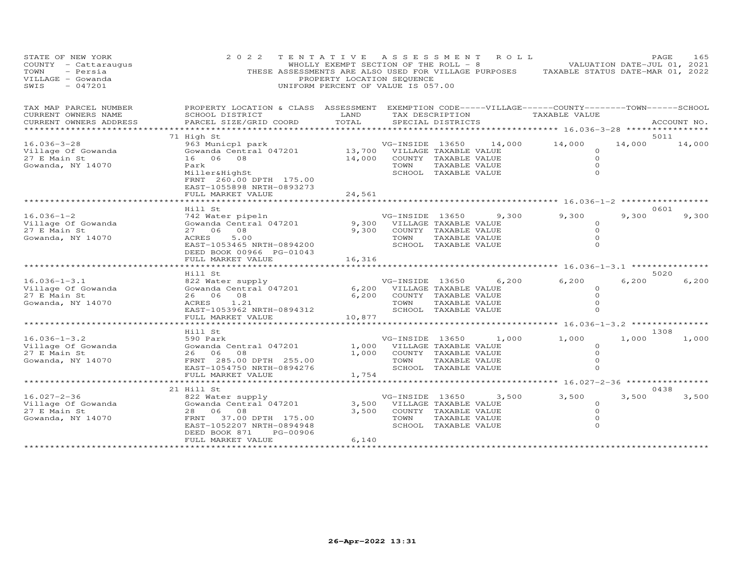| STATE OF NEW YORK<br>COUNTY - Cattaraugus<br>- Persia<br>TOWN<br>VILLAGE - Gowanda<br>SWIS<br>$-047201$ | 2 0 2 2                                                                                                                                                         | TENTATIVE ASSESSMENT ROLL<br>PROPERTY LOCATION SEQUENCE<br>UNIFORM PERCENT OF VALUE IS 057.00 |                                                                                      |                                                                                        |        | WHOLLY EXEMPT SECTION OF THE ROLL - 8 WALUATION DATE-JUL 01, 2021<br>THESE ASSESSMENTS ARE ALSO USED FOR VILLAGE PURPOSES TAXABLE STATUS DATE-MAR 01, 2022 | PAGE          | 165           |
|---------------------------------------------------------------------------------------------------------|-----------------------------------------------------------------------------------------------------------------------------------------------------------------|-----------------------------------------------------------------------------------------------|--------------------------------------------------------------------------------------|----------------------------------------------------------------------------------------|--------|------------------------------------------------------------------------------------------------------------------------------------------------------------|---------------|---------------|
| TAX MAP PARCEL NUMBER<br>CURRENT OWNERS NAME<br>CURRENT OWNERS ADDRESS                                  | PROPERTY LOCATION & CLASS ASSESSMENT EXEMPTION CODE-----VILLAGE------COUNTY-------TOWN------SCHOOL<br>SCHOOL DISTRICT<br>PARCEL SIZE/GRID COORD                 | LAND<br>TOTAL                                                                                 |                                                                                      | TAX DESCRIPTION<br>SPECIAL DISTRICTS                                                   |        | TAXABLE VALUE                                                                                                                                              |               | ACCOUNT NO.   |
| *********************                                                                                   |                                                                                                                                                                 |                                                                                               |                                                                                      |                                                                                        |        |                                                                                                                                                            |               |               |
|                                                                                                         | 71 High St                                                                                                                                                      |                                                                                               |                                                                                      |                                                                                        |        |                                                                                                                                                            | 5011          |               |
| $16.036 - 3 - 28$<br>Village Of Gowanda<br>27 E Main St<br>Gowanda, NY 14070                            | 963 Municpl park<br>Gowanda Central 047201<br>16 06 08<br>Park<br>Miller&HighSt<br>FRNT 260.00 DPTH 175.00<br>EAST-1055898 NRTH-0893273                         | 13,700<br>14,000                                                                              | VG-INSIDE 13650<br>VILLAGE TAXABLE VALUE<br>TOWN                                     | COUNTY TAXABLE VALUE<br>TAXABLE VALUE<br>SCHOOL TAXABLE VALUE                          | 14,000 | 14,000<br>$\Omega$<br>$\Omega$<br>$\Omega$<br>$\Omega$                                                                                                     | 14,000        | 14,000        |
|                                                                                                         | FULL MARKET VALUE                                                                                                                                               | 24,561                                                                                        |                                                                                      |                                                                                        |        |                                                                                                                                                            |               |               |
|                                                                                                         | ******************                                                                                                                                              |                                                                                               |                                                                                      |                                                                                        |        |                                                                                                                                                            |               |               |
| $16.036 - 1 - 2$<br>Village Of Gowanda<br>27 E Main St<br>Gowanda, NY 14070                             | Hill St<br>742 Water pipeln<br>Gowanda Central 047201<br>27 06 08<br>5.00<br>ACRES<br>EAST-1053465 NRTH-0894200<br>DEED BOOK 00966 PG-01043                     | 9,300<br>9,300                                                                                | VG-INSIDE 13650<br>TOWN                                                              | VILLAGE TAXABLE VALUE<br>COUNTY TAXABLE VALUE<br>TAXABLE VALUE<br>SCHOOL TAXABLE VALUE | 9,300  | 9,300<br>$\circ$<br>$\circ$<br>$\Omega$<br>$\Omega$                                                                                                        | 0601<br>9,300 | 9,300         |
|                                                                                                         | FULL MARKET VALUE                                                                                                                                               | 16,316                                                                                        |                                                                                      |                                                                                        |        |                                                                                                                                                            |               |               |
|                                                                                                         |                                                                                                                                                                 |                                                                                               |                                                                                      |                                                                                        |        |                                                                                                                                                            |               |               |
| $16.036 - 1 - 3.1$<br>Village Of Gowanda<br>27 E Main St<br>Gowanda, NY 14070                           | Hill St<br>822 Water supply<br>Gowanda Central 047201<br>26 06 08<br>1.21<br>ACRES<br>EAST-1053962 NRTH-0894312                                                 |                                                                                               | VG-INSIDE 13650<br>6,200 VILLAGE TAXABLE VALUE<br>6,200 COUNTY TAXABLE VALUE<br>TOWN | TAXABLE VALUE<br>SCHOOL TAXABLE VALUE                                                  | 6,200  | 6,200<br>$\Omega$<br>$\circ$<br>$\Omega$<br>$\Omega$                                                                                                       | 6,200         | 5020<br>6,200 |
|                                                                                                         | FULL MARKET VALUE<br>*******************                                                                                                                        | 10,877                                                                                        |                                                                                      |                                                                                        |        |                                                                                                                                                            |               |               |
|                                                                                                         | Hill St                                                                                                                                                         |                                                                                               |                                                                                      |                                                                                        |        |                                                                                                                                                            | 1308          |               |
| $16.036 - 1 - 3.2$<br>Village Of Gowanda<br>27 E Main St<br>Gowanda, NY 14070                           | 590 Park<br>Gowanda Central 047201<br>26 06<br>08<br>FRNT 285.00 DPTH 255.00<br>EAST-1054750 NRTH-0894276<br>FULL MARKET VALUE                                  | 1,000<br>1,000<br>1,754                                                                       | VG-INSIDE 13650<br>TOWN                                                              | VILLAGE TAXABLE VALUE<br>COUNTY TAXABLE VALUE<br>TAXABLE VALUE<br>SCHOOL TAXABLE VALUE | 1,000  | 1,000<br>$\circ$<br>$\circ$<br>$\Omega$<br>$\Omega$                                                                                                        | 1,000         | 1,000         |
|                                                                                                         | * * * * * * * * * * * * * * * * * * * *                                                                                                                         |                                                                                               |                                                                                      |                                                                                        |        | ***************** 16.027-2-36 *****************                                                                                                            |               |               |
|                                                                                                         | 21 Hill St                                                                                                                                                      |                                                                                               |                                                                                      |                                                                                        |        |                                                                                                                                                            |               | 0438          |
| $16.027 - 2 - 36$<br>Village Of Gowanda<br>27 E Main St<br>Gowanda, NY 14070                            | 822 Water supply<br>Gowanda Central 047201<br>28 06 08<br>FRNT 37.00 DPTH 175.00<br>EAST-1052207 NRTH-0894948<br>DEED BOOK 871<br>PG-00906<br>FULL MARKET VALUE | 3,500<br>3,500<br>6,140                                                                       | VG-INSIDE 13650<br>TOWN                                                              | VILLAGE TAXABLE VALUE<br>COUNTY TAXABLE VALUE<br>TAXABLE VALUE<br>SCHOOL TAXABLE VALUE | 3,500  | 3,500<br>$\Omega$<br>$\Omega$<br>$\circ$<br>$\Omega$                                                                                                       | 3,500         | 3,500         |
|                                                                                                         | ****************************                                                                                                                                    | ***************                                                                               |                                                                                      |                                                                                        |        |                                                                                                                                                            |               |               |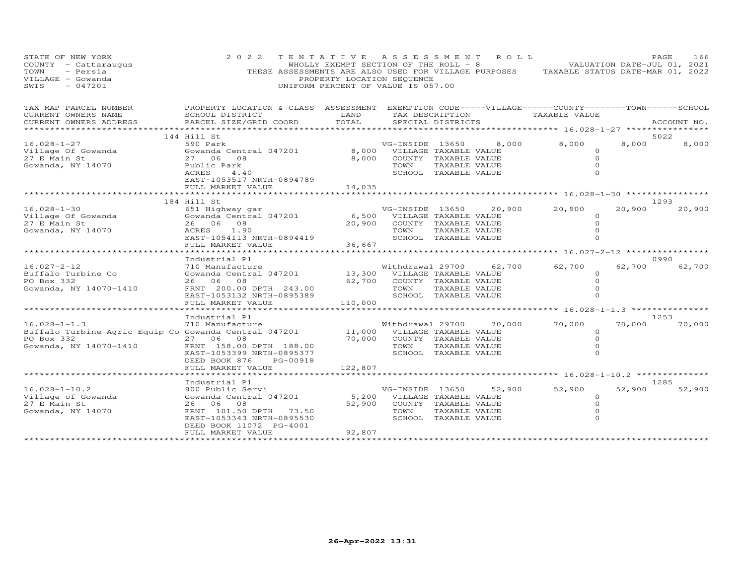| STATE OF NEW YORK<br>COUNTY - Cattaraugus<br>TOWN<br>- Persia<br>VILLAGE - Gowanda<br>$-047201$<br>SWIS             | 2 0 2 2                                                                                                                                                                        | TENTATIVE ASSESSMENT ROLL<br>PROPERTY LOCATION SEQUENCE<br>UNIFORM PERCENT OF VALUE IS 057.00 |                                                                                             |                                       |                         | WHOLLY EXEMPT SECTION OF THE ROLL - 8 WALUATION DATE-JUL 01, 2021<br>THESE ASSESSMENTS ARE ALSO USED FOR VILLAGE PURPOSES TAXABLE STATUS DATE-MAR 01, 2022 |        | PAGE        | 166    |
|---------------------------------------------------------------------------------------------------------------------|--------------------------------------------------------------------------------------------------------------------------------------------------------------------------------|-----------------------------------------------------------------------------------------------|---------------------------------------------------------------------------------------------|---------------------------------------|-------------------------|------------------------------------------------------------------------------------------------------------------------------------------------------------|--------|-------------|--------|
| TAX MAP PARCEL NUMBER<br>CURRENT OWNERS NAME<br>CURRENT OWNERS ADDRESS                                              | PROPERTY LOCATION & CLASS ASSESSMENT EXEMPTION CODE-----VILLAGE------COUNTY--------TOWN------SCHOOL<br>SCHOOL DISTRICT<br>PARCEL SIZE/GRID COORD                               | LAND<br>TOTAL                                                                                 |                                                                                             | TAX DESCRIPTION<br>SPECIAL DISTRICTS  |                         | TAXABLE VALUE                                                                                                                                              |        | ACCOUNT NO. |        |
|                                                                                                                     | 144 Hill St                                                                                                                                                                    |                                                                                               |                                                                                             |                                       |                         |                                                                                                                                                            |        | 5022        |        |
| $16.028 - 1 - 27$<br>Village Of Gowanda<br>27 E Main St<br>Gowanda, NY 14070                                        | 590 Park<br>Gowanda Central 047201<br>27 06 08<br>Public Park<br>ACRES<br>4.40<br>EAST-1053517 NRTH-0894789                                                                    | 8,000                                                                                         | VG-INSIDE 13650<br>8,000 VILLAGE TAXABLE VALUE<br>COUNTY TAXABLE VALUE<br>TOWN              | TAXABLE VALUE<br>SCHOOL TAXABLE VALUE | 8,000                   | 8,000<br>$\Omega$<br>$\Omega$                                                                                                                              | 8,000  |             | 8,000  |
|                                                                                                                     | FULL MARKET VALUE<br>******************************                                                                                                                            | 14,035                                                                                        |                                                                                             |                                       |                         |                                                                                                                                                            |        |             |        |
|                                                                                                                     | 184 Hill St                                                                                                                                                                    |                                                                                               |                                                                                             |                                       |                         |                                                                                                                                                            |        | 1293        |        |
| $16.028 - 1 - 30$<br>Village Of Gowanda<br>27 E Main St<br>Gowanda, NY 14070                                        | ----<br>651 Highway gar<br>Gowanda Central 047201<br>26 06 08<br>ACRES 1.90<br>EAST-1054113 NRTH-0894419<br>FULL MARKET VALUE                                                  | 20,900<br>36,667                                                                              | 6,500 VILLAGE TAXABLE VALUE<br>COUNTY TAXABLE VALUE<br>TOWN                                 | TAXABLE VALUE<br>SCHOOL TAXABLE VALUE | VG-INSIDE 13650 20,900  | 20,900<br>$\circ$<br>$\circ$                                                                                                                               | 20,900 |             | 20,900 |
|                                                                                                                     | ***********************                                                                                                                                                        |                                                                                               | ***********************                                                                     |                                       |                         | ************** 16.027-2-12 ***********                                                                                                                     |        |             |        |
| $16.027 - 2 - 12$<br>Buffalo Turbine Co<br>PO Box 332<br>Gowanda, NY 14070-1410                                     | Industrial Pl<br>710 Manufacture<br>Gowanda Central 047201<br>26 06 08<br>FRNT 200.00 DPTH 243.00<br>EAST-1053132 NRTH-0895389                                                 |                                                                                               | Withdrawal 29700<br>13,300 VILLAGE TAXABLE VALUE<br>62,700 COUNTY TAXABLE VALUE<br>TOWN     | TAXABLE VALUE<br>SCHOOL TAXABLE VALUE | 62,700                  | 62,700<br>$\Omega$<br>$\circ$<br>$\circ$<br>$\Omega$                                                                                                       | 62,700 | 0990        | 62,700 |
|                                                                                                                     | FULL MARKET VALUE                                                                                                                                                              | 110,000                                                                                       |                                                                                             |                                       |                         |                                                                                                                                                            |        |             |        |
|                                                                                                                     |                                                                                                                                                                                |                                                                                               |                                                                                             |                                       |                         |                                                                                                                                                            |        |             |        |
| $16.028 - 1 - 1.3$<br>Buffalo Turbine Agric Equip Co Gowanda Central 047201<br>PO Box 332<br>Gowanda, NY 14070-1410 | Industrial Pl<br>710 Manufacture<br>27 06<br>08<br>FRNT 158.00 DPTH 188.00<br>EAST-1053399 NRTH-0895377<br>DEED BOOK 876<br>PG-00918<br>FULL MARKET VALUE                      | 122,807                                                                                       | 11,000 VILLAGE TAXABLE VALUE<br>70,000 COUNTY TAXABLE VALUE<br>TOWN<br>SCHOOL TAXABLE VALUE | TAXABLE VALUE                         | Withdrawal 29700 70,000 | 70,000<br>$\circ$<br>$\Omega$<br>$\circ$<br>$\Omega$                                                                                                       | 70,000 | 1253        | 70,000 |
|                                                                                                                     |                                                                                                                                                                                |                                                                                               |                                                                                             |                                       |                         | ***************** 16.028-1-10.2 ***************                                                                                                            |        |             |        |
| $16.028 - 1 - 10.2$<br>Village of Gowanda<br>27 E Main St<br>Gowanda, NY 14070                                      | Industrial Pl<br>800 Public Servi<br>Gowanda Central 047201<br>26 06 08<br>FRNT 101.50 DPTH 73.50<br>EAST-1053343 NRTH-0895530<br>DEED BOOK 11072 PG-4001<br>FULL MARKET VALUE | 5,200<br>52,900<br>92,807                                                                     | VG-INSIDE 13650<br>VILLAGE TAXABLE VALUE<br>COUNTY TAXABLE VALUE<br>TOWN                    | TAXABLE VALUE<br>SCHOOL TAXABLE VALUE | 52,900                  | 52,900<br>$\circ$<br>$\circ$<br>$\circ$<br>$\Omega$                                                                                                        | 52,900 | 1285        | 52,900 |
|                                                                                                                     |                                                                                                                                                                                |                                                                                               |                                                                                             |                                       |                         |                                                                                                                                                            |        |             |        |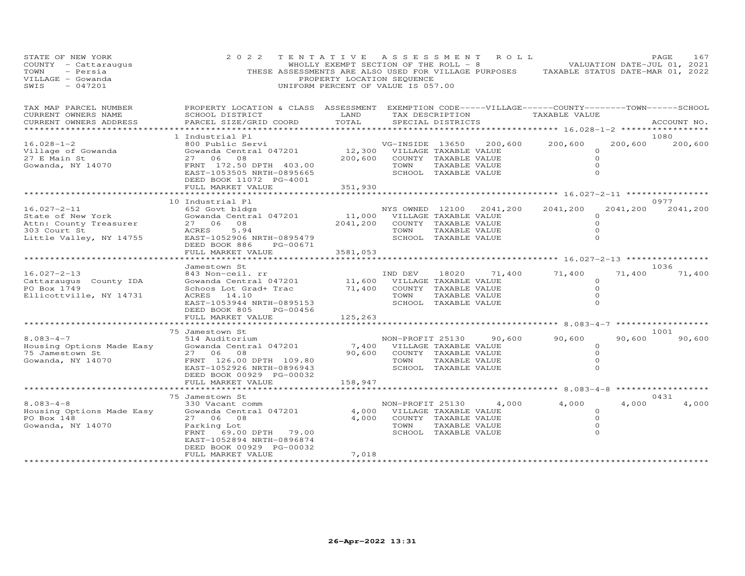| STATE OF NEW YORK<br>COUNTY - Cattaraugus<br>TOWN<br>- Persia<br>VILLAGE - Gowanda<br>$-047201$<br>SWIS     | 2 0 2 2<br>THESE ASSESSMENTS ARE ALSO USED FOR VILLAGE PURPOSES TAXABLE STATUS DATE-MAR 01, 2022                                                                                  | TENTATIVE ASSESSMENT ROLL<br>PROPERTY LOCATION SEQUENCE<br>UNIFORM PERCENT OF VALUE IS 057.00 |                         |                                                                                                 |                          | WHOLLY EXEMPT SECTION OF THE ROLL - 8 VALUATION DATE-JUL 01, 2021 |                                                      | PAGE<br>167             |
|-------------------------------------------------------------------------------------------------------------|-----------------------------------------------------------------------------------------------------------------------------------------------------------------------------------|-----------------------------------------------------------------------------------------------|-------------------------|-------------------------------------------------------------------------------------------------|--------------------------|-------------------------------------------------------------------|------------------------------------------------------|-------------------------|
| TAX MAP PARCEL NUMBER<br>CURRENT OWNERS NAME<br>CURRENT OWNERS ADDRESS                                      | PROPERTY LOCATION & CLASS ASSESSMENT EXEMPTION CODE-----VILLAGE------COUNTY--------TOWN------SCHOOL<br>SCHOOL DISTRICT<br>PARCEL SIZE/GRID COORD<br>****************************  | LAND<br>TOTAL<br>*******************                                                          |                         | TAX DESCRIPTION<br>SPECIAL DISTRICTS                                                            |                          | TAXABLE VALUE<br>***************** 16.028-1-2 *****************   |                                                      | ACCOUNT NO.             |
| $16.028 - 1 - 2$<br>Village of Gowanda<br>27 E Main St<br>Gowanda, NY 14070                                 | 1 Industrial Pl<br>800 Public Servi<br>Gowanda Central 047201<br>27 06 08<br>FRNT 172.50 DPTH 403.00<br>EAST-1053505 NRTH-0895665<br>DEED BOOK 11072 PG-4001<br>FULL MARKET VALUE | 12,300<br>200,600<br>351,930                                                                  | VG-INSIDE 13650<br>TOWN | VILLAGE TAXABLE VALUE<br>COUNTY TAXABLE VALUE<br>TAXABLE VALUE<br>SCHOOL TAXABLE VALUE          | 200,600                  | 200,600                                                           | $\circ$<br>$\Omega$<br>$\Omega$<br>$\circ$           | 1080<br>200,600 200,600 |
|                                                                                                             |                                                                                                                                                                                   |                                                                                               |                         |                                                                                                 |                          |                                                                   |                                                      |                         |
| $16.027 - 2 - 11$<br>State of New York<br>Attn: County Treasurer<br>303 Court St<br>Little Valley, NY 14755 | 10 Industrial Pl<br>652 Govt bldgs<br>Gowanda Central 047201<br>27 06 08<br>5.94<br>ACRES<br>EAST-1052906 NRTH-0895479<br>DEED BOOK 886<br>PG-00671<br>FULL MARKET VALUE          | 11,000 VILLAGE TAXABLE VALUE<br>2041,200<br>3581,053                                          | TOWN                    | COUNTY TAXABLE VALUE<br>TAXABLE VALUE<br>SCHOOL TAXABLE VALUE                                   | NYS OWNED 12100 2041,200 | 2041,200                                                          | 2041,200<br>0<br>$\circ$<br>$\Omega$<br>$\circ$      | 0977<br>2041,200        |
|                                                                                                             |                                                                                                                                                                                   |                                                                                               |                         |                                                                                                 |                          |                                                                   |                                                      |                         |
| $16.027 - 2 - 13$<br>Cattaraugus County IDA<br>PO Box 1749<br>Ellicottville, NY 14731                       | Jamestown St<br>843 Non-ceil. rr<br>Gowanda Central 047201<br>Schoos Lot Grad+ Trac<br>ACRES 14.10<br>EAST-1053944 NRTH-0895153<br>DEED BOOK 805<br>PG-00456                      | $\begin{smallmatrix}&&&&1\\&11\end{smallmatrix}$<br>71,400                                    | IND DEV<br>TOWN         | 18020<br>VILLAGE TAXABLE VALUE<br>COUNTY TAXABLE VALUE<br>TAXABLE VALUE<br>SCHOOL TAXABLE VALUE | 71,400                   | 71,400                                                            | 71,400<br>$\circ$<br>$\Omega$<br>$\circ$<br>$\Omega$ | 1036<br>71,400          |
|                                                                                                             | FULL MARKET VALUE                                                                                                                                                                 | 125,263                                                                                       |                         |                                                                                                 |                          |                                                                   |                                                      |                         |
|                                                                                                             | 75 Jamestown St                                                                                                                                                                   | *************                                                                                 |                         |                                                                                                 |                          | *********** 8.083-4-7 ***************                             |                                                      | 1001                    |
| $8.083 - 4 - 7$<br>Housing Options Made Easy<br>75 Jamestown St<br>Gowanda, NY 14070                        | 514 Auditorium<br>Gowanda Central 047201<br>27 06 08<br>FRNT 126.00 DPTH 109.80<br>EAST-1052926 NRTH-0896943<br>DEED BOOK 00929 PG-00032                                          | 7,400<br>90,600                                                                               | TOWN                    | VILLAGE TAXABLE VALUE<br>COUNTY TAXABLE VALUE<br>TAXABLE VALUE<br>SCHOOL TAXABLE VALUE          | NON-PROFIT 25130 90,600  | 90,600                                                            | 90,600<br>$\circ$<br>$\circ$<br>$\Omega$<br>$\Omega$ | 90,600                  |
|                                                                                                             | FULL MARKET VALUE                                                                                                                                                                 | 158,947                                                                                       |                         |                                                                                                 |                          | ********* 8.083-4-8                                               |                                                      | ***************         |
| $8.083 - 4 - 8$<br>Housing Options Made Easy<br>PO Box 148                                                  | 75 Jamestown St<br>330 Vacant comm<br>Gowanda Central 047201<br>27 06 08                                                                                                          | 4,000<br>4,000                                                                                |                         | VILLAGE TAXABLE VALUE<br>COUNTY TAXABLE VALUE                                                   | NON-PROFIT 25130 4,000   | 4,000                                                             | 4,000<br>$\circ$<br>$\circ$                          | 0431<br>4,000           |
| Gowanda, NY 14070                                                                                           | Parking Lot<br>FRNT 69.00 DPTH 79.00<br>EAST-1052894 NRTH-0896874<br>DEED BOOK 00929 PG-00032<br>FULL MARKET VALUE                                                                | 7,018                                                                                         | TOWN                    | TAXABLE VALUE<br>SCHOOL TAXABLE VALUE                                                           |                          |                                                                   | $\circ$<br>$\Omega$                                  |                         |
|                                                                                                             |                                                                                                                                                                                   |                                                                                               |                         |                                                                                                 |                          |                                                                   |                                                      |                         |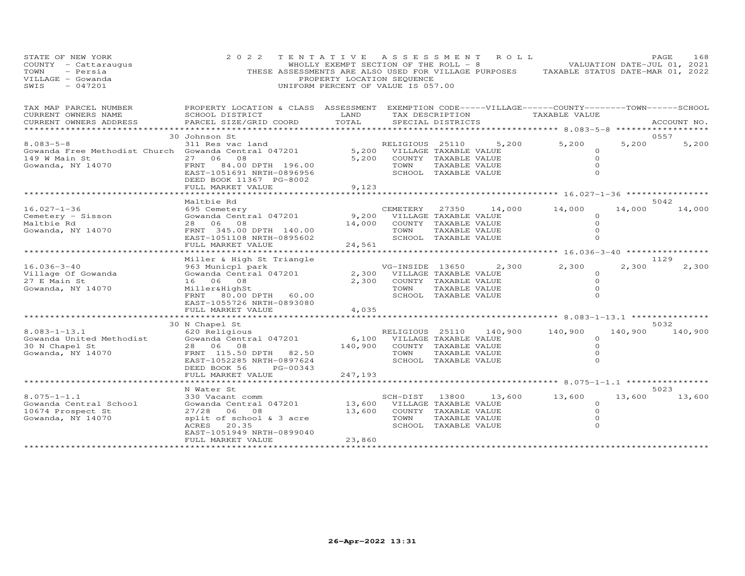| STATE OF NEW YORK<br>COUNTY - Cattaraugus<br>- Persia<br>TOWN<br>VILLAGE - Gowanda<br>$-047201$<br>SWIS | 2 0 2 2<br>THESE ASSESSMENTS ARE ALSO USED FOR VILLAGE PURPOSES TAXABLE STATUS DATE-MAR 01, 2022                                                         | TENTATIVE ASSESSMENT<br>WHOLLY EXEMPT SECTION OF THE ROLL $-8$<br>PROPERTY LOCATION SEQUENCE<br>UNIFORM PERCENT OF VALUE IS 057.00 |                                                        |                                                                                                 | ROLL    |                                                        |         | PAGE<br>168<br>VALUATION DATE-JUL 01, 2021 |
|---------------------------------------------------------------------------------------------------------|----------------------------------------------------------------------------------------------------------------------------------------------------------|------------------------------------------------------------------------------------------------------------------------------------|--------------------------------------------------------|-------------------------------------------------------------------------------------------------|---------|--------------------------------------------------------|---------|--------------------------------------------|
| TAX MAP PARCEL NUMBER<br>CURRENT OWNERS NAME<br>CURRENT OWNERS ADDRESS                                  | PROPERTY LOCATION & CLASS ASSESSMENT EXEMPTION CODE-----VILLAGE------COUNTY-------TOWN------SCHOOL<br>SCHOOL DISTRICT<br>PARCEL SIZE/GRID COORD          | LAND<br>TOTAL                                                                                                                      |                                                        | TAX DESCRIPTION<br>SPECIAL DISTRICTS                                                            |         | TAXABLE VALUE                                          |         | ACCOUNT NO.                                |
| *****************                                                                                       |                                                                                                                                                          |                                                                                                                                    |                                                        |                                                                                                 |         |                                                        |         |                                            |
| $8.083 - 5 - 8$                                                                                         | 30 Johnson St<br>311 Res vac land                                                                                                                        |                                                                                                                                    |                                                        |                                                                                                 | 5,200   | 5,200                                                  | 5,200   | 0557<br>5,200                              |
| Gowanda Free Methodist Church Gowanda Central 047201<br>149 W Main St<br>Gowanda, NY 14070              | 27 06 08<br>FRNT 84.00 DPTH 196.00<br>EAST-1051691 NRTH-0896956<br>DEED BOOK 11367 PG-8002                                                               | 5,200                                                                                                                              | RELIGIOUS 25110<br>5,200 VILLAGE TAXABLE VALUE<br>TOWN | COUNTY TAXABLE VALUE<br>TAXABLE VALUE<br>SCHOOL TAXABLE VALUE                                   |         | $\Omega$<br>$\Omega$<br>$\Omega$<br>$\Omega$           |         |                                            |
|                                                                                                         | FULL MARKET VALUE                                                                                                                                        | 9,123                                                                                                                              |                                                        |                                                                                                 |         |                                                        |         |                                            |
|                                                                                                         |                                                                                                                                                          |                                                                                                                                    |                                                        |                                                                                                 |         |                                                        |         |                                            |
| $16.027 - 1 - 36$<br>Cemetery - Sisson<br>Maltbie Rd<br>Gowanda, NY 14070                               | Maltbie Rd<br>695 Cemetery<br>Gowanda Central 047201<br>28 06 08<br>FRNT 345.00 DPTH 140.00                                                              | 9,200<br>14,000                                                                                                                    | CEMETERY<br>TOWN                                       | 27350<br>VILLAGE TAXABLE VALUE<br>COUNTY TAXABLE VALUE<br>TAXABLE VALUE                         | 14,000  | 14,000<br>$\Omega$<br>$\Omega$<br>$\Omega$             | 14,000  | 5042<br>14,000                             |
|                                                                                                         | EAST-1051108 NRTH-0895602                                                                                                                                |                                                                                                                                    |                                                        | SCHOOL TAXABLE VALUE                                                                            |         | $\Omega$                                               |         |                                            |
|                                                                                                         | FULL MARKET VALUE                                                                                                                                        | 24,561                                                                                                                             |                                                        |                                                                                                 |         |                                                        |         |                                            |
|                                                                                                         | Miller & High St Triangle                                                                                                                                |                                                                                                                                    |                                                        |                                                                                                 |         |                                                        |         | 1129                                       |
| $16.036 - 3 - 40$<br>Village Of Gowanda<br>27 E Main St<br>Gowanda, NY 14070                            | 963 Municpl park<br>Gowanda Central 047201<br>16 06 08<br>Miller&HighSt<br>FRNT 80.00 DPTH 60.00<br>EAST-1055726 NRTH-0893080                            | 2,300<br>2,300                                                                                                                     | VG-INSIDE 13650<br>TOWN                                | VILLAGE TAXABLE VALUE<br>COUNTY TAXABLE VALUE<br>TAXABLE VALUE<br>SCHOOL TAXABLE VALUE          | 2,300   | 2,300<br>$\circ$<br>$\Omega$<br>$\Omega$<br>$\Omega$   | 2,300   | 2,300                                      |
|                                                                                                         | FULL MARKET VALUE                                                                                                                                        | 4,035                                                                                                                              |                                                        |                                                                                                 |         |                                                        |         |                                            |
|                                                                                                         | 30 N Chapel St                                                                                                                                           |                                                                                                                                    |                                                        |                                                                                                 |         | *************** 8.083-1-13.1 ****************          |         | 5032                                       |
| $8.083 - 1 - 13.1$<br>Gowanda United Methodist<br>30 N Chapel St<br>Gowanda, NY 14070                   | 620 Religious<br>Gowanda Central 047201<br>28 06 08<br>FRNT 115.50 DPTH 82.50<br>EAST-1052285 NRTH-0897624<br>DEED BOOK 56<br>PG-00343                   | 6,100<br>140,900                                                                                                                   | RELIGIOUS 25110<br>TOWN                                | VILLAGE TAXABLE VALUE<br>COUNTY TAXABLE VALUE<br>TAXABLE VALUE<br>SCHOOL TAXABLE VALUE          | 140,900 | 140,900<br>$\Omega$<br>$\Omega$<br>$\circ$<br>$\Omega$ | 140,900 | 140,900                                    |
|                                                                                                         | FULL MARKET VALUE<br>******************                                                                                                                  | 247,193                                                                                                                            |                                                        |                                                                                                 |         |                                                        |         |                                            |
|                                                                                                         | N Water St                                                                                                                                               |                                                                                                                                    |                                                        |                                                                                                 |         |                                                        |         | 5023                                       |
| $8.075 - 1 - 1.1$<br>Gowanda Central School<br>10674 Prospect St<br>Gowanda, NY 14070                   | 330 Vacant comm<br>Gowanda Central 047201<br>27/28 06 08<br>split of school & 3 acre<br>ACRES<br>20.35<br>EAST-1051949 NRTH-0899040<br>FULL MARKET VALUE | 13,600<br>13,600<br>23,860                                                                                                         | SCH-DIST<br>TOWN                                       | 13800<br>VILLAGE TAXABLE VALUE<br>COUNTY TAXABLE VALUE<br>TAXABLE VALUE<br>SCHOOL TAXABLE VALUE | 13,600  | 13,600<br>$\Omega$<br>$\Omega$<br>$\circ$<br>$\Omega$  | 13,600  | 13,600                                     |
|                                                                                                         | ********************                                                                                                                                     |                                                                                                                                    |                                                        |                                                                                                 |         |                                                        |         |                                            |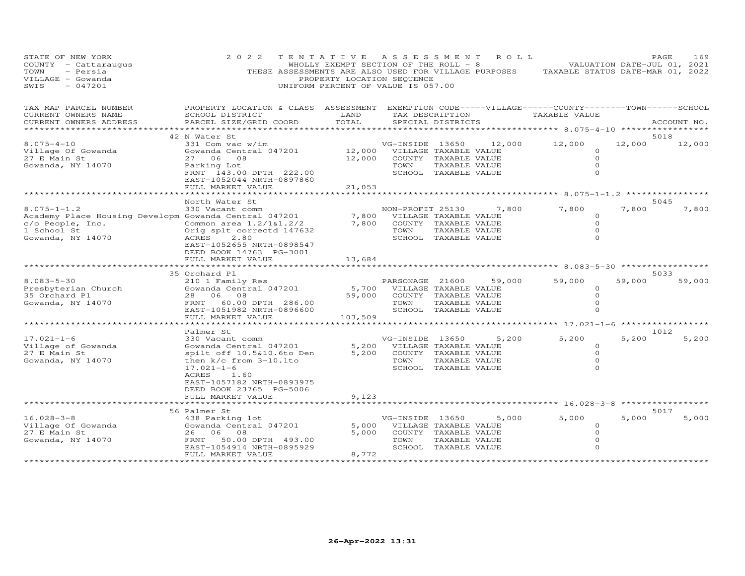| STATE OF NEW YORK<br>COUNTY - Cattaraugus<br>- Persia<br>TOWN<br>VILLAGE - Gowanda<br>$-047201$<br>SWIS                            | 2 0 2 2<br>THESE ASSESSMENTS ARE ALSO USED FOR VILLAGE PURPOSES                                                                                                                               | TENTATIVE<br>WHOLLY EXEMPT SECTION OF THE ROLL - 8<br>PROPERTY LOCATION SEQUENCE<br>UNIFORM PERCENT OF VALUE IS 057.00 | A S S E S S M E N T      |                                                                                        | ROLL ROLL | TAXABLE STATUS DATE-MAR 01, 2022                            | VALUATION DATE-JUL 01, 2021 | PAGE        | 169    |
|------------------------------------------------------------------------------------------------------------------------------------|-----------------------------------------------------------------------------------------------------------------------------------------------------------------------------------------------|------------------------------------------------------------------------------------------------------------------------|--------------------------|----------------------------------------------------------------------------------------|-----------|-------------------------------------------------------------|-----------------------------|-------------|--------|
| TAX MAP PARCEL NUMBER<br>CURRENT OWNERS NAME<br>CURRENT OWNERS ADDRESS                                                             | PROPERTY LOCATION & CLASS ASSESSMENT EXEMPTION CODE-----VILLAGE------COUNTY--------TOWN------SCHOOL<br>SCHOOL DISTRICT<br>PARCEL SIZE/GRID COORD                                              | LAND<br>TOTAL                                                                                                          |                          | TAX DESCRIPTION<br>SPECIAL DISTRICTS                                                   |           | TAXABLE VALUE                                               |                             | ACCOUNT NO. |        |
|                                                                                                                                    |                                                                                                                                                                                               | ********                                                                                                               |                          |                                                                                        |           | ************ 8.075-4-10 **********                          |                             |             |        |
| $8.075 - 4 - 10$<br>Village Of Gowanda<br>27 E Main St<br>Gowanda, NY 14070                                                        | 42 N Water St<br>331 Com vac w/im<br>Gowanda Central 047201<br>08<br>27 06<br>Parking Lot<br>FRNT 143.00 DPTH 222.00                                                                          | 12,000<br>12,000                                                                                                       | VG-INSIDE 13650<br>TOWN  | VILLAGE TAXABLE VALUE<br>COUNTY TAXABLE VALUE<br>TAXABLE VALUE<br>SCHOOL TAXABLE VALUE | 12,000    | 12,000<br>$\circ$<br>$\Omega$<br>$\circ$<br>$\Omega$        | 12,000                      | 5018        | 12,000 |
|                                                                                                                                    | EAST-1052044 NRTH-0897860                                                                                                                                                                     |                                                                                                                        |                          |                                                                                        |           |                                                             |                             |             |        |
|                                                                                                                                    | FULL MARKET VALUE                                                                                                                                                                             | 21,053                                                                                                                 |                          |                                                                                        |           | ********* 8.075-1-1.2 *********                             |                             |             |        |
|                                                                                                                                    | North Water St                                                                                                                                                                                |                                                                                                                        |                          |                                                                                        |           |                                                             |                             | 5045        |        |
| $8.075 - 1 - 1.2$<br>Academy Place Housing Developm Gowanda Central 047201<br>c/o People, Inc.<br>1 School St<br>Gowanda, NY 14070 | 330 Vacant comm<br>Common area 1.2/1&1.2/2<br>Orig splt correctd 147632<br>ACRES<br>2.80<br>EAST-1052655 NRTH-0898547                                                                         | 7,800<br>7,800                                                                                                         | NON-PROFIT 25130<br>TOWN | VILLAGE TAXABLE VALUE<br>COUNTY TAXABLE VALUE<br>TAXABLE VALUE<br>SCHOOL TAXABLE VALUE | 7,800     | 7,800<br>$\circ$<br>$\Omega$<br>0<br>$\Omega$               | 7,800                       |             | 7,800  |
|                                                                                                                                    | DEED BOOK 14763 PG-3001<br>FULL MARKET VALUE                                                                                                                                                  | 13,684<br>*********                                                                                                    |                          |                                                                                        |           | *****************************8.083-5-30 ******************* |                             |             |        |
| $8.083 - 5 - 30$<br>Presbyterian Church<br>35 Orchard Pl<br>Gowanda, NY 14070                                                      | 35 Orchard Pl<br>210 1 Family Res<br>Gowanda Central 047201<br>28<br>06 08<br>FRNT 60.00 DPTH 286.00<br>EAST-1051982 NRTH-0896600                                                             | 5,700<br>59,000                                                                                                        | PARSONAGE 21600<br>TOWN  | VILLAGE TAXABLE VALUE<br>COUNTY TAXABLE VALUE<br>TAXABLE VALUE<br>SCHOOL TAXABLE VALUE | 59,000    | 59,000<br>$\circ$<br>$\Omega$<br>$\circ$<br>$\Omega$        | 59,000                      | 5033        | 59,000 |
|                                                                                                                                    | FULL MARKET VALUE                                                                                                                                                                             | 103,509                                                                                                                |                          |                                                                                        |           | ********** 17.021-1-6 ***********                           |                             |             |        |
|                                                                                                                                    | Palmer St                                                                                                                                                                                     |                                                                                                                        |                          |                                                                                        |           |                                                             |                             | 1012        |        |
| $17.021 - 1 - 6$<br>Village of Gowanda<br>27 E Main St<br>Gowanda, NY 14070                                                        | 330 Vacant comm<br>Gowanda Central 047201<br>spilt off 10.5&10.6to Den<br>then k/c from 3-10.1to<br>$17.021 - 1 - 6$<br>ACRES<br>1.60<br>EAST-1057182 NRTH-0893975<br>DEED BOOK 23765 PG-5006 | 5,200<br>5,200                                                                                                         | VG-INSIDE 13650<br>TOWN  | VILLAGE TAXABLE VALUE<br>COUNTY TAXABLE VALUE<br>TAXABLE VALUE<br>SCHOOL TAXABLE VALUE | 5,200     | 5,200<br>$\circ$<br>$\Omega$<br>$\Omega$<br>$\Omega$        | 5,200                       |             | 5,200  |
|                                                                                                                                    | FULL MARKET VALUE                                                                                                                                                                             | 9,123                                                                                                                  |                          |                                                                                        |           | ********* 16.028-3-8                                        |                             |             |        |
|                                                                                                                                    | 56 Palmer St                                                                                                                                                                                  |                                                                                                                        |                          |                                                                                        |           |                                                             |                             | 5017        |        |
| $16.028 - 3 - 8$<br>Village Of Gowanda<br>27 E Main St<br>Gowanda, NY 14070                                                        | 438 Parking lot<br>Gowanda Central 047201<br>26<br>06<br>08<br>FRNT<br>50.00 DPTH 493.00<br>EAST-1054914 NRTH-0895929<br>FULL MARKET VALUE                                                    | 5,000<br>5,000<br>8,772                                                                                                | VG-INSIDE 13650<br>TOWN  | VILLAGE TAXABLE VALUE<br>COUNTY TAXABLE VALUE<br>TAXABLE VALUE<br>SCHOOL TAXABLE VALUE | 5,000     | 5,000<br>$\circ$<br>$\Omega$<br>0<br>$\Omega$               | 5,000                       |             | 5,000  |
|                                                                                                                                    | ********************                                                                                                                                                                          |                                                                                                                        |                          |                                                                                        |           |                                                             |                             |             |        |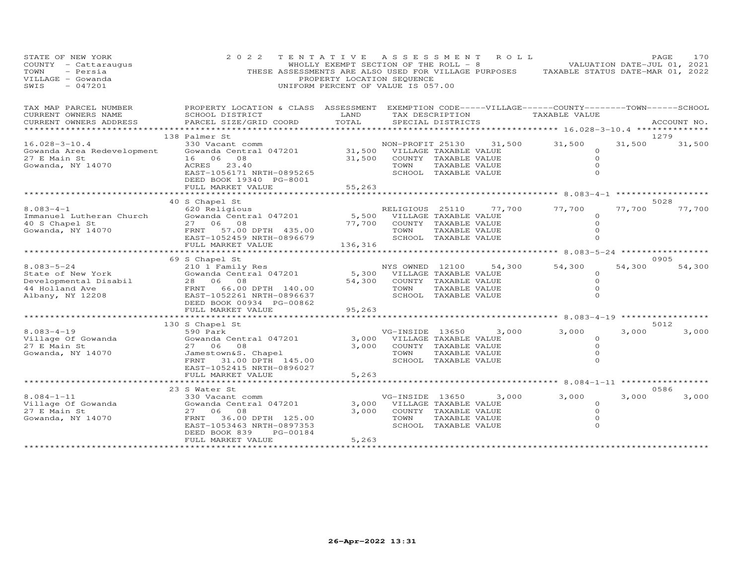| STATE OF NEW YORK<br>COUNTY - Cattaraugus<br>- Persia<br>TOWN<br>VILLAGE - Gowanda<br>$-047201$<br>SWIS | 2 0 2 2<br>THESE ASSESSMENTS ARE ALSO USED FOR VILLAGE PURPOSES TAXABLE STATUS DATE-MAR 01, 2022                      | TENTATIVE ASSESSMENT<br>WHOLLY EXEMPT SECTION OF THE ROLL $-8$<br>PROPERTY LOCATION SEQUENCE<br>UNIFORM PERCENT OF VALUE IS 057.00 |                       |                       | R O L L |                                          |        | PAGE<br>170<br>VALUATION DATE-JUL 01, 2021 |
|---------------------------------------------------------------------------------------------------------|-----------------------------------------------------------------------------------------------------------------------|------------------------------------------------------------------------------------------------------------------------------------|-----------------------|-----------------------|---------|------------------------------------------|--------|--------------------------------------------|
| TAX MAP PARCEL NUMBER<br>CURRENT OWNERS NAME                                                            | PROPERTY LOCATION & CLASS ASSESSMENT EXEMPTION CODE-----VILLAGE------COUNTY-------TOWN------SCHOOL<br>SCHOOL DISTRICT | LAND                                                                                                                               |                       | TAX DESCRIPTION       |         | TAXABLE VALUE                            |        |                                            |
| CURRENT OWNERS ADDRESS<br>***********************                                                       | PARCEL SIZE/GRID COORD                                                                                                | TOTAL                                                                                                                              |                       | SPECIAL DISTRICTS     |         |                                          |        | ACCOUNT NO.                                |
|                                                                                                         | 138 Palmer St                                                                                                         |                                                                                                                                    |                       |                       |         |                                          |        | 1279                                       |
| $16.028 - 3 - 10.4$                                                                                     | 330 Vacant comm                                                                                                       |                                                                                                                                    | NON-PROFIT 25130      |                       | 31,500  | 31,500                                   | 31,500 | 31,500                                     |
| Gowanda Area Redevelopment                                                                              | Gowanda Central 047201                                                                                                | 31,500                                                                                                                             | VILLAGE TAXABLE VALUE |                       |         | $\Omega$                                 |        |                                            |
| 27 E Main St                                                                                            | 08<br>16 06                                                                                                           | 31,500                                                                                                                             |                       | COUNTY TAXABLE VALUE  |         | $\Omega$                                 |        |                                            |
| Gowanda, NY 14070                                                                                       | ACRES 23.40                                                                                                           |                                                                                                                                    | TOWN                  | TAXABLE VALUE         |         | 0                                        |        |                                            |
|                                                                                                         | EAST-1056171 NRTH-0895265<br>DEED BOOK 19340 PG-8001                                                                  |                                                                                                                                    |                       | SCHOOL TAXABLE VALUE  |         | $\Omega$                                 |        |                                            |
|                                                                                                         | FULL MARKET VALUE                                                                                                     | 55,263                                                                                                                             |                       |                       |         |                                          |        |                                            |
|                                                                                                         |                                                                                                                       |                                                                                                                                    |                       |                       |         |                                          |        |                                            |
|                                                                                                         | 40 S Chapel St                                                                                                        |                                                                                                                                    |                       |                       |         |                                          |        | 5028                                       |
| $8.083 - 4 - 1$                                                                                         | 620 Religious                                                                                                         |                                                                                                                                    | RELIGIOUS 25110       |                       | 77,700  | 77,700                                   | 77,700 | 77,700                                     |
| Immanuel Lutheran Church                                                                                | Gowanda Central 047201                                                                                                | 5,500                                                                                                                              |                       | VILLAGE TAXABLE VALUE |         | $\circ$                                  |        |                                            |
| 40 S Chapel St                                                                                          | 27 06 08                                                                                                              | 77,700                                                                                                                             |                       | COUNTY TAXABLE VALUE  |         | $\circ$                                  |        |                                            |
| Gowanda, NY 14070                                                                                       | FRNT 57.00 DPTH 435.00                                                                                                |                                                                                                                                    | TOWN                  | TAXABLE VALUE         |         | $\Omega$                                 |        |                                            |
|                                                                                                         | EAST-1052459 NRTH-0896679                                                                                             |                                                                                                                                    |                       | SCHOOL TAXABLE VALUE  |         | $\Omega$                                 |        |                                            |
|                                                                                                         | FULL MARKET VALUE<br>*******************                                                                              | 136,316                                                                                                                            |                       |                       |         |                                          |        |                                            |
|                                                                                                         | 69 S Chapel St                                                                                                        |                                                                                                                                    |                       |                       |         |                                          |        | 0905                                       |
| $8.083 - 5 - 24$                                                                                        | 210 1 Family Res                                                                                                      |                                                                                                                                    | NYS OWNED 12100       |                       | 54,300  | 54,300                                   | 54,300 | 54,300                                     |
| State of New York                                                                                       | Gowanda Central 047201                                                                                                | 5,300                                                                                                                              |                       | VILLAGE TAXABLE VALUE |         | $\circ$                                  |        |                                            |
| Developmental Disabil                                                                                   | 28 06 08                                                                                                              | 54,300                                                                                                                             |                       | COUNTY TAXABLE VALUE  |         | $\Omega$                                 |        |                                            |
| 44 Holland Ave                                                                                          | FRNT 66.00 DPTH 140.00                                                                                                |                                                                                                                                    | TOWN                  | TAXABLE VALUE         |         | $\Omega$                                 |        |                                            |
| Albany, NY 12208                                                                                        | EAST-1052261 NRTH-0896637                                                                                             |                                                                                                                                    |                       | SCHOOL TAXABLE VALUE  |         | $\Omega$                                 |        |                                            |
|                                                                                                         | DEED BOOK 00934 PG-00862                                                                                              |                                                                                                                                    |                       |                       |         |                                          |        |                                            |
|                                                                                                         | FULL MARKET VALUE<br>*****************                                                                                | 95,263                                                                                                                             |                       |                       |         | ********** 8.083-4-19 **********         |        |                                            |
|                                                                                                         | 130 S Chapel St                                                                                                       |                                                                                                                                    |                       |                       |         |                                          |        | 5012                                       |
| $8.083 - 4 - 19$                                                                                        | 590 Park                                                                                                              |                                                                                                                                    | VG-INSIDE 13650       |                       | 3,000   | 3,000                                    | 3,000  | 3,000                                      |
| Village Of Gowanda                                                                                      | Gowanda Central 047201                                                                                                | 3,000                                                                                                                              |                       | VILLAGE TAXABLE VALUE |         | $\Omega$                                 |        |                                            |
| 27 E Main St                                                                                            | 27 06 08                                                                                                              | 3,000                                                                                                                              |                       | COUNTY TAXABLE VALUE  |         | $\Omega$                                 |        |                                            |
| Gowanda, NY 14070                                                                                       | Jamestown&S. Chapel                                                                                                   |                                                                                                                                    | TOWN                  | TAXABLE VALUE         |         | 0                                        |        |                                            |
|                                                                                                         | FRNT 31.00 DPTH 145.00                                                                                                |                                                                                                                                    |                       | SCHOOL TAXABLE VALUE  |         | $\Omega$                                 |        |                                            |
|                                                                                                         | EAST-1052415 NRTH-0896027<br>FULL MARKET VALUE                                                                        |                                                                                                                                    |                       |                       |         |                                          |        |                                            |
|                                                                                                         | ********************                                                                                                  | 5,263                                                                                                                              |                       |                       |         | *********** 8.084-1-11 ***************** |        |                                            |
|                                                                                                         | 23 S Water St                                                                                                         |                                                                                                                                    |                       |                       |         |                                          |        | 0586                                       |
| $8.084 - 1 - 11$                                                                                        | 330 Vacant comm                                                                                                       |                                                                                                                                    | VG-INSIDE 13650       |                       | 3,000   | 3,000                                    | 3,000  | 3,000                                      |
| Village Of Gowanda                                                                                      | Gowanda Central 047201                                                                                                | 3,000                                                                                                                              |                       | VILLAGE TAXABLE VALUE |         | $\circ$                                  |        |                                            |
| 27 E Main St                                                                                            | 27 06 08                                                                                                              | 3,000                                                                                                                              |                       | COUNTY TAXABLE VALUE  |         | $\Omega$                                 |        |                                            |
| Gowanda, NY 14070                                                                                       | FRNT<br>36.00 DPTH 125.00                                                                                             |                                                                                                                                    | TOWN                  | TAXABLE VALUE         |         | $\circ$                                  |        |                                            |
|                                                                                                         | EAST-1053463 NRTH-0897353                                                                                             |                                                                                                                                    |                       | SCHOOL TAXABLE VALUE  |         | $\Omega$                                 |        |                                            |
|                                                                                                         | PG-00184<br>DEED BOOK 839<br>FULL MARKET VALUE                                                                        |                                                                                                                                    |                       |                       |         |                                          |        |                                            |
|                                                                                                         | ************************                                                                                              | 5,263<br>* * * * * * * * * * * *                                                                                                   |                       |                       |         |                                          |        |                                            |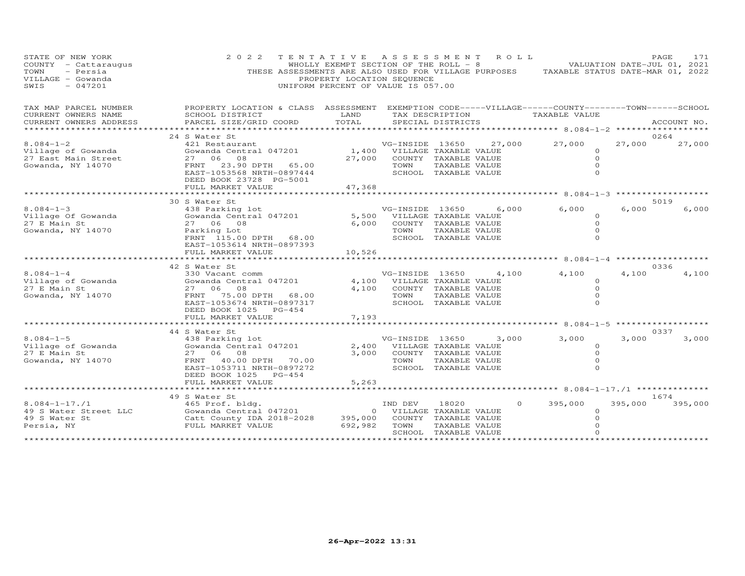| STATE OF NEW YORK<br>COUNTY - Cattaraugus<br>TOWN<br>- Persia<br>VILLAGE - Gowanda<br>$-047201$<br>SWIS | 2 0 2 2<br>TENTATIVE<br>THESE ASSESSMENTS ARE ALSO USED FOR VILLAGE PURPOSES<br>UNIFORM PERCENT OF VALUE IS 057.00                                                              | WHOLLY EXEMPT SECTION OF THE ROLL - 8<br>PROPERTY LOCATION SEQUENCE | A S S E S S M E N T                         |                                                                                                 | R O L L  | VALUATION DATE-JUL 01, 2021<br>TAXABLE STATUS DATE-MAR 01, 2022      |         | PAGE<br>171     |
|---------------------------------------------------------------------------------------------------------|---------------------------------------------------------------------------------------------------------------------------------------------------------------------------------|---------------------------------------------------------------------|---------------------------------------------|-------------------------------------------------------------------------------------------------|----------|----------------------------------------------------------------------|---------|-----------------|
| TAX MAP PARCEL NUMBER<br>CURRENT OWNERS NAME<br>CURRENT OWNERS ADDRESS                                  | PROPERTY LOCATION & CLASS ASSESSMENT EXEMPTION CODE-----VILLAGE------COUNTY--------TOWN------SCHOOL<br>SCHOOL DISTRICT<br>PARCEL SIZE/GRID COORD                                | LAND<br>TOTAL<br>******                                             |                                             | TAX DESCRIPTION<br>SPECIAL DISTRICTS                                                            |          | TAXABLE VALUE<br>***************************** 8.084-1-2 *********** |         | ACCOUNT NO.     |
|                                                                                                         | 24 S Water St                                                                                                                                                                   |                                                                     |                                             |                                                                                                 |          |                                                                      |         | 0264            |
| $8.084 - 1 - 2$<br>Village of Gowanda<br>27 East Main Street<br>Gowanda, NY 14070                       | 421 Restaurant<br>Gowanda Central 047201<br>27 06 08<br>23.90 DPTH 65.00<br>FRNT<br>EAST-1053568 NRTH-0897444<br>DEED BOOK 23728 PG-5001                                        | 1,400<br>27,000                                                     | VG-INSIDE 13650<br>TOWN                     | VILLAGE TAXABLE VALUE<br>COUNTY TAXABLE VALUE<br>TAXABLE VALUE<br>SCHOOL TAXABLE VALUE          | 27,000   | 27,000<br>0<br>$\circ$<br>$\Omega$<br>$\Omega$                       | 27,000  | 27,000          |
|                                                                                                         | FULL MARKET VALUE                                                                                                                                                               | 47,368                                                              |                                             |                                                                                                 |          | $8.084 - 1 - 3$                                                      |         |                 |
| $8.084 - 1 - 3$<br>Village Of Gowanda<br>27 E Main St<br>Gowanda, NY 14070                              | 30 S Water St<br>438 Parking lot<br>Gowanda Central 047201<br>27 06 08<br>Parking Lot<br>FRNT 115.00 DPTH 68.00<br>EAST-1053614 NRTH-0897393<br>FULL MARKET VALUE               | 5,500<br>6,000<br>10,526                                            | VG-INSIDE 13650<br>TOWN                     | VILLAGE TAXABLE VALUE<br>COUNTY TAXABLE VALUE<br>TAXABLE VALUE<br>SCHOOL TAXABLE VALUE          | 6,000    | 6,000<br>0<br>$\circ$<br>0                                           | 6,000   | 5019<br>6,000   |
|                                                                                                         |                                                                                                                                                                                 |                                                                     |                                             |                                                                                                 |          | ********** 8.084-1-4                                                 |         |                 |
| $8.084 - 1 - 4$<br>Village of Gowanda<br>27 E Main St<br>Gowanda, NY 14070                              | 42 S Water St<br>330 Vacant comm<br>Gowanda Central 047201<br>27 06 08<br>FRNT 75.00 DPTH 68.00<br>EAST-1053674 NRTH-0897317<br>DEED BOOK 1025 PG-454                           | 4,100<br>4,100                                                      | VG-INSIDE 13650<br>TOWN                     | VILLAGE TAXABLE VALUE<br>COUNTY TAXABLE VALUE<br>TAXABLE VALUE<br>SCHOOL TAXABLE VALUE          | 4,100    | 4,100<br>$\circ$<br>$\Omega$<br>$\circ$<br>$\Omega$                  | 4,100   | 0336<br>4,100   |
|                                                                                                         | FULL MARKET VALUE                                                                                                                                                               | 7,193                                                               |                                             |                                                                                                 |          |                                                                      |         |                 |
|                                                                                                         |                                                                                                                                                                                 |                                                                     |                                             |                                                                                                 |          | $************8.084-1-5$                                              |         |                 |
| $8.084 - 1 - 5$<br>Village of Gowanda<br>27 E Main St<br>Gowanda, NY 14070                              | 44 S Water St<br>438 Parking lot<br>Gowanda Central 047201<br>27 06 08<br>FRNT 40.00 DPTH 70.00<br>EAST-1053711 NRTH-0897272<br>DEED BOOK 1025<br>$PG-454$<br>FULL MARKET VALUE | 2,400<br>3,000<br>5,263                                             | VG-INSIDE 13650<br>TOWN                     | VILLAGE TAXABLE VALUE<br>COUNTY TAXABLE VALUE<br>TAXABLE VALUE<br>SCHOOL TAXABLE VALUE          | 3,000    | 3,000<br>$\Omega$<br>$\Omega$<br>$\Omega$<br>$\Omega$                | 3,000   | 0337<br>3,000   |
|                                                                                                         | ***********************                                                                                                                                                         |                                                                     |                                             |                                                                                                 |          |                                                                      |         |                 |
| $8.084 - 1 - 17.71$<br>49 S Water Street LLC<br>49 S Water St<br>Persia, NY                             | 49 S Water St<br>465 Prof. bldg.<br>Gowanda Central 047201<br>Catt County IDA 2018-2028<br>FULL MARKET VALUE                                                                    | $\circ$<br>395,000<br>692,982                                       | IND DEV<br>TOWN<br>************************ | 18020<br>VILLAGE TAXABLE VALUE<br>COUNTY TAXABLE VALUE<br>TAXABLE VALUE<br>SCHOOL TAXABLE VALUE | $\Omega$ | 395,000<br>0<br>$\Omega$                                             | 395,000 | 1674<br>395,000 |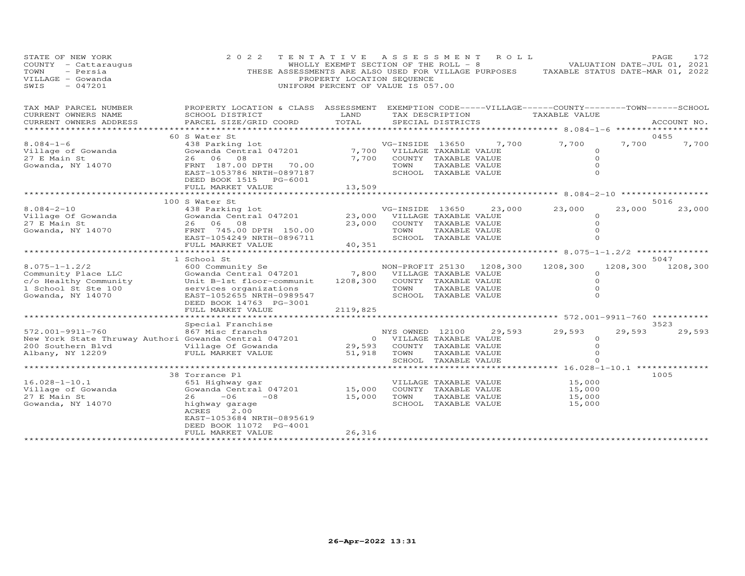| STATE OF NEW YORK<br>COUNTY - Cattaraugus<br>TOWN<br>- Persia<br>VILLAGE - Gowanda<br>SWIS<br>$-047201$            | 2 0 2 2<br>THESE ASSESSMENTS ARE ALSO USED FOR VILLAGE PURPOSES                                                                                                          | TENTATIVE ASSESSMENT<br>WHOLLY EXEMPT SECTION OF THE ROLL - 8<br>PROPERTY LOCATION SEQUENCE<br>UNIFORM PERCENT OF VALUE IS 057.00 |                                                    |                                                                                        | R O L L  | TAXABLE STATUS DATE-MAR 01, 2022                                                                                             | VALUATION DATE-JUL 01, 2021 | PAGE        | 172      |
|--------------------------------------------------------------------------------------------------------------------|--------------------------------------------------------------------------------------------------------------------------------------------------------------------------|-----------------------------------------------------------------------------------------------------------------------------------|----------------------------------------------------|----------------------------------------------------------------------------------------|----------|------------------------------------------------------------------------------------------------------------------------------|-----------------------------|-------------|----------|
| TAX MAP PARCEL NUMBER<br>CURRENT OWNERS NAME<br>CURRENT OWNERS ADDRESS<br>* * * * * * * * * * * * * * * *          | PROPERTY LOCATION & CLASS ASSESSMENT<br>SCHOOL DISTRICT<br>PARCEL SIZE/GRID COORD                                                                                        | LAND<br>TOTAL<br>************                                                                                                     |                                                    | TAX DESCRIPTION<br>SPECIAL DISTRICTS                                                   |          | EXEMPTION CODE-----VILLAGE------COUNTY--------TOWN------SCHOOL<br>TAXABLE VALUE<br>*********** 8.084-1-6 ******************* |                             | ACCOUNT NO. |          |
|                                                                                                                    | 60 S Water St                                                                                                                                                            |                                                                                                                                   |                                                    |                                                                                        |          |                                                                                                                              |                             | 0455        |          |
| $8.084 - 1 - 6$<br>Village of Gowanda<br>27 E Main St<br>Gowanda, NY 14070                                         | 438 Parking lot<br>Gowanda Central 047201<br>26 06 08<br>FRNT 187.00 DPTH 70.00<br>EAST-1053786 NRTH-0897187<br>DEED BOOK 1515 PG-6001<br>FULL MARKET VALUE              | 7,700<br>7,700<br>13,509                                                                                                          | VG-INSIDE 13650<br>TOWN                            | VILLAGE TAXABLE VALUE<br>COUNTY TAXABLE VALUE<br>TAXABLE VALUE<br>SCHOOL TAXABLE VALUE | 7,700    | 7,700<br>$\Omega$<br>$\circ$<br>$\circ$<br>$\Omega$                                                                          | 7,700                       |             | 7,700    |
|                                                                                                                    | *******************************                                                                                                                                          |                                                                                                                                   |                                                    |                                                                                        |          |                                                                                                                              |                             |             |          |
|                                                                                                                    | 100 S Water St                                                                                                                                                           |                                                                                                                                   |                                                    |                                                                                        |          |                                                                                                                              |                             | 5016        |          |
| $8.084 - 2 - 10$<br>Village Of Gowanda<br>27 E Main St<br>Gowanda, NY 14070                                        | 438 Parking lot<br>Gowanda Central 047201<br>26 06<br>08<br>FRNT 745.00 DPTH 150.00<br>EAST-1054249 NRTH-0896711<br>FULL MARKET VALUE                                    | 23,000<br>23,000<br>40,351                                                                                                        | VG-INSIDE 13650<br>TOWN                            | VILLAGE TAXABLE VALUE<br>COUNTY TAXABLE VALUE<br>TAXABLE VALUE<br>SCHOOL TAXABLE VALUE | 23,000   | 23,000<br>$\circ$<br>$\circ$<br>$\Omega$<br>$\Omega$                                                                         | 23,000                      |             | 23,000   |
|                                                                                                                    |                                                                                                                                                                          |                                                                                                                                   | ***********************                            |                                                                                        |          | ************ 8.075-1-1.2/2 ***************                                                                                   |                             |             |          |
| $8.075 - 1 - 1.2/2$<br>Community Place LLC<br>c/o Healthy Community<br>1 School St Ste 100<br>Gowanda, NY 14070    | 1 School St<br>600 Community Se<br>Gowanda Central 047201<br>Unit B-1st floor-communit<br>services organizations<br>EAST-1052655 NRTH-0989547<br>DEED BOOK 14763 PG-3001 | 7,800<br>1208,300                                                                                                                 | NON-PROFIT 25130<br>TOWN                           | VILLAGE TAXABLE VALUE<br>COUNTY TAXABLE VALUE<br>TAXABLE VALUE<br>SCHOOL TAXABLE VALUE | 1208,300 | 1208,300<br>$\Omega$<br>$\circ$<br>$\Omega$<br>$\Omega$                                                                      | 1208,300                    | 5047        | 1208,300 |
|                                                                                                                    | FULL MARKET VALUE                                                                                                                                                        | 2119,825                                                                                                                          |                                                    |                                                                                        |          |                                                                                                                              |                             |             |          |
|                                                                                                                    |                                                                                                                                                                          |                                                                                                                                   |                                                    |                                                                                        |          |                                                                                                                              |                             |             |          |
| 572.001-9911-760<br>New York State Thruway Authori Gowanda Central 047201<br>200 Southern Blvd<br>Albany, NY 12209 | Special Franchise<br>867 Misc franchs<br>Village Of Gowanda<br>FULL MARKET VALUE                                                                                         | 29,593<br>51,918                                                                                                                  | NYS OWNED 12100<br>0 VILLAGE TAXABLE VALUE<br>TOWN | COUNTY TAXABLE VALUE<br>TAXABLE VALUE                                                  | 29,593   | 29,593<br>$\circ$<br>$\Omega$<br>$\Omega$                                                                                    | 29,593                      | 3523        | 29,593   |
|                                                                                                                    | **************                                                                                                                                                           |                                                                                                                                   |                                                    | SCHOOL TAXABLE VALUE                                                                   |          | ********* 16.028-1-10.1 *********                                                                                            |                             |             |          |
|                                                                                                                    | 38 Torrance Pl                                                                                                                                                           |                                                                                                                                   |                                                    |                                                                                        |          |                                                                                                                              |                             | 1005        |          |
| $16.028 - 1 - 10.1$<br>Village of Gowanda<br>27 E Main St<br>Gowanda, NY 14070                                     | 651 Highway gar<br>Gowanda Central 047201<br>26<br>$-06$<br>$-08$<br>highway garage<br>ACRES<br>2.00<br>EAST-1053684 NRTH-0895619<br>DEED BOOK 11072 PG-4001             | 15,000<br>15,000                                                                                                                  | TOWN                                               | VILLAGE TAXABLE VALUE<br>COUNTY TAXABLE VALUE<br>TAXABLE VALUE<br>SCHOOL TAXABLE VALUE |          | 15,000<br>15,000<br>15,000<br>15,000                                                                                         |                             |             |          |
|                                                                                                                    | FULL MARKET VALUE<br>*************************************                                                                                                               | 26,316                                                                                                                            |                                                    |                                                                                        |          |                                                                                                                              |                             |             |          |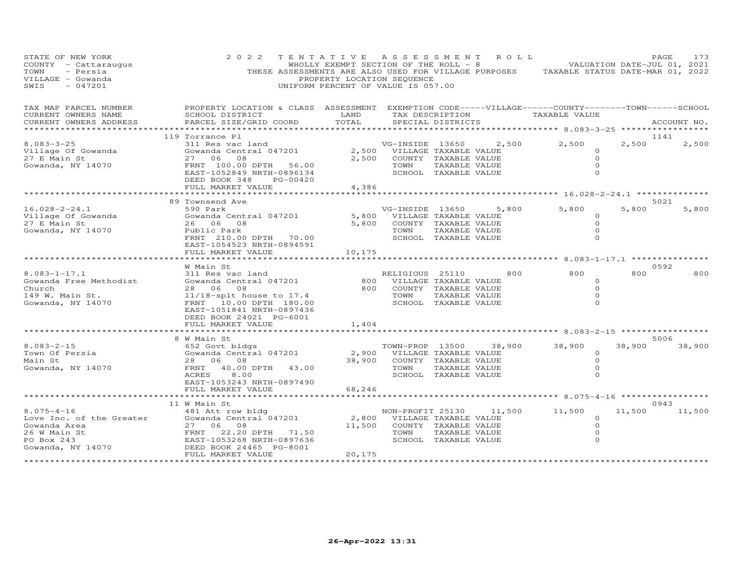| STATE OF NEW YORK<br>COUNTY - Cattaraugus<br>- Persia<br>TOWN<br>VILLAGE - Gowanda<br>$-047201$<br>SWIS                                                                       | 2 0 2 2                                                                                                                                                                                                     | TENTATIVE ASSESSMENT ROLL<br>PROPERTY LOCATION SEQUENCE<br>UNIFORM PERCENT OF VALUE IS 057.00 |                                                                   |                                       |                                                                                                                        | WHOLLY EXEMPT SECTION OF THE ROLL - 8 VALUATION DATE-JUL 01, 2021<br>THESE ASSESSMENTS ARE ALSO USED FOR VILLAGE PURPOSES TAXABLE STATUS DATE-MAR 01, 2022 |        | PAGE<br>173           |
|-------------------------------------------------------------------------------------------------------------------------------------------------------------------------------|-------------------------------------------------------------------------------------------------------------------------------------------------------------------------------------------------------------|-----------------------------------------------------------------------------------------------|-------------------------------------------------------------------|---------------------------------------|------------------------------------------------------------------------------------------------------------------------|------------------------------------------------------------------------------------------------------------------------------------------------------------|--------|-----------------------|
| TAX MAP PARCEL NUMBER THE PROPERTY LOCATION & CLASS ASSESSMENT EXEMPTION CODE-----VILLAGE------COUNTY-------TOWN------SCHOOL<br>CURRENT OWNERS NAME<br>CURRENT OWNERS ADDRESS | SCHOOL DISTRICT LAND<br>PARCEL SIZE/GRID COORD                                                                                                                                                              | TOTAL                                                                                         |                                                                   | SPECIAL DISTRICTS                     |                                                                                                                        | TAX DESCRIPTION TAXABLE VALUE<br>********************* 8.083-3-25 *****************                                                                        |        | ACCOUNT NO.           |
|                                                                                                                                                                               | 119 Torrance Pl                                                                                                                                                                                             |                                                                                               |                                                                   |                                       |                                                                                                                        |                                                                                                                                                            |        | 1141                  |
| $8.083 - 3 - 25$<br>Village Of Gowanda<br>27 E Main St<br>Gowanda, NY 14070                                                                                                   | 311 Res vac land<br>Gowanda Central 047201<br>27 06 08<br>FRNT 100.00 DPTH 56.00 2,500<br>EAST-1052849 NRTH-0896134<br>DEED BOOK 348<br>PG-00420<br>FULL MARKET VALUE                                       | 4,386                                                                                         | 2,500 VILLAGE TAXABLE VALUE<br>2,500 COUNTY TAXABLE VALUE<br>TOWN | TAXABLE VALUE<br>SCHOOL TAXABLE VALUE | VG-INSIDE 13650 2,500                                                                                                  | 2,500<br>$\Omega$<br>$\Omega$<br>$\Omega$<br>$\Omega$                                                                                                      | 2,500  | 2,500                 |
|                                                                                                                                                                               |                                                                                                                                                                                                             |                                                                                               |                                                                   |                                       |                                                                                                                        |                                                                                                                                                            |        |                       |
| $16.028 - 2 - 24.1$                                                                                                                                                           | 89 Townsend Ave<br>590 Park<br>Gowanda Central 047201                                                                                                                                                       |                                                                                               | 5,800 VILLAGE TAXABLE VALUE                                       |                                       | VG-INSIDE 13650 5,800                                                                                                  | 5,800<br>$\circ$                                                                                                                                           | 5,800  | 5021<br>5,800         |
| Village Of Gowanda<br>27 E Main St<br>27 E Main St<br>Gowanda, NY 14070                                                                                                       | 26 06 08<br>Public Park<br>FRNT 210.00 DPTH 70.00<br>EAST-1054523 NRTH-0894591                                                                                                                              |                                                                                               | 5,800 COUNTY TAXABLE VALUE<br>TOWN<br>SCHOOL TAXABLE VALUE        | TAXABLE VALUE                         |                                                                                                                        | $\circ$<br>$\circ$<br>$\circ$                                                                                                                              |        |                       |
|                                                                                                                                                                               | FULL MARKET VALUE                                                                                                                                                                                           | 10,175                                                                                        |                                                                   |                                       |                                                                                                                        |                                                                                                                                                            |        |                       |
|                                                                                                                                                                               | W Main St                                                                                                                                                                                                   |                                                                                               |                                                                   |                                       |                                                                                                                        |                                                                                                                                                            |        | 0592                  |
| $8.083 - 1 - 17.1$<br>Gowanda Free Methodist<br>Church<br>149 W. Main St.<br>Gowanda, NY 14070                                                                                | " namn De<br>311 Res vac land<br>Gowanda Central 047201<br>28 06 08<br>11/18-splt house to 17.4<br>FRNT 10.00 DPTH 180.00<br>FRNT 10.00 DPTH 180.00<br>EAST-1051841 NRTH-0897436<br>DEED BOOK 24021 PG-6001 |                                                                                               |                                                                   |                                       | RELIGIOUS 25110<br>800 VILLAGE TAXABLE VALUE<br>800 COUNTY TAXABLE VALUE<br>TOWN TAXABLE VALUE<br>SCHOOL TAXABLE VALUE | 800<br>$\circ$<br>$\overline{O}$<br>$\circ$<br>$\Omega$                                                                                                    | 800    | 800                   |
|                                                                                                                                                                               | FULL MARKET VALUE                                                                                                                                                                                           | 1,404                                                                                         |                                                                   |                                       |                                                                                                                        |                                                                                                                                                            |        |                       |
|                                                                                                                                                                               |                                                                                                                                                                                                             |                                                                                               |                                                                   |                                       |                                                                                                                        |                                                                                                                                                            |        |                       |
| $8.083 - 2 - 15$<br>Town Of Persia<br>Main St<br>Gowanda, NY 14070                                                                                                            | 8 W Main St<br>652 Govt bldgs<br>Gowanda Central 047201<br>28   06   08<br>FRNT 40.00 DPTH 43.00<br>ACRES 8.00<br>EAST-1053243 NRTH-0897490                                                                 |                                                                                               | 38,900 COUNTY TAXABLE VALUE<br>TOWN                               | TAXABLE VALUE<br>SCHOOL TAXABLE VALUE | 2,900 VILLAGE TAXABLE VALUE                                                                                            | TOWN-PROP 13500 38,900 38,900<br>$\circ$<br>$\circ$<br>$\circ$<br>$\Omega$                                                                                 | 38,900 | 5006<br>38,900        |
|                                                                                                                                                                               | FULL MARKET VALUE                                                                                                                                                                                           | 68,246                                                                                        |                                                                   |                                       |                                                                                                                        |                                                                                                                                                            |        |                       |
|                                                                                                                                                                               |                                                                                                                                                                                                             |                                                                                               |                                                                   |                                       |                                                                                                                        |                                                                                                                                                            |        |                       |
|                                                                                                                                                                               |                                                                                                                                                                                                             |                                                                                               |                                                                   |                                       |                                                                                                                        | NON-PROFIT 25130 11,500 11,500<br>$\circ$<br>$\circ$<br>$\Omega$<br>$\Omega$                                                                               |        | 0943<br>11,500 11,500 |
|                                                                                                                                                                               |                                                                                                                                                                                                             |                                                                                               |                                                                   |                                       |                                                                                                                        |                                                                                                                                                            |        |                       |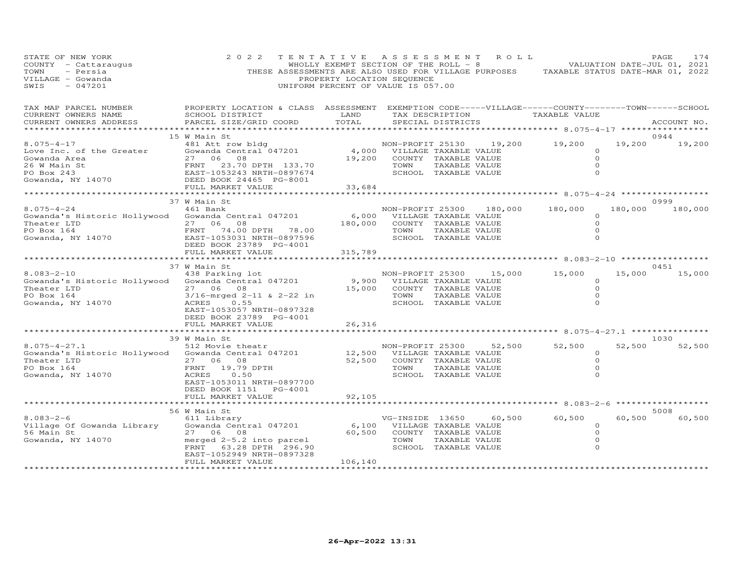| STATE OF NEW YORK<br>COUNTY - Cattaraugus<br>TOWN<br>- Persia<br>VILLAGE - Gowanda<br>SWIS<br>$-047201$                                                                                                                             | 2 0 2 2<br>THESE ASSESSMENTS ARE ALSO USED FOR VILLAGE PURPOSES TAXABLE STATUS DATE-MAR 01, 2022                                                                          | TENTATIVE ASSESSMENT<br>WHOLLY EXEMPT SECTION OF THE ROLL $-$ 8<br>PROPERTY LOCATION SEQUENCE<br>UNIFORM PERCENT OF VALUE IS 057.00 |                                                                                                                             |                                                                                        | ROLL.                    |                                                                                   |                | PAGE<br>174<br>VALUATION DATE-JUL 01, 2021 |
|-------------------------------------------------------------------------------------------------------------------------------------------------------------------------------------------------------------------------------------|---------------------------------------------------------------------------------------------------------------------------------------------------------------------------|-------------------------------------------------------------------------------------------------------------------------------------|-----------------------------------------------------------------------------------------------------------------------------|----------------------------------------------------------------------------------------|--------------------------|-----------------------------------------------------------------------------------|----------------|--------------------------------------------|
| TAX MAP PARCEL NUMBER<br>CURRENT OWNERS NAME<br>CURRENT OWNERS ADDRESS                                                                                                                                                              | PROPERTY LOCATION & CLASS ASSESSMENT EXEMPTION CODE-----VILLAGE------COUNTY-------TOWN------SCHOOL<br>SCHOOL DISTRICT<br>PARCEL SIZE/GRID COORD                           | LAND<br>TOTAL                                                                                                                       |                                                                                                                             | SPECIAL DISTRICTS                                                                      |                          | TAX DESCRIPTION TAXABLE VALUE<br>****************** 8.075-4-17 ****************** |                | ACCOUNT NO.                                |
|                                                                                                                                                                                                                                     | 15 W Main St                                                                                                                                                              |                                                                                                                                     |                                                                                                                             |                                                                                        |                          |                                                                                   |                | 0944                                       |
| $8.075 - 4 - 17$<br>Love Inc. of the Greater<br>Cove Inc. of the Second<br>Cove Inc. of the Second 27 06 08<br>26 M Main St FRNT 23.70 DPTH 133.70<br>PO Box 243<br>Gowanda, NY 14070 DEED BOOK 24465 PG-8001<br>FULL, MARKET VALUE | 481 Att row bldg<br>Gowanda Central <sup>047201</sup><br>27 06 08                                                                                                         | 19,200                                                                                                                              | 4,000 VILLAGE TAXABLE VALUE<br>TOWN                                                                                         | COUNTY TAXABLE VALUE<br>TAXABLE VALUE<br>SCHOOL TAXABLE VALUE                          | NON-PROFIT 25130 19,200  | 19,200<br>$\Omega$<br>$\circ$                                                     | 19,200         | 19,200                                     |
|                                                                                                                                                                                                                                     | FULL MARKET VALUE                                                                                                                                                         | 33,684                                                                                                                              |                                                                                                                             |                                                                                        |                          |                                                                                   |                |                                            |
|                                                                                                                                                                                                                                     |                                                                                                                                                                           |                                                                                                                                     |                                                                                                                             |                                                                                        |                          | ************* 8.075-4-24 ************                                             |                |                                            |
| $8.075 - 4 - 24$<br>Gowanda's Historic Hollywood Gowanda Central 047201<br>Theater LTD<br>PO Box 164<br>Gowanda, NY 14070                                                                                                           | 37 W Main St<br>461 Bank<br>27 06<br>08<br>FRNT 74.00 DPTH 78.00<br>EAST-1053031 NRTH-0897596<br>DEED BOOK 23789 PG-4001                                                  | 6,000<br>180,000                                                                                                                    | TOWN                                                                                                                        | VILLAGE TAXABLE VALUE<br>COUNTY TAXABLE VALUE<br>TAXABLE VALUE<br>SCHOOL TAXABLE VALUE | NON-PROFIT 25300 180,000 | 180,000<br>$\circ$<br>$\circ$<br>0                                                | 180,000        | 0999<br>180,000                            |
|                                                                                                                                                                                                                                     | FULL MARKET VALUE                                                                                                                                                         | 315,789                                                                                                                             |                                                                                                                             |                                                                                        |                          |                                                                                   |                |                                            |
|                                                                                                                                                                                                                                     | ************************                                                                                                                                                  | *************                                                                                                                       |                                                                                                                             |                                                                                        |                          | *********** 8.083-2-10 **************                                             |                |                                            |
|                                                                                                                                                                                                                                     | 37 W Main St                                                                                                                                                              |                                                                                                                                     |                                                                                                                             |                                                                                        |                          |                                                                                   |                | 0451                                       |
| $8.083 - 2 - 10$<br>Gowanda's Historic Hollywood<br>Theater LTD<br>PO Box 164<br>Gowanda, NY 14070                                                                                                                                  | 438 Parking lot<br>Gowanda Central 047201<br>27 06 08<br>$3/16$ -mrged 2-11 & 2-22 in<br>ACRES<br>0.55<br>EAST-1053057 NRTH-0897328<br>DEED BOOK 23789 PG-4001            | 15,000                                                                                                                              | 9,900 VILLAGE TAXABLE VALUE<br>TOWN                                                                                         | COUNTY TAXABLE VALUE<br>TAXABLE VALUE<br>SCHOOL TAXABLE VALUE                          | NON-PROFIT 25300 15,000  | 15,000<br>$\Omega$<br>$\Omega$<br>$\circ$                                         | 15,000         | 15,000                                     |
|                                                                                                                                                                                                                                     | FULL MARKET VALUE                                                                                                                                                         | 26,316                                                                                                                              |                                                                                                                             |                                                                                        |                          |                                                                                   |                |                                            |
|                                                                                                                                                                                                                                     | *****************                                                                                                                                                         | **************                                                                                                                      |                                                                                                                             |                                                                                        |                          | ************************************* 8.075–4–27.1 ****************               |                |                                            |
| $8.075 - 4 - 27.1$<br>Gowanda's Historic Hollywood Gowanda Central 047201<br>Theater LTD<br>PO Box 164<br>Gowanda, NY 14070                                                                                                         | 39 W Main St<br>512 Movie theatr<br>27 06 08<br>FRNT<br>19.79 DPTH<br>ACRES<br>0.50<br>EAST-1053011 NRTH-0897700<br>DEED BOOK 1151 PG-4001                                |                                                                                                                                     | NON-PROFIT 25300<br>12,500 VILLAGE TAXABLE VALUE<br>52,500 COUNTY TAXABLE VALUE<br>TOWN TAXABLE VALUE<br>TOWN TAXABLE VALUE | SCHOOL TAXABLE VALUE                                                                   | 52,500                   | 52,500<br>$\Omega$<br>$\Omega$<br>$\circ$<br>$\Omega$                             | 52,500         | 1030<br>52,500                             |
|                                                                                                                                                                                                                                     | FULL MARKET VALUE                                                                                                                                                         | 92,105                                                                                                                              |                                                                                                                             |                                                                                        |                          |                                                                                   |                |                                            |
|                                                                                                                                                                                                                                     |                                                                                                                                                                           |                                                                                                                                     |                                                                                                                             |                                                                                        |                          | ********** 8.083-2-6                                                              | ************** |                                            |
| $8.083 - 2 - 6$<br>Village Of Gowanda Library<br>56 Main St<br>4070<br>Gowanda, NY 14070                                                                                                                                            | 56 W Main St<br>611 Library<br>Gowanda Central 047201<br>27 06 08<br>merged 2-5.2 into parcel<br>FRNT 63.28 DPTH 296.90<br>EAST-1052949 NRTH-0897328<br>FULL MARKET VALUE | 106,140<br>* * * * * * * * * * * * * * * * * *                                                                                      | vd-INSIDE 13650 60,<br>6,100 VILLAGE TAXABLE VALUE<br>60,500 COUNTY TAVARET<br>TOWN                                         | TAXABLE VALUE<br>SCHOOL TAXABLE VALUE                                                  | 60,500                   | 60,500<br>$\Omega$<br>$\Omega$<br>$\circ$                                         | 60,500         | 5008<br>60,500                             |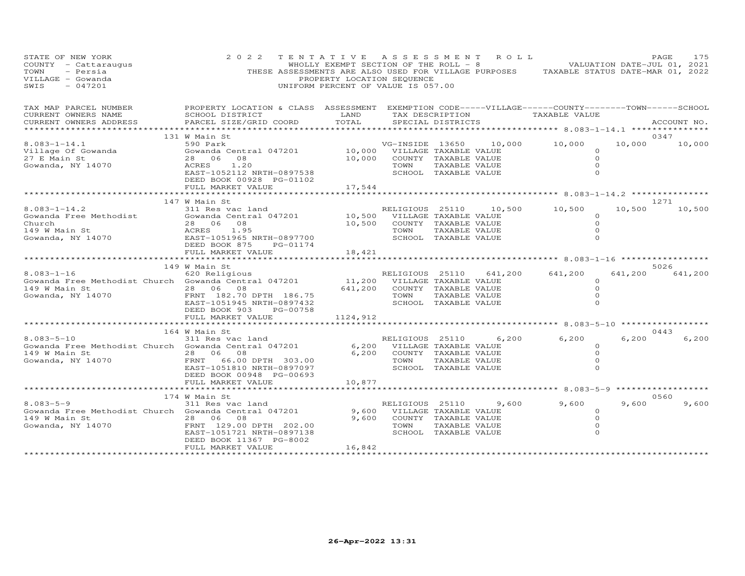| STATE OF NEW YORK<br>COUNTY - Cattaraugus<br>TOWN<br>- Persia<br>VILLAGE - Gowanda<br>SWIS<br>$-047201$                                                                                                                                          | 2 0 2 2<br>2    I    E    N T    A T    I    V    E    A S    S    E    S    M    E    N    T    E    NHOLLY EXEMPT SECTION OF THE ROLL - 8    VALUATION DATE-JUL 01, 2021<br>THESE ASSESSMENTS ARE ALSO USED FOR VILLAGE PURPOSES    TAXABL | PROPERTY LOCATION SEQUENCE<br>UNIFORM PERCENT OF VALUE IS 057.00 |                              |               |                             |                                                                                                                 |       |                 |
|--------------------------------------------------------------------------------------------------------------------------------------------------------------------------------------------------------------------------------------------------|----------------------------------------------------------------------------------------------------------------------------------------------------------------------------------------------------------------------------------------------|------------------------------------------------------------------|------------------------------|---------------|-----------------------------|-----------------------------------------------------------------------------------------------------------------|-------|-----------------|
| TAX MAP PARCEL NUMBER BROPERTY LOCATION & CLASS ASSESSMENT EXEMPTION CODE-----VILLAGE------COUNTY--------TOWN------SCHOOL CURRENT OWNERS NAME SCHOOL DISTRICT LAND TAX DESCRIPTION TAXABLE VALUE (ACCOUNT NO )                                   |                                                                                                                                                                                                                                              |                                                                  |                              |               |                             |                                                                                                                 |       |                 |
|                                                                                                                                                                                                                                                  |                                                                                                                                                                                                                                              |                                                                  |                              |               |                             |                                                                                                                 |       |                 |
|                                                                                                                                                                                                                                                  | 131 W Main St                                                                                                                                                                                                                                |                                                                  |                              |               |                             |                                                                                                                 |       | 0347            |
|                                                                                                                                                                                                                                                  |                                                                                                                                                                                                                                              |                                                                  |                              |               |                             | VG-INSIDE 13650 10,000 10,000                                                                                   |       | 10,000 10,000   |
|                                                                                                                                                                                                                                                  |                                                                                                                                                                                                                                              |                                                                  |                              |               |                             | $\circ$                                                                                                         |       |                 |
|                                                                                                                                                                                                                                                  |                                                                                                                                                                                                                                              |                                                                  |                              |               |                             | $\circ$                                                                                                         |       |                 |
|                                                                                                                                                                                                                                                  | ACRES 1.20<br>EAST-1052112 NRTH-0897538 TOWN TAXABLE VALUE<br>EAST-1052K 00938 PC 01103                                                                                                                                                      |                                                                  |                              |               |                             | $\Omega$                                                                                                        |       |                 |
|                                                                                                                                                                                                                                                  | DEED BOOK 00928 PG-01102                                                                                                                                                                                                                     |                                                                  |                              |               |                             | $\Omega$                                                                                                        |       |                 |
|                                                                                                                                                                                                                                                  | FULL MARKET VALUE                                                                                                                                                                                                                            | 17,544                                                           |                              |               |                             |                                                                                                                 |       |                 |
|                                                                                                                                                                                                                                                  |                                                                                                                                                                                                                                              |                                                                  |                              |               |                             |                                                                                                                 |       |                 |
|                                                                                                                                                                                                                                                  |                                                                                                                                                                                                                                              |                                                                  |                              |               |                             |                                                                                                                 |       | 1271            |
|                                                                                                                                                                                                                                                  |                                                                                                                                                                                                                                              |                                                                  |                              |               |                             |                                                                                                                 |       | 10,500 10,500   |
|                                                                                                                                                                                                                                                  |                                                                                                                                                                                                                                              |                                                                  |                              |               |                             |                                                                                                                 |       |                 |
|                                                                                                                                                                                                                                                  |                                                                                                                                                                                                                                              |                                                                  |                              |               |                             |                                                                                                                 |       |                 |
|                                                                                                                                                                                                                                                  |                                                                                                                                                                                                                                              |                                                                  |                              |               |                             |                                                                                                                 |       |                 |
|                                                                                                                                                                                                                                                  |                                                                                                                                                                                                                                              |                                                                  |                              |               |                             |                                                                                                                 |       |                 |
|                                                                                                                                                                                                                                                  |                                                                                                                                                                                                                                              |                                                                  |                              |               |                             |                                                                                                                 |       |                 |
|                                                                                                                                                                                                                                                  |                                                                                                                                                                                                                                              |                                                                  |                              |               |                             |                                                                                                                 |       |                 |
|                                                                                                                                                                                                                                                  | 149 W Main St                                                                                                                                                                                                                                |                                                                  |                              |               |                             |                                                                                                                 |       | 5026            |
| $8.083 - 1 - 16$                                                                                                                                                                                                                                 |                                                                                                                                                                                                                                              |                                                                  |                              |               |                             |                                                                                                                 |       | 641,200 641,200 |
|                                                                                                                                                                                                                                                  |                                                                                                                                                                                                                                              |                                                                  |                              |               |                             | RELIGIOUS 25110 641,200 641,200<br>11,200 VILLAGE TAXABLE VALUE 0<br>11,200 COUNTY TAVABLE VALUE 0 0<br>$\circ$ |       |                 |
| 8.083-1-16 620 Religious<br>Gowanda Free Methodist Church Gowanda Central 047201 11,200 VILLAGE TAXABLE VALUE<br>28 06 08 641,200 COUNTY TAXABLE VALUE<br>28 06 08 641,200 COUNTY TAXABLE VALUE                                                  |                                                                                                                                                                                                                                              |                                                                  |                              |               |                             |                                                                                                                 |       |                 |
|                                                                                                                                                                                                                                                  |                                                                                                                                                                                                                                              |                                                                  | TOWN                         | TAXABLE VALUE |                             | $\Omega$<br>$\Omega$                                                                                            |       |                 |
|                                                                                                                                                                                                                                                  | DEED BOOK 903 PG-00758                                                                                                                                                                                                                       |                                                                  | SCHOOL TAXABLE VALUE         |               |                             |                                                                                                                 |       |                 |
|                                                                                                                                                                                                                                                  | FULL MARKET VALUE 1124, 912                                                                                                                                                                                                                  |                                                                  |                              |               |                             |                                                                                                                 |       |                 |
|                                                                                                                                                                                                                                                  |                                                                                                                                                                                                                                              |                                                                  |                              |               |                             |                                                                                                                 |       |                 |
|                                                                                                                                                                                                                                                  |                                                                                                                                                                                                                                              |                                                                  |                              |               |                             |                                                                                                                 |       | 0443            |
|                                                                                                                                                                                                                                                  |                                                                                                                                                                                                                                              |                                                                  | RELIGIOUS 25110              |               |                             |                                                                                                                 | 6,200 | 6,200           |
| 164 W Main St<br>8.083-5-10 164 W Main St<br>311 Res vac land<br>57.20 6,20<br>28 06 08 6,20<br>28 06 08 6,20<br>28 66.00 DPTH 303.00                                                                                                            |                                                                                                                                                                                                                                              |                                                                  |                              |               | 6,200 VILLAGE TAXABLE VALUE | $J_E$ 6, 200 6, 200 0<br>$\circ$                                                                                |       |                 |
|                                                                                                                                                                                                                                                  |                                                                                                                                                                                                                                              |                                                                  | 6,200 COUNTY TAXABLE VALUE   |               |                             | $\circ$                                                                                                         |       |                 |
|                                                                                                                                                                                                                                                  | EAST-1051810 NRTH-0897097                                                                                                                                                                                                                    |                                                                  | TOWN<br>SCHOOL TAXABLE VALUE | TAXABLE VALUE |                             | $\Omega$<br>$\Omega$                                                                                            |       |                 |
|                                                                                                                                                                                                                                                  | DEED BOOK 00948 PG-00693                                                                                                                                                                                                                     |                                                                  |                              |               |                             |                                                                                                                 |       |                 |
|                                                                                                                                                                                                                                                  | FULL MARKET VALUE                                                                                                                                                                                                                            | 10,877                                                           |                              |               |                             |                                                                                                                 |       |                 |
|                                                                                                                                                                                                                                                  |                                                                                                                                                                                                                                              |                                                                  |                              |               |                             |                                                                                                                 |       |                 |
|                                                                                                                                                                                                                                                  | 174 W Main St                                                                                                                                                                                                                                |                                                                  |                              |               |                             |                                                                                                                 |       | 0560            |
|                                                                                                                                                                                                                                                  |                                                                                                                                                                                                                                              |                                                                  |                              |               |                             |                                                                                                                 | 9,600 | 9,600           |
| 174 W Main St<br>311 Res vac land<br>311 Res vac land<br>314 Res vac land<br>314 Res vac land<br>3,600 VILLAGE TAXABLE VALUE<br>3,600 VILLAGE TAXABLE VALUE<br>3,600 VILLAGE TAXABLE VALUE<br>3,600 COUNTY TAXABLE VALUE<br>3,600 COUNTY TAXABLE |                                                                                                                                                                                                                                              |                                                                  |                              |               |                             | $9,600$ $9,600$ 0<br>JE 0<br>$\circ$                                                                            |       |                 |
|                                                                                                                                                                                                                                                  |                                                                                                                                                                                                                                              |                                                                  |                              |               |                             | $\circ$<br>$\Omega$                                                                                             |       |                 |
|                                                                                                                                                                                                                                                  |                                                                                                                                                                                                                                              |                                                                  |                              |               |                             | $\Omega$                                                                                                        |       |                 |
|                                                                                                                                                                                                                                                  | DEED BOOK 11367 PG-8002                                                                                                                                                                                                                      |                                                                  |                              |               |                             |                                                                                                                 |       |                 |
|                                                                                                                                                                                                                                                  | FULL MARKET VALUE                                                                                                                                                                                                                            | 16,842                                                           |                              |               |                             |                                                                                                                 |       |                 |
|                                                                                                                                                                                                                                                  |                                                                                                                                                                                                                                              |                                                                  |                              |               |                             |                                                                                                                 |       |                 |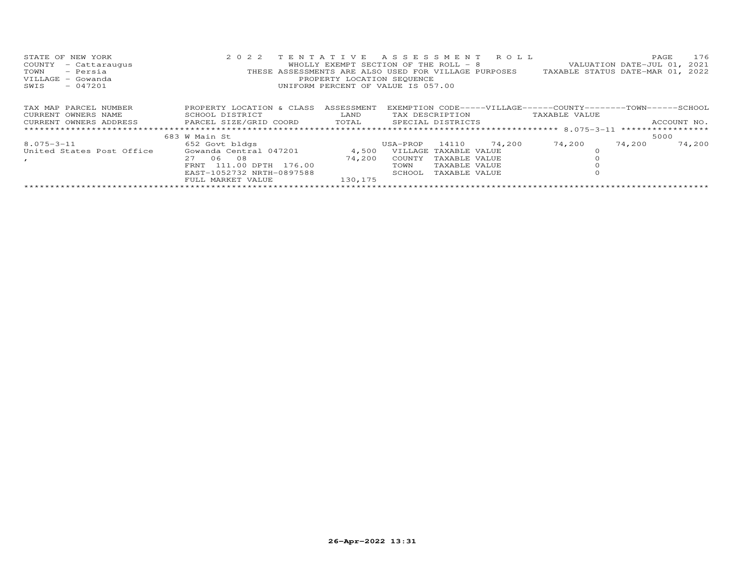| STATE OF NEW YORK<br>COUNTY<br>- Cattaraugus<br>TOWN<br>- Persia<br>VILLAGE - Gowanda<br>$-047201$<br>SWIS | 2 0 2 2<br>THESE ASSESSMENTS ARE ALSO USED FOR VILLAGE PURPOSES             | TENTATIVE ASSESSMENT ROLL<br>WHOLLY EXEMPT SECTION OF THE ROLL $-8$<br>PROPERTY LOCATION SEQUENCE<br>UNIFORM PERCENT OF VALUE IS 057.00 |                 |               |        |                                                                                | 176<br>PAGE<br>VALUATION DATE-JUL 01, 2021<br>TAXABLE STATUS DATE-MAR 01, 2022 |
|------------------------------------------------------------------------------------------------------------|-----------------------------------------------------------------------------|-----------------------------------------------------------------------------------------------------------------------------------------|-----------------|---------------|--------|--------------------------------------------------------------------------------|--------------------------------------------------------------------------------|
|                                                                                                            |                                                                             |                                                                                                                                         |                 |               |        |                                                                                |                                                                                |
| TAX MAP PARCEL NUMBER<br>CURRENT OWNERS NAME                                                               | PROPERTY LOCATION & CLASS<br>SCHOOL DISTRICT                                | ASSESSMENT<br>LAND                                                                                                                      | TAX DESCRIPTION |               |        | EXEMPTION CODE-----VILLAGE------COUNTY-------TOWN------SCHOOL<br>TAXABLE VALUE |                                                                                |
|                                                                                                            | CURRENT OWNERS ADDRESS 6 PARCEL SIZE/GRID COORD 6 TOTAL 5 SPECIAL DISTRICTS |                                                                                                                                         |                 |               |        |                                                                                | ACCOUNT NO.                                                                    |
|                                                                                                            |                                                                             |                                                                                                                                         |                 |               |        |                                                                                |                                                                                |
|                                                                                                            | 683 W Main St                                                               |                                                                                                                                         |                 |               |        |                                                                                | 5000                                                                           |
| 8.075-3-11                                                                                                 | 652 Govt bldgs                                                              |                                                                                                                                         | USA-PROP        | 14110         | 74,200 | 74,200                                                                         | 74,200<br>74,200                                                               |
| United States Post Office                                                                                  | Gowanda Central 047201                                                      | 4,500                                                                                                                                   | VILLAGE         | TAXABLE VALUE |        |                                                                                |                                                                                |
| $\mathbf{r}$                                                                                               | 06<br>2.7<br>08                                                             | 74,200                                                                                                                                  | COUNTY          | TAXABLE VALUE |        |                                                                                |                                                                                |
|                                                                                                            | 111.00 DPTH 176.00<br><b>FRNT</b>                                           |                                                                                                                                         | TOWN            | TAXABLE VALUE |        |                                                                                |                                                                                |
|                                                                                                            | EAST-1052732 NRTH-0897588                                                   |                                                                                                                                         | SCHOOL          | TAXABLE VALUE |        |                                                                                |                                                                                |
|                                                                                                            | FULL MARKET VALUE                                                           | 130,175                                                                                                                                 |                 |               |        |                                                                                |                                                                                |
|                                                                                                            |                                                                             |                                                                                                                                         |                 |               |        |                                                                                |                                                                                |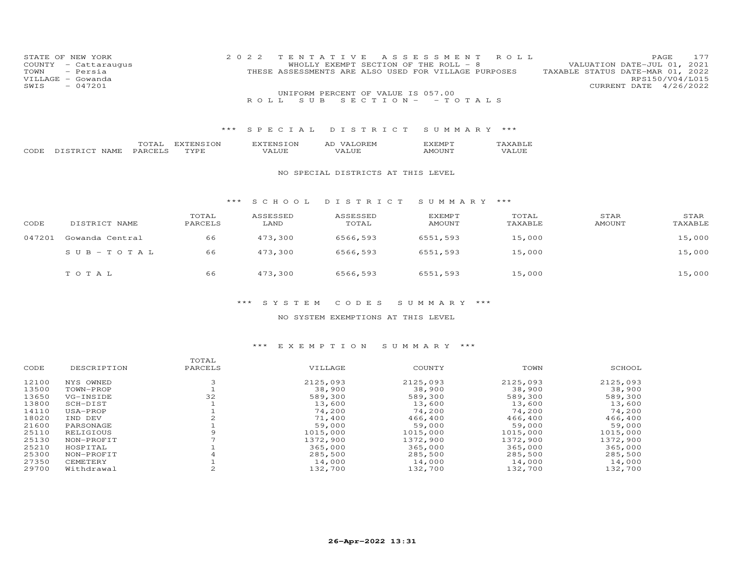|      | STATE OF NEW YORK    | 2022 TENTATIVE ASSESSMENT ROLL                       |  |                                  |                        | <b>PAGE</b> | 177 |
|------|----------------------|------------------------------------------------------|--|----------------------------------|------------------------|-------------|-----|
|      | COUNTY - Cattaraugus | WHOLLY EXEMPT SECTION OF THE ROLL - 8                |  | VALUATION DATE-JUL 01, 2021      |                        |             |     |
|      | TOWN - Persia        | THESE ASSESSMENTS ARE ALSO USED FOR VILLAGE PURPOSES |  | TAXABLE STATUS DATE-MAR 01, 2022 |                        |             |     |
|      | VILLAGE - Gowanda    |                                                      |  |                                  | RPS150/V04/L015        |             |     |
| SWIS | $-047201$            |                                                      |  |                                  | CURRENT DATE 4/26/2022 |             |     |
|      |                      | UNIFORM PERCENT OF VALUE IS 057.00                   |  |                                  |                        |             |     |
|      |                      | ROLL SUBSECTION - - TOTALS                           |  |                                  |                        |             |     |

|             |                | .   | √∪∖<br>. . | √ ∪ N<br>: NE | . IV'<br>AL | ∴MI | $\overline{\phantom{a}}$ |
|-------------|----------------|-----|------------|---------------|-------------|-----|--------------------------|
| <b>PODE</b> | $\sim$<br>NAME | . . | $m \times$ | , ,           | י י<br>. .  |     | _ ___<br>⊶ '             |

#### NO SPECIAL DISTRICTS AT THIS LEVEL

#### \*\*\* S C H O O L D I S T R I C T S U M M A R Y \*\*\*

| CODE   | DISTRICT NAME   | TOTAL<br>PARCELS | ASSESSED<br>LAND | ASSESSED<br>TOTAL | EXEMPT<br>AMOUNT | TOTAL<br>TAXABLE | STAR<br>AMOUNT | STAR<br>TAXABLE |
|--------|-----------------|------------------|------------------|-------------------|------------------|------------------|----------------|-----------------|
| 047201 | Gowanda Central | 66               | 473,300          | 6566,593          | 6551,593         | 15,000           |                | 15,000          |
|        | $SUB - TO TAL$  | 66               | 473,300          | 6566,593          | 6551,593         | 15,000           |                | 15,000          |
|        | TOTAL           | 66               | 473,300          | 6566,593          | 6551,593         | 15,000           |                | 15,000          |

## \*\*\* S Y S T E M C O D E S S U M M A R Y \*\*\*

#### NO SYSTEM EXEMPTIONS AT THIS LEVEL

|       |             | TOTAL   |          |          |          |          |
|-------|-------------|---------|----------|----------|----------|----------|
| CODE  | DESCRIPTION | PARCELS | VILLAGE  | COUNTY   | TOWN     | SCHOOL   |
| 12100 | NYS OWNED   |         | 2125,093 | 2125,093 | 2125,093 | 2125,093 |
| 13500 | TOWN-PROP   |         | 38,900   | 38,900   | 38,900   | 38,900   |
| 13650 | VG-INSIDE   | 32      | 589,300  | 589,300  | 589,300  | 589,300  |
| 13800 | SCH-DIST    |         | 13,600   | 13,600   | 13,600   | 13,600   |
| 14110 | USA-PROP    |         | 74,200   | 74,200   | 74,200   | 74,200   |
| 18020 | IND DEV     |         | 71,400   | 466,400  | 466,400  | 466,400  |
| 21600 | PARSONAGE   |         | 59,000   | 59,000   | 59,000   | 59,000   |
| 25110 | RELIGIOUS   |         | 1015,000 | 1015,000 | 1015,000 | 1015,000 |
| 25130 | NON-PROFIT  |         | 1372,900 | 1372,900 | 1372,900 | 1372,900 |
| 25210 | HOSPITAL    |         | 365,000  | 365,000  | 365,000  | 365,000  |
| 25300 | NON-PROFIT  |         | 285,500  | 285,500  | 285,500  | 285,500  |
| 27350 | CEMETERY    |         | 14,000   | 14,000   | 14,000   | 14,000   |
| 29700 | Withdrawal  |         | 132,700  | 132,700  | 132,700  | 132,700  |
|       |             |         |          |          |          |          |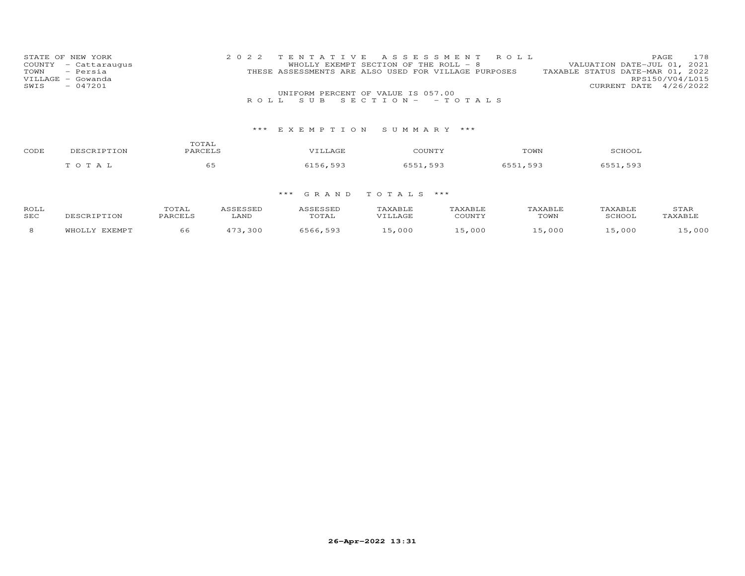| STATE OF NEW YORK    | 2022 TENTATIVE ASSESSMENT ROLL                       | 178<br><b>PAGE</b>               |
|----------------------|------------------------------------------------------|----------------------------------|
| COUNTY - Cattaraugus | WHOLLY EXEMPT SECTION OF THE ROLL - 8                | VALUATION DATE-JUL 01, 2021      |
| TOWN - Persia        | THESE ASSESSMENTS ARE ALSO USED FOR VILLAGE PURPOSES | TAXABLE STATUS DATE-MAR 01, 2022 |
| VILLAGE - Gowanda    |                                                      | RPS150/V04/L015                  |
| $-047201$<br>SWIS    |                                                      | CURRENT DATE 4/26/2022           |
|                      | UNIFORM PERCENT OF VALUE IS 057.00                   |                                  |
|                      | ROLL SUB SECTION- - TOTALS                           |                                  |

| CODE | DESCRIPTION | TOTAL<br>PARCELS | <b>VTLLAGE</b> | COUNTY   | TOWN     | SCHOOI   |
|------|-------------|------------------|----------------|----------|----------|----------|
|      | тотаь       | $ -$<br>စၥ       | 6156,593       | 6551,593 | 6551,593 | 6551,593 |

| ROLL       |               | TOTAL          |            | <i><b>\SSESSED</b></i> | TAXABLE | TAXABLE | TAXABLE | TAXABLE | STAR    |
|------------|---------------|----------------|------------|------------------------|---------|---------|---------|---------|---------|
| <b>SEC</b> |               | PARCELS        | LAND       | TOTAL                  |         | COUNTY  | TOWN    | SCHOOL  | TAXABLE |
|            | <b>EXEMPT</b> | 6 <sub>6</sub> | 172<br>300 | 593                    | ,000    | .5,000  | .5,000  | 5,000   | ,000    |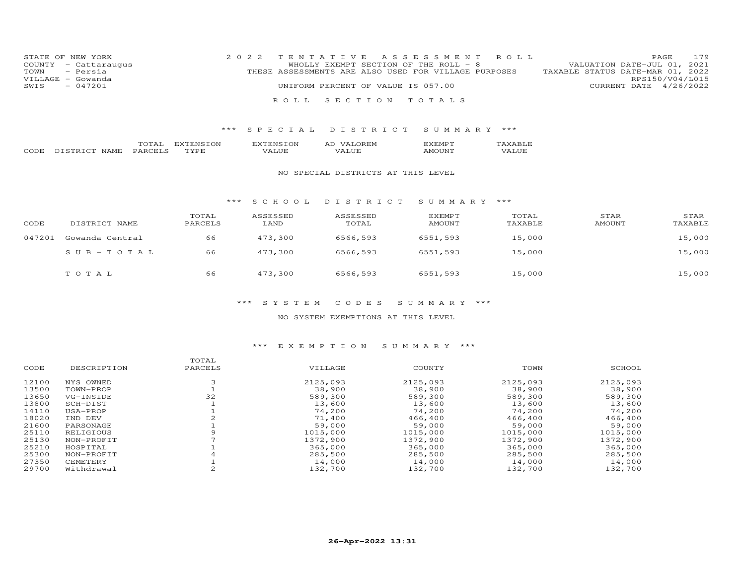| STATE OF NEW YORK    | 2022 TENTATIVE ASSESSMENT ROLL                       | 179<br><b>PAGE</b>               |
|----------------------|------------------------------------------------------|----------------------------------|
| COUNTY - Cattaraugus | WHOLLY EXEMPT SECTION OF THE ROLL - 8                | VALUATION DATE-JUL 01, 2021      |
| TOWN - Persia        | THESE ASSESSMENTS ARE ALSO USED FOR VILLAGE PURPOSES | TAXABLE STATUS DATE-MAR 01, 2022 |
| VILLAGE - Gowanda    |                                                      | RPS150/V04/L015                  |
| - 047201<br>SWIS     | UNIFORM PERCENT OF VALUE IS 057.00                   | CURRENT DATE 4/26/2022           |
|                      |                                                      |                                  |
|                      | ROLL SECTION TOTALS                                  |                                  |

|        |                                | $\overline{\phantom{a}}$<br>----- | $\sim$<br>. .  | ON<br>'NU | . .<br>. IVI<br>AL  | ч;∣∨∣⊩ | $\overline{\phantom{a}}$ |
|--------|--------------------------------|-----------------------------------|----------------|-----------|---------------------|--------|--------------------------|
| $\sim$ | $\sim$<br><b>ΝΙΔ</b><br>\IVI F | AR'<br>. .<br>.                   | m <sub>3</sub> | ′ ∆       | $\mathbf{v}$<br>. . | ו רו   | ____<br>, ,              |

#### NO SPECIAL DISTRICTS AT THIS LEVEL

#### \*\*\* S C H O O L D I S T R I C T S U M M A R Y \*\*\*

| CODE   | DISTRICT NAME   | TOTAL<br>PARCELS | ASSESSED<br>LAND | ASSESSED<br>TOTAL | EXEMPT<br>AMOUNT | TOTAL<br>TAXABLE | STAR<br>AMOUNT | STAR<br>TAXABLE |
|--------|-----------------|------------------|------------------|-------------------|------------------|------------------|----------------|-----------------|
| 047201 | Gowanda Central | 66               | 473,300          | 6566,593          | 6551,593         | 15,000           |                | 15,000          |
|        | $SUB - TO TAL$  | 66               | 473,300          | 6566,593          | 6551,593         | 15,000           |                | 15,000          |
|        | TOTAL           | 66               | 473,300          | 6566,593          | 6551,593         | 15,000           |                | 15,000          |

## \*\*\* S Y S T E M C O D E S S U M M A R Y \*\*\*

#### NO SYSTEM EXEMPTIONS AT THIS LEVEL

|       |             | TOTAL   |          |          |          |          |
|-------|-------------|---------|----------|----------|----------|----------|
| CODE  | DESCRIPTION | PARCELS | VILLAGE  | COUNTY   | TOWN     | SCHOOL   |
| 12100 | NYS OWNED   |         | 2125,093 | 2125,093 | 2125,093 | 2125,093 |
| 13500 | TOWN-PROP   |         | 38,900   | 38,900   | 38,900   | 38,900   |
| 13650 | VG-INSIDE   | 32      | 589,300  | 589,300  | 589,300  | 589,300  |
| 13800 | SCH-DIST    |         | 13,600   | 13,600   | 13,600   | 13,600   |
| 14110 | USA-PROP    |         | 74,200   | 74,200   | 74,200   | 74,200   |
| 18020 | IND DEV     |         | 71,400   | 466,400  | 466,400  | 466,400  |
| 21600 | PARSONAGE   |         | 59,000   | 59,000   | 59,000   | 59,000   |
| 25110 | RELIGIOUS   |         | 1015,000 | 1015,000 | 1015,000 | 1015,000 |
| 25130 | NON-PROFIT  |         | 1372,900 | 1372,900 | 1372,900 | 1372,900 |
| 25210 | HOSPITAL    |         | 365,000  | 365,000  | 365,000  | 365,000  |
| 25300 | NON-PROFIT  |         | 285,500  | 285,500  | 285,500  | 285,500  |
| 27350 | CEMETERY    |         | 14,000   | 14,000   | 14,000   | 14,000   |
| 29700 | Withdrawal  |         | 132,700  | 132,700  | 132,700  | 132,700  |
|       |             |         |          |          |          |          |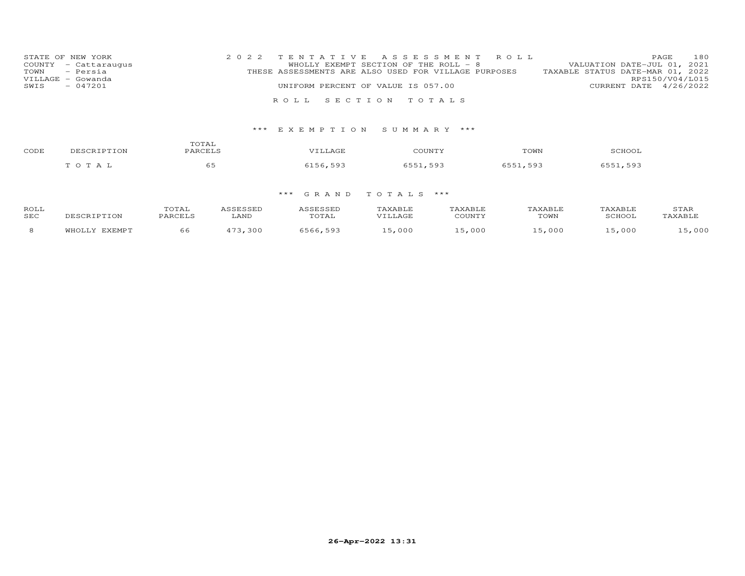| STATE OF NEW YORK |                      | 2022 TENTATIVE ASSESSMENT ROLL                       |  |  |                                  |                        | PAGE. | 180 |
|-------------------|----------------------|------------------------------------------------------|--|--|----------------------------------|------------------------|-------|-----|
|                   | COUNTY - Cattaraugus | WHOLLY EXEMPT SECTION OF THE ROLL - 8                |  |  | VALUATION DATE-JUL 01, 2021      |                        |       |     |
| TOWN – Persia     |                      | THESE ASSESSMENTS ARE ALSO USED FOR VILLAGE PURPOSES |  |  | TAXABLE STATUS DATE-MAR 01, 2022 |                        |       |     |
| VILLAGE - Gowanda |                      |                                                      |  |  |                                  | RPS150/V04/L015        |       |     |
| SWIS              | $-047201$            | UNIFORM PERCENT OF VALUE IS 057.00                   |  |  |                                  | CURRENT DATE 4/26/2022 |       |     |
|                   |                      |                                                      |  |  |                                  |                        |       |     |
|                   |                      | ROLL SECTION TOTALS                                  |  |  |                                  |                        |       |     |

| CODE | DESCRIP' | TOTAL<br>PARCELS | VTIJAGE  | COUNTY                | TOWN     | SCHOOT   |
|------|----------|------------------|----------|-----------------------|----------|----------|
|      | T O T A  | $ -$<br>ರಿತಿ     | 1156,593 | 593<br>: E E 1<br>- - | 6551,593 | 6551 593 |

| ROLL       |               | TOTAL           | <i><b>\SSESSED</b></i> | ASSESSED | TAXABLE  | TAXABLE | TAXABLE | TAXABLE | STAR    |
|------------|---------------|-----------------|------------------------|----------|----------|---------|---------|---------|---------|
| <b>SEC</b> | DESCRIPTION   | LAND<br>PARCELS |                        | TOTAL    | TT.T.AGF | COUNTY  | TOWN    | SCHOOL  | TAXABLE |
|            | <b>TVEMDT</b> | 66              | 172<br>,300            | 6566.593 | ,000     | .5,000  | .5,000  | .5,000  | ,000    |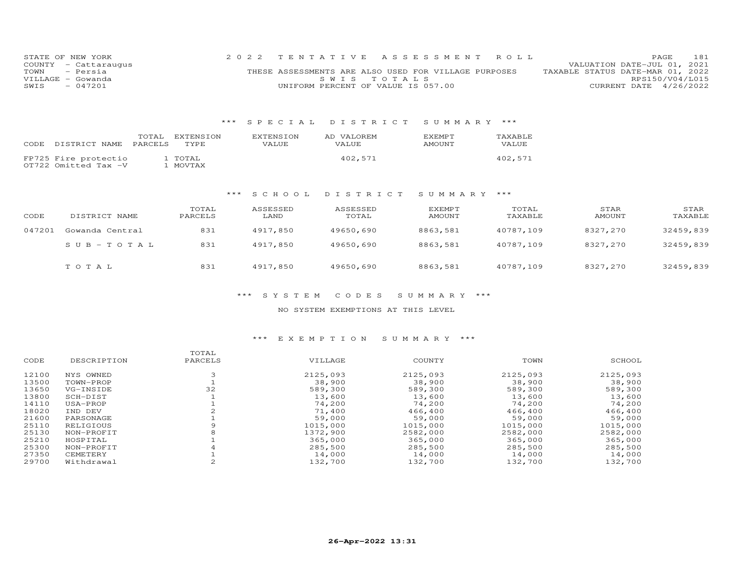|      | STATE OF NEW YORK    | 2022 TENTATIVE ASSESSMENT ROLL                       |             |  |                                  | PAGE.                  | 181 |
|------|----------------------|------------------------------------------------------|-------------|--|----------------------------------|------------------------|-----|
|      | COUNTY - Cattaraugus |                                                      |             |  | VALUATION DATE-JUL 01, 2021      |                        |     |
|      | TOWN - Persia        | THESE ASSESSMENTS ARE ALSO USED FOR VILLAGE PURPOSES |             |  | TAXABLE STATUS DATE-MAR 01, 2022 |                        |     |
|      | VILLAGE - Gowanda    |                                                      | SWIS TOTALS |  |                                  | RPS150/V04/L015        |     |
| SWIS | $-047201$            | UNIFORM PERCENT OF VALUE IS 057.00                   |             |  |                                  | CURRENT DATE 4/26/2022 |     |

### \*\*\* S P E C I A L D I S T R I C T S U M M A R Y \*\*\*

|      |                      | TOTAL.         | EXTENSION | EXTENSION    | AD VALOREM | <b>EXEMPT</b> | TAXABLE      |
|------|----------------------|----------------|-----------|--------------|------------|---------------|--------------|
| CODE | DISTRICT NAME        | <b>PARCELS</b> | TYPE      | <b>VALUE</b> | VALUE      | AMOUNT        | <b>VALUE</b> |
|      |                      |                |           |              |            |               |              |
|      | FP725 Fire protectio |                | L TOTAL   |              | 402,571    |               | 402,571      |
|      | OT722 Omitted Tax -V |                | . MOVTAX  |              |            |               |              |

# \*\*\* S C H O O L D I S T R I C T S U M M A R Y \*\*\*

| CODE   | DISTRICT NAME   | TOTAL<br>PARCELS | ASSESSED<br>LAND | ASSESSED<br>TOTAL | EXEMPT<br>AMOUNT | TOTAL<br>TAXABLE | STAR<br>AMOUNT | STAR<br>TAXABLE |
|--------|-----------------|------------------|------------------|-------------------|------------------|------------------|----------------|-----------------|
| 047201 | Gowanda Central | 831              | 4917,850         | 49650,690         | 8863,581         | 40787,109        | 8327,270       | 32459,839       |
|        | $SUB - TO T AL$ | 831              | 4917,850         | 49650,690         | 8863,581         | 40787,109        | 8327,270       | 32459,839       |
|        | TOTAL           | 831              | 4917,850         | 49650,690         | 8863,581         | 40787,109        | 8327,270       | 32459,839       |

### \*\*\* S Y S T E M C O D E S S U M M A R Y \*\*\*

### NO SYSTEM EXEMPTIONS AT THIS LEVEL

# \*\*\* E X E M P T I O N S U M M A R Y \*\*\*

|       |             | TOTAL   |          |          |          |          |
|-------|-------------|---------|----------|----------|----------|----------|
| CODE  | DESCRIPTION | PARCELS | VILLAGE  | COUNTY   | TOWN     | SCHOOL   |
| 12100 | NYS OWNED   |         | 2125,093 | 2125,093 | 2125,093 | 2125,093 |
| 13500 | TOWN-PROP   |         | 38,900   | 38,900   | 38,900   | 38,900   |
| 13650 | VG-INSIDE   | 32      | 589,300  | 589,300  | 589,300  | 589,300  |
| 13800 | SCH-DIST    |         | 13,600   | 13,600   | 13,600   | 13,600   |
| 14110 | USA-PROP    |         | 74,200   | 74,200   | 74,200   | 74,200   |
| 18020 | IND DEV     |         | 71,400   | 466,400  | 466,400  | 466,400  |
| 21600 | PARSONAGE   |         | 59,000   | 59,000   | 59,000   | 59,000   |
| 25110 | RELIGIOUS   |         | 1015,000 | 1015,000 | 1015,000 | 1015,000 |
| 25130 | NON-PROFIT  |         | 1372,900 | 2582,000 | 2582,000 | 2582,000 |
| 25210 | HOSPITAL    |         | 365,000  | 365,000  | 365,000  | 365,000  |
| 25300 | NON-PROFIT  |         | 285,500  | 285,500  | 285,500  | 285,500  |
| 27350 | CEMETERY    |         | 14,000   | 14,000   | 14,000   | 14,000   |
| 29700 | Withdrawal  |         | 132,700  | 132,700  | 132,700  | 132,700  |
|       |             |         |          |          |          |          |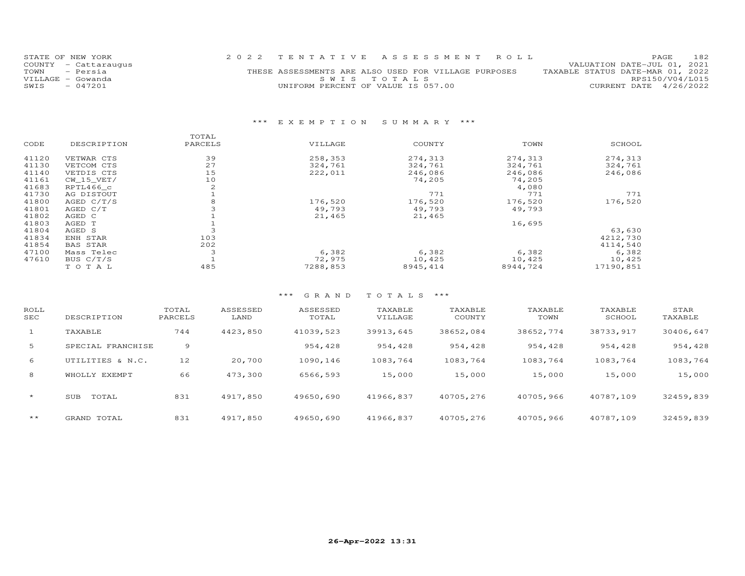| STATE OF NEW YORK    | 2022 TENTATIVE ASSESSMENT ROLL                       | 182<br><b>PAGE</b>               |
|----------------------|------------------------------------------------------|----------------------------------|
| COUNTY - Cattaraugus |                                                      | VALUATION DATE-JUL 01, 2021      |
| TOWN - Persia        | THESE ASSESSMENTS ARE ALSO USED FOR VILLAGE PURPOSES | TAXABLE STATUS DATE-MAR 01, 2022 |
| VILLAGE - Gowanda    | SWIS TOTALS                                          | RPS150/V04/L015                  |
| $-047201$<br>SWIS    | UNIFORM PERCENT OF VALUE IS 057.00                   | CURRENT DATE 4/26/2022           |
|                      |                                                      |                                  |

# \*\*\* E X E M P T I O N S U M M A R Y \*\*\*

|       |                 | TOTAL          |          |           |          |           |
|-------|-----------------|----------------|----------|-----------|----------|-----------|
| CODE  | DESCRIPTION     | PARCELS        | VILLAGE  | COUNTY    | TOWN     | SCHOOL    |
| 41120 | VETWAR CTS      | 39             | 258,353  | 274,313   | 274,313  | 274,313   |
| 41130 | VETCOM CTS      | 27             | 324,761  | 324,761   | 324,761  | 324,761   |
| 41140 | VETDIS CTS      | 15             | 222,011  | 246,086   | 246,086  | 246,086   |
| 41161 | CW 15 VET/      | 10             |          | 74,205    | 74,205   |           |
| 41683 | RPTL466 c       | $\mathfrak{D}$ |          |           | 4,080    |           |
| 41730 | AG DISTOUT      |                |          | 771       | 771      | 771       |
| 41800 | AGED $C/T/S$    | 8              | 176,520  | 176,520   | 176,520  | 176,520   |
| 41801 | AGED C/T        |                | 49,793   | 49,793    | 49,793   |           |
| 41802 | AGED C          |                | 21,465   | 21,465    |          |           |
| 41803 | AGED T          |                |          |           | 16,695   |           |
| 41804 | AGED S          |                |          |           |          | 63,630    |
| 41834 | ENH STAR        | 103            |          |           |          | 4212,730  |
| 41854 | <b>BAS STAR</b> | 202            |          |           |          | 4114,540  |
| 47100 | Mass Telec      |                | 6,382    | 6,382     | 6,382    | 6,382     |
| 47610 | BUS C/T/S       |                | 72,975   | 10,425    | 10,425   | 10,425    |
|       | TOTAL           | 485            | 7288,853 | 8945, 414 | 8944,724 | 17190,851 |

# \*\*\* G R A N D T O T A L S \*\*\*

| ROLL<br>SEC  | DESCRIPTION         | TOTAL<br>PARCELS | ASSESSED<br>LAND | ASSESSED<br>TOTAL | TAXABLE<br>VILLAGE | TAXABLE<br>COUNTY | TAXABLE<br>TOWN | TAXABLE<br>SCHOOL | STAR<br>TAXABLE |
|--------------|---------------------|------------------|------------------|-------------------|--------------------|-------------------|-----------------|-------------------|-----------------|
| $\mathbf{1}$ | TAXABLE             | 744              | 4423,850         | 41039,523         | 39913,645          | 38652,084         | 38652,774       | 38733,917         | 30406,647       |
| 5            | SPECIAL FRANCHISE   | 9                |                  | 954,428           | 954,428            | 954,428           | 954,428         | 954,428           | 954,428         |
| 6            | UTILITIES & N.C.    | 12               | 20,700           | 1090.146          | 1083,764           | 1083,764          | 1083,764        | 1083,764          | 1083,764        |
| 8            | EXEMPT<br>WHOLLY    | 66               | 473,300          | 6566,593          | 15,000             | 15,000            | 15,000          | 15,000            | 15,000          |
| $\star$      | TOTAL<br><b>SUB</b> | 831              | 4917,850         | 49650,690         | 41966,837          | 40705,276         | 40705,966       | 40787,109         | 32459,839       |
| $***$        | GRAND TOTAL         | 831              | 4917,850         | 49650,690         | 41966,837          | 40705,276         | 40705,966       | 40787,109         | 32459,839       |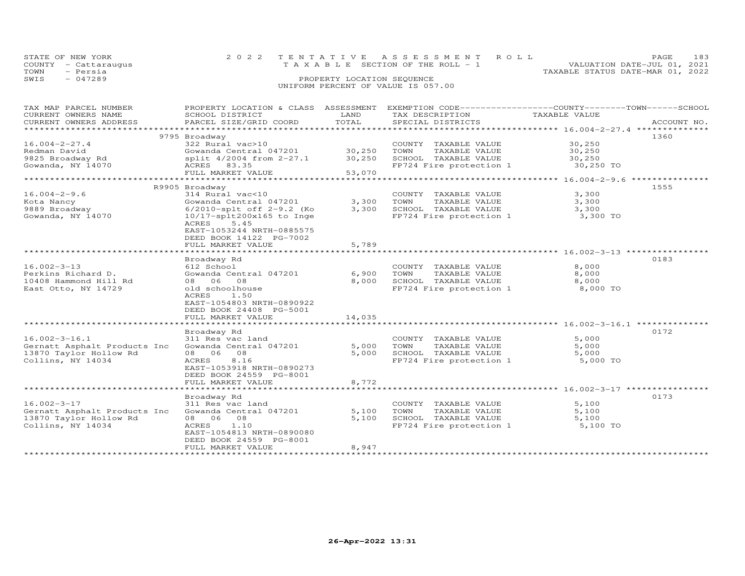|      | STATE OF NEW YORK    | 2022 TENTATIVE ASSESSMENT ROLL                                       | PAGE. | 183 |
|------|----------------------|----------------------------------------------------------------------|-------|-----|
|      | COUNTY - Cattaraugus | VALUATION DATE-JUL 01, 2021<br>T A X A B L E SECTION OF THE ROLL - 1 |       |     |
| TOWN | - Persia             | TAXABLE STATUS DATE-MAR 01, 2022                                     |       |     |
| SWIS | $-047289$            | PROPERTY LOCATION SEOUENCE                                           |       |     |
|      |                      | UNIFORM PERCENT OF VALUE IS 057.00                                   |       |     |

| TAX MAP PARCEL NUMBER<br>CURRENT OWNERS NAME<br>CURRENT OWNERS ADDRESS                           | PROPERTY LOCATION & CLASS ASSESSMENT<br>SCHOOL DISTRICT<br>PARCEL SIZE/GRID COORD                                               | LAND<br>TOTAL           | EXEMPTION CODE-----------------COUNTY-------TOWN------SCHOOL<br>TAX DESCRIPTION<br>SPECIAL DISTRICTS | TAXABLE VALUE                       | ACCOUNT NO. |
|--------------------------------------------------------------------------------------------------|---------------------------------------------------------------------------------------------------------------------------------|-------------------------|------------------------------------------------------------------------------------------------------|-------------------------------------|-------------|
| **********************                                                                           |                                                                                                                                 |                         |                                                                                                      |                                     |             |
| $16.004 - 2 - 27.4$<br>Redman David<br>9825 Broadway Rd                                          | 9795 Broadway<br>322 Rural vac>10<br>Gowanda Central 047201<br>split 4/2004 from 2-27.1                                         | 30,250<br>30,250        | COUNTY TAXABLE VALUE<br>TOWN<br>TAXABLE VALUE<br>SCHOOL TAXABLE VALUE                                | 30,250<br>30,250<br>30,250          | 1360        |
| Gowanda, NY 14070                                                                                | ACRES 83.35<br>FULL MARKET VALUE                                                                                                | 53,070                  | FP724 Fire protection 1                                                                              | 30,250 TO                           |             |
|                                                                                                  | R9905 Broadway                                                                                                                  |                         |                                                                                                      |                                     | 1555        |
| $16.004 - 2 - 9.6$<br>Kota Nancy<br>9889 Broadway<br>Gowanda, NY 14070                           | 314 Rural vac<10<br>Gowanda Central 047201<br>$6/2010$ -splt off 2-9.2 (Ko<br>$10/17$ -splt200x165 to Inge                      | 3,300<br>3,300          | COUNTY TAXABLE VALUE<br>TOWN<br>TAXABLE VALUE<br>SCHOOL TAXABLE VALUE<br>FP724 Fire protection 1     | 3,300<br>3,300<br>3,300<br>3,300 TO |             |
|                                                                                                  | ACRES<br>5.45<br>EAST-1053244 NRTH-0885575<br>DEED BOOK 14122 PG-7002<br>FULL MARKET VALUE                                      | 5,789                   |                                                                                                      |                                     |             |
|                                                                                                  |                                                                                                                                 |                         |                                                                                                      |                                     |             |
|                                                                                                  | Broadway Rd                                                                                                                     |                         |                                                                                                      |                                     | 0183        |
| $16.002 - 3 - 13$<br>Perkins Richard D.                                                          | 612 School<br>Gowanda Central 047201                                                                                            | 6,900                   | COUNTY TAXABLE VALUE<br>TOWN<br>TAXABLE VALUE                                                        | 8,000<br>8,000                      |             |
| 10408 Hammond Hill Rd                                                                            | 08 06 08                                                                                                                        | 8,000                   | SCHOOL TAXABLE VALUE                                                                                 | 8,000                               |             |
| East Otto, NY 14729                                                                              | old schoolhouse<br>ACRES<br>1.50<br>EAST-1054803 NRTH-0890922<br>DEED BOOK 24408 PG-5001                                        |                         | FP724 Fire protection 1                                                                              | 8,000 TO                            |             |
|                                                                                                  | FULL MARKET VALUE<br>******************                                                                                         | 14,035<br>************* |                                                                                                      |                                     |             |
| $16.002 - 3 - 16.1$                                                                              | Broadway Rd<br>311 Res vac land                                                                                                 |                         | COUNTY TAXABLE VALUE                                                                                 | 5,000                               | 0172        |
| Gernatt Asphalt Products Inc                                                                     | Gowanda Central 047201                                                                                                          | 5,000                   | TOWN<br>TAXABLE VALUE                                                                                | 5,000                               |             |
| 13870 Taylor Hollow Rd                                                                           | 08 06<br>08                                                                                                                     | 5,000                   | SCHOOL TAXABLE VALUE                                                                                 | 5,000                               |             |
| Collins, NY 14034                                                                                | 8.16<br>ACRES<br>EAST-1053918 NRTH-0890273<br>DEED BOOK 24559 PG-8001                                                           |                         | FP724 Fire protection 1                                                                              | 5,000 TO                            |             |
|                                                                                                  | FULL MARKET VALUE                                                                                                               | 8,772                   |                                                                                                      |                                     |             |
|                                                                                                  | Broadway Rd                                                                                                                     |                         |                                                                                                      |                                     | 0173        |
| $16.002 - 3 - 17$<br>Gernatt Asphalt Products Inc<br>13870 Taylor Hollow Rd<br>Collins, NY 14034 | 311 Res vac land<br>Gowanda Central 047201<br>08 06 08<br>ACRES<br>1.10<br>EAST-1054813 NRTH-0890080<br>DEED BOOK 24559 PG-8001 | 5,100<br>5,100          | COUNTY TAXABLE VALUE<br>TOWN<br>TAXABLE VALUE<br>SCHOOL TAXABLE VALUE<br>FP724 Fire protection 1     | 5,100<br>5,100<br>5,100<br>5,100 TO |             |
|                                                                                                  | FULL MARKET VALUE                                                                                                               | 8,947                   |                                                                                                      |                                     |             |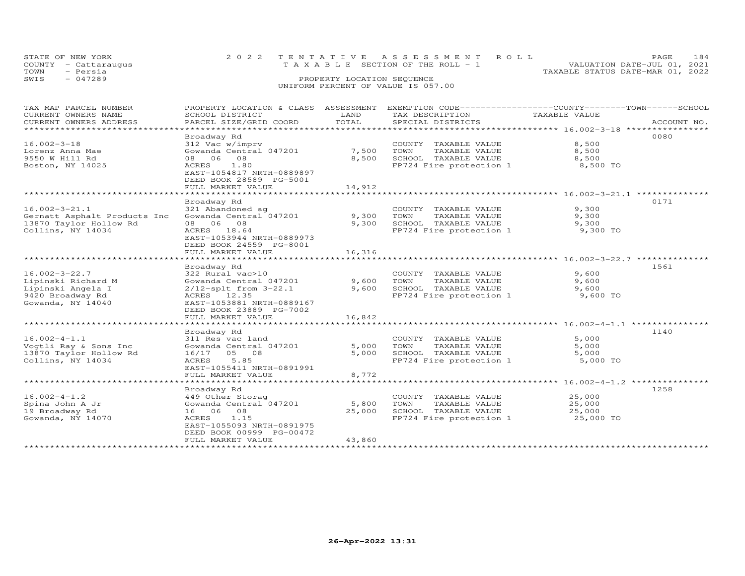|      | STATE OF NEW YORK<br>COUNTY - Cattaraugus | 2022 TENTATIVE ASSESSMENT ROLL<br>TAXABLE SECTION OF THE ROLL - 1 |                            |  |                                  | PAGE.<br>VALUATION DATE-JUL 01, 2021 | 184 |
|------|-------------------------------------------|-------------------------------------------------------------------|----------------------------|--|----------------------------------|--------------------------------------|-----|
| TOWN | - Persia                                  |                                                                   |                            |  | TAXABLE STATUS DATE-MAR 01, 2022 |                                      |     |
| SWIS | - 047289                                  |                                                                   | PROPERTY LOCATION SEQUENCE |  |                                  |                                      |     |
|      |                                           | UNIFORM PERCENT OF VALUE IS 057.00                                |                            |  |                                  |                                      |     |

| TAX MAP PARCEL NUMBER                         | PROPERTY LOCATION & CLASS ASSESSMENT         | LAND        |                                                              |                                                  |             |
|-----------------------------------------------|----------------------------------------------|-------------|--------------------------------------------------------------|--------------------------------------------------|-------------|
| CURRENT OWNERS NAME<br>CURRENT OWNERS ADDRESS | SCHOOL DISTRICT<br>PARCEL SIZE/GRID COORD    | TOTAL       | TAX DESCRIPTION<br>SPECIAL DISTRICTS                         | TAXABLE VALUE                                    | ACCOUNT NO. |
| ******************************                |                                              |             |                                                              |                                                  |             |
|                                               | Broadway Rd                                  |             |                                                              |                                                  | 0080        |
| $16.002 - 3 - 18$                             | 312 Vac w/imprv                              |             | COUNTY TAXABLE VALUE                                         | 8,500                                            |             |
| Lorenz Anna Mae                               | Gowanda Central 047201                       | 7,500       | TOWN<br>TAXABLE VALUE                                        | 8,500                                            |             |
| 9550 W Hill Rd                                | 08 06 08                                     | 8,500       | SCHOOL TAXABLE VALUE                                         | 8,500                                            |             |
| Boston, NY 14025                              | ACRES 1.80                                   |             | FP724 Fire protection 1                                      | 8,500 TO                                         |             |
|                                               | EAST-1054817 NRTH-0889897                    |             |                                                              |                                                  |             |
|                                               | DEED BOOK 28589 PG-5001                      |             |                                                              |                                                  |             |
|                                               | FULL MARKET VALUE                            | 14,912      |                                                              |                                                  |             |
|                                               | *******************                          | *********** | ************************************ 16.002-3-21.1 ********* |                                                  |             |
|                                               | Broadway Rd                                  |             |                                                              |                                                  | 0171        |
| $16.002 - 3 - 21.1$                           | 321 Abandoned ag                             |             | COUNTY TAXABLE VALUE                                         | 9,300                                            |             |
| Gernatt Asphalt Products Inc                  | Gowanda Central 047201                       | 9,300       | TOWN<br>TAXABLE VALUE                                        | 9,300                                            |             |
| 13870 Taylor Hollow Rd                        | 08 06 08                                     | 9,300       | SCHOOL TAXABLE VALUE                                         | 9,300                                            |             |
| Collins, NY 14034                             | ACRES 18.64<br>EAST-1053944 NRTH-0889973     |             | FP724 Fire protection 1                                      | 9,300 TO                                         |             |
|                                               |                                              |             |                                                              |                                                  |             |
|                                               | DEED BOOK 24559 PG-8001<br>FULL MARKET VALUE | 16,316      |                                                              |                                                  |             |
|                                               | ********************                         | *********** |                                                              | ************************ 16.002-3-22.7 ********* |             |
|                                               | Broadway Rd                                  |             |                                                              |                                                  | 1561        |
| $16.002 - 3 - 22.7$                           | 322 Rural vac>10                             |             | COUNTY TAXABLE VALUE                                         | 9,600                                            |             |
| Lipinski Richard M                            | Gowanda Central 047201                       | 9,600       | TOWN<br>TAXABLE VALUE                                        | 9,600                                            |             |
| Lipinski Angela I                             | $2/12$ -splt from $3-22.1$                   | 9,600       | SCHOOL TAXABLE VALUE                                         | 9,600                                            |             |
| 9420 Broadway Rd                              | ACRES 12.35                                  |             | FP724 Fire protection 1                                      | 9,600 TO                                         |             |
| Gowanda, NY 14040                             | EAST-1053881 NRTH-0889167                    |             |                                                              |                                                  |             |
|                                               | DEED BOOK 23889 PG-7002                      |             |                                                              |                                                  |             |
|                                               | FULL MARKET VALUE                            | 16,842      |                                                              |                                                  |             |
|                                               |                                              |             |                                                              |                                                  |             |
|                                               | Broadway Rd                                  |             |                                                              |                                                  | 1140        |
| $16.002 - 4 - 1.1$                            | 311 Res vac land                             |             | COUNTY TAXABLE VALUE                                         | 5,000                                            |             |
| Vogtli Ray & Sons Inc                         | Gowanda Central 047201                       | 5,000       | TOWN<br>TAXABLE VALUE                                        | 5,000                                            |             |
| 13870 Taylor Hollow Rd                        | 16/17 05 08                                  | 5,000       | SCHOOL TAXABLE VALUE                                         | 5,000                                            |             |
| Collins, NY 14034                             | 5.85<br>ACRES                                |             | FP724 Fire protection 1                                      | 5,000 TO                                         |             |
|                                               | EAST-1055411 NRTH-0891991                    |             |                                                              |                                                  |             |
|                                               | FULL MARKET VALUE                            | 8,772       |                                                              |                                                  |             |
|                                               |                                              |             |                                                              |                                                  |             |
| $16.002 - 4 - 1.2$                            | Broadway Rd<br>449 Other Storag              |             |                                                              | 25,000                                           | 1258        |
| Spina John A Jr                               | Gowanda Central 047201                       | 5,800       | COUNTY TAXABLE VALUE<br>TOWN<br>TAXABLE VALUE                | 25,000                                           |             |
| 19 Broadway Rd                                | 16 06 08                                     | 25,000      | SCHOOL TAXABLE VALUE                                         | 25,000                                           |             |
| Gowanda, NY 14070                             | ACRES 1.15                                   |             | FP724 Fire protection 1                                      | 25,000 TO                                        |             |
|                                               | EAST-1055093 NRTH-0891975                    |             |                                                              |                                                  |             |
|                                               | DEED BOOK 00999 PG-00472                     |             |                                                              |                                                  |             |
|                                               | FULL MARKET VALUE                            | 43,860      |                                                              |                                                  |             |
|                                               |                                              |             |                                                              |                                                  |             |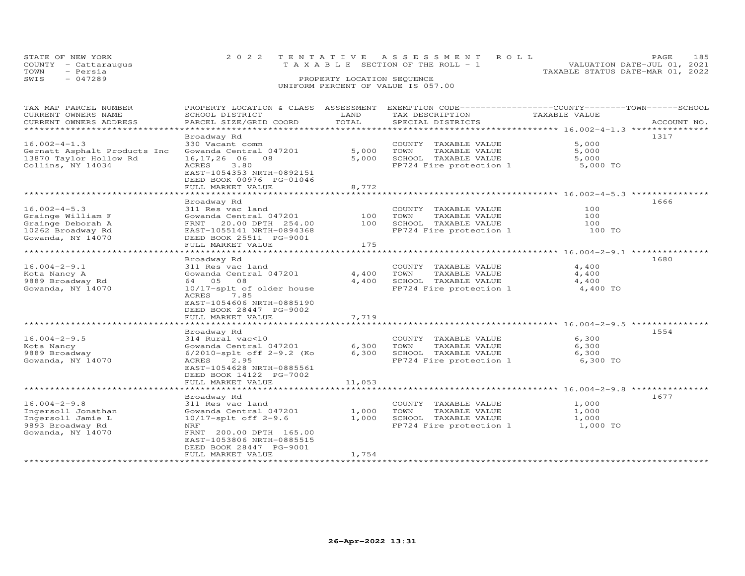| STATE OF NEW YORK<br>COUNTY - Cattaraugus<br>- Persia<br>TOWN | 2022 TENTATIVE ASSESSMENT ROLL<br>TAXABLE SECTION OF THE ROLL - 1 | VALUATION DATE-JUL 01, 2021<br>TAXABLE STATUS DATE-MAR 01, 2022 | PAGE. | 185 |
|---------------------------------------------------------------|-------------------------------------------------------------------|-----------------------------------------------------------------|-------|-----|
| $-047289$<br>SWIS                                             | PROPERTY LOCATION SEQUENCE<br>UNIFORM PERCENT OF VALUE IS 057.00  |                                                                 |       |     |

| TAX MAP PARCEL NUMBER        |                              |        | PROPERTY LOCATION & CLASS ASSESSMENT EXEMPTION CODE----------------COUNTY-------TOWN------SCHOOL |               |             |
|------------------------------|------------------------------|--------|--------------------------------------------------------------------------------------------------|---------------|-------------|
| CURRENT OWNERS NAME          | SCHOOL DISTRICT              | LAND   | TAX DESCRIPTION                                                                                  | TAXABLE VALUE |             |
| CURRENT OWNERS ADDRESS       | PARCEL SIZE/GRID COORD       | TOTAL  | SPECIAL DISTRICTS                                                                                |               | ACCOUNT NO. |
| **********************       |                              |        |                                                                                                  |               |             |
|                              |                              |        |                                                                                                  |               |             |
|                              | Broadway Rd                  |        |                                                                                                  |               | 1317        |
| $16.002 - 4 - 1.3$           | 330 Vacant comm              |        | COUNTY TAXABLE VALUE                                                                             | 5,000         |             |
| Gernatt Asphalt Products Inc | Gowanda Central 047201       | 5,000  | TOWN<br>TAXABLE VALUE                                                                            | 5,000         |             |
| 13870 Taylor Hollow Rd       | 16, 17, 26 06 08             | 5,000  | SCHOOL TAXABLE VALUE                                                                             | 5,000         |             |
|                              |                              |        |                                                                                                  |               |             |
| Collins, NY 14034            | 3.80<br>ACRES                |        | FP724 Fire protection 1                                                                          | 5,000 TO      |             |
|                              | EAST-1054353 NRTH-0892151    |        |                                                                                                  |               |             |
|                              | DEED BOOK 00976 PG-01046     |        |                                                                                                  |               |             |
|                              | FULL MARKET VALUE            | 8,772  |                                                                                                  |               |             |
|                              |                              |        |                                                                                                  |               |             |
|                              |                              |        |                                                                                                  |               |             |
|                              | Broadway Rd                  |        |                                                                                                  |               | 1666        |
| $16.002 - 4 - 5.3$           | 311 Res vac land             |        | COUNTY TAXABLE VALUE                                                                             | 100           |             |
| Grainge William F            | Gowanda Central 047201       | 100    | TAXABLE VALUE<br>TOWN                                                                            | 100           |             |
| Grainge Deborah A            | FRNT<br>20.00 DPTH 254.00    | 100    | SCHOOL TAXABLE VALUE                                                                             | 100           |             |
|                              |                              |        |                                                                                                  |               |             |
| 10262 Broadway Rd            | EAST-1055141 NRTH-0894368    |        | FP724 Fire protection 1                                                                          | 100 TO        |             |
| Gowanda, NY 14070            | DEED BOOK 25511 PG-9001      |        |                                                                                                  |               |             |
|                              | FULL MARKET VALUE            | 175    |                                                                                                  |               |             |
|                              |                              |        |                                                                                                  |               |             |
|                              | Broadway Rd                  |        |                                                                                                  |               | 1680        |
|                              |                              |        |                                                                                                  |               |             |
| $16.004 - 2 - 9.1$           | 311 Res vac land             |        | COUNTY TAXABLE VALUE                                                                             | 4,400         |             |
| Kota Nancy A                 | Gowanda Central 047201       | 4,400  | TOWN<br>TAXABLE VALUE                                                                            | 4,400         |             |
| 9889 Broadway Rd             | 64 05 08                     | 4,400  | SCHOOL TAXABLE VALUE                                                                             | 4,400         |             |
| Gowanda, NY 14070            | 10/17-splt of older house    |        | FP724 Fire protection 1                                                                          | 4,400 TO      |             |
|                              | ACRES<br>7.85                |        |                                                                                                  |               |             |
|                              |                              |        |                                                                                                  |               |             |
|                              | EAST-1054606 NRTH-0885190    |        |                                                                                                  |               |             |
|                              | DEED BOOK 28447 PG-9002      |        |                                                                                                  |               |             |
|                              | FULL MARKET VALUE            | 7,719  |                                                                                                  |               |             |
|                              |                              |        |                                                                                                  |               |             |
|                              |                              |        |                                                                                                  |               |             |
|                              | Broadway Rd                  |        |                                                                                                  |               | 1554        |
| $16.004 - 2 - 9.5$           | 314 Rural vac<10             |        | COUNTY TAXABLE VALUE                                                                             | 6,300         |             |
| Kota Nancy                   | Gowanda Central 047201       | 6,300  | TOWN<br>TAXABLE VALUE                                                                            | 6,300         |             |
| 9889 Broadway                | $6/2010$ -splt off 2-9.2 (Ko | 6,300  | SCHOOL TAXABLE VALUE                                                                             | 6,300         |             |
| Gowanda, NY 14070            | ACRES<br>2.95                |        | FP724 Fire protection 1                                                                          | 6,300 TO      |             |
|                              |                              |        |                                                                                                  |               |             |
|                              | EAST-1054628 NRTH-0885561    |        |                                                                                                  |               |             |
|                              | DEED BOOK 14122 PG-7002      |        |                                                                                                  |               |             |
|                              | FULL MARKET VALUE            | 11,053 |                                                                                                  |               |             |
|                              |                              |        |                                                                                                  |               |             |
|                              | Broadway Rd                  |        |                                                                                                  |               | 1677        |
|                              |                              |        |                                                                                                  |               |             |
| $16.004 - 2 - 9.8$           | 311 Res vac land             |        | COUNTY TAXABLE VALUE                                                                             | 1,000         |             |
| Ingersoll Jonathan           | Gowanda Central 047201       | 1,000  | TOWN<br>TAXABLE VALUE                                                                            | 1,000         |             |
| Ingersoll Jamie L            | $10/17$ -splt off 2-9.6      | 1,000  | SCHOOL TAXABLE VALUE                                                                             | 1,000         |             |
| 9893 Broadway Rd             | NRF                          |        | FP724 Fire protection 1                                                                          | 1,000 TO      |             |
| Gowanda, NY 14070            |                              |        |                                                                                                  |               |             |
|                              | FRNT 200.00 DPTH 165.00      |        |                                                                                                  |               |             |
|                              | EAST-1053806 NRTH-0885515    |        |                                                                                                  |               |             |
|                              | DEED BOOK 28447 PG-9001      |        |                                                                                                  |               |             |
|                              | FULL MARKET VALUE            | 1,754  |                                                                                                  |               |             |
|                              |                              |        |                                                                                                  |               |             |
|                              |                              |        |                                                                                                  |               |             |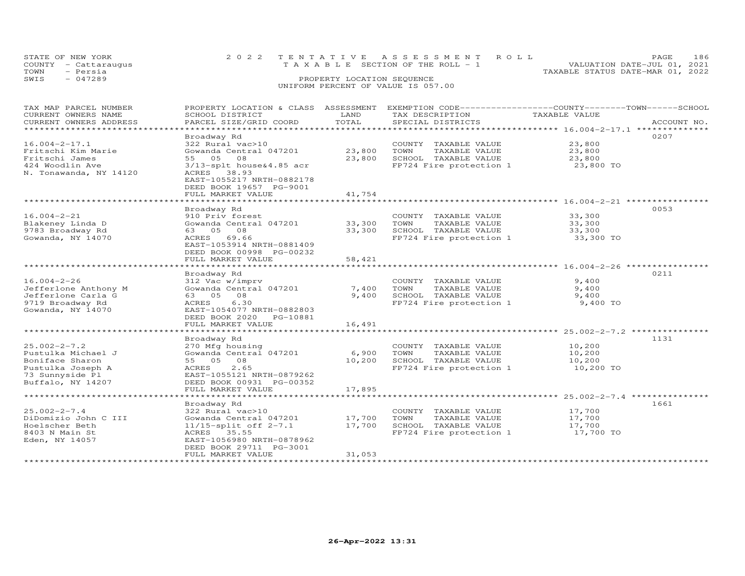|      | STATE OF NEW YORK                | 2022 TENTATIVE ASSESSMENT ROLL<br>T A X A B L E SECTION OF THE ROLL - 1 |  |                                  | <b>PAGE</b><br>VALUATION DATE-JUL 01, 2021 | 186 |
|------|----------------------------------|-------------------------------------------------------------------------|--|----------------------------------|--------------------------------------------|-----|
| TOWN | COUNTY - Cattaraugus<br>- Persia |                                                                         |  | TAXABLE STATUS DATE-MAR 01, 2022 |                                            |     |
| SWIS | $-047289$                        | PROPERTY LOCATION SEQUENCE                                              |  |                                  |                                            |     |
|      |                                  | UNIFORM PERCENT OF VALUE IS 057.00                                      |  |                                  |                                            |     |

| TAX MAP PARCEL NUMBER  | PROPERTY LOCATION & CLASS  | ASSESSMENT | EXEMPTION CODE-----------------COUNTY-------TOWN------SCHOOL |                                              |             |
|------------------------|----------------------------|------------|--------------------------------------------------------------|----------------------------------------------|-------------|
| CURRENT OWNERS NAME    | SCHOOL DISTRICT            | LAND       | TAX DESCRIPTION                                              | TAXABLE VALUE                                |             |
| CURRENT OWNERS ADDRESS | PARCEL SIZE/GRID COORD     | TOTAL      | SPECIAL DISTRICTS                                            |                                              | ACCOUNT NO. |
| *************          |                            |            |                                                              |                                              |             |
|                        | Broadway Rd                |            |                                                              |                                              | 0207        |
| $16.004 - 2 - 17.1$    | 322 Rural vac>10           |            | COUNTY TAXABLE VALUE                                         | 23,800                                       |             |
| Fritschi Kim Marie     | Gowanda Central 047201     | 23,800     | TAXABLE VALUE<br>TOWN                                        | 23,800                                       |             |
| Fritschi James         | 55 05<br>08                | 23,800     | SCHOOL TAXABLE VALUE                                         | 23,800                                       |             |
| 424 Woodlin Ave        | 3/13-splt house&4.85 acr   |            | FP724 Fire protection 1                                      | 23,800 TO                                    |             |
| N. Tonawanda, NY 14120 | 38.93<br>ACRES             |            |                                                              |                                              |             |
|                        | EAST-1055217 NRTH-0882178  |            |                                                              |                                              |             |
|                        | DEED BOOK 19657 PG-9001    |            |                                                              |                                              |             |
|                        | FULL MARKET VALUE          | 41,754     |                                                              |                                              |             |
|                        |                            |            |                                                              |                                              |             |
|                        | Broadway Rd                |            |                                                              |                                              | 0053        |
| $16.004 - 2 - 21$      | 910 Priv forest            |            | COUNTY TAXABLE VALUE                                         | 33,300                                       |             |
| Blakeney Linda D       | Gowanda Central 047201     | 33,300     | TOWN<br>TAXABLE VALUE                                        | 33,300                                       |             |
| 9783 Broadway Rd       | 63 05 08                   | 33,300     | SCHOOL TAXABLE VALUE                                         | 33,300                                       |             |
| Gowanda, NY 14070      | 69.66<br>ACRES             |            | FP724 Fire protection 1                                      | 33,300 TO                                    |             |
|                        | EAST-1053914 NRTH-0881409  |            |                                                              |                                              |             |
|                        | DEED BOOK 00998 PG-00232   |            |                                                              |                                              |             |
|                        | FULL MARKET VALUE          | 58,421     |                                                              |                                              |             |
|                        |                            |            |                                                              | **************** 16.004-2-26 **********      |             |
|                        | Broadway Rd                |            |                                                              |                                              | 0211        |
| $16.004 - 2 - 26$      | 312 Vac w/imprv            |            | COUNTY TAXABLE VALUE                                         | 9,400                                        |             |
|                        |                            |            |                                                              |                                              |             |
| Jefferlone Anthony M   | Gowanda Central 047201     | 7,400      | TOWN<br>TAXABLE VALUE                                        | 9,400                                        |             |
| Jefferlone Carla G     | 63 05<br>08                | 9,400      | SCHOOL TAXABLE VALUE                                         | 9,400                                        |             |
| 9719 Broadway Rd       | ACRES<br>6.30              |            | FP724 Fire protection 1                                      | 9,400 TO                                     |             |
| Gowanda, NY 14070      | EAST-1054077 NRTH-0882803  |            |                                                              |                                              |             |
|                        | DEED BOOK 2020<br>PG-10881 |            |                                                              |                                              |             |
|                        | FULL MARKET VALUE          | 16,491     |                                                              |                                              |             |
|                        |                            |            |                                                              |                                              |             |
|                        | Broadway Rd                |            |                                                              |                                              | 1131        |
| $25.002 - 2 - 7.2$     | 270 Mfg housing            |            | COUNTY TAXABLE VALUE                                         | 10,200                                       |             |
| Pustulka Michael J     | Gowanda Central 047201     | 6,900      | TOWN<br>TAXABLE VALUE                                        | 10,200                                       |             |
| Boniface Sharon        | 55 05 08                   | 10,200     | SCHOOL TAXABLE VALUE                                         | 10,200                                       |             |
| Pustulka Joseph A      | 2.65<br>ACRES              |            | FP724 Fire protection 1                                      | 10,200 TO                                    |             |
| 73 Sunnyside Pl        | EAST-1055121 NRTH-0879262  |            |                                                              |                                              |             |
| Buffalo, NY 14207      | DEED BOOK 00931 PG-00352   |            |                                                              |                                              |             |
|                        | FULL MARKET VALUE          | 17,895     |                                                              |                                              |             |
|                        | ***********************    |            |                                                              | ********************* 25.002-2-7.4 ********* |             |
|                        | Broadway Rd                |            |                                                              |                                              | 1661        |
| $25.002 - 2 - 7.4$     | 322 Rural vac>10           |            | COUNTY<br>TAXABLE VALUE                                      | 17,700                                       |             |
| DiDomizio John C III   | Gowanda Central 047201     | 17,700     | TOWN<br>TAXABLE VALUE                                        | 17,700                                       |             |
| Hoelscher Beth         | $11/15$ -split off $2-7.1$ | 17,700     | SCHOOL TAXABLE VALUE                                         | 17,700                                       |             |
| 8403 N Main St         | ACRES 35.55                |            | FP724 Fire protection 1                                      | 17,700 TO                                    |             |
| Eden, NY 14057         | EAST-1056980 NRTH-0878962  |            |                                                              |                                              |             |
|                        | DEED BOOK 29711 PG-3001    |            |                                                              |                                              |             |
|                        | FULL MARKET VALUE          | 31,053     |                                                              |                                              |             |
|                        |                            |            |                                                              |                                              |             |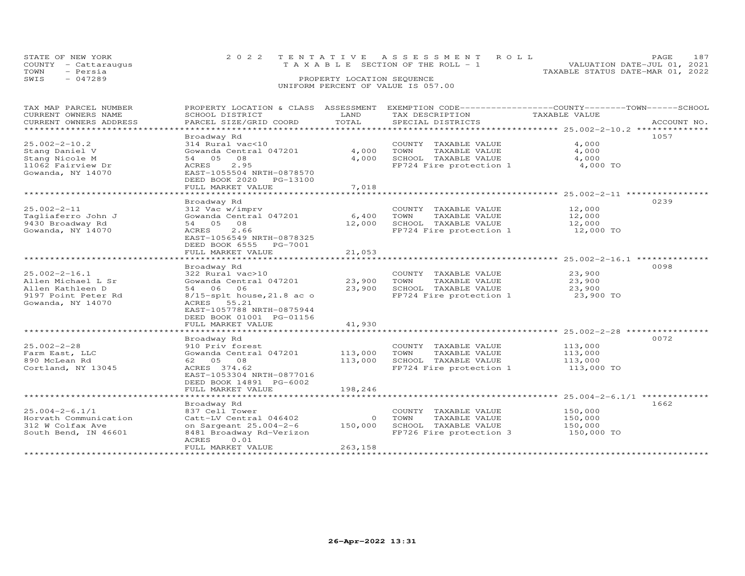| STATE OF NEW YORK<br>COUNTY - Cattaraugus<br>- Persia<br>TOWN | 2022 TENTATIVE ASSESSMENT ROLL<br>TAXABLE SECTION OF THE ROLL - 1 | PAGE.<br>VALUATION DATE-JUL 01, 2021<br>TAXABLE STATUS DATE-MAR 01, 2022 | 187 |
|---------------------------------------------------------------|-------------------------------------------------------------------|--------------------------------------------------------------------------|-----|
| $-047289$<br>SWIS                                             | PROPERTY LOCATION SEQUENCE                                        |                                                                          |     |
|                                                               | UNIFORM PERCENT OF VALUE IS 057.00                                |                                                                          |     |

| TAX MAP PARCEL NUMBER  |                                |         | PROPERTY LOCATION & CLASS ASSESSMENT EXEMPTION CODE-----------------COUNTY-------TOWN------SCHOOL |               |             |
|------------------------|--------------------------------|---------|---------------------------------------------------------------------------------------------------|---------------|-------------|
| CURRENT OWNERS NAME    | SCHOOL DISTRICT                | LAND    | TAX DESCRIPTION                                                                                   | TAXABLE VALUE |             |
| CURRENT OWNERS ADDRESS | PARCEL SIZE/GRID COORD         | TOTAL   | SPECIAL DISTRICTS                                                                                 |               | ACCOUNT NO. |
| ********************   |                                |         |                                                                                                   |               |             |
|                        | Broadway Rd                    |         |                                                                                                   |               | 1057        |
| $25.002 - 2 - 10.2$    | 314 Rural vac<10               |         | COUNTY TAXABLE VALUE                                                                              | 4,000         |             |
| Stang Daniel V         | Gowanda Central 047201         | 4,000   | TOWN<br>TAXABLE VALUE                                                                             | 4,000         |             |
| Stang Nicole M         | 54 05 08                       | 4,000   | SCHOOL TAXABLE VALUE                                                                              | 4,000         |             |
| 11062 Fairview Dr      | 2.95<br>ACRES                  |         | FP724 Fire protection 1                                                                           | 4,000 TO      |             |
| Gowanda, NY 14070      | EAST-1055504 NRTH-0878570      |         |                                                                                                   |               |             |
|                        | DEED BOOK 2020 PG-13100        |         |                                                                                                   |               |             |
|                        | FULL MARKET VALUE              | 7,018   |                                                                                                   |               |             |
|                        |                                |         |                                                                                                   |               |             |
|                        |                                |         |                                                                                                   |               | 0239        |
| $25.002 - 2 - 11$      | Broadway Rd<br>312 Vac w/imprv |         |                                                                                                   | 12,000        |             |
|                        |                                |         | COUNTY TAXABLE VALUE                                                                              |               |             |
| Tagliaferro John J     | Gowanda Central 047201         | 6,400   | TOWN<br>TAXABLE VALUE                                                                             | 12,000        |             |
| 9430 Broadway Rd       | 54 05 08                       | 12,000  | SCHOOL TAXABLE VALUE                                                                              | 12,000        |             |
| Gowanda, NY 14070      | 2.66<br>ACRES                  |         | FP724 Fire protection 1                                                                           | 12,000 TO     |             |
|                        | EAST-1056549 NRTH-0878325      |         |                                                                                                   |               |             |
|                        | DEED BOOK 6555 PG-7001         |         |                                                                                                   |               |             |
|                        | FULL MARKET VALUE              | 21,053  |                                                                                                   |               |             |
|                        |                                |         |                                                                                                   |               |             |
|                        | Broadway Rd                    |         |                                                                                                   |               | 0098        |
| $25.002 - 2 - 16.1$    | 322 Rural vac>10               |         | COUNTY TAXABLE VALUE                                                                              | 23,900        |             |
| Allen Michael L Sr     | Gowanda Central 047201         | 23,900  | TOWN<br>TAXABLE VALUE                                                                             | 23,900        |             |
| Allen Kathleen D       | 54 06 06                       | 23,900  | SCHOOL TAXABLE VALUE                                                                              | 23,900        |             |
| 9197 Point Peter Rd    | $8/15$ -splt house, 21.8 ac o  |         | FP724 Fire protection 1                                                                           | 23,900 TO     |             |
| Gowanda, NY 14070      | ACRES 55.21                    |         |                                                                                                   |               |             |
|                        | EAST-1057788 NRTH-0875944      |         |                                                                                                   |               |             |
|                        | DEED BOOK 01001 PG-01156       |         |                                                                                                   |               |             |
|                        | FULL MARKET VALUE              | 41,930  |                                                                                                   |               |             |
|                        |                                |         |                                                                                                   |               |             |
|                        | Broadway Rd                    |         |                                                                                                   |               | 0072        |
| $25.002 - 2 - 28$      | 910 Priv forest                |         | COUNTY TAXABLE VALUE                                                                              | 113,000       |             |
| Farm East, LLC         | Gowanda Central 047201         | 113,000 | TAXABLE VALUE<br>TOWN                                                                             | 113,000       |             |
| 890 McLean Rd          | 62  05  08                     | 113,000 | SCHOOL TAXABLE VALUE                                                                              | 113,000       |             |
| Cortland, NY 13045     | ACRES 374.62                   |         | FP724 Fire protection 1                                                                           | 113,000 TO    |             |
|                        | EAST-1053304 NRTH-0877016      |         |                                                                                                   |               |             |
|                        |                                |         |                                                                                                   |               |             |
|                        | DEED BOOK 14891 PG-6002        |         |                                                                                                   |               |             |
|                        | FULL MARKET VALUE              | 198,246 |                                                                                                   |               |             |
|                        |                                |         |                                                                                                   |               |             |
|                        | Broadway Rd                    |         |                                                                                                   |               | 1662        |
| $25.004 - 2 - 6.1/1$   | 837 Cell Tower                 |         | COUNTY TAXABLE VALUE                                                                              | 150,000       |             |
| Horvath Communication  | Catt-LV Central 046402         | $\circ$ | TOWN<br>TAXABLE VALUE                                                                             | 150,000       |             |
| 312 W Colfax Ave       | on Sargeant 25.004-2-6         | 150,000 | SCHOOL TAXABLE VALUE                                                                              | 150,000       |             |
| South Bend, IN 46601   | 8481 Broadway Rd-Verizon       |         | FP726 Fire protection 3                                                                           | 150,000 TO    |             |
|                        | 0.01<br>ACRES                  |         |                                                                                                   |               |             |
|                        | FULL MARKET VALUE              | 263,158 |                                                                                                   |               |             |
|                        |                                |         |                                                                                                   |               |             |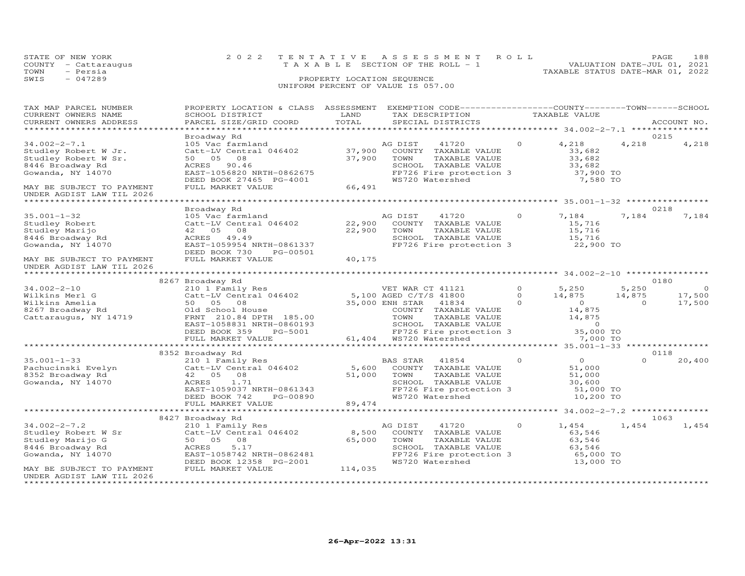| STATE OF NEW YORK    | 2022 TENTATIVE ASSESSMENT ROLL        | 188<br>PAGE.                     |
|----------------------|---------------------------------------|----------------------------------|
| COUNTY - Cattaraugus | T A X A B L E SECTION OF THE ROLL - 1 | VALUATION DATE-JUL 01, 2021      |
| TOWN<br>- Persia     |                                       | TAXABLE STATUS DATE-MAR 01, 2022 |
| $-047289$<br>SWIS    | PROPERTY LOCATION SEQUENCE            |                                  |
|                      | UNIFORM PERCENT OF VALUE IS 057.00    |                                  |

| TAX MAP PARCEL NUMBER     | PROPERTY LOCATION & CLASS ASSESSMENT EXEMPTION CODE----------------COUNTY-------TOWN------SCHOOL |         |                          |          |                     |          |                |
|---------------------------|--------------------------------------------------------------------------------------------------|---------|--------------------------|----------|---------------------|----------|----------------|
| CURRENT OWNERS NAME       | SCHOOL DISTRICT                                                                                  | LAND    | TAX DESCRIPTION          |          | TAXABLE VALUE       |          |                |
| CURRENT OWNERS ADDRESS    | PARCEL SIZE/GRID COORD                                                                           | TOTAL   | SPECIAL DISTRICTS        |          |                     |          | ACCOUNT NO.    |
|                           |                                                                                                  |         |                          |          |                     |          |                |
|                           | Broadway Rd                                                                                      |         |                          |          |                     |          | 0215           |
| $34.002 - 2 - 7.1$        | 105 Vac farmland                                                                                 |         | AG DIST<br>41720         | $\Omega$ | 4,218               | 4,218    | 4,218          |
| Studley Robert W Jr.      | Catt-LV Central 046402                                                                           | 37,900  | COUNTY TAXABLE VALUE     |          | 33,682              |          |                |
| Studley Robert W Sr.      | 50 05<br>08                                                                                      | 37,900  | TOWN<br>TAXABLE VALUE    |          | 33,682              |          |                |
| 8446 Broadway Rd          | ACRES<br>90.46                                                                                   |         | SCHOOL TAXABLE VALUE     |          | 33,682              |          |                |
| Gowanda, NY 14070         | EAST-1056820 NRTH-0862675                                                                        |         | FP726 Fire protection 3  |          | 37,900 TO           |          |                |
|                           | DEED BOOK 27465 PG-4001                                                                          |         | WS720 Watershed          |          | 7,580 TO            |          |                |
| MAY BE SUBJECT TO PAYMENT | FULL MARKET VALUE                                                                                | 66,491  |                          |          |                     |          |                |
| UNDER AGDIST LAW TIL 2026 |                                                                                                  |         |                          |          |                     |          |                |
|                           |                                                                                                  |         |                          |          |                     |          |                |
|                           | Broadway Rd                                                                                      |         |                          |          |                     |          | 0218           |
| $35.001 - 1 - 32$         | 105 Vac farmland                                                                                 |         | AG DIST<br>41720         | $\Omega$ | 7,184               | 7,184    | 7,184          |
| Studley Robert            | Catt-LV Central 046402                                                                           | 22,900  | COUNTY TAXABLE VALUE     |          | 15,716              |          |                |
| Studley Marijo            | 42 05 08                                                                                         | 22,900  | TOWN<br>TAXABLE VALUE    |          | 15,716              |          |                |
| 8446 Broadway Rd          | ACRES 49.49                                                                                      |         | SCHOOL TAXABLE VALUE     |          |                     |          |                |
| Gowanda, NY 14070         | EAST-1059954 NRTH-0861337                                                                        |         | FP726 Fire protection 3  |          | 15,716<br>22,900 TO |          |                |
|                           | DEED BOOK 730<br>PG-00501                                                                        |         |                          |          |                     |          |                |
| MAY BE SUBJECT TO PAYMENT | FULL MARKET VALUE                                                                                | 40,175  |                          |          |                     |          |                |
| UNDER AGDIST LAW TIL 2026 |                                                                                                  |         |                          |          |                     |          |                |
|                           |                                                                                                  |         |                          |          |                     |          |                |
|                           | 8267 Broadway Rd                                                                                 |         |                          |          |                     |          | 0180           |
| $34.002 - 2 - 10$         |                                                                                                  |         |                          | $\circ$  | 5,250               | 5,250    | $\overline{0}$ |
| Wilkins Merl G            | 210 1 Family Res<br>Catt-LV Central 046402 5,100 AGED C/T/S 41800                                |         |                          | $\Omega$ | 14,875              | 14,875   | 17,500         |
| Wilkins Amelia            | 50 05 08                                                                                         |         | 35,000 ENH STAR<br>41834 | $\Omega$ | $\overline{0}$      | $\Omega$ | 17,500         |
| 8267 Broadway Rd          | Old School House                                                                                 |         | COUNTY TAXABLE VALUE     |          | 14,875              |          |                |
| Cattaraugus, NY 14719     | FRNT 210.84 DPTH 185.00                                                                          |         | TOWN<br>TAXABLE VALUE    |          | 14,875              |          |                |
|                           | EAST-1058831 NRTH-0860193                                                                        |         | SCHOOL TAXABLE VALUE     |          | $\circ$             |          |                |
|                           | DEED BOOK 359<br>PG-5001                                                                         |         | FP726 Fire protection 3  |          | 35,000 TO           |          |                |
|                           | FULL MARKET VALUE                                                                                |         | 61,404 WS720 Watershed   |          | 7,000 TO            |          |                |
|                           |                                                                                                  |         |                          |          |                     |          |                |
|                           | 8352 Broadway Rd                                                                                 |         |                          |          |                     |          | 0118           |
| $35.001 - 1 - 33$         | 210 1 Family Res                                                                                 |         | BAS STAR<br>41854        | $\Omega$ | $\overline{O}$      | $\Omega$ | 20,400         |
| Pachucinski Evelyn        | Catt-LV Central 046402                                                                           | 5,600   | COUNTY TAXABLE VALUE     |          | 51,000              |          |                |
| 8352 Broadway Rd          | 42  05  08                                                                                       | 51,000  | TOWN<br>TAXABLE VALUE    |          | 51,000              |          |                |
| Gowanda, NY 14070         | ACRES<br>1.71                                                                                    |         | SCHOOL TAXABLE VALUE     |          | 30,600              |          |                |
|                           | EAST-1059037 NRTH-0861343                                                                        |         | FP726 Fire protection 3  |          | 51,000 TO           |          |                |
|                           | PG-00890<br>DEED BOOK 742                                                                        |         | WS720 Watershed          |          | 10,200 TO           |          |                |
|                           | FULL MARKET VALUE                                                                                | 89,474  |                          |          |                     |          |                |
|                           |                                                                                                  |         |                          |          |                     |          |                |
|                           | 8427 Broadway Rd                                                                                 |         |                          |          |                     |          | 1063           |
| $34.002 - 2 - 7.2$        | 210 1 Family Res                                                                                 |         | AG DIST<br>41720         | $\Omega$ | 1,454               | 1,454    | 1,454          |
| Studley Robert W Sr       | Catt-LV Central 046402                                                                           | 8,500   | COUNTY TAXABLE VALUE     |          | 63,546              |          |                |
| Studley Marijo G          | 50 05 08                                                                                         | 65,000  | TOWN<br>TAXABLE VALUE    |          | 63,546              |          |                |
| 8446 Broadway Rd          | 5.17<br>ACRES                                                                                    |         | SCHOOL TAXABLE VALUE     |          | 63,546              |          |                |
| Gowanda, NY 14070         | EAST-1058742 NRTH-0862481                                                                        |         | FP726 Fire protection 3  |          | 65,000 TO           |          |                |
|                           | DEED BOOK 12358 PG-2001                                                                          |         | WS720 Watershed          |          | 13,000 TO           |          |                |
| MAY BE SUBJECT TO PAYMENT | FULL MARKET VALUE                                                                                | 114,035 |                          |          |                     |          |                |
| UNDER AGDIST LAW TIL 2026 |                                                                                                  |         |                          |          |                     |          |                |
|                           |                                                                                                  |         |                          |          |                     |          |                |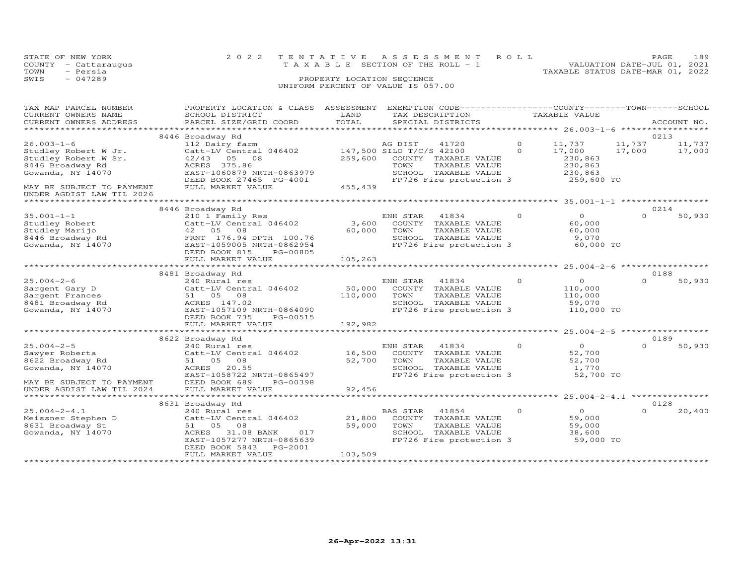|      | STATE OF NEW YORK    | 2022 TENTATIVE ASSESSMENT ROLL                                 | PAGE. | 189 |
|------|----------------------|----------------------------------------------------------------|-------|-----|
|      | COUNTY - Cattaraugus | VALUATION DATE-JUL 01, 2021<br>TAXABLE SECTION OF THE ROLL - 1 |       |     |
| TOWN | - Persia             | TAXABLE STATUS DATE-MAR 01, 2022                               |       |     |
| SWIS | $-047289$            | PROPERTY LOCATION SEQUENCE                                     |       |     |
|      |                      | UNIFORM PERCENT OF VALUE IS 057.00                             |       |     |
|      |                      |                                                                |       |     |
|      |                      |                                                                |       |     |

| TAX MAP PARCEL NUMBER<br>CURRENT OWNERS NAME<br>CURRENT OWNERS ADDRESS                        | PROPERTY LOCATION & CLASS<br>SCHOOL DISTRICT<br>PARCEL SIZE/GRID COORD                                                                                              | ASSESSMENT<br>LAND<br>TOTAL | EXEMPTION CODE-----------------COUNTY-------TOWN-----SCHOOL<br>TAX DESCRIPTION<br>SPECIAL DISTRICTS                             |          | TAXABLE VALUE                                            |          | ACCOUNT NO.    |
|-----------------------------------------------------------------------------------------------|---------------------------------------------------------------------------------------------------------------------------------------------------------------------|-----------------------------|---------------------------------------------------------------------------------------------------------------------------------|----------|----------------------------------------------------------|----------|----------------|
| ***********************                                                                       |                                                                                                                                                                     |                             |                                                                                                                                 |          |                                                          |          |                |
| $26.003 - 1 - 6$                                                                              | 8446 Broadway Rd<br>112 Dairy farm                                                                                                                                  |                             | AG DIST<br>41720                                                                                                                | 0        | 11,737                                                   | 11,737   | 0213<br>11,737 |
| Studley Robert W Jr.<br>Studley Robert W Sr.<br>8446 Broadway Rd<br>Gowanda, NY 14070         | Catt-LV Central 046402<br>42/43 05 08<br>ACRES 375.86<br>EAST-1060879 NRTH-0863979<br>DEED BOOK 27465 PG-4001                                                       | 259,600                     | 147,500 SILO T/C/S 42100<br>COUNTY TAXABLE VALUE<br>TOWN<br>TAXABLE VALUE<br>SCHOOL TAXABLE VALUE<br>FP726 Fire protection 3    | $\Omega$ | 17,000<br>230,863<br>230,863<br>230,863<br>259,600 TO    | 17,000   | 17,000         |
| MAY BE SUBJECT TO PAYMENT<br>UNDER AGDIST LAW TIL 2026<br>********************                | FULL MARKET VALUE                                                                                                                                                   | 455,439                     |                                                                                                                                 |          | ********* 35.001-1-1 ******************                  |          |                |
|                                                                                               | 8446 Broadway Rd                                                                                                                                                    |                             |                                                                                                                                 |          |                                                          |          | 0214           |
| $35.001 - 1 - 1$<br>Studley Robert<br>Studley Marijo<br>8446 Broadway Rd<br>Gowanda, NY 14070 | 210 1 Family Res<br>Catt-LV Central 046402<br>42 05<br>08<br>FRNT 176.94 DPTH 100.76<br>EAST-1059005 NRTH-0862954<br>DEED BOOK 815<br>PG-00805                      | 3,600<br>60,000             | ENH STAR<br>41834<br>COUNTY TAXABLE VALUE<br>TAXABLE VALUE<br>TOWN<br>SCHOOL TAXABLE VALUE<br>FP726 Fire protection 3           | $\Omega$ | $\overline{O}$<br>60,000<br>60,000<br>9,070<br>60,000 TO | $\Omega$ | 50,930         |
|                                                                                               | FULL MARKET VALUE                                                                                                                                                   | 105,263                     |                                                                                                                                 |          |                                                          |          |                |
|                                                                                               |                                                                                                                                                                     |                             |                                                                                                                                 |          |                                                          |          |                |
| $25.004 - 2 - 6$                                                                              | 8481 Broadway Rd<br>240 Rural res                                                                                                                                   |                             | ENH STAR<br>41834                                                                                                               | $\Omega$ | $\Omega$                                                 | $\Omega$ | 0188<br>50,930 |
| Sargent Gary D<br>Sargent Frances<br>8481 Broadway Rd<br>Gowanda, NY 14070                    | Catt-LV Central 046402<br>51 05 08<br>ACRES 147.02<br>EAST-1057109 NRTH-0864090<br>DEED BOOK 735<br>PG-00515                                                        | 50,000<br>110,000           | COUNTY TAXABLE VALUE<br>TOWN<br>TAXABLE VALUE<br>SCHOOL TAXABLE VALUE<br>FP726 Fire protection 3                                |          | 110,000<br>110,000<br>59,070<br>110,000 TO               |          |                |
|                                                                                               | FULL MARKET VALUE                                                                                                                                                   | 192,982                     |                                                                                                                                 |          |                                                          |          |                |
|                                                                                               | *************************                                                                                                                                           |                             |                                                                                                                                 |          |                                                          |          |                |
| $25.004 - 2 - 5$                                                                              | 8622 Broadway Rd                                                                                                                                                    |                             |                                                                                                                                 | $\Omega$ | $\Omega$                                                 | $\Omega$ | 0189           |
| Sawyer Roberta<br>8622 Broadway Rd<br>Gowanda, NY 14070<br>MAY BE SUBJECT TO PAYMENT          | 240 Rural res<br>Catt-LV Central 046402<br>51 05<br>08<br>ACRES<br>20.55<br>EAST-1058722 NRTH-0865497<br>DEED BOOK 689<br>PG-00398                                  | 16,500<br>52,700            | ENH STAR<br>41834<br>COUNTY TAXABLE VALUE<br>TOWN<br>TAXABLE VALUE<br>SCHOOL TAXABLE VALUE<br>FP726 Fire protection 3           |          | 52,700<br>52,700<br>1,770<br>52,700 TO                   |          | 50,930         |
| UNDER AGDIST LAW TIL 2024                                                                     | FULL MARKET VALUE                                                                                                                                                   | 92,456                      |                                                                                                                                 |          |                                                          |          |                |
|                                                                                               |                                                                                                                                                                     |                             | ******************************** 25.004-2-4.1 ****************                                                                  |          |                                                          |          |                |
|                                                                                               | 8631 Broadway Rd                                                                                                                                                    |                             |                                                                                                                                 |          |                                                          |          | 0128           |
| $25.004 - 2 - 4.1$<br>Meissner Stephen D<br>8631 Broadway St<br>Gowanda, NY 14070             | 240 Rural res<br>Catt-LV Central 046402<br>08<br>51 05<br>ACRES<br>31.08 BANK<br>017<br>EAST-1057277 NRTH-0865639<br>DEED BOOK 5843<br>PG-2001<br>FULL MARKET VALUE | 21,800<br>59,000<br>103,509 | <b>BAS STAR</b><br>41854<br>COUNTY<br>TAXABLE VALUE<br>TOWN<br>TAXABLE VALUE<br>SCHOOL TAXABLE VALUE<br>FP726 Fire protection 3 | $\Omega$ | $\circ$<br>59,000<br>59,000<br>38,600<br>59,000 TO       | $\Omega$ | 20,400         |
|                                                                                               |                                                                                                                                                                     |                             |                                                                                                                                 |          |                                                          |          |                |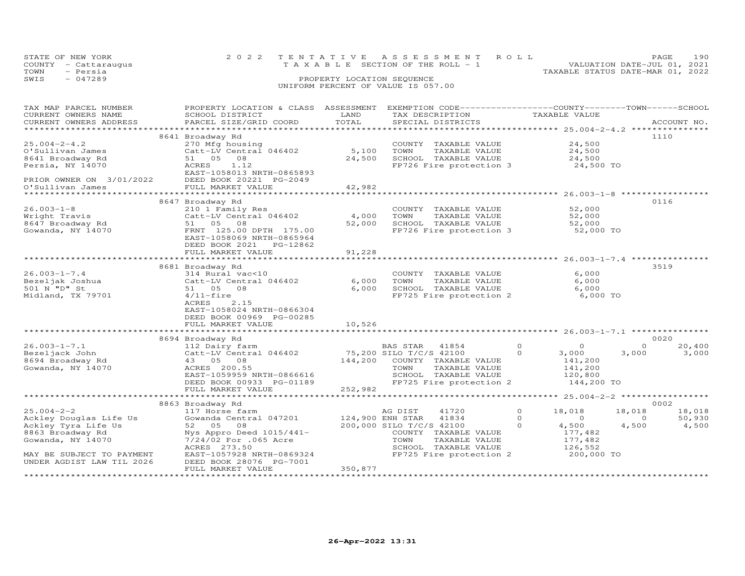|      | STATE OF NEW YORK    | 2022 TENTATIVE ASSESSMENT ROLL        | PAGE.                       | 190 |
|------|----------------------|---------------------------------------|-----------------------------|-----|
|      | COUNTY - Cattaraugus | T A X A B L E SECTION OF THE ROLL - 1 | VALUATION DATE-JUL 01, 2021 |     |
| TOWN | - Persia             | TAXABLE STATUS DATE-MAR 01, 2022      |                             |     |
| SWIS | $-047289$            | PROPERTY LOCATION SEQUENCE            |                             |     |
|      |                      | UNIFORM PERCENT OF VALUE IS 057.00    |                             |     |

| TAX MAP PARCEL NUMBER           | PROPERTY LOCATION & CLASS ASSESSMENT                                                                       |         | EXEMPTION CODE-----------------COUNTY-------TOWN------SCHOOL |                            |                    |
|---------------------------------|------------------------------------------------------------------------------------------------------------|---------|--------------------------------------------------------------|----------------------------|--------------------|
| CURRENT OWNERS NAME             | SCHOOL DISTRICT                                                                                            | LAND    | TAX DESCRIPTION                                              | TAXABLE VALUE              |                    |
| CURRENT OWNERS ADDRESS          | PARCEL SIZE/GRID COORD                                                                                     | TOTAL   | SPECIAL DISTRICTS                                            |                            | ACCOUNT NO.        |
|                                 |                                                                                                            |         |                                                              |                            |                    |
|                                 | 8641 Broadway Rd                                                                                           |         |                                                              |                            | 1110               |
| $25.004 - 2 - 4.2$              | 270 Mfg housing                                                                                            |         | COUNTY TAXABLE VALUE                                         | 24,500                     |                    |
| O'Sullivan James                | Catt-LV Central 046402                                                                                     | 5,100   | TOWN<br>TAXABLE VALUE                                        | 24,500                     |                    |
| 8641 Broadway Rd                | 51 05<br>08                                                                                                | 24,500  | SCHOOL TAXABLE VALUE                                         | 24,500                     |                    |
| Persia, NY 14070                | ACRES<br>1.12                                                                                              |         | FP726 Fire protection 3 24,500 TO                            |                            |                    |
|                                 | EAST-1058013 NRTH-0865893                                                                                  |         |                                                              |                            |                    |
| PRIOR OWNER ON 3/01/2022        | DEED BOOK 20221 PG-2049                                                                                    |         |                                                              |                            |                    |
| O'Sullivan James                | FULL MARKET VALUE                                                                                          | 42,982  |                                                              |                            |                    |
|                                 |                                                                                                            |         |                                                              |                            |                    |
|                                 | 8647 Broadway Rd                                                                                           |         |                                                              |                            | 0116               |
| $26.003 - 1 - 8$                | 210 1 Family Res                                                                                           |         | COUNTY TAXABLE VALUE                                         | 52,000                     |                    |
| Wright Travis                   | Catt-LV Central 046402                                                                                     | 4,000   | TOWN<br>TAXABLE VALUE                                        | 52,000                     |                    |
| Atavis<br>8647 Broadway Rd<br>C | 51 05 08                                                                                                   | 52,000  | SCHOOL TAXABLE VALUE                                         | 52,000                     |                    |
| Gowanda, NY 14070               | FRNT 125.00 DPTH 175.00                                                                                    |         | FP726 Fire protection 3 52,000 TO                            |                            |                    |
|                                 | EAST-1058069 NRTH-0865964                                                                                  |         |                                                              |                            |                    |
|                                 |                                                                                                            |         |                                                              |                            |                    |
|                                 | FULL MARKET VALUE                                                                                          | 91,228  |                                                              |                            |                    |
|                                 |                                                                                                            |         |                                                              |                            |                    |
|                                 | 8681 Broadway Rd                                                                                           |         |                                                              |                            | 3519               |
| $26.003 - 1 - 7.4$              | 314 Rural vac<10                                                                                           |         | COUNTY TAXABLE VALUE                                         | 6,000                      |                    |
| Bezeljak Joshua                 | Catt-LV Central 046402                                                                                     | 6,000   | TOWN<br>TAXABLE VALUE                                        | 6,000                      |                    |
| 501 N "D" St                    | 51 05 08                                                                                                   | 6,000   | SCHOOL TAXABLE VALUE                                         | 6,000                      |                    |
| Midland, TX 79701               | $4/11$ -fire                                                                                               |         | FP725 Fire protection 2 6,000 TO                             |                            |                    |
|                                 | 2.15<br>ACRES                                                                                              |         |                                                              |                            |                    |
|                                 | EAST-1058024 NRTH-0866304                                                                                  |         |                                                              |                            |                    |
|                                 | DEED BOOK 00969 PG-00285                                                                                   |         |                                                              |                            |                    |
|                                 | FULL MARKET VALUE                                                                                          | 10,526  |                                                              |                            |                    |
|                                 |                                                                                                            |         |                                                              |                            |                    |
|                                 | 8694 Broadway Rd                                                                                           |         |                                                              |                            | 0020               |
| $26.003 - 1 - 7.1$              | 112 Dairy farm                                                                                             |         | BAS STAR<br>41854                                            | $\Omega$<br>$\Omega$       | 20,400<br>$\Omega$ |
| Bezeljack John                  | 112 baily turns<br>Catt-LV Central 046402 75,200 SILO T/C/S 42100<br>43 05 08 144,200 COUNTY TAXABLE VALUE |         |                                                              | $\circ$<br>3,000           | 3,000<br>3,000     |
| 8694 Broadway Rd                |                                                                                                            |         |                                                              | 141,200                    |                    |
| Gowanda, NY 14070               | ACRES 200.55                                                                                               |         | TAXABLE VALUE<br>TOWN                                        | 141,200                    |                    |
|                                 | EAST-1059959 NRTH-0866616                                                                                  |         | SCHOOL TAXABLE VALUE                                         | 120,800                    |                    |
|                                 |                                                                                                            |         | FP725 Fire protection 2                                      |                            |                    |
|                                 | DEED BOOK 00933 PG-01189                                                                                   | 252,982 |                                                              | 144,200 TO                 |                    |
|                                 | FULL MARKET VALUE                                                                                          |         |                                                              |                            |                    |
|                                 |                                                                                                            |         |                                                              |                            | 0002               |
| $25.004 - 2 - 2$                | 8863 Broadway Rd                                                                                           |         | 41720                                                        | $\circ$                    | 18,018             |
|                                 | 117 Horse farm                                                                                             |         | AG DIST                                                      | 18,018                     | 18,018             |
| Ackley Douglas Life Us          | Gowanda Central 047201                                                                                     |         | 124,900 ENH STAR 41834                                       | $\Omega$<br>$\overline{O}$ | 50,930<br>$\circ$  |
| Ackley Tyra Life Us             | 52 05<br>08                                                                                                |         | 200,000 SILO T/C/S 42100                                     | $\Omega$<br>4,500          | 4,500<br>4,500     |
| 8863 Broadway Rd                | Nys Appro Deed 1015/441-                                                                                   |         | COUNTY TAXABLE VALUE                                         | 177,482                    |                    |
| Gowanda, NY 14070               | 7/24/02 For .065 Acre                                                                                      |         | TOWN<br>TAXABLE VALUE                                        | 177,482                    |                    |
|                                 | ACRES 273.50                                                                                               |         | SCHOOL TAXABLE VALUE                                         | 126,552                    |                    |
| MAY BE SUBJECT TO PAYMENT       | EAST-1057928 NRTH-0869324                                                                                  |         | FP725 Fire protection 2                                      | 200,000 TO                 |                    |
| UNDER AGDIST LAW TIL 2026       | DEED BOOK 28076 PG-7001                                                                                    |         |                                                              |                            |                    |
|                                 | FULL MARKET VALUE                                                                                          | 350,877 |                                                              |                            |                    |
|                                 |                                                                                                            |         |                                                              |                            |                    |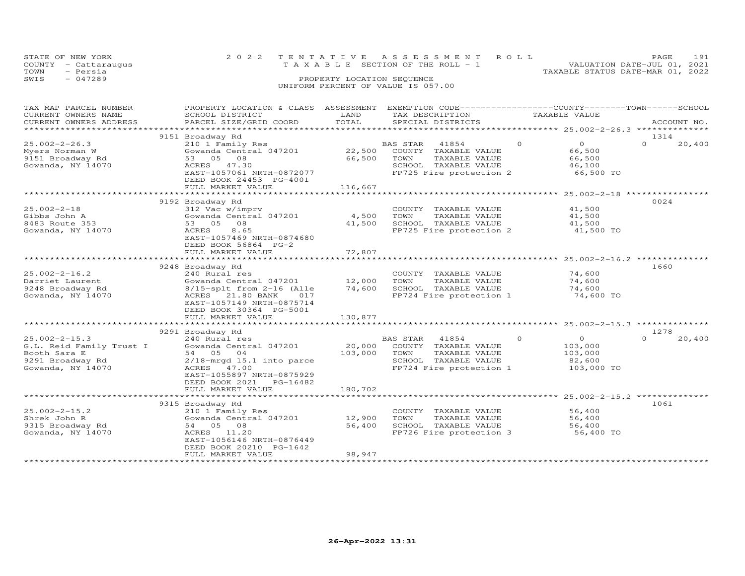| STATE OF NEW YORK      |                                      |                            | 2022 TENTATIVE ASSESSMENT ROLL        |                                                              | 191<br>PAGE.                     |
|------------------------|--------------------------------------|----------------------------|---------------------------------------|--------------------------------------------------------------|----------------------------------|
| COUNTY - Cattaraugus   |                                      |                            | T A X A B L E SECTION OF THE ROLL - 1 |                                                              | VALUATION DATE-JUL 01, 2021      |
| - Persia<br>TOWN       |                                      |                            |                                       |                                                              | TAXABLE STATUS DATE-MAR 01, 2022 |
| $-047289$<br>SWIS      |                                      | PROPERTY LOCATION SEQUENCE |                                       |                                                              |                                  |
|                        |                                      |                            | UNIFORM PERCENT OF VALUE IS 057.00    |                                                              |                                  |
|                        |                                      |                            |                                       |                                                              |                                  |
|                        |                                      |                            |                                       |                                                              |                                  |
| TAX MAP PARCEL NUMBER  | PROPERTY LOCATION & CLASS ASSESSMENT |                            |                                       | EXEMPTION CODE-----------------COUNTY-------TOWN------SCHOOL |                                  |
| CURRENT OWNERS NAME    | SCHOOL DISTRICT                      | LAND                       | TAX DESCRIPTION                       | TAXABLE VALUE                                                |                                  |
| CURRENT OWNERS ADDRESS | PARCEL SIZE/GRID COORD               | TOTAL                      | SPECIAL DISTRICTS                     |                                                              | ACCOUNT NO.                      |
|                        |                                      |                            |                                       |                                                              |                                  |

|                          |                              |         |                                      | $25.002 - 2 - 26.3$<br>************** |
|--------------------------|------------------------------|---------|--------------------------------------|---------------------------------------|
|                          | 9151 Broadway Rd             |         |                                      | 1314                                  |
| $25.002 - 2 - 26.3$      | 210 1 Family Res             |         | $\Omega$<br><b>BAS STAR</b><br>41854 | $\Omega$<br>$\Omega$<br>20,400        |
| Myers Norman W           | Gowanda Central 047201       | 22,500  | COUNTY<br>TAXABLE VALUE              | 66,500                                |
| 9151 Broadway Rd         | 53 05<br>08                  | 66,500  | TOWN<br>TAXABLE VALUE                | 66,500                                |
|                          |                              |         |                                      |                                       |
| Gowanda, NY 14070        | <b>ACRES</b><br>47.30        |         | SCHOOL TAXABLE VALUE                 | 46,100                                |
|                          | EAST-1057061 NRTH-0872077    |         | FP725 Fire protection 2              | 66,500 TO                             |
|                          | DEED BOOK 24453 PG-4001      |         |                                      |                                       |
|                          | FULL MARKET VALUE            | 116,667 |                                      |                                       |
|                          |                              |         |                                      | ********** 25.002-2-18 **********     |
|                          | 9192 Broadway Rd             |         |                                      | 0024                                  |
| $25.002 - 2 - 18$        | 312 Vac w/imprv              |         | COUNTY TAXABLE VALUE                 | 41,500                                |
| Gibbs John A             | Gowanda Central 047201       | 4,500   | TOWN<br>TAXABLE VALUE                | 41,500                                |
| 8483 Route 353           | 53 05<br>08                  | 41,500  | SCHOOL TAXABLE VALUE                 | 41,500                                |
| Gowanda, NY 14070        | 8.65<br>ACRES                |         | FP725 Fire protection 2              | 41,500 TO                             |
|                          |                              |         |                                      |                                       |
|                          | EAST-1057469 NRTH-0874680    |         |                                      |                                       |
|                          | DEED BOOK 56864 PG-2         |         |                                      |                                       |
|                          | FULL MARKET VALUE            | 72,807  |                                      |                                       |
|                          |                              |         |                                      | $25.002 - 2 - 16.2$                   |
|                          | 9248 Broadway Rd             |         |                                      | 1660                                  |
| $25.002 - 2 - 16.2$      | 240 Rural res                |         | COUNTY TAXABLE VALUE                 | 74,600                                |
| Darriet Laurent          | Gowanda Central 047201       | 12,000  | TOWN<br>TAXABLE VALUE                | 74,600                                |
| 9248 Broadway Rd         | 8/15-splt from 2-16 (Alle    | 74,600  | SCHOOL TAXABLE VALUE                 | 74,600                                |
| Gowanda, NY 14070        | 21.80 BANK<br>ACRES<br>017   |         | FP724 Fire protection 1              | 74,600 TO                             |
|                          | EAST-1057149 NRTH-0875714    |         |                                      |                                       |
|                          |                              |         |                                      |                                       |
|                          | DEED BOOK 30364 PG-5001      |         |                                      |                                       |
|                          | FULL MARKET VALUE            | 130,877 |                                      |                                       |
|                          |                              |         |                                      | $25.002 - 2 - 15.3$                   |
|                          | 9291 Broadway Rd             |         |                                      | 1278                                  |
| $25.002 - 2 - 15.3$      | 240 Rural res                |         | <b>BAS STAR</b><br>41854<br>$\Omega$ | $\Omega$<br>$\Omega$<br>20,400        |
| G.L. Reid Family Trust I | Gowanda Central 047201       | 20,000  | COUNTY<br>TAXABLE VALUE              | 103,000                               |
| Booth Sara E             | 54 05 04                     | 103,000 | TOWN<br>TAXABLE VALUE                | 103,000                               |
| 9291 Broadway Rd         | $2/18$ -mrgd 15.1 into parce |         | SCHOOL TAXABLE VALUE                 | 82,600                                |
| Gowanda, NY 14070        | ACRES<br>47.00               |         | FP724 Fire protection 1              | 103,000 TO                            |
|                          | EAST-1055897 NRTH-0875929    |         |                                      |                                       |
|                          | DEED BOOK 2021<br>PG-16482   |         |                                      |                                       |
|                          | FULL MARKET VALUE            | 180,702 |                                      |                                       |
|                          |                              |         |                                      | $25.002 - 2 - 15.2$                   |
|                          |                              |         |                                      |                                       |
|                          | 9315 Broadway Rd             |         |                                      | 1061                                  |
| $25.002 - 2 - 15.2$      | 210 1 Family Res             |         | COUNTY TAXABLE VALUE                 | 56,400                                |
| Shrek John R             | Gowanda Central 047201       | 12,900  | TOWN<br>TAXABLE VALUE                | 56,400                                |
| 9315 Broadway Rd         | 54 05<br>08                  | 56,400  | SCHOOL TAXABLE VALUE                 | 56,400                                |
| Gowanda, NY 14070        | ACRES<br>11.20               |         | FP726 Fire protection 3              | 56,400 TO                             |
|                          | EAST-1056146 NRTH-0876449    |         |                                      |                                       |
|                          | DEED BOOK 20210 PG-1642      |         |                                      |                                       |
|                          | FULL MARKET VALUE            | 98,947  |                                      |                                       |
|                          |                              |         |                                      |                                       |
|                          |                              |         |                                      |                                       |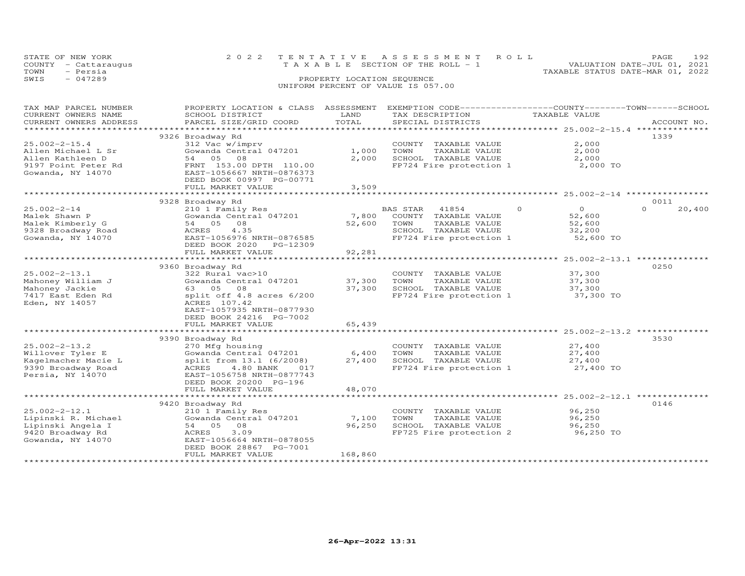| STATE OF NEW YORK<br>COUNTY - Cattaraugus<br>- Persia<br>TOWN |                                      |                            | 2022 TENTATIVE ASSESSMENT ROLL<br>T A X A B L E SECTION OF THE ROLL - 1 | TAXABLE STATUS DATE-MAR 01, 2022 | PAGE<br>VALUATION DATE-JUL 01, 2021 | 192     |
|---------------------------------------------------------------|--------------------------------------|----------------------------|-------------------------------------------------------------------------|----------------------------------|-------------------------------------|---------|
| $-047289$<br>SWIS                                             |                                      | PROPERTY LOCATION SEQUENCE |                                                                         |                                  |                                     |         |
|                                                               |                                      |                            | UNIFORM PERCENT OF VALUE IS 057.00                                      |                                  |                                     |         |
| TAX MAP PARCEL NUMBER                                         | PROPERTY LOCATION & CLASS ASSESSMENT |                            | EXEMPTION CODE-----------------COUNTY-------TOWN-----                   |                                  |                                     | -SCHOOL |
| CURRENT OWNERS NAME                                           | SCHOOL DISTRICT                      | LAND                       | TAX DESCRIPTION                                                         | TAXABLE VALUE                    |                                     |         |
| CURRENT OWNERS ADDRESS                                        | PARCEL SIZE/GRID COORD               | TOTAL                      | SPECIAL DISTRICTS                                                       |                                  | ACCOUNT NO.                         |         |

|                     |                                 |         |                 |                         |         | ***** 25.002-2-15.4 ***************                |                    |
|---------------------|---------------------------------|---------|-----------------|-------------------------|---------|----------------------------------------------------|--------------------|
|                     | 9326 Broadway Rd                |         |                 |                         |         |                                                    | 1339               |
| $25.002 - 2 - 15.4$ | 312 Vac w/imprv                 |         |                 | COUNTY TAXABLE VALUE    |         | 2,000                                              |                    |
| Allen Michael L Sr  | Gowanda Central 047201          | 1,000   | TOWN            | TAXABLE VALUE           |         | 2,000                                              |                    |
| Allen Kathleen D    | 54 05<br>08                     | 2,000   |                 | SCHOOL TAXABLE VALUE    |         | 2,000                                              |                    |
| 9197 Point Peter Rd | FRNT 153.00 DPTH 110.00         |         |                 | FP724 Fire protection 1 |         | 2,000 TO                                           |                    |
| Gowanda, NY 14070   | EAST-1056667 NRTH-0876373       |         |                 |                         |         |                                                    |                    |
|                     | DEED BOOK 00997 PG-00771        |         |                 |                         |         |                                                    |                    |
|                     | FULL MARKET VALUE               | 3,509   |                 |                         |         |                                                    |                    |
|                     |                                 |         |                 |                         |         | ***************** 25.002-2-14 **********           |                    |
|                     | 9328 Broadway Rd                |         |                 |                         |         |                                                    | 0011               |
| $25.002 - 2 - 14$   | 210 1 Family Res                |         | <b>BAS STAR</b> | 41854                   | $\circ$ | $\circ$                                            | $\Omega$<br>20,400 |
| Malek Shawn P       | Gowanda Central 047201          | 7,800   |                 | COUNTY TAXABLE VALUE    |         | 52,600                                             |                    |
|                     | 54 05<br>08                     | 52,600  | TOWN            |                         |         | 52,600                                             |                    |
| Malek Kimberly G    |                                 |         |                 | TAXABLE VALUE           |         |                                                    |                    |
| 9328 Broadway Road  | ACRES<br>4.35                   |         |                 | SCHOOL TAXABLE VALUE    |         | 32,200                                             |                    |
| Gowanda, NY 14070   | EAST-1056976 NRTH-0876585       |         |                 | FP724 Fire protection 1 |         | 52,600 TO                                          |                    |
|                     | DEED BOOK 2020<br>PG-12309      |         |                 |                         |         |                                                    |                    |
|                     | FULL MARKET VALUE               | 92,281  |                 |                         |         |                                                    |                    |
|                     | **********                      |         |                 |                         |         | *********** 25.002-2-13.1 ***************          |                    |
|                     | 9360 Broadway Rd                |         |                 |                         |         |                                                    | 0250               |
| $25.002 - 2 - 13.1$ | 322 Rural vac>10                |         |                 | COUNTY TAXABLE VALUE    |         | 37,300                                             |                    |
| Mahoney William J   | Gowanda Central 047201          | 37,300  | TOWN            | TAXABLE VALUE           |         | 37,300                                             |                    |
| Mahoney Jackie      | 63 05 08                        | 37,300  |                 | SCHOOL TAXABLE VALUE    |         | 37,300                                             |                    |
| 7417 East Eden Rd   | split off 4.8 acres 6/200       |         |                 | FP724 Fire protection 1 |         | 37,300 TO                                          |                    |
| Eden, NY 14057      | ACRES 107.42                    |         |                 |                         |         |                                                    |                    |
|                     | EAST-1057935 NRTH-0877930       |         |                 |                         |         |                                                    |                    |
|                     | DEED BOOK 24216 PG-7002         |         |                 |                         |         |                                                    |                    |
|                     | FULL MARKET VALUE               | 65,439  |                 |                         |         |                                                    |                    |
|                     | ******************************* |         |                 |                         |         | ******************** 25.002-2-13.2 *************** |                    |
|                     | 9390 Broadway Rd                |         |                 |                         |         |                                                    | 3530               |
| $25.002 - 2 - 13.2$ | 270 Mfg housing                 |         |                 | COUNTY TAXABLE VALUE    |         | 27,400                                             |                    |
| Willover Tyler E    | Gowanda Central 047201          | 6,400   | TOWN            | TAXABLE VALUE           |         | 27,400                                             |                    |
| Kagelmacher Macie L | split from 13.1 (6/2008)        | 27,400  |                 | SCHOOL TAXABLE VALUE    |         | 27,400                                             |                    |
| 9390 Broadway Road  | 4.80 BANK<br>ACRES<br>017       |         |                 | FP724 Fire protection 1 |         | 27,400 TO                                          |                    |
| Persia, NY 14070    | EAST-1056758 NRTH-0877743       |         |                 |                         |         |                                                    |                    |
|                     | DEED BOOK 20200 PG-196          |         |                 |                         |         |                                                    |                    |
|                     | FULL MARKET VALUE               | 48,070  |                 |                         |         |                                                    |                    |
|                     |                                 |         |                 |                         |         | **** 25.002-2-12.1 *************                   |                    |
|                     | 9420 Broadway Rd                |         |                 |                         |         |                                                    | 0146               |
| $25.002 - 2 - 12.1$ | 210 1 Family Res                |         |                 | COUNTY TAXABLE VALUE    |         | 96,250                                             |                    |
| Lipinski R. Michael | Gowanda Central 047201          | 7,100   | TOWN            |                         |         | 96,250                                             |                    |
|                     |                                 |         |                 | TAXABLE VALUE           |         |                                                    |                    |
| Lipinski Angela I   | 54 05<br>08                     | 96,250  |                 | SCHOOL TAXABLE VALUE    |         | 96,250                                             |                    |
| 9420 Broadway Rd    | 3.09<br>ACRES                   |         |                 | FP725 Fire protection 2 |         | 96,250 TO                                          |                    |
| Gowanda, NY 14070   | EAST-1056664 NRTH-0878055       |         |                 |                         |         |                                                    |                    |
|                     | DEED BOOK 28867 PG-7001         |         |                 |                         |         |                                                    |                    |
|                     | FULL MARKET VALUE               | 168,860 |                 |                         |         |                                                    |                    |
|                     |                                 |         |                 |                         |         |                                                    |                    |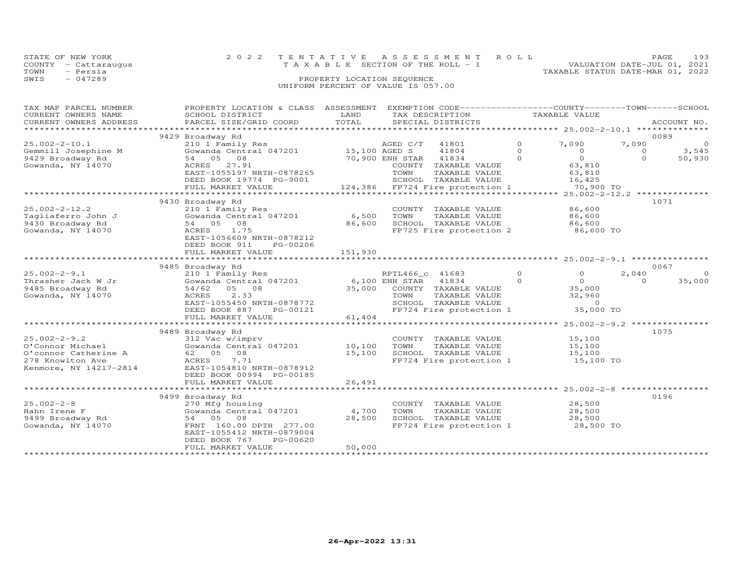| STATE OF NEW YORK<br>- Cattaraugus<br>COUNTY<br>- Persia<br>TOWN |                           |                            | 2022 TENTATIVE ASSESSMENT ROLL<br>T A X A B L E SECTION OF THE ROLL - 1 | PAGE<br>VALUATION DATE-JUL 01, 2021<br>TAXABLE STATUS DATE-MAR 01, 2022 | 193         |
|------------------------------------------------------------------|---------------------------|----------------------------|-------------------------------------------------------------------------|-------------------------------------------------------------------------|-------------|
| SWIS<br>$-047289$                                                |                           | PROPERTY LOCATION SEQUENCE |                                                                         |                                                                         |             |
|                                                                  |                           |                            | UNIFORM PERCENT OF VALUE IS 057.00                                      |                                                                         |             |
| TAX MAP PARCEL NUMBER                                            | PROPERTY LOCATION & CLASS | ASSESSMENT                 |                                                                         | EXEMPTION CODE-----------------COUNTY-------TOWN------SCHOOL            |             |
| CURRENT OWNERS NAME                                              | SCHOOL DISTRICT           | LAND                       | TAX DESCRIPTION                                                         | TAXABLE VALUE                                                           |             |
| CURRENT OWNERS ADDRESS                                           | PARCEL SIZE/GRID COORD    | TOTAL                      | SPECIAL DISTRICTS                                                       |                                                                         | ACCOUNT NO. |

| *******************    |                                             |         |                       |                                   |          |                | ***** 25.002-2-10.1 **************        |                |
|------------------------|---------------------------------------------|---------|-----------------------|-----------------------------------|----------|----------------|-------------------------------------------|----------------|
|                        | 9429 Broadway Rd                            |         |                       |                                   |          |                | 0089                                      |                |
| $25.002 - 2 - 10.1$    | 210 1 Family Res                            |         | AGED C/T              | 41801                             | $\Omega$ | 7,090          | 7,090                                     | $\overline{0}$ |
| Gemmill Josephine M    | Gowanda Central 047201 15,100 AGED S        |         |                       | 41804                             | $\circ$  | $\overline{0}$ | $\circ$                                   | 3,545          |
| 9429 Broadway Rd       | 54 05 08                                    |         | 70,900 ENH STAR 41834 |                                   | $\Omega$ | $\Omega$       | $\Omega$                                  | 50,930         |
| Gowanda, NY 14070      | ACRES 27.91                                 |         |                       | COUNTY TAXABLE VALUE              |          | 63,810         |                                           |                |
|                        | EAST-1055197 NRTH-0878265                   |         | TOWN                  | TAXABLE VALUE                     |          | 63,810         |                                           |                |
|                        | DEED BOOK 19774 PG-9001                     |         |                       | SCHOOL TAXABLE VALUE              |          | 16,425         |                                           |                |
|                        | FULL MARKET VALUE                           |         |                       | 124,386 FP724 Fire protection 1   |          | 70,900 TO      |                                           |                |
|                        |                                             |         |                       |                                   |          |                |                                           |                |
|                        | 9430 Broadway Rd                            |         |                       |                                   |          |                | 1071                                      |                |
| $25.002 - 2 - 12.2$    | 210 1 Family Res                            |         |                       | COUNTY TAXABLE VALUE              |          | 86,600         |                                           |                |
| Tagliaferro John J     | Gowanda Central 047201                      | 6,500   | TOWN                  | TAXABLE VALUE                     |          | 86,600         |                                           |                |
| 9430 Broadway Rd       | 54 05 08                                    | 86,600  |                       | SCHOOL TAXABLE VALUE              |          | 86,600         |                                           |                |
| Gowanda, NY 14070      | ACRES<br>1.75                               |         |                       | FP725 Fire protection 2           |          | 86,600 TO      |                                           |                |
|                        | EAST-1056609 NRTH-0878212                   |         |                       |                                   |          |                |                                           |                |
|                        | DEED BOOK 911<br>PG-00206                   |         |                       |                                   |          |                |                                           |                |
|                        | FULL MARKET VALUE                           | 151,930 |                       |                                   |          |                |                                           |                |
|                        |                                             |         |                       |                                   |          |                |                                           |                |
|                        | 9485 Broadway Rd                            |         |                       |                                   |          |                | 0067                                      |                |
| $25.002 - 2 - 9.1$     | 210 1 Family Res                            |         | RPTL466_c 41683       |                                   | $\circ$  | $\Omega$       | 2,040                                     | $\circ$        |
| Thrasher Jack W Jr     | Gowanda Central 047201 6,100 ENH STAR 41834 |         |                       |                                   | $\Omega$ | $\Omega$       | $\Omega$                                  | 35,000         |
| 9485 Broadway Rd       | 54/62<br>05 08                              |         |                       | 35,000 COUNTY TAXABLE VALUE       |          | 35,000         |                                           |                |
| Gowanda, NY 14070      | 2.33<br>ACRES                               |         |                       | TAXABLE VALUE                     |          | 32,960         |                                           |                |
|                        | EAST-1055450 NRTH-0878772                   |         |                       | SCHOOL TAXABLE VALUE              |          | $\sim$ 0       |                                           |                |
|                        | DEED BOOK 887 PG-00121                      |         |                       | FP724 Fire protection 1           |          | 35,000 TO      |                                           |                |
|                        | FULL MARKET VALUE                           | 61,404  |                       |                                   |          |                |                                           |                |
|                        | 9489 Broadway Rd                            |         |                       |                                   |          |                | 1075                                      |                |
| $25.002 - 2 - 9.2$     | 312 Vac w/imprv                             |         |                       | COUNTY TAXABLE VALUE              |          | 15,100         |                                           |                |
| O'Connor Michael       | Gowanda Central 047201                      | 10,100  | TOWN                  | TAXABLE VALUE                     |          | 15,100         |                                           |                |
| O'connor Catherine A   | 62 05<br>08                                 | 15,100  |                       | SCHOOL TAXABLE VALUE              |          | 15,100         |                                           |                |
| 278 Knowlton Ave       | ACRES<br>7.71                               |         |                       | FP724 Fire protection 1 15,100 TO |          |                |                                           |                |
| Kenmore, NY 14217-2814 | EAST-1054810 NRTH-0878912                   |         |                       |                                   |          |                |                                           |                |
|                        | DEED BOOK 00994 PG-00185                    |         |                       |                                   |          |                |                                           |                |
|                        | FULL MARKET VALUE                           | 26,491  |                       |                                   |          |                |                                           |                |
|                        |                                             |         |                       |                                   |          |                | ***************** 25.002-2-8 ************ |                |
|                        | 9499 Broadway Rd                            |         |                       |                                   |          |                | 0196                                      |                |
| $25.002 - 2 - 8$       | 270 Mfg housing                             |         |                       | COUNTY TAXABLE VALUE              |          | 28,500         |                                           |                |
| Hahn Irene F           | Gowanda Central 047201                      | 4,700   | TOWN                  | TAXABLE VALUE                     |          | 28,500         |                                           |                |
| 9499 Broadway Rd       | 54 05 08                                    | 28,500  |                       | SCHOOL TAXABLE VALUE              |          | 28,500         |                                           |                |
| Gowanda, NY 14070      | FRNT 160.00 DPTH 277.00                     |         |                       | FP724 Fire protection 1           |          | 28,500 TO      |                                           |                |
|                        | EAST-1055412 NRTH-0879004                   |         |                       |                                   |          |                |                                           |                |
|                        | DEED BOOK 767<br>PG-00620                   |         |                       |                                   |          |                |                                           |                |
|                        | FULL MARKET VALUE                           | 50,000  |                       |                                   |          |                |                                           |                |
|                        |                                             |         |                       |                                   |          |                |                                           |                |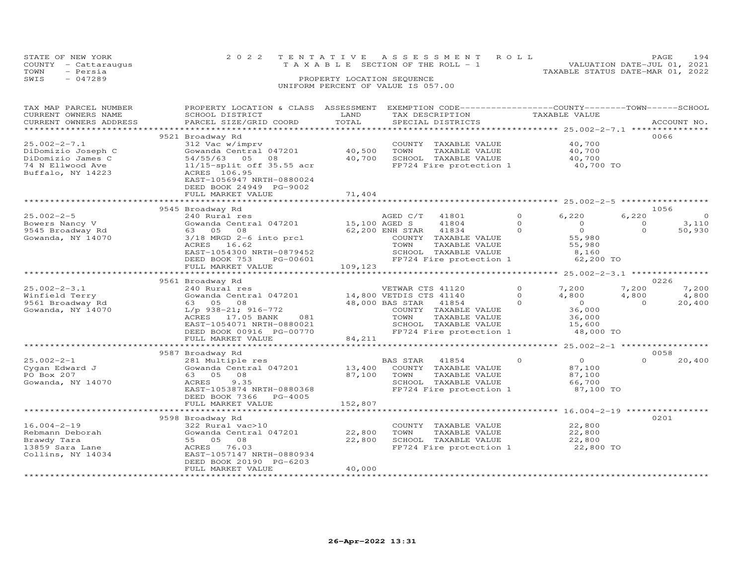|      | STATE OF NEW YORK    | 2022 TENTATIVE ASSESSMENT ROLL                                       | PAGE | 194 |
|------|----------------------|----------------------------------------------------------------------|------|-----|
|      | COUNTY - Cattaraugus | VALUATION DATE-JUL 01, 2021<br>T A X A B L E SECTION OF THE ROLL - 1 |      |     |
| TOWN | - Persia             | TAXABLE STATUS DATE-MAR 01, 2022                                     |      |     |
| SWIS | $-047289$            | PROPERTY LOCATION SEQUENCE                                           |      |     |
|      |                      | UNIFORM PERCENT OF VALUE IS 057.00                                   |      |     |
|      |                      |                                                                      |      |     |

| TAX MAP PARCEL NUMBER<br>CURRENT OWNERS NAME<br>CURRENT OWNERS ADDRESS                                                        | PROPERTY LOCATION & CLASS ASSESSMENT<br>SCHOOL DISTRICT<br>PARCEL SIZE/GRID COORD                                                                                                                         | LAND<br>TOTAL               | EXEMPTION CODE-----------------COUNTY-------TOWN------SCHOOL<br>TAX DESCRIPTION<br>SPECIAL DISTRICTS                                                                        |                                  | TAXABLE VALUE                                                               | ACCOUNT NO.                                            |         |
|-------------------------------------------------------------------------------------------------------------------------------|-----------------------------------------------------------------------------------------------------------------------------------------------------------------------------------------------------------|-----------------------------|-----------------------------------------------------------------------------------------------------------------------------------------------------------------------------|----------------------------------|-----------------------------------------------------------------------------|--------------------------------------------------------|---------|
| *******************<br>$25.002 - 2 - 7.1$<br>DiDomizio Joseph C<br>DiDomizio James C<br>74 N Ellwood Ave<br>Buffalo, NY 14223 | 9521 Broadway Rd<br>312 Vac w/imprv<br>Gowanda Central 047201<br>54/55/63 05 08<br>11/15-split off 35.55 acr<br>ACRES 106.95<br>EAST-1056947 NRTH-0880024<br>DEED BOOK 24949 PG-9002<br>FULL MARKET VALUE | 40,500<br>40,700<br>71,404  | COUNTY TAXABLE VALUE<br>TOWN<br>TAXABLE VALUE<br>SCHOOL TAXABLE VALUE<br>FP724 Fire protection 1                                                                            |                                  | 40,700<br>40,700<br>40,700<br>40,700 TO                                     | 0066                                                   |         |
|                                                                                                                               | 9545 Broadway Rd                                                                                                                                                                                          |                             |                                                                                                                                                                             |                                  |                                                                             | 1056                                                   |         |
| $25.002 - 2 - 5$<br>Bowers Nancy V<br>9545 Broadway Rd<br>Gowanda, NY 14070                                                   | 240 Rural res<br>Gowanda Central 047201<br>63 05<br>08<br>3/18 MRGD 2-6 into prcl<br>16.62<br>ACRES<br>EAST-1054300 NRTH-0879452<br>DEED BOOK 753<br>PG-00601<br>FULL MARKET VALUE                        | 15,100 AGED S<br>109,123    | AGED C/T<br>41801<br>41804<br>41834<br>62,200 ENH STAR<br>COUNTY TAXABLE VALUE<br>TOWN<br>TAXABLE VALUE<br>SCHOOL TAXABLE VALUE<br>FP724 Fire protection 1                  | $\circ$<br>$\circ$<br>$\Omega$   | 6,220<br>$\circ$<br>$\circ$<br>55,980<br>55,980<br>8,160<br>62,200 TO       | 6,220<br>3,110<br>$\circ$<br>$\Omega$<br>50,930        | $\circ$ |
|                                                                                                                               | ************************                                                                                                                                                                                  |                             |                                                                                                                                                                             |                                  |                                                                             |                                                        |         |
|                                                                                                                               | 9561 Broadway Rd                                                                                                                                                                                          |                             |                                                                                                                                                                             |                                  |                                                                             | 0226                                                   |         |
| $25.002 - 2 - 3.1$<br>Winfield Terry<br>9561 Broadway Rd<br>Gowanda, NY 14070                                                 | 240 Rural res<br>Gowanda Central 047201<br>63 05 08<br>$L/p$ 938-21; 916-772<br>ACRES 17.05 BANK<br>081<br>EAST-1054071 NRTH-0880021<br>DEED BOOK 00916 PG-00770<br>FULL MARKET VALUE                     | 84,211                      | VETWAR CTS 41120<br>14,800 VETDIS CTS 41140<br>48,000 BAS STAR<br>41854<br>COUNTY TAXABLE VALUE<br>TOWN<br>TAXABLE VALUE<br>SCHOOL TAXABLE VALUE<br>FP724 Fire protection 1 | $\Omega$<br>$\Omega$<br>$\Omega$ | 7,200<br>4,800<br>$\overline{O}$<br>36,000<br>36,000<br>15,600<br>48,000 TO | 7,200<br>7,200<br>4,800<br>4,800<br>$\Omega$<br>20,400 |         |
|                                                                                                                               |                                                                                                                                                                                                           |                             |                                                                                                                                                                             |                                  |                                                                             |                                                        |         |
| $25.002 - 2 - 1$<br>Cygan Edward J<br>PO Box 207<br>Gowanda, NY 14070                                                         | 9587 Broadway Rd<br>281 Multiple res<br>Gowanda Central 047201<br>63 05 08<br>9.35<br>ACRES<br>EAST-1053874 NRTH-0880368<br>DEED BOOK 7366<br>PG-4005<br>FULL MARKET VALUE                                | 13,400<br>87,100<br>152,807 | BAS STAR<br>41854<br>COUNTY TAXABLE VALUE<br>TOWN<br>TAXABLE VALUE<br>SCHOOL TAXABLE VALUE<br>FP724 Fire protection 1                                                       | $\Omega$                         | $\overline{O}$<br>87,100<br>87,100<br>66,700<br>87,100 TO                   | 0058<br>$\Omega$<br>20,400                             |         |
|                                                                                                                               |                                                                                                                                                                                                           |                             |                                                                                                                                                                             |                                  |                                                                             | ********************** 16.004-2-19 ***************     |         |
| $16.004 - 2 - 19$<br>Rebmann Deborah<br>Brawdy Tara<br>13859 Sara Lane<br>Collins, NY 14034                                   | 9598 Broadway Rd<br>322 Rural vac>10<br>Gowanda Central 047201<br>55 05 08<br>ACRES 76.03<br>EAST-1057147 NRTH-0880934<br>DEED BOOK 20190 PG-6203<br>FULL MARKET VALUE                                    | 22,800<br>22,800<br>40,000  | COUNTY TAXABLE VALUE<br>TOWN<br>TAXABLE VALUE<br>SCHOOL TAXABLE VALUE<br>FP724 Fire protection 1                                                                            |                                  | 22,800<br>22,800<br>22,800<br>22,800 TO                                     | 0201                                                   |         |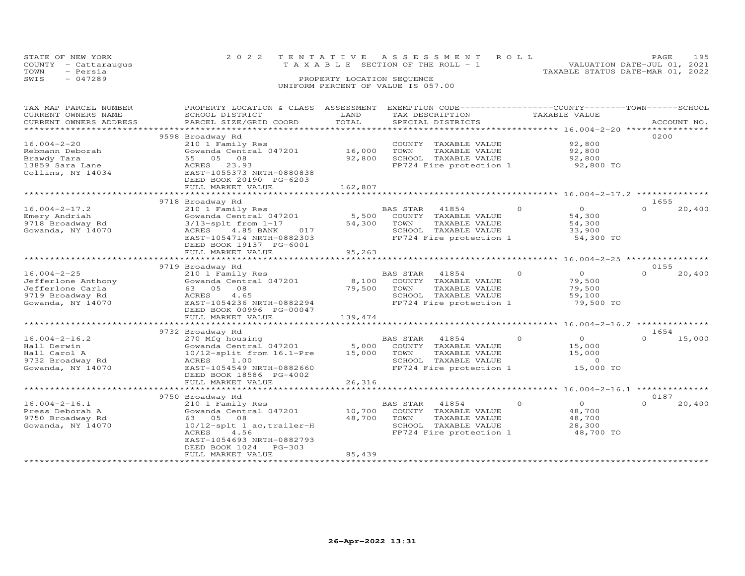|      | STATE OF NEW YORK    | 2022 TENTATIVE ASSESSMENT ROLL        | PAGE.                            | 195 |
|------|----------------------|---------------------------------------|----------------------------------|-----|
|      | COUNTY - Cattaraugus | T A X A B L E SECTION OF THE ROLL - 1 | VALUATION DATE-JUL 01, 2021      |     |
| TOWN | - Persia             |                                       | TAXABLE STATUS DATE-MAR 01, 2022 |     |
| SWIS | $-047289$            | PROPERTY LOCATION SEOUENCE            |                                  |     |
|      |                      | UNIFORM PERCENT OF VALUE IS 057.00    |                                  |     |
|      |                      |                                       |                                  |     |

| TAX MAP PARCEL NUMBER<br>CURRENT OWNERS NAME<br>CURRENT OWNERS ADDRESS                               | PROPERTY LOCATION & CLASS ASSESSMENT<br>SCHOOL DISTRICT<br>PARCEL SIZE/GRID COORD                                                                                                                    | LAND<br>TOTAL               | EXEMPTION CODE-----------------COUNTY-------TOWN-----SCHOOL<br>TAX DESCRIPTION<br>SPECIAL DISTRICTS                          | TAXABLE VALUE                                                           |                  | ACCOUNT NO. |
|------------------------------------------------------------------------------------------------------|------------------------------------------------------------------------------------------------------------------------------------------------------------------------------------------------------|-----------------------------|------------------------------------------------------------------------------------------------------------------------------|-------------------------------------------------------------------------|------------------|-------------|
| *******************                                                                                  |                                                                                                                                                                                                      |                             |                                                                                                                              |                                                                         |                  |             |
| $16.004 - 2 - 20$<br>Rebmann Deborah<br>Brawdy Tara<br>13859 Sara Lane<br>Collins, NY 14034          | 9598 Broadway Rd<br>210 1 Family Res<br>Gowanda Central 047201<br>55 05 08<br>ACRES 23.93<br>EAST-1055373 NRTH-0880838<br>DEED BOOK 20190 PG-6203<br>FULL MARKET VALUE                               | 16,000<br>92,800<br>162,807 | COUNTY TAXABLE VALUE<br>TOWN<br>TAXABLE VALUE<br>SCHOOL TAXABLE VALUE<br>FP724 Fire protection 1                             | 92,800<br>92,800<br>92,800<br>92,800 TO                                 | 0200             |             |
|                                                                                                      |                                                                                                                                                                                                      |                             |                                                                                                                              |                                                                         |                  |             |
| $16.004 - 2 - 17.2$<br>Emery Andriah<br>9718 Broadway Rd<br>Gowanda, NY 14070                        | 9718 Broadway Rd<br>210 1 Family Res<br>Gowanda Central 047201<br>$3/13$ -splt from $1-17$<br>4.85 BANK<br>017<br>ACRES<br>EAST-1054714 NRTH-0882303<br>DEED BOOK 19137 PG-6001<br>FULL MARKET VALUE | 5,500<br>54,300<br>95,263   | BAS STAR 41854<br>COUNTY TAXABLE VALUE<br>TOWN<br>TAXABLE VALUE<br>SCHOOL TAXABLE VALUE<br>FP724 Fire protection 1           | $\Omega$<br>$\Omega$<br>54,300<br>54,300<br>33,900<br>54,300 TO         | 1655<br>$\Omega$ | 20,400      |
|                                                                                                      |                                                                                                                                                                                                      |                             |                                                                                                                              |                                                                         |                  |             |
| $16.004 - 2 - 25$<br>Jefferlone Anthony<br>Jefferlone Carla<br>9719 Broadway Rd<br>Gowanda, NY 14070 | 9719 Broadway Rd<br>210 1 Family Res<br>Gowanda Central 047201<br>63 05 08<br>ACRES<br>4.65<br>EAST-1054236 NRTH-0882294<br>DEED BOOK 00996 PG-00047<br>FULL MARKET VALUE                            | 8,100<br>79,500<br>139,474  | 41854<br><b>BAS STAR</b><br>COUNTY TAXABLE VALUE<br>TOWN<br>TAXABLE VALUE<br>SCHOOL TAXABLE VALUE<br>FP724 Fire protection 1 | $\Omega$<br>$\Omega$<br>79,500<br>79,500<br>59,100<br>79,500 TO         | 0155<br>$\Omega$ | 20,400      |
|                                                                                                      | 9732 Broadway Rd                                                                                                                                                                                     |                             |                                                                                                                              |                                                                         | 1654             |             |
| $16.004 - 2 - 16.2$<br>Hall Derwin<br>Hall Carol A<br>9732 Broadway Rd<br>Gowanda, NY 14070          | 270 Mfg housing<br>Gowanda Central 047201<br>$10/12$ -split from $16.1$ -Pre<br>1.00<br>ACRES<br>EAST-1054549 NRTH-0882660<br>DEED BOOK 18586 PG-4002                                                | 5,000<br>15,000             | <b>BAS STAR</b><br>41854<br>COUNTY TAXABLE VALUE<br>TOWN<br>TAXABLE VALUE<br>SCHOOL TAXABLE VALUE<br>FP724 Fire protection 1 | $\Omega$<br>$\overline{0}$<br>15,000<br>15,000<br>$\Omega$<br>15,000 TO | $\Omega$         | 15,000      |
|                                                                                                      | FULL MARKET VALUE                                                                                                                                                                                    | 26,316                      |                                                                                                                              |                                                                         |                  |             |
|                                                                                                      |                                                                                                                                                                                                      |                             |                                                                                                                              |                                                                         | 0187             |             |
| $16.004 - 2 - 16.1$<br>Press Deborah A<br>9750 Broadway Rd<br>Gowanda, NY 14070                      | 9750 Broadway Rd<br>210 1 Family Res<br>Gowanda Central 047201<br>63 05 08<br>10/12-splt 1 ac, trailer-H<br>ACRES<br>4.56<br>EAST-1054693 NRTH-0882793<br>DEED BOOK 1024 PG-303<br>FULL MARKET VALUE | 10,700<br>48,700<br>85,439  | 41854<br>BAS STAR<br>COUNTY TAXABLE VALUE<br>TOWN<br>TAXABLE VALUE<br>SCHOOL TAXABLE VALUE<br>FP724 Fire protection 1        | $\Omega$<br>$\Omega$<br>48,700<br>48,700<br>28,300<br>48,700 TO         | $\Omega$         | 20,400      |
|                                                                                                      |                                                                                                                                                                                                      |                             |                                                                                                                              |                                                                         |                  |             |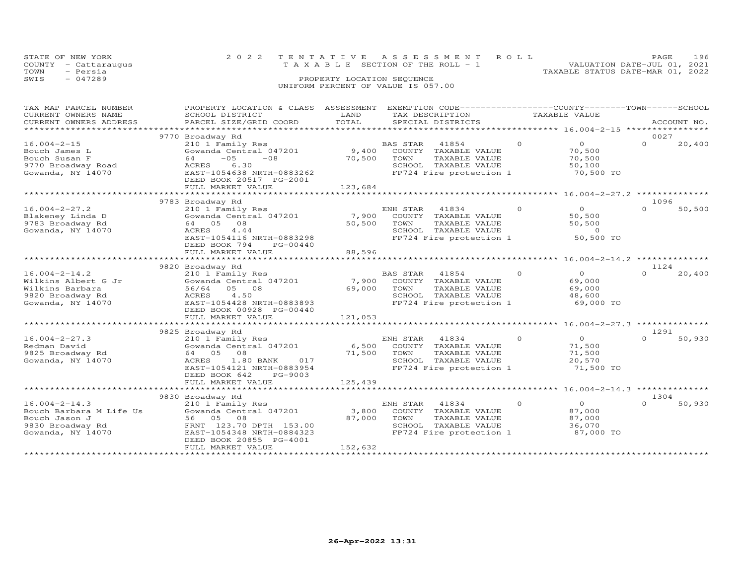|      | STATE OF NEW YORK<br>COUNTY - Cattaraugus | 2022 TENTATIVE ASSESSMENT ROLL<br>T A X A B L E SECTION OF THE ROLL - 1 |                            |  | VALUATION DATE-JUL 01, 2021      | <b>PAGE</b> | 196 |
|------|-------------------------------------------|-------------------------------------------------------------------------|----------------------------|--|----------------------------------|-------------|-----|
| TOWN | - Persia                                  |                                                                         |                            |  | TAXABLE STATUS DATE-MAR 01, 2022 |             |     |
| SWIS | - 047289                                  |                                                                         | PROPERTY LOCATION SEQUENCE |  |                                  |             |     |
|      |                                           | UNIFORM PERCENT OF VALUE IS 057.00                                      |                            |  |                                  |             |     |

| TAX MAP PARCEL NUMBER<br>CURRENT OWNERS NAME<br>CURRENT OWNERS ADDRESS<br>**********************         | PROPERTY LOCATION & CLASS ASSESSMENT<br>SCHOOL DISTRICT<br>PARCEL SIZE/GRID COORD                                                                                                     | LAND<br>TOTAL              | EXEMPTION CODE-----------------COUNTY-------TOWN------SCHOOL<br>TAX DESCRIPTION<br>SPECIAL DISTRICTS                     |          | TAXABLE VALUE                                             | ACCOUNT NO.                                  |
|----------------------------------------------------------------------------------------------------------|---------------------------------------------------------------------------------------------------------------------------------------------------------------------------------------|----------------------------|--------------------------------------------------------------------------------------------------------------------------|----------|-----------------------------------------------------------|----------------------------------------------|
| $16.004 - 2 - 15$<br>Bouch James L<br>Bouch Susan F<br>9770 Broadway Road<br>Gowanda, NY 14070           | 9770 Broadway Rd<br>210 1 Family Res<br>Gowanda Central 047201<br>$-08$<br>$-0.5$<br>64<br>6.30<br>ACRES<br>EAST-1054638 NRTH-0883262<br>DEED BOOK 20517 PG-2001<br>FULL MARKET VALUE | 9,400<br>70,500<br>123,684 | BAS STAR<br>41854<br>COUNTY<br>TAXABLE VALUE<br>TOWN<br>TAXABLE VALUE<br>SCHOOL TAXABLE VALUE<br>FP724 Fire protection 1 | $\circ$  | $\overline{O}$<br>70,500<br>70,500<br>50,100<br>70,500 TO | 0027<br>$\Omega$<br>20,400<br>************** |
|                                                                                                          | 9783 Broadway Rd                                                                                                                                                                      |                            |                                                                                                                          |          |                                                           | 1096                                         |
| $16.004 - 2 - 27.2$<br>Blakeney Linda D<br>9783 Broadway Rd<br>Gowanda, NY 14070                         | 210 1 Family Res<br>Gowanda Central 047201<br>64 05<br>08<br><b>ACRES</b><br>4.44<br>EAST-1054116 NRTH-0883298<br>DEED BOOK 794<br>PG-00440<br>FULL MARKET VALUE                      | 7,900<br>50,500<br>88,596  | ENH STAR<br>41834<br>COUNTY TAXABLE VALUE<br>TOWN<br>TAXABLE VALUE<br>SCHOOL TAXABLE VALUE<br>FP724 Fire protection 1    | $\Omega$ | $\Omega$<br>50,500<br>50,500<br>$\Omega$<br>50,500 TO     | $\Omega$<br>50,500                           |
|                                                                                                          | 9820 Broadway Rd                                                                                                                                                                      | *************              |                                                                                                                          |          | ******************** 16.004-2-14.2                        | 1124                                         |
| $16.004 - 2 - 14.2$<br>Wilkins Albert G Jr<br>Wilkins Barbara<br>9820 Broadway Rd<br>Gowanda, NY 14070   | 210 1 Family Res<br>Gowanda Central 047201<br>56/64<br>05 08<br>4.50<br>ACRES<br>EAST-1054428 NRTH-0883893<br>DEED BOOK 00928 PG-00440<br>FULL MARKET VALUE                           | 7,900<br>69,000<br>121,053 | BAS STAR<br>41854<br>COUNTY TAXABLE VALUE<br>TOWN<br>TAXABLE VALUE<br>SCHOOL TAXABLE VALUE<br>FP724 Fire protection 1    | $\circ$  | $\overline{0}$<br>69,000<br>69,000<br>48,600<br>69,000 TO | 20,400<br>$\Omega$                           |
|                                                                                                          |                                                                                                                                                                                       |                            |                                                                                                                          |          |                                                           |                                              |
| $16.004 - 2 - 27.3$<br>Redman David<br>9825 Broadway Rd<br>Gowanda, NY 14070                             | 9825 Broadway Rd<br>210 1 Family Res<br>Gowanda Central 047201<br>64 05<br>08<br>1.80 BANK<br>ACRES<br>017<br>EAST-1054121 NRTH-0883954<br>DEED BOOK 642<br>PG-9003                   | 6,500<br>71,500            | ENH STAR<br>41834<br>COUNTY TAXABLE VALUE<br>TOWN<br>TAXABLE VALUE<br>SCHOOL TAXABLE VALUE<br>FP724 Fire protection 1    | $\circ$  | $\overline{O}$<br>71,500<br>71,500<br>20,570<br>71,500 TO | 1291<br>50,930<br>$\Omega$                   |
|                                                                                                          | FULL MARKET VALUE                                                                                                                                                                     | 125,439                    |                                                                                                                          |          |                                                           |                                              |
|                                                                                                          | 9830 Broadway Rd                                                                                                                                                                      |                            |                                                                                                                          |          |                                                           | 1304                                         |
| $16.004 - 2 - 14.3$<br>Bouch Barbara M Life Us<br>Bouch Jason J<br>9830 Broadway Rd<br>Gowanda, NY 14070 | 210 1 Family Res<br>Gowanda Central 047201<br>56<br>05<br>08<br>FRNT 123.70 DPTH 153.00<br>EAST-1054348 NRTH-0884323<br>DEED BOOK 20855 PG-4001<br>FULL MARKET VALUE                  | 3,800<br>87,000<br>152,632 | ENH STAR<br>41834<br>COUNTY<br>TAXABLE VALUE<br>TOWN<br>TAXABLE VALUE<br>SCHOOL TAXABLE VALUE<br>FP724 Fire protection 1 | $\circ$  | $\overline{O}$<br>87,000<br>87,000<br>36,070<br>87,000 TO | $\Omega$<br>50,930                           |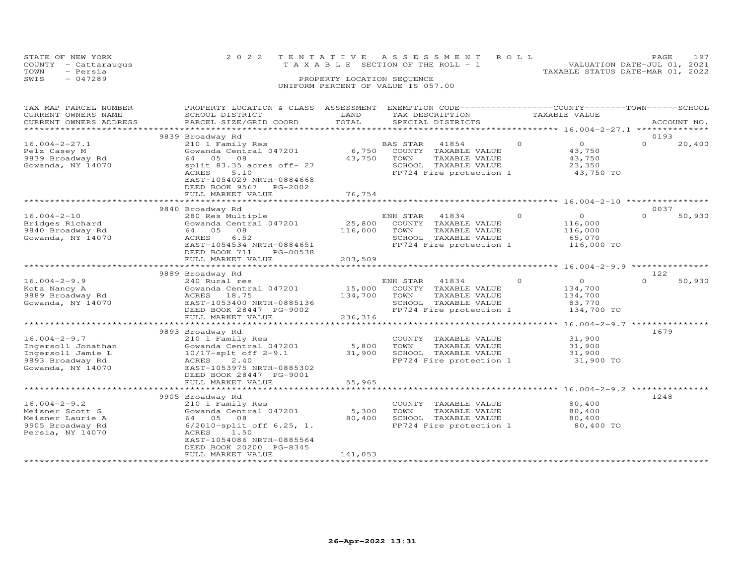| STATE OF NEW YORK<br>COUNTY - Cattaraugus<br>TOWN<br>- Persia | 2022 TENTATIVE ASSESSMENT ROLL<br>TAXABLE SECTION OF THE ROLL - 1 | 197<br>PAGE.<br>VALUATION DATE-JUL 01, 2021<br>TAXABLE STATUS DATE-MAR 01, 2022 |
|---------------------------------------------------------------|-------------------------------------------------------------------|---------------------------------------------------------------------------------|
| SWIS<br>$-047289$                                             | PROPERTY LOCATION SEQUENCE<br>UNIFORM PERCENT OF VALUE IS 057.00  |                                                                                 |

| TAX MAP PARCEL NUMBER<br>CURRENT OWNERS NAME<br>CURRENT OWNERS ADDRESS                                 | PROPERTY LOCATION & CLASS ASSESSMENT<br>SCHOOL DISTRICT<br>PARCEL SIZE/GRID COORD                                                                                    | LAND<br>TOTAL                | EXEMPTION CODE-----------------COUNTY-------TOWN------SCHOOL<br>TAX DESCRIPTION<br>SPECIAL DISTRICTS                  |          | TAXABLE VALUE                                             | ACCOUNT NO. |        |
|--------------------------------------------------------------------------------------------------------|----------------------------------------------------------------------------------------------------------------------------------------------------------------------|------------------------------|-----------------------------------------------------------------------------------------------------------------------|----------|-----------------------------------------------------------|-------------|--------|
| *******************                                                                                    |                                                                                                                                                                      |                              |                                                                                                                       |          |                                                           |             |        |
|                                                                                                        | 9839 Broadway Rd                                                                                                                                                     |                              |                                                                                                                       |          |                                                           | 0193        |        |
| $16.004 - 2 - 27.1$<br>Pelz Casey M<br>9839 Broadway Rd<br>Gowanda, NY 14070                           | 210 1 Family Res<br>Gowanda Central 047201<br>64<br>05<br>08<br>split 83.35 acres off- 27<br>ACRES<br>5.10<br>EAST-1054029 NRTH-0884668<br>DEED BOOK 9567<br>PG-2002 | 6,750<br>43,750              | BAS STAR<br>41854<br>COUNTY TAXABLE VALUE<br>TOWN<br>TAXABLE VALUE<br>SCHOOL TAXABLE VALUE<br>FP724 Fire protection 1 | $\Omega$ | $\overline{O}$<br>43,750<br>43,750<br>23,350<br>43,750 TO | $\Omega$    | 20,400 |
|                                                                                                        | FULL MARKET VALUE                                                                                                                                                    | 76,754                       |                                                                                                                       |          |                                                           |             |        |
|                                                                                                        | ***********************************                                                                                                                                  |                              | ************************* 16.004-2-10 ********                                                                        |          |                                                           |             |        |
|                                                                                                        | 9840 Broadway Rd                                                                                                                                                     |                              |                                                                                                                       |          |                                                           | 0037        |        |
| $16.004 - 2 - 10$<br>Bridges Richard<br>9840 Broadway Rd<br>Gowanda, NY 14070                          | 280 Res Multiple<br>Gowanda Central 047201<br>64 05<br>08<br>6.52<br>ACRES<br>EAST-1054534 NRTH-0884651<br>DEED BOOK 711<br>PG-00538<br>FULL MARKET VALUE            | 25,800<br>116,000<br>203,509 | ENH STAR<br>41834<br>COUNTY TAXABLE VALUE<br>TOWN<br>TAXABLE VALUE<br>SCHOOL TAXABLE VALUE<br>FP724 Fire protection 1 | $\Omega$ | $\circ$<br>116,000<br>116,000<br>65,070<br>116,000 TO     | $\Omega$    | 50,930 |
|                                                                                                        |                                                                                                                                                                      |                              |                                                                                                                       |          |                                                           |             |        |
|                                                                                                        | 9889 Broadway Rd                                                                                                                                                     |                              |                                                                                                                       |          |                                                           | 122         |        |
| $16.004 - 2 - 9.9$<br>Kota Nancy A<br>9889 Broadway Rd<br>Gowanda, NY 14070                            | 240 Rural res<br>Gowanda Central 047201<br>ACRES<br>18.75<br>EAST-1053400 NRTH-0885136<br>DEED BOOK 28447 PG-9002<br>FULL MARKET VALUE                               | 15,000<br>134,700<br>236,316 | ENH STAR<br>41834<br>COUNTY TAXABLE VALUE<br>TOWN<br>TAXABLE VALUE<br>SCHOOL TAXABLE VALUE<br>FP724 Fire protection 1 | $\Omega$ | $\Omega$<br>134,700<br>134,700<br>83,770<br>134,700 TO    | $\Omega$    | 50,930 |
|                                                                                                        |                                                                                                                                                                      |                              |                                                                                                                       |          | $16.004 - 2 - 9.7$                                        |             |        |
| $16.004 - 2 - 9.7$<br>Ingersoll Jonathan<br>Ingersoll Jamie L<br>9893 Broadway Rd<br>Gowanda, NY 14070 | 9893 Broadway Rd<br>210 1 Family Res<br>Gowanda Central 047201<br>$10/17$ -splt off 2-9.1<br>ACRES<br>2,40<br>EAST-1053975 NRTH-0885302<br>DEED BOOK 28447 PG-9001   | 5,800<br>31,900              | COUNTY<br>TAXABLE VALUE<br>TOWN<br>TAXABLE VALUE<br>SCHOOL TAXABLE VALUE<br>FP724 Fire protection 1                   |          | 31,900<br>31,900<br>31,900<br>31,900 TO                   | 1679        |        |
|                                                                                                        | FULL MARKET VALUE<br>*************************                                                                                                                       | 55,965                       |                                                                                                                       |          |                                                           |             |        |
| $16.004 - 2 - 9.2$<br>Meisner Scott G                                                                  | 9905 Broadway Rd<br>210 1 Family Res<br>Gowanda Central 047201                                                                                                       | 5,300                        | COUNTY TAXABLE VALUE<br>TOWN<br>TAXABLE VALUE                                                                         |          | 80,400<br>80,400                                          | 1248        |        |
| Meisner Laurie A<br>9905 Broadway Rd<br>Persia, NY 14070                                               | 05<br>08<br>64<br>6/2010-split off 6.25, 1.<br>ACRES<br>1.50<br>EAST-1054086 NRTH-0885564<br>DEED BOOK 20200 PG-8345<br>FULL MARKET VALUE                            | 80,400<br>141,053            | SCHOOL TAXABLE VALUE<br>FP724 Fire protection 1                                                                       |          | 80,400<br>80,400 TO                                       |             |        |
|                                                                                                        |                                                                                                                                                                      |                              |                                                                                                                       |          |                                                           |             |        |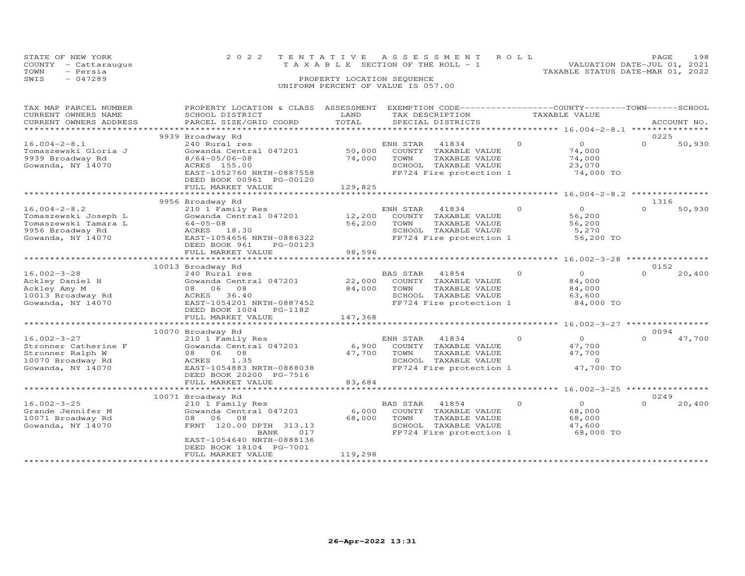| STATE OF NEW YORK<br>COUNTY - Cattaraugus<br>- Persia<br>TOWN | 2022 TENTATIVE ASSESSMENT ROLL<br>T A X A B L E SECTION OF THE ROLL - 1 | 198<br>PAGE<br>VALUATION DATE-JUL 01, 2021 |
|---------------------------------------------------------------|-------------------------------------------------------------------------|--------------------------------------------|
| SWIS<br>$-047289$                                             | PROPERTY LOCATION SEQUENCE<br>UNIFORM PERCENT OF VALUE IS 057.00        | TAXABLE STATUS DATE-MAR 01, 2022           |

| TAX MAP PARCEL NUMBER<br>CURRENT OWNERS NAME                                                                | PROPERTY LOCATION & CLASS<br>SCHOOL DISTRICT                                                                                                                                        | ASSESSMENT<br>LAND<br>TOTAL | TAX DESCRIPTION            | EXEMPTION CODE-----------------COUNTY-------TOWN-----SCHOOL                                       |          | TAXABLE VALUE                                               |                  |             |
|-------------------------------------------------------------------------------------------------------------|-------------------------------------------------------------------------------------------------------------------------------------------------------------------------------------|-----------------------------|----------------------------|---------------------------------------------------------------------------------------------------|----------|-------------------------------------------------------------|------------------|-------------|
| CURRENT OWNERS ADDRESS<br>*******************                                                               | PARCEL SIZE/GRID COORD                                                                                                                                                              |                             |                            | SPECIAL DISTRICTS                                                                                 |          |                                                             |                  | ACCOUNT NO. |
|                                                                                                             | 9939 Broadway Rd                                                                                                                                                                    |                             |                            |                                                                                                   |          |                                                             | 0225             |             |
| $16.004 - 2 - 8.1$<br>Tomaszewski Gloria J<br>9939 Broadway Rd<br>Gowanda, NY 14070                         | 240 Rural res<br>Gowanda Central 047201<br>$8/64 - 05/06 - 08$<br>ACRES 155.00<br>EAST-1052760 NRTH-0887558<br>DEED BOOK 00961 PG-00120<br>FULL MARKET VALUE                        | 50,000<br>74,000<br>129,825 | ENH STAR<br>TOWN           | 41834<br>COUNTY TAXABLE VALUE<br>TAXABLE VALUE<br>SCHOOL TAXABLE VALUE<br>FP724 Fire protection 1 | $\Omega$ | $\circ$<br>74,000<br>74,000<br>23,070<br>74,000 TO          | $\Omega$         | 50,930      |
|                                                                                                             |                                                                                                                                                                                     |                             |                            |                                                                                                   |          |                                                             |                  |             |
|                                                                                                             | 9956 Broadway Rd                                                                                                                                                                    |                             |                            |                                                                                                   |          |                                                             | 1316             |             |
| $16.004 - 2 - 8.2$<br>Tomaszewski Joseph L<br>Tomaszewski Tamara L<br>9956 Broadway Rd<br>Gowanda, NY 14070 | 210 1 Family Res<br>Gowanda Central 047201<br>$64 - 05 - 08$<br>ACRES 18.30<br>EAST-1054656 NRTH-0886322<br>DEED BOOK 961<br>PG-00123                                               | 12,200<br>56,200            | ENH STAR<br>COUNTY<br>TOWN | 41834<br>TAXABLE VALUE<br>TAXABLE VALUE<br>SCHOOL TAXABLE VALUE<br>FP724 Fire protection 1        | $\Omega$ | $\Omega$<br>56,200<br>56,200<br>5,270<br>56,200 TO          | $\Omega$         | 50,930      |
|                                                                                                             | FULL MARKET VALUE                                                                                                                                                                   | 98,596                      |                            |                                                                                                   |          |                                                             |                  |             |
|                                                                                                             | ***********************<br>10013 Broadway Rd                                                                                                                                        |                             |                            |                                                                                                   |          |                                                             | 0152             |             |
| $16.002 - 3 - 28$<br>Ackley Daniel H<br>Ackley Amy M<br>10013 Broadway Rd<br>Gowanda, NY 14070              | 240 Rural res<br>Gowanda Central 047201<br>08 06 08<br>36.40<br>ACRES<br>EAST-1054201 NRTH-0887452<br>DEED BOOK 1004<br>PG-1182<br>FULL MARKET VALUE                                | 22,000<br>84,000<br>147,368 | BAS STAR<br>TOWN           | 41854<br>COUNTY TAXABLE VALUE<br>TAXABLE VALUE<br>SCHOOL TAXABLE VALUE<br>FP724 Fire protection 1 | $\Omega$ | $\circ$<br>84,000<br>84,000<br>63,600<br>84,000 TO          | $\Omega$         | 20,400      |
| ************                                                                                                |                                                                                                                                                                                     |                             |                            |                                                                                                   |          |                                                             |                  |             |
| $16.002 - 3 - 27$<br>Stronner Catherine F<br>Stronner Ralph W<br>10070 Broadway Rd<br>Gowanda, NY 14070     | 10070 Broadway Rd<br>210 1 Family Res<br>Gowanda Central 047201<br>08 06<br>08<br>ACRES<br>1.35<br>EAST-1054883 NRTH-0888038<br>DEED BOOK 20200 PG-7516                             | 6,900<br>47,700             | ENH STAR<br>TOWN           | 41834<br>COUNTY TAXABLE VALUE<br>TAXABLE VALUE<br>SCHOOL TAXABLE VALUE<br>FP724 Fire protection 1 | $\circ$  | $\overline{0}$<br>47,700<br>47,700<br>$\Omega$<br>47,700 TO | 0094<br>$\Omega$ | 47,700      |
|                                                                                                             | FULL MARKET VALUE                                                                                                                                                                   | 83,684<br>*************     |                            |                                                                                                   |          |                                                             |                  |             |
|                                                                                                             | 10071 Broadway Rd                                                                                                                                                                   |                             |                            | **********************************    16.002-3-25    ****************                             |          |                                                             | 0249             |             |
| $16.002 - 3 - 25$<br>Grande Jennifer M<br>10071 Broadway Rd<br>Gowanda, NY 14070                            | 210 1 Family Res<br>Gowanda Central 047201<br>08<br>06<br>08<br>FRNT 120.00 DPTH 313.13<br>BANK<br>017<br>EAST-1054640 NRTH-0888136<br>DEED BOOK 18104 PG-7001<br>FULL MARKET VALUE | 6,000<br>68,000<br>119,298  | BAS STAR<br>COUNTY<br>TOWN | 41854<br>TAXABLE VALUE<br>TAXABLE VALUE<br>SCHOOL TAXABLE VALUE<br>FP724 Fire protection 1        | $\Omega$ | $\Omega$<br>68,000<br>68,000<br>47,600<br>68,000 TO         | $\Omega$         | 20,400      |
|                                                                                                             |                                                                                                                                                                                     |                             |                            |                                                                                                   |          |                                                             |                  |             |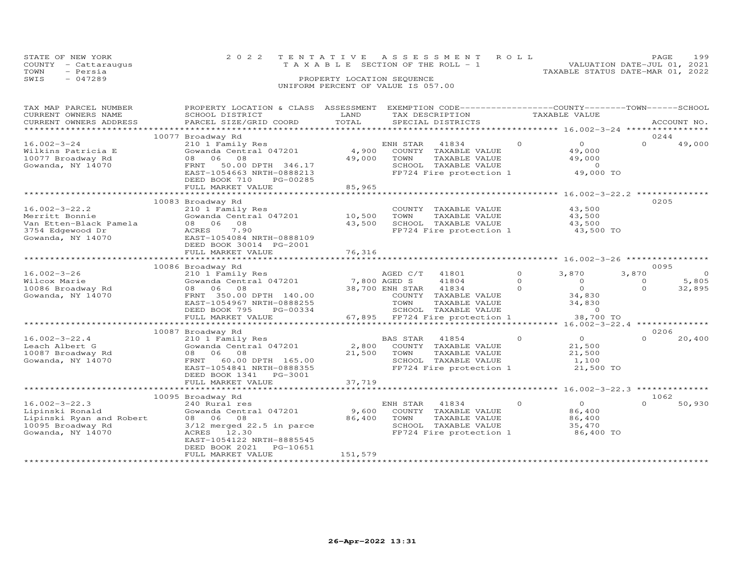| COUNTY<br>- Cattaraugus<br>TOWN<br>- Persia | T A X A B L E                                                                                    |                                    | SECIION OF THE ROLL |                                                               |          | TAXABLE STATUS DATE-MAR 01, 2022                 | VALUATION DATE-JUL 01, 2021 |             |
|---------------------------------------------|--------------------------------------------------------------------------------------------------|------------------------------------|---------------------|---------------------------------------------------------------|----------|--------------------------------------------------|-----------------------------|-------------|
| SWIS<br>$-047289$                           |                                                                                                  | PROPERTY LOCATION SEQUENCE         |                     |                                                               |          |                                                  |                             |             |
|                                             |                                                                                                  | UNIFORM PERCENT OF VALUE IS 057.00 |                     |                                                               |          |                                                  |                             |             |
|                                             |                                                                                                  |                                    |                     |                                                               |          |                                                  |                             |             |
| TAX MAP PARCEL NUMBER                       | PROPERTY LOCATION & CLASS ASSESSMENT EXEMPTION CODE----------------COUNTY-------TOWN------SCHOOL |                                    |                     |                                                               |          |                                                  |                             |             |
| CURRENT OWNERS NAME                         | SCHOOL DISTRICT                                                                                  | LAND                               |                     | TAX DESCRIPTION TAXABLE VALUE                                 |          |                                                  |                             |             |
| CURRENT OWNERS ADDRESS                      | PARCEL SIZE/GRID COORD                                                                           | TOTAL                              |                     | SPECIAL DISTRICTS                                             |          |                                                  |                             | ACCOUNT NO. |
|                                             | 10077 Broadway Rd                                                                                |                                    |                     |                                                               |          | ****************** 16.002-3-24 ***************** | 0244                        |             |
| $16.002 - 3 - 24$                           | 210 1 Family Res                                                                                 |                                    | ENH STAR            | 41834                                                         | $\Omega$ | $\Omega$                                         | $\Omega$                    | 49,000      |
| Wilkins Patricia E                          | Gowanda Central 047201                                                                           | 4,900                              |                     | COUNTY TAXABLE VALUE                                          |          | 49,000                                           |                             |             |
| 10077 Broadway Rd                           | 08 06 08                                                                                         | 49,000                             | TOWN                | TAXABLE VALUE                                                 |          | 49,000                                           |                             |             |
| Gowanda, NY 14070                           | 50.00 DPTH 346.17<br>FRNT                                                                        |                                    |                     | SCHOOL TAXABLE VALUE                                          |          | $\overline{0}$                                   |                             |             |
|                                             | EAST-1054663 NRTH-0888213                                                                        |                                    |                     | FP724 Fire protection 1                                       |          | 49,000 TO                                        |                             |             |
|                                             | DEED BOOK 710<br>PG-00285<br>FULL MARKET VALUE                                                   | 85,965                             |                     |                                                               |          |                                                  |                             |             |
|                                             |                                                                                                  | **************                     |                     | ******************************** 16.002-3-22.2 ************** |          |                                                  |                             |             |
|                                             | 10083 Broadway Rd                                                                                |                                    |                     |                                                               |          |                                                  | 0205                        |             |
| $16.002 - 3 - 22.2$                         | 210 1 Family Res                                                                                 |                                    |                     | COUNTY TAXABLE VALUE                                          |          | 43,500                                           |                             |             |
| Merritt Bonnie                              | Gowanda Central 047201                                                                           | 10,500                             | TOWN                | TAXABLE VALUE                                                 |          | 43,500                                           |                             |             |
| Van Etten-Black Pamela<br>3754 Edgewood Dr  | 08 06 08<br>ACRES<br>7.90                                                                        | 43,500                             |                     | SCHOOL TAXABLE VALUE<br>FP724 Fire protection 1               |          | 43,500<br>43,500 TO                              |                             |             |
| Gowanda, NY 14070                           | EAST-1054084 NRTH-0888109                                                                        |                                    |                     |                                                               |          |                                                  |                             |             |
|                                             | DEED BOOK 30014 PG-2001                                                                          |                                    |                     |                                                               |          |                                                  |                             |             |
|                                             | FULL MARKET VALUE                                                                                | 76,316                             |                     |                                                               |          |                                                  |                             |             |
|                                             | ************************                                                                         |                                    |                     | *********************** 16.002-3-26 **************            |          |                                                  |                             |             |
| $16.002 - 3 - 26$                           | 10086 Broadway Rd<br>210 1 Family Res                                                            |                                    |                     | 41801                                                         | $\Omega$ | 3,870                                            | 0095<br>3,870               | $\Omega$    |
| Wilcox Marie                                | Gowanda Central 047201                                                                           | 7,800 AGED S                       | AGED C/T            | 41804                                                         | $\circ$  | $\circ$                                          | $\circ$                     | 5,805       |
| 10086 Broadway Rd                           | 08 06 08                                                                                         |                                    | 38,700 ENH STAR     | 41834                                                         | $\Omega$ | $\circ$                                          | $\Omega$                    | 32,895      |
| Gowanda, NY 14070                           | FRNT 350.00 DPTH 140.00                                                                          |                                    |                     | COUNTY TAXABLE VALUE                                          |          | 34,830                                           |                             |             |
|                                             | EAST-1054967 NRTH-0888255                                                                        |                                    | TOWN                | TAXABLE VALUE                                                 |          | 34,830                                           |                             |             |
|                                             | DEED BOOK 795<br>PG-00334                                                                        |                                    |                     | SCHOOL TAXABLE VALUE                                          |          | $\circ$                                          |                             |             |
|                                             | FULL MARKET VALUE                                                                                |                                    |                     | 67,895 FP724 Fire protection 1                                |          | 38,700 TO                                        |                             |             |
|                                             | 10087 Broadway Rd                                                                                |                                    |                     |                                                               |          |                                                  | 0206                        |             |
| $16.002 - 3 - 22.4$                         | 210 1 Family Res                                                                                 |                                    | BAS STAR            | 41854                                                         | $\Omega$ | $\overline{0}$                                   | $\Omega$                    | 20,400      |
| Leach Albert G                              | Gowanda Central 047201                                                                           | 2,800                              |                     | COUNTY TAXABLE VALUE                                          |          | 21,500                                           |                             |             |
| 10087 Broadway Rd                           | 08 06 08                                                                                         | 21,500                             | TOWN                | TAXABLE VALUE                                                 |          | 21,500                                           |                             |             |
| Gowanda, NY 14070                           | FRNT<br>60.00 DPTH 165.00<br>EAST-1054841 NRTH-0888355                                           |                                    |                     | SCHOOL TAXABLE VALUE<br>FP724 Fire protection 1               |          | 1,100<br>21,500 TO                               |                             |             |
|                                             | DEED BOOK 1341<br>PG-3001                                                                        |                                    |                     |                                                               |          |                                                  |                             |             |
|                                             | FULL MARKET VALUE                                                                                | 37,719                             |                     |                                                               |          |                                                  |                             |             |
|                                             | *************************                                                                        |                                    |                     | *********************************                             |          | *********** 16.002-3-22.3 **************         |                             |             |
|                                             | 10095 Broadway Rd                                                                                |                                    |                     |                                                               | $\Omega$ | $\circ$                                          | 1062<br>$\cap$              |             |
| $16.002 - 3 - 22.3$<br>Lipinski Ronald      | 240 Rural res<br>Gowanda Central 047201                                                          | 9,600                              | ENH STAR            | 41834<br>COUNTY TAXABLE VALUE                                 |          | 86,400                                           |                             | 50,930      |
| Lipinski Ryan and Robert                    | 08<br>08 06                                                                                      | 86,400                             | TOWN                | TAXABLE VALUE                                                 |          | 86,400                                           |                             |             |
| 10095 Broadway Rd                           | $3/12$ merged $22.5$ in parce                                                                    |                                    |                     | SCHOOL TAXABLE VALUE                                          |          | 35,470                                           |                             |             |
| Gowanda, NY 14070                           | ACRES 12.30                                                                                      |                                    |                     | FP724 Fire protection 1                                       |          | 86,400 TO                                        |                             |             |
|                                             | EAST-1054122 NRTH-8885545                                                                        |                                    |                     |                                                               |          |                                                  |                             |             |
|                                             | DEED BOOK 2021<br>PG-10651                                                                       |                                    |                     |                                                               |          |                                                  |                             |             |
|                                             | FULL MARKET VALUE                                                                                | 151,579                            |                     |                                                               |          |                                                  |                             |             |

STATE OF NEW YORK 2 0 2 2 T E N T A T I V E A S S E S S M E N T R O L L PAGE 199COUNTY - Cattaraugus T A X A B L E SECTION OF THE ROLL - 1 VALUATION DATE-JUL 01, 2021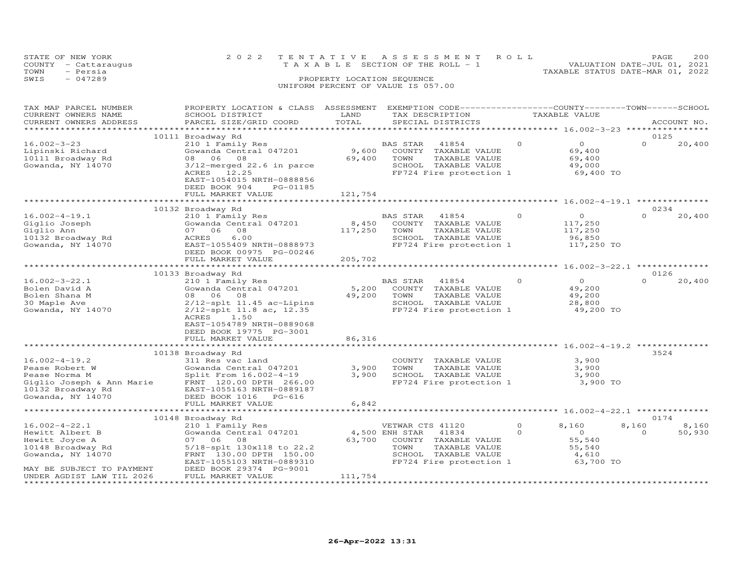|      | STATE OF NEW YORK    | 2022 TENTATIVE ASSESSMENT ROLL                                 | PAGE. | 200 |
|------|----------------------|----------------------------------------------------------------|-------|-----|
|      | COUNTY - Cattaraugus | VALUATION DATE-JUL 01, 2021<br>TAXABLE SECTION OF THE ROLL - 1 |       |     |
| TOWN | - Persia             | TAXABLE STATUS DATE-MAR 01, 2022                               |       |     |
| SWIS | $-047289$            | PROPERTY LOCATION SEQUENCE                                     |       |     |
|      |                      | UNIFORM PERCENT OF VALUE IS 057.00                             |       |     |
|      |                      |                                                                |       |     |
|      |                      |                                                                |       |     |

| TAX MAP PARCEL NUMBER<br>CURRENT OWNERS NAME                                                                                                       | PROPERTY LOCATION & CLASS ASSESSMENT<br>SCHOOL DISTRICT                                                                                                                                     | LAND                       | EXEMPTION CODE-----------------COUNTY-------TOWN-----SCHOOL<br>TAX DESCRIPTION                                                                  |                      | TAXABLE VALUE                                                     |                   |                 |
|----------------------------------------------------------------------------------------------------------------------------------------------------|---------------------------------------------------------------------------------------------------------------------------------------------------------------------------------------------|----------------------------|-------------------------------------------------------------------------------------------------------------------------------------------------|----------------------|-------------------------------------------------------------------|-------------------|-----------------|
| CURRENT OWNERS ADDRESS<br>**********************                                                                                                   | PARCEL SIZE/GRID COORD                                                                                                                                                                      | TOTAL                      | SPECIAL DISTRICTS                                                                                                                               |                      |                                                                   |                   | ACCOUNT NO.     |
|                                                                                                                                                    | 10111 Broadway Rd                                                                                                                                                                           |                            |                                                                                                                                                 |                      |                                                                   | 0125              |                 |
| $16.002 - 3 - 23$<br>Lipinski Richard<br>10111 Broadway Rd<br>Gowanda, NY 14070                                                                    | 210 1 Family Res<br>Gowanda Central 047201<br>08 06 08<br>3/12-merged 22.6 in parce<br>ACRES 12.25<br>EAST-1054015 NRTH-0888856<br>DEED BOOK 904<br>PG-01185<br>FULL MARKET VALUE           | 9,600<br>69,400<br>121,754 | 41854<br>BAS STAR<br>COUNTY TAXABLE VALUE<br>TOWN<br>TAXABLE VALUE<br>SCHOOL TAXABLE VALUE<br>FP724 Fire protection 1                           | $\circ$              | $\overline{O}$<br>69,400<br>69,400<br>49,000<br>69,400 TO         | $\Omega$          | 20,400          |
|                                                                                                                                                    |                                                                                                                                                                                             | ***********                |                                                                                                                                                 |                      | ********************* 16.002-4-19.1 ***************               |                   |                 |
|                                                                                                                                                    | 10132 Broadway Rd                                                                                                                                                                           |                            |                                                                                                                                                 |                      |                                                                   | 0234              |                 |
| $16.002 - 4 - 19.1$<br>Giglio Joseph<br>Giglio Ann<br>10132 Broadway Rd<br>Gowanda, NY 14070                                                       | 210 1 Family Res<br>Gowanda Central 047201<br>07 06 08<br>ACRES<br>6.00<br>EAST-1055409 NRTH-0888973<br>DEED BOOK 00975 PG-00246                                                            | 8,450<br>117,250           | BAS STAR<br>41854<br>COUNTY TAXABLE VALUE<br>TOWN<br>TAXABLE VALUE<br>SCHOOL TAXABLE VALUE<br>FP724 Fire protection 1                           | $\circ$              | $\overline{O}$<br>117,250<br>117,250<br>96,850<br>117,250 TO      | $\Omega$          | 20,400          |
|                                                                                                                                                    | FULL MARKET VALUE                                                                                                                                                                           | 205,702                    |                                                                                                                                                 |                      |                                                                   |                   |                 |
|                                                                                                                                                    |                                                                                                                                                                                             |                            |                                                                                                                                                 |                      |                                                                   |                   |                 |
|                                                                                                                                                    | 10133 Broadway Rd                                                                                                                                                                           |                            |                                                                                                                                                 | $\Omega$             |                                                                   | 0126<br>$\Omega$  |                 |
| $16.002 - 3 - 22.1$<br>Bolen David A<br>Bolen Shana M<br>30 Maple Ave<br>Gowanda, NY 14070                                                         | 210 1 Family Res<br>Gowanda Central 047201<br>08 06 08<br>$2/12$ -splt 11.45 ac-Lipins<br>2/12-splt 11.8 ac, 12.35<br>ACRES<br>1.50<br>EAST-1054789 NRTH-0889068<br>DEED BOOK 19775 PG-3001 | 5,200<br>49,200            | BAS STAR 41854<br>COUNTY TAXABLE VALUE<br>TOWN<br>TAXABLE VALUE<br>SCHOOL TAXABLE VALUE<br>FP724 Fire protection 1                              |                      | $\overline{O}$<br>49,200<br>49,200<br>28,800<br>49,200 TO         |                   | 20,400          |
|                                                                                                                                                    | FULL MARKET VALUE                                                                                                                                                                           | 86,316                     |                                                                                                                                                 |                      |                                                                   |                   |                 |
|                                                                                                                                                    |                                                                                                                                                                                             |                            |                                                                                                                                                 |                      |                                                                   |                   |                 |
| $16.002 - 4 - 19.2$<br>Pease Robert W<br>Pease Norma M<br>Giglio Joseph & Ann Marie<br>10132 Broadway Rd<br>10132 Broadway Rd<br>Gowanda, NY 14070 | 10138 Broadway Rd<br>311 Res vac land<br>Gowanda Central 047201<br>Split From 16.002-4-19<br>FRNT 120.00 DPTH 266.00<br>EAST-1055163 NRTH-0889187                                           | 3,900<br>3,900             | COUNTY TAXABLE VALUE<br>TOWN<br>TAXABLE VALUE<br>SCHOOL TAXABLE VALUE<br>FP724 Fire protection 1                                                |                      | 3,900<br>3,900<br>3,900<br>3,900 TO                               | 3524              |                 |
| Gowanda, NY 14070                                                                                                                                  | DEED BOOK 1016 PG-616<br>FULL MARKET VALUE                                                                                                                                                  | 6,842                      |                                                                                                                                                 |                      |                                                                   |                   |                 |
|                                                                                                                                                    |                                                                                                                                                                                             |                            |                                                                                                                                                 |                      | ************** 16.002-4-22.1 *************                        |                   |                 |
|                                                                                                                                                    | 10148 Broadway Rd                                                                                                                                                                           |                            |                                                                                                                                                 |                      |                                                                   | 0174              |                 |
| $16.002 - 4 - 22.1$<br>Hewitt Albert B<br>Hewitt Joyce A<br>10148 Broadway Rd<br>Gowanda, NY 14070<br>MAY BE SUBJECT TO PAYMENT                    | 210 1 Family Res<br>Gowanda Central 047201<br>07 06 08<br>5/18-splt 130x118 to 22.2<br>FRNT 130.00 DPTH 150.00<br>EAST-1055103 NRTH-0889310<br>DEED BOOK 29374 PG-9001                      | 63,700                     | VETWAR CTS 41120<br>4,500 ENH STAR<br>41834<br>COUNTY TAXABLE VALUE<br>TOWN<br>TAXABLE VALUE<br>SCHOOL TAXABLE VALUE<br>FP724 Fire protection 1 | $\Omega$<br>$\Omega$ | 8,160<br>$\overline{0}$<br>55,540<br>55,540<br>4,610<br>63,700 TO | 8,160<br>$\Omega$ | 8,160<br>50,930 |
| UNDER AGDIST LAW TIL 2026                                                                                                                          | FULL MARKET VALUE                                                                                                                                                                           | 111,754                    |                                                                                                                                                 |                      |                                                                   |                   |                 |
|                                                                                                                                                    |                                                                                                                                                                                             |                            |                                                                                                                                                 |                      |                                                                   |                   |                 |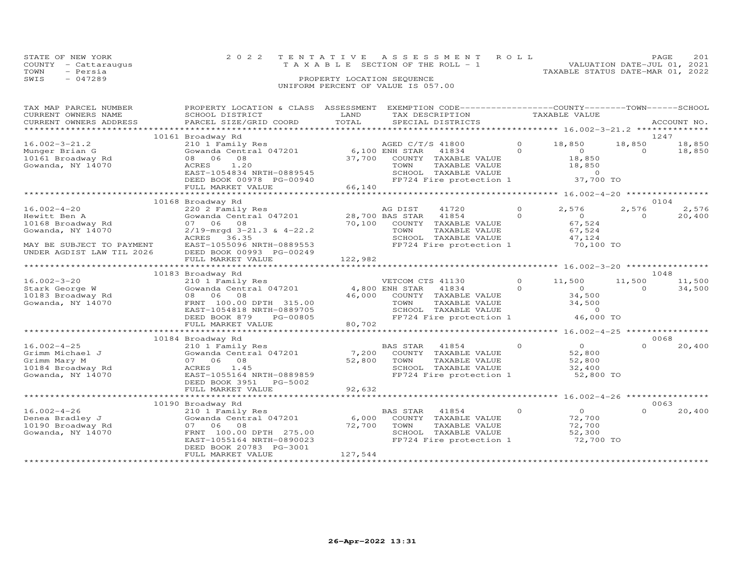|                                                                                                                                       |                                                                                                                                                                                               |                 | UNIFORM PERCENT OF VALUE IS 057.00                                                                                                               |                      |                                                                       |                    |                          |
|---------------------------------------------------------------------------------------------------------------------------------------|-----------------------------------------------------------------------------------------------------------------------------------------------------------------------------------------------|-----------------|--------------------------------------------------------------------------------------------------------------------------------------------------|----------------------|-----------------------------------------------------------------------|--------------------|--------------------------|
| TAX MAP PARCEL NUMBER<br>CURRENT OWNERS NAME<br>CURRENT OWNERS ADDRESS                                                                | PROPERTY LOCATION & CLASS ASSESSMENT<br>SCHOOL DISTRICT<br>PARCEL SIZE/GRID COORD                                                                                                             | LAND<br>TOTAL   | EXEMPTION CODE-----------------COUNTY-------TOWN------SCHOOL<br>TAX DESCRIPTION<br>SPECIAL DISTRICTS                                             |                      | TAXABLE VALUE                                                         |                    | ACCOUNT NO.              |
|                                                                                                                                       | 10161 Broadway Rd                                                                                                                                                                             |                 |                                                                                                                                                  |                      |                                                                       |                    | 1247                     |
| $16.002 - 3 - 21.2$<br>Munger Brian G<br>10161 Broadway Rd<br>Gowanda, NY 14070                                                       | 210 1 Family Res<br>Gowanda Central 047201<br>08 06<br>08<br>1.20<br>ACRES<br>EAST-1054834 NRTH-0889545<br>DEED BOOK 00978 PG-00940                                                           | 37,700          | AGED C/T/S 41800<br>6,100 ENH STAR<br>41834<br>COUNTY TAXABLE VALUE<br>TAXABLE VALUE<br>TOWN<br>SCHOOL TAXABLE VALUE<br>FP724 Fire protection 1  | $\circ$<br>$\Omega$  | 18,850<br>$\Omega$<br>18,850<br>18,850<br>$\sim$ 0<br>37,700 TO       | 18,850<br>$\Omega$ | 18,850<br>18,850         |
|                                                                                                                                       | FULL MARKET VALUE                                                                                                                                                                             | 66,140          | *********************                                                                                                                            |                      |                                                                       |                    |                          |
|                                                                                                                                       |                                                                                                                                                                                               |                 |                                                                                                                                                  |                      | ******** 16.002-4-20 *****************                                |                    | 0104                     |
| $16.002 - 4 - 20$<br>Hewitt Ben A<br>10168 Broadway Rd<br>Gowanda, NY 14070<br>MAY BE SUBJECT TO PAYMENT<br>UNDER AGDIST LAW TIL 2026 | 10168 Broadway Rd<br>220 2 Family Res<br>Gowanda Central 047201<br>07 06<br>08<br>$2/19$ -mrgd $3-21.3$ & $4-22.2$<br>ACRES<br>36.35<br>EAST-1055096 NRTH-0889553<br>DEED BOOK 00993 PG-00249 | 70,100          | AG DIST<br>41720<br>28,700 BAS STAR<br>41854<br>COUNTY TAXABLE VALUE<br>TOWN<br>TAXABLE VALUE<br>SCHOOL TAXABLE VALUE<br>FP724 Fire protection 1 | $\Omega$<br>$\Omega$ | 2,576<br>$\overline{O}$<br>67,524<br>67,524<br>47,124<br>70,100 TO    | 2,576<br>$\Omega$  | 2,576<br>20,400          |
|                                                                                                                                       | FULL MARKET VALUE                                                                                                                                                                             | 122,982         |                                                                                                                                                  |                      |                                                                       |                    |                          |
|                                                                                                                                       |                                                                                                                                                                                               |                 |                                                                                                                                                  |                      |                                                                       |                    |                          |
| $16.002 - 3 - 20$<br>Stark George W<br>10183 Broadway Rd<br>Gowanda, NY 14070                                                         | 10183 Broadway Rd<br>210 1 Family Res<br>Gowanda Central 047201<br>08 06<br>08<br>FRNT 100.00 DPTH 315.00<br>EAST-1054818 NRTH-0889705<br>DEED BOOK 879<br>PG-00805                           | 46,000          | VETCOM CTS 41130<br>4,800 ENH STAR<br>41834<br>COUNTY TAXABLE VALUE<br>TOWN<br>TAXABLE VALUE<br>SCHOOL TAXABLE VALUE<br>FP724 Fire protection 1  | $\Omega$<br>$\Omega$ | 11,500<br>$\Omega$<br>34,500<br>34,500<br>$\overline{0}$<br>46,000 TO | 11,500<br>$\Omega$ | 1048<br>11,500<br>34,500 |
|                                                                                                                                       | FULL MARKET VALUE                                                                                                                                                                             | 80,702          |                                                                                                                                                  |                      |                                                                       |                    |                          |
|                                                                                                                                       |                                                                                                                                                                                               |                 | **********************                                                                                                                           |                      | ******* 16.002-4-25 *****************                                 |                    |                          |
| $16.002 - 4 - 25$<br>Grimm Michael J<br>Grimm Mary M<br>10184 Broadway Rd<br>Gowanda, NY 14070                                        | 10184 Broadway Rd<br>210 1 Family Res<br>Gowanda Central 047201<br>07 06<br>08<br>ACRES<br>1.45<br>EAST-1055164 NRTH-0889859<br>DEED BOOK 3951<br>PG-5002                                     | 7,200<br>52,800 | BAS STAR<br>41854<br>COUNTY TAXABLE VALUE<br>TOWN<br>TAXABLE VALUE<br>SCHOOL TAXABLE VALUE<br>FP724 Fire protection 1                            | $\Omega$             | $\overline{O}$<br>52,800<br>52,800<br>32,400<br>52,800 TO             | $\cap$             | 0068<br>20,400           |
|                                                                                                                                       | FULL MARKET VALUE                                                                                                                                                                             | 92,632          |                                                                                                                                                  |                      |                                                                       |                    |                          |
|                                                                                                                                       | ************************                                                                                                                                                                      |                 |                                                                                                                                                  |                      | ********* 16.002-4-26 ****                                            |                    |                          |
| $16.002 - 4 - 26$<br>Denea Bradley J<br>10190 Broadway Rd<br>Gowanda, NY 14070                                                        | 10190 Broadway Rd<br>210 1 Family Res<br>Gowanda Central 047201<br>07<br>06<br>08<br>FRNT 100.00 DPTH 275.00<br>EAST-1055164 NRTH-0890023<br>DEED BOOK 20783 PG-3001                          | 6,000<br>72,700 | 41854<br>BAS STAR<br>COUNTY TAXABLE VALUE<br>TOWN<br>TAXABLE VALUE<br>SCHOOL TAXABLE VALUE<br>FP724 Fire protection 1                            | $\Omega$             | $\Omega$<br>72,700<br>72,700<br>52,300<br>72,700 TO                   | $\Omega$           | 0063<br>20,400           |

**26-Apr-2022 13:31**

\*\*\*\*\*\*\*\*\*\*\*\*\*\*\*\*\*\*\*\*\*\*\*\*\*\*\*\*\*\*\*\*\*\*\*\*\*\*\*\*\*\*\*\*\*\*\*\*\*\*\*\*\*\*\*\*\*\*\*\*\*\*\*\*\*\*\*\*\*\*\*\*\*\*\*\*\*\*\*\*\*\*\*\*\*\*\*\*\*\*\*\*\*\*\*\*\*\*\*\*\*\*\*\*\*\*\*\*\*\*\*\*\*\*\*\*\*\*\*\*\*\*\*\*\*\*\*\*\*\*\*\*

FULL MARKET VALUE 127,544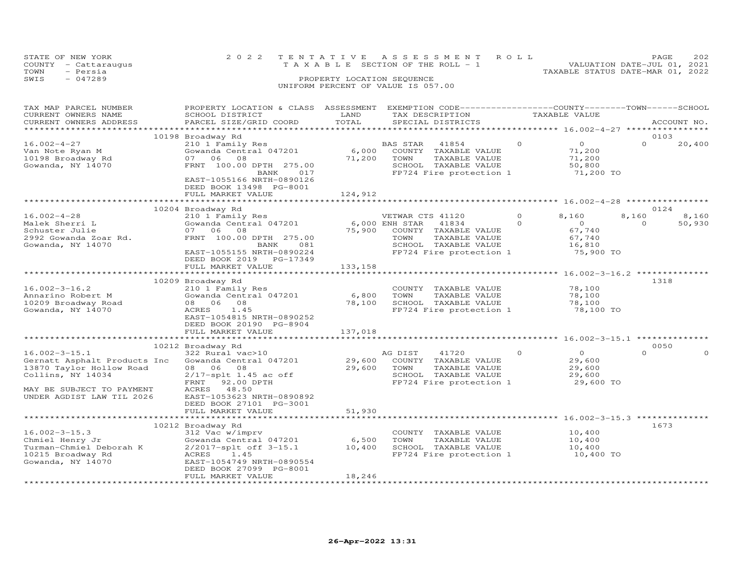| STATE OF NEW YORK |                      |                                    | 2022 TENTATIVE ASSESSMENT ROLL        |                                  | PAGE                        | 202 |
|-------------------|----------------------|------------------------------------|---------------------------------------|----------------------------------|-----------------------------|-----|
|                   | COUNTY - Cattaraugus |                                    | T A X A B L E SECTION OF THE ROLL - 1 |                                  | VALUATION DATE-JUL 01, 2021 |     |
| TOWN              | - Persia             |                                    |                                       | TAXABLE STATUS DATE-MAR 01, 2022 |                             |     |
| SWIS              | - 047289             | PROPERTY LOCATION SEQUENCE         |                                       |                                  |                             |     |
|                   |                      | UNIFORM PERCENT OF VALUE IS 057.00 |                                       |                                  |                             |     |
|                   |                      |                                    |                                       |                                  |                             |     |

| TAX MAP PARCEL NUMBER<br>CURRENT OWNERS NAME<br>CURRENT OWNERS ADDRESS                                                                                         | PROPERTY LOCATION & CLASS ASSESSMENT<br>SCHOOL DISTRICT<br>PARCEL SIZE/GRID COORD                                                                                                                                         | LAND<br>TOTAL              | EXEMPTION CODE-----------------COUNTY-------TOWN-----SCHOOL<br>TAX DESCRIPTION<br>SPECIAL DISTRICTS                                             |                     | TAXABLE VALUE                                               |                           | ACCOUNT NO.     |
|----------------------------------------------------------------------------------------------------------------------------------------------------------------|---------------------------------------------------------------------------------------------------------------------------------------------------------------------------------------------------------------------------|----------------------------|-------------------------------------------------------------------------------------------------------------------------------------------------|---------------------|-------------------------------------------------------------|---------------------------|-----------------|
| ********************                                                                                                                                           |                                                                                                                                                                                                                           |                            |                                                                                                                                                 |                     |                                                             |                           |                 |
| $16.002 - 4 - 27$<br>Van Note Ryan M<br>10198 Broadway Rd<br>Gowanda, NY 14070                                                                                 | 10198 Broadway Rd<br>210 1 Family Res<br>Gowanda Central 047201<br>07<br>06<br>08<br>FRNT 100.00 DPTH 275.00<br>BANK<br>017<br>EAST-1055166 NRTH-0890126<br>DEED BOOK 13498 PG-8001<br>FULL MARKET VALUE                  | 6,000<br>71,200<br>124,912 | BAS STAR<br>41854<br>COUNTY TAXABLE VALUE<br>TOWN<br>TAXABLE VALUE<br>SCHOOL TAXABLE VALUE<br>FP724 Fire protection 1                           | $\circ$             | $\circ$<br>71,200<br>71,200<br>50,800<br>71,200 TO          | 0103<br>$\Omega$          | 20,400          |
|                                                                                                                                                                |                                                                                                                                                                                                                           |                            |                                                                                                                                                 |                     |                                                             |                           |                 |
| $16.002 - 4 - 28$<br>Malek Sherri L<br>Schuster Julie<br>2992 Gowanda Zoar Rd.<br>Gowanda, NY 14070                                                            | 10204 Broadway Rd<br>210 1 Family Res<br>Gowanda Central 047201<br>07 06 08<br>FRNT 100.00 DPTH 275.00<br>BANK<br>081<br>EAST-1055155 NRTH-0890224<br>DEED BOOK 2019 PG-17349                                             | 75,900                     | VETWAR CTS 41120<br>6,000 ENH STAR<br>41834<br>COUNTY TAXABLE VALUE<br>TOWN<br>TAXABLE VALUE<br>SCHOOL TAXABLE VALUE<br>FP724 Fire protection 1 | $\circ$<br>$\Omega$ | 8,160<br>$\circ$<br>67,740<br>67,740<br>16,810<br>75,900 TO | 0124<br>8,160<br>$\Omega$ | 8,160<br>50,930 |
|                                                                                                                                                                | FULL MARKET VALUE                                                                                                                                                                                                         | 133,158                    |                                                                                                                                                 |                     |                                                             |                           |                 |
|                                                                                                                                                                | 10209 Broadway Rd                                                                                                                                                                                                         |                            |                                                                                                                                                 |                     |                                                             | 1318                      |                 |
| $16.002 - 3 - 16.2$<br>Annarino Robert M<br>10209 Broadway Road<br>Gowanda, NY 14070                                                                           | 210 1 Family Res<br>Gowanda Central 047201<br>08 06 08<br>1.45<br>ACRES<br>EAST-1054815 NRTH-0890252<br>DEED BOOK 20190 PG-8904<br>FULL MARKET VALUE                                                                      | 6,800<br>78,100<br>137,018 | COUNTY TAXABLE VALUE<br>TOWN<br>TAXABLE VALUE<br>SCHOOL TAXABLE VALUE<br>FP724 Fire protection 1                                                |                     | 78,100<br>78,100<br>78,100<br>78,100 TO                     |                           |                 |
|                                                                                                                                                                |                                                                                                                                                                                                                           |                            | ***************************** 16.002-3-15.1 **                                                                                                  |                     |                                                             |                           |                 |
| $16.002 - 3 - 15.1$<br>Gernatt Asphalt Products Inc<br>13870 Taylor Hollow Road<br>Collins, NY 14034<br>MAY BE SUBJECT TO PAYMENT<br>UNDER AGDIST LAW TIL 2026 | 10212 Broadway Rd<br>322 Rural vac>10<br>Gowanda Central 047201<br>08 06 08<br>$2/17$ -splt 1.45 ac off<br>FRNT<br>92.00 DPTH<br>ACRES 48.50<br>EAST-1053623 NRTH-0890892<br>DEED BOOK 27101 PG-3001<br>FULL MARKET VALUE | 29,600<br>29,600<br>51,930 | AG DIST<br>41720<br>COUNTY<br>TAXABLE VALUE<br>TOWN<br>TAXABLE VALUE<br>SCHOOL TAXABLE VALUE<br>FP724 Fire protection 1                         | $\Omega$            | $\Omega$<br>29,600<br>29,600<br>29,600<br>29,600 TO         | 0050<br>$\Omega$          |                 |
|                                                                                                                                                                |                                                                                                                                                                                                                           |                            |                                                                                                                                                 |                     | *** 16.002-3-15.3 **                                        |                           |                 |
| $16.002 - 3 - 15.3$<br>Chmiel Henry Jr<br>Turman-Chmiel Deborah K<br>10215 Broadway Rd<br>Gowanda, NY 14070                                                    | 10212 Broadway Rd<br>312 Vac w/imprv<br>Gowanda Central 047201<br>2/2017-splt off 3-15.1<br>1.45<br>ACRES<br>EAST-1054749 NRTH-0890554<br>DEED BOOK 27099 PG-8001<br>FULL MARKET VALUE                                    | 6,500<br>10,400<br>18,246  | COUNTY TAXABLE VALUE<br>TOWN<br>TAXABLE VALUE<br>SCHOOL TAXABLE VALUE<br>FP724 Fire protection 1                                                |                     | 10,400<br>10,400<br>10,400<br>10,400 TO                     | 1673                      |                 |
|                                                                                                                                                                |                                                                                                                                                                                                                           |                            |                                                                                                                                                 |                     |                                                             |                           |                 |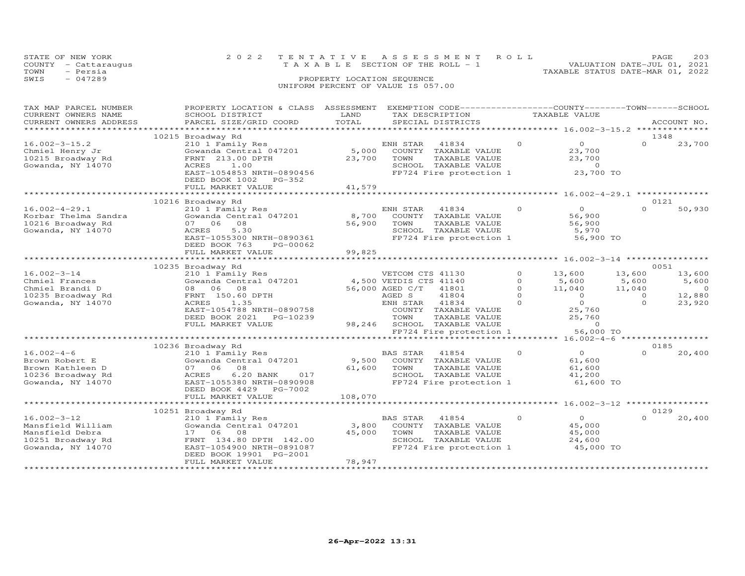| STATE OF NEW YORK<br>COUNTY - Cattaraugus<br>- Persia<br>TOWN<br>SWIS<br>$-047289$ | 2022 TENTATIVE ASSESSMENT ROLL<br>T A X A B L E SECTION OF THE ROLL - 1<br>PROPERTY LOCATION SEQUENCE | PAGE.<br>VALUATION DATE-JUL 01, 2021<br>TAXABLE STATUS DATE-MAR 01, 2022 | 203 |
|------------------------------------------------------------------------------------|-------------------------------------------------------------------------------------------------------|--------------------------------------------------------------------------|-----|
|                                                                                    | UNIFORM PERCENT OF VALUE IS 057.00                                                                    |                                                                          |     |

| TAX MAP PARCEL NUMBER<br>CURRENT OWNERS NAME<br>CURRENT OWNERS ADDRESS                              | PROPERTY LOCATION & CLASS ASSESSMENT<br>SCHOOL DISTRICT<br>PARCEL SIZE/GRID COORD                                                                                                                       | LAND<br>TOTAL              | EXEMPTION CODE-----------------COUNTY-------TOWN------SCHOOL<br>TAX DESCRIPTION<br>SPECIAL DISTRICTS                                                                                                                      |                                                         | TAXABLE VALUE                                                                                             |                                                           | ACCOUNT NO.                                           |
|-----------------------------------------------------------------------------------------------------|---------------------------------------------------------------------------------------------------------------------------------------------------------------------------------------------------------|----------------------------|---------------------------------------------------------------------------------------------------------------------------------------------------------------------------------------------------------------------------|---------------------------------------------------------|-----------------------------------------------------------------------------------------------------------|-----------------------------------------------------------|-------------------------------------------------------|
|                                                                                                     |                                                                                                                                                                                                         |                            |                                                                                                                                                                                                                           |                                                         |                                                                                                           |                                                           |                                                       |
| $16.002 - 3 - 15.2$<br>Chmiel Henry Jr<br>10215 Broadway Rd<br>Gowanda, NY 14070                    | 10215 Broadway Rd<br>210 1 Family Res<br>Gowanda Central 047201<br>FRNT 213.00 DPTH<br>1.00<br>ACRES<br>EAST-1054853 NRTH-0890456<br>DEED BOOK 1002 PG-352                                              | 5,000<br>23,700            | ENH STAR<br>41834<br>COUNTY TAXABLE VALUE<br>TAXABLE VALUE<br>TOWN<br>SCHOOL TAXABLE VALUE<br>FP724 Fire protection 1                                                                                                     | $\Omega$                                                | $\overline{O}$<br>23,700<br>23,700<br>$\circ$<br>23,700 TO                                                | 1348<br>$\Omega$                                          | 23,700                                                |
|                                                                                                     | FULL MARKET VALUE                                                                                                                                                                                       | 41,579                     |                                                                                                                                                                                                                           |                                                         |                                                                                                           |                                                           |                                                       |
| $16.002 - 4 - 29.1$<br>Korbar Thelma Sandra<br>10216 Broadway Rd<br>Gowanda, NY 14070               | 10216 Broadway Rd<br>210 1 Family Res<br>Gowanda Central 047201<br>07 06 08<br>5.30<br>ACRES<br>EAST-1055300 NRTH-0890361<br>DEED BOOK 763<br>PG-00062<br>FULL MARKET VALUE                             | 8,700<br>56,900<br>99,825  | ENH STAR 41834<br>COUNTY TAXABLE VALUE<br>TOWN<br>TAXABLE VALUE<br>SCHOOL TAXABLE VALUE<br>FP724 Fire protection 1                                                                                                        | $\Omega$                                                | $\Omega$<br>56,900<br>56,900<br>5,970<br>56,900 TO                                                        | 0121<br>$\Omega$                                          | 50,930                                                |
|                                                                                                     |                                                                                                                                                                                                         |                            |                                                                                                                                                                                                                           |                                                         |                                                                                                           |                                                           |                                                       |
| $16.002 - 3 - 14$<br>Chmiel Frances<br>Chmiel Brandi D<br>10235 Broadway Rd<br>Gowanda, NY 14070    | 10235 Broadway Rd<br>210 1 Family Res<br>Gowanda Central 047201<br>08 06 08<br>FRNT 150.60 DPTH<br><b>ACRES</b><br>1.35<br>EAST-1054788 NRTH-0890758<br>DEED BOOK 2021<br>PG-10239<br>FULL MARKET VALUE |                            | VETCOM CTS 41130<br>4,500 VETDIS CTS 41140<br>56,000 AGED C/T<br>41801<br>AGED S<br>41804<br>41834<br>ENH STAR<br>COUNTY TAXABLE VALUE<br>TOWN<br>TAXABLE VALUE<br>98,246 SCHOOL TAXABLE VALUE<br>FP724 Fire protection 1 | $\circ$<br>$\Omega$<br>$\Omega$<br>$\Omega$<br>$\Omega$ | 13,600<br>5,600<br>11,040<br>$\overline{O}$<br>$\overline{0}$<br>25,760<br>25,760<br>$\circ$<br>56,000 TO | 0051<br>13,600<br>5,600<br>11,040<br>$\Omega$<br>$\Omega$ | 13,600<br>5,600<br>$\overline{0}$<br>12,880<br>23,920 |
|                                                                                                     | *******************************                                                                                                                                                                         |                            | ************************************** 16.002-4-6 ******************                                                                                                                                                      |                                                         |                                                                                                           |                                                           |                                                       |
| $16.002 - 4 - 6$<br>Brown Robert E<br>Brown Kathleen D<br>10236 Broadway Rd<br>Gowanda, NY 14070    | 10236 Broadway Rd<br>210 1 Family Res<br>Gowanda Central 047201<br>07 06 08<br>ACRES<br>6.20 BANK<br>017<br>EAST-1055380 NRTH-0890908<br>DEED BOOK 4429<br>PG-7002<br>FULL MARKET VALUE                 | 9,500<br>61,600<br>108,070 | <b>BAS STAR</b><br>41854<br>COUNTY TAXABLE VALUE<br>TAXABLE VALUE<br>TOWN<br>SCHOOL TAXABLE VALUE<br>FP724 Fire protection 1                                                                                              | $\Omega$                                                | $\Omega$<br>61,600<br>61,600<br>41,200<br>61,600 TO                                                       | 0185<br>$\Omega$                                          | 20,400                                                |
|                                                                                                     |                                                                                                                                                                                                         |                            |                                                                                                                                                                                                                           |                                                         |                                                                                                           |                                                           |                                                       |
| $16.002 - 3 - 12$<br>Mansfield William<br>Mansfield Debra<br>10251 Broadway Rd<br>Gowanda, NY 14070 | 10251 Broadway Rd<br>210 1 Family Res<br>Gowanda Central 047201<br>17 06<br>08<br>FRNT 134.80 DPTH 142.00<br>EAST-1054900 NRTH-0891087<br>DEED BOOK 19901 PG-2001<br>FULL MARKET VALUE                  | 3,800<br>45,000<br>78,947  | BAS STAR<br>41854<br>COUNTY TAXABLE VALUE<br>TOWN<br>TAXABLE VALUE<br>SCHOOL TAXABLE VALUE<br>FP724 Fire protection 1                                                                                                     | $\Omega$                                                | $\overline{O}$<br>45,000<br>45,000<br>24,600<br>45,000 TO                                                 | 0129<br>$\Omega$                                          | 20,400                                                |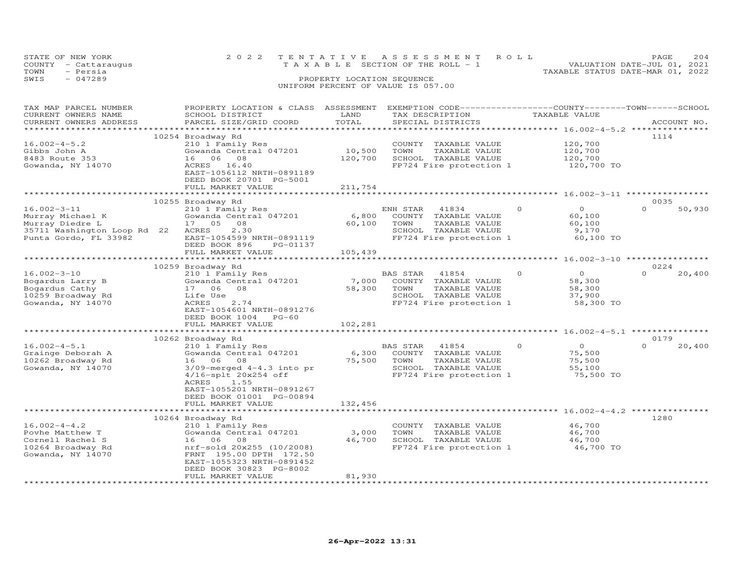| STATE OF NEW YORK<br>- Cattaraugus<br>COUNTY<br>- Persia<br>TOWN                                                                                                                                                                                       |                           |                            | 2022 TENTATIVE ASSESSMENT ROLL<br>T A X A B L E SECTION OF THE ROLL - 1 |               | PAGE<br>VALUATION DATE-JUL 01, 2021<br>TAXABLE STATUS DATE-MAR 01, 2022 | 204         |
|--------------------------------------------------------------------------------------------------------------------------------------------------------------------------------------------------------------------------------------------------------|---------------------------|----------------------------|-------------------------------------------------------------------------|---------------|-------------------------------------------------------------------------|-------------|
| $-047289$<br>SWIS                                                                                                                                                                                                                                      |                           | PROPERTY LOCATION SEQUENCE |                                                                         |               |                                                                         |             |
|                                                                                                                                                                                                                                                        |                           |                            | UNIFORM PERCENT OF VALUE IS 057.00                                      |               |                                                                         |             |
|                                                                                                                                                                                                                                                        |                           |                            |                                                                         |               |                                                                         |             |
|                                                                                                                                                                                                                                                        |                           |                            |                                                                         |               |                                                                         |             |
| CURRENT OWNERS NAME                                                                                                                                                                                                                                    | SCHOOL DISTRICT           | LAND                       | TAX DESCRIPTION                                                         | TAXABLE VALUE |                                                                         |             |
| CURRENT OWNERS ADDRESS                                                                                                                                                                                                                                 | PARCEL SIZE/GRID COORD    | TOTAL                      | SPECIAL DISTRICTS                                                       |               |                                                                         | ACCOUNT NO. |
| TAX MAP PARCEL NUMBER<br>a a backara a backara a backara a backara a backara a backara a backara a backara a backara a backara a backara a backara a backara a backara a backara a backara a backara a backara a backara a backara a backara a backara | PROPERTY LOCATION & CLASS | ASSESSMENT                 | EXEMPTION CODE-----------------COUNTY-------TOWN-----SCHOOL             |               |                                                                         |             |

|                             | 10254 Broadway Rd              |         |                                                     |                             | 1114               |
|-----------------------------|--------------------------------|---------|-----------------------------------------------------|-----------------------------|--------------------|
| $16.002 - 4 - 5.2$          | 210 1 Family Res               |         | COUNTY TAXABLE VALUE                                | 120,700                     |                    |
| Gibbs John A                | Gowanda Central 047201         | 10,500  | TOWN<br>TAXABLE VALUE                               | 120,700                     |                    |
| 8483 Route 353              | 06<br>08<br>16                 | 120,700 | SCHOOL TAXABLE VALUE                                | 120,700                     |                    |
| Gowanda, NY 14070           | ACRES<br>16.40                 |         | FP724 Fire protection 1                             | 120,700 TO                  |                    |
|                             | EAST-1056112 NRTH-0891189      |         |                                                     |                             |                    |
|                             | DEED BOOK 20701 PG-5001        |         |                                                     |                             |                    |
|                             | FULL MARKET VALUE              | 211,754 |                                                     |                             |                    |
|                             |                                |         | ******************************** 16.002-3-11 ****** |                             |                    |
|                             |                                |         |                                                     |                             | 0035               |
| $16.002 - 3 - 11$           | 10255 Broadway Rd              |         | $\Omega$                                            | $\circ$                     | $\Omega$<br>50,930 |
|                             | 210 1 Family Res               |         | ENH STAR<br>41834                                   |                             |                    |
| Murray Michael K            | Gowanda Central 047201         | 6,800   | COUNTY TAXABLE VALUE                                | 60,100                      |                    |
| Murray Diedre L             | 17 05<br>08                    | 60,100  | TOWN<br>TAXABLE VALUE                               | 60,100                      |                    |
| 35711 Washington Loop Rd 22 | 2.30<br>ACRES                  |         | SCHOOL TAXABLE VALUE                                | 9,170                       |                    |
| Punta Gordo, FL 33982       | EAST-1054599 NRTH-0891119      |         | FP724 Fire protection 1                             | 60,100 TO                   |                    |
|                             | DEED BOOK 896<br>PG-01137      |         |                                                     |                             |                    |
|                             | FULL MARKET VALUE              | 105,439 |                                                     |                             |                    |
|                             |                                |         |                                                     |                             |                    |
|                             | 10259 Broadway Rd              |         |                                                     |                             | 0224               |
| $16.002 - 3 - 10$           | 210 1 Family Res               |         | <b>BAS STAR</b><br>41854<br>$\Omega$                | $\Omega$                    | $\Omega$<br>20,400 |
| Bogardus Larry B            | Gowanda Central 047201         | 7,000   | COUNTY TAXABLE VALUE                                | 58,300                      |                    |
| Bogardus Cathy              | 08<br>17 06                    | 58,300  | TOWN<br>TAXABLE VALUE                               | 58,300                      |                    |
| 10259 Broadway Rd           | Life Use                       |         | SCHOOL TAXABLE VALUE                                | 37,900                      |                    |
| Gowanda, NY 14070           | ACRES<br>2.74                  |         | FP724 Fire protection 1                             | 58,300 TO                   |                    |
|                             | EAST-1054601 NRTH-0891276      |         |                                                     |                             |                    |
|                             | DEED BOOK 1004<br>$PG-60$      |         |                                                     |                             |                    |
|                             | FULL MARKET VALUE              | 102,281 |                                                     |                             |                    |
|                             |                                |         |                                                     |                             |                    |
|                             | 10262 Broadway Rd              |         |                                                     |                             | 0179               |
| $16.002 - 4 - 5.1$          | 210 1 Family Res               |         | $\Omega$<br>BAS STAR<br>41854                       | $\circ$                     | $\Omega$<br>20,400 |
| Grainge Deborah A           | Gowanda Central 047201         | 6,300   | COUNTY TAXABLE VALUE                                | 75,500                      |                    |
| 10262 Broadway Rd           | 16<br>06 08                    | 75,500  | TOWN<br>TAXABLE VALUE                               | 75,500                      |                    |
| Gowanda, NY 14070           | $3/09$ -merged $4-4.3$ into pr |         | SCHOOL TAXABLE VALUE                                | 55,100                      |                    |
|                             | 4/16-splt 20x254 off           |         | FP724 Fire protection 1                             | 75,500 TO                   |                    |
|                             | ACRES<br>1.55                  |         |                                                     |                             |                    |
|                             | EAST-1055201 NRTH-0891267      |         |                                                     |                             |                    |
|                             | DEED BOOK 01001 PG-00894       |         |                                                     |                             |                    |
|                             | FULL MARKET VALUE              | 132,456 |                                                     |                             |                    |
|                             |                                |         |                                                     | **** 16.002-4-4.2 ********* |                    |
|                             | 10264 Broadway Rd              |         |                                                     |                             | 1280               |
| $16.002 - 4 - 4.2$          | 210 1 Family Res               |         | COUNTY TAXABLE VALUE                                | 46,700                      |                    |
| Povhe Matthew T             | Gowanda Central 047201         | 3,000   | TOWN<br>TAXABLE VALUE                               | 46,700                      |                    |
| Cornell Rachel S            | 16 06<br>08                    | 46,700  | SCHOOL TAXABLE VALUE                                | 46,700                      |                    |
|                             | nrf-sold 20x255 (10/2008)      |         |                                                     | 46,700 TO                   |                    |
| 10264 Broadway Rd           |                                |         | FP724 Fire protection 1                             |                             |                    |
| Gowanda, NY 14070           | FRNT 195.00 DPTH 172.50        |         |                                                     |                             |                    |
|                             | EAST-1055323 NRTH-0891452      |         |                                                     |                             |                    |
|                             | DEED BOOK 30823 PG-8002        |         |                                                     |                             |                    |
|                             | FULL MARKET VALUE              | 81,930  |                                                     |                             |                    |
|                             |                                |         |                                                     |                             |                    |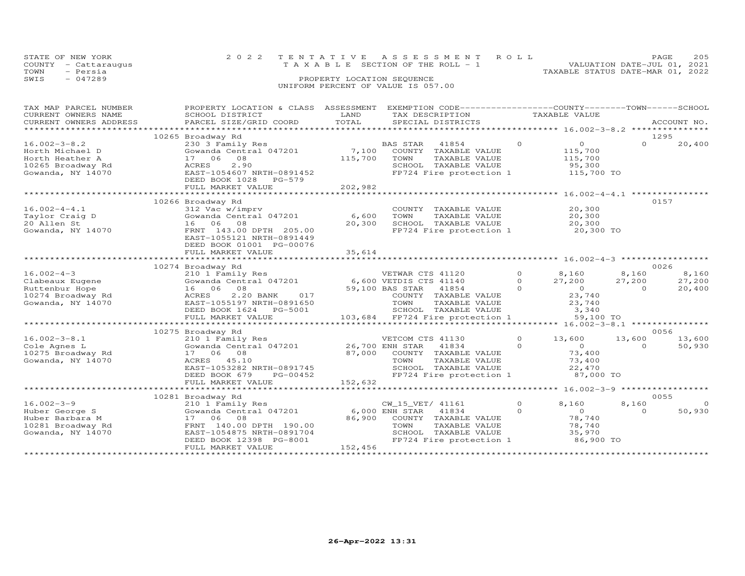|      | STATE OF NEW YORK    | 2022 TENTATIVE ASSESSMENT ROLL     |                            |  |                                  | PAGE.                       | 205 |
|------|----------------------|------------------------------------|----------------------------|--|----------------------------------|-----------------------------|-----|
|      | COUNTY - Cattaraugus | TAXABLE SECTION OF THE ROLL - 1    |                            |  |                                  | VALUATION DATE-JUL 01, 2021 |     |
| TOWN | - Persia             |                                    |                            |  | TAXABLE STATUS DATE-MAR 01, 2022 |                             |     |
| SWIS | $-047289$            |                                    | PROPERTY LOCATION SEQUENCE |  |                                  |                             |     |
|      |                      | UNIFORM PERCENT OF VALUE IS 057.00 |                            |  |                                  |                             |     |

| TAX MAP PARCEL NUMBER<br>CURRENT OWNERS NAME<br>CURRENT OWNERS ADDRESS<br>***********************  | PROPERTY LOCATION & CLASS ASSESSMENT<br>SCHOOL DISTRICT<br>PARCEL SIZE/GRID COORD                                                                                                                      | LAND<br>TOTAL               | EXEMPTION CODE-----------------COUNTY-------TOWN------SCHOOL<br>TAX DESCRIPTION<br>SPECIAL DISTRICTS                                                |                                 | TAXABLE VALUE                                                                    |                             | ACCOUNT NO.                |
|----------------------------------------------------------------------------------------------------|--------------------------------------------------------------------------------------------------------------------------------------------------------------------------------------------------------|-----------------------------|-----------------------------------------------------------------------------------------------------------------------------------------------------|---------------------------------|----------------------------------------------------------------------------------|-----------------------------|----------------------------|
| $16.002 - 3 - 8.2$<br>Horth Michael D<br>Horth Heather A<br>10265 Broadway Rd<br>Gowanda, NY 14070 | 10265 Broadway Rd<br>230 3 Family Res<br>Gowanda Central 047201<br>08<br>17 06<br>2.90<br>ACRES<br>EAST-1054607 NRTH-0891452<br>DEED BOOK 1028<br>$PG-579$<br>FULL MARKET VALUE                        | 7,100<br>115,700<br>202,982 | BAS STAR<br>41854<br>COUNTY TAXABLE VALUE<br>TOWN<br>TAXABLE VALUE<br>SCHOOL TAXABLE VALUE<br>FP724 Fire protection 1                               | $\circ$                         | $\overline{0}$<br>115,700<br>115,700<br>95,300<br>115,700 TO                     | $\Omega$                    | 1295<br>20,400             |
| $16.002 - 4 - 4.1$<br>Taylor Craig D<br>20 Allen St<br>Gowanda, NY 14070                           | 10266 Broadway Rd<br>312 Vac w/imprv<br>Gowanda Central 047201<br>16 06 08<br>FRNT 143.00 DPTH 205.00<br>EAST-1055121 NRTH-0891449<br>DEED BOOK 01001 PG-00076<br>FULL MARKET VALUE<br>*************** | 6,600<br>20,300<br>35,614   | COUNTY<br>TAXABLE VALUE<br>TAXABLE VALUE<br>TOWN<br>SCHOOL TAXABLE VALUE<br>FP724 Fire protection 1                                                 |                                 | ******************* 16.002-4-4.1 ****<br>20,300<br>20,300<br>20,300<br>20,300 TO |                             | 0157                       |
|                                                                                                    |                                                                                                                                                                                                        |                             |                                                                                                                                                     |                                 |                                                                                  |                             | 0026                       |
| $16.002 - 4 - 3$<br>Clabeaux Eugene<br>Ruttenbur Hope<br>10274 Broadway Rd<br>Gowanda, NY 14070    | 10274 Broadway Rd<br>210 1 Family Res<br>Gowanda Central 047201<br>16 06<br>08<br>ACRES<br>2.20 BANK<br>017<br>EAST-1055197 NRTH-0891650<br>DEED BOOK 1624 PG-5001                                     |                             | VETWAR CTS 41120<br>6,600 VETDIS CTS 41140<br>59,100 BAS STAR<br>41854<br>COUNTY TAXABLE VALUE<br>TOWN<br>TAXABLE VALUE<br>SCHOOL TAXABLE VALUE     | $\circ$<br>$\Omega$<br>$\Omega$ | 8,160<br>27,200<br>$\overline{0}$<br>23,740<br>23,740<br>3,340                   | 8,160<br>27,200<br>$\Omega$ | 8,160<br>27,200<br>20,400  |
|                                                                                                    | FULL MARKET VALUE                                                                                                                                                                                      |                             | 103,684 FP724 Fire protection 1                                                                                                                     |                                 | 59,100 TO                                                                        |                             |                            |
|                                                                                                    |                                                                                                                                                                                                        |                             |                                                                                                                                                     |                                 | **** $16.002 - 3 - 8.1$ ***************                                          |                             |                            |
| $16.002 - 3 - 8.1$<br>Cole Agnes L<br>10275 Broadway Rd<br>Gowanda, NY 14070                       | 10275 Broadway Rd<br>210 1 Family Res<br>Gowanda Central 047201<br>17 06 08<br>ACRES<br>45.10<br>EAST-1053282 NRTH-0891745<br>DEED BOOK 679<br>PG-00452                                                | 87,000                      | VETCOM CTS 41130<br>26,700 ENH STAR<br>41834<br>COUNTY<br>TAXABLE VALUE<br>TOWN<br>TAXABLE VALUE<br>SCHOOL TAXABLE VALUE<br>FP724 Fire protection 1 | $\Omega$<br>$\Omega$            | 13,600<br>$\Omega$<br>73,400<br>73,400<br>22,470<br>87,000 TO                    | 13,600<br>$\Omega$          | 0056<br>13,600<br>50,930   |
|                                                                                                    | FULL MARKET VALUE                                                                                                                                                                                      | 152,632                     |                                                                                                                                                     |                                 |                                                                                  |                             |                            |
|                                                                                                    |                                                                                                                                                                                                        |                             |                                                                                                                                                     |                                 | ************ 16.002-3-9 ******************                                       |                             |                            |
| $16.002 - 3 - 9$<br>Huber George S<br>Huber Barbara M<br>10281 Broadway Rd<br>Gowanda, NY 14070    | 10281 Broadway Rd<br>210 1 Family Res<br>Gowanda Central 047201<br>06<br>08<br>17<br>FRNT 140.00 DPTH 190.00<br>EAST-1054875 NRTH-0891704<br>DEED BOOK 12398 PG-8001<br>FULL MARKET VALUE              | 86,900<br>152,456           | CW_15_VET/ 41161<br>6,000 ENH STAR<br>41834<br>COUNTY TAXABLE VALUE<br>TOWN<br>TAXABLE VALUE<br>SCHOOL TAXABLE VALUE<br>FP724 Fire protection 1     | $\circ$<br>$\Omega$             | 8,160<br>$\overline{O}$<br>78,740<br>78,740<br>35,970<br>86,900 TO               | 8,160<br>$\Omega$           | 0055<br>$\Omega$<br>50,930 |
|                                                                                                    |                                                                                                                                                                                                        |                             |                                                                                                                                                     |                                 |                                                                                  |                             |                            |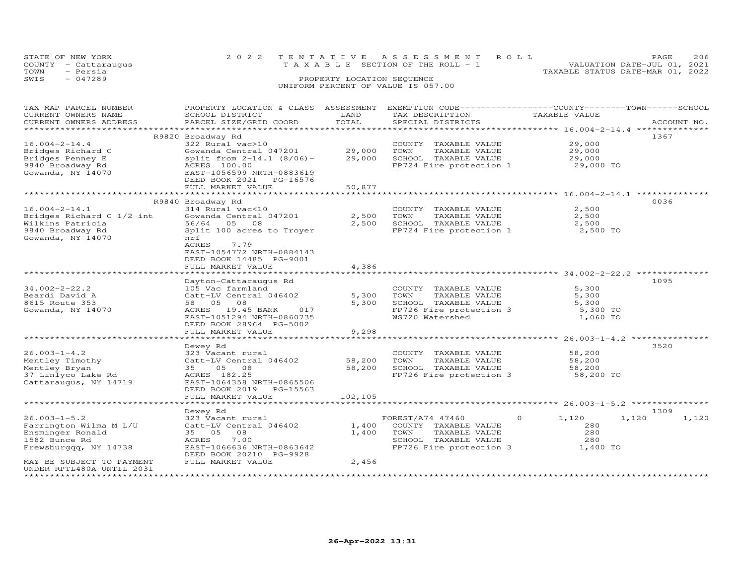|      | STATE OF NEW YORK<br>COUNTY - Cattaraugus | 2022 TENTATIVE ASSESSMENT ROLL<br>VALUATION DATE-JUL 01, 2021<br>T A X A B L E SECTION OF THE ROLL - 1 | PAGE. | 206 |
|------|-------------------------------------------|--------------------------------------------------------------------------------------------------------|-------|-----|
| TOWN | - Persia                                  | TAXABLE STATUS DATE-MAR 01, 2022                                                                       |       |     |
| SWIS | $-047289$                                 | PROPERTY LOCATION SEQUENCE<br>UNIFORM PERCENT OF VALUE IS 057.00                                       |       |     |

| TAX MAP PARCEL NUMBER<br>CURRENT OWNERS NAME<br>CURRENT OWNERS ADDRESS | PROPERTY LOCATION & CLASS ASSESSMENT<br>SCHOOL DISTRICT<br>PARCEL SIZE/GRID COORD | LAND<br>TOTAL | EXEMPTION CODE-----------------COUNTY-------TOWN-----SCHOOL<br>TAX DESCRIPTION<br>SPECIAL DISTRICTS | TAXABLE VALUE                                                   | ACCOUNT NO.    |
|------------------------------------------------------------------------|-----------------------------------------------------------------------------------|---------------|-----------------------------------------------------------------------------------------------------|-----------------------------------------------------------------|----------------|
| ***********************                                                |                                                                                   |               |                                                                                                     |                                                                 |                |
|                                                                        | R9820 Broadway Rd                                                                 |               |                                                                                                     |                                                                 | 1367           |
| $16.004 - 2 - 14.4$                                                    | 322 Rural vac>10                                                                  |               | COUNTY TAXABLE VALUE                                                                                | 29,000                                                          |                |
| Bridges Richard C                                                      | Gowanda Central 047201                                                            | 29,000        | TOWN<br>TAXABLE VALUE                                                                               | 29,000                                                          |                |
| Bridges Penney E                                                       | split from $2-14.1$ (8/06) -                                                      | 29,000        | SCHOOL TAXABLE VALUE                                                                                | 29,000                                                          |                |
| 9840 Broadway Rd                                                       | ACRES 100.00                                                                      |               | FP724 Fire protection 1                                                                             | 29,000 TO                                                       |                |
| Gowanda, NY 14070                                                      | EAST-1056599 NRTH-0883619                                                         |               |                                                                                                     |                                                                 |                |
|                                                                        | DEED BOOK 2021<br>PG-16576                                                        |               |                                                                                                     |                                                                 |                |
|                                                                        | FULL MARKET VALUE                                                                 | 50,877        |                                                                                                     |                                                                 |                |
|                                                                        |                                                                                   |               |                                                                                                     | ************************************** 16.004-2-14.1 ********** |                |
|                                                                        | R9840 Broadway Rd                                                                 |               |                                                                                                     |                                                                 | 0036           |
| $16.004 - 2 - 14.1$                                                    | 314 Rural vac<10                                                                  |               | COUNTY TAXABLE VALUE                                                                                | 2,500                                                           |                |
| Bridges Richard C 1/2 int                                              | Gowanda Central 047201                                                            | 2,500         | TOWN<br>TAXABLE VALUE                                                                               | 2,500                                                           |                |
| Wilkins Patricia                                                       | 56/64<br>05 08                                                                    | 2,500         | SCHOOL TAXABLE VALUE                                                                                | 2,500                                                           |                |
| 9840 Broadway Rd                                                       | Split 100 acres to Troyer                                                         |               | FP724 Fire protection 1                                                                             | 2,500 TO                                                        |                |
| Gowanda, NY 14070                                                      | nrf                                                                               |               |                                                                                                     |                                                                 |                |
|                                                                        | ACRES<br>7.79                                                                     |               |                                                                                                     |                                                                 |                |
|                                                                        | EAST-1054772 NRTH-0884143                                                         |               |                                                                                                     |                                                                 |                |
|                                                                        | DEED BOOK 14485 PG-9001                                                           |               |                                                                                                     |                                                                 |                |
|                                                                        | FULL MARKET VALUE                                                                 | 4,386         |                                                                                                     |                                                                 |                |
|                                                                        |                                                                                   |               |                                                                                                     |                                                                 |                |
|                                                                        | Dayton-Cattaraugus Rd                                                             |               |                                                                                                     |                                                                 | 1095           |
| $34.002 - 2 - 22.2$                                                    | 105 Vac farmland                                                                  |               | COUNTY TAXABLE VALUE                                                                                | 5,300                                                           |                |
| Beardi David A                                                         | Catt-LV Central 046402                                                            | 5,300         | TOWN<br>TAXABLE VALUE                                                                               | 5,300                                                           |                |
| 8615 Route 353                                                         | 58 05 08                                                                          | 5,300         | SCHOOL TAXABLE VALUE                                                                                | 5,300                                                           |                |
| Gowanda, NY 14070                                                      | 19.45 BANK<br>ACRES<br>017                                                        |               | FP726 Fire protection 3                                                                             | 5,300 TO                                                        |                |
|                                                                        | EAST-1051294 NRTH-0860735                                                         |               | WS720 Watershed                                                                                     | 1,060 TO                                                        |                |
|                                                                        | DEED BOOK 28964 PG-5002                                                           |               |                                                                                                     |                                                                 |                |
|                                                                        | FULL MARKET VALUE                                                                 | 9,298         |                                                                                                     |                                                                 |                |
|                                                                        |                                                                                   |               |                                                                                                     | *********** 26.003-1-4.2 *********                              |                |
|                                                                        | Dewey Rd                                                                          |               |                                                                                                     |                                                                 | 3520           |
| $26.003 - 1 - 4.2$                                                     | 323 Vacant rural                                                                  |               | COUNTY TAXABLE VALUE                                                                                | 58,200                                                          |                |
| Mentley Timothy                                                        | Catt-LV Central 046402                                                            | 58,200        | TOWN<br>TAXABLE VALUE                                                                               | 58,200                                                          |                |
| Mentley Bryan                                                          | 05<br>35<br>08                                                                    | 58,200        | SCHOOL TAXABLE VALUE                                                                                | 58,200                                                          |                |
| 37 Linlyco Lake Rd                                                     | ACRES 182.25                                                                      |               | FP726 Fire protection 3                                                                             | 58,200 TO                                                       |                |
| Cattaraugus, NY 14719                                                  | EAST-1064358 NRTH-0865506                                                         |               |                                                                                                     |                                                                 |                |
|                                                                        | DEED BOOK 2019<br>PG-15563                                                        |               |                                                                                                     |                                                                 |                |
|                                                                        | FULL MARKET VALUE                                                                 | 102,105       |                                                                                                     |                                                                 |                |
|                                                                        |                                                                                   |               |                                                                                                     | ************************************* 26.003-1-5.2 ******       |                |
|                                                                        | Dewey Rd                                                                          |               |                                                                                                     |                                                                 | 1309           |
| $26.003 - 1 - 5.2$                                                     | 323 Vacant rural                                                                  |               | FOREST/A74 47460                                                                                    | $\circ$<br>1,120                                                | 1,120<br>1,120 |
| Farrington Wilma M L/U                                                 | Catt-LV Central 046402                                                            | 1,400         | COUNTY TAXABLE VALUE                                                                                | 280                                                             |                |
| Ensminger Ronald                                                       | 08<br>35 05                                                                       | 1,400         | TAXABLE VALUE<br>TOWN                                                                               | 280                                                             |                |
| 1582 Bunce Rd                                                          | 7.00<br>ACRES                                                                     |               | SCHOOL TAXABLE VALUE                                                                                | 280                                                             |                |
| Frewsburggg, NY 14738                                                  | EAST-1066636 NRTH-0863642                                                         |               | FP726 Fire protection 3                                                                             | 1,400 TO                                                        |                |
|                                                                        | DEED BOOK 20210 PG-9928                                                           |               |                                                                                                     |                                                                 |                |
| MAY BE SUBJECT TO PAYMENT                                              | FULL MARKET VALUE                                                                 | 2,456         |                                                                                                     |                                                                 |                |
| UNDER RPTL480A UNTIL 2031                                              |                                                                                   |               |                                                                                                     |                                                                 |                |
| *********************                                                  |                                                                                   |               |                                                                                                     |                                                                 |                |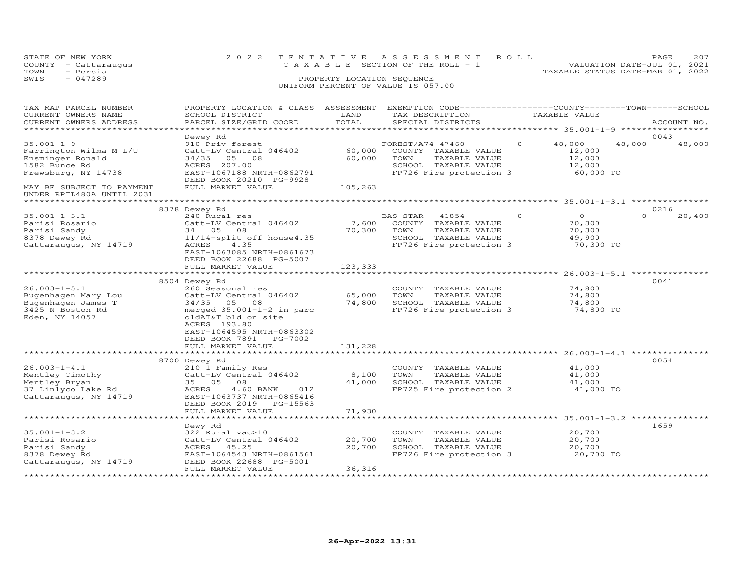|      | STATE OF NEW YORK    | 2022 TENTATIVE ASSESSMENT ROLL                 | PAGE                        | 207 |
|------|----------------------|------------------------------------------------|-----------------------------|-----|
|      | COUNTY - Cattaraugus | $T A X A B I E E S E C T T ON OF THE ROLL - 1$ | VALUATION DATE-JUL 01, 2021 |     |
| TOWN | - Persia             | TAXABLE STATUS DATE-MAR 01, 2022               |                             |     |
| SWIS | $-047289$            | PROPERTY LOCATION SEQUENCE                     |                             |     |
|      |                      | UNIFORM PERCENT OF VALUE IS 057.00             |                             |     |

| TAX MAP PARCEL NUMBER                                  | PROPERTY LOCATION & CLASS ASSESSMENT                 |                             | EXEMPTION CODE-----------------COUNTY-------TOWN------SCHOOL     |          |               |                                                   |
|--------------------------------------------------------|------------------------------------------------------|-----------------------------|------------------------------------------------------------------|----------|---------------|---------------------------------------------------|
| CURRENT OWNERS NAME                                    | SCHOOL DISTRICT                                      | LAND                        | TAX DESCRIPTION                                                  |          | TAXABLE VALUE |                                                   |
| CURRENT OWNERS ADDRESS                                 | PARCEL SIZE/GRID COORD                               | TOTAL                       | SPECIAL DISTRICTS                                                |          |               | ACCOUNT NO.                                       |
| ********************                                   |                                                      |                             |                                                                  |          |               |                                                   |
|                                                        | Dewey Rd                                             |                             |                                                                  |          |               | 0043                                              |
|                                                        |                                                      |                             |                                                                  |          |               |                                                   |
| $35.001 - 1 - 9$                                       | 910 Priv forest                                      |                             | FOREST/A74 47460                                                 | $\Omega$ | 48,000        | 48,000<br>48,000                                  |
| Farrington Wilma M L/U                                 | Catt-LV Central 046402                               | 60,000                      | COUNTY TAXABLE VALUE                                             |          | 12,000        |                                                   |
| Ensminger Ronald                                       | 34/35<br>05<br>08                                    | 60,000                      | TOWN<br>TAXABLE VALUE                                            |          | 12,000        |                                                   |
| 1582 Bunce Rd                                          | ACRES 207.00                                         |                             | SCHOOL TAXABLE VALUE                                             |          | 12,000        |                                                   |
| Frewsburg, NY 14738                                    | EAST-1067188 NRTH-0862791<br>DEED BOOK 20210 PG-9928 |                             | FP726 Fire protection 3                                          |          | 60,000 TO     |                                                   |
| MAY BE SUBJECT TO PAYMENT<br>UNDER RPTL480A UNTIL 2031 | FULL MARKET VALUE                                    | 105,263                     |                                                                  |          |               |                                                   |
|                                                        |                                                      |                             |                                                                  |          |               |                                                   |
|                                                        | 8378 Dewey Rd                                        |                             |                                                                  |          |               | 0216                                              |
| $35.001 - 1 - 3.1$                                     | 240 Rural res                                        |                             | BAS STAR<br>41854                                                | $\Omega$ | $\Omega$      | 20,400<br>$\Omega$                                |
|                                                        |                                                      |                             |                                                                  |          |               |                                                   |
| Parisi Rosario                                         | Catt-LV Central 046402                               | 7,600                       | COUNTY TAXABLE VALUE                                             |          | 70,300        |                                                   |
| Parisi Sandy                                           | 34 05 08                                             | 70,300                      | TOWN<br>TAXABLE VALUE                                            |          | 70,300        |                                                   |
| 8378 Dewey Rd                                          | 11/14-split off house4.35                            |                             | SCHOOL TAXABLE VALUE                                             |          | 49,900        |                                                   |
| Cattaraugus, NY 14719                                  | 4.35<br>ACRES                                        |                             | FP726 Fire protection 3                                          |          | 70,300 TO     |                                                   |
|                                                        | EAST-1063085 NRTH-0861673                            |                             |                                                                  |          |               |                                                   |
|                                                        | DEED BOOK 22688 PG-5007                              |                             |                                                                  |          |               |                                                   |
|                                                        | FULL MARKET VALUE                                    | 123,333                     |                                                                  |          |               |                                                   |
|                                                        | ***************************                          | * * * * * * * * * * * * * * |                                                                  |          |               | ******************** 26.003-1-5.1 *************** |
|                                                        | 8504 Dewey Rd                                        |                             |                                                                  |          |               | 0041                                              |
| $26.003 - 1 - 5.1$                                     | 260 Seasonal res                                     |                             | COUNTY TAXABLE VALUE                                             |          | 74,800        |                                                   |
| Bugenhagen Mary Lou                                    | Catt-LV Central 046402                               | 65,000                      | TOWN<br>TAXABLE VALUE                                            |          | 74,800        |                                                   |
| Bugenhagen James T                                     | 34/35 05 08                                          | 74,800                      | SCHOOL TAXABLE VALUE                                             |          | 74,800        |                                                   |
| 3425 N Boston Rd                                       | merged $35.001-1-2$ in parc                          |                             | FP726 Fire protection 3                                          |          | 74,800 TO     |                                                   |
|                                                        |                                                      |                             |                                                                  |          |               |                                                   |
| Eden, NY 14057                                         | oldAT&T bld on site                                  |                             |                                                                  |          |               |                                                   |
|                                                        | ACRES 193.80                                         |                             |                                                                  |          |               |                                                   |
|                                                        | EAST-1064595 NRTH-0863302                            |                             |                                                                  |          |               |                                                   |
|                                                        | DEED BOOK 7891 PG-7002                               |                             |                                                                  |          |               |                                                   |
|                                                        | FULL MARKET VALUE                                    | 131,228                     |                                                                  |          |               |                                                   |
|                                                        |                                                      |                             | ************************************ 26.003-1-4.1 ************** |          |               |                                                   |
|                                                        | 8700 Dewey Rd                                        |                             |                                                                  |          |               | 0054                                              |
| $26.003 - 1 - 4.1$                                     | 210 1 Family Res                                     |                             | COUNTY TAXABLE VALUE                                             |          | 41,000        |                                                   |
| Mentley Timothy                                        | Catt-LV Central 046402                               | 8,100                       | TOWN<br>TAXABLE VALUE                                            |          | 41,000        |                                                   |
| Mentley Bryan                                          | 35 05<br>08                                          | 41,000                      | SCHOOL TAXABLE VALUE                                             |          | 41,000        |                                                   |
| 37 Linlyco Lake Rd                                     | ACRES<br>012<br>4.60 BANK                            |                             | FP725 Fire protection 2                                          |          | 41,000 TO     |                                                   |
| Cattaraugus, NY 14719                                  | EAST-1063737 NRTH-0865416                            |                             |                                                                  |          |               |                                                   |
|                                                        | DEED BOOK 2019 PG-15563                              |                             |                                                                  |          |               |                                                   |
|                                                        |                                                      |                             |                                                                  |          |               |                                                   |
|                                                        | FULL MARKET VALUE                                    | 71,930                      |                                                                  |          |               |                                                   |
|                                                        | **********************                               |                             |                                                                  |          |               |                                                   |
|                                                        | Dewy Rd                                              |                             |                                                                  |          |               | 1659                                              |
| $35.001 - 1 - 3.2$                                     | 322 Rural vac>10                                     |                             | COUNTY TAXABLE VALUE                                             |          | 20,700        |                                                   |
| Parisi Rosario                                         | Catt-LV Central 046402                               | 20,700                      | TOWN<br>TAXABLE VALUE                                            |          | 20,700        |                                                   |
| Parisi Sandy                                           | ACRES 45.25                                          | 20,700                      | SCHOOL TAXABLE VALUE                                             |          | 20,700        |                                                   |
| 8378 Dewey Rd                                          | EAST-1064543 NRTH-0861561                            |                             | FP726 Fire protection 3                                          |          | 20,700 TO     |                                                   |
| Cattaraugus, NY 14719                                  | DEED BOOK 22688 PG-5001                              |                             |                                                                  |          |               |                                                   |
|                                                        | FULL MARKET VALUE                                    | 36,316                      |                                                                  |          |               |                                                   |
|                                                        | ***********************                              |                             |                                                                  |          |               |                                                   |
|                                                        |                                                      |                             |                                                                  |          |               |                                                   |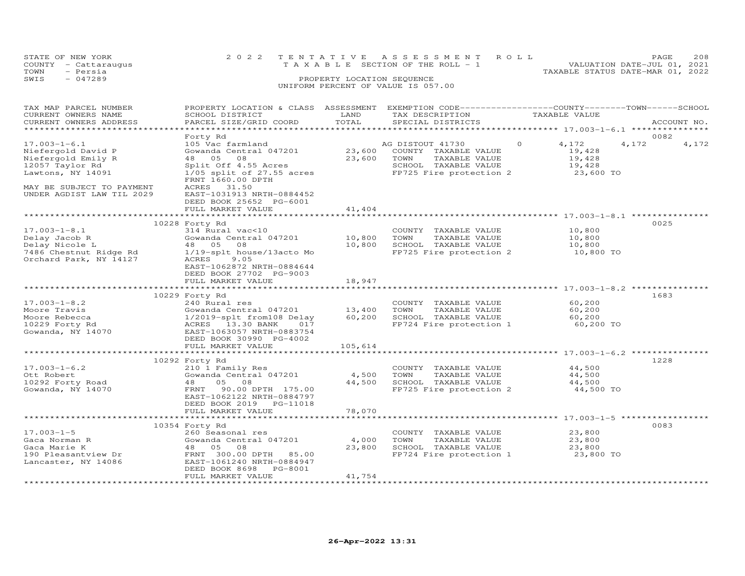|      | STATE OF NEW YORK    | 2022 TENTATIVE ASSESSMENT ROLL                                                | PAGE. | 208 |
|------|----------------------|-------------------------------------------------------------------------------|-------|-----|
|      | COUNTY - Cattaraugus | VALUATION DATE-JUL 01, 2021<br>$T A X A B I F S E C T I ON OF THE RO I J - 1$ |       |     |
| TOWN | - Persia             | TAXABLE STATUS DATE-MAR 01, 2022                                              |       |     |
| SWIS | - 047289             | PROPERTY LOCATION SEQUENCE                                                    |       |     |
|      |                      | UNIFORM PERCENT OF VALUE IS 057.00                                            |       |     |

| TAX MAP PARCEL NUMBER               | PROPERTY LOCATION & CLASS ASSESSMENT EXEMPTION CODE-----------------COUNTY-------TOWN------SCHOOL |             |                         |                   |       |             |
|-------------------------------------|---------------------------------------------------------------------------------------------------|-------------|-------------------------|-------------------|-------|-------------|
| CURRENT OWNERS NAME                 | SCHOOL DISTRICT                                                                                   | LAND        | TAX DESCRIPTION         | TAXABLE VALUE     |       |             |
| CURRENT OWNERS ADDRESS              | PARCEL SIZE/GRID COORD                                                                            | TOTAL       | SPECIAL DISTRICTS       |                   |       | ACCOUNT NO. |
|                                     |                                                                                                   |             |                         |                   |       |             |
|                                     | Forty Rd                                                                                          |             |                         |                   | 0082  |             |
| $17.003 - 1 - 6.1$                  | 105 Vac farmland                                                                                  |             | AG DISTOUT 41730        | $\Omega$<br>4,172 | 4,172 | 4,172       |
| Niefergold David P                  | Gowanda Central 047201                                                                            | 23,600      | COUNTY TAXABLE VALUE    | 19,428            |       |             |
| Niefergold Emily R                  | 48 05<br>08                                                                                       | 23,600 TOWN | TAXABLE VALUE           | 19,428            |       |             |
| 12057 Taylor Rd                     | Split Off 4.55 Acres                                                                              |             | SCHOOL TAXABLE VALUE    | 19,428            |       |             |
| Lawtons, NY 14091                   | Split Off 4.55 Acres<br>1/05 split of 27.55 acres                                                 |             | FP725 Fire protection 2 | 23,600 TO         |       |             |
|                                     | FRNT 1660.00 DPTH                                                                                 |             |                         |                   |       |             |
| MAY BE SUBJECT TO PAYMENT           | ACRES 31.50                                                                                       |             |                         |                   |       |             |
| UNDER AGDIST LAW TIL 2029           | EAST-1031913 NRTH-0884452                                                                         |             |                         |                   |       |             |
|                                     | DEED BOOK 25652 PG-6001                                                                           |             |                         |                   |       |             |
|                                     | FULL MARKET VALUE                                                                                 | 41,404      |                         |                   |       |             |
|                                     |                                                                                                   |             |                         |                   |       |             |
|                                     | 10228 Forty Rd                                                                                    |             |                         |                   | 0025  |             |
| $17.003 - 1 - 8.1$                  | 314 Rural vac<10                                                                                  |             | COUNTY TAXABLE VALUE    | 10,800            |       |             |
| Delay Jacob R                       | Gowanda Central 047201                                                                            | 10,800      | TOWN<br>TAXABLE VALUE   | 10,800            |       |             |
| Delay Nicole L                      | 48 05<br>08                                                                                       | 10,800      | SCHOOL TAXABLE VALUE    | 10,800            |       |             |
| 7486 Chestnut Ridge Rd              | 1/19-splt house/13acto Mo                                                                         |             | FP725 Fire protection 2 | 10,800 TO         |       |             |
| Orchard Park, NY 14127              | ACRES<br>9.05                                                                                     |             |                         |                   |       |             |
|                                     | EAST-1062872 NRTH-0884644                                                                         |             |                         |                   |       |             |
|                                     |                                                                                                   |             |                         |                   |       |             |
|                                     | DEED BOOK 27702 PG-9003                                                                           |             |                         |                   |       |             |
|                                     | FULL MARKET VALUE                                                                                 | 18,947      |                         |                   |       |             |
|                                     |                                                                                                   |             |                         |                   |       |             |
|                                     | 10229 Forty Rd                                                                                    |             |                         |                   | 1683  |             |
| $17.003 - 1 - 8.2$                  | 240 Rural res                                                                                     |             | COUNTY TAXABLE VALUE    | 60,200            |       |             |
| Moore Travis                        | Gowanda Central 047201 13,400                                                                     |             | TOWN<br>TAXABLE VALUE   | 60,200            |       |             |
| Moore Rebecca                       | 1/2019-splt from108 Delay<br>ACRES   13.30 BANK    017                                            | 60,200      | SCHOOL TAXABLE VALUE    | 60,200            |       |             |
|                                     | ACRES 13.30 BANK<br>017                                                                           |             | FP724 Fire protection 1 | 60,200 TO         |       |             |
| 10229 Forty Rd<br>Gowanda, NY 14070 | EAST-1063057 NRTH-0883754                                                                         |             |                         |                   |       |             |
|                                     | DEED BOOK 30990 PG-4002                                                                           |             |                         |                   |       |             |
|                                     | FULL MARKET VALUE                                                                                 | 105,614     |                         |                   |       |             |
|                                     |                                                                                                   |             |                         |                   |       |             |
|                                     | 10292 Forty Rd                                                                                    |             |                         |                   | 1228  |             |
| $17.003 - 1 - 6.2$                  | 210 1 Family Res                                                                                  |             | COUNTY TAXABLE VALUE    | 44,500            |       |             |
| Ott Robert                          | Gowanda Central 047201                                                                            | 4,500       | TOWN<br>TAXABLE VALUE   | 44,500            |       |             |
| 10292 Forty Road                    | 05<br>48<br>08                                                                                    | 44,500      | SCHOOL TAXABLE VALUE    | 44,500            |       |             |
| Gowanda, NY 14070                   | FRNT 90.00 DPTH 175.00                                                                            |             | FP725 Fire protection 2 | 44,500 TO         |       |             |
|                                     | EAST-1062122 NRTH-0884797                                                                         |             |                         |                   |       |             |
|                                     | DEED BOOK 2019    PG-11018                                                                        |             |                         |                   |       |             |
|                                     | FULL MARKET VALUE                                                                                 | 78,070      |                         |                   |       |             |
|                                     |                                                                                                   |             |                         |                   |       |             |
|                                     |                                                                                                   |             |                         |                   |       |             |
|                                     | 10354 Forty Rd                                                                                    |             |                         |                   | 0083  |             |
| $17.003 - 1 - 5$                    | 260 Seasonal res                                                                                  |             | COUNTY TAXABLE VALUE    | 23,800            |       |             |
| Gaca Norman R                       | Gowanda Central 047201                                                                            | 4,000       | TOWN<br>TAXABLE VALUE   | 23,800            |       |             |
| Gaca Marie K                        | 48 05<br>08                                                                                       | 23,800      | SCHOOL TAXABLE VALUE    | 23,800            |       |             |
| 190 Pleasantview Dr                 | FRNT 300.00 DPTH 85.00                                                                            |             | FP724 Fire protection 1 | 23,800 TO         |       |             |
| Lancaster, NY 14086                 | EAST-1061240 NRTH-0884947                                                                         |             |                         |                   |       |             |
|                                     | DEED BOOK 8698 PG-8001                                                                            |             |                         |                   |       |             |
|                                     | FULL MARKET VALUE                                                                                 | 41,754      |                         |                   |       |             |
|                                     |                                                                                                   |             |                         |                   |       |             |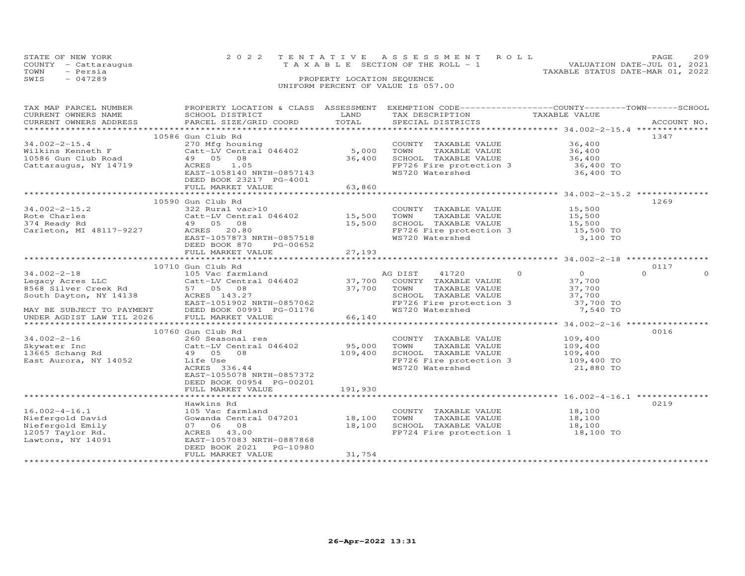|      | STATE OF NEW YORK    | 2022 TENTATIVE ASSESSMENT ROLL        | 2.09<br><b>PAGE</b>              |
|------|----------------------|---------------------------------------|----------------------------------|
|      | COUNTY - Cattaraugus | T A X A B L E SECTION OF THE ROLL - 1 | VALUATION DATE-JUL 01, 2021      |
| TOWN | - Persia             |                                       | TAXABLE STATUS DATE-MAR 01, 2022 |
| SWIS | $-047289$            | PROPERTY LOCATION SEQUENCE            |                                  |
|      |                      | UNIFORM PERCENT OF VALUE IS 057.00    |                                  |

| TAX MAP PARCEL NUMBER | PROPERTY LOCATION & CLASS  ASSESSMENT  EXEMPTION CODE------------------COUNTY-------TOWN------SCHOOL                                                                                                                                                                                                                                                                                                                                                    |                       |                                                                                                                                                                             |               |             |
|-----------------------|---------------------------------------------------------------------------------------------------------------------------------------------------------------------------------------------------------------------------------------------------------------------------------------------------------------------------------------------------------------------------------------------------------------------------------------------------------|-----------------------|-----------------------------------------------------------------------------------------------------------------------------------------------------------------------------|---------------|-------------|
| CURRENT OWNERS NAME   | SCHOOL DISTRICT                                                                                                                                                                                                                                                                                                                                                                                                                                         | LAND                  | TAX DESCRIPTION                                                                                                                                                             | TAXABLE VALUE |             |
|                       | CURRENT OWNERS ADDRESS PARCEL SIZE/GRID COORD                                                                                                                                                                                                                                                                                                                                                                                                           | TOTAL                 | SPECIAL DISTRICTS                                                                                                                                                           |               | ACCOUNT NO. |
|                       |                                                                                                                                                                                                                                                                                                                                                                                                                                                         |                       |                                                                                                                                                                             |               |             |
|                       | 10586 Gun Club Rd                                                                                                                                                                                                                                                                                                                                                                                                                                       |                       |                                                                                                                                                                             |               | 1347        |
|                       |                                                                                                                                                                                                                                                                                                                                                                                                                                                         |                       |                                                                                                                                                                             |               |             |
|                       |                                                                                                                                                                                                                                                                                                                                                                                                                                                         |                       |                                                                                                                                                                             |               |             |
|                       |                                                                                                                                                                                                                                                                                                                                                                                                                                                         |                       |                                                                                                                                                                             |               |             |
|                       |                                                                                                                                                                                                                                                                                                                                                                                                                                                         |                       | SCHOOL TAXABLE VALUE 36,400<br>FP726 Fire protection 3 36,400 TO                                                                                                            |               |             |
| Cattaraugus, NY 14719 | AUKES 1.05<br>EAST-1058140 NRTH-0857143<br>DEED BOOK 20015 - 1                                                                                                                                                                                                                                                                                                                                                                                          |                       |                                                                                                                                                                             |               |             |
|                       |                                                                                                                                                                                                                                                                                                                                                                                                                                                         |                       | WS720 Watershed                                                                                                                                                             | 36,400 TO     |             |
|                       | DEED BOOK 23217 PG-4001                                                                                                                                                                                                                                                                                                                                                                                                                                 |                       |                                                                                                                                                                             |               |             |
|                       |                                                                                                                                                                                                                                                                                                                                                                                                                                                         |                       |                                                                                                                                                                             |               |             |
|                       |                                                                                                                                                                                                                                                                                                                                                                                                                                                         |                       |                                                                                                                                                                             |               |             |
|                       | 10590 Gun Club Rd                                                                                                                                                                                                                                                                                                                                                                                                                                       |                       |                                                                                                                                                                             |               | 1269        |
| $34.002 - 2 - 15.2$   | 322 Rural vac>10                                                                                                                                                                                                                                                                                                                                                                                                                                        |                       |                                                                                                                                                                             |               |             |
|                       |                                                                                                                                                                                                                                                                                                                                                                                                                                                         |                       | COUNTY TAXABLE VALUE 15,500<br>TOWN TAXABLE VALUE 15,500                                                                                                                    |               |             |
|                       |                                                                                                                                                                                                                                                                                                                                                                                                                                                         |                       |                                                                                                                                                                             |               |             |
|                       |                                                                                                                                                                                                                                                                                                                                                                                                                                                         |                       | TOWN TAXABLE VALUE 15,500<br>SCHOOL TAXABLE VALUE 15,500<br>FP726 Fire protection 3 15,500 TO<br>WS720 Watershed 3,100 TO                                                   |               |             |
|                       |                                                                                                                                                                                                                                                                                                                                                                                                                                                         |                       |                                                                                                                                                                             |               |             |
|                       | EAST-1057873 NRTH-0857518                                                                                                                                                                                                                                                                                                                                                                                                                               |                       |                                                                                                                                                                             |               |             |
|                       | DEED BOOK 870 PG-00652                                                                                                                                                                                                                                                                                                                                                                                                                                  |                       |                                                                                                                                                                             |               |             |
|                       | FULL MARKET VALUE                                                                                                                                                                                                                                                                                                                                                                                                                                       | 27,193                |                                                                                                                                                                             |               |             |
|                       |                                                                                                                                                                                                                                                                                                                                                                                                                                                         |                       |                                                                                                                                                                             |               |             |
|                       | 10710 Gun Club Rd                                                                                                                                                                                                                                                                                                                                                                                                                                       |                       |                                                                                                                                                                             |               | 0117        |
|                       |                                                                                                                                                                                                                                                                                                                                                                                                                                                         |                       | AG DIST 41720 0<br>COUNTY TAXABLE VALUE 37,700<br>TOWN TAXABLE VALUE 37,700<br>SCHOOL TAXABLE VALUE 37,700<br>FP726 Fire protection 3 37,700 TO<br>WS720 Watershed 7,540 TO |               | $\Omega$    |
|                       |                                                                                                                                                                                                                                                                                                                                                                                                                                                         |                       |                                                                                                                                                                             |               |             |
|                       |                                                                                                                                                                                                                                                                                                                                                                                                                                                         |                       |                                                                                                                                                                             |               |             |
|                       |                                                                                                                                                                                                                                                                                                                                                                                                                                                         |                       |                                                                                                                                                                             |               |             |
|                       |                                                                                                                                                                                                                                                                                                                                                                                                                                                         |                       |                                                                                                                                                                             |               |             |
|                       |                                                                                                                                                                                                                                                                                                                                                                                                                                                         |                       |                                                                                                                                                                             |               |             |
|                       |                                                                                                                                                                                                                                                                                                                                                                                                                                                         |                       |                                                                                                                                                                             |               |             |
|                       | $\begin{tabular}{lllllllllllll} \multicolumn{3}{l}{} & 10710 & \text{Gun Club Rd} & \text{AG DIST} & 41720 \\ \text{Legacy Access LLC} & 10710 & \text{Gun Club Rd} & \text{AG DIST} & 41720 \\ \text{Legacy Access LLC} & & 105 \text{ Vac farmland} & & 37,700 & \text{COUNT TAXABLE VALUE} \\ \text{8568 Silver Creek Rd} & 57 & 05 & 08 & 37,700 & \text{TOWN} & \text{TXABLE VALUE} \\ \text{South Taylor, NY 14138} & & 57 & 08 & 37,700 & \text$ |                       | ************************************ 34.002-2-16 ***************                                                                                                            |               |             |
|                       |                                                                                                                                                                                                                                                                                                                                                                                                                                                         |                       |                                                                                                                                                                             |               |             |
|                       | 10760 Gun Club Rd<br>Skywater Inc and 260 Seasonal res<br>260 Seasonal res<br>260 Seasonal res<br>260 Seasonal res<br>260 Seasonal res<br>260 Seasonal res<br>260 Seasonal res<br>260 Seasonal res<br>260 Seasonal res<br>260 Seasonal res<br>260 Seasonal res<br>260 Sea                                                                                                                                                                               |                       |                                                                                                                                                                             |               | 0016        |
|                       |                                                                                                                                                                                                                                                                                                                                                                                                                                                         |                       | COUNTY TAXABLE VALUE 109,400                                                                                                                                                |               |             |
|                       |                                                                                                                                                                                                                                                                                                                                                                                                                                                         | $95,000$<br>$109,400$ |                                                                                                                                                                             |               |             |
|                       |                                                                                                                                                                                                                                                                                                                                                                                                                                                         |                       |                                                                                                                                                                             |               |             |
|                       |                                                                                                                                                                                                                                                                                                                                                                                                                                                         |                       |                                                                                                                                                                             |               |             |
|                       |                                                                                                                                                                                                                                                                                                                                                                                                                                                         |                       | FP726 Fire protection 3 109,400 TO<br>WS720 Watershed 21,880 TO                                                                                                             | 21,880 TO     |             |
|                       | EAST-1055078 NRTH-0857372                                                                                                                                                                                                                                                                                                                                                                                                                               |                       |                                                                                                                                                                             |               |             |
|                       | DEED BOOK 00954 PG-00201                                                                                                                                                                                                                                                                                                                                                                                                                                |                       |                                                                                                                                                                             |               |             |
|                       | FULL MARKET VALUE                                                                                                                                                                                                                                                                                                                                                                                                                                       | 191,930               |                                                                                                                                                                             |               |             |
|                       |                                                                                                                                                                                                                                                                                                                                                                                                                                                         |                       |                                                                                                                                                                             |               |             |
|                       | Hawkins Rd                                                                                                                                                                                                                                                                                                                                                                                                                                              |                       |                                                                                                                                                                             |               | 0219        |
|                       |                                                                                                                                                                                                                                                                                                                                                                                                                                                         |                       |                                                                                                                                                                             |               |             |
|                       | 16.002-4-16.1 105 Vac farmland<br>Niefergold David Gowanda Central 047201 18,100<br>Niefergold Emily 07 06 08<br>12057 Taylor Rd. 2CRES 43.00 18,100<br>Lawtons, NY 14091 2AST-1057083 NRTH-0887868                                                                                                                                                                                                                                                     |                       | COUNTY TAXABLE VALUE 18,100<br>TOWN TAXABLE VALUE 18,100<br>SCHOOL TAXABLE VALUE 18,100<br>FP724 Fire protection 1 18,100 TO                                                |               |             |
|                       |                                                                                                                                                                                                                                                                                                                                                                                                                                                         |                       |                                                                                                                                                                             |               |             |
|                       |                                                                                                                                                                                                                                                                                                                                                                                                                                                         |                       |                                                                                                                                                                             |               |             |
|                       |                                                                                                                                                                                                                                                                                                                                                                                                                                                         |                       |                                                                                                                                                                             |               |             |
| Lawtons, NY 14091     |                                                                                                                                                                                                                                                                                                                                                                                                                                                         |                       |                                                                                                                                                                             |               |             |
|                       | DEED BOOK 2021    PG-10980                                                                                                                                                                                                                                                                                                                                                                                                                              |                       |                                                                                                                                                                             |               |             |
|                       | FULL MARKET VALUE                                                                                                                                                                                                                                                                                                                                                                                                                                       | 31,754                |                                                                                                                                                                             |               |             |
|                       |                                                                                                                                                                                                                                                                                                                                                                                                                                                         |                       |                                                                                                                                                                             |               |             |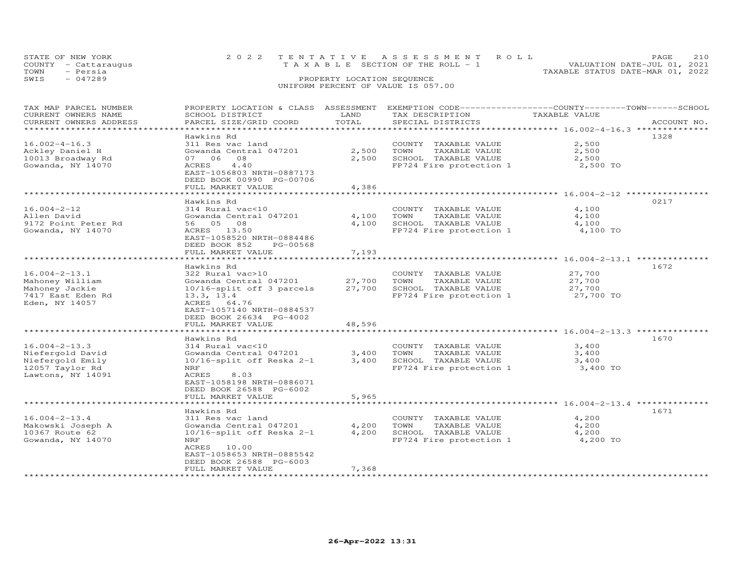|      | STATE OF NEW YORK    | 2022 TENTATIVE ASSESSMENT ROLL     |                            |  |                                  | PAGE                        | 210 |
|------|----------------------|------------------------------------|----------------------------|--|----------------------------------|-----------------------------|-----|
|      | COUNTY - Cattaraugus | TAXABLE SECTION OF THE ROLL - 1    |                            |  |                                  | VALUATION DATE-JUL 01, 2021 |     |
| TOWN | - Persia             |                                    |                            |  | TAXABLE STATUS DATE-MAR 01, 2022 |                             |     |
| SWIS | $-047289$            |                                    | PROPERTY LOCATION SEQUENCE |  |                                  |                             |     |
|      |                      | UNIFORM PERCENT OF VALUE IS 057.00 |                            |  |                                  |                             |     |

| TAX MAP PARCEL NUMBER  |                              |            | PROPERTY LOCATION & CLASS ASSESSMENT EXEMPTION CODE-----------------COUNTY-------TOWN------SCHOOL |                                                  |             |
|------------------------|------------------------------|------------|---------------------------------------------------------------------------------------------------|--------------------------------------------------|-------------|
| CURRENT OWNERS NAME    | SCHOOL DISTRICT              | LAND       | TAX DESCRIPTION                                                                                   | TAXABLE VALUE                                    |             |
| CURRENT OWNERS ADDRESS | PARCEL SIZE/GRID COORD       | TOTAL      | SPECIAL DISTRICTS                                                                                 |                                                  | ACCOUNT NO. |
|                        |                              |            |                                                                                                   |                                                  |             |
|                        | Hawkins Rd                   |            |                                                                                                   |                                                  | 1328        |
|                        |                              |            |                                                                                                   |                                                  |             |
| $16.002 - 4 - 16.3$    | 311 Res vac land             |            | COUNTY TAXABLE VALUE                                                                              | 2,500                                            |             |
| Ackley Daniel H        | Gowanda Central 047201       | 2,500      | TOWN<br>TAXABLE VALUE                                                                             | 2,500                                            |             |
| 10013 Broadway Rd      | 07 06<br>08                  | 2,500      | SCHOOL TAXABLE VALUE                                                                              | 2,500                                            |             |
| Gowanda, NY 14070      | 4.40<br>ACRES                |            | FP724 Fire protection 1                                                                           | 2,500 TO                                         |             |
|                        | EAST-1056803 NRTH-0887173    |            |                                                                                                   |                                                  |             |
|                        | DEED BOOK 00990 PG-00706     |            |                                                                                                   |                                                  |             |
|                        | FULL MARKET VALUE            | 4,386      |                                                                                                   |                                                  |             |
|                        |                              |            |                                                                                                   |                                                  |             |
|                        | Hawkins Rd                   |            |                                                                                                   |                                                  | 0217        |
|                        | 314 Rural vac<10             |            |                                                                                                   |                                                  |             |
| $16.004 - 2 - 12$      |                              |            | COUNTY TAXABLE VALUE                                                                              | 4,100                                            |             |
| Allen David            | Gowanda Central 047201       | 4,100      | TOWN<br>TAXABLE VALUE                                                                             | 4,100                                            |             |
| 9172 Point Peter Rd    | 56 05 08                     | 4,100      | SCHOOL TAXABLE VALUE                                                                              | 4,100                                            |             |
| Gowanda, NY 14070      | ACRES 13.50                  |            | FP724 Fire protection 1                                                                           | 4,100 TO                                         |             |
|                        | EAST-1058520 NRTH-0884486    |            |                                                                                                   |                                                  |             |
|                        | DEED BOOK 852<br>PG-00568    |            |                                                                                                   |                                                  |             |
|                        | FULL MARKET VALUE            | 7,193      |                                                                                                   |                                                  |             |
|                        | *******************          |            |                                                                                                   | ************************ 16.004-2-13.1 ********* |             |
|                        | Hawkins Rd                   |            |                                                                                                   |                                                  | 1672        |
| $16.004 - 2 - 13.1$    | 322 Rural vac>10             |            | COUNTY TAXABLE VALUE                                                                              | 27,700                                           |             |
|                        |                              | 27,700     | TAXABLE VALUE<br>TOWN                                                                             | 27,700                                           |             |
| Mahoney William        | Gowanda Central 047201       |            |                                                                                                   |                                                  |             |
| Mahoney Jackie         | 10/16-split off 3 parcels    | 27,700     | SCHOOL TAXABLE VALUE                                                                              | 27,700                                           |             |
| 7417 East Eden Rd      | 13.3, 13.4                   |            | FP724 Fire protection 1                                                                           | 27,700 TO                                        |             |
| Eden, NY 14057         | ACRES 64.76                  |            |                                                                                                   |                                                  |             |
|                        | EAST-1057140 NRTH-0884537    |            |                                                                                                   |                                                  |             |
|                        | DEED BOOK 26634 PG-4002      |            |                                                                                                   |                                                  |             |
|                        | FULL MARKET VALUE            | 48,596     |                                                                                                   |                                                  |             |
|                        | ********************         | ********** | ************************************** 16.004-2-13.3 ****************                             |                                                  |             |
|                        | Hawkins Rd                   |            |                                                                                                   |                                                  | 1670        |
| $16.004 - 2 - 13.3$    | 314 Rural vac<10             |            | COUNTY TAXABLE VALUE                                                                              | 3,400                                            |             |
|                        |                              |            |                                                                                                   |                                                  |             |
| Niefergold David       | Gowanda Central 047201       | 3,400      | TOWN<br>TAXABLE VALUE                                                                             | 3,400                                            |             |
| Niefergold Emily       | $10/16$ -split off Reska 2-1 | 3,400      | SCHOOL TAXABLE VALUE                                                                              | 3,400                                            |             |
| 12057 Taylor Rd        | NRF                          |            | FP724 Fire protection 1                                                                           | 3,400 TO                                         |             |
| Lawtons, NY 14091      | ACRES<br>8.03                |            |                                                                                                   |                                                  |             |
|                        | EAST-1058198 NRTH-0886071    |            |                                                                                                   |                                                  |             |
|                        | DEED BOOK 26588 PG-6002      |            |                                                                                                   |                                                  |             |
|                        | FULL MARKET VALUE            | 5,965      |                                                                                                   |                                                  |             |
|                        |                              |            | ************************************* 16.004-2-13.4 *************                                 |                                                  |             |
|                        | Hawkins Rd                   |            |                                                                                                   |                                                  | 1671        |
| $16.004 - 2 - 13.4$    | 311 Res vac land             |            | COUNTY TAXABLE VALUE                                                                              | 4,200                                            |             |
|                        |                              |            | TOWN                                                                                              | 4,200                                            |             |
| Makowski Joseph A      | Gowanda Central 047201       | 4,200      | TAXABLE VALUE                                                                                     |                                                  |             |
| 10367 Route 62         | $10/16$ -split off Reska 2-1 | 4,200      | SCHOOL TAXABLE VALUE                                                                              | 4,200                                            |             |
| Gowanda, NY 14070      | NRF                          |            | FP724 Fire protection 1                                                                           | 4,200 TO                                         |             |
|                        | ACRES 10.00                  |            |                                                                                                   |                                                  |             |
|                        | EAST-1058653 NRTH-0885542    |            |                                                                                                   |                                                  |             |
|                        | DEED BOOK 26588 PG-6003      |            |                                                                                                   |                                                  |             |
|                        | FULL MARKET VALUE            | 7,368      |                                                                                                   |                                                  |             |
|                        |                              |            |                                                                                                   |                                                  |             |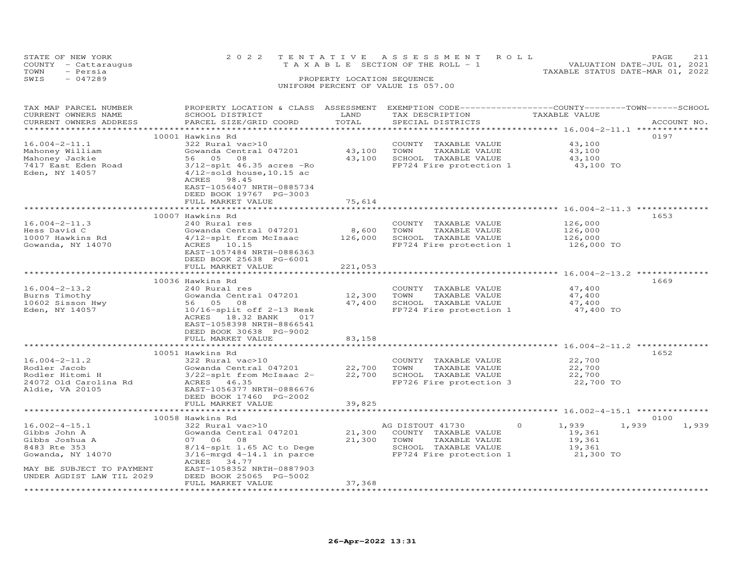| STATE OF NEW YORK |                      | 2022 TENTATIVE ASSESSMENT ROLL     |  |                                  | PAGE | 211 |
|-------------------|----------------------|------------------------------------|--|----------------------------------|------|-----|
|                   | COUNTY - Cattaraugus | TAXABLE SECTION OF THE ROLL - 1    |  | VALUATION DATE-JUL 01, 2021      |      |     |
| TOWN              | - Persia             |                                    |  | TAXABLE STATUS DATE-MAR 01, 2022 |      |     |
| SWIS              | - 047289             | PROPERTY LOCATION SEQUENCE         |  |                                  |      |     |
|                   |                      | UNIFORM PERCENT OF VALUE IS 057.00 |  |                                  |      |     |
|                   |                      |                                    |  |                                  |      |     |

| TAX MAP PARCEL NUMBER<br>CURRENT OWNERS NAME<br>CURRENT OWNERS ADDRESS | PROPERTY LOCATION & CLASS ASSESSMENT<br>SCHOOL DISTRICT<br>PARCEL SIZE/GRID COORD    | LAND<br>TOTAL | TAX DESCRIPTION<br>SPECIAL DISTRICTS | EXEMPTION CODE-----------------COUNTY-------TOWN------SCHOOL<br>TAXABLE VALUE | ACCOUNT NO.    |
|------------------------------------------------------------------------|--------------------------------------------------------------------------------------|---------------|--------------------------------------|-------------------------------------------------------------------------------|----------------|
|                                                                        |                                                                                      |               |                                      |                                                                               |                |
|                                                                        | 10001 Hawkins Rd                                                                     |               |                                      |                                                                               | 0197           |
| $16.004 - 2 - 11.1$                                                    | 322 Rural vac>10                                                                     |               | COUNTY TAXABLE VALUE                 | 43,100                                                                        |                |
|                                                                        | Gowanda Central 047201                                                               | 43,100        | TOWN<br>TAXABLE VALUE                | 43,100                                                                        |                |
| Mahoney William                                                        |                                                                                      | 43,100        |                                      |                                                                               |                |
| Mahoney Jackie                                                         | 56 05 08                                                                             |               | SCHOOL TAXABLE VALUE                 | 43,100                                                                        |                |
| 7417 East Eden Road<br>Eden, NY 14057                                  | $3/12$ -splt 46.35 acres -Ro<br>$4/12$ -sold house, 10.15 ac<br>ACRES 98.45          |               | FP724 Fire protection 1              | 43,100 TO                                                                     |                |
|                                                                        | EAST-1056407 NRTH-0885734<br>DEED BOOK 19767 PG-3003                                 |               |                                      |                                                                               |                |
|                                                                        | FULL MARKET VALUE                                                                    | 75,614        |                                      |                                                                               |                |
|                                                                        |                                                                                      |               |                                      |                                                                               |                |
|                                                                        | 10007 Hawkins Rd                                                                     |               |                                      |                                                                               | 1653           |
| $16.004 - 2 - 11.3$                                                    | 240 Rural res                                                                        |               | COUNTY TAXABLE VALUE                 | 126,000                                                                       |                |
| Hess David C                                                           | Gowanda Central 047201                                                               | 8,600         | TOWN<br>TAXABLE VALUE                | 126,000                                                                       |                |
| 10007 Hawkins Rd                                                       | 4/12-splt from McIsaac                                                               | 126,000       | SCHOOL TAXABLE VALUE                 | 126,000                                                                       |                |
| Gowanda, NY 14070                                                      | ACRES 10.15<br>EAST-1057484 NRTH-0886363<br>DEED BOOK 25638 PG-6001                  |               | FP724 Fire protection 1              | 126,000 TO                                                                    |                |
|                                                                        | FULL MARKET VALUE                                                                    | 221,053       |                                      |                                                                               |                |
|                                                                        |                                                                                      |               |                                      |                                                                               |                |
|                                                                        | 10036 Hawkins Rd                                                                     |               |                                      |                                                                               | 1669           |
| $16.004 - 2 - 13.2$                                                    | 240 Rural res                                                                        |               | COUNTY TAXABLE VALUE                 | 47,400                                                                        |                |
| Burns Timothy                                                          | Gowanda Central 047201                                                               | 12,300        | TOWN<br>TAXABLE VALUE                | 47,400                                                                        |                |
| 10602 Sisson Hwy                                                       | 56 05 08                                                                             | 47,400        | SCHOOL TAXABLE VALUE                 | 47,400                                                                        |                |
| Eden, NY 14057                                                         | $10/16$ -split off 2-13 Resk<br>ACRES 18.32 BANK<br>017<br>EAST-1058398 NRTH-8866541 |               | FP724 Fire protection 1              | 47,400 TO                                                                     |                |
|                                                                        | DEED BOOK 30638 PG-9002                                                              |               |                                      |                                                                               |                |
|                                                                        | FULL MARKET VALUE                                                                    | 83,158        |                                      |                                                                               |                |
|                                                                        | *************************                                                            | ************* |                                      |                                                                               |                |
|                                                                        | 10051 Hawkins Rd                                                                     |               |                                      |                                                                               | 1652           |
| $16.004 - 2 - 11.2$                                                    | 322 Rural vac>10                                                                     |               | COUNTY TAXABLE VALUE                 | 22,700                                                                        |                |
| Rodler Jacob                                                           | Gowanda Central 047201                                                               | 22,700        | TOWN<br>TAXABLE VALUE                | 22,700                                                                        |                |
| Rodler Hitomi H                                                        | 3/22-splt from McIsaac 2-                                                            | 22,700        | SCHOOL TAXABLE VALUE                 | 22,700                                                                        |                |
| 24072 Old Carolina Rd                                                  | ACRES 46.35                                                                          |               | FP726 Fire protection 3              | 22,700 TO                                                                     |                |
| Aldie, VA 20105                                                        | EAST-1056377 NRTH-0886676                                                            |               |                                      |                                                                               |                |
|                                                                        | DEED BOOK 17460 PG-2002<br>FULL MARKET VALUE                                         | 39,825        |                                      |                                                                               |                |
|                                                                        |                                                                                      |               |                                      | ******** 16.002-4-15.1 ************                                           |                |
|                                                                        | 10058 Hawkins Rd                                                                     |               |                                      |                                                                               | 0100           |
| $16.002 - 4 - 15.1$                                                    | 322 Rural vac>10                                                                     |               | AG DISTOUT 41730                     | 1,939<br>$\circ$                                                              | 1,939<br>1,939 |
| Gibbs John A                                                           | Gowanda Central 047201                                                               | 21,300        | COUNTY TAXABLE VALUE                 | 19,361                                                                        |                |
| Gibbs Joshua A                                                         | 07 06 08                                                                             | 21,300        | TOWN<br>TAXABLE VALUE                | 19,361                                                                        |                |
| 8483 Rte 353                                                           | $8/14$ -splt 1.65 AC to Dege                                                         |               | SCHOOL TAXABLE VALUE                 | 19,361                                                                        |                |
| Gowanda, NY 14070                                                      | $3/16$ -mrgd $4-14.1$ in parce                                                       |               | FP724 Fire protection 1              | 21,300 TO                                                                     |                |
|                                                                        | ACRES 34.77                                                                          |               |                                      |                                                                               |                |
| MAY BE SUBJECT TO PAYMENT                                              | EAST-1058352 NRTH-0887903                                                            |               |                                      |                                                                               |                |
| UNDER AGDIST LAW TIL 2029                                              | DEED BOOK 25065 PG-5002                                                              |               |                                      |                                                                               |                |
|                                                                        | FULL MARKET VALUE                                                                    | 37,368        |                                      |                                                                               |                |
|                                                                        |                                                                                      |               |                                      |                                                                               |                |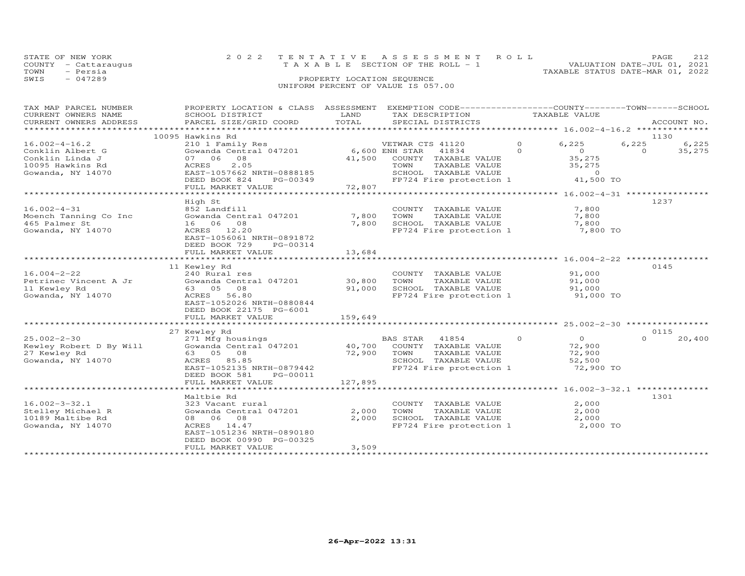|      | STATE OF NEW YORK    | 2022 TENTATIVE ASSESSMENT ROLL                                       | PAGE. | 2.12 |
|------|----------------------|----------------------------------------------------------------------|-------|------|
|      | COUNTY - Cattaraugus | VALUATION DATE-JUL 01, 2021<br>T A X A B L E SECTION OF THE ROLL - 1 |       |      |
| TOWN | - Persia             | TAXABLE STATUS DATE-MAR 01, 2022                                     |       |      |
| SWIS | $-047289$            | PROPERTY LOCATION SEOUENCE                                           |       |      |
|      |                      | UNIFORM PERCENT OF VALUE IS 057.00                                   |       |      |

| TAX MAP PARCEL NUMBER<br>CURRENT OWNERS NAME<br>CURRENT OWNERS ADDRESS<br>**********************    | PROPERTY LOCATION & CLASS ASSESSMENT<br>SCHOOL DISTRICT<br>PARCEL SIZE/GRID COORD                                                                                    | LAND<br>TOTAL               | EXEMPTION CODE-----------------COUNTY-------TOWN-----SCHOOL<br>TAX DESCRIPTION<br>SPECIAL DISTRICTS                                             |                     | TAXABLE VALUE                                                 |                           | ACCOUNT NO.     |
|-----------------------------------------------------------------------------------------------------|----------------------------------------------------------------------------------------------------------------------------------------------------------------------|-----------------------------|-------------------------------------------------------------------------------------------------------------------------------------------------|---------------------|---------------------------------------------------------------|---------------------------|-----------------|
|                                                                                                     |                                                                                                                                                                      |                             |                                                                                                                                                 |                     |                                                               |                           |                 |
| $16.002 - 4 - 16.2$<br>Conklin Albert G<br>Conklin Linda J<br>10095 Hawkins Rd<br>Gowanda, NY 14070 | 10095 Hawkins Rd<br>210 1 Family Res<br>Gowanda Central 047201<br>07 06 08<br>2.05<br>ACRES<br>EAST-1057662 NRTH-0888185<br>DEED BOOK 824<br>PG-00349                | 41,500                      | VETWAR CTS 41120<br>6,600 ENH STAR<br>41834<br>COUNTY TAXABLE VALUE<br>TOWN<br>TAXABLE VALUE<br>SCHOOL TAXABLE VALUE<br>FP724 Fire protection 1 | $\circ$<br>$\Omega$ | 6,225<br>$\circ$<br>35,275<br>35,275<br>$\Omega$<br>41,500 TO | 1130<br>6,225<br>$\Omega$ | 6,225<br>35,275 |
|                                                                                                     | FULL MARKET VALUE                                                                                                                                                    | 72,807                      |                                                                                                                                                 |                     |                                                               |                           |                 |
|                                                                                                     | *********************************                                                                                                                                    |                             |                                                                                                                                                 |                     |                                                               |                           |                 |
|                                                                                                     | High St                                                                                                                                                              |                             |                                                                                                                                                 |                     |                                                               | 1237                      |                 |
| $16.002 - 4 - 31$<br>Moench Tanning Co Inc<br>465 Palmer St<br>Gowanda, NY 14070                    | 852 Landfill<br>Gowanda Central 047201<br>16 06 08<br>ACRES 12.20                                                                                                    | 7,800<br>7,800              | COUNTY TAXABLE VALUE<br>TOWN<br>TAXABLE VALUE<br>SCHOOL TAXABLE VALUE<br>FP724 Fire protection 1                                                |                     | 7,800<br>7,800<br>7,800<br>7,800 TO                           |                           |                 |
|                                                                                                     | EAST-1056061 NRTH-0891872<br>DEED BOOK 729<br>PG-00314<br>FULL MARKET VALUE                                                                                          | 13,684                      |                                                                                                                                                 |                     |                                                               |                           |                 |
|                                                                                                     |                                                                                                                                                                      | ***********                 |                                                                                                                                                 |                     | ******************** 16.004-2-22 *********                    |                           |                 |
| $16.004 - 2 - 22$<br>Petrinec Vincent A Jr<br>11 Kewley Rd<br>Gowanda, NY 14070                     | 11 Kewley Rd<br>240 Rural res<br>Gowanda Central 047201<br>63 05<br>08<br>ACRES 56.80<br>EAST-1052026 NRTH-0880844<br>DEED BOOK 22175 PG-6001<br>FULL MARKET VALUE   | 30,800<br>91,000<br>159,649 | COUNTY TAXABLE VALUE<br>TOWN<br>TAXABLE VALUE<br>SCHOOL TAXABLE VALUE<br>FP724 Fire protection 1                                                |                     | 91,000<br>91,000<br>91,000<br>91,000 TO                       | 0145                      |                 |
|                                                                                                     | **********************                                                                                                                                               | **************              |                                                                                                                                                 |                     |                                                               |                           |                 |
|                                                                                                     | 27 Kewley Rd                                                                                                                                                         |                             |                                                                                                                                                 |                     |                                                               | 0115                      |                 |
| $25.002 - 2 - 30$<br>Kewley Robert D By Will<br>27 Kewley Rd<br>Gowanda, NY 14070                   | 271 Mfg housings<br>Gowanda Central 047201<br>63 05 08<br>ACRES 85.85<br>EAST-1052135 NRTH-0879442<br>DEED BOOK 581<br>PG-00011                                      | 40,700<br>72,900            | BAS STAR<br>41854<br>COUNTY TAXABLE VALUE<br>TOWN<br>TAXABLE VALUE<br>SCHOOL TAXABLE VALUE<br>FP724 Fire protection 1                           | $\circ$             | $\overline{0}$<br>72,900<br>72,900<br>52,500<br>72,900 TO     | $\Omega$                  | 20,400          |
|                                                                                                     | FULL MARKET VALUE                                                                                                                                                    | 127,895                     |                                                                                                                                                 |                     |                                                               |                           |                 |
|                                                                                                     | **********************                                                                                                                                               |                             |                                                                                                                                                 |                     |                                                               |                           |                 |
| $16.002 - 3 - 32.1$<br>Stelley Michael R<br>10189 Maltibe Rd<br>Gowanda, NY 14070                   | Maltbie Rd<br>323 Vacant rural<br>Gowanda Central 047201<br>08 06 08<br>ACRES<br>14.47<br>EAST-1051236 NRTH-0890180<br>DEED BOOK 00990 PG-00325<br>FULL MARKET VALUE | 2,000<br>2,000<br>3,509     | COUNTY TAXABLE VALUE<br>TOWN<br>TAXABLE VALUE<br>SCHOOL TAXABLE VALUE<br>FP724 Fire protection 1                                                |                     | 2,000<br>2,000<br>2,000<br>2,000 TO                           | 1301                      |                 |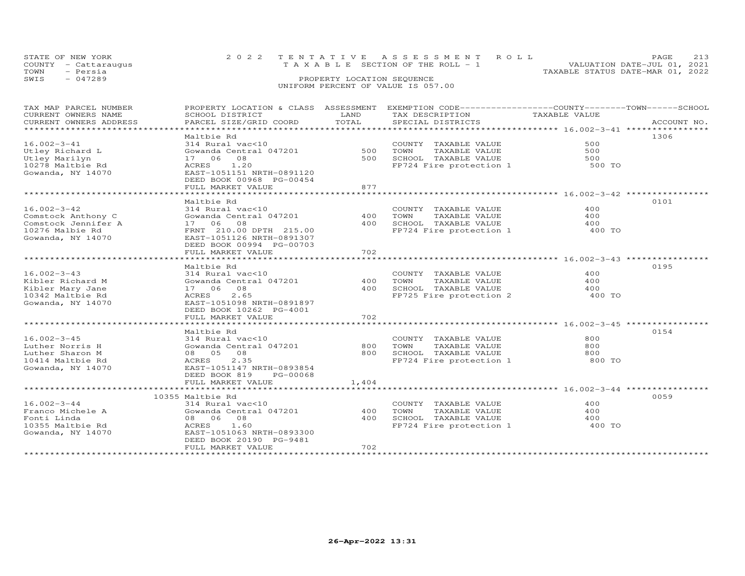|      | STATE OF NEW YORK    | 2022 TENTATIVE ASSESSMENT ROLL        | PAGE.                       |  |
|------|----------------------|---------------------------------------|-----------------------------|--|
|      | COUNTY - Cattaraugus | T A X A B L E SECTION OF THE ROLL - 1 | VALUATION DATE-JUL 01, 2021 |  |
| TOWN | - Persia             | TAXABLE STATUS DATE-MAR 01, 2022      |                             |  |
| SWIS | $-047289$            | PROPERTY LOCATION SEQUENCE            |                             |  |
|      |                      | UNIFORM PERCENT OF VALUE IS 057.00    |                             |  |

| TAX MAP PARCEL NUMBER  | PROPERTY LOCATION & CLASS ASSESSMENT |       | EXEMPTION CODE-----------------COUNTY-------TOWN------SCHOOL |               |             |
|------------------------|--------------------------------------|-------|--------------------------------------------------------------|---------------|-------------|
| CURRENT OWNERS NAME    | SCHOOL DISTRICT                      | LAND  | TAX DESCRIPTION                                              | TAXABLE VALUE |             |
| CURRENT OWNERS ADDRESS | PARCEL SIZE/GRID COORD               | TOTAL | SPECIAL DISTRICTS                                            |               | ACCOUNT NO. |
|                        |                                      |       |                                                              |               |             |
|                        | Maltbie Rd                           |       |                                                              |               | 1306        |
| $16.002 - 3 - 41$      | 314 Rural vac<10                     |       | COUNTY TAXABLE VALUE                                         | 500           |             |
| Utley Richard L        | Gowanda Central 047201               | 500   | TOWN<br>TAXABLE VALUE                                        | 500           |             |
| Utley Marilyn          | 17 06<br>08                          | 500   | SCHOOL TAXABLE VALUE                                         | 500           |             |
|                        | ACRES 1.20                           |       |                                                              |               |             |
| 10278 Maltbie Rd       |                                      |       | FP724 Fire protection 1                                      | 500 TO        |             |
| Gowanda, NY 14070      | EAST-1051151 NRTH-0891120            |       |                                                              |               |             |
|                        | DEED BOOK 00968 PG-00454             |       |                                                              |               |             |
|                        | FULL MARKET VALUE                    | 877   |                                                              |               |             |
|                        |                                      |       |                                                              |               |             |
|                        | Maltbie Rd                           |       |                                                              |               | 0101        |
| $16.002 - 3 - 42$      | 314 Rural vac<10                     |       | COUNTY TAXABLE VALUE                                         | 400           |             |
| Comstock Anthony C     | Gowanda Central 047201               | 400   | TOWN<br>TAXABLE VALUE                                        | 400           |             |
| Comstock Jennifer A    | 17 06<br>08                          | 400   | SCHOOL TAXABLE VALUE                                         | 400           |             |
| 10276 Malbie Rd        | FRNT 210.00 DPTH 215.00              |       | FP724 Fire protection 1                                      | 400 TO        |             |
| Gowanda, NY 14070      | EAST-1051126 NRTH-0891307            |       |                                                              |               |             |
|                        | DEED BOOK 00994 PG-00703             |       |                                                              |               |             |
|                        | FULL MARKET VALUE                    | 702   |                                                              |               |             |
|                        |                                      |       |                                                              |               |             |
|                        | Maltbie Rd                           |       |                                                              |               | 0195        |
|                        |                                      |       |                                                              |               |             |
| $16.002 - 3 - 43$      | 314 Rural vac<10                     |       | COUNTY TAXABLE VALUE                                         | 400           |             |
| Kibler Richard M       | Gowanda Central 047201               | 400   | TOWN<br>TAXABLE VALUE                                        | 400           |             |
| Kibler Mary Jane       | 17 06 08                             | 400   | SCHOOL TAXABLE VALUE                                         | 400           |             |
| 10342 Maltbie Rd       | 2.65<br>ACRES                        |       | FP725 Fire protection 2                                      | 400 TO        |             |
| Gowanda, NY 14070      | EAST-1051098 NRTH-0891897            |       |                                                              |               |             |
|                        | DEED BOOK 10262 PG-4001              |       |                                                              |               |             |
|                        | FULL MARKET VALUE                    | 702   |                                                              |               |             |
|                        |                                      |       |                                                              |               |             |
|                        | Maltbie Rd                           |       |                                                              |               | 0154        |
| $16.002 - 3 - 45$      | 314 Rural vac<10                     |       | COUNTY TAXABLE VALUE                                         | 800           |             |
| Luther Norris H        | Gowanda Central 047201               | 800   | TAXABLE VALUE<br>TOWN                                        | 800           |             |
| Luther Sharon M        | 08 05 08                             | 800   | SCHOOL TAXABLE VALUE                                         | 800           |             |
| 10414 Maltbie Rd       | 2.35<br>ACRES                        |       | FP724 Fire protection 1                                      | 800 TO        |             |
| Gowanda, NY 14070      | EAST-1051147 NRTH-0893854            |       |                                                              |               |             |
|                        | DEED BOOK 819<br>PG-00068            |       |                                                              |               |             |
|                        | FULL MARKET VALUE                    | 1,404 |                                                              |               |             |
|                        |                                      |       |                                                              |               |             |
|                        |                                      |       |                                                              |               |             |
|                        | 10355 Maltbie Rd                     |       |                                                              |               | 0059        |
| $16.002 - 3 - 44$      | 314 Rural vac<10                     |       | COUNTY TAXABLE VALUE                                         | 400           |             |
| Franco Michele A       | Gowanda Central 047201               | 400   | TOWN<br>TAXABLE VALUE                                        | 400           |             |
| Fonti Linda            | 08 06 08                             | 400   | SCHOOL TAXABLE VALUE                                         | 400           |             |
| 10355 Maltbie Rd       | 1.60<br>ACRES                        |       | FP724 Fire protection 1                                      | 400 TO        |             |
| Gowanda, NY 14070      | EAST-1051063 NRTH-0893300            |       |                                                              |               |             |
|                        | DEED BOOK 20190 PG-9481              |       |                                                              |               |             |
|                        | FULL MARKET VALUE                    | 702   |                                                              |               |             |
|                        |                                      |       |                                                              |               |             |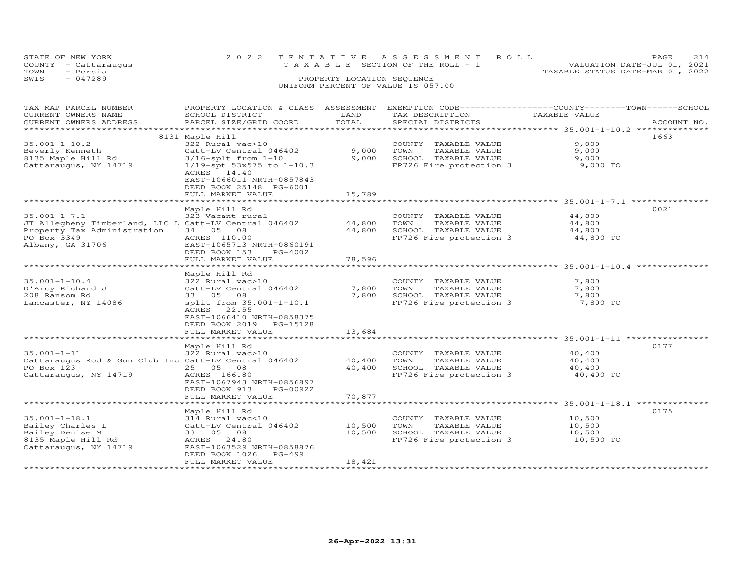| TOWN | STATE OF NEW YORK<br>COUNTY - Cattaraugus<br>- Persia | T A X A B L E SECTION OF THE ROLL - 1                            | 2022 TENTATIVE ASSESSMENT ROLL | TAXABLE STATUS DATE-MAR 01, 2022 | PAGE<br>VALUATION DATE-JUL 01, 2021 | 2.14 |
|------|-------------------------------------------------------|------------------------------------------------------------------|--------------------------------|----------------------------------|-------------------------------------|------|
| SWIS | $-047289$                                             | PROPERTY LOCATION SEQUENCE<br>UNIFORM PERCENT OF VALUE IS 057.00 |                                |                                  |                                     |      |

| TAX MAP PARCEL NUMBER<br>CURRENT OWNERS NAME<br>CURRENT OWNERS ADDRESS                                                                        | PROPERTY LOCATION & CLASS ASSESSMENT<br>SCHOOL DISTRICT<br>PARCEL SIZE/GRID COORD                                                                                                                   | LAND<br>TOTAL              | TAX DESCRIPTION<br>SPECIAL DISTRICTS                                                             | EXEMPTION CODE-----------------COUNTY-------TOWN-----SCHOOL<br>TAXABLE VALUE<br>ACCOUNT NO. |
|-----------------------------------------------------------------------------------------------------------------------------------------------|-----------------------------------------------------------------------------------------------------------------------------------------------------------------------------------------------------|----------------------------|--------------------------------------------------------------------------------------------------|---------------------------------------------------------------------------------------------|
| ******************                                                                                                                            |                                                                                                                                                                                                     |                            |                                                                                                  |                                                                                             |
| $35.001 - 1 - 10.2$<br>Beverly Kenneth<br>8135 Maple Hill Rd<br>Cattaraugus, NY 14719                                                         | 8131 Maple Hill<br>322 Rural vac>10<br>Catt-LV Central 046402<br>$3/16$ -splt from $1-10$<br>$1/19$ -spt 53x575 to 1-10.3<br>ACRES<br>14.40<br>EAST-1066011 NRTH-0857843<br>DEED BOOK 25148 PG-6001 | 9,000<br>9,000             | COUNTY TAXABLE VALUE<br>TOWN<br>TAXABLE VALUE<br>SCHOOL TAXABLE VALUE<br>FP726 Fire protection 3 | 1663<br>9,000<br>9,000<br>9,000<br>9,000 TO                                                 |
|                                                                                                                                               | FULL MARKET VALUE                                                                                                                                                                                   | 15,789                     |                                                                                                  |                                                                                             |
| $35.001 - 1 - 7.1$<br>JT Allegheny Timberland, LLC L Catt-LV Central 046402<br>Property Tax Administration<br>PO Box 3349<br>Albany, GA 31706 | Maple Hill Rd<br>323 Vacant rural<br>34 05 08<br>ACRES 110.00<br>EAST-1065713 NRTH-0860191                                                                                                          | 44,800<br>44,800           | COUNTY TAXABLE VALUE<br>TOWN<br>TAXABLE VALUE<br>SCHOOL TAXABLE VALUE<br>FP726 Fire protection 3 | 0021<br>44,800<br>44,800<br>44,800<br>44,800 TO                                             |
|                                                                                                                                               | DEED BOOK 153<br>PG-4002<br>FULL MARKET VALUE                                                                                                                                                       | 78,596                     |                                                                                                  | ************************* 35.001-1-10.4 ***************                                     |
| $35.001 - 1 - 10.4$<br>D'Arcy Richard J<br>208 Ransom Rd<br>Lancaster, NY 14086                                                               | Maple Hill Rd<br>322 Rural vac>10<br>Catt-LV Central 046402<br>08<br>33 05<br>split from 35.001-1-10.1<br>22.55<br>ACRES<br>EAST-1066410 NRTH-0858375<br>DEED BOOK 2019<br>PG-15128                 | 7,800<br>7,800             | COUNTY TAXABLE VALUE<br>TOWN<br>TAXABLE VALUE<br>SCHOOL TAXABLE VALUE<br>FP726 Fire protection 3 | 7,800<br>7,800<br>7,800<br>7,800 TO                                                         |
|                                                                                                                                               | FULL MARKET VALUE                                                                                                                                                                                   | 13,684                     |                                                                                                  | ******************************* 35.001-1-11 ********                                        |
| $35.001 - 1 - 11$<br>Cattaraugus Rod & Gun Club Inc Catt-LV Central 046402<br>PO Box 123<br>Cattaraugus, NY 14719                             | Maple Hill Rd<br>322 Rural vac>10<br>25 05 08<br>ACRES 166.80<br>EAST-1067943 NRTH-0856897<br>DEED BOOK 913<br>PG-00922<br>FULL MARKET VALUE                                                        | 40,400<br>40,400<br>70,877 | COUNTY TAXABLE VALUE<br>TOWN<br>TAXABLE VALUE<br>SCHOOL TAXABLE VALUE<br>FP726 Fire protection 3 | 0177<br>40,400<br>40,400<br>40,400<br>40,400 TO                                             |
|                                                                                                                                               |                                                                                                                                                                                                     |                            |                                                                                                  | ******************* 35.001-1-18.1 *********                                                 |
| $35.001 - 1 - 18.1$<br>Bailey Charles L<br>Bailey Denise M<br>8135 Maple Hill Rd<br>Cattaraugus, NY 14719                                     | Maple Hill Rd<br>314 Rural vac<10<br>Catt-LV Central 046402<br>33 05 08<br>24.80<br>ACRES<br>EAST-1063529 NRTH-0858876<br>DEED BOOK 1026<br>$PG-499$<br>FULL MARKET VALUE                           | 10,500<br>10,500<br>18,421 | COUNTY TAXABLE VALUE<br>TOWN<br>TAXABLE VALUE<br>SCHOOL TAXABLE VALUE<br>FP726 Fire protection 3 | 0175<br>10,500<br>10,500<br>10,500<br>10,500 TO                                             |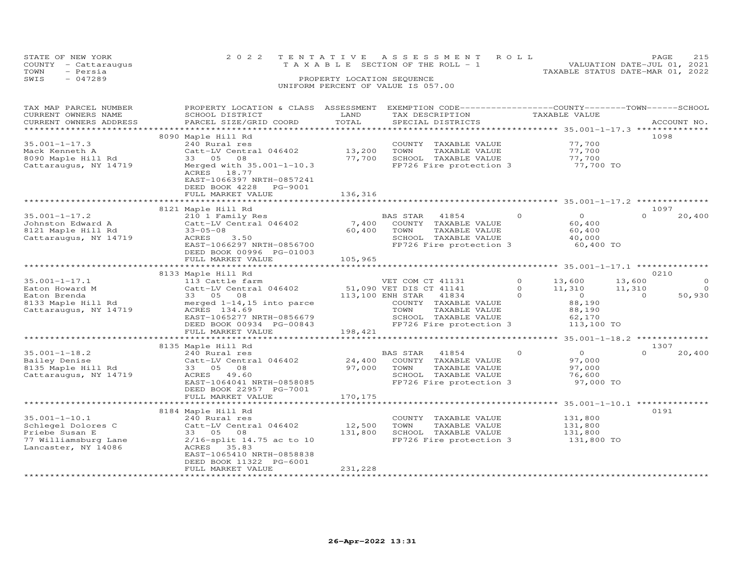|      | STATE OF NEW YORK    | 2022 TENTATIVE ASSESSMENT ROLL     |  |                                  | PAGE. | 215 |
|------|----------------------|------------------------------------|--|----------------------------------|-------|-----|
|      | COUNTY - Cattaraugus | TAXABLE SECTION OF THE ROLL - 1    |  | VALUATION DATE-JUL 01, 2021      |       |     |
| TOWN | - Persia             |                                    |  | TAXABLE STATUS DATE-MAR 01, 2022 |       |     |
| SWIS | $-047289$            | PROPERTY LOCATION SEQUENCE         |  |                                  |       |     |
|      |                      | UNIFORM PERCENT OF VALUE IS 057.00 |  |                                  |       |     |
|      |                      |                                    |  |                                  |       |     |

| TAX MAP PARCEL NUMBER<br>CURRENT OWNERS NAME<br>CURRENT OWNERS ADDRESS                                     | PROPERTY LOCATION & CLASS ASSESSMENT<br>SCHOOL DISTRICT<br>PARCEL SIZE/GRID COORD                                                                                                                             | LAND<br>TOTAL               | EXEMPTION CODE-----------------COUNTY-------TOWN------SCHOOL<br>TAX DESCRIPTION<br>SPECIAL DISTRICTS                                                                         |                                 | TAXABLE VALUE                                                                        | ACCOUNT NO.                               |
|------------------------------------------------------------------------------------------------------------|---------------------------------------------------------------------------------------------------------------------------------------------------------------------------------------------------------------|-----------------------------|------------------------------------------------------------------------------------------------------------------------------------------------------------------------------|---------------------------------|--------------------------------------------------------------------------------------|-------------------------------------------|
| ***********************                                                                                    |                                                                                                                                                                                                               |                             |                                                                                                                                                                              |                                 |                                                                                      |                                           |
| $35.001 - 1 - 17.3$<br>Mack Kenneth A<br>8090 Maple Hill Rd<br>Cattaraugus, NY 14719                       | 8090 Maple Hill Rd<br>240 Rural res<br>Catt-LV Central 046402<br>33 05<br>08<br>Merged with $35.001 - 1 - 10.3$<br>ACRES 18.77<br>EAST-1066397 NRTH-0857241<br>DEED BOOK 4228<br>PG-9001<br>FULL MARKET VALUE | 13,200<br>77,700<br>136,316 | COUNTY TAXABLE VALUE<br>TOWN<br>TAXABLE VALUE<br>SCHOOL TAXABLE VALUE<br>FP726 Fire protection 3                                                                             |                                 | 77,700<br>77,700<br>77,700<br>77,700 TO                                              | 1098                                      |
|                                                                                                            |                                                                                                                                                                                                               |                             |                                                                                                                                                                              |                                 |                                                                                      |                                           |
| $35.001 - 1 - 17.2$<br>Johnston Edward A<br>8121 Maple Hill Rd<br>Cattaraugus, NY 14719                    | 8121 Maple Hill Rd<br>210 1 Family Res<br>Catt-LV Central 046402<br>$33 - 05 - 08$<br>ACRES 3.50<br>EAST-1066297 NRTH-0856700<br>DEED BOOK 00996 PG-01003                                                     | 7,400<br>60,400             | BAS STAR 41854<br>COUNTY TAXABLE VALUE<br>TOWN<br>TAXABLE VALUE<br>SCHOOL TAXABLE VALUE<br>FP726 Fire protection 3                                                           | $\circ$                         | $\overline{O}$<br>60,400<br>60,400<br>40,000<br>60,400 TO                            | 1097<br>$\Omega$<br>20,400                |
|                                                                                                            | FULL MARKET VALUE<br>************************                                                                                                                                                                 | 105,965                     |                                                                                                                                                                              |                                 |                                                                                      |                                           |
|                                                                                                            | 8133 Maple Hill Rd                                                                                                                                                                                            |                             |                                                                                                                                                                              |                                 |                                                                                      | 0210                                      |
| $35.001 - 1 - 17.1$<br>Eaton Howard M<br>Eaton Brenda<br>8133 Maple Hill Rd<br>Cattaraugus, NY 14719       | 113 Cattle farm<br>Catt-LV Central 046402<br>33 05<br>08<br>merged $1-14$ , 15 into parce<br>ACRES 134.69<br>EAST-1065277 NRTH-0856679<br>DEED BOOK 00934 PG-00843                                            |                             | VET COM CT 41131<br>51,090 VET DIS CT 41141<br>113,100 ENH STAR<br>41834<br>COUNTY TAXABLE VALUE<br>TOWN<br>TAXABLE VALUE<br>SCHOOL TAXABLE VALUE<br>FP726 Fire protection 3 | $\circ$<br>$\Omega$<br>$\Omega$ | 13,600<br>13,600<br>11,310<br>11,310<br>$\overline{0}$<br>88,190<br>88,190<br>62,170 | $\circ$<br>$\Omega$<br>50,930<br>$\Omega$ |
|                                                                                                            | FULL MARKET VALUE                                                                                                                                                                                             | 198,421                     |                                                                                                                                                                              |                                 | 113,100 TO                                                                           |                                           |
|                                                                                                            | *********************************                                                                                                                                                                             |                             |                                                                                                                                                                              |                                 |                                                                                      |                                           |
| $35.001 - 1 - 18.2$<br>Bailey Denise<br>8135 Maple Hill Rd<br>Cattaraugus, NY 14719                        | 8135 Maple Hill Rd<br>240 Rural res<br>Catt-LV Central 046402<br>33 05 08<br>ACRES 49.60<br>EAST-1064041 NRTH-0858085<br>DEED BOOK 22957 PG-7001                                                              | 24,400<br>97,000            | BAS STAR<br>41854<br>COUNTY TAXABLE VALUE<br>TOWN<br>TAXABLE VALUE<br>SCHOOL TAXABLE VALUE<br>FP726 Fire protection 3                                                        | $\circ$                         | $\overline{O}$<br>97,000<br>97,000<br>76,600<br>97,000 TO                            | 1307<br>$\Omega$<br>20,400                |
|                                                                                                            | FULL MARKET VALUE                                                                                                                                                                                             | 170,175                     |                                                                                                                                                                              |                                 |                                                                                      |                                           |
|                                                                                                            |                                                                                                                                                                                                               |                             |                                                                                                                                                                              |                                 |                                                                                      |                                           |
| $35.001 - 1 - 10.1$<br>Schlegel Dolores C<br>Priebe Susan E<br>77 Williamsburg Lane<br>Lancaster, NY 14086 | 8184 Maple Hill Rd<br>240 Rural res<br>Catt-LV Central 046402<br>33 05 08<br>2/16-split 14.75 ac to 10<br>ACRES 35.83<br>EAST-1065410 NRTH-0858838<br>DEED BOOK 11322 PG-6001                                 | 12,500<br>131,800           | COUNTY TAXABLE VALUE<br>TAXABLE VALUE<br>TOWN<br>SCHOOL TAXABLE VALUE<br>FP726 Fire protection 3                                                                             |                                 | 131,800<br>131,800<br>131,800<br>131,800 TO                                          | 0191                                      |
|                                                                                                            | FULL MARKET VALUE                                                                                                                                                                                             | 231,228                     |                                                                                                                                                                              |                                 |                                                                                      |                                           |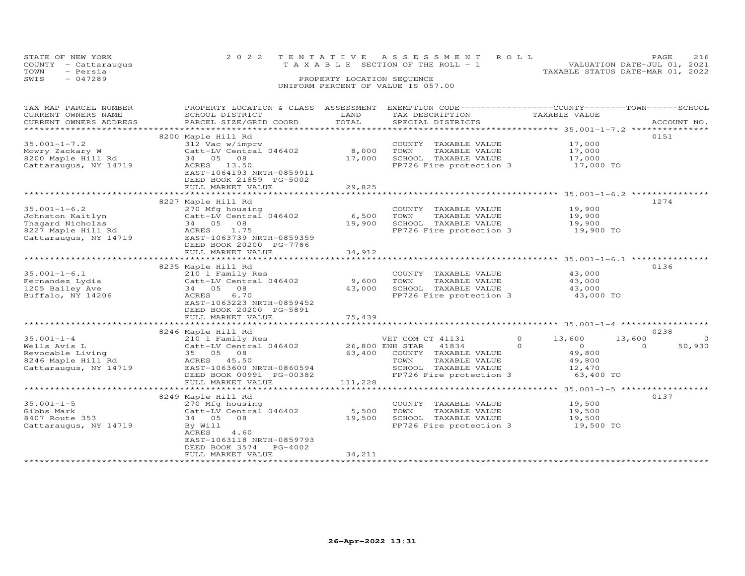|      | STATE OF NEW YORK    | 2022 TENTATIVE ASSESSMENT ROLL     | PAGE.                       | 216 |
|------|----------------------|------------------------------------|-----------------------------|-----|
|      | COUNTY - Cattaraugus | TAXABLE SECTION OF THE ROLL - 1    | VALUATION DATE-JUL 01, 2021 |     |
| TOWN | - Persia             | TAXABLE STATUS DATE-MAR 01, 2022   |                             |     |
| SWIS | - 047289             | PROPERTY LOCATION SEQUENCE         |                             |     |
|      |                      | UNIFORM PERCENT OF VALUE IS 057.00 |                             |     |
|      |                      |                                    |                             |     |

| TAX MAP PARCEL NUMBER<br>CURRENT OWNERS NAME<br>CURRENT OWNERS ADDRESS | PROPERTY LOCATION & CLASS ASSESSMENT<br>SCHOOL DISTRICT<br>PARCEL SIZE/GRID COORD | LAND<br>TOTAL   | EXEMPTION CODE-----------------COUNTY-------TOWN------SCHOOL<br>TAX DESCRIPTION<br>SPECIAL DISTRICTS | TAXABLE VALUE                             | ACCOUNT NO.        |
|------------------------------------------------------------------------|-----------------------------------------------------------------------------------|-----------------|------------------------------------------------------------------------------------------------------|-------------------------------------------|--------------------|
|                                                                        |                                                                                   |                 |                                                                                                      |                                           |                    |
|                                                                        | 8200 Maple Hill Rd                                                                |                 |                                                                                                      |                                           | 0151               |
| $35.001 - 1 - 7.2$                                                     | 312 Vac w/imprv                                                                   |                 | COUNTY TAXABLE VALUE                                                                                 | 17,000                                    |                    |
| Mowry Zackary W                                                        | Catt-LV Central 046402                                                            | 8,000           | TOWN<br>TAXABLE VALUE                                                                                | 17,000                                    |                    |
| 8200 Maple Hill Rd                                                     | 34 05<br>08                                                                       | 17,000          | SCHOOL TAXABLE VALUE                                                                                 | 17,000                                    |                    |
| Cattaraugus, NY 14719                                                  | ACRES 13.50                                                                       |                 | FP726 Fire protection 3                                                                              | 17,000 TO                                 |                    |
|                                                                        | EAST-1064193 NRTH-0859911                                                         |                 |                                                                                                      |                                           |                    |
|                                                                        | DEED BOOK 21859 PG-5002                                                           |                 |                                                                                                      |                                           |                    |
|                                                                        | FULL MARKET VALUE                                                                 | 29,825          |                                                                                                      |                                           |                    |
|                                                                        | ***************************                                                       |                 |                                                                                                      |                                           |                    |
|                                                                        | 8227 Maple Hill Rd                                                                |                 |                                                                                                      |                                           | 1274               |
| $35.001 - 1 - 6.2$                                                     | 270 Mfg housing                                                                   |                 | COUNTY TAXABLE VALUE                                                                                 | 19,900                                    |                    |
| Johnston Kaitlyn                                                       | Catt-LV Central 046402                                                            | 6,500           | TOWN<br>TAXABLE VALUE                                                                                | 19,900                                    |                    |
| Thagard Nicholas                                                       | 34 05 08                                                                          | 19,900          | SCHOOL TAXABLE VALUE                                                                                 | 19,900                                    |                    |
| 8227 Maple Hill Rd                                                     | 1.75<br>ACRES                                                                     |                 | FP726 Fire protection 3                                                                              | 19,900 TO                                 |                    |
| Cattaraugus, NY 14719                                                  | EAST-1063739 NRTH-0859359                                                         |                 |                                                                                                      |                                           |                    |
|                                                                        | DEED BOOK 20200 PG-7786                                                           |                 |                                                                                                      |                                           |                    |
|                                                                        | FULL MARKET VALUE                                                                 | 34,912          |                                                                                                      |                                           |                    |
|                                                                        |                                                                                   |                 |                                                                                                      |                                           |                    |
|                                                                        | 8235 Maple Hill Rd                                                                |                 |                                                                                                      |                                           | 0136               |
| $35.001 - 1 - 6.1$                                                     | 210 1 Family Res                                                                  |                 | COUNTY TAXABLE VALUE                                                                                 | 43,000                                    |                    |
| Fernandez Lydia                                                        | Catt-LV Central 046402                                                            | 9,600           | TOWN<br>TAXABLE VALUE                                                                                | 43,000                                    |                    |
| 1205 Bailey Ave                                                        | 34 05 08                                                                          | 43,000          | SCHOOL TAXABLE VALUE                                                                                 | 43,000                                    |                    |
| Buffalo, NY 14206                                                      | ACRES<br>6.70                                                                     |                 | FP726 Fire protection 3                                                                              | 43,000 TO                                 |                    |
|                                                                        | EAST-1063223 NRTH-0859452                                                         |                 |                                                                                                      |                                           |                    |
|                                                                        | DEED BOOK 20200 PG-5891                                                           |                 |                                                                                                      |                                           |                    |
|                                                                        | FULL MARKET VALUE                                                                 | 75,439          |                                                                                                      |                                           |                    |
|                                                                        |                                                                                   |                 |                                                                                                      |                                           |                    |
|                                                                        | 8246 Maple Hill Rd                                                                |                 |                                                                                                      |                                           | 0238               |
| $35.001 - 1 - 4$                                                       | 210 1 Family Res                                                                  |                 | VET COM CT 41131                                                                                     | $\Omega$<br>13,600                        | 13,600<br>$\Omega$ |
| Wells Avis L                                                           | Catt-LV Central 046402                                                            | 26,800 ENH STAR | 41834                                                                                                | $\Omega$<br>$\overline{O}$                | 50,930<br>$\Omega$ |
| Revocable Living                                                       | 35 05 08                                                                          | 63,400          | COUNTY TAXABLE VALUE                                                                                 | 49,800                                    |                    |
| 8246 Maple Hill Rd                                                     | ACRES 45.50                                                                       |                 | TAXABLE VALUE<br>TOWN                                                                                | 49,800                                    |                    |
| Cattaraugus, NY 14719                                                  | EAST-1063600 NRTH-0860594                                                         |                 | SCHOOL TAXABLE VALUE                                                                                 | 12,470                                    |                    |
|                                                                        | DEED BOOK 00991 PG-00382                                                          |                 | FP726 Fire protection 3                                                                              | 63,400 TO                                 |                    |
|                                                                        | FULL MARKET VALUE                                                                 | 111,228         |                                                                                                      |                                           |                    |
|                                                                        | *************************                                                         |                 | **********************                                                                               | *********** 35.001-1-5 ****************** |                    |
|                                                                        | 8249 Maple Hill Rd                                                                |                 |                                                                                                      |                                           | 0137               |
| $35.001 - 1 - 5$                                                       | 270 Mfg housing                                                                   |                 | COUNTY TAXABLE VALUE                                                                                 | 19,500                                    |                    |
| Gibbs Mark                                                             | Catt-LV Central 046402                                                            | 5,500           | TOWN<br>TAXABLE VALUE                                                                                | 19,500                                    |                    |
| 8407 Route 353                                                         | 34 05 08                                                                          | 19,500          | SCHOOL TAXABLE VALUE                                                                                 | 19,500                                    |                    |
| Cattaraugus, NY 14719                                                  | By Will                                                                           |                 | FP726 Fire protection 3                                                                              | 19,500 TO                                 |                    |
|                                                                        | ACRES<br>4.60                                                                     |                 |                                                                                                      |                                           |                    |
|                                                                        | EAST-1063118 NRTH-0859793                                                         |                 |                                                                                                      |                                           |                    |
|                                                                        | DEED BOOK 3574 PG-4002                                                            |                 |                                                                                                      |                                           |                    |
|                                                                        | FULL MARKET VALUE                                                                 | 34,211          |                                                                                                      |                                           |                    |
|                                                                        |                                                                                   |                 |                                                                                                      |                                           |                    |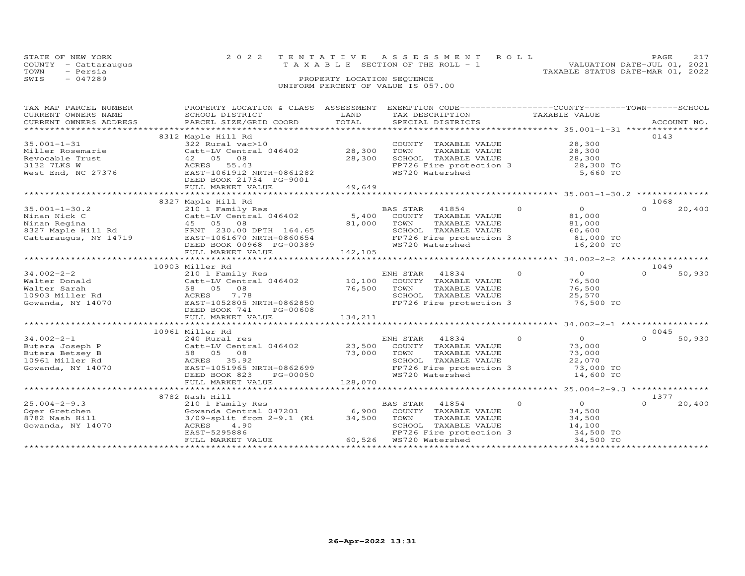|      | STATE OF NEW YORK<br>COUNTY - Cattaraugus | 2022 TENTATIVE ASSESSMENT ROLL<br>VALUATION DATE-JUL 01, 2021<br>T A X A B L E SECTION OF THE ROLL - 1 | <b>PAGE</b> | 217 |
|------|-------------------------------------------|--------------------------------------------------------------------------------------------------------|-------------|-----|
| TOWN | - Persia                                  | TAXABLE STATUS DATE-MAR 01, 2022                                                                       |             |     |
| SWIS | $-047289$                                 | PROPERTY LOCATION SEQUENCE<br>UNIFORM PERCENT OF VALUE IS 057.00                                       |             |     |

| TAX MAP PARCEL NUMBER<br>CURRENT OWNERS NAME | PROPERTY LOCATION & CLASS ASSESSMENT EXEMPTION CODE----------------COUNTY-------TOWN------SCHOOL<br>SCHOOL DISTRICT | LAND                             | TAX DESCRIPTION                            |          | TAXABLE VALUE                                |                  |             |
|----------------------------------------------|---------------------------------------------------------------------------------------------------------------------|----------------------------------|--------------------------------------------|----------|----------------------------------------------|------------------|-------------|
| CURRENT OWNERS ADDRESS                       | PARCEL SIZE/GRID COORD                                                                                              | TOTAL                            | SPECIAL DISTRICTS                          |          |                                              |                  | ACCOUNT NO. |
|                                              | 8312 Maple Hill Rd                                                                                                  |                                  |                                            |          |                                              | 0143             |             |
| $35.001 - 1 - 31$                            | 322 Rural vac>10                                                                                                    |                                  | COUNTY TAXABLE VALUE                       |          | 28,300                                       |                  |             |
| Miller Rosemarie                             | Catt-LV Central 046402                                                                                              | 28,300                           | TOWN<br>TAXABLE VALUE                      |          | 28,300                                       |                  |             |
| Revocable Trust                              | 42 05<br>08                                                                                                         | 28,300                           | SCHOOL TAXABLE VALUE                       |          | 28,300                                       |                  |             |
| 3132 7LKS W                                  | ACRES 55.43                                                                                                         |                                  | FP726 Fire protection 3                    |          | 28,300 TO                                    |                  |             |
| West End, NC 27376                           | EAST-1061912 NRTH-0861282<br>DEED BOOK 21734 PG-9001                                                                |                                  | WS720 Watershed                            |          | 5,660 TO                                     |                  |             |
|                                              | FULL MARKET VALUE                                                                                                   | 49,649                           |                                            |          |                                              |                  |             |
|                                              |                                                                                                                     |                                  |                                            |          |                                              |                  |             |
|                                              | 8327 Maple Hill Rd                                                                                                  |                                  |                                            |          |                                              | 1068             |             |
| $35.001 - 1 - 30.2$                          | 210 1 Family Res                                                                                                    |                                  | BAS STAR<br>41854                          | $\Omega$ | $\overline{O}$                               | $\Omega$         | 20,400      |
| Ninan Nick C                                 | Catt-LV Central 046402                                                                                              |                                  | 5,400 COUNTY TAXABLE VALUE                 |          | 81,000                                       |                  |             |
| Ninan Regina                                 | 45 05 08                                                                                                            | 81,000                           | TOWN<br>TAXABLE VALUE                      |          | 81,000                                       |                  |             |
|                                              | FRNT 230.00 DPTH 164.65                                                                                             |                                  | SCHOOL TAXABLE VALUE                       |          | 60,600                                       |                  |             |
| Cattaraugus, NY 14719                        | EAST-1061670 NRTH-0860654                                                                                           |                                  | FP726 Fire protection 3                    |          | 81,000 TO                                    |                  |             |
|                                              | DEED BOOK 00968 PG-00389                                                                                            |                                  | WS720 Watershed                            |          | 16,200 TO                                    |                  |             |
|                                              | FULL MARKET VALUE<br>****************************                                                                   | 142,105<br>********************* |                                            |          |                                              |                  |             |
|                                              |                                                                                                                     |                                  |                                            |          | ******************** 34.002-2-2 ************ |                  |             |
| $34.002 - 2 - 2$                             | 10903 Miller Rd<br>210 1 Family Res                                                                                 |                                  | ENH STAR<br>41834                          | $\circ$  | $\circ$                                      | 1049<br>$\Omega$ | 50,930      |
| Walter Donald                                | Catt-LV Central 046402                                                                                              |                                  | 10,100 COUNTY TAXABLE VALUE                |          | 76,500                                       |                  |             |
| Walter Sarah                                 | 58 05<br>08                                                                                                         | 76,500                           | TOWN<br>TAXABLE VALUE                      |          | 76,500                                       |                  |             |
| 10903 Miller Rd                              | 7.78<br>ACRES                                                                                                       |                                  | SCHOOL TAXABLE VALUE                       |          | 25,570                                       |                  |             |
| Gowanda, NY 14070                            | EAST-1052805 NRTH-0862850                                                                                           |                                  | FP726 Fire protection 3                    |          | 76,500 TO                                    |                  |             |
|                                              | DEED BOOK 741<br>PG-00608                                                                                           |                                  |                                            |          |                                              |                  |             |
|                                              | FULL MARKET VALUE                                                                                                   | 134,211                          |                                            |          |                                              |                  |             |
|                                              |                                                                                                                     |                                  |                                            |          |                                              |                  |             |
|                                              | 10961 Miller Rd                                                                                                     |                                  |                                            |          |                                              | 0045             |             |
| $34.002 - 2 - 1$                             | 240 Rural res                                                                                                       |                                  | ENH STAR 41834                             | $\circ$  | $\Omega$                                     | $\Omega$         | 50,930      |
| Butera Joseph P                              | Catt-LV Central 046402 23,500                                                                                       |                                  | COUNTY TAXABLE VALUE                       |          | 73,000                                       |                  |             |
| Butera Betsey B                              | 58 05 08                                                                                                            | 73,000                           | TOWN<br>TAXABLE VALUE                      |          | 73,000                                       |                  |             |
| 10961 Miller Rd                              | 35.92<br>ACRES                                                                                                      |                                  | SCHOOL TAXABLE VALUE                       |          | 22,070                                       |                  |             |
| Gowanda, NY 14070                            | EAST-1051965 NRTH-0862699                                                                                           |                                  | FP726 Fire protection 3<br>WS720 Watershed |          | 73,000 TO                                    |                  |             |
|                                              | DEED BOOK 823<br>PG-00050<br>FULL MARKET VALUE                                                                      | 128,070                          |                                            |          | 14,600 TO                                    |                  |             |
|                                              |                                                                                                                     |                                  |                                            |          |                                              |                  |             |
|                                              | 8782 Nash Hill                                                                                                      |                                  |                                            |          |                                              | 1377             |             |
| $25.004 - 2 - 9.3$                           | 210 1 Family Res                                                                                                    |                                  | BAS STAR 41854                             | $\Omega$ | $\Omega$                                     | $\Omega$         | 20,400      |
| Oger Gretchen                                | Gowanda Central 047201                                                                                              | 6,900                            | COUNTY TAXABLE VALUE                       |          | 34,500                                       |                  |             |
| 8782 Nash Hill                               | 3/09-split from 2-9.1 (Ki                                                                                           | 34,500                           | TOWN<br>TAXABLE VALUE                      |          | 34,500                                       |                  |             |
| Gowanda, NY 14070                            | 4.90<br>ACRES                                                                                                       |                                  | SCHOOL TAXABLE VALUE                       |          | 14,100                                       |                  |             |
|                                              | EAST-5295886                                                                                                        |                                  | FP726 Fire protection 3                    |          | 34,500 TO                                    |                  |             |
|                                              | FULL MARKET VALUE                                                                                                   |                                  | 60,526 WS720 Watershed                     |          | 34,500 TO                                    |                  |             |
|                                              |                                                                                                                     |                                  |                                            |          |                                              |                  |             |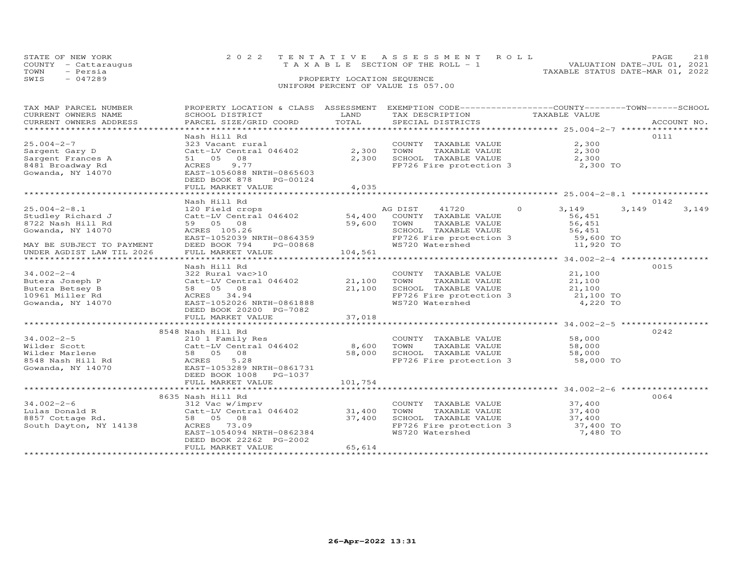| TOWN | STATE OF NEW YORK<br>COUNTY - Cattaraugus<br>- Persia | 2022 TENTATIVE ASSESSMENT ROLL<br>VALUATION DATE-JUL 01, 2021<br>$T A X A B L E$ SECTION OF THE ROLL - 1<br>TAXABLE STATUS DATE-MAR 01, 2022 | <b>PAGE</b> | 218 |
|------|-------------------------------------------------------|----------------------------------------------------------------------------------------------------------------------------------------------|-------------|-----|
| SWIS | $-047289$                                             | PROPERTY LOCATION SEQUENCE<br>UNIFORM PERCENT OF VALUE IS 057.00                                                                             |             |     |

| TAX MAP PARCEL NUMBER<br>TAX PIRE PARCEL SURFACE DISTRICT TRANSPORT TO TAXABLE VALUE<br>CURRENT OWNERS NAME SCHOOL DISTRICT DAND TOTAL TAX DESCRIPTION TAXABLE VALUE<br>CURRENT OWNERS ADDRESS PARCEL SIZE/GRID COORD TOTAL SPECIAL DISTRICTS ACCOUNT NO.<br>CURRENT OWNERS ADDRESS | PROPERTY LOCATION & CLASS ASSESSMENT EXEMPTION CODE----------------COUNTY-------TOWN------SCHOOL                                                                          |                         |                                                                                                                                                                                                                |                                                |       |       |
|-------------------------------------------------------------------------------------------------------------------------------------------------------------------------------------------------------------------------------------------------------------------------------------|---------------------------------------------------------------------------------------------------------------------------------------------------------------------------|-------------------------|----------------------------------------------------------------------------------------------------------------------------------------------------------------------------------------------------------------|------------------------------------------------|-------|-------|
| $25.004 - 2 - 7$<br>Sargent Gary D<br>Sargent Frances A<br>8481 Broadway Rd<br>Gowanda, NY 14070                                                                                                                                                                                    | Nash Hill Rd<br>323 Vacant rural<br>Catt-LV Central 046402<br>51 05 08<br>9.77<br>ACRES<br>EAST-1056088 NRTH-0865603<br>DEED BOOK 878<br>PG-00124<br>FULL MARKET VALUE    | 2,300<br>2,300<br>4,035 | COUNTY TAXABLE VALUE<br>TAXABLE VALUE<br>TOWN                                                                                                                                                                  | 2,300<br>2,300<br>2,300 TO                     | 0111  |       |
|                                                                                                                                                                                                                                                                                     | Nash Hill Rd                                                                                                                                                              |                         |                                                                                                                                                                                                                |                                                | 0142  |       |
| $25.004 - 2 - 8.1$<br>Studley Richard J<br>8722 Nash Hill Rd<br>Gowanda, NY 14070<br>MAY BE SUBJECT TO PAYMENT<br>UNDER AGDIST LAW TIL 2026                                                                                                                                         | 59 05 08<br>ACRES 105.26<br>EAST-1052039 NRTH-0864359<br>DEED BOOK 794<br>PG-00868<br>FULL MARKET VALUE                                                                   | 59,600 TOWN<br>104,561  | AG DIST 41720 0 3,149<br>TAXABLE VALUE<br>TOWN TAXABLE VALUE<br>SCHOOL TAXABLE VALUE 56,451<br>FP726 Fire protection 3 59,600 TO<br>ELLET 11,920 TO<br>11,920 TO<br>FP726 Fire protection 3<br>WS720 Watershed | 56,451<br>56,451                               | 3,149 | 3,149 |
|                                                                                                                                                                                                                                                                                     |                                                                                                                                                                           |                         |                                                                                                                                                                                                                |                                                |       |       |
| $34.002 - 2 - 4$<br>Butera Joseph P<br>Butera Betsey B<br>10961 Miller Rd<br>Gowanda, NY 14070<br>Gowanda, NY 14070                                                                                                                                                                 | Nash Hill Rd<br>322 Rural vac>10<br>Catt-LV Central 046402 21,100<br>58 05 08<br>ACRES 34.94<br>EAST-1052026 NRTH-0861888<br>DEED BOOK 20200 PG-7082<br>FULL MARKET VALUE | 21,100<br>37,018        | COUNTY TAXABLE VALUE 21,100<br>TOWN TAXABLE VALUE 21,100<br>SCHOOL TAXABLE VALUE 21,100<br>FP726 Fire protection 3<br>WS720 Watershed 4,220 TO                                                                 |                                                | 0015  |       |
|                                                                                                                                                                                                                                                                                     | *****************************                                                                                                                                             | *************           |                                                                                                                                                                                                                | ********************** 34.002-2-5 ************ |       |       |
| $34.002 - 2 - 5$                                                                                                                                                                                                                                                                    | 8548 Nash Hill Rd<br>210 1 Family Res<br>210 1 Family Res<br>Catt-LV Central 046402 8,600<br>DEED BOOK 1008 PG-1037                                                       | 58,000                  | COUNTY TAXABLE VALUE 58,000<br>TOWN TAXABLE VALUE 58.000<br>TOWN TAXABLE VALUE<br>SCHOOL TAXABLE VALUE 58,000<br>- Antention 3 58,000 TO                                                                       |                                                | 0242  |       |
|                                                                                                                                                                                                                                                                                     | FULL MARKET VALUE                                                                                                                                                         | 101,754                 |                                                                                                                                                                                                                |                                                |       |       |
|                                                                                                                                                                                                                                                                                     |                                                                                                                                                                           |                         |                                                                                                                                                                                                                |                                                |       |       |
|                                                                                                                                                                                                                                                                                     | 8635 Nash Hill Rd<br>EAST-1054094 NRTH-0862384<br>DEED BOOK 22262 PG-2002<br>FULL MARKET VALUE                                                                            | 65,614                  | COUNTY TAXABLE VALUE<br>TOWN      TAXABLE VALUE<br>SCHOOL TAXABLE VALUE 37,400<br>FP726 Fire protection 3 37,400 TO<br>WS720 Watershed                                                                         | 37,400<br>37,400<br>7,480 TO                   | 0064  |       |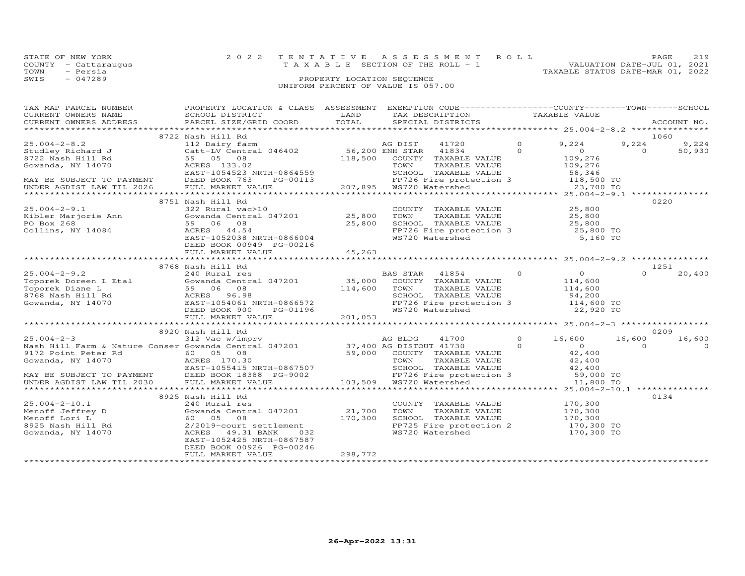|      | STATE OF NEW YORK    | 2022 TENTATIVE ASSESSMENT ROLL                                 | <b>PAGE</b> | 219 |
|------|----------------------|----------------------------------------------------------------|-------------|-----|
|      | COUNTY - Cattaraugus | VALUATION DATE-JUL 01, 2021<br>TAXABLE SECTION OF THE ROLL - 1 |             |     |
| TOWN | - Persia             | TAXABLE STATUS DATE-MAR 01, 2022                               |             |     |
| SWIS | $-047289$            | PROPERTY LOCATION SEQUENCE                                     |             |     |
|      |                      | UNIFORM PERCENT OF VALUE IS 057.00                             |             |     |
|      |                      |                                                                |             |     |

| TAX MAP PARCEL NUMBER<br>CURRENT OWNERS NAME<br>CURRENT OWNERS ADDRESS | PROPERTY LOCATION & CLASS ASSESSMENT<br>SCHOOL DISTRICT<br>PARCEL SIZE/GRID COORD | LAND<br>TOTAL    | EXEMPTION CODE-----------------COUNTY-------TOWN-----SCHOOL<br>TAX DESCRIPTION<br>SPECIAL DISTRICTS |          | TAXABLE VALUE                             |          | ACCOUNT NO. |
|------------------------------------------------------------------------|-----------------------------------------------------------------------------------|------------------|-----------------------------------------------------------------------------------------------------|----------|-------------------------------------------|----------|-------------|
| ***********************                                                |                                                                                   |                  |                                                                                                     |          |                                           |          |             |
|                                                                        | 8722 Nash Hill Rd                                                                 |                  |                                                                                                     |          |                                           |          | 1060        |
| $25.004 - 2 - 8.2$                                                     | 112 Dairy farm                                                                    |                  | AG DIST<br>41720                                                                                    | $\circ$  | 9,224                                     | 9,224    | 9,224       |
| Studley Richard J                                                      | Catt-LV Central 046402                                                            |                  | 56,200 ENH STAR<br>41834                                                                            | $\Omega$ | $\circ$                                   | $\Omega$ | 50,930      |
| 8722 Nash Hill Rd                                                      | 59 05<br>08                                                                       | 118,500          | COUNTY TAXABLE VALUE                                                                                |          | 109,276                                   |          |             |
| Gowanda, NY 14070                                                      | ACRES 133.02                                                                      |                  | TAXABLE VALUE<br>TOWN                                                                               |          | 109,276                                   |          |             |
|                                                                        | EAST-1054523 NRTH-0864559                                                         |                  | SCHOOL TAXABLE VALUE                                                                                |          | 58,346                                    |          |             |
| MAY BE SUBJECT TO PAYMENT                                              | DEED BOOK 763<br>PG-00113                                                         |                  | FP726 Fire protection 3                                                                             |          | 118,500 TO                                |          |             |
| UNDER AGDIST LAW TIL 2026                                              | FULL MARKET VALUE                                                                 | 207,895          | WS720 Watershed                                                                                     |          | 23,700 TO                                 |          |             |
| *********************                                                  | ***************************                                                       | **************** |                                                                                                     |          | ********* 25.004-2-9.1 *************      |          |             |
|                                                                        | 8751 Nash Hill Rd                                                                 |                  |                                                                                                     |          |                                           |          | 0220        |
| $25.004 - 2 - 9.1$                                                     | 322 Rural vac>10                                                                  |                  | COUNTY TAXABLE VALUE                                                                                |          | 25,800                                    |          |             |
| Kibler Marjorie Ann                                                    | Gowanda Central 047201                                                            | 25,800           | TOWN<br>TAXABLE VALUE                                                                               |          | 25,800                                    |          |             |
| PO Box 268                                                             | 59 06 08                                                                          | 25,800           | SCHOOL TAXABLE VALUE                                                                                |          | 25,800                                    |          |             |
| Collins, NY 14084                                                      | ACRES<br>44.54                                                                    |                  | FP726 Fire protection 3                                                                             |          | 25,800 TO                                 |          |             |
|                                                                        | EAST-1052038 NRTH-0866004                                                         |                  | WS720 Watershed                                                                                     |          | 5,160 TO                                  |          |             |
|                                                                        | DEED BOOK 00949 PG-00216                                                          |                  |                                                                                                     |          |                                           |          |             |
|                                                                        | FULL MARKET VALUE                                                                 | 45,263           |                                                                                                     |          |                                           |          |             |
|                                                                        |                                                                                   |                  |                                                                                                     |          |                                           |          |             |
|                                                                        | 8768 Nash Hill Rd                                                                 |                  |                                                                                                     |          |                                           |          | 1251        |
| $25.004 - 2 - 9.2$                                                     | 240 Rural res                                                                     |                  | BAS STAR<br>41854                                                                                   | $\Omega$ | $\circ$                                   | $\Omega$ | 20,400      |
| Toporek Doreen L Etal                                                  | Gowanda Central 047201                                                            | 35,000           | COUNTY TAXABLE VALUE                                                                                |          | 114,600                                   |          |             |
| Toporek Diane L                                                        | 59 06 08                                                                          | 114,600          | TOWN<br>TAXABLE VALUE                                                                               |          | 114,600                                   |          |             |
| 8768 Nash Hill Rd                                                      | ACRES 96.98                                                                       |                  | SCHOOL TAXABLE VALUE                                                                                |          | 94,200                                    |          |             |
| Gowanda, NY 14070                                                      | EAST-1054061 NRTH-0866572                                                         |                  | FP726 Fire protection 3                                                                             |          | 114,600 TO                                |          |             |
|                                                                        | DEED BOOK 900<br>PG-01196                                                         |                  | WS720 Watershed                                                                                     |          | 22,920 TO                                 |          |             |
|                                                                        | FULL MARKET VALUE                                                                 | 201,053          |                                                                                                     |          |                                           |          |             |
|                                                                        |                                                                                   |                  | ***************************                                                                         |          | *************** 25.004-2-3 ************** |          |             |
|                                                                        | 8920 Nash Hill Rd                                                                 |                  |                                                                                                     |          |                                           |          | 0209        |
| $25.004 - 2 - 3$                                                       | 312 Vac w/imprv                                                                   |                  | AG BLDG<br>41700                                                                                    | $\Omega$ | 16,600                                    | 16,600   | 16,600      |
| Nash Hill Farm & Nature Conser Gowanda Central 047201                  |                                                                                   |                  | 37,400 AG DISTOUT 41730                                                                             | $\Omega$ | $\Omega$                                  | $\Omega$ | $\Omega$    |
| 9172 Point Peter Rd                                                    | 60  05  08                                                                        | 59,000           | COUNTY TAXABLE VALUE                                                                                |          | 42,400                                    |          |             |
| Gowanda, NY 14070                                                      | ACRES 170.30                                                                      |                  | TOWN<br>TAXABLE VALUE                                                                               |          | 42,400                                    |          |             |
|                                                                        | EAST-1055415 NRTH-0867507                                                         |                  | SCHOOL TAXABLE VALUE                                                                                |          | 42,400                                    |          |             |
| MAY BE SUBJECT TO PAYMENT                                              | DEED BOOK 18388 PG-9002                                                           |                  | FP726 Fire protection 3                                                                             |          | 59,000 TO                                 |          |             |
| UNDER AGDIST LAW TIL 2030                                              | FULL MARKET VALUE                                                                 | 103,509          | WS720 Watershed                                                                                     |          | 11,800 TO                                 |          |             |
|                                                                        | ***********************                                                           |                  |                                                                                                     |          | $25.004 - 2 - 10.1$ **************        |          |             |
|                                                                        | 8925 Nash Hill Rd                                                                 |                  |                                                                                                     |          |                                           |          | 0134        |
| $25.004 - 2 - 10.1$                                                    | 240 Rural res                                                                     |                  | COUNTY TAXABLE VALUE                                                                                |          | 170,300                                   |          |             |
| Menoff Jeffrey D                                                       | Gowanda Central 047201                                                            | 21,700           | TOWN<br>TAXABLE VALUE                                                                               |          | 170,300                                   |          |             |
|                                                                        | 08                                                                                | 170,300          |                                                                                                     |          |                                           |          |             |
| Menoff Lori L                                                          | 60 05                                                                             |                  | SCHOOL TAXABLE VALUE                                                                                |          | 170,300                                   |          |             |
| 8925 Nash Hill Rd                                                      | 2/2019-court settlement                                                           |                  | FP725 Fire protection 2                                                                             |          | 170,300 TO                                |          |             |
| Gowanda, NY 14070                                                      | ACRES 49.31 BANK<br>032                                                           |                  | WS720 Watershed                                                                                     |          | 170,300 TO                                |          |             |
|                                                                        | EAST-1052425 NRTH-0867587                                                         |                  |                                                                                                     |          |                                           |          |             |
|                                                                        | DEED BOOK 00926 PG-00246                                                          |                  |                                                                                                     |          |                                           |          |             |
|                                                                        | FULL MARKET VALUE                                                                 | 298,772          |                                                                                                     |          |                                           |          |             |
|                                                                        |                                                                                   |                  |                                                                                                     |          |                                           |          |             |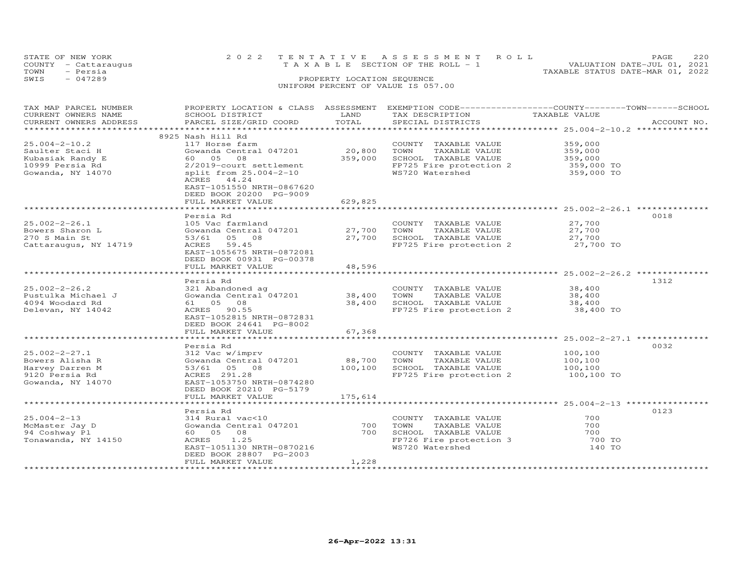| STATE OF NEW YORK<br>COUNTY - Cattaraugus<br>- Persia<br>TOWN |                                      |                            | 2022 TENTATIVE ASSESSMENT ROLL<br>T A X A B L E SECTION OF THE ROLL - 1 | TAXABLE STATUS DATE-MAR 01, 2022 | PAGE<br>VALUATION DATE-JUL 01, 2021 | 220     |
|---------------------------------------------------------------|--------------------------------------|----------------------------|-------------------------------------------------------------------------|----------------------------------|-------------------------------------|---------|
| $-047289$<br>SWIS                                             |                                      | PROPERTY LOCATION SEQUENCE | UNIFORM PERCENT OF VALUE IS 057.00                                      |                                  |                                     |         |
| TAX MAP PARCEL NUMBER                                         | PROPERTY LOCATION & CLASS ASSESSMENT |                            | EXEMPTION CODE-----------------COUNTY------TOWN----                     |                                  |                                     | -SCHOOL |

| CURRENT OWNERS NAME    | SCHOOL DISTRICT                                              | LAND    | TAX DESCRIPTION         | TAXABLE VALUE                                      |                |
|------------------------|--------------------------------------------------------------|---------|-------------------------|----------------------------------------------------|----------------|
| CURRENT OWNERS ADDRESS | PARCEL SIZE/GRID COORD                                       | TOTAL   | SPECIAL DISTRICTS       |                                                    | ACCOUNT NO.    |
|                        | ******************                                           |         |                         |                                                    | ************** |
|                        | 8925 Nash Hill Rd                                            |         |                         |                                                    |                |
| $25.004 - 2 - 10.2$    | 117 Horse farm                                               |         | COUNTY TAXABLE VALUE    | 359,000                                            |                |
| Saulter Staci H        | Gowanda Central 047201                                       | 20,800  | TOWN<br>TAXABLE VALUE   | 359,000                                            |                |
| Kubasiak Randy E       | 08<br>60 05                                                  | 359,000 | SCHOOL TAXABLE VALUE    | 359,000                                            |                |
| 10999 Persia Rd        | 2/2019-court settlement                                      |         | FP725 Fire protection 2 | 359,000 TO                                         |                |
| Gowanda, NY 14070      | split from 25.004-2-10                                       |         | WS720 Watershed         | 359,000 TO                                         |                |
|                        | ACRES 44.24                                                  |         |                         |                                                    |                |
|                        | EAST-1051550 NRTH-0867620                                    |         |                         |                                                    |                |
|                        | DEED BOOK 20200 PG-9009                                      |         |                         |                                                    |                |
|                        | FULL MARKET VALUE                                            | 629,825 |                         |                                                    |                |
|                        |                                                              |         |                         |                                                    |                |
|                        | Persia Rd                                                    |         |                         |                                                    | 0018           |
| $25.002 - 2 - 26.1$    | 105 Vac farmland                                             |         | COUNTY TAXABLE VALUE    | 27,700                                             |                |
| Bowers Sharon L        | Gowanda Central 047201                                       | 27,700  | TAXABLE VALUE<br>TOWN   | 27,700                                             |                |
| 270 S Main St          | 53/61<br>05 08                                               | 27,700  | SCHOOL TAXABLE VALUE    | 27,700                                             |                |
| Cattaraugus, NY 14719  | 59.45<br>ACRES                                               |         | FP725 Fire protection 2 | 27,700 TO                                          |                |
|                        | EAST-1055675 NRTH-0872081                                    |         |                         |                                                    |                |
|                        | DEED BOOK 00931 PG-00378                                     |         |                         |                                                    |                |
|                        | FULL MARKET VALUE                                            | 48,596  |                         |                                                    |                |
|                        |                                                              |         |                         | ***************** 25.002-2-26.2 **************     |                |
|                        | Persia Rd                                                    |         |                         |                                                    | 1312           |
| $25.002 - 2 - 26.2$    | 321 Abandoned ag                                             |         | COUNTY TAXABLE VALUE    | 38,400                                             |                |
| Pustulka Michael J     | Gowanda Central 047201                                       | 38,400  | TOWN<br>TAXABLE VALUE   | 38,400                                             |                |
| 4094 Woodard Rd        | 61 05<br>08                                                  | 38,400  | SCHOOL TAXABLE VALUE    | 38,400                                             |                |
| Delevan, NY 14042      | ACRES<br>90.55                                               |         | FP725 Fire protection 2 | 38,400 TO                                          |                |
|                        | EAST-1052815 NRTH-0872831                                    |         |                         |                                                    |                |
|                        | DEED BOOK 24641 PG-8002                                      |         |                         |                                                    |                |
|                        | FULL MARKET VALUE                                            | 67,368  |                         |                                                    |                |
|                        | ******************                                           |         |                         | ********************* 25.002-2-27.1 ************** |                |
|                        | Persia Rd                                                    |         |                         |                                                    | 0032           |
| $25.002 - 2 - 27.1$    | 312 Vac w/imprv                                              |         | COUNTY TAXABLE VALUE    | 100,100                                            |                |
| Bowers Alisha R        | Gowanda Central 047201                                       | 88,700  | TAXABLE VALUE<br>TOWN   | 100,100                                            |                |
| Harvey Darren M        | 53/61<br>05 08                                               | 100,100 | SCHOOL TAXABLE VALUE    | 100,100                                            |                |
|                        | ACRES 291.28                                                 |         | FP725 Fire protection 2 |                                                    |                |
| 9120 Persia Rd         | EAST-1053750 NRTH-0874280                                    |         |                         | 100,100 TO                                         |                |
| Gowanda, NY 14070      |                                                              |         |                         |                                                    |                |
|                        | DEED BOOK 20210 PG-5179                                      |         |                         |                                                    |                |
|                        | FULL MARKET VALUE                                            | 175,614 |                         |                                                    |                |
|                        |                                                              |         |                         |                                                    |                |
|                        | Persia Rd                                                    |         |                         | 700                                                | 0123           |
| $25.004 - 2 - 13$      | 314 Rural vac<10                                             |         | COUNTY TAXABLE VALUE    |                                                    |                |
| McMaster Jay D         | Gowanda Central 047201                                       | 700     | TOWN<br>TAXABLE VALUE   | 700                                                |                |
| 94 Coshway Pl          | 60  05  08                                                   | 700     | SCHOOL TAXABLE VALUE    | 700                                                |                |
| Tonawanda, NY 14150    | 1.25<br>ACRES                                                |         | FP726 Fire protection 3 | 700 TO                                             |                |
|                        | EAST-1051130 NRTH-0870216                                    |         | WS720 Watershed         | 140 TO                                             |                |
|                        | DEED BOOK 28807 PG-2003                                      |         |                         |                                                    |                |
|                        | FULL MARKET VALUE<br>* * * * * * * * * * * * * * * * * * * * | 1,228   |                         |                                                    |                |
|                        |                                                              |         |                         |                                                    |                |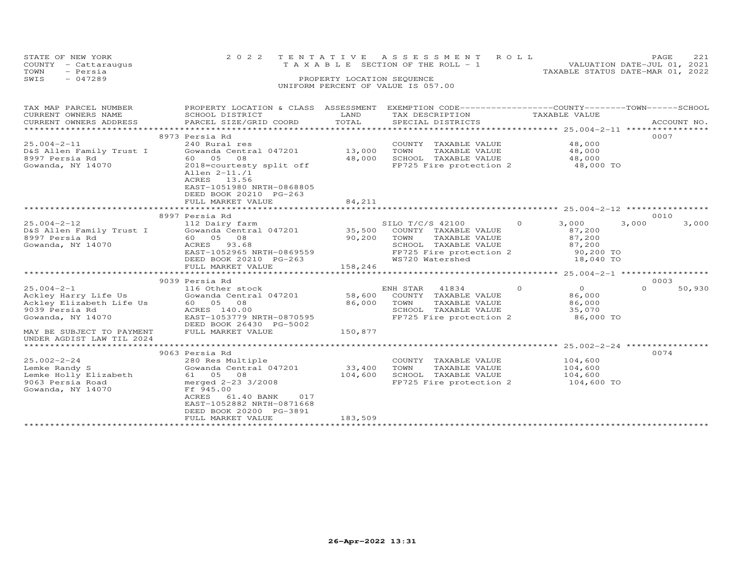| STATE OF NEW YORK<br>COUNTY<br>TOWN | - Cattaraugus<br>- Persia |                           |                            | 2022 TENTATIVE ASSESSMENT ROLL<br>T A X A B L E SECTION OF THE ROLL - 1 |  | TAXABLE STATUS DATE-MAR 01, 2022                              | PAGE<br>VALUATION DATE-JUL 01, 2021 | 221 |
|-------------------------------------|---------------------------|---------------------------|----------------------------|-------------------------------------------------------------------------|--|---------------------------------------------------------------|-------------------------------------|-----|
| SWIS                                | $-047289$                 |                           | PROPERTY LOCATION SEQUENCE | UNIFORM PERCENT OF VALUE IS 057.00                                      |  |                                                               |                                     |     |
|                                     | TAX MAP PARCEL NUMBER     | PROPERTY LOCATION & CLASS | ASSESSMENT                 |                                                                         |  | EXEMPTION CODE-----------------COUNTY--------TOWN------SCHOOL |                                     |     |

| CURRENT OWNERS NAME<br>CURRENT OWNERS ADDRESS                                                               | SCHOOL DISTRICT<br>PARCEL SIZE/GRID COORD                                                                                       | LAND<br>TOTAL    | TAX DESCRIPTION<br>SPECIAL DISTRICTS                                                                                                    |          | TAXABLE VALUE                                                 | ACCOUNT NO.        |
|-------------------------------------------------------------------------------------------------------------|---------------------------------------------------------------------------------------------------------------------------------|------------------|-----------------------------------------------------------------------------------------------------------------------------------------|----------|---------------------------------------------------------------|--------------------|
| ***************                                                                                             |                                                                                                                                 |                  |                                                                                                                                         |          |                                                               |                    |
|                                                                                                             | 8973 Persia Rd                                                                                                                  |                  |                                                                                                                                         |          |                                                               | 0007               |
| $25.004 - 2 - 11$                                                                                           | 240 Rural res                                                                                                                   |                  | COUNTY TAXABLE VALUE                                                                                                                    |          | 48,000                                                        |                    |
| D&S Allen Family Trust I                                                                                    | Gowanda Central 047201                                                                                                          | 13,000           | TOWN<br>TAXABLE VALUE                                                                                                                   |          | 48,000                                                        |                    |
| 8997 Persia Rd                                                                                              | 60 05<br>08                                                                                                                     | 48,000           | SCHOOL TAXABLE VALUE                                                                                                                    |          | 48,000                                                        |                    |
| Gowanda, NY 14070                                                                                           | 2018=courtesty split off<br>Allen 2-11./1<br>ACRES 13.56<br>EAST-1051980 NRTH-0868805<br>DEED BOOK 20210 PG-263                 |                  | FP725 Fire protection 2                                                                                                                 |          | 48,000 TO                                                     |                    |
|                                                                                                             | FULL MARKET VALUE                                                                                                               | 84,211           |                                                                                                                                         |          |                                                               |                    |
|                                                                                                             |                                                                                                                                 |                  |                                                                                                                                         |          |                                                               |                    |
|                                                                                                             | 8997 Persia Rd                                                                                                                  |                  |                                                                                                                                         |          |                                                               | 0010               |
| $25.004 - 2 - 12$<br>D&S Allen Family Trust I<br>8997 Persia Rd<br>Gowanda, NY 14070                        | 112 Dairy farm<br>Gowanda Central 047201<br>60  05  08<br>93.68<br>ACRES<br>EAST-1052965 NRTH-0869559<br>DEED BOOK 20210 PG-263 | 35,500<br>90,200 | SILO T/C/S 42100<br>COUNTY TAXABLE VALUE<br>TOWN<br>TAXABLE VALUE<br>SCHOOL TAXABLE VALUE<br>FP725 Fire protection 2<br>WS720 Watershed | $\circ$  | 3,000<br>87,200<br>87,200<br>87,200<br>90,200 TO<br>18,040 TO | 3,000<br>3,000     |
|                                                                                                             | FULL MARKET VALUE                                                                                                               | 158,246          |                                                                                                                                         |          |                                                               |                    |
|                                                                                                             |                                                                                                                                 |                  |                                                                                                                                         |          |                                                               |                    |
|                                                                                                             | 9039 Persia Rd                                                                                                                  |                  |                                                                                                                                         |          |                                                               | 0003               |
| $25.004 - 2 - 1$<br>Ackley Harry Life Us<br>Ackley Elizabeth Life Us<br>9039 Persia Rd<br>Gowanda, NY 14070 | 116 Other stock<br>Gowanda Central 047201<br>60  05  08<br>ACRES 140.00<br>EAST-1053779 NRTH-0870595<br>DEED BOOK 26430 PG-5002 | 58,600<br>86,000 | ENH STAR<br>41834<br>COUNTY TAXABLE VALUE<br>TOWN<br>TAXABLE VALUE<br>SCHOOL TAXABLE VALUE<br>FP725 Fire protection 2                   | $\Omega$ | $\overline{O}$<br>86,000<br>86,000<br>35,070<br>86,000 TO     | $\Omega$<br>50,930 |
| MAY BE SUBJECT TO PAYMENT<br>UNDER AGDIST LAW TIL 2024                                                      | FULL MARKET VALUE                                                                                                               | 150,877          |                                                                                                                                         |          |                                                               |                    |
|                                                                                                             |                                                                                                                                 |                  |                                                                                                                                         |          |                                                               |                    |
| $25.002 - 2 - 24$                                                                                           | 9063 Persia Rd                                                                                                                  |                  |                                                                                                                                         |          | 104,600                                                       | 0074               |
| Lemke Randy S                                                                                               | 280 Res Multiple<br>Gowanda Central 047201                                                                                      | 33,400           | COUNTY TAXABLE VALUE<br>TOWN<br>TAXABLE VALUE                                                                                           |          | 104,600                                                       |                    |
| Lemke Holly Elizabeth                                                                                       | 61 05 08                                                                                                                        | 104,600          | SCHOOL TAXABLE VALUE                                                                                                                    |          | 104,600                                                       |                    |
| 9063 Persia Road<br>Gowanda, NY 14070                                                                       | merged 2-23 3/2008<br>Ff 945.00<br>61.40 BANK<br>017<br>ACRES<br>EAST-1052882 NRTH-0871668<br>DEED BOOK 20200 PG-3891           |                  | FP725 Fire protection 2                                                                                                                 |          | 104,600 TO                                                    |                    |
|                                                                                                             | FULL MARKET VALUE                                                                                                               | 183,509          |                                                                                                                                         |          |                                                               |                    |
|                                                                                                             |                                                                                                                                 |                  |                                                                                                                                         |          |                                                               |                    |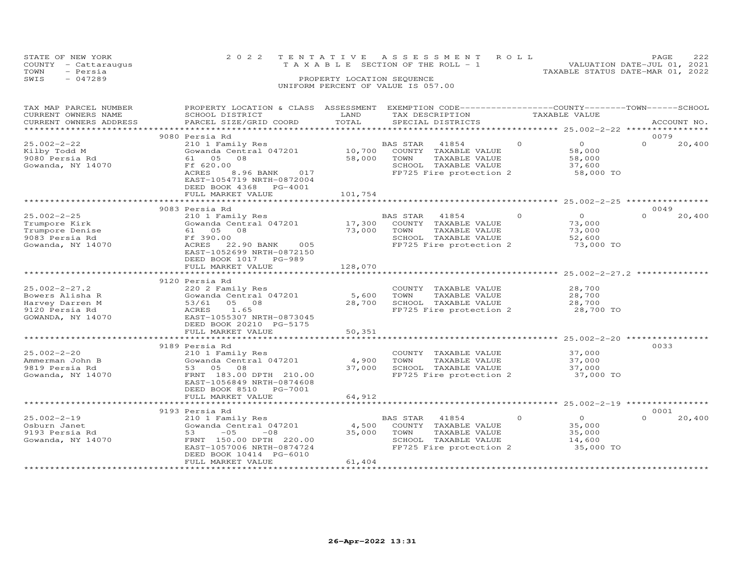|      | STATE OF NEW YORK    | 2022 TENTATIVE ASSESSMENT ROLL     |  |                                  | PAGE                        | 222 |
|------|----------------------|------------------------------------|--|----------------------------------|-----------------------------|-----|
|      | COUNTY - Cattaraugus | TAXABLE SECTION OF THE ROLL - 1    |  |                                  | VALUATION DATE-JUL 01, 2021 |     |
| TOWN | - Persia             |                                    |  | TAXABLE STATUS DATE-MAR 01, 2022 |                             |     |
| SWIS | $-047289$            | PROPERTY LOCATION SEQUENCE         |  |                                  |                             |     |
|      |                      | UNIFORM PERCENT OF VALUE IS 057.00 |  |                                  |                             |     |
|      |                      |                                    |  |                                  |                             |     |

| TAX MAP PARCEL NUMBER<br>CURRENT OWNERS NAME<br>CURRENT OWNERS ADDRESS                           | PROPERTY LOCATION & CLASS ASSESSMENT<br>SCHOOL DISTRICT<br>PARCEL SIZE/GRID COORD                                                                                          | LAND<br>TOTAL               |                  | EXEMPTION CODE-----------------COUNTY-------TOWN------SCHOOL<br>TAX DESCRIPTION<br>SPECIAL DISTRICTS |          | TAXABLE VALUE                                             |          | ACCOUNT NO. |
|--------------------------------------------------------------------------------------------------|----------------------------------------------------------------------------------------------------------------------------------------------------------------------------|-----------------------------|------------------|------------------------------------------------------------------------------------------------------|----------|-----------------------------------------------------------|----------|-------------|
| *********************                                                                            |                                                                                                                                                                            |                             |                  |                                                                                                      |          |                                                           |          |             |
|                                                                                                  | 9080 Persia Rd                                                                                                                                                             |                             |                  |                                                                                                      |          |                                                           | 0079     |             |
| $25.002 - 2 - 22$<br>Kilby Todd M<br>9080 Persia Rd<br>Gowanda, NY 14070                         | 210 1 Family Res<br>Gowanda Central 047201<br>61  05  08<br>Ff 620.00<br>ACRES<br>8.96 BANK<br>017<br>EAST-1054719 NRTH-0872004<br>DEED BOOK 4368 PG-4001                  | 10,700<br>58,000<br>101,754 | BAS STAR<br>TOWN | 41854<br>COUNTY TAXABLE VALUE<br>TAXABLE VALUE<br>SCHOOL TAXABLE VALUE<br>FP725 Fire protection 2    | $\Omega$ | $\circ$<br>58,000<br>58,000<br>37,600<br>58,000 TO        | $\Omega$ | 20,400      |
|                                                                                                  | FULL MARKET VALUE                                                                                                                                                          |                             |                  |                                                                                                      |          |                                                           |          |             |
|                                                                                                  | 9083 Persia Rd                                                                                                                                                             |                             |                  |                                                                                                      |          |                                                           | 0049     |             |
| $25.002 - 2 - 25$<br>Trumpore Kirk<br>Trumpore Denise<br>9083 Persia Rd<br>Gowanda, NY 14070     | 210 1 Family Res<br>Gowanda Central 047201<br>61  05  08<br>Ff 390.00<br>ACRES<br>22.90 BANK 005<br>EAST-1052699 NRTH-0872150<br>DEED BOOK 1017 PG-989                     | 17,300<br>73,000            | BAS STAR<br>TOWN | 41854<br>COUNTY TAXABLE VALUE<br>TAXABLE VALUE<br>SCHOOL TAXABLE VALUE<br>FP725 Fire protection 2    | $\Omega$ | $\Omega$<br>73,000<br>73,000<br>52,600<br>73,000 TO       | $\Omega$ | 20,400      |
|                                                                                                  | FULL MARKET VALUE                                                                                                                                                          | 128,070                     |                  |                                                                                                      |          |                                                           |          |             |
|                                                                                                  |                                                                                                                                                                            | ***************             |                  | ************************************* 25.002-2-27.2 ***                                              |          |                                                           |          |             |
| $25.002 - 2 - 27.2$<br>Bowers Alisha R<br>Harvey Darren M<br>9120 Persia Rd<br>GOWANDA, NY 14070 | 9120 Persia Rd<br>220 2 Family Res<br>Gowanda Central 047201<br>53/61<br>05 08<br>ACRES<br>1.65<br>EAST-1055307 NRTH-0873045<br>DEED BOOK 20210 PG-5175                    | 5,600<br>28,700             | TOWN             | COUNTY TAXABLE VALUE<br>TAXABLE VALUE<br>SCHOOL TAXABLE VALUE<br>FP725 Fire protection 2             |          | 28,700<br>28,700<br>28,700<br>28,700 TO                   |          |             |
|                                                                                                  | FULL MARKET VALUE                                                                                                                                                          | 50,351                      |                  |                                                                                                      |          |                                                           |          |             |
|                                                                                                  |                                                                                                                                                                            |                             |                  |                                                                                                      |          |                                                           |          |             |
| $25.002 - 2 - 20$<br>Ammerman John B<br>9819 Persia Rd<br>Gowanda, NY 14070                      | 9189 Persia Rd<br>210 1 Family Res<br>Gowanda Central 047201<br>53 05 08<br>FRNT 183.00 DPTH 210.00<br>EAST-1056849 NRTH-0874608<br>DEED BOOK 8510<br>PG-7001              | 4,900<br>37,000             | TOWN             | COUNTY TAXABLE VALUE<br>TAXABLE VALUE<br>SCHOOL TAXABLE VALUE<br>FP725 Fire protection 2             |          | 37,000<br>37,000<br>37,000<br>37,000 TO                   | 0033     |             |
|                                                                                                  | FULL MARKET VALUE<br>**********************                                                                                                                                | 64,912                      |                  | ************************ 25.002-2-19 *****************                                               |          |                                                           |          |             |
|                                                                                                  | 9193 Persia Rd                                                                                                                                                             |                             |                  |                                                                                                      |          |                                                           | 0001     |             |
| $25.002 - 2 - 19$<br>Osburn Janet<br>9193 Persia Rd<br>Gowanda, NY 14070                         | 210 1 Family Res<br>Gowanda Central 047201<br>$-05$<br>53<br>$-08$<br>FRNT 150.00 DPTH 220.00<br>EAST-1057006 NRTH-0874724<br>DEED BOOK 10414 PG-6010<br>FULL MARKET VALUE | 4,500<br>35,000<br>61,404   | BAS STAR<br>TOWN | 41854<br>COUNTY TAXABLE VALUE<br>TAXABLE VALUE<br>SCHOOL TAXABLE VALUE<br>FP725 Fire protection 2    | $\circ$  | $\overline{O}$<br>35,000<br>35,000<br>14,600<br>35,000 TO | $\Omega$ | 20,400      |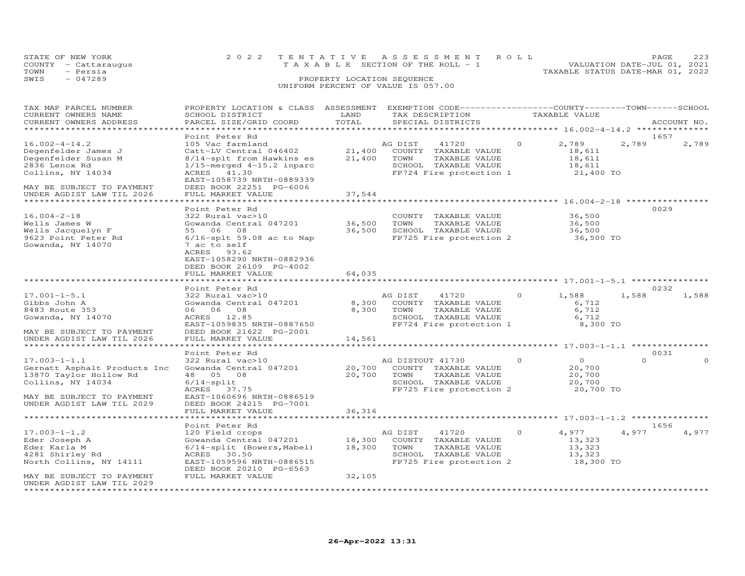| STATE OF NEW YORK    |                                         |  | 2022 TENTATIVE ASSESSMENT ROLL        |  |  |  |                                  | PAGE |  | 223 |
|----------------------|-----------------------------------------|--|---------------------------------------|--|--|--|----------------------------------|------|--|-----|
| COUNTY - Cattaraugus |                                         |  | T A X A B L E SECTION OF THE ROLL - 1 |  |  |  | VALUATION DATE-JUL 01, 2021      |      |  |     |
| TOWN                 | - Persia                                |  |                                       |  |  |  | TAXABLE STATUS DATE-MAR 01, 2022 |      |  |     |
| SWIS                 | $-047289$<br>PROPERTY LOCATION SEQUENCE |  |                                       |  |  |  |                                  |      |  |     |
|                      |                                         |  | UNIFORM PERCENT OF VALUE IS 057.00    |  |  |  |                                  |      |  |     |

| TAX MAP PARCEL NUMBER<br>CURRENT OWNERS NAME<br>CURRENT OWNERS ADDRESS                                                                                      | PROPERTY LOCATION & CLASS ASSESSMENT<br>SCHOOL DISTRICT<br>PARCEL SIZE/GRID COORD                                                                                             | LAND<br>TOTAL        | EXEMPTION CODE-----------------COUNTY-------TOWN------SCHOOL<br>TAX DESCRIPTION<br>SPECIAL DISTRICTS                 |          | TAXABLE VALUE                                       |          | ACCOUNT NO.   |
|-------------------------------------------------------------------------------------------------------------------------------------------------------------|-------------------------------------------------------------------------------------------------------------------------------------------------------------------------------|----------------------|----------------------------------------------------------------------------------------------------------------------|----------|-----------------------------------------------------|----------|---------------|
|                                                                                                                                                             |                                                                                                                                                                               | *********            |                                                                                                                      |          | *********** 16.002-4-14.2 ********                  |          |               |
| $16.002 - 4 - 14.2$<br>Degenfelder James J<br>Degenfelder Susan M<br>2836 Lenox Rd<br>Collins, NY 14034                                                     | Point Peter Rd<br>105 Vac farmland<br>Catt-LV Central 046402<br>8/14-splt from Hawkins es<br>$1/15$ -merged $4-15.2$ inparc<br>ACRES 41.30<br>EAST-1058739 NRTH-0889339       | 21,400<br>21,400     | AG DIST<br>41720<br>COUNTY TAXABLE VALUE<br>TOWN<br>TAXABLE VALUE<br>SCHOOL TAXABLE VALUE<br>FP724 Fire protection 1 | $\Omega$ | 2,789<br>18,611<br>18,611<br>18,611<br>21,400 TO    | 2,789    | 1657<br>2,789 |
| MAY BE SUBJECT TO PAYMENT<br>UNDER AGDIST LAW TIL 2026<br>******************************                                                                    | DEED BOOK 22251 PG-6006<br>FULL MARKET VALUE<br>********************                                                                                                          | 37,544<br>********** |                                                                                                                      |          |                                                     |          |               |
|                                                                                                                                                             | Point Peter Rd                                                                                                                                                                |                      |                                                                                                                      |          |                                                     |          | 0029          |
| $16.004 - 2 - 18$<br>Wells James W<br>Wells Jacquelyn F<br>9623 Point Peter Rd<br>Gowanda, NY 14070                                                         | 322 Rural vac>10<br>Gowanda Central 047201<br>55 06 08<br>$6/16$ -splt 59.08 ac to Nap<br>7 ac to self<br>ACRES 93.62<br>EAST-1058290 NRTH-0882936<br>DEED BOOK 26109 PG-4002 | 36,500<br>36,500     | COUNTY TAXABLE VALUE<br>TOWN<br>TAXABLE VALUE<br>SCHOOL TAXABLE VALUE<br>FP725 Fire protection 2                     |          | 36,500<br>36,500<br>36,500<br>36,500 TO             |          |               |
|                                                                                                                                                             | FULL MARKET VALUE                                                                                                                                                             | 64,035               |                                                                                                                      |          |                                                     |          |               |
|                                                                                                                                                             |                                                                                                                                                                               |                      |                                                                                                                      |          |                                                     |          |               |
|                                                                                                                                                             | Point Peter Rd                                                                                                                                                                |                      |                                                                                                                      |          |                                                     |          | 0232          |
| $17.001 - 1 - 5.1$<br>Gibbs John A<br>8483 Route 353<br>Gowanda, NY 14070<br>MAY BE SUBJECT TO PAYMENT                                                      | 322 Rural vac>10<br>Gowanda Central 047201<br>06 06 08<br>ACRES 12.85<br>EAST-1059835 NRTH-0887650<br>DEED BOOK 21622 PG-2001                                                 | 8,300<br>8,300       | AG DIST<br>41720<br>COUNTY TAXABLE VALUE<br>TOWN<br>TAXABLE VALUE<br>SCHOOL TAXABLE VALUE<br>FP724 Fire protection 1 | $\circ$  | 1,588<br>6,712<br>6,712<br>6,712<br>8,300 TO        | 1,588    | 1,588         |
| UNDER AGDIST LAW TIL 2026                                                                                                                                   | FULL MARKET VALUE                                                                                                                                                             | 14,561               |                                                                                                                      |          |                                                     |          |               |
|                                                                                                                                                             |                                                                                                                                                                               |                      |                                                                                                                      |          |                                                     |          |               |
|                                                                                                                                                             | Point Peter Rd                                                                                                                                                                |                      |                                                                                                                      |          |                                                     |          | 0031          |
| $17.003 - 1 - 1.1$<br>Gernatt Asphalt Products Inc<br>13870 Taylor Hollow Rd<br>Collins, NY 14034<br>MAY BE SUBJECT TO PAYMENT<br>UNDER AGDIST LAW TIL 2029 | 322 Rural vac>10<br>Gowanda Central 047201<br>48  05  08<br>$6/14$ -split<br>ACRES 37.75<br>EAST-1060696 NRTH-0886519<br>DEED BOOK 24215 PG-7001                              | 20,700<br>20,700     | AG DISTOUT 41730<br>COUNTY TAXABLE VALUE<br>TOWN<br>TAXABLE VALUE<br>SCHOOL TAXABLE VALUE<br>FP725 Fire protection 2 | $\Omega$ | $\Omega$<br>20,700<br>20,700<br>20,700<br>20,700 TO | $\Omega$ | $\Omega$      |
|                                                                                                                                                             | FULL MARKET VALUE                                                                                                                                                             | 36,316               |                                                                                                                      |          | ********************** 17.003-1-1.2 *********       |          |               |
|                                                                                                                                                             | Point Peter Rd                                                                                                                                                                |                      |                                                                                                                      |          |                                                     |          | 1656          |
| $17.003 - 1 - 1.2$<br>Eder Joseph A<br>Eder Karla M<br>4281 Shirley Rd<br>North Collins, NY 14111                                                           | 120 Field crops<br>Gowanda Central 047201<br>6/14-split (Bowers, Mabel)<br>ACRES<br>30.50<br>EAST-1059596 NRTH-0886515<br>DEED BOOK 20210 PG-6563                             | 18,300<br>18,300     | AG DIST<br>41720<br>COUNTY TAXABLE VALUE<br>TOWN<br>TAXABLE VALUE<br>SCHOOL TAXABLE VALUE<br>FP725 Fire protection 2 | $\Omega$ | 4,977<br>13,323<br>13,323<br>13,323<br>18,300 TO    | 4,977    | 4,977         |
| MAY BE SUBJECT TO PAYMENT<br>UNDER AGDIST LAW TIL 2029<br>************************                                                                          | FULL MARKET VALUE                                                                                                                                                             | 32,105               |                                                                                                                      |          |                                                     |          |               |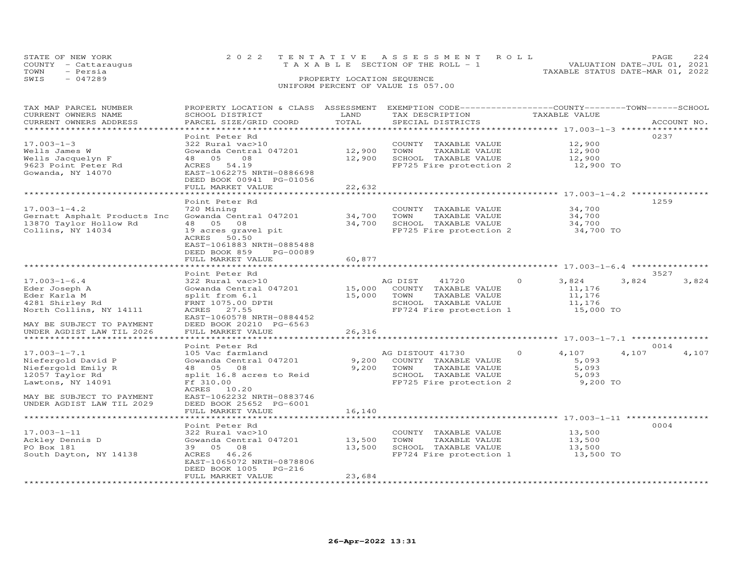| STATE OF NEW YORK<br>COUNTY - Cattaraugus<br>TOWN<br>- Persia | 2022 TENTATIVE ASSESSMENT ROLL<br>T A X A B L E SECTION OF THE ROLL - 1 | 2.2.4<br>PAGE.<br>VALUATION DATE-JUL 01, 2021<br>TAXABLE STATUS DATE-MAR 01, 2022 |
|---------------------------------------------------------------|-------------------------------------------------------------------------|-----------------------------------------------------------------------------------|
| $-047289$<br>SWIS                                             | PROPERTY LOCATION SEQUENCE<br>UNIFORM PERCENT OF VALUE IS 057.00        |                                                                                   |

| TAX MAP PARCEL NUMBER<br>CURRENT OWNERS NAME<br>CURRENT OWNERS ADDRESS                                                                                           | PROPERTY LOCATION & CLASS ASSESSMENT<br>SCHOOL DISTRICT<br>PARCEL SIZE/GRID COORD<br>**************                                                                                                             | LAND<br>TOTAL<br>********* | EXEMPTION CODE-----------------COUNTY-------TOWN------SCHOOL<br>TAX DESCRIPTION<br>SPECIAL DISTRICTS                 | TAXABLE VALUE                                                                                      | ACCOUNT NO.            |
|------------------------------------------------------------------------------------------------------------------------------------------------------------------|-----------------------------------------------------------------------------------------------------------------------------------------------------------------------------------------------------------------|----------------------------|----------------------------------------------------------------------------------------------------------------------|----------------------------------------------------------------------------------------------------|------------------------|
| $17.003 - 1 - 3$<br>Wells James W<br>Wells Jacquelyn F<br>9623 Point Peter Rd<br>Gowanda, NY 14070                                                               | Point Peter Rd<br>322 Rural vac>10<br>Gowanda Central 047201<br>48 05<br>08<br>54.19<br>ACRES<br>EAST-1062275 NRTH-0886698<br>DEED BOOK 00941 PG-01056<br>FULL MARKET VALUE                                     | 12,900<br>12,900<br>22,632 | COUNTY TAXABLE VALUE<br>TOWN<br>TAXABLE VALUE<br>SCHOOL TAXABLE VALUE<br>FP725 Fire protection 2                     | 12,900<br>12,900<br>12,900<br>12,900 TO                                                            | 0237                   |
| $17.003 - 1 - 4.2$<br>Gernatt Asphalt Products Inc<br>13870 Taylor Hollow Rd<br>Collins, NY 14034                                                                | Point Peter Rd<br>720 Mining<br>Gowanda Central 047201<br>48  05  08<br>19 acres gravel pit<br>ACRES<br>50.50<br>EAST-1061883 NRTH-0885488<br>DEED BOOK 859<br>PG-00089<br>FULL MARKET VALUE                    | 34,700<br>34,700<br>60,877 | COUNTY TAXABLE VALUE<br>TOWN<br>TAXABLE VALUE<br>SCHOOL TAXABLE VALUE<br>FP725 Fire protection 2                     | 34,700<br>34,700<br>34,700<br>34,700 TO                                                            | 1259                   |
| $17.003 - 1 - 6.4$<br>Eder Joseph A<br>Eder Karla M<br>4281 Shirley Rd<br>North Collins, NY 14111<br>MAY BE SUBJECT TO PAYMENT<br>UNDER AGDIST LAW TIL 2026      | Point Peter Rd<br>322 Rural vac>10<br>Gowanda Central 047201<br>split from 6.1<br>FRNT 1075.00 DPTH<br>ACRES 27.55<br>EAST-1060578 NRTH-0884452<br>DEED BOOK 20210 PG-6563<br>FULL MARKET VALUE                 | 15,000<br>15,000<br>26,316 | 41720<br>AG DIST<br>COUNTY TAXABLE VALUE<br>TOWN<br>TAXABLE VALUE<br>SCHOOL TAXABLE VALUE<br>FP724 Fire protection 1 | $\Omega$<br>3,824<br>11,176<br>11,176<br>11,176<br>15,000 TO                                       | 3527<br>3,824<br>3,824 |
| $17.003 - 1 - 7.1$<br>Niefergold David P<br>Niefergold Emily R<br>12057 Taylor Rd<br>Lawtons, NY 14091<br>MAY BE SUBJECT TO PAYMENT<br>UNDER AGDIST LAW TIL 2029 | Point Peter Rd<br>105 Vac farmland<br>Gowanda Central 047201<br>48  05  08<br>split 16.8 acres to Reid<br>Ff 310.00<br>ACRES 10.20<br>EAST-1062232 NRTH-0883746<br>DEED BOOK 25652 PG-6001<br>FULL MARKET VALUE | 9,200<br>9,200<br>16,140   | AG DISTOUT 41730<br>COUNTY TAXABLE VALUE<br>TOWN<br>TAXABLE VALUE<br>SCHOOL TAXABLE VALUE<br>FP725 Fire protection 2 | ******************** 17.003-1-7.1 ****<br>4,107<br>$\Omega$<br>5,093<br>5,093<br>5,093<br>9,200 TO | 0014<br>4,107<br>4,107 |
| $17.003 - 1 - 11$<br>Ackley Dennis D<br>PO Box 181<br>South Dayton, NY 14138                                                                                     | Point Peter Rd<br>322 Rural vac>10<br>Gowanda Central 047201<br>39 05 08<br>ACRES 46.26<br>EAST-1065072 NRTH-0878806<br>$PG-216$<br>DEED BOOK 1005<br>FULL MARKET VALUE                                         | 13,500<br>13,500<br>23,684 | COUNTY TAXABLE VALUE<br>TOWN<br>TAXABLE VALUE<br>SCHOOL TAXABLE VALUE<br>FP724 Fire protection 1                     | *********************** 17.003-1-11 **********<br>13,500<br>13,500<br>13,500<br>13,500 TO          | 0004                   |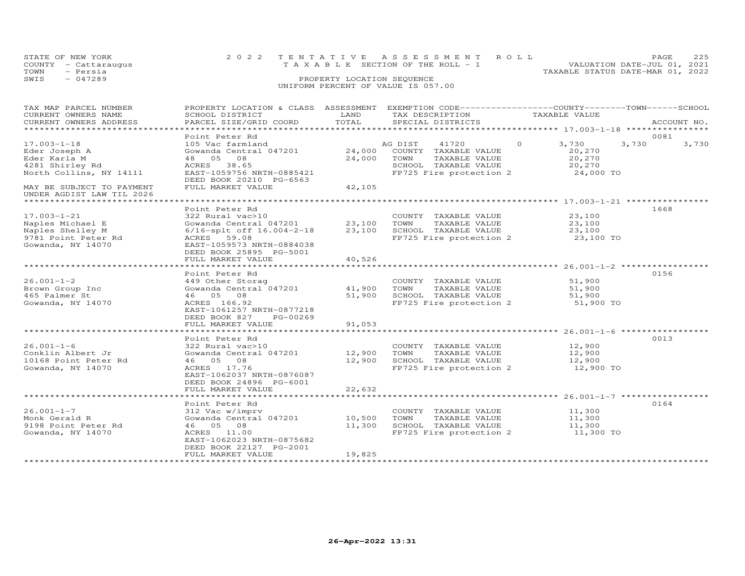|      | STATE OF NEW YORK    |                            | 2022 TENTATIVE ASSESSMENT ROLL                                       | PAGE | 225 |
|------|----------------------|----------------------------|----------------------------------------------------------------------|------|-----|
|      | COUNTY - Cattaraugus |                            | VALUATION DATE-JUL 01, 2021<br>T A X A B L E SECTION OF THE ROLL - 1 |      |     |
| TOWN | - Persia             |                            | TAXABLE STATUS DATE-MAR 01, 2022                                     |      |     |
| SWIS | $-047289$            | PROPERTY LOCATION SEQUENCE |                                                                      |      |     |
|      |                      |                            | UNIFORM PERCENT OF VALUE IS 057.00                                   |      |     |

| TAX MAP PARCEL NUMBER                                  | PROPERTY LOCATION & CLASS ASSESSMENT |        | EXEMPTION CODE-----------------COUNTY-------TOWN------SCHOOL |                   |                |
|--------------------------------------------------------|--------------------------------------|--------|--------------------------------------------------------------|-------------------|----------------|
| CURRENT OWNERS NAME                                    | SCHOOL DISTRICT                      | LAND   | TAX DESCRIPTION                                              | TAXABLE VALUE     |                |
| CURRENT OWNERS ADDRESS                                 | PARCEL SIZE/GRID COORD               | TOTAL  | SPECIAL DISTRICTS                                            |                   | ACCOUNT NO.    |
|                                                        |                                      |        |                                                              |                   |                |
|                                                        | Point Peter Rd                       |        |                                                              |                   | 0081           |
| $17.003 - 1 - 18$                                      | 105 Vac farmland                     |        | AG DIST<br>41720                                             | $\Omega$<br>3,730 | 3,730<br>3,730 |
| Eder Joseph A                                          | Gowanda Central 047201               | 24,000 | COUNTY TAXABLE VALUE                                         | 20,270            |                |
| Eder Karla M                                           | 48  05  08                           | 24,000 | TOWN<br>TAXABLE VALUE                                        | 20,270            |                |
| 4281 Shirley Rd                                        | 38.65<br>ACRES                       |        | SCHOOL TAXABLE VALUE                                         | 20,270            |                |
| North Collins, NY 14111                                | EAST-1059756 NRTH-0885421            |        | FP725 Fire protection 2                                      | 24,000 TO         |                |
|                                                        | DEED BOOK 20210 PG-6563              |        |                                                              |                   |                |
| MAY BE SUBJECT TO PAYMENT<br>UNDER AGDIST LAW TIL 2026 | FULL MARKET VALUE                    | 42,105 |                                                              |                   |                |
| ******************************                         |                                      |        |                                                              |                   |                |
|                                                        | Point Peter Rd                       |        |                                                              |                   | 1668           |
| $17.003 - 1 - 21$                                      | 322 Rural vac>10                     |        | COUNTY TAXABLE VALUE                                         | 23,100            |                |
| Naples Michael E                                       | Gowanda Central 047201               | 23,100 | TOWN<br>TAXABLE VALUE                                        | 23,100            |                |
| Naples Shelley M                                       | 6/16-splt off 16.004-2-18            | 23,100 | SCHOOL TAXABLE VALUE                                         | 23,100            |                |
| 9781 Point Peter Rd                                    | ACRES 59.08                          |        | FP725 Fire protection 2                                      | 23,100 TO         |                |
| Gowanda, NY 14070                                      | EAST-1059573 NRTH-0884038            |        |                                                              |                   |                |
|                                                        | DEED BOOK 25895 PG-5001              |        |                                                              |                   |                |
|                                                        | FULL MARKET VALUE                    | 40,526 |                                                              |                   |                |
|                                                        |                                      |        |                                                              |                   |                |
|                                                        | Point Peter Rd                       |        |                                                              |                   | 0156           |
| $26.001 - 1 - 2$                                       |                                      |        | COUNTY TAXABLE VALUE                                         | 51,900            |                |
|                                                        | 449 Other Storag                     |        |                                                              |                   |                |
| Brown Group Inc                                        | Gowanda Central 047201               | 41,900 | TAXABLE VALUE<br>TOWN                                        | 51,900            |                |
| 465 Palmer St                                          | 46 05 08                             | 51,900 | SCHOOL TAXABLE VALUE                                         | 51,900            |                |
| Gowanda, NY 14070                                      | ACRES 166.92                         |        | FP725 Fire protection 2                                      | 51,900 TO         |                |
|                                                        | EAST-1061257 NRTH-0877218            |        |                                                              |                   |                |
|                                                        | DEED BOOK 827<br>PG-00269            |        |                                                              |                   |                |
|                                                        | FULL MARKET VALUE                    | 91,053 |                                                              |                   |                |
|                                                        | *******************************      |        |                                                              |                   |                |
|                                                        | Point Peter Rd                       |        |                                                              |                   | 0013           |
| $26.001 - 1 - 6$                                       | 322 Rural vac>10                     |        | COUNTY TAXABLE VALUE                                         | 12,900            |                |
| Conklin Albert Jr                                      | Gowanda Central 047201               | 12,900 | TOWN<br>TAXABLE VALUE                                        | 12,900            |                |
| 10168 Point Peter Rd                                   | 46 05 08                             | 12,900 | SCHOOL TAXABLE VALUE                                         | 12,900            |                |
| Gowanda, NY 14070                                      | ACRES 17.76                          |        | FP725 Fire protection 2                                      | 12,900 TO         |                |
|                                                        | EAST-1062037 NRTH-0876087            |        |                                                              |                   |                |
|                                                        | DEED BOOK 24896 PG-6001              |        |                                                              |                   |                |
|                                                        | FULL MARKET VALUE                    | 22,632 |                                                              |                   |                |
|                                                        |                                      |        |                                                              |                   |                |
|                                                        | Point Peter Rd                       |        |                                                              |                   | 0164           |
| $26.001 - 1 - 7$                                       | 312 Vac w/imprv                      |        | COUNTY TAXABLE VALUE                                         | 11,300            |                |
| Monk Gerald R                                          | Gowanda Central 047201               | 10,500 | TAXABLE VALUE<br>TOWN                                        | 11,300            |                |
| 9198 Point Peter Rd                                    | 46 05 08                             | 11,300 | SCHOOL TAXABLE VALUE                                         | 11,300            |                |
| Gowanda, NY 14070                                      | ACRES 11.00                          |        | FP725 Fire protection 2                                      | 11,300 TO         |                |
|                                                        | EAST-1062023 NRTH-0875682            |        |                                                              |                   |                |
|                                                        | DEED BOOK 22127 PG-2001              |        |                                                              |                   |                |
|                                                        | FULL MARKET VALUE                    | 19,825 |                                                              |                   |                |
|                                                        |                                      |        |                                                              |                   |                |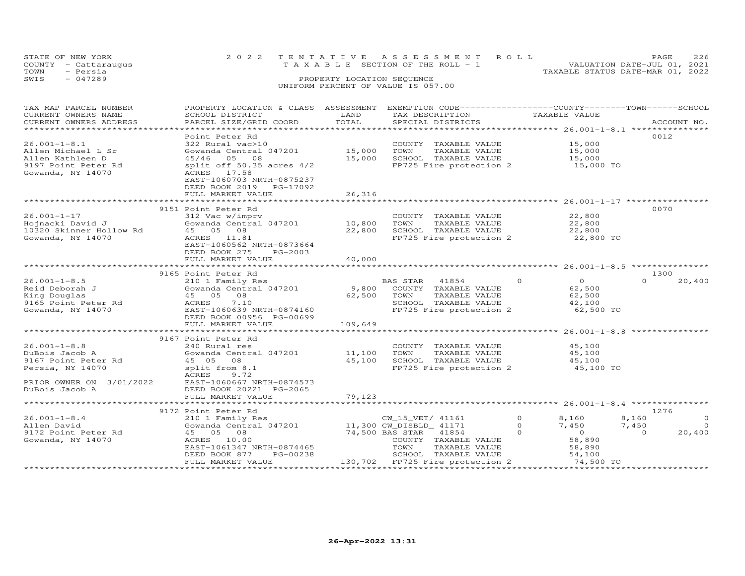| STATE OF NEW YORK<br>COUNTY - Cattaraugus | 2022 TENTATIVE ASSESSMENT ROLL<br>TAXABLE SECTION OF THE ROLL - 1 | 226<br>PAGE.<br>VALUATION DATE-JUL 01, 2021 |
|-------------------------------------------|-------------------------------------------------------------------|---------------------------------------------|
| - Persia<br>TOWN                          |                                                                   | TAXABLE STATUS DATE-MAR 01, 2022            |
| $-047289$<br>SWIS                         | PROPERTY LOCATION SEQUENCE                                        |                                             |
|                                           | UNIFORM PERCENT OF VALUE IS 057.00                                |                                             |

| TAX MAP PARCEL NUMBER                                                 | PROPERTY LOCATION & CLASS ASSESSMENT |         | EXEMPTION CODE-----------------COUNTY-------TOWN------SCHOOL    |          |                      |                         |
|-----------------------------------------------------------------------|--------------------------------------|---------|-----------------------------------------------------------------|----------|----------------------|-------------------------|
| CURRENT OWNERS NAME                                                   | SCHOOL DISTRICT                      | LAND    | TAX DESCRIPTION                                                 |          | TAXABLE VALUE        |                         |
| CURRENT OWNERS ADDRESS                                                | PARCEL SIZE/GRID COORD               | TOTAL   | SPECIAL DISTRICTS                                               |          |                      | ACCOUNT NO.             |
|                                                                       |                                      |         |                                                                 |          |                      |                         |
|                                                                       | Point Peter Rd                       |         |                                                                 |          |                      | 0012                    |
| $26.001 - 1 - 8.1$                                                    | 322 Rural vac>10                     |         | COUNTY TAXABLE VALUE                                            |          | 15,000               |                         |
| Allen Michael L Sr                                                    | Gowanda Central 047201               | 15,000  | TAXABLE VALUE<br>TOWN                                           |          | 15,000               |                         |
|                                                                       |                                      |         |                                                                 |          |                      |                         |
| Allen Kathleen D                                                      | 45/46 05 08                          | 15,000  | SCHOOL TAXABLE VALUE                                            |          | 15,000               |                         |
| 9197 Point Peter Rd                                                   | split off $50.35$ acres $4/2$        |         | FP725 Fire protection 2 15,000 TO                               |          |                      |                         |
| Gowanda, NY 14070                                                     | ACRES 17.58                          |         |                                                                 |          |                      |                         |
|                                                                       | EAST-1060703 NRTH-0875237            |         |                                                                 |          |                      |                         |
|                                                                       | DEED BOOK 2019<br>PG-17092           |         |                                                                 |          |                      |                         |
|                                                                       | FULL MARKET VALUE                    | 26,316  |                                                                 |          |                      |                         |
|                                                                       |                                      |         |                                                                 |          |                      |                         |
|                                                                       | 9151 Point Peter Rd                  |         |                                                                 |          |                      | 0070                    |
| $26.001 - 1 - 17$                                                     | 312 Vac w/imprv                      |         | COUNTY TAXABLE VALUE                                            |          | 22,800               |                         |
|                                                                       | Gowanda Central 047201 10,800        |         | TOWN<br>TAXABLE VALUE                                           |          | 22,800               |                         |
| Hojnacki David J<br>10320 Skinner Hollow Rd            45    05    08 |                                      |         | SCHOOL TAXABLE VALUE                                            |          | $\frac{2}{22}$ , 800 |                         |
|                                                                       |                                      | 22,800  |                                                                 |          |                      |                         |
| Gowanda, NY 14070                                                     | ACRES 11.81                          |         | FP725 Fire protection 2                                         |          | 22,800 TO            |                         |
|                                                                       | EAST-1060562 NRTH-0873664            |         |                                                                 |          |                      |                         |
|                                                                       | DEED BOOK 275<br>PG-2003             |         |                                                                 |          |                      |                         |
|                                                                       | FULL MARKET VALUE                    | 40,000  |                                                                 |          |                      |                         |
|                                                                       |                                      |         |                                                                 |          |                      |                         |
|                                                                       | 9165 Point Peter Rd                  |         |                                                                 |          |                      | 1300                    |
| $26.001 - 1 - 8.5$                                                    | 210 1 Family Res                     |         | BAS STAR 41854                                                  | $\Omega$ | $\overline{O}$       | $\Omega$<br>20,400      |
| Reid Deborah J                                                        | Gowanda Central 047201               | 9,800   | COUNTY TAXABLE VALUE                                            |          | 62,500               |                         |
| King Douglas                                                          | 45 05 08                             | 62,500  | TAXABLE VALUE<br>TOWN                                           |          | 62,500               |                         |
|                                                                       |                                      |         |                                                                 |          |                      |                         |
| 9165 Point Peter Rd                                                   | ACRES<br>7.10                        |         | SCHOOL TAXABLE VALUE                                            |          | 42,100               |                         |
| Gowanda, NY 14070                                                     | EAST-1060639 NRTH-0874160            |         | FP725 Fire protection 2                                         |          | 62,500 TO            |                         |
|                                                                       | DEED BOOK 00956 PG-00699             |         |                                                                 |          |                      |                         |
|                                                                       | FULL MARKET VALUE                    | 109,649 |                                                                 |          |                      |                         |
|                                                                       |                                      |         |                                                                 |          |                      |                         |
|                                                                       | 9167 Point Peter Rd                  |         |                                                                 |          |                      |                         |
| $26.001 - 1 - 8.8$                                                    | 240 Rural res                        |         | COUNTY TAXABLE VALUE                                            |          | 45,100               |                         |
| DuBois Jacob A                                                        | Gowanda Central 047201               | 11,100  | TOWN<br>TAXABLE VALUE                                           |          | 45,100               |                         |
| 9167 Point Peter Rd                                                   | 45 05 08                             | 45,100  | SCHOOL TAXABLE VALUE                                            |          | 45,100               |                         |
| Persia, NY 14070                                                      | split from 8.1                       |         | FP725 Fire protection 2                                         |          | 45,100 TO            |                         |
|                                                                       | ACRES<br>9.72                        |         |                                                                 |          |                      |                         |
| PRIOR OWNER ON 3/01/2022                                              |                                      |         |                                                                 |          |                      |                         |
|                                                                       | EAST-1060667 NRTH-0874573            |         |                                                                 |          |                      |                         |
| DuBois Jacob A                                                        | DEED BOOK 20221 PG-2065              |         |                                                                 |          |                      |                         |
|                                                                       | FULL MARKET VALUE                    | 79,123  |                                                                 |          |                      |                         |
|                                                                       | **************************           |         |                                                                 |          |                      |                         |
|                                                                       | 9172 Point Peter Rd                  |         |                                                                 |          |                      | 1276                    |
| $26.001 - 1 - 8.4$                                                    | 210 1 Family Res                     |         | CW_15_VET/ 41161<br>11,300 CW_DISBLD_ 41171<br>CW_15_VET/ 41161 | $\circ$  | 8,160                | 8,160<br>$\circ$        |
| Allen David                                                           | Gowanda Central 047201               |         |                                                                 | $\Omega$ | 7,450                | $\overline{0}$<br>7,450 |
| 9172 Point Peter Rd                                                   | 45 05 08                             |         | 74,500 BAS STAR 41854                                           | $\Omega$ | 58.800               | 20,400<br>$\Omega$      |
| Gowanda, NY 14070                                                     | ACRES 10.00                          |         | COUNTY TAXABLE VALUE                                            |          | 58,890               |                         |
|                                                                       | EAST-1061347 NRTH-0874465            |         | TOWN<br>TAXABLE VALUE                                           |          |                      |                         |
|                                                                       | PG-00238                             |         |                                                                 |          | 58,890<br>54.100     |                         |
|                                                                       | DEED BOOK 877                        |         | SCHOOL TAXABLE VALUE                                            |          | 54,100               |                         |
|                                                                       | FULL MARKET VALUE                    |         | 130,702 FP725 Fire protection 2                                 |          | 74,500 TO            |                         |
|                                                                       |                                      |         |                                                                 |          |                      |                         |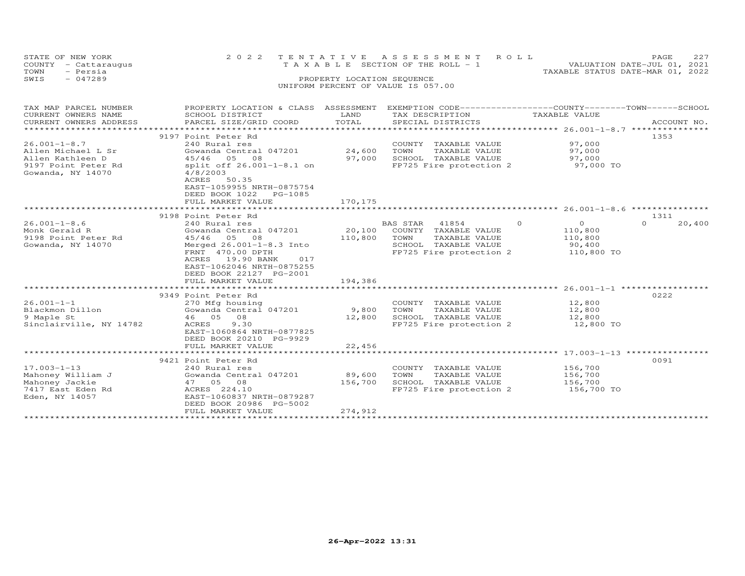| STATE OF NEW YORK<br>COUNTY - Cattaraugus<br>TOWN<br>- Persia<br>SWIS<br>$-047289$ | 2 0 2 2                                                                                                        | TENTATIVE<br>PROPERTY LOCATION SEQUENCE | A S S E S S M E N T<br>R O L L<br>T A X A B L E SECTION OF THE ROLL - 1<br>UNIFORM PERCENT OF VALUE IS 057.00                     | TAXABLE STATUS DATE-MAR 01, 2022 | PAGE<br>227<br>VALUATION DATE-JUL 01, 2021 |
|------------------------------------------------------------------------------------|----------------------------------------------------------------------------------------------------------------|-----------------------------------------|-----------------------------------------------------------------------------------------------------------------------------------|----------------------------------|--------------------------------------------|
| TAX MAP PARCEL NUMBER<br>CURRENT OWNERS NAME                                       | SCHOOL DISTRICT                                                                                                | LAND                                    | PROPERTY LOCATION & CLASS ASSESSMENT EXEMPTION CODE----------------COUNTY-------TOWN------SCHOOL<br>TAX DESCRIPTION TAXABLE VALUE |                                  |                                            |
| CURRENT OWNERS ADDRESS                                                             | PARCEL SIZE/GRID COORD                                                                                         | TOTAL                                   | SPECIAL DISTRICTS                                                                                                                 |                                  | ACCOUNT NO.                                |
|                                                                                    |                                                                                                                |                                         |                                                                                                                                   |                                  |                                            |
| $26.001 - 1 - 8.7$                                                                 | 9197 Point Peter Rd<br>240 Rural res                                                                           |                                         | COUNTY TAXABLE VALUE                                                                                                              | 97,000                           | 1353                                       |
| Allen Michael L Sr                                                                 | Gowanda Central 047201                                                                                         | 24,600 TOWN                             | TAXABLE VALUE                                                                                                                     | 97,000                           |                                            |
| Allen Kathleen D                                                                   | 45/46 05 08                                                                                                    |                                         | 97,000 SCHOOL TAXABLE VALUE                                                                                                       | 97,000                           |                                            |
| 9197 Point Peter Rd<br>Gowanda, NY 14070                                           | split off 26.001-1-8.1 on<br>4/8/2003<br>ACRES 50.35<br>EAST-1059955 NRTH-0875754<br>DEED BOOK 1022<br>PG-1085 |                                         | FP725 Fire protection 2                                                                                                           | 97,000 TO                        |                                            |
|                                                                                    | FULL MARKET VALUE                                                                                              | 170,175                                 |                                                                                                                                   |                                  |                                            |
|                                                                                    | 9198 Point Peter Rd                                                                                            |                                         |                                                                                                                                   |                                  | 1311                                       |
| $26.001 - 1 - 8.6$                                                                 | 240 Rural res                                                                                                  |                                         | $\circ$<br>BAS STAR<br>41854                                                                                                      | $\overline{0}$                   | 20,400<br>$\Omega$                         |
| Monk Gerald R                                                                      | Gowanda Central 047201                                                                                         |                                         | 20,100 COUNTY TAXABLE VALUE                                                                                                       | 110,800                          |                                            |
| 9198 Point Peter Rd<br>Gowanda, NY 14070                                           | 45/46 05 08<br>Merged 26.001-1-8.3 Into                                                                        | 110,800 TOWN                            | TAXABLE VALUE<br>SCHOOL TAXABLE VALUE                                                                                             | 110,800                          |                                            |
|                                                                                    | FRNT 470.00 DPTH<br>ACRES 19.90 BANK<br>017<br>EAST-1062046 NRTH-0875255<br>DEED BOOK 22127 PG-2001            |                                         | FP725 Fire protection 2                                                                                                           | 90,400<br>110,800 TO             |                                            |
|                                                                                    | FULL MARKET VALUE                                                                                              | 194,386                                 |                                                                                                                                   |                                  |                                            |
|                                                                                    | 9349 Point Peter Rd                                                                                            |                                         |                                                                                                                                   |                                  | 0222                                       |
| $26.001 - 1 - 1$                                                                   | 270 Mfg housing                                                                                                |                                         | COUNTY TAXABLE VALUE                                                                                                              | 12,800                           |                                            |
| Blackmon Dillon                                                                    | Gowanda Central 047201                                                                                         | 9,800                                   | TOWN<br>TAXABLE VALUE                                                                                                             | 12,800                           |                                            |
| 9 Maple St                                                                         | 46 05 08                                                                                                       | 12,800                                  | SCHOOL TAXABLE VALUE                                                                                                              | 12,800                           |                                            |
| Sinclairville, NY 14782                                                            | ACRES<br>9.30<br>EAST-1060864 NRTH-0877825<br>DEED BOOK 20210 PG-9929<br>FULL MARKET VALUE                     | 22,456                                  | FP725 Fire protection 2                                                                                                           | 12,800 TO                        |                                            |
|                                                                                    |                                                                                                                |                                         |                                                                                                                                   |                                  |                                            |
|                                                                                    | 9421 Point Peter Rd                                                                                            |                                         |                                                                                                                                   |                                  | 0091                                       |
| $17.003 - 1 - 13$                                                                  | 240 Rural res                                                                                                  |                                         | COUNTY TAXABLE VALUE                                                                                                              | 156,700                          |                                            |
| Mahoney William J                                                                  | Gowanda Central 047201                                                                                         | 89,600                                  | TOWN<br>TAXABLE VALUE                                                                                                             | 156,700                          |                                            |
| Mahoney Jackie<br>7417 East Eden Rd                                                | 47 05 08<br>ACRES 224.10                                                                                       | 156,700                                 | SCHOOL TAXABLE VALUE<br>FP725 Fire protection 2                                                                                   | 156,700<br>156,700 TO            |                                            |
| Eden, NY 14057                                                                     | EAST-1060837 NRTH-0879287                                                                                      |                                         |                                                                                                                                   |                                  |                                            |

\*\*\*\*\*\*\*\*\*\*\*\*\*\*\*\*\*\*\*\*\*\*\*\*\*\*\*\*\*\*\*\*\*\*\*\*\*\*\*\*\*\*\*\*\*\*\*\*\*\*\*\*\*\*\*\*\*\*\*\*\*\*\*\*\*\*\*\*\*\*\*\*\*\*\*\*\*\*\*\*\*\*\*\*\*\*\*\*\*\*\*\*\*\*\*\*\*\*\*\*\*\*\*\*\*\*\*\*\*\*\*\*\*\*\*\*\*\*\*\*\*\*\*\*\*\*\*\*\*\*\*\*

DEED BOOK 20986 PG-5002 FULL MARKET VALUE 274,912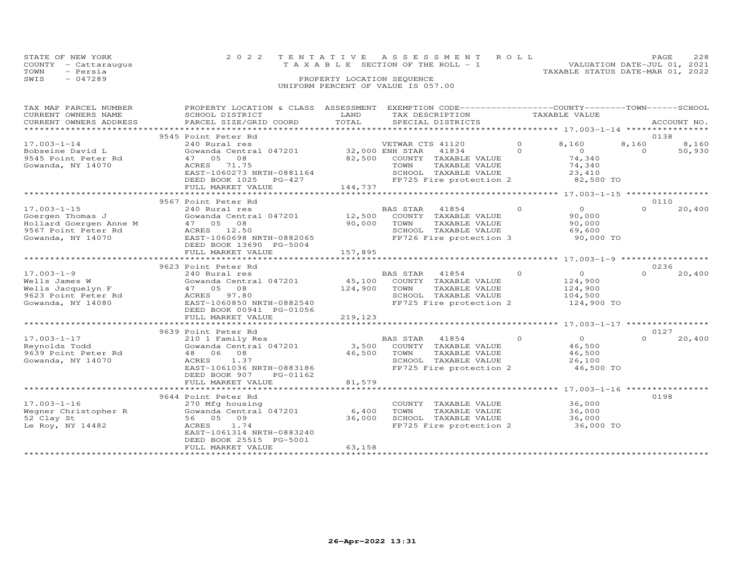|      | STATE OF NEW YORK    |                                    | 2022 TENTATIVE ASSESSMENT ROLL  |                                  | PAGE. | 228 |
|------|----------------------|------------------------------------|---------------------------------|----------------------------------|-------|-----|
|      | COUNTY - Cattaraugus |                                    | TAXABLE SECTION OF THE ROLL - 1 | VALUATION DATE-JUL 01, 2021      |       |     |
| TOWN | - Persia             |                                    |                                 | TAXABLE STATUS DATE-MAR 01, 2022 |       |     |
| SWIS | - 047289             | PROPERTY LOCATION SEQUENCE         |                                 |                                  |       |     |
|      |                      | UNIFORM PERCENT OF VALUE IS 057.00 |                                 |                                  |       |     |
|      |                      |                                    |                                 |                                  |       |     |

| TAX MAP PARCEL NUMBER<br>CURRENT OWNERS NAME<br>CURRENT OWNERS ADDRESS<br>***********************           | PROPERTY LOCATION & CLASS ASSESSMENT<br>SCHOOL DISTRICT<br>PARCEL SIZE/GRID COORD                                                                                                       | LAND<br>TOTAL     | EXEMPTION CODE------------------COUNTY-------TOWN-----SCHOOL<br>TAX DESCRIPTION<br>SPECIAL DISTRICTS                                                          | TAXABLE VALUE        |                                                                    |                   | ACCOUNT NO.     |
|-------------------------------------------------------------------------------------------------------------|-----------------------------------------------------------------------------------------------------------------------------------------------------------------------------------------|-------------------|---------------------------------------------------------------------------------------------------------------------------------------------------------------|----------------------|--------------------------------------------------------------------|-------------------|-----------------|
|                                                                                                             |                                                                                                                                                                                         |                   |                                                                                                                                                               |                      |                                                                    |                   | 0138            |
| $17.003 - 1 - 14$<br>Bobseine David L<br>9545 Point Peter Rd<br>Gowanda, NY 14070                           | 9545 Point Peter Rd<br>240 Rural res<br>Gowanda Central 047201 32,000 ENH STAR<br>47 05 08<br>ACRES 71.75<br>EAST-1060273 NRTH-0881164<br>DEED BOOK 1025<br>PG-427<br>FULL MARKET VALUE | 144,737           | VETWAR CTS 41120<br>41834<br>82,500 COUNTY TAXABLE VALUE<br>TAXABLE VALUE<br>TOWN<br>SCHOOL TAXABLE VALUE<br>SCHOOL  TAXABLE VALUE<br>FP725 Fire protection 2 | $\Omega$<br>$\Omega$ | 8,160<br>$\overline{0}$<br>74,340<br>74,340<br>23,410<br>82,500 TO | 8,160<br>$\Omega$ | 8,160<br>50,930 |
|                                                                                                             |                                                                                                                                                                                         |                   |                                                                                                                                                               |                      |                                                                    |                   |                 |
| $17.003 - 1 - 15$<br>Goergen Thomas J<br>Hollard Goergen Anne M<br>9567 Point Peter Rd<br>Gowanda, NY 14070 | 9567 Point Peter Rd<br>240 Rural res<br>Gowanda Central 047201<br>47 05 08<br>ACRES 12.50<br>EAST-1060698 NRTH-0882065<br>DEED BOOK 13690 PG-5004<br>FULL MARKET VALUE                  | 90,000<br>157,895 | BAS STAR 41854<br>12,500 COUNTY TAXABLE VALUE<br>TOWN<br>TAXABLE VALUE<br>SCHOOL TAXABLE VALUE<br>FP726 Fire protection 3                                     | $\Omega$             | $\bigcirc$<br>90,000<br>90,000<br>69,600<br>90,000 TO              | $\Omega$          | 0110<br>20,400  |
|                                                                                                             | ***************************                                                                                                                                                             |                   |                                                                                                                                                               |                      |                                                                    |                   |                 |
|                                                                                                             | 9623 Point Peter Rd                                                                                                                                                                     |                   |                                                                                                                                                               |                      |                                                                    |                   | 0236            |
| $17.003 - 1 - 9$<br>Wells James W<br>Wells Jacquelyn F<br>9623 Point Peter Rd<br>Gowanda, NY 14080          | 240 Rural res<br>Gowanda Central 047201<br>47 05 08<br>ACRES 97.80<br>EAST-1060850 NRTH-0882540<br>DEED BOOK 00941 PG-01056                                                             |                   | BAS STAR (41004)<br>45,100 COUNTY TAXABLE VALUE<br>TOWN TAXABLE VALUE<br>SCHOOL TAXABLE VALUE<br>FP725 Fire protection 2                                      | $\Omega$             | $\overline{O}$<br>124,900<br>124,900<br>104,500<br>124,900 TO      | $\Omega$          | 20,400          |
|                                                                                                             | FULL MARKET VALUE                                                                                                                                                                       | 219,123           |                                                                                                                                                               |                      |                                                                    |                   |                 |
|                                                                                                             |                                                                                                                                                                                         |                   |                                                                                                                                                               |                      |                                                                    |                   |                 |
| $17.003 - 1 - 17$<br>Reynolds Todd<br>9639 Point Peter Rd<br>Gowanda, NY 14070                              | 9639 Point Peter Rd<br>210 1 Family Res<br>Gowanda Central 047201<br>48 06 08<br>1.37<br>ACRES<br>EAST-1061036 NRTH-0883186<br>DEED BOOK 907<br>PG-01162                                |                   | <b>BAS STAR</b><br>41854<br>3,500 COUNTY TAXABLE VALUE<br>46,500 TOWN<br>TAXABLE VALUE<br>SCHOOL TAXABLE VALUE<br>FP725 Fire protection 2 46,500 TO           | $\circ$              | $\overline{O}$<br>46,500<br>46,500<br>26,100                       | $\cap$            | 0127<br>20,400  |
|                                                                                                             | FULL MARKET VALUE                                                                                                                                                                       | 81,579            |                                                                                                                                                               |                      |                                                                    |                   |                 |
|                                                                                                             |                                                                                                                                                                                         |                   |                                                                                                                                                               |                      |                                                                    |                   |                 |
| $17.003 - 1 - 16$<br>Wegner Christopher R<br>52 Clay St<br>Le Roy, NY 14482                                 | 9644 Point Peter Rd<br>270 Mfg housing<br>Gowanda Central 047201<br>56 05 09<br>ACRES<br>1.74<br>EAST-1061314 NRTH-0883240<br>DEED BOOK 25515 PG-5001                                   | 6,400<br>36,000   | COUNTY TAXABLE VALUE<br>TOWN<br>TAXABLE VALUE<br>SCHOOL TAXABLE VALUE<br>FP725 Fire protection 2                                                              |                      | 36,000<br>36,000<br>36,000<br>36,000 TO                            |                   | 0198            |
|                                                                                                             | FULL MARKET VALUE                                                                                                                                                                       | 63,158            |                                                                                                                                                               |                      |                                                                    |                   |                 |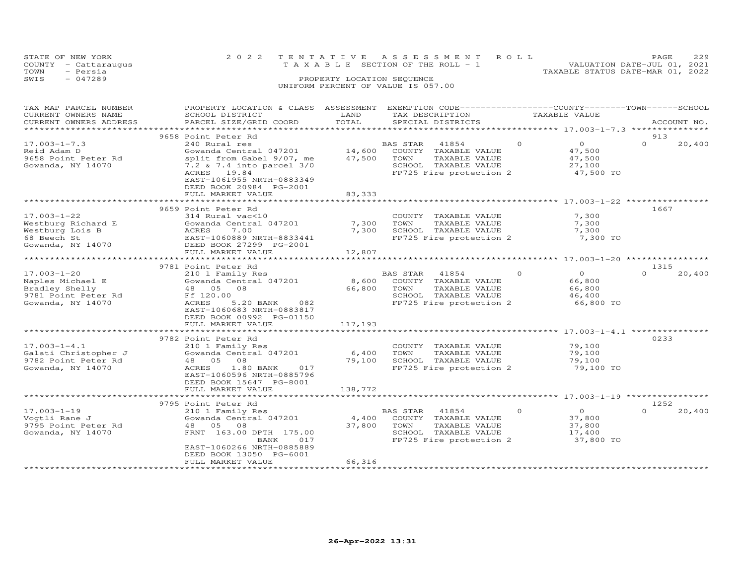|      | STATE OF NEW YORK                       |  | 2022 TENTATIVE ASSESSMENT ROLL                                 | <b>PAGE</b> | 229 |  |
|------|-----------------------------------------|--|----------------------------------------------------------------|-------------|-----|--|
|      | COUNTY - Cattaraugus                    |  | VALUATION DATE-JUL 01, 2021<br>TAXABLE SECTION OF THE ROLL - 1 |             |     |  |
| TOWN | - Persia                                |  | TAXABLE STATUS DATE-MAR 01, 2022                               |             |     |  |
| SWIS | $-047289$<br>PROPERTY LOCATION SEQUENCE |  |                                                                |             |     |  |
|      |                                         |  | UNIFORM PERCENT OF VALUE IS 057.00                             |             |     |  |

| TAX MAP PARCEL NUMBER<br>CURRENT OWNERS NAME<br>CURRENT OWNERS ADDRESS                              | PROPERTY LOCATION & CLASS ASSESSMENT<br>SCHOOL DISTRICT<br>PARCEL SIZE/GRID COORD                                                                                                                                    | LAND<br>TOTAL              | EXEMPTION CODE-----------------COUNTY-------TOWN------SCHOOL<br>TAX DESCRIPTION<br>SPECIAL DISTRICTS                  |          | TAXABLE VALUE                                             |                  | ACCOUNT NO. |
|-----------------------------------------------------------------------------------------------------|----------------------------------------------------------------------------------------------------------------------------------------------------------------------------------------------------------------------|----------------------------|-----------------------------------------------------------------------------------------------------------------------|----------|-----------------------------------------------------------|------------------|-------------|
| ********************                                                                                |                                                                                                                                                                                                                      |                            |                                                                                                                       |          |                                                           |                  |             |
| $17.003 - 1 - 7.3$<br>Reid Adam D<br>9658 Point Peter Rd<br>Gowanda, NY 14070                       | 9658 Point Peter Rd<br>240 Rural res<br>Gowanda Central 047201<br>split from Gabel 9/07, me<br>7.2 & 7.4 into parcel 3/0<br>ACRES 19.84<br>EAST-1061955 NRTH-0883349<br>DEED BOOK 20984 PG-2001<br>FULL MARKET VALUE | 14,600<br>47,500<br>83,333 | BAS STAR<br>41854<br>COUNTY TAXABLE VALUE<br>TOWN<br>TAXABLE VALUE<br>SCHOOL TAXABLE VALUE<br>FP725 Fire protection 2 | $\Omega$ | $\overline{O}$<br>47,500<br>47,500<br>27,100<br>47,500 TO | 913<br>$\Omega$  | 20,400      |
|                                                                                                     |                                                                                                                                                                                                                      |                            | *************************************27.003-1-22                                                                      |          |                                                           |                  |             |
| $17.003 - 1 - 22$<br>Westburg Richard E<br>Westburg Lois B<br>68 Beech St<br>Gowanda, NY 14070      | 9659 Point Peter Rd<br>314 Rural vac<10<br>Gowanda Central 047201<br>7.00<br>ACRES<br>EAST-1060889 NRTH-8833441<br>DEED BOOK 27299 PG-2001<br>FULL MARKET VALUE                                                      | 7,300<br>7,300<br>12,807   | COUNTY TAXABLE VALUE<br>TOWN<br>TAXABLE VALUE<br>SCHOOL TAXABLE VALUE<br>FP725 Fire protection 2                      |          | 7,300<br>7,300<br>7,300<br>7,300 TO                       | 1667             |             |
|                                                                                                     |                                                                                                                                                                                                                      |                            |                                                                                                                       |          |                                                           |                  |             |
| $17.003 - 1 - 20$<br>Naples Michael E<br>Bradley Shelly<br>9781 Point Peter Rd<br>Gowanda, NY 14070 | 9781 Point Peter Rd<br>210 1 Family Res<br>Gowanda Central 047201<br>48 05<br>08<br>Ff 120.00<br>ACRES<br>5.20 BANK<br>082<br>EAST-1060683 NRTH-0883817<br>DEED BOOK 00992 PG-01150<br>FULL MARKET VALUE             | 8,600<br>66,800<br>117,193 | BAS STAR<br>41854<br>COUNTY TAXABLE VALUE<br>TOWN<br>TAXABLE VALUE<br>SCHOOL TAXABLE VALUE<br>FP725 Fire protection 2 | $\Omega$ | $\Omega$<br>66,800<br>66,800<br>46,400<br>66,800 TO       | 1315<br>$\Omega$ | 20,400      |
|                                                                                                     |                                                                                                                                                                                                                      |                            |                                                                                                                       |          |                                                           |                  |             |
| $17.003 - 1 - 4.1$<br>Galati Christopher J<br>9782 Point Peter Rd<br>Gowanda, NY 14070              | 9782 Point Peter Rd<br>210 1 Family Res<br>Gowanda Central 047201<br>48 05<br>08<br>ACRES<br>1.80 BANK<br>017<br>EAST-1060596 NRTH-0885796<br>DEED BOOK 15647 PG-8001                                                | 6,400<br>79,100            | COUNTY TAXABLE VALUE<br>TOWN<br>TAXABLE VALUE<br>SCHOOL TAXABLE VALUE<br>FP725 Fire protection 2                      |          | 79,100<br>79,100<br>79,100<br>79,100 TO                   | 0233             |             |
|                                                                                                     | FULL MARKET VALUE                                                                                                                                                                                                    | 138,772                    |                                                                                                                       |          |                                                           |                  |             |
|                                                                                                     |                                                                                                                                                                                                                      |                            |                                                                                                                       |          | ********* 17.003-1-19 ********                            |                  |             |
|                                                                                                     | 9795 Point Peter Rd                                                                                                                                                                                                  |                            |                                                                                                                       |          |                                                           | 1252             |             |
| $17.003 - 1 - 19$<br>Vogtli Rane J<br>9795 Point Peter Rd<br>Gowanda, NY 14070                      | 210 1 Family Res<br>Gowanda Central 047201<br>48<br>05<br>08<br>FRNT 163.00 DPTH 175.00<br>BANK<br>017<br>EAST-1060266 NRTH-0885889<br>DEED BOOK 13050 PG-6001<br>FULL MARKET VALUE                                  | 4,400<br>37,800<br>66,316  | BAS STAR<br>41854<br>COUNTY TAXABLE VALUE<br>TOWN<br>TAXABLE VALUE<br>SCHOOL TAXABLE VALUE<br>FP725 Fire protection 2 | $\Omega$ | $\Omega$<br>37,800<br>37,800<br>17,400<br>37,800 TO       | $\Omega$         | 20,400      |
|                                                                                                     |                                                                                                                                                                                                                      |                            |                                                                                                                       |          |                                                           |                  |             |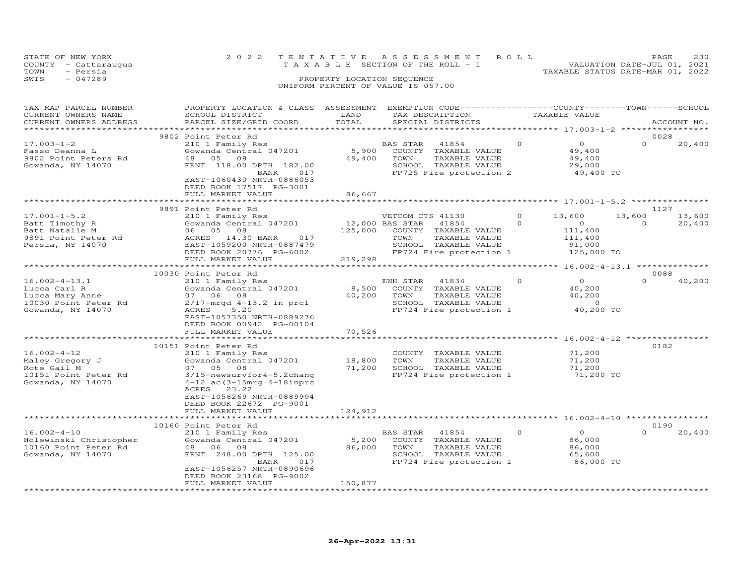| STATE OF NEW YORK<br>COUNTY - Cattaraugus<br>- Persia<br>TOWN | 2022 TENTATIVE ASSESSMENT ROLL<br>T A X A B L E SECTION OF THE ROLL - 1<br>TAXABLE STATUS DATE-MAR 01, 2022 | PAGE<br>VALUATION DATE-JUL 01, 2021 | 230 |
|---------------------------------------------------------------|-------------------------------------------------------------------------------------------------------------|-------------------------------------|-----|
| SWIS<br>$-047289$                                             | PROPERTY LOCATION SEQUENCE<br>UNIFORM PERCENT OF VALUE IS 057.00                                            |                                     |     |

| TAX MAP PARCEL NUMBER<br>CURRENT OWNERS NAME<br>CURRENT OWNERS ADDRESS                            | PROPERTY LOCATION & CLASS ASSESSMENT<br>SCHOOL DISTRICT<br>PARCEL SIZE/GRID COORD                                                                                                                                       | LAND<br>TOTAL              | EXEMPTION CODE-----------------COUNTY-------TOWN------SCHOOL<br>TAX DESCRIPTION<br>SPECIAL DISTRICTS                          |                     | TAXABLE VALUE                                                          |                            | ACCOUNT NO.      |
|---------------------------------------------------------------------------------------------------|-------------------------------------------------------------------------------------------------------------------------------------------------------------------------------------------------------------------------|----------------------------|-------------------------------------------------------------------------------------------------------------------------------|---------------------|------------------------------------------------------------------------|----------------------------|------------------|
|                                                                                                   |                                                                                                                                                                                                                         | ********                   |                                                                                                                               |                     | *********** 17.003-1-2 ******************                              |                            |                  |
| $17.003 - 1 - 2$<br>Fasso Deanna L<br>9802 Point Peters Rd<br>Gowanda, NY 14070                   | 9802 Point Peter Rd<br>210 1 Family Res<br>Gowanda Central 047201<br>48  05  08<br>FRNT 118.00 DPTH 182.00<br>017<br>BANK<br>EAST-1060430 NRTH-0886053<br>DEED BOOK 17517 PG-3001                                       | 5,900<br>49,400            | BAS STAR<br>41854<br>COUNTY<br>TAXABLE VALUE<br>TOWN<br>TAXABLE VALUE<br>SCHOOL TAXABLE VALUE<br>FP725 Fire protection 2      | $\Omega$            | $\circ$<br>49,400<br>49,400<br>29,000<br>49,400 TO                     | 0028<br>$\Omega$           | 20,400           |
|                                                                                                   | FULL MARKET VALUE                                                                                                                                                                                                       | 86,667                     |                                                                                                                               |                     |                                                                        |                            |                  |
| $17.001 - 1 - 5.2$<br>Batt Timothy R<br>Batt Natalie M<br>9891 Point Peter Rd<br>Persia, NY 14070 | 9891 Point Peter Rd<br>210 1 Family Res<br>Gowanda Central 047201<br>06 05 08<br>ACRES 14.30 BANK<br>017<br>EAST-1059200 NRTH-0887479<br>DEED BOOK 20776 PG-6002                                                        | 12,000 BAS STAR<br>125,000 | VETCOM CTS 41130<br>41854<br>COUNTY TAXABLE VALUE<br>TOWN<br>TAXABLE VALUE<br>SCHOOL TAXABLE VALUE<br>FP724 Fire protection 1 | $\Omega$<br>$\circ$ | 13,600<br>$\overline{O}$<br>111,400<br>111,400<br>91,000<br>125,000 TO | 1127<br>13,600<br>$\Omega$ | 13,600<br>20,400 |
|                                                                                                   | FULL MARKET VALUE                                                                                                                                                                                                       | 219,298                    |                                                                                                                               |                     |                                                                        |                            |                  |
|                                                                                                   | 10030 Point Peter Rd                                                                                                                                                                                                    |                            |                                                                                                                               |                     |                                                                        | 0088                       |                  |
| $16.002 - 4 - 13.1$<br>Lucca Carl R<br>Lucca Mary Anne<br>10030 Point Peter Rd                    | 210 1 Family Res<br>Gowanda Central 047201<br>07 06 08<br>$2/17$ -mrgd $4-13.2$ in prcl                                                                                                                                 | 8,500<br>40,200            | ENH STAR<br>41834<br>COUNTY TAXABLE VALUE<br>TAXABLE VALUE<br>TOWN<br>SCHOOL TAXABLE VALUE                                    | $\Omega$            | $\Omega$<br>40,200<br>40,200<br>$\sim$ 0                               | $\Omega$                   | 40,200           |
| Gowanda, NY 14070                                                                                 | 5.20<br>ACRES<br>EAST-1057350 NRTH-0889276<br>DEED BOOK 00942 PG-00104<br>FULL MARKET VALUE                                                                                                                             | 70,526                     | FP724 Fire protection 1                                                                                                       |                     | 40,200 TO                                                              |                            |                  |
|                                                                                                   |                                                                                                                                                                                                                         | ********                   |                                                                                                                               |                     | ***************** 16.002-4-12 **************                           |                            |                  |
| $16.002 - 4 - 12$<br>Maley Gregory J<br>Rote Gail M<br>10151 Point Peter Rd<br>Gowanda, NY 14070  | 10151 Point Peter Rd<br>210 1 Family Res<br>Gowanda Central 047201<br>07 05 08<br>3/15-newsurvfor4-5.2chang<br>$4-12$ ac $(3-15mrq 4-18inprc$<br>23.22<br>ACRES<br>EAST-1056269 NRTH-0889994<br>DEED BOOK 22672 PG-9001 | 18,800<br>71,200           | COUNTY TAXABLE VALUE<br>TOWN<br>TAXABLE VALUE<br>SCHOOL TAXABLE VALUE<br>FP724 Fire protection 1                              |                     | 71,200<br>71,200<br>71,200<br>71,200 TO                                | 0182                       |                  |
|                                                                                                   | FULL MARKET VALUE                                                                                                                                                                                                       | 124,912                    |                                                                                                                               |                     |                                                                        |                            |                  |
|                                                                                                   | 10160 Point Peter Rd                                                                                                                                                                                                    |                            |                                                                                                                               |                     |                                                                        | 0190                       |                  |
| $16.002 - 4 - 10$<br>Holewinski Christopher<br>10160 Point Peter Rd<br>Gowanda, NY 14070          | 210 1 Family Res<br>Gowanda Central 047201<br>48 06<br>08<br>FRNT 248.00 DPTH 125.00<br>BANK<br>017<br>EAST-1056257 NRTH-0890696                                                                                        | 5,200<br>86,000            | BAS STAR<br>41854<br>COUNTY TAXABLE VALUE<br>TOWN<br>TAXABLE VALUE<br>SCHOOL TAXABLE VALUE<br>FP724 Fire protection 1         | $\Omega$            | $\circ$<br>86,000<br>86,000<br>65,600<br>86,000 TO                     | $\Omega$                   | 20,400           |
|                                                                                                   | DEED BOOK 23168 PG-9002<br>FULL MARKET VALUE                                                                                                                                                                            | 150,877                    |                                                                                                                               |                     |                                                                        |                            |                  |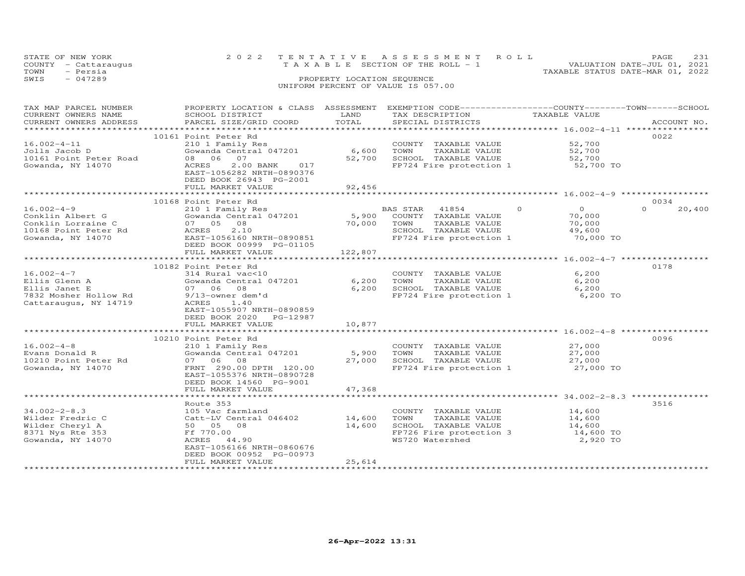|      | STATE OF NEW YORK<br>COUNTY - Cattaraugus |                            | 2022 TENTATIVE ASSESSMENT ROLL<br>VALUATION DATE-JUL 01, 2021<br>TAXABLE SECTION OF THE ROLL - 1 | <b>PAGE</b> | 2.31 |
|------|-------------------------------------------|----------------------------|--------------------------------------------------------------------------------------------------|-------------|------|
| TOWN | - Persia                                  |                            | TAXABLE STATUS DATE-MAR 01, 2022                                                                 |             |      |
| SWIS | $-047289$                                 | PROPERTY LOCATION SEOUENCE |                                                                                                  |             |      |
|      |                                           |                            | UNIFORM PERCENT OF VALUE IS 057.00                                                               |             |      |

| TAX MAP PARCEL NUMBER  | PROPERTY LOCATION & CLASS ASSESSMENT EXEMPTION CODE-----------------COUNTY-------TOWN------SCHOOL |              |                                                       |                                                        |                    |
|------------------------|---------------------------------------------------------------------------------------------------|--------------|-------------------------------------------------------|--------------------------------------------------------|--------------------|
| CURRENT OWNERS NAME    | SCHOOL DISTRICT                                                                                   | LAND         | TAX DESCRIPTION                                       | TAXABLE VALUE                                          |                    |
| CURRENT OWNERS ADDRESS | PARCEL SIZE/GRID COORD                                                                            | TOTAL        | SPECIAL DISTRICTS                                     |                                                        | ACCOUNT NO.        |
|                        |                                                                                                   |              |                                                       |                                                        |                    |
|                        |                                                                                                   |              |                                                       |                                                        | 0022               |
|                        | 10161 Point Peter Rd                                                                              |              |                                                       |                                                        |                    |
| $16.002 - 4 - 11$      | 210 1 Family Res                                                                                  |              | COUNTY TAXABLE VALUE                                  | 52,700                                                 |                    |
| Jolls Jacob D          | Gowanda Central 047201                                                                            | 6,600        |                                                       | 52,700                                                 |                    |
| 10161 Point Peter Road | 08 06 07                                                                                          | 52,700       | TOWN       TAXABLE  VALUE<br>SCHOOL    TAXABLE  VALUE | 52,700                                                 |                    |
| Gowanda, NY 14070      | 2.00 BANK 017<br>ACRES                                                                            |              | FP724 Fire protection 1 52,700 TO                     |                                                        |                    |
|                        | EAST-1056282 NRTH-0890376                                                                         |              |                                                       |                                                        |                    |
|                        |                                                                                                   |              |                                                       |                                                        |                    |
|                        | DEED BOOK 26943 PG-2001                                                                           |              |                                                       |                                                        |                    |
|                        | FULL MARKET VALUE                                                                                 | 92,456       |                                                       |                                                        |                    |
|                        |                                                                                                   |              |                                                       |                                                        |                    |
|                        | 10168 Point Peter Rd                                                                              |              |                                                       |                                                        | 0034               |
| $16.002 - 4 - 9$       | 210 1 Family Res                                                                                  |              | BAS STAR 41854                                        | $\Omega$<br>$\overline{0}$                             | $\Omega$<br>20,400 |
|                        | Gowanda Central 047201 5,900 COUNTY TAXABLE VALUE                                                 |              |                                                       | 70,000                                                 |                    |
| Conklin Albert G       |                                                                                                   |              |                                                       |                                                        |                    |
| Conklin Lorraine C     | 07 05 08                                                                                          | 70,000 TOWN  | TAXABLE VALUE                                         | 70,000                                                 |                    |
|                        | 2.10                                                                                              |              | SCHOOL TAXABLE VALUE                                  | 49,600                                                 |                    |
| Gowanda, NY 14070      | EAST-1056160 NRTH-0890851                                                                         |              | FP724 Fire protection 1                               | 70,000 TO                                              |                    |
|                        | DEED BOOK 00999 PG-01105                                                                          |              |                                                       |                                                        |                    |
|                        | FULL MARKET VALUE                                                                                 | 122,807      |                                                       |                                                        |                    |
|                        |                                                                                                   |              |                                                       |                                                        |                    |
|                        |                                                                                                   |              |                                                       |                                                        |                    |
|                        | 10182 Point Peter Rd                                                                              |              |                                                       |                                                        | 0178               |
| $16.002 - 4 - 7$       | 314 Rural vac<10                                                                                  |              | COUNTY TAXABLE VALUE                                  | 6,200                                                  |                    |
| Ellis Glenn A          | Gowanda Central 047201                                                                            | 6,200        | TOWN<br>TAXABLE VALUE                                 | 6,200                                                  |                    |
| Ellis Janet E          | 07 06 08                                                                                          | 6,200        | SCHOOL TAXABLE VALUE                                  | 6,200                                                  |                    |
|                        |                                                                                                   |              |                                                       |                                                        |                    |
| 7832 Mosher Hollow Rd  | 9/13-owner dem'd                                                                                  |              | FP724 Fire protection 1                               | 6,200 TO                                               |                    |
| Cattaraugus, NY 14719  | ACRES<br>1.40                                                                                     |              |                                                       |                                                        |                    |
|                        | EAST-1055907 NRTH-0890859                                                                         |              |                                                       |                                                        |                    |
|                        | DEED BOOK 2020 PG-12987                                                                           |              |                                                       |                                                        |                    |
|                        | FULL MARKET VALUE                                                                                 | 10,877       |                                                       |                                                        |                    |
|                        |                                                                                                   |              |                                                       |                                                        |                    |
|                        |                                                                                                   |              |                                                       |                                                        | 0096               |
|                        | 10210 Point Peter Rd                                                                              |              |                                                       |                                                        |                    |
| $16.002 - 4 - 8$       | 210 1 Family Res                                                                                  |              | COUNTY TAXABLE VALUE                                  | 27,000                                                 |                    |
| Evans Donald R         | Gowanda Central 047201                                                                            | 5,900        | TAXABLE VALUE<br>TOWN                                 | 27,000                                                 |                    |
| 10210 Point Peter Rd   | 07 06 08                                                                                          | 27,000       | SCHOOL TAXABLE VALUE                                  | 27,000                                                 |                    |
| Gowanda, NY 14070      | FRNT 290.00 DPTH 120.00                                                                           |              | FP724 Fire protection 1                               | 27,000 TO                                              |                    |
|                        | EAST-1055376 NRTH-0890728                                                                         |              |                                                       |                                                        |                    |
|                        |                                                                                                   |              |                                                       |                                                        |                    |
|                        | DEED BOOK 14560 PG-9001                                                                           |              |                                                       |                                                        |                    |
|                        | FULL MARKET VALUE                                                                                 | 47,368       |                                                       |                                                        |                    |
|                        | ******************************                                                                    | ************ |                                                       | ************************ 34.002-2-8.3 **************** |                    |
|                        | Route 353                                                                                         |              |                                                       |                                                        | 3516               |
| $34.002 - 2 - 8.3$     | 105 Vac farmland                                                                                  |              | COUNTY TAXABLE VALUE 14,600                           |                                                        |                    |
| Wilder Fredric C       | Catt-LV Central 046402                                                                            | 14,600       | TAXABLE VALUE<br>TOWN                                 | 14,600                                                 |                    |
|                        |                                                                                                   |              |                                                       |                                                        |                    |
| Wilder Cheryl A        | 50 05 08                                                                                          | 14,600       | SCHOOL TAXABLE VALUE                                  | 14,600                                                 |                    |
| 8371 Nys Rte 353       | Ff 770.00                                                                                         |              | FP726 Fire protection 3                               | 14,600 TO                                              |                    |
| Gowanda, NY 14070      | ACRES 44.90                                                                                       |              | WS720 Watershed                                       | 2,920 TO                                               |                    |
|                        | EAST-1056166 NRTH-0860676                                                                         |              |                                                       |                                                        |                    |
|                        | DEED BOOK 00952 PG-00973                                                                          |              |                                                       |                                                        |                    |
|                        |                                                                                                   |              |                                                       |                                                        |                    |
|                        | FULL MARKET VALUE                                                                                 | 25,614       |                                                       |                                                        |                    |
|                        | ***********************                                                                           |              |                                                       |                                                        |                    |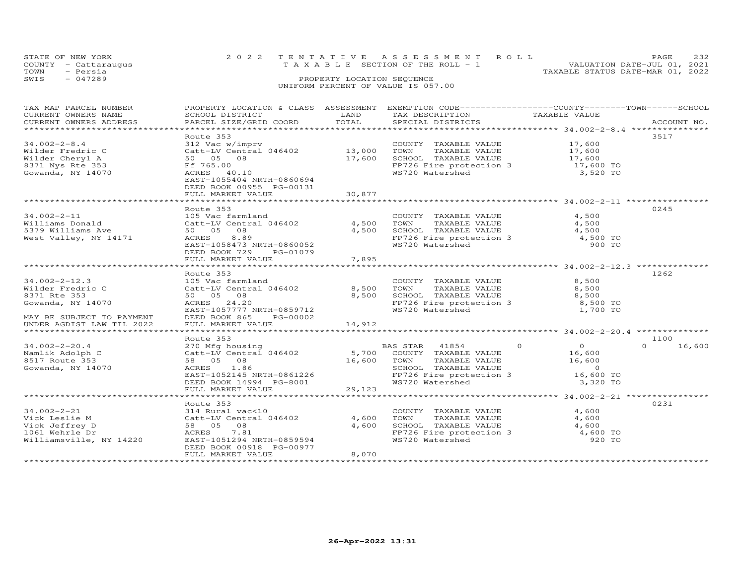| STATE OF NEW YORK<br>COUNTY - Cattaraugus | 2022 TENTATIVE ASSESSMENT ROLL<br>TAXABLE SECTION OF THE ROLL - 1 | 2.32<br><b>PAGE</b><br>VALUATION DATE-JUL 01, 2021 |  |  |  |  |
|-------------------------------------------|-------------------------------------------------------------------|----------------------------------------------------|--|--|--|--|
| - Persia<br>TOWN                          |                                                                   | TAXABLE STATUS DATE-MAR 01, 2022                   |  |  |  |  |
| $-047289$<br>SWIS                         | PROPERTY LOCATION SEQUENCE                                        |                                                    |  |  |  |  |
| UNIFORM PERCENT OF VALUE IS 057.00        |                                                                   |                                                    |  |  |  |  |

| TAX MAP PARCEL NUMBER                                                                                                                   |                                                               |             | PROPERTY LOCATION & CLASS ASSESSMENT EXEMPTION CODE----------------COUNTY-------TOWN-----SCHOOL                |                |                    |
|-----------------------------------------------------------------------------------------------------------------------------------------|---------------------------------------------------------------|-------------|----------------------------------------------------------------------------------------------------------------|----------------|--------------------|
| CURRENT OWNERS NAME                                                                                                                     | SCHOOL DISTRICT                                               | LAND        | TAX DESCRIPTION                                                                                                | TAXABLE VALUE  |                    |
| CURRENT OWNERS ADDRESS                                                                                                                  | PARCEL SIZE/GRID COORD                                        | TOTAL       | SPECIAL DISTRICTS                                                                                              |                | ACCOUNT NO.        |
|                                                                                                                                         |                                                               |             |                                                                                                                |                |                    |
|                                                                                                                                         | Route 353                                                     |             |                                                                                                                |                | 3517               |
| $34.002 - 2 - 8.4$                                                                                                                      | 312 Vac w/imprv                                               |             | COUNTY TAXABLE VALUE                                                                                           | 17,600         |                    |
|                                                                                                                                         |                                                               |             |                                                                                                                |                |                    |
| Wilder Fredric C                                                                                                                        |                                                               |             | TAXABLE VALUE 17,600<br>TOWN                                                                                   |                |                    |
| Wilder Cheryl A                                                                                                                         | Catt-LV Central 046402 13,000<br>50 05 08 17,600<br>Ff 765.00 |             | SCHOOL TAXABLE VALUE 17,600<br>FP726 Fire protection 3 17,600 TO                                               |                |                    |
| 8371 Nys Rte 353                                                                                                                        |                                                               |             |                                                                                                                |                |                    |
| Gowanda, NY 14070                                                                                                                       | ACRES 40.10                                                   |             | WS720 Watershed                                                                                                | 3,520 TO       |                    |
|                                                                                                                                         | EAST-1055404 NRTH-0860694                                     |             |                                                                                                                |                |                    |
|                                                                                                                                         | DEED BOOK 00955 PG-00131                                      |             |                                                                                                                |                |                    |
|                                                                                                                                         | FULL MARKET VALUE                                             | 30,877      |                                                                                                                |                |                    |
|                                                                                                                                         |                                                               |             |                                                                                                                |                |                    |
|                                                                                                                                         | Route 353                                                     |             |                                                                                                                |                | 0245               |
|                                                                                                                                         |                                                               |             |                                                                                                                |                |                    |
| $34.002 - 2 - 11$                                                                                                                       | 105 Vac farmland                                              |             | COUNTY TAXABLE VALUE                                                                                           | 4,500          |                    |
| Williams Donald Catt-LV Central 046402                                                                                                  |                                                               | 4,500       | TAXABLE VALUE<br>TOWN                                                                                          | 4,500          |                    |
|                                                                                                                                         |                                                               | 4,500       |                                                                                                                |                |                    |
| 50 05 08<br>West Valley, NY 14171 14171 ACRES 8.89                                                                                      | 8.89                                                          |             | TOWN IAAADDD VIELE<br>SCHOOL TAXABLE VALUE 4,500<br>FP726 Fire protection 3 4,500 TO<br>WARTON WATERS 3 900 TO |                |                    |
|                                                                                                                                         | EAST-1058473 NRTH-0860052                                     |             |                                                                                                                |                |                    |
|                                                                                                                                         | DEED BOOK 729<br>PG-01079                                     |             |                                                                                                                |                |                    |
|                                                                                                                                         | FULL MARKET VALUE                                             | 7,895       |                                                                                                                |                |                    |
|                                                                                                                                         |                                                               |             |                                                                                                                |                |                    |
|                                                                                                                                         |                                                               |             |                                                                                                                |                |                    |
|                                                                                                                                         | Route 353                                                     |             |                                                                                                                |                | 1262               |
| $34.002 - 2 - 12.3$                                                                                                                     | 105 Vac farmland                                              |             | COUNTY TAXABLE VALUE                                                                                           | 8,500          |                    |
| Wilder Fredric C                                                                                                                        | Catt-LV Central 046402                                        | 8,500       | TOWN<br>TOWN        TAXABLE  VALUE<br>SCHOOL    TAXABLE  VALUE                                                 | 8,500          |                    |
| 8371 Rte 353                                                                                                                            | 50 05 08                                                      | 8,500       |                                                                                                                | 8,500          |                    |
| Gowanda, NY 14070                                                                                                                       | ACRES 24.20                                                   |             | $FP726$ Fire protection 3 $8,500$ TO                                                                           |                |                    |
|                                                                                                                                         | EAST-1057777 NRTH-0859712                                     |             | WS720 Watershed                                                                                                | 1,700 TO       |                    |
| MAY BE SUBJECT TO PAYMENT                                                                                                               | DEED BOOK 865<br>PG-00002                                     |             |                                                                                                                |                |                    |
| UNDER AGDIST LAW TIL 2022                                                                                                               | FULL MARKET VALUE                                             | 14,912      |                                                                                                                |                |                    |
|                                                                                                                                         |                                                               |             |                                                                                                                |                |                    |
|                                                                                                                                         |                                                               |             |                                                                                                                |                |                    |
|                                                                                                                                         | Route 353                                                     |             |                                                                                                                |                | 1100               |
| $34.002 - 2 - 20.4$                                                                                                                     | 270 Mfg housing                                               |             |                                                                                                                | $\overline{0}$ | $\Omega$<br>16,600 |
| Namlik Adolph C                                                                                                                         |                                                               |             |                                                                                                                | 16,600         |                    |
| 8517 Route 353                                                                                                                          | 58  05  08                                                    | 16,600 TOWN |                                                                                                                | 16,600         |                    |
| Gowanda, NY 14070                                                                                                                       | ACRES 1.86                                                    |             | TOWN       TAXABLE  VALUE<br>SCHOOL    TAXABLE  VALUE                                                          | $\sim$ 0       |                    |
|                                                                                                                                         | EAST-1052145 NRTH-0861226                                     |             | FP726 Fire protection 3                                                                                        | 16,600 TO      |                    |
|                                                                                                                                         | DEED BOOK 14994 PG-8001                                       |             | WS720 Watershed                                                                                                | 3,320 TO       |                    |
|                                                                                                                                         | FULL MARKET VALUE                                             | 29,123      |                                                                                                                |                |                    |
|                                                                                                                                         |                                                               |             |                                                                                                                |                |                    |
|                                                                                                                                         |                                                               |             |                                                                                                                |                |                    |
|                                                                                                                                         | Route 353                                                     |             |                                                                                                                |                | 0231               |
| $34.002 - 2 - 21$                                                                                                                       | 314 Rural vac<10                                              |             | COUNTY TAXABLE VALUE                                                                                           | 4,600          |                    |
| Vick Leslie M                                                                                                                           | 314 Rural vac<10<br>Catt-LV Central 046402                    | 4,600       | TOWN<br>TAXABLE VALUE                                                                                          | 4,600          |                    |
| Vick Jeffrey D                                                                                                                          | 58 05 08                                                      | 4,600       | SCHOOL TAXABLE VALUE 4,600<br>FP726 Fire protection 3 4,600 TO                                                 |                |                    |
| 1061 Wehrle Dr                                                                                                                          | ACRES 7.81                                                    |             |                                                                                                                |                |                    |
| $\begin{array}{c} \mathbf{1} & \mathbf{1} \\ \mathbf{1} & \mathbf{1} \\ \mathbf{1} & \mathbf{1} \end{array}$<br>Williamsville, NY 14220 | EAST-1051294 NRTH-0859594                                     |             | WS720 Watershed                                                                                                | 920 TO         |                    |
|                                                                                                                                         | DEED BOOK 00918 PG-00977                                      |             |                                                                                                                |                |                    |
|                                                                                                                                         | FULL MARKET VALUE                                             | 8,070       |                                                                                                                |                |                    |
|                                                                                                                                         |                                                               |             |                                                                                                                |                |                    |
|                                                                                                                                         |                                                               |             |                                                                                                                |                |                    |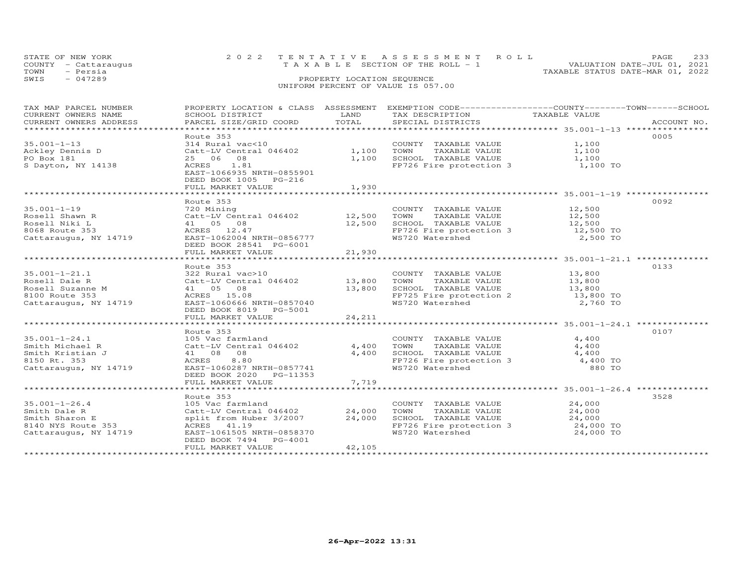|      | STATE OF NEW YORK<br>COUNTY - Cattaraugus | 2022 TENTATIVE ASSESSMENT ROLL<br>T A X A B L E SECTION OF THE ROLL - 1 |                            |  | PAGE.<br>VALUATION DATE-JUL 01, 2021 | 233 |
|------|-------------------------------------------|-------------------------------------------------------------------------|----------------------------|--|--------------------------------------|-----|
| TOWN | - Persia                                  |                                                                         |                            |  | TAXABLE STATUS DATE-MAR 01, 2022     |     |
| SWIS | $-047289$                                 |                                                                         | PROPERTY LOCATION SEQUENCE |  |                                      |     |
|      |                                           | UNIFORM PERCENT OF VALUE IS 057.00                                      |                            |  |                                      |     |

| TAX MAP PARCEL NUMBER          |                                                                                        |        | PROPERTY LOCATION & CLASS ASSESSMENT EXEMPTION CODE----------------COUNTY-------TOWN------SCHOOL    |               |             |
|--------------------------------|----------------------------------------------------------------------------------------|--------|-----------------------------------------------------------------------------------------------------|---------------|-------------|
| CURRENT OWNERS NAME            | SCHOOL DISTRICT                                                                        | LAND   | TAX DESCRIPTION                                                                                     | TAXABLE VALUE |             |
| CURRENT OWNERS ADDRESS         | PARCEL SIZE/GRID COORD TOTAL                                                           |        | SPECIAL DISTRICTS                                                                                   |               | ACCOUNT NO. |
|                                |                                                                                        |        |                                                                                                     |               |             |
|                                | Route 353                                                                              |        |                                                                                                     |               | 0005        |
|                                | 314 Rural vac<10 COUNTY<br>Catt-LV Central 046402 1,100 TOWN                           |        | COUNTY TAXABLE VALUE 1,100                                                                          |               |             |
|                                |                                                                                        |        | TAXABLE VALUE                                                                                       | 1,100         |             |
| 35.001-1-15<br>Ackley Dennis D | 25 06 08                                                                               |        | $1,100$ SCHOOL TAXABLE VALUE $1,100$                                                                |               |             |
| S Dayton, NY 14138             | ACRES 1.81                                                                             |        | $FP726$ Fire protection 3 1,100 TO                                                                  |               |             |
|                                | EAST-1066935 NRTH-0855901                                                              |        |                                                                                                     |               |             |
|                                | DEED BOOK 1005 PG-216                                                                  |        |                                                                                                     |               |             |
|                                | FULL MARKET VALUE                                                                      | 1,930  |                                                                                                     |               |             |
|                                |                                                                                        |        |                                                                                                     |               |             |
|                                | Route 353                                                                              |        |                                                                                                     |               | 0092        |
| $35.001 - 1 - 19$              |                                                                                        |        |                                                                                                     |               |             |
| Rosell Shawn R                 |                                                                                        |        |                                                                                                     |               |             |
| Rosell Niki L                  | 41 05 08                                                                               |        |                                                                                                     |               |             |
| 8068 Route 353                 | ACRES 12.47                                                                            |        | 12,500 SCHOOL TAXABLE VALUE 12,500<br>FP726 Fire protection 3 12,500 TO<br>WS720 Watershed 2,500 TO |               |             |
| Cattaraugus, NY 14719          | EAST-1062004 NRTH-0856777                                                              |        |                                                                                                     |               |             |
|                                |                                                                                        |        |                                                                                                     |               |             |
|                                | DEED BOOK 28541 PG-6001                                                                |        |                                                                                                     |               |             |
|                                | FULL MARKET VALUE                                                                      | 21,930 |                                                                                                     |               |             |
|                                |                                                                                        |        |                                                                                                     |               |             |
|                                | Route 353                                                                              |        |                                                                                                     |               | 0133        |
|                                |                                                                                        |        |                                                                                                     |               |             |
|                                |                                                                                        |        |                                                                                                     |               |             |
|                                |                                                                                        |        |                                                                                                     |               |             |
|                                |                                                                                        |        |                                                                                                     |               |             |
| Cattaraugus, NY 14719          | EAST-1060666 NRTH-0857040                                                              |        |                                                                                                     |               |             |
|                                | DEED BOOK 8019    PG-5001                                                              |        |                                                                                                     |               |             |
|                                |                                                                                        |        |                                                                                                     |               |             |
|                                |                                                                                        |        |                                                                                                     |               |             |
|                                | Route 353                                                                              |        |                                                                                                     |               | 0107        |
| $35.001 - 1 - 24.1$            |                                                                                        |        | COUNTY TAXABLE VALUE                                                                                | 4,400         |             |
| Smith Michael R                |                                                                                        |        | TAXABLE VALUE<br>TOWN                                                                               | 4,400         |             |
| Smith Kristian J               |                                                                                        |        |                                                                                                     |               |             |
| 8150 Rt. 353                   | 105 Vac farmland<br>Catt-LV Central 046402 4,400<br>41 08 08 4,400<br>ACRES 8.80 4,400 |        |                                                                                                     |               |             |
| Cattaraugus, NY 14719          | EAST-1060287 NRTH-0857741                                                              |        | SCHOOL TAXABLE VALUE $4,400$<br>FP726 Fire protection 3 $4,400$ TO<br>WS720 Watershed 880 TO        |               |             |
|                                | DEED BOOK 2020    PG-11353                                                             |        |                                                                                                     |               |             |
|                                | FULL MARKET VALUE                                                                      | 7,719  |                                                                                                     |               |             |
|                                |                                                                                        |        |                                                                                                     |               |             |
|                                | Route 353                                                                              |        |                                                                                                     |               | 3528        |
| $35.001 - 1 - 26.4$            | 105 Vac farmland                                                                       |        | COUNTY TAXABLE VALUE                                                                                | 24,000        |             |
| Smith Dale R                   | Catt-LV Central 046402 24,000                                                          |        | TAXABLE VALUE 24,000<br>TOWN                                                                        |               |             |
| Smith Sharon E                 | split from Huber 3/2007                                                                | 24,000 |                                                                                                     |               |             |
| 8140 NYS Route 353             | ACRES 41.19                                                                            |        | SCHOOL TAXABLE VALUE $24,000$<br>FP726 Fire protection 3 24,000 TO                                  |               |             |
| Cattaraugus, NY 14719          | EAST-1061505 NRTH-0858370                                                              |        | WS720 Watershed                                                                                     | 24,000 TO     |             |
|                                | DEED BOOK 7494 PG-4001                                                                 |        |                                                                                                     |               |             |
|                                | FULL MARKET VALUE                                                                      | 42,105 |                                                                                                     |               |             |
|                                |                                                                                        |        |                                                                                                     |               |             |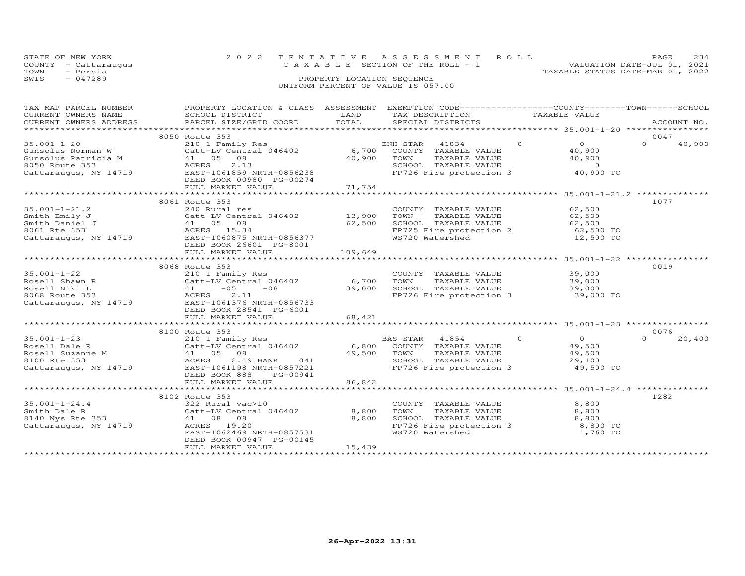| STATE OF NEW YORK | COUNTY - Cattaraugus               |  | 2022 TENTATIVE ASSESSMENT ROLL<br>T A X A B L E SECTION OF THE ROLL - 1 |  |  | VALUATION DATE-JUL 01, 2021      | <b>PAGE</b> | 2.34 |
|-------------------|------------------------------------|--|-------------------------------------------------------------------------|--|--|----------------------------------|-------------|------|
| TOWN              | - Persia                           |  |                                                                         |  |  | TAXABLE STATUS DATE-MAR 01, 2022 |             |      |
| SWIS              | $-047289$                          |  | PROPERTY LOCATION SEQUENCE                                              |  |  |                                  |             |      |
|                   | UNIFORM PERCENT OF VALUE IS 057.00 |  |                                                                         |  |  |                                  |             |      |

| TAX MAP PARCEL NUMBER                 | PROPERTY LOCATION & CLASS ASSESSMENT EXEMPTION CODE----------------COUNTY-------TOWN------SCHOOL                                                                                                                                                         |             |                                                          |               |                     |          |             |
|---------------------------------------|----------------------------------------------------------------------------------------------------------------------------------------------------------------------------------------------------------------------------------------------------------|-------------|----------------------------------------------------------|---------------|---------------------|----------|-------------|
| CURRENT OWNERS NAME                   | SCHOOL DISTRICT                                                                                                                                                                                                                                          | LAND        | TAX DESCRIPTION                                          | TAXABLE VALUE |                     |          |             |
| CURRENT OWNERS ADDRESS                | PARCEL SIZE/GRID COORD                                                                                                                                                                                                                                   | TOTAL       | SPECIAL DISTRICTS                                        |               |                     |          | ACCOUNT NO. |
|                                       |                                                                                                                                                                                                                                                          |             |                                                          |               |                     |          |             |
|                                       | 8050 Route 353                                                                                                                                                                                                                                           |             |                                                          |               |                     | 0047     |             |
| $35.001 - 1 - 20$                     | 210 1 Family Res<br>Catt-LV Central 046402 6,700 COUNTY TAXABLE VALUE                                                                                                                                                                                    |             |                                                          | $\circ$       | $\overline{O}$      | $\Omega$ | 40,900      |
| Gunsolus Norman W                     |                                                                                                                                                                                                                                                          |             |                                                          |               | 40,900              |          |             |
| Gunsolus Patricia M<br>8050 Route 353 | 41 05 08                                                                                                                                                                                                                                                 | 40,900 TOWN | TAXABLE VALUE                                            |               | 40,900              |          |             |
|                                       | 2.13<br>ACRES                                                                                                                                                                                                                                            |             | SCHOOL TAXABLE VALUE                                     |               | $\overline{0}$      |          |             |
| Cattaraugus, NY 14719                 | EAST-1061859 NRTH-0856238                                                                                                                                                                                                                                |             | FP726 Fire protection 3                                  |               | 40,900 TO           |          |             |
|                                       | DEED BOOK 00980 PG-00274                                                                                                                                                                                                                                 |             |                                                          |               |                     |          |             |
|                                       | FULL MARKET VALUE                                                                                                                                                                                                                                        | 71,754      |                                                          |               |                     |          |             |
|                                       |                                                                                                                                                                                                                                                          |             |                                                          |               |                     |          |             |
|                                       | 8061 Route 353                                                                                                                                                                                                                                           |             |                                                          |               |                     | 1077     |             |
| $35.001 - 1 - 21.2$                   | 240 Rural res                                                                                                                                                                                                                                            |             | COUNTY TAXABLE VALUE                                     |               | 62,500              |          |             |
|                                       | 240 Kurai les<br>Catt-LV Central 046402 13,900                                                                                                                                                                                                           |             | TAXABLE VALUE<br>TOWN                                    |               | 62,500              |          |             |
|                                       | 35.001-1-21.2<br>Smith Daniel J<br>Smith Daniel J<br>8061 Rte 353<br>Cattaraugus, NY 14719<br>240 Rural res<br>Cattaraugus, NY 14719<br>240 Rural res<br>Cattaraugus, NY 14719<br>240 Rural res<br>Cattaraugus, NY 14719<br>25.08<br>26.34<br>26.37 EAST | 62,500      | SCHOOL TAXABLE VALUE                                     |               | 62,500              |          |             |
|                                       |                                                                                                                                                                                                                                                          |             | FP725 Fire protection 2                                  |               | 62,500<br>62,500 TO |          |             |
|                                       |                                                                                                                                                                                                                                                          |             | WS720 Watershed                                          |               | 12,500 TO           |          |             |
|                                       | DEED BOOK 26601 PG-8001                                                                                                                                                                                                                                  |             |                                                          |               |                     |          |             |
|                                       | FULL MARKET VALUE                                                                                                                                                                                                                                        | 109,649     |                                                          |               |                     |          |             |
|                                       |                                                                                                                                                                                                                                                          |             |                                                          |               |                     |          |             |
|                                       | 8068 Route 353                                                                                                                                                                                                                                           |             |                                                          |               |                     | 0019     |             |
| $35.001 - 1 - 22$                     | 210 1 Family Res                                                                                                                                                                                                                                         |             | COUNTY TAXABLE VALUE                                     |               | 39,000              |          |             |
| Rosell Shawn R                        | $Cat$ -LV Central 046402 6,700                                                                                                                                                                                                                           |             | TAXABLE VALUE<br>TOWN                                    |               | 39,000              |          |             |
| Rosell Niki L                         | $41 -05 -08$                                                                                                                                                                                                                                             | 39,000      |                                                          |               | 39,000              |          |             |
| 8068 Route 353                        | <b>ACRES</b><br>2.11                                                                                                                                                                                                                                     |             | SCHOOL TAXABLE VALUE<br>FP726 Fire protection 3          |               | 39,000 TO           |          |             |
| Cattaraugus, NY 14719                 | EAST-1061376 NRTH-0856733                                                                                                                                                                                                                                |             |                                                          |               |                     |          |             |
|                                       | DEED BOOK 28541 PG-6001                                                                                                                                                                                                                                  |             |                                                          |               |                     |          |             |
|                                       | FULL MARKET VALUE                                                                                                                                                                                                                                        | 68,421      |                                                          |               |                     |          |             |
|                                       |                                                                                                                                                                                                                                                          |             |                                                          |               |                     |          |             |
|                                       | 8100 Route 353                                                                                                                                                                                                                                           |             |                                                          |               |                     | 0076     |             |
| $35.001 - 1 - 23$                     | 210 1 Family Res                                                                                                                                                                                                                                         |             | BAS STAR 41854                                           | $\Omega$      | $\overline{O}$      | $\Omega$ | 20,400      |
| Rosell Dale R                         | $Catt-LV$ Central 046402 6,800                                                                                                                                                                                                                           |             | COUNTY TAXABLE VALUE                                     |               | 49,500              |          |             |
|                                       | 41 05 08                                                                                                                                                                                                                                                 | 49,500 TOWN | TAXABLE VALUE                                            |               | 49,500              |          |             |
| Rosell Suzanne M<br>8100 Rte 353      | 2.49 BANK<br>ACRES<br>041                                                                                                                                                                                                                                |             | SCHOOL TAXABLE VALUE                                     |               | 29,100              |          |             |
| Cattaraugus, NY 14719                 | EAST-1061198 NRTH-0857221                                                                                                                                                                                                                                |             | FP726 Fire protection 3                                  |               | 49,500 TO           |          |             |
|                                       | DEED BOOK 888<br>PG-00941                                                                                                                                                                                                                                |             |                                                          |               |                     |          |             |
|                                       | FULL MARKET VALUE                                                                                                                                                                                                                                        | 86,842      |                                                          |               |                     |          |             |
|                                       |                                                                                                                                                                                                                                                          |             |                                                          |               |                     |          |             |
|                                       | 8102 Route 353                                                                                                                                                                                                                                           |             |                                                          |               |                     | 1282     |             |
| $35.001 - 1 - 24.4$                   |                                                                                                                                                                                                                                                          |             | COUNTY TAXABLE VALUE                                     |               | 8,800               |          |             |
|                                       | 322 Rural vac>10                                                                                                                                                                                                                                         | 8,800       |                                                          |               | 8,800               |          |             |
|                                       | Catt-LV Central 046402                                                                                                                                                                                                                                   |             | TOWN<br>TAXABLE VALUE                                    |               |                     |          |             |
| Smith Dale R<br>8140 Nys Rte 353      | 41 08 08                                                                                                                                                                                                                                                 | 8,800       | SCHOOL TAXABLE VALUE<br>FP726 Fire protection 3 8,800 TO |               | 8,800               |          |             |
| Cattaraugus, NY 14719                 | ACRES 19.20                                                                                                                                                                                                                                              |             |                                                          |               |                     |          |             |
|                                       | EAST-1062469 NRTH-0857531                                                                                                                                                                                                                                |             | WS720 Watershed                                          |               | 1,760 TO            |          |             |
|                                       | DEED BOOK 00947 PG-00145                                                                                                                                                                                                                                 |             |                                                          |               |                     |          |             |
|                                       | FULL MARKET VALUE                                                                                                                                                                                                                                        | 15,439      |                                                          |               |                     |          |             |
|                                       |                                                                                                                                                                                                                                                          |             |                                                          |               |                     |          |             |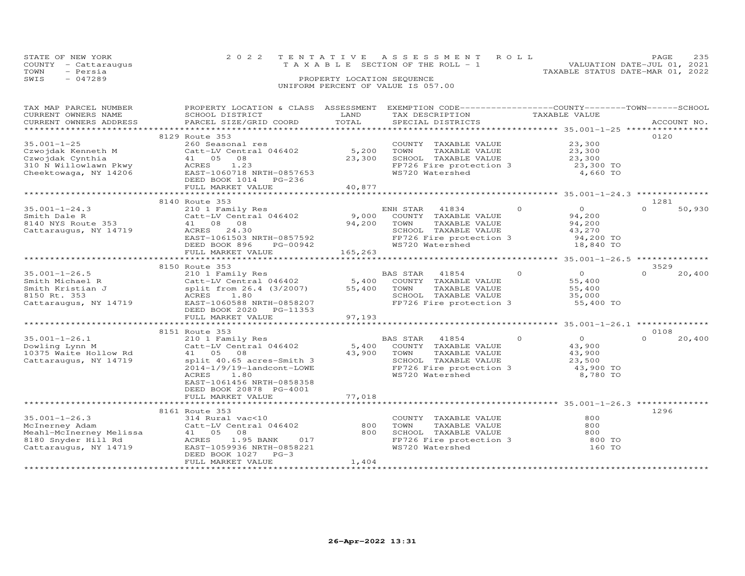|      | STATE OF NEW YORK    | 2022 TENTATIVE ASSESSMENT ROLL     |                            |  |                                  | PAGE.                       | 235 |
|------|----------------------|------------------------------------|----------------------------|--|----------------------------------|-----------------------------|-----|
|      | COUNTY - Cattaraugus | TAXABLE SECTION OF THE ROLL - 1    |                            |  |                                  | VALUATION DATE-JUL 01, 2021 |     |
| TOWN | - Persia             |                                    |                            |  | TAXABLE STATUS DATE-MAR 01, 2022 |                             |     |
| SWIS | $-047289$            |                                    | PROPERTY LOCATION SEQUENCE |  |                                  |                             |     |
|      |                      | UNIFORM PERCENT OF VALUE IS 057.00 |                            |  |                                  |                             |     |

| TAX MAP PARCEL NUMBER                          | PROPERTY LOCATION & CLASS ASSESSMENT EXEMPTION CODE-----------------COUNTY-------TOWN------SCHOOL |         |                                                                  |                |                      |                    |
|------------------------------------------------|---------------------------------------------------------------------------------------------------|---------|------------------------------------------------------------------|----------------|----------------------|--------------------|
| CURRENT OWNERS NAME                            | SCHOOL DISTRICT                                                                                   | LAND    | TAX DESCRIPTION                                                  | TAXABLE VALUE  |                      |                    |
| CURRENT OWNERS ADDRESS                         | PARCEL SIZE/GRID COORD                                                                            | TOTAL   | SPECIAL DISTRICTS                                                |                |                      | ACCOUNT NO.        |
|                                                |                                                                                                   |         |                                                                  |                |                      |                    |
|                                                |                                                                                                   |         |                                                                  |                |                      | 0120               |
|                                                | 8129 Route 353                                                                                    |         |                                                                  |                |                      |                    |
| $35.001 - 1 - 25$                              | 260 Seasonal res                                                                                  |         | COUNTY TAXABLE VALUE                                             |                | 23,300               |                    |
| Czwojdak Kenneth M                             | Catt-LV Central 046402                                                                            | 5,200   | TOWN<br>TAXABLE VALUE                                            |                | 23,300               |                    |
| Czwojdak Cynthia                               | 41 05 08                                                                                          | 23,300  | SCHOOL TAXABLE VALUE                                             |                | 23,300               |                    |
|                                                | ACRES<br>1.23                                                                                     |         | FP726 Fire protection 3                                          |                | 23,300 TO            |                    |
| 310 N Willowlawn Pkwy<br>Cheektowaga, NY 14206 | EAST-1060718 NRTH-0857653                                                                         |         | WS720 Watershed                                                  |                | 4,660 TO             |                    |
|                                                |                                                                                                   |         |                                                                  |                |                      |                    |
|                                                | DEED BOOK 1014 PG-236                                                                             |         |                                                                  |                |                      |                    |
|                                                | FULL MARKET VALUE                                                                                 | 40,877  |                                                                  |                |                      |                    |
|                                                |                                                                                                   |         |                                                                  |                |                      |                    |
|                                                | 8140 Route 353                                                                                    |         |                                                                  |                |                      | 1281               |
| $35.001 - 1 - 24.3$                            | 210 1 Family Res                                                                                  |         | ENH STAR 41834                                                   | $\Omega$       | $\overline{0}$       | $\Omega$<br>50,930 |
|                                                |                                                                                                   |         |                                                                  |                |                      |                    |
| Smith Dale R                                   | $Catt-LV$ Central 046402 9,000                                                                    |         | COUNTY TAXABLE VALUE                                             |                | 94,200               |                    |
| 8140 NYS Route 353                             | 41 08 08                                                                                          | 94,200  | TOWN<br>TAXABLE VALUE                                            |                | 94,200               |                    |
| Cattaraugus, NY 14719                          | ACRES<br>24.30                                                                                    |         | SCHOOL TAXABLE VALUE                                             |                | 43,270               |                    |
|                                                |                                                                                                   |         | FP726 Fire protection 3                                          |                | 94,200 TO            |                    |
|                                                | EAST-1061503 NRTH-0857592                                                                         |         |                                                                  |                |                      |                    |
|                                                | PG-00942<br>DEED BOOK 896                                                                         |         | WS720 Watershed                                                  |                | 18,840 TO            |                    |
|                                                | FULL MARKET VALUE                                                                                 | 165,263 |                                                                  |                |                      |                    |
|                                                |                                                                                                   |         |                                                                  |                |                      |                    |
|                                                | 8150 Route 353                                                                                    |         |                                                                  |                |                      | 3529               |
| $35.001 - 1 - 26.5$                            |                                                                                                   |         |                                                                  | $\overline{O}$ | $\overline{0}$       | $\Omega$<br>20,400 |
|                                                |                                                                                                   |         |                                                                  |                | 55,400               |                    |
| Smith Michael R                                |                                                                                                   |         |                                                                  |                |                      |                    |
| Smith Kristian J                               | split from 26.4 (3/2007) 55,400 TOWN                                                              |         | TAXABLE VALUE                                                    |                | $35,000$<br>$35,000$ |                    |
| 8150 Rt. 353                                   | ACRES 1.80                                                                                        |         | SCHOOL TAXABLE VALUE                                             |                |                      |                    |
| Cattaraugus, NY 14719                          | EAST-1060588 NRTH-0858207                                                                         |         | FP726 Fire protection 3 55,400 TO                                |                |                      |                    |
|                                                | DEED BOOK 2020 PG-11353                                                                           |         |                                                                  |                |                      |                    |
|                                                |                                                                                                   |         |                                                                  |                |                      |                    |
|                                                | FULL MARKET VALUE                                                                                 | 97,193  |                                                                  |                |                      |                    |
|                                                |                                                                                                   |         |                                                                  |                |                      |                    |
|                                                | 8151 Route 353                                                                                    |         |                                                                  |                |                      | 0108               |
| $35.001 - 1 - 26.1$                            | 210 1 Family Res                                                                                  |         | BAS STAR 41854                                                   | $\Omega$       | $\overline{0}$       | $\Omega$<br>20,400 |
| Dowling Lynn M                                 |                                                                                                   |         | 5,400 COUNTY TAXABLE VALUE                                       |                | 43,900               |                    |
|                                                | Catt-LV Central 046402                                                                            |         |                                                                  |                | 43,900               |                    |
| 10375 Waite Hollow Rd                          | 41 05 08                                                                                          | 43,900  | TOWN<br>TAXABLE VALUE                                            |                |                      |                    |
| Cattaraugus, NY 14719                          | split 40.65 acres-Smith 3                                                                         |         |                                                                  |                |                      |                    |
|                                                | 2014-1/9/19-landcont-LOWE                                                                         |         | SCHOOL TAXABLE VALUE 23,500<br>FP726 Fire protection 3 43,900 TO |                |                      |                    |
|                                                | 1.80<br>ACRES                                                                                     |         | WS720 Watershed                                                  |                | 8,780 TO             |                    |
|                                                | EAST-1061456 NRTH-0858358                                                                         |         |                                                                  |                |                      |                    |
|                                                |                                                                                                   |         |                                                                  |                |                      |                    |
|                                                | DEED BOOK 20878 PG-4001                                                                           |         |                                                                  |                |                      |                    |
|                                                | FULL MARKET VALUE                                                                                 | 77,018  |                                                                  |                |                      |                    |
|                                                |                                                                                                   |         |                                                                  |                |                      |                    |
|                                                | 8161 Route 353                                                                                    |         |                                                                  |                |                      | 1296               |
| $35.001 - 1 - 26.3$                            | 314 Rural vac<10                                                                                  |         | COUNTY TAXABLE VALUE                                             |                | 800                  |                    |
|                                                |                                                                                                   |         |                                                                  |                |                      |                    |
| McInerney Adam                                 | Catt-LV Central 046402                                                                            | 800     | TOWN<br>TAXABLE VALUE                                            |                | 800                  |                    |
| Meahl-McInerney Melissa<br>8180 Snyder Hill Rd | 41 05 08                                                                                          | 800     | SCHOOL TAXABLE VALUE                                             |                | 800                  |                    |
|                                                | ACRES<br>1.95 BANK<br>017                                                                         |         | FP726 Fire protection 3                                          |                | 800 TO               |                    |
| Cattaraugus, NY 14719                          | EAST-1059936 NRTH-0858221                                                                         |         | WS720 Watershed                                                  |                | 160 TO               |                    |
|                                                | DEED BOOK 1027 PG-3                                                                               |         |                                                                  |                |                      |                    |
|                                                |                                                                                                   |         |                                                                  |                |                      |                    |
|                                                | FULL MARKET VALUE                                                                                 | 1,404   |                                                                  |                |                      |                    |
|                                                |                                                                                                   |         |                                                                  |                |                      |                    |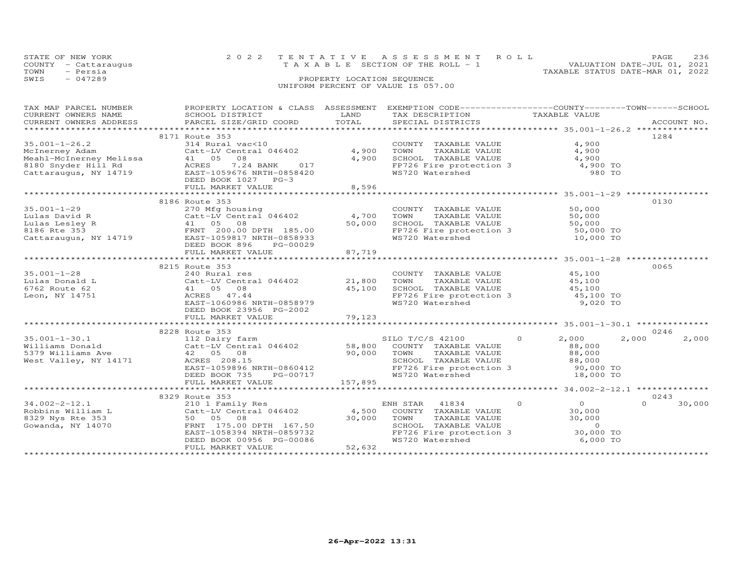|      | STATE OF NEW YORK<br>COUNTY - Cattaraugus | 2022 TENTATIVE ASSESSMENT ROLL<br>TAXABLE SECTION OF THE ROLL - 1 |                            |  | PAGE.<br>VALUATION DATE-JUL 01, 2021 | 236 |
|------|-------------------------------------------|-------------------------------------------------------------------|----------------------------|--|--------------------------------------|-----|
| TOWN | - Persia                                  |                                                                   |                            |  | TAXABLE STATUS DATE-MAR 01, 2022     |     |
| SWIS | $-047289$                                 |                                                                   | PROPERTY LOCATION SEQUENCE |  |                                      |     |
|      |                                           | UNIFORM PERCENT OF VALUE IS 057.00                                |                            |  |                                      |     |

| TAX MAP PARCEL NUMBER |                                                                                                                                                                                                                                                                                                                                 |        | PROPERTY LOCATION & CLASS ASSESSMENT EXEMPTION CODE----------------COUNTY-------TOWN-----SCHOOL                                      |                |                    |
|-----------------------|---------------------------------------------------------------------------------------------------------------------------------------------------------------------------------------------------------------------------------------------------------------------------------------------------------------------------------|--------|--------------------------------------------------------------------------------------------------------------------------------------|----------------|--------------------|
| CURRENT OWNERS NAME   | SCHOOL DISTRICT                                                                                                                                                                                                                                                                                                                 | LAND   | TAX DESCRIPTION                                                                                                                      | TAXABLE VALUE  |                    |
|                       | CURRENT OWNERS ADDRESS PARCEL SIZE/GRID COORD TOTAL<br>- OURRENT OWNERS ADDRESS - PARCEL SIZE/GRID COORD - TOTAL - SPECIAL DISTRICTS - ACCOUNT NO .<br>- ARCEL SIZE/GRID COORD - TOTAL - SPECIAL DISTRICTS - AND - AND - ACCOUNT NO . ACCOUNT - AND - AND - AND - AND                                                           |        |                                                                                                                                      |                |                    |
|                       |                                                                                                                                                                                                                                                                                                                                 |        |                                                                                                                                      |                |                    |
|                       | 8171 Route 353                                                                                                                                                                                                                                                                                                                  |        |                                                                                                                                      |                | 1284               |
|                       | 35.001-1-26.2<br>McInerney Adam<br>Meahl-McInerney Melissa<br>Meahl-McInerney Melissa<br>2180 Snyder Hill Rd<br>Cattaraugus, NY 14719<br>Cattaraugus, NY 14719<br>Cattaraugus, NY 14719<br>Cattaraugus, NY 14719<br>Cattaraugus, NY 14719<br>Catta                                                                              |        |                                                                                                                                      | 4,900          |                    |
|                       |                                                                                                                                                                                                                                                                                                                                 |        | COUNTY TAXABLE VALUE<br>TOWN TAXABLE VALUE                                                                                           | 4,900          |                    |
|                       |                                                                                                                                                                                                                                                                                                                                 |        |                                                                                                                                      |                |                    |
|                       |                                                                                                                                                                                                                                                                                                                                 |        |                                                                                                                                      |                |                    |
|                       |                                                                                                                                                                                                                                                                                                                                 |        | SCHOOL TAXABLE VALUE 4,900<br>FP726 Fire protection 3 4,900 TO<br>WS720 Watershed 980 TO                                             |                |                    |
|                       |                                                                                                                                                                                                                                                                                                                                 |        |                                                                                                                                      |                |                    |
|                       |                                                                                                                                                                                                                                                                                                                                 |        |                                                                                                                                      |                |                    |
|                       | FULL MARKET VALUE                                                                                                                                                                                                                                                                                                               | 8,596  |                                                                                                                                      |                |                    |
|                       |                                                                                                                                                                                                                                                                                                                                 |        |                                                                                                                                      |                |                    |
|                       | 8186 Route 353                                                                                                                                                                                                                                                                                                                  |        |                                                                                                                                      |                | 0130               |
|                       |                                                                                                                                                                                                                                                                                                                                 |        | COUNTY TAXABLE VALUE                                                                                                                 | 50,000         |                    |
|                       |                                                                                                                                                                                                                                                                                                                                 |        | TAXABLE VALUE 50,000<br>TOWN                                                                                                         |                |                    |
|                       |                                                                                                                                                                                                                                                                                                                                 |        | SCHOOL TAXABLE VALUE 50,000<br>FP726 Fire protection 3 50,000 TO<br>WS720 Watershed 10,000 TO                                        |                |                    |
|                       |                                                                                                                                                                                                                                                                                                                                 |        |                                                                                                                                      |                |                    |
|                       |                                                                                                                                                                                                                                                                                                                                 |        |                                                                                                                                      |                |                    |
|                       |                                                                                                                                                                                                                                                                                                                                 |        |                                                                                                                                      |                |                    |
|                       | FULL MARKET VALUE                                                                                                                                                                                                                                                                                                               | 87,719 |                                                                                                                                      |                |                    |
|                       |                                                                                                                                                                                                                                                                                                                                 |        |                                                                                                                                      |                |                    |
|                       |                                                                                                                                                                                                                                                                                                                                 |        |                                                                                                                                      |                |                    |
|                       | 8215 Route 353                                                                                                                                                                                                                                                                                                                  |        |                                                                                                                                      |                | 0065               |
|                       |                                                                                                                                                                                                                                                                                                                                 |        | COUNTY TAXABLE VALUE                                                                                                                 | 45,100         |                    |
|                       |                                                                                                                                                                                                                                                                                                                                 |        | TAXABLE VALUE 45,100<br>TOWN                                                                                                         |                |                    |
|                       | 1999 1999 11 2008 11 240 240 Rural res<br>1999 12,800 12,800 11 241 105 108 12,800 12,800 12,800 12,800 12,800 12,800 12<br>1990 12,100 12,100 12,100 12,100 12,100 12,100 12,100 12,100 12,100 12,100 12,100 12,100 12,100 12,100                                                                                              |        | SCHOOL TAXABLE VALUE 45,100<br>FP726 Fire protection 3 45,100 TO                                                                     |                |                    |
|                       |                                                                                                                                                                                                                                                                                                                                 |        |                                                                                                                                      |                |                    |
|                       | EAST-1060986 NRTH-0858979                                                                                                                                                                                                                                                                                                       |        | WS720 Watershed                                                                                                                      | 9,020 TO       |                    |
|                       | DEED BOOK 23956 PG-2002                                                                                                                                                                                                                                                                                                         |        |                                                                                                                                      |                |                    |
|                       |                                                                                                                                                                                                                                                                                                                                 |        |                                                                                                                                      |                |                    |
|                       |                                                                                                                                                                                                                                                                                                                                 |        |                                                                                                                                      |                |                    |
|                       | 8228 Route 353                                                                                                                                                                                                                                                                                                                  |        |                                                                                                                                      |                | 0246               |
|                       |                                                                                                                                                                                                                                                                                                                                 |        |                                                                                                                                      |                | 2,000<br>2,000     |
|                       |                                                                                                                                                                                                                                                                                                                                 |        |                                                                                                                                      |                |                    |
|                       |                                                                                                                                                                                                                                                                                                                                 |        |                                                                                                                                      |                |                    |
|                       |                                                                                                                                                                                                                                                                                                                                 |        |                                                                                                                                      |                |                    |
|                       | $\begin{tabular}{lllllllll} 42 & 05 & 08 & & & & & 90\text{,}000 & TOMN \\ ACRES & 208.15 & & & & & & & \\ EAST-1059896 NRTH-0860412 & & & & & & & \\ DEST-1059896 NRTH-0860412 & & & & & & & \\ DEED & BOGK & 735 & & & & & & & & \\ DEED & 606 & 735 & & & & & & & \\ DEHILL MADEKT & 157.115 & & & & & & & \\ \end{tabular}$ |        | TOWN TAXABLE VALUE<br>SCHOOL TAXABLE VALUE<br>SCHOOL TAXABLE VALUE<br>FP726 Fire protection 3 90,000 TO<br>WS720 Watershed 18,000 TO |                |                    |
|                       |                                                                                                                                                                                                                                                                                                                                 |        |                                                                                                                                      |                |                    |
|                       |                                                                                                                                                                                                                                                                                                                                 |        |                                                                                                                                      |                |                    |
|                       |                                                                                                                                                                                                                                                                                                                                 |        |                                                                                                                                      |                |                    |
|                       |                                                                                                                                                                                                                                                                                                                                 |        |                                                                                                                                      |                |                    |
|                       | 8329 Route 353                                                                                                                                                                                                                                                                                                                  |        |                                                                                                                                      |                | 0243               |
| $34.002 - 2 - 12.1$   | 210 1 Family Res                                                                                                                                                                                                                                                                                                                |        | ENH STAR 41834 0                                                                                                                     | $\overline{0}$ | $\Omega$<br>30,000 |
|                       |                                                                                                                                                                                                                                                                                                                                 |        |                                                                                                                                      |                |                    |
|                       | 34.002-2-12.1 210 1 Family Res EN<br>Robbins William L Catt-LV Central 046402 4,500<br>8329 Nys Rte 353 50 05 08 30,000                                                                                                                                                                                                         |        | COUNTY TAXABLE VALUE 30,000<br>TOWN TAXABLE VALUE 30,000                                                                             |                |                    |
|                       |                                                                                                                                                                                                                                                                                                                                 |        |                                                                                                                                      |                |                    |
|                       |                                                                                                                                                                                                                                                                                                                                 |        |                                                                                                                                      |                |                    |
|                       |                                                                                                                                                                                                                                                                                                                                 |        |                                                                                                                                      |                |                    |
|                       | DEED BOOK 00956 PG-00086<br>FULL MARKET VALUE 52,632                                                                                                                                                                                                                                                                            |        | TOWN TAXABLE VALUE 30,000<br>SCHOOL TAXABLE VALUE 0<br>FP726 Fire protection 3 30,000 TO<br>WS720 Watershed 6,000 TO                 |                |                    |
|                       |                                                                                                                                                                                                                                                                                                                                 |        |                                                                                                                                      |                |                    |
|                       |                                                                                                                                                                                                                                                                                                                                 |        |                                                                                                                                      |                |                    |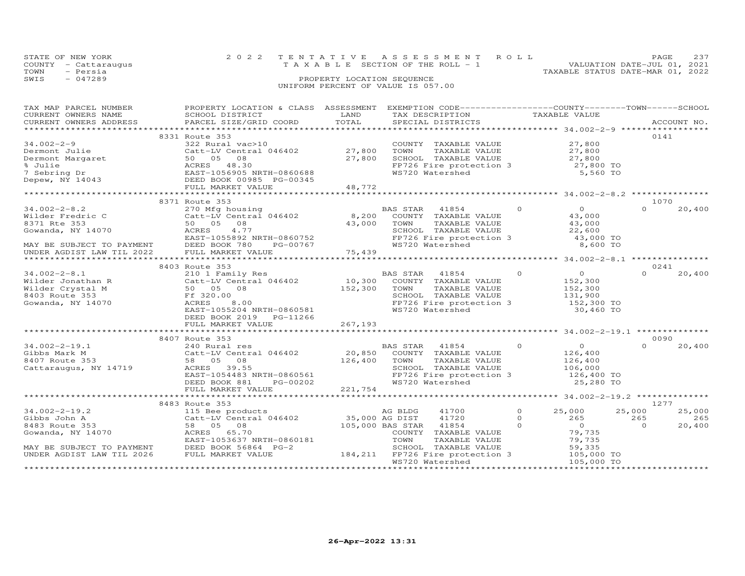|      | STATE OF NEW YORK    | 2022 TENTATIVE ASSESSMENT ROLL        |                            |  |                                  | PAGE.                       | 237 |
|------|----------------------|---------------------------------------|----------------------------|--|----------------------------------|-----------------------------|-----|
|      | COUNTY - Cattaraugus | T A X A B L E SECTION OF THE ROLL - 1 |                            |  |                                  | VALUATION DATE-JUL 01, 2021 |     |
| TOWN | - Persia             |                                       |                            |  | TAXABLE STATUS DATE-MAR 01, 2022 |                             |     |
| SWIS | $-047289$            |                                       | PROPERTY LOCATION SEQUENCE |  |                                  |                             |     |
|      |                      | UNIFORM PERCENT OF VALUE IS 057.00    |                            |  |                                  |                             |     |

| TAX MAP PARCEL NUMBER                                                                                            | PROPERTY LOCATION & CLASS ASSESSMENT EXEMPTION CODE----------------COUNTY-------TOWN-----SCHOOL                                                                                                                                            |         |                                                                                                                                                                                                                                                                                                                                    |               |                  |          |             |
|------------------------------------------------------------------------------------------------------------------|--------------------------------------------------------------------------------------------------------------------------------------------------------------------------------------------------------------------------------------------|---------|------------------------------------------------------------------------------------------------------------------------------------------------------------------------------------------------------------------------------------------------------------------------------------------------------------------------------------|---------------|------------------|----------|-------------|
| CURRENT OWNERS NAME                                                                                              | SCHOOL DISTRICT                                                                                                                                                                                                                            | LAND    | TAX DESCRIPTION                                                                                                                                                                                                                                                                                                                    | TAXABLE VALUE |                  |          |             |
| CURRENT OWNERS ADDRESS                                                                                           | PARCEL SIZE/GRID COORD                                                                                                                                                                                                                     | TOTAL   | SPECIAL DISTRICTS                                                                                                                                                                                                                                                                                                                  |               |                  |          | ACCOUNT NO. |
|                                                                                                                  |                                                                                                                                                                                                                                            |         | <br>********************** 34.002-2-9 *************                                                                                                                                                                                                                                                                                |               |                  |          |             |
|                                                                                                                  | 8331 Route 353                                                                                                                                                                                                                             |         |                                                                                                                                                                                                                                                                                                                                    |               |                  | 0141     |             |
| 34.002-2-9                                                                                                       | 322 Rural vac>10                                                                                                                                                                                                                           |         | COUNTY TAXABLE VALUE                                                                                                                                                                                                                                                                                                               |               | 27,800           |          |             |
|                                                                                                                  | Catt-LV Central 046402 27,<br>Dermont Margaret 50 05 08 27,<br>$%$ Julie 200K 27,<br>$%$ Julie 200K 27,<br>$%$ Julie 200K 27,<br>$%$ Julie 200K 0985 PG-00345<br>Depew, NY 14043 DEED BOOK 00985 PG-00345<br>Catt-LV Central 046402 27,800 |         | TOWN                                                                                                                                                                                                                                                                                                                               |               |                  |          |             |
|                                                                                                                  |                                                                                                                                                                                                                                            | 27,800  | TAXABLE VALUE<br>SCHOOL TAXABLE VALUE                                                                                                                                                                                                                                                                                              |               | 27,800<br>27,800 |          |             |
|                                                                                                                  |                                                                                                                                                                                                                                            |         |                                                                                                                                                                                                                                                                                                                                    |               |                  |          |             |
|                                                                                                                  |                                                                                                                                                                                                                                            |         | FP726 Fire protection $3$ 27,800 TO                                                                                                                                                                                                                                                                                                |               |                  |          |             |
|                                                                                                                  |                                                                                                                                                                                                                                            |         | WS720 Watershed                                                                                                                                                                                                                                                                                                                    |               | 5,560 TO         |          |             |
|                                                                                                                  |                                                                                                                                                                                                                                            |         |                                                                                                                                                                                                                                                                                                                                    |               |                  |          |             |
|                                                                                                                  | FULL MARKET VALUE                                                                                                                                                                                                                          | 48,772  |                                                                                                                                                                                                                                                                                                                                    |               |                  |          |             |
|                                                                                                                  |                                                                                                                                                                                                                                            |         |                                                                                                                                                                                                                                                                                                                                    |               |                  |          |             |
|                                                                                                                  | 8371 Route 353                                                                                                                                                                                                                             |         |                                                                                                                                                                                                                                                                                                                                    |               |                  | 1070     |             |
| $34.002 - 2 - 8.2$                                                                                               | 270 Mfg housing                                                                                                                                                                                                                            |         | $\sim$ 000 $\sim$ 000 $\sim$ 000 $\sim$ 000 $\sim$ 000 $\sim$<br>BAS STAR 41854                                                                                                                                                                                                                                                    |               | $\overline{O}$   | $\Omega$ | 20,400      |
| Wilder Fredric C                                                                                                 | $Catt-LV$ Central 046402 8,200                                                                                                                                                                                                             |         | COUNTY TAXABLE VALUE                                                                                                                                                                                                                                                                                                               |               | 43,000           |          |             |
| 8371 Rte 353                                                                                                     | 50 05 08                                                                                                                                                                                                                                   |         | TOWN<br>TAXABLE VALUE                                                                                                                                                                                                                                                                                                              |               |                  |          |             |
|                                                                                                                  |                                                                                                                                                                                                                                            | 43,000  |                                                                                                                                                                                                                                                                                                                                    |               | 43,000<br>22,600 |          |             |
| Governda, NY 14070<br>Governda, NY 14070<br>FAST-1                                                               | 4.77                                                                                                                                                                                                                                       |         | SCHOOL TAXABLE VALUE                                                                                                                                                                                                                                                                                                               |               |                  |          |             |
|                                                                                                                  | EAST-1055892 NRTH-0860752                                                                                                                                                                                                                  |         |                                                                                                                                                                                                                                                                                                                                    |               | 43,000 TO        |          |             |
| MAY BE SUBJECT TO PAYMENT DEED BOOK 780                                                                          | PG-00767                                                                                                                                                                                                                                   |         | FP726 Fire protection 3<br>WS720 Watershed                                                                                                                                                                                                                                                                                         |               | 8,600 TO         |          |             |
| UNDER AGDIST LAW TIL 2022                                                                                        | FULL MARKET VALUE                                                                                                                                                                                                                          | 75,439  |                                                                                                                                                                                                                                                                                                                                    |               |                  |          |             |
|                                                                                                                  |                                                                                                                                                                                                                                            |         |                                                                                                                                                                                                                                                                                                                                    |               |                  |          |             |
|                                                                                                                  | 8403 Route 353                                                                                                                                                                                                                             |         |                                                                                                                                                                                                                                                                                                                                    |               |                  | 0241     |             |
| $34.002 - 2 - 8.1$                                                                                               |                                                                                                                                                                                                                                            |         | $\overline{a}$ and $\overline{a}$ and $\overline{a}$ and $\overline{a}$ and $\overline{a}$ and $\overline{a}$ and $\overline{a}$ and $\overline{a}$ and $\overline{a}$ and $\overline{a}$ and $\overline{a}$ and $\overline{a}$ and $\overline{a}$ and $\overline{a}$ and $\overline{a}$ and $\overline{a}$ and $\overline{a}$ and |               | $\overline{0}$   | $\Omega$ | 20,400      |
|                                                                                                                  | 210 1 Family Res BAS STAR 41854 (Catt-LV Central 046402 10,300 COUNTY TAXABLE VALUE                                                                                                                                                        |         |                                                                                                                                                                                                                                                                                                                                    |               | 152,300          |          |             |
| Vilder Jonathan R (Catt-LV Central<br>Wilder Crystal M (50 05 08<br>8403 Route 353 Ff 320.00                     |                                                                                                                                                                                                                                            | 152,300 |                                                                                                                                                                                                                                                                                                                                    |               |                  |          |             |
|                                                                                                                  |                                                                                                                                                                                                                                            |         | TAXABLE VALUE<br>TOWN                                                                                                                                                                                                                                                                                                              |               | 152,300          |          |             |
|                                                                                                                  |                                                                                                                                                                                                                                            |         | SCHOOL TAXABLE VALUE                                                                                                                                                                                                                                                                                                               |               | 131,900          |          |             |
| Gowanda, NY 14070                                                                                                | ACRES<br>8,00                                                                                                                                                                                                                              |         | FP726 Fire protection 3 152,300 TO                                                                                                                                                                                                                                                                                                 |               |                  |          |             |
|                                                                                                                  | EAST-1055204 NRTH-0860581                                                                                                                                                                                                                  |         | WS720 Watershed                                                                                                                                                                                                                                                                                                                    |               | 30,460 TO        |          |             |
|                                                                                                                  | DEED BOOK 2019    PG-11266                                                                                                                                                                                                                 |         |                                                                                                                                                                                                                                                                                                                                    |               |                  |          |             |
|                                                                                                                  | FULL MARKET VALUE                                                                                                                                                                                                                          | 267,193 |                                                                                                                                                                                                                                                                                                                                    |               |                  |          |             |
|                                                                                                                  |                                                                                                                                                                                                                                            |         |                                                                                                                                                                                                                                                                                                                                    |               |                  |          |             |
|                                                                                                                  | 8407 Route 353                                                                                                                                                                                                                             |         |                                                                                                                                                                                                                                                                                                                                    |               |                  | 0090     |             |
| $34.002 - 2 - 19.1$                                                                                              | 240 Rural res                                                                                                                                                                                                                              |         | $\overline{0}$<br><b>BAS STAR</b><br>41854                                                                                                                                                                                                                                                                                         |               | $\overline{O}$   | $\Omega$ |             |
|                                                                                                                  |                                                                                                                                                                                                                                            |         |                                                                                                                                                                                                                                                                                                                                    |               |                  |          | 20,400      |
| Gibbs Mark M                                                                                                     | Catt-LV Central 046402                                                                                                                                                                                                                     | 20,850  | COUNTY TAXABLE VALUE                                                                                                                                                                                                                                                                                                               |               | 126,400          |          |             |
| 8407 Route 353                                                                                                   | 58 05 08                                                                                                                                                                                                                                   | 126,400 | TOWN<br>TAXABLE VALUE                                                                                                                                                                                                                                                                                                              |               | 126,400          |          |             |
| Cattaraugus, NY 14719                                                                                            | ACRES 39.55                                                                                                                                                                                                                                |         | SCHOOL TAXABLE VALUE                                                                                                                                                                                                                                                                                                               |               | 106,000          |          |             |
|                                                                                                                  | EAST-1054483 NRTH-0860561                                                                                                                                                                                                                  |         | FP726 Fire protection 3                                                                                                                                                                                                                                                                                                            |               | 126,400 TO       |          |             |
|                                                                                                                  | DEED BOOK 881<br>PG-00202                                                                                                                                                                                                                  |         | WS720 Watershed                                                                                                                                                                                                                                                                                                                    |               | 25,280 TO        |          |             |
|                                                                                                                  | FULL MARKET VALUE                                                                                                                                                                                                                          | 221,754 |                                                                                                                                                                                                                                                                                                                                    |               |                  |          |             |
|                                                                                                                  |                                                                                                                                                                                                                                            |         |                                                                                                                                                                                                                                                                                                                                    |               |                  |          |             |
|                                                                                                                  | 8483 Route 353                                                                                                                                                                                                                             |         |                                                                                                                                                                                                                                                                                                                                    |               |                  | 1277     |             |
|                                                                                                                  | Route 353<br>115 Bee products<br>Catt-LV Central 046402 35,000 AG DIST<br>58 05 08 105,000 BAS STAR                                                                                                                                        |         | 41700                                                                                                                                                                                                                                                                                                                              | $\Omega$      |                  |          |             |
| $34.002 - 2 - 19.2$                                                                                              |                                                                                                                                                                                                                                            |         |                                                                                                                                                                                                                                                                                                                                    |               | 25,000           | 25,000   | 25,000      |
| Gibbs John A                                                                                                     |                                                                                                                                                                                                                                            |         | 41720                                                                                                                                                                                                                                                                                                                              | $\Omega$      | 265              | 265      | 265         |
| 8483 Route 353                                                                                                   |                                                                                                                                                                                                                                            |         | 41854                                                                                                                                                                                                                                                                                                                              | $\Omega$      | $\overline{0}$   | $\Omega$ | 20,400      |
| Gowanda, NY 14070                                                                                                | ACRES 65.70                                                                                                                                                                                                                                |         | COUNTY TAXABLE VALUE                                                                                                                                                                                                                                                                                                               |               | 79,735           |          |             |
|                                                                                                                  | EAST-1053637 NRTH-0860181                                                                                                                                                                                                                  |         | TOWN<br>TAXABLE VALUE                                                                                                                                                                                                                                                                                                              |               | 79,735           |          |             |
| EAST-1053637 NRTH-<br>MAY BE SUBJECT TO PAYMENT DEED BOOK 56864 P<br>INDER AGDIST LAW TIL 2026 FULL MARKET VALUE | DEED BOOK 56864 PG-2                                                                                                                                                                                                                       |         | SCHOOL TAXABLE VALUE                                                                                                                                                                                                                                                                                                               |               | 59,335           |          |             |
|                                                                                                                  |                                                                                                                                                                                                                                            |         | 184,211 FP726 Fire protection 3 105,000 TO                                                                                                                                                                                                                                                                                         |               |                  |          |             |
|                                                                                                                  |                                                                                                                                                                                                                                            |         | WS720 Watershed                                                                                                                                                                                                                                                                                                                    |               | 105,000 TO       |          |             |
|                                                                                                                  |                                                                                                                                                                                                                                            |         |                                                                                                                                                                                                                                                                                                                                    |               |                  |          |             |
|                                                                                                                  |                                                                                                                                                                                                                                            |         |                                                                                                                                                                                                                                                                                                                                    |               |                  |          |             |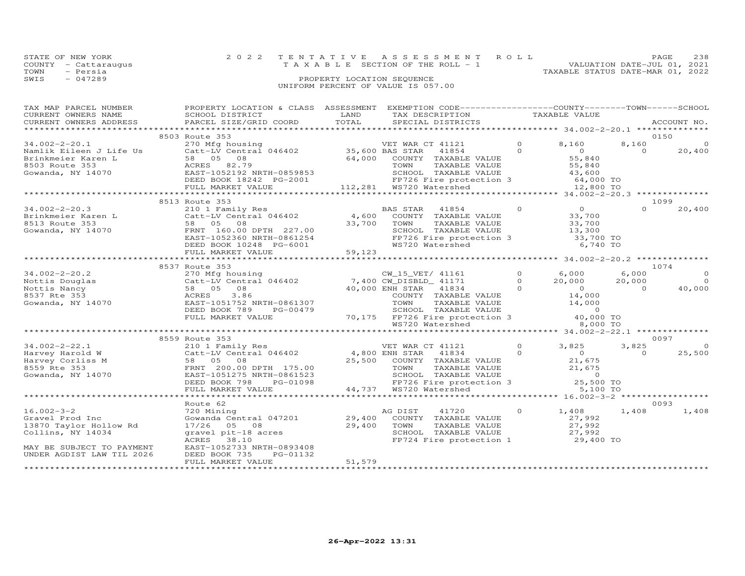| STATE OF NEW YORK |                      | 2022 TENTATIVE ASSESSMENT ROLL                                       | PAGE | 238 |
|-------------------|----------------------|----------------------------------------------------------------------|------|-----|
|                   | COUNTY - Cattaraugus | VALUATION DATE-JUL 01, 2021<br>T A X A B L E SECTION OF THE ROLL - 1 |      |     |
| TOWN              | - Persia             | TAXABLE STATUS DATE-MAR 01, 2022                                     |      |     |
| SWIS              | $-047289$            | PROPERTY LOCATION SEQUENCE                                           |      |     |
|                   |                      | UNIFORM PERCENT OF VALUE IS 057.00                                   |      |     |

| TAX MAP PARCEL NUMBER<br>CURRENT OWNERS NAME<br>CURRENT OWNERS ADDRESS                                                                                                                                                                                                                                                                                                                                    | PROPERTY LOCATION & CLASS ASSESSMENT EXEMPTION CODE----------------COUNTY-------TOWN------SCHOOL<br>SCHOOL DISTRICT<br>PARCEL SIZE/GRID COORD                                                                |        | STRICH MONDUCALLY MANUS AND TAXABLE VALUE<br>STRICT TORD TOTAL SPECIAL DISTRICTS TAXABLE VALUE<br>XE/GRID COORD TOTAL SPECIAL DISTRICTS ACCOUNT NO.                                                                                                                                                                                                                                                                                                                                |                                 |                         |                          |
|-----------------------------------------------------------------------------------------------------------------------------------------------------------------------------------------------------------------------------------------------------------------------------------------------------------------------------------------------------------------------------------------------------------|--------------------------------------------------------------------------------------------------------------------------------------------------------------------------------------------------------------|--------|------------------------------------------------------------------------------------------------------------------------------------------------------------------------------------------------------------------------------------------------------------------------------------------------------------------------------------------------------------------------------------------------------------------------------------------------------------------------------------|---------------------------------|-------------------------|--------------------------|
|                                                                                                                                                                                                                                                                                                                                                                                                           |                                                                                                                                                                                                              |        |                                                                                                                                                                                                                                                                                                                                                                                                                                                                                    |                                 |                         |                          |
|                                                                                                                                                                                                                                                                                                                                                                                                           | 8503 Route 353                                                                                                                                                                                               |        |                                                                                                                                                                                                                                                                                                                                                                                                                                                                                    |                                 |                         | 0150                     |
|                                                                                                                                                                                                                                                                                                                                                                                                           |                                                                                                                                                                                                              |        |                                                                                                                                                                                                                                                                                                                                                                                                                                                                                    |                                 | 8,160<br>$\overline{0}$ | $\circ$<br>20,400        |
|                                                                                                                                                                                                                                                                                                                                                                                                           |                                                                                                                                                                                                              |        |                                                                                                                                                                                                                                                                                                                                                                                                                                                                                    |                                 |                         |                          |
|                                                                                                                                                                                                                                                                                                                                                                                                           | **********************************                                                                                                                                                                           |        |                                                                                                                                                                                                                                                                                                                                                                                                                                                                                    |                                 |                         |                          |
|                                                                                                                                                                                                                                                                                                                                                                                                           | 8513 Route 353                                                                                                                                                                                               |        |                                                                                                                                                                                                                                                                                                                                                                                                                                                                                    |                                 |                         | 1099                     |
| 34.002-2-20.3<br>BRS STAR 41854<br>BRS STAR 41854<br>BRS STAR 41854<br>BRS STAR 41854<br>BRS STAR 41854<br>ARS STAR 41854<br>221.00<br>SS13 Route 353<br>58 05 08<br>SS13 Route 353<br>SS13 DRS STAR 41854<br>SS13 Route 353<br>SS13 DRS SS 05 08<br>FRNT                                                                                                                                                 |                                                                                                                                                                                                              |        |                                                                                                                                                                                                                                                                                                                                                                                                                                                                                    |                                 | $\Omega$                | 20,400                   |
|                                                                                                                                                                                                                                                                                                                                                                                                           |                                                                                                                                                                                                              |        |                                                                                                                                                                                                                                                                                                                                                                                                                                                                                    |                                 |                         |                          |
|                                                                                                                                                                                                                                                                                                                                                                                                           | 8537 Route 353                                                                                                                                                                                               |        |                                                                                                                                                                                                                                                                                                                                                                                                                                                                                    |                                 |                         | 1074                     |
|                                                                                                                                                                                                                                                                                                                                                                                                           |                                                                                                                                                                                                              |        |                                                                                                                                                                                                                                                                                                                                                                                                                                                                                    |                                 | 6,000                   | $\Omega$                 |
|                                                                                                                                                                                                                                                                                                                                                                                                           |                                                                                                                                                                                                              |        |                                                                                                                                                                                                                                                                                                                                                                                                                                                                                    | $20,000$ $20,000$               |                         | $\overline{0}$           |
|                                                                                                                                                                                                                                                                                                                                                                                                           | DEED BOOK 789<br>PG-00479<br>FULL MARKET VALUE                                                                                                                                                               |        | $\begin{tabular}{ccccc} \multicolumn{2}{c }{\text{\texttt{COUN}}\, \multicolumn{2}{c}{\text{\texttt{COUN}}\, \multicolumn{2}{c}{\text{\texttt{COUN}}\, \multicolumn{2}{c}{\text{\texttt{COUN}}\, \multicolumn{2}{c}{\text{\texttt{COUN}}\, \multicolumn{2}{c}{\text{\texttt{COUN}}\, \multicolumn{2}{c}{\text{\texttt{COUN}}\, \multicolumn{2}{c}{\text{\texttt{COUN}}\, \multicolumn{2}{c}{\text{\texttt{COUN}}\, \multicolumn{2}{c}{\text{\texttt{COUN}}\, \multicolumn{2}{c}{\$ |                                 | $\overline{0}$          | 40,000                   |
|                                                                                                                                                                                                                                                                                                                                                                                                           |                                                                                                                                                                                                              |        |                                                                                                                                                                                                                                                                                                                                                                                                                                                                                    |                                 |                         |                          |
|                                                                                                                                                                                                                                                                                                                                                                                                           | 8559 Route 353                                                                                                                                                                                               |        |                                                                                                                                                                                                                                                                                                                                                                                                                                                                                    |                                 |                         | 0097                     |
| $\begin{array}{cccccccc} 34.002-2-22.1 & & & & 8559 \text{ Route 353} & & & & & & \text{VET WAR CT 41121} & 0 & 3,825 & > \\ \text{Harvey Harold W} & & & & & & & & \text{Catt-LV Central 046402} & & & & & 4,800 \text{ ENH STAR 41834} & 0 & 3,825 & > \\ \text{Harvey Corliss M} & & & & & & & \text{58} & 05 & 08 & & 25,500 & \text{COUNTY TAXABLE VALUE} & & & 21,675 & \\ \text{Gowanda, NY 14070$ |                                                                                                                                                                                                              |        |                                                                                                                                                                                                                                                                                                                                                                                                                                                                                    |                                 | 3,825<br>$\overline{O}$ | $\overline{0}$<br>25,500 |
|                                                                                                                                                                                                                                                                                                                                                                                                           |                                                                                                                                                                                                              |        |                                                                                                                                                                                                                                                                                                                                                                                                                                                                                    |                                 |                         |                          |
|                                                                                                                                                                                                                                                                                                                                                                                                           |                                                                                                                                                                                                              |        |                                                                                                                                                                                                                                                                                                                                                                                                                                                                                    |                                 |                         |                          |
|                                                                                                                                                                                                                                                                                                                                                                                                           | Route 62                                                                                                                                                                                                     |        |                                                                                                                                                                                                                                                                                                                                                                                                                                                                                    |                                 |                         | 0093                     |
| $16.002 - 3 - 2$<br>Gravel Prod Inc<br>13870 Taylor Hollow Rd<br>Collins, NY 14034<br>MAY BE SUBJECT TO PAYMENT<br>UNDER AGDIST LAW TIL 2026                                                                                                                                                                                                                                                              | 720 Mining<br>Gowanda Central 047201 29,400 COUNTY TAXABLE VALUE<br>17/26 05 08 29,400<br>gravel pit-18 acres 29,400<br>ACRES 38.10<br>ACRES 38.10<br>EAST-1052733 NRTH-0893408<br>DEED BOOK 735<br>PG-01132 |        | 41720 0<br>AG DIST<br>TOWN<br>TAXABLE VALUE<br>SCHOOL TAXABLE VALUE $27,992$<br>FP724 Fire protection 1 29,400 TO                                                                                                                                                                                                                                                                                                                                                                  | 1,408 1,408<br>27,992<br>27,992 |                         | 1,408                    |
|                                                                                                                                                                                                                                                                                                                                                                                                           | FULL MARKET VALUE                                                                                                                                                                                            | 51,579 |                                                                                                                                                                                                                                                                                                                                                                                                                                                                                    |                                 |                         |                          |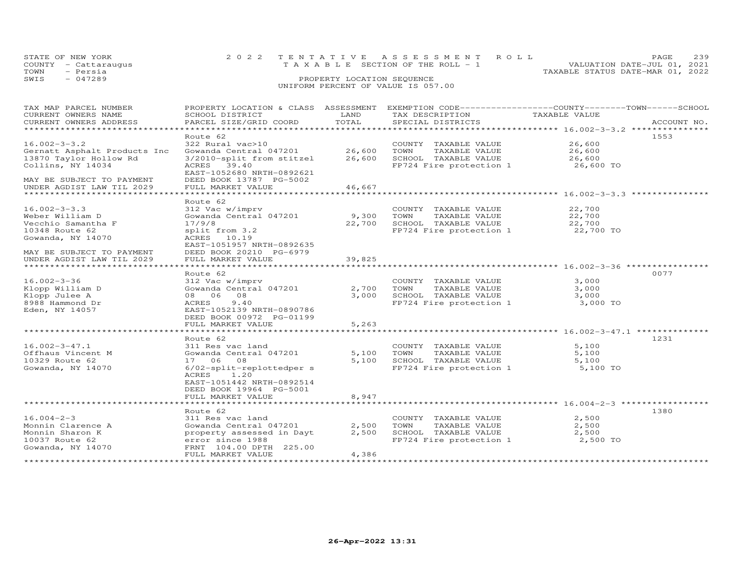|      | STATE OF NEW YORK    | 2022 TENTATIVE ASSESSMENT ROLL                                       | PAGE. | 239 |
|------|----------------------|----------------------------------------------------------------------|-------|-----|
|      | COUNTY - Cattaraugus | VALUATION DATE-JUL 01, 2021<br>T A X A B L E SECTION OF THE ROLL - 1 |       |     |
| TOWN | - Persia             | TAXABLE STATUS DATE-MAR 01, 2022                                     |       |     |
| SWIS | $-047289$            | PROPERTY LOCATION SEQUENCE                                           |       |     |
|      |                      | UNIFORM PERCENT OF VALUE IS 057.00                                   |       |     |

| TAX MAP PARCEL NUMBER<br>CURRENT OWNERS NAME<br>CURRENT OWNERS ADDRESS                                                                                                                   | PROPERTY LOCATION & CLASS ASSESSMENT<br>SCHOOL DISTRICT<br>PARCEL SIZE/GRID COORD                                                                                                             | LAND<br>TOTAL              | EXEMPTION CODE-----------------COUNTY-------TOWN------SCHOOL<br>TAX DESCRIPTION<br>SPECIAL DISTRICTS | TAXABLE VALUE                                                                                      | ACCOUNT NO. |
|------------------------------------------------------------------------------------------------------------------------------------------------------------------------------------------|-----------------------------------------------------------------------------------------------------------------------------------------------------------------------------------------------|----------------------------|------------------------------------------------------------------------------------------------------|----------------------------------------------------------------------------------------------------|-------------|
| $16.002 - 3 - 3.2$<br>Gernatt Asphalt Products Inc<br>13870 Taylor Hollow Rd<br>Collins, NY 14034<br>MAY BE SUBJECT TO PAYMENT<br>UNDER AGDIST LAW TIL 2029<br>******************        | Route 62<br>322 Rural vac>10<br>Gowanda Central 047201<br>3/2010-split from stitzel<br>ACRES 39.40<br>EAST-1052680 NRTH-0892621<br>DEED BOOK 13787 PG-5002<br>FULL MARKET VALUE               | 26,600<br>26,600<br>46,667 | COUNTY TAXABLE VALUE<br>TOWN<br>TAXABLE VALUE<br>SCHOOL TAXABLE VALUE<br>FP724 Fire protection 1     | 26,600<br>26,600<br>26,600<br>26,600 TO<br>********************** 16.002-3-3.3 *********           | 1553        |
| $16.002 - 3 - 3.3$<br>Weber William D<br>Vecchio Samantha F<br>10348 Route 62<br>Gowanda, NY 14070<br>MAY BE SUBJECT TO PAYMENT<br>UNDER AGDIST LAW TIL 2029<br>************************ | Route 62<br>312 Vac w/imprv<br>Gowanda Central 047201<br>17/9/8<br>split from 3.2<br>ACRES 10.19<br>EAST-1051957 NRTH-0892635<br>DEED BOOK 20210 PG-6979<br>FULL MARKET VALUE                 | 9,300<br>22,700<br>39,825  | COUNTY TAXABLE VALUE<br>TOWN<br>TAXABLE VALUE<br>SCHOOL TAXABLE VALUE<br>FP724 Fire protection 1     | 22,700<br>22,700<br>22,700<br>22,700 TO<br>************************************ 16.002-3-36 ****** |             |
| $16.002 - 3 - 36$<br>Klopp William D<br>Klopp Julee A<br>8988 Hammond Dr<br>Eden, NY 14057                                                                                               | Route 62<br>312 Vac w/imprv<br>Gowanda Central 047201<br>08 06 08<br>9.40<br>ACRES<br>EAST-1052139 NRTH-0890786<br>DEED BOOK 00972 PG-01199<br>FULL MARKET VALUE                              | 2,700<br>3,000<br>5,263    | COUNTY TAXABLE VALUE<br>TAXABLE VALUE<br>TOWN<br>SCHOOL TAXABLE VALUE<br>FP724 Fire protection 1     | 3,000<br>3,000<br>3,000<br>3,000 TO                                                                | 0077        |
| $16.002 - 3 - 47.1$<br>Offhaus Vincent M<br>10329 Route 62<br>Gowanda, NY 14070                                                                                                          | Route 62<br>311 Res vac land<br>Gowanda Central 047201<br>17 06 08<br>6/02-split-replottedper s<br>ACRES<br>1.20<br>EAST-1051442 NRTH-0892514<br>DEED BOOK 19964 PG-5001<br>FULL MARKET VALUE | 5,100<br>5,100<br>8,947    | COUNTY TAXABLE VALUE<br>TAXABLE VALUE<br>TOWN<br>SCHOOL TAXABLE VALUE<br>FP724 Fire protection 1     | 5,100<br>5,100<br>5,100<br>5,100 TO                                                                | 1231        |
| $16.004 - 2 - 3$<br>Monnin Clarence A<br>Monnin Sharon K<br>10037 Route 62<br>Gowanda, NY 14070                                                                                          | Route 62<br>311 Res vac land<br>Gowanda Central 047201<br>property assessed in Dayt<br>error since 1988<br>FRNT 104.00 DPTH 225.00<br>FULL MARKET VALUE                                       | 2,500<br>2,500<br>4,386    | COUNTY TAXABLE VALUE<br>TAXABLE VALUE<br>TOWN<br>SCHOOL TAXABLE VALUE<br>FP724 Fire protection 1     | 2,500<br>2,500<br>2,500<br>2,500 TO                                                                | 1380        |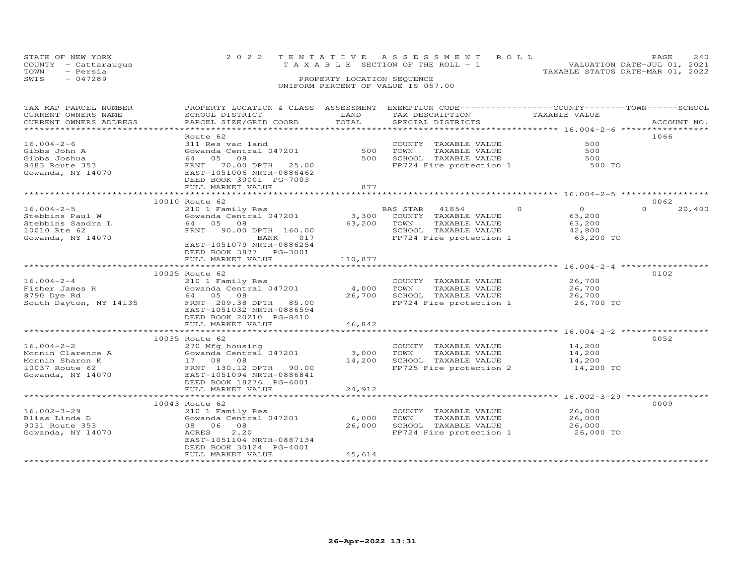|      | STATE OF NEW YORK    | 2022 TENTATIVE ASSESSMENT ROLL        | <b>PAGE</b>                 | 2.40 |
|------|----------------------|---------------------------------------|-----------------------------|------|
|      | COUNTY - Cattaraugus | T A X A B L E SECTION OF THE ROLL - 1 | VALUATION DATE-JUL 01, 2021 |      |
| TOWN | - Persia             | TAXABLE STATUS DATE-MAR 01, 2022      |                             |      |
| SWIS | $-047289$            | PROPERTY LOCATION SEQUENCE            |                             |      |
|      |                      | UNIFORM PERCENT OF VALUE IS 057.00    |                             |      |

| TAX MAP PARCEL NUMBER<br>CURRENT OWNERS NAME<br>CURRENT OWNERS ADDRESS | PROPERTY LOCATION & CLASS ASSESSMENT<br>SCHOOL DISTRICT<br>PARCEL SIZE/GRID COORD   | LAND<br>TOTAL   | EXEMPTION CODE-----------------COUNTY-------TOWN------SCHOOL<br>TAX DESCRIPTION<br>SPECIAL DISTRICTS | TAXABLE VALUE                                               | ACCOUNT NO.      |
|------------------------------------------------------------------------|-------------------------------------------------------------------------------------|-----------------|------------------------------------------------------------------------------------------------------|-------------------------------------------------------------|------------------|
|                                                                        |                                                                                     |                 |                                                                                                      |                                                             |                  |
|                                                                        | Route 62                                                                            |                 |                                                                                                      |                                                             | 1066             |
| $16.004 - 2 - 6$                                                       | 311 Res vac land                                                                    |                 | COUNTY TAXABLE VALUE                                                                                 | 500                                                         |                  |
| Gibbs John A                                                           | Gowanda Central 047201                                                              | 500             | TOWN<br>TAXABLE VALUE                                                                                | 500                                                         |                  |
| Gibbs Joshua                                                           | 64 05<br>08                                                                         | 500             | SCHOOL TAXABLE VALUE                                                                                 | 500                                                         |                  |
| 8483 Route 353<br>Gowanda, NY 14070                                    | FRNT<br>70.00 DPTH<br>25.00<br>EAST-1051006 NRTH-0886462<br>DEED BOOK 30001 PG-7003 |                 | FP724 Fire protection 1                                                                              | 500 TO                                                      |                  |
|                                                                        | FULL MARKET VALUE                                                                   | 877             |                                                                                                      |                                                             |                  |
|                                                                        |                                                                                     |                 |                                                                                                      |                                                             |                  |
|                                                                        | 10010 Route 62                                                                      |                 |                                                                                                      | $\overline{O}$                                              | 0062<br>$\Omega$ |
| $16.004 - 2 - 5$                                                       | 210 1 Family Res                                                                    |                 | BAS STAR<br>41854                                                                                    | $\circ$                                                     | 20,400           |
| Stebbins Paul W                                                        | Gowanda Central 047201<br>64 05<br>08                                               | 3,300           | COUNTY TAXABLE VALUE<br>TOWN                                                                         | 63,200                                                      |                  |
| Stebbins Sandra L                                                      |                                                                                     | 63,200          | TAXABLE VALUE                                                                                        | 63,200                                                      |                  |
| 10010 Rte 62                                                           | FRNT<br>90.00 DPTH 160.00                                                           |                 | SCHOOL TAXABLE VALUE                                                                                 | 42,800                                                      |                  |
| Gowanda, NY 14070                                                      | 017<br>BANK<br>EAST-1051079 NRTH-0886254<br>DEED BOOK 3877 PG-3001                  |                 | FP724 Fire protection 1                                                                              | 63,200 TO                                                   |                  |
|                                                                        | FULL MARKET VALUE                                                                   | 110,877         |                                                                                                      |                                                             |                  |
|                                                                        |                                                                                     |                 |                                                                                                      |                                                             |                  |
|                                                                        | 10025 Route 62                                                                      |                 |                                                                                                      |                                                             | 0102             |
| $16.004 - 2 - 4$                                                       | 210 1 Family Res                                                                    |                 | COUNTY TAXABLE VALUE                                                                                 | 26,700                                                      |                  |
| Fisher James R                                                         | Gowanda Central 047201                                                              | 4,000           | TOWN<br>TAXABLE VALUE                                                                                | 26,700                                                      |                  |
| 8790 Dye Rd                                                            | 64 05 08                                                                            | 26,700          | SCHOOL TAXABLE VALUE                                                                                 | 26,700                                                      |                  |
| South Dayton, NY 14135                                                 | FRNT 209.38 DPTH 85.00<br>EAST-1051032 NRTH-0886594<br>DEED BOOK 20210 PG-8410      |                 | FP724 Fire protection 1                                                                              | 26,700 TO                                                   |                  |
|                                                                        | FULL MARKET VALUE                                                                   | 46,842          |                                                                                                      |                                                             |                  |
|                                                                        | *********************************                                                   | *************   |                                                                                                      |                                                             |                  |
|                                                                        | 10035 Route 62                                                                      |                 |                                                                                                      |                                                             | 0052             |
| $16.004 - 2 - 2$                                                       | 270 Mfg housing                                                                     |                 | COUNTY TAXABLE VALUE                                                                                 | 14,200                                                      |                  |
| Monnin Clarence A                                                      | Gowanda Central 047201                                                              | 3,000           | TOWN<br>TAXABLE VALUE                                                                                | 14,200                                                      |                  |
| Monnin Sharon K                                                        | 17 08<br>08                                                                         | 14,200          | SCHOOL TAXABLE VALUE                                                                                 | 14,200                                                      |                  |
| 10037 Route 62                                                         | FRNT 130.12 DPTH 90.00                                                              |                 | FP725 Fire protection 2                                                                              | 14,200 TO                                                   |                  |
| Gowanda, NY 14070                                                      | EAST-1051094 NRTH-0886841<br>DEED BOOK 18276 PG-6001                                |                 |                                                                                                      |                                                             |                  |
|                                                                        | FULL MARKET VALUE                                                                   | 24,912          |                                                                                                      |                                                             |                  |
|                                                                        | *************************                                                           | *************** |                                                                                                      | . ********************************** 16.002-3-29 ********** |                  |
|                                                                        | 10043 Route 62                                                                      |                 |                                                                                                      |                                                             | 0009             |
| $16.002 - 3 - 29$                                                      | 210 1 Family Res                                                                    |                 | COUNTY TAXABLE VALUE                                                                                 | 26,000                                                      |                  |
| Bliss Linda D                                                          | Gowanda Central 047201                                                              | 6,000           | TAXABLE VALUE<br>TOWN                                                                                | 26,000                                                      |                  |
| 9031 Route 353                                                         | 08 06<br>08                                                                         | 26,000          | SCHOOL TAXABLE VALUE                                                                                 | 26,000                                                      |                  |
| Gowanda, NY 14070                                                      | 2.20<br>ACRES<br>EAST-1051104 NRTH-0887134<br>DEED BOOK 30124 PG-4001               |                 | FP724 Fire protection 1 26,000 TO                                                                    |                                                             |                  |
|                                                                        | FULL MARKET VALUE                                                                   | 45,614          |                                                                                                      |                                                             |                  |
|                                                                        |                                                                                     |                 |                                                                                                      |                                                             |                  |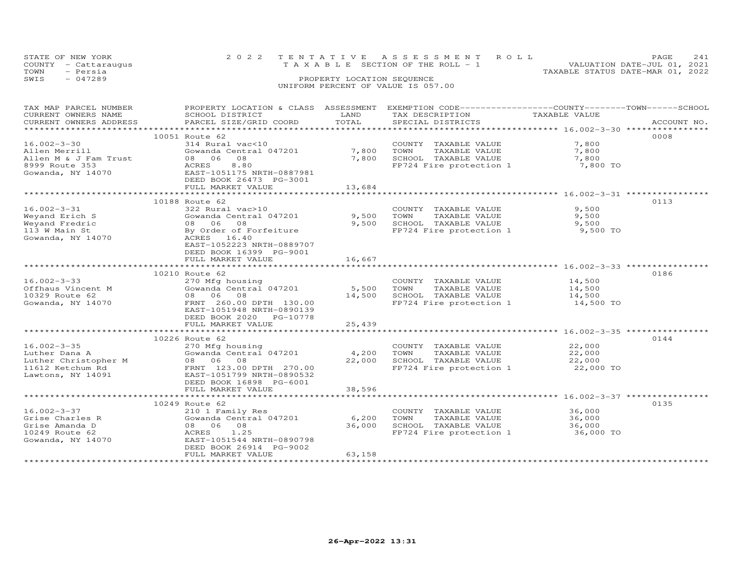|      | STATE OF NEW YORK    | 2022 TENTATIVE ASSESSMENT ROLL                                 | <b>PAGE</b> | 2.41 |
|------|----------------------|----------------------------------------------------------------|-------------|------|
|      | COUNTY - Cattaraugus | VALUATION DATE-JUL 01, 2021<br>TAXABLE SECTION OF THE ROLL - 1 |             |      |
| TOWN | - Persia             | TAXABLE STATUS DATE-MAR 01, 2022                               |             |      |
| SWIS | $-047289$            | PROPERTY LOCATION SEQUENCE                                     |             |      |
|      |                      | UNIFORM PERCENT OF VALUE IS 057.00                             |             |      |

| TAX MAP PARCEL NUMBER                                                  | PROPERTY LOCATION & CLASS ASSESSMENT                                                                                   |        | EXEMPTION CODE-----------------COUNTY-------TOWN------SCHOOL         |               |             |
|------------------------------------------------------------------------|------------------------------------------------------------------------------------------------------------------------|--------|----------------------------------------------------------------------|---------------|-------------|
| CURRENT OWNERS NAME                                                    | SCHOOL DISTRICT                                                                                                        | LAND   | TAX DESCRIPTION                                                      | TAXABLE VALUE |             |
| CURRENT OWNERS ADDRESS                                                 | PARCEL SIZE/GRID COORD                                                                                                 | TOTAL  | SPECIAL DISTRICTS                                                    |               | ACCOUNT NO. |
|                                                                        |                                                                                                                        |        |                                                                      |               |             |
|                                                                        | 10051 Route 62                                                                                                         |        |                                                                      |               | 0008        |
| 16.002-3-30                                                            | 314 Rural vac<10                                                                                                       |        |                                                                      | 7,800         |             |
|                                                                        |                                                                                                                        |        | COUNTY TAXABLE VALUE                                                 |               |             |
| Allen Merrill                                                          | Gowanda Central 047201 7,800                                                                                           |        | TOWN<br>TAXABLE VALUE                                                | 7,800         |             |
| Allen M & J Fam Trust                                                  | 08 06 08                                                                                                               | 7,800  | SCHOOL TAXABLE VALUE                                                 | 7,800         |             |
| 8999 Route 353                                                         | 8.80<br>ACRES                                                                                                          |        | FP724 Fire protection 1 7,800 TO                                     |               |             |
| Gowanda, NY 14070                                                      | EAST-1051175 NRTH-0887981                                                                                              |        |                                                                      |               |             |
|                                                                        | DEED BOOK 26473 PG-3001                                                                                                |        |                                                                      |               |             |
|                                                                        | FULL MARKET VALUE                                                                                                      | 13,684 |                                                                      |               |             |
|                                                                        |                                                                                                                        |        |                                                                      |               |             |
|                                                                        | 10188 Route 62                                                                                                         |        |                                                                      |               | 0113        |
| $16.002 - 3 - 31$                                                      | 322 Rural vac>10                                                                                                       |        | COUNTY TAXABLE VALUE                                                 | 9,500         |             |
|                                                                        |                                                                                                                        |        |                                                                      |               |             |
|                                                                        | Gowanda Central 047201                                                                                                 | 9,500  | TOWN<br>TAXABLE VALUE                                                | 9,500         |             |
|                                                                        | 08 06 08                                                                                                               |        | 9,500 SCHOOL TAXABLE VALUE                                           | 9,500         |             |
| Weyand Erich S<br>Weyand Fredric<br>113 W Main St<br>Gowanda, NY 14070 | By Order of Forfeiture                                                                                                 |        | FP724 Fire protection 1                                              | 9,500 TO      |             |
|                                                                        | ACRES 16.40                                                                                                            |        |                                                                      |               |             |
|                                                                        | EAST-1052223 NRTH-0889707                                                                                              |        |                                                                      |               |             |
|                                                                        | DEED BOOK 16399 PG-9001                                                                                                |        |                                                                      |               |             |
|                                                                        | FULL MARKET VALUE                                                                                                      | 16,667 |                                                                      |               |             |
|                                                                        |                                                                                                                        |        | **************************************36.002-3-33 ****************** |               |             |
|                                                                        |                                                                                                                        |        |                                                                      |               |             |
|                                                                        | 10210 Route 62                                                                                                         |        |                                                                      |               | 0186        |
| 16.002-3-33                                                            | 270 Mfg housing                                                                                                        |        | COUNTY TAXABLE VALUE 14,500                                          |               |             |
| Offhaus Vincent M                                                      | Gowanda Central 047201                                                                                                 | 5,500  | TOWN<br>TAXABLE VALUE                                                | 14,500        |             |
| 10329 Route 62                                                         | 08 06 08                                                                                                               | 14,500 | SCHOOL TAXABLE VALUE                                                 | 14,500        |             |
| Gowanda, NY 14070                                                      | FRNT 260.00 DPTH 130.00                                                                                                |        | FP724 Fire protection 1                                              | 14,500 TO     |             |
|                                                                        | EAST-1051948 NRTH-0890139                                                                                              |        |                                                                      |               |             |
|                                                                        | DEED BOOK 2020 PG-10778                                                                                                |        |                                                                      |               |             |
|                                                                        | FULL MARKET VALUE                                                                                                      | 25,439 |                                                                      |               |             |
|                                                                        |                                                                                                                        |        |                                                                      |               |             |
|                                                                        |                                                                                                                        |        |                                                                      |               | 0144        |
|                                                                        | 10226 Route 62                                                                                                         |        |                                                                      |               |             |
| $16.002 - 3 - 35$                                                      | 270 Mfg housing                                                                                                        |        | COUNTY TAXABLE VALUE                                                 | 22,000        |             |
|                                                                        |                                                                                                                        |        | TAXABLE VALUE<br>TOWN                                                | 22,000        |             |
|                                                                        |                                                                                                                        |        | SCHOOL TAXABLE VALUE<br>FP724 Fire protection 1                      | 22,000        |             |
|                                                                        | Luther Dana A<br>Luther Christopher M (300 06 08 08 22,000<br>11612 Ketchum Rd (31.00 ERNT)<br>TENT 123.00 DPTH 270.00 |        |                                                                      | 22,000 TO     |             |
| Lawtons, NY 14091                                                      | EAST-1051799 NRTH-0890532                                                                                              |        |                                                                      |               |             |
|                                                                        | DEED BOOK 16898 PG-6001                                                                                                |        |                                                                      |               |             |
|                                                                        | FULL MARKET VALUE                                                                                                      | 38,596 |                                                                      |               |             |
|                                                                        |                                                                                                                        |        |                                                                      |               |             |
|                                                                        | 10249 Route 62                                                                                                         |        |                                                                      |               | 0135        |
|                                                                        |                                                                                                                        |        |                                                                      |               |             |
| $16.002 - 3 - 37$                                                      | 210 1 Family Res                                                                                                       |        | COUNTY TAXABLE VALUE                                                 | 36,000        |             |
| Grise Charles R                                                        | Gowanda Central 047201                                                                                                 | 6,200  | TOWN       TAXABLE  VALUE<br>SCHOOL    TAXABLE  VALUE                | 36,000        |             |
| Grise Amanda D                                                         | 08 06 08                                                                                                               | 36,000 |                                                                      | 36,000        |             |
| 10249 Route 62                                                         | ACRES 1.25                                                                                                             |        | FP724 Fire protection 1 36,000 TO                                    |               |             |
| Gowanda, NY 14070                                                      | EAST-1051544 NRTH-0890798                                                                                              |        |                                                                      |               |             |
|                                                                        | DEED BOOK 26914 PG-9002                                                                                                |        |                                                                      |               |             |
|                                                                        | FULL MARKET VALUE                                                                                                      | 63,158 |                                                                      |               |             |
|                                                                        |                                                                                                                        |        |                                                                      |               |             |
|                                                                        |                                                                                                                        |        |                                                                      |               |             |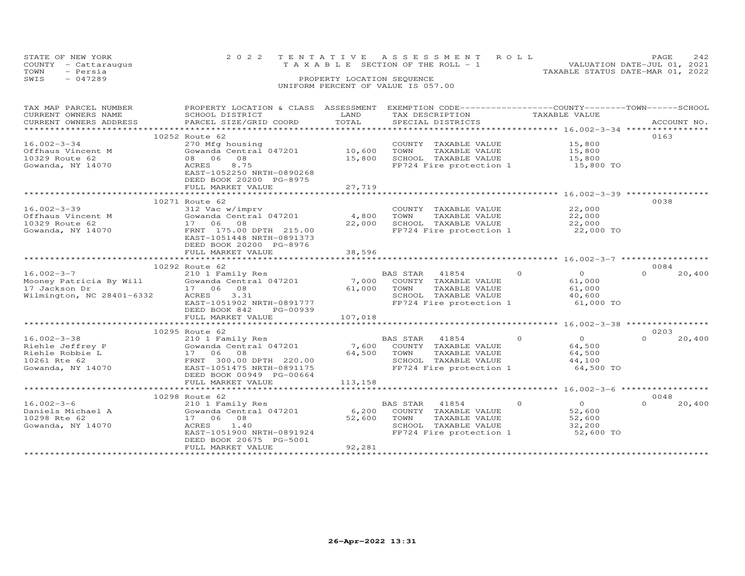| STATE OF NEW YORK |                      | 2022 TENTATIVE ASSESSMENT ROLL                                       | PAGE. | 2.42 |
|-------------------|----------------------|----------------------------------------------------------------------|-------|------|
|                   | COUNTY - Cattaraugus | VALUATION DATE-JUL 01, 2021<br>T A X A B L E SECTION OF THE ROLL - 1 |       |      |
| TOWN              | - Persia             | TAXABLE STATUS DATE-MAR 01, 2022                                     |       |      |
| SWIS              | $-047289$            | PROPERTY LOCATION SEQUENCE                                           |       |      |
|                   |                      | UNIFORM PERCENT OF VALUE IS 057.00                                   |       |      |

| TAX MAP PARCEL NUMBER     |                                                |         | PROPERTY LOCATION & CLASS ASSESSMENT EXEMPTION CODE----------------COUNTY-------TOWN-----SCHOOL |                      |                    |
|---------------------------|------------------------------------------------|---------|-------------------------------------------------------------------------------------------------|----------------------|--------------------|
| CURRENT OWNERS NAME       | SCHOOL DISTRICT                                | LAND    | TAX DESCRIPTION                                                                                 | TAXABLE VALUE        |                    |
| CURRENT OWNERS ADDRESS    | PARCEL SIZE/GRID COORD                         | TOTAL   | SPECIAL DISTRICTS                                                                               |                      | ACCOUNT NO.        |
|                           |                                                |         |                                                                                                 |                      |                    |
|                           | 10252 Route 62                                 |         |                                                                                                 |                      | 0163               |
| $16.002 - 3 - 34$         | 270 Mfg housing                                |         | COUNTY TAXABLE VALUE                                                                            | 15,800               |                    |
| Offhaus Vincent M         | Gowanda Central 047201                         | 10,600  | TOWN<br>TAXABLE VALUE                                                                           | 15,800               |                    |
|                           | 08 06 08                                       |         |                                                                                                 |                      |                    |
| 10329 Route 62            |                                                | 15,800  | SCHOOL TAXABLE VALUE                                                                            | 15,800               |                    |
| Gowanda, NY 14070         | ACRES<br>8.75                                  |         | FP724 Fire protection 1                                                                         | 15,800 TO            |                    |
|                           | EAST-1052250 NRTH-0890268                      |         |                                                                                                 |                      |                    |
|                           | DEED BOOK 20200 PG-8975                        |         |                                                                                                 |                      |                    |
|                           | FULL MARKET VALUE                              | 27,719  |                                                                                                 |                      |                    |
|                           |                                                |         |                                                                                                 |                      |                    |
|                           | 10271 Route 62                                 |         |                                                                                                 |                      | 0038               |
| $16.002 - 3 - 39$         | 312 Vac w/imprv                                |         | COUNTY TAXABLE VALUE                                                                            | 22,000               |                    |
| Offhaus Vincent M         | Gowanda Central 047201                         | 4,800   | TAXABLE VALUE<br>TOWN                                                                           | 22,000               |                    |
| 10329 Route 62            | 17 06 08                                       | 22,000  | SCHOOL TAXABLE VALUE                                                                            | 22,000               |                    |
| Gowanda, NY 14070         | FRNT 175.00 DPTH 215.00                        |         | FP724 Fire protection 1                                                                         | 22,000 TO            |                    |
|                           | EAST-1051448 NRTH-0891373                      |         |                                                                                                 |                      |                    |
|                           | DEED BOOK 20200 PG-8976                        |         |                                                                                                 |                      |                    |
|                           |                                                |         |                                                                                                 |                      |                    |
|                           | FULL MARKET VALUE                              | 38,596  |                                                                                                 |                      |                    |
|                           |                                                |         |                                                                                                 |                      |                    |
|                           | 10292 Route 62                                 |         |                                                                                                 |                      | 0084               |
| $16.002 - 3 - 7$          | 210 1 Family Res                               |         | BAS STAR<br>41854                                                                               | $\Omega$<br>$\Omega$ | $\Omega$<br>20,400 |
|                           | Mooney Patricia By Will Gowanda Central 047201 | 7,000   | COUNTY TAXABLE VALUE                                                                            | 61,000               |                    |
| 17 Jackson Dr             | 17 06 08                                       | 61,000  | TOWN<br>TAXABLE VALUE                                                                           | 61,000               |                    |
| Wilmington, NC 28401-6332 | 3.31<br>ACRES                                  |         | SCHOOL TAXABLE VALUE                                                                            | 40,600               |                    |
|                           | EAST-1051902 NRTH-0891777                      |         | FP724 Fire protection 1                                                                         | 61,000 TO            |                    |
|                           | DEED BOOK 842<br>PG-00939                      |         |                                                                                                 |                      |                    |
|                           | FULL MARKET VALUE                              | 107,018 |                                                                                                 |                      |                    |
|                           |                                                |         |                                                                                                 |                      |                    |
|                           | 10295 Route 62                                 |         |                                                                                                 |                      | 0203               |
| $16.002 - 3 - 38$         |                                                |         |                                                                                                 | $\circ$<br>$\Omega$  | $\cap$             |
|                           | 210 1 Family Res                               |         | BAS STAR<br>41854                                                                               |                      | 20,400             |
| Riehle Jeffrey P          | Gowanda Central 047201                         | 7,600   | COUNTY TAXABLE VALUE                                                                            | 64,500               |                    |
| Riehle Robbie L           | 17 06 08                                       | 64,500  | TOWN<br>TAXABLE VALUE                                                                           | 64,500               |                    |
| 10261 Rte 62              | FRNT 300.00 DPTH 220.00                        |         | SCHOOL TAXABLE VALUE                                                                            | 44,100               |                    |
| Gowanda, NY 14070         | EAST-1051475 NRTH-0891175                      |         | FP724 Fire protection 1                                                                         | 64,500 TO            |                    |
|                           | DEED BOOK 00949 PG-00664                       |         |                                                                                                 |                      |                    |
|                           | FULL MARKET VALUE                              | 113,158 |                                                                                                 |                      |                    |
|                           |                                                |         |                                                                                                 |                      |                    |
|                           | 10298 Route 62                                 |         |                                                                                                 |                      | 0048               |
| $16.002 - 3 - 6$          | 210 1 Family Res                               |         | BAS STAR<br>41854                                                                               | $\Omega$<br>$\Omega$ | $\Omega$<br>20,400 |
| Daniels Michael A         | Gowanda Central 047201                         | 6,200   | COUNTY TAXABLE VALUE                                                                            | 52,600               |                    |
| 10298 Rte 62              | 17 06 08                                       | 52,600  | TAXABLE VALUE<br>TOWN                                                                           | 52,600               |                    |
| Gowanda, NY 14070         | 1.40<br>ACRES                                  |         | SCHOOL TAXABLE VALUE                                                                            | 32,200               |                    |
|                           | EAST-1051900 NRTH-0891924                      |         |                                                                                                 | 52,600 TO            |                    |
|                           |                                                |         | FP724 Fire protection 1                                                                         |                      |                    |
|                           | DEED BOOK 20675 PG-5001                        |         |                                                                                                 |                      |                    |
|                           | FULL MARKET VALUE                              | 92,281  |                                                                                                 |                      |                    |
|                           |                                                |         |                                                                                                 |                      |                    |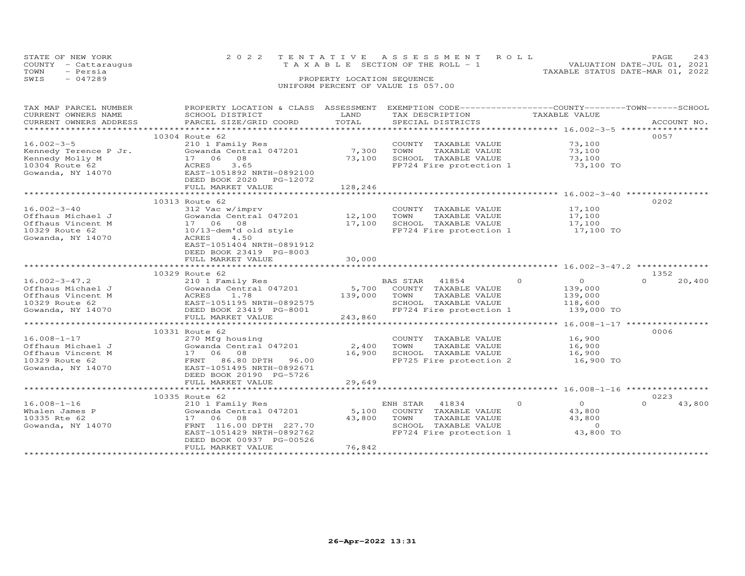| STATE OF NEW YORK    | 2022 TENTATIVE ASSESSMENT ROLL        | PAGE                        | 243 |
|----------------------|---------------------------------------|-----------------------------|-----|
| COUNTY - Cattaraugus | T A X A B L E SECTION OF THE ROLL - 1 | VALUATION DATE-JUL 01, 2021 |     |
| TOWN<br>- Persia     | TAXABLE STATUS DATE-MAR 01, 2022      |                             |     |
| SWIS<br>$-047289$    | PROPERTY LOCATION SEQUENCE            |                             |     |
|                      | UNIFORM PERCENT OF VALUE IS 057.00    |                             |     |
|                      |                                       |                             |     |

| TAX MAP PARCEL NUMBER<br>CURRENT OWNERS NAME<br>CURRENT OWNERS ADDRESS                               | PROPERTY LOCATION & CLASS ASSESSMENT<br>SCHOOL DISTRICT<br>PARCEL SIZE/GRID COORD                                                                                                                                          | LAND<br>TOTAL                             | EXEMPTION CODE------------------COUNTY-------TOWN------SCHOOL<br>TAX DESCRIPTION<br>SPECIAL DISTRICTS                 | TAXABLE VALUE                                                                                                   | ACCOUNT NO.                |
|------------------------------------------------------------------------------------------------------|----------------------------------------------------------------------------------------------------------------------------------------------------------------------------------------------------------------------------|-------------------------------------------|-----------------------------------------------------------------------------------------------------------------------|-----------------------------------------------------------------------------------------------------------------|----------------------------|
| $16.002 - 3 - 5$<br>Kennedy Terence P Jr.<br>Kennedy Molly M<br>10304 Route 62<br>Gowanda, NY 14070  | 10304 Route 62<br>210 1 Family Res<br>Gowanda Central 047201<br>08<br>17 06<br>3.65<br>ACRES<br>EAST-1051892 NRTH-0892100<br>DEED BOOK 2020<br>PG-12072<br>FULL MARKET VALUE                                               | 7,300<br>73,100<br>128,246                | COUNTY TAXABLE VALUE<br>TOWN<br>TAXABLE VALUE<br>SCHOOL TAXABLE VALUE<br>FP724 Fire protection 1                      | 73,100<br>73,100<br>73,100<br>73,100 TO                                                                         | 0057                       |
| $16.002 - 3 - 40$<br>Offhaus Michael J<br>Offhaus Vincent M<br>10329 Route 62<br>Gowanda, NY 14070   | 10313 Route 62<br>312 Vac w/imprv<br>Gowanda Central 047201<br>17 06 08<br>10/13-dem'd old style<br>ACRES<br>4.50<br>EAST-1051404 NRTH-0891912<br>DEED BOOK 23419 PG-8003<br>FULL MARKET VALUE<br>************************ | 12,100<br>17,100<br>30,000                | COUNTY TAXABLE VALUE<br>TOWN<br>TAXABLE VALUE<br>SCHOOL TAXABLE VALUE<br>FP724 Fire protection 1                      | 17,100<br>17,100<br>17,100<br>17,100 TO                                                                         | 0202                       |
| $16.002 - 3 - 47.2$<br>Offhaus Michael J<br>Offhaus Vincent M<br>10329 Route 62<br>Gowanda, NY 14070 | 10329 Route 62<br>210 1 Family Res<br>Gowanda Central 047201<br>ACRES<br>1.78<br>EAST-1051195 NRTH-0892575<br>DEED BOOK 23419 PG-8001<br>FULL MARKET VALUE<br>**************************                                   | 5,700<br>139,000<br>243,860<br>********** | BAS STAR<br>41854<br>COUNTY TAXABLE VALUE<br>TOWN<br>TAXABLE VALUE<br>SCHOOL TAXABLE VALUE<br>FP724 Fire protection 1 | $\circ$<br>$\circ$<br>139,000<br>139,000<br>118,600<br>139,000 TO<br>************ 16.008-1-17 ***************** | 1352<br>20,400<br>$\Omega$ |
| $16.008 - 1 - 17$<br>Offhaus Michael J<br>Offhaus Vincent M<br>10329 Route 62<br>Gowanda, NY 14070   | 10331 Route 62<br>270 Mfg housing<br>Gowanda Central 047201<br>08<br>17 06<br>86.80 DPTH<br>96.00<br>FRNT<br>EAST-1051495 NRTH-0892671<br>DEED BOOK 20190 PG-5726<br>FULL MARKET VALUE                                     | 2,400<br>16,900<br>29,649                 | COUNTY TAXABLE VALUE<br>TOWN<br>TAXABLE VALUE<br>SCHOOL TAXABLE VALUE<br>FP725 Fire protection 2                      | 16,900<br>16,900<br>16,900<br>16,900 TO                                                                         | 0006                       |
| $16.008 - 1 - 16$<br>Whalen James P<br>10335 Rte 62<br>Gowanda, NY 14070                             | 10335 Route 62<br>210 1 Family Res<br>Gowanda Central 047201<br>17 06<br>08<br>FRNT 116.00 DPTH 227.70<br>EAST-1051429 NRTH-0892762<br>DEED BOOK 00937 PG-00526<br>FULL MARKET VALUE                                       | 5,100<br>43,800<br>76,842                 | ENH STAR<br>41834<br>COUNTY TAXABLE VALUE<br>TOWN<br>TAXABLE VALUE<br>SCHOOL TAXABLE VALUE<br>FP724 Fire protection 1 | $\circ$<br>$\circ$<br>43,800<br>43,800<br>$\circ$<br>43,800 TO                                                  | 0223<br>$\Omega$<br>43,800 |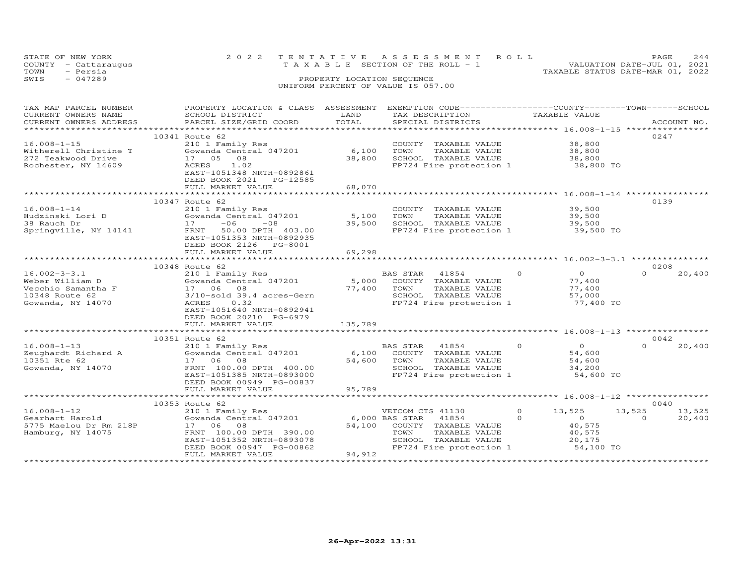| STATE OF NEW YORK<br>COUNTY - Cattaraugus<br>- Persia<br>TOWN | 2022 TENTATIVE ASSESSMENT ROLL<br>T A X A B L E SECTION OF THE ROLL - 1 | 2.44<br>PAGE<br>VALUATION DATE-JUL 01, 2021<br>TAXABLE STATUS DATE-MAR 01, 2022 |
|---------------------------------------------------------------|-------------------------------------------------------------------------|---------------------------------------------------------------------------------|
| SWIS<br>$-047289$                                             | PROPERTY LOCATION SEQUENCE<br>UNIFORM PERCENT OF VALUE IS 057.00        |                                                                                 |

| TAX MAP PARCEL NUMBER<br>CURRENT OWNERS NAME<br>CURRENT OWNERS ADDRESS                             | PROPERTY LOCATION & CLASS ASSESSMENT<br>SCHOOL DISTRICT<br>PARCEL SIZE/GRID COORD                                                                                                         | LAND<br>TOTAL                      | EXEMPTION CODE-----------------COUNTY-------TOWN------SCHOOL<br>TAX DESCRIPTION<br>SPECIAL DISTRICTS                          | TAXABLE VALUE                                                                       | ACCOUNT NO.                            |
|----------------------------------------------------------------------------------------------------|-------------------------------------------------------------------------------------------------------------------------------------------------------------------------------------------|------------------------------------|-------------------------------------------------------------------------------------------------------------------------------|-------------------------------------------------------------------------------------|----------------------------------------|
|                                                                                                    | 10341 Route 62                                                                                                                                                                            |                                    |                                                                                                                               |                                                                                     | 0247                                   |
| $16.008 - 1 - 15$<br>Witherell Christine T<br>272 Teakwood Drive<br>Rochester, NY 14609            | 210 1 Family Res<br>Gowanda Central 047201<br>08<br>17 05<br>ACRES<br>1.02<br>EAST-1051348 NRTH-0892861                                                                                   | 6,100<br>38,800                    | COUNTY TAXABLE VALUE<br>TOWN<br>TAXABLE VALUE<br>SCHOOL TAXABLE VALUE<br>FP724 Fire protection 1 38,800 TO                    | 38,800<br>38,800<br>38,800                                                          |                                        |
|                                                                                                    | DEED BOOK 2021<br>PG-12585<br>FULL MARKET VALUE                                                                                                                                           | 68,070                             |                                                                                                                               |                                                                                     |                                        |
|                                                                                                    | ****************************                                                                                                                                                              |                                    |                                                                                                                               |                                                                                     |                                        |
| $16.008 - 1 - 14$<br>Hudzinski Lori D<br>38 Rauch Dr<br>Springville, NY 14141                      | 10347 Route 62<br>210 1 Family Res<br>Gowanda Central 047201<br>17<br>$-06$<br>$-08$<br>FRNT<br>50.00 DPTH 403.00<br>EAST-1051353 NRTH-0892935                                            | 5,100<br>39,500                    | COUNTY TAXABLE VALUE<br>TOWN<br>TAXABLE VALUE<br>SCHOOL TAXABLE VALUE<br>FP724 Fire protection 1                              | 39,500<br>39,500<br>39,500<br>39,500 TO                                             | 0139                                   |
|                                                                                                    | DEED BOOK 2126 PG-8001                                                                                                                                                                    |                                    |                                                                                                                               |                                                                                     |                                        |
|                                                                                                    | FULL MARKET VALUE                                                                                                                                                                         | 69,298                             |                                                                                                                               |                                                                                     |                                        |
|                                                                                                    | 10348 Route 62                                                                                                                                                                            |                                    |                                                                                                                               |                                                                                     | 0208                                   |
| $16.002 - 3 - 3.1$<br>Weber William D<br>Vecchio Samantha F<br>10348 Route 62<br>Gowanda, NY 14070 | 210 1 Family Res<br>Gowanda Central 047201<br>08<br>17 06<br>$3/10$ -sold $39.4$ acres-Gern<br>0.32<br>ACRES<br>EAST-1051640 NRTH-0892941<br>DEED BOOK 20210 PG-6979<br>FULL MARKET VALUE | 5,000<br>77,400<br>135,789         | BAS STAR<br>41854<br>COUNTY TAXABLE VALUE<br>TOWN<br>TAXABLE VALUE<br>SCHOOL TAXABLE VALUE<br>FP724 Fire protection 1         | $\Omega$<br>$\circ$<br>77,400<br>77,400<br>57,000<br>77,400 TO                      | $\Omega$<br>20,400                     |
|                                                                                                    |                                                                                                                                                                                           |                                    |                                                                                                                               |                                                                                     |                                        |
|                                                                                                    | 10351 Route 62                                                                                                                                                                            |                                    |                                                                                                                               |                                                                                     | 0042                                   |
| $16.008 - 1 - 13$<br>Zeughardt Richard A<br>10351 Rte 62<br>Gowanda, NY 14070                      | 210 1 Family Res<br>Gowanda Central 047201<br>17 06 08<br>FRNT 100.00 DPTH 400.00<br>EAST-1051385 NRTH-0893000<br>DEED BOOK 00949 PG-00837                                                | 6,100<br>54,600                    | BAS STAR<br>41854<br>COUNTY TAXABLE VALUE<br>TOWN<br>TAXABLE VALUE<br>SCHOOL TAXABLE VALUE<br>FP724 Fire protection 1         | $\Omega$<br>$\overline{O}$<br>54,600<br>54,600<br>34,200<br>54,600 TO               | $\Omega$<br>20,400                     |
|                                                                                                    | FULL MARKET VALUE                                                                                                                                                                         | 95,789                             |                                                                                                                               |                                                                                     |                                        |
|                                                                                                    | 10353 Route 62                                                                                                                                                                            |                                    |                                                                                                                               |                                                                                     | 0040                                   |
| $16.008 - 1 - 12$<br>Gearhart Harold<br>5775 Maelou Dr Rm 218P<br>Hamburg, NY 14075                | 210 1 Family Res<br>Gowanda Central 047201<br>17 06 08<br>FRNT 100.00 DPTH 390.00<br>EAST-1051352 NRTH-0893078<br>DEED BOOK 00947 PG-00862<br>FULL MARKET VALUE                           | 6,000 BAS STAR<br>54,100<br>94,912 | VETCOM CTS 41130<br>41854<br>COUNTY TAXABLE VALUE<br>TAXABLE VALUE<br>TOWN<br>SCHOOL TAXABLE VALUE<br>FP724 Fire protection 1 | $\circ$<br>13,525<br>$\Omega$<br>$\circ$<br>40,575<br>40,575<br>20,175<br>54,100 TO | 13,525<br>13,525<br>20,400<br>$\Omega$ |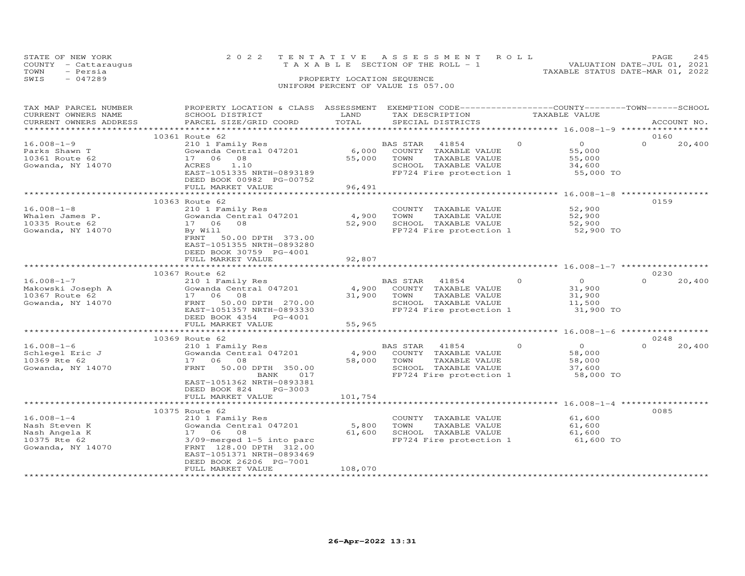| TOWN | STATE OF NEW YORK<br>COUNTY - Cattaraugus<br>- Persia | 2022 TENTATIVE ASSESSMENT ROLL<br>VALUATION DATE-JUL 01, 2021<br>T A X A B L E SECTION OF THE ROLL - 1<br>TAXABLE STATUS DATE-MAR 01, 2022 | PAGE. | 245 |
|------|-------------------------------------------------------|--------------------------------------------------------------------------------------------------------------------------------------------|-------|-----|
| SWIS | $-047289$                                             | PROPERTY LOCATION SEQUENCE<br>UNIFORM PERCENT OF VALUE IS 057.00                                                                           |       |     |

| TAX MAP PARCEL NUMBER<br>CURRENT OWNERS NAME<br>CURRENT OWNERS ADDRESS                  | PROPERTY LOCATION & CLASS ASSESSMENT<br>SCHOOL DISTRICT<br>PARCEL SIZE/GRID COORD                                                                                                                | LAND<br>TOTAL              | EXEMPTION CODE------------------COUNTY-------TOWN------SCHOOL<br>TAX DESCRIPTION<br>SPECIAL DISTRICTS                 | TAXABLE VALUE                                                         | ACCOUNT NO.                |
|-----------------------------------------------------------------------------------------|--------------------------------------------------------------------------------------------------------------------------------------------------------------------------------------------------|----------------------------|-----------------------------------------------------------------------------------------------------------------------|-----------------------------------------------------------------------|----------------------------|
| ***********************                                                                 |                                                                                                                                                                                                  |                            |                                                                                                                       |                                                                       |                            |
| $16.008 - 1 - 9$<br>Parks Shawn T<br>10361 Route 62<br>Gowanda, NY 14070                | 10361 Route 62<br>210 1 Family Res<br>Gowanda Central 047201<br>17 06<br>08<br>1.10<br>ACRES<br>EAST-1051335 NRTH-0893189<br>DEED BOOK 00982 PG-00752<br>FULL MARKET VALUE                       | 6,000<br>55,000<br>96,491  | BAS STAR<br>41854<br>COUNTY TAXABLE VALUE<br>TOWN<br>TAXABLE VALUE<br>SCHOOL TAXABLE VALUE<br>FP724 Fire protection 1 | $\Omega$<br>$\overline{O}$<br>55,000<br>55,000<br>34,600<br>55,000 TO | 0160<br>$\Omega$<br>20,400 |
|                                                                                         |                                                                                                                                                                                                  |                            |                                                                                                                       |                                                                       |                            |
| $16.008 - 1 - 8$<br>Whalen James P.<br>10335 Route 62<br>Gowanda, NY 14070              | 10363 Route 62<br>210 1 Family Res<br>Gowanda Central 047201<br>08<br>17 06<br>By Will<br>FRNT<br>50.00 DPTH 373.00<br>EAST-1051355 NRTH-0893280<br>DEED BOOK 30759 PG-4001                      | 4,900<br>52,900            | COUNTY TAXABLE VALUE<br>TOWN<br>TAXABLE VALUE<br>SCHOOL TAXABLE VALUE<br>FP724 Fire protection 1                      | 52,900<br>52,900<br>52,900<br>52,900 TO                               | 0159                       |
|                                                                                         | FULL MARKET VALUE<br>**********************                                                                                                                                                      | 92,807<br>**************   |                                                                                                                       | ************************************** 16.008-1-7 ******************  |                            |
|                                                                                         | 10367 Route 62                                                                                                                                                                                   |                            |                                                                                                                       |                                                                       | 0230                       |
| $16.008 - 1 - 7$<br>Makowski Joseph A<br>10367 Route 62<br>Gowanda, NY 14070            | 210 1 Family Res<br>Gowanda Central 047201<br>17 06<br>08<br>FRNT<br>50.00 DPTH 270.00<br>EAST-1051357 NRTH-0893330<br>DEED BOOK 4354 PG-4001<br>FULL MARKET VALUE                               | 4,900<br>31,900<br>55,965  | BAS STAR 41854<br>COUNTY TAXABLE VALUE<br>TOWN<br>TAXABLE VALUE<br>SCHOOL TAXABLE VALUE<br>FP724 Fire protection 1    | $\Omega$<br>$\circ$<br>31,900<br>31,900<br>11,500<br>31,900 TO        | 20,400<br>$\Omega$         |
|                                                                                         |                                                                                                                                                                                                  |                            |                                                                                                                       |                                                                       |                            |
| $16.008 - 1 - 6$<br>Schlegel Eric J<br>10369 Rte 62<br>Gowanda, NY 14070                | 10369 Route 62<br>210 1 Family Res<br>Gowanda Central 047201<br>08<br>17 06<br>FRNT<br>50.00 DPTH 350.00<br>BANK<br>017<br>EAST-1051362 NRTH-0893381<br>DEED BOOK 824<br>PG-3003                 | 4,900<br>58,000            | BAS STAR<br>41854<br>COUNTY TAXABLE VALUE<br>TOWN<br>TAXABLE VALUE<br>SCHOOL TAXABLE VALUE<br>FP724 Fire protection 1 | $\Omega$<br>$\overline{O}$<br>58,000<br>58,000<br>37,600<br>58,000 TO | 0248<br>$\Omega$<br>20,400 |
|                                                                                         | FULL MARKET VALUE                                                                                                                                                                                | 101,754                    |                                                                                                                       |                                                                       |                            |
|                                                                                         | 10375 Route 62                                                                                                                                                                                   |                            |                                                                                                                       |                                                                       | 0085                       |
| $16.008 - 1 - 4$<br>Nash Steven K<br>Nash Angela K<br>10375 Rte 62<br>Gowanda, NY 14070 | 210 1 Family Res<br>Gowanda Central 047201<br>17 06 08<br>$3/09$ -merged $1-5$ into parc<br>FRNT 128.00 DPTH 312.00<br>EAST-1051371 NRTH-0893469<br>DEED BOOK 26206 PG-7001<br>FULL MARKET VALUE | 5,800<br>61,600<br>108,070 | COUNTY TAXABLE VALUE<br>TOWN<br>TAXABLE VALUE<br>SCHOOL TAXABLE VALUE<br>FP724 Fire protection 1                      | 61,600<br>61,600<br>61,600<br>61,600 TO                               |                            |
|                                                                                         |                                                                                                                                                                                                  |                            |                                                                                                                       |                                                                       |                            |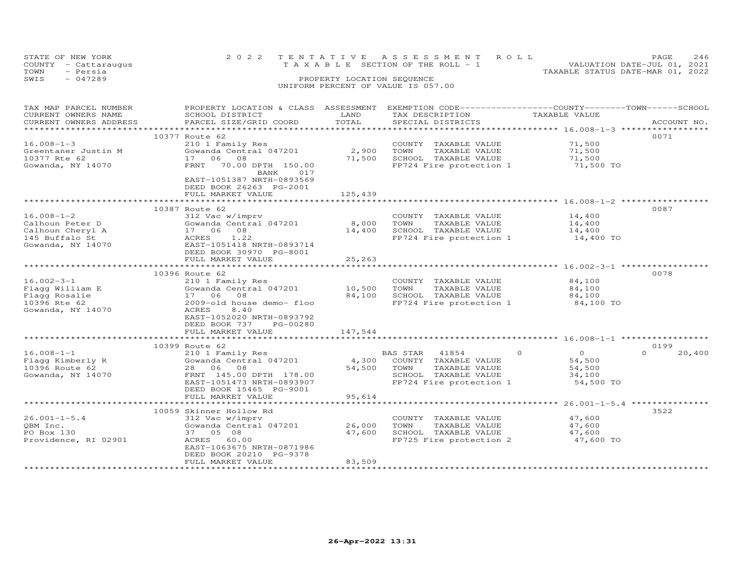| STATE OF NEW YORK    | 2022 TENTATIVE ASSESSMENT ROLL     |  |                                  | <b>PAGE</b>                 | 246 |
|----------------------|------------------------------------|--|----------------------------------|-----------------------------|-----|
| COUNTY - Cattaraugus | TAXABLE SECTION OF THE ROLL - 1    |  |                                  | VALUATION DATE-JUL 01, 2021 |     |
| - Persia<br>TOWN     |                                    |  | TAXABLE STATUS DATE-MAR 01, 2022 |                             |     |
| $-047289$<br>SWIS    | PROPERTY LOCATION SEOUENCE         |  |                                  |                             |     |
|                      | UNIFORM PERCENT OF VALUE IS 057.00 |  |                                  |                             |     |
|                      |                                    |  |                                  |                             |     |

| SCHOOL DISTRICT                                                                                                                                                                  | LAND<br>TOTAL                                                                                                                                  | TAX DESCRIPTION                                                                | TAXABLE VALUE                                                                                             | ACCOUNT NO.                                                                                                                                                                                                                                                                                                                                                        |
|----------------------------------------------------------------------------------------------------------------------------------------------------------------------------------|------------------------------------------------------------------------------------------------------------------------------------------------|--------------------------------------------------------------------------------|-----------------------------------------------------------------------------------------------------------|--------------------------------------------------------------------------------------------------------------------------------------------------------------------------------------------------------------------------------------------------------------------------------------------------------------------------------------------------------------------|
|                                                                                                                                                                                  |                                                                                                                                                |                                                                                |                                                                                                           |                                                                                                                                                                                                                                                                                                                                                                    |
| 10377 Route 62<br>210 1 Family Res<br>Gowanda Central 047201<br>17 06<br>08<br>70.00 DPTH 150.00<br>FRNT<br>BANK<br>017<br>EAST-1051387 NRTH-0893569                             | 2,900<br>71,500                                                                                                                                | COUNTY TAXABLE VALUE<br>TOWN<br>TAXABLE VALUE<br>SCHOOL TAXABLE VALUE          | 71,500<br>71,500<br>71,500<br>71,500 TO                                                                   | 0071                                                                                                                                                                                                                                                                                                                                                               |
| FULL MARKET VALUE                                                                                                                                                                | 125,439                                                                                                                                        |                                                                                |                                                                                                           |                                                                                                                                                                                                                                                                                                                                                                    |
|                                                                                                                                                                                  |                                                                                                                                                |                                                                                |                                                                                                           |                                                                                                                                                                                                                                                                                                                                                                    |
| 10387 Route 62<br>312 Vac w/imprv<br>Gowanda Central 047201<br>17 06 08<br>ACRES<br>1.22<br>EAST-1051418 NRTH-0893714                                                            | 8,000<br>14,400                                                                                                                                | COUNTY TAXABLE VALUE<br>TOWN<br>TAXABLE VALUE<br>SCHOOL TAXABLE VALUE          | 14,400<br>14,400<br>14,400<br>14,400 TO                                                                   | 0087                                                                                                                                                                                                                                                                                                                                                               |
| FULL MARKET VALUE                                                                                                                                                                | 25,263                                                                                                                                         |                                                                                |                                                                                                           |                                                                                                                                                                                                                                                                                                                                                                    |
|                                                                                                                                                                                  |                                                                                                                                                |                                                                                |                                                                                                           |                                                                                                                                                                                                                                                                                                                                                                    |
| 210 1 Family Res<br>Gowanda Central 047201<br>08<br>17 06<br>2009-old house demo- floo<br>ACRES<br>8,40<br>EAST-1052020 NRTH-0893792<br>DEED BOOK 737<br>PG-00280                | 10,500<br>84,100                                                                                                                               | COUNTY TAXABLE VALUE<br>TOWN<br>TAXABLE VALUE<br>SCHOOL TAXABLE VALUE          | 84,100<br>84,100<br>84,100<br>84,100 TO                                                                   | 0078                                                                                                                                                                                                                                                                                                                                                               |
| ***********************                                                                                                                                                          |                                                                                                                                                |                                                                                |                                                                                                           |                                                                                                                                                                                                                                                                                                                                                                    |
| 10399 Route 62<br>210 1 Family Res<br>Gowanda Central 047201<br>28 06 08<br>FRNT 145.00 DPTH 178.00<br>EAST-1051473 NRTH-0893907<br>DEED BOOK 15465 PG-9001<br>FULL MARKET VALUE | 4,300<br>54,500<br>95,614                                                                                                                      | 41854<br>COUNTY TAXABLE VALUE<br>TAXABLE VALUE<br>TOWN<br>SCHOOL TAXABLE VALUE | $\Omega$<br>$\Omega$<br>54,500<br>54,500<br>34,100<br>54,500 TO                                           | 0199<br>$\Omega$<br>20,400                                                                                                                                                                                                                                                                                                                                         |
| ****************************                                                                                                                                                     | <b>++++++++++</b>                                                                                                                              |                                                                                |                                                                                                           |                                                                                                                                                                                                                                                                                                                                                                    |
| 312 Vac w/imprv<br>Gowanda Central 047201<br>37 05 08<br>ACRES 60.00<br>EAST-1063675 NRTH-0871986<br>DEED BOOK 20210 PG-9378<br>FULL MARKET VALUE                                | 26,000<br>47,600<br>83,509                                                                                                                     | COUNTY TAXABLE VALUE<br>TOWN<br>TAXABLE VALUE<br>SCHOOL TAXABLE VALUE          | 47,600<br>47,600<br>47,600<br>47,600 TO                                                                   | 3522                                                                                                                                                                                                                                                                                                                                                               |
|                                                                                                                                                                                  | PARCEL SIZE/GRID COORD<br>DEED BOOK 26263 PG-2001<br>DEED BOOK 30970 PG-8001<br>10396 Route 62<br>FULL MARKET VALUE<br>10059 Skinner Hollow Rd | 147,544                                                                        | PROPERTY LOCATION & CLASS ASSESSMENT<br>SPECIAL DISTRICTS<br>* * * * * * * * * * * * *<br><b>BAS STAR</b> | EXEMPTION CODE-----------------COUNTY-------TOWN------SCHOOL<br>FP724 Fire protection 1<br>****************************** 16.008-1-2 **<br>FP724 Fire protection 1<br>************************ 16.002-3-1 ****************<br>FP724 Fire protection 1<br>FP724 Fire protection 1<br>********************* 26.001-1-5.4 ****************<br>FP725 Fire protection 2 |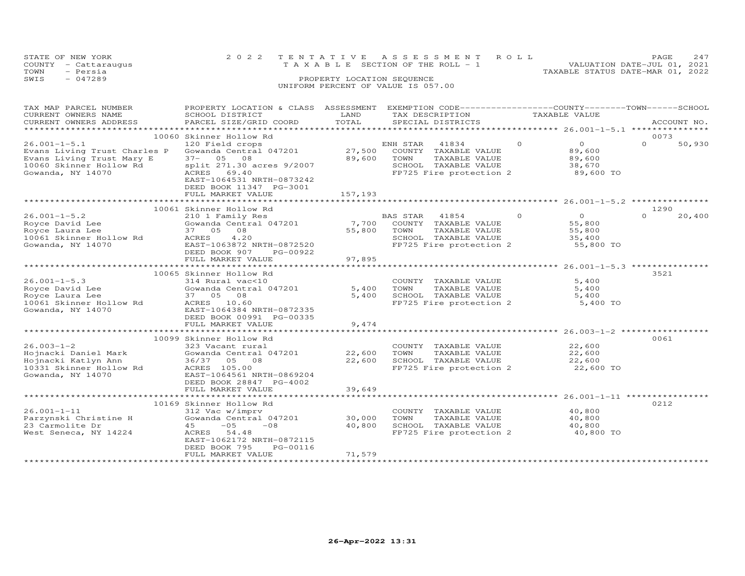| STATE OF NEW YORK    | 2022 TENTATIVE ASSESSMENT ROLL        | 2.47<br><b>PAGE</b>              |
|----------------------|---------------------------------------|----------------------------------|
| COUNTY - Cattaraugus | T A X A B L E SECTION OF THE ROLL - 1 | VALUATION DATE-JUL 01, 2021      |
| TOWN<br>- Persia     |                                       | TAXABLE STATUS DATE-MAR 01, 2022 |
| $-047289$<br>SWIS    | PROPERTY LOCATION SEQUENCE            |                                  |
|                      | UNIFORM PERCENT OF VALUE IS 057.00    |                                  |

| TAX MAP PARCEL NUMBER<br>CURRENT OWNERS NAME<br>CURRENT OWNERS ADDRESS                                                          | PROPERTY LOCATION & CLASS ASSESSMENT<br>SCHOOL DISTRICT<br>PARCEL SIZE/GRID COORD                                                                                                                                     | LAND<br>TOTAL                     | TAX DESCRIPTION<br>SPECIAL DISTRICTS                                                                                     | TAXABLE VALUE                                      | EXEMPTION CODE-----------------COUNTY-------TOWN-----SCHOOL<br>ACCOUNT NO. |
|---------------------------------------------------------------------------------------------------------------------------------|-----------------------------------------------------------------------------------------------------------------------------------------------------------------------------------------------------------------------|-----------------------------------|--------------------------------------------------------------------------------------------------------------------------|----------------------------------------------------|----------------------------------------------------------------------------|
|                                                                                                                                 |                                                                                                                                                                                                                       |                                   |                                                                                                                          |                                                    |                                                                            |
| $26.001 - 1 - 5.1$<br>Evans Living Trust Charles P<br>Evans Living Trust Mary E<br>10060 Skinner Hollow Rd<br>Gowanda, NY 14070 | 10060 Skinner Hollow Rd<br>120 Field crops<br>Gowanda Central 047201<br>$37 - 05$<br>08<br>split 271.30 acres 9/2007<br>ACRES<br>69.40                                                                                | 27,500<br>89,600                  | ENH STAR<br>41834<br>COUNTY<br>TAXABLE VALUE<br>TOWN<br>TAXABLE VALUE<br>SCHOOL TAXABLE VALUE<br>FP725 Fire protection 2 | $\circ$<br>89,600<br>89,600<br>38,670              | 0073<br>$\overline{O}$<br>$\Omega$<br>50,930<br>89,600 TO                  |
|                                                                                                                                 | EAST-1064531 NRTH-0873242<br>DEED BOOK 11347 PG-3001<br>FULL MARKET VALUE                                                                                                                                             | 157,193                           |                                                                                                                          |                                                    |                                                                            |
|                                                                                                                                 | 10061 Skinner Hollow Rd                                                                                                                                                                                               |                                   |                                                                                                                          |                                                    | 1290                                                                       |
| $26.001 - 1 - 5.2$<br>Royce David Lee<br>Royce Laura Lee<br>10061 Skinner Hollow Rd<br>Gowanda, NY 14070                        | 210 1 Family Res<br>Gowanda Central 047201<br>37 05<br>08<br>ACRES<br>4.20<br>EAST-1063872 NRTH-0872520<br>DEED BOOK 907<br>PG-00922<br>FULL MARKET VALUE                                                             | 7,700<br>55,800<br>97,895         | 41854<br>BAS STAR<br>COUNTY TAXABLE VALUE<br>TOWN<br>TAXABLE VALUE<br>SCHOOL TAXABLE VALUE<br>FP725 Fire protection 2    | $\Omega$<br>$\Omega$<br>55,800<br>55,800<br>35,400 | $\Omega$<br>20,400<br>55,800 TO                                            |
|                                                                                                                                 | ***********************                                                                                                                                                                                               |                                   |                                                                                                                          |                                                    |                                                                            |
| $26.001 - 1 - 5.3$<br>Royce David Lee<br>Royce Laura Lee<br>10061 Skinner Hollow Rd<br>Gowanda, NY 14070                        | 10065 Skinner Hollow Rd<br>314 Rural vac<10<br>Gowanda Central 047201<br>37 05 08<br>ACRES<br>10.60<br>EAST-1064384 NRTH-0872335<br>DEED BOOK 00991 PG-00335                                                          | 5,400<br>5,400                    | COUNTY TAXABLE VALUE<br>TOWN<br>TAXABLE VALUE<br>SCHOOL TAXABLE VALUE<br>FP725 Fire protection 2                         |                                                    | 3521<br>5,400<br>5,400<br>5,400<br>5,400 TO                                |
|                                                                                                                                 | FULL MARKET VALUE                                                                                                                                                                                                     | 9,474                             |                                                                                                                          |                                                    |                                                                            |
| $26.003 - 1 - 2$<br>Hojnacki Daniel Mark<br>Hojnacki Katlyn Ann<br>10331 Skinner Hollow Rd<br>Gowanda, NY 14070                 | 10099 Skinner Hollow Rd<br>323 Vacant rural<br>Gowanda Central 047201<br>36/37 05 08<br>ACRES 105.00<br>EAST-1064561 NRTH-0869204<br>DEED BOOK 28847 PG-4002                                                          | *************<br>22,600<br>22,600 | COUNTY TAXABLE VALUE<br>TOWN<br>TAXABLE VALUE<br>SCHOOL TAXABLE VALUE<br>FP725 Fire protection 2                         | 22,600<br>22,600<br>22,600                         | 0061<br>22,600 TO                                                          |
|                                                                                                                                 | FULL MARKET VALUE                                                                                                                                                                                                     | 39,649                            |                                                                                                                          |                                                    |                                                                            |
| $26.001 - 1 - 11$<br>Parzynski Christine H<br>23 Carmolite Dr<br>West Seneca, NY 14224                                          | ********************<br>10169 Skinner Hollow Rd<br>312 Vac w/imprv<br>Gowanda Central 047201<br>$-05$<br>$-08$<br>45<br>54.48<br>ACRES<br>EAST-1062172 NRTH-0872115<br>DEED BOOK 795<br>PG-00116<br>FULL MARKET VALUE | 30,000<br>40,800<br>71,579        | COUNTY TAXABLE VALUE<br>TOWN<br>TAXABLE VALUE<br>SCHOOL TAXABLE VALUE<br>FP725 Fire protection 2                         | 40,800<br>40,800<br>40,800                         | ******************* 26.001-1-11 **********<br>0212<br>40,800 TO            |
|                                                                                                                                 |                                                                                                                                                                                                                       |                                   |                                                                                                                          |                                                    |                                                                            |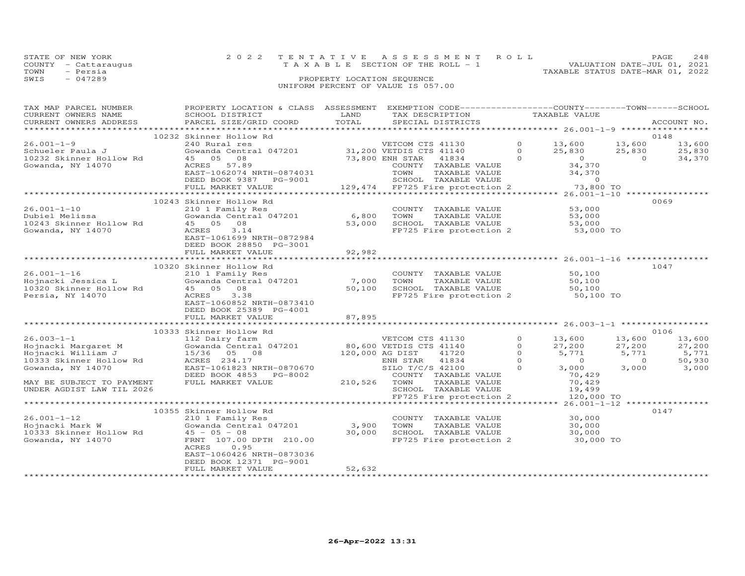| STATE OF NEW YORK    | 2022 TENTATIVE ASSESSMENT ROLL     | <b>PAGE</b>                      | 2.48 |
|----------------------|------------------------------------|----------------------------------|------|
| COUNTY - Cattaraugus | TAXABLE SECTION OF THE ROLL - 1    | VALUATION DATE-JUL 01, 2021      |      |
| TOWN<br>- Persia     |                                    | TAXABLE STATUS DATE-MAR 01, 2022 |      |
| $-047289$<br>SWIS    | PROPERTY LOCATION SEQUENCE         |                                  |      |
|                      | UNIFORM PERCENT OF VALUE IS 057.00 |                                  |      |

| TAX MAP PARCEL NUMBER                       | PROPERTY LOCATION & CLASS ASSESSMENT EXEMPTION CODE---------------COUNTY-------TOWN------SCHOOL                                                                                                                                     |                             |                                                                                                                               |                |                         |                |                   |
|---------------------------------------------|-------------------------------------------------------------------------------------------------------------------------------------------------------------------------------------------------------------------------------------|-----------------------------|-------------------------------------------------------------------------------------------------------------------------------|----------------|-------------------------|----------------|-------------------|
| CURRENT OWNERS NAME                         | SCHOOL DISTRICT                                                                                                                                                                                                                     | LAND                        | TAX DESCRIPTION                                                                                                               |                | TAXABLE VALUE           |                |                   |
| CURRENT OWNERS ADDRESS                      | PARCEL SIZE/GRID COORD                                                                                                                                                                                                              | TOTAL                       | SPECIAL DISTRICTS                                                                                                             |                |                         |                | ACCOUNT NO.       |
|                                             | 10232 Skinner Hollow Rd                                                                                                                                                                                                             |                             |                                                                                                                               |                |                         |                | 0148              |
| $26.001 - 1 - 9$                            | 240 Rural res                                                                                                                                                                                                                       |                             | VETCOM CTS 41130                                                                                                              |                | $0 \t 13,600 \t 13,600$ |                | 13,600            |
|                                             | Gowanda Central 047201 31,200 VETDIS CTS 41140 0 25,830<br>45 05 08 73,800 ENH STAR 41834 0 0                                                                                                                                       |                             |                                                                                                                               |                |                         |                |                   |
| Schueler Paula J<br>10232 Skinner Hollow Rd |                                                                                                                                                                                                                                     |                             |                                                                                                                               |                | 25,830 25,830           | $\overline{a}$ | 25,830            |
| Gowanda, NY 14070                           | ACRES 57.89                                                                                                                                                                                                                         |                             |                                                                                                                               |                |                         |                | 34,370            |
|                                             | EAST-1062074 NRTH-0874031                                                                                                                                                                                                           |                             |                                                                                                                               |                |                         |                |                   |
|                                             | DEED BOOK 9387 PG-9001                                                                                                                                                                                                              |                             |                                                                                                                               |                |                         |                |                   |
|                                             | FULL MARKET VALUE                                                                                                                                                                                                                   |                             | 34,370<br>874031 COUNTY TAXABLE VALUE 34,370<br>9001 SCHOOL TAXABLE VALUE 34,370<br>129,474 FP725 Fire protection 2 73,800 TO |                |                         |                |                   |
|                                             |                                                                                                                                                                                                                                     |                             |                                                                                                                               |                |                         |                |                   |
|                                             | 10243 Skinner Hollow Rd                                                                                                                                                                                                             |                             |                                                                                                                               |                |                         |                | 0069              |
| $26.001 - 1 - 10$                           | 210 1 Family Res                                                                                                                                                                                                                    |                             | COUNTY TAXABLE VALUE                                                                                                          |                | 53,000                  |                |                   |
|                                             | Gowanda Central 047201 6,800                                                                                                                                                                                                        |                             |                                                                                                                               |                | 53,000                  |                |                   |
|                                             |                                                                                                                                                                                                                                     |                             | 6,800    TOWN       TAXABLE  VALUE<br>53,000     SCHOOL    TAXABLE  VALUE                                                     |                | 53,000                  |                |                   |
|                                             | 3.14                                                                                                                                                                                                                                |                             | FP725 Fire protection 2 53,000 TO                                                                                             |                |                         |                |                   |
|                                             | EAST-1061699 NRTH-0872984                                                                                                                                                                                                           |                             |                                                                                                                               |                |                         |                |                   |
|                                             | DEED BOOK 28850 PG-3001                                                                                                                                                                                                             |                             |                                                                                                                               |                |                         |                |                   |
|                                             | FULL MARKET VALUE                                                                                                                                                                                                                   | 92,982                      |                                                                                                                               |                |                         |                |                   |
|                                             |                                                                                                                                                                                                                                     |                             |                                                                                                                               |                |                         |                |                   |
|                                             | 10320 Skinner Hollow Rd                                                                                                                                                                                                             |                             |                                                                                                                               |                |                         |                | 1047              |
| $26.001 - 1 - 16$                           | 210 1 Family Res                                                                                                                                                                                                                    |                             | COUNTY TAXABLE VALUE                                                                                                          |                | 50,100                  |                |                   |
| Hojnacki Jessica L                          | Gowanda Central 047201 7,000                                                                                                                                                                                                        |                             | TOWN                                                                                                                          |                |                         |                |                   |
| 10320 Skinner Hollow Rd                     | 45 05 08                                                                                                                                                                                                                            | 50,100                      | TAXABLE VALUE 50,100<br>TAXABLE VALUE 50,100<br>SCHOOL TAXABLE VALUE                                                          |                | 50,100                  |                |                   |
| Persia, NY 14070                            | 3.38<br>ACRES                                                                                                                                                                                                                       |                             | FP725 Fire protection 2 50,100 TO                                                                                             |                |                         |                |                   |
|                                             | EAST-1060852 NRTH-0873410                                                                                                                                                                                                           |                             |                                                                                                                               |                |                         |                |                   |
|                                             | DEED BOOK 25389 PG-4001                                                                                                                                                                                                             |                             |                                                                                                                               |                |                         |                |                   |
|                                             | FULL MARKET VALUE                                                                                                                                                                                                                   | 87,895                      |                                                                                                                               |                |                         |                |                   |
|                                             |                                                                                                                                                                                                                                     |                             |                                                                                                                               |                |                         |                |                   |
|                                             | 10333 Skinner Hollow Rd                                                                                                                                                                                                             |                             |                                                                                                                               |                |                         |                | 0106              |
| $26.003 - 1 - 1$                            | 112 Dairy farm                                                                                                                                                                                                                      |                             | VETCOM CTS 41130                                                                                                              | $\Omega$       | 13,600                  | 13,600         | 13,600            |
|                                             |                                                                                                                                                                                                                                     |                             |                                                                                                                               |                | 27,200                  | 27,200         | 27,200            |
|                                             | 26.0005-1-1<br>Hojnacki Margaret M (Gowanda Central 047201 80,600 VETDIS CTS 41140<br>Hojnacki William J 15/36 05 08 120,000 AG DIST 41720<br>10333 Skinner Hollow Rd ACRES 234.17<br>ACRES 234.17<br>2020610 120,000 AG DIST 41834 |                             | $\begin{bmatrix} 0 \\ 0 \\ 0 \\ 0 \end{bmatrix}$                                                                              |                | 5,771                   | 5,771          | 5,771             |
|                                             |                                                                                                                                                                                                                                     |                             |                                                                                                                               |                | $\overline{0}$          | $\overline{O}$ |                   |
| Gowanda, NY 14070                           | EAST-1061823 NRTH-0870670                                                                                                                                                                                                           |                             | SILO T/C/S 42100                                                                                                              | $\overline{0}$ | 3,000                   | 3,000          | $50,930$<br>3,000 |
|                                             | DEED BOOK 4853 PG-8002                                                                                                                                                                                                              |                             | COUNTY TAXABLE VALUE                                                                                                          |                |                         |                |                   |
| MAY BE SUBJECT TO PAYMENT                   | FULL MARKET VALUE                                                                                                                                                                                                                   | 1/<br>COUNT<br>210,526 TOWN | TAXABLE VALUE                                                                                                                 |                | 70,429<br>70,429        |                |                   |
| UNDER AGDIST LAW TIL 2026                   |                                                                                                                                                                                                                                     |                             | SCHOOL TAXABLE VALUE                                                                                                          |                | 19,499                  |                |                   |
|                                             |                                                                                                                                                                                                                                     |                             | FP725 Fire protection 2                                                                                                       |                | 120,000 TO              |                |                   |
|                                             |                                                                                                                                                                                                                                     |                             |                                                                                                                               |                |                         |                |                   |
|                                             | 10355 Skinner Hollow Rd                                                                                                                                                                                                             |                             |                                                                                                                               |                |                         |                | 0147              |
| $26.001 - 1 - 12$                           | 210 1 Family Res                                                                                                                                                                                                                    |                             | COUNTY TAXABLE VALUE                                                                                                          |                |                         |                |                   |
|                                             |                                                                                                                                                                                                                                     |                             | TAXABLE VALUE<br>TAXABLE VALUE 30,000<br>--- ''''THE 30,000<br>TOWN                                                           |                |                         |                |                   |
|                                             |                                                                                                                                                                                                                                     |                             |                                                                                                                               |                |                         |                |                   |
|                                             | Eventual Mark W and Cowanda Central 047201 3,900<br>10333 Skinner Hollow Rd 45 - 05 - 08 30,000<br>Gowanda, NY 14070 FRNT 107.00 DPTH 210.00                                                                                        |                             |                                                                                                                               |                |                         |                |                   |
|                                             | ACRES<br>0.95                                                                                                                                                                                                                       |                             |                                                                                                                               |                |                         |                |                   |
|                                             | EAST-1060426 NRTH-0873036                                                                                                                                                                                                           |                             |                                                                                                                               |                |                         |                |                   |
|                                             | DEED BOOK 12371 PG-9001                                                                                                                                                                                                             |                             |                                                                                                                               |                |                         |                |                   |
|                                             | FULL MARKET VALUE                                                                                                                                                                                                                   | 52,632                      |                                                                                                                               |                |                         |                |                   |
|                                             |                                                                                                                                                                                                                                     |                             |                                                                                                                               |                |                         |                |                   |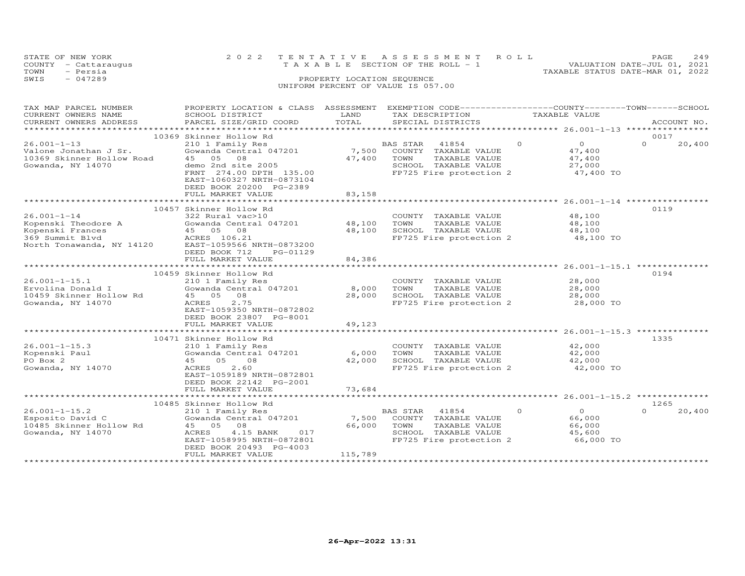| STATE OF NEW YORK    | 2022 TENTATIVE ASSESSMENT ROLL                                 | PAGE. | 2.49 |
|----------------------|----------------------------------------------------------------|-------|------|
| COUNTY - Cattaraugus | VALUATION DATE-JUL 01, 2021<br>TAXABLE SECTION OF THE ROLL - 1 |       |      |
| - Persia<br>TOWN     | TAXABLE STATUS DATE-MAR 01, 2022                               |       |      |
| $-047289$<br>SWIS    | PROPERTY LOCATION SEOUENCE                                     |       |      |
|                      | UNIFORM PERCENT OF VALUE IS 057.00                             |       |      |

| TAX MAP PARCEL NUMBER<br>CURRENT OWNERS NAME<br>CURRENT OWNERS ADDRESS                                       | PROPERTY LOCATION & CLASS ASSESSMENT<br>SCHOOL DISTRICT<br>PARCEL SIZE/GRID COORD                                                                                                                 | LAND<br>TOTAL              | EXEMPTION CODE------------------COUNTY-------TOWN------SCHOOL<br>TAX DESCRIPTION<br>SPECIAL DISTRICTS                    | TAXABLE VALUE                                                        | ACCOUNT NO.                |
|--------------------------------------------------------------------------------------------------------------|---------------------------------------------------------------------------------------------------------------------------------------------------------------------------------------------------|----------------------------|--------------------------------------------------------------------------------------------------------------------------|----------------------------------------------------------------------|----------------------------|
|                                                                                                              |                                                                                                                                                                                                   |                            |                                                                                                                          |                                                                      |                            |
| $26.001 - 1 - 13$<br>Valone Jonathan J Sr.<br>10369 Skinner Hollow Road<br>Gowanda, NY 14070                 | 10369 Skinner Hollow Rd<br>210 1 Family Res<br>Gowanda Central 047201<br>05<br>08<br>45<br>demo 2nd site 2005<br>FRNT 274.00 DPTH 135.00<br>EAST-1060327 NRTH-0873104<br>DEED BOOK 20200 PG-2389  | 7,500<br>47,400            | BAS STAR<br>41854<br>COUNTY<br>TAXABLE VALUE<br>TOWN<br>TAXABLE VALUE<br>SCHOOL TAXABLE VALUE<br>FP725 Fire protection 2 | $\circ$<br>$\overline{O}$<br>47,400<br>47,400<br>27,000<br>47,400 TO | 0017<br>$\Omega$<br>20,400 |
|                                                                                                              | FULL MARKET VALUE                                                                                                                                                                                 | 83,158                     |                                                                                                                          |                                                                      |                            |
|                                                                                                              |                                                                                                                                                                                                   |                            |                                                                                                                          |                                                                      |                            |
| $26.001 - 1 - 14$<br>Kopenski Theodore A<br>Kopenski Frances<br>369 Summit Blvd<br>North Tonawanda, NY 14120 | 10457 Skinner Hollow Rd<br>322 Rural vac>10<br>Gowanda Central 047201<br>45 05 08<br>ACRES 106.21<br>EAST-1059566 NRTH-0873200<br>DEED BOOK 712<br>PG-01129<br>FULL MARKET VALUE                  | 48,100<br>48,100<br>84,386 | COUNTY TAXABLE VALUE<br>TOWN<br>TAXABLE VALUE<br>SCHOOL TAXABLE VALUE<br>FP725 Fire protection 2                         | 48,100<br>48,100<br>48,100<br>48,100 TO                              | 0119                       |
|                                                                                                              |                                                                                                                                                                                                   |                            |                                                                                                                          |                                                                      |                            |
| $26.001 - 1 - 15.1$<br>Ervolina Donald I<br>10459 Skinner Hollow Rd<br>Gowanda, NY 14070                     | 10459 Skinner Hollow Rd<br>210 1 Family Res<br>Gowanda Central 047201<br>08<br>45 05<br>2.75<br><b>ACRES</b><br>EAST-1059350 NRTH-0872802<br>DEED BOOK 23807 PG-8001                              | 8,000<br>28,000            | COUNTY TAXABLE VALUE<br>TOWN<br>TAXABLE VALUE<br>SCHOOL TAXABLE VALUE<br>FP725 Fire protection 2                         | 28,000<br>28,000<br>28,000<br>28,000 TO                              | 0194                       |
|                                                                                                              | FULL MARKET VALUE<br>*****************************                                                                                                                                                | 49,123<br>**************   | ************************************* 26.001-1-15.3 ***************                                                      |                                                                      |                            |
| $26.001 - 1 - 15.3$<br>Kopenski Paul<br>PO Box 2<br>Gowanda, NY 14070                                        | 10471 Skinner Hollow Rd<br>210 1 Family Res<br>Gowanda Central 047201<br>05<br>08<br>45<br>2.60<br>ACRES<br>EAST-1059189 NRTH-0872801<br>DEED BOOK 22142 PG-2001<br>FULL MARKET VALUE             | 6,000<br>42,000<br>73,684  | COUNTY TAXABLE VALUE<br>TOWN<br>TAXABLE VALUE<br>SCHOOL TAXABLE VALUE<br>FP725 Fire protection 2                         | 42,000<br>42,000<br>42,000<br>42,000 TO                              | 1335                       |
|                                                                                                              | *******************************                                                                                                                                                                   |                            |                                                                                                                          |                                                                      |                            |
| $26.001 - 1 - 15.2$<br>Esposito David C<br>10485 Skinner Hollow Rd<br>Gowanda, NY 14070                      | 10485 Skinner Hollow Rd<br>210 1 Family Res<br>Gowanda Central 047201<br>45<br>05<br>08<br>ACRES<br>4.15 BANK<br>017<br>EAST-1058995 NRTH-0872801<br>DEED BOOK 20493 PG-4003<br>FULL MARKET VALUE | 7,500<br>66,000<br>115,789 | BAS STAR<br>41854<br>COUNTY<br>TAXABLE VALUE<br>TOWN<br>TAXABLE VALUE<br>SCHOOL TAXABLE VALUE<br>FP725 Fire protection 2 | $\Omega$<br>$\Omega$<br>66,000<br>66,000<br>45,600<br>66,000 TO      | 1265<br>$\Omega$<br>20,400 |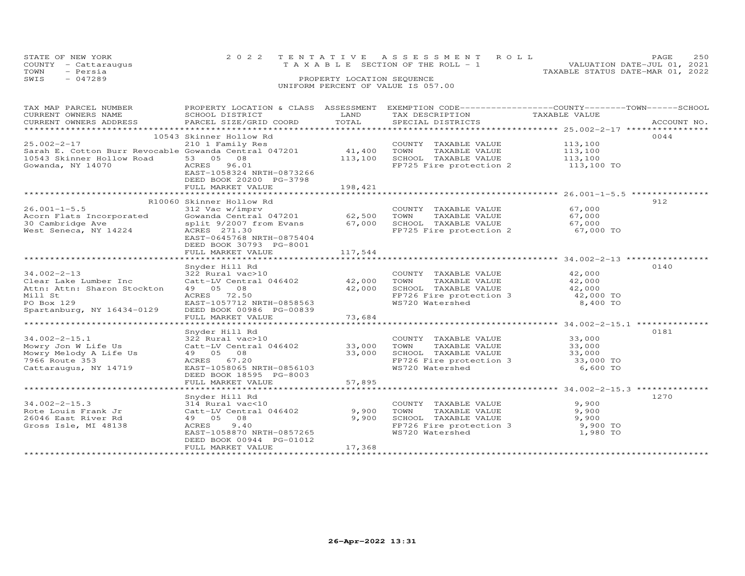| STATE OF NEW YORK    | 2022 TENTATIVE ASSESSMENT ROLL     | 2.50<br>PAGE.                    |
|----------------------|------------------------------------|----------------------------------|
| COUNTY - Cattaraugus | TAXABLE SECTION OF THE ROLL - 1    | VALUATION DATE-JUL 01, 2021      |
| TOWN<br>- Persia     |                                    | TAXABLE STATUS DATE-MAR 01, 2022 |
| SWIS<br>$-047289$    | PROPERTY LOCATION SEQUENCE         |                                  |
|                      | UNIFORM PERCENT OF VALUE IS 057.00 |                                  |

| TAX MAP PARCEL NUMBER                                  | PROPERTY LOCATION & CLASS ASSESSMENT |         | EXEMPTION CODE-----------------COUNTY-------TOWN------SCHOOL     |                        |             |
|--------------------------------------------------------|--------------------------------------|---------|------------------------------------------------------------------|------------------------|-------------|
| CURRENT OWNERS NAME                                    | SCHOOL DISTRICT                      | LAND    | TAX DESCRIPTION                                                  | TAXABLE VALUE          |             |
| CURRENT OWNERS ADDRESS                                 | PARCEL SIZE/GRID COORD               | TOTAL   | SPECIAL DISTRICTS                                                |                        | ACCOUNT NO. |
|                                                        |                                      |         |                                                                  |                        |             |
|                                                        | 10543 Skinner Hollow Rd              |         |                                                                  |                        | 0044        |
| $25.002 - 2 - 17$                                      | 210 1 Family Res                     |         |                                                                  | 113,100                |             |
|                                                        |                                      |         | COUNTY TAXABLE VALUE                                             |                        |             |
| Sarah E. Cotton Burr Revocable Gowanda Central 047201  |                                      | 41,400  | TOWN<br>TAXABLE VALUE                                            | 113,100                |             |
| 10543 Skinner Hollow Road                              | 53 05 08                             | 113,100 | SCHOOL TAXABLE VALUE                                             | 113,100                |             |
| Gowanda, NY 14070                                      | ACRES 96.01                          |         | FP725 Fire protection 2                                          | 113,100 TO             |             |
|                                                        | EAST-1058324 NRTH-0873266            |         |                                                                  |                        |             |
|                                                        | DEED BOOK 20200 PG-3798              |         |                                                                  |                        |             |
|                                                        | FULL MARKET VALUE                    | 198,421 |                                                                  |                        |             |
|                                                        |                                      |         |                                                                  |                        |             |
|                                                        |                                      |         |                                                                  |                        | 912         |
|                                                        | R10060 Skinner Hollow Rd             |         |                                                                  |                        |             |
| $26.001 - 1 - 5.5$                                     | 312 Vac w/imprv                      |         | COUNTY TAXABLE VALUE                                             | 67,000                 |             |
| Acorn Flats Incorporated Gowanda Central 047201 62,500 |                                      |         | TAXABLE VALUE<br>TOWN                                            | 67,000                 |             |
| 30 Cambridge Ave                                       | split 9/2007 from Evans 67,000       |         |                                                                  | 67,000                 |             |
| West Seneca, NY 14224                                  | ACRES 271.30                         |         | SCHOOL TAXABLE VALUE<br>FP725 Fire protection 2                  | 67,000 TO<br>67,000 TO |             |
|                                                        | EAST-0645768 NRTH-0875404            |         |                                                                  |                        |             |
|                                                        | DEED BOOK 30793 PG-8001              |         |                                                                  |                        |             |
|                                                        | FULL MARKET VALUE                    | 117,544 |                                                                  |                        |             |
|                                                        |                                      |         |                                                                  |                        |             |
|                                                        |                                      |         |                                                                  |                        |             |
|                                                        | Snyder Hill Rd                       |         |                                                                  |                        | 0140        |
| $34.002 - 2 - 13$                                      | 322 Rural vac>10                     |         | COUNTY TAXABLE VALUE                                             | 42,000                 |             |
| Clear Lake Lumber Inc                                  | Catt-LV Central 046402 42,000        |         | TAXABLE VALUE<br>TOWN                                            | 42,000                 |             |
| Attn: Attn: Sharon Stockton                            | 49 05 08                             | 42,000  | SCHOOL TAXABLE VALUE<br>FP726 Fire protection 3                  | 42,000                 |             |
| Mill St                                                | ACRES 72.50                          |         |                                                                  | $42,000$ TO            |             |
| PO Box 129                                             | EAST-1057712 NRTH-0858563            |         | WS720 Watershed                                                  | 8,400 TO               |             |
| Spartanburg, NY 16434-0129                             | DEED BOOK 00986 PG-00839             |         |                                                                  |                        |             |
|                                                        | FULL MARKET VALUE                    | 73,684  |                                                                  |                        |             |
|                                                        |                                      |         |                                                                  |                        |             |
|                                                        |                                      |         |                                                                  |                        | 0181        |
|                                                        | Snyder Hill Rd                       |         |                                                                  |                        |             |
| $34.002 - 2 - 15.1$                                    | 322 Rural vac>10                     |         | COUNTY TAXABLE VALUE                                             | 33,000                 |             |
| Mowry Jon W Life Us                                    | Catt-LV Central 046402               | 33,000  | TAXABLE VALUE<br>TOWN                                            | 33,000                 |             |
| Mowry Melody A Life Us                                 | 49 05 08                             | 33,000  |                                                                  |                        |             |
| 7966 Route 353                                         | ACRES 67.20                          |         | SCHOOL TAXABLE VALUE 33,000<br>FP726 Fire protection 3 33,000 TO |                        |             |
| Cattaraugus, NY 14719                                  | EAST-1058065 NRTH-0856103            |         | WS720 Watershed                                                  | 6,600 TO               |             |
|                                                        | DEED BOOK 18595 PG-8003              |         |                                                                  |                        |             |
|                                                        | FULL MARKET VALUE                    | 57,895  |                                                                  |                        |             |
|                                                        |                                      |         |                                                                  |                        |             |
|                                                        |                                      |         |                                                                  |                        | 1270        |
|                                                        | Snyder Hill Rd                       |         |                                                                  |                        |             |
| $34.002 - 2 - 15.3$                                    | 314 Rural vac<10                     |         | COUNTY TAXABLE VALUE                                             | 9,900                  |             |
| Rote Louis Frank Jr                                    | Catt-LV Central 046402               | 9,900   | TOWN<br>TAXABLE VALUE                                            | 9,900                  |             |
| 26046 East River Rd                                    | 49 05 08                             | 9,900   | SCHOOL TAXABLE VALUE                                             | 9,900                  |             |
| Gross Isle, MI 48138                                   | ACRES<br>9.40                        |         | FP726 Fire protection 3 9,900 TO                                 |                        |             |
|                                                        | EAST-1058870 NRTH-0857265            |         | WS720 Watershed                                                  | 1,980 TO               |             |
|                                                        | DEED BOOK 00944 PG-01012             |         |                                                                  |                        |             |
|                                                        | FULL MARKET VALUE                    | 17,368  |                                                                  |                        |             |
|                                                        |                                      |         |                                                                  |                        |             |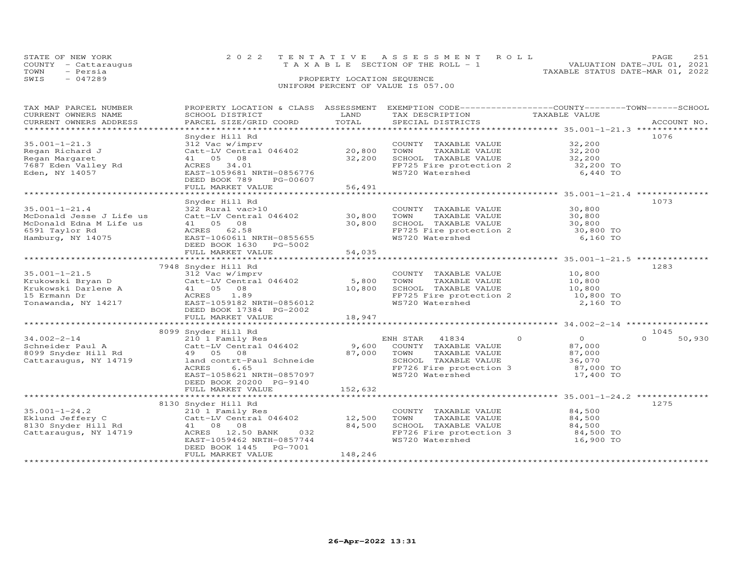| STATE OF NEW YORK    | 2022 TENTATIVE ASSESSMENT ROLL     | 2.51<br>PAGE.                    |
|----------------------|------------------------------------|----------------------------------|
| COUNTY - Cattaraugus | TAXABLE SECTION OF THE ROLL - 1    | VALUATION DATE-JUL 01, 2021      |
| - Persia<br>TOWN     |                                    | TAXABLE STATUS DATE-MAR 01, 2022 |
| $-047289$<br>SWIS    | PROPERTY LOCATION SEQUENCE         |                                  |
|                      | UNIFORM PERCENT OF VALUE IS 057.00 |                                  |
|                      |                                    |                                  |

| TAX MAP PARCEL NUMBER<br>CURRENT OWNERS NAME FOR THE SCHOOL DISTRICT LAND TRANSPORTAGING TRANSFORM TRANSFORM TRANSFORM CURRENT OWNERS ADDRESS SCHOOL DISTRICT LAND TAXABLE VALUE TRANSPORT TRANSPORT TRANSPORT TRANSPORT TRANSPORT TRANSPORT TRANSPORT | PROPERTY LOCATION & CLASS ASSESSMENT EXEMPTION CODE----------------COUNTY-------TOWN------SCHOOL |         |                                                                                                                                                              |                        |                    |
|--------------------------------------------------------------------------------------------------------------------------------------------------------------------------------------------------------------------------------------------------------|--------------------------------------------------------------------------------------------------|---------|--------------------------------------------------------------------------------------------------------------------------------------------------------------|------------------------|--------------------|
|                                                                                                                                                                                                                                                        |                                                                                                  |         |                                                                                                                                                              |                        |                    |
|                                                                                                                                                                                                                                                        | Snyder Hill Rd                                                                                   |         |                                                                                                                                                              |                        | 1076               |
| $35.001 - 1 - 21.3$                                                                                                                                                                                                                                    | 312 Vac w/imprv                                                                                  |         | COUNTY TAXABLE VALUE 32,200                                                                                                                                  |                        |                    |
| Regan Richard J                                                                                                                                                                                                                                        | $Catt-LV$ Central 046402 20,800                                                                  |         |                                                                                                                                                              |                        |                    |
| Regan Margaret                                                                                                                                                                                                                                         | 41 05 08                                                                                         | 32,200  |                                                                                                                                                              |                        |                    |
| 7687 Eden Valley Rd                                                                                                                                                                                                                                    | ACRES 34.01                                                                                      |         |                                                                                                                                                              |                        |                    |
| Eden, NY 14057                                                                                                                                                                                                                                         | EAST-1059681 NRTH-0856776                                                                        |         | $FPT25$ Fire protection 2 32,200 TO<br>WS720 Watershed 6,440 TO                                                                                              |                        |                    |
|                                                                                                                                                                                                                                                        | DEED BOOK 789 PG-00607                                                                           |         |                                                                                                                                                              |                        |                    |
|                                                                                                                                                                                                                                                        | FULL MARKET VALUE                                                                                | 56,491  |                                                                                                                                                              |                        |                    |
|                                                                                                                                                                                                                                                        |                                                                                                  |         |                                                                                                                                                              |                        |                    |
|                                                                                                                                                                                                                                                        | Snyder Hill Rd                                                                                   |         |                                                                                                                                                              |                        | 1073               |
| $35.001 - 1 - 21.4$                                                                                                                                                                                                                                    | 322 Rural vac>10<br>COUNT = 322 Rural vac>10<br>Catt-LV Central 046402 = 30,800 = 70WN           |         | COUNTY TAXABLE VALUE 30,800<br>TOWN TAXABLE VALUE 30,800                                                                                                     |                        |                    |
| McDonald Jesse J Life us                                                                                                                                                                                                                               |                                                                                                  |         |                                                                                                                                                              |                        |                    |
| McDonald Edna M Life us                                                                                                                                                                                                                                | 41 05 08                                                                                         | 30,800  |                                                                                                                                                              |                        |                    |
| 6591 Taylor Rd                                                                                                                                                                                                                                         | ACRES 62.58                                                                                      |         | SCHOOL TAXABLE VALUE 30,800<br>FP725 Fire protection 2 30,800 TO<br>WS720 Watershed 6,160 TO                                                                 |                        |                    |
| Hamburg, NY 14075                                                                                                                                                                                                                                      | EAST-1060611 NRTH-0855655<br>DEED BOOK 1630 PG-5002                                              |         |                                                                                                                                                              |                        |                    |
|                                                                                                                                                                                                                                                        |                                                                                                  |         |                                                                                                                                                              |                        |                    |
|                                                                                                                                                                                                                                                        |                                                                                                  |         |                                                                                                                                                              |                        |                    |
|                                                                                                                                                                                                                                                        | 7948 Snyder Hill Rd                                                                              |         |                                                                                                                                                              |                        | 1283               |
| $35.001 - 1 - 21.5$                                                                                                                                                                                                                                    | 312 Vac w/imprv                                                                                  |         | COUNTY TAXABLE VALUE 10,800                                                                                                                                  |                        |                    |
|                                                                                                                                                                                                                                                        |                                                                                                  |         | TAXABLE VALUE<br>TOWN                                                                                                                                        | 10,800                 |                    |
|                                                                                                                                                                                                                                                        | Catt-LV Central 046402 5,800<br>41 05 08 10,800                                                  |         |                                                                                                                                                              |                        |                    |
|                                                                                                                                                                                                                                                        | ACRES 1.89                                                                                       |         |                                                                                                                                                              |                        |                    |
|                                                                                                                                                                                                                                                        | EAST-1059182 NRTH-0856012                                                                        |         | $\begin{array}{lllll} & & & & \texttt{10,800} \\ \texttt{FP725 Fire protection} & & & & 10,800 \\ \texttt{WS720 Watershed} & & & & 10,800 T0 \\ \end{array}$ |                        |                    |
|                                                                                                                                                                                                                                                        | DEED BOOK 17384 PG-2002                                                                          |         |                                                                                                                                                              |                        |                    |
|                                                                                                                                                                                                                                                        |                                                                                                  |         |                                                                                                                                                              |                        |                    |
|                                                                                                                                                                                                                                                        |                                                                                                  |         |                                                                                                                                                              |                        |                    |
|                                                                                                                                                                                                                                                        | 8099 Snyder Hill Rd<br>Snyder Hill Rd<br>210 1 Family Res                                        |         |                                                                                                                                                              |                        | 1045               |
| $34.002 - 2 - 14$                                                                                                                                                                                                                                      |                                                                                                  |         | ENH STAR 41834 0                                                                                                                                             | $\overline{a}$         | $\Omega$<br>50,930 |
|                                                                                                                                                                                                                                                        | Catt-LV Central 046402 9,600 COUNTY TAXABLE VALUE                                                |         |                                                                                                                                                              | 87,000                 |                    |
| convertuer Paul A<br>8099 Snyder Hill Rd<br>Cattaraugus, NY 14710                                                                                                                                                                                      |                                                                                                  |         | TAXABLE VALUE<br>SCHOOL TAXABLE VALUE 36,070                                                                                                                 | 87,000                 |                    |
|                                                                                                                                                                                                                                                        | ACRES                                                                                            |         |                                                                                                                                                              |                        |                    |
|                                                                                                                                                                                                                                                        | 6.65<br>EAST-1058621 NRTH-0857097                                                                |         | FP726 Fire protection 3<br>WS720 Watershed                                                                                                                   | 87,000 TO<br>17,400 TO |                    |
|                                                                                                                                                                                                                                                        | DEED BOOK 20200 PG-9140                                                                          |         |                                                                                                                                                              |                        |                    |
|                                                                                                                                                                                                                                                        | FULL MARKET VALUE                                                                                | 152,632 |                                                                                                                                                              |                        |                    |
|                                                                                                                                                                                                                                                        |                                                                                                  |         |                                                                                                                                                              |                        |                    |
|                                                                                                                                                                                                                                                        | 8130 Snyder Hill Rd                                                                              |         |                                                                                                                                                              |                        | 1275               |
| $35.001 - 1 - 24.2$                                                                                                                                                                                                                                    | 210 1 Family Res                                                                                 |         | COUNTY TAXABLE VALUE 84,500                                                                                                                                  |                        |                    |
| Eklund Jeffery C                                                                                                                                                                                                                                       | $Catt-LV$ Central $046402$ 12,500                                                                |         | TOWN                                                                                                                                                         | TAXABLE VALUE 84,500   |                    |
| 8130 Snyder Hill Rd                                                                                                                                                                                                                                    | 41 08 08                                                                                         | 84,500  | SCHOOL TAXABLE VALUE                                                                                                                                         | 84,500                 |                    |
| Cattaraugus, NY 14719                                                                                                                                                                                                                                  | ACRES 12.50 BANK 032                                                                             |         | FP726 Fire protection 3 84,500 TO                                                                                                                            |                        |                    |
|                                                                                                                                                                                                                                                        | EAST-1059462 NRTH-0857744                                                                        |         | WS720 Watershed                                                                                                                                              | 16,900 TO              |                    |
|                                                                                                                                                                                                                                                        | DEED BOOK 1445 PG-7001                                                                           |         |                                                                                                                                                              |                        |                    |
|                                                                                                                                                                                                                                                        | FULL MARKET VALUE                                                                                | 148,246 |                                                                                                                                                              |                        |                    |
|                                                                                                                                                                                                                                                        | ***********************                                                                          |         |                                                                                                                                                              |                        |                    |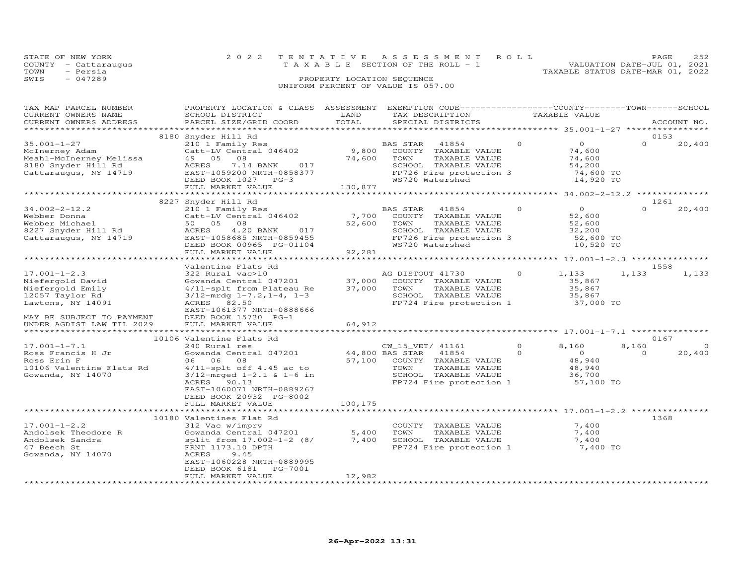|      | STATE OF NEW YORK    | 2022 TENTATIVE ASSESSMENT ROLL                                       | PAGE | 252 |
|------|----------------------|----------------------------------------------------------------------|------|-----|
|      | COUNTY - Cattaraugus | VALUATION DATE-JUL 01, 2021<br>T A X A B L E SECTION OF THE ROLL - 1 |      |     |
| TOWN | - Persia             | TAXABLE STATUS DATE-MAR 01, 2022                                     |      |     |
| SWIS | $-047289$            | PROPERTY LOCATION SEQUENCE                                           |      |     |
|      |                      | UNIFORM PERCENT OF VALUE IS 057.00                                   |      |     |
|      |                      |                                                                      |      |     |

| TAX MAP PARCEL NUMBER<br>CURRENT OWNERS NAME<br>CURRENT OWNERS ADDRESS                                                                                       | PROPERTY LOCATION & CLASS ASSESSMENT<br>SCHOOL DISTRICT<br>PARCEL SIZE/GRID COORD                                                                                                                                              | LAND<br>TOTAL              | EXEMPTION CODE-----------------COUNTY-------TOWN------SCHOOL<br>TAX DESCRIPTION<br>SPECIAL DISTRICTS                                     |                      | TAXABLE VALUE                                                          |                   | ACCOUNT NO.        |
|--------------------------------------------------------------------------------------------------------------------------------------------------------------|--------------------------------------------------------------------------------------------------------------------------------------------------------------------------------------------------------------------------------|----------------------------|------------------------------------------------------------------------------------------------------------------------------------------|----------------------|------------------------------------------------------------------------|-------------------|--------------------|
| *********************                                                                                                                                        | ***************************                                                                                                                                                                                                    |                            |                                                                                                                                          |                      |                                                                        |                   |                    |
| $35.001 - 1 - 27$<br>McInerney Adam<br>Meahl-McInerney Melissa<br>8180 Snyder Hill Rd<br>Cattaraugus, NY 14719                                               | 8180 Snyder Hill Rd<br>210 1 Family Res<br>Catt-LV Central 046402<br>08<br>49 05<br>ACRES<br>7.14 BANK<br>017<br>EAST-1059200 NRTH-0858377<br>DEED BOOK 1027 PG-3<br>FULL MARKET VALUE                                         | 9,800<br>74,600<br>130,877 | BAS STAR<br>41854<br>COUNTY TAXABLE VALUE<br>TOWN<br>TAXABLE VALUE<br>SCHOOL TAXABLE VALUE<br>FP726 Fire protection 3<br>WS720 Watershed | $\Omega$             | $\overline{O}$<br>74,600<br>74,600<br>54,200<br>74,600 TO<br>14,920 TO | 0153<br>$\Omega$  | 20,400             |
|                                                                                                                                                              | 8227 Snyder Hill Rd                                                                                                                                                                                                            |                            |                                                                                                                                          |                      |                                                                        | 1261              |                    |
| $34.002 - 2 - 12.2$<br>Webber Donna<br>Webber Michael<br>8227 Snyder Hill Rd<br>Cattaraugus, NY 14719                                                        | 210 1 Family Res<br>Catt-LV Central 046402<br>50 05<br>08<br>ACRES<br>4.20 BANK<br>017<br>EAST-1058685 NRTH-0859455<br>DEED BOOK 00965 PG-01104<br>FULL MARKET VALUE                                                           | 7,700<br>52,600<br>92,281  | BAS STAR<br>41854<br>COUNTY TAXABLE VALUE<br>TOWN<br>TAXABLE VALUE<br>SCHOOL TAXABLE VALUE<br>FP726 Fire protection 3<br>WS720 Watershed | $\Omega$             | $\overline{0}$<br>52,600<br>52,600<br>32,200<br>52,600 TO<br>10,520 TO | $\Omega$          | 20,400             |
|                                                                                                                                                              |                                                                                                                                                                                                                                |                            |                                                                                                                                          |                      |                                                                        |                   |                    |
| $17.001 - 1 - 2.3$<br>Niefergold David<br>Niefergold Emily<br>12057 Taylor Rd<br>Lawtons, NY 14091<br>MAY BE SUBJECT TO PAYMENT<br>UNDER AGDIST LAW TIL 2029 | Valentine Flats Rd<br>322 Rural vac>10<br>Gowanda Central 047201<br>4/11-splt from Plateau Re<br>$3/12$ -mrdg $1-7.2$ , $1-4$ , $1-3$<br>ACRES 82.50<br>EAST-1061377 NRTH-0888666<br>DEED BOOK 15730 PG-1<br>FULL MARKET VALUE | 37,000<br>37,000<br>64,912 | AG DISTOUT 41730<br>COUNTY TAXABLE VALUE<br>TAXABLE VALUE<br>TOWN<br>SCHOOL TAXABLE VALUE<br>FP724 Fire protection 1                     | $\Omega$             | 1,133<br>35,867<br>35,867<br>35,867<br>37,000 TO                       | 1558<br>1,133     | 1,133              |
|                                                                                                                                                              | 10106 Valentine Flats Rd                                                                                                                                                                                                       | ***************            |                                                                                                                                          |                      |                                                                        | 0167              |                    |
| $17.001 - 1 - 7.1$<br>Ross Francis H Jr<br>Ross Erin F<br>10106 Valentine Flats Rd<br>Gowanda, NY 14070                                                      | 240 Rural res<br>Gowanda Central 047201<br>08<br>06 06<br>$4/11$ -splt off $4.45$ ac to<br>$3/12$ -mrged $1-2.1$ & $1-6$ in<br>ACRES<br>90.13<br>EAST-1060071 NRTH-0889267<br>DEED BOOK 20932 PG-8002                          | 44,800 BAS STAR            | CW_15_VET/ 41161<br>41854<br>57,100 COUNTY TAXABLE VALUE<br>TOWN<br>TAXABLE VALUE<br>SCHOOL TAXABLE VALUE<br>FP724 Fire protection 1     | $\Omega$<br>$\Omega$ | 8,160<br>$\Omega$<br>48,940<br>48,940<br>36,700<br>57,100 TO           | 8,160<br>$\Omega$ | $\Omega$<br>20,400 |
|                                                                                                                                                              | FULL MARKET VALUE                                                                                                                                                                                                              | 100,175                    |                                                                                                                                          |                      |                                                                        |                   |                    |
| $17.001 - 1 - 2.2$<br>Andolsek Theodore R<br>Andolsek Sandra<br>47 Beech St<br>Gowanda, NY 14070                                                             | 10180 Valentines Flat Rd<br>312 Vac w/imprv<br>Gowanda Central 047201<br>split from 17.002-1-2 (8/<br>FRNT 1173.10 DPTH<br>ACRES<br>9.45<br>EAST-1060228 NRTH-0889995<br>DEED BOOK 6181<br>PG-7001<br>FULL MARKET VALUE        | 5,400<br>7,400<br>12,982   | COUNTY TAXABLE VALUE<br>TOWN<br>TAXABLE VALUE<br>SCHOOL TAXABLE VALUE<br>$FP724$ Fire protection 1 $7,400$ TO                            |                      | 7,400<br>7,400<br>7,400                                                | 1368              |                    |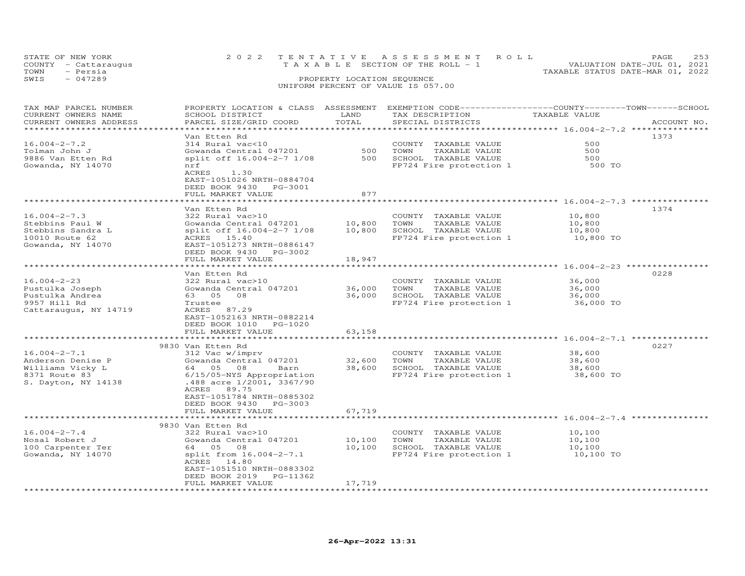| STATE OF NEW YORK<br>COUNTY - Cattaraugus<br>- Persia<br>TOWN<br>SWIS<br>$-047289$ | 2022 TENTATIVE ASSESSMENT ROLL                                                                  | T A X A B L E SECTION OF THE ROLL - 1<br>PROPERTY LOCATION SEQUENCE<br>UNIFORM PERCENT OF VALUE IS 057.00 |  | TAXABLE STATUS DATE-MAR 01, 2022 | PAGE<br>VALUATION DATE-JUL 01, 2021 | 253 |
|------------------------------------------------------------------------------------|-------------------------------------------------------------------------------------------------|-----------------------------------------------------------------------------------------------------------|--|----------------------------------|-------------------------------------|-----|
| TAX MAP PARCEI, NUMBER                                                             | PROPERTY LOCATION & CLASS ASSESSMENT EXEMPTION CODE----------------COUNTY-------TOWN-----SCHOOL |                                                                                                           |  |                                  |                                     |     |

| CURRENT OWNERS NAME    | SCHOOL DISTRICT                                                   | LAND                 | TAX DESCRIPTION                                    | -------<br>TAXABLE VALUE |             |
|------------------------|-------------------------------------------------------------------|----------------------|----------------------------------------------------|--------------------------|-------------|
| CURRENT OWNERS ADDRESS | PARCEL SIZE/GRID COORD                                            | TOTAL                | SPECIAL DISTRICTS                                  |                          | ACCOUNT NO. |
|                        | Van Etten Rd                                                      |                      |                                                    |                          | 1373        |
| $16.004 - 2 - 7.2$     | 314 Rural vac<10                                                  |                      | COUNTY TAXABLE VALUE                               | 500                      |             |
| Tolman John J          | Gowanda Central 047201                                            |                      |                                                    | 500                      |             |
| 9886 Van Etten Rd      | split off 16.004-2-7 1/08                                         |                      | 500 TOWN TAXABLE VALUE<br>500 SCHOOL TAXABLE VALUE | 500                      |             |
| Gowanda, NY 14070      | nrf                                                               |                      | FP724 Fire protection 1                            | 500 TO                   |             |
|                        | ACRES<br>1.30                                                     |                      |                                                    |                          |             |
|                        | EAST-1051026 NRTH-0884704                                         |                      |                                                    |                          |             |
|                        | DEED BOOK 9430 PG-3001                                            | 877                  |                                                    |                          |             |
|                        | FULL MARKET VALUE                                                 |                      |                                                    |                          |             |
|                        | Van Etten Rd                                                      |                      |                                                    |                          | 1374        |
| $16.004 - 2 - 7.3$     | 322 Rural vac>10                                                  |                      | COUNTY TAXABLE VALUE                               | 10,800                   |             |
| Stebbins Paul W        |                                                                   |                      | TOWN<br>TAXABLE VALUE                              | 10,800                   |             |
| Stebbins Sandra L      | Gowanda Central 047201 10,800<br>split off 16.004-2-7 1/08 10,800 |                      | SCHOOL TAXABLE VALUE                               | 10,800                   |             |
| 10010 Route 62         | ACRES 15.40                                                       |                      | FP724 Fire protection 1                            | 10,800 TO                |             |
| Gowanda, NY 14070      | EAST-1051273 NRTH-0886147                                         |                      |                                                    |                          |             |
|                        | DEED BOOK 9430 PG-3002                                            |                      |                                                    |                          |             |
|                        | FULL MARKET VALUE                                                 | 18,947               |                                                    |                          |             |
|                        | Van Etten Rd                                                      |                      |                                                    |                          | 0228        |
| $16.004 - 2 - 23$      | 322 Rural vac>10                                                  |                      | COUNTY TAXABLE VALUE                               | 36,000                   |             |
| Pustulka Joseph        | Gowanda Central 047201                                            | 36,000 TOWN          | TAXABLE VALUE                                      | 36,000                   |             |
| Pustulka Andrea        | 63 05 08                                                          |                      | 36,000 SCHOOL TAXABLE VALUE                        | 36,000                   |             |
| 9957 Hill Rd           | Trustee                                                           |                      | FP724 Fire protection 1                            | 36,000 TO                |             |
| Cattaraugus, NY 14719  | ACRES 87.29                                                       |                      |                                                    |                          |             |
|                        | EAST-1052163 NRTH-0882214                                         |                      |                                                    |                          |             |
|                        | DEED BOOK 1010 PG-1020<br>FULL MARKET VALUE                       | 63,158               |                                                    |                          |             |
|                        | ***************************                                       | ******************** |                                                    |                          |             |
|                        | 9830 Van Etten Rd                                                 |                      |                                                    |                          | 0227        |
| $16.004 - 2 - 7.1$     | 312 Vac w/imprv                                                   |                      | COUNTY TAXABLE VALUE                               | 38,600                   |             |
| Anderson Denise P      | Gowanda Central 047201                                            | 32,600               | TOWN<br>TAXABLE VALUE                              | 38,600                   |             |
| Williams Vicky L       | 64 05 08<br>Barn                                                  | 38,600               | SCHOOL TAXABLE VALUE                               | 38,600                   |             |
| 8371 Route 83          | 6/15/05-NYS Appropriation                                         |                      | FP724 Fire protection 1                            | 38,600 TO                |             |
| S. Dayton, NY 14138    | .488 acre 1/2001, 3367/90                                         |                      |                                                    |                          |             |
|                        | ACRES 89.75<br>EAST-1051784 NRTH-0885302                          |                      |                                                    |                          |             |
|                        | DEED BOOK 9430 PG-3003                                            |                      |                                                    |                          |             |
|                        | FULL MARKET VALUE                                                 | 67,719               |                                                    |                          |             |
|                        |                                                                   |                      |                                                    |                          |             |
|                        | 9830 Van Etten Rd                                                 |                      |                                                    |                          |             |
| $16.004 - 2 - 7.4$     | 322 Rural vac>10                                                  |                      | COUNTY TAXABLE VALUE                               | 10,100                   |             |
| Nosal Robert J         | Gowanda Central 047201                                            | 10,100               | TOWN<br>TAXABLE VALUE                              | 10,100                   |             |
| 100 Carpenter Ter      | 64 05 08                                                          | 10,100               | SCHOOL TAXABLE VALUE                               | 10,100                   |             |
| Gowanda, NY 14070      | split from 16.004-2-7.1<br>ACRES 14.80                            |                      | FP724 Fire protection 1                            | 10,100 TO                |             |
|                        | EAST-1051510 NRTH-0883302                                         |                      |                                                    |                          |             |
|                        |                                                                   |                      |                                                    |                          |             |
|                        | FULL MARKET VALUE                                                 | 17,719               |                                                    |                          |             |
|                        |                                                                   |                      |                                                    |                          |             |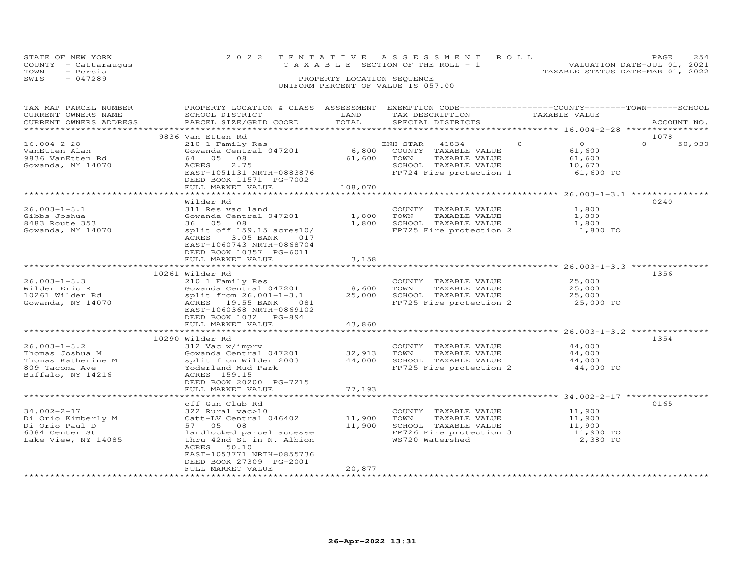| STATE OF NEW YORK    | 2022 TENTATIVE ASSESSMENT ROLL                                       | <b>PAGE</b> | 2.54 |
|----------------------|----------------------------------------------------------------------|-------------|------|
| COUNTY - Cattaraugus | VALUATION DATE-JUL 01, 2021<br>T A X A B L E SECTION OF THE ROLL - 1 |             |      |
| - Persia<br>TOWN     | TAXABLE STATUS DATE-MAR 01, 2022                                     |             |      |
| SWIS<br>$-047289$    | PROPERTY LOCATION SEQUENCE                                           |             |      |
|                      | UNIFORM PERCENT OF VALUE IS 057.00                                   |             |      |
|                      |                                                                      |             |      |

| TAX MAP PARCEL NUMBER<br>CURRENT OWNERS NAME<br>CURRENT OWNERS ADDRESS                             | PROPERTY LOCATION & CLASS ASSESSMENT EXEMPTION CODE----------------COUNTY-------TOWN-----SCHOOL<br>SCHOOL DISTRICT<br>PARCEL SIZE/GRID COORD                                                                     | LAND<br>TOTAL              | TAX DESCRIPTION<br>SPECIAL DISTRICTS                                                                                  | TAXABLE VALUE                                                  | ACCOUNT NO.        |
|----------------------------------------------------------------------------------------------------|------------------------------------------------------------------------------------------------------------------------------------------------------------------------------------------------------------------|----------------------------|-----------------------------------------------------------------------------------------------------------------------|----------------------------------------------------------------|--------------------|
| **********************                                                                             |                                                                                                                                                                                                                  |                            |                                                                                                                       |                                                                |                    |
|                                                                                                    | 9836 Van Etten Rd                                                                                                                                                                                                |                            |                                                                                                                       |                                                                | 1078               |
| $16.004 - 2 - 28$<br>VanEtten Alan<br>9836 VanEtten Rd<br>Gowanda, NY 14070                        | 210 1 Family Res<br>Gowanda Central 047201<br>64 05<br>08<br>2.75<br>ACRES<br>EAST-1051131 NRTH-0883876<br>DEED BOOK 11571 PG-7002<br>FULL MARKET VALUE                                                          | 6,800<br>61,600<br>108,070 | ENH STAR<br>41834<br>COUNTY TAXABLE VALUE<br>TOWN<br>TAXABLE VALUE<br>SCHOOL TAXABLE VALUE<br>FP724 Fire protection 1 | $\circ$<br>$\Omega$<br>61,600<br>61,600<br>10,670<br>61,600 TO | $\Omega$<br>50,930 |
|                                                                                                    |                                                                                                                                                                                                                  |                            |                                                                                                                       |                                                                |                    |
| $26.003 - 1 - 3.1$<br>Gibbs Joshua<br>8483 Route 353<br>Gowanda, NY 14070                          | Wilder Rd<br>311 Res vac land<br>Gowanda Central 047201<br>36 05 08<br>split off 159.15 acres10/<br>ACRES<br>3.05 BANK<br>017<br>EAST-1060743 NRTH-0868704<br>DEED BOOK 10357 PG-6011                            | 1,800<br>1,800             | COUNTY TAXABLE VALUE<br>TOWN<br>TAXABLE VALUE<br>SCHOOL TAXABLE VALUE<br>FP725 Fire protection 2                      | 1,800<br>1,800<br>1,800<br>1,800 TO                            | 0240               |
|                                                                                                    | FULL MARKET VALUE                                                                                                                                                                                                | 3,158                      |                                                                                                                       |                                                                |                    |
|                                                                                                    |                                                                                                                                                                                                                  |                            |                                                                                                                       | ********************* 26.003-1-3.3 ***********                 |                    |
|                                                                                                    | 10261 Wilder Rd                                                                                                                                                                                                  |                            |                                                                                                                       |                                                                | 1356               |
| $26.003 - 1 - 3.3$<br>Wilder Eric R<br>10261 Wilder Rd<br>Gowanda, NY 14070                        | 210 1 Family Res<br>Gowanda Central 047201<br>split from 26.001-1-3.1<br>ACRES 19.55 BANK<br>081<br>EAST-1060368 NRTH-0869102<br>DEED BOOK 1032 PG-894<br>FULL MARKET VALUE                                      | 8,600<br>25,000<br>43,860  | COUNTY TAXABLE VALUE<br>TOWN<br>TAXABLE VALUE<br>SCHOOL TAXABLE VALUE<br>FP725 Fire protection 2                      | 25,000<br>25,000<br>25,000<br>25,000 TO                        |                    |
|                                                                                                    |                                                                                                                                                                                                                  |                            |                                                                                                                       | ********** 26.003-1-3.2 ***                                    |                    |
| $26.003 - 1 - 3.2$<br>Thomas Joshua M<br>Thomas Katherine M<br>809 Tacoma Ave<br>Buffalo, NY 14216 | 10290 Wilder Rd<br>312 Vac w/imprv<br>Gowanda Central 047201<br>split from Wilder 2003<br>Yoderland Mud Park<br>ACRES 159.15<br>DEED BOOK 20200 PG-7215<br>FULL MARKET VALUE                                     | 32,913<br>44,000<br>77,193 | COUNTY TAXABLE VALUE<br>TOWN<br>TAXABLE VALUE<br>SCHOOL TAXABLE VALUE<br>FP725 Fire protection 2                      | 44,000<br>44,000<br>44,000<br>44,000 TO                        | 1354               |
|                                                                                                    |                                                                                                                                                                                                                  |                            |                                                                                                                       |                                                                |                    |
| $34.002 - 2 - 17$<br>Di Orio Kimberly M<br>Di Orio Paul D<br>6384 Center St<br>Lake View, NY 14085 | off Gun Club Rd<br>322 Rural vac>10<br>Catt-LV Central 046402<br>57 05<br>08<br>landlocked parcel accesse<br>thru 42nd St in N. Albion<br>ACRES<br>50.10<br>EAST-1053771 NRTH-0855736<br>DEED BOOK 27309 PG-2001 | 11,900<br>11,900           | COUNTY TAXABLE VALUE<br>TAXABLE VALUE<br>TOWN<br>SCHOOL TAXABLE VALUE<br>FP726 Fire protection 3<br>WS720 Watershed   | 11,900<br>11,900<br>11,900<br>11,900 TO<br>2,380 TO            | 0165               |
|                                                                                                    | FULL MARKET VALUE                                                                                                                                                                                                | 20,877                     |                                                                                                                       |                                                                |                    |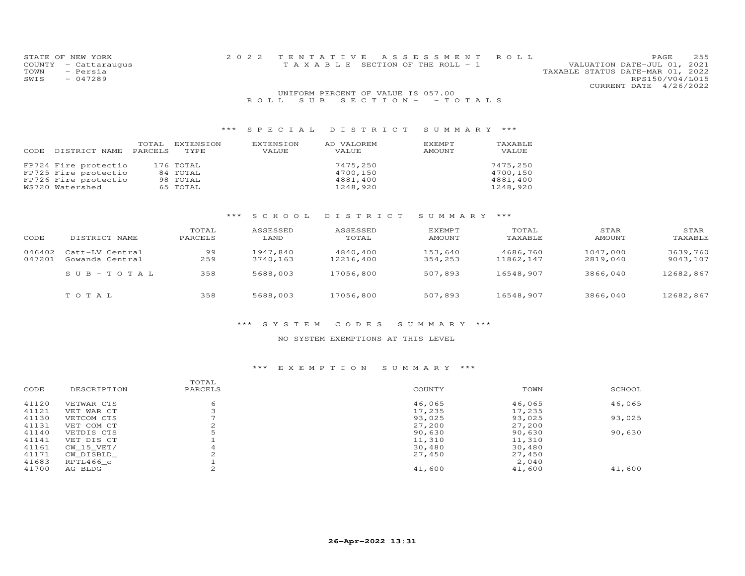| STATE OF NEW YORK    | 2022 TENTATIVE ASSESSMENT ROLL |                                    |  |                                  | PAGE                   | 255 |
|----------------------|--------------------------------|------------------------------------|--|----------------------------------|------------------------|-----|
| COUNTY - Cattaraugus |                                | TAXABLE SECTION OF THE ROLL - 1    |  | VALUATION DATE-JUL 01, 2021      |                        |     |
| TOWN<br>- Persia     |                                |                                    |  | TAXABLE STATUS DATE-MAR 01, 2022 |                        |     |
| SWIS<br>- 047289     |                                |                                    |  |                                  | RPS150/V04/L015        |     |
|                      |                                |                                    |  |                                  | CURRENT DATE 4/26/2022 |     |
|                      |                                | UNIFORM PERCENT OF VALUE IS 057.00 |  |                                  |                        |     |

| CODE. | DISTRICT NAME                                                                           | TOTAL<br>PARCELS | EXTENSION<br>TYPE.                            | EXTENSION<br>VALUE | AD VALOREM<br>VALUE                          | EXEMPT<br>AMOUNT | TAXABLE<br>VALUE                             |
|-------|-----------------------------------------------------------------------------------------|------------------|-----------------------------------------------|--------------------|----------------------------------------------|------------------|----------------------------------------------|
|       | FP724 Fire protectio<br>FP725 Fire protectio<br>FP726 Fire protectio<br>WS720 Watershed |                  | 176 TOTAL<br>84 TOTAL<br>98 TOTAL<br>65 TOTAL |                    | 7475,250<br>4700,150<br>4881,400<br>1248,920 |                  | 7475,250<br>4700,150<br>4881,400<br>1248,920 |

R O L L S U B S E C T I O N - - T O T A L S

## \*\*\* S C H O O L D I S T R I C T S U M M A R Y \*\*\*

| CODE             | DISTRICT NAME                      | TOTAL<br>PARCELS | ASSESSED<br>LAND     | ASSESSED<br>TOTAL     | EXEMPT<br>AMOUNT   | TOTAL<br>TAXABLE      | STAR<br>AMOUNT       | STAR<br>TAXABLE      |
|------------------|------------------------------------|------------------|----------------------|-----------------------|--------------------|-----------------------|----------------------|----------------------|
| 046402<br>047201 | Catt-LV Central<br>Gowanda Central | 99<br>259        | 1947,840<br>3740,163 | 4840,400<br>12216,400 | 153,640<br>354,253 | 4686,760<br>11862,147 | 1047,000<br>2819,040 | 3639,760<br>9043,107 |
|                  | $SUB - TO T AL$                    | 358              | 5688,003             | 17056,800             | 507,893            | 16548,907             | 3866,040             | 12682,867            |
|                  | TOTAL                              | 358              | 5688,003             | 17056,800             | 507,893            | 16548,907             | 3866,040             | 12682,867            |

## \*\*\* S Y S T E M C O D E S S U M M A R Y \*\*\*

### NO SYSTEM EXEMPTIONS AT THIS LEVEL

#### \*\*\* E X E M P T I O N S U M M A R Y \*\*\*

|       |             | TOTAL       |        |        |        |
|-------|-------------|-------------|--------|--------|--------|
| CODE  | DESCRIPTION | PARCELS     | COUNTY | TOWN   | SCHOOL |
| 41120 | VETWAR CTS  | 6           | 46,065 | 46,065 | 46,065 |
| 41121 | VET WAR CT  |             | 17,235 | 17,235 |        |
| 41130 | VETCOM CTS  |             | 93,025 | 93,025 | 93,025 |
| 41131 | VET COM CT  | $\sim$<br>∠ | 27,200 | 27,200 |        |
| 41140 | VETDIS CTS  | 5           | 90,630 | 90,630 | 90,630 |
| 41141 | VET DIS CT  |             | 11,310 | 11,310 |        |
| 41161 | CW 15 VET/  | 4           | 30,480 | 30,480 |        |
| 41171 | CW DISBLD   |             | 27,450 | 27,450 |        |
| 41683 | RPTL466 c   |             |        | 2,040  |        |
| 41700 | AG BLDG     | $\sim$      | 41,600 | 41,600 | 41,600 |
|       |             |             |        |        |        |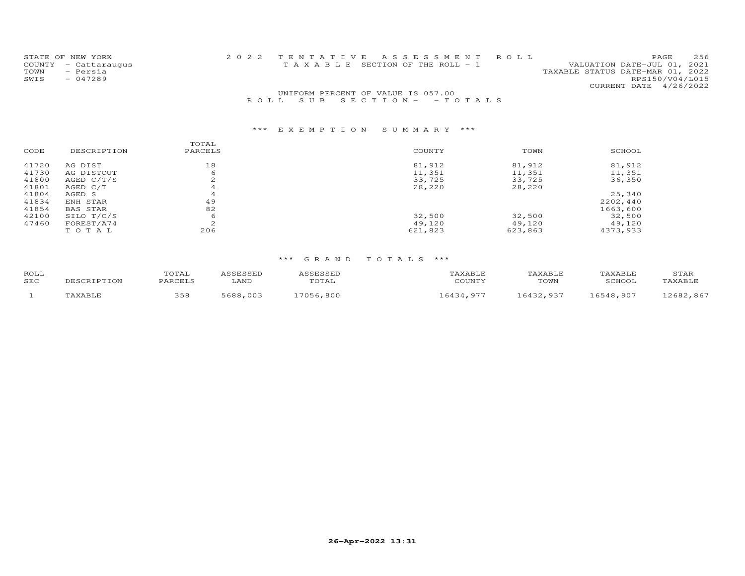| STATE OF NEW YORK    | 2022 TENTATIVE ASSESSMENT ROLL                                 | PAGE.           | 256 |
|----------------------|----------------------------------------------------------------|-----------------|-----|
| COUNTY - Cattaraugus | VALUATION DATE-JUL 01, 2021<br>TAXABLE SECTION OF THE ROLL - 1 |                 |     |
| - Persia<br>TOWN     | TAXABLE STATUS DATE-MAR 01, 2022                               |                 |     |
| $-047289$<br>SWIS    |                                                                | RPS150/V04/L015 |     |
|                      | CURRENT DATE 4/26/2022                                         |                 |     |
|                      | UNIFORM PERCENT OF VALUE IS 057.00                             |                 |     |

# \*\*\* E X E M P T I O N S U M M A R Y \*\*\*

|                 | TOTAL       |         |         |          |
|-----------------|-------------|---------|---------|----------|
| DESCRIPTION     | PARCELS     | COUNTY  | TOWN    | SCHOOL   |
| AG DIST         | 18          | 81,912  | 81,912  | 81,912   |
| AG DISTOUT      | 6           | 11,351  | 11,351  | 11,351   |
| AGED $C/T/S$    | $\sim$<br>∠ | 33,725  | 33,725  | 36,350   |
| AGED C/T        |             | 28,220  | 28,220  |          |
| AGED S          |             |         |         | 25,340   |
| ENH STAR        | 49          |         |         | 2202,440 |
| <b>BAS STAR</b> | 82          |         |         | 1663,600 |
| SILO T/C/S      | 6           | 32,500  | 32,500  | 32,500   |
| FOREST/A74      | $\sim$      | 49,120  | 49,120  | 49,120   |
| TOTAL           | 206         | 621,823 | 623,863 | 4373,933 |
|                 |             |         |         |          |

R O L L S U B S E C T I O N - - T O T A L S

| ROLL<br>SEC | $\tau$ on     | TOTAL<br>PARCELS | LAND         | $T0$ $T3$<br>UIAL | 'AXABLF<br>COUNTY | TAXABLF<br>TOWN | TAXABLE<br>$CCHON^+$ | STAR         |
|-------------|---------------|------------------|--------------|-------------------|-------------------|-----------------|----------------------|--------------|
|             | <b>AVARTI</b> | 358              | 0.688<br>∩∩≎ | 7056<br>.800      | 6434<br>$\Omega$  | 6132<br>03.     | ,907<br>6548         | 867<br>12682 |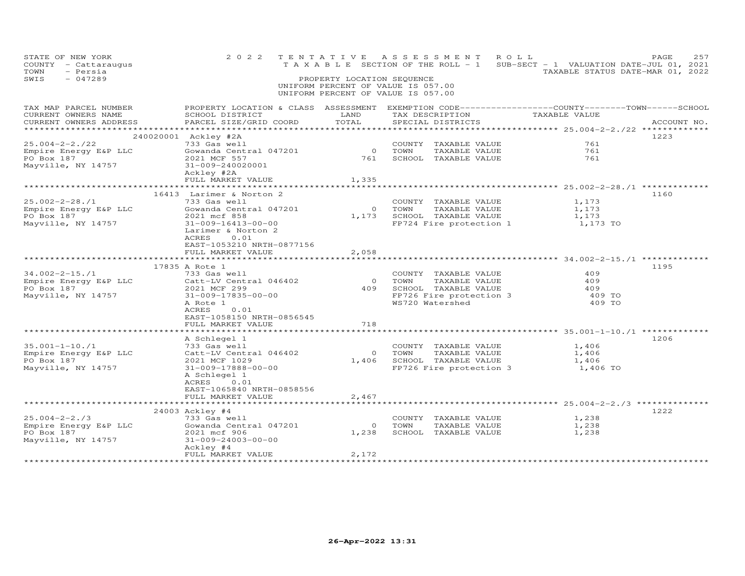| STATE OF NEW YORK<br>COUNTY - Cattaraugus<br>- Persia<br>TOWN<br>SWIS<br>$-047289$ | 2 0 2 2                                                                                                                                                  | PROPERTY LOCATION SEQUENCE     | TENTATIVE ASSESSMENT ROLL<br>UNIFORM PERCENT OF VALUE IS 057.00<br>UNIFORM PERCENT OF VALUE IS 057.00    | T A X A B L E SECTION OF THE ROLL - 1 SUB-SECT - 1 VALUATION DATE-JUL 01, 2021<br>TAXABLE STATUS DATE-MAR 01, 2022 | PAGE<br>257 |
|------------------------------------------------------------------------------------|----------------------------------------------------------------------------------------------------------------------------------------------------------|--------------------------------|----------------------------------------------------------------------------------------------------------|--------------------------------------------------------------------------------------------------------------------|-------------|
| TAX MAP PARCEL NUMBER<br>CURRENT OWNERS NAME<br>CURRENT OWNERS ADDRESS             | PROPERTY LOCATION & CLASS ASSESSMENT EXEMPTION CODE-----------------COUNTY-------TOWN------SCHOOL<br>SCHOOL DISTRICT<br>PARCEL SIZE/GRID COORD           | LAND<br>TOTAL                  | TAX DESCRIPTION TAXABLE VALUE<br>SPECIAL DISTRICTS                                                       | ****************** 25.004-2-2./22 ********                                                                         | ACCOUNT NO. |
| $25.004 - 2 - 2.722$<br>Empire Energy E&P LLC<br>PO Box 187<br>Mayville, NY 14757  | 240020001 Ackley #2A<br>733 Gas well<br>Gowanda Central 047201<br>2021 MCF 557<br>31-009-240020001<br>Ackley #2A<br>FULL MARKET VALUE                    | $\overline{0}$<br>761<br>1,335 | COUNTY TAXABLE VALUE<br>TOWN<br>TAXABLE VALUE<br>SCHOOL TAXABLE VALUE                                    | 761<br>761<br>761                                                                                                  | 1223        |
|                                                                                    | *******************************                                                                                                                          |                                |                                                                                                          | ****************** 25.002-2-28./1 **************                                                                   |             |
| $25.002 - 2 - 28.1$<br>Empire Energy E&P LLC<br>PO Box 187<br>Mayville, NY 14757   | 16413 Larimer & Norton 2<br>733 Gas well<br>Gowanda Central 047201<br>2021 mcf 858<br>31-009-16413-00-00<br>Larimer & Norton 2<br>0.01<br>ACRES          |                                | COUNTY TAXABLE VALUE<br>0 TOWN<br>TAXABLE VALUE<br>1,173 SCHOOL TAXABLE VALUE                            | 1,173<br>1,173<br>1,173<br>FP724 Fire protection 1 1,173 TO                                                        | 1160        |
|                                                                                    | EAST-1053210 NRTH-0877156<br>FULL MARKET VALUE                                                                                                           | 2,058                          |                                                                                                          |                                                                                                                    |             |
| $34.002 - 2 - 15.71$<br>Empire Energy E&P LLC<br>PO Box 187                        | 17835 A Rote 1<br>733 Gas well<br>Catt-LV Central 046402<br>2021 MCF 299                                                                                 |                                | COUNTY TAXABLE VALUE<br>0 TOWN<br>TAXABLE VALUE                                                          | 409<br>409<br>409                                                                                                  | 1195        |
| Mayville, NY 14757                                                                 | 31-009-17835-00-00<br>A Rote 1<br>ACRES<br>0.01<br>EAST-1058150 NRTH-0856545<br>FULL MARKET VALUE                                                        | 718                            | 409 SCHOOL TAXABLE VALUE<br>FP726 Fire protection 3<br>WS720 Watershed                                   | 409 TO<br>409 TO                                                                                                   |             |
|                                                                                    |                                                                                                                                                          |                                |                                                                                                          |                                                                                                                    |             |
| $35.001 - 1 - 10./1$<br>Empire Energy E&P LLC<br>PO Box 187<br>Mayville, NY 14757  | A Schlegel 1<br>733 Gas well<br>Catt-LV Central 046402<br>2021 MCF 1029<br>31-009-17888-00-00<br>A Schlegel 1<br>ACRES 0.01<br>EAST-1065840 NRTH-0858556 |                                | COUNTY TAXABLE VALUE<br>0 TOWN<br>TAXABLE VALUE<br>1,406 SCHOOL TAXABLE VALUE<br>FP726 Fire protection 3 | 1,406<br>1,406<br>1,406<br>1,406 TO                                                                                | 1206        |
|                                                                                    | FULL MARKET VALUE                                                                                                                                        | 2,467                          |                                                                                                          |                                                                                                                    |             |
|                                                                                    | *************************                                                                                                                                |                                |                                                                                                          |                                                                                                                    |             |
| $25.004 - 2 - 2.73$<br>Empire Energy E&P LLC<br>PO Box 187<br>Mayville, NY 14757   | 24003 Ackley #4<br>733 Gas well<br>Gowanda Central 047201<br>2021 mcf 906<br>31-009-24003-00-00                                                          | $\overline{0}$<br>1,238        | COUNTY TAXABLE VALUE<br>TOWN<br>TAXABLE VALUE<br>SCHOOL TAXABLE VALUE                                    | 1,238<br>1,238<br>1,238                                                                                            | 1222        |
|                                                                                    | Ackley #4<br>FULL MARKET VALUE                                                                                                                           | 2,172                          |                                                                                                          |                                                                                                                    |             |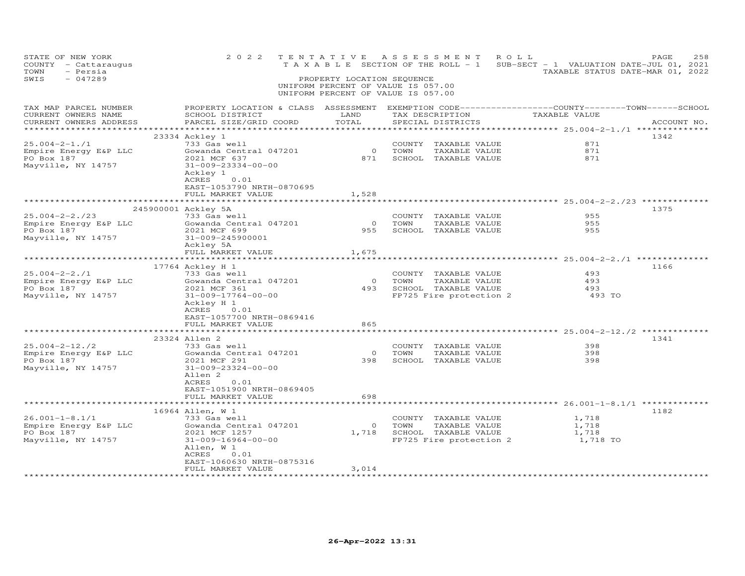| STATE OF NEW YORK<br>COUNTY - Cattaraugus<br>TOWN<br>- Persia<br>SWIS<br>$-047289$ | 2 0 2 2                                                                                                                                       | TENTATIVE<br>PROPERTY LOCATION SEQUENCE<br>UNIFORM PERCENT OF VALUE IS 057.00<br>UNIFORM PERCENT OF VALUE IS 057.00 |        | A S S E S S M E N T                   | ROLL                                                  |                | 258<br>PAGE<br>T A X A B L E SECTION OF THE ROLL - 1 SUB-SECT - 1 VALUATION DATE-JUL 01, 2021<br>TAXABLE STATUS DATE-MAR 01, 2022 |
|------------------------------------------------------------------------------------|-----------------------------------------------------------------------------------------------------------------------------------------------|---------------------------------------------------------------------------------------------------------------------|--------|---------------------------------------|-------------------------------------------------------|----------------|-----------------------------------------------------------------------------------------------------------------------------------|
| TAX MAP PARCEL NUMBER<br>CURRENT OWNERS NAME<br>CURRENT OWNERS ADDRESS             | PROPERTY LOCATION & CLASS ASSESSMENT EXEMPTION CODE----------------COUNTY-------TOWN------SCHOOL<br>SCHOOL DISTRICT<br>PARCEL SIZE/GRID COORD | LAND<br>TOTAL                                                                                                       |        | TAX DESCRIPTION<br>SPECIAL DISTRICTS  |                                                       | TAXABLE VALUE  | ACCOUNT NO.                                                                                                                       |
|                                                                                    | 23334 Ackley 1                                                                                                                                |                                                                                                                     |        |                                       |                                                       |                | 1342                                                                                                                              |
| $25.004 - 2 - 1.71$                                                                | 733 Gas well                                                                                                                                  |                                                                                                                     |        | COUNTY TAXABLE VALUE                  |                                                       | 871            |                                                                                                                                   |
| Empire Energy E&P LLC                                                              | Gowanda Central 047201                                                                                                                        | 0 TOWN                                                                                                              |        | TAXABLE VALUE                         |                                                       | 871            |                                                                                                                                   |
| PO Box 187                                                                         | 2021 MCF 637                                                                                                                                  | 871                                                                                                                 |        | SCHOOL TAXABLE VALUE                  |                                                       | 871            |                                                                                                                                   |
| Mayville, NY 14757                                                                 | 31-009-23334-00-00<br>Ackley 1<br>ACRES 0.01<br>EAST-1053790 NRTH-0870695                                                                     |                                                                                                                     |        |                                       |                                                       |                |                                                                                                                                   |
|                                                                                    | FULL MARKET VALUE                                                                                                                             | 1,528                                                                                                               |        |                                       |                                                       |                |                                                                                                                                   |
|                                                                                    | 245900001 Ackley 5A                                                                                                                           |                                                                                                                     |        |                                       |                                                       |                | 1375                                                                                                                              |
| $25.004 - 2 - 2.723$                                                               | 733 Gas well                                                                                                                                  |                                                                                                                     |        | COUNTY TAXABLE VALUE                  |                                                       | 955            |                                                                                                                                   |
| Empire Energy E&P LLC                                                              | Gowanda Central 047201                                                                                                                        | $\overline{0}$                                                                                                      | TOWN   | TAXABLE VALUE                         |                                                       | 955            |                                                                                                                                   |
| PO Box 187                                                                         | 2021 MCF 699                                                                                                                                  | 955                                                                                                                 |        | SCHOOL TAXABLE VALUE                  |                                                       | 955            |                                                                                                                                   |
| Mayville, NY 14757                                                                 | 31-009-245900001                                                                                                                              |                                                                                                                     |        |                                       |                                                       |                |                                                                                                                                   |
|                                                                                    | Ackley 5A                                                                                                                                     |                                                                                                                     |        |                                       |                                                       |                |                                                                                                                                   |
|                                                                                    | FULL MARKET VALUE                                                                                                                             | 1,675                                                                                                               |        |                                       |                                                       |                |                                                                                                                                   |
|                                                                                    | ********************************                                                                                                              | * * * * * * * * * * * * * *                                                                                         |        |                                       |                                                       |                |                                                                                                                                   |
|                                                                                    | 17764 Ackley H 1                                                                                                                              |                                                                                                                     |        |                                       |                                                       |                | 1166                                                                                                                              |
| $25.004 - 2 - 2.71$                                                                | 733 Gas well                                                                                                                                  |                                                                                                                     |        | COUNTY TAXABLE VALUE                  |                                                       | 493            |                                                                                                                                   |
| Empire Energy E&P LLC                                                              | Gowanda Central 047201                                                                                                                        |                                                                                                                     | 0 TOWN | TAXABLE VALUE                         |                                                       | 493            |                                                                                                                                   |
| PO Box 187                                                                         | 2021 MCF 361                                                                                                                                  |                                                                                                                     |        | 493 SCHOOL TAXABLE VALUE              |                                                       | 493            |                                                                                                                                   |
| Mayville, NY 14757                                                                 | 31-009-17764-00-00                                                                                                                            |                                                                                                                     |        | FP725 Fire protection 2               |                                                       | 493 TO         |                                                                                                                                   |
|                                                                                    | Ackley H 1                                                                                                                                    |                                                                                                                     |        |                                       |                                                       |                |                                                                                                                                   |
|                                                                                    | ACRES<br>0.01                                                                                                                                 |                                                                                                                     |        |                                       |                                                       |                |                                                                                                                                   |
|                                                                                    | EAST-1057700 NRTH-0869416<br>FULL MARKET VALUE                                                                                                | 865                                                                                                                 |        |                                       |                                                       |                |                                                                                                                                   |
|                                                                                    |                                                                                                                                               | ********                                                                                                            |        |                                       |                                                       |                |                                                                                                                                   |
|                                                                                    | 23324 Allen 2                                                                                                                                 |                                                                                                                     |        |                                       |                                                       |                | 1341                                                                                                                              |
| $25.004 - 2 - 12.72$                                                               | 733 Gas well                                                                                                                                  |                                                                                                                     |        | COUNTY TAXABLE VALUE                  |                                                       | 398            |                                                                                                                                   |
| Empire Energy E&P LLC                                                              | Gowanda Central 047201                                                                                                                        | $\overline{0}$                                                                                                      | TOWN   | TAXABLE VALUE                         |                                                       | 398            |                                                                                                                                   |
| PO Box 187                                                                         | 2021 MCF 291                                                                                                                                  | 398                                                                                                                 |        | SCHOOL TAXABLE VALUE                  |                                                       | 398            |                                                                                                                                   |
| Mayville, NY 14757                                                                 | 31-009-23324-00-00                                                                                                                            |                                                                                                                     |        |                                       |                                                       |                |                                                                                                                                   |
|                                                                                    | Allen 2                                                                                                                                       |                                                                                                                     |        |                                       |                                                       |                |                                                                                                                                   |
|                                                                                    | ACRES<br>0.01                                                                                                                                 |                                                                                                                     |        |                                       |                                                       |                |                                                                                                                                   |
|                                                                                    | EAST-1051900 NRTH-0869405                                                                                                                     |                                                                                                                     |        |                                       |                                                       |                |                                                                                                                                   |
|                                                                                    | FULL MARKET VALUE                                                                                                                             | 698                                                                                                                 |        |                                       |                                                       |                |                                                                                                                                   |
|                                                                                    |                                                                                                                                               |                                                                                                                     |        |                                       |                                                       |                |                                                                                                                                   |
|                                                                                    | 16964 Allen, W 1<br>733 Gas well                                                                                                              |                                                                                                                     |        |                                       |                                                       |                | 1182                                                                                                                              |
| $26.001 - 1 - 8.1/1$                                                               | Gowanda Central 047201                                                                                                                        |                                                                                                                     | 0 TOWN | COUNTY TAXABLE VALUE<br>TAXABLE VALUE |                                                       | 1,718<br>1,718 |                                                                                                                                   |
| Empire Energy E&P LLC<br>PO Box 187                                                | 2021 MCF 1257                                                                                                                                 |                                                                                                                     |        |                                       |                                                       | 1,718          |                                                                                                                                   |
| Mayville, NY 14757                                                                 | 31-009-16964-00-00                                                                                                                            |                                                                                                                     |        |                                       | 1,718 SCHOOL TAXABLE VALUE<br>FP725 Fire protection 2 | 1,718 TO       |                                                                                                                                   |
|                                                                                    | Allen, W 1                                                                                                                                    |                                                                                                                     |        |                                       |                                                       |                |                                                                                                                                   |
|                                                                                    | ACRES<br>0.01                                                                                                                                 |                                                                                                                     |        |                                       |                                                       |                |                                                                                                                                   |
|                                                                                    | EAST-1060630 NRTH-0875316                                                                                                                     |                                                                                                                     |        |                                       |                                                       |                |                                                                                                                                   |
|                                                                                    | FULL MARKET VALUE                                                                                                                             | 3,014                                                                                                               |        |                                       |                                                       |                |                                                                                                                                   |
|                                                                                    | *************************                                                                                                                     | *****************                                                                                                   |        |                                       |                                                       |                |                                                                                                                                   |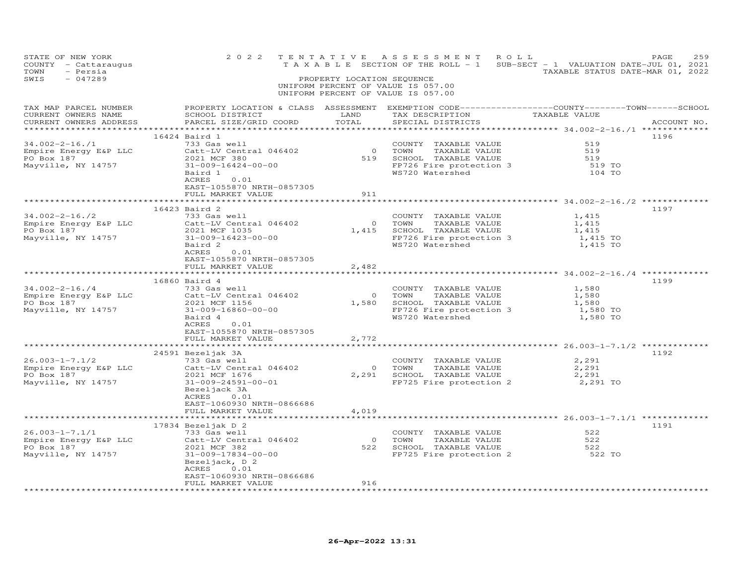| UNIFORM PERCENT OF VALUE IS 057.00<br>UNIFORM PERCENT OF VALUE IS 057.00<br>PROPERTY LOCATION & CLASS ASSESSMENT EXEMPTION CODE-----------------COUNTY-------TOWN------SCHOOL<br>TAX DESCRIPTION TAXABLE VALUE<br><b>EXAMPLE DESCRIPTION OF A LAND</b><br>CURRENT OWNERS NAME<br>SCHOOL DISTRICT<br>CURRENT OWNERS ADDRESS<br>TOTAL<br>SPECIAL DISTRICTS<br>PARCEL SIZE/GRID COORD<br>ACCOUNT NO.<br>*************<br>16424 Baird 1<br>1196<br>34.002-2-16./1<br>733 Gas well<br>COUNTY TAXABLE VALUE<br>519<br>0 TOWN TAXABLE VALUE<br>519 SCHOOL TAXABLE VALUE<br>FP726 Fire protection 3<br>Empire Energy E&P LLC<br>PO Box 187<br>Mayville, NY 14757<br>Catt-LV Central 046402<br>2021 MCF 380<br>519<br>519<br>$31 - 009 - 16424 - 00 - 00$<br>519 TO<br>Baird 1<br>WS720 Watershed<br>104 TO<br>0.01<br>ACRES<br>EAST-1055870 NRTH-0857305<br>FULL MARKET VALUE<br>911<br>16423 Baird 2<br>1197<br>34.002-2-16./2<br>Empire Energy E&P LLC<br>PO Box 187<br>Mayville, NY 14757<br>Mayville, NY 14757<br>COMERCIAL COMPOSTRATION CONTROLLER<br>COMERCIAL COMPOSITION CONTROLLER<br>COMPOSITION CONTROLLER<br>COMPOSITION CONTROLLER<br>COMPOSITION C<br>COUNTY TAXABLE VALUE<br>1,415<br>$\overline{O}$<br>TOWN<br>TAXABLE VALUE<br>1,415<br>1,415 SCHOOL TAXABLE VALUE<br>1,415<br>FP726 Fire protection 3<br>WS720 Watershed<br>1,415 TO<br>1,415 TO<br>Baird 2<br>ACRES<br>0.01<br>EAST-1055870 NRTH-0857305<br>FULL MARKET VALUE<br>2,482<br>16860 Baird 4<br>1199<br>COUNTY TAXABLE VALUE<br>1,580<br>1,580<br>34.002-2-16./4<br>Empire Energy E&P LLC Catt-LV Central 046402<br>PO Box 187<br>Movember 2021 MCF 1156<br>Movember 2021 MCF 1156<br>31-009-16860-00-00<br>0 TOWN<br>TAXABLE VALUE<br>1,580 SCHOOL TAXABLE VALUE<br>1,580<br>FP726 Fire protection 3<br>WS720 Watershed<br>1,580 TO<br>1,580 TO<br>Baird 4<br>ACRES<br>0.01<br>EAST-1055870 NRTH-0857305<br>FULL MARKET VALUE<br>2,772<br>24591 Bezeljak 3A<br>1192<br>26.003-1-7.1/2<br>733 Gas well<br>COUNTY TAXABLE VALUE<br>2,291<br>Empire Energy E&P LLC Catt-LV Central 046402<br>PO Box 187 2021 MCF 1676<br>Mayville, NY 14757 31-009-24591-00-01<br>0 TOWN TAXABLE VALUE<br>2,291 SCHOOL TAXABLE VALUE<br>2,291<br>2,291<br>$FP725$ Fire protection 2 2,291 TO<br>Bezeljack 3A<br>ACRES 0.01<br>EAST-1060930 NRTH-0866686<br>FULL MARKET VALUE<br>4,019<br>**************************<br>17834 Bezeljak D 2<br>1191<br>26.003-1-7.1/1<br>522<br>733 Gas well<br>COUNTY TAXABLE VALUE<br>Enpire Energy E&P LLC<br>Enpire Energy E&P LLC<br>$\overline{O}$<br>Catt-LV Central 046402<br>522<br>0 TOWN TAXABLE VALUE<br>522 SCHOOL TAXABLE VALUE<br>FP725 Fire protection 2<br>522<br>2021 MCF 382<br>31-009-17834-00-00<br>522 TO<br>Bezeljack, D 2<br>ACRES 0.01<br>EAST-1060930 NRTH-0866686<br>916<br>FULL MARKET VALUE | STATE OF NEW YORK<br>COUNTY - Cattaraugus<br>TOWN<br>- Persia<br>SWIS<br>$-047289$ | 2 0 2 2 | TENTATIVE ASSESSMENT ROLL<br>PROPERTY LOCATION SEQUENCE | 259<br>PAGE<br>T A X A B L E SECTION OF THE ROLL - 1 SUB-SECT - 1 VALUATION DATE-JUL 01, 2021<br>TAXABLE STATUS DATE-MAR 01, 2022 |
|-------------------------------------------------------------------------------------------------------------------------------------------------------------------------------------------------------------------------------------------------------------------------------------------------------------------------------------------------------------------------------------------------------------------------------------------------------------------------------------------------------------------------------------------------------------------------------------------------------------------------------------------------------------------------------------------------------------------------------------------------------------------------------------------------------------------------------------------------------------------------------------------------------------------------------------------------------------------------------------------------------------------------------------------------------------------------------------------------------------------------------------------------------------------------------------------------------------------------------------------------------------------------------------------------------------------------------------------------------------------------------------------------------------------------------------------------------------------------------------------------------------------------------------------------------------------------------------------------------------------------------------------------------------------------------------------------------------------------------------------------------------------------------------------------------------------------------------------------------------------------------------------------------------------------------------------------------------------------------------------------------------------------------------------------------------------------------------------------------------------------------------------------------------------------------------------------------------------------------------------------------------------------------------------------------------------------------------------------------------------------------------------------------------------------------------------------------------------------------------------------------------------------------------------------------------------------------------------------------------------------------------------------------------------------------------------------------------------------------------------------------------------------------------------------------------|------------------------------------------------------------------------------------|---------|---------------------------------------------------------|-----------------------------------------------------------------------------------------------------------------------------------|
|                                                                                                                                                                                                                                                                                                                                                                                                                                                                                                                                                                                                                                                                                                                                                                                                                                                                                                                                                                                                                                                                                                                                                                                                                                                                                                                                                                                                                                                                                                                                                                                                                                                                                                                                                                                                                                                                                                                                                                                                                                                                                                                                                                                                                                                                                                                                                                                                                                                                                                                                                                                                                                                                                                                                                                                                             |                                                                                    |         |                                                         |                                                                                                                                   |
|                                                                                                                                                                                                                                                                                                                                                                                                                                                                                                                                                                                                                                                                                                                                                                                                                                                                                                                                                                                                                                                                                                                                                                                                                                                                                                                                                                                                                                                                                                                                                                                                                                                                                                                                                                                                                                                                                                                                                                                                                                                                                                                                                                                                                                                                                                                                                                                                                                                                                                                                                                                                                                                                                                                                                                                                             | TAX MAP PARCEL NUMBER                                                              |         |                                                         |                                                                                                                                   |
|                                                                                                                                                                                                                                                                                                                                                                                                                                                                                                                                                                                                                                                                                                                                                                                                                                                                                                                                                                                                                                                                                                                                                                                                                                                                                                                                                                                                                                                                                                                                                                                                                                                                                                                                                                                                                                                                                                                                                                                                                                                                                                                                                                                                                                                                                                                                                                                                                                                                                                                                                                                                                                                                                                                                                                                                             |                                                                                    |         |                                                         |                                                                                                                                   |
|                                                                                                                                                                                                                                                                                                                                                                                                                                                                                                                                                                                                                                                                                                                                                                                                                                                                                                                                                                                                                                                                                                                                                                                                                                                                                                                                                                                                                                                                                                                                                                                                                                                                                                                                                                                                                                                                                                                                                                                                                                                                                                                                                                                                                                                                                                                                                                                                                                                                                                                                                                                                                                                                                                                                                                                                             |                                                                                    |         |                                                         |                                                                                                                                   |
|                                                                                                                                                                                                                                                                                                                                                                                                                                                                                                                                                                                                                                                                                                                                                                                                                                                                                                                                                                                                                                                                                                                                                                                                                                                                                                                                                                                                                                                                                                                                                                                                                                                                                                                                                                                                                                                                                                                                                                                                                                                                                                                                                                                                                                                                                                                                                                                                                                                                                                                                                                                                                                                                                                                                                                                                             |                                                                                    |         |                                                         |                                                                                                                                   |
|                                                                                                                                                                                                                                                                                                                                                                                                                                                                                                                                                                                                                                                                                                                                                                                                                                                                                                                                                                                                                                                                                                                                                                                                                                                                                                                                                                                                                                                                                                                                                                                                                                                                                                                                                                                                                                                                                                                                                                                                                                                                                                                                                                                                                                                                                                                                                                                                                                                                                                                                                                                                                                                                                                                                                                                                             |                                                                                    |         |                                                         |                                                                                                                                   |
|                                                                                                                                                                                                                                                                                                                                                                                                                                                                                                                                                                                                                                                                                                                                                                                                                                                                                                                                                                                                                                                                                                                                                                                                                                                                                                                                                                                                                                                                                                                                                                                                                                                                                                                                                                                                                                                                                                                                                                                                                                                                                                                                                                                                                                                                                                                                                                                                                                                                                                                                                                                                                                                                                                                                                                                                             |                                                                                    |         |                                                         |                                                                                                                                   |
|                                                                                                                                                                                                                                                                                                                                                                                                                                                                                                                                                                                                                                                                                                                                                                                                                                                                                                                                                                                                                                                                                                                                                                                                                                                                                                                                                                                                                                                                                                                                                                                                                                                                                                                                                                                                                                                                                                                                                                                                                                                                                                                                                                                                                                                                                                                                                                                                                                                                                                                                                                                                                                                                                                                                                                                                             |                                                                                    |         |                                                         |                                                                                                                                   |
|                                                                                                                                                                                                                                                                                                                                                                                                                                                                                                                                                                                                                                                                                                                                                                                                                                                                                                                                                                                                                                                                                                                                                                                                                                                                                                                                                                                                                                                                                                                                                                                                                                                                                                                                                                                                                                                                                                                                                                                                                                                                                                                                                                                                                                                                                                                                                                                                                                                                                                                                                                                                                                                                                                                                                                                                             |                                                                                    |         |                                                         |                                                                                                                                   |
|                                                                                                                                                                                                                                                                                                                                                                                                                                                                                                                                                                                                                                                                                                                                                                                                                                                                                                                                                                                                                                                                                                                                                                                                                                                                                                                                                                                                                                                                                                                                                                                                                                                                                                                                                                                                                                                                                                                                                                                                                                                                                                                                                                                                                                                                                                                                                                                                                                                                                                                                                                                                                                                                                                                                                                                                             |                                                                                    |         |                                                         |                                                                                                                                   |
|                                                                                                                                                                                                                                                                                                                                                                                                                                                                                                                                                                                                                                                                                                                                                                                                                                                                                                                                                                                                                                                                                                                                                                                                                                                                                                                                                                                                                                                                                                                                                                                                                                                                                                                                                                                                                                                                                                                                                                                                                                                                                                                                                                                                                                                                                                                                                                                                                                                                                                                                                                                                                                                                                                                                                                                                             |                                                                                    |         |                                                         |                                                                                                                                   |
|                                                                                                                                                                                                                                                                                                                                                                                                                                                                                                                                                                                                                                                                                                                                                                                                                                                                                                                                                                                                                                                                                                                                                                                                                                                                                                                                                                                                                                                                                                                                                                                                                                                                                                                                                                                                                                                                                                                                                                                                                                                                                                                                                                                                                                                                                                                                                                                                                                                                                                                                                                                                                                                                                                                                                                                                             |                                                                                    |         |                                                         |                                                                                                                                   |
|                                                                                                                                                                                                                                                                                                                                                                                                                                                                                                                                                                                                                                                                                                                                                                                                                                                                                                                                                                                                                                                                                                                                                                                                                                                                                                                                                                                                                                                                                                                                                                                                                                                                                                                                                                                                                                                                                                                                                                                                                                                                                                                                                                                                                                                                                                                                                                                                                                                                                                                                                                                                                                                                                                                                                                                                             |                                                                                    |         |                                                         |                                                                                                                                   |
|                                                                                                                                                                                                                                                                                                                                                                                                                                                                                                                                                                                                                                                                                                                                                                                                                                                                                                                                                                                                                                                                                                                                                                                                                                                                                                                                                                                                                                                                                                                                                                                                                                                                                                                                                                                                                                                                                                                                                                                                                                                                                                                                                                                                                                                                                                                                                                                                                                                                                                                                                                                                                                                                                                                                                                                                             |                                                                                    |         |                                                         |                                                                                                                                   |
|                                                                                                                                                                                                                                                                                                                                                                                                                                                                                                                                                                                                                                                                                                                                                                                                                                                                                                                                                                                                                                                                                                                                                                                                                                                                                                                                                                                                                                                                                                                                                                                                                                                                                                                                                                                                                                                                                                                                                                                                                                                                                                                                                                                                                                                                                                                                                                                                                                                                                                                                                                                                                                                                                                                                                                                                             |                                                                                    |         |                                                         |                                                                                                                                   |
|                                                                                                                                                                                                                                                                                                                                                                                                                                                                                                                                                                                                                                                                                                                                                                                                                                                                                                                                                                                                                                                                                                                                                                                                                                                                                                                                                                                                                                                                                                                                                                                                                                                                                                                                                                                                                                                                                                                                                                                                                                                                                                                                                                                                                                                                                                                                                                                                                                                                                                                                                                                                                                                                                                                                                                                                             |                                                                                    |         |                                                         |                                                                                                                                   |
|                                                                                                                                                                                                                                                                                                                                                                                                                                                                                                                                                                                                                                                                                                                                                                                                                                                                                                                                                                                                                                                                                                                                                                                                                                                                                                                                                                                                                                                                                                                                                                                                                                                                                                                                                                                                                                                                                                                                                                                                                                                                                                                                                                                                                                                                                                                                                                                                                                                                                                                                                                                                                                                                                                                                                                                                             |                                                                                    |         |                                                         |                                                                                                                                   |
|                                                                                                                                                                                                                                                                                                                                                                                                                                                                                                                                                                                                                                                                                                                                                                                                                                                                                                                                                                                                                                                                                                                                                                                                                                                                                                                                                                                                                                                                                                                                                                                                                                                                                                                                                                                                                                                                                                                                                                                                                                                                                                                                                                                                                                                                                                                                                                                                                                                                                                                                                                                                                                                                                                                                                                                                             |                                                                                    |         |                                                         |                                                                                                                                   |
|                                                                                                                                                                                                                                                                                                                                                                                                                                                                                                                                                                                                                                                                                                                                                                                                                                                                                                                                                                                                                                                                                                                                                                                                                                                                                                                                                                                                                                                                                                                                                                                                                                                                                                                                                                                                                                                                                                                                                                                                                                                                                                                                                                                                                                                                                                                                                                                                                                                                                                                                                                                                                                                                                                                                                                                                             |                                                                                    |         |                                                         |                                                                                                                                   |
|                                                                                                                                                                                                                                                                                                                                                                                                                                                                                                                                                                                                                                                                                                                                                                                                                                                                                                                                                                                                                                                                                                                                                                                                                                                                                                                                                                                                                                                                                                                                                                                                                                                                                                                                                                                                                                                                                                                                                                                                                                                                                                                                                                                                                                                                                                                                                                                                                                                                                                                                                                                                                                                                                                                                                                                                             |                                                                                    |         |                                                         |                                                                                                                                   |
|                                                                                                                                                                                                                                                                                                                                                                                                                                                                                                                                                                                                                                                                                                                                                                                                                                                                                                                                                                                                                                                                                                                                                                                                                                                                                                                                                                                                                                                                                                                                                                                                                                                                                                                                                                                                                                                                                                                                                                                                                                                                                                                                                                                                                                                                                                                                                                                                                                                                                                                                                                                                                                                                                                                                                                                                             |                                                                                    |         |                                                         |                                                                                                                                   |
|                                                                                                                                                                                                                                                                                                                                                                                                                                                                                                                                                                                                                                                                                                                                                                                                                                                                                                                                                                                                                                                                                                                                                                                                                                                                                                                                                                                                                                                                                                                                                                                                                                                                                                                                                                                                                                                                                                                                                                                                                                                                                                                                                                                                                                                                                                                                                                                                                                                                                                                                                                                                                                                                                                                                                                                                             |                                                                                    |         |                                                         |                                                                                                                                   |
|                                                                                                                                                                                                                                                                                                                                                                                                                                                                                                                                                                                                                                                                                                                                                                                                                                                                                                                                                                                                                                                                                                                                                                                                                                                                                                                                                                                                                                                                                                                                                                                                                                                                                                                                                                                                                                                                                                                                                                                                                                                                                                                                                                                                                                                                                                                                                                                                                                                                                                                                                                                                                                                                                                                                                                                                             |                                                                                    |         |                                                         |                                                                                                                                   |
|                                                                                                                                                                                                                                                                                                                                                                                                                                                                                                                                                                                                                                                                                                                                                                                                                                                                                                                                                                                                                                                                                                                                                                                                                                                                                                                                                                                                                                                                                                                                                                                                                                                                                                                                                                                                                                                                                                                                                                                                                                                                                                                                                                                                                                                                                                                                                                                                                                                                                                                                                                                                                                                                                                                                                                                                             |                                                                                    |         |                                                         |                                                                                                                                   |
|                                                                                                                                                                                                                                                                                                                                                                                                                                                                                                                                                                                                                                                                                                                                                                                                                                                                                                                                                                                                                                                                                                                                                                                                                                                                                                                                                                                                                                                                                                                                                                                                                                                                                                                                                                                                                                                                                                                                                                                                                                                                                                                                                                                                                                                                                                                                                                                                                                                                                                                                                                                                                                                                                                                                                                                                             |                                                                                    |         |                                                         |                                                                                                                                   |
|                                                                                                                                                                                                                                                                                                                                                                                                                                                                                                                                                                                                                                                                                                                                                                                                                                                                                                                                                                                                                                                                                                                                                                                                                                                                                                                                                                                                                                                                                                                                                                                                                                                                                                                                                                                                                                                                                                                                                                                                                                                                                                                                                                                                                                                                                                                                                                                                                                                                                                                                                                                                                                                                                                                                                                                                             |                                                                                    |         |                                                         |                                                                                                                                   |
|                                                                                                                                                                                                                                                                                                                                                                                                                                                                                                                                                                                                                                                                                                                                                                                                                                                                                                                                                                                                                                                                                                                                                                                                                                                                                                                                                                                                                                                                                                                                                                                                                                                                                                                                                                                                                                                                                                                                                                                                                                                                                                                                                                                                                                                                                                                                                                                                                                                                                                                                                                                                                                                                                                                                                                                                             |                                                                                    |         |                                                         |                                                                                                                                   |
|                                                                                                                                                                                                                                                                                                                                                                                                                                                                                                                                                                                                                                                                                                                                                                                                                                                                                                                                                                                                                                                                                                                                                                                                                                                                                                                                                                                                                                                                                                                                                                                                                                                                                                                                                                                                                                                                                                                                                                                                                                                                                                                                                                                                                                                                                                                                                                                                                                                                                                                                                                                                                                                                                                                                                                                                             |                                                                                    |         |                                                         |                                                                                                                                   |
|                                                                                                                                                                                                                                                                                                                                                                                                                                                                                                                                                                                                                                                                                                                                                                                                                                                                                                                                                                                                                                                                                                                                                                                                                                                                                                                                                                                                                                                                                                                                                                                                                                                                                                                                                                                                                                                                                                                                                                                                                                                                                                                                                                                                                                                                                                                                                                                                                                                                                                                                                                                                                                                                                                                                                                                                             |                                                                                    |         |                                                         |                                                                                                                                   |
|                                                                                                                                                                                                                                                                                                                                                                                                                                                                                                                                                                                                                                                                                                                                                                                                                                                                                                                                                                                                                                                                                                                                                                                                                                                                                                                                                                                                                                                                                                                                                                                                                                                                                                                                                                                                                                                                                                                                                                                                                                                                                                                                                                                                                                                                                                                                                                                                                                                                                                                                                                                                                                                                                                                                                                                                             |                                                                                    |         |                                                         |                                                                                                                                   |
|                                                                                                                                                                                                                                                                                                                                                                                                                                                                                                                                                                                                                                                                                                                                                                                                                                                                                                                                                                                                                                                                                                                                                                                                                                                                                                                                                                                                                                                                                                                                                                                                                                                                                                                                                                                                                                                                                                                                                                                                                                                                                                                                                                                                                                                                                                                                                                                                                                                                                                                                                                                                                                                                                                                                                                                                             |                                                                                    |         |                                                         |                                                                                                                                   |
|                                                                                                                                                                                                                                                                                                                                                                                                                                                                                                                                                                                                                                                                                                                                                                                                                                                                                                                                                                                                                                                                                                                                                                                                                                                                                                                                                                                                                                                                                                                                                                                                                                                                                                                                                                                                                                                                                                                                                                                                                                                                                                                                                                                                                                                                                                                                                                                                                                                                                                                                                                                                                                                                                                                                                                                                             |                                                                                    |         |                                                         |                                                                                                                                   |
|                                                                                                                                                                                                                                                                                                                                                                                                                                                                                                                                                                                                                                                                                                                                                                                                                                                                                                                                                                                                                                                                                                                                                                                                                                                                                                                                                                                                                                                                                                                                                                                                                                                                                                                                                                                                                                                                                                                                                                                                                                                                                                                                                                                                                                                                                                                                                                                                                                                                                                                                                                                                                                                                                                                                                                                                             |                                                                                    |         |                                                         |                                                                                                                                   |
|                                                                                                                                                                                                                                                                                                                                                                                                                                                                                                                                                                                                                                                                                                                                                                                                                                                                                                                                                                                                                                                                                                                                                                                                                                                                                                                                                                                                                                                                                                                                                                                                                                                                                                                                                                                                                                                                                                                                                                                                                                                                                                                                                                                                                                                                                                                                                                                                                                                                                                                                                                                                                                                                                                                                                                                                             |                                                                                    |         |                                                         |                                                                                                                                   |
|                                                                                                                                                                                                                                                                                                                                                                                                                                                                                                                                                                                                                                                                                                                                                                                                                                                                                                                                                                                                                                                                                                                                                                                                                                                                                                                                                                                                                                                                                                                                                                                                                                                                                                                                                                                                                                                                                                                                                                                                                                                                                                                                                                                                                                                                                                                                                                                                                                                                                                                                                                                                                                                                                                                                                                                                             |                                                                                    |         |                                                         |                                                                                                                                   |
|                                                                                                                                                                                                                                                                                                                                                                                                                                                                                                                                                                                                                                                                                                                                                                                                                                                                                                                                                                                                                                                                                                                                                                                                                                                                                                                                                                                                                                                                                                                                                                                                                                                                                                                                                                                                                                                                                                                                                                                                                                                                                                                                                                                                                                                                                                                                                                                                                                                                                                                                                                                                                                                                                                                                                                                                             |                                                                                    |         |                                                         |                                                                                                                                   |
|                                                                                                                                                                                                                                                                                                                                                                                                                                                                                                                                                                                                                                                                                                                                                                                                                                                                                                                                                                                                                                                                                                                                                                                                                                                                                                                                                                                                                                                                                                                                                                                                                                                                                                                                                                                                                                                                                                                                                                                                                                                                                                                                                                                                                                                                                                                                                                                                                                                                                                                                                                                                                                                                                                                                                                                                             |                                                                                    |         |                                                         |                                                                                                                                   |
|                                                                                                                                                                                                                                                                                                                                                                                                                                                                                                                                                                                                                                                                                                                                                                                                                                                                                                                                                                                                                                                                                                                                                                                                                                                                                                                                                                                                                                                                                                                                                                                                                                                                                                                                                                                                                                                                                                                                                                                                                                                                                                                                                                                                                                                                                                                                                                                                                                                                                                                                                                                                                                                                                                                                                                                                             |                                                                                    |         |                                                         |                                                                                                                                   |
|                                                                                                                                                                                                                                                                                                                                                                                                                                                                                                                                                                                                                                                                                                                                                                                                                                                                                                                                                                                                                                                                                                                                                                                                                                                                                                                                                                                                                                                                                                                                                                                                                                                                                                                                                                                                                                                                                                                                                                                                                                                                                                                                                                                                                                                                                                                                                                                                                                                                                                                                                                                                                                                                                                                                                                                                             |                                                                                    |         |                                                         |                                                                                                                                   |
|                                                                                                                                                                                                                                                                                                                                                                                                                                                                                                                                                                                                                                                                                                                                                                                                                                                                                                                                                                                                                                                                                                                                                                                                                                                                                                                                                                                                                                                                                                                                                                                                                                                                                                                                                                                                                                                                                                                                                                                                                                                                                                                                                                                                                                                                                                                                                                                                                                                                                                                                                                                                                                                                                                                                                                                                             |                                                                                    |         |                                                         |                                                                                                                                   |
|                                                                                                                                                                                                                                                                                                                                                                                                                                                                                                                                                                                                                                                                                                                                                                                                                                                                                                                                                                                                                                                                                                                                                                                                                                                                                                                                                                                                                                                                                                                                                                                                                                                                                                                                                                                                                                                                                                                                                                                                                                                                                                                                                                                                                                                                                                                                                                                                                                                                                                                                                                                                                                                                                                                                                                                                             |                                                                                    |         |                                                         |                                                                                                                                   |
|                                                                                                                                                                                                                                                                                                                                                                                                                                                                                                                                                                                                                                                                                                                                                                                                                                                                                                                                                                                                                                                                                                                                                                                                                                                                                                                                                                                                                                                                                                                                                                                                                                                                                                                                                                                                                                                                                                                                                                                                                                                                                                                                                                                                                                                                                                                                                                                                                                                                                                                                                                                                                                                                                                                                                                                                             |                                                                                    |         |                                                         |                                                                                                                                   |
|                                                                                                                                                                                                                                                                                                                                                                                                                                                                                                                                                                                                                                                                                                                                                                                                                                                                                                                                                                                                                                                                                                                                                                                                                                                                                                                                                                                                                                                                                                                                                                                                                                                                                                                                                                                                                                                                                                                                                                                                                                                                                                                                                                                                                                                                                                                                                                                                                                                                                                                                                                                                                                                                                                                                                                                                             |                                                                                    |         |                                                         |                                                                                                                                   |
|                                                                                                                                                                                                                                                                                                                                                                                                                                                                                                                                                                                                                                                                                                                                                                                                                                                                                                                                                                                                                                                                                                                                                                                                                                                                                                                                                                                                                                                                                                                                                                                                                                                                                                                                                                                                                                                                                                                                                                                                                                                                                                                                                                                                                                                                                                                                                                                                                                                                                                                                                                                                                                                                                                                                                                                                             |                                                                                    |         |                                                         |                                                                                                                                   |
|                                                                                                                                                                                                                                                                                                                                                                                                                                                                                                                                                                                                                                                                                                                                                                                                                                                                                                                                                                                                                                                                                                                                                                                                                                                                                                                                                                                                                                                                                                                                                                                                                                                                                                                                                                                                                                                                                                                                                                                                                                                                                                                                                                                                                                                                                                                                                                                                                                                                                                                                                                                                                                                                                                                                                                                                             | PO Box 187                                                                         |         |                                                         |                                                                                                                                   |
|                                                                                                                                                                                                                                                                                                                                                                                                                                                                                                                                                                                                                                                                                                                                                                                                                                                                                                                                                                                                                                                                                                                                                                                                                                                                                                                                                                                                                                                                                                                                                                                                                                                                                                                                                                                                                                                                                                                                                                                                                                                                                                                                                                                                                                                                                                                                                                                                                                                                                                                                                                                                                                                                                                                                                                                                             | Mayville, NY 14757                                                                 |         |                                                         |                                                                                                                                   |
|                                                                                                                                                                                                                                                                                                                                                                                                                                                                                                                                                                                                                                                                                                                                                                                                                                                                                                                                                                                                                                                                                                                                                                                                                                                                                                                                                                                                                                                                                                                                                                                                                                                                                                                                                                                                                                                                                                                                                                                                                                                                                                                                                                                                                                                                                                                                                                                                                                                                                                                                                                                                                                                                                                                                                                                                             |                                                                                    |         |                                                         |                                                                                                                                   |
|                                                                                                                                                                                                                                                                                                                                                                                                                                                                                                                                                                                                                                                                                                                                                                                                                                                                                                                                                                                                                                                                                                                                                                                                                                                                                                                                                                                                                                                                                                                                                                                                                                                                                                                                                                                                                                                                                                                                                                                                                                                                                                                                                                                                                                                                                                                                                                                                                                                                                                                                                                                                                                                                                                                                                                                                             |                                                                                    |         |                                                         |                                                                                                                                   |
|                                                                                                                                                                                                                                                                                                                                                                                                                                                                                                                                                                                                                                                                                                                                                                                                                                                                                                                                                                                                                                                                                                                                                                                                                                                                                                                                                                                                                                                                                                                                                                                                                                                                                                                                                                                                                                                                                                                                                                                                                                                                                                                                                                                                                                                                                                                                                                                                                                                                                                                                                                                                                                                                                                                                                                                                             |                                                                                    |         |                                                         |                                                                                                                                   |
|                                                                                                                                                                                                                                                                                                                                                                                                                                                                                                                                                                                                                                                                                                                                                                                                                                                                                                                                                                                                                                                                                                                                                                                                                                                                                                                                                                                                                                                                                                                                                                                                                                                                                                                                                                                                                                                                                                                                                                                                                                                                                                                                                                                                                                                                                                                                                                                                                                                                                                                                                                                                                                                                                                                                                                                                             |                                                                                    |         |                                                         |                                                                                                                                   |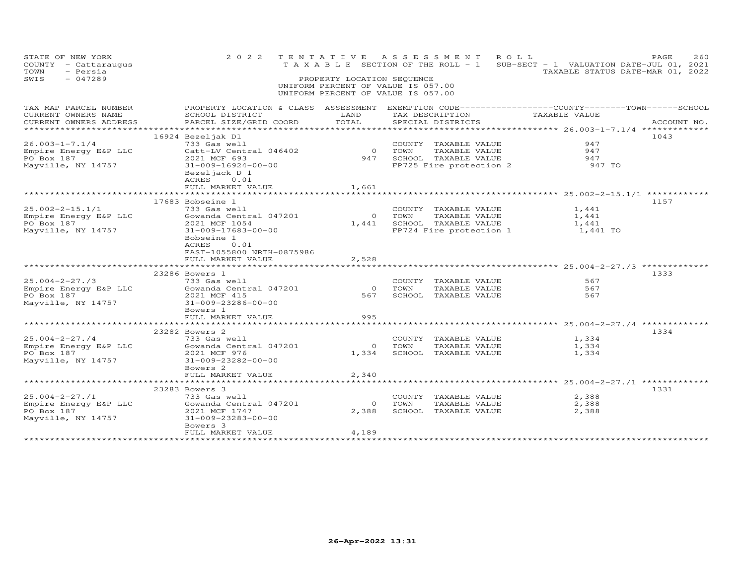| STATE OF NEW YORK<br>COUNTY - Cattaraugus<br>TOWN<br>- Persia<br>$-047289$<br>SWIS | 2 0 2 2                                                                                                                                                       | TENTATIVE<br>PROPERTY LOCATION SEQUENCE | A S S E S S M E N T<br>T A X A B L E SECTION OF THE ROLL - 1<br>UNIFORM PERCENT OF VALUE IS 057.00<br>UNIFORM PERCENT OF VALUE IS 057.00 | ROLL<br>SUB-SECT - 1 VALUATION DATE-JUL 01, 2021                              | PAGE<br>260<br>TAXABLE STATUS DATE-MAR 01, 2022 |
|------------------------------------------------------------------------------------|---------------------------------------------------------------------------------------------------------------------------------------------------------------|-----------------------------------------|------------------------------------------------------------------------------------------------------------------------------------------|-------------------------------------------------------------------------------|-------------------------------------------------|
| TAX MAP PARCEL NUMBER<br>CURRENT OWNERS NAME<br>CURRENT OWNERS ADDRESS             | PROPERTY LOCATION & CLASS ASSESSMENT<br>SCHOOL DISTRICT<br>PARCEL SIZE/GRID COORD                                                                             | LAND<br>TOTAL                           | EXEMPTION CODE------------------COUNTY-------TOWN-----SCHOOL<br>TAX DESCRIPTION<br>SPECIAL DISTRICTS                                     | TAXABLE VALUE                                                                 | ACCOUNT NO.                                     |
| $26.003 - 1 - 7.1/4$<br>Empire Energy E&P LLC<br>PO Box 187<br>Mayville, NY 14757  | 16924 Bezeljak D1<br>733 Gas well<br>Catt-LV Central 046402<br>2021 MCF 693<br>$31 - 009 - 16924 - 00 - 00$<br>Bezeljack D 1<br>ACRES 0.01                    | $\circ$<br>947                          | COUNTY TAXABLE VALUE<br>TOWN<br>TAXABLE VALUE<br>SCHOOL TAXABLE VALUE<br>FP725 Fire protection 2                                         | 947<br>947<br>947<br>947 TO                                                   | 1043                                            |
|                                                                                    | FULL MARKET VALUE<br>************************                                                                                                                 | 1,661<br>***********                    |                                                                                                                                          | ************************* 25.002-2-15.1/1 *************                       |                                                 |
| $25.002 - 2 - 15.1/1$<br>Empire Energy E&P LLC<br>PO Box 187<br>Mayville, NY 14757 | 17683 Bobseine 1<br>733 Gas well<br>Gowanda Central 047201<br>2021 MCF 1054<br>31-009-17683-00-00<br>Bobseine 1<br>ACRES<br>0.01<br>EAST-1055800 NRTH-0875986 | $\circ$<br>1,441                        | COUNTY TAXABLE VALUE<br>TOWN<br>TAXABLE VALUE<br>SCHOOL TAXABLE VALUE<br>FP724 Fire protection 1                                         | 1,441<br>1,441<br>1,441<br>1,441 TO                                           | 1157                                            |
|                                                                                    | FULL MARKET VALUE                                                                                                                                             | 2,528                                   |                                                                                                                                          |                                                                               |                                                 |
| $25.004 - 2 - 27.73$<br>Empire Energy E&P LLC<br>PO Box 187<br>Mayville, NY 14757  | 23286 Bowers 1<br>733 Gas well<br>Gowanda Central 047201<br>2021 MCF 415<br>31-009-23286-00-00<br>Bowers 1                                                    | $\Omega$<br>567                         | COUNTY TAXABLE VALUE<br>TAXABLE VALUE<br>TOWN<br>SCHOOL TAXABLE VALUE                                                                    | ******************** 25.004-2-27./3 *************<br>567<br>567<br>567        | 1333                                            |
|                                                                                    | FULL MARKET VALUE                                                                                                                                             | 995                                     |                                                                                                                                          |                                                                               |                                                 |
| $25.004 - 2 - 27.74$<br>Empire Energy E&P LLC<br>PO Box 187<br>Mayville, NY 14757  | 23282 Bowers 2<br>733 Gas well<br>Gowanda Central 047201<br>2021 MCF 976<br>31-009-23282-00-00<br>Bowers <sub>2</sub><br>FULL MARKET VALUE                    | $\circ$<br>1,334<br>2,340               | COUNTY TAXABLE VALUE<br>TAXABLE VALUE<br>TOWN<br>SCHOOL TAXABLE VALUE                                                                    | ********************* 25.004-2-27./4 *************<br>1,334<br>1,334<br>1,334 | 1334                                            |
|                                                                                    | **************                                                                                                                                                |                                         |                                                                                                                                          | ******** 25.004-2-27./1 *************                                         |                                                 |
| $25.004 - 2 - 27.71$<br>Empire Energy E&P LLC<br>PO Box 187<br>Mayville, NY 14757  | 23283 Bowers 3<br>733 Gas well<br>Gowanda Central 047201<br>2021 MCF 1747<br>31-009-23283-00-00<br>Bowers 3<br>FULL MARKET VALUE                              | $\circ$<br>2,388<br>4,189               | COUNTY<br>TAXABLE VALUE<br>TOWN<br>TAXABLE VALUE<br>SCHOOL TAXABLE VALUE                                                                 | 2,388<br>2,388<br>2,388                                                       | 1331                                            |
|                                                                                    |                                                                                                                                                               |                                         |                                                                                                                                          |                                                                               |                                                 |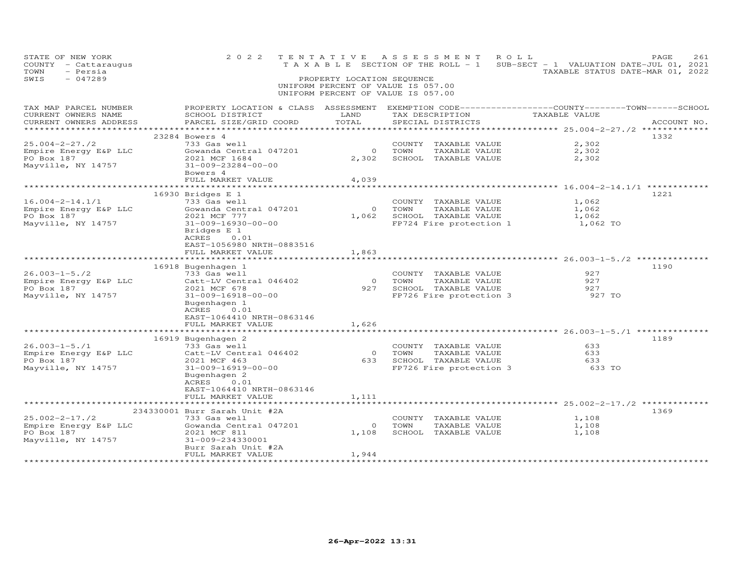| STATE OF NEW YORK<br>COUNTY - Cattaraugus<br>- Persia<br>TOWN<br>SWIS<br>$-047289$                                  |                                                                                                                                                                                       | PROPERTY LOCATION SEQUENCE | 2022 TENTATIVE ASSESSMENT ROLL<br>T A X A B L E SECTION OF THE ROLL - 1 SUB-SECT - 1 VALUATION DATE-JUL 01, 2021<br>UNIFORM PERCENT OF VALUE IS 057.00<br>UNIFORM PERCENT OF VALUE IS 057.00 | TAXABLE STATUS DATE-MAR 01, 2022                   | PAGE<br>261 |
|---------------------------------------------------------------------------------------------------------------------|---------------------------------------------------------------------------------------------------------------------------------------------------------------------------------------|----------------------------|----------------------------------------------------------------------------------------------------------------------------------------------------------------------------------------------|----------------------------------------------------|-------------|
| CURRENT OWNERS NAME<br>CURRENT OWNERS ADDRESS                                                                       | TAX MAP PARCEL NUMBER FROPERTY LOCATION & CLASS ASSESSMENT EXEMPTION CODE-----------------COUNTY--------TOWN------SCHOOL<br>SCHOOL DISTRICT LAND<br>PARCEL SIZE/GRID COORD            | TOTAL                      | TAX DESCRIPTION TAXABLE VALUE<br>SPECIAL DISTRICTS                                                                                                                                           | ********************* 25.004-2-27./2 ************* | ACCOUNT NO. |
| $25.004 - 2 - 27.72$<br>Empire Energy E&P LLC<br>PO Box 187<br>Mayville, NY 14757                                   | 23284 Bowers 4<br>733 Gas well<br>Gowanda Central 047201<br>2021 MCF 1684<br>31-009-23284-00-00<br>Bowers 4<br>FULL MARKET VALUE                                                      | $\overline{0}$<br>4,039    | COUNTY TAXABLE VALUE<br>TOWN<br>TAXABLE VALUE<br>2,302 SCHOOL TAXABLE VALUE                                                                                                                  | 2,302<br>2,302<br>2,302                            | 1332        |
|                                                                                                                     |                                                                                                                                                                                       |                            |                                                                                                                                                                                              |                                                    |             |
| $16.004 - 2 - 14.1/1$<br>16.004-2-14.1/1<br>Empire Energy E&P LLC<br>PO Box 187<br>PO Box 187<br>Mayville, NY 14757 | 16930 Bridges E 1<br>733 Gas well<br>Gowanda Central 047201<br>2021 MCF 777<br>31-009-16930-00-00<br>Bridges E 1<br>ACRES 0.01<br>EAST-1056980 NRTH-0883516                           |                            | COUNTY TAXABLE VALUE<br>0 TOWN<br>TAXABLE VALUE<br>1,062 SCHOOL TAXABLE VALUE<br>FP724 Fire protection 1 1,062 TO                                                                            | 1,062<br>1,062<br>1,062                            | 1221        |
|                                                                                                                     | FULL MARKET VALUE                                                                                                                                                                     | 1,863                      |                                                                                                                                                                                              |                                                    |             |
| $26.003 - 1 - 5.72$<br>Empire Energy E&P LLC<br>PO Box 187<br>Mayville, NY 14757                                    | 16918 Bugenhagen 1<br>733 Gas well<br>Catt-LV Central 046402<br>2021 MCF 678<br>$31 - 009 - 16918 - 00 - 00$<br>Bugenhagen 1<br>ACRES<br>0.01<br>EAST-1064410 NRTH-0863146            |                            | COUNTY TAXABLE VALUE<br>0 TOWN<br>TAXABLE VALUE<br>927 SCHOOL TAXABLE VALUE<br>FP726 Fire protection 3                                                                                       | 927<br>927<br>927<br>927 TO                        | 1190        |
|                                                                                                                     | FULL MARKET VALUE                                                                                                                                                                     | 1,626                      |                                                                                                                                                                                              |                                                    |             |
| $26.003 - 1 - 5.71$<br>Empire Energy E&P LLC<br>PO Box 187<br>Mayville, NY 14757                                    | 16919 Bugenhagen 2<br>733 Gas well<br>Catt-LV Central 046402<br>2021 MCF 463<br>31-009-16919-00-00<br>Bugenhagen 2<br>ACRES<br>0.01<br>EAST-1064410 NRTH-0863146<br>FULL MARKET VALUE | 1,111                      | COUNTY TAXABLE VALUE<br>0 TOWN TAXABLE VALUE<br>633 SCHOOL TAXABLE VALUE<br>FP726 Fire protection 3                                                                                          | 633<br>633<br>633<br>633 TO                        | 1189        |
|                                                                                                                     |                                                                                                                                                                                       |                            |                                                                                                                                                                                              |                                                    |             |
| $25.002 - 2 - 17$ ./2<br>Empire Energy E&P LLC<br>PO Box 187<br>Mayville, NY 14757                                  | 234330001 Burr Sarah Unit #2A<br>733 Gas well<br>Gowanda Central 047201<br>2021 MCF 811<br>2021 MCF 811<br>31-009-234330001<br>Burr Sarah Unit #2A                                    | $\overline{0}$             | COUNTY TAXABLE VALUE<br>TOWN<br>TAXABLE VALUE<br>1,108 SCHOOL TAXABLE VALUE                                                                                                                  | 1,108<br>1,108<br>1,108                            | 1369        |
|                                                                                                                     | FULL MARKET VALUE                                                                                                                                                                     | 1,944                      |                                                                                                                                                                                              |                                                    |             |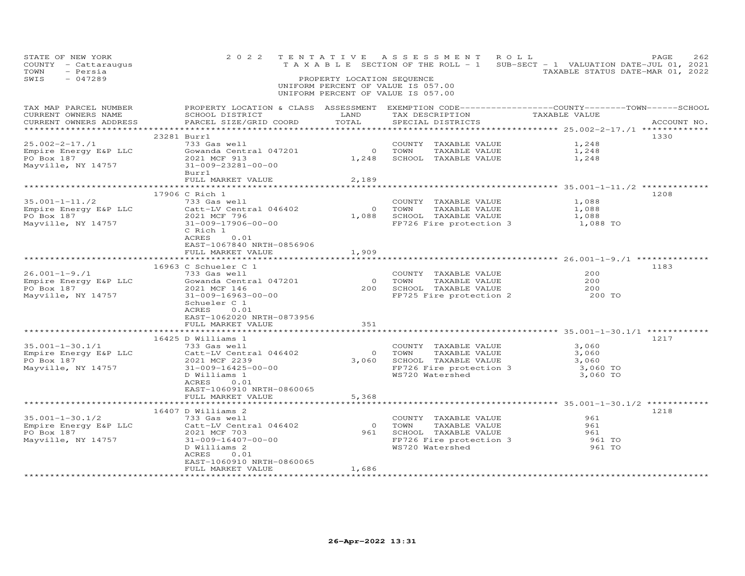| PROPERTY LOCATION & CLASS ASSESSMENT EXEMPTION CODE----------------COUNTY-------TOWN------SCHOOL<br>TAX MAP PARCEL NUMBER<br>TAX DESCRIPTION<br>TAXABLE VALUE<br>CURRENT OWNERS NAME<br>LAND<br>SCHOOL DISTRICT<br>CURRENT OWNERS ADDRESS<br>PARCEL SIZE/GRID COORD<br>TOTAL<br>SPECIAL DISTRICTS | ACCOUNT NO. |
|---------------------------------------------------------------------------------------------------------------------------------------------------------------------------------------------------------------------------------------------------------------------------------------------------|-------------|
| 23281 Burr1<br>1330                                                                                                                                                                                                                                                                               |             |
| 1,248<br>COUNTY TAXABLE VALUE                                                                                                                                                                                                                                                                     |             |
| $25.002 - 2 - 17. / 1$<br>Empire Energy E&P LLC (Sowanda Central 047201<br>0 TOWN<br>1,248<br>TAXABLE VALUE<br>2021 MCF 913<br>1,248 SCHOOL TAXABLE VALUE<br>1,248                                                                                                                                |             |
| PO Box 187<br>Mayville, NY 14757<br>31-009-23281-00-00<br>Burr1                                                                                                                                                                                                                                   |             |
| FULL MARKET VALUE<br>2,189                                                                                                                                                                                                                                                                        |             |
|                                                                                                                                                                                                                                                                                                   |             |
| 17906 C Rich 1<br>1208                                                                                                                                                                                                                                                                            |             |
| $35.001 - 1 - 11.72$<br>1,088<br>733 Gas well<br>Catt-LV Central 046402<br>2001 VCE FAI<br>COUNTY TAXABLE VALUE                                                                                                                                                                                   |             |
| 0 TOWN<br>1,088<br>Empire Energy E&P LLC<br>PO Box 187<br>TAXABLE VALUE<br>1,088 SCHOOL TAXABLE VALUE<br>1,088                                                                                                                                                                                    |             |
| 2021 MCF 796<br>31-009-17906-00-00<br>FP726 Fire protection 3 1,088 TO<br>Mayville, NY 14757                                                                                                                                                                                                      |             |
| C Rich 1<br>ACRES<br>0.01<br>EAST-1067840 NRTH-0856906                                                                                                                                                                                                                                            |             |
| 1,909<br>FULL MARKET VALUE                                                                                                                                                                                                                                                                        |             |
|                                                                                                                                                                                                                                                                                                   |             |
| 16963 C Schueler C 1<br>1183<br>$26.001 - 1 - 9.71$<br>200<br>733 Gas well                                                                                                                                                                                                                        |             |
| COUNTY TAXABLE VALUE<br>Empire Energy E&P LLC Gowanda Central 047201<br>0 TOWN<br>200                                                                                                                                                                                                             |             |
| 0 TOWN TAXABLE VALUE<br>200 SCHOOL TAXABLE VALUE<br>PO Box 187<br>2021 MCF 146<br>200                                                                                                                                                                                                             |             |
| FP725 Fire protection 2<br>Mayville, NY 14757<br>31-009-16963-00-00<br>200 TO                                                                                                                                                                                                                     |             |
| Schueler C 1                                                                                                                                                                                                                                                                                      |             |
| ACRES<br>0.01                                                                                                                                                                                                                                                                                     |             |
| EAST-1062020 NRTH-0873956                                                                                                                                                                                                                                                                         |             |
| 351<br>FULL MARKET VALUE                                                                                                                                                                                                                                                                          |             |
|                                                                                                                                                                                                                                                                                                   |             |
| 16425 D Williams 1<br>1217                                                                                                                                                                                                                                                                        |             |
| 3,060<br>733 Gas well<br>COUNTY TAXABLE VALUE<br>SS.001-1-30.1/1<br>Empire Energy E&P LLC<br>PO Box 187                                                                                                                                                                                           |             |
| Catt-LV Central 046402<br>$\overline{0}$<br>3,060                                                                                                                                                                                                                                                 |             |
| U TOWN TAXABLE VALUE<br>3,060 SCHOOL TAXABLE VALUE<br>2021 MCF 2239<br>3,060                                                                                                                                                                                                                      |             |
| 31-009-16425-00-00<br>FP726 Fire protection 3<br>Mayville, NY 14757<br>3,060 TO                                                                                                                                                                                                                   |             |
| WS720 Watershed<br>3,060 TO<br>D Williams 1                                                                                                                                                                                                                                                       |             |
| ACRES<br>0.01<br>EAST-1060910 NRTH-0860065                                                                                                                                                                                                                                                        |             |
| 5,368<br>FULL MARKET VALUE                                                                                                                                                                                                                                                                        |             |
| **************************                                                                                                                                                                                                                                                                        |             |
| 16407 D Williams 2<br>1218                                                                                                                                                                                                                                                                        |             |
| 35.001-1-30.1/2<br>733 Gas well<br>COUNTY TAXABLE VALUE<br>961                                                                                                                                                                                                                                    |             |
| Catt-LV Central 046402<br>2021 MCF 703<br>$\bigcirc$<br>TOWN<br>961<br>Empire Energy E&P LLC<br>PO Box 187<br>TAXABLE VALUE                                                                                                                                                                       |             |
| 961<br>SCHOOL TAXABLE VALUE<br>2021 MCF 703<br>961                                                                                                                                                                                                                                                |             |
| FP726 Fire protection 3<br>Mayville, NY 14757<br>31-009-16407-00-00<br>961 TO                                                                                                                                                                                                                     |             |
| WS720 Watershed<br>961 TO<br>D Williams 2                                                                                                                                                                                                                                                         |             |
| ACRES<br>0.01                                                                                                                                                                                                                                                                                     |             |
| EAST-1060910 NRTH-0860065                                                                                                                                                                                                                                                                         |             |
| FULL MARKET VALUE<br>1,686                                                                                                                                                                                                                                                                        |             |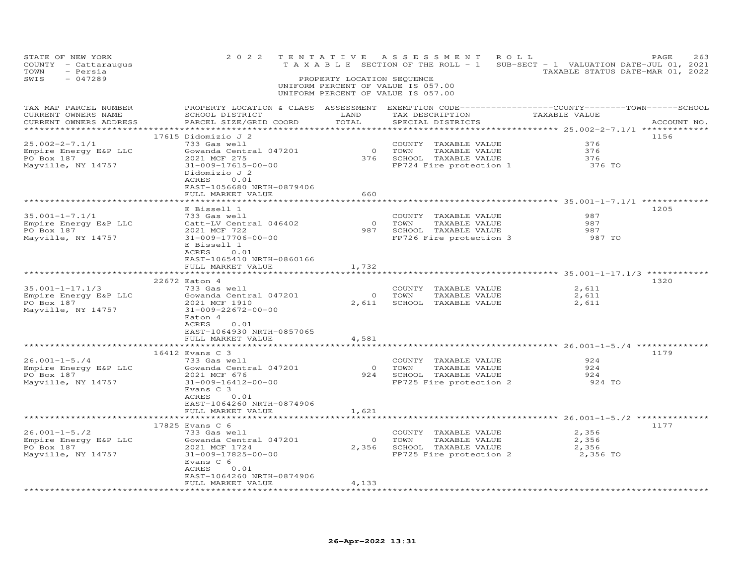| STATE OF NEW YORK<br>COUNTY - Cattaraugus<br>TOWN<br>- Persia<br>$-047289$<br>SWIS | 2 0 2 2                                                                                                                                                                                                   | PROPERTY LOCATION SEQUENCE              | TENTATIVE ASSESSMENT<br>ROLL<br>UNIFORM PERCENT OF VALUE IS 057.00<br>UNIFORM PERCENT OF VALUE IS 057.00 | PAGE<br>263<br>TAXABLE SECTION OF THE ROLL - 1 SUB-SECT - 1 VALUATION DATE-JUL 01, 2021<br>TAXABLE STATUS DATE-MAR 01, 2022 |
|------------------------------------------------------------------------------------|-----------------------------------------------------------------------------------------------------------------------------------------------------------------------------------------------------------|-----------------------------------------|----------------------------------------------------------------------------------------------------------|-----------------------------------------------------------------------------------------------------------------------------|
| TAX MAP PARCEL NUMBER<br>CURRENT OWNERS NAME<br>CURRENT OWNERS ADDRESS             | SCHOOL DISTRICT<br>PARCEL SIZE/GRID COORD                                                                                                                                                                 | LAND<br>TOTAL<br>***********            | TAX DESCRIPTION TAXABLE VALUE<br>SPECIAL DISTRICTS                                                       | PROPERTY LOCATION & CLASS ASSESSMENT EXEMPTION CODE-----------------COUNTY-------TOWN------SCHOOL<br>ACCOUNT NO.            |
| $25.002 - 2 - 7.1/1$<br>Empire Energy E&P LLC<br>PO Box 187<br>Mayville, NY 14757  | 17615 Didomizio J 2<br>733 Gas well<br>Gowanda Central 047201<br>2021 MCF 275<br>31-009-17615-00-00<br>Didomizio J 2<br>ACRES 0.01<br>EAST-1056680 NRTH-0879406<br>FULL MARKET VALUE                      | 0 TOWN<br>660                           | COUNTY TAXABLE VALUE<br>TAXABLE VALUE<br>376 SCHOOL TAXABLE VALUE<br>FP724 Fire protection 1             | 1156<br>376<br>376<br>376<br>376 TO                                                                                         |
| 35.001-1-7.1/1<br>Empire Energy E&P LLC<br>PO Box 187<br>Mayville, NY 14757        | E Bissell 1<br>733 Gas well<br>Catt-LV Central 046402<br>2021 MCF 722<br>31-009-17706-00-00<br>E Bissell 1<br>ACRES<br>0.01<br>EAST-1065410 NRTH-0860166<br>FULL MARKET VALUE                             | 1,732                                   | COUNTY TAXABLE VALUE<br>0 TOWN TAXABLE VALUE<br>987 SCHOOL TAXABLE VALUE<br>FP726 Fire protection 3      | 1205<br>987<br>987<br>987<br>987 TO                                                                                         |
| 35.001-1-17.1/3<br>Empire Energy E&P LLC<br>PO Box 187<br>Mayville, NY 14757       | 22672 Eaton 4<br>733 Gas well<br>Gowanda Central 047201<br>2021 MCF 1910<br>31-009-22672-00-00<br>Eaton 4<br>ACRES<br>0.01<br>EAST-1064930 NRTH-0857065<br>FULL MARKET VALUE                              | $\overline{O}$<br>2,611<br>4,581        | COUNTY TAXABLE VALUE<br>TOWN<br>TAXABLE VALUE<br>SCHOOL TAXABLE VALUE                                    | 1320<br>2,611<br>2,611<br>2,611                                                                                             |
| $26.001 - 1 - 5.74$<br>Empire Energy E&P LLC<br>PO Box 187<br>Mayville, NY 14757   | 16412 Evans C 3<br>733 Gas well<br>Gowanda Central 047201<br>2021 MCF 676<br>31-009-16412-00-00<br>Evans C 3<br>ACRES<br>0.01<br>EAST-1064260 NRTH-0874906<br>FULL MARKET VALUE                           | $\overline{O}$<br>1,621                 | COUNTY TAXABLE VALUE<br>TOWN<br>TAXABLE VALUE<br>924 SCHOOL TAXABLE VALUE<br>FP725 Fire protection 2     | 1179<br>924<br>924<br>924<br>924 TO                                                                                         |
| $26.001 - 1 - 5.72$<br>Empire Energy E&P LLC<br>PO Box 187<br>Mayville, NY 14757   | ************************<br>17825 Evans C 6<br>733 Gas well<br>Gowanda Central 047201<br>2021 MCF 1724<br>31-009-17825-00-00<br>Evans C 6<br>ACRES 0.01<br>EAST-1064260 NRTH-0874906<br>FULL MARKET VALUE | ************<br>$\overline{O}$<br>4,133 | COUNTY TAXABLE VALUE<br>TOWN<br>TAXABLE VALUE<br>2,356 SCHOOL TAXABLE VALUE<br>FP725 Fire protection 2   | 1177<br>2,356<br>2,356<br>2,356<br>2,356 TO                                                                                 |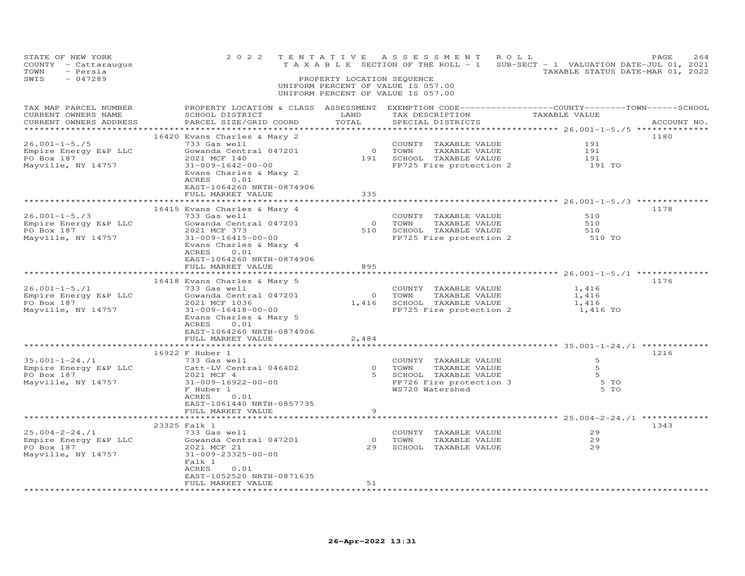| STATE OF NEW YORK<br>COUNTY - Cattaraugus<br>TOWN<br>- Persia<br>SWIS<br>$-047289$ | 2 0 2 2                                                                                                                                                                                                                                   | PROPERTY LOCATION SEQUENCE | TENTATIVE ASSESSMENT ROLL<br>T A X A B L E SECTION OF THE ROLL - 1 SUB-SECT - 1 VALUATION DATE-JUL 01, 2021<br>UNIFORM PERCENT OF VALUE IS 057.00<br>UNIFORM PERCENT OF VALUE IS 057.00 | TAXABLE STATUS DATE-MAR 01, 2022      | PAGE<br>264 |
|------------------------------------------------------------------------------------|-------------------------------------------------------------------------------------------------------------------------------------------------------------------------------------------------------------------------------------------|----------------------------|-----------------------------------------------------------------------------------------------------------------------------------------------------------------------------------------|---------------------------------------|-------------|
| TAX MAP PARCEL NUMBER<br>CURRENT OWNERS NAME<br>CURRENT OWNERS ADDRESS             | SCHOOL DISTRICT<br>PARCEL SIZE/GRID COORD                                                                                                                                                                                                 | LAND<br>TOTAL              | PROPERTY LOCATION & CLASS ASSESSMENT EXEMPTION CODE----------------COUNTY-------TOWN------SCHOOL<br>TAX DESCRIPTION TAXABLE VALUE<br>SPECIAL DISTRICTS                                  |                                       | ACCOUNT NO. |
| 26.001-1-5./5<br>Empire Energy E&P LLC<br>PO Box 187<br>Mayville, NY 14757         | 16420 Evans Charles & Mary 2<br>733 Gas well<br>Gowanda Central 047201<br>2021 MCF 140<br>31-009-1642-00-00<br>Evans Charles & Mary 2<br>ACRES<br>0.01<br>EAST-1064260 NRTH-0874906<br>FULL MARKET VALUE                                  | 335                        | COUNTY TAXABLE VALUE<br>0 TOWN TAXABLE VALUE<br>191 SCHOOL TAXABLE VALUE<br>FP725 Fire protection 2                                                                                     | 191<br>191<br>191<br>191 TO           | 1180        |
| $26.001 - 1 - 5.73$<br>Empire Energy E&P LLC<br>PO Box 187<br>Mayville, NY 14757   | 16415 Evans Charles & Mary 4<br>733 Gas well<br>Gowanda Central 047201<br>2021 MCF 373<br>31-009-16415-00-00<br>Evans Charles & Mary 4<br>ACRES<br>0.01<br>EAST-1064260 NRTH-0874906<br>FULL MARKET VALUE<br>**************************** | 895                        | COUNTY TAXABLE VALUE<br>0 TOWN TAXABLE VALUE<br>510 SCHOOL TAXABLE VALUE<br>FP725 Fire protection 2                                                                                     | 510<br>510<br>510<br>510 TO           | 1178        |
| $26.001 - 1 - 5.71$<br>Empire Energy E&P LLC<br>PO Box 187<br>Mayville, NY 14757   | 16418 Evans Charles & Mary 5<br>733 Gas well<br>Gowanda Central 047201<br>2021 MCF 1036<br>31-009-16418-00-00<br>Evans Charles & Mary 5<br>ACRES<br>0.01<br>EAST-1064260 NRTH-0874906<br>FULL MARKET VALUE                                | COUNTY<br>0 TOWN<br>2,484  | COUNTY TAXABLE VALUE<br>TAXABLE VALUE<br>1,416 SCHOOL TAXABLE VALUE<br>FP725 Fire protection 2 1,416 TO                                                                                 | 1,416<br>1,416<br>1,416               | 1176        |
| 35.001-1-24./1<br>Empire Energy E&P LLC<br>PO Box 187<br>Mayville, NY 14757        | *******************<br>16922 F Huber 1<br>733 Gas well<br>Catt-LV Central 046402<br>2021 MCF 4<br>31-009-16922-00-00<br>F Huber 1<br>ACRES<br>0.01<br>EAST-1061440 NRTH-0857735                                                           | **********<br>9            | ******************************* 35.001-1-24./1 ***********<br>COUNTY TAXABLE VALUE<br>0 TOWN TAXABLE VALUE<br>5 SCHOOL TAXABLE VALUE<br>FP726 Fire protection 3<br>WS720 Watershed      | 5<br>5<br>$5^{\circ}$<br>5 TO<br>5 TO | 1216        |
| 25.004-2-24./1<br>Empire Energy E&P LLC<br>PO Box 187<br>Mayville, NY 14757        | FULL MARKET VALUE<br>23325 Falk 1<br>733 Gas well<br>Gowanda Central 047201<br>2021 MCF 21<br>31-009-23325-00-00<br>Falk 1<br>ACRES<br>0.01<br>EAST-1052520 NRTH-0871635<br>FULL MARKET VALUE                                             | $\overline{O}$<br>51       | COUNTY TAXABLE VALUE<br>TOWN<br>TAXABLE VALUE<br>29 SCHOOL TAXABLE VALUE                                                                                                                | 29<br>29<br>29                        | 1343        |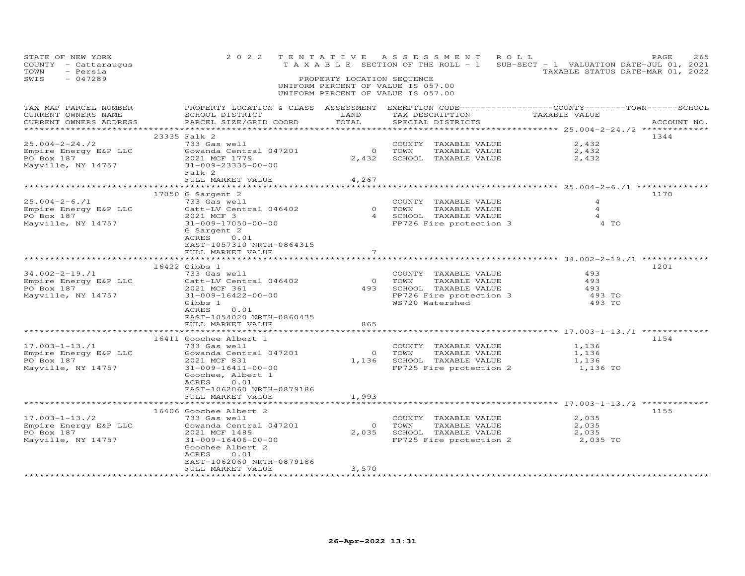| STATE OF NEW YORK<br>COUNTY - Cattaraugus<br>TOWN<br>- Persia<br>SWIS<br>$-047289$ | 2 0 2 2                                                                                                                                                                                                                | PROPERTY LOCATION SEQUENCE | TENTATIVE ASSESSMENT<br>UNIFORM PERCENT OF VALUE IS 057.00<br>UNIFORM PERCENT OF VALUE IS 057.00                          | ROLL<br>T A X A B L E SECTION OF THE ROLL - 1 SUB-SECT - 1 VALUATION DATE-JUL 01, 2021<br>TAXABLE STATUS DATE-MAR 01, 2022 | PAGE<br>265 |
|------------------------------------------------------------------------------------|------------------------------------------------------------------------------------------------------------------------------------------------------------------------------------------------------------------------|----------------------------|---------------------------------------------------------------------------------------------------------------------------|----------------------------------------------------------------------------------------------------------------------------|-------------|
| TAX MAP PARCEL NUMBER<br>CURRENT OWNERS NAME<br>CURRENT OWNERS ADDRESS             | PROPERTY LOCATION & CLASS ASSESSMENT EXEMPTION CODE----------------COUNTY-------TOWN------SCHOOL<br>SCHOOL DISTRICT<br>PARCEL SIZE/GRID COORD                                                                          | LAND<br>TOTAL              | TAX DESCRIPTION<br>SPECIAL DISTRICTS                                                                                      | TAXABLE VALUE                                                                                                              | ACCOUNT NO. |
|                                                                                    | 23335 Falk 2                                                                                                                                                                                                           |                            |                                                                                                                           |                                                                                                                            | 1344        |
| $25.004 - 2 - 24.72$<br>Empire Energy E&P LLC<br>PO Box 187<br>Mayville, NY 14757  | 733 Gas well<br>Gowanda Central 047201<br>2021 MCF 1779<br>31-009-23335-00-00<br>Falk 2                                                                                                                                | $\overline{O}$<br>2,432    | COUNTY TAXABLE VALUE<br>TOWN<br>TAXABLE VALUE<br>SCHOOL TAXABLE VALUE                                                     | 2,432<br>2,432<br>2,432                                                                                                    |             |
|                                                                                    | FULL MARKET VALUE                                                                                                                                                                                                      | 4,267                      |                                                                                                                           |                                                                                                                            |             |
|                                                                                    |                                                                                                                                                                                                                        |                            |                                                                                                                           |                                                                                                                            |             |
| $25.004 - 2 - 6.71$<br>Empire Energy E&P LLC<br>PO Box 187<br>Mayville, NY 14757   | 17050 G Sargent 2<br>733 Gas well<br>Catt-LV Central 046402<br>2021 MCF 3<br>31-009-17050-00-00<br>G Sargent 2<br>ACRES 0.01<br>EAST-1057310 NRTH-0864315                                                              |                            | COUNTY TAXABLE VALUE<br>0 TOWN TAXABLE VALUE<br>4 SCHOOL TAXABLE VALUE                                                    | $\overline{4}$<br>4<br>$\overline{4}$<br>FP726 Fire protection 3 4 TO                                                      | 1170        |
|                                                                                    | FULL MARKET VALUE<br>***********************                                                                                                                                                                           | $7\overline{ }$            |                                                                                                                           |                                                                                                                            |             |
|                                                                                    |                                                                                                                                                                                                                        |                            | *******************************                                                                                           | **************** 34.002-2-19./1 *********                                                                                  |             |
| 34.002-2-19./1<br>Empire Energy E&P LLC<br>PO Box 187<br>Mayville, NY 14757        | 16422 Gibbs 1<br>733 Gas well<br>Catt-LV Central 046402<br>2021 MCF 361<br>31-009-16422-00-00<br>Gibbs 1<br>0.01<br>ACRES<br>EAST-1054020 NRTH-0860435<br>FULL MARKET VALUE                                            | 865                        | COUNTY TAXABLE VALUE<br>0 TOWN<br>TAXABLE VALUE<br>493 SCHOOL TAXABLE VALUE<br>FP726 Fire protection 3<br>WS720 Watershed | 493<br>493<br>493<br>493 TO<br>493 TO                                                                                      | 1201        |
|                                                                                    | ************************                                                                                                                                                                                               | * * * * * * * * *          |                                                                                                                           | ***************** 17.003-1-13./1 ***********                                                                               |             |
| $17.003 - 1 - 13./1$<br>Empire Energy E&P LLC<br>PO Box 187<br>Mayville, NY 14757  | 16411 Goochee Albert 1<br>733 Gas well<br>Gowanda Central 047201<br>2021 MCF 831<br>31-009-16411-00-00<br>Goochee, Albert 1<br>ACRES<br>0.01<br>EAST-1062060 NRTH-0879186<br>FULL MARKET VALUE                         | $\overline{0}$<br>1,993    | COUNTY TAXABLE VALUE<br>TOWN<br>TAXABLE VALUE<br>1,136 SCHOOL TAXABLE VALUE<br>FP725 Fire protection 2                    | 1,136<br>1,136<br>1,136<br>1,136 TO                                                                                        | 1154        |
|                                                                                    |                                                                                                                                                                                                                        |                            |                                                                                                                           |                                                                                                                            |             |
| $17.003 - 1 - 13./2$<br>Empire Energy E&P LLC<br>PO Box 187<br>Mayville, NY 14757  | 16406 Goochee Albert 2<br>733 Gas well<br>Gowanda Central 047201<br>2021 MCF 1489<br>31-009-16406-00-00<br>Goochee Albert 2<br>ACRES<br>0.01<br>EAST-1062060 NRTH-0879186<br>FULL MARKET VALUE<br>******************** | 3,570                      | COUNTY TAXABLE VALUE<br>0 TOWN<br>TAXABLE VALUE<br>2,035 SCHOOL TAXABLE VALUE<br>FP725 Fire protection 2                  | 2,035<br>2,035<br>2,035<br>2,035 TO                                                                                        | 1155        |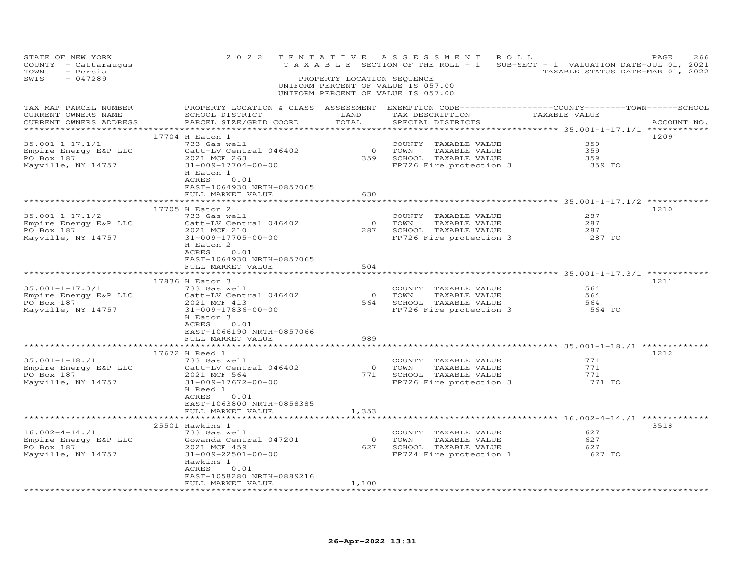| STATE OF NEW YORK<br>COUNTY - Cattaraugus<br>- Persia<br>TOWN<br>SWIS<br>$-047289$ | 2 0 2 2<br>TENTATIVE                                                                                                                                                                                                                         | PROPERTY LOCATION SEQUENCE                                                | ASSESSMENT ROLL<br>T A X A B L E SECTION OF THE ROLL - 1 SUB-SECT - 1 VALUATION DATE-JUL 01, 2021<br>UNIFORM PERCENT OF VALUE IS 057.00<br>UNIFORM PERCENT OF VALUE IS 057.00 | TAXABLE STATUS DATE-MAR 01, 2022                                        | 266<br>PAGE |
|------------------------------------------------------------------------------------|----------------------------------------------------------------------------------------------------------------------------------------------------------------------------------------------------------------------------------------------|---------------------------------------------------------------------------|-------------------------------------------------------------------------------------------------------------------------------------------------------------------------------|-------------------------------------------------------------------------|-------------|
| TAX MAP PARCEL NUMBER<br>CURRENT OWNERS NAME<br>CURRENT OWNERS ADDRESS             | SCHOOL DISTRICT<br>PARCEL SIZE/GRID COORD                                                                                                                                                                                                    | LAND<br>TOTAL<br>*********                                                | PROPERTY LOCATION & CLASS ASSESSMENT EXEMPTION CODE----------------COUNTY-------TOWN------SCHOOL<br>TAX DESCRIPTION<br>SPECIAL DISTRICTS                                      | TAXABLE VALUE<br>************ 35.001-1-17.1/1 *************             | ACCOUNT NO. |
| 35.001-1-17.1/1<br>Empire Energy E&P LLC<br>PO Box 187<br>Mayville, NY 14757       | 17704 H Eaton 1<br>733 Gas well<br>Catt-LV Central 046402<br>2021 MCF 263<br>31-009-17704-00-00<br>H Eaton 1<br>ACRES<br>0.01<br>EAST-1064930 NRTH-0857065<br>FULL MARKET VALUE                                                              | 630                                                                       | COUNTY TAXABLE VALUE<br>0 TOWN<br>TAXABLE VALUE<br>359 SCHOOL TAXABLE VALUE<br>FP726 Fire protection 3 359 TO                                                                 | 359<br>359<br>359                                                       | 1209        |
| $35.001 - 1 - 17.1/2$<br>Empire Energy E&P LLC<br>PO Box 187<br>Mayville, NY 14757 | *****************************<br>17705 H Eaton 2<br>733 Gas well<br>Catt-LV Central 046402<br>2021 MCF 210<br>31-009-17705-00-00<br>H Eaton 2<br>0.01<br>ACRES<br>EAST-1064930 NRTH-0857065<br>FULL MARKET VALUE<br>************************ | * * * * * * * * * *<br>$\begin{array}{c}0\\28\text{ }7\end{array}$<br>504 | ********************************* 35.001-1-17.1/2 **********<br>COUNTY TAXABLE VALUE<br>TOWN<br>TAXABLE VALUE<br>287 SCHOOL TAXABLE VALUE<br>FP726 Fire protection 3          | 287<br>287<br>287<br>287 TO                                             | 1210        |
| $35.001 - 1 - 17.3/1$<br>Empire Energy E&P LLC<br>PO Box 187<br>Mayville, NY 14757 | 17836 H Eaton 3<br>733 Gas well<br>Catt-LV Central 046402<br>2021 MCF 413<br>31-009-17836-00-00<br>H Eaton 3<br>ACRES<br>0.01<br>EAST-1066190 NRTH-0857066<br>FULL MARKET VALUE                                                              | 989                                                                       | COUNTY TAXABLE VALUE<br>0 TOWN TAXABLE VALUE<br>564 SCHOOL TAXABLE VALUE<br>TAXABLE VALUE<br>FP726 Fire protection 3                                                          | 564<br>564<br>564<br>564 TO                                             | 1211        |
| $35.001 - 1 - 18./1$<br>Empire Energy E&P LLC<br>PO Box 187<br>Mayville, NY 14757  | 17672 H Reed 1<br>733 Gas well<br>Catt-LV Central 046402<br>2021 MCF 564<br>31-009-17672-00-00<br>H Reed 1<br>ACRES<br>0.01<br>EAST-1063800 NRTH-0858385<br>FULL MARKET VALUE                                                                | 1,353                                                                     | COUNTY TAXABLE VALUE<br>0 TOWN<br>TAXABLE VALUE<br>771 SCHOOL TAXABLE VALUE<br>FP726 Fire protection 3                                                                        | 771<br>771<br>771<br>771 TO                                             | 1212        |
| $16.002 - 4 - 14.71$<br>Empire Energy E&P LLC<br>PO Box 187<br>Mayville, NY 14757  | * * * * * * * * * * * * * * * * *<br>25501 Hawkins 1<br>733 Gas well<br>Gowanda Central 047201<br>2021 MCF 459<br>31-009-22501-00-00<br>Hawkins 1<br>ACRES<br>0.01<br>EAST-1058280 NRTH-0889216<br>FULL MARKET VALUE<br>*******************  | $\overline{0}$<br>1,100                                                   | COUNTY TAXABLE VALUE<br>TOWN<br>TAXABLE VALUE<br>627 SCHOOL TAXABLE VALUE<br>FP724 Fire protection 1                                                                          | ************** 16.002-4-14./1 *********<br>62.7<br>627<br>627<br>627 TO | 3518        |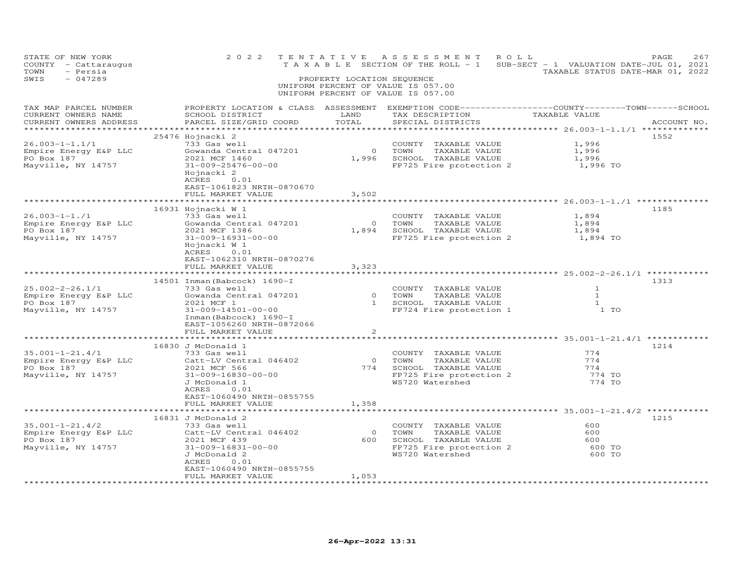| STATE OF NEW YORK<br>COUNTY - Cattaraugus<br>TOWN<br>- Persia<br>$-047289$<br>SWIS                                                                                                                                                   | 2 0 2 2                                                                                                                                                                                                                                                                 |                                                                | TENTATIVE ASSESSMENT ROLL<br>T A X A B L E SECTION OF THE ROLL - 1 SUB-SECT - 1 VALUATION DATE-JUL 01, 2021<br>PROPERTY LOCATION SEQUENCE<br>UNIFORM PERCENT OF VALUE IS 057.00<br>UNIFORM PERCENT OF VALUE IS 057.00 | TAXABLE STATUS DATE-MAR 01, 2022                                                      | PAGE<br>267 |
|--------------------------------------------------------------------------------------------------------------------------------------------------------------------------------------------------------------------------------------|-------------------------------------------------------------------------------------------------------------------------------------------------------------------------------------------------------------------------------------------------------------------------|----------------------------------------------------------------|-----------------------------------------------------------------------------------------------------------------------------------------------------------------------------------------------------------------------|---------------------------------------------------------------------------------------|-------------|
| TAX MAP PARCEL NUMBER<br>CURRENT OWNERS NAME<br>CURRENT OWNERS ADDRESS                                                                                                                                                               | PROPERTY LOCATION & CLASS ASSESSMENT EXEMPTION CODE----------------COUNTY-------TOWN------SCHOOL<br><b>EXAMPLE SERVICE SERVICE SERVICE SERVICE SERVICE SERVICE SERVICE SERVICE SERVICE SERVICE SERVICE SERVICE SERVICE</b><br>SCHOOL DISTRICT<br>PARCEL SIZE/GRID COORD | TOTAL                                                          | TAX DESCRIPTION TAXABLE VALUE<br>SPECIAL DISTRICTS                                                                                                                                                                    |                                                                                       | ACCOUNT NO. |
| 26.003-1-1.1/1<br>Empire Energy E&P LLC<br>PO Box 187<br>Mayville, NY 14757                                                                                                                                                          | 25476 Hojnacki 2<br>733 Gas well<br>Gowanda Central 047201<br>2021 MCF 1460<br>31-009-25476-00-00<br>Hojnacki 2<br>ACRES 0.01<br>EAST-1061823 NRTH-0870670<br>FULL MARKET VALUE                                                                                         | 0 TOWN<br>3,502                                                | COUNTY TAXABLE VALUE<br>TAXABLE VALUE<br>1,996 SCHOOL TAXABLE VALUE<br>FP725 Fire protection 2                                                                                                                        | 1,996<br>1,996<br>1,996<br>1,996 TO                                                   | 1552        |
| Empire Energy E&P LLC<br>Empire Energy E&P LLC<br>PO Box 187<br>Mayville NV 14757<br>Mayville, NY 14757                                                                                                                              | $16931$ Hojnacki W 1<br>Gowanda Central 047201<br>2021 MCF 1386<br>31-009-16931-00-00<br>Hojnacki W 1<br>ACRES 0.01<br>EAST-1062310 NRTH-0870276<br>FULL MARKET VALUE                                                                                                   | 3,323                                                          | COUNTY TAXABLE VALUE<br>0 TOWN<br>TAXABLE VALUE<br>1,894 SCHOOL TAXABLE VALUE 1,894 1,894<br>FP725 Fire protection 2 1,894 TO                                                                                         | 1,894<br>1,894                                                                        | 1185        |
| 25.002-2-26.1/1<br>Empire Energy E&P LLC<br>PO Box 187<br>Mayville, NY 14757                                                                                                                                                         | 14501 Inman (Babcock) 1690-I<br>733 Gas well<br>Gowanda Central 047201<br>2021 MCF 1<br>31-009-14501-00-00<br>Inman (Babcock) 1690-I<br>EAST-1056260 NRTH-0872066<br>FULL MARKET VALUE                                                                                  | 2                                                              | COUNTY TAXABLE VALUE<br>0 TOWN<br>0     TOWN       TAXABLE  VALUE<br>1     SCHOOL    TAXABLE  VALUE<br>FP724 Fire protection 1                                                                                        | $\mathbf{1}$<br>$\mathbf{1}$<br>$\mathbf{1}$<br>1 <sub>T</sub>                        | 1313        |
| 35.001-1-21.4/1<br>35.001-1-21.4/1 733 Gas well<br>Empire Energy E&P LLC $\begin{array}{ccc} & 733 & \text{Gas well} \\ \text{Empire Energy E&P LLC} & & \text{Cat} & \text{MSE} \\ \end{array}$<br>PO Box 187<br>Mayville, NY 14757 | 16830 J McDonald 1<br>733 Gas well<br>2021 MCF 566<br>31-009-16830-00-00<br>J McDonald 1<br>ACRES<br>0.01<br>EAST-1060490 NRTH-0855755<br>FULL MARKET VALUE                                                                                                             | 1,358                                                          | COUNTY TAXABLE VALUE<br>TOWN<br>TAXABLE VALUE<br>774 SCHOOL TAXABLE VALUE<br>FP725 Fire protection 2<br>WS720 Watershed                                                                                               | 774<br>774<br>774<br>774 TO<br>774 TO                                                 | 1214        |
| 35.001-1-21.4/2<br>Empire Energy E&P LLC<br>PO Box 187<br>Mayville, NY 14757                                                                                                                                                         | *********************<br>16831 J McDonald 2<br>733 Gas well<br>Catt-LV Central 046402<br>2021 MCF 439<br>31-009-16831-00-00<br>J McDonald 2<br>ACRES<br>0.01<br>EAST-1060490 NRTH-0855755<br>FULL MARKET VALUE                                                          | * * * * * * *<br>$\overline{O}$<br>1,053<br>****************** | COUNTY TAXABLE VALUE<br>0 TOWN TAXABLE VALUE<br>600 SCHOOL TAXABLE VALUE<br>FP725 Fire protection 2<br>WS720 Watershed                                                                                                | ********************* 35.001-1-21.4/2 ******<br>600<br>600<br>600<br>600 TO<br>600 TO | 1215        |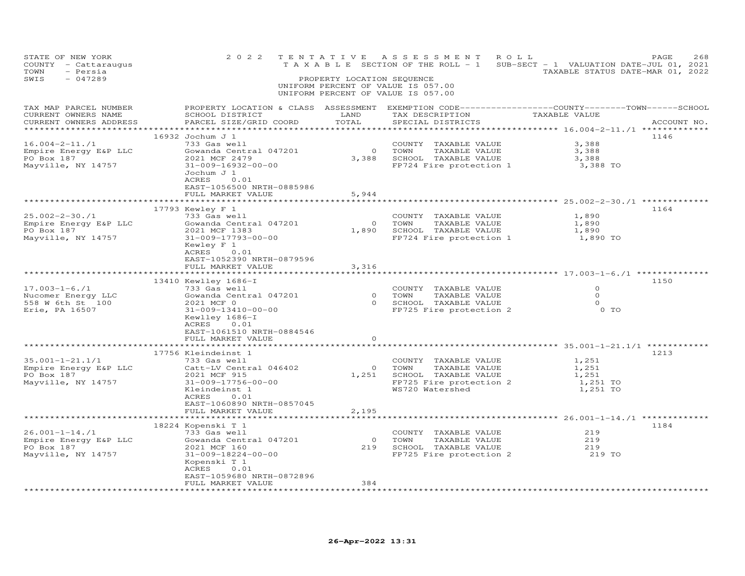| STATE OF NEW YORK<br>COUNTY - Cattaraugus<br>TOWN<br>- Persia<br>$-047289$<br>SWIS | 2 0 2 2                                                                                                                                                                                                                                                  | PROPERTY LOCATION SEQUENCE | TENTATIVE ASSESSMENT<br>UNIFORM PERCENT OF VALUE IS 057.00<br>UNIFORM PERCENT OF VALUE IS 057.00                    | ROLL<br>TAXABLE SECTION OF THE ROLL - 1 SUB-SECT - 1 VALUATION DATE-JUL 01, 2021<br>TAXABLE STATUS DATE-MAR 01, 2022 | PAGE<br>268 |
|------------------------------------------------------------------------------------|----------------------------------------------------------------------------------------------------------------------------------------------------------------------------------------------------------------------------------------------------------|----------------------------|---------------------------------------------------------------------------------------------------------------------|----------------------------------------------------------------------------------------------------------------------|-------------|
| TAX MAP PARCEL NUMBER<br>CURRENT OWNERS NAME<br>CURRENT OWNERS ADDRESS             | SCHOOL DISTRICT<br>PARCEL SIZE/GRID COORD                                                                                                                                                                                                                | LAND<br>TOTAL              | TAX DESCRIPTION TAXABLE VALUE<br>SPECIAL DISTRICTS                                                                  | PROPERTY LOCATION & CLASS ASSESSMENT EXEMPTION CODE----------------COUNTY-------TOWN-----SCHOOL                      | ACCOUNT NO. |
| $16.004 - 2 - 11$ ./1<br>Empire Energy E&P LLC<br>PO Box 187<br>Mayville, NY 14757 | 16932 Jochum J 1<br>733 Gas well<br>Gowanda Central 047201<br>2021 MCF 2479<br>31-009-16932-00-00<br>Jochum J 1<br>ACRES<br>0.01<br>EAST-1056500 NRTH-0885986<br>FULL MARKET VALUE                                                                       | 5,944                      | COUNTY TAXABLE VALUE<br>0 TOWN<br>TAXABLE VALUE<br>3,388 SCHOOL TAXABLE VALUE<br>FP724 Fire protection 1            | 3,388<br>3,388<br>3,388<br>3,388 TO                                                                                  | 1146        |
|                                                                                    |                                                                                                                                                                                                                                                          |                            |                                                                                                                     |                                                                                                                      |             |
| 25.002-2-30./1<br>Empire Energy E&P LLC<br>PO Box 187<br>Mayville, NY 14757        | 17793 Kewley F 1<br>733 Gas well<br>Gowanda Central 047201<br>2021 MCF 1383<br>31-009-17793-00-00<br>Kewley F 1<br>ACRES 0.01                                                                                                                            | $\overline{O}$             | COUNTY TAXABLE VALUE<br>TOWN<br>TAXABLE VALUE<br>1,890 SCHOOL TAXABLE VALUE<br>FP724 Fire protection 1              | 1,890<br>1,890<br>1,890<br>1,890 TO                                                                                  | 1164        |
|                                                                                    | EAST-1052390 NRTH-0879596<br>FULL MARKET VALUE                                                                                                                                                                                                           | 3,316                      |                                                                                                                     |                                                                                                                      |             |
| $17.003 - 1 - 6.71$<br>Nucomer Energy LLC<br>558 W 6th St 100<br>Erie, PA 16507    | 13410 Kewlley 1686-I<br>733 Gas well<br>733 Gas well<br>Gowanda Central 047201 (a) 0 TOWN TAXABLE VALUE<br>2021 MCF 0 (a) 0 SCHOOL TAXABLE VALUE<br>31-009-13410-00-00<br>Kewlley 1686-I<br>ACRES 0.01<br>EAST-1061510 NRTH-0884546<br>FULL MARKET VALUE | $\Omega$                   | COUNTY TAXABLE VALUE<br>FP725 Fire protection 2                                                                     | $\circ$<br>$\Omega$<br>$\overline{O}$<br>$0$ TO                                                                      | 1150        |
|                                                                                    |                                                                                                                                                                                                                                                          |                            |                                                                                                                     |                                                                                                                      |             |
| 35.001-1-21.1/1<br>Empire Energy E&P LLC<br>PO Box 187<br>Mayville, NY 14757       | 17756 Kleindeinst 1<br>733 Gas well<br>Catt-LV Central 046402<br>2021 MCF 915<br>31-009-17756-00-00<br>Kleindeinst 1<br>ACRES<br>0.01<br>EAST-1060890 NRTH-0857045                                                                                       | $\overline{0}$<br>1,251    | COUNTY TAXABLE VALUE<br>TOWN<br>TAXABLE VALUE<br>SCHOOL TAXABLE VALUE<br>FP725 Fire protection 2<br>WS720 Watershed | 1,251<br>1,251<br>1,251<br>1,251 TO<br>1,251 TO                                                                      | 1213        |
|                                                                                    | FULL MARKET VALUE<br>**********************                                                                                                                                                                                                              | 2,195<br>******            |                                                                                                                     | ************ 26.001-1-14./1 *******                                                                                  |             |
| 26.001-1-14./1<br>Empire Energy E&P LLC<br>PO Box 187<br>Mayville, NY 14757        | 18224 Kopenski T 1<br>733 Gas well<br>Gowanda Central 047201<br>2021 MCF 160<br>31-009-18224-00-00<br>Kopenski T 1<br>ACRES 0.01<br>EAST-1059680 NRTH-0872896<br>FULL MARKET VALUE<br>*******************                                                | $\overline{O}$<br>384      | COUNTY TAXABLE VALUE<br>TOWN<br>TAXABLE VALUE<br>219 SCHOOL TAXABLE VALUE                                           | 219<br>219<br>219<br>FP725 Fire protection 2 219 TO                                                                  | 1184        |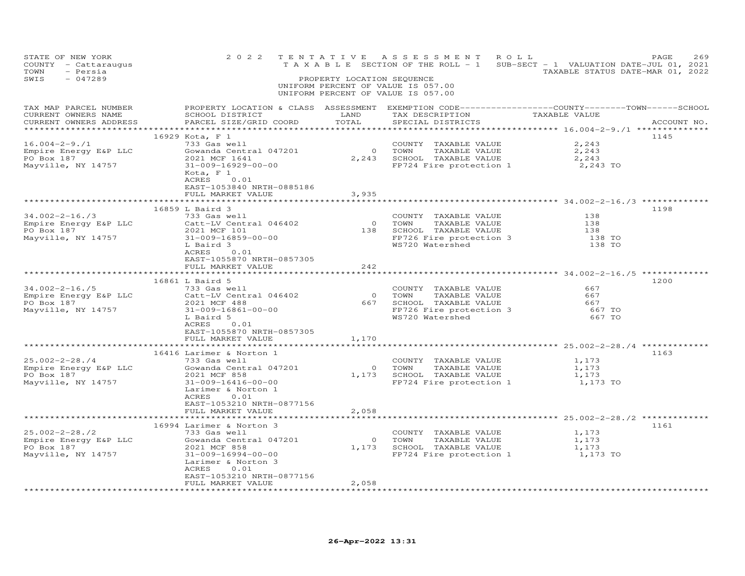| STATE OF NEW YORK<br>COUNTY - Cattaraugus<br>TOWN<br>- Persia<br>SWIS<br>$-047289$ | 2 0 2 2                                                                                                                                                                                                                       | T E N T A T I V E<br>PROPERTY LOCATION SEQUENCE | ASSESSMENT ROLL<br>T A X A B L E SECTION OF THE ROLL - 1 SUB-SECT - 1 VALUATION DATE-JUL 01, 2021<br>UNIFORM PERCENT OF VALUE IS 057.00<br>UNIFORM PERCENT OF VALUE IS 057.00 | TAXABLE STATUS DATE-MAR 01, 2022      | 269<br>PAGE |
|------------------------------------------------------------------------------------|-------------------------------------------------------------------------------------------------------------------------------------------------------------------------------------------------------------------------------|-------------------------------------------------|-------------------------------------------------------------------------------------------------------------------------------------------------------------------------------|---------------------------------------|-------------|
| TAX MAP PARCEL NUMBER<br>CURRENT OWNERS NAME<br>CURRENT OWNERS ADDRESS             | SCHOOL DISTRICT<br>PARCEL SIZE/GRID COORD                                                                                                                                                                                     | LAND<br>TOTAL<br>***********                    | PROPERTY LOCATION & CLASS ASSESSMENT EXEMPTION CODE-----------------COUNTY-------TOWN------SCHOOL<br>TAX DESCRIPTION TAXABLE VALUE<br>SPECIAL DISTRICTS                       |                                       | ACCOUNT NO. |
| $16.004 - 2 - 9.71$<br>Empire Energy E&P LLC<br>PO Box 187<br>Mayville, NY 14757   | 16929 Kota, F 1<br>733 Gas well<br>Gowanda Central 047201<br>2021 MCF 1641<br>31-009-16929-00-00<br>Kota, F 1<br>ACRES 0.01<br>EAST-1053840 NRTH-0885186                                                                      |                                                 | COUNTY TAXABLE VALUE<br>0 TOWN<br>TAXABLE VALUE<br>2,243 SCHOOL TAXABLE VALUE<br>FP724 Fire protection 1                                                                      | 2,243<br>2,243<br>2,243<br>2,243 TO   | 1145        |
|                                                                                    | FULL MARKET VALUE                                                                                                                                                                                                             | 3,935                                           |                                                                                                                                                                               |                                       |             |
| $34.002 - 2 - 16.73$<br>Empire Energy E&P LLC<br>PO Box 187<br>Mayville, NY 14757  | 16859 L Baird 3<br>733 Gas well<br>Catt-LV Central 046402<br>2021 MCF 101<br>31-009-16859-00-00<br>L Baird 3<br>ACRES<br>0.01                                                                                                 |                                                 | COUNTY TAXABLE VALUE<br>0 TOWN TAXABLE VALUE<br>138 SCHOOL TAXABLE VALUE<br>FP726 Fire protection 3<br>WS720 Watershed                                                        | 138<br>138<br>138<br>138 TO<br>138 TO | 1198        |
|                                                                                    | EAST-1055870 NRTH-0857305<br>FULL MARKET VALUE                                                                                                                                                                                | 242                                             |                                                                                                                                                                               |                                       |             |
| $34.002 - 2 - 16.75$<br>Empire Energy E&P LLC<br>PO Box 187<br>Mayville, NY 14757  | 16861 L Baird 5<br>733 Gas well<br>Catt-LV Central 046402<br>2021 MCF 488<br>31-009-16861-00-00<br>L Baird 5<br>ACRES<br>0.01<br>EAST-1055870 NRTH-0857305<br>FULL MARKET VALUE                                               | $\overline{0}$<br>667<br>1,170                  | COUNTY TAXABLE VALUE<br>TOWN<br>TAXABLE VALUE<br>SCHOOL TAXABLE VALUE<br>FP726 Fire protection 3<br>WS720 Watershed                                                           | 667<br>667<br>667<br>667 TO<br>667 TO | 1200        |
|                                                                                    | 16416 Larimer & Norton 1                                                                                                                                                                                                      |                                                 |                                                                                                                                                                               |                                       | 1163        |
| $25.002 - 2 - 28.74$<br>Empire Energy E&P LLC<br>PO Box 187<br>Mayville, NY 14757  | 733 Gas well<br>Gowanda Central 047201<br>2021 MCF 858<br>31-009-16416-00-00<br>Larimer & Norton 1<br>ACRES<br>0.01<br>EAST-1053210 NRTH-0877156                                                                              |                                                 | COUNTY TAXABLE VALUE<br>0 TOWN<br>TAXABLE VALUE<br>1,173 SCHOOL TAXABLE VALUE<br>FP724 Fire protection 1 1,173 TO                                                             | 1,173<br>1,173<br>1,173               |             |
|                                                                                    | FULL MARKET VALUE<br>************************                                                                                                                                                                                 | 2,058<br>*******                                |                                                                                                                                                                               |                                       |             |
| 25.002-2-28./2<br>Empire Energy E&P LLC<br>PO Box 187<br>Mayville, NY 14757        | 16994 Larimer & Norton 3<br>733 Gas well<br>Gowanda Central 047201<br>2021 MCF 858<br>31-009-16994-00-00<br>Larimer & Norton 3<br>ACRES<br>0.01<br>EAST-1053210 NRTH-0877156<br>FULL MARKET VALUE<br>************************ | $\overline{0}$<br>2,058                         | COUNTY TAXABLE VALUE<br>TOWN<br>TAXABLE VALUE<br>1,173 SCHOOL TAXABLE VALUE<br>FP724 Fire protection 1                                                                        | 1,173<br>1,173<br>1,173<br>1,173 TO   | 1161        |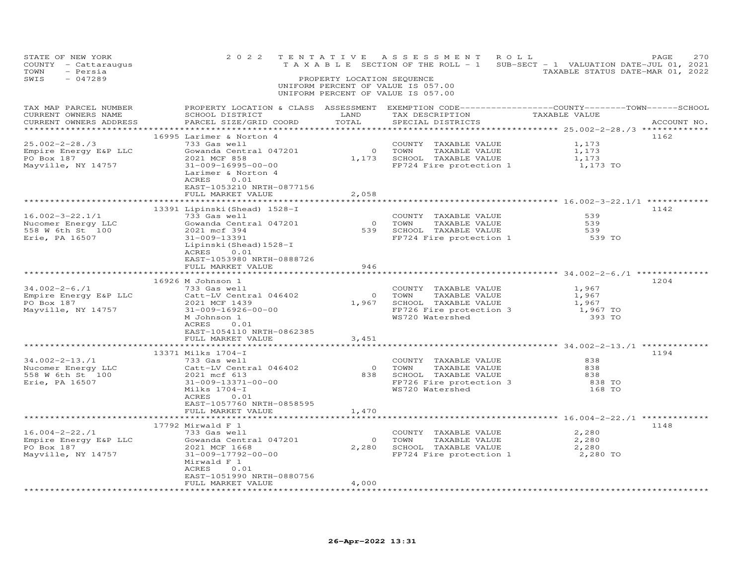| STATE OF NEW YORK<br>COUNTY - Cattaraugus<br>TOWN<br>- Persia<br>SWIS<br>$-047289$                  | 2 0 2 2                                                                                                                                                                                                       | TENTATIVE<br>PROPERTY LOCATION SEQUENCE | A S S E S S M E N T<br>UNIFORM PERCENT OF VALUE IS 057.00<br>UNIFORM PERCENT OF VALUE IS 057.00                     | ROLL<br>T A X A B L E SECTION OF THE ROLL - 1 SUB-SECT - 1 VALUATION DATE-JUL 01, 2021<br>TAXABLE STATUS DATE-MAR 01, 2022 | 270<br>PAGE |
|-----------------------------------------------------------------------------------------------------|---------------------------------------------------------------------------------------------------------------------------------------------------------------------------------------------------------------|-----------------------------------------|---------------------------------------------------------------------------------------------------------------------|----------------------------------------------------------------------------------------------------------------------------|-------------|
| TAX MAP PARCEL NUMBER<br>CURRENT OWNERS NAME<br>CURRENT OWNERS ADDRESS<br>************************* | SCHOOL DISTRICT<br>PARCEL SIZE/GRID COORD                                                                                                                                                                     | LAND<br>TOTAL                           | TAX DESCRIPTION TAXABLE VALUE<br>SPECIAL DISTRICTS                                                                  | PROPERTY LOCATION & CLASS ASSESSMENT EXEMPTION CODE----------------COUNTY-------TOWN-----SCHOOL                            | ACCOUNT NO. |
| 25.002-2-28./3<br>Empire Energy E&P LLC<br>PO Box 187<br>Mayville, NY 14757                         | 16995 Larimer & Norton 4<br>733 Gas well<br>Gowanda Central 047201<br>2021 MCF 858<br>31-009-16995-00-00<br>Larimer & Norton 4<br>ACRES<br>0.01<br>EAST-1053210 NRTH-0877156<br>FULL MARKET VALUE             | 0 TOWN<br>2,058                         | COUNTY TAXABLE VALUE<br>TAXABLE VALUE<br>1,173 SCHOOL TAXABLE VALUE<br>FP724 Fire protection 1                      | 1,173<br>1,173<br>1,173<br>1,173 TO                                                                                        | 1162        |
| $16.002 - 3 - 22.1/1$<br>Nucomer Energy LLC<br>558 W 6th St 100<br>Erie, PA 16507                   | 13391 Lipinski (Shead) 1528-I<br>733 Gas well<br>Gowanda Central 047201<br>2021 mcf 394<br>31-009-13391<br>Lipinski (Shead) 1528-I<br>ACRES<br>0.01<br>EAST-1053980 NRTH-0888726                              |                                         | COUNTY TAXABLE VALUE<br>0 TOWN TAXABLE VALUE<br>539 SCHOOL TAXABLE VALUE<br>FP724 Fire protection 1                 | 539<br>539<br>539<br>539 TO                                                                                                | 1142        |
| $34.002 - 2 - 6.71$<br>Empire Energy E&P LLC<br>PO Box 187<br>Mayville, NY 14757                    | FULL MARKET VALUE<br>16926 M Johnson 1<br>733 Gas well<br>Catt-LV Central 046402<br>2021 MCF 1439<br>31-009-16926-00-00<br>M Johnson 1<br>ACRES<br>0.01<br>EAST-1054110 NRTH-0862385                          | 946<br>$\overline{O}$<br>1,967          | COUNTY TAXABLE VALUE<br>TOWN<br>TAXABLE VALUE<br>SCHOOL TAXABLE VALUE<br>FP726 Fire protection 3<br>WS720 Watershed | 1,967<br>1,967<br>1,967<br>1,967 TO<br>393 TO                                                                              | 1204        |
|                                                                                                     | FULL MARKET VALUE                                                                                                                                                                                             | 3,451                                   |                                                                                                                     |                                                                                                                            |             |
| $34.002 - 2 - 13.71$<br>Nucomer Energy LLC<br>558 W 6th St 100<br>Erie, PA 16507                    | 13371 Milks 1704-I<br>733 Gas well<br>Catt-LV Central 046402<br>2021 mcf 613<br>31-009-13371-00-00<br>Milks 1704-I<br>ACRES<br>0.01<br>EAST-1057760 NRTH-0858595                                              | $\overline{O}$<br>838<br>1,470          | COUNTY TAXABLE VALUE<br>TAXABLE VALUE<br>TOWN<br>SCHOOL TAXABLE VALUE<br>FP726 Fire protection 3<br>WS720 Watershed | 838<br>8.38<br>838<br>838 TO<br>168 TO                                                                                     | 1194        |
|                                                                                                     | FULL MARKET VALUE<br>* * * * * * * * * * * * * * * * *                                                                                                                                                        | *******                                 |                                                                                                                     | ************* 16.004-2-22./1 *                                                                                             |             |
| $16.004 - 2 - 22.71$<br>Empire Energy E&P LLC<br>PO Box 187<br>Mayville, NY 14757                   | $17792$ Mirwald F 1<br>733 Gas well<br>Gowanda Central 047201<br>2021 MCF 1668<br>31-009-17792-00-00<br>Mirwald F 1<br>ACRES<br>0.01<br>EAST-1051990 NRTH-0880756<br>FULL MARKET VALUE<br>******************* | $\overline{0}$<br>4,000                 | COUNTY TAXABLE VALUE<br>TOWN<br>TAXABLE VALUE<br>2,280 SCHOOL TAXABLE VALUE<br>FP724 Fire protection 1              | 2,280<br>2,280<br>2,280<br>2,280 TO                                                                                        | 1148        |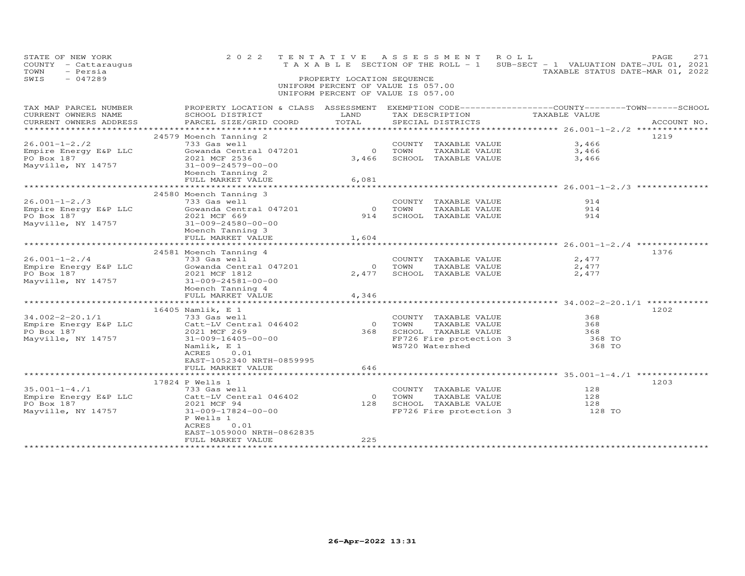| STATE OF NEW YORK<br>COUNTY - Cattaraugus<br>TOWN<br>- Persia<br>SWIS<br>$-047289$ | 2 0 2 2                                                                                                                                      | PROPERTY LOCATION SEQUENCE | TENTATIVE ASSESSMENT<br>TAXABLE SECTION OF THE ROLL - 1 SUB-SECT - 1 VALUATION DATE-JUL 01, 2021<br>UNIFORM PERCENT OF VALUE IS 057.00<br>UNIFORM PERCENT OF VALUE IS 057.00 | ROLL                                    | PAGE<br>271<br>TAXABLE STATUS DATE-MAR 01, 2022 |
|------------------------------------------------------------------------------------|----------------------------------------------------------------------------------------------------------------------------------------------|----------------------------|------------------------------------------------------------------------------------------------------------------------------------------------------------------------------|-----------------------------------------|-------------------------------------------------|
| TAX MAP PARCEL NUMBER<br>CURRENT OWNERS NAME<br>CURRENT OWNERS ADDRESS             | PROPERTY LOCATION & CLASS ASSESSMENT EXEMPTION CODE----------------COUNTY-------TOWN-----SCHOOL<br>SCHOOL DISTRICT<br>PARCEL SIZE/GRID COORD | LAND<br>TOTAL              | TAX DESCRIPTION<br>SPECIAL DISTRICTS                                                                                                                                         | TAXABLE VALUE                           | ACCOUNT NO.                                     |
|                                                                                    |                                                                                                                                              |                            |                                                                                                                                                                              |                                         |                                                 |
|                                                                                    | 24579 Moench Tanning 2                                                                                                                       |                            |                                                                                                                                                                              |                                         | 1219                                            |
| $26.001 - 1 - 2.72$                                                                | 733 Gas well                                                                                                                                 |                            | COUNTY TAXABLE VALUE                                                                                                                                                         | 3,466                                   |                                                 |
| Empire Energy E&P LLC                                                              | Gowanda Central 047201                                                                                                                       | $\circ$                    | TOWN<br>TAXABLE VALUE                                                                                                                                                        | 3,466                                   |                                                 |
| PO Box 187<br>Mayville, NY 14757                                                   | 2021 MCF 2536<br>31-009-24579-00-00                                                                                                          | 3,466                      | SCHOOL TAXABLE VALUE                                                                                                                                                         | 3,466                                   |                                                 |
|                                                                                    | Moench Tanning 2                                                                                                                             |                            |                                                                                                                                                                              |                                         |                                                 |
|                                                                                    | FULL MARKET VALUE                                                                                                                            | 6,081                      |                                                                                                                                                                              |                                         |                                                 |
|                                                                                    | ************************                                                                                                                     |                            |                                                                                                                                                                              | ********* 26.001-1-2./3 **              |                                                 |
|                                                                                    | 24580 Moench Tanning 3                                                                                                                       |                            |                                                                                                                                                                              |                                         |                                                 |
| $26.001 - 1 - 2.73$<br>Empire Energy E&P LLC                                       | 733 Gas well<br>Gowanda Central 047201                                                                                                       | $\circ$                    | COUNTY TAXABLE VALUE<br>TOWN<br>TAXABLE VALUE                                                                                                                                | 914<br>914                              |                                                 |
| PO Box 187                                                                         | 2021 MCF 669                                                                                                                                 | 914                        | SCHOOL TAXABLE VALUE                                                                                                                                                         | 914                                     |                                                 |
| Mayville, NY 14757                                                                 | 31-009-24580-00-00                                                                                                                           |                            |                                                                                                                                                                              |                                         |                                                 |
|                                                                                    | Moench Tanning 3                                                                                                                             |                            |                                                                                                                                                                              |                                         |                                                 |
|                                                                                    | FULL MARKET VALUE                                                                                                                            | 1,604                      |                                                                                                                                                                              |                                         |                                                 |
|                                                                                    |                                                                                                                                              |                            |                                                                                                                                                                              |                                         | 1376                                            |
| $26.001 - 1 - 2.74$                                                                | 24581 Moench Tanning 4<br>733 Gas well                                                                                                       |                            | COUNTY TAXABLE VALUE                                                                                                                                                         | 2,477                                   |                                                 |
| Empire Energy E&P LLC                                                              | Gowanda Central 047201                                                                                                                       | $\circ$                    | TOWN<br>TAXABLE VALUE                                                                                                                                                        | 2,477                                   |                                                 |
| PO Box 187                                                                         | 2021 MCF 1812                                                                                                                                | 2,477                      | SCHOOL TAXABLE VALUE                                                                                                                                                         | 2,477                                   |                                                 |
| Mayville, NY 14757                                                                 | 31-009-24581-00-00                                                                                                                           |                            |                                                                                                                                                                              |                                         |                                                 |
|                                                                                    | Moench Tanning 4                                                                                                                             |                            |                                                                                                                                                                              |                                         |                                                 |
|                                                                                    | FULL MARKET VALUE                                                                                                                            | 4,346                      |                                                                                                                                                                              |                                         |                                                 |
|                                                                                    | 16405 Namlik, E 1                                                                                                                            |                            |                                                                                                                                                                              |                                         | 1202                                            |
| $34.002 - 2 - 20.1/1$                                                              | 733 Gas well                                                                                                                                 |                            | COUNTY TAXABLE VALUE                                                                                                                                                         | 368                                     |                                                 |
| Empire Energy E&P LLC                                                              | Catt-LV Central 046402                                                                                                                       | $\circ$                    | TOWN<br>TAXABLE VALUE                                                                                                                                                        | 368                                     |                                                 |
| PO Box 187                                                                         | 2021 MCF 269                                                                                                                                 | 368                        | SCHOOL TAXABLE VALUE                                                                                                                                                         | 368                                     |                                                 |
| Mayville, NY 14757                                                                 | 31-009-16405-00-00                                                                                                                           |                            | FP726 Fire protection 3                                                                                                                                                      | 368 TO                                  |                                                 |
|                                                                                    | Namlik, E 1<br>ACRES                                                                                                                         |                            | WS720 Watershed                                                                                                                                                              | 368 TO                                  |                                                 |
|                                                                                    | 0.01<br>EAST-1052340 NRTH-0859995                                                                                                            |                            |                                                                                                                                                                              |                                         |                                                 |
|                                                                                    | FULL MARKET VALUE                                                                                                                            | 646                        |                                                                                                                                                                              |                                         |                                                 |
|                                                                                    |                                                                                                                                              |                            |                                                                                                                                                                              | *************** 35.001-1-4./1 ********* |                                                 |
|                                                                                    | 17824 P Wells 1                                                                                                                              |                            |                                                                                                                                                                              |                                         | 1203                                            |
| $35.001 - 1 - 4.71$                                                                | 733 Gas well                                                                                                                                 |                            | COUNTY TAXABLE VALUE                                                                                                                                                         | 128                                     |                                                 |
| Empire Energy E&P LLC<br>PO Box 187                                                | Catt-LV Central 046402<br>2021 MCF 94                                                                                                        | $\circ$<br>128             | TOWN<br>TAXABLE VALUE<br>SCHOOL TAXABLE VALUE                                                                                                                                | 128<br>128                              |                                                 |
| Mayville, NY 14757                                                                 | 31-009-17824-00-00                                                                                                                           |                            | FP726 Fire protection 3                                                                                                                                                      | 128 TO                                  |                                                 |
|                                                                                    | P Wells 1                                                                                                                                    |                            |                                                                                                                                                                              |                                         |                                                 |
|                                                                                    | ACRES<br>0.01                                                                                                                                |                            |                                                                                                                                                                              |                                         |                                                 |
|                                                                                    | EAST-1059000 NRTH-0862835                                                                                                                    |                            |                                                                                                                                                                              |                                         |                                                 |
| ************************                                                           | FULL MARKET VALUE<br>**********************                                                                                                  | 225<br>**************      |                                                                                                                                                                              |                                         |                                                 |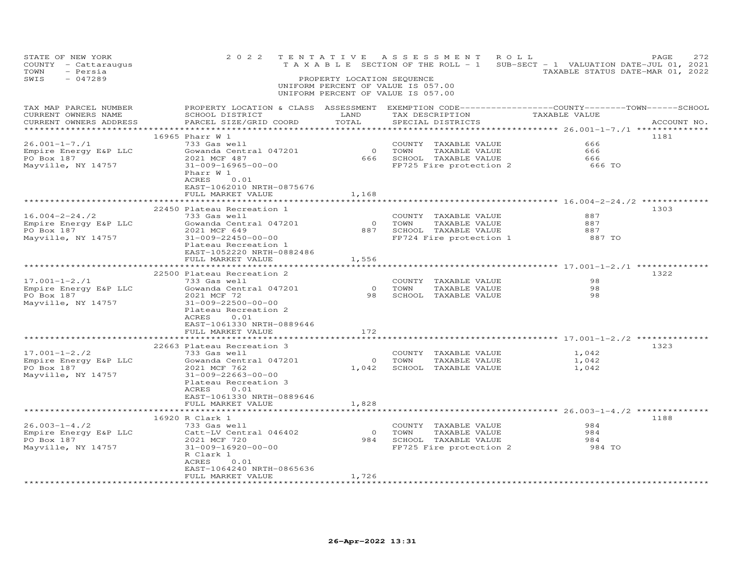| STATE OF NEW YORK<br>COUNTY - Cattaraugus<br>TOWN<br>- Persia<br>$-047289$<br>SWIS | 2 0 2 2                                                                                                                                                                                                                             | PROPERTY LOCATION SEQUENCE                    | TENTATIVE ASSESSMENT ROLL<br>UNIFORM PERCENT OF VALUE IS 057.00<br>UNIFORM PERCENT OF VALUE IS 057.00            | TAXABLE SECTION OF THE ROLL - 1 SUB-SECT - 1 VALUATION DATE-JUL 01, 2021<br>TAXABLE STATUS DATE-MAR 01, 2022 | PAGE<br>272 |
|------------------------------------------------------------------------------------|-------------------------------------------------------------------------------------------------------------------------------------------------------------------------------------------------------------------------------------|-----------------------------------------------|------------------------------------------------------------------------------------------------------------------|--------------------------------------------------------------------------------------------------------------|-------------|
| TAX MAP PARCEL NUMBER<br>CURRENT OWNERS NAME<br>CURRENT OWNERS ADDRESS             | PROPERTY LOCATION & CLASS ASSESSMENT EXEMPTION CODE---------------COUNTY-------TOWN------SCHOOL<br>SCHOOL DISTRICT<br>PARCEL SIZE/GRID COORD                                                                                        | LAND<br>TOTAL                                 | TAX DESCRIPTION<br>SPECIAL DISTRICTS                                                                             | TAXABLE VALUE                                                                                                | ACCOUNT NO. |
| $26.001 - 1 - 7.71$<br>Empire Energy E&P LLC<br>PO Box 187<br>Mayville, NY 14757   | 16965 Pharr W 1<br>733 Gas well<br>Gowanda Central 047201<br>2021 MCF 487<br>31-009-16965-00-00<br>Pharr W 1<br>ACRES<br>0.01<br>EAST-1062010 NRTH-0875676<br>FULL MARKET VALUE                                                     | $\overline{0}$<br>1,168                       | COUNTY TAXABLE VALUE<br>TOWN<br>TAXABLE VALUE<br>666 SCHOOL TAXABLE VALUE<br>FP725 Fire protection 2             | 666<br>666<br>666<br>666 TO                                                                                  | 1181        |
| $16.004 - 2 - 24.72$<br>Empire Energy E&P LLC<br>PO Box 187<br>Mayville, NY 14757  | 22450 Plateau Recreation 1<br>733 Gas well<br>Gowanda Central 047201<br>2021 MCF 649<br>31-009-22450-00-00<br>Plateau Recreation 1<br>EAST-1052220 NRTH-0882486<br>FULL MARKET VALUE                                                | 1,556                                         | COUNTY<br>0 TOWN<br>COUNTY TAXABLE VALUE<br>TAXABLE VALUE<br>887 SCHOOL TAXABLE VALUE<br>FP724 Fire protection 1 | 887<br>887<br>887<br>887 TO                                                                                  | 1303        |
| $17.001 - 1 - 2.71$<br>Empire Energy E&P LLC<br>PO Box 187<br>Mayville, NY 14757   | 22500 Plateau Recreation 2<br>733 Gas well<br>Gowanda Central 047201<br>2021 MCF 72<br>31-009-22500-00-00<br>Plateau Recreation 2<br>0.01<br>ACRES<br>EAST-1061330 NRTH-0889646<br>FULL MARKET VALUE                                | $\circ$<br>172                                | COUNTY TAXABLE VALUE<br>TOWN<br>TAXABLE VALUE<br>98 SCHOOL TAXABLE VALUE                                         | ******************** 17.001-1-2./1 *********<br>98<br>98<br>98                                               | 1322        |
| $17.001 - 1 - 2./2$<br>Empire Energy E&P LLC<br>PO Box 187<br>Mayville, NY 14757   | **************************<br>22663 Plateau Recreation 3<br>733 Gas well<br>Gowanda Central 047201<br>2021 MCF 762<br>31-009-22663-00-00<br>Plateau Recreation 3<br>ACRES<br>0.01<br>EAST-1061330 NRTH-0889646<br>FULL MARKET VALUE | 1,828                                         | COUNTY TAXABLE VALUE<br>0 TOWN<br>TAXABLE VALUE<br>1,042 SCHOOL TAXABLE VALUE                                    | ***************** 17.001-1-2./2 ********<br>1,042<br>1,042<br>1,042                                          | 1323        |
| $26.003 - 1 - 4.72$<br>Empire Energy E&P LLC<br>PO Box 187<br>Mayville, NY 14757   | ***************<br>16920 R Clark 1<br>733 Gas well<br>Catt-LV Central 046402<br>2021 MCF 720<br>31-009-16920-00-00<br>R Clark 1<br>ACRES<br>0.01<br>EAST-1064240 NRTH-0865636<br>FULL MARKET VALUE                                  | $\overline{0}$<br>1,726<br>****************** | COUNTY TAXABLE VALUE<br>TOWN<br>TAXABLE VALUE<br>984 SCHOOL TAXABLE VALUE<br>FP725 Fire protection 2             | ************* 26.003-1-4./2 **********<br>984<br>984<br>984<br>984 TO                                        | 1188        |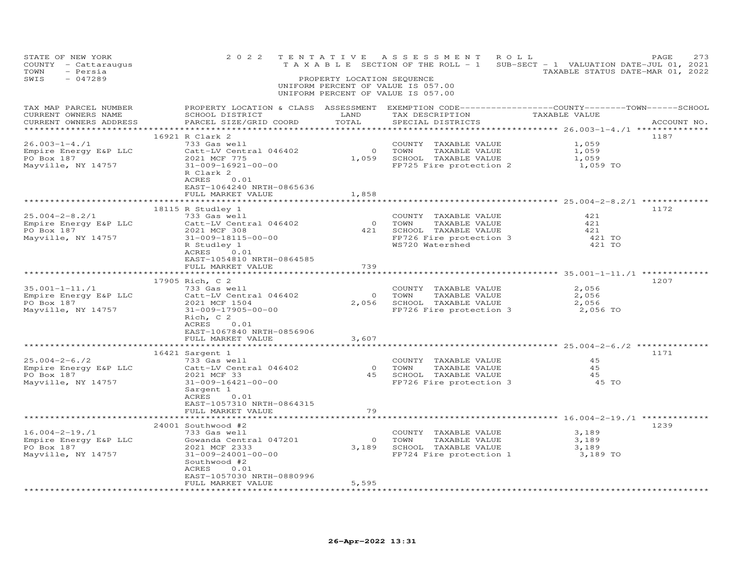| STATE OF NEW YORK<br>COUNTY - Cattaraugus<br>TOWN<br>- Persia<br>SWIS<br>$-047289$ | 2 0 2 2                                                                                                                                                                                       | TENTATIVE<br>PROPERTY LOCATION SEQUENCE | A S S E S S M E N T<br>ROLL<br>UNIFORM PERCENT OF VALUE IS 057.00<br>UNIFORM PERCENT OF VALUE IS 057.00                | PAGE<br>TAXABLE SECTION OF THE ROLL - 1 SUB-SECT - 1 VALUATION DATE-JUL 01, 2021<br>TAXABLE STATUS DATE-MAR 01, 2022 | 273 |
|------------------------------------------------------------------------------------|-----------------------------------------------------------------------------------------------------------------------------------------------------------------------------------------------|-----------------------------------------|------------------------------------------------------------------------------------------------------------------------|----------------------------------------------------------------------------------------------------------------------|-----|
| TAX MAP PARCEL NUMBER<br>CURRENT OWNERS NAME<br>CURRENT OWNERS ADDRESS             | SCHOOL DISTRICT<br>PARCEL SIZE/GRID COORD                                                                                                                                                     | LAND<br>TOTAL<br>**********             | TAX DESCRIPTION TAXABLE VALUE<br>SPECIAL DISTRICTS                                                                     | PROPERTY LOCATION & CLASS ASSESSMENT EXEMPTION CODE-----------------COUNTY-------TOWN------SCHOOL<br>ACCOUNT NO.     |     |
| $26.003 - 1 - 4.71$<br>Empire Energy E&P LLC<br>PO Box 187<br>Mayville, NY 14757   | 16921 R Clark 2<br>733 Gas well<br>Catt-LV Central 046402<br>2021 MCF 775<br>31-009-16921-00-00<br>R Clark 2<br>0.01<br>ACRES<br>EAST-1064240 NRTH-0865636<br>FULL MARKET VALUE               | 1,858                                   | COUNTY TAXABLE VALUE<br>0 TOWN<br>TAXABLE VALUE<br>1,059 SCHOOL TAXABLE VALUE<br>FP725 Fire protection 2               | 1187<br>1,059<br>1,059<br>1,059<br>1,059 TO                                                                          |     |
| $25.004 - 2 - 8.2/1$<br>Empire Energy E&P LLC<br>PO Box 187<br>Mayville, NY 14757  | 18115 R Studley 1<br>733 Gas well<br>Catt-LV Central 046402<br>Catt-LV Central 046402<br>2021 MCF 308<br>31-009-18115-00-00<br>R Studley 1<br>ACRES 0.01<br>EAST-1054810 NRTH-0864585         |                                         | COUNTY TAXABLE VALUE<br>0 TOWN TAXABLE VALUE<br>421 SCHOOL TAXABLE VALUE<br>FP726 Fire protection 3<br>WS720 Watershed | 1172<br>421<br>421<br>421<br>421 TO<br>421 TO                                                                        |     |
| 35.001-1-11./1<br>Empire Energy E&P LLC<br>PO Box 187<br>Mayville, NY 14757        | FULL MARKET VALUE<br>17905 Rich, C 2<br>733 Gas well<br>Catt-LV Central 046402<br>2021 MCF 1504<br>31-009-17905-00-00<br>Rich, C 2<br>ACRES 0.01                                              | 739                                     | COUNTY TAXABLE VALUE<br>0 TOWN<br>TAXABLE VALUE<br>2,056 SCHOOL TAXABLE VALUE<br>FP726 Fire protection 3               | 1207<br>2,056<br>2,056<br>2,056<br>2,056 TO                                                                          |     |
|                                                                                    | EAST-1067840 NRTH-0856906<br>FULL MARKET VALUE                                                                                                                                                | 3,607                                   |                                                                                                                        |                                                                                                                      |     |
| $25.004 - 2 - 6.72$<br>Empire Energy E&P LLC<br>PO Box 187<br>Mayville, NY 14757   | 16421 Sargent 1<br>733 Gas well<br>Catt-LV Central 046402<br>2021 MCF 33<br>2021 MCF 33<br>31-009-16421-00-00<br>Sargent 1<br>ACRES<br>0.01<br>EAST-1057310 NRTH-0864315<br>FULL MARKET VALUE | 79                                      | COUNTY TAXABLE VALUE<br>0 TOWN TAXABLE VALUE<br>45 SCHOOL TAXABLE VALUE<br>FP726 Fire protection 3                     | 1171<br>45<br>4.5<br>45<br>45 TO                                                                                     |     |
| 16.004-2-19./1<br>Empire Energy E&P LLC<br>PO Box 187<br>Mayville, NY 14757        | **************<br>24001 Southwood #2<br>733 Gas well<br>Gowanda Central 047201<br>2021 MCF 2333<br>31-009-24001-00-00<br>Southwood #2<br>ACRES 0.01<br>EAST-1057030 NRTH-0880996              | $\overline{O}$                          | COUNTY TAXABLE VALUE<br>TOWN<br>TAXABLE VALUE<br>3,189 SCHOOL TAXABLE VALUE<br>FP724 Fire protection 1 3,189 TO        | ************ 16.004-2-19./1 *********<br>1239<br>3,189<br>3,189<br>3,189                                             |     |
|                                                                                    | FULL MARKET VALUE<br>*******************                                                                                                                                                      | 5,595                                   |                                                                                                                        |                                                                                                                      |     |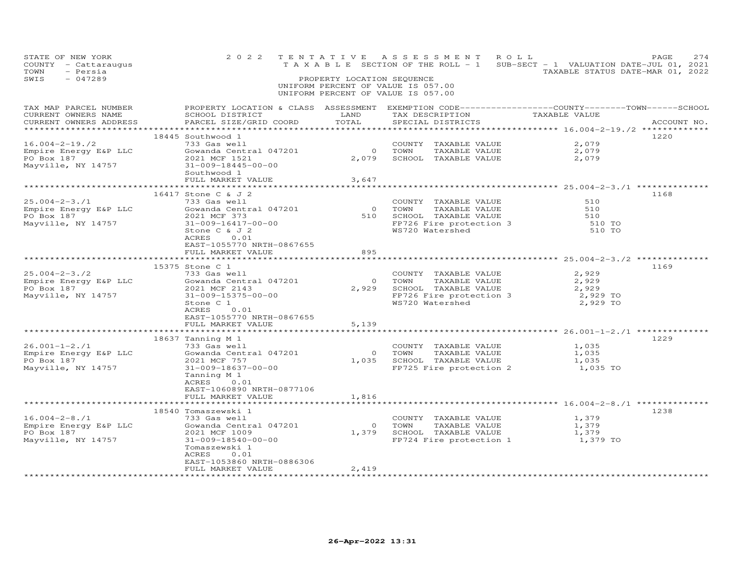| STATE OF NEW YORK<br>COUNTY - Cattaraugus<br>TOWN<br>- Persia<br>$-047289$<br>SWIS                                          |                                                                                                                                                                                                                     | PROPERTY LOCATION SEQUENCE  | 2022 TENTATIVE ASSESSMENT ROLL<br>UNIFORM PERCENT OF VALUE IS 057.00<br>UNIFORM PERCENT OF VALUE IS 057.00                                                                        | T A X A B L E SECTION OF THE ROLL - 1 SUB-SECT - 1 VALUATION DATE-JUL 01, 2021<br>TAXABLE STATUS DATE-MAR 01, 2022 | 274<br>PAGE |
|-----------------------------------------------------------------------------------------------------------------------------|---------------------------------------------------------------------------------------------------------------------------------------------------------------------------------------------------------------------|-----------------------------|-----------------------------------------------------------------------------------------------------------------------------------------------------------------------------------|--------------------------------------------------------------------------------------------------------------------|-------------|
| TAX MAP PARCEL NUMBER<br>CURRENT OWNERS NAME<br>CURRENT OWNERS ADDRESS                                                      | SCHOOL DISTRICT<br>PARCEL SIZE/GRID COORD                                                                                                                                                                           | LAND<br>TOTAL               | TAX DESCRIPTION<br>SPECIAL DISTRICTS                                                                                                                                              | PROPERTY LOCATION & CLASS ASSESSMENT EXEMPTION CODE----------------COUNTY-------TOWN------SCHOOL<br>TAXABLE VALUE  | ACCOUNT NO. |
| Empire Energy E&P LLC<br>PO Box 187<br>Maurill<br>PO Box 187<br>Mayville, NY 14757                                          | 18445 Southwood 1<br>733 Gas well<br>Gowanda Central 047201<br>2021 MCF 1521<br>31-009-18445-00-00<br>Southwood 1<br>FULL MARKET VALUE                                                                              | $0$ TOWN<br>3,647           | COUNTY TAXABLE VALUE<br>TAXABLE VALUE<br>2,079 SCHOOL TAXABLE VALUE                                                                                                               | 2,079<br>2,079<br>2,079                                                                                            | 1220        |
|                                                                                                                             |                                                                                                                                                                                                                     |                             |                                                                                                                                                                                   |                                                                                                                    |             |
| $25.004 - 2 - 3.71$<br>Empire Energy E&P LLC<br>PO Box 187<br>Mayville, NY 14757                                            | 16417 Stone C & J 2<br>733 Gas well<br>Gowanda Centra<br>Sowanda Central 047201<br>2021 MCF 373<br>31-009-16417-00-00<br>Stone C & J 2<br>ACRES 0.01<br>EAST-1055770 NRTH-0867655                                   |                             | COUNTY TAXABLE VALUE<br>COUNTY<br>0 TOWN<br>TAXABLE VALUE<br>510 SCHOOL TAXABLE VALUE<br>FP726 Fire protection 3<br>WS720 Watersbed<br>FP726 Fire protection 3<br>WS720 Watershed | 510<br>510<br>510<br>510 TO<br>510 TO                                                                              | 1168        |
|                                                                                                                             | FULL MARKET VALUE                                                                                                                                                                                                   | 895                         |                                                                                                                                                                                   |                                                                                                                    |             |
|                                                                                                                             |                                                                                                                                                                                                                     |                             |                                                                                                                                                                                   |                                                                                                                    |             |
| $25.004 - 2 - 3.72$<br>Empire Energy E&P LLC<br>PO Box 197<br>PO Box 187<br>Mayville, NY 14757                              | 15375 Stone C 1<br>733 Gas well<br>Gowanda Central 047201<br>2021 MCF 2143<br>31-009-15375-00-00<br>Stone C 1<br>ACRES<br>0.01<br>EAST-1055770 NRTH-0867655<br>FULL MARKET VALUE                                    | 5,139                       | COUNTY TAXABLE VALUE<br>TAXABLE VALUE<br>0 TOWN<br>2,929 SCHOOL TAXABLE VALUE<br>FP726 Fire protection 3<br>WS720 Watershed                                                       | 2,929<br>2,929<br>2,929<br>2,929 TO<br>2,929 TO                                                                    | 1169        |
|                                                                                                                             |                                                                                                                                                                                                                     |                             |                                                                                                                                                                                   |                                                                                                                    |             |
| $26.001 - 1 - 2.71$<br>Empire Energy E&P LLC<br>PO Box 187<br>Mayville, NY 14757                                            | 18637 Tanning M 1<br>733 Gas well<br>Gowanda Central 047201<br>2021 MCF 757<br>31-009-18637-00-00<br>Tanning M 1<br>ACRES<br>0.01<br>EAST-1060890 NRTH-0877106<br>FULL MARKET VALUE                                 | 1,816                       | COUNTY TAXABLE VALUE<br>0 TOWN<br>0 TOWN TAXABLE VALUE<br>1,035 SCHOOL TAXABLE VALUE<br>FP725 Fire protection 2                                                                   | 1,035<br>1,035<br>1,035<br>1,035 TO                                                                                | 1229        |
|                                                                                                                             |                                                                                                                                                                                                                     |                             |                                                                                                                                                                                   |                                                                                                                    |             |
| $16.004 - 2 - 8.71$<br>Empire Energy E&P LLC<br>PO Box 187<br>PO Box 187<br>Mayville, NY 14757<br>************************* | 18540 Tomaszewski 1<br>733 Gas well<br>Gowanda Central 047201<br>2021 MCF 1009<br>31-009-18540-00-00<br>Tomaszewski 1<br>ACRES<br>0.01<br>EAST-1053860 NRTH-0886306<br>FULL MARKET VALUE<br>*********************** | 2,419<br>****************** | COUNTY TAXABLE VALUE                                                                                                                                                              | 1,379<br>0 TOWN TAXABLE VALUE 1,379<br>1,379 SCHOOL TAXABLE VALUE 1,379<br>FP724 Fire protection 1 1,379 TO        | 1238        |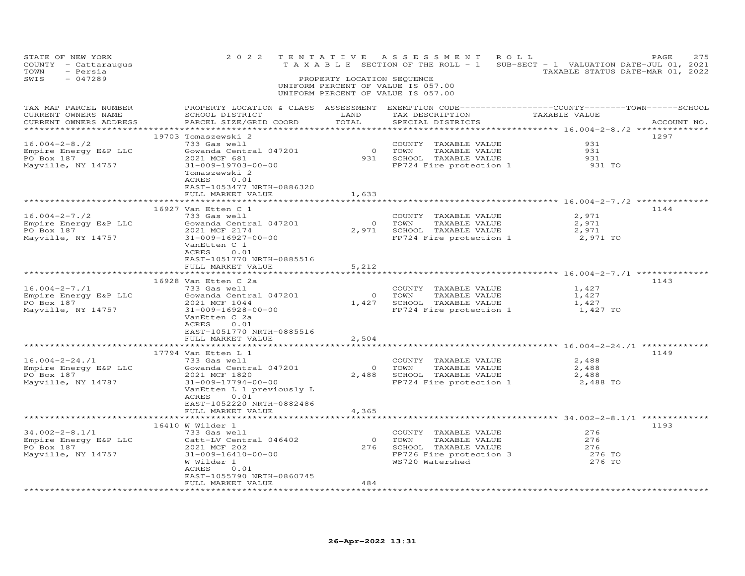| STATE OF NEW YORK<br>COUNTY - Cattaraugus<br>TOWN<br>- Persia<br>$-047289$<br>SWIS                                                                                                                                                                                                                                   | 2 0 2 2                                                                                                                                                                                                                                                     | TENTATIVE<br>PROPERTY LOCATION SEQUENCE | ASSESSMENT ROLL<br>T A X A B L E SECTION OF THE ROLL - 1 SUB-SECT - 1 VALUATION DATE-JUL 01, 2021<br>UNIFORM PERCENT OF VALUE IS 057.00<br>UNIFORM PERCENT OF VALUE IS 057.00 | TAXABLE STATUS DATE-MAR 01, 2022      | 275<br>PAGE |
|----------------------------------------------------------------------------------------------------------------------------------------------------------------------------------------------------------------------------------------------------------------------------------------------------------------------|-------------------------------------------------------------------------------------------------------------------------------------------------------------------------------------------------------------------------------------------------------------|-----------------------------------------|-------------------------------------------------------------------------------------------------------------------------------------------------------------------------------|---------------------------------------|-------------|
| TAX MAP PARCEL NUMBER<br>CURRENT OWNERS NAME<br>CURRENT OWNERS ADDRESS                                                                                                                                                                                                                                               | PROPERTY LOCATION & CLASS ASSESSMENT EXEMPTION CODE-----------------COUNTY-------TOWN------SCHOOL<br>SCHOOL DISTRICT<br>PARCEL SIZE/GRID COORD                                                                                                              | LAND<br>TOTAL                           | TAX DESCRIPTION TAXABLE VALUE<br>SPECIAL DISTRICTS                                                                                                                            |                                       | ACCOUNT NO. |
| $16.004 - 2 - 8.72$<br>Empire Energy E&P LLC<br>The company of the<br>PO Box 187<br>Mayville, NY 14757                                                                                                                                                                                                               | 19703 Tomaszewski 2<br>733 Gas well<br>Gowanda Central 047201<br>2021 MCF 681<br>31-009-19703-00-00<br>Tomaszewski 2<br>ACRES<br>0.01<br>EAST-1053477 NRTH-0886320<br>FULL MARKET VALUE                                                                     | 1,633                                   | COUNTY TAXABLE VALUE<br>0 TOWN TAXABLE VALUE<br>931 SCHOOL TAXABLE VALUE<br>FP724 Fire protection 1<br>FP724 Fire protection 1                                                | 931<br>931<br>931<br>931 TO           | 1297        |
| 16.004-2-7./2<br>Empire Energy E&P LLC<br>PO Box 187<br>Mayville, NY 14757                                                                                                                                                                                                                                           | *********************************<br>16927 Van Etten C 1<br>733 Gas well<br>Gowanda Central 047201<br>2021 MCF 2174<br>31-009-16927-00-00<br>VanEtten C 1<br>ACRES<br>0.01<br>EAST-1051770 NRTH-0885516<br>FULL MARKET VALUE<br>*************************** | $\overline{O}$<br>5,212                 | COUNTY TAXABLE VALUE<br>TOWN<br>TAXABLE VALUE<br>2,971 SCHOOL TAXABLE VALUE<br>FP724 Fire protection 1                                                                        | 2,971<br>2,971<br>2,971<br>2,971 TO   | 1144        |
| 16.004-2-7./1<br>Empire Energy E&P LLC<br>PO Box 187<br>Mayville, NY 14757                                                                                                                                                                                                                                           | 16928 Van Etten C 2a<br>733 Gas well<br>Gowanda Central 047201<br>2021 MCF 1044<br>31-009-16928-00-00<br>VanEtten C 2a<br>ACRES<br>0.01<br>EAST-1051770 NRTH-0885516<br>FULL MARKET VALUE                                                                   | 0 0 0<br>2,504                          | COUNTY TAXABLE VALUE<br>TAXABLE VALUE<br>1,427 SCHOOL TAXABLE VALUE<br>FP724 Fire protection 1 1,427 TO                                                                       | 1,427<br>1,427<br>1,427               | 1143        |
|                                                                                                                                                                                                                                                                                                                      | **********************<br>17794 Van Etten L 1                                                                                                                                                                                                               | *******                                 |                                                                                                                                                                               |                                       | 1149        |
| $16.004 - 2 - 24$ ./1<br>Empire Energy E&P LLC<br>The contract of the contract of the contract of the contract of the contract of the contract of the contract of the contract of the contract of the contract of the contract of the contract of the contract of the contract o<br>PO Box 187<br>Mayville, NY 14787 | 733 Gas well<br>Gowanda Central 047201<br>2021 MCF 1820<br>31-009-17794-00-00<br>VanEtten L 1 previously L<br>ACRES 0.01<br>EAST-1052220 NRTH-0882486                                                                                                       | $\overline{0}$                          | COUNTY TAXABLE VALUE<br>TOWN<br>TAXABLE VALUE<br>2,488 SCHOOL TAXABLE VALUE<br>FP724 Fire protection 1 2,488 TO                                                               | 2,488<br>2,488<br>2,488               |             |
|                                                                                                                                                                                                                                                                                                                      | FULL MARKET VALUE<br>**************************                                                                                                                                                                                                             | 4,365                                   |                                                                                                                                                                               |                                       |             |
| 34.002-2-8.1/1<br>Empire Energy E&P LLC<br>PO Box 187<br>Mayville, NY 14757                                                                                                                                                                                                                                          | 16410 W Wilder 1<br>733 Gas well<br>Catt-LV Central 046402<br>2021 MCF 202<br>31-009-16410-00-00<br>W Wilder 1<br>ACRES<br>0.01<br>EAST-1055790 NRTH-0860745<br>FULL MARKET VALUE                                                                           | $\overline{0}$<br>484<br>.              | COUNTY TAXABLE VALUE<br>TOWN<br>TAXABLE VALUE<br>TAXABLE VALUE<br>276 SCHOOL TAXABLE VALUE<br>FP726 Fire protection 3<br>WS720 Watershed                                      | 276<br>276<br>276<br>276 TO<br>276 TO | 1193        |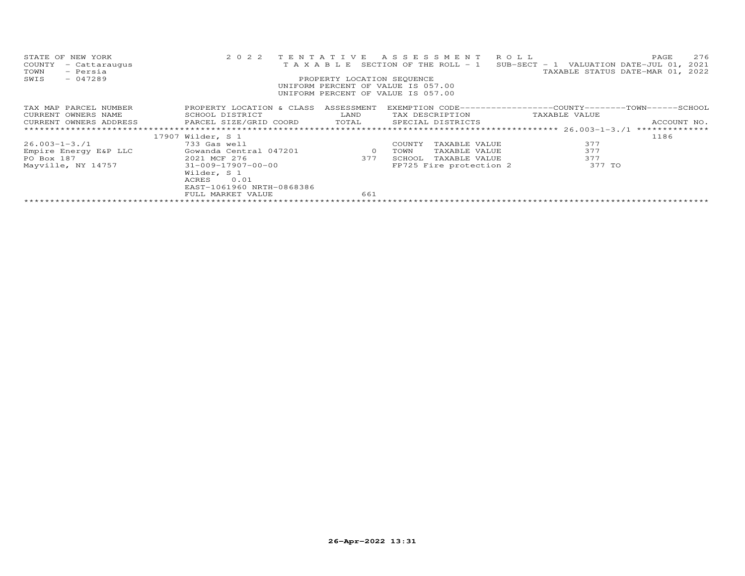| STATE OF NEW YORK<br>COUNTY<br>- Cattaraugus<br>- Persia<br>TOWN<br>$-047289$<br>SWIS | 2 0 2 2                                                                                                                     | TENTATIVE<br>PROPERTY LOCATION SEQUENCE      | ASSESSMENT ROLL<br>UNIFORM PERCENT OF VALUE IS 057.00<br>UNIFORM PERCENT OF VALUE IS 057.00 | 276<br>PAGE<br>T A X A B L E SECTION OF THE ROLL - 1 SUB-SECT - 1 VALUATION DATE-JUL 01, 2021<br>TAXABLE STATUS DATE-MAR 01, 2022 |
|---------------------------------------------------------------------------------------|-----------------------------------------------------------------------------------------------------------------------------|----------------------------------------------|---------------------------------------------------------------------------------------------|-----------------------------------------------------------------------------------------------------------------------------------|
| TAX MAP PARCEL NUMBER<br>CURRENT OWNERS NAME                                          | PROPERTY LOCATION & CLASS<br>SCHOOL DISTRICT<br>CURRENT OWNERS ADDRESS 6 PARCEL SIZE/GRID COORD 6 TOTAL 6 SPECIAL DISTRICTS | ASSESSMENT<br><b>EXAMPLE TEAMPLE TEAMPLE</b> | TAX DESCRIPTION                                                                             | EXEMPTION CODE-----------------COUNTY-------TOWN-----SCHOOL<br>TAXABLE VALUE<br>ACCOUNT NO.                                       |
|                                                                                       |                                                                                                                             |                                              |                                                                                             | **************                                                                                                                    |
|                                                                                       | 17907 Wilder, S 1                                                                                                           |                                              |                                                                                             | 1186                                                                                                                              |
| 26.003-1-3./1                                                                         | 733 Gas well                                                                                                                |                                              | COUNTY<br>TAXABLE VALUE                                                                     | 377                                                                                                                               |
| Empire Energy E&P LLC                                                                 | Gowanda Central 047201 and 0                                                                                                |                                              | TOWN<br>TAXABLE VALUE                                                                       | 377                                                                                                                               |
| PO Box 187                                                                            | 2021 MCF 276                                                                                                                | 377                                          | SCHOOL<br>TAXABLE VALUE                                                                     | 377                                                                                                                               |
|                                                                                       | Mayville, NY 14757 31-009-17907-00-00<br>Wilder, S 1<br>0.01<br>ACRES<br>EAST-1061960 NRTH-0868386<br>FULL MARKET VALUE     | 661                                          | FP725 Fire protection 2                                                                     | 377 TO                                                                                                                            |
|                                                                                       |                                                                                                                             |                                              |                                                                                             |                                                                                                                                   |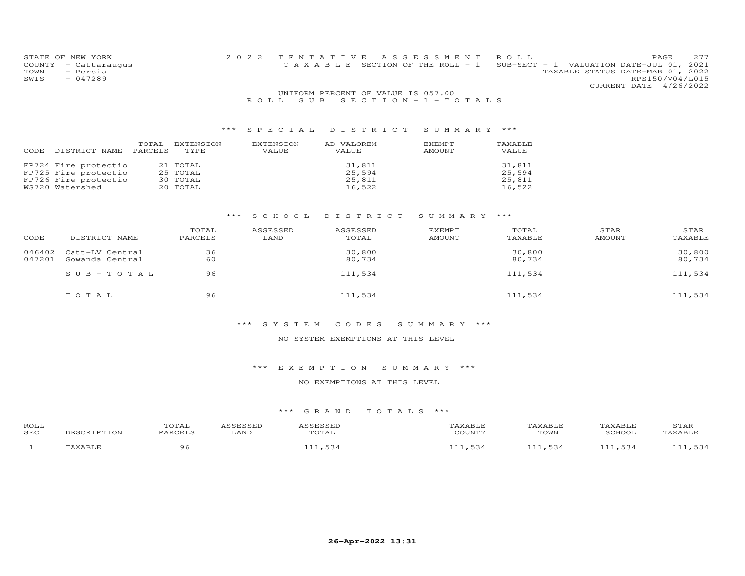| STATE OF NEW YORK    | 2022 TENTATIVE ASSESSMENT ROLL        |                                             | <b>PAGE</b>     | - 2.77 |
|----------------------|---------------------------------------|---------------------------------------------|-----------------|--------|
| COUNTY - Cattaraugus | T A X A B L E SECTION OF THE ROLL - 1 | SUB-SECT - 1 VALUATION DATE-JUL $01$ , 2021 |                 |        |
| TOWN<br>- Persia     |                                       | TAXABLE STATUS DATE-MAR 01, 2022            |                 |        |
| SWIS<br>- 047289     |                                       |                                             | RPS150/V04/L015 |        |
|                      |                                       | CURRENT DATE 4/26/2022                      |                 |        |
|                      | $m\tau = 0.5$                         |                                             |                 |        |

#### UNIFORM PERCENT OF VALUE IS 057.00R O L L S U B S E C T I O N - 1 - T O T A L S

## \*\*\* S P E C I A L D I S T R I C T S U M M A R Y \*\*\*

| CODE | DISTRICT NAME                                                                           | TOTAL<br>PARCELS | EXTENSION<br>TYPE                            | EXTENSION<br>VALUE | AD VALOREM<br><b>VALUE</b>           | EXEMPT<br>AMOUNT | TAXABLE<br>VALUE                     |
|------|-----------------------------------------------------------------------------------------|------------------|----------------------------------------------|--------------------|--------------------------------------|------------------|--------------------------------------|
|      | FP724 Fire protectio<br>FP725 Fire protectio<br>FP726 Fire protectio<br>WS720 Watershed |                  | 21 TOTAL<br>25 TOTAL<br>30 TOTAL<br>20 TOTAL |                    | 31,811<br>25,594<br>25,811<br>16.522 |                  | 31,811<br>25.594<br>25,811<br>16,522 |

#### \*\*\* S C H O O L D I S T R I C T S U M M A R Y \*\*\*

| CODE             | DISTRICT NAME                      | TOTAL<br>PARCELS | ASSESSED<br>LAND | ASSESSED<br>TOTAL | EXEMPT<br><b>AMOUNT</b> | TOTAL<br>TAXABLE | STAR<br><b>AMOUNT</b> | STAR<br>TAXABLE  |
|------------------|------------------------------------|------------------|------------------|-------------------|-------------------------|------------------|-----------------------|------------------|
| 046402<br>047201 | Catt-LV Central<br>Gowanda Central | 36<br>60         |                  | 30,800<br>80,734  |                         | 30,800<br>80,734 |                       | 30,800<br>80,734 |
|                  | $SUB-TOTAL$                        | 96               |                  | 111,534           |                         | 111,534          |                       | 111,534          |
|                  | TOTAL                              | 96               |                  | 111,534           |                         | 111,534          |                       | 111,534          |

#### \*\*\* S Y S T E M C O D E S S U M M A R Y \*\*\*

#### NO SYSTEM EXEMPTIONS AT THIS LEVEL

#### \*\*\* E X E M P T I O N S U M M A R Y \*\*\*

#### NO EXEMPTIONS AT THIS LEVEL

| ROLL<br>SEC | RTPTTON | $T \cap T$<br>UIAL<br><b>DARCELS</b> | LAND | ᅲ슈ᅕ<br>'OTAI | <b>AXABLF</b><br>C <sub>0</sub> | KABLF<br>TOWN | TAXABLE<br>SCHOO1 | STAR |
|-------------|---------|--------------------------------------|------|--------------|---------------------------------|---------------|-------------------|------|
|             |         |                                      |      |              | -34                             | .             |                   |      |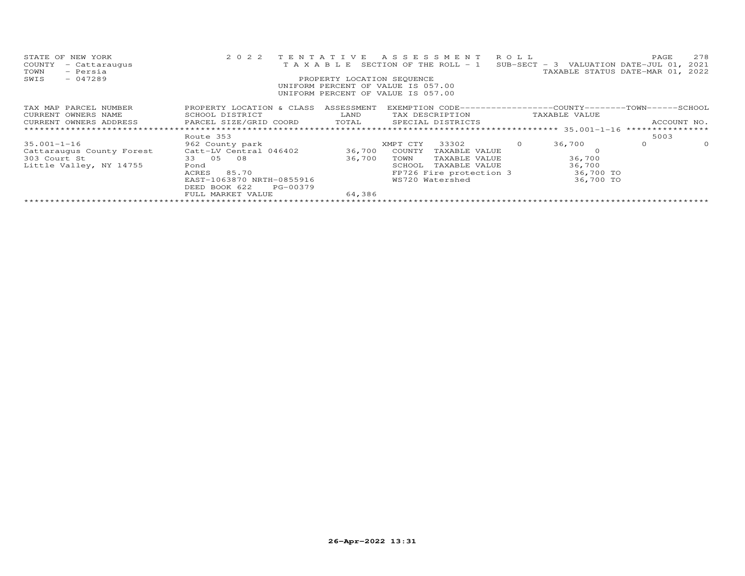| STATE OF NEW YORK<br>COUNTY<br>- Cattaraugus<br>TOWN<br>- Persia | 2 0 2 2                                      | TENTATIVE                  | ASSESSMENT<br>T A X A B L E SECTION OF THE ROLL - 1                              | R O L L | SUB-SECT - 3 VALUATION DATE-JUL 01, 2021<br>TAXABLE STATUS DATE-MAR 01, 2022 | PAGE             | 278      |
|------------------------------------------------------------------|----------------------------------------------|----------------------------|----------------------------------------------------------------------------------|---------|------------------------------------------------------------------------------|------------------|----------|
| $-047289$<br>SWIS                                                |                                              | PROPERTY LOCATION SEQUENCE |                                                                                  |         |                                                                              |                  |          |
|                                                                  |                                              |                            | UNIFORM PERCENT OF VALUE IS 057.00                                               |         |                                                                              |                  |          |
|                                                                  |                                              |                            | UNIFORM PERCENT OF VALUE IS 057.00                                               |         |                                                                              |                  |          |
|                                                                  |                                              |                            |                                                                                  |         |                                                                              |                  |          |
| TAX MAP PARCEL NUMBER<br>CURRENT OWNERS NAME                     | PROPERTY LOCATION & CLASS<br>SCHOOL DISTRICT | ASSESSMENT<br>LAND         | EXEMPTION CODE------------------COUNTY-------TOWN------SCHOOL<br>TAX DESCRIPTION |         | TAXABLE VALUE                                                                |                  |          |
| CURRENT OWNERS ADDRESS                                           | PARCEL SIZE/GRID COORD                       | TOTAL                      | SPECIAL DISTRICTS                                                                |         |                                                                              | ACCOUNT NO.      |          |
|                                                                  |                                              |                            |                                                                                  |         |                                                                              | **************** |          |
|                                                                  | Route 353                                    |                            |                                                                                  |         |                                                                              | 5003             |          |
| $35.001 - 1 - 16$                                                | 962 County park                              |                            | 33302<br>XMPT CTY                                                                |         | 36,700                                                                       | $\circ$          | $\Omega$ |
| Cattaraugus County Forest                                        | Catt-LV Central 046402                       | 36,700                     | COUNTY<br>TAXABLE VALUE                                                          |         |                                                                              |                  |          |
| 303 Court St                                                     | 33 05 08                                     | 36,700                     | TOWN<br>TAXABLE VALUE                                                            |         | 36,700                                                                       |                  |          |
| Little Valley, NY 14755                                          | Pond                                         |                            | TAXABLE VALUE<br>SCHOOL                                                          |         | 36,700                                                                       |                  |          |
|                                                                  | 85.70<br>ACRES                               |                            | FP726 Fire protection 3                                                          |         | 36,700 TO                                                                    |                  |          |
|                                                                  | EAST-1063870 NRTH-0855916                    |                            | WS720 Watershed                                                                  |         | 36,700 TO                                                                    |                  |          |
|                                                                  | DEED BOOK 622<br>PG-00379                    |                            |                                                                                  |         |                                                                              |                  |          |
|                                                                  | FULL MARKET VALUE                            | 64,386                     |                                                                                  |         |                                                                              |                  |          |
|                                                                  |                                              |                            |                                                                                  |         |                                                                              |                  |          |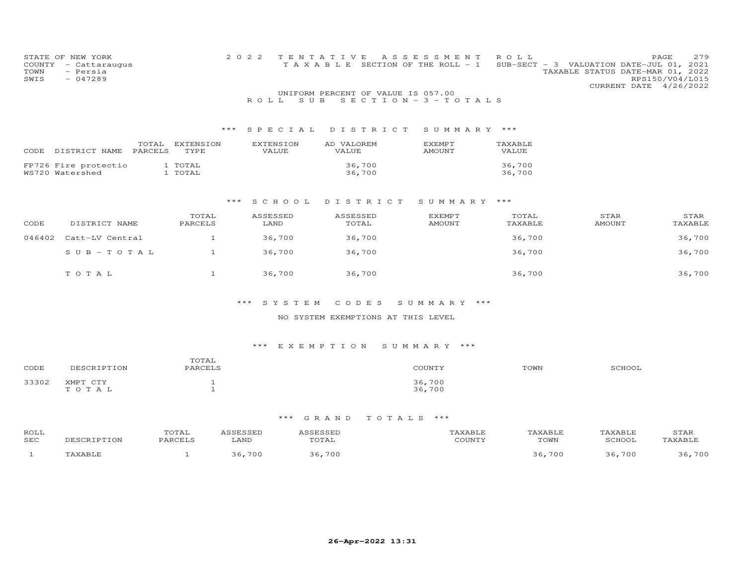| COUNTY<br>TOWN<br>SWIS | STATE OF NEW YORK<br>- Cattaraugus<br>- Persia<br>$-047289$ |              | 2 0 2 2           |                  | TENTATIVE<br>TAXABLE               | A S S E S S M E N T<br>SECTION OF THE ROLL - 1 | ROLL    | PAGE<br>SUB-SECT - 3 VALUATION DATE-JUL 01, 2021<br>TAXABLE STATUS DATE-MAR 01, 2022<br>RPS150/V04/L015<br>CURRENT DATE 4/26/2022 | 279 |
|------------------------|-------------------------------------------------------------|--------------|-------------------|------------------|------------------------------------|------------------------------------------------|---------|-----------------------------------------------------------------------------------------------------------------------------------|-----|
|                        |                                                             |              |                   |                  | UNIFORM PERCENT OF VALUE IS 057.00 |                                                |         |                                                                                                                                   |     |
|                        |                                                             |              |                   | S U B<br>ROLL    |                                    | $S E C T I O N - 3 - T O T A L S$              |         |                                                                                                                                   |     |
|                        |                                                             |              |                   |                  |                                    |                                                |         |                                                                                                                                   |     |
|                        |                                                             |              | $\star\star\star$ | SPECIAL          | DISTRICT                           | SUMMARY ***                                    |         |                                                                                                                                   |     |
|                        | TOTAL                                                       | EXTENSION    |                   | <b>EXTENSION</b> | AD VALOREM                         | EXEMPT                                         | TAXABLE |                                                                                                                                   |     |
|                        | CODE DISTRICT NAME<br>PARCELS                               | TYPE         |                   | VALUE            | <b>VALUE</b>                       | <b>AMOUNT</b>                                  | VALUE   |                                                                                                                                   |     |
|                        | FP726 Fire protectio                                        | 1 TOTAL      |                   |                  | 36,700                             |                                                | 36,700  |                                                                                                                                   |     |
|                        | WS720 Watershed                                             | 1 TOTAL      |                   |                  | 36,700                             |                                                | 36,700  |                                                                                                                                   |     |
|                        |                                                             |              |                   |                  |                                    |                                                |         |                                                                                                                                   |     |
|                        |                                                             |              |                   |                  |                                    |                                                |         |                                                                                                                                   |     |
|                        |                                                             |              | $***$             | S C H O O L      | DISTRICT                           | SUMMARY                                        | $***$   |                                                                                                                                   |     |
|                        |                                                             | TOTAL        |                   | ASSESSED         | ASSESSED                           | <b>EXEMPT</b>                                  | TOTAL   | STAR<br>STAR                                                                                                                      |     |
| CODE                   | DISTRICT NAME                                               | PARCELS      |                   | LAND             | TOTAL                              | AMOUNT                                         | TAXABLE | <b>AMOUNT</b><br>TAXABLE                                                                                                          |     |
|                        |                                                             |              |                   |                  |                                    |                                                |         |                                                                                                                                   |     |
| 046402                 | Catt-LV Central                                             | $\mathbf{1}$ |                   | 36,700           | 36,700                             |                                                | 36,700  | 36,700                                                                                                                            |     |
|                        | $S \cup B - T \cup T A$                                     | $\mathbf{1}$ |                   | 36,700           | 36,700                             |                                                | 36,700  | 36,700                                                                                                                            |     |
|                        |                                                             |              |                   |                  |                                    |                                                |         |                                                                                                                                   |     |
|                        | TOTAL                                                       | $\mathbf{1}$ |                   | 36,700           | 36,700                             |                                                | 36,700  | 36,700                                                                                                                            |     |
|                        |                                                             |              |                   |                  |                                    |                                                |         |                                                                                                                                   |     |
|                        |                                                             |              |                   |                  |                                    |                                                |         |                                                                                                                                   |     |

## \*\*\* S Y S T E M C O D E S S U M M A R Y \*\*\*

## NO SYSTEM EXEMPTIONS AT THIS LEVEL

# \*\*\* E X E M P T I O N S U M M A R Y \*\*\*

| CODE  | DESCRIPTION       | TOTAL<br>PARCELS | COUNTY           | TOWN | SCHOOL |
|-------|-------------------|------------------|------------------|------|--------|
| 33302 | XMPT CTY<br>TOTAL |                  | 36,700<br>36,700 |      |        |

| ROLL<br>SEC | DESCRIPTION | TOTAL<br>PARCELS | \SSESSED<br>LAND | <i><b>\SSESSED</b></i><br>TOTAL | TAXABLE<br>COUNTY | TAXABLE<br>TOWN | TAXABLE<br>SCHOOL | STAR<br>TAXABLE |
|-------------|-------------|------------------|------------------|---------------------------------|-------------------|-----------------|-------------------|-----------------|
|             | TAXABLE     |                  | 700              | 700                             |                   | 36,700          | 36,700            | ,700            |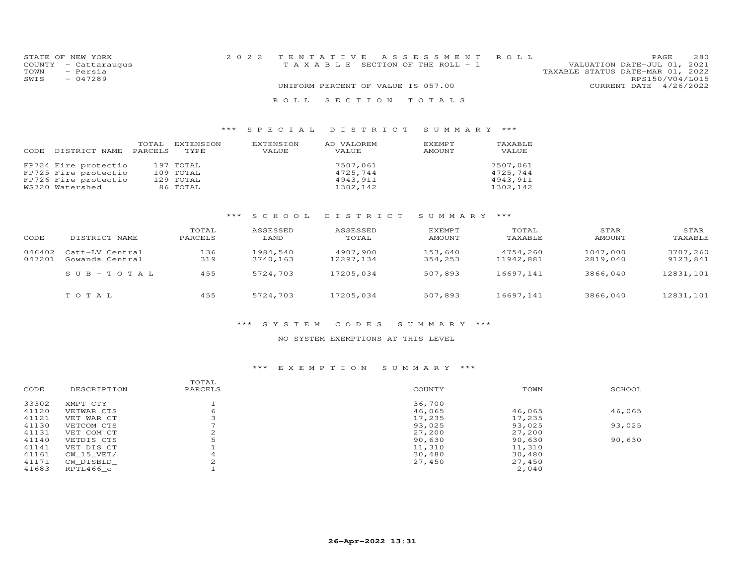| STATE OF NEW YORK    | 2022 TENTATIVE ASSESSMENT ROLL        |  |                                  | PAGE.                  | 280 |
|----------------------|---------------------------------------|--|----------------------------------|------------------------|-----|
| COUNTY - Cattaraugus | T A X A B L E SECTION OF THE ROLL - 1 |  | VALUATION DATE-JUL 01, 2021      |                        |     |
| - Persia<br>TOWN     |                                       |  | TAXABLE STATUS DATE-MAR 01, 2022 |                        |     |
| $-047289$<br>SWIS    |                                       |  |                                  | RPS150/V04/L015        |     |
|                      | UNIFORM PERCENT OF VALUE IS 057.00    |  |                                  | CURRENT DATE 4/26/2022 |     |
|                      | ROLL SECTION TOTALS                   |  |                                  |                        |     |

| CODE | DISTRICT NAME        | TOTAL<br>PARCELS | EXTENSION<br>TYPE. | EXTENSION<br>VALUE | AD VALOREM<br>VALUE | EXEMPT<br>AMOUNT | TAXABLE<br>VALUE |
|------|----------------------|------------------|--------------------|--------------------|---------------------|------------------|------------------|
|      | FP724 Fire protectio |                  | 197 TOTAL          |                    | 7507,061            |                  | 7507.061         |
|      | FP725 Fire protectio |                  | 109 TOTAL          |                    | 4725,744            |                  | 4725.744         |
|      | FP726 Fire protectio |                  | 129 TOTAL          |                    | 4943,911            |                  | 4943,911         |
|      | WS720 Watershed      |                  | 86 TOTAL           |                    | 1302,142            |                  | 1302,142         |

# \*\*\* S C H O O L D I S T R I C T S U M M A R Y \*\*\*

| CODE             | DISTRICT NAME                      | TOTAL<br>PARCELS | ASSESSED<br>LAND     | ASSESSED<br>TOTAL      | <b>EXEMPT</b><br>AMOUNT | TOTAL<br>TAXABLE      | STAR<br>AMOUNT       | STAR<br>TAXABLE      |
|------------------|------------------------------------|------------------|----------------------|------------------------|-------------------------|-----------------------|----------------------|----------------------|
| 046402<br>047201 | Catt-LV Central<br>Gowanda Central | 136<br>319       | 1984,540<br>3740,163 | 4907,900<br>12297, 134 | 153,640<br>354,253      | 4754,260<br>11942,881 | 1047,000<br>2819,040 | 3707,260<br>9123,841 |
|                  | $SUB - TO TAL$                     | 455              | 5724,703             | 17205,034              | 507,893                 | 16697,141             | 3866,040             | 12831,101            |
|                  | тотаь                              | 455              | 5724,703             | 17205,034              | 507,893                 | 16697,141             | 3866,040             | 12831,101            |

#### \*\*\* S Y S T E M C O D E S S U M M A R Y \*\*\*

### NO SYSTEM EXEMPTIONS AT THIS LEVEL

#### \*\*\* E X E M P T I O N S U M M A R Y \*\*\*

|       |             | TOTAL   |        |        |        |
|-------|-------------|---------|--------|--------|--------|
| CODE  | DESCRIPTION | PARCELS | COUNTY | TOWN   | SCHOOL |
| 33302 | XMPT CTY    |         | 36,700 |        |        |
| 41120 | VETWAR CTS  | 6       | 46,065 | 46,065 | 46,065 |
| 41121 | VET WAR CT  |         | 17,235 | 17,235 |        |
| 41130 | VETCOM CTS  |         | 93,025 | 93,025 | 93,025 |
| 41131 | VET COM CT  |         | 27,200 | 27,200 |        |
| 41140 | VETDIS CTS  |         | 90,630 | 90,630 | 90,630 |
| 41141 | VET DIS CT  |         | 11,310 | 11,310 |        |
| 41161 | CW 15 VET/  |         | 30,480 | 30,480 |        |
| 41171 | CW DISBLD   |         | 27,450 | 27,450 |        |
| 41683 | RPTL466 c   |         |        | 2,040  |        |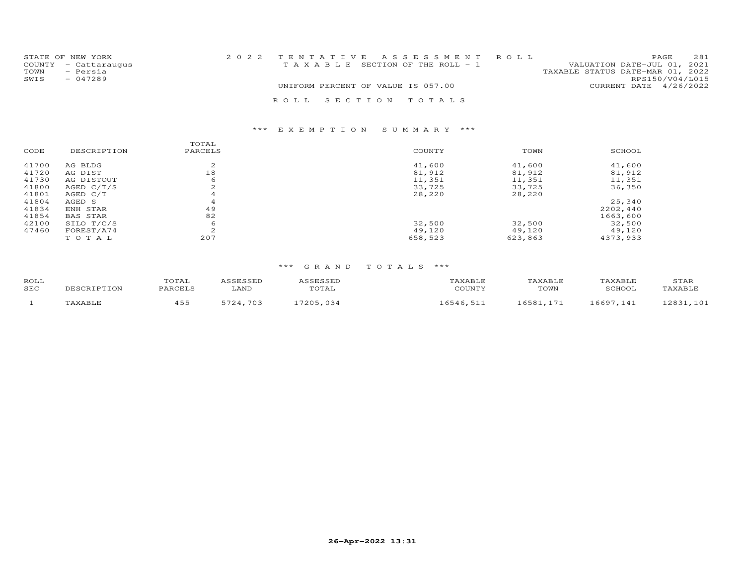|      | STATE OF NEW YORK    | 2022 TENTATIVE ASSESSMENT ROLL        |  |                                  |                 | PAGE | 2.81 |
|------|----------------------|---------------------------------------|--|----------------------------------|-----------------|------|------|
|      | COUNTY - Cattaraugus | T A X A B L E SECTION OF THE ROLL - 1 |  | VALUATION DATE-JUL 01, 2021      |                 |      |      |
| TOWN | - Persia             |                                       |  | TAXABLE STATUS DATE-MAR 01, 2022 |                 |      |      |
| SWIS | - 047289             |                                       |  |                                  | RPS150/V04/L015 |      |      |
|      |                      | UNIFORM PERCENT OF VALUE IS 057.00    |  | CURRENT DATE 4/26/2022           |                 |      |      |
|      |                      | ROLL SECTION TOTALS                   |  |                                  |                 |      |      |

## \*\*\* E X E M P T I O N S U M M A R Y \*\*\*

|                 | TOTAL       |         |         |          |
|-----------------|-------------|---------|---------|----------|
| DESCRIPTION     | PARCELS     | COUNTY  | TOWN    | SCHOOL   |
| AG BLDG         | $\sim$<br>∠ | 41,600  | 41,600  | 41,600   |
| AG DIST         | 18          | 81,912  | 81,912  | 81,912   |
| AG DISTOUT      | 6           | 11,351  | 11,351  | 11,351   |
| AGED $C/T/S$    | $\sim$<br>∠ | 33,725  | 33,725  | 36,350   |
| AGED C/T        |             | 28,220  | 28,220  |          |
| AGED S          | 4           |         |         | 25,340   |
| ENH STAR        | 49          |         |         | 2202,440 |
| <b>BAS STAR</b> | 82          |         |         | 1663,600 |
| SILO T/C/S      | 6           | 32,500  | 32,500  | 32,500   |
| FOREST/A74      | 2           | 49,120  | 49.120  | 49,120   |
| TOTAL           | 207         | 658,523 | 623,863 | 4373,933 |
|                 |             |         |         |          |

| ROLL<br><b>SEC</b> | DESCRIPTION | TOTAL<br>PARCELS | ASSESSED<br>LAND | ASSESSED<br>TOTAL | TAXABLE<br>COUNTY | TAXABLE<br>TOWN | TAXABLE<br>SCHOOL | STAR<br>TAXABLE |
|--------------------|-------------|------------------|------------------|-------------------|-------------------|-----------------|-------------------|-----------------|
|                    | TAXABLE     | 455              | 5724,703         | 17205,034         | 16546,511         | 16581.171       | 16697,141         | 12831,101       |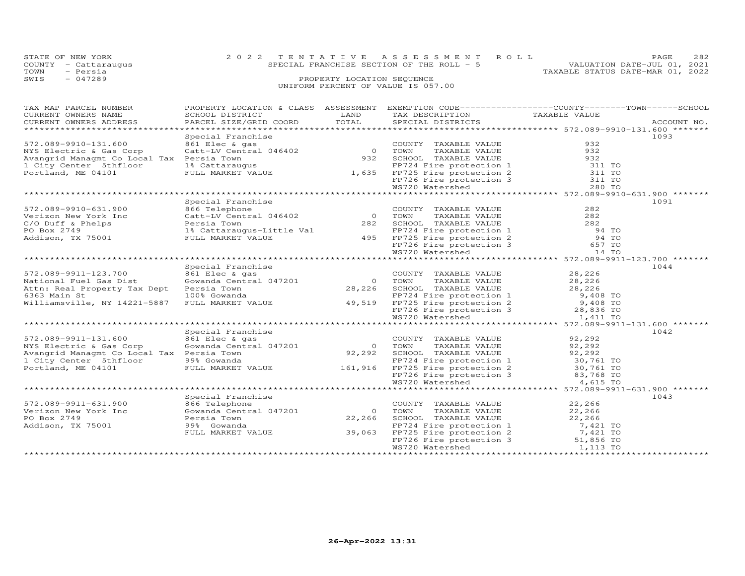|      | STATE OF NEW YORK    | 2022 TENTATIVE ASSESSMENT ROLL             | PAGE                             | 282 |
|------|----------------------|--------------------------------------------|----------------------------------|-----|
|      | COUNTY - Cattaraugus | SPECIAL FRANCHISE SECTION OF THE ROLL $-5$ | VALUATION DATE-JUL 01, 2021      |     |
| TOWN | - Persia             |                                            | TAXABLE STATUS DATE-MAR 01, 2022 |     |
| SWIS | $-047289$            | PROPERTY LOCATION SEQUENCE                 |                                  |     |
|      |                      | UNIFORM PERCENT OF VALUE IS 057.00         |                                  |     |

| TAX MAP PARCEL NUMBER                     | PROPERTY LOCATION & CLASS ASSESSMENT                                         |                |                                                                                                                                                                                                                | EXEMPTION CODE-----------------COUNTY-------TOWN------SCHOOL |
|-------------------------------------------|------------------------------------------------------------------------------|----------------|----------------------------------------------------------------------------------------------------------------------------------------------------------------------------------------------------------------|--------------------------------------------------------------|
| CURRENT OWNERS NAME                       | SCHOOL DISTRICT                                                              | LAND           | TAX DESCRIPTION                                                                                                                                                                                                | TAXABLE VALUE                                                |
| CURRENT OWNERS ADDRESS                    | PARCEL SIZE/GRID COORD                                                       | TOTAL          | SPECIAL DISTRICTS                                                                                                                                                                                              | ACCOUNT NO.                                                  |
|                                           |                                                                              |                |                                                                                                                                                                                                                |                                                              |
|                                           | Special Franchise                                                            |                |                                                                                                                                                                                                                | 1093                                                         |
| 572.089-9910-131.600                      | Principle & gas<br>Catt-LV Central 046402 0 TOWN<br>Persia Town 932 SCHOC    |                | COUNTY TAXABLE VALUE                                                                                                                                                                                           | 932                                                          |
| NYS Electric & Gas Corp                   |                                                                              |                |                                                                                                                                                                                                                | 932                                                          |
| Avangrid Managmt Co Local Tax Persia Town |                                                                              |                |                                                                                                                                                                                                                |                                                              |
| 1 City Center 5thfloor                    |                                                                              |                |                                                                                                                                                                                                                | 932<br>311 TO                                                |
| Portland, ME 04101                        |                                                                              |                |                                                                                                                                                                                                                | 311 TO                                                       |
|                                           |                                                                              |                |                                                                                                                                                                                                                | 311 TO                                                       |
|                                           |                                                                              |                |                                                                                                                                                                                                                | 280 TO                                                       |
|                                           |                                                                              |                | Catt-LV Central 046402<br>Persia Town 932 SCHOOL TAXABLE VALUE<br>1% Cattaraugus PP724 Fire protection 1<br>FULL MARKET VALUE 1,635 FP725 Fire protection 2<br>FP726 Fire protection 3<br>WS720 Watershed      |                                                              |
|                                           |                                                                              |                |                                                                                                                                                                                                                |                                                              |
|                                           | Special Franchise                                                            |                |                                                                                                                                                                                                                | 1091                                                         |
| 572.089-9910-631.900                      | 866 Telephone<br>coo rerephone<br>Catt-LV Central 046402 (0                  |                | COUNTY TAXABLE VALUE                                                                                                                                                                                           | 282                                                          |
| Verizon New York Inc                      |                                                                              |                | TAXABLE VALUE<br>TOWN                                                                                                                                                                                          | 282                                                          |
| C/O Duff & Phelps                         | Persia Town<br>Persia Town<br>1% Cattaraugus-Little Val<br>FULL MARKET VALUE |                |                                                                                                                                                                                                                |                                                              |
| PO Box 2749                               |                                                                              |                |                                                                                                                                                                                                                |                                                              |
| Addison, TX 75001                         |                                                                              |                |                                                                                                                                                                                                                |                                                              |
|                                           |                                                                              |                |                                                                                                                                                                                                                |                                                              |
|                                           |                                                                              |                | 282 SCHOOL TAXABLE VALUE 282<br>FP724 Fire protection 1 94 TO<br>495 FP726 Fire protection 2 94 TO<br>FP726 Fire protection 3 657 TO<br>WS720 Watershed 14 TO<br>WS720 Watershed                               |                                                              |
|                                           |                                                                              |                |                                                                                                                                                                                                                |                                                              |
|                                           | Special Franchise                                                            |                |                                                                                                                                                                                                                | 1044                                                         |
| 572.089-9911-123.700                      | 861 Elec & gas                                                               |                | COUNTY TAXABLE VALUE                                                                                                                                                                                           | 28,226                                                       |
| National Fuel Gas Dist                    | Gowanda Central 047201                                                       | $\overline{O}$ | TAXABLE VALUE<br>TOWN                                                                                                                                                                                          | 28,226                                                       |
| Attn: Real Property Tax Dept Persia Town  |                                                                              |                | 28,226 SCHOOL TAXABLE VALUE                                                                                                                                                                                    | 28,226                                                       |
| 6363 Main St                              |                                                                              |                |                                                                                                                                                                                                                |                                                              |
| Williamsville, NY 14221-5887              |                                                                              |                |                                                                                                                                                                                                                |                                                              |
|                                           |                                                                              |                |                                                                                                                                                                                                                |                                                              |
|                                           |                                                                              |                |                                                                                                                                                                                                                |                                                              |
| *****************************             |                                                                              |                | Persia Town<br>100% Gowanda<br>FULL MARKET VALUE 49,519 FP725 Fire protection 2 9,408 TO<br>FULL MARKET VALUE 49,519 FP726 Fire protection 3 28,836 TO<br>WS720 Watershed 1,411 TO<br>WS720 Watershed 1,411 TO |                                                              |
|                                           | Special Franchise                                                            |                |                                                                                                                                                                                                                | 1042                                                         |
| 572.089-9911-131.600                      | 861 Elec & gas                                                               |                | COUNTY TAXABLE VALUE                                                                                                                                                                                           | 92,292                                                       |
| NYS Electric & Gas Corp                   | Gowanda Central 047201                                                       | $\overline{0}$ | TOWN<br>TAXABLE VALUE                                                                                                                                                                                          | 92,292                                                       |
| Avangrid Managmt Co Local Tax Persia Town |                                                                              |                | 92,292 SCHOOL TAXABLE VALUE                                                                                                                                                                                    | 92,292                                                       |
|                                           |                                                                              |                |                                                                                                                                                                                                                |                                                              |
| 1 City Center 5thfloor                    | 99% Gowanda                                                                  |                | $FP724$ Fire protection 1 30,761 TO                                                                                                                                                                            |                                                              |
| Portland, ME 04101                        |                                                                              |                |                                                                                                                                                                                                                |                                                              |
|                                           |                                                                              |                |                                                                                                                                                                                                                |                                                              |
|                                           |                                                                              |                | 99% Gowanda<br>FULL MARKET VALUE 161,916 FP725 Fire protection 2 30,761 TO<br>FP726 Fire protection 3 83,768 TO<br>WS720 Watershed 4,615 TO                                                                    |                                                              |
|                                           |                                                                              |                |                                                                                                                                                                                                                |                                                              |
|                                           | Special Franchise                                                            |                |                                                                                                                                                                                                                | 1043                                                         |
| 572.089-9911-631.900                      | 866 Telephone                                                                |                | COUNTY TAXABLE VALUE                                                                                                                                                                                           | 22,266                                                       |
| Verizon New York Inc                      | Gowanda Central 047201                                                       | $\Omega$       | TOWN<br>TAXABLE VALUE                                                                                                                                                                                          | 22,266                                                       |
| PO Box 2749                               | Persia Town                                                                  | 22,266         | SCHOOL TAXABLE VALUE                                                                                                                                                                                           | 22,266                                                       |
| Addison, TX 75001                         | 99% Gowanda                                                                  |                | FP724 Fire protection 1 7,421 TO<br>FP725 Fire protection 2 7,421 TO<br>FP726 Fire protection 3 51,856 TO                                                                                                      |                                                              |
|                                           | FULL MARKET VALUE 39,063                                                     |                |                                                                                                                                                                                                                |                                                              |
|                                           |                                                                              |                |                                                                                                                                                                                                                |                                                              |
|                                           |                                                                              |                | WS720 Watershed                                                                                                                                                                                                | 1,113 TO                                                     |
|                                           |                                                                              |                |                                                                                                                                                                                                                |                                                              |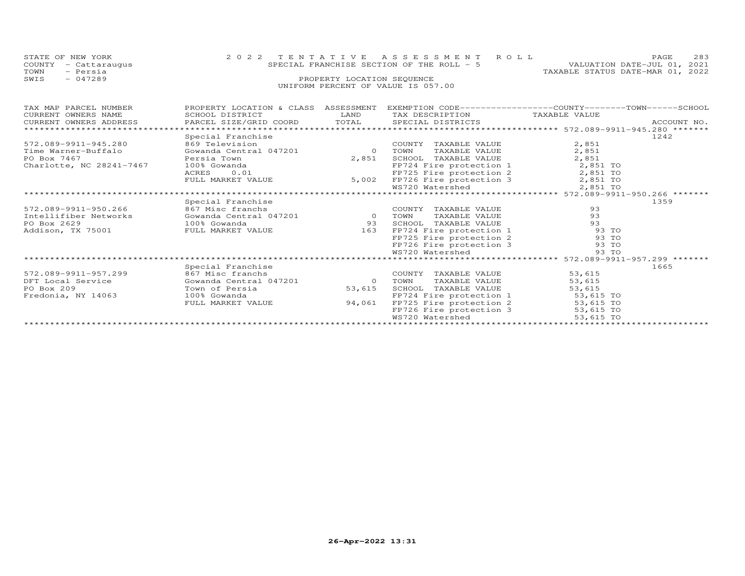| STATE OF NEW YORK      |                           |                            | 2022 TENTATIVE ASSESSMENT ROLL            |                                                              | 283<br>PAGE                      |  |
|------------------------|---------------------------|----------------------------|-------------------------------------------|--------------------------------------------------------------|----------------------------------|--|
| COUNTY - Cattaraugus   |                           |                            | SPECIAL FRANCHISE SECTION OF THE ROLL - 5 |                                                              | VALUATION DATE-JUL 01, 2021      |  |
| - Persia<br>TOWN       |                           |                            |                                           |                                                              | TAXABLE STATUS DATE-MAR 01, 2022 |  |
| $-047289$<br>SWIS      |                           | PROPERTY LOCATION SEQUENCE |                                           |                                                              |                                  |  |
|                        |                           |                            | UNIFORM PERCENT OF VALUE IS 057.00        |                                                              |                                  |  |
|                        |                           |                            |                                           |                                                              |                                  |  |
|                        |                           |                            |                                           |                                                              |                                  |  |
| TAX MAP PARCEL NUMBER  | PROPERTY LOCATION & CLASS | ASSESSMENT                 |                                           | EXEMPTION CODE-----------------COUNTY-------TOWN------SCHOOL |                                  |  |
| CURRENT OWNERS NAME    | SCHOOL DISTRICT           | LAND                       | TAX DESCRIPTION                           | TAXABLE VALUE                                                |                                  |  |
| CURRENT OWNERS ADDRESS | PARCEL SIZE/GRID COORD    | TOTAL                      | SPECIAL DISTRICTS                         |                                                              | ACCOUNT NO.                      |  |
|                        |                           |                            |                                           |                                                              |                                  |  |

|                          |                        |          |                         | J / 2 . 00 J JJII JIJ. 200           |  |
|--------------------------|------------------------|----------|-------------------------|--------------------------------------|--|
|                          | Special Franchise      |          |                         | 1242                                 |  |
| 572.089-9911-945.280     | 869 Television         |          | COUNTY<br>TAXABLE VALUE | 2,851                                |  |
| Time Warner-Buffalo      | Gowanda Central 047201 | $\Omega$ | TAXABLE VALUE<br>TOWN   | 2,851                                |  |
| PO Box 7467              | Persia Town            | 2,851    | SCHOOL<br>TAXABLE VALUE | 2,851                                |  |
| Charlotte, NC 28241-7467 | 100% Gowanda           |          | FP724 Fire protection 1 | 2,851 TO                             |  |
|                          | 0.01<br>ACRES          |          | FP725 Fire protection 2 | 2,851 TO                             |  |
|                          | FULL MARKET VALUE      | 5,002    | FP726 Fire protection 3 | 2,851 TO                             |  |
|                          |                        |          | WS720 Watershed         | 2,851 TO                             |  |
|                          |                        |          |                         | ******* 572.089-9911-950.266 ******* |  |
|                          | Special Franchise      |          |                         | 1359                                 |  |
| 572.089-9911-950.266     | 867 Misc franchs       |          | COUNTY<br>TAXABLE VALUE | 93                                   |  |
| Intellifiber Networks    | Gowanda Central 047201 |          | TOWN<br>TAXABLE VALUE   | 93                                   |  |
| PO Box 2629              | 100% Gowanda           | 93       | SCHOOL<br>TAXABLE VALUE | 93                                   |  |
| Addison, TX 75001        | FULL MARKET VALUE      | 163      | FP724 Fire protection 1 | 93 TO                                |  |
|                          |                        |          | FP725 Fire protection 2 | 93 TO                                |  |
|                          |                        |          | FP726 Fire protection 3 | 93 TO                                |  |
|                          |                        |          | WS720 Watershed         | 93 TO                                |  |
|                          |                        |          |                         |                                      |  |
|                          | Special Franchise      |          |                         | 1665                                 |  |
| 572.089-9911-957.299     | 867 Misc franchs       |          | COUNTY<br>TAXABLE VALUE | 53,615                               |  |
| DFT Local Service        | Gowanda Central 047201 | $\circ$  | TOWN<br>TAXABLE VALUE   | 53,615                               |  |
| PO Box 209               | Town of Persia         | 53,615   | SCHOOL<br>TAXABLE VALUE | 53,615                               |  |
| Fredonia, NY 14063       | 100% Gowanda           |          | FP724 Fire protection 1 | 53,615 TO                            |  |
|                          | FULL MARKET VALUE      | 94,061   | FP725 Fire protection 2 | 53,615 TO                            |  |
|                          |                        |          | FP726 Fire protection 3 | 53,615 TO                            |  |
|                          |                        |          | WS720 Watershed         | 53,615 TO                            |  |
|                          |                        |          |                         |                                      |  |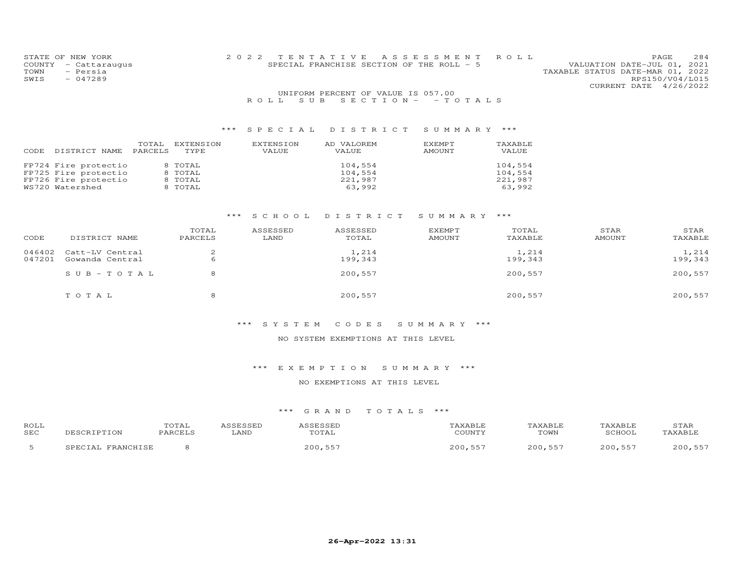| STATE OF NEW YORK    |  | 2022 TENTATIVE ASSESSMENT ROLL             |                                  | PAGE            | 284 |
|----------------------|--|--------------------------------------------|----------------------------------|-----------------|-----|
| COUNTY - Cattaraugus |  | SPECIAL FRANCHISE SECTION OF THE ROLL $-5$ | VALUATION DATE-JUL 01, 2021      |                 |     |
| - Persia<br>TOWN     |  |                                            | TAXABLE STATUS DATE-MAR 01, 2022 |                 |     |
| SWIS<br>$-047289$    |  |                                            |                                  | RPS150/V04/L015 |     |
|                      |  |                                            | CURRENT DATE 4/26/2022           |                 |     |
|                      |  | UNIFORM PERCENT OF VALUE IS 057.00         |                                  |                 |     |
|                      |  | ROLL SUB SECTION - - TOTALS                |                                  |                 |     |

| DISTRICT NAME                                                                           | TOTAL   | EXTENSION                                | EXTENSION | AD VALOREM                              | EXEMPT | TAXABLE                                 |
|-----------------------------------------------------------------------------------------|---------|------------------------------------------|-----------|-----------------------------------------|--------|-----------------------------------------|
| CODE                                                                                    | PARCELS | TYPE                                     | VALUE     | VALUE                                   | AMOUNT | VALUE                                   |
| FP724 Fire protectio<br>FP725 Fire protectio<br>FP726 Fire protectio<br>WS720 Watershed |         | 8 TOTAL<br>8 TOTAL<br>8 TOTAL<br>8 TOTAL |           | 104,554<br>104,554<br>221,987<br>63,992 |        | 104,554<br>104,554<br>221,987<br>63,992 |

#### \*\*\* S C H O O L D I S T R I C T S U M M A R Y \*\*\*

| CODE             | DISTRICT NAME                      | TOTAL<br>PARCELS | ASSESSED<br>LAND | ASSESSED<br>TOTAL | <b>EXEMPT</b><br>AMOUNT | TOTAL<br>TAXABLE | STAR<br>AMOUNT | STAR<br>TAXABLE  |
|------------------|------------------------------------|------------------|------------------|-------------------|-------------------------|------------------|----------------|------------------|
| 046402<br>047201 | Catt-LV Central<br>Gowanda Central | 6                |                  | 1,214<br>199,343  |                         | 1,214<br>199,343 |                | 1,214<br>199,343 |
|                  | $SUB - TO T AL$                    | 8                |                  | 200,557           |                         | 200,557          |                | 200,557          |
|                  | TOTAL                              | 8                |                  | 200,557           |                         | 200,557          |                | 200,557          |

#### \*\*\* S Y S T E M C O D E S S U M M A R Y \*\*\*

### NO SYSTEM EXEMPTIONS AT THIS LEVEL

#### \*\*\* E X E M P T I O N S U M M A R Y \*\*\*

#### NO EXEMPTIONS AT THIS LEVEL

| ROLL<br>SEC | LT ON<br>ነ ዞ                         | TOTAL<br>PARCELS | LAND | SSESSED<br>TOTAL | AXABLI<br>COUNTY | TAXABLE<br>TOWN | 'AXABLF<br>SCHOOI | STAR           |
|-------------|--------------------------------------|------------------|------|------------------|------------------|-----------------|-------------------|----------------|
|             | ת המתמפת<br>$\overline{\phantom{a}}$ |                  |      | 200,55           | ∩∩∩<br>-5        |                 | 200               | $- - -$<br>200 |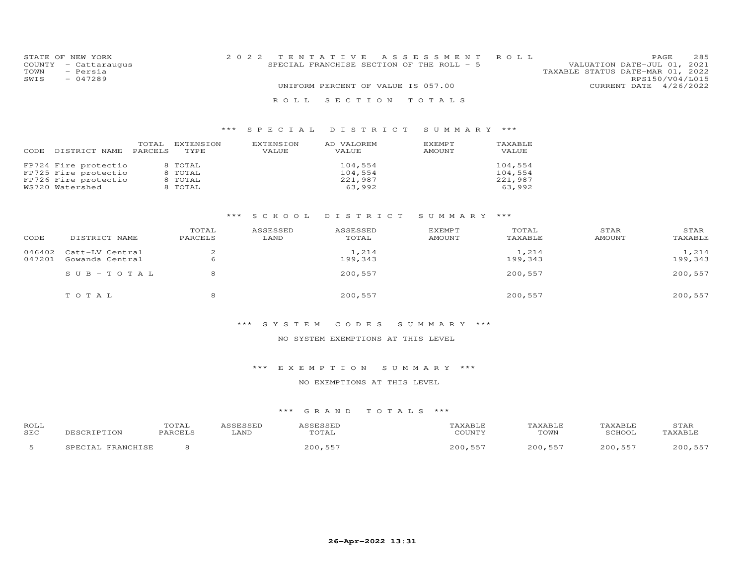|      | STATE OF NEW YORK    | 2022 TENTATIVE ASSESSMENT ROLL            | PAGE                             | 285 |
|------|----------------------|-------------------------------------------|----------------------------------|-----|
|      | COUNTY - Cattaraugus | SPECIAL FRANCHISE SECTION OF THE ROLL - 5 | VALUATION DATE-JUL 01, 2021      |     |
| TOWN | - Persia             |                                           | TAXABLE STATUS DATE-MAR 01, 2022 |     |
| SWIS | $-047289$            |                                           | RPS150/V04/L015                  |     |
|      |                      | UNIFORM PERCENT OF VALUE IS 057.00        | CURRENT DATE 4/26/2022           |     |
|      |                      | ROLL SECTION TOTALS                       |                                  |     |

| DISTRICT NAME                                                                           | TOTAL   | EXTENSION                                | EXTENSION | AD VALOREM                              | EXEMPT | TAXABLE                                 |
|-----------------------------------------------------------------------------------------|---------|------------------------------------------|-----------|-----------------------------------------|--------|-----------------------------------------|
| CODE                                                                                    | PARCELS | TYPE                                     | VALUE     | VALUE                                   | AMOUNT | VALUE                                   |
| FP724 Fire protectio<br>FP725 Fire protectio<br>FP726 Fire protectio<br>WS720 Watershed |         | 8 TOTAL<br>8 TOTAL<br>8 TOTAL<br>8 TOTAL |           | 104,554<br>104,554<br>221,987<br>63,992 |        | 104,554<br>104,554<br>221,987<br>63.992 |

#### \*\*\* S C H O O L D I S T R I C T S U M M A R Y \*\*\*

| CODE             | DISTRICT NAME                      | TOTAL<br>PARCELS | ASSESSED<br>LAND | ASSESSED<br>TOTAL | EXEMPT<br>AMOUNT | TOTAL<br>TAXABLE | STAR<br>AMOUNT | STAR<br>TAXABLE  |
|------------------|------------------------------------|------------------|------------------|-------------------|------------------|------------------|----------------|------------------|
| 046402<br>047201 | Catt-LV Central<br>Gowanda Central | 6                |                  | 1,214<br>199,343  |                  | 1,214<br>199,343 |                | 1,214<br>199,343 |
|                  | $SUB - TO T AL$                    | 8                |                  | 200,557           |                  | 200,557          |                | 200,557          |
|                  | TOTAL                              | 8                |                  | 200,557           |                  | 200,557          |                | 200,557          |

#### \*\*\* S Y S T E M C O D E S S U M M A R Y \*\*\*

### NO SYSTEM EXEMPTIONS AT THIS LEVEL

#### \*\*\* E X E M P T I O N S U M M A R Y \*\*\*

#### NO EXEMPTIONS AT THIS LEVEL

| ROLL<br>SEC | LT ON<br>ነ ዞ                         | TOTAL<br>PARCELS | LAND | SSESSED<br>TOTAL | AXABLI<br>COUNTY | TAXABLE<br>TOWN | 'AXABLF<br>SCHOOI | STAR           |
|-------------|--------------------------------------|------------------|------|------------------|------------------|-----------------|-------------------|----------------|
|             | ת המתמפת<br>$\overline{\phantom{a}}$ |                  |      | 200,55           | ∩∩∩<br>-5        |                 | 200               | $- - -$<br>200 |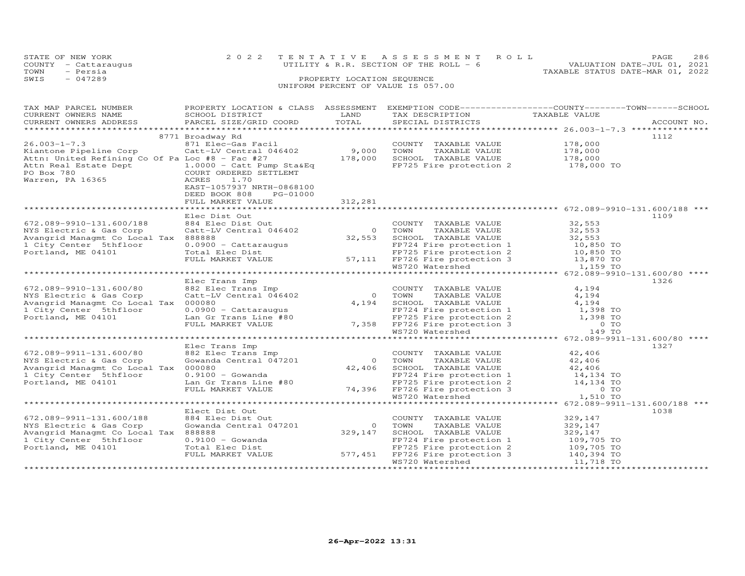| STATE OF NEW YORK |                      | 2022 TENTATIVE ASSESSMENT ROLL          |  |                                  | PAGE.                       | 286 |
|-------------------|----------------------|-----------------------------------------|--|----------------------------------|-----------------------------|-----|
|                   | COUNTY - Cattaraugus | UTILITY & R.R. SECTION OF THE ROLL $-6$ |  |                                  | VALUATION DATE-JUL 01, 2021 |     |
| TOWN              | - Persia             |                                         |  | TAXABLE STATUS DATE-MAR 01, 2022 |                             |     |
| SWIS              | $-047289$            | PROPERTY LOCATION SEQUENCE              |  |                                  |                             |     |
|                   |                      | UNIFORM PERCENT OF VALUE IS 057.00      |  |                                  |                             |     |

| TAX MAP PARCEL NUMBER                           | PROPERTY LOCATION & CLASS ASSESSMENT                                                                                                                                                                                                             |                | EXEMPTION CODE-----------------COUNTY-------TOWN------SCHOOL                                                  |                    |             |
|-------------------------------------------------|--------------------------------------------------------------------------------------------------------------------------------------------------------------------------------------------------------------------------------------------------|----------------|---------------------------------------------------------------------------------------------------------------|--------------------|-------------|
| CURRENT OWNERS NAME                             | SCHOOL DISTRICT                                                                                                                                                                                                                                  | LAND           | TAX DESCRIPTION                                                                                               | TAXABLE VALUE      |             |
| CURRENT OWNERS ADDRESS                          | PARCEL SIZE/GRID COORD                                                                                                                                                                                                                           | TOTAL          | SPECIAL DISTRICTS                                                                                             |                    | ACCOUNT NO. |
|                                                 |                                                                                                                                                                                                                                                  |                |                                                                                                               |                    |             |
|                                                 | 8771 Broadway Rd                                                                                                                                                                                                                                 |                |                                                                                                               |                    | 1112        |
| $26.003 - 1 - 7.3$                              | 871 Elec-Gas Facil                                                                                                                                                                                                                               |                | COUNTY TAXABLE VALUE                                                                                          | 178,000            |             |
| Kiantone Pipeline Corp                          | Catt-LV Central 046402                                                                                                                                                                                                                           | 9,000          | TOWN<br>TAXABLE VALUE                                                                                         |                    |             |
|                                                 |                                                                                                                                                                                                                                                  | 178,000        |                                                                                                               | 178,000<br>178,000 |             |
| Attn: United Refining Co Of Pa Loc #8 - Fac #27 |                                                                                                                                                                                                                                                  |                | SCHOOL TAXABLE VALUE                                                                                          |                    |             |
|                                                 |                                                                                                                                                                                                                                                  |                | FP725 Fire protection 2 178,000 TO                                                                            |                    |             |
|                                                 |                                                                                                                                                                                                                                                  |                |                                                                                                               |                    |             |
| Warren, PA 16365                                | ACRES<br>1.70                                                                                                                                                                                                                                    |                |                                                                                                               |                    |             |
|                                                 | EAST-1057937 NRTH-0868100                                                                                                                                                                                                                        |                |                                                                                                               |                    |             |
|                                                 | DEED BOOK 808<br>PG-01000                                                                                                                                                                                                                        |                |                                                                                                               |                    |             |
|                                                 | FULL MARKET VALUE                                                                                                                                                                                                                                | 312,281        |                                                                                                               |                    |             |
|                                                 |                                                                                                                                                                                                                                                  |                |                                                                                                               |                    |             |
|                                                 | Elec Dist Out                                                                                                                                                                                                                                    |                |                                                                                                               |                    | 1109        |
| 672.089-9910-131.600/188                        | 884 Elec Dist Out                                                                                                                                                                                                                                |                | COUNTY TAXABLE VALUE                                                                                          | 32,553             |             |
|                                                 | Catt-LV Central 046402                                                                                                                                                                                                                           | 0 TOWN         | TAXABLE VALUE                                                                                                 | 32,553             |             |
| NYS Electric & Gas Corp                         |                                                                                                                                                                                                                                                  |                |                                                                                                               |                    |             |
| Avangrid Managmt Co Local Tax 888888            |                                                                                                                                                                                                                                                  |                |                                                                                                               |                    |             |
| 1 City Center 5thfloor                          |                                                                                                                                                                                                                                                  |                |                                                                                                               |                    |             |
| Portland, ME 04101                              | Catt-LV Central 046402<br>888888 0.0900 - Cattaraugus<br>0.0900 - Cattaraugus<br>0.0900 - Cattaraugus<br>0.0900 - Cattaraugus<br>0.0900 - Cattaraugus<br>0.0900 - Cattaraugus<br>0.0900 - Cattaraugus<br>0.0900 - Cattaraugus<br>0.0900 - Cattar |                |                                                                                                               |                    |             |
|                                                 |                                                                                                                                                                                                                                                  |                |                                                                                                               |                    |             |
|                                                 |                                                                                                                                                                                                                                                  |                |                                                                                                               |                    |             |
|                                                 |                                                                                                                                                                                                                                                  |                |                                                                                                               |                    |             |
|                                                 | Elec Trans Imp                                                                                                                                                                                                                                   |                |                                                                                                               |                    | 1326        |
| 672.089-9910-131.600/80                         | 882 Elec Trans Imp                                                                                                                                                                                                                               |                | COUNTY TAXABLE VALUE                                                                                          | 4,194              |             |
| NYS Electric & Gas Corp                         | Catt-LV Central 046402                                                                                                                                                                                                                           |                | 0 TOWN<br>TAXABLE VALUE                                                                                       | 4,194              |             |
| Avangrid Managmt Co Local Tax 000080            |                                                                                                                                                                                                                                                  | 4,194          | SCHOOL TAXABLE VALUE                                                                                          | 4,194              |             |
| 1 City Center 5thfloor                          | $0.0900 - \text{Cattaraugus}$                                                                                                                                                                                                                    |                |                                                                                                               |                    |             |
| Portland, ME 04101                              | Lan Gr Trans Line #80                                                                                                                                                                                                                            |                |                                                                                                               |                    |             |
|                                                 |                                                                                                                                                                                                                                                  |                |                                                                                                               |                    |             |
|                                                 | FULL MARKET VALUE                                                                                                                                                                                                                                |                | FP724 Fire protection 1<br>FP725 Fire protection 2<br>7,358 FP726 Fire protection 3<br>WS720 Watershed 149 TO |                    |             |
|                                                 |                                                                                                                                                                                                                                                  |                |                                                                                                               |                    |             |
|                                                 |                                                                                                                                                                                                                                                  |                |                                                                                                               |                    |             |
|                                                 | Elec Trans Imp                                                                                                                                                                                                                                   |                |                                                                                                               |                    | 1327        |
| 672.089-9911-131.600/80                         | 882 Elec Trans Imp                                                                                                                                                                                                                               |                | COUNTY TAXABLE VALUE                                                                                          | 42,406             |             |
| NYS Electric & Gas Corp                         | Gowanda Central 047201                                                                                                                                                                                                                           |                | 0 TOWN<br>TAXABLE VALUE                                                                                       | 42,406             |             |
| Avangrid Managmt Co Local Tax 000080            |                                                                                                                                                                                                                                                  | 42,406         | SCHOOL TAXABLE VALUE                                                                                          | 42,406             |             |
| 1 City Center 5thfloor                          | $0.9100 - Gowanda$                                                                                                                                                                                                                               |                | FP724 Fire protection 1                                                                                       | 14,134 TO          |             |
| Portland, ME 04101                              | Lan Gr Trans Line #80                                                                                                                                                                                                                            |                | FP725 Fire protection 2<br>74,396 FP726 Fire protection 3                                                     | 14,134 TO          |             |
|                                                 | FULL MARKET VALUE                                                                                                                                                                                                                                |                |                                                                                                               | <b>O</b> TO        |             |
|                                                 |                                                                                                                                                                                                                                                  |                | WS720 Watershed                                                                                               | 1,510 TO           |             |
|                                                 |                                                                                                                                                                                                                                                  |                |                                                                                                               |                    |             |
|                                                 |                                                                                                                                                                                                                                                  |                |                                                                                                               |                    |             |
|                                                 | Elect Dist Out                                                                                                                                                                                                                                   |                |                                                                                                               |                    | 1038        |
| 672.089-9911-131.600/188                        | 884 Elec Dist Out                                                                                                                                                                                                                                |                | COUNTY TAXABLE VALUE                                                                                          | 329,147            |             |
| NYS Electric & Gas Corp                         | Gowanda Central 047201                                                                                                                                                                                                                           | $\overline{0}$ | TOWN<br>TAXABLE VALUE                                                                                         | 329,147            |             |
| Avangrid Managmt Co Local Tax 888888            |                                                                                                                                                                                                                                                  | 329,147        | SCHOOL TAXABLE VALUE                                                                                          | 329,147            |             |
| 1 City Center 5thfloor                          | $0.9100 - Gowanda$                                                                                                                                                                                                                               |                | FP724 Fire protection 1                                                                                       | 109,705 TO         |             |
| Portland, ME 04101                              |                                                                                                                                                                                                                                                  |                |                                                                                                               |                    |             |
|                                                 | Total Elec Dist<br>FULL MARKET VALUE 577,451                                                                                                                                                                                                     |                |                                                                                                               |                    |             |
|                                                 |                                                                                                                                                                                                                                                  |                | FP725 Fire protection 2 109,705 TO<br>FP726 Fire protection 3 140,394 TO<br>WS720 Watershed 11,718 TO         |                    |             |
|                                                 |                                                                                                                                                                                                                                                  |                |                                                                                                               |                    |             |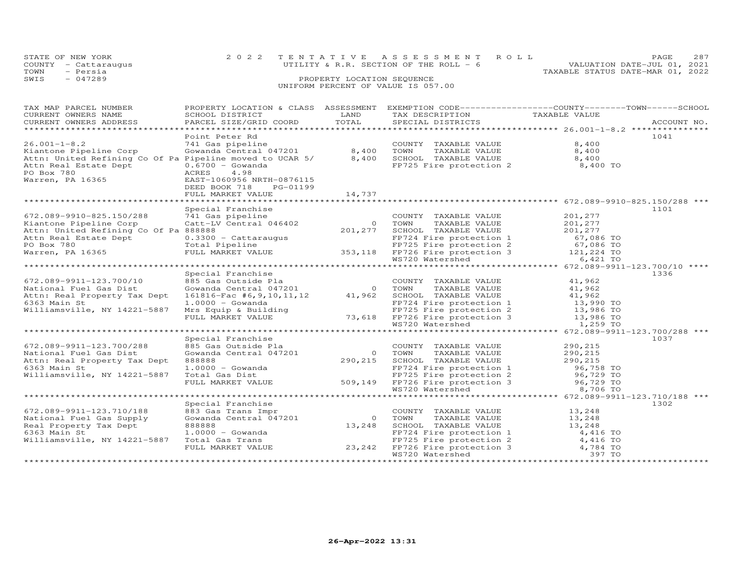|      | STATE OF NEW YORK    | 2022 TENTATIVE ASSESSMENT ROLL                                          | PAGE. | 287 |
|------|----------------------|-------------------------------------------------------------------------|-------|-----|
|      | COUNTY - Cattaraugus | VALUATION DATE-JUL 01, 2021<br>UTILITY & R.R. SECTION OF THE ROLL - $6$ |       |     |
| TOWN | - Persia             | TAXABLE STATUS DATE-MAR 01, 2022                                        |       |     |
| SWIS | - 047289             | PROPERTY LOCATION SEQUENCE                                              |       |     |
|      |                      | UNIFORM PERCENT OF VALUE IS 057.00                                      |       |     |

| TAX MAP PARCEL NUMBER                                                                                                                                                                                                                  | PROPERTY LOCATION & CLASS ASSESSMENT EXEMPTION CODE----------------COUNTY-------TOWN------SCHOOL                                                                                                                                                   |        |                                                                                                                                           |                           |             |
|----------------------------------------------------------------------------------------------------------------------------------------------------------------------------------------------------------------------------------------|----------------------------------------------------------------------------------------------------------------------------------------------------------------------------------------------------------------------------------------------------|--------|-------------------------------------------------------------------------------------------------------------------------------------------|---------------------------|-------------|
| CURRENT OWNERS NAME                                                                                                                                                                                                                    | SCHOOL DISTRICT                                                                                                                                                                                                                                    | LAND   | TAX DESCRIPTION                                                                                                                           | TAXABLE VALUE             |             |
| CURRENT OWNERS ADDRESS                                                                                                                                                                                                                 | PARCEL SIZE/GRID COORD                                                                                                                                                                                                                             | TOTAL  | SPECIAL DISTRICTS                                                                                                                         |                           | ACCOUNT NO. |
|                                                                                                                                                                                                                                        |                                                                                                                                                                                                                                                    |        |                                                                                                                                           |                           |             |
|                                                                                                                                                                                                                                        | Point Peter Rd                                                                                                                                                                                                                                     |        |                                                                                                                                           |                           | 1041        |
| $26.001 - 1 - 8.2$                                                                                                                                                                                                                     | 741 Gas pipeline                                                                                                                                                                                                                                   |        | COUNTY TAXABLE VALUE                                                                                                                      | 8,400                     |             |
|                                                                                                                                                                                                                                        |                                                                                                                                                                                                                                                    |        | TAXABLE VALUE 8,400                                                                                                                       |                           |             |
|                                                                                                                                                                                                                                        |                                                                                                                                                                                                                                                    |        |                                                                                                                                           |                           |             |
| Attn: United Refining Co Of Pa Pipeline moved to UCAR 5/ 8,400                                                                                                                                                                         |                                                                                                                                                                                                                                                    |        |                                                                                                                                           |                           |             |
| Attn Real Estate Dept<br>PO Box 780<br>Warren, PA 16365<br>Warren, PA 16365<br>RAST-1060956 NRTH-0876115                                                                                                                               |                                                                                                                                                                                                                                                    |        | SCHOOL TAXABLE VALUE 8,400<br>FP725 Fire protection 2 8,400 TO                                                                            |                           |             |
|                                                                                                                                                                                                                                        |                                                                                                                                                                                                                                                    |        |                                                                                                                                           |                           |             |
|                                                                                                                                                                                                                                        |                                                                                                                                                                                                                                                    |        |                                                                                                                                           |                           |             |
|                                                                                                                                                                                                                                        | DEED BOOK 718<br>PG-01199                                                                                                                                                                                                                          |        |                                                                                                                                           |                           |             |
|                                                                                                                                                                                                                                        | FULL MARKET VALUE                                                                                                                                                                                                                                  | 14,737 |                                                                                                                                           |                           |             |
|                                                                                                                                                                                                                                        |                                                                                                                                                                                                                                                    |        |                                                                                                                                           |                           |             |
|                                                                                                                                                                                                                                        | Special Franchise                                                                                                                                                                                                                                  |        |                                                                                                                                           |                           | 1101        |
|                                                                                                                                                                                                                                        |                                                                                                                                                                                                                                                    |        |                                                                                                                                           | $\frac{201,277}{201,277}$ |             |
| $672.089 - 9910 - 825.150/288$ $741$ Gas pipeline<br>Kiantone Pipeline Corp Catt-LV Central 046402                                                                                                                                     |                                                                                                                                                                                                                                                    |        |                                                                                                                                           |                           |             |
|                                                                                                                                                                                                                                        |                                                                                                                                                                                                                                                    |        |                                                                                                                                           |                           |             |
|                                                                                                                                                                                                                                        |                                                                                                                                                                                                                                                    |        |                                                                                                                                           |                           |             |
|                                                                                                                                                                                                                                        |                                                                                                                                                                                                                                                    |        |                                                                                                                                           |                           |             |
|                                                                                                                                                                                                                                        |                                                                                                                                                                                                                                                    |        |                                                                                                                                           |                           |             |
|                                                                                                                                                                                                                                        |                                                                                                                                                                                                                                                    |        |                                                                                                                                           |                           |             |
|                                                                                                                                                                                                                                        |                                                                                                                                                                                                                                                    |        |                                                                                                                                           |                           |             |
|                                                                                                                                                                                                                                        |                                                                                                                                                                                                                                                    |        |                                                                                                                                           |                           |             |
|                                                                                                                                                                                                                                        | Special Franchise                                                                                                                                                                                                                                  |        |                                                                                                                                           |                           | 1336        |
|                                                                                                                                                                                                                                        |                                                                                                                                                                                                                                                    |        | COUNTY TAXABLE VALUE 41,962                                                                                                               |                           |             |
|                                                                                                                                                                                                                                        |                                                                                                                                                                                                                                                    |        |                                                                                                                                           |                           |             |
|                                                                                                                                                                                                                                        |                                                                                                                                                                                                                                                    |        | TAXABLE VALUE 41,962<br>TAXABLE VALUE 41,962                                                                                              |                           |             |
|                                                                                                                                                                                                                                        |                                                                                                                                                                                                                                                    |        |                                                                                                                                           |                           |             |
|                                                                                                                                                                                                                                        |                                                                                                                                                                                                                                                    |        |                                                                                                                                           |                           |             |
|                                                                                                                                                                                                                                        |                                                                                                                                                                                                                                                    |        |                                                                                                                                           |                           |             |
|                                                                                                                                                                                                                                        |                                                                                                                                                                                                                                                    |        |                                                                                                                                           |                           |             |
|                                                                                                                                                                                                                                        |                                                                                                                                                                                                                                                    |        |                                                                                                                                           |                           |             |
| 6363 Main St 1.0000 - Gowanda<br>Williamsville, NY 14221-5887 Mrs Equip & Building<br>FULL MARKET VALUE 73,618 FP726 Fire protection 3 13,986 TO<br>TULL MARKET VALUE 73,618 FP726 Fire protection 3 13,986 TO<br>******************** |                                                                                                                                                                                                                                                    |        |                                                                                                                                           |                           |             |
|                                                                                                                                                                                                                                        | Special Franchise                                                                                                                                                                                                                                  |        |                                                                                                                                           |                           | 1037        |
| 672.089-9911-123.700/288                                                                                                                                                                                                               | 885 Gas Outside Pla                                                                                                                                                                                                                                |        |                                                                                                                                           |                           |             |
| National Fuel Gas Dist                                                                                                                                                                                                                 | Gowanda Central 047201                                                                                                                                                                                                                             |        |                                                                                                                                           |                           |             |
| Attn: Real Property Tax Dept                                                                                                                                                                                                           | 888888                                                                                                                                                                                                                                             |        |                                                                                                                                           |                           |             |
| 6363 Main St                                                                                                                                                                                                                           |                                                                                                                                                                                                                                                    |        | COUNTY TAXABLE VALUE<br>0 TOWN TAXABLE VALUE 290,215<br>290,215 SCHOOL TAXABLE VALUE 290,215<br>290,215 FP724 Fire protection 1 96,758 TO |                           |             |
| Williamsville, NY 14221-5887 Total Gas Dist                                                                                                                                                                                            |                                                                                                                                                                                                                                                    |        |                                                                                                                                           |                           |             |
|                                                                                                                                                                                                                                        |                                                                                                                                                                                                                                                    |        |                                                                                                                                           |                           |             |
|                                                                                                                                                                                                                                        | 1.0000 - Gowanda<br>Total Gas Dist<br>FEPT24 Fire protection 1<br>FEPT25 Fire protection 2<br>FEPT26 Fire protection 3<br>FEPT26 Fire protection 3<br>MST20 Watershed<br>8,706 TO                                                                  |        |                                                                                                                                           |                           |             |
|                                                                                                                                                                                                                                        |                                                                                                                                                                                                                                                    |        |                                                                                                                                           |                           |             |
|                                                                                                                                                                                                                                        |                                                                                                                                                                                                                                                    |        |                                                                                                                                           |                           |             |
|                                                                                                                                                                                                                                        | Special Franchise                                                                                                                                                                                                                                  |        |                                                                                                                                           |                           | 1302        |
| 672.089-9911-123.710/188                                                                                                                                                                                                               | 883 Gas Trans Impr<br>883 Gas Trans Impr<br>Gowanda Central 047201                            0      TOWN                                                                                                                                          |        | COUNTY TAXABLE VALUE                                                                                                                      | 13,248                    |             |
| National Fuel Gas Supply                                                                                                                                                                                                               |                                                                                                                                                                                                                                                    |        | TAXABLE VALUE 13, 248                                                                                                                     |                           |             |
| Real Property Tax Dept                                                                                                                                                                                                                 |                                                                                                                                                                                                                                                    |        |                                                                                                                                           |                           |             |
| 6363 Main St                                                                                                                                                                                                                           |                                                                                                                                                                                                                                                    |        |                                                                                                                                           |                           |             |
| Williamsville, NY 14221-5887                                                                                                                                                                                                           |                                                                                                                                                                                                                                                    |        |                                                                                                                                           |                           |             |
|                                                                                                                                                                                                                                        |                                                                                                                                                                                                                                                    |        |                                                                                                                                           |                           |             |
|                                                                                                                                                                                                                                        | 888888<br>13,248 SCHOOL TAXABLE VALUE<br>13,248 FP724 Fire protection 1<br>Total Gas Trans<br>FP725 Fire protection 2<br>FP725 Fire protection 2<br>4,416 TO<br>4,784 TO<br>FULL MARKET VALUE<br>23,242 FP726 Fire protection 3<br>WS720 Watershed |        |                                                                                                                                           |                           |             |
|                                                                                                                                                                                                                                        |                                                                                                                                                                                                                                                    |        |                                                                                                                                           |                           |             |
|                                                                                                                                                                                                                                        |                                                                                                                                                                                                                                                    |        |                                                                                                                                           |                           |             |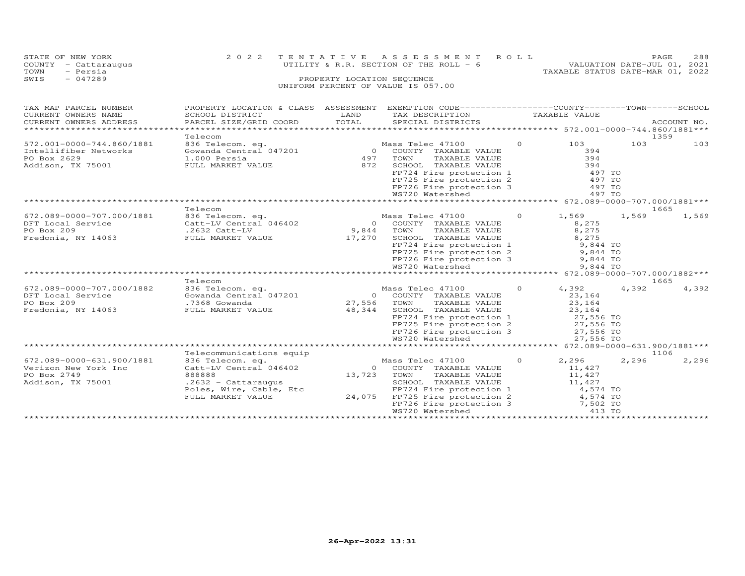|      | STATE OF NEW YORK    | 2022 TENTATIVE ASSESSMENT ROLL          | <b>PAGE</b>                 | 288 |
|------|----------------------|-----------------------------------------|-----------------------------|-----|
|      | COUNTY - Cattaraugus | UTILITY & R.R. SECTION OF THE ROLL $-6$ | VALUATION DATE-JUL 01, 2021 |     |
| TOWN | - Persia             | TAXABLE STATUS DATE-MAR 01, 2022        |                             |     |
| SWIS | $-047289$            | PROPERTY LOCATION SEQUENCE              |                             |     |
|      |                      | UNIFORM PERCENT OF VALUE IS 057.00      |                             |     |

| TAX MAP PARCEL NUMBER<br>CURRENT OWNERS NAME<br>CURRENT OWNERS ADDRESS<br>**************                                                                                 | PROPERTY LOCATION & CLASS ASSESSMENT<br>SCHOOL DISTRICT<br>PARCEL SIZE/GRID COORD                                                                                                            | LAND<br>TOTAL                                              | EXEMPTION CODE-----------------COUNTY-------TOWN------SCHOOL<br>TAX DESCRIPTION<br>SPECIAL DISTRICTS                                                                                                                                                                                                                                                                                      |                     | TAXABLE VALUE                                                                                                                        |                | ACCOUNT NO.                    |
|--------------------------------------------------------------------------------------------------------------------------------------------------------------------------|----------------------------------------------------------------------------------------------------------------------------------------------------------------------------------------------|------------------------------------------------------------|-------------------------------------------------------------------------------------------------------------------------------------------------------------------------------------------------------------------------------------------------------------------------------------------------------------------------------------------------------------------------------------------|---------------------|--------------------------------------------------------------------------------------------------------------------------------------|----------------|--------------------------------|
| 572.001-0000-744.860/1881<br>Intellifiber Networks<br>PO Box 2629<br>Addison, TX 75001                                                                                   | Telecom<br>836 Telecom. eq.<br>Gowanda Central 047201<br>1.000 Persia<br>FULL MARKET VALUE                                                                                                   | $\Omega$<br>497<br>872                                     | Mass Telec 47100<br>COUNTY TAXABLE VALUE<br>TOWN<br>TAXABLE VALUE<br>SCHOOL TAXABLE VALUE<br>FP724 Fire protection 1<br>FP725 Fire protection 2<br>FP726 Fire protection 3                                                                                                                                                                                                                | $\circ$             | 103<br>394<br>394<br>394<br>497 TO<br>497 TO<br>497 TO                                                                               | 103            | 1359<br>103                    |
|                                                                                                                                                                          |                                                                                                                                                                                              |                                                            | WS720 Watershed                                                                                                                                                                                                                                                                                                                                                                           |                     | 497 TO                                                                                                                               |                |                                |
|                                                                                                                                                                          |                                                                                                                                                                                              |                                                            |                                                                                                                                                                                                                                                                                                                                                                                           |                     |                                                                                                                                      |                |                                |
| 672.089-0000-707.000/1881<br>DFT Local Service<br>PO Box 209<br>Fredonia, NY 14063<br>672.089-0000-707.000/1882<br>DFT Local Service<br>PO Box 209<br>Fredonia, NY 14063 | Telecom<br>836 Telecom. eq.<br>Catt-LV Central 046402<br>$.2632$ Catt-LV<br>FULL MARKET VALUE<br>Telecom<br>836 Telecom. eq.<br>Gowanda Central 047201<br>.7368 Gowanda<br>FULL MARKET VALUE | $\Omega$<br>9,844<br>17,270<br>$\circ$<br>27,556<br>48,344 | Mass Telec 47100<br>COUNTY TAXABLE VALUE<br>TOWN<br>TAXABLE VALUE<br>SCHOOL TAXABLE VALUE<br>FP724 Fire protection 1<br>FP725 Fire protection 2<br>FP726 Fire protection 3<br>WS720 Watershed<br>*********************************** 672.089-0000-707.000/1882***<br>Mass Telec 47100<br>COUNTY TAXABLE VALUE<br>TOWN<br>TAXABLE VALUE<br>SCHOOL TAXABLE VALUE<br>FP724 Fire protection 1 | $\Omega$<br>$\circ$ | 1,569<br>8,275<br>8,275<br>8,275<br>9,844 TO<br>9,844 TO<br>9,844 TO<br>9,844 TO<br>4,392<br>23,164<br>23,164<br>23,164<br>27,556 TO | 1,569<br>4,392 | 1665<br>1,569<br>1665<br>4,392 |
|                                                                                                                                                                          | Telecommunications equip                                                                                                                                                                     |                                                            | FP725 Fire protection 2<br>FP726 Fire protection 3<br>WS720 Watershed                                                                                                                                                                                                                                                                                                                     |                     | 27,556 TO<br>27,556 TO<br>27,556 TO                                                                                                  |                | 1106                           |
| 672.089-0000-631.900/1881<br>Verizon New York Inc<br>PO Box 2749<br>Addison, TX 75001                                                                                    | 836 Telecom. eq.<br>Catt-LV Central 046402<br>888888<br>$.2632 - Cattarauqus$<br>Poles, Wire, Cable, Etc<br>FULL MARKET VALUE                                                                | $\overline{O}$<br>13,723<br>24,075                         | Mass Telec 47100<br>COUNTY TAXABLE VALUE<br>TOWN<br>TAXABLE VALUE<br>SCHOOL TAXABLE VALUE<br>FP724 Fire protection 1<br>FP725 Fire protection 2<br>FP726 Fire protection 3<br>WS720 Watershed                                                                                                                                                                                             | $\Omega$            | 2,296<br>11,427<br>11,427<br>11,427<br>4,574 TO<br>4,574 TO<br>7,502 TO<br>413 TO                                                    | 2,296          | 2,296                          |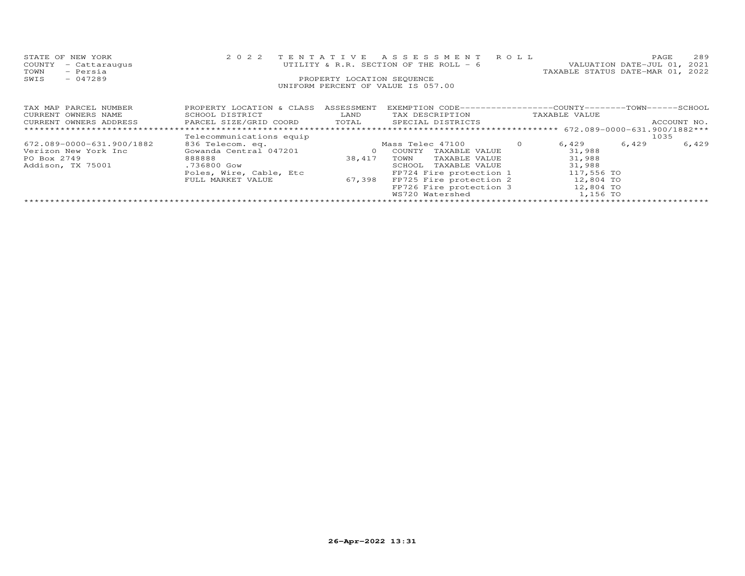| STATE OF NEW YORK<br>COUNTY<br>- Cattaraugus<br>TOWN<br>- Persia<br>$-047289$<br>SWIS | 2 0 2 2                                                                                                             | TENTATIVE<br>PROPERTY LOCATION SEQUENCE | A S S E S S M E N T<br>UTILITY & R.R. SECTION OF THE ROLL - 6<br>UNIFORM PERCENT OF VALUE IS 057.00                                                                                                 | R O L L | TAXABLE STATUS DATE-MAR 01, 2022                                                        | PAGE<br>VALUATION DATE-JUL 01, | 289<br>2021 |
|---------------------------------------------------------------------------------------|---------------------------------------------------------------------------------------------------------------------|-----------------------------------------|-----------------------------------------------------------------------------------------------------------------------------------------------------------------------------------------------------|---------|-----------------------------------------------------------------------------------------|--------------------------------|-------------|
| TAX MAP PARCEL NUMBER<br>CURRENT OWNERS NAME<br>CURRENT OWNERS ADDRESS                | PROPERTY LOCATION & CLASS<br>SCHOOL DISTRICT<br>PARCEL SIZE/GRID COORD                                              | ASSESSMENT<br>LAND<br>TOTAL             | EXEMPTION CODE-----------------COUNTY-------TOWN------SCHOOL<br>TAX DESCRIPTION<br>SPECIAL DISTRICTS                                                                                                |         | TAXABLE VALUE                                                                           |                                | ACCOUNT NO. |
|                                                                                       | Telecommunications equip                                                                                            |                                         |                                                                                                                                                                                                     |         |                                                                                         | 1035                           |             |
| 672.089-0000-631.900/1882<br>Verizon New York Inc<br>PO Box 2749<br>Addison, TX 75001 | 836 Telecom. eq.<br>Gowanda Central 047201<br>888888<br>.736800 Gow<br>Poles, Wire, Cable, Etc<br>FULL MARKET VALUE | $\circ$<br>38,417<br>67,398             | Mass Telec 47100<br>COUNTY<br>TAXABLE VALUE<br>TAXABLE VALUE<br>TOWN<br>TAXABLE VALUE<br>SCHOOL<br>FP724 Fire protection 1<br>FP725 Fire protection 2<br>FP726 Fire protection 3<br>WS720 Watershed |         | 6,429<br>31,988<br>31,988<br>31,988<br>117,556 TO<br>12,804 TO<br>12,804 TO<br>1,156 TO | 6,429                          | 6,429       |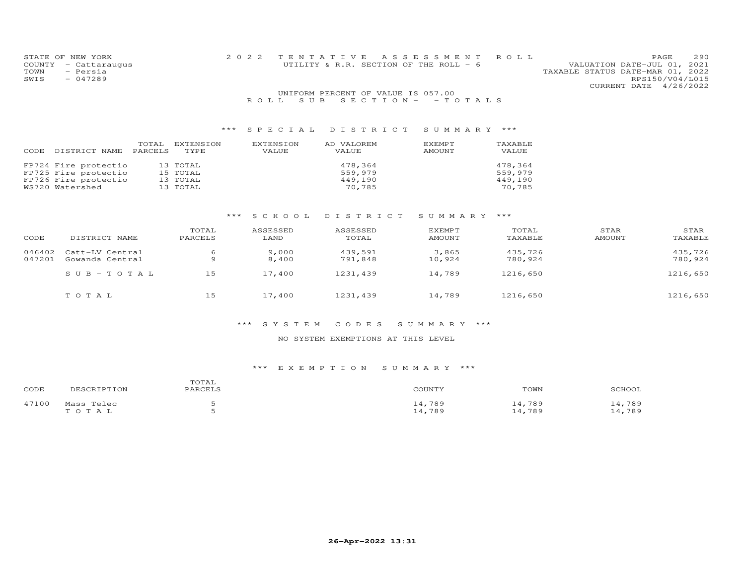| STATE OF NEW YORK    |  | 2022 TENTATIVE ASSESSMENT ROLL         |  |                                  | PAGE.           | - 290 |
|----------------------|--|----------------------------------------|--|----------------------------------|-----------------|-------|
| COUNTY - Cattaraugus |  | UTILITY & R.R. SECTION OF THE ROLL - 6 |  | VALUATION DATE-JUL 01, 2021      |                 |       |
| TOWN<br>- Persia     |  |                                        |  | TAXABLE STATUS DATE-MAR 01, 2022 |                 |       |
| SWIS<br>$-047289$    |  |                                        |  |                                  | RPS150/V04/L015 |       |
|                      |  |                                        |  | CURRENT DATE 4/26/2022           |                 |       |
|                      |  | UNIFORM PERCENT OF VALUE IS 057.00     |  |                                  |                 |       |
|                      |  | ROLL SUB SECTION - - TOTALS            |  |                                  |                 |       |

| CODE | DISTRICT NAME        | TOTAL<br>PARCELS | EXTENSION<br><b>TYPE</b> | EXTENSION<br>VALUE | AD VALOREM<br>VALUE | EXEMPT<br><b>AMOUNT</b> | TAXABLE<br>VALUE |
|------|----------------------|------------------|--------------------------|--------------------|---------------------|-------------------------|------------------|
|      | FP724 Fire protectio |                  | 13 TOTAL                 |                    | 478,364             |                         | 478.364          |
|      | FP725 Fire protectio |                  | 15 TOTAL                 |                    | 559,979             |                         | 559,979          |
|      | FP726 Fire protectio |                  | 13 TOTAL                 |                    | 449,190             |                         | 449,190          |
|      | WS720 Watershed      |                  | 13 TOTAL                 |                    | 70,785              |                         | 70,785           |

# \*\*\* S C H O O L D I S T R I C T S U M M A R Y \*\*\*

| CODE             | DISTRICT NAME                      | TOTAL<br>PARCELS | ASSESSED<br>LAND | ASSESSED<br>TOTAL  | EXEMPT<br><b>AMOUNT</b> | TOTAL<br>TAXABLE   | STAR<br>AMOUNT | STAR<br>TAXABLE    |
|------------------|------------------------------------|------------------|------------------|--------------------|-------------------------|--------------------|----------------|--------------------|
| 046402<br>047201 | Catt-LV Central<br>Gowanda Central | 6                | 9,000<br>8,400   | 439,591<br>791,848 | 3,865<br>10,924         | 435,726<br>780,924 |                | 435,726<br>780,924 |
|                  | $SUB - TO T AL$                    | 15               | 17,400           | 1231,439           | 14,789                  | 1216,650           |                | 1216,650           |
|                  | TOTAL                              | 15               | 17,400           | 1231,439           | 14,789                  | 1216,650           |                | 1216,650           |

### \*\*\* S Y S T E M C O D E S S U M M A R Y \*\*\*

#### NO SYSTEM EXEMPTIONS AT THIS LEVEL

| CODE  | DESCRIPTION         | TOTAL<br>PARCELS | COUNTY           | TOWN             | SCHOOL           |
|-------|---------------------|------------------|------------------|------------------|------------------|
| 47100 | Mass Telec<br>TOTAL |                  | 14,789<br>14,789 | 14,789<br>14,789 | 14,789<br>14,789 |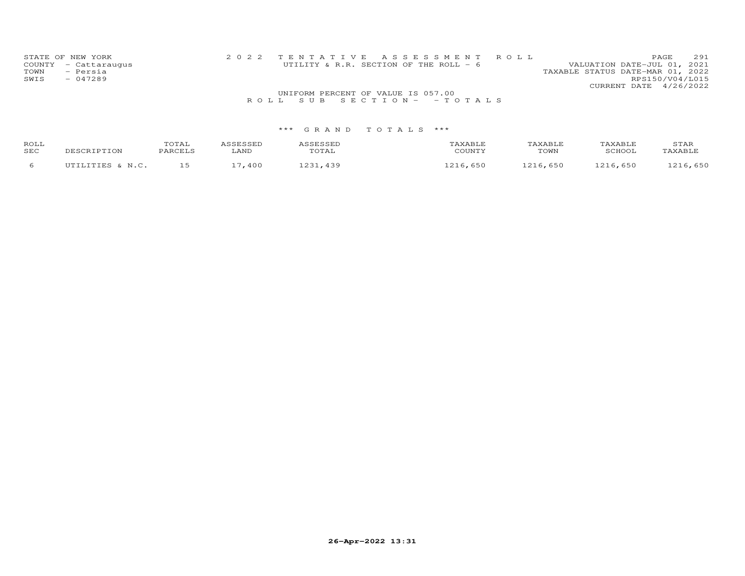| STATE OF NEW YORK<br>COUNTY - Cattaraugus<br>- Persia<br>TOWN<br>$-047289$<br>SWIS |                                    | 2022 TENTATIVE ASSESSMENT ROLL<br>UTILITY & R.R. SECTION OF THE ROLL - 6 | 291<br>PAGE<br>VALUATION DATE-JUL 01, 2021<br>TAXABLE STATUS DATE-MAR 01, 2022<br>RPS150/V04/L015<br>CURRENT DATE 4/26/2022 |
|------------------------------------------------------------------------------------|------------------------------------|--------------------------------------------------------------------------|-----------------------------------------------------------------------------------------------------------------------------|
|                                                                                    | UNIFORM PERCENT OF VALUE IS 057.00 |                                                                          |                                                                                                                             |
|                                                                                    |                                    | ROLL SUB SECTION- - TOTALS                                               |                                                                                                                             |

| ROLL<br>SEC | DESCRIPTION      | TOTAL<br>PARCELS | LAND | SESSEL<br>uial | AXABLF<br>COUNTY           | TAXABLE.<br>TOWN  | TAXABI.F<br>SCHOOL | STAR<br>AXABLF      |
|-------------|------------------|------------------|------|----------------|----------------------------|-------------------|--------------------|---------------------|
|             | IITTLITTES & N C |                  | 400  | ົດລະ<br>130    | $\sim$ 1<br>650<br>. o o c | 6,650<br>$\sim$ 1 | .216,650           | $C E \cap$<br>7.011 |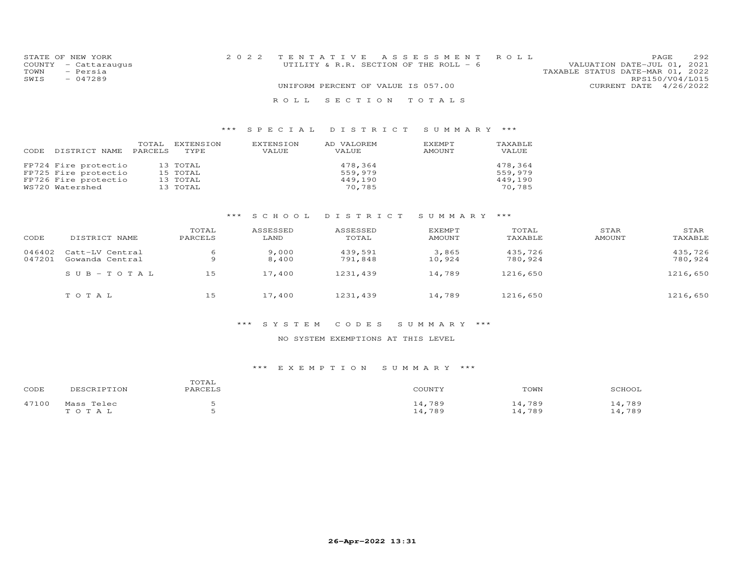|      | STATE OF NEW YORK    | 2022 TENTATIVE ASSESSMENT ROLL                                        | PAGE.           | 292 |
|------|----------------------|-----------------------------------------------------------------------|-----------------|-----|
|      | COUNTY - Cattaraugus | VALUATION DATE-JUL 01, 2021<br>UTILITY & R.R. SECTION OF THE ROLL - 6 |                 |     |
| TOWN | - Persia             | TAXABLE STATUS DATE-MAR 01, 2022                                      |                 |     |
| SWIS | $-047289$            |                                                                       | RPS150/V04/L015 |     |
|      |                      | UNIFORM PERCENT OF VALUE IS 057.00<br>CURRENT DATE 4/26/2022          |                 |     |
|      |                      | ROLL SECTION TOTALS                                                   |                 |     |

| DISTRICT NAME                                                                           | TOTAL   | EXTENSION                                    | EXTENSION | AD VALOREM                              | EXEMPT | TAXABLE                                 |
|-----------------------------------------------------------------------------------------|---------|----------------------------------------------|-----------|-----------------------------------------|--------|-----------------------------------------|
| CODE                                                                                    | PARCELS | TYPE                                         | VALUE     | VALUE                                   | AMOUNT | VALUE                                   |
| FP724 Fire protectio<br>FP725 Fire protectio<br>FP726 Fire protectio<br>WS720 Watershed |         | 13 TOTAL<br>15 TOTAL<br>13 TOTAL<br>13 TOTAL |           | 478,364<br>559,979<br>449.190<br>70,785 |        | 478.364<br>559,979<br>449,190<br>70,785 |

# \*\*\* S C H O O L D I S T R I C T S U M M A R Y \*\*\*

| CODE             | DISTRICT NAME                      | TOTAL<br>PARCELS | ASSESSED<br>LAND | ASSESSED<br>TOTAL  | <b>EXEMPT</b><br>AMOUNT | TOTAL<br>TAXABLE   | STAR<br>AMOUNT | STAR<br>TAXABLE    |
|------------------|------------------------------------|------------------|------------------|--------------------|-------------------------|--------------------|----------------|--------------------|
| 046402<br>047201 | Catt-LV Central<br>Gowanda Central | 6<br>Q           | 9,000<br>8,400   | 439,591<br>791,848 | 3,865<br>10,924         | 435,726<br>780,924 |                | 435,726<br>780,924 |
|                  | $SUB-TOTAL$                        | 15               | 17,400           | 1231,439           | 14,789                  | 1216,650           |                | 1216,650           |
|                  | TOTAL                              | 15               | 17,400           | 1231,439           | 14,789                  | 1216,650           |                | 1216,650           |

### \*\*\* S Y S T E M C O D E S S U M M A R Y \*\*\*

#### NO SYSTEM EXEMPTIONS AT THIS LEVEL

| CODE  | DESCRIPTION | TOTAL<br>PARCELS | COUNTY | TOWN   | SCHOOL |
|-------|-------------|------------------|--------|--------|--------|
| 47100 | Mass Telec  |                  | 14,789 | 14,789 | 14,789 |
|       | TOTAL       |                  | 14,789 | 14,789 | 14,789 |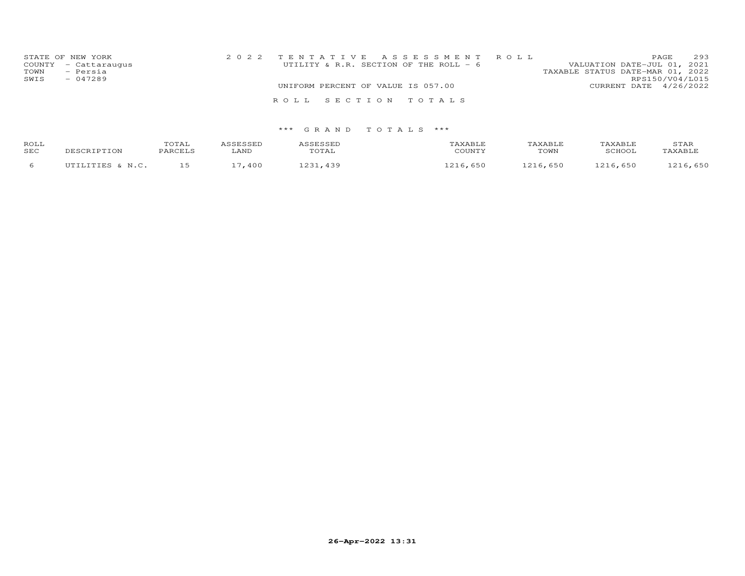| TOWN<br>SWIS | STATE OF NEW YORK<br>COUNTY - Cattaraugus<br>- Persia<br>$-047289$ |  |                                    | 2022 TENTATIVE ASSESSMENT ROLL<br>UTILITY & R.R. SECTION OF THE ROLL - 6 | VALUATION DATE-JUL 01, 2021<br>TAXABLE STATUS DATE-MAR 01, 2022 | PAGE<br>RPS150/V04/L015 | 293 |
|--------------|--------------------------------------------------------------------|--|------------------------------------|--------------------------------------------------------------------------|-----------------------------------------------------------------|-------------------------|-----|
|              |                                                                    |  | UNIFORM PERCENT OF VALUE IS 057.00 |                                                                          | CURRENT DATE 4/26/2022                                          |                         |     |
|              |                                                                    |  |                                    | ROLL SECTION TOTALS                                                      |                                                                 |                         |     |
|              |                                                                    |  |                                    |                                                                          |                                                                 |                         |     |

| ROLL<br><b>SEC</b> | DESCRIPTION  | TOTAL<br>PARCELS | LAND | <b>SESSED</b><br>TOTAL  | TAXABLE<br>COUNTY      | TAXABLF<br>TOWN | TAXABLE<br>SCHOOL | STAR<br>TAXABLE |
|--------------------|--------------|------------------|------|-------------------------|------------------------|-----------------|-------------------|-----------------|
|                    | LITTES & N C |                  | 400  | $\cap$ $\supset$<br>130 | $\sim$ 1<br>650<br>ᅭᅀᅭ | 650<br>$\sim$ 1 | 65C               | 216.650         |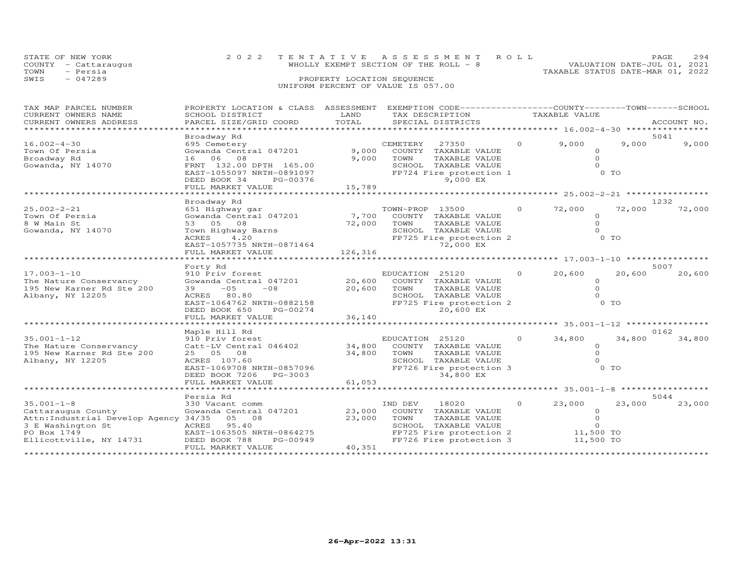| STATE OF NEW YORK<br>COUNTY<br>- Cattaraugus<br>TOWN<br>- Persia<br>$-047289$<br>SWIS |                                                                                                  | PROPERTY LOCATION SEQUENCE | 2022 TENTATIVE ASSESSMENT ROLL<br>WHOLLY EXEMPT SECTION OF THE ROLL - 8 VALUATION DATE-JUL 01, 2021<br>UNIFORM PERCENT OF VALUE IS 057.00 | TAXABLE STATUS DATE-MAR 01, 2022 |        | PAGE<br>294   |
|---------------------------------------------------------------------------------------|--------------------------------------------------------------------------------------------------|----------------------------|-------------------------------------------------------------------------------------------------------------------------------------------|----------------------------------|--------|---------------|
| TAX MAP PARCEL NUMBER                                                                 | PROPERTY LOCATION & CLASS ASSESSMENT EXEMPTION CODE----------------COUNTY-------TOWN------SCHOOL |                            |                                                                                                                                           |                                  |        |               |
| CURRENT OWNERS NAME                                                                   | SCHOOL DISTRICT                                                                                  |                            | LAND TAX DESCRIPTION TAXABLE VALUE                                                                                                        |                                  |        |               |
|                                                                                       |                                                                                                  |                            |                                                                                                                                           |                                  |        | ACCOUNT NO.   |
|                                                                                       |                                                                                                  |                            |                                                                                                                                           |                                  |        |               |
|                                                                                       | Broadway Rd                                                                                      |                            | CEMETERY 27350 0 9,000                                                                                                                    |                                  |        | 5041<br>9,000 |
| $16.002 - 4 - 30$<br>Town Of Persia                                                   |                                                                                                  |                            |                                                                                                                                           |                                  | 9,000  |               |
|                                                                                       |                                                                                                  |                            | TOWN                                                                                                                                      | $\circ$                          |        |               |
|                                                                                       |                                                                                                  |                            | TAXABLE VALUE                                                                                                                             |                                  |        |               |
|                                                                                       |                                                                                                  |                            | TAXABLE VALUE<br>SCHOOL                                                                                                                   |                                  | 0 TO   |               |
|                                                                                       |                                                                                                  |                            | FP724 Fire protection 1                                                                                                                   |                                  |        |               |
|                                                                                       | DEED BOOK 34 PG-00376                                                                            |                            | <b>9,000 EX</b>                                                                                                                           |                                  |        |               |
|                                                                                       | FULL MARKET VALUE                                                                                | 15,789                     |                                                                                                                                           |                                  |        |               |
|                                                                                       |                                                                                                  |                            |                                                                                                                                           |                                  |        | 1232          |
| $25.002 - 2 - 21$                                                                     | Broadway Rd                                                                                      |                            | TOWN-PROP 13500 0                                                                                                                         | 72,000                           | 72,000 | 72,000        |
|                                                                                       | 651 Highway gar                                                                                  |                            |                                                                                                                                           |                                  |        |               |
| Town Of Persia                                                                        | Gowanda Central 047201                                                                           |                            | 7,700 COUNTY TAXABLE VALUE                                                                                                                | $\circ$<br>$\circ$               |        |               |
| 8 W Main St                                                                           |                                                                                                  |                            | TOWN<br>TAXABLE VALUE                                                                                                                     |                                  |        |               |
| Gowanda, NY 14070                                                                     |                                                                                                  |                            | TAXABLE VALUE<br>SCHOOL                                                                                                                   |                                  |        |               |
|                                                                                       |                                                                                                  |                            | FP725 Fire protection 2                                                                                                                   |                                  | $0$ TO |               |
|                                                                                       | EAST-1057735 NRTH-0871464<br>FULL MARKET VALUE                                                   |                            | 72,000 EX                                                                                                                                 |                                  |        |               |
|                                                                                       |                                                                                                  | 126,316                    |                                                                                                                                           |                                  |        |               |

|                                       | romm Mannei vanoe           | 140, JIU |                |                                |         |                   |        |        |
|---------------------------------------|-----------------------------|----------|----------------|--------------------------------|---------|-------------------|--------|--------|
|                                       | Forty Rd                    |          |                |                                |         |                   | 5007   |        |
| $17.003 - 1 - 10$                     | 910 Priv forest             |          | EDUCATION      | 25120                          |         | 20,600            | 20,600 | 20,600 |
| The Nature Conservancy                | Gowanda Central 047201      | 20,600   | COUNTY         | TAXABLE VALUE                  |         |                   |        |        |
| 195 New Karner Rd Ste 200             | $-05$<br>39<br>$-0.8$       | 20,600   | TOWN           | TAXABLE VALUE                  |         |                   |        |        |
| Albany, NY 12205                      | 80.80<br>ACRES              |          | SCHOOL         | TAXABLE VALUE                  |         |                   |        |        |
|                                       | EAST-1064762 NRTH-0882158   |          |                | FP725 Fire protection 2        |         |                   | $0$ TO |        |
|                                       | DEED BOOK 650<br>PG-00274   |          |                | 20,600 EX                      |         |                   |        |        |
|                                       | FULL MARKET VALUE           | 36,140   |                |                                |         |                   |        |        |
|                                       |                             |          |                |                                |         | $35.001 - 1 - 12$ |        |        |
|                                       | Maple Hill Rd               |          |                |                                |         |                   | 0162   |        |
| $35.001 - 1 - 12$                     | 910 Priv forest             |          | EDUCATION      | 25120                          |         | 34,800            | 34,800 | 34,800 |
| The Nature Conservancy                | Catt-LV Central 046402      | 34,800   | COUNTY         | TAXABLE VALUE                  |         |                   |        |        |
| 195 New Karner Rd Ste 200             | 25 05<br>08<br>ACRES 107.60 | 34,800   | TOWN<br>SCHOOL | TAXABLE VALUE<br>TAXABLE VALUE |         |                   |        |        |
| Albany, NY 12205                      | EAST-1069708 NRTH-0857096   |          |                | FP726 Fire protection 3        |         |                   | O TO   |        |
|                                       | DEED BOOK 7206<br>PG-3003   |          |                | 34,800 EX                      |         |                   |        |        |
|                                       | FULL MARKET VALUE           | 61,053   |                |                                |         |                   |        |        |
|                                       |                             |          |                |                                |         | $***$ 35.001-1-8  |        |        |
|                                       | Persia Rd                   |          |                |                                |         |                   | 5044   |        |
| $35.001 - 1 - 8$                      | 330 Vacant comm             |          | IND DEV        | 18020                          | $\circ$ | 23,000            | 23,000 | 23,000 |
| Cattaraugus County                    | Gowanda Central 047201      | 23,000   | COUNTY         | TAXABLE VALUE                  |         |                   |        |        |
| Attn: Industrial Develop Agency 34/35 | 05 08                       | 23,000   | TOWN           | TAXABLE VALUE                  |         |                   |        |        |
| 3 E Washington St                     | 95.40<br>ACRES              |          | SCHOOL         | TAXABLE VALUE                  |         |                   |        |        |
| PO Box 1749                           | EAST-1063505 NRTH-0864275   |          |                | FP725 Fire protection 2        |         | 11,500 TO         |        |        |
| Ellicottville, NY 14731               | DEED BOOK 788<br>PG-00949   |          |                | FP726 Fire protection 3        |         | 11,500 TO         |        |        |
|                                       | FULL MARKET VALUE           | 40,351   |                |                                |         |                   |        |        |
|                                       |                             |          |                |                                |         |                   |        |        |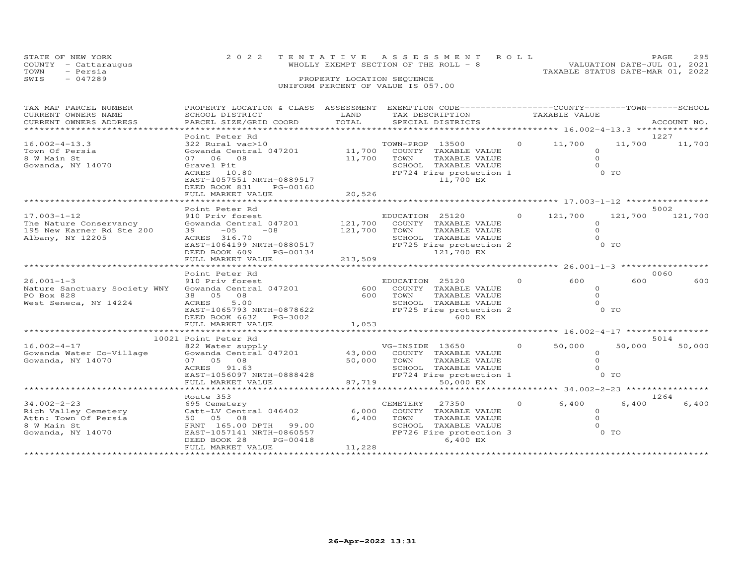| STATE OF NEW YORK |                      | 2022 TENTATIVE ASSESSMENT ROLL        | PAGE.                       | 295 |
|-------------------|----------------------|---------------------------------------|-----------------------------|-----|
|                   | COUNTY - Cattaraugus | WHOLLY EXEMPT SECTION OF THE ROLL - 8 | VALUATION DATE-JUL 01, 2021 |     |
| TOWN              | - Persia             | TAXABLE STATUS DATE-MAR 01, 2022      |                             |     |
| SWIS              | $-047289$            | PROPERTY LOCATION SEQUENCE            |                             |     |
|                   |                      | UNIFORM PERCENT OF VALUE IS 057.00    |                             |     |

| TAX MAP PARCEL NUMBER        | PROPERTY LOCATION & CLASS ASSESSMENT EXEMPTION CODE----------------COUNTY-------TOWN------SCHOOL |         |                 |                                                 |          |               |                |             |
|------------------------------|--------------------------------------------------------------------------------------------------|---------|-----------------|-------------------------------------------------|----------|---------------|----------------|-------------|
| CURRENT OWNERS NAME          | SCHOOL DISTRICT                                                                                  | LAND    |                 | TAX DESCRIPTION                                 |          | TAXABLE VALUE |                |             |
| CURRENT OWNERS ADDRESS       | PARCEL SIZE/GRID COORD                                                                           | TOTAL   |                 | SPECIAL DISTRICTS                               |          |               |                | ACCOUNT NO. |
|                              |                                                                                                  |         |                 |                                                 |          |               |                |             |
|                              | Point Peter Rd                                                                                   |         |                 |                                                 |          |               |                | 1227        |
| $16.002 - 4 - 13.3$          | 322 Rural vac>10<br>Gowanda Central 047201<br>11,700 COUNTY TAXABLE VALUE                        |         |                 |                                                 | $\circ$  | 11,700        | 11,700         | 11,700      |
| Town Of Persia               |                                                                                                  |         |                 |                                                 |          | $\Omega$      |                |             |
| 8 W Main St                  | 07 06 08                                                                                         | 11,700  | TOWN            | TAXABLE VALUE                                   |          | $\Omega$      |                |             |
| Gowanda, NY 14070            | Gravel Pit                                                                                       |         |                 | SCHOOL TAXABLE VALUE                            |          | $\Omega$      |                |             |
|                              | ACRES 10.80                                                                                      |         |                 | FP724 Fire protection 1                         |          |               | 0 TO           |             |
|                              | EAST-1057551 NRTH-0889517                                                                        |         |                 | 11,700 EX                                       |          |               |                |             |
|                              | DEED BOOK 831<br>PG-00160                                                                        |         |                 |                                                 |          |               |                |             |
|                              | FULL MARKET VALUE                                                                                | 20,526  |                 |                                                 |          |               |                |             |
|                              |                                                                                                  |         |                 |                                                 |          |               |                |             |
|                              | Point Peter Rd                                                                                   |         |                 |                                                 |          |               |                | 5002        |
| $17.003 - 1 - 12$            | 910 Priv forest                                                                                  |         | EDUCATION 25120 |                                                 | $\Omega$ | 121,700       | 121,700        | 121,700     |
| The Nature Conservancy       | Gowanda Central 047201                                                                           | 121,700 |                 | COUNTY TAXABLE VALUE                            |          | $\Omega$      |                |             |
| 195 New Karner Rd Ste 200    | $39 - 05$<br>$-08$                                                                               | 121,700 | TOWN            | TAXABLE VALUE                                   |          | $\Omega$      |                |             |
| Albany, NY 12205             | ACRES 316.70                                                                                     |         |                 | SCHOOL TAXABLE VALUE                            |          | $\Omega$      |                |             |
|                              | EAST-1064199 NRTH-0880517                                                                        |         |                 | FP725 Fire protection 2                         |          |               | $0$ TO         |             |
|                              | DEED BOOK 609<br>PG-00134                                                                        |         |                 | 121,700 EX                                      |          |               |                |             |
|                              | FULL MARKET VALUE                                                                                | 213,509 |                 |                                                 |          |               |                |             |
|                              |                                                                                                  |         |                 |                                                 |          |               |                |             |
|                              | Point Peter Rd                                                                                   |         |                 |                                                 |          |               |                | 0060        |
| $26.001 - 1 - 3$             | 910 Priv forest                                                                                  |         | EDUCATION 25120 |                                                 | $\circ$  | 600           | 600            | 600         |
| Nature Sanctuary Society WNY | Gowanda Central 047201                                                                           | 600     |                 | COUNTY TAXABLE VALUE                            |          | $\circ$       |                |             |
| PO Box 828                   | 38 05 08                                                                                         | 600     | TOWN            | TAXABLE VALUE                                   |          | $\Omega$      |                |             |
| West Seneca, NY 14224        | 5.00<br>ACRES                                                                                    |         |                 | SCHOOL TAXABLE VALUE                            |          | $\Omega$      |                |             |
|                              | EAST-1065793 NRTH-0878622                                                                        |         |                 | FP725 Fire protection 2                         |          |               | 0 <sub>T</sub> |             |
|                              | DEED BOOK 6632 PG-3002                                                                           |         |                 | 600 EX                                          |          |               |                |             |
|                              | FULL MARKET VALUE                                                                                | 1,053   |                 |                                                 |          |               |                |             |
|                              |                                                                                                  |         |                 |                                                 |          |               |                |             |
|                              | 10021 Point Peter Rd                                                                             |         |                 |                                                 |          |               |                | 5014        |
| $16.002 - 4 - 17$            | 822 Water supply                                                                                 |         | VG-INSIDE 13650 |                                                 | $\circ$  | 50,000        | 50,000         | 50,000      |
| Gowanda Water Co-Village     | Gowanda Central 047201 43,000                                                                    |         |                 | COUNTY TAXABLE VALUE                            |          | $\circ$       |                |             |
| Gowanda, NY 14070            | 07 05 08                                                                                         | 50,000  | TOWN            | TAXABLE VALUE                                   |          | $\Omega$      |                |             |
|                              | ACRES 91.63                                                                                      |         |                 |                                                 |          | $\Omega$      |                |             |
|                              | EAST-1056097 NRTH-0888428                                                                        |         |                 | SCHOOL TAXABLE VALUE<br>FP724 Fire protection 1 |          |               | $0$ TO         |             |
|                              | FULL MARKET VALUE                                                                                | 87,719  |                 | 50,000 EX                                       |          |               |                |             |
|                              |                                                                                                  |         |                 |                                                 |          |               |                |             |
|                              | Route 353                                                                                        |         |                 |                                                 |          |               |                | 1264        |
| $34.002 - 2 - 23$            | 695 Cemetery                                                                                     |         | CEMETERY        | 27350                                           | $\circ$  | 6,400         | 6,400          | 6,400       |
| Rich Valley Cemetery         | Catt-LV Central 046402                                                                           | 6,000   |                 | COUNTY TAXABLE VALUE                            |          | $\Omega$      |                |             |
| Attn: Town Of Persia         | 50 05 08                                                                                         | 6,400   | TOWN            | TAXABLE VALUE                                   |          | $\Omega$      |                |             |
| 8 W Main St                  | FRNT 165.00 DPTH 99.00                                                                           |         |                 | SCHOOL TAXABLE VALUE                            |          | $\Omega$      |                |             |
| Gowanda, NY 14070            | EAST-1057141 NRTH-0860557                                                                        |         |                 | FP726 Fire protection 3                         |          |               | 0 TO           |             |
|                              | DEED BOOK 28<br>PG-00418                                                                         |         |                 | 6,400 EX                                        |          |               |                |             |
|                              | FULL MARKET VALUE                                                                                | 11,228  |                 |                                                 |          |               |                |             |
|                              |                                                                                                  |         |                 |                                                 |          |               |                |             |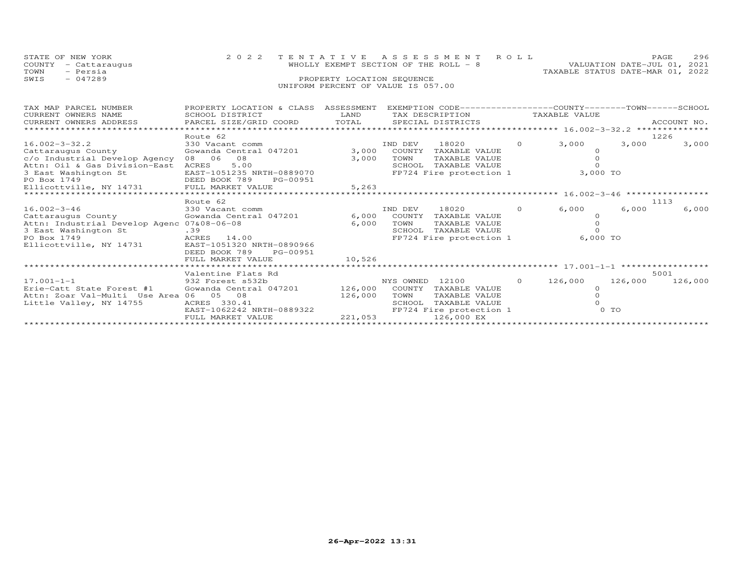|      | STATE OF NEW YORK    | 2022 TENTATIVE ASSESSMENT ROLL        |  |                                  | PAGE                        | 296 |
|------|----------------------|---------------------------------------|--|----------------------------------|-----------------------------|-----|
|      | COUNTY - Cattaraugus | WHOLLY EXEMPT SECTION OF THE ROLL - 8 |  |                                  | VALUATION DATE-JUL 01, 2021 |     |
| TOWN | - Persia             |                                       |  | TAXABLE STATUS DATE-MAR 01, 2022 |                             |     |
| SWIS | $-047289$            | PROPERTY LOCATION SEQUENCE            |  |                                  |                             |     |
|      |                      | UNIFORM PERCENT OF VALUE IS 057.00    |  |                                  |                             |     |

| TAX MAP PARCEL NUMBER                      | PROPERTY LOCATION & CLASS | ASSESSMENT |           | EXEMPTION CODE-----------------COUNTY-------TOWN-----SCHOOL |          |                                                |         |             |
|--------------------------------------------|---------------------------|------------|-----------|-------------------------------------------------------------|----------|------------------------------------------------|---------|-------------|
| CURRENT OWNERS NAME                        | SCHOOL DISTRICT           | LAND       |           | TAX DESCRIPTION                                             |          | TAXABLE VALUE                                  |         |             |
| CURRENT OWNERS ADDRESS                     | PARCEL SIZE/GRID COORD    | TOTAL      |           | SPECIAL DISTRICTS                                           |          |                                                |         | ACCOUNT NO. |
|                                            |                           |            |           |                                                             |          | ***************** 16.002-3-32.2 ************** |         |             |
|                                            | Route 62                  |            |           |                                                             |          |                                                |         | 1226        |
| $16.002 - 3 - 32.2$                        | 330 Vacant comm           |            | IND DEV   | 18020                                                       | $\circ$  | 3,000                                          | 3,000   | 3,000       |
| Cattaraugus County                         | Gowanda Central 047201    | 3,000      | COUNTY    | TAXABLE VALUE                                               |          |                                                |         |             |
| c/o Industrial Develop Agency              | 06<br>08<br>08            | 3,000      | TOWN      | TAXABLE VALUE                                               |          |                                                |         |             |
| Attn: Oil & Gas Division-East              | 5.00<br>ACRES             |            | SCHOOL    | TAXABLE VALUE                                               |          |                                                |         |             |
| 3 East Washington St                       | EAST-1051235 NRTH-0889070 |            |           | FP724 Fire protection 1                                     |          | 3,000 TO                                       |         |             |
| PO Box 1749                                | DEED BOOK 789<br>PG-00951 |            |           |                                                             |          |                                                |         |             |
| Ellicottville, NY 14731 FULL MARKET VALUE  |                           | 5,263      |           |                                                             |          |                                                |         |             |
|                                            |                           |            |           |                                                             |          | $x***16.002-3-46$ *****************            |         |             |
|                                            | Route 62                  |            |           |                                                             |          |                                                |         | 1113        |
| $16.002 - 3 - 46$                          | 330 Vacant comm           |            | IND DEV   | 18020                                                       | $\Omega$ | 6,000                                          | 6,000   | 6,000       |
| Cattaraugus County                         | Gowanda Central 047201    | 6,000      | COUNTY    | TAXABLE VALUE                                               |          | 0                                              |         |             |
| Attn: Industrial Develop Agenc 07&08-06-08 |                           | 6,000      | TOWN      | TAXABLE VALUE                                               |          |                                                |         |             |
| 3 East Washington St                       | .39                       |            | SCHOOL    | TAXABLE VALUE                                               |          |                                                |         |             |
| PO Box 1749                                | ACRES<br>14.00            |            |           | FP724 Fire protection 1                                     |          | 6,000 TO                                       |         |             |
| Ellicottville, NY 14731                    | EAST-1051320 NRTH-0890966 |            |           |                                                             |          |                                                |         |             |
|                                            | DEED BOOK 789<br>PG-00951 |            |           |                                                             |          |                                                |         |             |
|                                            | FULL MARKET VALUE         | 10,526     |           |                                                             |          |                                                |         |             |
|                                            |                           |            |           |                                                             |          |                                                |         |             |
|                                            | Valentine Flats Rd        |            |           |                                                             |          |                                                |         | 5001        |
| $17.001 - 1 - 1$                           | 932 Forest s532b          |            | NYS OWNED | 12100                                                       | $\Omega$ | 126,000                                        | 126,000 | 126,000     |
| Erie-Catt State Forest #1                  | Gowanda Central 047201    | 126,000    | COUNTY    | TAXABLE VALUE                                               |          | 0                                              |         |             |
| Attn: Zoar Val-Multi Use Area 06           | 05<br>08                  | 126,000    | TOWN      | TAXABLE VALUE                                               |          |                                                |         |             |
| Little Valley, NY 14755                    | ACRES 330.41              |            | SCHOOL    | TAXABLE VALUE                                               |          |                                                |         |             |
|                                            | EAST-1062242 NRTH-0889322 |            |           | FP724 Fire protection 1                                     |          |                                                | 0 TO    |             |
|                                            |                           |            |           |                                                             |          |                                                |         |             |
|                                            | FULL MARKET VALUE         | 221,053    |           | 126,000 EX                                                  |          |                                                |         |             |
|                                            |                           |            |           |                                                             |          |                                                |         |             |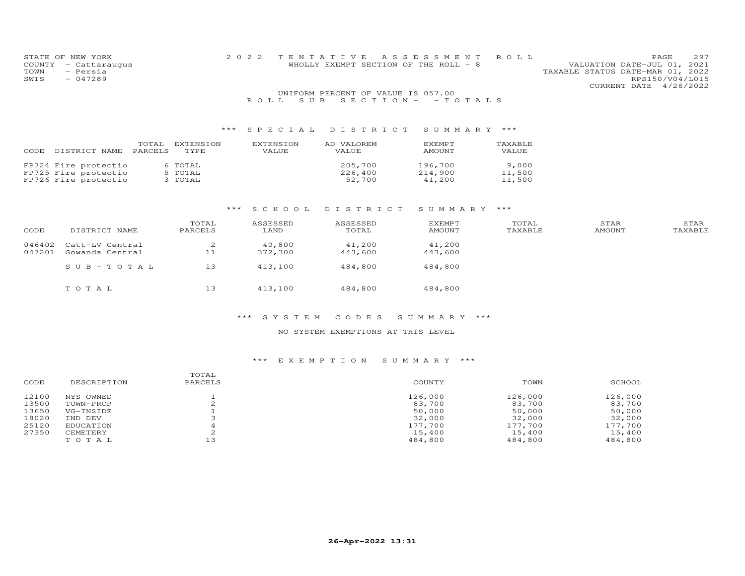|        | STATE OF NEW YORK  |         |                  | 2 0 2 2   | TENTATIVE ASSESSMENT ROLL              |        |              |                                  | 297<br>PAGE     |
|--------|--------------------|---------|------------------|-----------|----------------------------------------|--------|--------------|----------------------------------|-----------------|
| COUNTY | - Cattaraugus      |         |                  |           | WHOLLY EXEMPT SECTION OF THE ROLL $-8$ |        |              | VALUATION DATE-JUL 01, 2021      |                 |
| TOWN   | - Persia           |         |                  |           |                                        |        |              | TAXABLE STATUS DATE-MAR 01, 2022 |                 |
| SWIS   | $-047289$          |         |                  |           |                                        |        |              |                                  | RPS150/V04/L015 |
|        |                    |         |                  |           |                                        |        |              | CURRENT DATE 4/26/2022           |                 |
|        |                    |         |                  |           | UNIFORM PERCENT OF VALUE IS 057.00     |        |              |                                  |                 |
|        |                    |         |                  | R O L L   | SUB SECTION - - TOTALS                 |        |              |                                  |                 |
|        |                    |         |                  |           |                                        |        |              |                                  |                 |
|        |                    |         |                  |           | *** SPECIAL DISTRICT SUMMARY ***       |        |              |                                  |                 |
|        |                    |         |                  |           |                                        |        |              |                                  |                 |
|        |                    | TOTAL   | <b>EXTENSION</b> | EXTENSION | AD VALOREM                             | EXEMPT | TAXABLE      |                                  |                 |
|        | CODE DISTRICT NAME | PARCELS | <b>TYPE</b>      | VALUE.    | VALUE.                                 | AMOUNT | <b>VALUE</b> |                                  |                 |

| CODE DISIRICI NAME PARCELS | IIPE    | VAIIUP. | VAIIUP. | AMUU IN I | VAIIUP. |
|----------------------------|---------|---------|---------|-----------|---------|
|                            |         |         |         |           |         |
| FP724 Fire protectio       | 6 TOTAL |         | 205,700 | 196,700   | 9,000   |
| FP725 Fire protectio       | 5 TOTAL |         | 226,400 | 214,900   | 11,500  |
| FP726 Fire protectio       | З ТОТАЬ |         | 52,700  | 41,200    | 11,500  |

### \*\*\* S C H O O L D I S T R I C T S U M M A R Y \*\*\*

| CODE             | DISTRICT NAME                      | TOTAL<br>PARCELS | ASSESSED<br>LAND  | ASSESSED<br>TOTAL | <b>EXEMPT</b><br>AMOUNT | TOTAL<br>TAXABLE | STAR<br>AMOUNT | STAR<br>TAXABLE |
|------------------|------------------------------------|------------------|-------------------|-------------------|-------------------------|------------------|----------------|-----------------|
| 046402<br>047201 | Catt-LV Central<br>Gowanda Central | 2<br>11          | 40,800<br>372,300 | 41,200<br>443,600 | 41,200<br>443,600       |                  |                |                 |
|                  | $SUB - TO T AL$                    | 13               | 413,100           | 484,800           | 484,800                 |                  |                |                 |
|                  | TOTAL                              | 13               | 413,100           | 484,800           | 484,800                 |                  |                |                 |

#### \*\*\* S Y S T E M C O D E S S U M M A R Y \*\*\*

### NO SYSTEM EXEMPTIONS AT THIS LEVEL

| CODE  | DESCRIPTION | TOTAL<br>PARCELS | COUNTY  | TOWN    | SCHOOL  |
|-------|-------------|------------------|---------|---------|---------|
| 12100 | NYS OWNED   |                  | 126,000 | 126,000 | 126,000 |
| 13500 | TOWN-PROP   |                  | 83,700  | 83,700  | 83,700  |
| 13650 | VG-INSIDE   |                  | 50,000  | 50,000  | 50,000  |
| 18020 | IND DEV     |                  | 32,000  | 32,000  | 32,000  |
| 25120 | EDUCATION   |                  | 177,700 | 177,700 | 177,700 |
| 27350 | CEMETERY    |                  | 15,400  | 15,400  | 15,400  |
|       | TOTAL       | 13               | 484,800 | 484,800 | 484,800 |
|       |             |                  |         |         |         |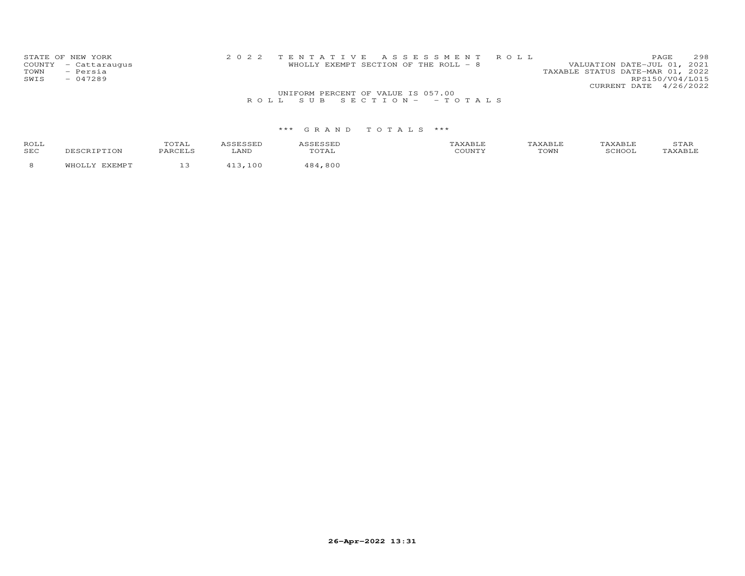| STATE OF NEW YORK    |                                    | 2022 TENTATIVE ASSESSMENT ROLL        |                                  | PAGE                   | 298 |
|----------------------|------------------------------------|---------------------------------------|----------------------------------|------------------------|-----|
| COUNTY - Cattaraugus |                                    | WHOLLY EXEMPT SECTION OF THE ROLL - 8 | VALUATION DATE-JUL 01, 2021      |                        |     |
| - Persia<br>TOWN     |                                    |                                       | TAXABLE STATUS DATE-MAR 01, 2022 |                        |     |
| SWIS<br>$-047289$    |                                    |                                       |                                  | RPS150/V04/L015        |     |
|                      |                                    |                                       |                                  | CURRENT DATE 4/26/2022 |     |
|                      | UNIFORM PERCENT OF VALUE IS 057.00 |                                       |                                  |                        |     |
|                      |                                    | ROLL SUB SECTION- - TOTALS            |                                  |                        |     |

| <b>ROL</b><br><b>SEC</b> |  |  | COMP: |  |
|--------------------------|--|--|-------|--|
|                          |  |  |       |  |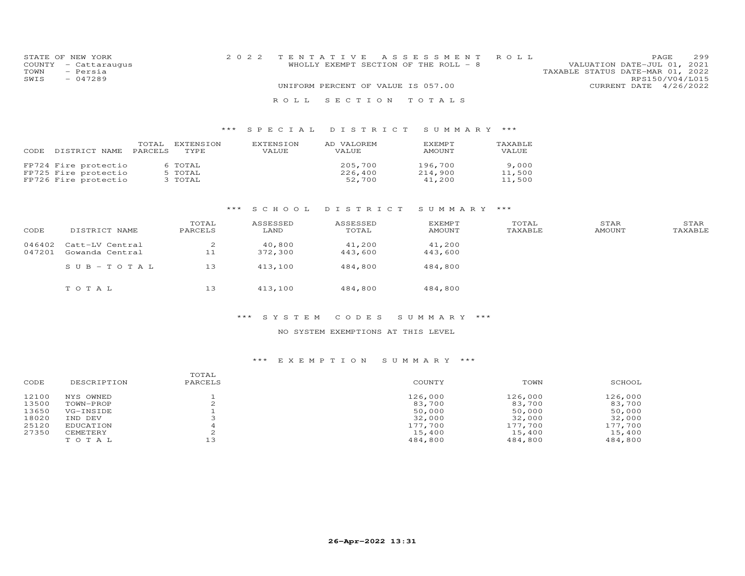|      | STATE OF NEW YORK    |  |                                    | 2022 TENTATIVE ASSESSMENT ROLL        |                                  |                 | PAGE. | 299 |
|------|----------------------|--|------------------------------------|---------------------------------------|----------------------------------|-----------------|-------|-----|
|      | COUNTY - Cattaraugus |  |                                    | WHOLLY EXEMPT SECTION OF THE ROLL - 8 | VALUATION DATE-JUL 01, 2021      |                 |       |     |
| TOWN | - Persia             |  |                                    |                                       | TAXABLE STATUS DATE-MAR 01, 2022 |                 |       |     |
| SWIS | $-047289$            |  |                                    |                                       |                                  | RPS150/V04/L015 |       |     |
|      |                      |  | UNIFORM PERCENT OF VALUE IS 057.00 |                                       | CURRENT DATE 4/26/2022           |                 |       |     |
|      |                      |  |                                    | ROLL SECTION TOTALS                   |                                  |                 |       |     |

| CODE DISTRICT NAME   | TOTAL<br>PARCELS | EXTENSION<br>TYPE | EXTENSION<br><b>VALUE</b> | AD VALOREM<br><b>VALUE</b> | <b>F.XFMPT</b><br><b>AMOUNT</b> | TAXABLE<br><b>VALUE</b> |
|----------------------|------------------|-------------------|---------------------------|----------------------------|---------------------------------|-------------------------|
| FP724 Fire protectio |                  | 6 TOTAL           |                           | 205,700                    | 196,700                         | 9,000                   |
| FP725 Fire protectio |                  | 5 TOTAL           |                           | 226,400                    | 214,900                         | 11,500                  |
| FP726 Fire protectio |                  | 3 TOTAL           |                           | 52,700                     | 41,200                          | 11,500                  |

### \*\*\* S C H O O L D I S T R I C T S U M M A R Y \*\*\*

| CODE             | DISTRICT NAME                      | TOTAL<br>PARCELS | ASSESSED<br>LAND  | ASSESSED<br>TOTAL | EXEMPT<br>AMOUNT  | TOTAL<br>TAXABLE | STAR<br>AMOUNT | STAR<br>TAXABLE |
|------------------|------------------------------------|------------------|-------------------|-------------------|-------------------|------------------|----------------|-----------------|
| 046402<br>047201 | Catt-LV Central<br>Gowanda Central | 2<br>11          | 40,800<br>372,300 | 41,200<br>443,600 | 41,200<br>443,600 |                  |                |                 |
|                  | SUB-TOTAL                          | 13               | 413,100           | 484,800           | 484,800           |                  |                |                 |
|                  | TOTAL                              | 13               | 413,100           | 484,800           | 484,800           |                  |                |                 |

#### \*\*\* S Y S T E M C O D E S S U M M A R Y \*\*\*

#### NO SYSTEM EXEMPTIONS AT THIS LEVEL

| CODE  | DESCRIPTION | TOTAL<br>PARCELS | COUNTY  | TOWN    | SCHOOL  |
|-------|-------------|------------------|---------|---------|---------|
| 12100 | NYS OWNED   |                  | 126,000 | 126,000 | 126,000 |
| 13500 | TOWN-PROP   |                  | 83,700  | 83,700  | 83,700  |
| 13650 | VG-INSIDE   |                  | 50,000  | 50,000  | 50,000  |
| 18020 | IND DEV     |                  | 32,000  | 32,000  | 32,000  |
| 25120 | EDUCATION   |                  | 177,700 | 177,700 | 177,700 |
| 27350 | CEMETERY    |                  | 15,400  | 15,400  | 15,400  |
|       | TOTAL       | 13               | 484,800 | 484,800 | 484,800 |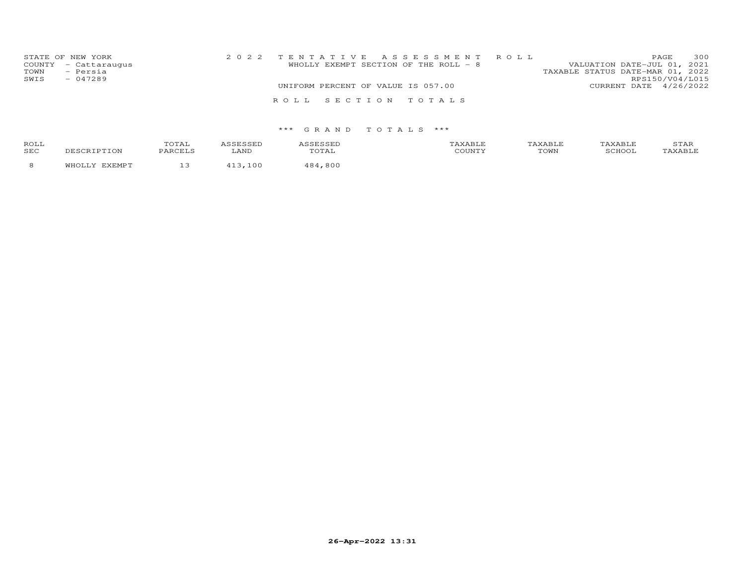| TOWN<br>SWIS | STATE OF NEW YORK<br>COUNTY - Cattaraugus<br>- Persia<br>$-047289$ | 2022 TENTATIVE ASSESSMENT ROLL<br>WHOLLY EXEMPT SECTION OF THE ROLL - 8 |  | VALUATION DATE-JUL 01, 2021<br>TAXABLE STATUS DATE-MAR 01, 2022<br>RPS150/V04/L015 | PAGE | 300 |
|--------------|--------------------------------------------------------------------|-------------------------------------------------------------------------|--|------------------------------------------------------------------------------------|------|-----|
|              |                                                                    | UNIFORM PERCENT OF VALUE IS 057.00                                      |  | CURRENT DATE 4/26/2022                                                             |      |     |
|              |                                                                    | ROLL SECTION TOTALS                                                     |  |                                                                                    |      |     |

| ROLI<br><b>SEC</b> | $m \wedge m \wedge n$<br>$\sqrt{ }$ | רות ה |  | $T$ $\cap$ $T_1$ $T_2$<br>$\sim$ vv $\pm$ | $\sqrt{2}$<br>ᆠᅎᅶ |
|--------------------|-------------------------------------|-------|--|-------------------------------------------|-------------------|
|                    |                                     |       |  |                                           |                   |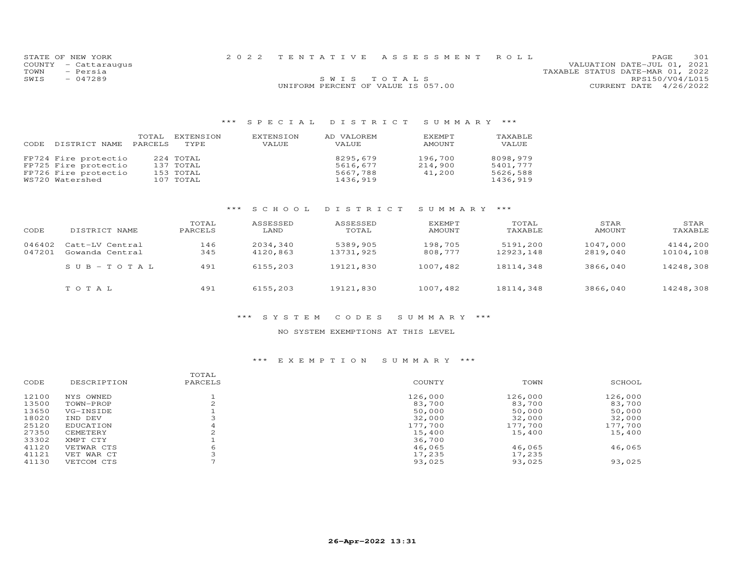| STATE OF NEW YORK<br>COUNTY - Cattaraugus<br>TOWN<br>- Persia |                                    | 2022 TENTATIVE ASSESSMENT ROLL | PAGE.<br>VALUATION DATE-JUL 01, 2021<br>TAXABLE STATUS DATE-MAR 01, 2022 | 301 |
|---------------------------------------------------------------|------------------------------------|--------------------------------|--------------------------------------------------------------------------|-----|
| SWIS<br>$-047289$                                             | UNIFORM PERCENT OF VALUE IS 057.00 | SWIS TOTALS                    | RPS150/V04/L015<br>CURRENT DATE 4/26/2022                                |     |

| CODE | DISTRICT NAME        | TOTAL<br>PARCELS | EXTENSION<br>TYPE. | EXTENSION<br>VALUE | AD VALOREM<br>VALUE | <b>FXEMPT</b><br>AMOUNT | TAXABLE<br>VALUE |
|------|----------------------|------------------|--------------------|--------------------|---------------------|-------------------------|------------------|
|      | FP724 Fire protectio |                  | 224 TOTAL          |                    | 8295,679            | 196,700                 | 8098,979         |
|      | FP725 Fire protectio |                  | 137 TOTAL          |                    | 5616,677            | 214,900                 | 5401,777         |
|      | FP726 Fire protectio |                  | 153 TOTAL          |                    | 5667,788            | 41,200                  | 5626,588         |
|      | WS720 Watershed      |                  | 107 TOTAL          |                    | 1436,919            |                         | 1436,919         |

# \*\*\* S C H O O L D I S T R I C T S U M M A R Y \*\*\*

| CODE             | DISTRICT NAME                      | TOTAL<br>PARCELS | ASSESSED<br>LAND     | ASSESSED<br>TOTAL     | EXEMPT<br><b>AMOUNT</b> | TOTAL<br>TAXABLE      | STAR<br>AMOUNT       | STAR<br>TAXABLE       |
|------------------|------------------------------------|------------------|----------------------|-----------------------|-------------------------|-----------------------|----------------------|-----------------------|
| 046402<br>047201 | Catt-LV Central<br>Gowanda Central | 146<br>345       | 2034,340<br>4120,863 | 5389,905<br>13731,925 | 198,705<br>808,777      | 5191,200<br>12923.148 | 1047,000<br>2819,040 | 4144,200<br>10104,108 |
|                  | $SUB - TO T AL$                    | 491              | 6155,203             | 19121,830             | 1007,482                | 18114,348             | 3866,040             | 14248,308             |
|                  | TOTAL                              | 491              | 6155,203             | 19121,830             | 1007,482                | 18114,348             | 3866,040             | 14248,308             |

#### \*\*\* S Y S T E M C O D E S S U M M A R Y \*\*\*

#### NO SYSTEM EXEMPTIONS AT THIS LEVEL

|       |             | TOTAL   |         |         |         |
|-------|-------------|---------|---------|---------|---------|
| CODE  | DESCRIPTION | PARCELS | COUNTY  | TOWN    | SCHOOL  |
| 12100 | NYS OWNED   |         | 126,000 | 126,000 | 126,000 |
| 13500 | TOWN-PROP   |         | 83,700  | 83,700  | 83,700  |
| 13650 | VG-INSIDE   |         | 50,000  | 50,000  | 50,000  |
| 18020 | IND DEV     |         | 32,000  | 32,000  | 32,000  |
| 25120 | EDUCATION   |         | 177,700 | 177,700 | 177,700 |
| 27350 | CEMETERY    |         | 15,400  | 15,400  | 15,400  |
| 33302 | XMPT CTY    |         | 36,700  |         |         |
| 41120 | VETWAR CTS  | 6       | 46,065  | 46,065  | 46,065  |
| 41121 | VET WAR CT  |         | 17,235  | 17,235  |         |
| 41130 | VETCOM CTS  |         | 93,025  | 93,025  | 93,025  |
|       |             |         |         |         |         |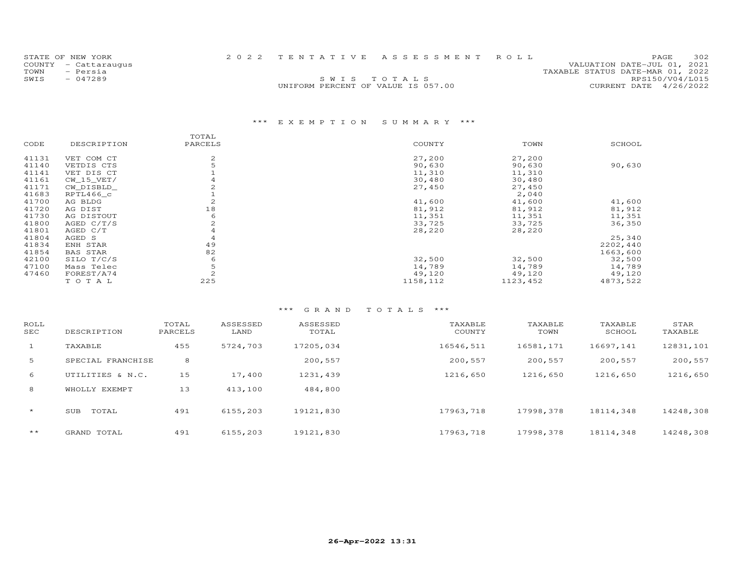| STATE OF NEW YORK    |                                    | 2022 TENTATIVE ASSESSMENT ROLL | PAGE                             | 302 |
|----------------------|------------------------------------|--------------------------------|----------------------------------|-----|
| COUNTY - Cattaraugus |                                    |                                | VALUATION DATE-JUL 01, 2021      |     |
| TOWN<br>- Persia     |                                    |                                | TAXABLE STATUS DATE-MAR 01, 2022 |     |
| SWIS<br>$-047289$    |                                    | SWIS TOTALS                    | RPS150/V04/L015                  |     |
|                      | UNIFORM PERCENT OF VALUE IS 057.00 |                                | CURRENT DATE 4/26/2022           |     |
|                      |                                    |                                |                                  |     |

# \*\*\* E X E M P T I O N S U M M A R Y \*\*\*

|       |                 | TOTAL         |          |          |          |
|-------|-----------------|---------------|----------|----------|----------|
| CODE  | DESCRIPTION     | PARCELS       | COUNTY   | TOWN     | SCHOOL   |
| 41131 | VET COM CT      | 2             | 27,200   | 27,200   |          |
| 41140 | VETDIS CTS      |               | 90,630   | 90,630   | 90,630   |
| 41141 | VET DIS CT      |               | 11,310   | 11,310   |          |
| 41161 | $CW_15_VET/$    |               | 30,480   | 30,480   |          |
| 41171 | CW DISBLD       |               | 27,450   | 27,450   |          |
| 41683 | RPTL466 c       |               |          | 2,040    |          |
| 41700 | AG BLDG         |               | 41,600   | 41,600   | 41,600   |
| 41720 | AG DIST         | 18            | 81,912   | 81,912   | 81,912   |
| 41730 | AG DISTOUT      | 6             | 11,351   | 11,351   | 11,351   |
| 41800 | AGED $C/T/S$    |               | 33,725   | 33,725   | 36,350   |
| 41801 | AGED C/T        |               | 28,220   | 28,220   |          |
| 41804 | AGED S          |               |          |          | 25,340   |
| 41834 | ENH STAR        | 49            |          |          | 2202,440 |
| 41854 | <b>BAS STAR</b> | 82            |          |          | 1663,600 |
| 42100 | SILO T/C/S      | 6             | 32,500   | 32,500   | 32,500   |
| 47100 | Mass Telec      |               | 14,789   | 14,789   | 14,789   |
| 47460 | FOREST/A74      | $\mathcal{D}$ | 49,120   | 49,120   | 49,120   |
|       | TOTAL           | 225           | 1158,112 | 1123,452 | 4873,522 |

| ROLL<br>SEC | DESCRIPTION       | TOTAL<br>PARCELS | ASSESSED<br>LAND | ASSESSED<br>TOTAL | TAXABLE<br>COUNTY | TAXABLE<br>TOWN | TAXABLE<br>SCHOOL | STAR<br>TAXABLE |
|-------------|-------------------|------------------|------------------|-------------------|-------------------|-----------------|-------------------|-----------------|
| $\perp$     | TAXABLE           | 455              | 5724,703         | 17205,034         | 16546,511         | 16581,171       | 16697,141         | 12831,101       |
| 5           | SPECIAL FRANCHISE | 8                |                  | 200,557           | 200,557           | 200,557         | 200,557           | 200,557         |
| 6           | UTILITIES & N.C.  | 15               | 17,400           | 1231,439          | 1216,650          | 1216,650        | 1216,650          | 1216,650        |
| 8           | WHOLLY EXEMPT     | 13               | 413,100          | 484,800           |                   |                 |                   |                 |
| $\star$     | TOTAL<br>SUB      | 491              | 6155,203         | 19121,830         | 17963,718         | 17998,378       | 18114,348         | 14248,308       |
| $***$       | GRAND TOTAL       | 491              | 6155,203         | 19121,830         | 17963,718         | 17998,378       | 18114,348         | 14248,308       |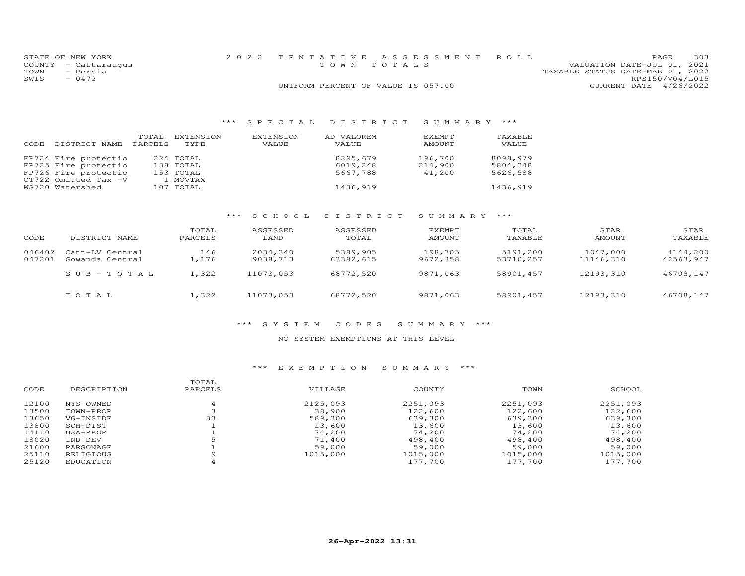|      | STATE OF NEW YORK    | 2022 TENTATIVE ASSESSMENT ROLL     |                             | PAGE | 303 |
|------|----------------------|------------------------------------|-----------------------------|------|-----|
|      | COUNTY - Cattaraugus | TOWN TOTALS                        | VALUATION DATE-JUL 01, 2021 |      |     |
| TOWN | - Persia             | TAXABLE STATUS DATE-MAR 01, 2022   |                             |      |     |
| SWIS | $-0472$              |                                    | RPS150/V04/L015             |      |     |
|      |                      | UNIFORM PERCENT OF VALUE IS 057.00 | CURRENT DATE 4/26/2022      |      |     |

| CODE | DISTRICT NAME        | TOTAL<br>PARCELS | EXTENSION<br>TYPE. | EXTENSION<br>VALUE | AD VALOREM<br>VALUE | EXEMPT<br>AMOUNT | TAXABLE<br>VALUE |
|------|----------------------|------------------|--------------------|--------------------|---------------------|------------------|------------------|
|      | FP724 Fire protectio |                  | 224 TOTAL          |                    | 8295,679            | 196,700          | 8098,979         |
|      | FP725 Fire protectio |                  | 138 TOTAL          |                    | 6019,248            | 214,900          | 5804,348         |
|      | FP726 Fire protectio |                  | 153 TOTAL          |                    | 5667,788            | 41,200           | 5626,588         |
|      | OT722 Omitted Tax -V |                  | 1 MOVTAX           |                    |                     |                  |                  |
|      | WS720 Watershed      |                  | 107 TOTAL          |                    | 1436,919            |                  | 1436,919         |

# \*\*\* S C H O O L D I S T R I C T S U M M A R Y \*\*\*

| CODE             | DISTRICT NAME                      | TOTAL<br>PARCELS | ASSESSED<br>LAND     | ASSESSED<br>TOTAL     | EXEMPT<br>AMOUNT    | TOTAL<br>TAXABLE      | STAR<br>AMOUNT        | STAR<br>TAXABLE       |
|------------------|------------------------------------|------------------|----------------------|-----------------------|---------------------|-----------------------|-----------------------|-----------------------|
| 046402<br>047201 | Catt-LV Central<br>Gowanda Central | 146<br>.,176     | 2034,340<br>9038,713 | 5389,905<br>63382,615 | 198,705<br>9672,358 | 5191,200<br>53710,257 | 1047,000<br>11146,310 | 4144,200<br>42563,947 |
|                  | $SUB - TO T AL$                    | 1,322            | 11073,053            | 68772,520             | 9871,063            | 58901,457             | 12193,310             | 46708,147             |
|                  | TOTAL                              | 1,322            | 11073,053            | 68772,520             | 9871,063            | 58901,457             | 12193,310             | 46708,147             |

### \*\*\* S Y S T E M C O D E S S U M M A R Y \*\*\*

#### NO SYSTEM EXEMPTIONS AT THIS LEVEL

| CODE  | DESCRIPTION | TOTAL<br>PARCELS | VILLAGE  | COUNTY   | TOWN     | SCHOOL   |
|-------|-------------|------------------|----------|----------|----------|----------|
| 12100 | NYS OWNED   |                  | 2125,093 | 2251,093 | 2251,093 | 2251,093 |
| 13500 | TOWN-PROP   |                  | 38,900   | 122,600  | 122,600  | 122,600  |
| 13650 | VG-INSIDE   | 33               | 589,300  | 639,300  | 639,300  | 639,300  |
| 13800 | SCH-DIST    |                  | 13,600   | 13,600   | 13,600   | 13,600   |
| 14110 | USA-PROP    |                  | 74,200   | 74,200   | 74,200   | 74,200   |
| 18020 | IND DEV     |                  | 71,400   | 498,400  | 498,400  | 498,400  |
| 21600 | PARSONAGE   |                  | 59,000   | 59,000   | 59,000   | 59,000   |
| 25110 | RELIGIOUS   |                  | 1015,000 | 1015,000 | 1015,000 | 1015,000 |
| 25120 | EDUCATION   |                  |          | 177,700  | 177,700  | 177,700  |
|       |             |                  |          |          |          |          |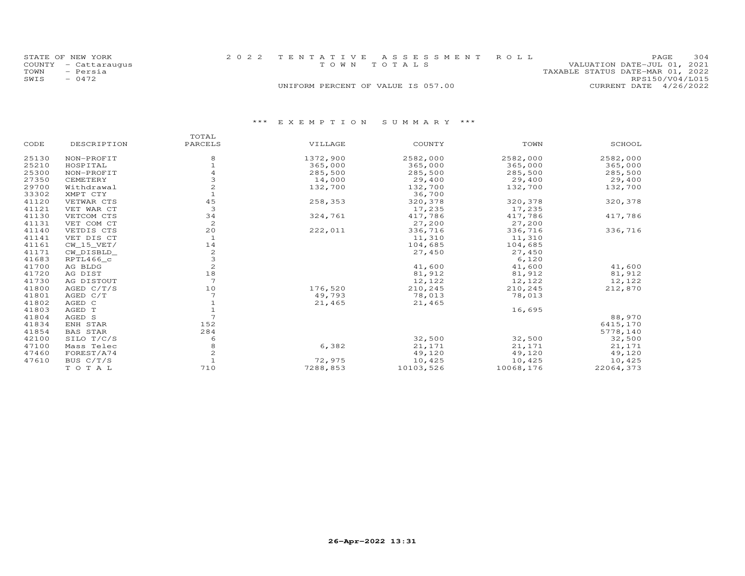| STATE OF NEW YORK    | 2022 TENTATIVE ASSESSMENT ROLL     | 304<br>PAGE.                     |
|----------------------|------------------------------------|----------------------------------|
| COUNTY - Cattaraugus | TOWN TOTALS                        | VALUATION DATE-JUL 01, 2021      |
| - Persia<br>TOWN     |                                    | TAXABLE STATUS DATE-MAR 01, 2022 |
| $-0472$<br>SWIS      |                                    | RPS150/V04/L015                  |
|                      | UNIFORM PERCENT OF VALUE IS 057.00 | CURRENT DATE 4/26/2022           |

|       |                 | TOTAL          |          |           |           |           |
|-------|-----------------|----------------|----------|-----------|-----------|-----------|
| CODE  | DESCRIPTION     | PARCELS        | VILLAGE  | COUNTY    | TOWN      | SCHOOL    |
| 25130 | NON-PROFIT      | 8              | 1372,900 | 2582,000  | 2582,000  | 2582,000  |
| 25210 | HOSPITAL        |                | 365,000  | 365,000   | 365,000   | 365,000   |
| 25300 | NON-PROFIT      |                | 285,500  | 285,500   | 285,500   | 285,500   |
| 27350 | CEMETERY        |                | 14,000   | 29,400    | 29,400    | 29,400    |
| 29700 | Withdrawal      |                | 132,700  | 132,700   | 132,700   | 132,700   |
| 33302 | XMPT CTY        |                |          | 36,700    |           |           |
| 41120 | VETWAR CTS      | 45             | 258,353  | 320,378   | 320,378   | 320,378   |
| 41121 | VET WAR CT      | 3              |          | 17,235    | 17,235    |           |
| 41130 | VETCOM CTS      | 34             | 324,761  | 417,786   | 417,786   | 417,786   |
| 41131 | VET COM CT      | 2              |          | 27,200    | 27,200    |           |
| 41140 | VETDIS CTS      | 20             | 222,011  | 336,716   | 336,716   | 336,716   |
| 41141 | VET DIS CT      | $\mathbf{1}$   |          | 11,310    | 11,310    |           |
| 41161 | $CW_15_VET/$    | 14             |          | 104,685   | 104,685   |           |
| 41171 | CW_DISBLD_      | 2              |          | 27,450    | 27,450    |           |
| 41683 | RPTL466_c       | 3              |          |           | 6,120     |           |
| 41700 | AG BLDG         | $\overline{c}$ |          | 41,600    | 41,600    | 41,600    |
| 41720 | AG DIST         | $1\,8$         |          | 81,912    | 81,912    | 81,912    |
| 41730 | AG DISTOUT      | 7              |          | 12,122    | 12,122    | 12,122    |
| 41800 | AGED $C/T/S$    | 10             | 176,520  | 210,245   | 210,245   | 212,870   |
| 41801 | AGED C/T        |                | 49,793   | 78,013    | 78,013    |           |
| 41802 | AGED C          |                | 21,465   | 21,465    |           |           |
| 41803 | AGED T          |                |          |           | 16,695    |           |
| 41804 | AGED S          |                |          |           |           | 88,970    |
| 41834 | ENH STAR        | 152            |          |           |           | 6415,170  |
| 41854 | <b>BAS STAR</b> | 284            |          |           |           | 5778,140  |
| 42100 | SILO T/C/S      | 6              |          | 32,500    | 32,500    | 32,500    |
| 47100 | Mass Telec      | 8              | 6,382    | 21,171    | 21,171    | 21,171    |
| 47460 | FOREST/A74      | $\overline{c}$ |          | 49,120    | 49,120    | 49,120    |
| 47610 | BUS C/T/S       |                | 72,975   | 10,425    | 10,425    | 10,425    |
|       | TOTAL           | 710            | 7288,853 | 10103,526 | 10068,176 | 22064,373 |